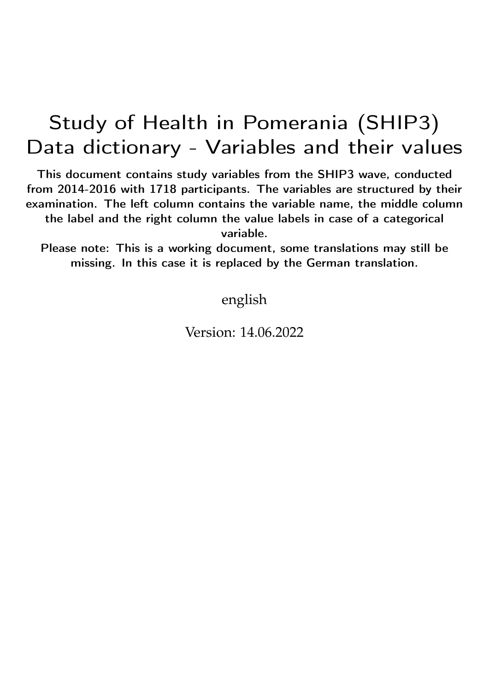## Study of Health in Pomerania (SHIP3) Data dictionary - Variables and their values

This document contains study variables from the SHIP3 wave, conducted from 2014-2016 with 1718 participants. The variables are structured by their examination. The left column contains the variable name, the middle column the label and the right column the value labels in case of a categorical variable.

Please note: This is a working document, some translations may still be missing. In this case it is replaced by the German translation.

english

Version: 14.06.2022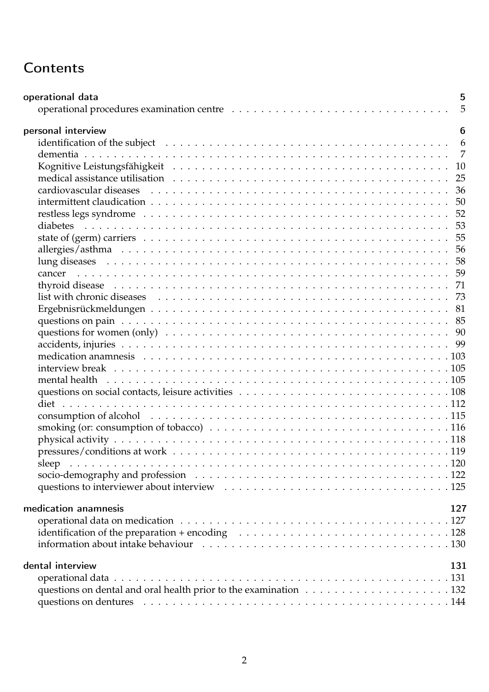## **Contents**

| operational data<br>5                                                                                                                |
|--------------------------------------------------------------------------------------------------------------------------------------|
| 5                                                                                                                                    |
| personal interview<br>6                                                                                                              |
| 6<br>identification of the subject $\dots \dots \dots \dots \dots \dots \dots \dots \dots \dots \dots \dots \dots \dots \dots \dots$ |
| $\overline{7}$                                                                                                                       |
| 10                                                                                                                                   |
| 25                                                                                                                                   |
|                                                                                                                                      |
| 50                                                                                                                                   |
|                                                                                                                                      |
| 53                                                                                                                                   |
|                                                                                                                                      |
|                                                                                                                                      |
|                                                                                                                                      |
|                                                                                                                                      |
|                                                                                                                                      |
|                                                                                                                                      |
|                                                                                                                                      |
|                                                                                                                                      |
|                                                                                                                                      |
|                                                                                                                                      |
|                                                                                                                                      |
|                                                                                                                                      |
|                                                                                                                                      |
|                                                                                                                                      |
|                                                                                                                                      |
|                                                                                                                                      |
|                                                                                                                                      |
|                                                                                                                                      |
|                                                                                                                                      |
|                                                                                                                                      |
|                                                                                                                                      |
|                                                                                                                                      |
|                                                                                                                                      |
| medication anamnesis<br>127                                                                                                          |
|                                                                                                                                      |
| identification of the preparation + encoding $\ldots \ldots \ldots \ldots \ldots \ldots \ldots \ldots \ldots \ldots \ldots 128$      |
|                                                                                                                                      |
|                                                                                                                                      |
| dental interview<br>131                                                                                                              |
|                                                                                                                                      |
|                                                                                                                                      |
|                                                                                                                                      |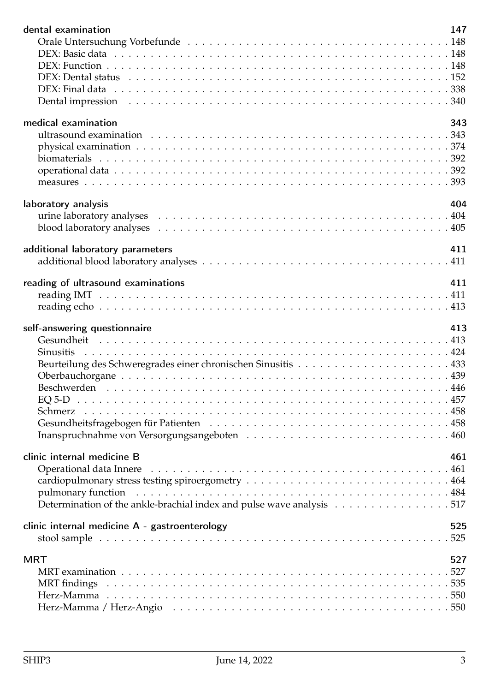| dental examination                                                    | 147 |
|-----------------------------------------------------------------------|-----|
|                                                                       |     |
|                                                                       |     |
|                                                                       |     |
|                                                                       |     |
|                                                                       |     |
|                                                                       |     |
|                                                                       |     |
| medical examination                                                   | 343 |
|                                                                       |     |
|                                                                       |     |
|                                                                       |     |
|                                                                       |     |
|                                                                       |     |
| laboratory analysis                                                   | 404 |
|                                                                       |     |
|                                                                       |     |
|                                                                       |     |
| additional laboratory parameters                                      | 411 |
|                                                                       |     |
|                                                                       |     |
| reading of ultrasound examinations                                    | 411 |
|                                                                       |     |
|                                                                       |     |
|                                                                       |     |
|                                                                       |     |
| self-answering questionnaire                                          | 413 |
|                                                                       |     |
|                                                                       |     |
|                                                                       |     |
|                                                                       |     |
|                                                                       |     |
|                                                                       |     |
|                                                                       |     |
|                                                                       |     |
|                                                                       |     |
|                                                                       |     |
| clinic internal medicine B                                            | 461 |
|                                                                       |     |
|                                                                       |     |
|                                                                       |     |
| Determination of the ankle-brachial index and pulse wave analysis 517 |     |
| clinic internal medicine A - gastroenterology                         | 525 |
|                                                                       |     |
|                                                                       |     |
| <b>MRT</b>                                                            | 527 |
|                                                                       |     |
|                                                                       |     |
|                                                                       |     |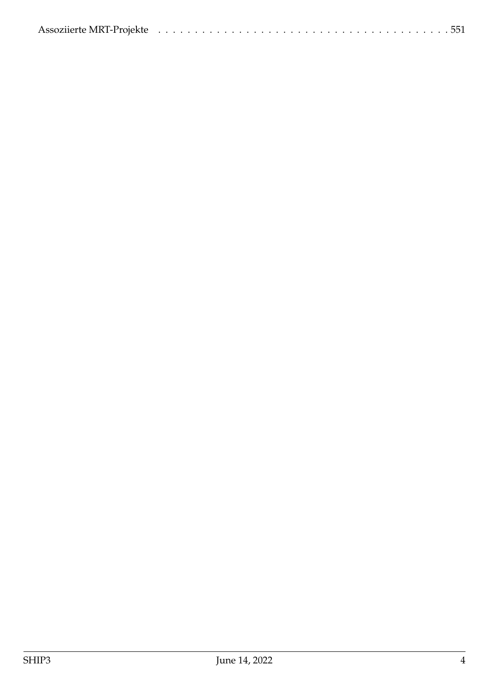|--|--|--|--|--|--|--|--|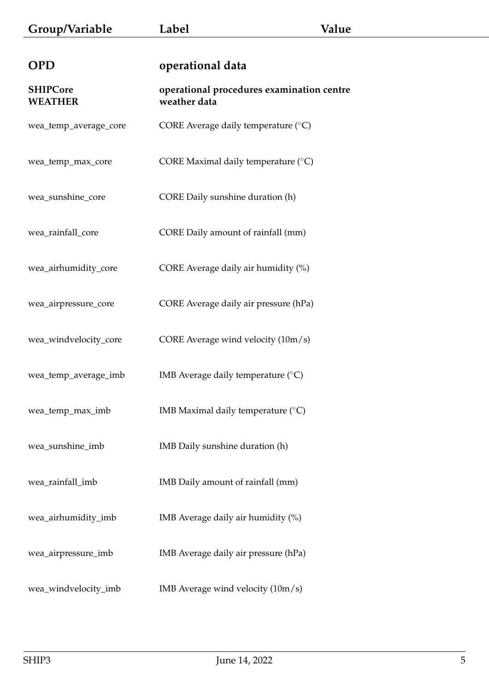<span id="page-4-1"></span><span id="page-4-0"></span>

| <b>OPD</b>                        | operational data                                          |
|-----------------------------------|-----------------------------------------------------------|
| <b>SHIPCore</b><br><b>WEATHER</b> | operational procedures examination centre<br>weather data |
| wea_temp_average_core             | CORE Average daily temperature $(^{\circ}C)$              |
| wea_temp_max_core                 | CORE Maximal daily temperature (°C)                       |
| wea_sunshine_core                 | CORE Daily sunshine duration (h)                          |
| wea_rainfall_core                 | CORE Daily amount of rainfall (mm)                        |
| wea_airhumidity_core              | CORE Average daily air humidity (%)                       |
| wea_airpressure_core              | CORE Average daily air pressure (hPa)                     |
| wea_windvelocity_core             | CORE Average wind velocity (10m/s)                        |
| wea_temp_average_imb              | IMB Average daily temperature $(^\circ C)$                |
| wea_temp_max_imb                  | IMB Maximal daily temperature $(°C)$                      |
| wea_sunshine_imb                  | IMB Daily sunshine duration (h)                           |
| wea_rainfall_imb                  | IMB Daily amount of rainfall (mm)                         |
| wea_airhumidity_imb               | IMB Average daily air humidity (%)                        |
| wea_airpressure_imb               | IMB Average daily air pressure (hPa)                      |
| wea_windvelocity_imb              | IMB Average wind velocity $(10m/s)$                       |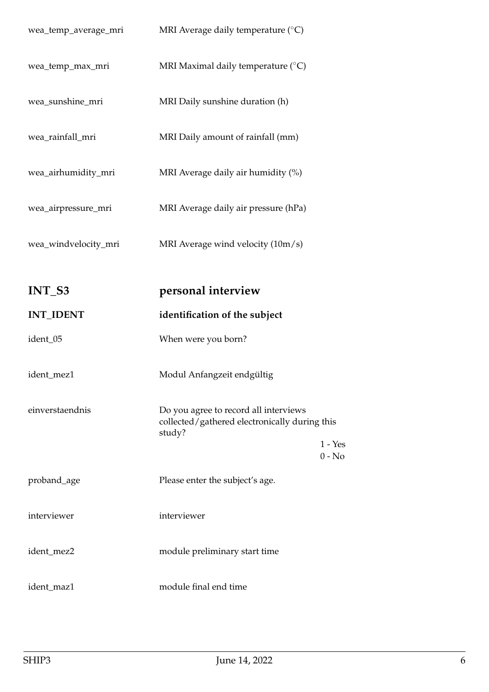<span id="page-5-1"></span><span id="page-5-0"></span>

| wea_temp_average_mri | MRI Average daily temperature $(^\circ C)$                                                                  |
|----------------------|-------------------------------------------------------------------------------------------------------------|
| wea_temp_max_mri     | MRI Maximal daily temperature (°C)                                                                          |
| wea_sunshine_mri     | MRI Daily sunshine duration (h)                                                                             |
| wea_rainfall_mri     | MRI Daily amount of rainfall (mm)                                                                           |
| wea_airhumidity_mri  | MRI Average daily air humidity (%)                                                                          |
| wea_airpressure_mri  | MRI Average daily air pressure (hPa)                                                                        |
| wea_windvelocity_mri | MRI Average wind velocity $(10m/s)$                                                                         |
|                      |                                                                                                             |
| INT_S3               | personal interview                                                                                          |
|                      |                                                                                                             |
| <b>INT_IDENT</b>     | identification of the subject                                                                               |
| ident_05             | When were you born?                                                                                         |
| ident_mez1           | Modul Anfangzeit endgültig                                                                                  |
| einverstaendnis      | Do you agree to record all interviews<br>collected/gathered electronically during this<br>study?<br>1 - Yes |
| proband_age          | $0 - No$<br>Please enter the subject's age.                                                                 |
| interviewer          | interviewer                                                                                                 |
| ident_mez2           | module preliminary start time                                                                               |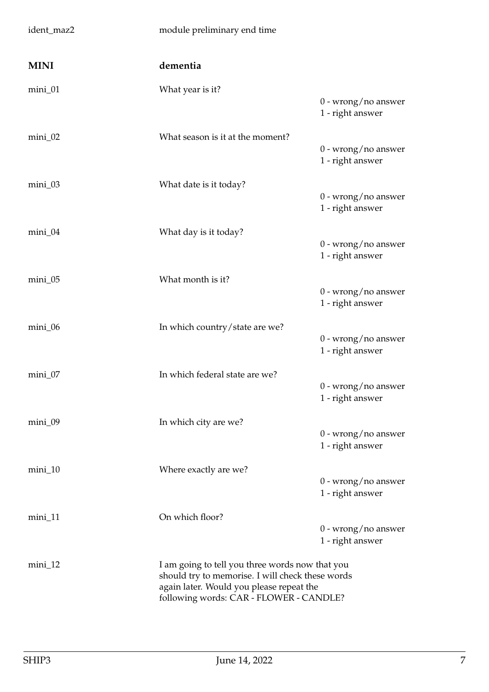<span id="page-6-0"></span>

| ident_maz2  | module preliminary end time                                                                                                                                                                |                                           |
|-------------|--------------------------------------------------------------------------------------------------------------------------------------------------------------------------------------------|-------------------------------------------|
| <b>MINI</b> | dementia                                                                                                                                                                                   |                                           |
| $min_1$ 01  | What year is it?                                                                                                                                                                           | $0$ - wrong/no answer<br>1 - right answer |
| $min_1$ 02  | What season is it at the moment?                                                                                                                                                           | $0$ - wrong/no answer<br>1 - right answer |
| mini_03     | What date is it today?                                                                                                                                                                     | $0$ - wrong/no answer<br>1 - right answer |
| mini_04     | What day is it today?                                                                                                                                                                      | $0$ - wrong/no answer<br>1 - right answer |
| mini_05     | What month is it?                                                                                                                                                                          | $0$ - wrong/no answer<br>1 - right answer |
| mini_06     | In which country/state are we?                                                                                                                                                             | $0$ - wrong/no answer<br>1 - right answer |
| mini_07     | In which federal state are we?                                                                                                                                                             | $0$ - wrong/no answer<br>1 - right answer |
| mini_09     | In which city are we?                                                                                                                                                                      | $0$ - wrong/no answer<br>1 - right answer |
| $min_1$     | Where exactly are we?                                                                                                                                                                      | $0$ - wrong/no answer<br>1 - right answer |
| mini_11     | On which floor?                                                                                                                                                                            | $0$ - wrong/no answer<br>1 - right answer |
| $min_1$     | I am going to tell you three words now that you<br>should try to memorise. I will check these words<br>again later. Would you please repeat the<br>following words: CAR - FLOWER - CANDLE? |                                           |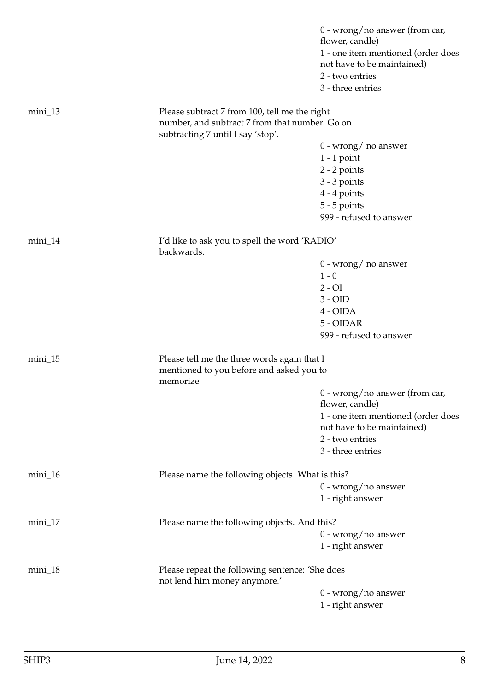|            |                                                                                     | $0$ - wrong/no answer (from car,<br>flower, candle) |
|------------|-------------------------------------------------------------------------------------|-----------------------------------------------------|
|            |                                                                                     | 1 - one item mentioned (order does                  |
|            |                                                                                     | not have to be maintained)                          |
|            |                                                                                     | 2 - two entries                                     |
|            |                                                                                     | 3 - three entries                                   |
|            |                                                                                     |                                                     |
| $min_1$ 13 | Please subtract 7 from 100, tell me the right                                       |                                                     |
|            | number, and subtract 7 from that number. Go on<br>subtracting 7 until I say 'stop'. |                                                     |
|            |                                                                                     | 0 - wrong/ no answer                                |
|            |                                                                                     | $1 - 1$ point                                       |
|            |                                                                                     | 2 - 2 points                                        |
|            |                                                                                     | $3 - 3$ points                                      |
|            |                                                                                     | $4 - 4$ points                                      |
|            |                                                                                     | $5 - 5$ points                                      |
|            |                                                                                     | 999 - refused to answer                             |
|            |                                                                                     |                                                     |
| $min_1$ 14 | I'd like to ask you to spell the word 'RADIO'<br>backwards.                         |                                                     |
|            |                                                                                     | $0$ - wrong/ no answer                              |
|            |                                                                                     | $1 - 0$                                             |
|            |                                                                                     | $2 - OI$                                            |
|            |                                                                                     | $3 - OID$                                           |
|            |                                                                                     | 4 - OIDA                                            |
|            |                                                                                     | 5 - OIDAR                                           |
|            |                                                                                     | 999 - refused to answer                             |
|            |                                                                                     |                                                     |
| $mini_15$  | Please tell me the three words again that I                                         |                                                     |
|            | mentioned to you before and asked you to<br>memorize                                |                                                     |
|            |                                                                                     | $0$ - wrong/no answer (from car,                    |
|            |                                                                                     | flower, candle)                                     |
|            |                                                                                     | 1 - one item mentioned (order does                  |
|            |                                                                                     | not have to be maintained)                          |
|            |                                                                                     | 2 - two entries                                     |
|            |                                                                                     | 3 - three entries                                   |
|            |                                                                                     |                                                     |
| $mini_16$  | Please name the following objects. What is this?                                    |                                                     |
|            |                                                                                     | $0$ - wrong/no answer                               |
|            |                                                                                     | 1 - right answer                                    |
| mini_17    | Please name the following objects. And this?                                        |                                                     |
|            |                                                                                     | $0$ - wrong/no answer                               |
|            |                                                                                     | 1 - right answer                                    |
|            |                                                                                     |                                                     |
| $min_1$ 18 | Please repeat the following sentence: 'She does                                     |                                                     |
|            | not lend him money anymore.'                                                        |                                                     |
|            |                                                                                     | $0$ - wrong/no answer                               |
|            |                                                                                     | 1 - right answer                                    |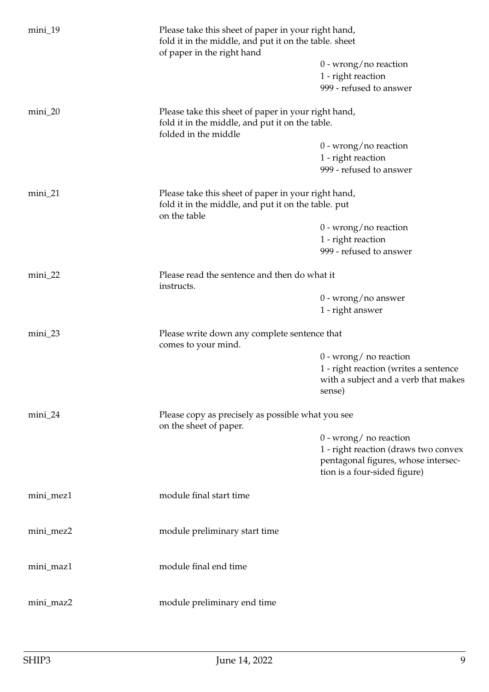| mini_19   | Please take this sheet of paper in your right hand,<br>fold it in the middle, and put it on the table. sheet<br>of paper in the right hand |                                                                     |  |  |  |
|-----------|--------------------------------------------------------------------------------------------------------------------------------------------|---------------------------------------------------------------------|--|--|--|
|           |                                                                                                                                            | $0$ - wrong/no reaction                                             |  |  |  |
|           |                                                                                                                                            | 1 - right reaction                                                  |  |  |  |
|           |                                                                                                                                            | 999 - refused to answer                                             |  |  |  |
| $min_2$   | Please take this sheet of paper in your right hand,<br>fold it in the middle, and put it on the table.                                     |                                                                     |  |  |  |
|           | folded in the middle                                                                                                                       |                                                                     |  |  |  |
|           |                                                                                                                                            | $0$ - wrong/no reaction                                             |  |  |  |
|           |                                                                                                                                            | 1 - right reaction                                                  |  |  |  |
|           |                                                                                                                                            | 999 - refused to answer                                             |  |  |  |
| $min_2$   | Please take this sheet of paper in your right hand,                                                                                        |                                                                     |  |  |  |
|           | fold it in the middle, and put it on the table. put<br>on the table                                                                        |                                                                     |  |  |  |
|           |                                                                                                                                            | $0$ - wrong/no reaction                                             |  |  |  |
|           |                                                                                                                                            | 1 - right reaction                                                  |  |  |  |
|           |                                                                                                                                            | 999 - refused to answer                                             |  |  |  |
| $min_2$   | Please read the sentence and then do what it                                                                                               |                                                                     |  |  |  |
|           | instructs.                                                                                                                                 | $0$ - wrong/no answer                                               |  |  |  |
|           |                                                                                                                                            | 1 - right answer                                                    |  |  |  |
| mini_23   | Please write down any complete sentence that<br>comes to your mind.                                                                        |                                                                     |  |  |  |
|           |                                                                                                                                            | $0$ - wrong/ no reaction                                            |  |  |  |
|           |                                                                                                                                            | 1 - right reaction (writes a sentence                               |  |  |  |
|           |                                                                                                                                            | with a subject and a verb that makes<br>sense)                      |  |  |  |
| mini_24   | Please copy as precisely as possible what you see<br>on the sheet of paper.                                                                |                                                                     |  |  |  |
|           |                                                                                                                                            | $0$ - wrong/ no reaction                                            |  |  |  |
|           |                                                                                                                                            | 1 - right reaction (draws two convex                                |  |  |  |
|           |                                                                                                                                            | pentagonal figures, whose intersec-<br>tion is a four-sided figure) |  |  |  |
| mini_mez1 | module final start time                                                                                                                    |                                                                     |  |  |  |
| mini_mez2 | module preliminary start time                                                                                                              |                                                                     |  |  |  |
| mini_maz1 | module final end time                                                                                                                      |                                                                     |  |  |  |
| mini_maz2 | module preliminary end time                                                                                                                |                                                                     |  |  |  |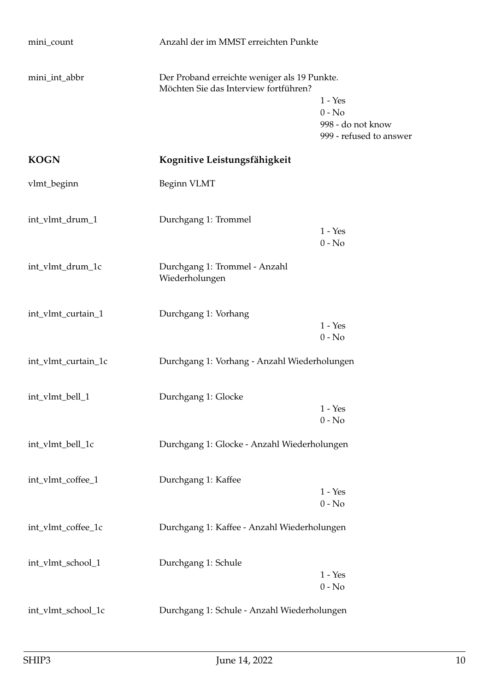<span id="page-9-0"></span>

| mini_count          | Anzahl der im MMST erreichten Punkte                                                  |                                                                       |
|---------------------|---------------------------------------------------------------------------------------|-----------------------------------------------------------------------|
| mini_int_abbr       | Der Proband erreichte weniger als 19 Punkte.<br>Möchten Sie das Interview fortführen? | $1 - Yes$<br>$0 - No$<br>998 - do not know<br>999 - refused to answer |
| <b>KOGN</b>         | Kognitive Leistungsfähigkeit                                                          |                                                                       |
| vlmt_beginn         | Beginn VLMT                                                                           |                                                                       |
| int_vlmt_drum_1     | Durchgang 1: Trommel                                                                  | $1 - Yes$<br>$0 - No$                                                 |
| int_vlmt_drum_1c    | Durchgang 1: Trommel - Anzahl<br>Wiederholungen                                       |                                                                       |
| int_vlmt_curtain_1  | Durchgang 1: Vorhang                                                                  | $1 - Yes$<br>$0 - No$                                                 |
| int_vlmt_curtain_1c | Durchgang 1: Vorhang - Anzahl Wiederholungen                                          |                                                                       |
| int_vlmt_bell_1     | Durchgang 1: Glocke                                                                   | $1 - Yes$<br>$0 - No$                                                 |
| int_vlmt_bell_1c    | Durchgang 1: Glocke - Anzahl Wiederholungen                                           |                                                                       |
| int_vlmt_coffee_1   | Durchgang 1: Kaffee                                                                   | $1 - Yes$<br>$0$ - $\mathrm{No}$                                      |
| int_vlmt_coffee_1c  | Durchgang 1: Kaffee - Anzahl Wiederholungen                                           |                                                                       |
| int_vlmt_school_1   | Durchgang 1: Schule                                                                   | $1 - Yes$<br>$0 - No$                                                 |
| int_vlmt_school_1c  | Durchgang 1: Schule - Anzahl Wiederholungen                                           |                                                                       |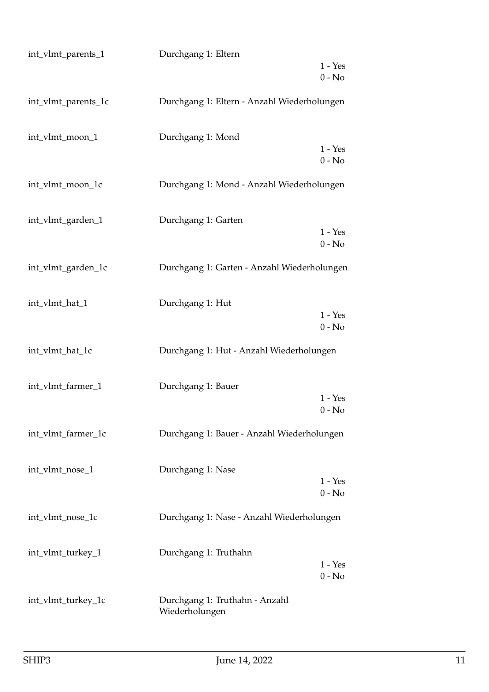| int_vlmt_parents_1  | Durchgang 1: Eltern                              |                       |
|---------------------|--------------------------------------------------|-----------------------|
|                     |                                                  | $1 - Yes$<br>$0 - No$ |
| int_vlmt_parents_1c | Durchgang 1: Eltern - Anzahl Wiederholungen      |                       |
| int_vlmt_moon_1     | Durchgang 1: Mond                                | $1 - Yes$<br>$0 - No$ |
| int_vlmt_moon_1c    | Durchgang 1: Mond - Anzahl Wiederholungen        |                       |
| int_vlmt_garden_1   | Durchgang 1: Garten                              | $1 - Yes$<br>$0 - No$ |
| int_vlmt_garden_1c  | Durchgang 1: Garten - Anzahl Wiederholungen      |                       |
| int_vlmt_hat_1      | Durchgang 1: Hut                                 | $1 - Yes$<br>$0 - No$ |
| int_vlmt_hat_1c     | Durchgang 1: Hut - Anzahl Wiederholungen         |                       |
| int_vlmt_farmer_1   | Durchgang 1: Bauer                               | $1 - Yes$<br>$0 - No$ |
| int_vlmt_farmer_1c  | Durchgang 1: Bauer - Anzahl Wiederholungen       |                       |
| int_vlmt_nose_1     | Durchgang 1: Nase                                | $1 - Yes$<br>$0 - No$ |
| int_vlmt_nose_1c    | Durchgang 1: Nase - Anzahl Wiederholungen        |                       |
| int_vlmt_turkey_1   | Durchgang 1: Truthahn                            | $1 - Yes$<br>$0 - No$ |
| int_vlmt_turkey_1c  | Durchgang 1: Truthahn - Anzahl<br>Wiederholungen |                       |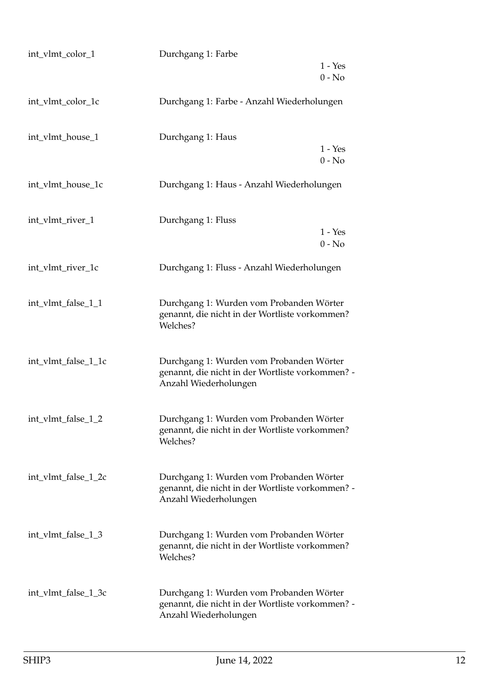| int_vlmt_color_1    | Durchgang 1: Farbe                                                                                                    |                       |
|---------------------|-----------------------------------------------------------------------------------------------------------------------|-----------------------|
|                     |                                                                                                                       | $1 - Yes$<br>$0 - No$ |
| int_vlmt_color_1c   | Durchgang 1: Farbe - Anzahl Wiederholungen                                                                            |                       |
| int_vlmt_house_1    | Durchgang 1: Haus                                                                                                     | $1 - Yes$<br>$0 - No$ |
| int_vlmt_house_1c   | Durchgang 1: Haus - Anzahl Wiederholungen                                                                             |                       |
| int_vlmt_river_1    | Durchgang 1: Fluss                                                                                                    | $1 - Yes$<br>$0 - No$ |
| int_vlmt_river_1c   | Durchgang 1: Fluss - Anzahl Wiederholungen                                                                            |                       |
| int_vlmt_false_1_1  | Durchgang 1: Wurden vom Probanden Wörter<br>genannt, die nicht in der Wortliste vorkommen?<br>Welches?                |                       |
| int_vlmt_false_1_1c | Durchgang 1: Wurden vom Probanden Wörter<br>genannt, die nicht in der Wortliste vorkommen? -<br>Anzahl Wiederholungen |                       |
| int_vlmt_false_1_2  | Durchgang 1: Wurden vom Probanden Wörter<br>genannt, die nicht in der Wortliste vorkommen?<br>Welches?                |                       |
| int_vlmt_false_1_2c | Durchgang 1: Wurden vom Probanden Wörter<br>genannt, die nicht in der Wortliste vorkommen? -<br>Anzahl Wiederholungen |                       |
| int_vlmt_false_1_3  | Durchgang 1: Wurden vom Probanden Wörter<br>genannt, die nicht in der Wortliste vorkommen?<br>Welches?                |                       |
| int_vlmt_false_1_3c | Durchgang 1: Wurden vom Probanden Wörter<br>genannt, die nicht in der Wortliste vorkommen? -<br>Anzahl Wiederholungen |                       |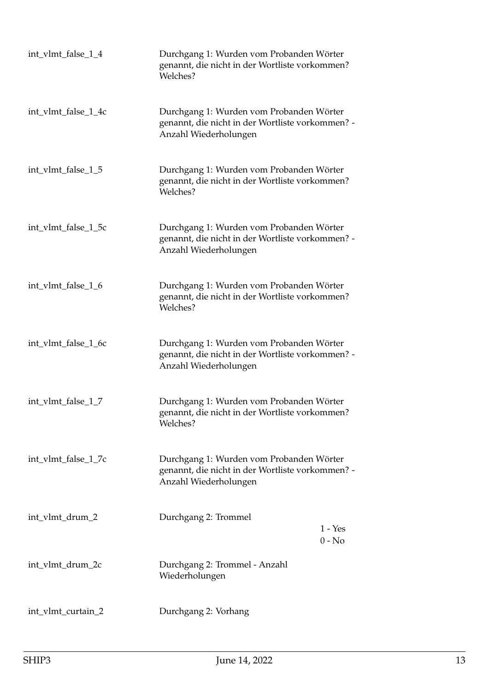| int_vlmt_false_1_4  | Durchgang 1: Wurden vom Probanden Wörter<br>genannt, die nicht in der Wortliste vorkommen?<br>Welches?                |                       |
|---------------------|-----------------------------------------------------------------------------------------------------------------------|-----------------------|
| int_vlmt_false_1_4c | Durchgang 1: Wurden vom Probanden Wörter<br>genannt, die nicht in der Wortliste vorkommen? -<br>Anzahl Wiederholungen |                       |
| int_vlmt_false_1_5  | Durchgang 1: Wurden vom Probanden Wörter<br>genannt, die nicht in der Wortliste vorkommen?<br>Welches?                |                       |
| int_vlmt_false_1_5c | Durchgang 1: Wurden vom Probanden Wörter<br>genannt, die nicht in der Wortliste vorkommen? -<br>Anzahl Wiederholungen |                       |
| int_vlmt_false_1_6  | Durchgang 1: Wurden vom Probanden Wörter<br>genannt, die nicht in der Wortliste vorkommen?<br>Welches?                |                       |
| int_vlmt_false_1_6c | Durchgang 1: Wurden vom Probanden Wörter<br>genannt, die nicht in der Wortliste vorkommen? -<br>Anzahl Wiederholungen |                       |
| int_vlmt_false_1_7  | Durchgang 1: Wurden vom Probanden Wörter<br>genannt, die nicht in der Wortliste vorkommen?<br>Welches?                |                       |
| int_vlmt_false_1_7c | Durchgang 1: Wurden vom Probanden Wörter<br>genannt, die nicht in der Wortliste vorkommen? -<br>Anzahl Wiederholungen |                       |
| int_vlmt_drum_2     | Durchgang 2: Trommel                                                                                                  | $1 - Yes$<br>$0 - No$ |
| int_vlmt_drum_2c    | Durchgang 2: Trommel - Anzahl<br>Wiederholungen                                                                       |                       |
| int_vlmt_curtain_2  | Durchgang 2: Vorhang                                                                                                  |                       |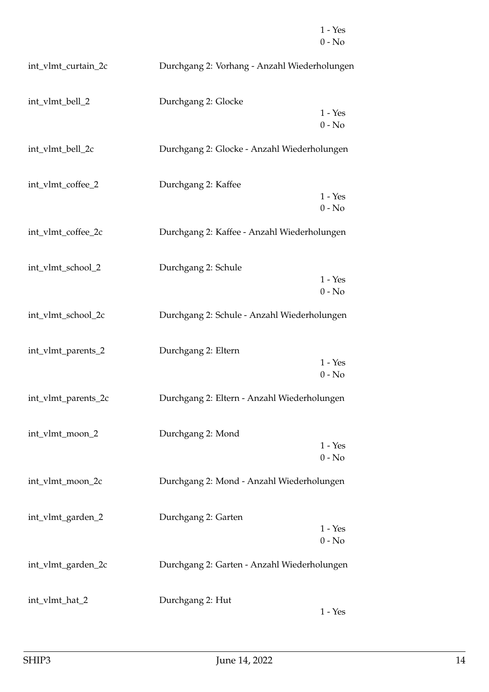|                     |                                              | $1 - Yes$<br>$0 - No$ |
|---------------------|----------------------------------------------|-----------------------|
| int_vlmt_curtain_2c | Durchgang 2: Vorhang - Anzahl Wiederholungen |                       |
| int_vlmt_bell_2     | Durchgang 2: Glocke                          | $1 - Yes$<br>$0 - No$ |
| int_vlmt_bell_2c    | Durchgang 2: Glocke - Anzahl Wiederholungen  |                       |
| int_vlmt_coffee_2   | Durchgang 2: Kaffee                          | $1 - Yes$<br>$0 - No$ |
| int_vlmt_coffee_2c  | Durchgang 2: Kaffee - Anzahl Wiederholungen  |                       |
| int_vlmt_school_2   | Durchgang 2: Schule                          | $1 - Yes$<br>$0 - No$ |
| int_vlmt_school_2c  | Durchgang 2: Schule - Anzahl Wiederholungen  |                       |
| int_vlmt_parents_2  | Durchgang 2: Eltern                          | $1 - Yes$<br>$0 - No$ |
| int_vlmt_parents_2c | Durchgang 2: Eltern - Anzahl Wiederholungen  |                       |
| int_vlmt_moon_2     | Durchgang 2: Mond                            | $1 - Yes$<br>$0 - No$ |
| int_vlmt_moon_2c    | Durchgang 2: Mond - Anzahl Wiederholungen    |                       |
| int_vlmt_garden_2   | Durchgang 2: Garten                          | $1 - Yes$<br>$0 - No$ |
| int_vlmt_garden_2c  | Durchgang 2: Garten - Anzahl Wiederholungen  |                       |
| int_vlmt_hat_2      | Durchgang 2: Hut                             | $1 - Yes$             |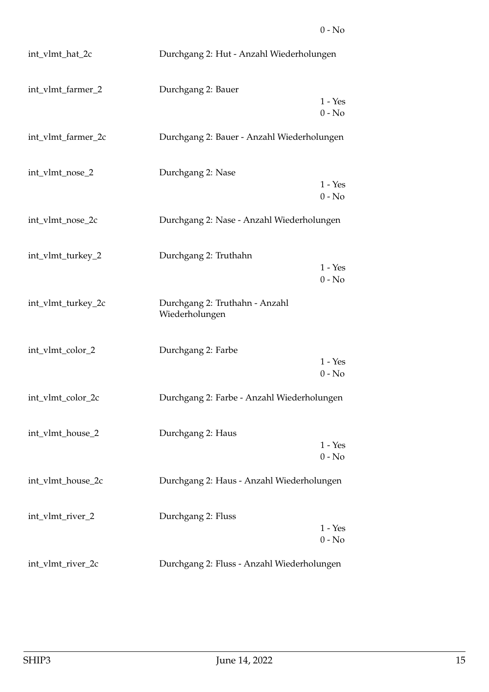| int_vlmt_hat_2c    | Durchgang 2: Hut - Anzahl Wiederholungen         |                       |
|--------------------|--------------------------------------------------|-----------------------|
| int_vlmt_farmer_2  | Durchgang 2: Bauer                               | $1 - Yes$<br>$0 - No$ |
| int_vlmt_farmer_2c | Durchgang 2: Bauer - Anzahl Wiederholungen       |                       |
| int_vlmt_nose_2    | Durchgang 2: Nase                                | $1 - Yes$<br>$0 - No$ |
| int_vlmt_nose_2c   | Durchgang 2: Nase - Anzahl Wiederholungen        |                       |
| int_vlmt_turkey_2  | Durchgang 2: Truthahn                            | $1 - Yes$<br>$0 - No$ |
| int_vlmt_turkey_2c | Durchgang 2: Truthahn - Anzahl<br>Wiederholungen |                       |
| int_vlmt_color_2   | Durchgang 2: Farbe                               | $1 - Yes$<br>$0 - No$ |
| int_vlmt_color_2c  | Durchgang 2: Farbe - Anzahl Wiederholungen       |                       |
| int_vlmt_house_2   | Durchgang 2: Haus                                | $1 - Yes$<br>$0 - No$ |
| int_vlmt_house_2c  | Durchgang 2: Haus - Anzahl Wiederholungen        |                       |
| int_vlmt_river_2   | Durchgang 2: Fluss                               | $1 - Yes$<br>$0 - No$ |
| int_vlmt_river_2c  | Durchgang 2: Fluss - Anzahl Wiederholungen       |                       |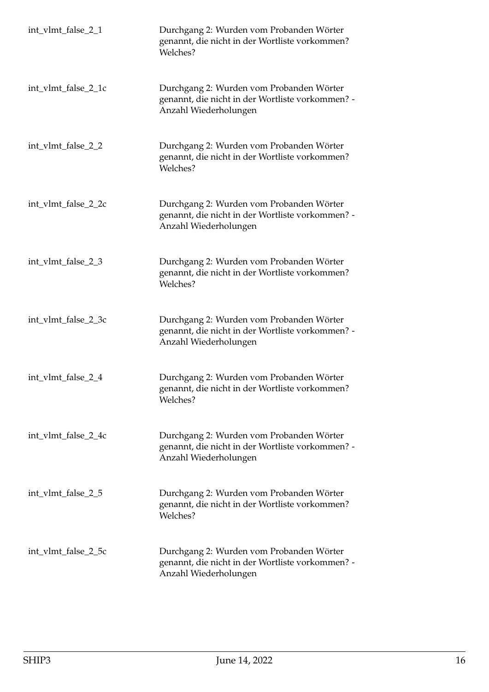| int_vlmt_false_2_1  | Durchgang 2: Wurden vom Probanden Wörter<br>genannt, die nicht in der Wortliste vorkommen?<br>Welches?                |
|---------------------|-----------------------------------------------------------------------------------------------------------------------|
| int_vlmt_false_2_1c | Durchgang 2: Wurden vom Probanden Wörter<br>genannt, die nicht in der Wortliste vorkommen? -<br>Anzahl Wiederholungen |
| int_vlmt_false_2_2  | Durchgang 2: Wurden vom Probanden Wörter<br>genannt, die nicht in der Wortliste vorkommen?<br>Welches?                |
| int_vlmt_false_2_2c | Durchgang 2: Wurden vom Probanden Wörter<br>genannt, die nicht in der Wortliste vorkommen? -<br>Anzahl Wiederholungen |
| int_vlmt_false_2_3  | Durchgang 2: Wurden vom Probanden Wörter<br>genannt, die nicht in der Wortliste vorkommen?<br>Welches?                |
| int_vlmt_false_2_3c | Durchgang 2: Wurden vom Probanden Wörter<br>genannt, die nicht in der Wortliste vorkommen? -<br>Anzahl Wiederholungen |
| int_vlmt_false_2_4  | Durchgang 2: Wurden vom Probanden Wörter<br>genannt, die nicht in der Wortliste vorkommen?<br>Welches?                |
| int_vlmt_false_2_4c | Durchgang 2: Wurden vom Probanden Wörter<br>genannt, die nicht in der Wortliste vorkommen? -<br>Anzahl Wiederholungen |
| int_vlmt_false_2_5  | Durchgang 2: Wurden vom Probanden Wörter<br>genannt, die nicht in der Wortliste vorkommen?<br>Welches?                |
| int_vlmt_false_2_5c | Durchgang 2: Wurden vom Probanden Wörter<br>genannt, die nicht in der Wortliste vorkommen? -<br>Anzahl Wiederholungen |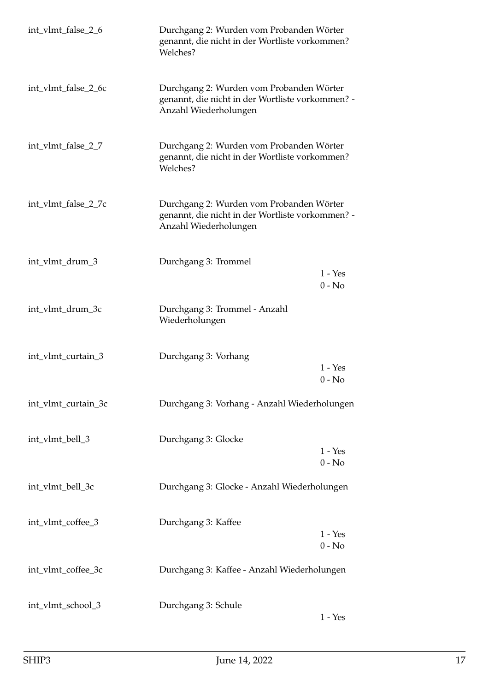| int_vlmt_false_2_6  | Durchgang 2: Wurden vom Probanden Wörter<br>genannt, die nicht in der Wortliste vorkommen?<br>Welches?                |                       |
|---------------------|-----------------------------------------------------------------------------------------------------------------------|-----------------------|
| int_vlmt_false_2_6c | Durchgang 2: Wurden vom Probanden Wörter<br>genannt, die nicht in der Wortliste vorkommen? -<br>Anzahl Wiederholungen |                       |
| int_vlmt_false_2_7  | Durchgang 2: Wurden vom Probanden Wörter<br>genannt, die nicht in der Wortliste vorkommen?<br>Welches?                |                       |
| int_vlmt_false_2_7c | Durchgang 2: Wurden vom Probanden Wörter<br>genannt, die nicht in der Wortliste vorkommen? -<br>Anzahl Wiederholungen |                       |
| int_vlmt_drum_3     | Durchgang 3: Trommel                                                                                                  | $1 - Yes$<br>$0 - No$ |
| int_vlmt_drum_3c    | Durchgang 3: Trommel - Anzahl<br>Wiederholungen                                                                       |                       |
| int_vlmt_curtain_3  | Durchgang 3: Vorhang                                                                                                  | $1 - Yes$<br>$0 - No$ |
| int_vlmt_curtain_3c | Durchgang 3: Vorhang - Anzahl Wiederholungen                                                                          |                       |
| int_vlmt_bell_3     | Durchgang 3: Glocke                                                                                                   | $1 - Yes$<br>$0 - No$ |
| int_vlmt_bell_3c    | Durchgang 3: Glocke - Anzahl Wiederholungen                                                                           |                       |
| int_vlmt_coffee_3   | Durchgang 3: Kaffee                                                                                                   | $1 - Yes$<br>$0 - No$ |
| int_vlmt_coffee_3c  | Durchgang 3: Kaffee - Anzahl Wiederholungen                                                                           |                       |
| int_vlmt_school_3   | Durchgang 3: Schule                                                                                                   | $1 - Yes$             |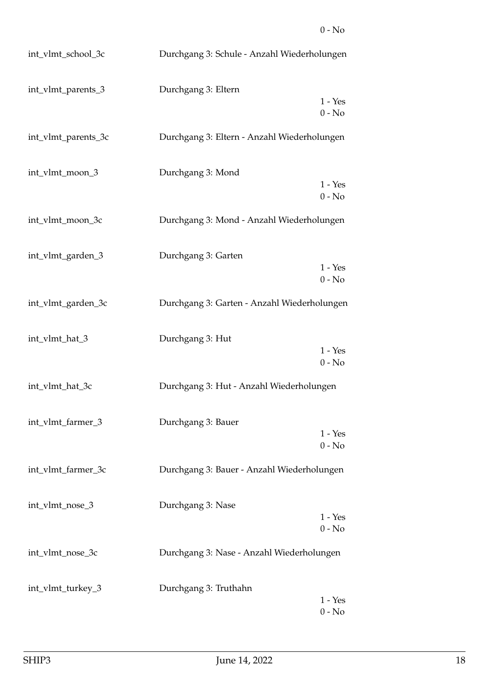## 0 - No

| int_vlmt_school_3c  | Durchgang 3: Schule - Anzahl Wiederholungen |                       |
|---------------------|---------------------------------------------|-----------------------|
| int_vlmt_parents_3  | Durchgang 3: Eltern                         | $1 - Yes$<br>$0 - No$ |
| int_vlmt_parents_3c | Durchgang 3: Eltern - Anzahl Wiederholungen |                       |
| int_vlmt_moon_3     | Durchgang 3: Mond                           | $1 - Yes$<br>$0 - No$ |
| int_vlmt_moon_3c    | Durchgang 3: Mond - Anzahl Wiederholungen   |                       |
| int_vlmt_garden_3   | Durchgang 3: Garten                         | $1 - Yes$<br>$0 - No$ |
| int_vlmt_garden_3c  | Durchgang 3: Garten - Anzahl Wiederholungen |                       |
| int_vlmt_hat_3      | Durchgang 3: Hut                            | $1 - Yes$<br>$0 - No$ |
| int_vlmt_hat_3c     | Durchgang 3: Hut - Anzahl Wiederholungen    |                       |
| int_vlmt_farmer_3   | Durchgang 3: Bauer                          | $1 - Yes$<br>$0 - No$ |
| int_vlmt_farmer_3c  | Durchgang 3: Bauer - Anzahl Wiederholungen  |                       |
| int_vlmt_nose_3     | Durchgang 3: Nase                           | $1 - Yes$<br>$0 - No$ |
| int_vlmt_nose_3c    | Durchgang 3: Nase - Anzahl Wiederholungen   |                       |
| int_vlmt_turkey_3   | Durchgang 3: Truthahn                       | $1 - Yes$<br>$0 - No$ |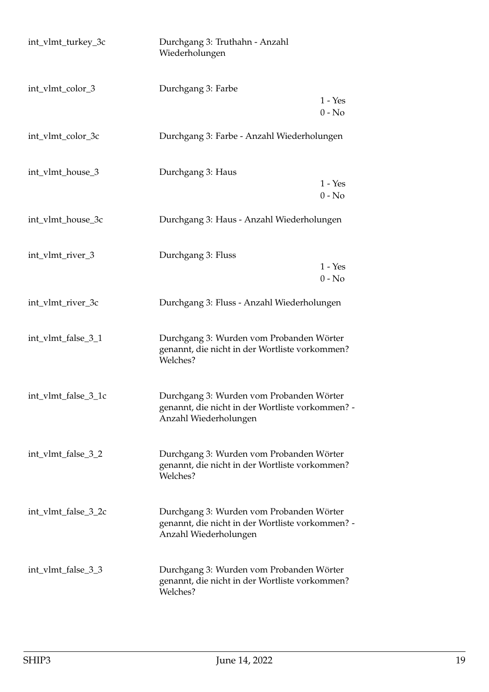| int_vlmt_turkey_3c  | Durchgang 3: Truthahn - Anzahl<br>Wiederholungen                                                                      |                       |
|---------------------|-----------------------------------------------------------------------------------------------------------------------|-----------------------|
| int_vlmt_color_3    | Durchgang 3: Farbe                                                                                                    | $1 - Yes$<br>$0 - No$ |
| int_vlmt_color_3c   | Durchgang 3: Farbe - Anzahl Wiederholungen                                                                            |                       |
| int_vlmt_house_3    | Durchgang 3: Haus                                                                                                     | $1 - Yes$<br>$0 - No$ |
| int_vlmt_house_3c   | Durchgang 3: Haus - Anzahl Wiederholungen                                                                             |                       |
| int_vlmt_river_3    | Durchgang 3: Fluss                                                                                                    | $1 - Yes$<br>$0 - No$ |
| int_vlmt_river_3c   | Durchgang 3: Fluss - Anzahl Wiederholungen                                                                            |                       |
| int_vlmt_false_3_1  | Durchgang 3: Wurden vom Probanden Wörter<br>genannt, die nicht in der Wortliste vorkommen?<br>Welches?                |                       |
| int_vlmt_false_3_1c | Durchgang 3: Wurden vom Probanden Wörter<br>genannt, die nicht in der Wortliste vorkommen? -<br>Anzahl Wiederholungen |                       |
| int_vlmt_false_3_2  | Durchgang 3: Wurden vom Probanden Wörter<br>genannt, die nicht in der Wortliste vorkommen?<br>Welches?                |                       |
| int_vlmt_false_3_2c | Durchgang 3: Wurden vom Probanden Wörter<br>genannt, die nicht in der Wortliste vorkommen? -<br>Anzahl Wiederholungen |                       |
| int_vlmt_false_3_3  | Durchgang 3: Wurden vom Probanden Wörter<br>genannt, die nicht in der Wortliste vorkommen?<br>Welches?                |                       |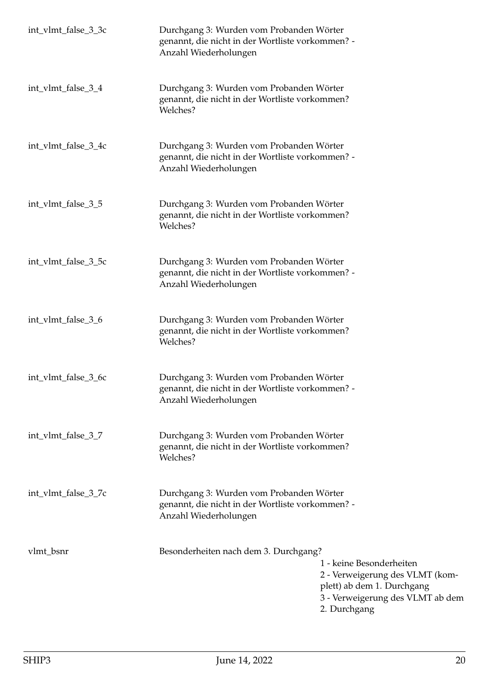| int_vlmt_false_3_3c | Durchgang 3: Wurden vom Probanden Wörter<br>genannt, die nicht in der Wortliste vorkommen? -<br>Anzahl Wiederholungen |                                                                                                                                               |
|---------------------|-----------------------------------------------------------------------------------------------------------------------|-----------------------------------------------------------------------------------------------------------------------------------------------|
| int_vlmt_false_3_4  | Durchgang 3: Wurden vom Probanden Wörter<br>genannt, die nicht in der Wortliste vorkommen?<br>Welches?                |                                                                                                                                               |
| int_vlmt_false_3_4c | Durchgang 3: Wurden vom Probanden Wörter<br>genannt, die nicht in der Wortliste vorkommen? -<br>Anzahl Wiederholungen |                                                                                                                                               |
| int_vlmt_false_3_5  | Durchgang 3: Wurden vom Probanden Wörter<br>genannt, die nicht in der Wortliste vorkommen?<br>Welches?                |                                                                                                                                               |
| int_vlmt_false_3_5c | Durchgang 3: Wurden vom Probanden Wörter<br>genannt, die nicht in der Wortliste vorkommen? -<br>Anzahl Wiederholungen |                                                                                                                                               |
| int_vlmt_false_3_6  | Durchgang 3: Wurden vom Probanden Wörter<br>genannt, die nicht in der Wortliste vorkommen?<br>Welches?                |                                                                                                                                               |
| int_vlmt_false_3_6c | Durchgang 3: Wurden vom Probanden Wörter<br>genannt, die nicht in der Wortliste vorkommen? -<br>Anzahl Wiederholungen |                                                                                                                                               |
| int_vlmt_false_3_7  | Durchgang 3: Wurden vom Probanden Wörter<br>genannt, die nicht in der Wortliste vorkommen?<br>Welches?                |                                                                                                                                               |
| int_vlmt_false_3_7c | Durchgang 3: Wurden vom Probanden Wörter<br>genannt, die nicht in der Wortliste vorkommen? -<br>Anzahl Wiederholungen |                                                                                                                                               |
| vlmt_bsnr           | Besonderheiten nach dem 3. Durchgang?                                                                                 | 1 - keine Besonderheiten<br>2 - Verweigerung des VLMT (kom-<br>plett) ab dem 1. Durchgang<br>3 - Verweigerung des VLMT ab dem<br>2. Durchgang |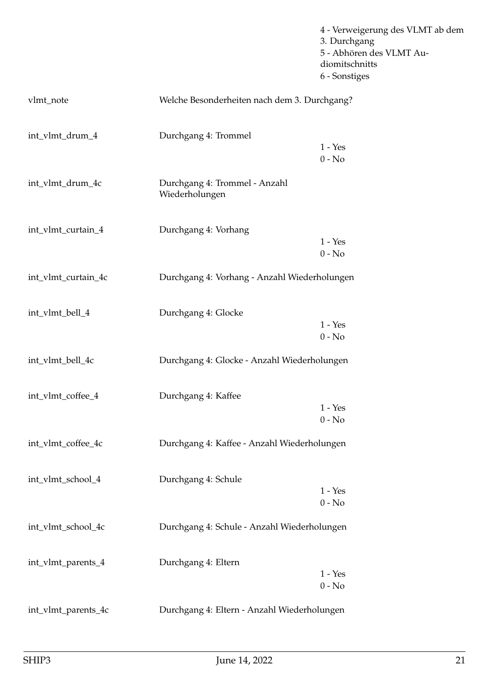|                     |                                                 | 4 - Verweigerung des VLMT ab dem<br>3. Durchgang<br>5 - Abhören des VLMT Au-<br>diomitschnitts<br>6 - Sonstiges |
|---------------------|-------------------------------------------------|-----------------------------------------------------------------------------------------------------------------|
| vlmt_note           | Welche Besonderheiten nach dem 3. Durchgang?    |                                                                                                                 |
| int_vlmt_drum_4     | Durchgang 4: Trommel                            | $1 - Yes$<br>$0$ - $\mathrm{No}$                                                                                |
| int_vlmt_drum_4c    | Durchgang 4: Trommel - Anzahl<br>Wiederholungen |                                                                                                                 |
| int_vlmt_curtain_4  | Durchgang 4: Vorhang                            | $1 - Yes$<br>$0 - No$                                                                                           |
| int_vlmt_curtain_4c | Durchgang 4: Vorhang - Anzahl Wiederholungen    |                                                                                                                 |
| int_vlmt_bell_4     | Durchgang 4: Glocke                             | $1 - Yes$<br>$0 - No$                                                                                           |
| int_vlmt_bell_4c    | Durchgang 4: Glocke - Anzahl Wiederholungen     |                                                                                                                 |
| int_vlmt_coffee_4   | Durchgang 4: Kaffee                             | $1 - Yes$<br>$0 - No$                                                                                           |
| int_vlmt_coffee_4c  | Durchgang 4: Kaffee - Anzahl Wiederholungen     |                                                                                                                 |
| int_vlmt_school_4   | Durchgang 4: Schule                             | $1 - Yes$<br>$0 - No$                                                                                           |
| int_vlmt_school_4c  | Durchgang 4: Schule - Anzahl Wiederholungen     |                                                                                                                 |
| int_vlmt_parents_4  | Durchgang 4: Eltern                             | $1 - Yes$<br>$0 - No$                                                                                           |
| int_vlmt_parents_4c | Durchgang 4: Eltern - Anzahl Wiederholungen     |                                                                                                                 |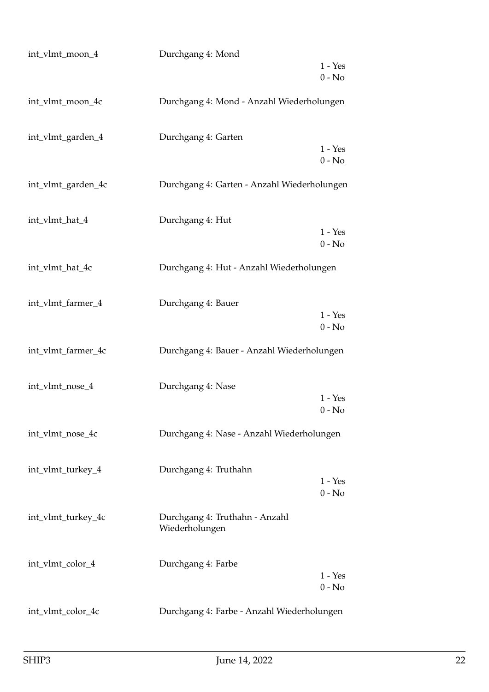| int_vlmt_moon_4    | Durchgang 4: Mond                                |                       |
|--------------------|--------------------------------------------------|-----------------------|
|                    |                                                  | $1 - Yes$<br>$0 - No$ |
| int_vlmt_moon_4c   | Durchgang 4: Mond - Anzahl Wiederholungen        |                       |
| int_vlmt_garden_4  | Durchgang 4: Garten                              | $1 - Yes$<br>$0 - No$ |
| int_vlmt_garden_4c | Durchgang 4: Garten - Anzahl Wiederholungen      |                       |
| int_vlmt_hat_4     | Durchgang 4: Hut                                 | $1 - Yes$<br>$0 - No$ |
| int_vlmt_hat_4c    | Durchgang 4: Hut - Anzahl Wiederholungen         |                       |
| int_vlmt_farmer_4  | Durchgang 4: Bauer                               | $1 - Yes$<br>$0 - No$ |
| int_vlmt_farmer_4c | Durchgang 4: Bauer - Anzahl Wiederholungen       |                       |
| int_vlmt_nose_4    | Durchgang 4: Nase                                | $1 - Yes$<br>$0 - No$ |
| int_vlmt_nose_4c   | Durchgang 4: Nase - Anzahl Wiederholungen        |                       |
| int_vlmt_turkey_4  | Durchgang 4: Truthahn                            | $1 - Yes$<br>$0 - No$ |
| int_vlmt_turkey_4c | Durchgang 4: Truthahn - Anzahl<br>Wiederholungen |                       |
| int_vlmt_color_4   | Durchgang 4: Farbe                               | $1 - Yes$<br>$0 - No$ |
| int_vlmt_color_4c  | Durchgang 4: Farbe - Anzahl Wiederholungen       |                       |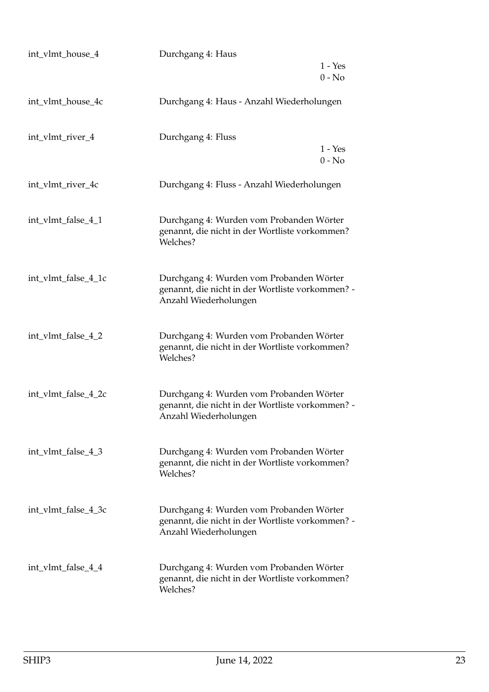| int_vlmt_house_4    | Durchgang 4: Haus                                                                                                     |           |
|---------------------|-----------------------------------------------------------------------------------------------------------------------|-----------|
|                     |                                                                                                                       | $1 - Yes$ |
|                     |                                                                                                                       | $0 - No$  |
| int_vlmt_house_4c   | Durchgang 4: Haus - Anzahl Wiederholungen                                                                             |           |
| int_vlmt_river_4    | Durchgang 4: Fluss                                                                                                    | $1 - Yes$ |
|                     |                                                                                                                       | $0 - No$  |
| int_vlmt_river_4c   | Durchgang 4: Fluss - Anzahl Wiederholungen                                                                            |           |
| int_vlmt_false_4_1  | Durchgang 4: Wurden vom Probanden Wörter<br>genannt, die nicht in der Wortliste vorkommen?<br>Welches?                |           |
| int_vlmt_false_4_1c | Durchgang 4: Wurden vom Probanden Wörter<br>genannt, die nicht in der Wortliste vorkommen? -<br>Anzahl Wiederholungen |           |
| int_vlmt_false_4_2  | Durchgang 4: Wurden vom Probanden Wörter<br>genannt, die nicht in der Wortliste vorkommen?<br>Welches?                |           |
| int_vlmt_false_4_2c | Durchgang 4: Wurden vom Probanden Wörter<br>genannt, die nicht in der Wortliste vorkommen? -<br>Anzahl Wiederholungen |           |
| int_vlmt_false_4_3  | Durchgang 4: Wurden vom Probanden Wörter<br>genannt, die nicht in der Wortliste vorkommen?<br>Welches?                |           |
| int_vlmt_false_4_3c | Durchgang 4: Wurden vom Probanden Wörter<br>genannt, die nicht in der Wortliste vorkommen? -<br>Anzahl Wiederholungen |           |
| int_vlmt_false_4_4  | Durchgang 4: Wurden vom Probanden Wörter<br>genannt, die nicht in der Wortliste vorkommen?<br>Welches?                |           |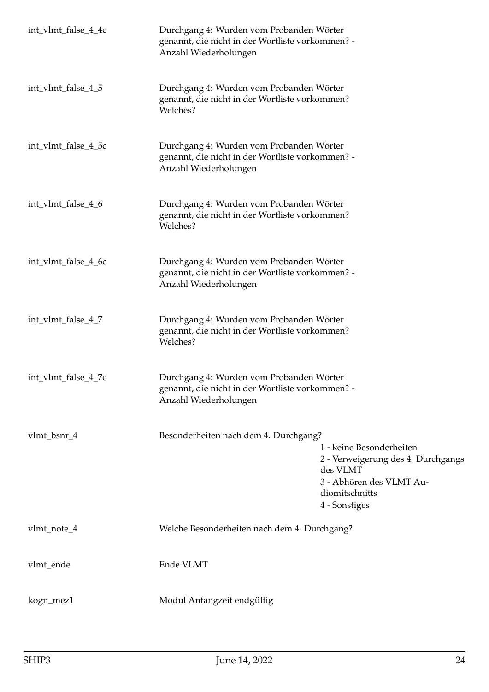| int_vlmt_false_4_4c | Durchgang 4: Wurden vom Probanden Wörter<br>genannt, die nicht in der Wortliste vorkommen? -<br>Anzahl Wiederholungen |                                                                                                                                           |
|---------------------|-----------------------------------------------------------------------------------------------------------------------|-------------------------------------------------------------------------------------------------------------------------------------------|
| int_vlmt_false_4_5  | Durchgang 4: Wurden vom Probanden Wörter<br>genannt, die nicht in der Wortliste vorkommen?<br>Welches?                |                                                                                                                                           |
| int_vlmt_false_4_5c | Durchgang 4: Wurden vom Probanden Wörter<br>genannt, die nicht in der Wortliste vorkommen? -<br>Anzahl Wiederholungen |                                                                                                                                           |
| int_vlmt_false_4_6  | Durchgang 4: Wurden vom Probanden Wörter<br>genannt, die nicht in der Wortliste vorkommen?<br>Welches?                |                                                                                                                                           |
| int_vlmt_false_4_6c | Durchgang 4: Wurden vom Probanden Wörter<br>genannt, die nicht in der Wortliste vorkommen? -<br>Anzahl Wiederholungen |                                                                                                                                           |
| int_vlmt_false_4_7  | Durchgang 4: Wurden vom Probanden Wörter<br>genannt, die nicht in der Wortliste vorkommen?<br>Welches?                |                                                                                                                                           |
| int_vlmt_false_4_7c | Durchgang 4: Wurden vom Probanden Wörter<br>genannt, die nicht in der Wortliste vorkommen? -<br>Anzahl Wiederholungen |                                                                                                                                           |
| vlmt_bsnr_4         | Besonderheiten nach dem 4. Durchgang?                                                                                 | 1 - keine Besonderheiten<br>2 - Verweigerung des 4. Durchgangs<br>des VLMT<br>3 - Abhören des VLMT Au-<br>diomitschnitts<br>4 - Sonstiges |
| vlmt_note_4         | Welche Besonderheiten nach dem 4. Durchgang?                                                                          |                                                                                                                                           |
| vlmt_ende           | Ende VLMT                                                                                                             |                                                                                                                                           |
| kogn_mez1           | Modul Anfangzeit endgültig                                                                                            |                                                                                                                                           |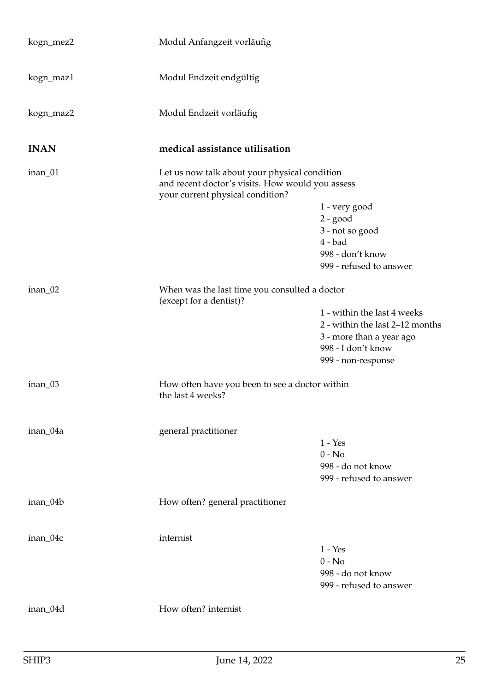<span id="page-24-0"></span>

| kogn_mez2   | Modul Anfangzeit vorläufig                                                                                                            |                                                                                                                                        |
|-------------|---------------------------------------------------------------------------------------------------------------------------------------|----------------------------------------------------------------------------------------------------------------------------------------|
| kogn_maz1   | Modul Endzeit endgültig                                                                                                               |                                                                                                                                        |
| kogn_maz2   | Modul Endzeit vorläufig                                                                                                               |                                                                                                                                        |
| <b>INAN</b> | medical assistance utilisation                                                                                                        |                                                                                                                                        |
| inan_01     | Let us now talk about your physical condition<br>and recent doctor's visits. How would you assess<br>your current physical condition? | 1 - very good<br>$2 - good$<br>3 - not so good<br>$4 - bad$<br>998 - don't know<br>999 - refused to answer                             |
| inan_02     | When was the last time you consulted a doctor<br>(except for a dentist)?                                                              | 1 - within the last 4 weeks<br>2 - within the last 2-12 months<br>3 - more than a year ago<br>998 - I don't know<br>999 - non-response |
| inan_03     | How often have you been to see a doctor within<br>the last 4 weeks?                                                                   |                                                                                                                                        |
| inan_04a    | general practitioner                                                                                                                  | $1 - Yes$<br>$0 - No$<br>998 - do not know<br>999 - refused to answer                                                                  |
| inan_04b    | How often? general practitioner                                                                                                       |                                                                                                                                        |
| inan_04c    | internist                                                                                                                             | $1 - Yes$<br>$0 - No$<br>998 - do not know<br>999 - refused to answer                                                                  |
| inan_04d    | How often? internist                                                                                                                  |                                                                                                                                        |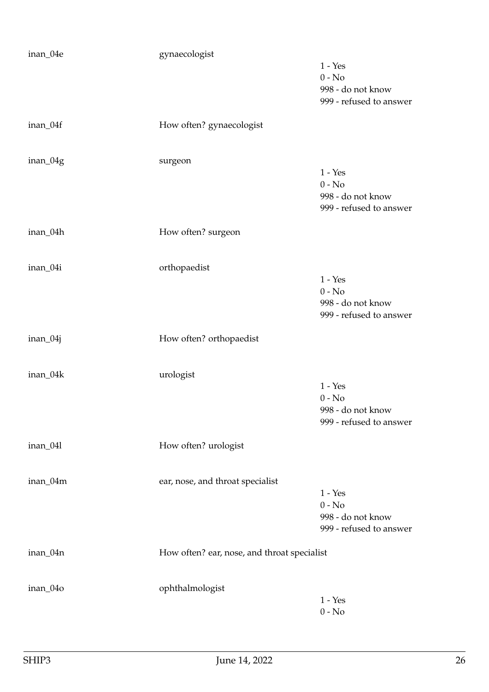| inan_04e | gynaecologist                               |                                              |
|----------|---------------------------------------------|----------------------------------------------|
|          |                                             | $1 - Yes$<br>$0 - No$                        |
|          |                                             | 998 - do not know                            |
|          |                                             | 999 - refused to answer                      |
| inan_04f | How often? gynaecologist                    |                                              |
|          |                                             |                                              |
| inan_04g | surgeon                                     | $1 - Yes$                                    |
|          |                                             | $0 - No$                                     |
|          |                                             | 998 - do not know                            |
|          |                                             | 999 - refused to answer                      |
| inan_04h | How often? surgeon                          |                                              |
| inan_04i | orthopaedist                                |                                              |
|          |                                             | $1 - Yes$                                    |
|          |                                             | $0 - No$                                     |
|          |                                             | 998 - do not know                            |
|          |                                             | 999 - refused to answer                      |
| inan_04j | How often? orthopaedist                     |                                              |
| inan_04k | urologist                                   |                                              |
|          |                                             | $1 - Yes$                                    |
|          |                                             | $0 - No$                                     |
|          |                                             | 998 - do not know<br>999 - refused to answer |
| inan_041 | How often? urologist                        |                                              |
|          |                                             |                                              |
| inan_04m | ear, nose, and throat specialist            |                                              |
|          |                                             | $1 - Yes$<br>$0 - No$                        |
|          |                                             | 998 - do not know                            |
|          |                                             | 999 - refused to answer                      |
| inan_04n | How often? ear, nose, and throat specialist |                                              |
|          |                                             |                                              |
| inan_04o | ophthalmologist                             | $1 - Yes$                                    |
|          |                                             | $0 - No$                                     |
|          |                                             |                                              |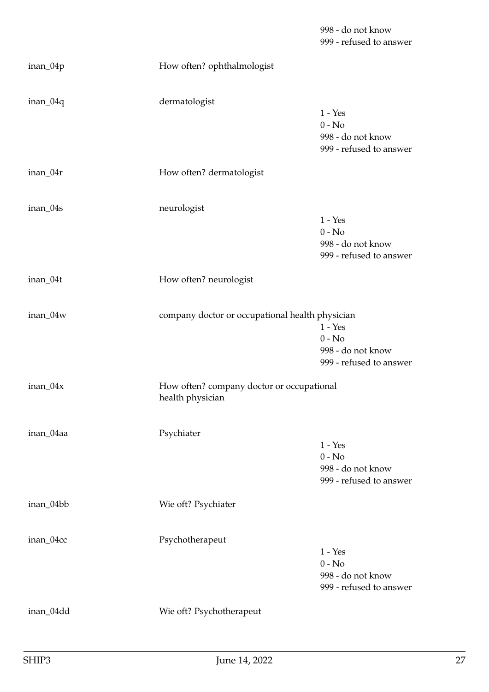998 - do not know 999 - refused to answer

| inan_04p  | How often? ophthalmologist                                    |                                                                       |
|-----------|---------------------------------------------------------------|-----------------------------------------------------------------------|
| inan_04q  | dermatologist                                                 | $1 - Yes$<br>$0 - No$<br>998 - do not know<br>999 - refused to answer |
| inan_04r  | How often? dermatologist                                      |                                                                       |
| inan_04s  | neurologist                                                   | $1 - Yes$<br>$0 - No$<br>998 - do not know<br>999 - refused to answer |
| inan_04t  | How often? neurologist                                        |                                                                       |
| inan_04w  | company doctor or occupational health physician               | $1 - Yes$<br>$0 - No$<br>998 - do not know<br>999 - refused to answer |
| inan_04x  | How often? company doctor or occupational<br>health physician |                                                                       |
| inan_04aa | Psychiater                                                    | $1 - Yes$<br>$0 - No$<br>998 - do not know<br>999 - refused to answer |
| inan_04bb | Wie oft? Psychiater                                           |                                                                       |
| inan_04cc | Psychotherapeut                                               | $1 - Yes$<br>$0 - No$<br>998 - do not know<br>999 - refused to answer |
| inan_04dd | Wie oft? Psychotherapeut                                      |                                                                       |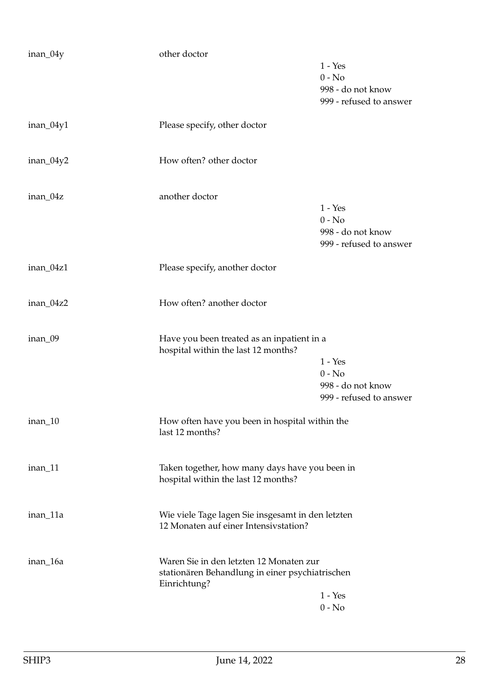| inan_04y    | other doctor                                                                                               |                                                                       |
|-------------|------------------------------------------------------------------------------------------------------------|-----------------------------------------------------------------------|
|             |                                                                                                            | $1 - Yes$<br>$0 - No$<br>998 - do not know                            |
|             |                                                                                                            | 999 - refused to answer                                               |
| inan_04y1   | Please specify, other doctor                                                                               |                                                                       |
| $inan_04y2$ | How often? other doctor                                                                                    |                                                                       |
| inan_04z    | another doctor                                                                                             |                                                                       |
|             |                                                                                                            | $1 - Yes$<br>$0 - No$<br>998 - do not know<br>999 - refused to answer |
| inan_04z1   | Please specify, another doctor                                                                             |                                                                       |
| inan_04z2   | How often? another doctor                                                                                  |                                                                       |
| inan_09     | Have you been treated as an inpatient in a<br>hospital within the last 12 months?                          | $1 - Yes$<br>$0 - No$<br>998 - do not know<br>999 - refused to answer |
| inan_10     | How often have you been in hospital within the<br>last 12 months?                                          |                                                                       |
| inan_11     | Taken together, how many days have you been in<br>hospital within the last 12 months?                      |                                                                       |
| inan_11a    | Wie viele Tage lagen Sie insgesamt in den letzten<br>12 Monaten auf einer Intensivstation?                 |                                                                       |
| inan_16a    | Waren Sie in den letzten 12 Monaten zur<br>stationären Behandlung in einer psychiatrischen<br>Einrichtung? |                                                                       |
|             |                                                                                                            | $1 - Yes$                                                             |
|             |                                                                                                            | $0 - No$                                                              |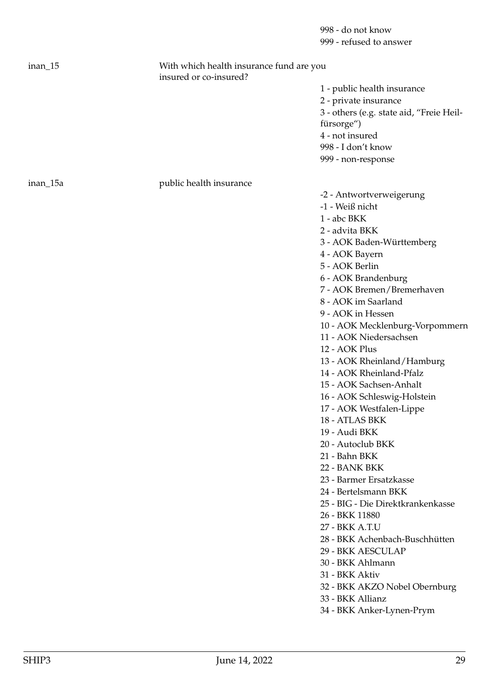998 - do not know 999 - refused to answer

| $inan_15$ | With which health insurance fund are you<br>insured or co-insured? |                |
|-----------|--------------------------------------------------------------------|----------------|
|           |                                                                    | 1              |
|           |                                                                    | $\overline{2}$ |
|           |                                                                    | 3              |
|           |                                                                    | fi             |
|           |                                                                    | 4              |
|           |                                                                    | 99             |
|           |                                                                    | 99             |
| inan_15a  | public health insurance                                            |                |
|           |                                                                    | r              |

1 - public health insurance 2 - private insurance 3 - others (e.g. state aid, "Freie Heilfürsorge") 4 - not insured 998 - I don't know 999 - non-response

-2 - Antwortverweigerung

- -1 Weiß nicht
- 1 abc BKK
- 2 advita BKK
- 3 AOK Baden-Württemberg
- 4 AOK Bayern
- 5 AOK Berlin
- 6 AOK Brandenburg
- 7 AOK Bremen/Bremerhaven
- 8 AOK im Saarland
- 9 AOK in Hessen
- 10 AOK Mecklenburg-Vorpommern
- 11 AOK Niedersachsen
- 12 AOK Plus
- 13 AOK Rheinland/Hamburg
- 14 AOK Rheinland-Pfalz
- 15 AOK Sachsen-Anhalt
- 16 AOK Schleswig-Holstein
- 17 AOK Westfalen-Lippe
- 18 ATLAS BKK
- 19 Audi BKK
- 20 Autoclub BKK
- 21 Bahn BKK
- 22 BANK BKK
- 23 Barmer Ersatzkasse
- 24 Bertelsmann BKK
- 25 BIG Die Direktkrankenkasse
- 26 BKK 11880
- 27 BKK A.T.U
- 28 BKK Achenbach-Buschhütten
- 29 BKK AESCULAP
- 30 BKK Ahlmann
- 31 BKK Aktiv
- 32 BKK AKZO Nobel Obernburg
- 33 BKK Allianz
- 34 BKK Anker-Lynen-Prym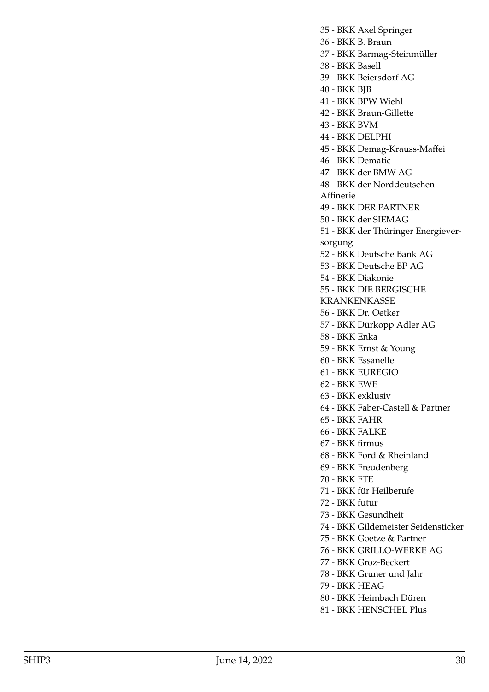35 - BKK Axel Springer

36 - BKK B. Braun

37 - BKK Barmag-Steinmüller

38 - BKK Basell

39 - BKK Beiersdorf AG

40 - BKK BJB

41 - BKK BPW Wiehl

42 - BKK Braun-Gillette

43 - BKK BVM

44 - BKK DELPHI

45 - BKK Demag-Krauss-Maffei

46 - BKK Dematic

47 - BKK der BMW AG

48 - BKK der Norddeutschen Affinerie

49 - BKK DER PARTNER

50 - BKK der SIEMAG

51 - BKK der Thüringer Energieversorgung

52 - BKK Deutsche Bank AG

53 - BKK Deutsche BP AG

54 - BKK Diakonie

55 - BKK DIE BERGISCHE

KRANKENKASSE

56 - BKK Dr. Oetker

57 - BKK Dürkopp Adler AG

58 - BKK Enka

59 - BKK Ernst & Young

60 - BKK Essanelle

61 - BKK EUREGIO

62 - BKK EWE

63 - BKK exklusiv

64 - BKK Faber-Castell & Partner

65 - BKK FAHR

66 - BKK FALKE

67 - BKK firmus

68 - BKK Ford & Rheinland

69 - BKK Freudenberg

70 - BKK FTE

71 - BKK für Heilberufe

72 - BKK futur

73 - BKK Gesundheit

74 - BKK Gildemeister Seidensticker

75 - BKK Goetze & Partner

76 - BKK GRILLO-WERKE AG

77 - BKK Groz-Beckert

78 - BKK Gruner und Jahr

79 - BKK HEAG

80 - BKK Heimbach Düren

81 - BKK HENSCHEL Plus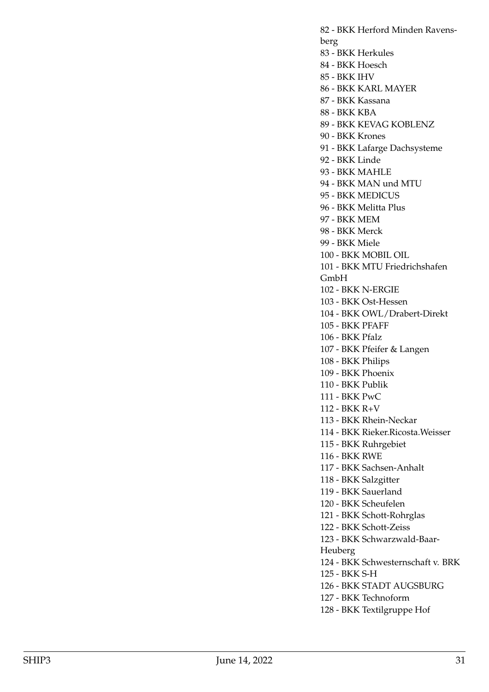82 - BKK Herford Minden Ravensberg 83 - BKK Herkules 84 - BKK Hoesch 85 - BKK IHV 86 - BKK KARL MAYER 87 - BKK Kassana 88 - BKK KBA 89 - BKK KEVAG KOBLENZ 90 - BKK Krones 91 - BKK Lafarge Dachsysteme 92 - BKK Linde 93 - BKK MAHLE 94 - BKK MAN und MTU 95 - BKK MEDICUS 96 - BKK Melitta Plus 97 - BKK MEM 98 - BKK Merck 99 - BKK Miele 100 - BKK MOBIL OIL 101 - BKK MTU Friedrichshafen GmbH 102 - BKK N-ERGIE 103 - BKK Ost-Hessen 104 - BKK OWL/Drabert-Direkt 105 - BKK PFAFF 106 - BKK Pfalz 107 - BKK Pfeifer & Langen 108 - BKK Philips 109 - BKK Phoenix 110 - BKK Publik 111 - BKK PwC 112 - BKK R+V 113 - BKK Rhein-Neckar 114 - BKK Rieker.Ricosta.Weisser 115 - BKK Ruhrgebiet 116 - BKK RWE 117 - BKK Sachsen-Anhalt 118 - BKK Salzgitter 119 - BKK Sauerland 120 - BKK Scheufelen 121 - BKK Schott-Rohrglas 122 - BKK Schott-Zeiss 123 - BKK Schwarzwald-Baar-Heuberg 124 - BKK Schwesternschaft v. BRK 125 - BKK S-H 126 - BKK STADT AUGSBURG 127 - BKK Technoform 128 - BKK Textilgruppe Hof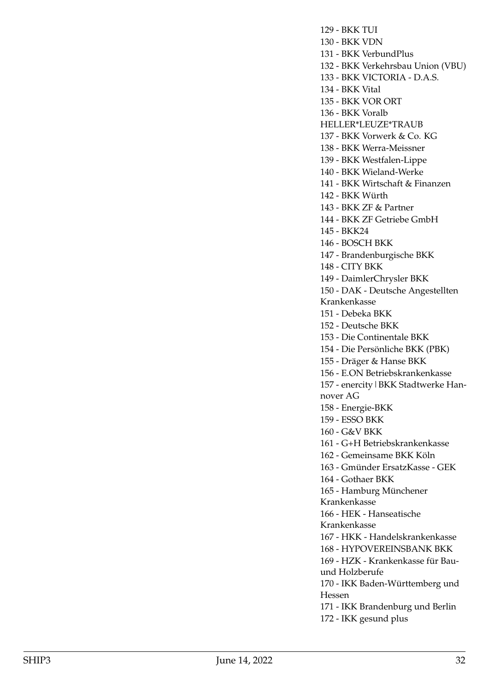129 - BKK TUI 130 - BKK VDN 131 - BKK VerbundPlus 132 - BKK Verkehrsbau Union (VBU) 133 - BKK VICTORIA - D.A.S. 134 - BKK Vital 135 - BKK VOR ORT 136 - BKK Voralb HELLER\*LEUZE\*TRAUB 137 - BKK Vorwerk & Co. KG 138 - BKK Werra-Meissner 139 - BKK Westfalen-Lippe 140 - BKK Wieland-Werke 141 - BKK Wirtschaft & Finanzen 142 - BKK Würth 143 - BKK ZF & Partner 144 - BKK ZF Getriebe GmbH 145 - BKK24 146 - BOSCH BKK 147 - Brandenburgische BKK 148 - CITY BKK 149 - DaimlerChrysler BKK 150 - DAK - Deutsche Angestellten Krankenkasse 151 - Debeka BKK 152 - Deutsche BKK 153 - Die Continentale BKK 154 - Die Persönliche BKK (PBK) 155 - Dräger & Hanse BKK 156 - E.ON Betriebskrankenkasse 157 - enercity|BKK Stadtwerke Hannover AG 158 - Energie-BKK 159 - ESSO BKK 160 - G&V BKK 161 - G+H Betriebskrankenkasse 162 - Gemeinsame BKK Köln 163 - Gmünder ErsatzKasse - GEK 164 - Gothaer BKK 165 - Hamburg Münchener Krankenkasse 166 - HEK - Hanseatische Krankenkasse 167 - HKK - Handelskrankenkasse 168 - HYPOVEREINSBANK BKK 169 - HZK - Krankenkasse für Bauund Holzberufe 170 - IKK Baden-Württemberg und Hessen 171 - IKK Brandenburg und Berlin 172 - IKK gesund plus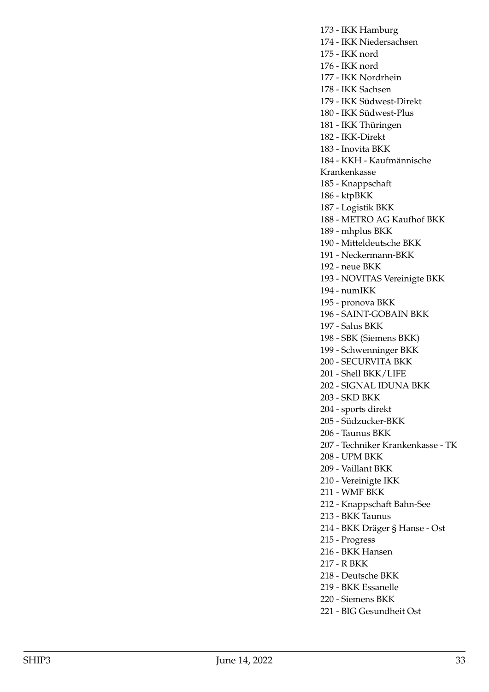173 - IKK Hamburg 174 - IKK Niedersachsen 175 - IKK nord 176 - IKK nord 177 - IKK Nordrhein 178 - IKK Sachsen 179 - IKK Südwest-Direkt 180 - IKK Südwest-Plus 181 - IKK Thüringen 182 - IKK-Direkt 183 - Inovita BKK 184 - KKH - Kaufmännische Krankenkasse 185 - Knappschaft 186 - ktpBKK 187 - Logistik BKK 188 - METRO AG Kaufhof BKK 189 - mhplus BKK 190 - Mitteldeutsche BKK 191 - Neckermann-BKK 192 - neue BKK 193 - NOVITAS Vereinigte BKK 194 - numIKK 195 - pronova BKK 196 - SAINT-GOBAIN BKK 197 - Salus BKK 198 - SBK (Siemens BKK) 199 - Schwenninger BKK 200 - SECURVITA BKK 201 - Shell BKK/LIFE 202 - SIGNAL IDUNA BKK 203 - SKD BKK 204 - sports direkt 205 - Südzucker-BKK 206 - Taunus BKK 207 - Techniker Krankenkasse - TK 208 - UPM BKK 209 - Vaillant BKK 210 - Vereinigte IKK 211 - WMF BKK 212 - Knappschaft Bahn-See 213 - BKK Taunus 214 - BKK Dräger § Hanse - Ost 215 - Progress 216 - BKK Hansen 217 - R BKK 218 - Deutsche BKK 219 - BKK Essanelle

- 220 Siemens BKK
- 221 BIG Gesundheit Ost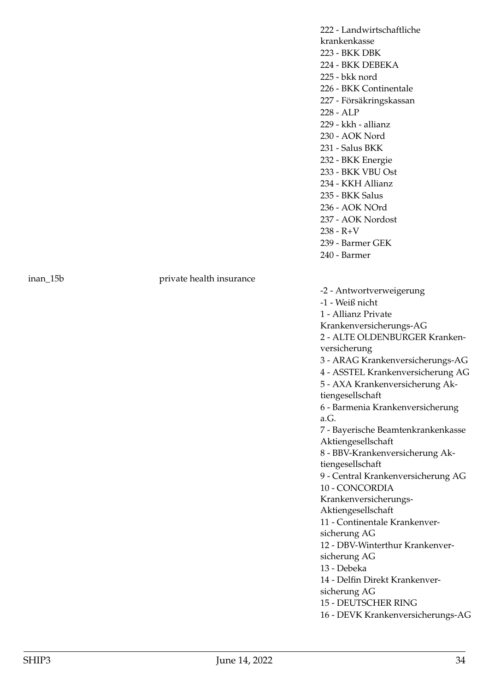inan\_15b private health insurance

222 - Landwirtschaftliche krankenkasse 223 - BKK DBK 224 - BKK DEBEKA 225 - bkk nord 226 - BKK Continentale 227 - Försäkringskassan 228 - ALP 229 - kkh - allianz 230 - AOK Nord 231 - Salus BKK 232 - BKK Energie 233 - BKK VBU Ost 234 - KKH Allianz 235 - BKK Salus 236 - AOK NOrd 237 - AOK Nordost  $238 - R + V$ 239 - Barmer GEK 240 - Barmer

-2 - Antwortverweigerung -1 - Weiß nicht 1 - Allianz Private Krankenversicherungs-AG 2 - ALTE OLDENBURGER Krankenversicherung 3 - ARAG Krankenversicherungs-AG 4 - ASSTEL Krankenversicherung AG 5 - AXA Krankenversicherung Aktiengesellschaft 6 - Barmenia Krankenversicherung a.G. 7 - Bayerische Beamtenkrankenkasse Aktiengesellschaft 8 - BBV-Krankenversicherung Aktiengesellschaft 9 - Central Krankenversicherung AG 10 - CONCORDIA Krankenversicherungs-Aktiengesellschaft 11 - Continentale Krankenversicherung AG 12 - DBV-Winterthur Krankenversicherung AG 13 - Debeka 14 - Delfin Direkt Krankenversicherung AG 15 - DEUTSCHER RING 16 - DEVK Krankenversicherungs-AG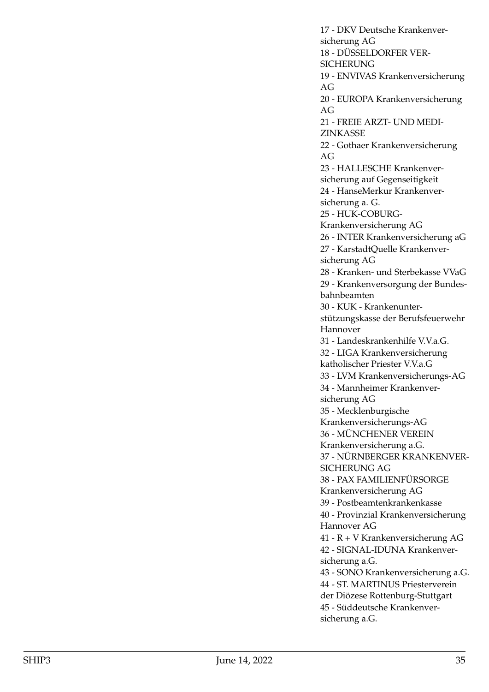17 - DKV Deutsche Krankenversicherung AG 18 - DÜSSELDORFER VER-SICHERUNG 19 - ENVIVAS Krankenversicherung AG 20 - EUROPA Krankenversicherung AG 21 - FREIE ARZT- UND MEDI-ZINKASSE 22 - Gothaer Krankenversicherung AG 23 - HALLESCHE Krankenversicherung auf Gegenseitigkeit 24 - HanseMerkur Krankenversicherung a. G. 25 - HUK-COBURG-Krankenversicherung AG 26 - INTER Krankenversicherung aG 27 - KarstadtQuelle Krankenversicherung AG 28 - Kranken- und Sterbekasse VVaG 29 - Krankenversorgung der Bundesbahnbeamten 30 - KUK - Krankenunterstützungskasse der Berufsfeuerwehr Hannover 31 - Landeskrankenhilfe V.V.a.G. 32 - LIGA Krankenversicherung katholischer Priester V.V.a.G 33 - LVM Krankenversicherungs-AG 34 - Mannheimer Krankenversicherung AG 35 - Mecklenburgische Krankenversicherungs-AG 36 - MÜNCHENER VEREIN Krankenversicherung a.G. 37 - NÜRNBERGER KRANKENVER-SICHERUNG AG 38 - PAX FAMILIENFÜRSORGE Krankenversicherung AG 39 - Postbeamtenkrankenkasse 40 - Provinzial Krankenversicherung Hannover AG 41 - R + V Krankenversicherung AG 42 - SIGNAL-IDUNA Krankenversicherung a.G. 43 - SONO Krankenversicherung a.G. 44 - ST. MARTINUS Priesterverein der Diözese Rottenburg-Stuttgart 45 - Süddeutsche Krankenversicherung a.G.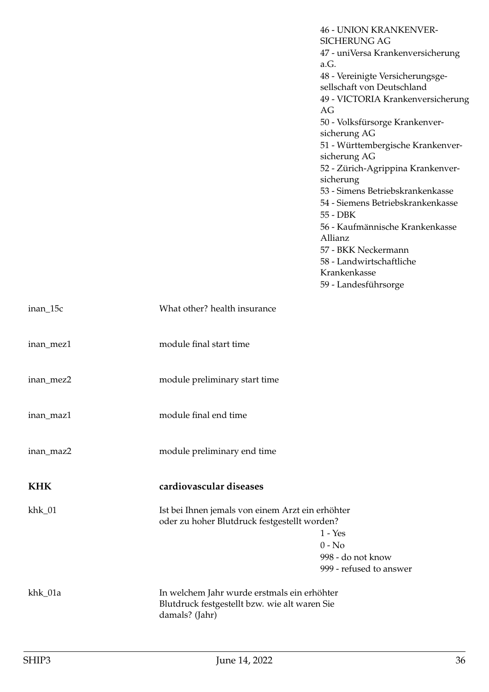<span id="page-35-0"></span>

|            |                                                                                                  | <b>46 - UNION KRANKENVER-</b><br><b>SICHERUNG AG</b> |
|------------|--------------------------------------------------------------------------------------------------|------------------------------------------------------|
|            |                                                                                                  | 47 - uniVersa Krankenversicherung                    |
|            |                                                                                                  | a.G.                                                 |
|            |                                                                                                  | 48 - Vereinigte Versicherungsge-                     |
|            |                                                                                                  | sellschaft von Deutschland                           |
|            |                                                                                                  | 49 - VICTORIA Krankenversicherung<br>AG              |
|            |                                                                                                  | 50 - Volksfürsorge Krankenver-                       |
|            |                                                                                                  | sicherung AG                                         |
|            |                                                                                                  | 51 - Württembergische Krankenver-                    |
|            |                                                                                                  | sicherung AG                                         |
|            |                                                                                                  | 52 - Zürich-Agrippina Krankenver-<br>sicherung       |
|            |                                                                                                  | 53 - Simens Betriebskrankenkasse                     |
|            |                                                                                                  | 54 - Siemens Betriebskrankenkasse<br>55 - DBK        |
|            |                                                                                                  | 56 - Kaufmännische Krankenkasse<br>Allianz           |
|            |                                                                                                  | 57 - BKK Neckermann                                  |
|            |                                                                                                  | 58 - Landwirtschaftliche                             |
|            |                                                                                                  | Krankenkasse                                         |
|            |                                                                                                  | 59 - Landesführsorge                                 |
| inan_15c   | What other? health insurance                                                                     |                                                      |
| inan_mez1  | module final start time                                                                          |                                                      |
| inan_mez2  | module preliminary start time                                                                    |                                                      |
| inan_maz1  | module final end time                                                                            |                                                      |
| inan_maz2  | module preliminary end time                                                                      |                                                      |
| <b>KHK</b> | cardiovascular diseases                                                                          |                                                      |
| $khk_01$   | Ist bei Ihnen jemals von einem Arzt ein erhöhter<br>oder zu hoher Blutdruck festgestellt worden? |                                                      |
|            |                                                                                                  | $1 - Yes$                                            |
|            |                                                                                                  | $0 - No$                                             |
|            |                                                                                                  | 998 - do not know                                    |
|            |                                                                                                  | 999 - refused to answer                              |
| khk_01a    | In welchem Jahr wurde erstmals ein erhöhter                                                      |                                                      |
|            | Blutdruck festgestellt bzw. wie alt waren Sie<br>damals? (Jahr)                                  |                                                      |
|            |                                                                                                  |                                                      |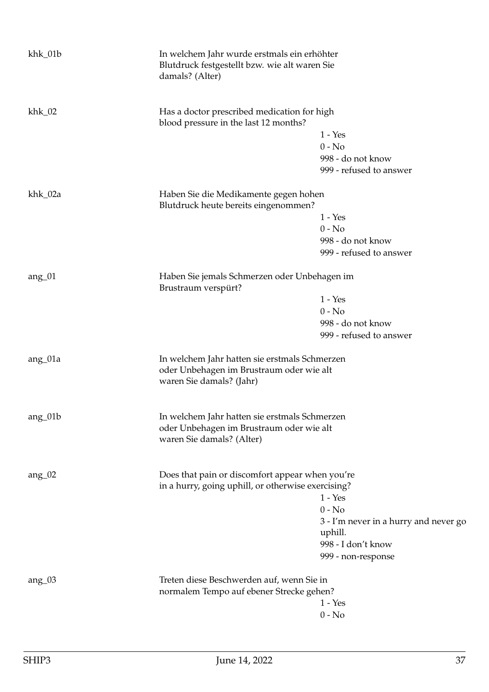| khk_01b  | In welchem Jahr wurde erstmals ein erhöhter<br>Blutdruck festgestellt bzw. wie alt waren Sie<br>damals? (Alter)        |                                       |
|----------|------------------------------------------------------------------------------------------------------------------------|---------------------------------------|
| $khk_02$ | Has a doctor prescribed medication for high<br>blood pressure in the last 12 months?                                   |                                       |
|          |                                                                                                                        | $1 - Yes$                             |
|          |                                                                                                                        | $0 - No$                              |
|          |                                                                                                                        | 998 - do not know                     |
|          |                                                                                                                        | 999 - refused to answer               |
| khk_02a  | Haben Sie die Medikamente gegen hohen                                                                                  |                                       |
|          | Blutdruck heute bereits eingenommen?                                                                                   |                                       |
|          |                                                                                                                        | $1 - Yes$                             |
|          |                                                                                                                        | $0 - No$                              |
|          |                                                                                                                        | 998 - do not know                     |
|          |                                                                                                                        | 999 - refused to answer               |
| $ang_01$ | Haben Sie jemals Schmerzen oder Unbehagen im<br>Brustraum verspürt?                                                    |                                       |
|          |                                                                                                                        | $1 - Yes$                             |
|          |                                                                                                                        | $0 - No$                              |
|          |                                                                                                                        | 998 - do not know                     |
|          |                                                                                                                        | 999 - refused to answer               |
| ang_01a  | In welchem Jahr hatten sie erstmals Schmerzen<br>oder Unbehagen im Brustraum oder wie alt<br>waren Sie damals? (Jahr)  |                                       |
| ang_01b  | In welchem Jahr hatten sie erstmals Schmerzen<br>oder Unbehagen im Brustraum oder wie alt<br>waren Sie damals? (Alter) |                                       |
| $ang_02$ | Does that pain or discomfort appear when you're<br>in a hurry, going uphill, or otherwise exercising?                  |                                       |
|          |                                                                                                                        | $1 - Yes$                             |
|          |                                                                                                                        | $0 - No$                              |
|          |                                                                                                                        | 3 - I'm never in a hurry and never go |
|          |                                                                                                                        | uphill.                               |
|          |                                                                                                                        | 998 - I don't know                    |
|          |                                                                                                                        | 999 - non-response                    |
| $ang_03$ | Treten diese Beschwerden auf, wenn Sie in                                                                              |                                       |
|          | normalem Tempo auf ebener Strecke gehen?                                                                               |                                       |
|          |                                                                                                                        | $1 - Yes$                             |
|          |                                                                                                                        | $0 - No$                              |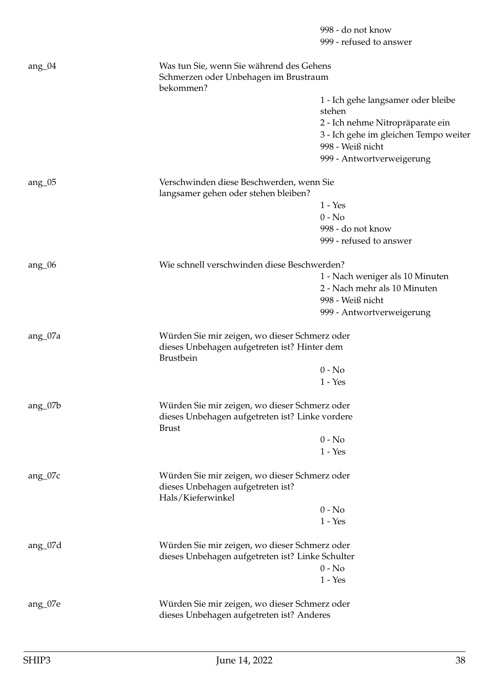|                                                                                                  | 998 - do not know<br>999 - refused to answer                                                                                                    |
|--------------------------------------------------------------------------------------------------|-------------------------------------------------------------------------------------------------------------------------------------------------|
| Was tun Sie, wenn Sie während des Gehens<br>Schmerzen oder Unbehagen im Brustraum                |                                                                                                                                                 |
|                                                                                                  | 1 - Ich gehe langsamer oder bleibe                                                                                                              |
|                                                                                                  | stehen                                                                                                                                          |
|                                                                                                  | 2 - Ich nehme Nitropräparate ein                                                                                                                |
|                                                                                                  | 3 - Ich gehe im gleichen Tempo weiter<br>998 - Weiß nicht                                                                                       |
|                                                                                                  | 999 - Antwortverweigerung                                                                                                                       |
| Verschwinden diese Beschwerden, wenn Sie<br>langsamer gehen oder stehen bleiben?                 |                                                                                                                                                 |
|                                                                                                  | $1 - Yes$                                                                                                                                       |
|                                                                                                  | $0 - No$                                                                                                                                        |
|                                                                                                  | 998 - do not know                                                                                                                               |
|                                                                                                  | 999 - refused to answer                                                                                                                         |
| Wie schnell verschwinden diese Beschwerden?                                                      |                                                                                                                                                 |
|                                                                                                  | 1 - Nach weniger als 10 Minuten                                                                                                                 |
|                                                                                                  | 2 - Nach mehr als 10 Minuten                                                                                                                    |
|                                                                                                  | 998 - Weiß nicht                                                                                                                                |
|                                                                                                  | 999 - Antwortverweigerung                                                                                                                       |
| Würden Sie mir zeigen, wo dieser Schmerz oder                                                    |                                                                                                                                                 |
| Brustbein                                                                                        |                                                                                                                                                 |
|                                                                                                  | $0 - No$                                                                                                                                        |
|                                                                                                  | $1 - Yes$                                                                                                                                       |
| Würden Sie mir zeigen, wo dieser Schmerz oder<br>dieses Unbehagen aufgetreten ist? Linke vordere |                                                                                                                                                 |
|                                                                                                  |                                                                                                                                                 |
|                                                                                                  | $0 - No$                                                                                                                                        |
|                                                                                                  | $1 - Yes$                                                                                                                                       |
| Würden Sie mir zeigen, wo dieser Schmerz oder<br>dieses Unbehagen aufgetreten ist?               |                                                                                                                                                 |
|                                                                                                  | $0 - No$                                                                                                                                        |
|                                                                                                  | $1 - Yes$                                                                                                                                       |
|                                                                                                  |                                                                                                                                                 |
| dieses Unbehagen aufgetreten ist? Linke Schulter                                                 |                                                                                                                                                 |
|                                                                                                  | $0 - No$                                                                                                                                        |
|                                                                                                  | $1 - Yes$                                                                                                                                       |
| Würden Sie mir zeigen, wo dieser Schmerz oder<br>dieses Unbehagen aufgetreten ist? Anderes       |                                                                                                                                                 |
|                                                                                                  | bekommen?<br>dieses Unbehagen aufgetreten ist? Hinter dem<br><b>Brust</b><br>Hals/Kieferwinkel<br>Würden Sie mir zeigen, wo dieser Schmerz oder |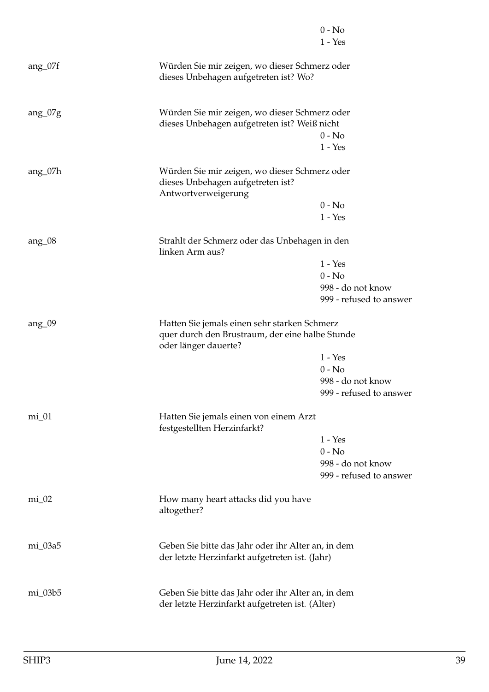|              |                                                                                                                         | $0 - No$<br>$1 - Yes$                        |
|--------------|-------------------------------------------------------------------------------------------------------------------------|----------------------------------------------|
| $ang_07f$    | Würden Sie mir zeigen, wo dieser Schmerz oder<br>dieses Unbehagen aufgetreten ist? Wo?                                  |                                              |
| $ang_07g$    | Würden Sie mir zeigen, wo dieser Schmerz oder<br>dieses Unbehagen aufgetreten ist? Weiß nicht                           |                                              |
|              |                                                                                                                         | $0 - No$<br>$1 - Yes$                        |
| $ang_07h$    | Würden Sie mir zeigen, wo dieser Schmerz oder<br>dieses Unbehagen aufgetreten ist?<br>Antwortverweigerung               |                                              |
|              |                                                                                                                         | $0 - No$                                     |
|              |                                                                                                                         | $1 - Yes$                                    |
| ang $_{.08}$ | Strahlt der Schmerz oder das Unbehagen in den<br>linken Arm aus?                                                        |                                              |
|              |                                                                                                                         | $1 - Yes$                                    |
|              |                                                                                                                         | $0 - No$                                     |
|              |                                                                                                                         | 998 - do not know                            |
|              |                                                                                                                         | 999 - refused to answer                      |
| $ang_0$ 09   | Hatten Sie jemals einen sehr starken Schmerz<br>quer durch den Brustraum, der eine halbe Stunde<br>oder länger dauerte? |                                              |
|              |                                                                                                                         | $1 - Yes$                                    |
|              |                                                                                                                         | $0 - No$                                     |
|              |                                                                                                                         | 998 - do not know<br>999 - refused to answer |
| $mi_01$      | Hatten Sie jemals einen von einem Arzt<br>festgestellten Herzinfarkt?                                                   |                                              |
|              |                                                                                                                         | $1 - Yes$                                    |
|              |                                                                                                                         | $0 - No$                                     |
|              |                                                                                                                         | 998 - do not know                            |
|              |                                                                                                                         | 999 - refused to answer                      |
| $mi_02$      | How many heart attacks did you have<br>altogether?                                                                      |                                              |
| mi_03a5      | Geben Sie bitte das Jahr oder ihr Alter an, in dem<br>der letzte Herzinfarkt aufgetreten ist. (Jahr)                    |                                              |
| mi_03b5      | Geben Sie bitte das Jahr oder ihr Alter an, in dem<br>der letzte Herzinfarkt aufgetreten ist. (Alter)                   |                                              |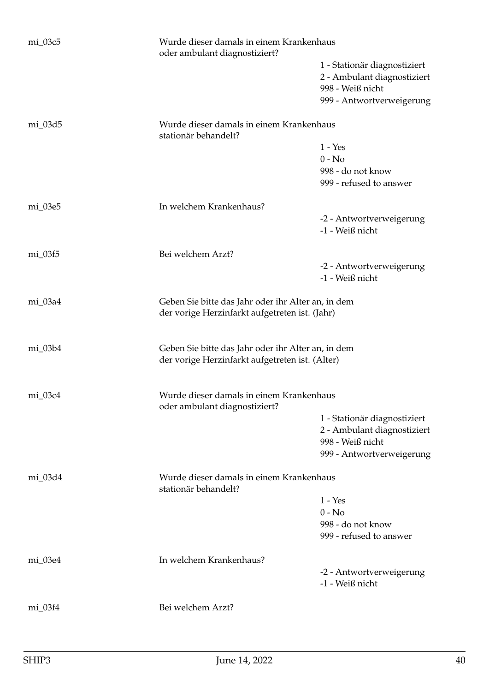| mi_03c5   | Wurde dieser damals in einem Krankenhaus<br>oder ambulant diagnostiziert?                             |                                                                                                              |
|-----------|-------------------------------------------------------------------------------------------------------|--------------------------------------------------------------------------------------------------------------|
|           |                                                                                                       | 1 - Stationär diagnostiziert<br>2 - Ambulant diagnostiziert<br>998 - Weiß nicht<br>999 - Antwortverweigerung |
| mi_03d5   | Wurde dieser damals in einem Krankenhaus                                                              |                                                                                                              |
|           | stationär behandelt?                                                                                  | $1 - Yes$                                                                                                    |
|           |                                                                                                       | $0 - No$                                                                                                     |
|           |                                                                                                       | 998 - do not know                                                                                            |
|           |                                                                                                       | 999 - refused to answer                                                                                      |
| mi_03e5   | In welchem Krankenhaus?                                                                               |                                                                                                              |
|           |                                                                                                       | -2 - Antwortverweigerung<br>-1 - Weiß nicht                                                                  |
| mi_03f5   | Bei welchem Arzt?                                                                                     |                                                                                                              |
|           |                                                                                                       | -2 - Antwortverweigerung<br>-1 - Weiß nicht                                                                  |
| mi_03a4   | Geben Sie bitte das Jahr oder ihr Alter an, in dem<br>der vorige Herzinfarkt aufgetreten ist. (Jahr)  |                                                                                                              |
| $mi_03b4$ | Geben Sie bitte das Jahr oder ihr Alter an, in dem<br>der vorige Herzinfarkt aufgetreten ist. (Alter) |                                                                                                              |
| mi_03c4   | Wurde dieser damals in einem Krankenhaus<br>oder ambulant diagnostiziert?                             |                                                                                                              |
|           |                                                                                                       | 1 - Stationär diagnostiziert                                                                                 |
|           |                                                                                                       | 2 - Ambulant diagnostiziert                                                                                  |
|           |                                                                                                       | 998 - Weiß nicht<br>999 - Antwortverweigerung                                                                |
| mi_03d4   | Wurde dieser damals in einem Krankenhaus<br>stationär behandelt?                                      |                                                                                                              |
|           |                                                                                                       | $1 - Yes$                                                                                                    |
|           |                                                                                                       | $0 - No$                                                                                                     |
|           |                                                                                                       | 998 - do not know                                                                                            |
|           |                                                                                                       | 999 - refused to answer                                                                                      |
| mi_03e4   | In welchem Krankenhaus?                                                                               |                                                                                                              |
|           |                                                                                                       | -2 - Antwortverweigerung<br>-1 - Weiß nicht                                                                  |
| mi_03f4   | Bei welchem Arzt?                                                                                     |                                                                                                              |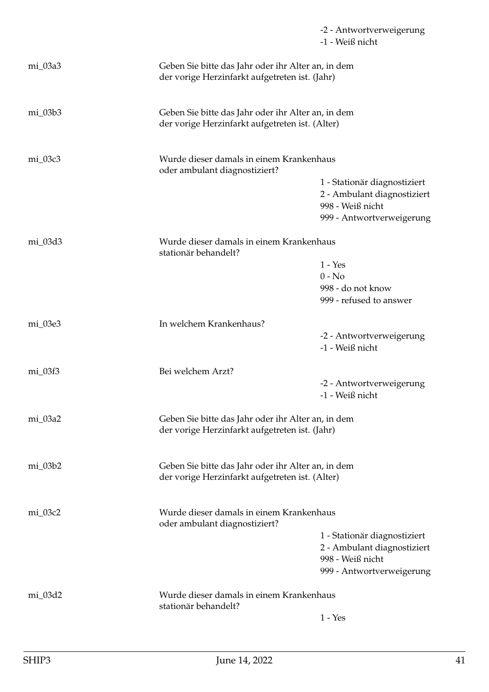|           |                                                                                                       | -2 - Antwortverweigerung<br>-1 - Weiß nicht                                     |
|-----------|-------------------------------------------------------------------------------------------------------|---------------------------------------------------------------------------------|
| mi_03a3   | Geben Sie bitte das Jahr oder ihr Alter an, in dem<br>der vorige Herzinfarkt aufgetreten ist. (Jahr)  |                                                                                 |
| $mi_03b3$ | Geben Sie bitte das Jahr oder ihr Alter an, in dem<br>der vorige Herzinfarkt aufgetreten ist. (Alter) |                                                                                 |
| mi_03c3   | Wurde dieser damals in einem Krankenhaus<br>oder ambulant diagnostiziert?                             |                                                                                 |
|           |                                                                                                       | 1 - Stationär diagnostiziert<br>2 - Ambulant diagnostiziert<br>998 - Weiß nicht |
|           |                                                                                                       | 999 - Antwortverweigerung                                                       |
| mi_03d3   | Wurde dieser damals in einem Krankenhaus<br>stationär behandelt?                                      |                                                                                 |
|           |                                                                                                       | $1 - Yes$                                                                       |
|           |                                                                                                       | $0 - No$<br>998 - do not know                                                   |
|           |                                                                                                       | 999 - refused to answer                                                         |
| mi_03e3   | In welchem Krankenhaus?                                                                               |                                                                                 |
|           |                                                                                                       | -2 - Antwortverweigerung<br>-1 - Weiß nicht                                     |
| $mi_03f3$ | Bei welchem Arzt?                                                                                     |                                                                                 |
|           |                                                                                                       | -2 - Antwortverweigerung<br>-1 - Weiß nicht                                     |
| mi_03a2   | Geben Sie bitte das Jahr oder ihr Alter an, in dem<br>der vorige Herzinfarkt aufgetreten ist. (Jahr)  |                                                                                 |
| mi_03b2   | Geben Sie bitte das Jahr oder ihr Alter an, in dem<br>der vorige Herzinfarkt aufgetreten ist. (Alter) |                                                                                 |
| mi_03c2   | Wurde dieser damals in einem Krankenhaus<br>oder ambulant diagnostiziert?                             |                                                                                 |
|           |                                                                                                       | 1 - Stationär diagnostiziert                                                    |
|           |                                                                                                       | 2 - Ambulant diagnostiziert<br>998 - Weiß nicht                                 |
|           |                                                                                                       | 999 - Antwortverweigerung                                                       |
| mi_03d2   | Wurde dieser damals in einem Krankenhaus<br>stationär behandelt?                                      |                                                                                 |
|           |                                                                                                       | $1 - Yes$                                                                       |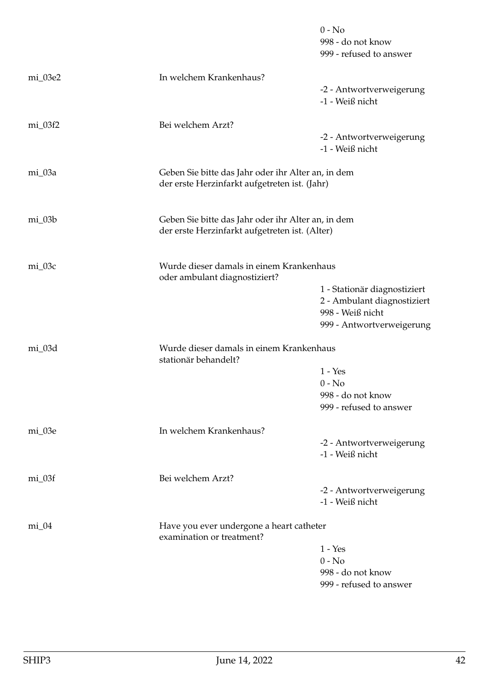|           |                                                                                                      | $0 - No$<br>998 - do not know<br>999 - refused to answer                        |
|-----------|------------------------------------------------------------------------------------------------------|---------------------------------------------------------------------------------|
| mi_03e2   | In welchem Krankenhaus?                                                                              |                                                                                 |
|           |                                                                                                      | -2 - Antwortverweigerung<br>-1 - Weiß nicht                                     |
| $mi_03f2$ | Bei welchem Arzt?                                                                                    |                                                                                 |
|           |                                                                                                      | -2 - Antwortverweigerung<br>-1 - Weiß nicht                                     |
| mi_03a    | Geben Sie bitte das Jahr oder ihr Alter an, in dem<br>der erste Herzinfarkt aufgetreten ist. (Jahr)  |                                                                                 |
| $mi_03b$  | Geben Sie bitte das Jahr oder ihr Alter an, in dem<br>der erste Herzinfarkt aufgetreten ist. (Alter) |                                                                                 |
| mi_03c    | Wurde dieser damals in einem Krankenhaus<br>oder ambulant diagnostiziert?                            |                                                                                 |
|           |                                                                                                      | 1 - Stationär diagnostiziert<br>2 - Ambulant diagnostiziert<br>998 - Weiß nicht |
|           |                                                                                                      | 999 - Antwortverweigerung                                                       |
| mi_03d    | Wurde dieser damals in einem Krankenhaus<br>stationär behandelt?                                     |                                                                                 |
|           |                                                                                                      | $1 - Yes$                                                                       |
|           |                                                                                                      | $0 - No$<br>998 - do not know                                                   |
|           |                                                                                                      | 999 - refused to answer                                                         |
| mi_03e    | In welchem Krankenhaus?                                                                              |                                                                                 |
|           |                                                                                                      | -2 - Antwortverweigerung                                                        |
|           |                                                                                                      | -1 - Weiß nicht                                                                 |
| $mi_03f$  | Bei welchem Arzt?                                                                                    |                                                                                 |
|           |                                                                                                      | -2 - Antwortverweigerung<br>-1 - Weiß nicht                                     |
| $mi_04$   | Have you ever undergone a heart catheter<br>examination or treatment?                                |                                                                                 |
|           |                                                                                                      | $1 - Yes$                                                                       |
|           |                                                                                                      | $0 - No$                                                                        |
|           |                                                                                                      | 998 - do not know<br>999 - refused to answer                                    |
|           |                                                                                                      |                                                                                 |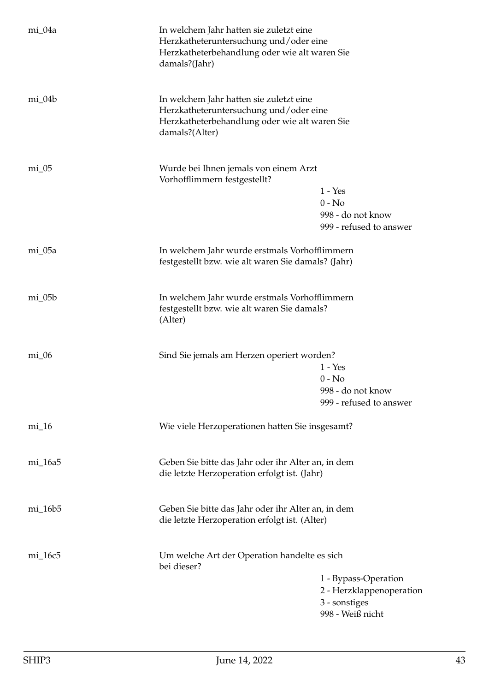| mi_04a     | In welchem Jahr hatten sie zuletzt eine<br>Herzkatheteruntersuchung und/oder eine<br>Herzkatheterbehandlung oder wie alt waren Sie<br>damals?(Jahr)  |  |
|------------|------------------------------------------------------------------------------------------------------------------------------------------------------|--|
| $mi_04b$   | In welchem Jahr hatten sie zuletzt eine<br>Herzkatheteruntersuchung und/oder eine<br>Herzkatheterbehandlung oder wie alt waren Sie<br>damals?(Alter) |  |
| $mi_05$    | Wurde bei Ihnen jemals von einem Arzt<br>Vorhofflimmern festgestellt?<br>$1 - Yes$<br>$0 - No$<br>998 - do not know<br>999 - refused to answer       |  |
| mi_05a     | In welchem Jahr wurde erstmals Vorhofflimmern<br>festgestellt bzw. wie alt waren Sie damals? (Jahr)                                                  |  |
| $mi_05b$   | In welchem Jahr wurde erstmals Vorhofflimmern<br>festgestellt bzw. wie alt waren Sie damals?<br>(Alter)                                              |  |
| $mi_0$     | Sind Sie jemals am Herzen operiert worden?<br>$1 - Yes$<br>$0 - No$<br>998 - do not know<br>999 - refused to answer                                  |  |
| $mi_16$    | Wie viele Herzoperationen hatten Sie insgesamt?                                                                                                      |  |
| mi_16a5    | Geben Sie bitte das Jahr oder ihr Alter an, in dem<br>die letzte Herzoperation erfolgt ist. (Jahr)                                                   |  |
| $mi_16b_5$ | Geben Sie bitte das Jahr oder ihr Alter an, in dem<br>die letzte Herzoperation erfolgt ist. (Alter)                                                  |  |
| mi_16c5    | Um welche Art der Operation handelte es sich<br>bei dieser?<br>1 - Bypass-Operation<br>2 - Herzklappenoperation<br>3 - sonstiges<br>998 - Weiß nicht |  |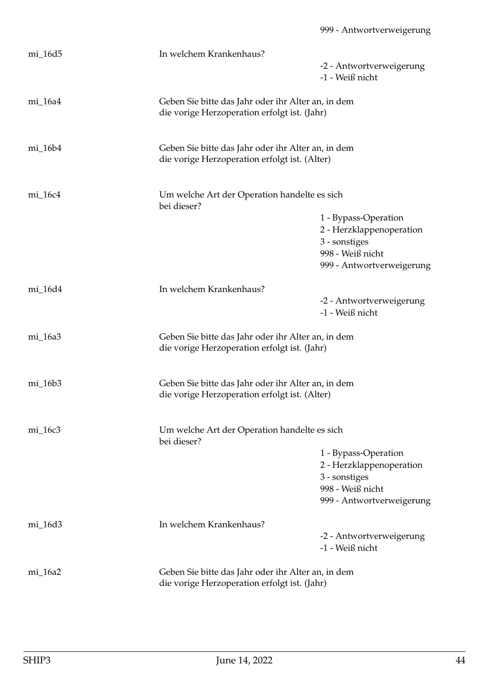| mi_16d5   | In welchem Krankenhaus?                                                                             |                                                                                                                    |
|-----------|-----------------------------------------------------------------------------------------------------|--------------------------------------------------------------------------------------------------------------------|
|           |                                                                                                     | -2 - Antwortverweigerung                                                                                           |
|           |                                                                                                     | -1 - Weiß nicht                                                                                                    |
| mi_16a4   | Geben Sie bitte das Jahr oder ihr Alter an, in dem<br>die vorige Herzoperation erfolgt ist. (Jahr)  |                                                                                                                    |
| mi_16b4   | Geben Sie bitte das Jahr oder ihr Alter an, in dem<br>die vorige Herzoperation erfolgt ist. (Alter) |                                                                                                                    |
| $mi_16c4$ | Um welche Art der Operation handelte es sich<br>bei dieser?                                         |                                                                                                                    |
|           |                                                                                                     | 1 - Bypass-Operation<br>2 - Herzklappenoperation<br>3 - sonstiges<br>998 - Weiß nicht<br>999 - Antwortverweigerung |
|           | In welchem Krankenhaus?                                                                             |                                                                                                                    |
| mi_16d4   |                                                                                                     | -2 - Antwortverweigerung<br>-1 - Weiß nicht                                                                        |
| mi_16a3   | Geben Sie bitte das Jahr oder ihr Alter an, in dem<br>die vorige Herzoperation erfolgt ist. (Jahr)  |                                                                                                                    |
| $mi_16b3$ | Geben Sie bitte das Jahr oder ihr Alter an, in dem<br>die vorige Herzoperation erfolgt ist. (Alter) |                                                                                                                    |
| mi_16c3   | Um welche Art der Operation handelte es sich<br>bei dieser?                                         |                                                                                                                    |
|           |                                                                                                     | 1 - Bypass-Operation<br>2 - Herzklappenoperation<br>3 - sonstiges<br>998 - Weiß nicht<br>999 - Antwortverweigerung |
| mi_16d3   | In welchem Krankenhaus?                                                                             |                                                                                                                    |
|           |                                                                                                     | -2 - Antwortverweigerung<br>-1 - Weiß nicht                                                                        |
| mi_16a2   | Geben Sie bitte das Jahr oder ihr Alter an, in dem<br>die vorige Herzoperation erfolgt ist. (Jahr)  |                                                                                                                    |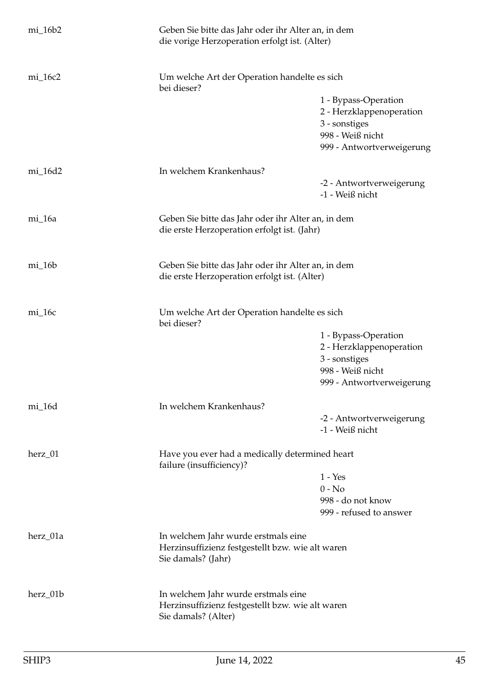| $mi_16b2$                                                                             | Geben Sie bitte das Jahr oder ihr Alter an, in dem<br>die vorige Herzoperation erfolgt ist. (Alter)            |                                                                                                                    |
|---------------------------------------------------------------------------------------|----------------------------------------------------------------------------------------------------------------|--------------------------------------------------------------------------------------------------------------------|
| $mi_16c2$                                                                             | Um welche Art der Operation handelte es sich<br>bei dieser?                                                    |                                                                                                                    |
|                                                                                       |                                                                                                                | 1 - Bypass-Operation<br>2 - Herzklappenoperation<br>3 - sonstiges<br>998 - Weiß nicht<br>999 - Antwortverweigerung |
| mi_16d2                                                                               | In welchem Krankenhaus?                                                                                        |                                                                                                                    |
|                                                                                       |                                                                                                                | -2 - Antwortverweigerung<br>-1 - Weiß nicht                                                                        |
| mi_16a                                                                                | Geben Sie bitte das Jahr oder ihr Alter an, in dem<br>die erste Herzoperation erfolgt ist. (Jahr)              |                                                                                                                    |
| $mi_16b$                                                                              | Geben Sie bitte das Jahr oder ihr Alter an, in dem<br>die erste Herzoperation erfolgt ist. (Alter)             |                                                                                                                    |
| $mi_16c$                                                                              | Um welche Art der Operation handelte es sich<br>bei dieser?                                                    |                                                                                                                    |
|                                                                                       |                                                                                                                | 1 - Bypass-Operation<br>2 - Herzklappenoperation<br>3 - sonstiges<br>998 - Weiß nicht<br>999 - Antwortverweigerung |
| mi_16d                                                                                | In welchem Krankenhaus?                                                                                        |                                                                                                                    |
|                                                                                       |                                                                                                                | -2 - Antwortverweigerung<br>-1 - Weiß nicht                                                                        |
| herz_01<br>Have you ever had a medically determined heart<br>failure (insufficiency)? |                                                                                                                |                                                                                                                    |
|                                                                                       |                                                                                                                | $1 - Yes$<br>$0 - No$                                                                                              |
|                                                                                       |                                                                                                                | 998 - do not know                                                                                                  |
|                                                                                       |                                                                                                                | 999 - refused to answer                                                                                            |
| herz_01a                                                                              | In welchem Jahr wurde erstmals eine<br>Herzinsuffizienz festgestellt bzw. wie alt waren<br>Sie damals? (Jahr)  |                                                                                                                    |
| herz_01b                                                                              | In welchem Jahr wurde erstmals eine<br>Herzinsuffizienz festgestellt bzw. wie alt waren<br>Sie damals? (Alter) |                                                                                                                    |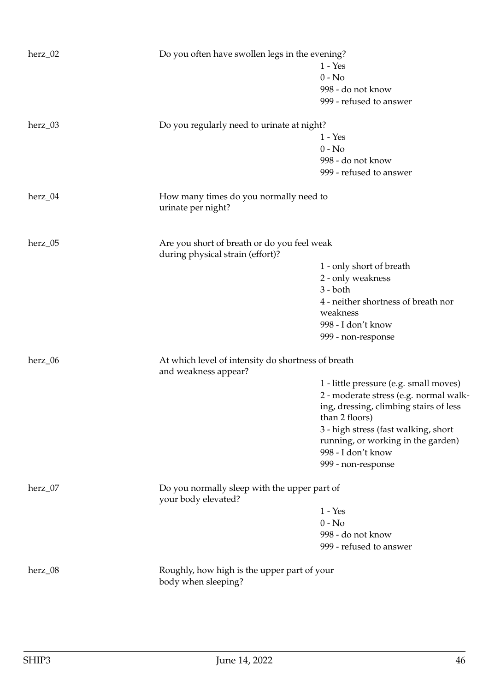| herz_02   | Do you often have swollen legs in the evening?                      |                                        |
|-----------|---------------------------------------------------------------------|----------------------------------------|
|           |                                                                     | $1 - Yes$                              |
|           |                                                                     | $0 - No$                               |
|           |                                                                     | 998 - do not know                      |
|           |                                                                     | 999 - refused to answer                |
|           |                                                                     |                                        |
| $herz_03$ | Do you regularly need to urinate at night?                          |                                        |
|           |                                                                     | $1 - Yes$                              |
|           |                                                                     | $0 - No$                               |
|           |                                                                     | 998 - do not know                      |
|           |                                                                     | 999 - refused to answer                |
| herz_04   | How many times do you normally need to                              |                                        |
|           | urinate per night?                                                  |                                        |
|           |                                                                     |                                        |
| herz_05   | Are you short of breath or do you feel weak                         |                                        |
|           | during physical strain (effort)?                                    |                                        |
|           |                                                                     | 1 - only short of breath               |
|           |                                                                     | 2 - only weakness                      |
|           |                                                                     | $3 - both$                             |
|           |                                                                     | 4 - neither shortness of breath nor    |
|           |                                                                     | weakness                               |
|           |                                                                     | 998 - I don't know                     |
|           |                                                                     | 999 - non-response                     |
| herz_06   | At which level of intensity do shortness of breath                  |                                        |
|           | and weakness appear?                                                |                                        |
|           |                                                                     | 1 - little pressure (e.g. small moves) |
|           |                                                                     | 2 - moderate stress (e.g. normal walk- |
|           |                                                                     | ing, dressing, climbing stairs of less |
|           |                                                                     | than 2 floors)                         |
|           |                                                                     | 3 - high stress (fast walking, short   |
|           |                                                                     | running, or working in the garden)     |
|           |                                                                     | 998 - I don't know                     |
|           |                                                                     | 999 - non-response                     |
|           |                                                                     |                                        |
| herz_07   | Do you normally sleep with the upper part of<br>your body elevated? |                                        |
|           |                                                                     | $1 - Yes$                              |
|           |                                                                     | $0 - No$                               |
|           |                                                                     | 998 - do not know                      |
|           |                                                                     | 999 - refused to answer                |
|           |                                                                     |                                        |
| herz_08   | Roughly, how high is the upper part of your<br>body when sleeping?  |                                        |
|           |                                                                     |                                        |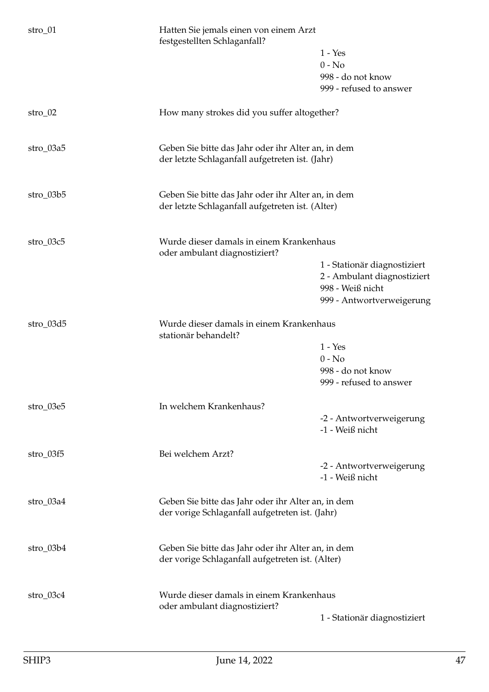| $1 - Yes$<br>$0 - No$                                                                                              |  |
|--------------------------------------------------------------------------------------------------------------------|--|
|                                                                                                                    |  |
|                                                                                                                    |  |
| 998 - do not know                                                                                                  |  |
| 999 - refused to answer                                                                                            |  |
| $stro_02$<br>How many strokes did you suffer altogether?                                                           |  |
| stro_03a5<br>Geben Sie bitte das Jahr oder ihr Alter an, in dem<br>der letzte Schlaganfall aufgetreten ist. (Jahr) |  |
|                                                                                                                    |  |
| stro_03b5<br>Geben Sie bitte das Jahr oder ihr Alter an, in dem                                                    |  |
| der letzte Schlaganfall aufgetreten ist. (Alter)                                                                   |  |
| Wurde dieser damals in einem Krankenhaus<br>stro_03c5<br>oder ambulant diagnostiziert?                             |  |
| 1 - Stationär diagnostiziert                                                                                       |  |
| 2 - Ambulant diagnostiziert                                                                                        |  |
| 998 - Weiß nicht                                                                                                   |  |
| 999 - Antwortverweigerung                                                                                          |  |
| Wurde dieser damals in einem Krankenhaus<br>stro_03d5<br>stationär behandelt?                                      |  |
| $1 - Yes$                                                                                                          |  |
| $0 - No$                                                                                                           |  |
| 998 - do not know<br>999 - refused to answer                                                                       |  |
|                                                                                                                    |  |
| In welchem Krankenhaus?<br>stro_03e5                                                                               |  |
| -2 - Antwortverweigerung<br>-1 - Weiß nicht                                                                        |  |
|                                                                                                                    |  |
| Bei welchem Arzt?<br>$stro_03f5$                                                                                   |  |
| -2 - Antwortverweigerung<br>-1 - Weiß nicht                                                                        |  |
|                                                                                                                    |  |
| stro_03a4<br>Geben Sie bitte das Jahr oder ihr Alter an, in dem                                                    |  |
| der vorige Schlaganfall aufgetreten ist. (Jahr)                                                                    |  |
| Geben Sie bitte das Jahr oder ihr Alter an, in dem<br>$stro_03b4$                                                  |  |
| der vorige Schlaganfall aufgetreten ist. (Alter)                                                                   |  |
|                                                                                                                    |  |
| Wurde dieser damals in einem Krankenhaus<br>$stro_03c4$<br>oder ambulant diagnostiziert?                           |  |
| 1 - Stationär diagnostiziert                                                                                       |  |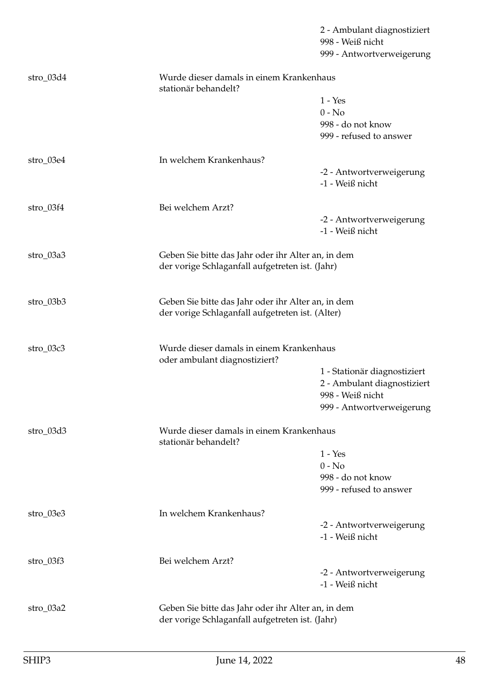|             |                                                                                                        | 2 - Ambulant diagnostiziert<br>998 - Weiß nicht<br>999 - Antwortverweigerung |
|-------------|--------------------------------------------------------------------------------------------------------|------------------------------------------------------------------------------|
| $stro_03d4$ | Wurde dieser damals in einem Krankenhaus<br>stationär behandelt?                                       |                                                                              |
|             |                                                                                                        | $1 - Yes$                                                                    |
|             |                                                                                                        | $0 - No$                                                                     |
|             |                                                                                                        | 998 - do not know                                                            |
|             |                                                                                                        | 999 - refused to answer                                                      |
| $stro_03e4$ | In welchem Krankenhaus?                                                                                |                                                                              |
|             |                                                                                                        | -2 - Antwortverweigerung                                                     |
|             |                                                                                                        | -1 - Weiß nicht                                                              |
| $stro_03f4$ | Bei welchem Arzt?                                                                                      |                                                                              |
|             |                                                                                                        | -2 - Antwortverweigerung                                                     |
|             |                                                                                                        | -1 - Weiß nicht                                                              |
| $stro_03a3$ | Geben Sie bitte das Jahr oder ihr Alter an, in dem<br>der vorige Schlaganfall aufgetreten ist. (Jahr)  |                                                                              |
| $stro_03b3$ | Geben Sie bitte das Jahr oder ihr Alter an, in dem<br>der vorige Schlaganfall aufgetreten ist. (Alter) |                                                                              |
| stro_03c3   | Wurde dieser damals in einem Krankenhaus                                                               |                                                                              |
|             | oder ambulant diagnostiziert?                                                                          | 1 - Stationär diagnostiziert                                                 |
|             |                                                                                                        | 2 - Ambulant diagnostiziert                                                  |
|             |                                                                                                        | 998 - Weiß nicht                                                             |
|             |                                                                                                        | 999 - Antwortverweigerung                                                    |
| $stro_03d3$ | Wurde dieser damals in einem Krankenhaus<br>stationär behandelt?                                       |                                                                              |
|             |                                                                                                        | $1 - Yes$                                                                    |
|             |                                                                                                        | $0 - No$                                                                     |
|             |                                                                                                        | 998 - do not know                                                            |
|             |                                                                                                        | 999 - refused to answer                                                      |
| stro_03e3   | In welchem Krankenhaus?                                                                                |                                                                              |
|             |                                                                                                        | -2 - Antwortverweigerung                                                     |
|             |                                                                                                        | -1 - Weiß nicht                                                              |
| $stro_03f3$ | Bei welchem Arzt?                                                                                      |                                                                              |
|             |                                                                                                        | -2 - Antwortverweigerung                                                     |
|             |                                                                                                        | -1 - Weiß nicht                                                              |
| stro_03a2   | Geben Sie bitte das Jahr oder ihr Alter an, in dem                                                     |                                                                              |
|             | der vorige Schlaganfall aufgetreten ist. (Jahr)                                                        |                                                                              |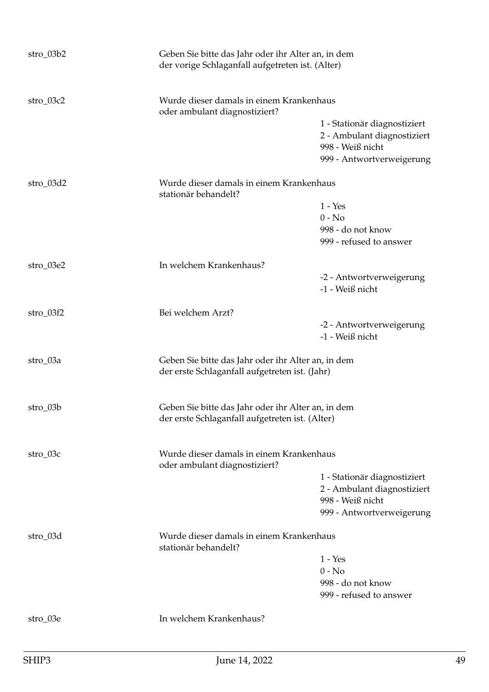| stro_03b2   | Geben Sie bitte das Jahr oder ihr Alter an, in dem<br>der vorige Schlaganfall aufgetreten ist. (Alter) |                                                                                                              |
|-------------|--------------------------------------------------------------------------------------------------------|--------------------------------------------------------------------------------------------------------------|
| stro_03c2   | Wurde dieser damals in einem Krankenhaus<br>oder ambulant diagnostiziert?                              |                                                                                                              |
|             |                                                                                                        | 1 - Stationär diagnostiziert<br>2 - Ambulant diagnostiziert<br>998 - Weiß nicht<br>999 - Antwortverweigerung |
| $stro_03d2$ | Wurde dieser damals in einem Krankenhaus<br>stationär behandelt?                                       |                                                                                                              |
|             |                                                                                                        | $1 - Yes$                                                                                                    |
|             |                                                                                                        | $0 - No$                                                                                                     |
|             |                                                                                                        | 998 - do not know<br>999 - refused to answer                                                                 |
| $stro_03e2$ | In welchem Krankenhaus?                                                                                |                                                                                                              |
|             |                                                                                                        | -2 - Antwortverweigerung<br>-1 - Weiß nicht                                                                  |
| $stro_03f2$ | Bei welchem Arzt?                                                                                      |                                                                                                              |
|             |                                                                                                        | -2 - Antwortverweigerung<br>-1 - Weiß nicht                                                                  |
| stro_03a    | Geben Sie bitte das Jahr oder ihr Alter an, in dem<br>der erste Schlaganfall aufgetreten ist. (Jahr)   |                                                                                                              |
| $stro_03b$  | Geben Sie bitte das Jahr oder ihr Alter an, in dem<br>der erste Schlaganfall aufgetreten ist. (Alter)  |                                                                                                              |
| $stro_03c$  | Wurde dieser damals in einem Krankenhaus<br>oder ambulant diagnostiziert?                              |                                                                                                              |
|             |                                                                                                        | 1 - Stationär diagnostiziert                                                                                 |
|             |                                                                                                        | 2 - Ambulant diagnostiziert                                                                                  |
|             |                                                                                                        | 998 - Weiß nicht<br>999 - Antwortverweigerung                                                                |
| stro_03d    | Wurde dieser damals in einem Krankenhaus<br>stationär behandelt?                                       |                                                                                                              |
|             |                                                                                                        | $1 - Yes$                                                                                                    |
|             |                                                                                                        | $0 - No$                                                                                                     |
|             |                                                                                                        | 998 - do not know<br>999 - refused to answer                                                                 |
| $stro_03e$  | In welchem Krankenhaus?                                                                                |                                                                                                              |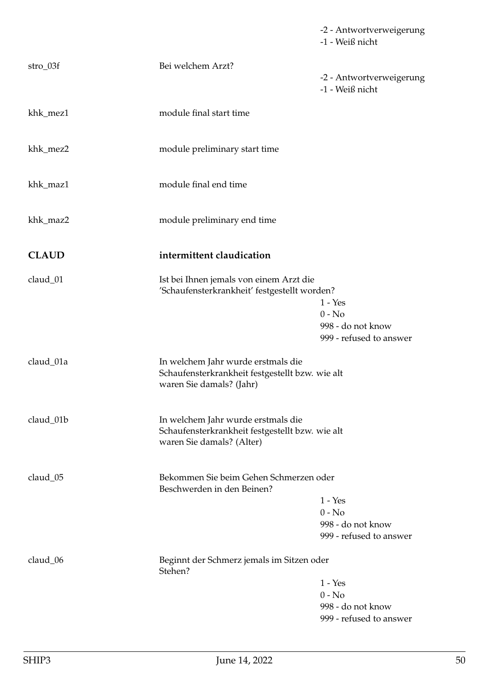|              |                                                                                                                    | -2 - Antwortverweigerung<br>-1 - Weiß nicht                           |
|--------------|--------------------------------------------------------------------------------------------------------------------|-----------------------------------------------------------------------|
| $stro_03f$   | Bei welchem Arzt?                                                                                                  | -2 - Antwortverweigerung<br>-1 - Weiß nicht                           |
| khk_mez1     | module final start time                                                                                            |                                                                       |
| khk_mez2     | module preliminary start time                                                                                      |                                                                       |
| khk_maz1     | module final end time                                                                                              |                                                                       |
| khk_maz2     | module preliminary end time                                                                                        |                                                                       |
| <b>CLAUD</b> | intermittent claudication                                                                                          |                                                                       |
| claud_01     | Ist bei Ihnen jemals von einem Arzt die<br>'Schaufensterkrankheit' festgestellt worden?                            | $1 - Yes$<br>$0 - No$<br>998 - do not know<br>999 - refused to answer |
| claud_01a    | In welchem Jahr wurde erstmals die<br>Schaufensterkrankheit festgestellt bzw. wie alt<br>waren Sie damals? (Jahr)  |                                                                       |
| claud_01b    | In welchem Jahr wurde erstmals die<br>Schaufensterkrankheit festgestellt bzw. wie alt<br>waren Sie damals? (Alter) |                                                                       |
| claud_05     | Bekommen Sie beim Gehen Schmerzen oder<br>Beschwerden in den Beinen?                                               | $1 - Yes$<br>$0 - No$<br>998 - do not know<br>999 - refused to answer |
| claud_06     | Beginnt der Schmerz jemals im Sitzen oder<br>Stehen?                                                               | $1 - Yes$<br>$0 - No$<br>998 - do not know<br>999 - refused to answer |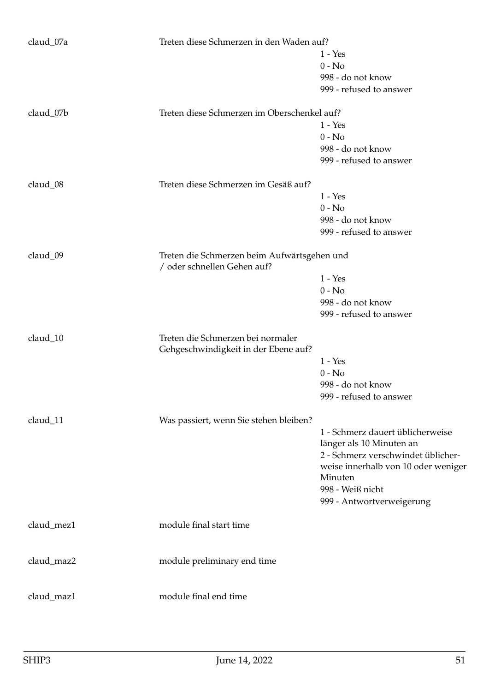| claud_07a  | Treten diese Schmerzen in den Waden auf?                                   |                                     |
|------------|----------------------------------------------------------------------------|-------------------------------------|
|            |                                                                            | $1 - Yes$                           |
|            |                                                                            | $0 - No$                            |
|            |                                                                            | 998 - do not know                   |
|            |                                                                            | 999 - refused to answer             |
|            |                                                                            |                                     |
| claud_07b  | Treten diese Schmerzen im Oberschenkel auf?                                |                                     |
|            |                                                                            | $1 - Yes$                           |
|            |                                                                            | $0 - No$                            |
|            |                                                                            | 998 - do not know                   |
|            |                                                                            | 999 - refused to answer             |
| claud_08   | Treten diese Schmerzen im Gesäß auf?                                       |                                     |
|            |                                                                            | $1 - Yes$                           |
|            |                                                                            | $0 - No$                            |
|            |                                                                            | 998 - do not know                   |
|            |                                                                            | 999 - refused to answer             |
|            |                                                                            |                                     |
| claud_09   | Treten die Schmerzen beim Aufwärtsgehen und<br>/ oder schnellen Gehen auf? |                                     |
|            |                                                                            | $1 - Yes$                           |
|            |                                                                            | $0 - No$                            |
|            |                                                                            | 998 - do not know                   |
|            |                                                                            | 999 - refused to answer             |
| claud_10   | Treten die Schmerzen bei normaler                                          |                                     |
|            | Gehgeschwindigkeit in der Ebene auf?                                       |                                     |
|            |                                                                            | $1 - Yes$                           |
|            |                                                                            | $0 - No$                            |
|            |                                                                            | 998 - do not know                   |
|            |                                                                            |                                     |
|            |                                                                            | 999 - refused to answer             |
| claud_11   | Was passiert, wenn Sie stehen bleiben?                                     |                                     |
|            |                                                                            | 1 - Schmerz dauert üblicherweise    |
|            |                                                                            | länger als 10 Minuten an            |
|            |                                                                            | 2 - Schmerz verschwindet üblicher-  |
|            |                                                                            | weise innerhalb von 10 oder weniger |
|            |                                                                            | Minuten                             |
|            |                                                                            | 998 - Weiß nicht                    |
|            |                                                                            | 999 - Antwortverweigerung           |
|            |                                                                            |                                     |
| claud_mez1 | module final start time                                                    |                                     |
|            |                                                                            |                                     |
| claud_maz2 | module preliminary end time                                                |                                     |
|            |                                                                            |                                     |
| claud_maz1 | module final end time                                                      |                                     |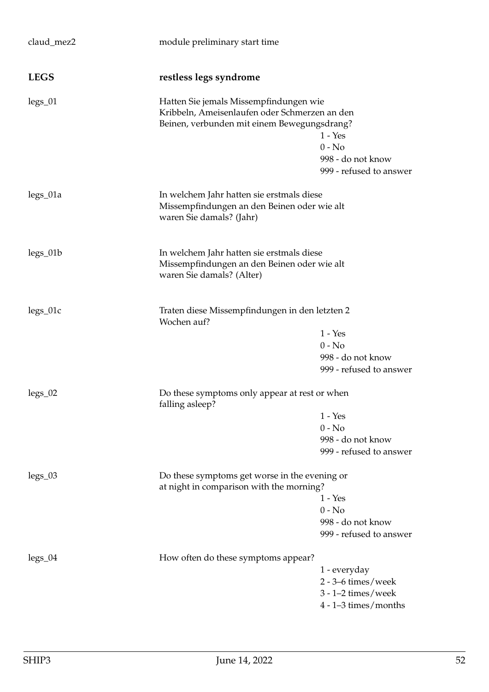| claud_mez2  | module preliminary start time                                                                                                          |                                                                                              |
|-------------|----------------------------------------------------------------------------------------------------------------------------------------|----------------------------------------------------------------------------------------------|
| <b>LEGS</b> | restless legs syndrome                                                                                                                 |                                                                                              |
| $legs_01$   | Hatten Sie jemals Missempfindungen wie<br>Kribbeln, Ameisenlaufen oder Schmerzen an den<br>Beinen, verbunden mit einem Bewegungsdrang? | $1 - Yes$<br>$0 - No$<br>998 - do not know<br>999 - refused to answer                        |
| legs_01a    | In welchem Jahr hatten sie erstmals diese<br>Missempfindungen an den Beinen oder wie alt<br>waren Sie damals? (Jahr)                   |                                                                                              |
| legs_01b    | In welchem Jahr hatten sie erstmals diese<br>Missempfindungen an den Beinen oder wie alt<br>waren Sie damals? (Alter)                  |                                                                                              |
| legs_01c    | Traten diese Missempfindungen in den letzten 2<br>Wochen auf?                                                                          | $1 - Yes$<br>$0 - No$<br>998 - do not know<br>999 - refused to answer                        |
| $legs_02$   | Do these symptoms only appear at rest or when<br>falling asleep?                                                                       | $1 - Yes$<br>$0 - No$<br>998 - do not know<br>999 - refused to answer                        |
| $legs_03$   | Do these symptoms get worse in the evening or<br>at night in comparison with the morning?                                              | 1 - Yes<br>$0 - No$<br>998 - do not know<br>999 - refused to answer                          |
| $legs_04$   | How often do these symptoms appear?                                                                                                    | 1 - everyday<br>$2 - 3 - 6$ times/week<br>$3 - 1 - 2$ times/week<br>$4 - 1 - 3$ times/months |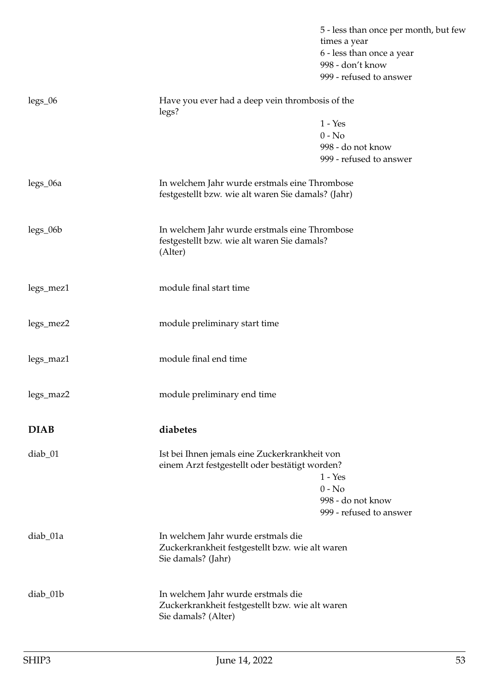|             |                                                                                                              | 5 - less than once per month, but few<br>times a year<br>6 - less than once a year<br>998 - don't know<br>999 - refused to answer |
|-------------|--------------------------------------------------------------------------------------------------------------|-----------------------------------------------------------------------------------------------------------------------------------|
| $legs_06$   | Have you ever had a deep vein thrombosis of the<br>legs?                                                     |                                                                                                                                   |
|             |                                                                                                              | $1 - Yes$<br>$0 - No$<br>998 - do not know<br>999 - refused to answer                                                             |
| legs_06a    | In welchem Jahr wurde erstmals eine Thrombose<br>festgestellt bzw. wie alt waren Sie damals? (Jahr)          |                                                                                                                                   |
| $legs_06b$  | In welchem Jahr wurde erstmals eine Thrombose<br>festgestellt bzw. wie alt waren Sie damals?<br>(Alter)      |                                                                                                                                   |
| legs_mez1   | module final start time                                                                                      |                                                                                                                                   |
| legs_mez2   | module preliminary start time                                                                                |                                                                                                                                   |
| legs_maz1   | module final end time                                                                                        |                                                                                                                                   |
| legs_maz2   | module preliminary end time                                                                                  |                                                                                                                                   |
| <b>DIAB</b> | diabetes                                                                                                     |                                                                                                                                   |
| $diab_01$   | Ist bei Ihnen jemals eine Zuckerkrankheit von<br>einem Arzt festgestellt oder bestätigt worden?              | $1 - Yes$<br>$0 - No$<br>998 - do not know<br>999 - refused to answer                                                             |
| diab_01a    | In welchem Jahr wurde erstmals die<br>Zuckerkrankheit festgestellt bzw. wie alt waren<br>Sie damals? (Jahr)  |                                                                                                                                   |
| diab_01b    | In welchem Jahr wurde erstmals die<br>Zuckerkrankheit festgestellt bzw. wie alt waren<br>Sie damals? (Alter) |                                                                                                                                   |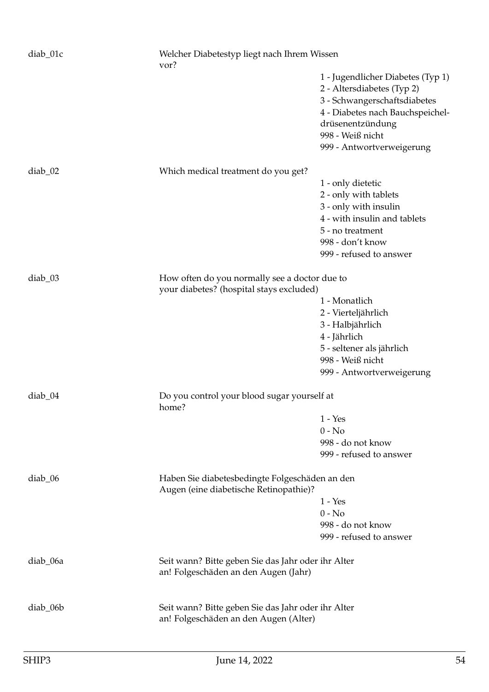| diab_01c  | Welcher Diabetestyp liegt nach Ihrem Wissen<br>vor?                                         |                                   |
|-----------|---------------------------------------------------------------------------------------------|-----------------------------------|
|           |                                                                                             | 1 - Jugendlicher Diabetes (Typ 1) |
|           |                                                                                             | 2 - Altersdiabetes (Typ 2)        |
|           |                                                                                             | 3 - Schwangerschaftsdiabetes      |
|           |                                                                                             | 4 - Diabetes nach Bauchspeichel-  |
|           |                                                                                             | drüsenentzündung                  |
|           |                                                                                             | 998 - Weiß nicht                  |
|           |                                                                                             | 999 - Antwortverweigerung         |
| $diab_02$ | Which medical treatment do you get?                                                         |                                   |
|           |                                                                                             | 1 - only dietetic                 |
|           |                                                                                             | 2 - only with tablets             |
|           |                                                                                             | 3 - only with insulin             |
|           |                                                                                             | 4 - with insulin and tablets      |
|           |                                                                                             | 5 - no treatment                  |
|           |                                                                                             | 998 - don't know                  |
|           |                                                                                             | 999 - refused to answer           |
| diab_03   | How often do you normally see a doctor due to                                               |                                   |
|           | your diabetes? (hospital stays excluded)                                                    |                                   |
|           |                                                                                             | 1 - Monatlich                     |
|           |                                                                                             | 2 - Vierteljährlich               |
|           |                                                                                             | 3 - Halbjährlich                  |
|           |                                                                                             | 4 - Jährlich                      |
|           |                                                                                             | 5 - seltener als jährlich         |
|           |                                                                                             | 998 - Weiß nicht                  |
|           |                                                                                             | 999 - Antwortverweigerung         |
| $diab_04$ | Do you control your blood sugar yourself at<br>home?                                        |                                   |
|           |                                                                                             | $1 - Yes$                         |
|           |                                                                                             | $0 - No$                          |
|           |                                                                                             | 998 - do not know                 |
|           |                                                                                             | 999 - refused to answer           |
| diab_06   | Haben Sie diabetesbedingte Folgeschäden an den<br>Augen (eine diabetische Retinopathie)?    |                                   |
|           |                                                                                             | $1 - Yes$                         |
|           |                                                                                             | $0 - No$                          |
|           |                                                                                             | 998 - do not know                 |
|           |                                                                                             | 999 - refused to answer           |
| diab_06a  | Seit wann? Bitte geben Sie das Jahr oder ihr Alter<br>an! Folgeschäden an den Augen (Jahr)  |                                   |
| diab_06b  | Seit wann? Bitte geben Sie das Jahr oder ihr Alter<br>an! Folgeschäden an den Augen (Alter) |                                   |
|           |                                                                                             |                                   |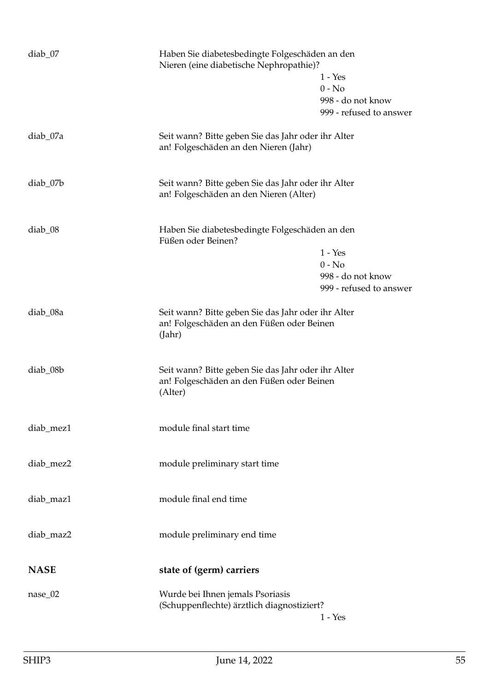| diab_07     | Haben Sie diabetesbedingte Folgeschäden an den<br>Nieren (eine diabetische Nephropathie)?                  | $1 - Yes$<br>$0 - No$<br>998 - do not know<br>999 - refused to answer |
|-------------|------------------------------------------------------------------------------------------------------------|-----------------------------------------------------------------------|
| diab_07a    | Seit wann? Bitte geben Sie das Jahr oder ihr Alter<br>an! Folgeschäden an den Nieren (Jahr)                |                                                                       |
| diab_07b    | Seit wann? Bitte geben Sie das Jahr oder ihr Alter<br>an! Folgeschäden an den Nieren (Alter)               |                                                                       |
| $diab_08$   | Haben Sie diabetesbedingte Folgeschäden an den<br>Füßen oder Beinen?                                       | $1 - Yes$<br>$0 - No$<br>998 - do not know<br>999 - refused to answer |
| diab_08a    | Seit wann? Bitte geben Sie das Jahr oder ihr Alter<br>an! Folgeschäden an den Füßen oder Beinen<br>(Jahr)  |                                                                       |
| diab_08b    | Seit wann? Bitte geben Sie das Jahr oder ihr Alter<br>an! Folgeschäden an den Füßen oder Beinen<br>(Alter) |                                                                       |
| diab_mez1   | module final start time                                                                                    |                                                                       |
| diab_mez2   | module preliminary start time                                                                              |                                                                       |
| diab_maz1   | module final end time                                                                                      |                                                                       |
| diab_maz2   | module preliminary end time                                                                                |                                                                       |
| <b>NASE</b> | state of (germ) carriers                                                                                   |                                                                       |
| $nase_02$   | Wurde bei Ihnen jemals Psoriasis<br>(Schuppenflechte) ärztlich diagnostiziert?                             | $1 - Yes$                                                             |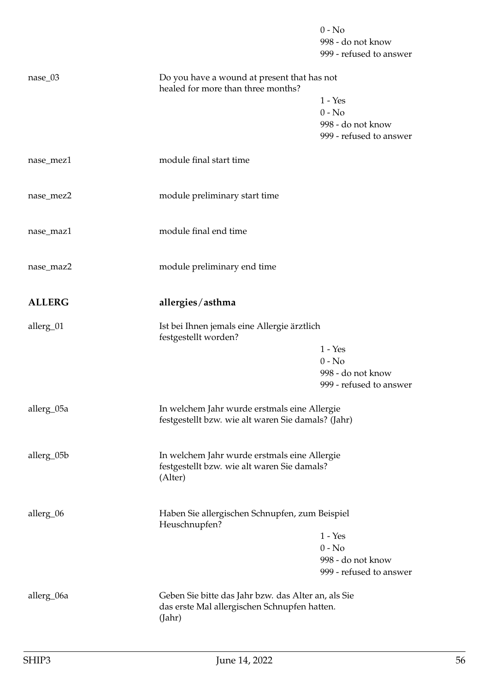|               |                                                                                                               | $0 - No$<br>998 - do not know<br>999 - refused to answer              |
|---------------|---------------------------------------------------------------------------------------------------------------|-----------------------------------------------------------------------|
| nase_03       | Do you have a wound at present that has not<br>healed for more than three months?                             | $1 - Yes$<br>$0 - No$<br>998 - do not know<br>999 - refused to answer |
| nase_mez1     | module final start time                                                                                       |                                                                       |
| nase_mez2     | module preliminary start time                                                                                 |                                                                       |
| nase_maz1     | module final end time                                                                                         |                                                                       |
| nase_maz2     | module preliminary end time                                                                                   |                                                                       |
| <b>ALLERG</b> | allergies/asthma                                                                                              |                                                                       |
| allerg_01     | Ist bei Ihnen jemals eine Allergie ärztlich<br>festgestellt worden?                                           | $1 - Yes$<br>$0 - No$<br>998 - do not know<br>999 - refused to answer |
| allerg_05a    | In welchem Jahr wurde erstmals eine Allergie<br>festgestellt bzw. wie alt waren Sie damals? (Jahr)            |                                                                       |
| allerg_05b    | In welchem Jahr wurde erstmals eine Allergie<br>festgestellt bzw. wie alt waren Sie damals?<br>(Alter)        |                                                                       |
| allerg_06     | Haben Sie allergischen Schnupfen, zum Beispiel<br>Heuschnupfen?                                               | $1 - Yes$<br>$0 - No$<br>998 - do not know<br>999 - refused to answer |
| allerg_06a    | Geben Sie bitte das Jahr bzw. das Alter an, als Sie<br>das erste Mal allergischen Schnupfen hatten.<br>(Jahr) |                                                                       |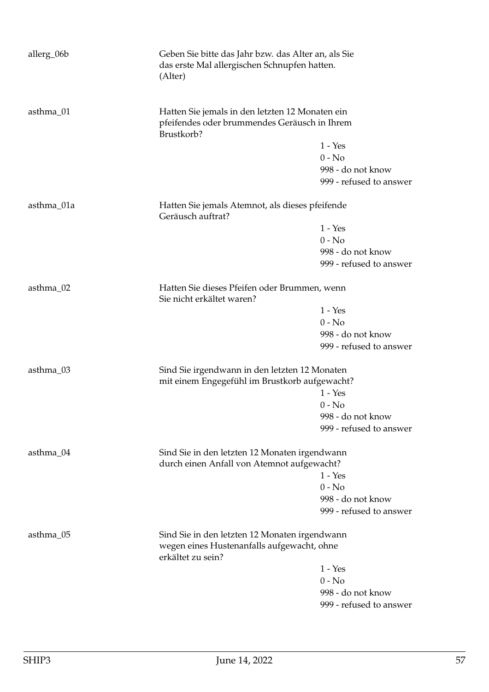| allerg_06b | (Alter)                                                                                                          | Geben Sie bitte das Jahr bzw. das Alter an, als Sie<br>das erste Mal allergischen Schnupfen hatten. |  |
|------------|------------------------------------------------------------------------------------------------------------------|-----------------------------------------------------------------------------------------------------|--|
| asthma_01  | Brustkorb?                                                                                                       | Hatten Sie jemals in den letzten 12 Monaten ein<br>pfeifendes oder brummendes Geräusch in Ihrem     |  |
|            |                                                                                                                  | $1 - Yes$                                                                                           |  |
|            |                                                                                                                  | $0 - No$                                                                                            |  |
|            |                                                                                                                  | 998 - do not know                                                                                   |  |
|            |                                                                                                                  | 999 - refused to answer                                                                             |  |
| asthma_01a | Hatten Sie jemals Atemnot, als dieses pfeifende<br>Geräusch auftrat?                                             |                                                                                                     |  |
|            |                                                                                                                  | $1 - Yes$                                                                                           |  |
|            |                                                                                                                  | $0 - No$                                                                                            |  |
|            |                                                                                                                  | 998 - do not know                                                                                   |  |
|            |                                                                                                                  | 999 - refused to answer                                                                             |  |
| asthma_02  | Sie nicht erkältet waren?                                                                                        | Hatten Sie dieses Pfeifen oder Brummen, wenn                                                        |  |
|            |                                                                                                                  | $1 - Yes$                                                                                           |  |
|            |                                                                                                                  | $0 - No$                                                                                            |  |
|            |                                                                                                                  | 998 - do not know                                                                                   |  |
|            |                                                                                                                  | 999 - refused to answer                                                                             |  |
| asthma_03  | Sind Sie irgendwann in den letzten 12 Monaten<br>mit einem Engegefühl im Brustkorb aufgewacht?                   |                                                                                                     |  |
|            |                                                                                                                  | $1 - Yes$                                                                                           |  |
|            |                                                                                                                  | $0 - No$                                                                                            |  |
|            |                                                                                                                  | 998 - do not know                                                                                   |  |
|            |                                                                                                                  | 999 - refused to answer                                                                             |  |
| asthma_04  |                                                                                                                  | Sind Sie in den letzten 12 Monaten irgendwann<br>durch einen Anfall von Atemnot aufgewacht?         |  |
|            |                                                                                                                  | $1 - Yes$                                                                                           |  |
|            |                                                                                                                  | $0 - No$                                                                                            |  |
|            |                                                                                                                  | 998 - do not know                                                                                   |  |
|            |                                                                                                                  | 999 - refused to answer                                                                             |  |
| asthma_05  | Sind Sie in den letzten 12 Monaten irgendwann<br>wegen eines Hustenanfalls aufgewacht, ohne<br>erkältet zu sein? |                                                                                                     |  |
|            |                                                                                                                  | $1 - Yes$                                                                                           |  |
|            |                                                                                                                  | $0 - No$                                                                                            |  |
|            |                                                                                                                  | 998 - do not know                                                                                   |  |
|            |                                                                                                                  | 999 - refused to answer                                                                             |  |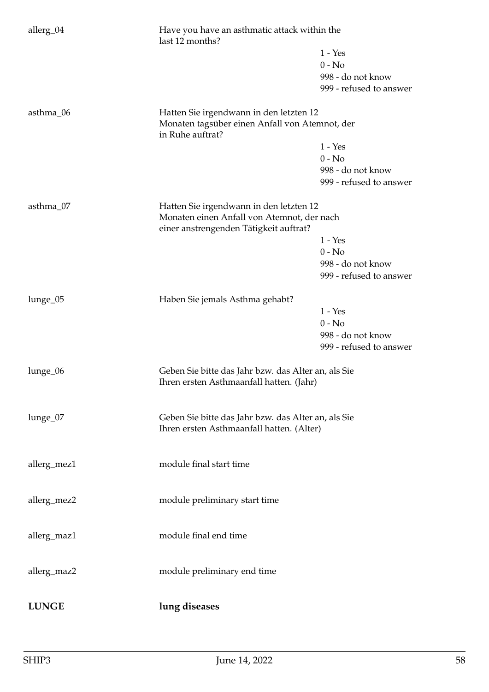| allerg_04    | Have you have an asthmatic attack within the<br>last 12 months?                                 |                         |
|--------------|-------------------------------------------------------------------------------------------------|-------------------------|
|              |                                                                                                 | $1 - Yes$               |
|              |                                                                                                 | $0 - No$                |
|              |                                                                                                 | 998 - do not know       |
|              |                                                                                                 | 999 - refused to answer |
| asthma_06    | Hatten Sie irgendwann in den letzten 12                                                         |                         |
|              | Monaten tagsüber einen Anfall von Atemnot, der<br>in Ruhe auftrat?                              |                         |
|              |                                                                                                 | $1 - Yes$               |
|              |                                                                                                 | $0 - No$                |
|              |                                                                                                 | 998 - do not know       |
|              |                                                                                                 | 999 - refused to answer |
| asthma_07    | Hatten Sie irgendwann in den letzten 12                                                         |                         |
|              | Monaten einen Anfall von Atemnot, der nach<br>einer anstrengenden Tätigkeit auftrat?            |                         |
|              |                                                                                                 | $1 - Yes$               |
|              |                                                                                                 | $0 - No$                |
|              |                                                                                                 | 998 - do not know       |
|              |                                                                                                 | 999 - refused to answer |
| lunge_05     | Haben Sie jemals Asthma gehabt?                                                                 |                         |
|              |                                                                                                 | $1 - Yes$               |
|              |                                                                                                 | $0 - No$                |
|              |                                                                                                 | 998 - do not know       |
|              |                                                                                                 | 999 - refused to answer |
| lunge_06     | Geben Sie bitte das Jahr bzw. das Alter an, als Sie<br>Ihren ersten Asthmaanfall hatten. (Jahr) |                         |
|              |                                                                                                 |                         |
| lunge_07     | Geben Sie bitte das Jahr bzw. das Alter an, als Sie                                             |                         |
|              | Ihren ersten Asthmaanfall hatten. (Alter)                                                       |                         |
|              |                                                                                                 |                         |
| allerg_mez1  | module final start time                                                                         |                         |
|              | module preliminary start time                                                                   |                         |
| allerg_mez2  |                                                                                                 |                         |
| allerg_maz1  | module final end time                                                                           |                         |
|              |                                                                                                 |                         |
| allerg_maz2  | module preliminary end time                                                                     |                         |
|              |                                                                                                 |                         |
| <b>LUNGE</b> | lung diseases                                                                                   |                         |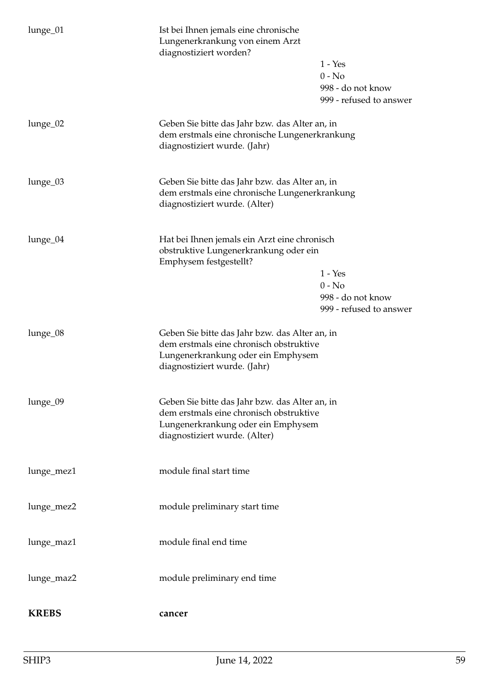| lunge_01     | Ist bei Ihnen jemals eine chronische<br>Lungenerkrankung von einem Arzt<br>diagnostiziert worden?                                                                | $1 - Yes$<br>$0 - No$<br>998 - do not know<br>999 - refused to answer |
|--------------|------------------------------------------------------------------------------------------------------------------------------------------------------------------|-----------------------------------------------------------------------|
| lunge_02     | Geben Sie bitte das Jahr bzw. das Alter an, in<br>dem erstmals eine chronische Lungenerkrankung<br>diagnostiziert wurde. (Jahr)                                  |                                                                       |
| lunge_03     | Geben Sie bitte das Jahr bzw. das Alter an, in<br>dem erstmals eine chronische Lungenerkrankung<br>diagnostiziert wurde. (Alter)                                 |                                                                       |
| lunge_04     | Hat bei Ihnen jemals ein Arzt eine chronisch<br>obstruktive Lungenerkrankung oder ein<br>Emphysem festgestellt?                                                  | $1 - Yes$<br>$0 - No$<br>998 - do not know<br>999 - refused to answer |
| lunge_08     | Geben Sie bitte das Jahr bzw. das Alter an, in<br>dem erstmals eine chronisch obstruktive<br>Lungenerkrankung oder ein Emphysem<br>diagnostiziert wurde. (Jahr)  |                                                                       |
| lunge_09     | Geben Sie bitte das Jahr bzw. das Alter an, in<br>dem erstmals eine chronisch obstruktive<br>Lungenerkrankung oder ein Emphysem<br>diagnostiziert wurde. (Alter) |                                                                       |
| lunge_mez1   | module final start time                                                                                                                                          |                                                                       |
| lunge_mez2   | module preliminary start time                                                                                                                                    |                                                                       |
| lunge_maz1   | module final end time                                                                                                                                            |                                                                       |
| lunge_maz2   | module preliminary end time                                                                                                                                      |                                                                       |
| <b>KREBS</b> | cancer                                                                                                                                                           |                                                                       |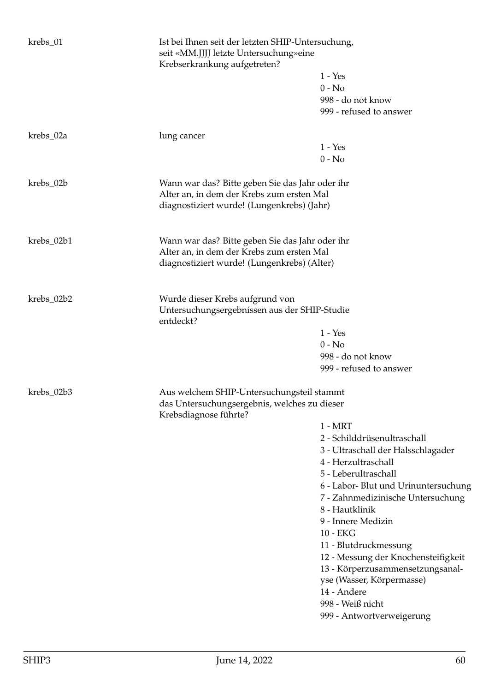| krebs_01                                      | Ist bei Ihnen seit der letzten SHIP-Untersuchung,<br>seit «MM.JJJJ letzte Untersuchung» eine<br>Krebserkrankung aufgetreten?               |                                              |  |  |
|-----------------------------------------------|--------------------------------------------------------------------------------------------------------------------------------------------|----------------------------------------------|--|--|
|                                               |                                                                                                                                            | $1 - Yes$                                    |  |  |
|                                               |                                                                                                                                            | $0 - No$                                     |  |  |
|                                               |                                                                                                                                            | 998 - do not know                            |  |  |
|                                               |                                                                                                                                            | 999 - refused to answer                      |  |  |
| krebs_02a                                     | lung cancer                                                                                                                                |                                              |  |  |
|                                               |                                                                                                                                            | $1 - Yes$                                    |  |  |
|                                               |                                                                                                                                            | $0 - No$                                     |  |  |
| krebs_02b                                     | Wann war das? Bitte geben Sie das Jahr oder ihr<br>Alter an, in dem der Krebs zum ersten Mal<br>diagnostiziert wurde! (Lungenkrebs) (Jahr) |                                              |  |  |
| krebs_02b1                                    | Wann war das? Bitte geben Sie das Jahr oder ihr                                                                                            |                                              |  |  |
|                                               | Alter an, in dem der Krebs zum ersten Mal                                                                                                  |                                              |  |  |
|                                               |                                                                                                                                            | diagnostiziert wurde! (Lungenkrebs) (Alter)  |  |  |
| krebs_02b2<br>Wurde dieser Krebs aufgrund von |                                                                                                                                            |                                              |  |  |
|                                               | Untersuchungsergebnissen aus der SHIP-Studie<br>entdeckt?                                                                                  |                                              |  |  |
|                                               |                                                                                                                                            | $1 - Yes$                                    |  |  |
|                                               |                                                                                                                                            | $0 - No$                                     |  |  |
|                                               |                                                                                                                                            | 998 - do not know<br>999 - refused to answer |  |  |
|                                               |                                                                                                                                            |                                              |  |  |
| krebs_02b3                                    | Aus welchem SHIP-Untersuchungsteil stammt                                                                                                  |                                              |  |  |
|                                               | das Untersuchungsergebnis, welches zu dieser<br>Krebsdiagnose führte?                                                                      |                                              |  |  |
|                                               |                                                                                                                                            | $1 - MRT$                                    |  |  |
|                                               |                                                                                                                                            | 2 - Schilddrüsenultraschall                  |  |  |
|                                               |                                                                                                                                            | 3 - Ultraschall der Halsschlagader           |  |  |
|                                               |                                                                                                                                            | 4 - Herzultraschall                          |  |  |
|                                               |                                                                                                                                            | 5 - Leberultraschall                         |  |  |
|                                               |                                                                                                                                            | 6 - Labor- Blut und Urinuntersuchung         |  |  |
|                                               |                                                                                                                                            | 7 - Zahnmedizinische Untersuchung            |  |  |
|                                               |                                                                                                                                            | 8 - Hautklinik                               |  |  |
|                                               |                                                                                                                                            | 9 - Innere Medizin                           |  |  |
|                                               |                                                                                                                                            | 10 - EKG                                     |  |  |
|                                               |                                                                                                                                            | 11 - Blutdruckmessung                        |  |  |
|                                               |                                                                                                                                            | 12 - Messung der Knochensteifigkeit          |  |  |
|                                               |                                                                                                                                            | 13 - Körperzusammensetzungsanal-             |  |  |
|                                               |                                                                                                                                            | yse (Wasser, Körpermasse)                    |  |  |
|                                               |                                                                                                                                            | 14 - Andere                                  |  |  |
|                                               |                                                                                                                                            | 998 - Weiß nicht                             |  |  |
|                                               |                                                                                                                                            | 999 - Antwortverweigerung                    |  |  |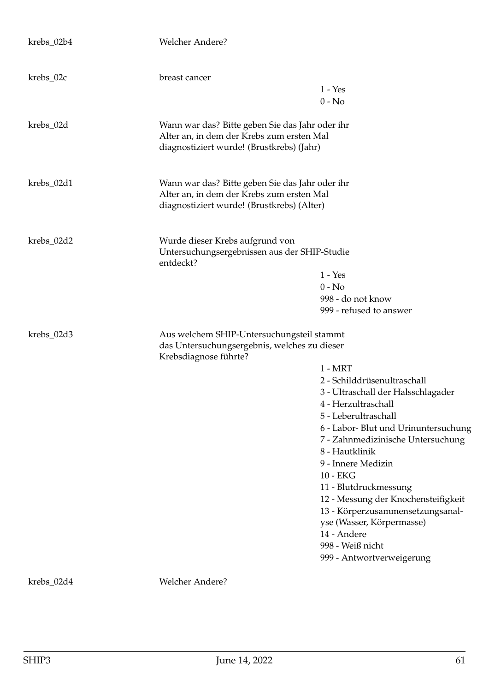| krebs_02b4 | Welcher Andere?                                                                                                                            |                                                                                                                                                                      |
|------------|--------------------------------------------------------------------------------------------------------------------------------------------|----------------------------------------------------------------------------------------------------------------------------------------------------------------------|
| krebs_02c  | breast cancer                                                                                                                              |                                                                                                                                                                      |
|            |                                                                                                                                            | $1 - Yes$<br>$0 - No$                                                                                                                                                |
|            |                                                                                                                                            |                                                                                                                                                                      |
| krebs_02d  | Wann war das? Bitte geben Sie das Jahr oder ihr<br>Alter an, in dem der Krebs zum ersten Mal<br>diagnostiziert wurde! (Brustkrebs) (Jahr)  |                                                                                                                                                                      |
| krebs_02d1 | Wann war das? Bitte geben Sie das Jahr oder ihr<br>Alter an, in dem der Krebs zum ersten Mal<br>diagnostiziert wurde! (Brustkrebs) (Alter) |                                                                                                                                                                      |
| krebs_02d2 | Wurde dieser Krebs aufgrund von<br>Untersuchungsergebnissen aus der SHIP-Studie<br>entdeckt?                                               |                                                                                                                                                                      |
|            |                                                                                                                                            | $1 - Yes$                                                                                                                                                            |
|            |                                                                                                                                            | $0 - No$                                                                                                                                                             |
|            |                                                                                                                                            | 998 - do not know                                                                                                                                                    |
|            |                                                                                                                                            | 999 - refused to answer                                                                                                                                              |
| krebs_02d3 | Aus welchem SHIP-Untersuchungsteil stammt<br>das Untersuchungsergebnis, welches zu dieser<br>Krebsdiagnose führte?                         |                                                                                                                                                                      |
|            |                                                                                                                                            | $1 - MRT$                                                                                                                                                            |
|            |                                                                                                                                            | 2 - Schilddrüsenultraschall                                                                                                                                          |
|            |                                                                                                                                            | 3 - Ultraschall der Halsschlagader                                                                                                                                   |
|            |                                                                                                                                            | 4 - Herzultraschall                                                                                                                                                  |
|            |                                                                                                                                            | 5 - Leberultraschall                                                                                                                                                 |
|            |                                                                                                                                            | 6 - Labor- Blut und Urinuntersuchung<br>7 - Zahnmedizinische Untersuchung<br>8 - Hautklinik<br>9 - Innere Medizin<br>10 - EKG                                        |
|            |                                                                                                                                            | 11 - Blutdruckmessung                                                                                                                                                |
|            |                                                                                                                                            | 12 - Messung der Knochensteifigkeit<br>13 - Körperzusammensetzungsanal-<br>yse (Wasser, Körpermasse)<br>14 - Andere<br>998 - Weiß nicht<br>999 - Antwortverweigerung |
|            |                                                                                                                                            |                                                                                                                                                                      |
| krebs_02d4 | Welcher Andere?                                                                                                                            |                                                                                                                                                                      |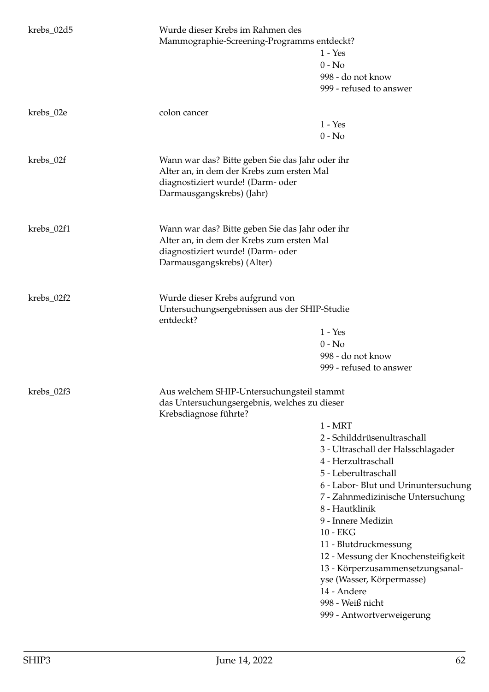| krebs_02d5 | Wurde dieser Krebs im Rahmen des<br>Mammographie-Screening-Programms entdeckt?                                                                                  | $1 - Yes$<br>$0 - No$<br>998 - do not know<br>999 - refused to answer                                                                                                                                                                                                                                                                                                                                                                                           |
|------------|-----------------------------------------------------------------------------------------------------------------------------------------------------------------|-----------------------------------------------------------------------------------------------------------------------------------------------------------------------------------------------------------------------------------------------------------------------------------------------------------------------------------------------------------------------------------------------------------------------------------------------------------------|
| krebs_02e  | colon cancer                                                                                                                                                    | $1 - Yes$<br>$0 - No$                                                                                                                                                                                                                                                                                                                                                                                                                                           |
| krebs_02f  | Wann war das? Bitte geben Sie das Jahr oder ihr<br>Alter an, in dem der Krebs zum ersten Mal<br>diagnostiziert wurde! (Darm- oder<br>Darmausgangskrebs) (Jahr)  |                                                                                                                                                                                                                                                                                                                                                                                                                                                                 |
| krebs_02f1 | Wann war das? Bitte geben Sie das Jahr oder ihr<br>Alter an, in dem der Krebs zum ersten Mal<br>diagnostiziert wurde! (Darm- oder<br>Darmausgangskrebs) (Alter) |                                                                                                                                                                                                                                                                                                                                                                                                                                                                 |
| krebs_02f2 | Wurde dieser Krebs aufgrund von<br>Untersuchungsergebnissen aus der SHIP-Studie<br>entdeckt?                                                                    | $1 - Yes$<br>$0 - No$<br>998 - do not know<br>999 - refused to answer                                                                                                                                                                                                                                                                                                                                                                                           |
| krebs_02f3 | Aus welchem SHIP-Untersuchungsteil stammt<br>das Untersuchungsergebnis, welches zu dieser<br>Krebsdiagnose führte?                                              | $1 - MRT$<br>2 - Schilddrüsenultraschall<br>3 - Ultraschall der Halsschlagader<br>4 - Herzultraschall<br>5 - Leberultraschall<br>6 - Labor- Blut und Urinuntersuchung<br>7 - Zahnmedizinische Untersuchung<br>8 - Hautklinik<br>9 - Innere Medizin<br>10 - EKG<br>11 - Blutdruckmessung<br>12 - Messung der Knochensteifigkeit<br>13 - Körperzusammensetzungsanal-<br>yse (Wasser, Körpermasse)<br>14 - Andere<br>998 - Weiß nicht<br>999 - Antwortverweigerung |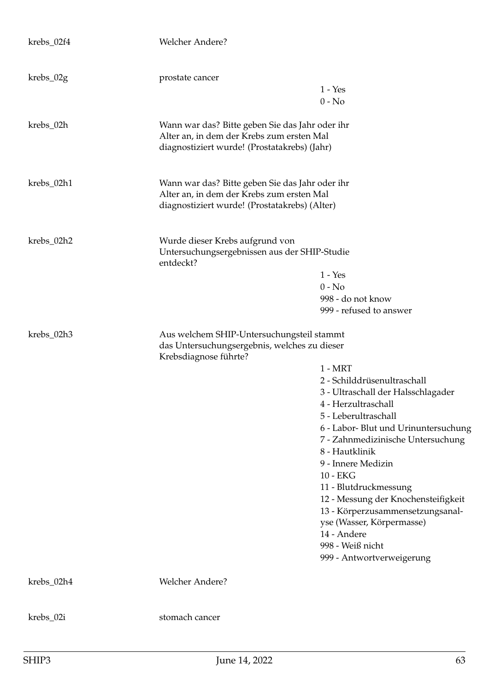| krebs_02f4  | Welcher Andere?                                                                                                                               |                                                                                                                                                                                                                                                                                                                                                                                                                                                                 |
|-------------|-----------------------------------------------------------------------------------------------------------------------------------------------|-----------------------------------------------------------------------------------------------------------------------------------------------------------------------------------------------------------------------------------------------------------------------------------------------------------------------------------------------------------------------------------------------------------------------------------------------------------------|
| $krebs_02g$ | prostate cancer                                                                                                                               | $1 - Yes$<br>$0 - No$                                                                                                                                                                                                                                                                                                                                                                                                                                           |
| krebs_02h   | Wann war das? Bitte geben Sie das Jahr oder ihr<br>Alter an, in dem der Krebs zum ersten Mal<br>diagnostiziert wurde! (Prostatakrebs) (Jahr)  |                                                                                                                                                                                                                                                                                                                                                                                                                                                                 |
| krebs_02h1  | Wann war das? Bitte geben Sie das Jahr oder ihr<br>Alter an, in dem der Krebs zum ersten Mal<br>diagnostiziert wurde! (Prostatakrebs) (Alter) |                                                                                                                                                                                                                                                                                                                                                                                                                                                                 |
| krebs_02h2  | Wurde dieser Krebs aufgrund von<br>Untersuchungsergebnissen aus der SHIP-Studie<br>entdeckt?                                                  | $1 - Yes$<br>$0 - No$<br>998 - do not know<br>999 - refused to answer                                                                                                                                                                                                                                                                                                                                                                                           |
| krebs_02h3  | Aus welchem SHIP-Untersuchungsteil stammt<br>das Untersuchungsergebnis, welches zu dieser<br>Krebsdiagnose führte?                            | $1 - MRT$<br>2 - Schilddrüsenultraschall<br>3 - Ultraschall der Halsschlagader<br>4 - Herzultraschall<br>5 - Leberultraschall<br>6 - Labor- Blut und Urinuntersuchung<br>7 - Zahnmedizinische Untersuchung<br>8 - Hautklinik<br>9 - Innere Medizin<br>10 - EKG<br>11 - Blutdruckmessung<br>12 - Messung der Knochensteifigkeit<br>13 - Körperzusammensetzungsanal-<br>yse (Wasser, Körpermasse)<br>14 - Andere<br>998 - Weiß nicht<br>999 - Antwortverweigerung |
| krebs_02h4  | Welcher Andere?                                                                                                                               |                                                                                                                                                                                                                                                                                                                                                                                                                                                                 |
| krebs_02i   | stomach cancer                                                                                                                                |                                                                                                                                                                                                                                                                                                                                                                                                                                                                 |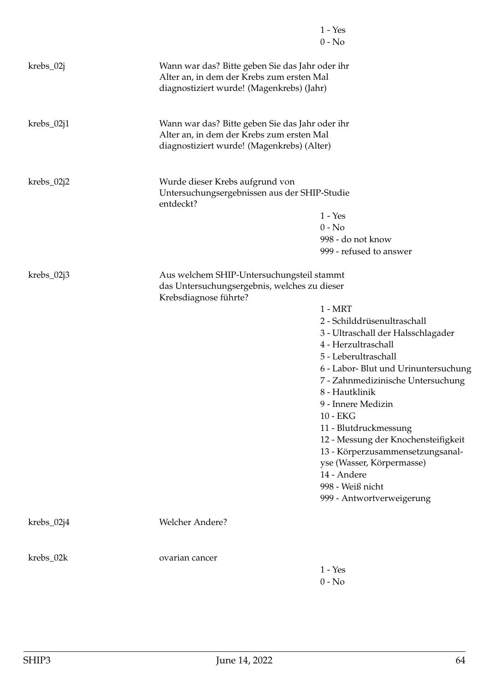|              |                                                                                                                                            | $1 - Yes$<br>$0 - No$                                                                                                                                                                                                                                                                                                                                                                                                                                           |
|--------------|--------------------------------------------------------------------------------------------------------------------------------------------|-----------------------------------------------------------------------------------------------------------------------------------------------------------------------------------------------------------------------------------------------------------------------------------------------------------------------------------------------------------------------------------------------------------------------------------------------------------------|
| krebs_02j    | Wann war das? Bitte geben Sie das Jahr oder ihr<br>Alter an, in dem der Krebs zum ersten Mal<br>diagnostiziert wurde! (Magenkrebs) (Jahr)  |                                                                                                                                                                                                                                                                                                                                                                                                                                                                 |
| krebs_02j1   | Wann war das? Bitte geben Sie das Jahr oder ihr<br>Alter an, in dem der Krebs zum ersten Mal<br>diagnostiziert wurde! (Magenkrebs) (Alter) |                                                                                                                                                                                                                                                                                                                                                                                                                                                                 |
| krebs_02j2   | Wurde dieser Krebs aufgrund von<br>Untersuchungsergebnissen aus der SHIP-Studie<br>entdeckt?                                               | $1 - Yes$<br>$0 - No$<br>998 - do not know<br>999 - refused to answer                                                                                                                                                                                                                                                                                                                                                                                           |
| krebs_02j3   | Aus welchem SHIP-Untersuchungsteil stammt<br>das Untersuchungsergebnis, welches zu dieser<br>Krebsdiagnose führte?                         | $1 - MRT$<br>2 - Schilddrüsenultraschall<br>3 - Ultraschall der Halsschlagader<br>4 - Herzultraschall<br>5 - Leberultraschall<br>6 - Labor- Blut und Urinuntersuchung<br>7 - Zahnmedizinische Untersuchung<br>8 - Hautklinik<br>9 - Innere Medizin<br>10 - EKG<br>11 - Blutdruckmessung<br>12 - Messung der Knochensteifigkeit<br>13 - Körperzusammensetzungsanal-<br>yse (Wasser, Körpermasse)<br>14 - Andere<br>998 - Weiß nicht<br>999 - Antwortverweigerung |
| $krebs_02j4$ | <b>Welcher Andere?</b>                                                                                                                     |                                                                                                                                                                                                                                                                                                                                                                                                                                                                 |
| krebs_02k    | ovarian cancer                                                                                                                             | $1 - Yes$<br>$0 - No$                                                                                                                                                                                                                                                                                                                                                                                                                                           |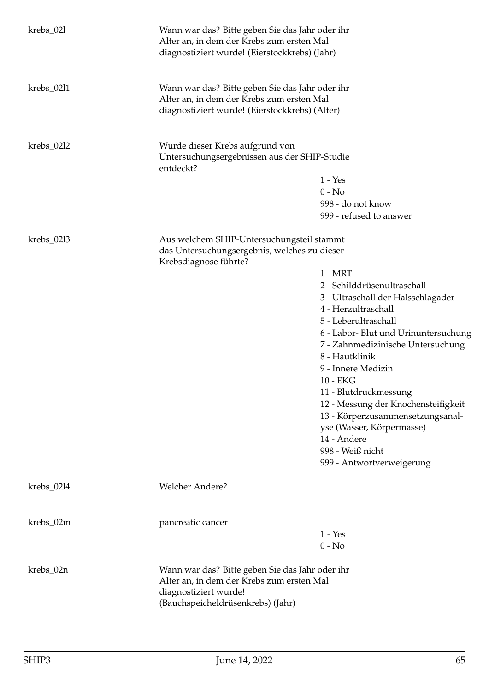| krebs_02l    | Wann war das? Bitte geben Sie das Jahr oder ihr<br>Alter an, in dem der Krebs zum ersten Mal<br>diagnostiziert wurde! (Eierstockkrebs) (Jahr)              |                                      |
|--------------|------------------------------------------------------------------------------------------------------------------------------------------------------------|--------------------------------------|
| $krebs_0211$ | Wann war das? Bitte geben Sie das Jahr oder ihr<br>Alter an, in dem der Krebs zum ersten Mal<br>diagnostiziert wurde! (Eierstockkrebs) (Alter)             |                                      |
| $krebs_0212$ | Wurde dieser Krebs aufgrund von<br>Untersuchungsergebnissen aus der SHIP-Studie<br>entdeckt?                                                               |                                      |
|              |                                                                                                                                                            | $1 - Yes$                            |
|              |                                                                                                                                                            | $0 - No$                             |
|              |                                                                                                                                                            | 998 - do not know                    |
|              |                                                                                                                                                            | 999 - refused to answer              |
| $krebs_0213$ | Aus welchem SHIP-Untersuchungsteil stammt<br>das Untersuchungsergebnis, welches zu dieser<br>Krebsdiagnose führte?                                         |                                      |
|              |                                                                                                                                                            | $1 - MRT$                            |
|              |                                                                                                                                                            | 2 - Schilddrüsenultraschall          |
|              |                                                                                                                                                            | 3 - Ultraschall der Halsschlagader   |
|              |                                                                                                                                                            | 4 - Herzultraschall                  |
|              |                                                                                                                                                            | 5 - Leberultraschall                 |
|              |                                                                                                                                                            | 6 - Labor- Blut und Urinuntersuchung |
|              |                                                                                                                                                            | 7 - Zahnmedizinische Untersuchung    |
|              |                                                                                                                                                            | 8 - Hautklinik                       |
|              |                                                                                                                                                            | 9 - Innere Medizin                   |
|              |                                                                                                                                                            | 10 - EKG                             |
|              |                                                                                                                                                            | 11 - Blutdruckmessung                |
|              |                                                                                                                                                            | 12 - Messung der Knochensteifigkeit  |
|              |                                                                                                                                                            | 13 - Körperzusammensetzungsanal-     |
|              |                                                                                                                                                            | yse (Wasser, Körpermasse)            |
|              |                                                                                                                                                            | 14 - Andere                          |
|              |                                                                                                                                                            | 998 - Weiß nicht                     |
|              |                                                                                                                                                            | 999 - Antwortverweigerung            |
|              |                                                                                                                                                            |                                      |
| $krebs_0214$ | Welcher Andere?                                                                                                                                            |                                      |
|              |                                                                                                                                                            |                                      |
| krebs_02m    | pancreatic cancer                                                                                                                                          |                                      |
|              |                                                                                                                                                            | $1 - Yes$                            |
|              |                                                                                                                                                            | $0 - No$                             |
| krebs_02n    | Wann war das? Bitte geben Sie das Jahr oder ihr<br>Alter an, in dem der Krebs zum ersten Mal<br>diagnostiziert wurde!<br>(Bauchspeicheldrüsenkrebs) (Jahr) |                                      |
|              |                                                                                                                                                            |                                      |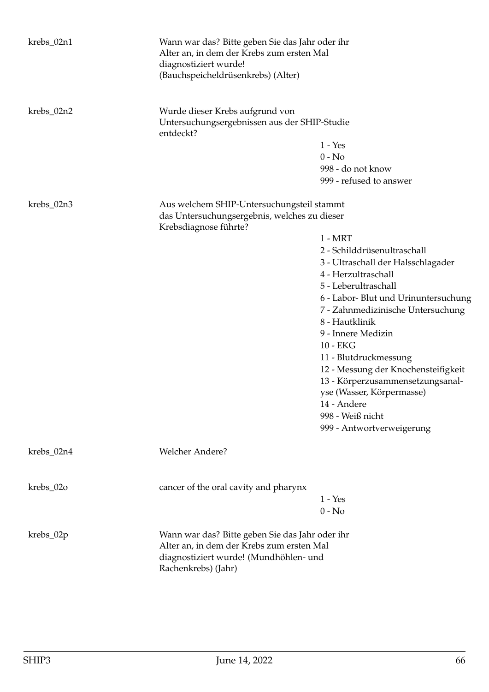| krebs_02n1 | Wann war das? Bitte geben Sie das Jahr oder ihr<br>Alter an, in dem der Krebs zum ersten Mal<br>diagnostiziert wurde!<br>(Bauchspeicheldrüsenkrebs) (Alter)   |                                                                                                                                                                                                                                                                                                                                                                                                                                                                 |
|------------|---------------------------------------------------------------------------------------------------------------------------------------------------------------|-----------------------------------------------------------------------------------------------------------------------------------------------------------------------------------------------------------------------------------------------------------------------------------------------------------------------------------------------------------------------------------------------------------------------------------------------------------------|
| krebs_02n2 | Wurde dieser Krebs aufgrund von<br>Untersuchungsergebnissen aus der SHIP-Studie<br>entdeckt?                                                                  | $1 - Yes$<br>$0 - No$<br>998 - do not know<br>999 - refused to answer                                                                                                                                                                                                                                                                                                                                                                                           |
| krebs_02n3 | Aus welchem SHIP-Untersuchungsteil stammt<br>das Untersuchungsergebnis, welches zu dieser<br>Krebsdiagnose führte?                                            | $1 - MRT$<br>2 - Schilddrüsenultraschall<br>3 - Ultraschall der Halsschlagader<br>4 - Herzultraschall<br>5 - Leberultraschall<br>6 - Labor- Blut und Urinuntersuchung<br>7 - Zahnmedizinische Untersuchung<br>8 - Hautklinik<br>9 - Innere Medizin<br>10 - EKG<br>11 - Blutdruckmessung<br>12 - Messung der Knochensteifigkeit<br>13 - Körperzusammensetzungsanal-<br>yse (Wasser, Körpermasse)<br>14 - Andere<br>998 - Weiß nicht<br>999 - Antwortverweigerung |
| krebs_02n4 | <b>Welcher Andere?</b>                                                                                                                                        |                                                                                                                                                                                                                                                                                                                                                                                                                                                                 |
| krebs_02o  | cancer of the oral cavity and pharynx                                                                                                                         | $1 - Yes$<br>$0 - No$                                                                                                                                                                                                                                                                                                                                                                                                                                           |
| krebs_02p  | Wann war das? Bitte geben Sie das Jahr oder ihr<br>Alter an, in dem der Krebs zum ersten Mal<br>diagnostiziert wurde! (Mundhöhlen- und<br>Rachenkrebs) (Jahr) |                                                                                                                                                                                                                                                                                                                                                                                                                                                                 |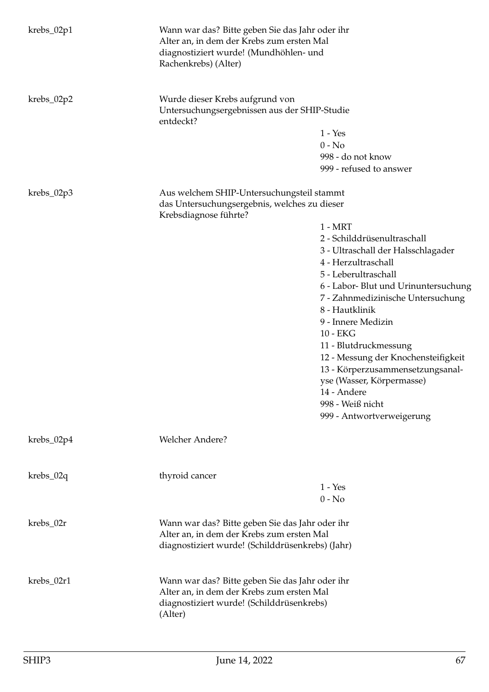| $krebs_02p1$ | Wann war das? Bitte geben Sie das Jahr oder ihr<br>Alter an, in dem der Krebs zum ersten Mal<br>diagnostiziert wurde! (Mundhöhlen- und<br>Rachenkrebs) (Alter) |                                                                                                                                                                                                                                                                                                                                                                                                                                                                 |
|--------------|----------------------------------------------------------------------------------------------------------------------------------------------------------------|-----------------------------------------------------------------------------------------------------------------------------------------------------------------------------------------------------------------------------------------------------------------------------------------------------------------------------------------------------------------------------------------------------------------------------------------------------------------|
| $krebs_02p2$ | Wurde dieser Krebs aufgrund von<br>Untersuchungsergebnissen aus der SHIP-Studie<br>entdeckt?                                                                   | $1 - Yes$<br>$0 - No$<br>998 - do not know<br>999 - refused to answer                                                                                                                                                                                                                                                                                                                                                                                           |
| $krebs_02p3$ | Aus welchem SHIP-Untersuchungsteil stammt<br>das Untersuchungsergebnis, welches zu dieser<br>Krebsdiagnose führte?                                             | $1 - MRT$<br>2 - Schilddrüsenultraschall<br>3 - Ultraschall der Halsschlagader<br>4 - Herzultraschall<br>5 - Leberultraschall<br>6 - Labor- Blut und Urinuntersuchung<br>7 - Zahnmedizinische Untersuchung<br>8 - Hautklinik<br>9 - Innere Medizin<br>10 - EKG<br>11 - Blutdruckmessung<br>12 - Messung der Knochensteifigkeit<br>13 - Körperzusammensetzungsanal-<br>yse (Wasser, Körpermasse)<br>14 - Andere<br>998 - Weiß nicht<br>999 - Antwortverweigerung |
| krebs_02p4   | Welcher Andere?                                                                                                                                                |                                                                                                                                                                                                                                                                                                                                                                                                                                                                 |
| $krebs_02q$  | thyroid cancer                                                                                                                                                 | $1 - Yes$<br>$0 - No$                                                                                                                                                                                                                                                                                                                                                                                                                                           |
| krebs_02r    | Wann war das? Bitte geben Sie das Jahr oder ihr<br>Alter an, in dem der Krebs zum ersten Mal<br>diagnostiziert wurde! (Schilddrüsenkrebs) (Jahr)               |                                                                                                                                                                                                                                                                                                                                                                                                                                                                 |
| krebs_02r1   | Wann war das? Bitte geben Sie das Jahr oder ihr<br>Alter an, in dem der Krebs zum ersten Mal<br>diagnostiziert wurde! (Schilddrüsenkrebs)<br>(Alter)           |                                                                                                                                                                                                                                                                                                                                                                                                                                                                 |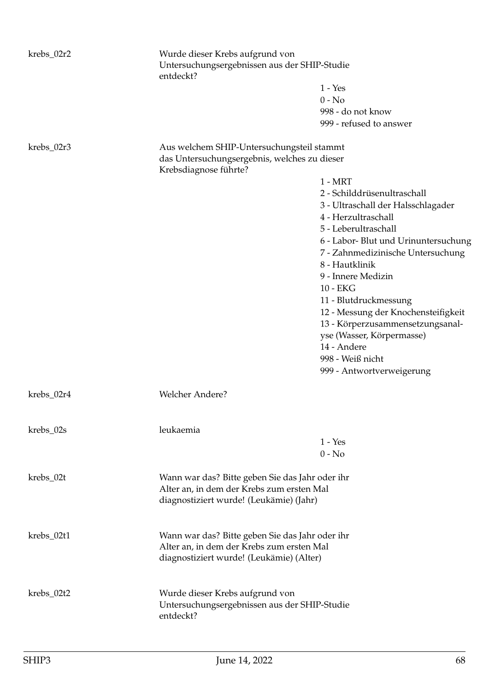| krebs_02r2 | Wurde dieser Krebs aufgrund von<br>Untersuchungsergebnissen aus der SHIP-Studie<br>entdeckt?                                             |                                      |  |
|------------|------------------------------------------------------------------------------------------------------------------------------------------|--------------------------------------|--|
|            |                                                                                                                                          | $1 - Yes$                            |  |
|            |                                                                                                                                          | $0 - No$                             |  |
|            |                                                                                                                                          | 998 - do not know                    |  |
|            |                                                                                                                                          | 999 - refused to answer              |  |
| krebs_02r3 | Aus welchem SHIP-Untersuchungsteil stammt<br>das Untersuchungsergebnis, welches zu dieser<br>Krebsdiagnose führte?                       |                                      |  |
|            |                                                                                                                                          | $1 - MRT$                            |  |
|            |                                                                                                                                          | 2 - Schilddrüsenultraschall          |  |
|            |                                                                                                                                          | 3 - Ultraschall der Halsschlagader   |  |
|            |                                                                                                                                          | 4 - Herzultraschall                  |  |
|            |                                                                                                                                          | 5 - Leberultraschall                 |  |
|            |                                                                                                                                          | 6 - Labor- Blut und Urinuntersuchung |  |
|            |                                                                                                                                          | 7 - Zahnmedizinische Untersuchung    |  |
|            |                                                                                                                                          | 8 - Hautklinik                       |  |
|            |                                                                                                                                          | 9 - Innere Medizin                   |  |
|            |                                                                                                                                          | 10 - EKG                             |  |
|            |                                                                                                                                          | 11 - Blutdruckmessung                |  |
|            |                                                                                                                                          | 12 - Messung der Knochensteifigkeit  |  |
|            |                                                                                                                                          | 13 - Körperzusammensetzungsanal-     |  |
|            |                                                                                                                                          | yse (Wasser, Körpermasse)            |  |
|            |                                                                                                                                          | 14 - Andere                          |  |
|            |                                                                                                                                          | 998 - Weiß nicht                     |  |
|            |                                                                                                                                          | 999 - Antwortverweigerung            |  |
| krebs_02r4 | Welcher Andere?                                                                                                                          |                                      |  |
| krebs_02s  | leukaemia                                                                                                                                |                                      |  |
|            |                                                                                                                                          | $1 - Yes$                            |  |
|            |                                                                                                                                          | $0 - No$                             |  |
| krebs_02t  | Wann war das? Bitte geben Sie das Jahr oder ihr                                                                                          |                                      |  |
|            | Alter an, in dem der Krebs zum ersten Mal<br>diagnostiziert wurde! (Leukämie) (Jahr)                                                     |                                      |  |
| krebs_02t1 | Wann war das? Bitte geben Sie das Jahr oder ihr<br>Alter an, in dem der Krebs zum ersten Mal<br>diagnostiziert wurde! (Leukämie) (Alter) |                                      |  |
| krebs_02t2 | Wurde dieser Krebs aufgrund von<br>Untersuchungsergebnissen aus der SHIP-Studie<br>entdeckt?                                             |                                      |  |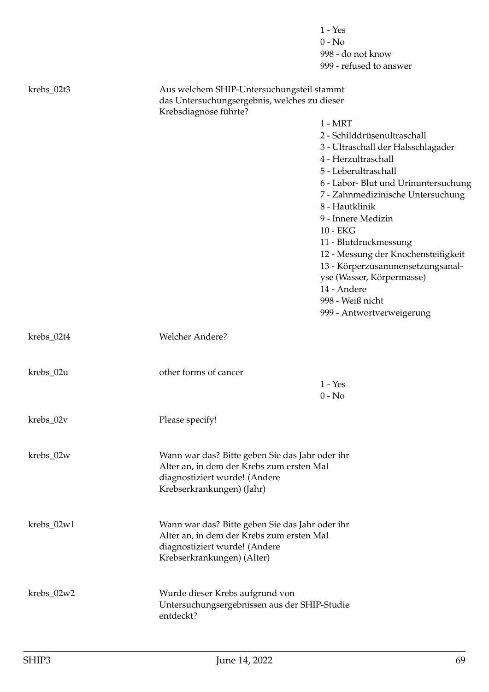|            |                                                                                              | $1 - Yes$                            |
|------------|----------------------------------------------------------------------------------------------|--------------------------------------|
|            |                                                                                              | $0 - No$                             |
|            |                                                                                              | 998 - do not know                    |
|            |                                                                                              | 999 - refused to answer              |
| krebs_02t3 | Aus welchem SHIP-Untersuchungsteil stammt<br>das Untersuchungsergebnis, welches zu dieser    |                                      |
|            | Krebsdiagnose führte?                                                                        |                                      |
|            |                                                                                              | $1 - MRT$                            |
|            |                                                                                              | 2 - Schilddrüsenultraschall          |
|            |                                                                                              | 3 - Ultraschall der Halsschlagader   |
|            |                                                                                              | 4 - Herzultraschall                  |
|            |                                                                                              | 5 - Leberultraschall                 |
|            |                                                                                              | 6 - Labor- Blut und Urinuntersuchung |
|            |                                                                                              | 7 - Zahnmedizinische Untersuchung    |
|            |                                                                                              | 8 - Hautklinik                       |
|            |                                                                                              | 9 - Innere Medizin                   |
|            |                                                                                              | 10 - EKG                             |
|            |                                                                                              | 11 - Blutdruckmessung                |
|            |                                                                                              | 12 - Messung der Knochensteifigkeit  |
|            |                                                                                              | 13 - Körperzusammensetzungsanal-     |
|            |                                                                                              | yse (Wasser, Körpermasse)            |
|            |                                                                                              | 14 - Andere                          |
|            |                                                                                              | 998 - Weiß nicht                     |
|            |                                                                                              | 999 - Antwortverweigerung            |
|            |                                                                                              |                                      |
| krebs_02t4 | Welcher Andere?                                                                              |                                      |
|            |                                                                                              |                                      |
|            |                                                                                              |                                      |
| krebs_02u  | other forms of cancer                                                                        |                                      |
|            |                                                                                              | $1 - Yes$                            |
|            |                                                                                              | $0 - No$                             |
|            |                                                                                              |                                      |
| krebs_02v  | Please specify!                                                                              |                                      |
|            |                                                                                              |                                      |
|            |                                                                                              |                                      |
| krebs_02w  | Wann war das? Bitte geben Sie das Jahr oder ihr<br>Alter an, in dem der Krebs zum ersten Mal |                                      |
|            | diagnostiziert wurde! (Andere                                                                |                                      |
|            | Krebserkrankungen) (Jahr)                                                                    |                                      |
|            |                                                                                              |                                      |
|            |                                                                                              |                                      |
| krebs_02w1 | Wann war das? Bitte geben Sie das Jahr oder ihr                                              |                                      |
|            | Alter an, in dem der Krebs zum ersten Mal                                                    |                                      |
|            | diagnostiziert wurde! (Andere                                                                |                                      |
|            | Krebserkrankungen) (Alter)                                                                   |                                      |
|            |                                                                                              |                                      |
|            |                                                                                              |                                      |
| krebs_02w2 | Wurde dieser Krebs aufgrund von                                                              |                                      |
|            | Untersuchungsergebnissen aus der SHIP-Studie                                                 |                                      |
|            | entdeckt?                                                                                    |                                      |
|            |                                                                                              |                                      |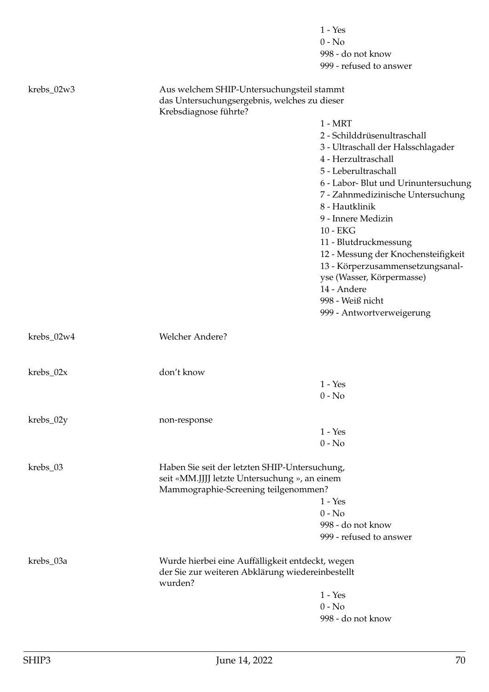|              |                                                                                                | $1 - Yes$                            |  |
|--------------|------------------------------------------------------------------------------------------------|--------------------------------------|--|
|              |                                                                                                | $0 - No$                             |  |
|              |                                                                                                | 998 - do not know                    |  |
|              |                                                                                                | 999 - refused to answer              |  |
| krebs_02w3   | Aus welchem SHIP-Untersuchungsteil stammt                                                      |                                      |  |
|              | das Untersuchungsergebnis, welches zu dieser                                                   |                                      |  |
|              | Krebsdiagnose führte?                                                                          |                                      |  |
|              |                                                                                                | $1 - MRT$                            |  |
|              |                                                                                                | 2 - Schilddrüsenultraschall          |  |
|              |                                                                                                | 3 - Ultraschall der Halsschlagader   |  |
|              |                                                                                                | 4 - Herzultraschall                  |  |
|              |                                                                                                | 5 - Leberultraschall                 |  |
|              |                                                                                                | 6 - Labor- Blut und Urinuntersuchung |  |
|              |                                                                                                | 7 - Zahnmedizinische Untersuchung    |  |
|              |                                                                                                | 8 - Hautklinik                       |  |
|              |                                                                                                | 9 - Innere Medizin                   |  |
|              |                                                                                                | 10 - EKG                             |  |
|              |                                                                                                | 11 - Blutdruckmessung                |  |
|              |                                                                                                | 12 - Messung der Knochensteifigkeit  |  |
|              |                                                                                                | 13 - Körperzusammensetzungsanal-     |  |
|              |                                                                                                | yse (Wasser, Körpermasse)            |  |
|              |                                                                                                | 14 - Andere                          |  |
|              |                                                                                                | 998 - Weiß nicht                     |  |
|              |                                                                                                | 999 - Antwortverweigerung            |  |
| $krebs_02w4$ | Welcher Andere?                                                                                |                                      |  |
|              |                                                                                                |                                      |  |
| $krebs_02x$  | don't know                                                                                     |                                      |  |
|              |                                                                                                | $1 - Yes$                            |  |
|              |                                                                                                | $0 - No$                             |  |
| krebs_02y    | non-response                                                                                   |                                      |  |
|              |                                                                                                | $1 - Yes$                            |  |
|              |                                                                                                | $0 - No$                             |  |
| krebs_03     |                                                                                                |                                      |  |
|              | Haben Sie seit der letzten SHIP-Untersuchung,<br>seit «MM.JJJJ letzte Untersuchung », an einem |                                      |  |
|              | Mammographie-Screening teilgenommen?                                                           |                                      |  |
|              |                                                                                                | $1 - Yes$                            |  |
|              |                                                                                                | $0 - No$                             |  |
|              |                                                                                                | 998 - do not know                    |  |
|              |                                                                                                | 999 - refused to answer              |  |
| krebs_03a    | Wurde hierbei eine Auffälligkeit entdeckt, wegen                                               |                                      |  |
|              | der Sie zur weiteren Abklärung wiedereinbestellt<br>wurden?                                    |                                      |  |
|              |                                                                                                | $1 - Yes$                            |  |
|              |                                                                                                | $0 - No$                             |  |
|              |                                                                                                | 998 - do not know                    |  |
|              |                                                                                                |                                      |  |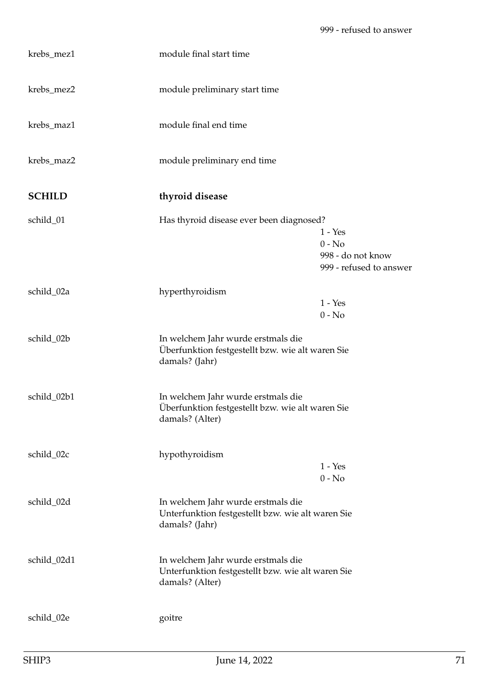| krebs_mez1    | module final start time                                                                                    |                                                                       |
|---------------|------------------------------------------------------------------------------------------------------------|-----------------------------------------------------------------------|
| krebs_mez2    | module preliminary start time                                                                              |                                                                       |
| krebs_maz1    | module final end time                                                                                      |                                                                       |
| krebs_maz2    | module preliminary end time                                                                                |                                                                       |
| <b>SCHILD</b> | thyroid disease                                                                                            |                                                                       |
| schild_01     | Has thyroid disease ever been diagnosed?                                                                   |                                                                       |
|               |                                                                                                            | $1 - Yes$<br>$0 - No$<br>998 - do not know<br>999 - refused to answer |
| schild_02a    | hyperthyroidism                                                                                            |                                                                       |
|               |                                                                                                            | $1 - Yes$<br>$0 - No$                                                 |
| schild_02b    | In welchem Jahr wurde erstmals die<br>Überfunktion festgestellt bzw. wie alt waren Sie<br>damals? (Jahr)   |                                                                       |
| schild_02b1   | In welchem Jahr wurde erstmals die<br>Überfunktion festgestellt bzw. wie alt waren Sie<br>damals? (Alter)  |                                                                       |
| schild_02c    | hypothyroidism                                                                                             | $1 - Yes$<br>$0 - No$                                                 |
|               |                                                                                                            |                                                                       |
| schild_02d    | In welchem Jahr wurde erstmals die<br>Unterfunktion festgestellt bzw. wie alt waren Sie<br>damals? (Jahr)  |                                                                       |
| schild_02d1   | In welchem Jahr wurde erstmals die<br>Unterfunktion festgestellt bzw. wie alt waren Sie<br>damals? (Alter) |                                                                       |
| schild_02e    | goitre                                                                                                     |                                                                       |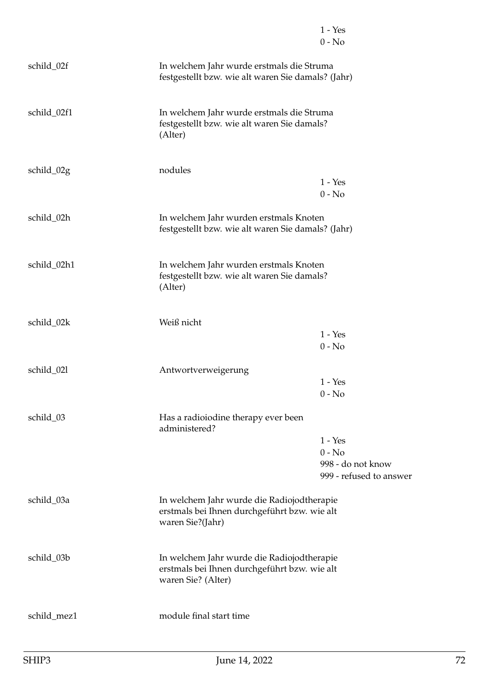|             |                                                                                                                  | $1 - Yes$<br>$0 - No$                                                 |
|-------------|------------------------------------------------------------------------------------------------------------------|-----------------------------------------------------------------------|
|             |                                                                                                                  |                                                                       |
| schild_02f  | In welchem Jahr wurde erstmals die Struma<br>festgestellt bzw. wie alt waren Sie damals? (Jahr)                  |                                                                       |
| schild_02f1 | In welchem Jahr wurde erstmals die Struma<br>festgestellt bzw. wie alt waren Sie damals?<br>(Alter)              |                                                                       |
| schild_02g  | nodules                                                                                                          | $1 - Yes$<br>$0 - No$                                                 |
| schild_02h  | In welchem Jahr wurden erstmals Knoten<br>festgestellt bzw. wie alt waren Sie damals? (Jahr)                     |                                                                       |
| schild_02h1 | In welchem Jahr wurden erstmals Knoten<br>festgestellt bzw. wie alt waren Sie damals?<br>(Alter)                 |                                                                       |
| schild_02k  | Weiß nicht                                                                                                       | $1 - Yes$<br>$0 - No$                                                 |
| schild_021  | Antwortverweigerung                                                                                              | $1 - Yes$<br>$0 - No$                                                 |
| schild_03   | Has a radioiodine therapy ever been<br>administered?                                                             |                                                                       |
|             |                                                                                                                  | $1 - Yes$<br>$0 - No$<br>998 - do not know<br>999 - refused to answer |
| schild_03a  | In welchem Jahr wurde die Radiojodtherapie<br>erstmals bei Ihnen durchgeführt bzw. wie alt<br>waren Sie?(Jahr)   |                                                                       |
| schild_03b  | In welchem Jahr wurde die Radiojodtherapie<br>erstmals bei Ihnen durchgeführt bzw. wie alt<br>waren Sie? (Alter) |                                                                       |
| schild_mez1 | module final start time                                                                                          |                                                                       |
|             |                                                                                                                  |                                                                       |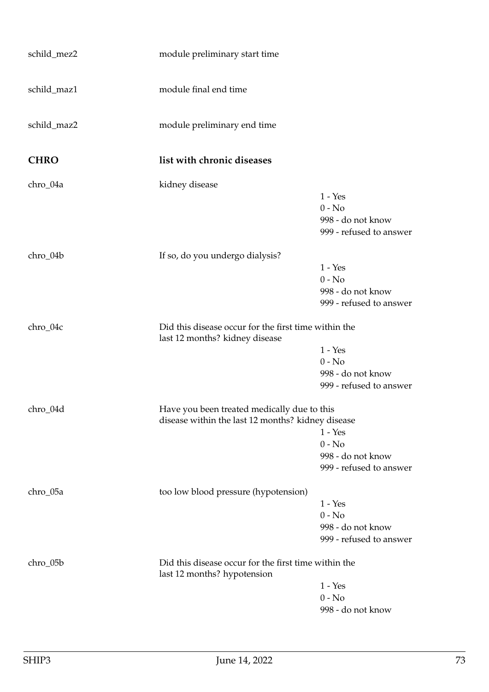| schild_mez2 | module preliminary start time                                                                    |                                                                       |
|-------------|--------------------------------------------------------------------------------------------------|-----------------------------------------------------------------------|
| schild_maz1 | module final end time                                                                            |                                                                       |
| schild_maz2 | module preliminary end time                                                                      |                                                                       |
| <b>CHRO</b> | list with chronic diseases                                                                       |                                                                       |
| chro_04a    | kidney disease                                                                                   | $1 - Yes$<br>$0 - No$<br>998 - do not know<br>999 - refused to answer |
| chro_04b    | If so, do you undergo dialysis?                                                                  | $1 - Yes$<br>$0 - No$<br>998 - do not know<br>999 - refused to answer |
| chro_04c    | Did this disease occur for the first time within the<br>last 12 months? kidney disease           | $1 - Yes$<br>$0 - No$<br>998 - do not know<br>999 - refused to answer |
| chro_04d    | Have you been treated medically due to this<br>disease within the last 12 months? kidney disease | $1 - Yes$<br>$0 - No$<br>998 - do not know<br>999 - refused to answer |
| chro_05a    | too low blood pressure (hypotension)                                                             | $1 - Yes$<br>$0 - No$<br>998 - do not know<br>999 - refused to answer |
| chro_05b    | Did this disease occur for the first time within the<br>last 12 months? hypotension              | $1 - Yes$<br>$0 - No$<br>998 - do not know                            |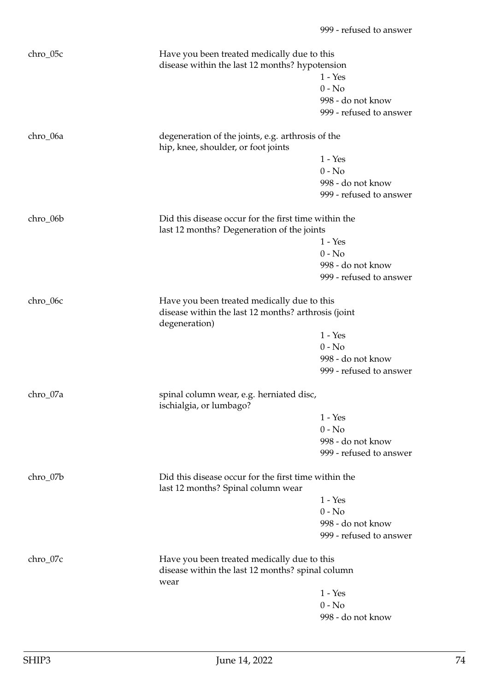| chro_05c | Have you been treated medically due to this<br>disease within the last 12 months? hypotension      |                         |
|----------|----------------------------------------------------------------------------------------------------|-------------------------|
|          |                                                                                                    | $1 - Yes$               |
|          |                                                                                                    | $0 - No$                |
|          |                                                                                                    | 998 - do not know       |
|          |                                                                                                    | 999 - refused to answer |
|          |                                                                                                    |                         |
| chro_06a | degeneration of the joints, e.g. arthrosis of the<br>hip, knee, shoulder, or foot joints           |                         |
|          |                                                                                                    | $1 - Yes$               |
|          |                                                                                                    | $0 - No$                |
|          |                                                                                                    | 998 - do not know       |
|          |                                                                                                    | 999 - refused to answer |
| chro_06b | Did this disease occur for the first time within the<br>last 12 months? Degeneration of the joints |                         |
|          |                                                                                                    | $1 - Yes$               |
|          |                                                                                                    | $0 - No$                |
|          |                                                                                                    | 998 - do not know       |
|          |                                                                                                    | 999 - refused to answer |
|          |                                                                                                    |                         |
| chro_06c | Have you been treated medically due to this                                                        |                         |
|          | disease within the last 12 months? arthrosis (joint<br>degeneration)                               |                         |
|          |                                                                                                    | $1 - Yes$               |
|          |                                                                                                    | $0 - No$                |
|          |                                                                                                    | 998 - do not know       |
|          |                                                                                                    | 999 - refused to answer |
| chro_07a | spinal column wear, e.g. herniated disc,<br>ischialgia, or lumbago?                                |                         |
|          |                                                                                                    | $1 - Yes$               |
|          |                                                                                                    | $0 - No$                |
|          |                                                                                                    | 998 - do not know       |
|          |                                                                                                    | 999 - refused to answer |
| chro_07b | Did this disease occur for the first time within the<br>last 12 months? Spinal column wear         |                         |
|          |                                                                                                    | $1 - Yes$               |
|          |                                                                                                    | $0 - No$                |
|          |                                                                                                    | 998 - do not know       |
|          |                                                                                                    | 999 - refused to answer |
|          |                                                                                                    |                         |
| chro_07c | Have you been treated medically due to this                                                        |                         |
|          | disease within the last 12 months? spinal column<br>wear                                           |                         |
|          |                                                                                                    | $1 - Yes$               |
|          |                                                                                                    | $0 - No$                |
|          |                                                                                                    | 998 - do not know       |
|          |                                                                                                    |                         |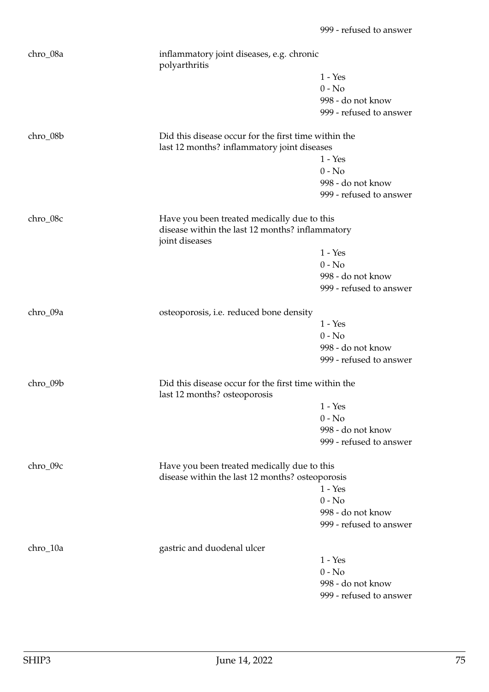| chro_08a | polyarthritis                                                                                       | inflammatory joint diseases, e.g. chronic |  |
|----------|-----------------------------------------------------------------------------------------------------|-------------------------------------------|--|
|          |                                                                                                     | $1 - Yes$                                 |  |
|          |                                                                                                     | $0 - No$                                  |  |
|          |                                                                                                     | 998 - do not know                         |  |
|          |                                                                                                     | 999 - refused to answer                   |  |
| chro_08b | Did this disease occur for the first time within the<br>last 12 months? inflammatory joint diseases |                                           |  |
|          |                                                                                                     | $1 - Yes$                                 |  |
|          |                                                                                                     | $0 - No$                                  |  |
|          |                                                                                                     | 998 - do not know                         |  |
|          |                                                                                                     | 999 - refused to answer                   |  |
|          |                                                                                                     |                                           |  |
| chro_08c | Have you been treated medically due to this                                                         |                                           |  |
|          | disease within the last 12 months? inflammatory<br>joint diseases                                   |                                           |  |
|          |                                                                                                     | $1 - Yes$                                 |  |
|          |                                                                                                     | $0 - No$                                  |  |
|          |                                                                                                     | 998 - do not know                         |  |
|          |                                                                                                     | 999 - refused to answer                   |  |
| chro_09a | osteoporosis, i.e. reduced bone density                                                             |                                           |  |
|          |                                                                                                     | $1 - Yes$                                 |  |
|          |                                                                                                     | $0 - No$                                  |  |
|          |                                                                                                     | 998 - do not know                         |  |
|          |                                                                                                     | 999 - refused to answer                   |  |
| chro_09b | Did this disease occur for the first time within the<br>last 12 months? osteoporosis                |                                           |  |
|          |                                                                                                     | $1 - Yes$                                 |  |
|          |                                                                                                     | $0 - No$                                  |  |
|          |                                                                                                     | 998 - do not know                         |  |
|          |                                                                                                     | 999 - refused to answer                   |  |
| chro_09c | Have you been treated medically due to this                                                         |                                           |  |
|          | disease within the last 12 months? osteoporosis                                                     |                                           |  |
|          |                                                                                                     | $1 - Yes$                                 |  |
|          |                                                                                                     | $0 - No$                                  |  |
|          |                                                                                                     | 998 - do not know                         |  |
|          |                                                                                                     | 999 - refused to answer                   |  |
| chro_10a | gastric and duodenal ulcer                                                                          |                                           |  |
|          |                                                                                                     | $1 - Yes$                                 |  |
|          |                                                                                                     | $0 - No$                                  |  |
|          |                                                                                                     | 998 - do not know                         |  |
|          |                                                                                                     | 999 - refused to answer                   |  |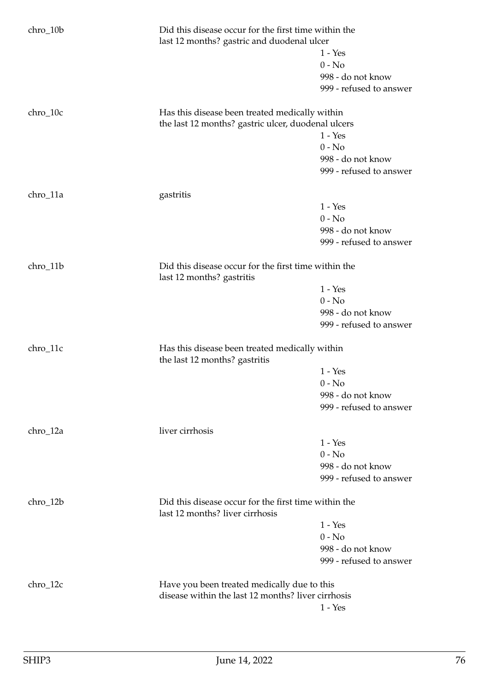| $chro_10b$ | Did this disease occur for the first time within the<br>last 12 months? gastric and duodenal ulcer |                         |
|------------|----------------------------------------------------------------------------------------------------|-------------------------|
|            |                                                                                                    | $1 - Yes$               |
|            |                                                                                                    | $0 - No$                |
|            |                                                                                                    | 998 - do not know       |
|            |                                                                                                    | 999 - refused to answer |
| $chro_10c$ | Has this disease been treated medically within                                                     |                         |
|            | the last 12 months? gastric ulcer, duodenal ulcers                                                 |                         |
|            |                                                                                                    | $1 - Yes$               |
|            |                                                                                                    | $0 - No$                |
|            |                                                                                                    | 998 - do not know       |
|            |                                                                                                    | 999 - refused to answer |
| chro_11a   | gastritis                                                                                          |                         |
|            |                                                                                                    | $1 - Yes$               |
|            |                                                                                                    | $0 - No$                |
|            |                                                                                                    | 998 - do not know       |
|            |                                                                                                    | 999 - refused to answer |
| chro_11b   | Did this disease occur for the first time within the<br>last 12 months? gastritis                  |                         |
|            |                                                                                                    | $1 - Yes$               |
|            |                                                                                                    | $0 - No$                |
|            |                                                                                                    | 998 - do not know       |
|            |                                                                                                    | 999 - refused to answer |
| chro_11c   | Has this disease been treated medically within<br>the last 12 months? gastritis                    |                         |
|            |                                                                                                    | $1 - Yes$               |
|            |                                                                                                    | $0 - No$                |
|            |                                                                                                    | 998 - do not know       |
|            |                                                                                                    | 999 - refused to answer |
| chro_12a   | liver cirrhosis                                                                                    |                         |
|            |                                                                                                    | $1 - Yes$               |
|            |                                                                                                    | $0 - No$                |
|            |                                                                                                    | 998 - do not know       |
|            |                                                                                                    | 999 - refused to answer |
| chro_12b   | Did this disease occur for the first time within the<br>last 12 months? liver cirrhosis            |                         |
|            |                                                                                                    | $1 - Yes$               |
|            |                                                                                                    | $0 - No$                |
|            |                                                                                                    | 998 - do not know       |
|            |                                                                                                    | 999 - refused to answer |
| $chro_12c$ | Have you been treated medically due to this                                                        |                         |
|            | disease within the last 12 months? liver cirrhosis                                                 |                         |
|            |                                                                                                    | $1 - Yes$               |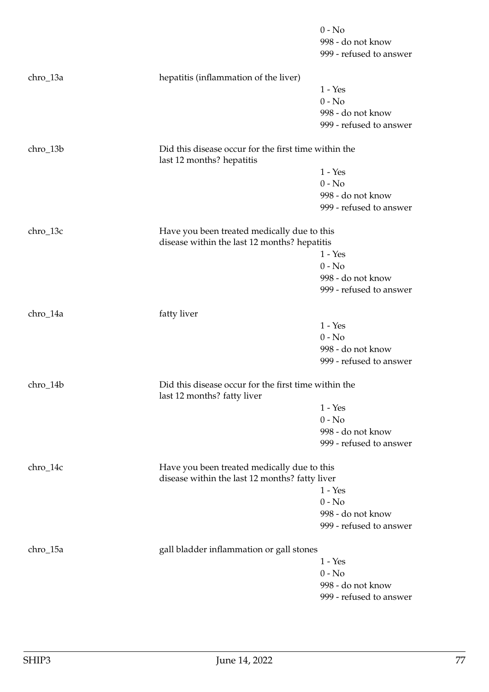|            |                                                                                     | $0 - No$<br>998 - do not know<br>999 - refused to answer |
|------------|-------------------------------------------------------------------------------------|----------------------------------------------------------|
| chro_13a   | hepatitis (inflammation of the liver)                                               |                                                          |
|            |                                                                                     | $1 - Yes$                                                |
|            |                                                                                     | $0 - No$                                                 |
|            |                                                                                     | 998 - do not know                                        |
|            |                                                                                     | 999 - refused to answer                                  |
| chro_13b   | Did this disease occur for the first time within the<br>last 12 months? hepatitis   |                                                          |
|            |                                                                                     | $1 - Yes$                                                |
|            |                                                                                     | $0 - No$                                                 |
|            |                                                                                     | 998 - do not know                                        |
|            |                                                                                     | 999 - refused to answer                                  |
| chro_13c   | Have you been treated medically due to this                                         |                                                          |
|            | disease within the last 12 months? hepatitis                                        |                                                          |
|            |                                                                                     | $1 - Yes$                                                |
|            |                                                                                     | $0 - No$                                                 |
|            |                                                                                     | 998 - do not know                                        |
|            |                                                                                     | 999 - refused to answer                                  |
| chro_14a   | fatty liver                                                                         |                                                          |
|            |                                                                                     | $1 - Yes$                                                |
|            |                                                                                     | $0 - No$                                                 |
|            |                                                                                     | 998 - do not know                                        |
|            |                                                                                     | 999 - refused to answer                                  |
| chro_14b   | Did this disease occur for the first time within the<br>last 12 months? fatty liver |                                                          |
|            |                                                                                     | $1 - Yes$                                                |
|            |                                                                                     | $0 - No$                                                 |
|            |                                                                                     | 998 - do not know                                        |
|            |                                                                                     | 999 - refused to answer                                  |
| $chro_14c$ | Have you been treated medically due to this                                         |                                                          |
|            | disease within the last 12 months? fatty liver                                      |                                                          |
|            |                                                                                     | $1 - Yes$                                                |
|            |                                                                                     | $0 - No$                                                 |
|            |                                                                                     | 998 - do not know<br>999 - refused to answer             |
|            |                                                                                     |                                                          |
| chro_15a   | gall bladder inflammation or gall stones                                            |                                                          |
|            |                                                                                     | $1 - Yes$                                                |
|            |                                                                                     | $0 - No$                                                 |
|            |                                                                                     | 998 - do not know<br>999 - refused to answer             |
|            |                                                                                     |                                                          |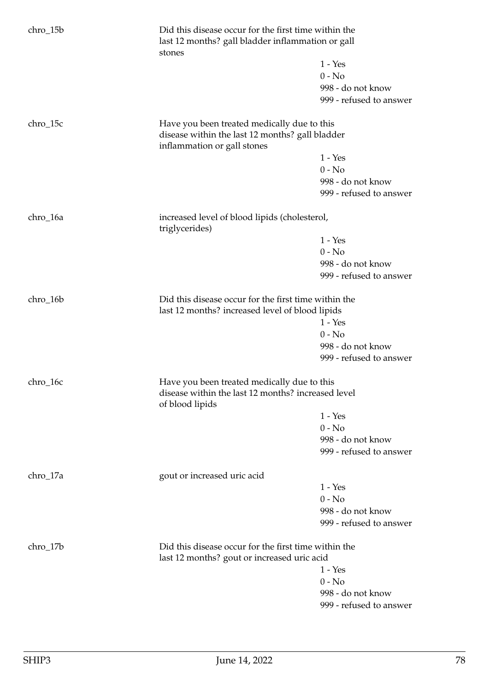| chro_15b | stones                                                                                                  | Did this disease occur for the first time within the<br>last 12 months? gall bladder inflammation or gall |  |
|----------|---------------------------------------------------------------------------------------------------------|-----------------------------------------------------------------------------------------------------------|--|
|          |                                                                                                         | $1 - Yes$                                                                                                 |  |
|          |                                                                                                         | $0 - No$                                                                                                  |  |
|          |                                                                                                         | 998 - do not know                                                                                         |  |
|          |                                                                                                         | 999 - refused to answer                                                                                   |  |
|          |                                                                                                         |                                                                                                           |  |
| chro_15c | Have you been treated medically due to this                                                             |                                                                                                           |  |
|          | disease within the last 12 months? gall bladder<br>inflammation or gall stones                          |                                                                                                           |  |
|          |                                                                                                         | $1 - Yes$                                                                                                 |  |
|          |                                                                                                         | $0 - No$                                                                                                  |  |
|          |                                                                                                         | 998 - do not know                                                                                         |  |
|          |                                                                                                         | 999 - refused to answer                                                                                   |  |
|          |                                                                                                         |                                                                                                           |  |
| chro_16a | increased level of blood lipids (cholesterol,<br>triglycerides)                                         |                                                                                                           |  |
|          |                                                                                                         | $1 - Yes$                                                                                                 |  |
|          |                                                                                                         | $0 - No$                                                                                                  |  |
|          |                                                                                                         | 998 - do not know                                                                                         |  |
|          |                                                                                                         | 999 - refused to answer                                                                                   |  |
| chro_16b | Did this disease occur for the first time within the<br>last 12 months? increased level of blood lipids |                                                                                                           |  |
|          |                                                                                                         | $1 - Yes$                                                                                                 |  |
|          |                                                                                                         | $0 - No$                                                                                                  |  |
|          |                                                                                                         | 998 - do not know                                                                                         |  |
|          |                                                                                                         | 999 - refused to answer                                                                                   |  |
| chro_16c | Have you been treated medically due to this                                                             |                                                                                                           |  |
|          | disease within the last 12 months? increased level<br>of blood lipids                                   |                                                                                                           |  |
|          |                                                                                                         | $1 - Yes$                                                                                                 |  |
|          |                                                                                                         | $0 - No$                                                                                                  |  |
|          |                                                                                                         | 998 - do not know                                                                                         |  |
|          |                                                                                                         | 999 - refused to answer                                                                                   |  |
| chro_17a | gout or increased uric acid                                                                             |                                                                                                           |  |
|          |                                                                                                         | $1 - Yes$                                                                                                 |  |
|          |                                                                                                         | $0 - No$                                                                                                  |  |
|          |                                                                                                         | 998 - do not know                                                                                         |  |
|          |                                                                                                         | 999 - refused to answer                                                                                   |  |
| chro_17b | Did this disease occur for the first time within the                                                    |                                                                                                           |  |
|          | last 12 months? gout or increased uric acid                                                             |                                                                                                           |  |
|          |                                                                                                         | $1 - Yes$                                                                                                 |  |
|          |                                                                                                         | $0 - No$                                                                                                  |  |
|          |                                                                                                         | 998 - do not know                                                                                         |  |
|          |                                                                                                         | 999 - refused to answer                                                                                   |  |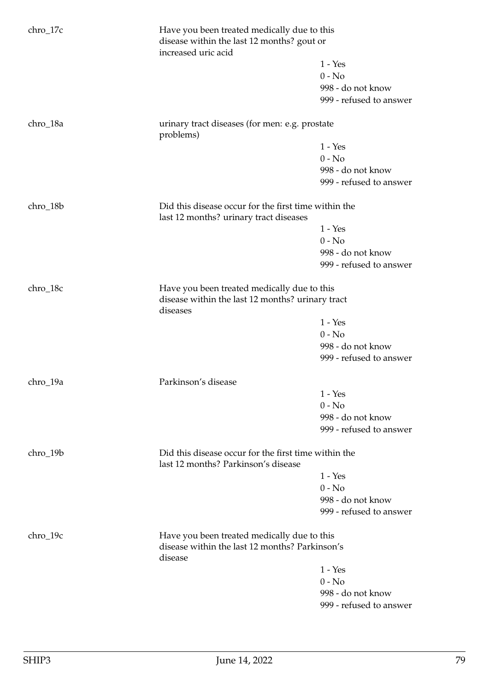| chro_17c |                                                                                                | Have you been treated medically due to this<br>disease within the last 12 months? gout or<br>increased uric acid |  |
|----------|------------------------------------------------------------------------------------------------|------------------------------------------------------------------------------------------------------------------|--|
|          |                                                                                                | $1 - Yes$                                                                                                        |  |
|          |                                                                                                | $0 - No$                                                                                                         |  |
|          |                                                                                                | 998 - do not know                                                                                                |  |
|          |                                                                                                | 999 - refused to answer                                                                                          |  |
| chro_18a | urinary tract diseases (for men: e.g. prostate<br>problems)                                    |                                                                                                                  |  |
|          |                                                                                                | $1 - Yes$                                                                                                        |  |
|          |                                                                                                | $0 - No$                                                                                                         |  |
|          |                                                                                                | 998 - do not know                                                                                                |  |
|          |                                                                                                | 999 - refused to answer                                                                                          |  |
| chro_18b | Did this disease occur for the first time within the<br>last 12 months? urinary tract diseases |                                                                                                                  |  |
|          |                                                                                                | $1 - Yes$                                                                                                        |  |
|          |                                                                                                | $0 - No$                                                                                                         |  |
|          |                                                                                                | 998 - do not know                                                                                                |  |
|          |                                                                                                | 999 - refused to answer                                                                                          |  |
| chro_18c | diseases                                                                                       | Have you been treated medically due to this<br>disease within the last 12 months? urinary tract                  |  |
|          |                                                                                                | $1 - Yes$                                                                                                        |  |
|          |                                                                                                | $0 - No$                                                                                                         |  |
|          |                                                                                                | 998 - do not know                                                                                                |  |
|          |                                                                                                | 999 - refused to answer                                                                                          |  |
| chro_19a | Parkinson's disease                                                                            |                                                                                                                  |  |
|          |                                                                                                | $1 - Yes$                                                                                                        |  |
|          |                                                                                                | $0 - No$                                                                                                         |  |
|          |                                                                                                | 998 - do not know                                                                                                |  |
|          |                                                                                                | 999 - refused to answer                                                                                          |  |
| chro_19b | Did this disease occur for the first time within the<br>last 12 months? Parkinson's disease    |                                                                                                                  |  |
|          |                                                                                                | $1 - Yes$                                                                                                        |  |
|          |                                                                                                | $0 - No$                                                                                                         |  |
|          |                                                                                                | 998 - do not know                                                                                                |  |
|          |                                                                                                | 999 - refused to answer                                                                                          |  |
| chro_19c | Have you been treated medically due to this<br>disease within the last 12 months? Parkinson's  |                                                                                                                  |  |
|          | disease                                                                                        |                                                                                                                  |  |
|          |                                                                                                | $1 - Yes$                                                                                                        |  |
|          |                                                                                                | $0 - No$                                                                                                         |  |
|          |                                                                                                | 998 - do not know                                                                                                |  |
|          |                                                                                                | 999 - refused to answer                                                                                          |  |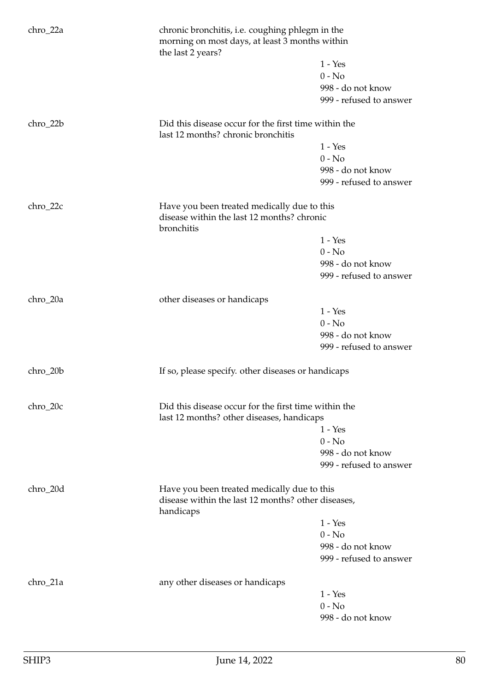| chro_22a   | the last 2 years?                                                                                       | chronic bronchitis, i.e. coughing phlegm in the<br>morning on most days, at least 3 months within |  |
|------------|---------------------------------------------------------------------------------------------------------|---------------------------------------------------------------------------------------------------|--|
|            |                                                                                                         | $1 - Yes$                                                                                         |  |
|            |                                                                                                         | $0 - No$                                                                                          |  |
|            |                                                                                                         | 998 - do not know                                                                                 |  |
|            |                                                                                                         | 999 - refused to answer                                                                           |  |
| chro_22b   | Did this disease occur for the first time within the<br>last 12 months? chronic bronchitis              |                                                                                                   |  |
|            |                                                                                                         | $1 - Yes$                                                                                         |  |
|            |                                                                                                         | $0 - No$                                                                                          |  |
|            |                                                                                                         | 998 - do not know                                                                                 |  |
|            |                                                                                                         | 999 - refused to answer                                                                           |  |
| $chro_22c$ | Have you been treated medically due to this<br>disease within the last 12 months? chronic<br>bronchitis |                                                                                                   |  |
|            |                                                                                                         | $1 - Yes$                                                                                         |  |
|            |                                                                                                         | $0 - No$                                                                                          |  |
|            |                                                                                                         | 998 - do not know                                                                                 |  |
|            |                                                                                                         | 999 - refused to answer                                                                           |  |
| chro_20a   |                                                                                                         |                                                                                                   |  |
|            | other diseases or handicaps                                                                             | $1 - Yes$                                                                                         |  |
|            |                                                                                                         | $0 - No$                                                                                          |  |
|            |                                                                                                         | 998 - do not know                                                                                 |  |
|            |                                                                                                         | 999 - refused to answer                                                                           |  |
|            |                                                                                                         |                                                                                                   |  |
| chro_20b   | If so, please specify. other diseases or handicaps                                                      |                                                                                                   |  |
| chro_20c   | Did this disease occur for the first time within the<br>last 12 months? other diseases, handicaps       |                                                                                                   |  |
|            |                                                                                                         | $1 - Yes$                                                                                         |  |
|            |                                                                                                         | $0 - No$                                                                                          |  |
|            |                                                                                                         | 998 - do not know                                                                                 |  |
|            |                                                                                                         | 999 - refused to answer                                                                           |  |
| chro_20d   | Have you been treated medically due to this                                                             |                                                                                                   |  |
|            | disease within the last 12 months? other diseases,<br>handicaps                                         |                                                                                                   |  |
|            |                                                                                                         | $1 - Yes$                                                                                         |  |
|            |                                                                                                         | $0 - No$                                                                                          |  |
|            |                                                                                                         | 998 - do not know                                                                                 |  |
|            |                                                                                                         | 999 - refused to answer                                                                           |  |
| chro_21a   | any other diseases or handicaps                                                                         |                                                                                                   |  |
|            |                                                                                                         | $1 - Yes$                                                                                         |  |
|            |                                                                                                         | $0 - No$                                                                                          |  |
|            |                                                                                                         | 998 - do not know                                                                                 |  |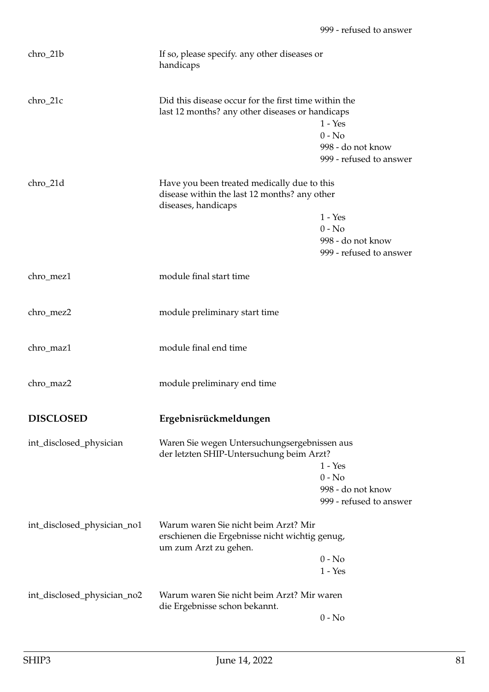| chro_21b                    | If so, please specify. any other diseases or<br>handicaps                                                          |                                                                       |
|-----------------------------|--------------------------------------------------------------------------------------------------------------------|-----------------------------------------------------------------------|
| chro_21c                    | Did this disease occur for the first time within the<br>last 12 months? any other diseases or handicaps            | $1 - Yes$<br>$0 - No$<br>998 - do not know<br>999 - refused to answer |
| chro_21d                    | Have you been treated medically due to this<br>disease within the last 12 months? any other<br>diseases, handicaps | $1 - Yes$<br>$0 - No$<br>998 - do not know<br>999 - refused to answer |
| chro_mez1                   | module final start time                                                                                            |                                                                       |
| chro_mez2                   | module preliminary start time                                                                                      |                                                                       |
| chro_maz1                   | module final end time                                                                                              |                                                                       |
| chro_maz2                   | module preliminary end time                                                                                        |                                                                       |
| <b>DISCLOSED</b>            | Ergebnisrückmeldungen                                                                                              |                                                                       |
| int_disclosed_physician     | Waren Sie wegen Untersuchungsergebnissen aus<br>der letzten SHIP-Untersuchung beim Arzt?                           | $1 - Yes$<br>$0 - No$<br>998 - do not know<br>999 - refused to answer |
| int_disclosed_physician_no1 | Warum waren Sie nicht beim Arzt? Mir<br>erschienen die Ergebnisse nicht wichtig genug,<br>um zum Arzt zu gehen.    | $0 - No$<br>$1 - Yes$                                                 |
| int_disclosed_physician_no2 | Warum waren Sie nicht beim Arzt? Mir waren<br>die Ergebnisse schon bekannt.                                        |                                                                       |
|                             |                                                                                                                    | $0 - No$                                                              |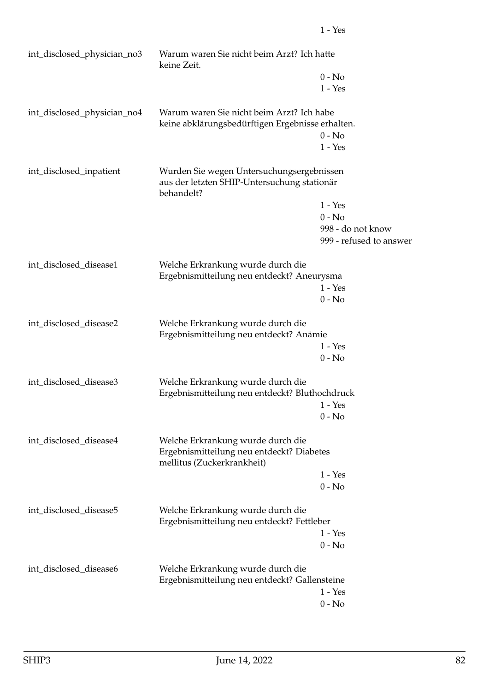| int_disclosed_physician_no3 | Warum waren Sie nicht beim Arzt? Ich hatte<br>keine Zeit.                                                    |                         |
|-----------------------------|--------------------------------------------------------------------------------------------------------------|-------------------------|
|                             |                                                                                                              | $0 - No$                |
|                             |                                                                                                              | $1 - Yes$               |
| int_disclosed_physician_no4 | Warum waren Sie nicht beim Arzt? Ich habe<br>keine abklärungsbedürftigen Ergebnisse erhalten.                |                         |
|                             |                                                                                                              | $0 - No$                |
|                             |                                                                                                              | $1 - Yes$               |
| int_disclosed_inpatient     | Wurden Sie wegen Untersuchungsergebnissen<br>aus der letzten SHIP-Untersuchung stationär<br>behandelt?       |                         |
|                             |                                                                                                              | $1 - Yes$               |
|                             |                                                                                                              | $0 - No$                |
|                             |                                                                                                              | 998 - do not know       |
|                             |                                                                                                              | 999 - refused to answer |
| int_disclosed_disease1      | Welche Erkrankung wurde durch die                                                                            |                         |
|                             | Ergebnismitteilung neu entdeckt? Aneurysma                                                                   |                         |
|                             |                                                                                                              | $1 - Yes$               |
|                             |                                                                                                              | $0 - No$                |
| int_disclosed_disease2      | Welche Erkrankung wurde durch die<br>Ergebnismitteilung neu entdeckt? Anämie                                 |                         |
|                             |                                                                                                              | $1 - Yes$               |
|                             |                                                                                                              | $0 - No$                |
| int_disclosed_disease3      | Welche Erkrankung wurde durch die<br>Ergebnismitteilung neu entdeckt? Bluthochdruck                          |                         |
|                             |                                                                                                              | $1 - Yes$               |
|                             |                                                                                                              | $0 - No$                |
|                             |                                                                                                              |                         |
| int_disclosed_disease4      | Welche Erkrankung wurde durch die<br>Ergebnismitteilung neu entdeckt? Diabetes<br>mellitus (Zuckerkrankheit) |                         |
|                             |                                                                                                              | $1 - Yes$               |
|                             |                                                                                                              | $0 - No$                |
| int_disclosed_disease5      | Welche Erkrankung wurde durch die                                                                            |                         |
|                             | Ergebnismitteilung neu entdeckt? Fettleber                                                                   |                         |
|                             |                                                                                                              | $1 - Yes$<br>$0 - No$   |
|                             |                                                                                                              |                         |
| int_disclosed_disease6      | Welche Erkrankung wurde durch die                                                                            |                         |
|                             | Ergebnismitteilung neu entdeckt? Gallensteine                                                                | $1 - Yes$               |
|                             |                                                                                                              | $0 - No$                |
|                             |                                                                                                              |                         |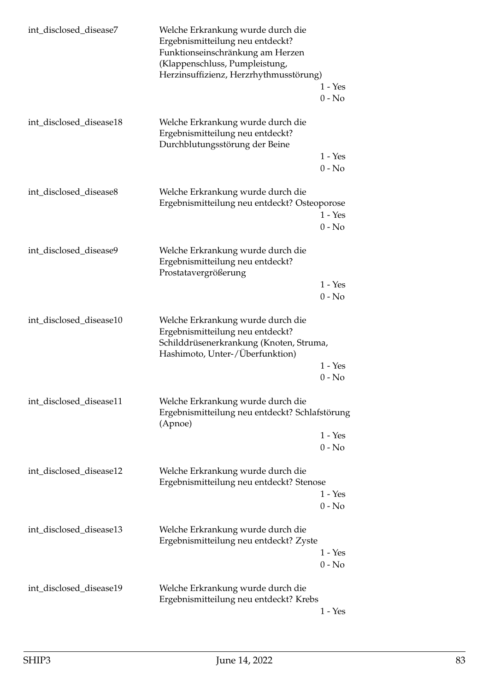| int_disclosed_disease7  | Welche Erkrankung wurde durch die<br>Ergebnismitteilung neu entdeckt?<br>Funktionseinschränkung am Herzen<br>(Klappenschluss, Pumpleistung,<br>Herzinsuffizienz, Herzrhythmusstörung) |                       |
|-------------------------|---------------------------------------------------------------------------------------------------------------------------------------------------------------------------------------|-----------------------|
|                         |                                                                                                                                                                                       | $1 - Yes$<br>$0 - No$ |
| int disclosed disease18 | Welche Erkrankung wurde durch die<br>Ergebnismitteilung neu entdeckt?<br>Durchblutungsstörung der Beine                                                                               |                       |
|                         |                                                                                                                                                                                       | $1 - Yes$<br>$0 - No$ |
| int_disclosed_disease8  | Welche Erkrankung wurde durch die<br>Ergebnismitteilung neu entdeckt? Osteoporose                                                                                                     |                       |
|                         |                                                                                                                                                                                       | $1 - Yes$<br>$0 - No$ |
| int_disclosed_disease9  | Welche Erkrankung wurde durch die<br>Ergebnismitteilung neu entdeckt?<br>Prostatavergrößerung                                                                                         |                       |
|                         |                                                                                                                                                                                       | $1 - Yes$<br>$0 - No$ |
| int_disclosed_disease10 | Welche Erkrankung wurde durch die<br>Ergebnismitteilung neu entdeckt?<br>Schilddrüsenerkrankung (Knoten, Struma,<br>Hashimoto, Unter-/Überfunktion)                                   |                       |
|                         |                                                                                                                                                                                       | $1 - Yes$<br>$0 - No$ |
| int_disclosed_disease11 | Welche Erkrankung wurde durch die<br>Ergebnismitteilung neu entdeckt? Schlafstörung<br>(Apnoe)                                                                                        |                       |
|                         |                                                                                                                                                                                       | $1 - Yes$<br>$0 - No$ |
| int_disclosed_disease12 | Welche Erkrankung wurde durch die<br>Ergebnismitteilung neu entdeckt? Stenose                                                                                                         |                       |
|                         |                                                                                                                                                                                       | $1 - Yes$<br>$0 - No$ |
| int_disclosed_disease13 | Welche Erkrankung wurde durch die<br>Ergebnismitteilung neu entdeckt? Zyste                                                                                                           |                       |
|                         |                                                                                                                                                                                       | $1 - Yes$<br>$0 - No$ |
| int_disclosed_disease19 | Welche Erkrankung wurde durch die<br>Ergebnismitteilung neu entdeckt? Krebs                                                                                                           | $1 - Yes$             |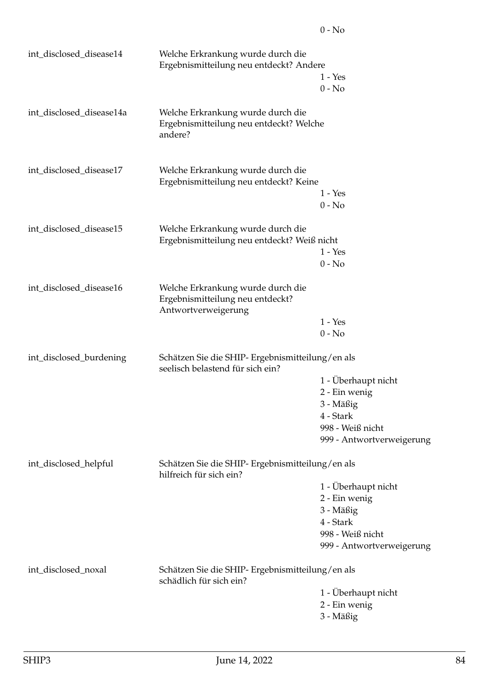| int_disclosed_disease14  | Welche Erkrankung wurde durch die<br>Ergebnismitteilung neu entdeckt? Andere                 | $1 - Yes$                                     |
|--------------------------|----------------------------------------------------------------------------------------------|-----------------------------------------------|
|                          |                                                                                              | $0 - No$                                      |
| int_disclosed_disease14a | Welche Erkrankung wurde durch die<br>Ergebnismitteilung neu entdeckt? Welche<br>andere?      |                                               |
| int_disclosed_disease17  | Welche Erkrankung wurde durch die<br>Ergebnismitteilung neu entdeckt? Keine                  |                                               |
|                          |                                                                                              | $1 - Yes$<br>$0 - No$                         |
| int_disclosed_disease15  | Welche Erkrankung wurde durch die<br>Ergebnismitteilung neu entdeckt? Weiß nicht             |                                               |
|                          |                                                                                              | $1 - Yes$                                     |
|                          |                                                                                              | $0 - No$                                      |
| int_disclosed_disease16  | Welche Erkrankung wurde durch die<br>Ergebnismitteilung neu entdeckt?<br>Antwortverweigerung |                                               |
|                          |                                                                                              | $1 - Yes$                                     |
|                          |                                                                                              | $0 - No$                                      |
| int_disclosed_burdening  | Schätzen Sie die SHIP- Ergebnismitteilung/en als<br>seelisch belastend für sich ein?         |                                               |
|                          |                                                                                              | 1 - Überhaupt nicht                           |
|                          |                                                                                              | 2 - Ein wenig                                 |
|                          |                                                                                              | 3 - Mäßig                                     |
|                          |                                                                                              | 4 - Stark                                     |
|                          |                                                                                              | 998 - Weiß nicht<br>999 - Antwortverweigerung |
| int_disclosed_helpful    | Schätzen Sie die SHIP- Ergebnismitteilung/en als<br>hilfreich für sich ein?                  |                                               |
|                          |                                                                                              | 1 - Überhaupt nicht                           |
|                          |                                                                                              | 2 - Ein wenig                                 |
|                          |                                                                                              | 3 - Mäßig                                     |
|                          |                                                                                              | 4 - Stark                                     |
|                          |                                                                                              | 998 - Weiß nicht                              |
|                          |                                                                                              | 999 - Antwortverweigerung                     |
| int_disclosed_noxal      | Schätzen Sie die SHIP- Ergebnismitteilung/en als<br>schädlich für sich ein?                  |                                               |
|                          |                                                                                              | 1 - Überhaupt nicht                           |
|                          |                                                                                              | 2 - Ein wenig                                 |
|                          |                                                                                              | 3 - Mäßig                                     |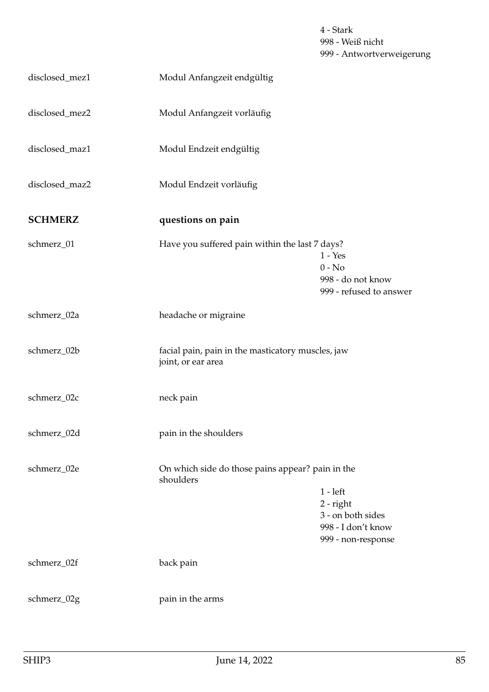4 - Stark 998 - Weiß nicht 999 - Antwortverweigerung

| disclosed_mez1 | Modul Anfangzeit endgültig                                              |                                                                                            |
|----------------|-------------------------------------------------------------------------|--------------------------------------------------------------------------------------------|
| disclosed_mez2 | Modul Anfangzeit vorläufig                                              |                                                                                            |
| disclosed_maz1 | Modul Endzeit endgültig                                                 |                                                                                            |
| disclosed_maz2 | Modul Endzeit vorläufig                                                 |                                                                                            |
| <b>SCHMERZ</b> | questions on pain                                                       |                                                                                            |
| schmerz_01     | Have you suffered pain within the last 7 days?                          | $1 - Yes$<br>$0 - No$<br>998 - do not know<br>999 - refused to answer                      |
| schmerz_02a    | headache or migraine                                                    |                                                                                            |
| schmerz_02b    | facial pain, pain in the masticatory muscles, jaw<br>joint, or ear area |                                                                                            |
| schmerz_02c    | neck pain                                                               |                                                                                            |
| schmerz_02d    | pain in the shoulders                                                   |                                                                                            |
| schmerz_02e    | On which side do those pains appear? pain in the<br>shoulders           | $1 - left$<br>$2$ - right<br>3 - on both sides<br>998 - I don't know<br>999 - non-response |
| schmerz_02f    | back pain                                                               |                                                                                            |
| schmerz_02g    | pain in the arms                                                        |                                                                                            |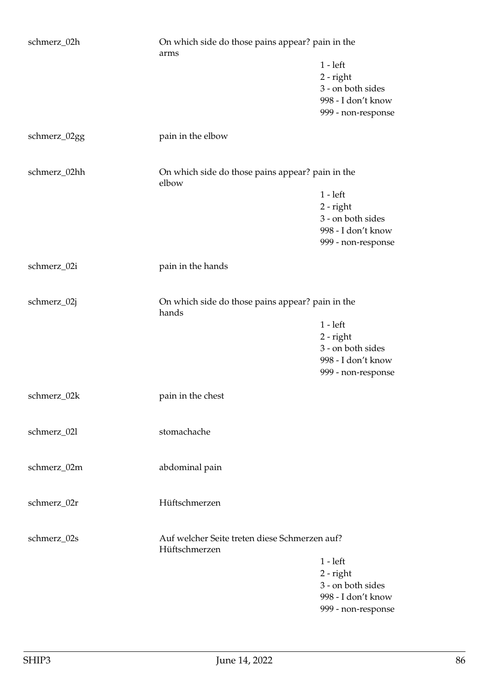| schmerz_02h  | On which side do those pains appear? pain in the<br>arms       |                                                                                            |
|--------------|----------------------------------------------------------------|--------------------------------------------------------------------------------------------|
|              |                                                                | $1 - left$<br>$2$ - right<br>3 - on both sides<br>998 - I don't know<br>999 - non-response |
| schmerz_02gg | pain in the elbow                                              |                                                                                            |
| schmerz_02hh | On which side do those pains appear? pain in the<br>elbow      |                                                                                            |
|              |                                                                | $1 - left$<br>$2$ - right<br>3 - on both sides<br>998 - I don't know<br>999 - non-response |
| schmerz_02i  | pain in the hands                                              |                                                                                            |
| schmerz_02j  | On which side do those pains appear? pain in the<br>hands      | $1 - left$<br>$2$ - right<br>3 - on both sides<br>998 - I don't know<br>999 - non-response |
| schmerz_02k  | pain in the chest                                              |                                                                                            |
| schmerz_02l  | stomachache                                                    |                                                                                            |
| schmerz_02m  | abdominal pain                                                 |                                                                                            |
| schmerz_02r  | Hüftschmerzen                                                  |                                                                                            |
| schmerz_02s  | Auf welcher Seite treten diese Schmerzen auf?<br>Hüftschmerzen | $1 - left$<br>$2$ - right<br>3 - on both sides<br>998 - I don't know<br>999 - non-response |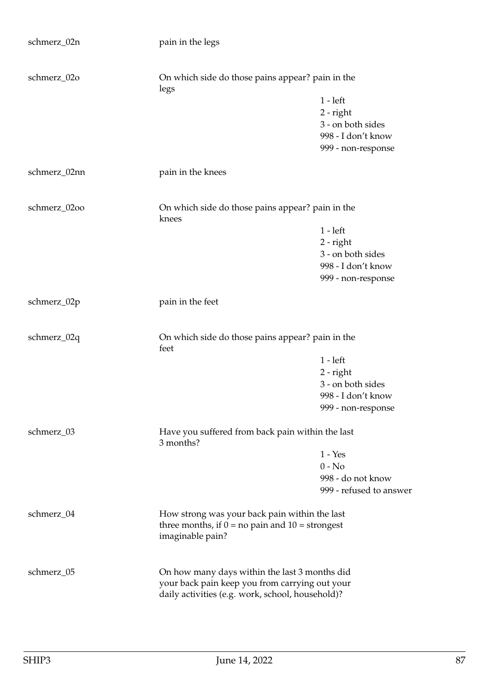| schmerz_02n  | pain in the legs                                                                                                                                    |                                                                                            |
|--------------|-----------------------------------------------------------------------------------------------------------------------------------------------------|--------------------------------------------------------------------------------------------|
| schmerz_02o  | On which side do those pains appear? pain in the                                                                                                    |                                                                                            |
|              | legs                                                                                                                                                | $1 - left$<br>$2$ - right<br>3 - on both sides<br>998 - I don't know<br>999 - non-response |
| schmerz_02nn | pain in the knees                                                                                                                                   |                                                                                            |
| schmerz_02oo | On which side do those pains appear? pain in the<br>knees                                                                                           |                                                                                            |
|              |                                                                                                                                                     | $1 - left$<br>$2$ - right<br>3 - on both sides<br>998 - I don't know<br>999 - non-response |
| schmerz_02p  | pain in the feet                                                                                                                                    |                                                                                            |
| schmerz_02q  | On which side do those pains appear? pain in the<br>feet                                                                                            |                                                                                            |
|              |                                                                                                                                                     | $1 - left$<br>$2$ - right<br>3 - on both sides<br>998 - I don't know<br>999 - non-response |
| schmerz_03   | Have you suffered from back pain within the last<br>3 months?                                                                                       |                                                                                            |
|              |                                                                                                                                                     | $1 - Yes$<br>$0 - No$<br>998 - do not know<br>999 - refused to answer                      |
| schmerz_04   | How strong was your back pain within the last<br>three months, if $0 = no$ pain and $10 =$ strongest<br>imaginable pain?                            |                                                                                            |
| schmerz_05   | On how many days within the last 3 months did<br>your back pain keep you from carrying out your<br>daily activities (e.g. work, school, household)? |                                                                                            |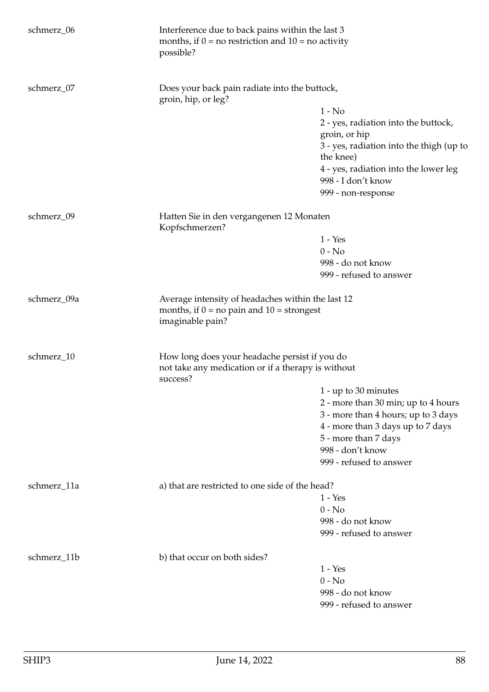| schmerz_06  | Interference due to back pains within the last 3<br>months, if $0 = no$ restriction and $10 = no$ activity<br>possible? |                                                                                                                                                                                                                 |
|-------------|-------------------------------------------------------------------------------------------------------------------------|-----------------------------------------------------------------------------------------------------------------------------------------------------------------------------------------------------------------|
| schmerz_07  | Does your back pain radiate into the buttock,<br>groin, hip, or leg?                                                    | $1 - No$<br>2 - yes, radiation into the buttock,<br>groin, or hip<br>3 - yes, radiation into the thigh (up to<br>the knee)<br>4 - yes, radiation into the lower leg<br>998 - I don't know<br>999 - non-response |
| schmerz_09  | Hatten Sie in den vergangenen 12 Monaten<br>Kopfschmerzen?                                                              | $1 - Yes$<br>$0 - No$<br>998 - do not know<br>999 - refused to answer                                                                                                                                           |
| schmerz_09a | Average intensity of headaches within the last 12<br>months, if $0 = no$ pain and $10 =$ strongest<br>imaginable pain?  |                                                                                                                                                                                                                 |
| schmerz_10  | How long does your headache persist if you do<br>not take any medication or if a therapy is without<br>success?         | 1 - up to 30 minutes<br>2 - more than 30 min; up to 4 hours<br>3 - more than 4 hours; up to 3 days<br>4 - more than 3 days up to 7 days<br>5 - more than 7 days<br>998 - don't know<br>999 - refused to answer  |
| schmerz_11a | a) that are restricted to one side of the head?                                                                         | $1 - Yes$<br>$0 - No$<br>998 - do not know<br>999 - refused to answer                                                                                                                                           |
| schmerz_11b | b) that occur on both sides?                                                                                            | $1 - Yes$<br>$0 - No$<br>998 - do not know<br>999 - refused to answer                                                                                                                                           |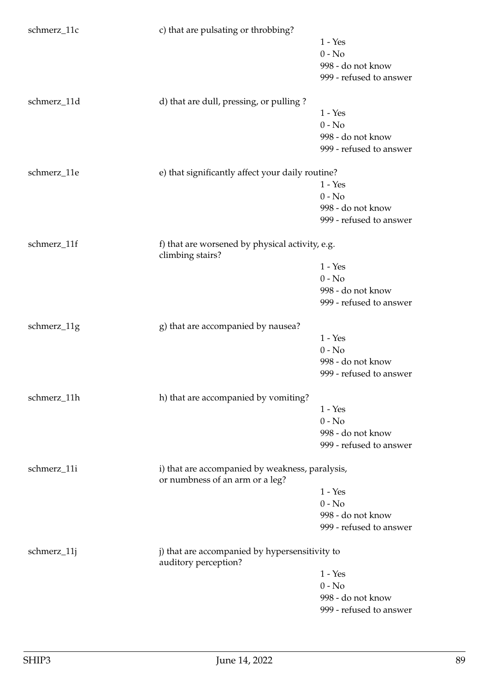| 998 - do not know                            |
|----------------------------------------------|
| 999 - refused to answer                      |
|                                              |
|                                              |
|                                              |
|                                              |
| 998 - do not know                            |
| 999 - refused to answer                      |
|                                              |
|                                              |
|                                              |
|                                              |
| 998 - do not know                            |
| 999 - refused to answer                      |
|                                              |
|                                              |
|                                              |
|                                              |
|                                              |
| 998 - do not know                            |
| 999 - refused to answer                      |
|                                              |
|                                              |
|                                              |
| 998 - do not know                            |
| 999 - refused to answer                      |
|                                              |
|                                              |
|                                              |
|                                              |
|                                              |
| 998 - do not know                            |
| 999 - refused to answer                      |
|                                              |
|                                              |
|                                              |
|                                              |
|                                              |
| 998 - do not know<br>999 - refused to answer |
|                                              |
|                                              |
|                                              |
|                                              |
| 998 - do not know                            |
|                                              |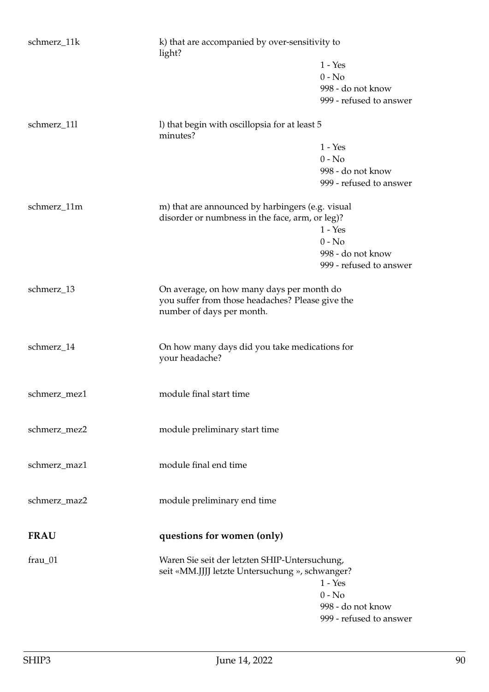| schmerz_11k  | k) that are accompanied by over-sensitivity to<br>light?                                            |                         |
|--------------|-----------------------------------------------------------------------------------------------------|-------------------------|
|              |                                                                                                     | $1 - Yes$               |
|              |                                                                                                     | $0 - No$                |
|              |                                                                                                     | 998 - do not know       |
|              |                                                                                                     | 999 - refused to answer |
| schmerz_111  | I) that begin with oscillopsia for at least 5<br>minutes?                                           |                         |
|              |                                                                                                     | $1 - Yes$               |
|              |                                                                                                     | $0 - No$                |
|              |                                                                                                     | 998 - do not know       |
|              |                                                                                                     | 999 - refused to answer |
| schmerz_11m  | m) that are announced by harbingers (e.g. visual<br>disorder or numbness in the face, arm, or leg)? |                         |
|              |                                                                                                     | $1 - Yes$               |
|              |                                                                                                     | $0 - No$                |
|              |                                                                                                     | 998 - do not know       |
|              |                                                                                                     | 999 - refused to answer |
| schmerz_13   | On average, on how many days per month do<br>you suffer from those headaches? Please give the       |                         |
|              | number of days per month.                                                                           |                         |
| schmerz_14   | On how many days did you take medications for<br>your headache?                                     |                         |
| schmerz_mez1 | module final start time                                                                             |                         |
| schmerz_mez2 | module preliminary start time                                                                       |                         |
| schmerz_maz1 | module final end time                                                                               |                         |
| schmerz_maz2 | module preliminary end time                                                                         |                         |
| <b>FRAU</b>  | questions for women (only)                                                                          |                         |
| frau_01      | Waren Sie seit der letzten SHIP-Untersuchung,<br>seit «MM.JJJJ letzte Untersuchung », schwanger?    | $1 - Yes$               |
|              |                                                                                                     | $0 - No$                |
|              |                                                                                                     | 998 - do not know       |
|              |                                                                                                     | 999 - refused to answer |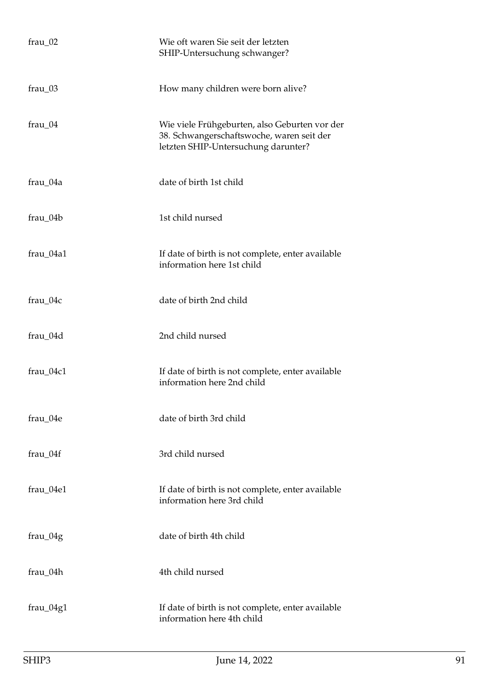| $frau_02$  | Wie oft waren Sie seit der letzten<br>SHIP-Untersuchung schwanger?                                                                |
|------------|-----------------------------------------------------------------------------------------------------------------------------------|
| frau_03    | How many children were born alive?                                                                                                |
| $frau_04$  | Wie viele Frühgeburten, also Geburten vor der<br>38. Schwangerschaftswoche, waren seit der<br>letzten SHIP-Untersuchung darunter? |
| frau_04a   | date of birth 1st child                                                                                                           |
| frau_04b   | 1st child nursed                                                                                                                  |
| frau_04a1  | If date of birth is not complete, enter available<br>information here 1st child                                                   |
| $frau_04c$ | date of birth 2nd child                                                                                                           |
| frau_04d   | 2nd child nursed                                                                                                                  |
| frau_04c1  | If date of birth is not complete, enter available<br>information here 2nd child                                                   |
| frau_04e   | date of birth 3rd child                                                                                                           |
| frau 04f   | 3rd child nursed                                                                                                                  |
| frau_04e1  | If date of birth is not complete, enter available<br>information here 3rd child                                                   |
| frau_04g   | date of birth 4th child                                                                                                           |
| frau_04h   | 4th child nursed                                                                                                                  |
| frau_04g1  | If date of birth is not complete, enter available<br>information here 4th child                                                   |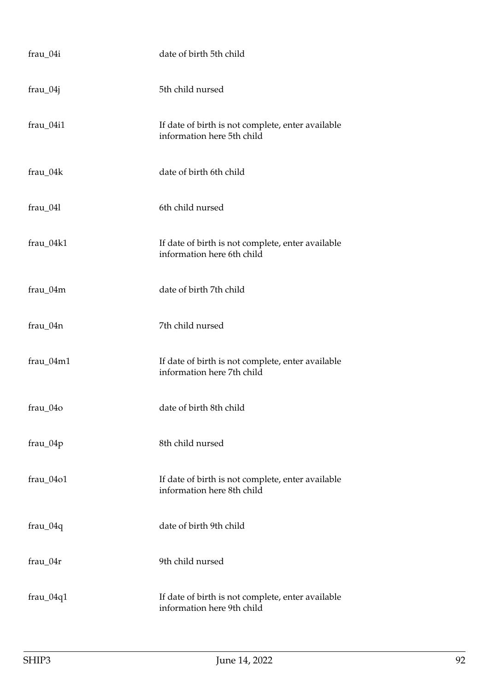| frau_04i    | date of birth 5th child                                                         |
|-------------|---------------------------------------------------------------------------------|
| $frau_04j$  | 5th child nursed                                                                |
| frau_04i1   | If date of birth is not complete, enter available<br>information here 5th child |
| frau_04k    | date of birth 6th child                                                         |
| frau_04l    | 6th child nursed                                                                |
| frau_04k1   | If date of birth is not complete, enter available<br>information here 6th child |
| frau_04m    | date of birth 7th child                                                         |
| frau_04n    | 7th child nursed                                                                |
| frau_04m1   | If date of birth is not complete, enter available<br>information here 7th child |
| frau 04o    | date of birth 8th child                                                         |
| frau_04p    | 8th child nursed                                                                |
| frau 04o1   | If date of birth is not complete, enter available<br>information here 8th child |
| $frau_04q$  | date of birth 9th child                                                         |
| $frau_04r$  | 9th child nursed                                                                |
| $frau_04q1$ | If date of birth is not complete, enter available<br>information here 9th child |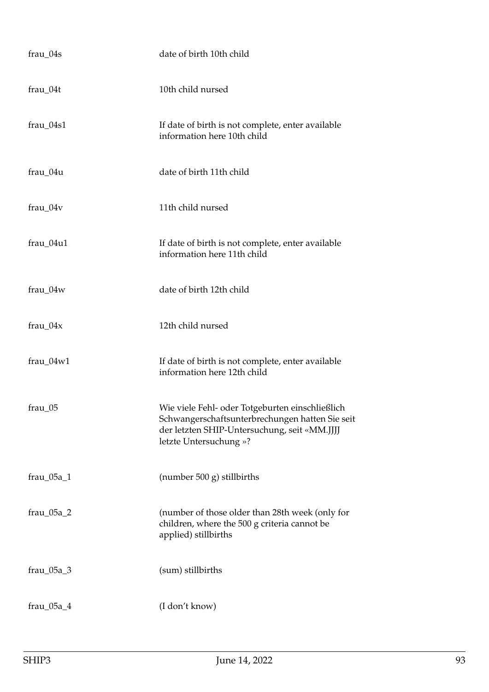| frau_04s     | date of birth 10th child                                                                                                                                                     |
|--------------|------------------------------------------------------------------------------------------------------------------------------------------------------------------------------|
| frau_04t     | 10th child nursed                                                                                                                                                            |
| $frau_04s1$  | If date of birth is not complete, enter available<br>information here 10th child                                                                                             |
| $frau_04u$   | date of birth 11th child                                                                                                                                                     |
| $frau_04v$   | 11th child nursed                                                                                                                                                            |
| frau_04u1    | If date of birth is not complete, enter available<br>information here 11th child                                                                                             |
| frau_04w     | date of birth 12th child                                                                                                                                                     |
| $frau_04x$   | 12th child nursed                                                                                                                                                            |
| $frau_04w1$  | If date of birth is not complete, enter available<br>information here 12th child                                                                                             |
| $frac_05$    | Wie viele Fehl- oder Totgeburten einschließlich<br>Schwangerschaftsunterbrechungen hatten Sie seit<br>der letzten SHIP-Untersuchung, seit «MM.JJJJ<br>letzte Untersuchung »? |
| $frau_05a_1$ | (number 500 g) stillbirths                                                                                                                                                   |
| $frau_05a_2$ | (number of those older than 28th week (only for<br>children, where the 500 g criteria cannot be<br>applied) stillbirths                                                      |
| $frau_05a_3$ | (sum) stillbirths                                                                                                                                                            |
| $frau_05a_4$ | (I don't know)                                                                                                                                                               |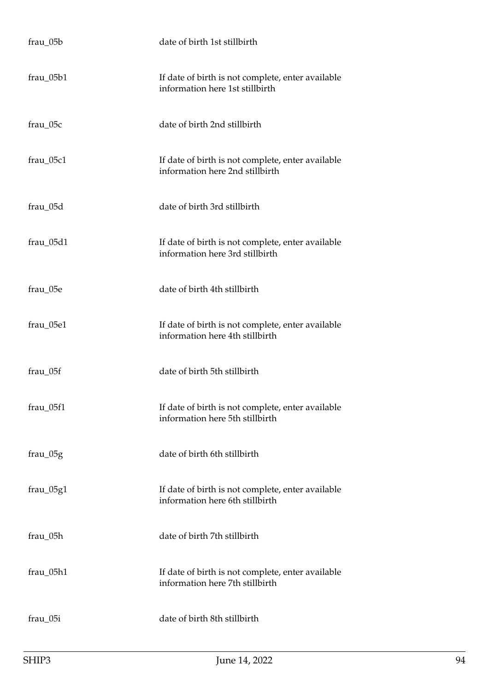| frau_05b    | date of birth 1st stillbirth                                                         |
|-------------|--------------------------------------------------------------------------------------|
| $frau_05b1$ | If date of birth is not complete, enter available<br>information here 1st stillbirth |
| frau_05c    | date of birth 2nd stillbirth                                                         |
| frau_05c1   | If date of birth is not complete, enter available<br>information here 2nd stillbirth |
| frau_05d    | date of birth 3rd stillbirth                                                         |
| frau_05d1   | If date of birth is not complete, enter available<br>information here 3rd stillbirth |
| frau_05e    | date of birth 4th stillbirth                                                         |
| frau_05e1   | If date of birth is not complete, enter available<br>information here 4th stillbirth |
| frau_05f    | date of birth 5th stillbirth                                                         |
| frau_05f1   | If date of birth is not complete, enter available<br>information here 5th stillbirth |
| frau_05g    | date of birth 6th stillbirth                                                         |
| $frau_05g1$ | If date of birth is not complete, enter available<br>information here 6th stillbirth |
| frau_05h    | date of birth 7th stillbirth                                                         |
| frau_05h1   | If date of birth is not complete, enter available<br>information here 7th stillbirth |
| frau_05i    | date of birth 8th stillbirth                                                         |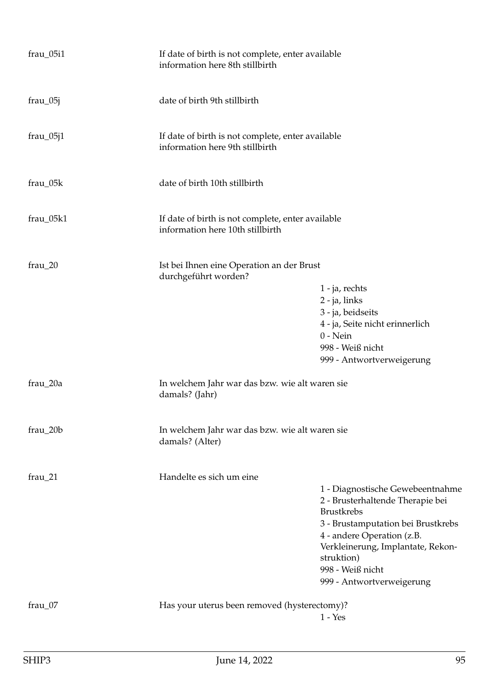| frau_05i1   | If date of birth is not complete, enter available<br>information here 8th stillbirth  |                                                                                                                                                                                                                                                                   |
|-------------|---------------------------------------------------------------------------------------|-------------------------------------------------------------------------------------------------------------------------------------------------------------------------------------------------------------------------------------------------------------------|
| $frau_05j$  | date of birth 9th stillbirth                                                          |                                                                                                                                                                                                                                                                   |
| $frau_05j1$ | If date of birth is not complete, enter available<br>information here 9th stillbirth  |                                                                                                                                                                                                                                                                   |
| $frau_05k$  | date of birth 10th stillbirth                                                         |                                                                                                                                                                                                                                                                   |
| frau_05k1   | If date of birth is not complete, enter available<br>information here 10th stillbirth |                                                                                                                                                                                                                                                                   |
| frau_20     | Ist bei Ihnen eine Operation an der Brust<br>durchgeführt worden?                     | 1 - ja, rechts<br>2 - ja, links<br>3 - ja, beidseits<br>4 - ja, Seite nicht erinnerlich<br>$0$ - Nein<br>998 - Weiß nicht<br>999 - Antwortverweigerung                                                                                                            |
| frau_20a    | In welchem Jahr war das bzw. wie alt waren sie<br>damals? (Jahr)                      |                                                                                                                                                                                                                                                                   |
| $frau_20b$  | In welchem Jahr war das bzw. wie alt waren sie<br>damals? (Alter)                     |                                                                                                                                                                                                                                                                   |
| $frau_21$   | Handelte es sich um eine                                                              | 1 - Diagnostische Gewebeentnahme<br>2 - Brusterhaltende Therapie bei<br><b>Brustkrebs</b><br>3 - Brustamputation bei Brustkrebs<br>4 - andere Operation (z.B.<br>Verkleinerung, Implantate, Rekon-<br>struktion)<br>998 - Weiß nicht<br>999 - Antwortverweigerung |
| frau_07     | Has your uterus been removed (hysterectomy)?                                          | $1 - Yes$                                                                                                                                                                                                                                                         |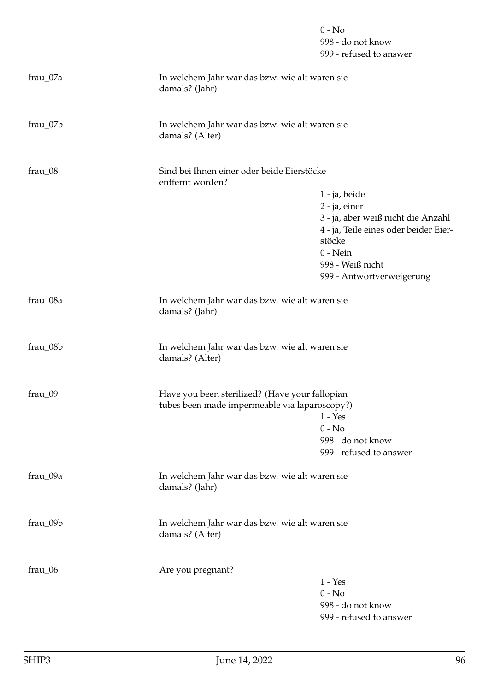|           |                                                                   | $0 - No$<br>998 - do not know<br>999 - refused to answer |
|-----------|-------------------------------------------------------------------|----------------------------------------------------------|
| frau_07a  | In welchem Jahr war das bzw. wie alt waren sie<br>damals? (Jahr)  |                                                          |
| frau_07b  | In welchem Jahr war das bzw. wie alt waren sie<br>damals? (Alter) |                                                          |
| $frau_08$ | Sind bei Ihnen einer oder beide Eierstöcke<br>entfernt worden?    |                                                          |
|           |                                                                   | 1 - ja, beide                                            |
|           |                                                                   | 2 - ja, einer                                            |
|           |                                                                   | 3 - ja, aber weiß nicht die Anzahl                       |
|           |                                                                   | 4 - ja, Teile eines oder beider Eier-<br>stöcke          |
|           |                                                                   | $0 - Nein$                                               |
|           |                                                                   | 998 - Weiß nicht                                         |
|           |                                                                   | 999 - Antwortverweigerung                                |
| frau_08a  | In welchem Jahr war das bzw. wie alt waren sie<br>damals? (Jahr)  |                                                          |
| frau_08b  | In welchem Jahr war das bzw. wie alt waren sie<br>damals? (Alter) |                                                          |
| frau_09   | Have you been sterilized? (Have your fallopian                    |                                                          |
|           | tubes been made impermeable via laparoscopy?)                     | $1 - Yes$                                                |
|           |                                                                   | $0 - No$                                                 |
|           |                                                                   | 998 - do not know                                        |
|           |                                                                   | 999 - refused to answer                                  |
| frau_09a  | In welchem Jahr war das bzw. wie alt waren sie<br>damals? (Jahr)  |                                                          |
| frau_09b  | In welchem Jahr war das bzw. wie alt waren sie<br>damals? (Alter) |                                                          |
| frau_06   | Are you pregnant?                                                 |                                                          |
|           |                                                                   | $1 - Yes$                                                |
|           |                                                                   | $0 - No$                                                 |
|           |                                                                   | 998 - do not know                                        |
|           |                                                                   | 999 - refused to answer                                  |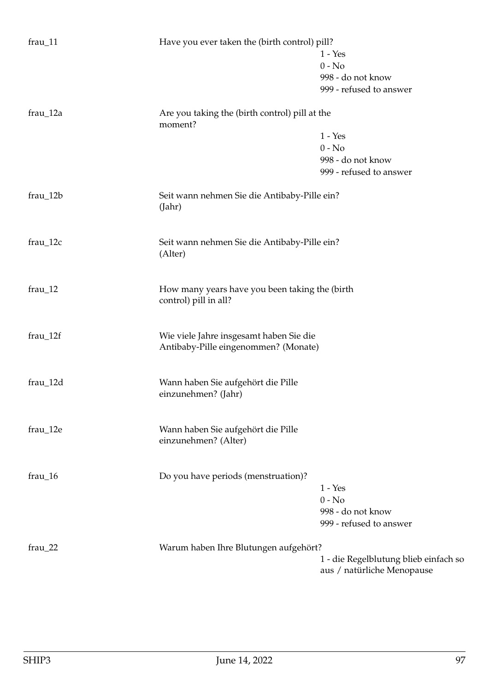| $frau_11$  | Have you ever taken the (birth control) pill?             |                                       |
|------------|-----------------------------------------------------------|---------------------------------------|
|            |                                                           | $1 - Yes$                             |
|            |                                                           | $0 - No$                              |
|            |                                                           | 998 - do not know                     |
|            |                                                           | 999 - refused to answer               |
| $frau_12a$ | Are you taking the (birth control) pill at the<br>moment? |                                       |
|            |                                                           | $1 - Yes$                             |
|            |                                                           |                                       |
|            |                                                           | $0 - No$                              |
|            |                                                           | 998 - do not know                     |
|            |                                                           | 999 - refused to answer               |
| $frau_12b$ | Seit wann nehmen Sie die Antibaby-Pille ein?<br>(Jahr)    |                                       |
|            |                                                           |                                       |
| $frau_12c$ | Seit wann nehmen Sie die Antibaby-Pille ein?<br>(Alter)   |                                       |
| $frau_12$  | How many years have you been taking the (birth            |                                       |
|            | control) pill in all?                                     |                                       |
| $frau_12f$ | Wie viele Jahre insgesamt haben Sie die                   |                                       |
|            | Antibaby-Pille eingenommen? (Monate)                      |                                       |
| frau_12d   | Wann haben Sie aufgehört die Pille                        |                                       |
|            | einzunehmen? (Jahr)                                       |                                       |
| frau_12e   | Wann haben Sie aufgehört die Pille                        |                                       |
|            | einzunehmen? (Alter)                                      |                                       |
| $frau_16$  |                                                           |                                       |
|            | Do you have periods (menstruation)?                       |                                       |
|            |                                                           | $1 - Yes$                             |
|            |                                                           | $0 - No$                              |
|            |                                                           | 998 - do not know                     |
|            |                                                           | 999 - refused to answer               |
| $frau_22$  | Warum haben Ihre Blutungen aufgehört?                     |                                       |
|            |                                                           | 1 - die Regelblutung blieb einfach so |
|            |                                                           | aus / natürliche Menopause            |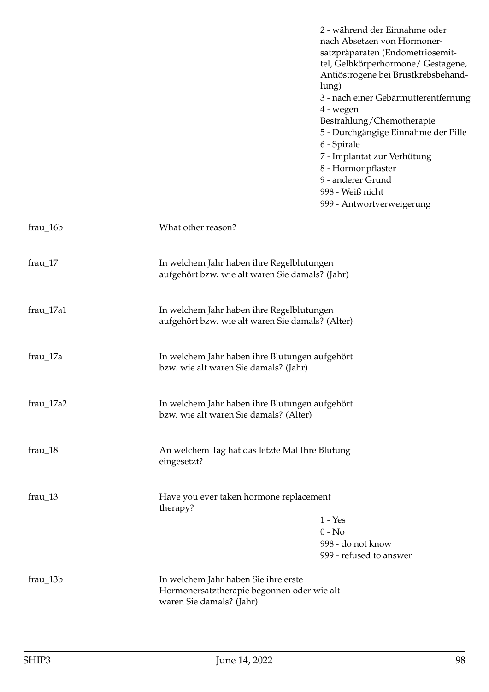|             | 2 - während der Einnahme oder<br>nach Absetzen von Hormoner-<br>satzpräparaten (Endometriosemit-<br>tel, Gelbkörperhormone/ Gestagene,<br>Antiöstrogene bei Brustkrebsbehand-<br>lung)<br>3 - nach einer Gebärmutterentfernung<br>4 - wegen<br>Bestrahlung/Chemotherapie<br>5 - Durchgängige Einnahme der Pille<br>6 - Spirale<br>7 - Implantat zur Verhütung<br>8 - Hormonpflaster<br>9 - anderer Grund<br>998 - Weiß nicht<br>999 - Antwortverweigerung |  |
|-------------|-----------------------------------------------------------------------------------------------------------------------------------------------------------------------------------------------------------------------------------------------------------------------------------------------------------------------------------------------------------------------------------------------------------------------------------------------------------|--|
| $frau_16b$  | What other reason?                                                                                                                                                                                                                                                                                                                                                                                                                                        |  |
| frau_17     | In welchem Jahr haben ihre Regelblutungen<br>aufgehört bzw. wie alt waren Sie damals? (Jahr)                                                                                                                                                                                                                                                                                                                                                              |  |
| $frau_17a1$ | In welchem Jahr haben ihre Regelblutungen<br>aufgehört bzw. wie alt waren Sie damals? (Alter)                                                                                                                                                                                                                                                                                                                                                             |  |
| frau_17a    | In welchem Jahr haben ihre Blutungen aufgehört<br>bzw. wie alt waren Sie damals? (Jahr)                                                                                                                                                                                                                                                                                                                                                                   |  |
| frau_17a2   | In welchem Jahr haben ihre Blutungen aufgehört<br>bzw. wie alt waren Sie damals? (Alter)                                                                                                                                                                                                                                                                                                                                                                  |  |
| frau_18     | An welchem Tag hat das letzte Mal Ihre Blutung<br>eingesetzt?                                                                                                                                                                                                                                                                                                                                                                                             |  |
| $frau_13$   | Have you ever taken hormone replacement<br>therapy?<br>$1 - Yes$<br>$0 - No$<br>998 - do not know<br>999 - refused to answer                                                                                                                                                                                                                                                                                                                              |  |
| $frau_13b$  | In welchem Jahr haben Sie ihre erste<br>Hormonersatztherapie begonnen oder wie alt<br>waren Sie damals? (Jahr)                                                                                                                                                                                                                                                                                                                                            |  |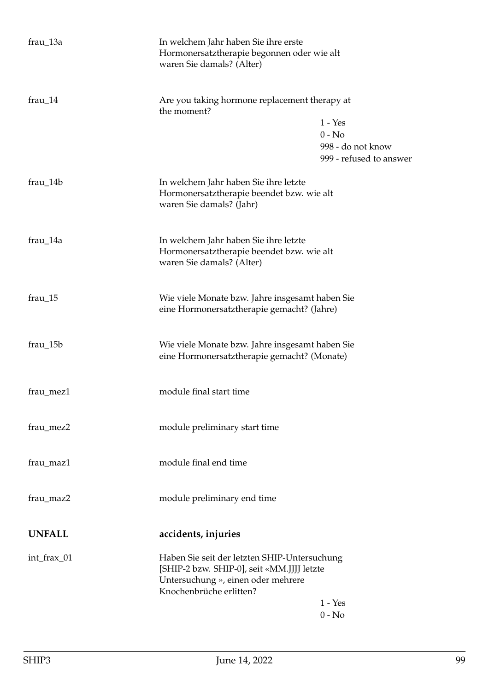| frau_13a      | In welchem Jahr haben Sie ihre erste<br>Hormonersatztherapie begonnen oder wie alt<br>waren Sie damals? (Alter)                                             |                                              |
|---------------|-------------------------------------------------------------------------------------------------------------------------------------------------------------|----------------------------------------------|
| $frau_14$     | Are you taking hormone replacement therapy at<br>the moment?                                                                                                |                                              |
|               |                                                                                                                                                             | $1 - Yes$                                    |
|               |                                                                                                                                                             | $0 - No$                                     |
|               |                                                                                                                                                             | 998 - do not know<br>999 - refused to answer |
| $frau_14b$    | In welchem Jahr haben Sie ihre letzte<br>Hormonersatztherapie beendet bzw. wie alt<br>waren Sie damals? (Jahr)                                              |                                              |
| frau_14a      | In welchem Jahr haben Sie ihre letzte<br>Hormonersatztherapie beendet bzw. wie alt<br>waren Sie damals? (Alter)                                             |                                              |
| $frau_15$     | Wie viele Monate bzw. Jahre insgesamt haben Sie<br>eine Hormonersatztherapie gemacht? (Jahre)                                                               |                                              |
| $frau_15b$    | Wie viele Monate bzw. Jahre insgesamt haben Sie<br>eine Hormonersatztherapie gemacht? (Monate)                                                              |                                              |
| frau_mez1     | module final start time                                                                                                                                     |                                              |
| frau_mez2     | module preliminary start time                                                                                                                               |                                              |
| frau_maz1     | module final end time                                                                                                                                       |                                              |
| frau_maz2     | module preliminary end time                                                                                                                                 |                                              |
| <b>UNFALL</b> | accidents, injuries                                                                                                                                         |                                              |
| int_frax_01   | Haben Sie seit der letzten SHIP-Untersuchung<br>[SHIP-2 bzw. SHIP-0], seit «MM.JJJJ letzte<br>Untersuchung », einen oder mehrere<br>Knochenbrüche erlitten? |                                              |
|               |                                                                                                                                                             | $1 - Yes$<br>$0 - No$                        |
|               |                                                                                                                                                             |                                              |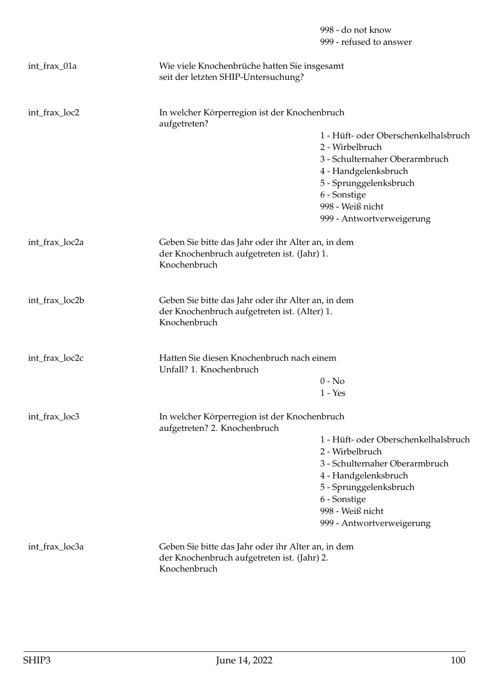|                |                                                                                                                    | 998 - do not know<br>999 - refused to answer   |
|----------------|--------------------------------------------------------------------------------------------------------------------|------------------------------------------------|
|                |                                                                                                                    |                                                |
| int_frax_01a   | Wie viele Knochenbrüche hatten Sie insgesamt<br>seit der letzten SHIP-Untersuchung?                                |                                                |
|                |                                                                                                                    |                                                |
| int_frax_loc2  | In welcher Körperregion ist der Knochenbruch<br>aufgetreten?                                                       |                                                |
|                |                                                                                                                    | 1 - Hüft- oder Oberschenkelhalsbruch           |
|                |                                                                                                                    | 2 - Wirbelbruch                                |
|                |                                                                                                                    | 3 - Schulternaher Oberarmbruch                 |
|                |                                                                                                                    | 4 - Handgelenksbruch<br>5 - Sprunggelenksbruch |
|                |                                                                                                                    | 6 - Sonstige                                   |
|                |                                                                                                                    | 998 - Weiß nicht                               |
|                |                                                                                                                    | 999 - Antwortverweigerung                      |
| int_frax_loc2a | Geben Sie bitte das Jahr oder ihr Alter an, in dem<br>der Knochenbruch aufgetreten ist. (Jahr) 1.                  |                                                |
|                | Knochenbruch                                                                                                       |                                                |
| int_frax_loc2b | Geben Sie bitte das Jahr oder ihr Alter an, in dem<br>der Knochenbruch aufgetreten ist. (Alter) 1.<br>Knochenbruch |                                                |
|                |                                                                                                                    |                                                |
| int_frax_loc2c | Hatten Sie diesen Knochenbruch nach einem<br>Unfall? 1. Knochenbruch                                               |                                                |
|                |                                                                                                                    | $0 - No$                                       |
|                |                                                                                                                    | $1 - Yes$                                      |
| int_frax_loc3  | In welcher Körperregion ist der Knochenbruch<br>aufgetreten? 2. Knochenbruch                                       |                                                |
|                |                                                                                                                    | 1 - Hüft- oder Oberschenkelhalsbruch           |
|                |                                                                                                                    | 2 - Wirbelbruch                                |
|                |                                                                                                                    | 3 - Schulternaher Oberarmbruch                 |
|                |                                                                                                                    | 4 - Handgelenksbruch<br>5 - Sprunggelenksbruch |
|                |                                                                                                                    | 6 - Sonstige                                   |
|                |                                                                                                                    | 998 - Weiß nicht                               |
|                |                                                                                                                    | 999 - Antwortverweigerung                      |
| int_frax_loc3a | Geben Sie bitte das Jahr oder ihr Alter an, in dem                                                                 |                                                |
|                | der Knochenbruch aufgetreten ist. (Jahr) 2.<br>Knochenbruch                                                        |                                                |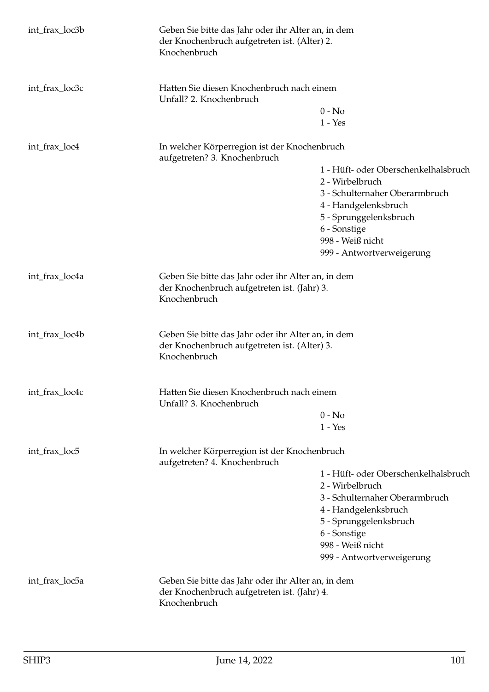| int_frax_loc3b | Geben Sie bitte das Jahr oder ihr Alter an, in dem<br>der Knochenbruch aufgetreten ist. (Alter) 2.<br>Knochenbruch |                                      |
|----------------|--------------------------------------------------------------------------------------------------------------------|--------------------------------------|
| int_frax_loc3c | Hatten Sie diesen Knochenbruch nach einem<br>Unfall? 2. Knochenbruch                                               |                                      |
|                |                                                                                                                    | $0 - No$                             |
|                |                                                                                                                    | $1 - Yes$                            |
| int_frax_loc4  | In welcher Körperregion ist der Knochenbruch<br>aufgetreten? 3. Knochenbruch                                       |                                      |
|                |                                                                                                                    | 1 - Hüft- oder Oberschenkelhalsbruch |
|                |                                                                                                                    | 2 - Wirbelbruch                      |
|                |                                                                                                                    | 3 - Schulternaher Oberarmbruch       |
|                |                                                                                                                    | 4 - Handgelenksbruch                 |
|                |                                                                                                                    | 5 - Sprunggelenksbruch               |
|                |                                                                                                                    | 6 - Sonstige                         |
|                |                                                                                                                    | 998 - Weiß nicht                     |
|                |                                                                                                                    | 999 - Antwortverweigerung            |
| int_frax_loc4a | Geben Sie bitte das Jahr oder ihr Alter an, in dem<br>der Knochenbruch aufgetreten ist. (Jahr) 3.<br>Knochenbruch  |                                      |
| int_frax_loc4b | Geben Sie bitte das Jahr oder ihr Alter an, in dem<br>der Knochenbruch aufgetreten ist. (Alter) 3.<br>Knochenbruch |                                      |
| int_frax_loc4c | Hatten Sie diesen Knochenbruch nach einem<br>Unfall? 3. Knochenbruch                                               |                                      |
|                |                                                                                                                    | $0 - No$                             |
|                |                                                                                                                    | $1 - Yes$                            |
| int_frax_loc5  | In welcher Körperregion ist der Knochenbruch<br>aufgetreten? 4. Knochenbruch                                       |                                      |
|                |                                                                                                                    | 1 - Hüft- oder Oberschenkelhalsbruch |
|                |                                                                                                                    | 2 - Wirbelbruch                      |
|                |                                                                                                                    | 3 - Schulternaher Oberarmbruch       |
|                |                                                                                                                    | 4 - Handgelenksbruch                 |
|                |                                                                                                                    | 5 - Sprunggelenksbruch               |
|                |                                                                                                                    | 6 - Sonstige                         |
|                |                                                                                                                    | 998 - Weiß nicht                     |
|                |                                                                                                                    | 999 - Antwortverweigerung            |
| int_frax_loc5a |                                                                                                                    |                                      |
|                | Geben Sie bitte das Jahr oder ihr Alter an, in dem<br>der Knochenbruch aufgetreten ist. (Jahr) 4.                  |                                      |
|                | Knochenbruch                                                                                                       |                                      |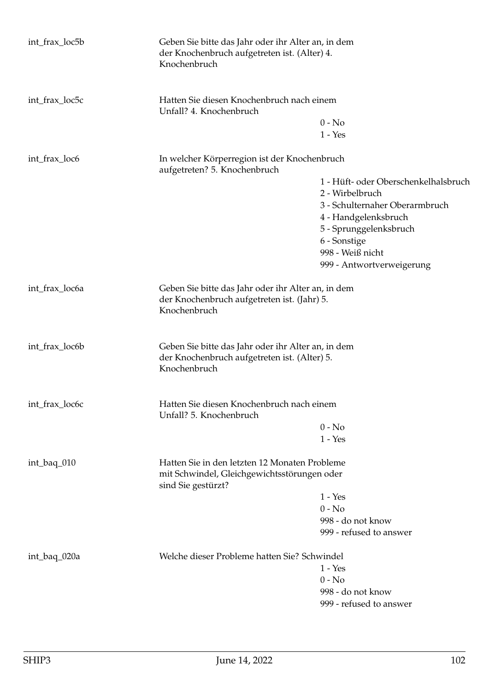| int_frax_loc5b                                                                                                                    | Geben Sie bitte das Jahr oder ihr Alter an, in dem<br>der Knochenbruch aufgetreten ist. (Alter) 4.<br>Knochenbruch |                                                                                                   |  |
|-----------------------------------------------------------------------------------------------------------------------------------|--------------------------------------------------------------------------------------------------------------------|---------------------------------------------------------------------------------------------------|--|
| int_frax_loc5c                                                                                                                    | Hatten Sie diesen Knochenbruch nach einem<br>Unfall? 4. Knochenbruch                                               |                                                                                                   |  |
|                                                                                                                                   |                                                                                                                    | $0 - No$                                                                                          |  |
|                                                                                                                                   |                                                                                                                    | $1 - Yes$                                                                                         |  |
| int_frax_loc6                                                                                                                     | aufgetreten? 5. Knochenbruch                                                                                       | In welcher Körperregion ist der Knochenbruch                                                      |  |
|                                                                                                                                   |                                                                                                                    | 1 - Hüft- oder Oberschenkelhalsbruch                                                              |  |
|                                                                                                                                   |                                                                                                                    | 2 - Wirbelbruch                                                                                   |  |
|                                                                                                                                   |                                                                                                                    | 3 - Schulternaher Oberarmbruch                                                                    |  |
|                                                                                                                                   |                                                                                                                    | 4 - Handgelenksbruch                                                                              |  |
|                                                                                                                                   |                                                                                                                    | 5 - Sprunggelenksbruch                                                                            |  |
|                                                                                                                                   |                                                                                                                    | 6 - Sonstige                                                                                      |  |
|                                                                                                                                   |                                                                                                                    | 998 - Weiß nicht                                                                                  |  |
|                                                                                                                                   |                                                                                                                    | 999 - Antwortverweigerung                                                                         |  |
| int_frax_loc6a                                                                                                                    | Knochenbruch                                                                                                       | Geben Sie bitte das Jahr oder ihr Alter an, in dem<br>der Knochenbruch aufgetreten ist. (Jahr) 5. |  |
| int_frax_loc6b                                                                                                                    | Geben Sie bitte das Jahr oder ihr Alter an, in dem<br>der Knochenbruch aufgetreten ist. (Alter) 5.<br>Knochenbruch |                                                                                                   |  |
| int_frax_loc6c                                                                                                                    | Hatten Sie diesen Knochenbruch nach einem<br>Unfall? 5. Knochenbruch                                               |                                                                                                   |  |
|                                                                                                                                   |                                                                                                                    | $0 - No$                                                                                          |  |
|                                                                                                                                   |                                                                                                                    | $1 - Yes$                                                                                         |  |
| Hatten Sie in den letzten 12 Monaten Probleme<br>int_baq_010<br>mit Schwindel, Gleichgewichtsstörungen oder<br>sind Sie gestürzt? |                                                                                                                    |                                                                                                   |  |
|                                                                                                                                   |                                                                                                                    | $1 - Yes$                                                                                         |  |
|                                                                                                                                   |                                                                                                                    | $0 - No$                                                                                          |  |
|                                                                                                                                   |                                                                                                                    | 998 - do not know                                                                                 |  |
|                                                                                                                                   |                                                                                                                    | 999 - refused to answer                                                                           |  |
| int_baq_020a                                                                                                                      | Welche dieser Probleme hatten Sie? Schwindel                                                                       |                                                                                                   |  |
|                                                                                                                                   |                                                                                                                    | $1 - Yes$                                                                                         |  |
|                                                                                                                                   |                                                                                                                    | $0 - No$                                                                                          |  |
|                                                                                                                                   |                                                                                                                    | 998 - do not know                                                                                 |  |
|                                                                                                                                   |                                                                                                                    | 999 - refused to answer                                                                           |  |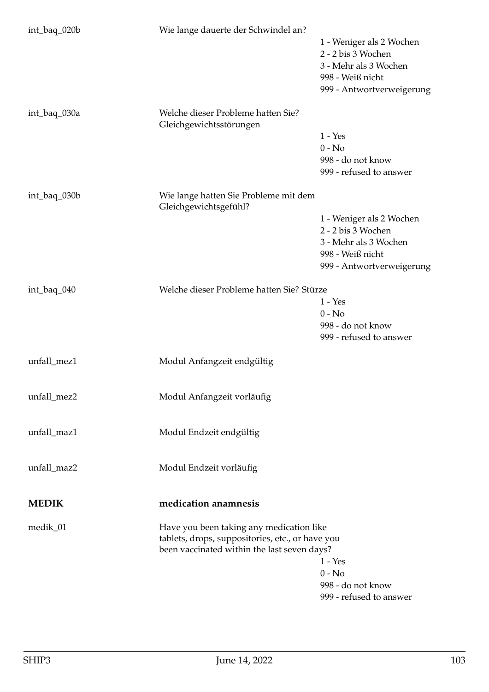| int_baq_020b | Wie lange dauerte der Schwindel an?                                                                                                         | 1 - Weniger als 2 Wochen<br>2 - 2 bis 3 Wochen<br>3 - Mehr als 3 Wochen<br>998 - Weiß nicht<br>999 - Antwortverweigerung |
|--------------|---------------------------------------------------------------------------------------------------------------------------------------------|--------------------------------------------------------------------------------------------------------------------------|
| int_baq_030a | Welche dieser Probleme hatten Sie?<br>Gleichgewichtsstörungen                                                                               | $1 - Yes$<br>$0 - No$<br>998 - do not know<br>999 - refused to answer                                                    |
| int_baq_030b | Wie lange hatten Sie Probleme mit dem<br>Gleichgewichtsgefühl?                                                                              | 1 - Weniger als 2 Wochen<br>2 - 2 bis 3 Wochen<br>3 - Mehr als 3 Wochen<br>998 - Weiß nicht<br>999 - Antwortverweigerung |
| int_baq_040  | Welche dieser Probleme hatten Sie? Stürze                                                                                                   | $1 - Yes$<br>$0 - No$<br>998 - do not know<br>999 - refused to answer                                                    |
| unfall_mez1  | Modul Anfangzeit endgültig                                                                                                                  |                                                                                                                          |
| unfall_mez2  | Modul Anfangzeit vorläufig                                                                                                                  |                                                                                                                          |
| unfall_maz1  | Modul Endzeit endgültig                                                                                                                     |                                                                                                                          |
| unfall_maz2  | Modul Endzeit vorläufig                                                                                                                     |                                                                                                                          |
| <b>MEDIK</b> | medication anamnesis                                                                                                                        |                                                                                                                          |
| medik_01     | Have you been taking any medication like<br>tablets, drops, suppositories, etc., or have you<br>been vaccinated within the last seven days? | $1 - Yes$<br>$0 - No$<br>998 - do not know<br>999 - refused to answer                                                    |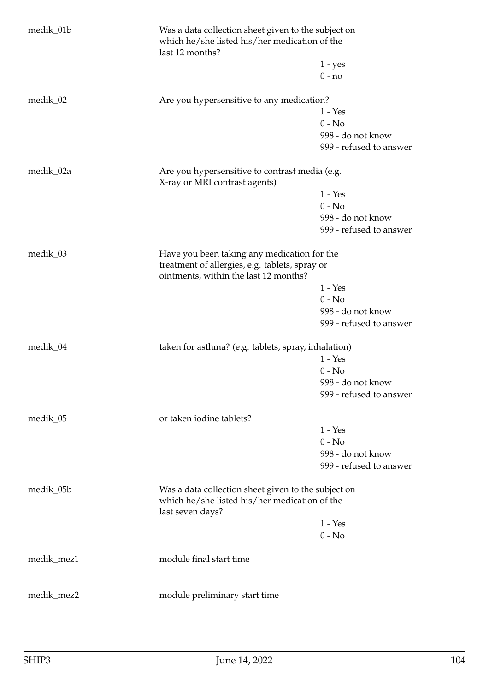| medik_01b  | Was a data collection sheet given to the subject on<br>which he/she listed his/her medication of the<br>last 12 months?                |                                              |  |
|------------|----------------------------------------------------------------------------------------------------------------------------------------|----------------------------------------------|--|
|            |                                                                                                                                        | $1 - yes$                                    |  |
|            |                                                                                                                                        | $0 - no$                                     |  |
| medik_02   | Are you hypersensitive to any medication?                                                                                              |                                              |  |
|            |                                                                                                                                        | $1 - Yes$                                    |  |
|            |                                                                                                                                        | $0 - No$                                     |  |
|            |                                                                                                                                        | 998 - do not know                            |  |
|            |                                                                                                                                        | 999 - refused to answer                      |  |
| medik_02a  | Are you hypersensitive to contrast media (e.g.<br>X-ray or MRI contrast agents)                                                        |                                              |  |
|            |                                                                                                                                        | $1 - Yes$                                    |  |
|            |                                                                                                                                        | $0 - No$                                     |  |
|            |                                                                                                                                        | 998 - do not know                            |  |
|            |                                                                                                                                        | 999 - refused to answer                      |  |
| medik_03   | Have you been taking any medication for the<br>treatment of allergies, e.g. tablets, spray or<br>ointments, within the last 12 months? |                                              |  |
|            |                                                                                                                                        | $1 - Yes$                                    |  |
|            |                                                                                                                                        | $0 - No$                                     |  |
|            |                                                                                                                                        | 998 - do not know                            |  |
|            |                                                                                                                                        | 999 - refused to answer                      |  |
|            |                                                                                                                                        |                                              |  |
| medik_04   | taken for asthma? (e.g. tablets, spray, inhalation)                                                                                    |                                              |  |
|            |                                                                                                                                        | $1 - Yes$                                    |  |
|            |                                                                                                                                        | $0 - No$                                     |  |
|            |                                                                                                                                        | 998 - do not know                            |  |
|            |                                                                                                                                        | 999 - refused to answer                      |  |
| medik_05   | or taken iodine tablets?                                                                                                               |                                              |  |
|            |                                                                                                                                        | $1 - Yes$                                    |  |
|            |                                                                                                                                        | $0 - No$                                     |  |
|            |                                                                                                                                        | 998 - do not know<br>999 - refused to answer |  |
|            |                                                                                                                                        |                                              |  |
| medik_05b  | Was a data collection sheet given to the subject on<br>which he/she listed his/her medication of the<br>last seven days?               |                                              |  |
|            |                                                                                                                                        | $1 - Yes$                                    |  |
|            |                                                                                                                                        | $0 - No$                                     |  |
| medik_mez1 | module final start time                                                                                                                |                                              |  |
|            |                                                                                                                                        |                                              |  |
| medik_mez2 | module preliminary start time                                                                                                          |                                              |  |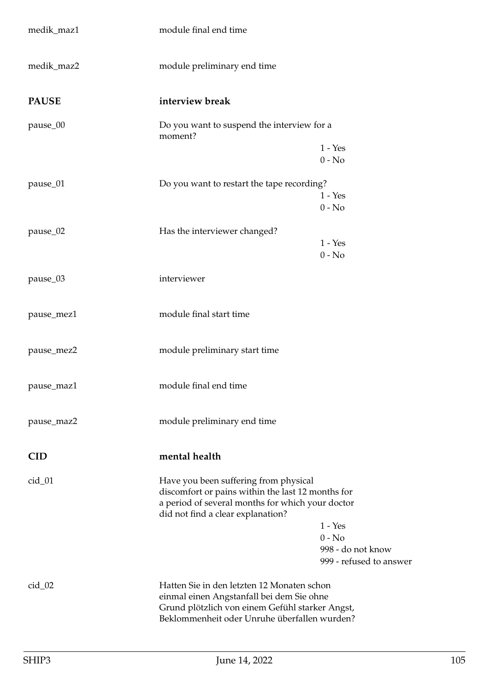| medik_maz1   | module final end time                                                                                                                                                                                                                                        |  |
|--------------|--------------------------------------------------------------------------------------------------------------------------------------------------------------------------------------------------------------------------------------------------------------|--|
| medik_maz2   | module preliminary end time                                                                                                                                                                                                                                  |  |
| <b>PAUSE</b> | interview break                                                                                                                                                                                                                                              |  |
| pause_00     | Do you want to suspend the interview for a<br>moment?                                                                                                                                                                                                        |  |
|              | $1 - Yes$<br>$0 - No$                                                                                                                                                                                                                                        |  |
| pause_01     | Do you want to restart the tape recording?<br>$1 - Yes$<br>$0 - No$                                                                                                                                                                                          |  |
| pause_02     | Has the interviewer changed?<br>$1 - Yes$<br>$0 - No$                                                                                                                                                                                                        |  |
| pause_03     | interviewer                                                                                                                                                                                                                                                  |  |
| pause_mez1   | module final start time                                                                                                                                                                                                                                      |  |
| pause_mez2   | module preliminary start time                                                                                                                                                                                                                                |  |
| pause_maz1   | module final end time                                                                                                                                                                                                                                        |  |
| pause_maz2   | module preliminary end time                                                                                                                                                                                                                                  |  |
| <b>CID</b>   | mental health                                                                                                                                                                                                                                                |  |
| $cid_01$     | Have you been suffering from physical<br>discomfort or pains within the last 12 months for<br>a period of several months for which your doctor<br>did not find a clear explanation?<br>$1 - Yes$<br>$0 - No$<br>998 - do not know<br>999 - refused to answer |  |
| $cid_02$     | Hatten Sie in den letzten 12 Monaten schon<br>einmal einen Angstanfall bei dem Sie ohne<br>Grund plötzlich von einem Gefühl starker Angst,<br>Beklommenheit oder Unruhe überfallen wurden?                                                                   |  |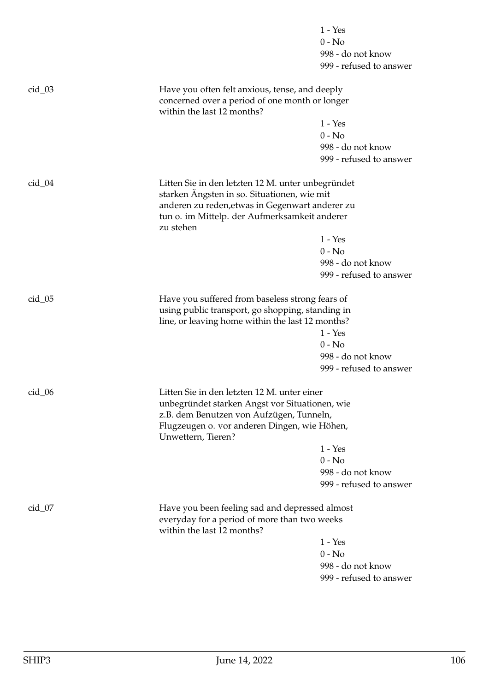|          |                                                                                                                                                                                                                   | $1 - Yes$                                                             |
|----------|-------------------------------------------------------------------------------------------------------------------------------------------------------------------------------------------------------------------|-----------------------------------------------------------------------|
|          |                                                                                                                                                                                                                   | $0 - No$                                                              |
|          |                                                                                                                                                                                                                   | 998 - do not know                                                     |
|          |                                                                                                                                                                                                                   | 999 - refused to answer                                               |
| $cid_03$ | Have you often felt anxious, tense, and deeply<br>concerned over a period of one month or longer<br>within the last 12 months?                                                                                    |                                                                       |
|          |                                                                                                                                                                                                                   | $1 - Yes$                                                             |
|          |                                                                                                                                                                                                                   | $0 - No$                                                              |
|          |                                                                                                                                                                                                                   | 998 - do not know                                                     |
|          |                                                                                                                                                                                                                   | 999 - refused to answer                                               |
| $cid_04$ | Litten Sie in den letzten 12 M. unter unbegründet<br>starken Ängsten in so. Situationen, wie mit<br>anderen zu reden, etwas in Gegenwart anderer zu<br>tun o. im Mittelp. der Aufmerksamkeit anderer<br>zu stehen |                                                                       |
|          |                                                                                                                                                                                                                   | $1 - Yes$                                                             |
|          |                                                                                                                                                                                                                   | $0 - No$                                                              |
|          |                                                                                                                                                                                                                   | 998 - do not know                                                     |
|          |                                                                                                                                                                                                                   | 999 - refused to answer                                               |
| $cid_05$ | Have you suffered from baseless strong fears of<br>using public transport, go shopping, standing in<br>line, or leaving home within the last 12 months?                                                           | $1 - Yes$<br>$0 - No$<br>998 - do not know<br>999 - refused to answer |
|          |                                                                                                                                                                                                                   |                                                                       |
| $cid_0$  | Litten Sie in den letzten 12 M. unter einer<br>unbegründet starken Angst vor Situationen, wie<br>z.B. dem Benutzen von Aufzügen, Tunneln,<br>Flugzeugen o. vor anderen Dingen, wie Höhen,<br>Unwettern, Tieren?   |                                                                       |
|          |                                                                                                                                                                                                                   | $1 - Yes$                                                             |
|          |                                                                                                                                                                                                                   | $0 - No$                                                              |
|          |                                                                                                                                                                                                                   | 998 - do not know                                                     |
|          |                                                                                                                                                                                                                   | 999 - refused to answer                                               |
| $cid_07$ | Have you been feeling sad and depressed almost<br>everyday for a period of more than two weeks<br>within the last 12 months?                                                                                      |                                                                       |
|          |                                                                                                                                                                                                                   | $1 - Yes$                                                             |
|          |                                                                                                                                                                                                                   | $0 - No$                                                              |
|          |                                                                                                                                                                                                                   | 998 - do not know                                                     |
|          |                                                                                                                                                                                                                   | 999 - refused to answer                                               |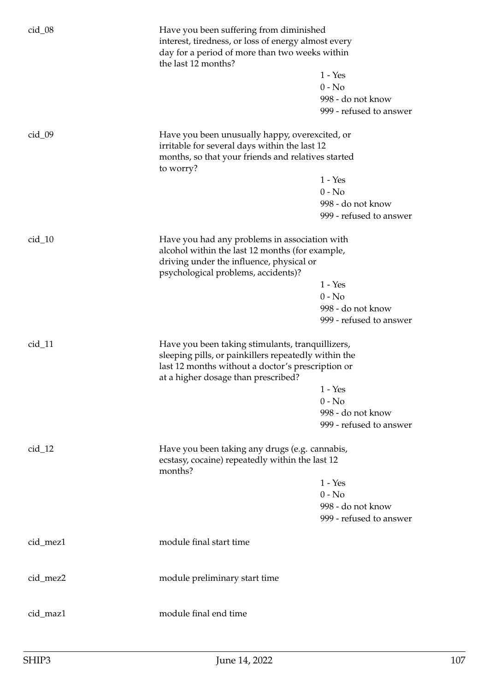| $cid_08$ | Have you been suffering from diminished<br>interest, tiredness, or loss of energy almost every<br>day for a period of more than two weeks within<br>the last 12 months?                              |                                                                       |
|----------|------------------------------------------------------------------------------------------------------------------------------------------------------------------------------------------------------|-----------------------------------------------------------------------|
|          |                                                                                                                                                                                                      | $1 - Yes$<br>$0 - No$                                                 |
|          |                                                                                                                                                                                                      |                                                                       |
|          |                                                                                                                                                                                                      | 998 - do not know<br>999 - refused to answer                          |
|          |                                                                                                                                                                                                      |                                                                       |
| $cid_09$ | Have you been unusually happy, overexcited, or<br>irritable for several days within the last 12<br>months, so that your friends and relatives started                                                |                                                                       |
|          | to worry?                                                                                                                                                                                            |                                                                       |
|          |                                                                                                                                                                                                      | $1 - Yes$                                                             |
|          |                                                                                                                                                                                                      | $0 - No$                                                              |
|          |                                                                                                                                                                                                      | 998 - do not know                                                     |
|          |                                                                                                                                                                                                      | 999 - refused to answer                                               |
| $cid_10$ | Have you had any problems in association with<br>alcohol within the last 12 months (for example,<br>driving under the influence, physical or<br>psychological problems, accidents)?                  | $1 - Yes$<br>$0 - No$<br>998 - do not know<br>999 - refused to answer |
|          |                                                                                                                                                                                                      |                                                                       |
| $cid_11$ | Have you been taking stimulants, tranquillizers,<br>sleeping pills, or painkillers repeatedly within the<br>last 12 months without a doctor's prescription or<br>at a higher dosage than prescribed? | $1 - Yes$<br>$0 - No$<br>998 - do not know<br>999 - refused to answer |
| $cid_12$ | Have you been taking any drugs (e.g. cannabis,<br>ecstasy, cocaine) repeatedly within the last 12                                                                                                    |                                                                       |
|          | months?                                                                                                                                                                                              |                                                                       |
|          |                                                                                                                                                                                                      | $1 - Yes$                                                             |
|          |                                                                                                                                                                                                      | $0 - No$<br>998 - do not know<br>999 - refused to answer              |
| cid_mez1 | module final start time                                                                                                                                                                              |                                                                       |
|          |                                                                                                                                                                                                      |                                                                       |
| cid_mez2 | module preliminary start time                                                                                                                                                                        |                                                                       |
| cid_maz1 | module final end time                                                                                                                                                                                |                                                                       |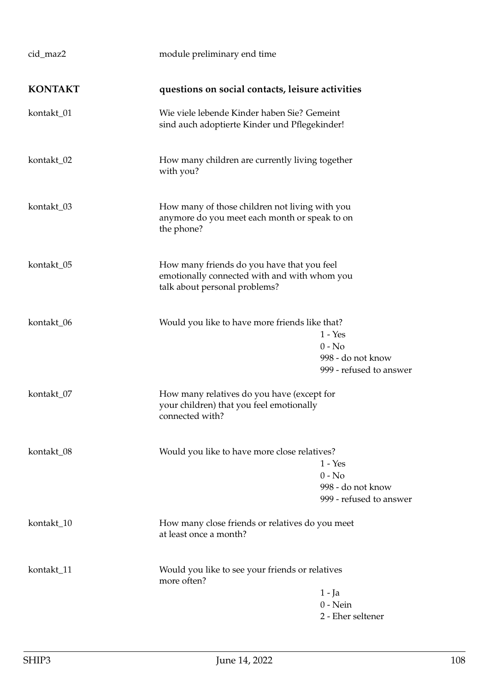| cid_maz2       | module preliminary end time                                                                                                 |                                                                       |
|----------------|-----------------------------------------------------------------------------------------------------------------------------|-----------------------------------------------------------------------|
| <b>KONTAKT</b> | questions on social contacts, leisure activities                                                                            |                                                                       |
| kontakt_01     | Wie viele lebende Kinder haben Sie? Gemeint<br>sind auch adoptierte Kinder und Pflegekinder!                                |                                                                       |
| kontakt_02     | How many children are currently living together<br>with you?                                                                |                                                                       |
| kontakt_03     | How many of those children not living with you<br>anymore do you meet each month or speak to on<br>the phone?               |                                                                       |
| kontakt_05     | How many friends do you have that you feel<br>emotionally connected with and with whom you<br>talk about personal problems? |                                                                       |
| kontakt_06     | Would you like to have more friends like that?                                                                              | $1 - Yes$<br>$0 - No$<br>998 - do not know<br>999 - refused to answer |
| kontakt_07     | How many relatives do you have (except for<br>your children) that you feel emotionally<br>connected with?                   |                                                                       |
| kontakt_08     | Would you like to have more close relatives?                                                                                | $1 - Yes$<br>$0 - No$<br>998 - do not know<br>999 - refused to answer |
| kontakt_10     | How many close friends or relatives do you meet<br>at least once a month?                                                   |                                                                       |
| kontakt_11     | Would you like to see your friends or relatives<br>more often?                                                              | $1 - Ja$<br>$0$ - Nein<br>2 - Eher seltener                           |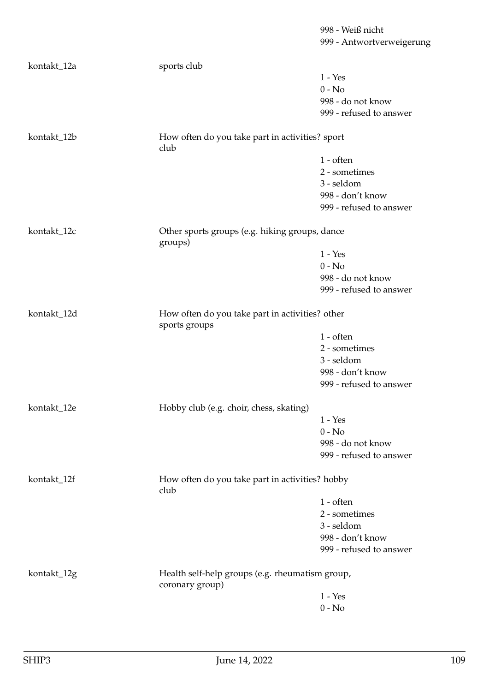| kontakt_12a | sports club                                               |                         |
|-------------|-----------------------------------------------------------|-------------------------|
|             |                                                           | $1 - Yes$               |
|             |                                                           | $0 - No$                |
|             |                                                           | 998 - do not know       |
|             |                                                           | 999 - refused to answer |
| kontakt_12b | How often do you take part in activities? sport<br>club   |                         |
|             |                                                           | $1 - \text{often}$      |
|             |                                                           | 2 - sometimes           |
|             |                                                           | 3 - seldom              |
|             |                                                           | 998 - don't know        |
|             |                                                           | 999 - refused to answer |
|             |                                                           |                         |
| kontakt_12c | Other sports groups (e.g. hiking groups, dance<br>groups) |                         |
|             |                                                           | $1 - Yes$               |
|             |                                                           | $0 - No$                |
|             |                                                           | 998 - do not know       |
|             |                                                           | 999 - refused to answer |
| kontakt_12d | How often do you take part in activities? other           |                         |
|             | sports groups                                             | $1$ - often             |
|             |                                                           | 2 - sometimes           |
|             |                                                           | 3 - seldom              |
|             |                                                           | 998 - don't know        |
|             |                                                           | 999 - refused to answer |
|             |                                                           |                         |
| kontakt_12e | Hobby club (e.g. choir, chess, skating)                   |                         |
|             |                                                           | $1 - Yes$               |
|             |                                                           | $0 - No$                |
|             |                                                           | 998 - do not know       |
|             |                                                           | 999 - refused to answer |
| kontakt_12f | How often do you take part in activities? hobby<br>club   |                         |
|             |                                                           | $1$ - often             |
|             |                                                           | 2 - sometimes           |
|             |                                                           | 3 - seldom              |
|             |                                                           | 998 - don't know        |
|             |                                                           | 999 - refused to answer |
| kontakt_12g | Health self-help groups (e.g. rheumatism group,           |                         |
|             | coronary group)                                           |                         |
|             |                                                           | $1 - Yes$               |
|             |                                                           | $0$ - $\hbox{No}$       |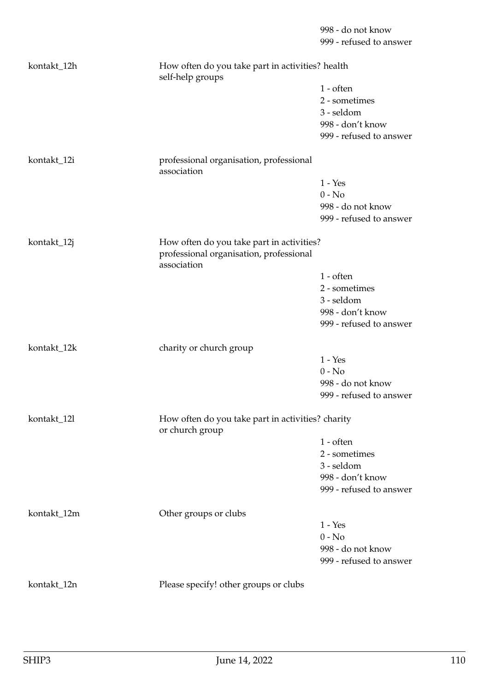|             |                                                                      | 998 - do not know       |
|-------------|----------------------------------------------------------------------|-------------------------|
|             |                                                                      | 999 - refused to answer |
| kontakt_12h | How often do you take part in activities? health<br>self-help groups |                         |
|             |                                                                      | $1$ - often             |
|             |                                                                      | 2 - sometimes           |
|             |                                                                      | 3 - seldom              |
|             |                                                                      | 998 - don't know        |
|             |                                                                      | 999 - refused to answer |
| kontakt_12i | professional organisation, professional<br>association               |                         |
|             |                                                                      | $1 - Yes$               |
|             |                                                                      | $0 - No$                |
|             |                                                                      | 998 - do not know       |
|             |                                                                      | 999 - refused to answer |
| kontakt_12j | How often do you take part in activities?                            |                         |
|             | professional organisation, professional<br>association               |                         |
|             |                                                                      | $1$ - often             |
|             |                                                                      | 2 - sometimes           |
|             |                                                                      | 3 - seldom              |
|             |                                                                      | 998 - don't know        |
|             |                                                                      | 999 - refused to answer |
| kontakt_12k | charity or church group                                              |                         |
|             |                                                                      | $1 - Yes$               |
|             |                                                                      | $0 - No$                |
|             |                                                                      | 998 - do not know       |
|             |                                                                      | 999 - refused to answer |
| kontakt_12l | How often do you take part in activities? charity<br>or church group |                         |
|             |                                                                      | $1$ - often             |
|             |                                                                      | 2 - sometimes           |
|             |                                                                      | 3 - seldom              |
|             |                                                                      | 998 - don't know        |
|             |                                                                      | 999 - refused to answer |
| kontakt_12m | Other groups or clubs                                                |                         |
|             |                                                                      | $1 - Yes$               |
|             |                                                                      | $0 - No$                |
|             |                                                                      | 998 - do not know       |
|             |                                                                      | 999 - refused to answer |
| kontakt_12n | Please specify! other groups or clubs                                |                         |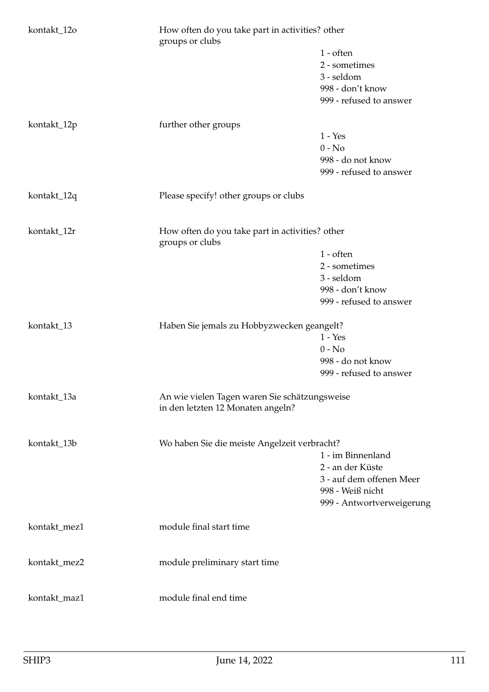| kontakt_12o  | How often do you take part in activities? other<br>groups or clubs                 |                           |
|--------------|------------------------------------------------------------------------------------|---------------------------|
|              |                                                                                    | $1$ - often               |
|              |                                                                                    | 2 - sometimes             |
|              |                                                                                    | 3 - seldom                |
|              |                                                                                    | 998 - don't know          |
|              |                                                                                    | 999 - refused to answer   |
| kontakt_12p  | further other groups                                                               |                           |
|              |                                                                                    | $1 - Yes$                 |
|              |                                                                                    | $0 - No$                  |
|              |                                                                                    | 998 - do not know         |
|              |                                                                                    | 999 - refused to answer   |
| kontakt_12q  | Please specify! other groups or clubs                                              |                           |
| kontakt_12r  | How often do you take part in activities? other<br>groups or clubs                 |                           |
|              |                                                                                    | $1$ - often               |
|              |                                                                                    | 2 - sometimes             |
|              |                                                                                    | 3 - seldom                |
|              |                                                                                    | 998 - don't know          |
|              |                                                                                    | 999 - refused to answer   |
|              |                                                                                    |                           |
| kontakt_13   | Haben Sie jemals zu Hobbyzwecken geangelt?                                         |                           |
|              |                                                                                    | $1 - Yes$                 |
|              |                                                                                    | $0 - No$                  |
|              |                                                                                    | 998 - do not know         |
|              |                                                                                    | 999 - refused to answer   |
| kontakt_13a  | An wie vielen Tagen waren Sie schätzungsweise<br>in den letzten 12 Monaten angeln? |                           |
| kontakt_13b  | Wo haben Sie die meiste Angelzeit verbracht?                                       |                           |
|              |                                                                                    | 1 - im Binnenland         |
|              |                                                                                    | 2 - an der Küste          |
|              |                                                                                    | 3 - auf dem offenen Meer  |
|              |                                                                                    | 998 - Weiß nicht          |
|              |                                                                                    | 999 - Antwortverweigerung |
| kontakt_mez1 | module final start time                                                            |                           |
| kontakt_mez2 | module preliminary start time                                                      |                           |
| kontakt_maz1 | module final end time                                                              |                           |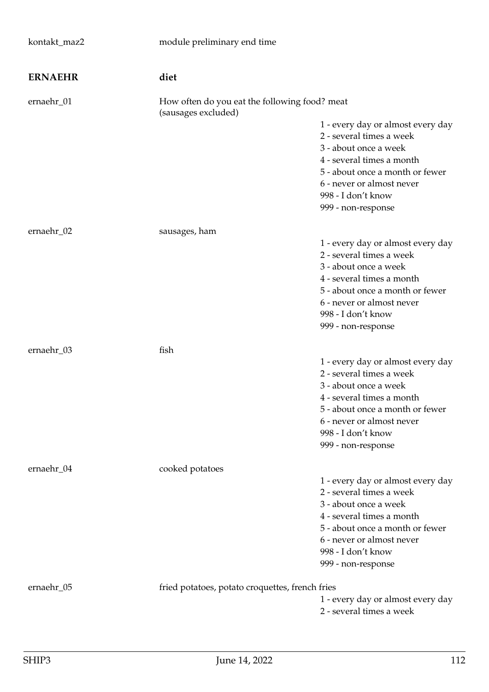| kontakt_maz2   | module preliminary end time                                          |                                                                                                                                                                                                                                 |
|----------------|----------------------------------------------------------------------|---------------------------------------------------------------------------------------------------------------------------------------------------------------------------------------------------------------------------------|
| <b>ERNAEHR</b> | diet                                                                 |                                                                                                                                                                                                                                 |
| ernaehr_01     | How often do you eat the following food? meat<br>(sausages excluded) |                                                                                                                                                                                                                                 |
|                |                                                                      | 1 - every day or almost every day<br>2 - several times a week<br>3 - about once a week<br>4 - several times a month<br>5 - about once a month or fewer<br>6 - never or almost never<br>998 - I don't know<br>999 - non-response |
| ernaehr_02     | sausages, ham                                                        |                                                                                                                                                                                                                                 |
|                |                                                                      | 1 - every day or almost every day<br>2 - several times a week<br>3 - about once a week<br>4 - several times a month<br>5 - about once a month or fewer<br>6 - never or almost never<br>998 - I don't know<br>999 - non-response |
| ernaehr_03     | fish                                                                 | 1 - every day or almost every day<br>2 - several times a week<br>3 - about once a week<br>4 - several times a month<br>5 - about once a month or fewer<br>6 - never or almost never<br>998 - I don't know<br>999 - non-response |
| ernaehr_04     | cooked potatoes                                                      | 1 - every day or almost every day<br>2 - several times a week<br>3 - about once a week<br>4 - several times a month<br>5 - about once a month or fewer<br>6 - never or almost never<br>998 - I don't know<br>999 - non-response |
| ernaehr_05     | fried potatoes, potato croquettes, french fries                      | 1 - every day or almost every day<br>2 - several times a week                                                                                                                                                                   |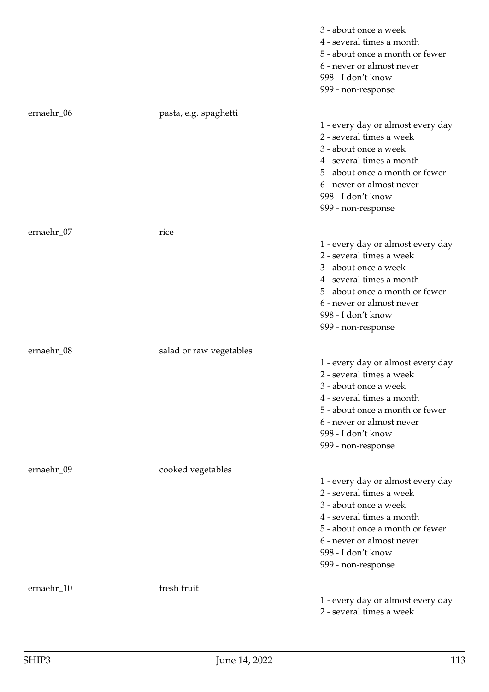|            |                         | 3 - about once a week<br>4 - several times a month<br>5 - about once a month or fewer<br>6 - never or almost never<br>998 - I don't know<br>999 - non-response                                                                  |
|------------|-------------------------|---------------------------------------------------------------------------------------------------------------------------------------------------------------------------------------------------------------------------------|
| ernaehr_06 | pasta, e.g. spaghetti   | 1 - every day or almost every day<br>2 - several times a week<br>3 - about once a week<br>4 - several times a month<br>5 - about once a month or fewer<br>6 - never or almost never<br>998 - I don't know<br>999 - non-response |
| ernaehr_07 | rice                    | 1 - every day or almost every day<br>2 - several times a week<br>3 - about once a week<br>4 - several times a month<br>5 - about once a month or fewer<br>6 - never or almost never<br>998 - I don't know<br>999 - non-response |
| ernaehr_08 | salad or raw vegetables | 1 - every day or almost every day<br>2 - several times a week<br>3 - about once a week<br>4 - several times a month<br>5 - about once a month or fewer<br>6 - never or almost never<br>998 - I don't know<br>999 - non-response |
| ernaehr_09 | cooked vegetables       | 1 - every day or almost every day<br>2 - several times a week<br>3 - about once a week<br>4 - several times a month<br>5 - about once a month or fewer<br>6 - never or almost never<br>998 - I don't know<br>999 - non-response |
| ernaehr_10 | fresh fruit             | 1 - every day or almost every day<br>2 - several times a week                                                                                                                                                                   |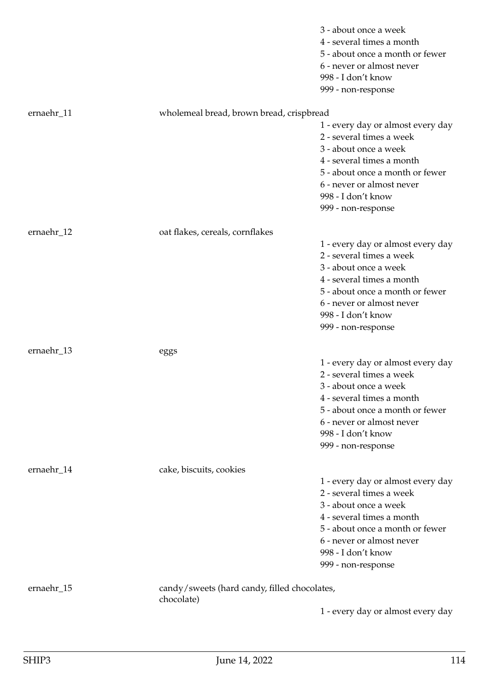|            |                                              | 3 - about once a week             |
|------------|----------------------------------------------|-----------------------------------|
|            |                                              | 4 - several times a month         |
|            |                                              | 5 - about once a month or fewer   |
|            |                                              | 6 - never or almost never         |
|            |                                              | 998 - I don't know                |
|            |                                              | 999 - non-response                |
|            |                                              |                                   |
| ernaehr_11 | wholemeal bread, brown bread, crispbread     |                                   |
|            |                                              | 1 - every day or almost every day |
|            |                                              | 2 - several times a week          |
|            |                                              | 3 - about once a week             |
|            |                                              | 4 - several times a month         |
|            |                                              | 5 - about once a month or fewer   |
|            |                                              | 6 - never or almost never         |
|            |                                              | 998 - I don't know                |
|            |                                              | 999 - non-response                |
|            |                                              |                                   |
| ernaehr_12 | oat flakes, cereals, cornflakes              |                                   |
|            |                                              | 1 - every day or almost every day |
|            |                                              | 2 - several times a week          |
|            |                                              | 3 - about once a week             |
|            |                                              | 4 - several times a month         |
|            |                                              | 5 - about once a month or fewer   |
|            |                                              | 6 - never or almost never         |
|            |                                              | 998 - I don't know                |
|            |                                              | 999 - non-response                |
| ernaehr_13 |                                              |                                   |
|            | eggs                                         | 1 - every day or almost every day |
|            |                                              | 2 - several times a week          |
|            |                                              | 3 - about once a week             |
|            |                                              | 4 - several times a month         |
|            |                                              | 5 - about once a month or fewer   |
|            |                                              |                                   |
|            |                                              | 6 - never or almost never         |
|            |                                              | 998 - I don't know                |
|            |                                              | 999 - non-response                |
| ernaehr_14 | cake, biscuits, cookies                      |                                   |
|            |                                              | 1 - every day or almost every day |
|            |                                              | 2 - several times a week          |
|            |                                              | 3 - about once a week             |
|            |                                              | 4 - several times a month         |
|            |                                              | 5 - about once a month or fewer   |
|            |                                              | 6 - never or almost never         |
|            |                                              | 998 - I don't know                |
|            |                                              | 999 - non-response                |
|            |                                              |                                   |
| ernaehr_15 | candy/sweets (hard candy, filled chocolates, |                                   |
|            | chocolate)                                   |                                   |
|            |                                              | 1 - every day or almost every day |
|            |                                              |                                   |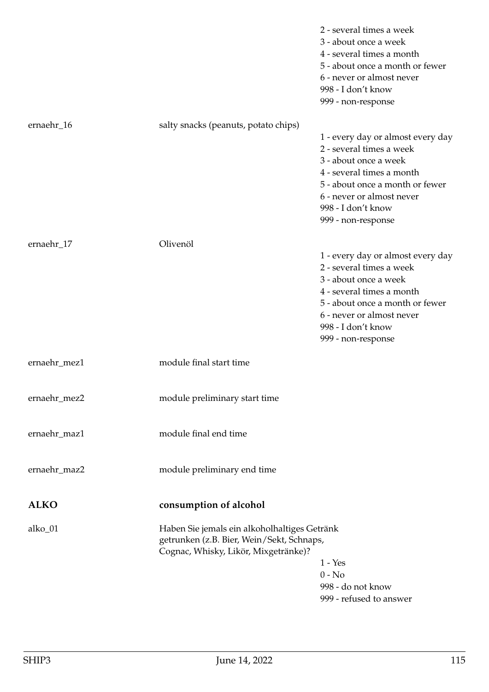|              |                                                                                                                                   | 2 - several times a week<br>3 - about once a week<br>4 - several times a month<br>5 - about once a month or fewer<br>6 - never or almost never<br>998 - I don't know<br>999 - non-response                                      |
|--------------|-----------------------------------------------------------------------------------------------------------------------------------|---------------------------------------------------------------------------------------------------------------------------------------------------------------------------------------------------------------------------------|
| ernaehr_16   | salty snacks (peanuts, potato chips)                                                                                              | 1 - every day or almost every day<br>2 - several times a week<br>3 - about once a week<br>4 - several times a month<br>5 - about once a month or fewer<br>6 - never or almost never<br>998 - I don't know<br>999 - non-response |
| ernaehr_17   | Olivenöl                                                                                                                          | 1 - every day or almost every day<br>2 - several times a week<br>3 - about once a week<br>4 - several times a month<br>5 - about once a month or fewer<br>6 - never or almost never<br>998 - I don't know<br>999 - non-response |
| ernaehr_mez1 | module final start time                                                                                                           |                                                                                                                                                                                                                                 |
| ernaehr_mez2 | module preliminary start time                                                                                                     |                                                                                                                                                                                                                                 |
| ernaehr_maz1 | module final end time                                                                                                             |                                                                                                                                                                                                                                 |
| ernaehr_maz2 | module preliminary end time                                                                                                       |                                                                                                                                                                                                                                 |
| <b>ALKO</b>  | consumption of alcohol                                                                                                            |                                                                                                                                                                                                                                 |
| alko_01      | Haben Sie jemals ein alkoholhaltiges Getränk<br>getrunken (z.B. Bier, Wein/Sekt, Schnaps,<br>Cognac, Whisky, Likör, Mixgetränke)? | $1 - Yes$<br>$0 - No$<br>998 - do not know<br>999 - refused to answer                                                                                                                                                           |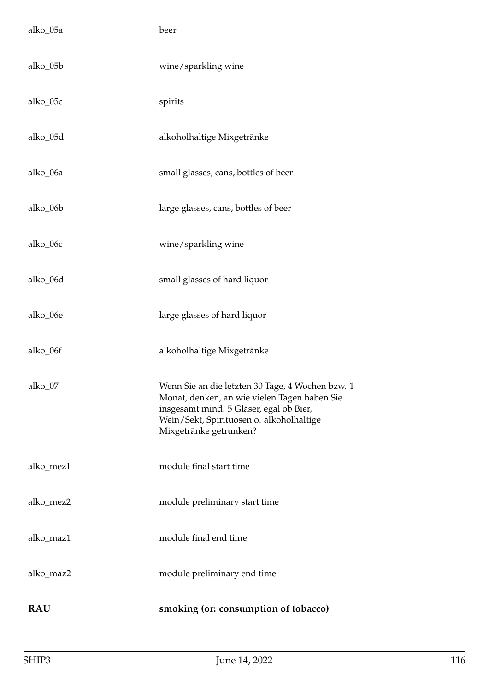| alko_05a   | beer                                                                                                                                                                                                              |
|------------|-------------------------------------------------------------------------------------------------------------------------------------------------------------------------------------------------------------------|
| alko_05b   | wine/sparkling wine                                                                                                                                                                                               |
| alko_05c   | spirits                                                                                                                                                                                                           |
| alko_05d   | alkoholhaltige Mixgetränke                                                                                                                                                                                        |
| alko_06a   | small glasses, cans, bottles of beer                                                                                                                                                                              |
| alko_06b   | large glasses, cans, bottles of beer                                                                                                                                                                              |
| alko_06c   | wine/sparkling wine                                                                                                                                                                                               |
| alko_06d   | small glasses of hard liquor                                                                                                                                                                                      |
| alko_06e   | large glasses of hard liquor                                                                                                                                                                                      |
| alko_06f   | alkoholhaltige Mixgetränke                                                                                                                                                                                        |
| alko 07    | Wenn Sie an die letzten 30 Tage, 4 Wochen bzw. 1<br>Monat, denken, an wie vielen Tagen haben Sie<br>insgesamt mind. 5 Gläser, egal ob Bier,<br>Wein/Sekt, Spirituosen o. alkoholhaltige<br>Mixgetränke getrunken? |
| alko_mez1  | module final start time                                                                                                                                                                                           |
| alko_mez2  | module preliminary start time                                                                                                                                                                                     |
| alko_maz1  | module final end time                                                                                                                                                                                             |
| alko_maz2  | module preliminary end time                                                                                                                                                                                       |
| <b>RAU</b> | smoking (or: consumption of tobacco)                                                                                                                                                                              |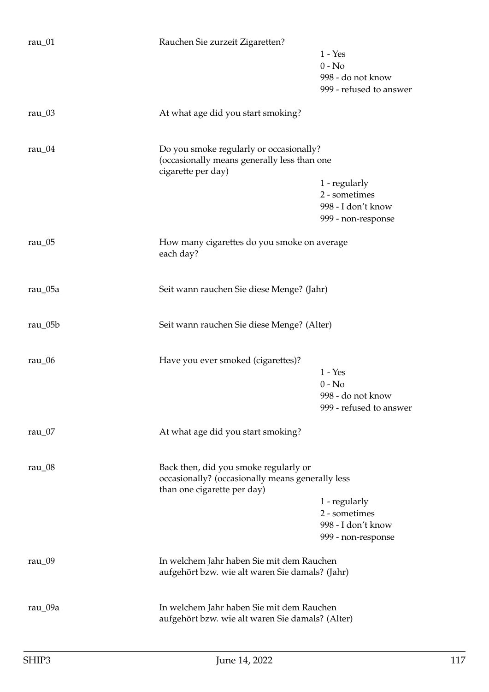| rau_01     | Rauchen Sie zurzeit Zigaretten?                                   |                                |
|------------|-------------------------------------------------------------------|--------------------------------|
|            |                                                                   | $1 - Yes$<br>$0 - No$          |
|            |                                                                   | 998 - do not know              |
|            |                                                                   | 999 - refused to answer        |
| rau_03     | At what age did you start smoking?                                |                                |
| rau $_04$  | Do you smoke regularly or occasionally?                           |                                |
|            | (occasionally means generally less than one<br>cigarette per day) |                                |
|            |                                                                   | 1 - regularly                  |
|            |                                                                   | 2 - sometimes                  |
|            |                                                                   | 998 - I don't know             |
|            |                                                                   | 999 - non-response             |
| rau $_0$ 5 | How many cigarettes do you smoke on average<br>each day?          |                                |
| rau_05a    | Seit wann rauchen Sie diese Menge? (Jahr)                         |                                |
|            |                                                                   |                                |
| rau_05b    | Seit wann rauchen Sie diese Menge? (Alter)                        |                                |
| rau $_0$ 6 | Have you ever smoked (cigarettes)?                                |                                |
|            |                                                                   | $1 - Yes$                      |
|            |                                                                   | $0 - No$                       |
|            |                                                                   | 998 - do not know              |
|            |                                                                   | 999 - refused to answer        |
| rau $_0$ 7 | At what age did you start smoking?                                |                                |
| rau $_0$ 8 | Back then, did you smoke regularly or                             |                                |
|            | occasionally? (occasionally means generally less                  |                                |
|            | than one cigarette per day)                                       |                                |
|            |                                                                   | 1 - regularly<br>2 - sometimes |
|            |                                                                   | 998 - I don't know             |
|            |                                                                   | 999 - non-response             |
| rau_09     | In welchem Jahr haben Sie mit dem Rauchen                         |                                |
|            | aufgehört bzw. wie alt waren Sie damals? (Jahr)                   |                                |
| rau_09a    | In welchem Jahr haben Sie mit dem Rauchen                         |                                |
|            | aufgehört bzw. wie alt waren Sie damals? (Alter)                  |                                |
|            |                                                                   |                                |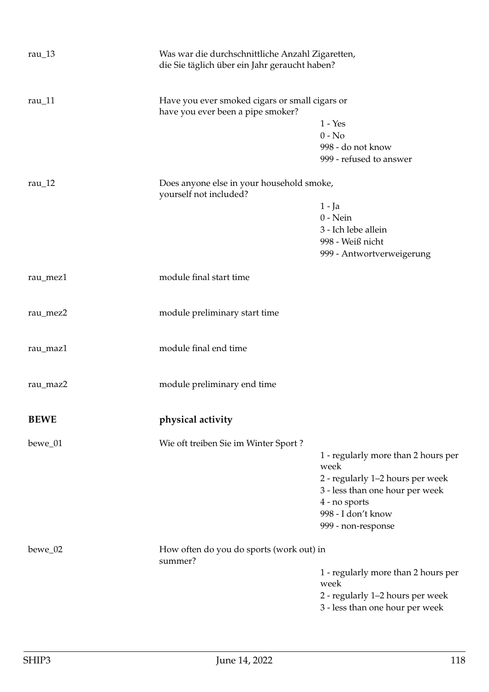| rau $\_13$               | Was war die durchschnittliche Anzahl Zigaretten,<br>die Sie täglich über ein Jahr geraucht haben? |                                                |  |
|--------------------------|---------------------------------------------------------------------------------------------------|------------------------------------------------|--|
| rau $\lfloor 11 \rfloor$ | have you ever been a pipe smoker?                                                                 | Have you ever smoked cigars or small cigars or |  |
|                          |                                                                                                   | $1 - Yes$                                      |  |
|                          |                                                                                                   | $0 - No$                                       |  |
|                          |                                                                                                   | 998 - do not know                              |  |
|                          |                                                                                                   | 999 - refused to answer                        |  |
| rau $_12$                | Does anyone else in your household smoke,<br>yourself not included?                               |                                                |  |
|                          |                                                                                                   | $1 - Ja$                                       |  |
|                          |                                                                                                   | $0$ - Nein                                     |  |
|                          |                                                                                                   | 3 - Ich lebe allein                            |  |
|                          |                                                                                                   | 998 - Weiß nicht                               |  |
|                          |                                                                                                   | 999 - Antwortverweigerung                      |  |
| rau_mez1                 | module final start time                                                                           |                                                |  |
| rau_mez2                 | module preliminary start time                                                                     |                                                |  |
| rau_maz1                 | module final end time                                                                             |                                                |  |
| rau_maz2                 | module preliminary end time                                                                       |                                                |  |
| <b>BEWE</b>              | physical activity                                                                                 |                                                |  |
| bewe_01                  | Wie oft treiben Sie im Winter Sport?                                                              |                                                |  |
|                          |                                                                                                   | 1 - regularly more than 2 hours per            |  |
|                          |                                                                                                   | week                                           |  |
|                          |                                                                                                   | 2 - regularly 1-2 hours per week               |  |
|                          |                                                                                                   | 3 - less than one hour per week                |  |
|                          |                                                                                                   | 4 - no sports                                  |  |
|                          |                                                                                                   | 998 - I don't know                             |  |
|                          |                                                                                                   | 999 - non-response                             |  |
| bewe_02                  | How often do you do sports (work out) in<br>summer?                                               |                                                |  |
|                          |                                                                                                   | 1 - regularly more than 2 hours per            |  |
|                          |                                                                                                   | week                                           |  |
|                          |                                                                                                   | 2 - regularly 1-2 hours per week               |  |
|                          |                                                                                                   | 3 - less than one hour per week                |  |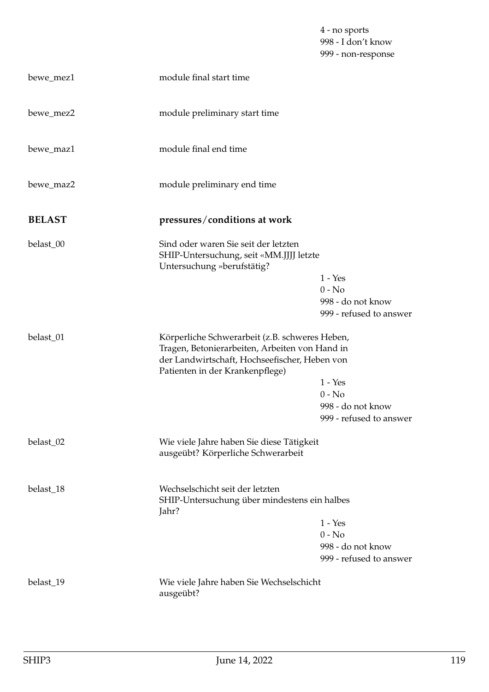4 - no sports 998 - I don't know 999 - non-response

| bewe_mez1     | module final start time                                                                                                                                                              |                                                                       |
|---------------|--------------------------------------------------------------------------------------------------------------------------------------------------------------------------------------|-----------------------------------------------------------------------|
| bewe_mez2     | module preliminary start time                                                                                                                                                        |                                                                       |
| bewe_maz1     | module final end time                                                                                                                                                                |                                                                       |
| bewe_maz2     | module preliminary end time                                                                                                                                                          |                                                                       |
| <b>BELAST</b> | pressures/conditions at work                                                                                                                                                         |                                                                       |
| belast_00     | Sind oder waren Sie seit der letzten<br>SHIP-Untersuchung, seit «MM.JJJJ letzte<br>Untersuchung »berufstätig?                                                                        | $1 - Yes$<br>$0 - No$<br>998 - do not know<br>999 - refused to answer |
| belast_01     | Körperliche Schwerarbeit (z.B. schweres Heben,<br>Tragen, Betonierarbeiten, Arbeiten von Hand in<br>der Landwirtschaft, Hochseefischer, Heben von<br>Patienten in der Krankenpflege) | $1 - Yes$<br>$0 - No$<br>998 - do not know<br>999 - refused to answer |
| belast_02     | Wie viele Jahre haben Sie diese Tätigkeit<br>ausgeübt? Körperliche Schwerarbeit                                                                                                      |                                                                       |
| belast_18     | Wechselschicht seit der letzten<br>SHIP-Untersuchung über mindestens ein halbes<br>Jahr?                                                                                             | $1 - Yes$<br>$0 - No$<br>998 - do not know<br>999 - refused to answer |
| belast_19     | Wie viele Jahre haben Sie Wechselschicht<br>ausgeübt?                                                                                                                                |                                                                       |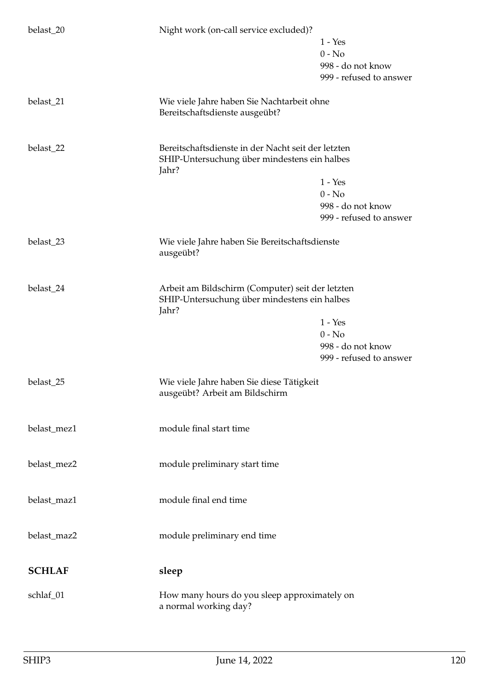| belast_20     | Night work (on-call service excluded)?                                                                      | $1 - Yes$<br>$0 - No$<br>998 - do not know<br>999 - refused to answer |
|---------------|-------------------------------------------------------------------------------------------------------------|-----------------------------------------------------------------------|
| belast_21     | Wie viele Jahre haben Sie Nachtarbeit ohne<br>Bereitschaftsdienste ausgeübt?                                |                                                                       |
| belast_22     | Bereitschaftsdienste in der Nacht seit der letzten<br>SHIP-Untersuchung über mindestens ein halbes<br>Jahr? | $1 - Yes$<br>$0 - No$<br>998 - do not know<br>999 - refused to answer |
| belast_23     | Wie viele Jahre haben Sie Bereitschaftsdienste<br>ausgeübt?                                                 |                                                                       |
| belast_24     | Arbeit am Bildschirm (Computer) seit der letzten<br>SHIP-Untersuchung über mindestens ein halbes<br>Jahr?   | $1 - Yes$<br>$0 - No$<br>998 - do not know<br>999 - refused to answer |
| belast_25     | Wie viele Jahre haben Sie diese Tätigkeit<br>ausgeübt? Arbeit am Bildschirm                                 |                                                                       |
| belast_mez1   | module final start time                                                                                     |                                                                       |
| belast_mez2   | module preliminary start time                                                                               |                                                                       |
| belast_maz1   | module final end time                                                                                       |                                                                       |
| belast_maz2   | module preliminary end time                                                                                 |                                                                       |
| <b>SCHLAF</b> | sleep                                                                                                       |                                                                       |
| schlaf_01     | How many hours do you sleep approximately on<br>a normal working day?                                       |                                                                       |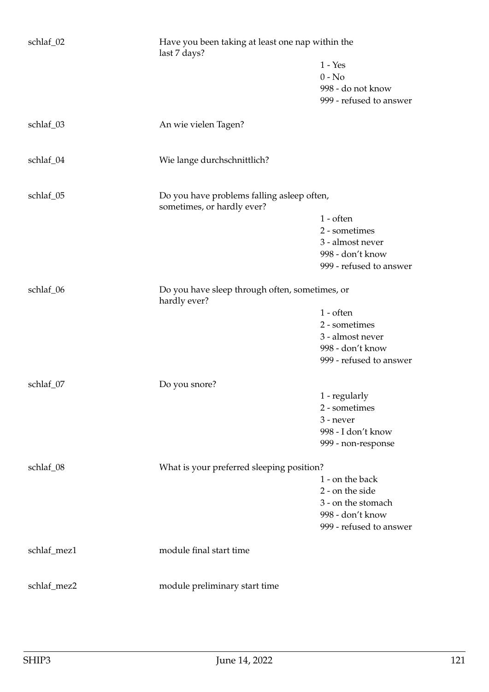| schlaf_02   | Have you been taking at least one nap within the<br>last 7 days?         | $1 - Yes$<br>$0 - No$<br>998 - do not know<br>999 - refused to answer                                   |
|-------------|--------------------------------------------------------------------------|---------------------------------------------------------------------------------------------------------|
| schlaf_03   | An wie vielen Tagen?                                                     |                                                                                                         |
| schlaf_04   | Wie lange durchschnittlich?                                              |                                                                                                         |
| schlaf_05   | Do you have problems falling asleep often,<br>sometimes, or hardly ever? | $1$ - often<br>2 - sometimes<br>3 - almost never<br>998 - don't know<br>999 - refused to answer         |
| schlaf_06   | Do you have sleep through often, sometimes, or<br>hardly ever?           | $1$ - often<br>2 - sometimes<br>3 - almost never<br>998 - don't know<br>999 - refused to answer         |
| schlaf_07   | Do you snore?                                                            | 1 - regularly<br>2 - sometimes<br>3 - never<br>998 - I don't know<br>999 - non-response                 |
| schlaf_08   | What is your preferred sleeping position?                                | 1 - on the back<br>2 - on the side<br>3 - on the stomach<br>998 - don't know<br>999 - refused to answer |
| schlaf_mez1 | module final start time                                                  |                                                                                                         |
| schlaf_mez2 | module preliminary start time                                            |                                                                                                         |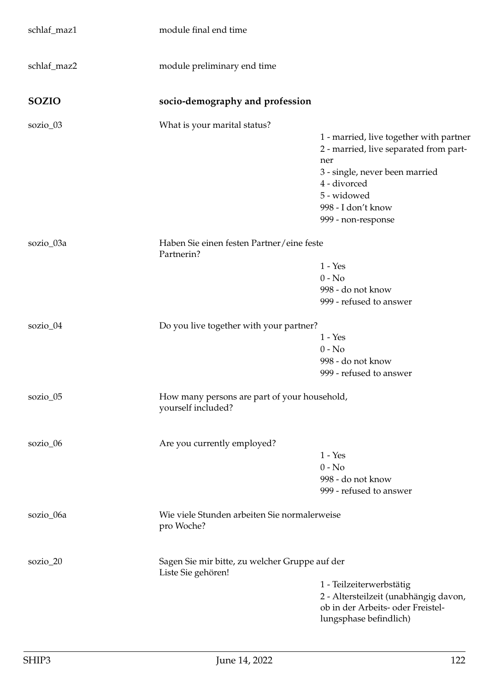| schlaf_maz1  | module final end time                                                |                                                                                                                                                                                                       |
|--------------|----------------------------------------------------------------------|-------------------------------------------------------------------------------------------------------------------------------------------------------------------------------------------------------|
| schlaf_maz2  | module preliminary end time                                          |                                                                                                                                                                                                       |
| <b>SOZIO</b> | socio-demography and profession                                      |                                                                                                                                                                                                       |
| sozio_03     | What is your marital status?                                         | 1 - married, live together with partner<br>2 - married, live separated from part-<br>ner<br>3 - single, never been married<br>4 - divorced<br>5 - widowed<br>998 - I don't know<br>999 - non-response |
| sozio_03a    | Haben Sie einen festen Partner/eine feste<br>Partnerin?              | $1 - Yes$<br>$0 - No$<br>998 - do not know<br>999 - refused to answer                                                                                                                                 |
| sozio_04     | Do you live together with your partner?                              | $1 - Yes$<br>$0 - No$<br>998 - do not know<br>999 - refused to answer                                                                                                                                 |
| sozio_05     | How many persons are part of your household,<br>yourself included?   |                                                                                                                                                                                                       |
| sozio_06     | Are you currently employed?                                          | $1 - Yes$<br>$0 - No$<br>998 - do not know<br>999 - refused to answer                                                                                                                                 |
| sozio_06a    | Wie viele Stunden arbeiten Sie normalerweise<br>pro Woche?           |                                                                                                                                                                                                       |
| sozio_20     | Sagen Sie mir bitte, zu welcher Gruppe auf der<br>Liste Sie gehören! | 1 - Teilzeiterwerbstätig<br>2 - Altersteilzeit (unabhängig davon,<br>ob in der Arbeits- oder Freistel-<br>lungsphase befindlich)                                                                      |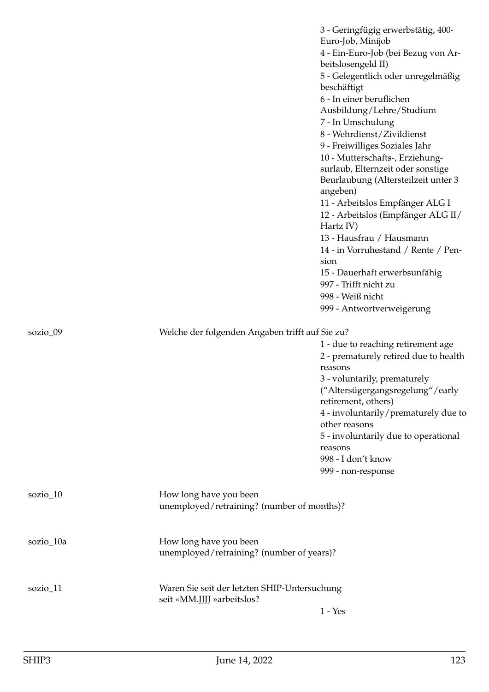|            |                                                                            | 3 - Geringfügig erwerbstätig, 400-<br>Euro-Job, Minijob<br>4 - Ein-Euro-Job (bei Bezug von Ar-<br>beitslosengeld II)<br>5 - Gelegentlich oder unregelmäßig<br>beschäftigt<br>6 - In einer beruflichen<br>Ausbildung/Lehre/Studium<br>7 - In Umschulung<br>8 - Wehrdienst/Zivildienst<br>9 - Freiwilliges Soziales Jahr<br>10 - Mutterschafts-, Erziehung-<br>surlaub, Elternzeit oder sonstige<br>Beurlaubung (Altersteilzeit unter 3<br>angeben)<br>11 - Arbeitslos Empfänger ALG I<br>12 - Arbeitslos (Empfänger ALG II/<br>Hartz IV)<br>13 - Hausfrau / Hausmann<br>14 - in Vorruhestand / Rente / Pen-<br>sion<br>15 - Dauerhaft erwerbsunfähig<br>997 - Trifft nicht zu<br>998 - Weiß nicht |
|------------|----------------------------------------------------------------------------|--------------------------------------------------------------------------------------------------------------------------------------------------------------------------------------------------------------------------------------------------------------------------------------------------------------------------------------------------------------------------------------------------------------------------------------------------------------------------------------------------------------------------------------------------------------------------------------------------------------------------------------------------------------------------------------------------|
|            |                                                                            | 999 - Antwortverweigerung                                                                                                                                                                                                                                                                                                                                                                                                                                                                                                                                                                                                                                                                        |
| sozio_09   | Welche der folgenden Angaben trifft auf Sie zu?                            |                                                                                                                                                                                                                                                                                                                                                                                                                                                                                                                                                                                                                                                                                                  |
|            |                                                                            | 1 - due to reaching retirement age<br>2 - prematurely retired due to health<br>reasons                                                                                                                                                                                                                                                                                                                                                                                                                                                                                                                                                                                                           |
|            |                                                                            | 3 - voluntarily, prematurely<br>("Altersügergangsregelung"/early<br>retirement, others)                                                                                                                                                                                                                                                                                                                                                                                                                                                                                                                                                                                                          |
|            |                                                                            | 4 - involuntarily/prematurely due to<br>other reasons                                                                                                                                                                                                                                                                                                                                                                                                                                                                                                                                                                                                                                            |
|            |                                                                            | 5 - involuntarily due to operational<br>reasons<br>998 - I don't know<br>999 - non-response                                                                                                                                                                                                                                                                                                                                                                                                                                                                                                                                                                                                      |
| $sozio_10$ | How long have you been<br>unemployed/retraining? (number of months)?       |                                                                                                                                                                                                                                                                                                                                                                                                                                                                                                                                                                                                                                                                                                  |
| sozio_10a  | How long have you been<br>unemployed/retraining? (number of years)?        |                                                                                                                                                                                                                                                                                                                                                                                                                                                                                                                                                                                                                                                                                                  |
| sozio_11   | Waren Sie seit der letzten SHIP-Untersuchung<br>seit «MM.JJJJ »arbeitslos? |                                                                                                                                                                                                                                                                                                                                                                                                                                                                                                                                                                                                                                                                                                  |
|            |                                                                            | $1 - Yes$                                                                                                                                                                                                                                                                                                                                                                                                                                                                                                                                                                                                                                                                                        |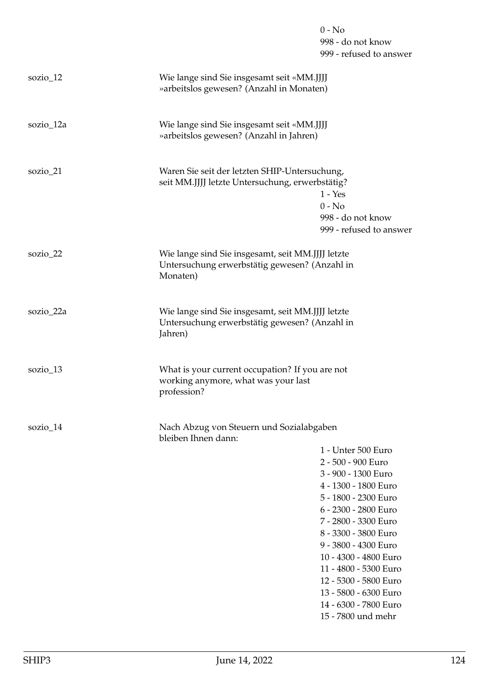|             |                                                                                                                | $0 - No$<br>998 - do not know<br>999 - refused to answer                                                                                                                                                                                                                                                                                                           |
|-------------|----------------------------------------------------------------------------------------------------------------|--------------------------------------------------------------------------------------------------------------------------------------------------------------------------------------------------------------------------------------------------------------------------------------------------------------------------------------------------------------------|
| sozio_12    | Wie lange sind Sie insgesamt seit «MM.JJJJ<br>» arbeitslos gewesen? (Anzahl in Monaten)                        |                                                                                                                                                                                                                                                                                                                                                                    |
| sozio_12a   | Wie lange sind Sie insgesamt seit «MM.JJJJ<br>» arbeitslos gewesen? (Anzahl in Jahren)                         |                                                                                                                                                                                                                                                                                                                                                                    |
| sozio_21    | Waren Sie seit der letzten SHIP-Untersuchung,<br>seit MM.JJJJ letzte Untersuchung, erwerbstätig?               | $1 - Yes$<br>$0 - No$<br>998 - do not know<br>999 - refused to answer                                                                                                                                                                                                                                                                                              |
| sozio_22    | Wie lange sind Sie insgesamt, seit MM.JJJJ letzte<br>Untersuchung erwerbstätig gewesen? (Anzahl in<br>Monaten) |                                                                                                                                                                                                                                                                                                                                                                    |
| sozio_22a   | Wie lange sind Sie insgesamt, seit MM.JJJJ letzte<br>Untersuchung erwerbstätig gewesen? (Anzahl in<br>Jahren)  |                                                                                                                                                                                                                                                                                                                                                                    |
| sozio_13    | What is your current occupation? If you are not<br>working anymore, what was your last<br>profession?          |                                                                                                                                                                                                                                                                                                                                                                    |
| sozio $_14$ | Nach Abzug von Steuern und Sozialabgaben<br>bleiben Ihnen dann:                                                | 1 - Unter 500 Euro<br>2 - 500 - 900 Euro<br>3 - 900 - 1300 Euro<br>4 - 1300 - 1800 Euro<br>5 - 1800 - 2300 Euro<br>6 - 2300 - 2800 Euro<br>7 - 2800 - 3300 Euro<br>8 - 3300 - 3800 Euro<br>9 - 3800 - 4300 Euro<br>10 - 4300 - 4800 Euro<br>11 - 4800 - 5300 Euro<br>12 - 5300 - 5800 Euro<br>13 - 5800 - 6300 Euro<br>14 - 6300 - 7800 Euro<br>15 - 7800 und mehr |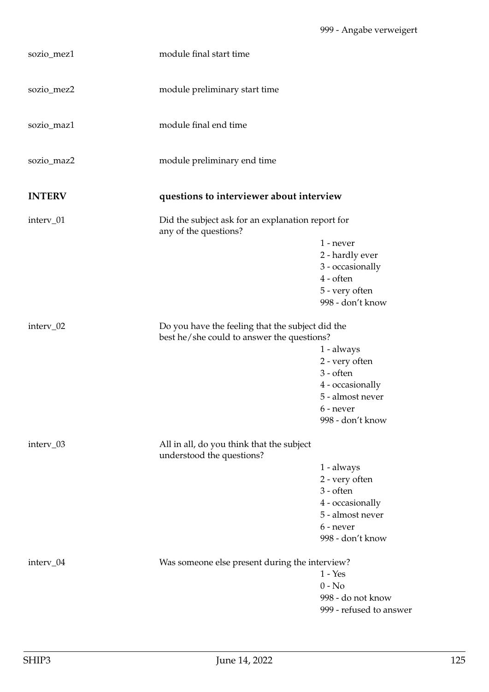| sozio_mez1    | module final start time                                                                        |                                                                                                                               |
|---------------|------------------------------------------------------------------------------------------------|-------------------------------------------------------------------------------------------------------------------------------|
| sozio_mez2    | module preliminary start time                                                                  |                                                                                                                               |
| sozio_maz1    | module final end time                                                                          |                                                                                                                               |
| sozio_maz2    | module preliminary end time                                                                    |                                                                                                                               |
| <b>INTERV</b> | questions to interviewer about interview                                                       |                                                                                                                               |
| interv_01     | Did the subject ask for an explanation report for<br>any of the questions?                     | $1$ - never                                                                                                                   |
|               |                                                                                                | 2 - hardly ever<br>3 - occasionally<br>$4$ - often<br>5 - very often<br>998 - don't know                                      |
| interv_02     | Do you have the feeling that the subject did the<br>best he/she could to answer the questions? |                                                                                                                               |
|               |                                                                                                | 1 - always<br>2 - very often<br>$3 - often$<br>4 - occasionally<br>5 - almost never<br>6 - never<br>998 - don't know          |
| interv_03     | All in all, do you think that the subject<br>understood the questions?                         |                                                                                                                               |
|               |                                                                                                | $1 - always$<br>2 - very often<br>$3 - \text{often}$<br>4 - occasionally<br>5 - almost never<br>6 - never<br>998 - don't know |
| interv_04     | Was someone else present during the interview?                                                 | $1 - Yes$<br>$0 - No$<br>998 - do not know<br>999 - refused to answer                                                         |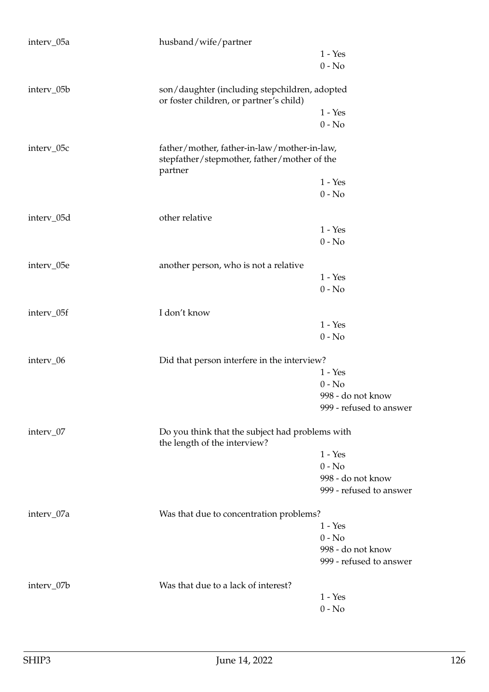| interv_05a | husband/wife/partner                                                                                  |                         |
|------------|-------------------------------------------------------------------------------------------------------|-------------------------|
|            |                                                                                                       | $1 - Yes$               |
|            |                                                                                                       | $0 - No$                |
| interv_05b | son/daughter (including stepchildren, adopted<br>or foster children, or partner's child)              |                         |
|            |                                                                                                       | $1 - Yes$               |
|            |                                                                                                       | $0 - No$                |
| interv_05c | father/mother, father-in-law/mother-in-law,<br>stepfather/stepmother, father/mother of the<br>partner |                         |
|            |                                                                                                       | $1 - Yes$               |
|            |                                                                                                       | $0 - No$                |
| interv_05d | other relative                                                                                        |                         |
|            |                                                                                                       | $1 - Yes$               |
|            |                                                                                                       | $0 - No$                |
| interv_05e | another person, who is not a relative                                                                 |                         |
|            |                                                                                                       | $1 - Yes$               |
|            |                                                                                                       | $0 - No$                |
| interv_05f | I don't know                                                                                          |                         |
|            |                                                                                                       | $1 - Yes$               |
|            |                                                                                                       | $0 - No$                |
| interv_06  | Did that person interfere in the interview?                                                           |                         |
|            |                                                                                                       | $1 - Yes$               |
|            |                                                                                                       | $0 - No$                |
|            |                                                                                                       | 998 - do not know       |
|            |                                                                                                       | 999 - refused to answer |
| interv_07  | Do you think that the subject had problems with<br>the length of the interview?                       |                         |
|            |                                                                                                       | $1 - Yes$               |
|            |                                                                                                       | $0 - No$                |
|            |                                                                                                       | 998 - do not know       |
|            |                                                                                                       | 999 - refused to answer |
| interv_07a | Was that due to concentration problems?                                                               |                         |
|            |                                                                                                       | $1 - Yes$               |
|            |                                                                                                       | $0 - No$                |
|            |                                                                                                       | 998 - do not know       |
|            |                                                                                                       | 999 - refused to answer |
| interv_07b | Was that due to a lack of interest?                                                                   |                         |
|            |                                                                                                       | $1 - Yes$               |
|            |                                                                                                       | $0 - No$                |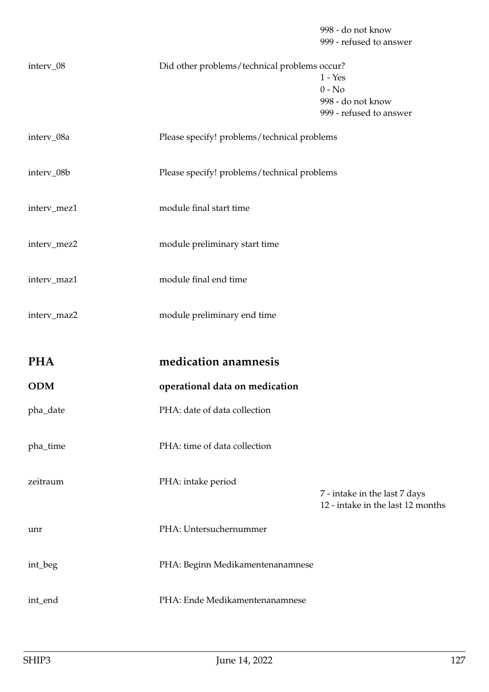998 - do not know 999 - refused to answer

|                   |                                             | $1 - Yes$<br>$0 - No$<br>998 - do not know<br>999 - refused to answer |
|-------------------|---------------------------------------------|-----------------------------------------------------------------------|
| interv_08a        | Please specify! problems/technical problems |                                                                       |
| interv_08b        | Please specify! problems/technical problems |                                                                       |
| interv_mez1       | module final start time                     |                                                                       |
| interv_mez2       | module preliminary start time               |                                                                       |
| interv_maz1       | module final end time                       |                                                                       |
| interv_maz2       | module preliminary end time                 |                                                                       |
|                   |                                             |                                                                       |
|                   | medication anamnesis                        |                                                                       |
| PHA<br><b>ODM</b> | operational data on medication              |                                                                       |
| pha_date          | PHA: date of data collection                |                                                                       |
| pha_time          | PHA: time of data collection                |                                                                       |
| zeitraum          | PHA: intake period                          | 7 - intake in the last 7 days                                         |
| unr               | PHA: Untersuchernummer                      | 12 - intake in the last 12 months                                     |
| int_beg           | PHA: Beginn Medikamentenanamnese            |                                                                       |

interv\_08 Did other problems/technical problems occur?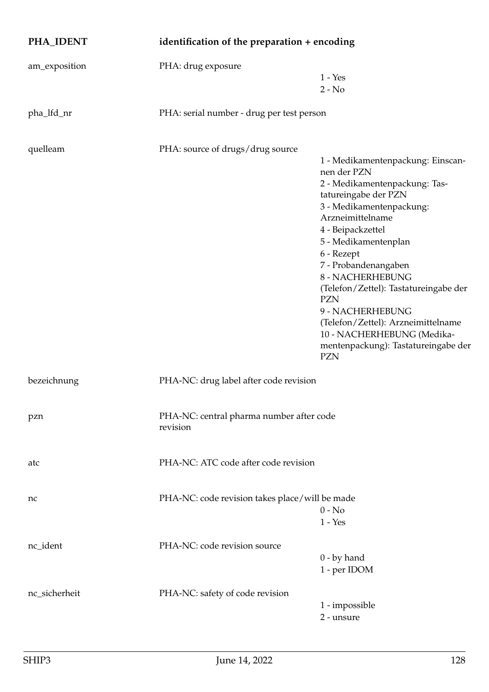| PHA_IDENT     | identification of the preparation + encoding         |                                                                                                                                                                                                                                                                                                                                                                                                                                                               |
|---------------|------------------------------------------------------|---------------------------------------------------------------------------------------------------------------------------------------------------------------------------------------------------------------------------------------------------------------------------------------------------------------------------------------------------------------------------------------------------------------------------------------------------------------|
| am_exposition | PHA: drug exposure                                   | $1 - Yes$<br>$2 - No$                                                                                                                                                                                                                                                                                                                                                                                                                                         |
| pha_lfd_nr    | PHA: serial number - drug per test person            |                                                                                                                                                                                                                                                                                                                                                                                                                                                               |
| quelleam      | PHA: source of drugs/drug source                     | 1 - Medikamentenpackung: Einscan-<br>nen der PZN<br>2 - Medikamentenpackung: Tas-<br>tatureingabe der PZN<br>3 - Medikamentenpackung:<br>Arzneimittelname<br>4 - Beipackzettel<br>5 - Medikamentenplan<br>6 - Rezept<br>7 - Probandenangaben<br>8 - NACHERHEBUNG<br>(Telefon/Zettel): Tastatureingabe der<br><b>PZN</b><br>9 - NACHERHEBUNG<br>(Telefon/Zettel): Arzneimittelname<br>10 - NACHERHEBUNG (Medika-<br>mentenpackung): Tastatureingabe der<br>PZN |
| bezeichnung   | PHA-NC: drug label after code revision               |                                                                                                                                                                                                                                                                                                                                                                                                                                                               |
| pzn           | PHA-NC: central pharma number after code<br>revision |                                                                                                                                                                                                                                                                                                                                                                                                                                                               |
| atc           | PHA-NC: ATC code after code revision                 |                                                                                                                                                                                                                                                                                                                                                                                                                                                               |
| nc            | PHA-NC: code revision takes place/will be made       | $0 - No$<br>$1 - Yes$                                                                                                                                                                                                                                                                                                                                                                                                                                         |
| nc_ident      | PHA-NC: code revision source                         | $0$ - by hand<br>1 - per IDOM                                                                                                                                                                                                                                                                                                                                                                                                                                 |
| nc_sicherheit | PHA-NC: safety of code revision                      | 1 - impossible<br>2 - unsure                                                                                                                                                                                                                                                                                                                                                                                                                                  |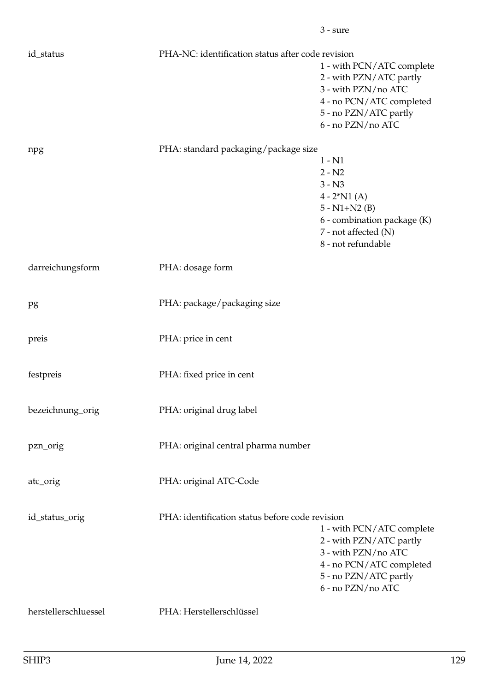| id_status            | PHA-NC: identification status after code revision |                                                                                                                                                       |
|----------------------|---------------------------------------------------|-------------------------------------------------------------------------------------------------------------------------------------------------------|
|                      |                                                   | 1 - with PCN/ATC complete<br>2 - with PZN/ATC partly<br>3 - with PZN/no ATC<br>4 - no PCN/ATC completed<br>5 - no PZN/ATC partly<br>6 - no PZN/no ATC |
| npg                  | PHA: standard packaging/package size              |                                                                                                                                                       |
|                      |                                                   | $1 - N1$<br>$2 - N2$<br>$3 - N3$<br>$4 - 2^*N1(A)$                                                                                                    |
|                      |                                                   | $5 - N1 + N2$ (B)<br>6 - combination package (K)<br>7 - not affected (N)<br>8 - not refundable                                                        |
| darreichungsform     | PHA: dosage form                                  |                                                                                                                                                       |
| pg                   | PHA: package/packaging size                       |                                                                                                                                                       |
| preis                | PHA: price in cent                                |                                                                                                                                                       |
| festpreis            | PHA: fixed price in cent                          |                                                                                                                                                       |
| bezeichnung_orig     | PHA: original drug label                          |                                                                                                                                                       |
| pzn_orig             | PHA: original central pharma number               |                                                                                                                                                       |
| atc_orig             | PHA: original ATC-Code                            |                                                                                                                                                       |
| id_status_orig       | PHA: identification status before code revision   | 1 - with PCN/ATC complete<br>2 - with PZN/ATC partly<br>3 - with PZN/no ATC<br>4 - no PCN/ATC completed<br>5 - no PZN/ATC partly<br>6 - no PZN/no ATC |
| herstellerschluessel | PHA: Herstellerschlüssel                          |                                                                                                                                                       |

3 - sure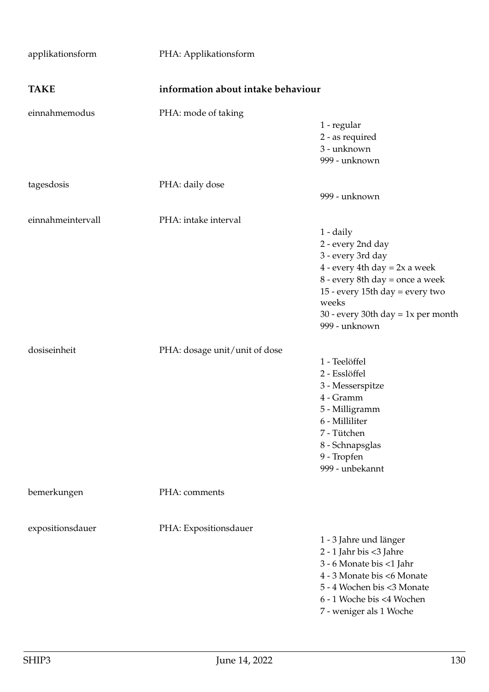| applikationsform  | PHA: Applikationsform              |                                                                                                                                                                                                                                |
|-------------------|------------------------------------|--------------------------------------------------------------------------------------------------------------------------------------------------------------------------------------------------------------------------------|
| <b>TAKE</b>       | information about intake behaviour |                                                                                                                                                                                                                                |
| einnahmemodus     | PHA: mode of taking                | 1 - regular<br>2 - as required<br>3 - unknown<br>999 - unknown                                                                                                                                                                 |
| tagesdosis        | PHA: daily dose                    | 999 - unknown                                                                                                                                                                                                                  |
| einnahmeintervall | PHA: intake interval               | 1 - daily<br>2 - every 2nd day<br>3 - every 3rd day<br>$4$ - every 4th day = 2x a week<br>8 - every 8th day = once a week<br>15 - every 15th day = every two<br>weeks<br>30 - every 30th day = $1x$ per month<br>999 - unknown |
| dosiseinheit      | PHA: dosage unit/unit of dose      | 1 - Teelöffel<br>2 - Esslöffel<br>3 - Messerspitze<br>4 - Gramm<br>5 - Milligramm<br>6 - Milliliter<br>7 - Tütchen<br>8 - Schnapsglas<br>9 - Tropfen<br>999 - unbekannt                                                        |
| bemerkungen       | PHA: comments                      |                                                                                                                                                                                                                                |
| expositionsdauer  | PHA: Expositionsdauer              | 1 - 3 Jahre und länger<br>2 - 1 Jahr bis <3 Jahre<br>3 - 6 Monate bis <1 Jahr<br>4 - 3 Monate bis <6 Monate<br>5 - 4 Wochen bis <3 Monate<br>6 - 1 Woche bis <4 Wochen<br>7 - weniger als 1 Woche                              |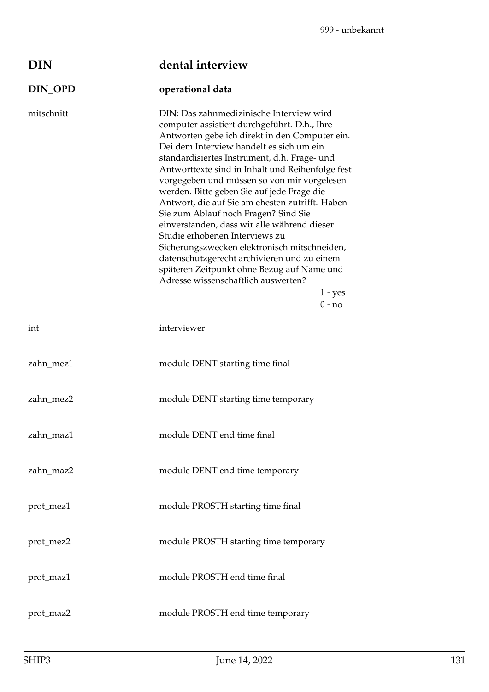| DIN        | dental interview                                                                                                                                                                                                                                                                                                                                                                                                                                                                                                                                                                                                                                                                                                                                                                 |
|------------|----------------------------------------------------------------------------------------------------------------------------------------------------------------------------------------------------------------------------------------------------------------------------------------------------------------------------------------------------------------------------------------------------------------------------------------------------------------------------------------------------------------------------------------------------------------------------------------------------------------------------------------------------------------------------------------------------------------------------------------------------------------------------------|
| DIN_OPD    | operational data                                                                                                                                                                                                                                                                                                                                                                                                                                                                                                                                                                                                                                                                                                                                                                 |
| mitschnitt | DIN: Das zahnmedizinische Interview wird<br>computer-assistiert durchgeführt. D.h., Ihre<br>Antworten gebe ich direkt in den Computer ein.<br>Dei dem Interview handelt es sich um ein<br>standardisiertes Instrument, d.h. Frage- und<br>Antworttexte sind in Inhalt und Reihenfolge fest<br>vorgegeben und müssen so von mir vorgelesen<br>werden. Bitte geben Sie auf jede Frage die<br>Antwort, die auf Sie am ehesten zutrifft. Haben<br>Sie zum Ablauf noch Fragen? Sind Sie<br>einverstanden, dass wir alle während dieser<br>Studie erhobenen Interviews zu<br>Sicherungszwecken elektronisch mitschneiden,<br>datenschutzgerecht archivieren und zu einem<br>späteren Zeitpunkt ohne Bezug auf Name und<br>Adresse wissenschaftlich auswerten?<br>$1 - yes$<br>$0 - no$ |
| int        | interviewer                                                                                                                                                                                                                                                                                                                                                                                                                                                                                                                                                                                                                                                                                                                                                                      |
| zahn_mez1  | module DENT starting time final                                                                                                                                                                                                                                                                                                                                                                                                                                                                                                                                                                                                                                                                                                                                                  |
| zahn mez2  | module DENT starting time temporary                                                                                                                                                                                                                                                                                                                                                                                                                                                                                                                                                                                                                                                                                                                                              |
| zahn maz1  | module DENT end time final                                                                                                                                                                                                                                                                                                                                                                                                                                                                                                                                                                                                                                                                                                                                                       |
| zahn_maz2  | module DENT end time temporary                                                                                                                                                                                                                                                                                                                                                                                                                                                                                                                                                                                                                                                                                                                                                   |
| prot_mez1  | module PROSTH starting time final                                                                                                                                                                                                                                                                                                                                                                                                                                                                                                                                                                                                                                                                                                                                                |
| prot_mez2  | module PROSTH starting time temporary                                                                                                                                                                                                                                                                                                                                                                                                                                                                                                                                                                                                                                                                                                                                            |
| prot_maz1  | module PROSTH end time final                                                                                                                                                                                                                                                                                                                                                                                                                                                                                                                                                                                                                                                                                                                                                     |
| prot_maz2  | module PROSTH end time temporary                                                                                                                                                                                                                                                                                                                                                                                                                                                                                                                                                                                                                                                                                                                                                 |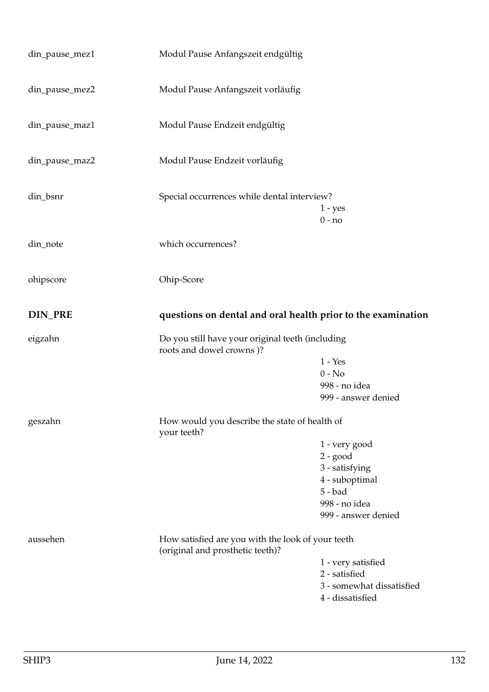| din_pause_mez1 | Modul Pause Anfangszeit endgültig                            |                                     |
|----------------|--------------------------------------------------------------|-------------------------------------|
| din_pause_mez2 | Modul Pause Anfangszeit vorläufig                            |                                     |
| din_pause_maz1 | Modul Pause Endzeit endgültig                                |                                     |
| din_pause_maz2 | Modul Pause Endzeit vorläufig                                |                                     |
| din_bsnr       | Special occurrences while dental interview?                  | $1 - yes$<br>$0 - no$               |
| din_note       | which occurrences?                                           |                                     |
| ohipscore      | Ohip-Score                                                   |                                     |
| DIN_PRE        | questions on dental and oral health prior to the examination |                                     |
|                |                                                              |                                     |
| eigzahn        | Do you still have your original teeth (including             |                                     |
|                | roots and dowel crowns)?                                     | $1 - Yes$                           |
|                |                                                              | $0 - No$                            |
|                |                                                              | 998 - no idea                       |
|                |                                                              | 999 - answer denied                 |
| geszahn        | How would you describe the state of health of                |                                     |
|                | your teeth?                                                  |                                     |
|                |                                                              | 1 - very good                       |
|                |                                                              | $2 - good$                          |
|                |                                                              | 3 - satisfying<br>4 - suboptimal    |
|                |                                                              | $5 - bad$                           |
|                |                                                              | 998 - no idea                       |
|                |                                                              | 999 - answer denied                 |
| aussehen       | How satisfied are you with the look of your teeth            |                                     |
|                | (original and prosthetic teeth)?                             |                                     |
|                |                                                              | 1 - very satisfied<br>2 - satisfied |
|                |                                                              | 3 - somewhat dissatisfied           |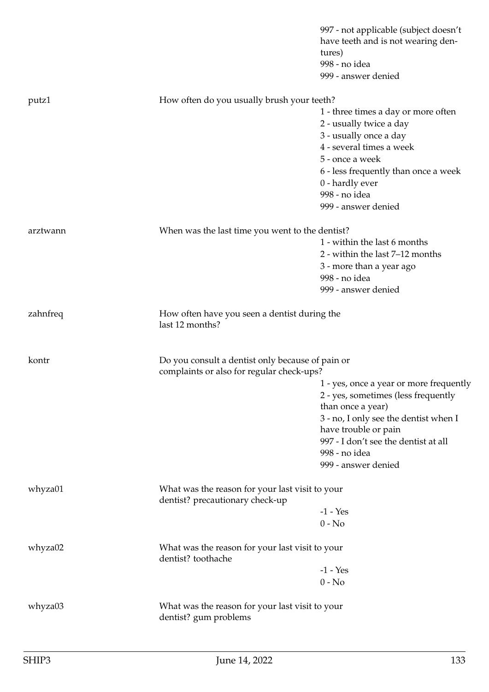|          |                                                                                               | 997 - not applicable (subject doesn't<br>have teeth and is not wearing den-<br>tures)<br>998 - no idea<br>999 - answer denied |
|----------|-----------------------------------------------------------------------------------------------|-------------------------------------------------------------------------------------------------------------------------------|
| putz1    | How often do you usually brush your teeth?                                                    |                                                                                                                               |
|          |                                                                                               | 1 - three times a day or more often                                                                                           |
|          |                                                                                               | 2 - usually twice a day                                                                                                       |
|          |                                                                                               | 3 - usually once a day                                                                                                        |
|          |                                                                                               | 4 - several times a week                                                                                                      |
|          |                                                                                               | 5 - once a week                                                                                                               |
|          |                                                                                               | 6 - less frequently than once a week                                                                                          |
|          |                                                                                               | 0 - hardly ever                                                                                                               |
|          |                                                                                               | 998 - no idea                                                                                                                 |
|          |                                                                                               | 999 - answer denied                                                                                                           |
| arztwann | When was the last time you went to the dentist?                                               |                                                                                                                               |
|          |                                                                                               | 1 - within the last 6 months                                                                                                  |
|          |                                                                                               | 2 - within the last 7-12 months                                                                                               |
|          |                                                                                               | 3 - more than a year ago                                                                                                      |
|          |                                                                                               | 998 - no idea                                                                                                                 |
|          |                                                                                               | 999 - answer denied                                                                                                           |
| zahnfreq | How often have you seen a dentist during the<br>last 12 months?                               |                                                                                                                               |
| kontr    | Do you consult a dentist only because of pain or<br>complaints or also for regular check-ups? |                                                                                                                               |
|          |                                                                                               | 1 - yes, once a year or more frequently                                                                                       |
|          |                                                                                               | 2 - yes, sometimes (less frequently                                                                                           |
|          |                                                                                               | than once a year)                                                                                                             |
|          |                                                                                               | 3 - no, I only see the dentist when I                                                                                         |
|          |                                                                                               | have trouble or pain                                                                                                          |
|          |                                                                                               | 997 - I don't see the dentist at all                                                                                          |
|          |                                                                                               | 998 - no idea                                                                                                                 |
|          |                                                                                               | 999 - answer denied                                                                                                           |
| whyza01  | What was the reason for your last visit to your<br>dentist? precautionary check-up            |                                                                                                                               |
|          |                                                                                               | $-1 - Yes$                                                                                                                    |
|          |                                                                                               | $0 - No$                                                                                                                      |
| whyza02  | What was the reason for your last visit to your<br>dentist? toothache                         |                                                                                                                               |
|          |                                                                                               | $-1 - Yes$                                                                                                                    |
|          |                                                                                               | $0 - No$                                                                                                                      |
| whyza03  | What was the reason for your last visit to your<br>dentist? gum problems                      |                                                                                                                               |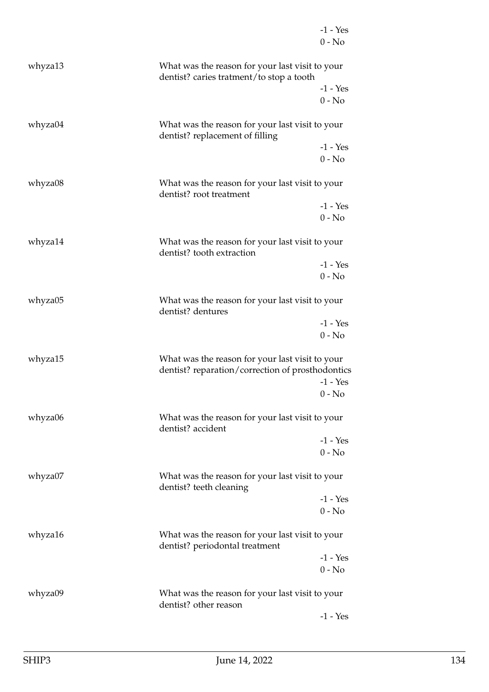|         |                                                                                                     | $-1 - Yes$<br>$0 - No$ |
|---------|-----------------------------------------------------------------------------------------------------|------------------------|
| whyza13 | What was the reason for your last visit to your<br>dentist? caries tratment/to stop a tooth         |                        |
|         |                                                                                                     | $-1 - Yes$<br>$0 - No$ |
| whyza04 | What was the reason for your last visit to your<br>dentist? replacement of filling                  |                        |
|         |                                                                                                     | $-1 - Yes$<br>$0 - No$ |
| whyza08 | What was the reason for your last visit to your<br>dentist? root treatment                          |                        |
|         |                                                                                                     | $-1 - Yes$<br>$0 - No$ |
| whyza14 | What was the reason for your last visit to your<br>dentist? tooth extraction                        |                        |
|         |                                                                                                     | $-1 - Yes$<br>$0 - No$ |
| whyza05 | What was the reason for your last visit to your<br>dentist? dentures                                |                        |
|         |                                                                                                     | $-1 - Yes$<br>$0 - No$ |
| whyza15 | What was the reason for your last visit to your<br>dentist? reparation/correction of prosthodontics | $-1 - Yes$             |
| whyza06 | What was the reason for your last visit to your<br>dentist? accident                                | $0 - No$               |
|         |                                                                                                     | $-1 - Yes$<br>$0 - No$ |
| whyza07 | What was the reason for your last visit to your<br>dentist? teeth cleaning                          |                        |
|         |                                                                                                     | $-1 - Yes$<br>$0 - No$ |
| whyza16 | What was the reason for your last visit to your<br>dentist? periodontal treatment                   |                        |
|         |                                                                                                     | $-1 - Yes$<br>$0 - No$ |
| whyza09 | What was the reason for your last visit to your<br>dentist? other reason                            |                        |
|         |                                                                                                     | $-1 - Yes$             |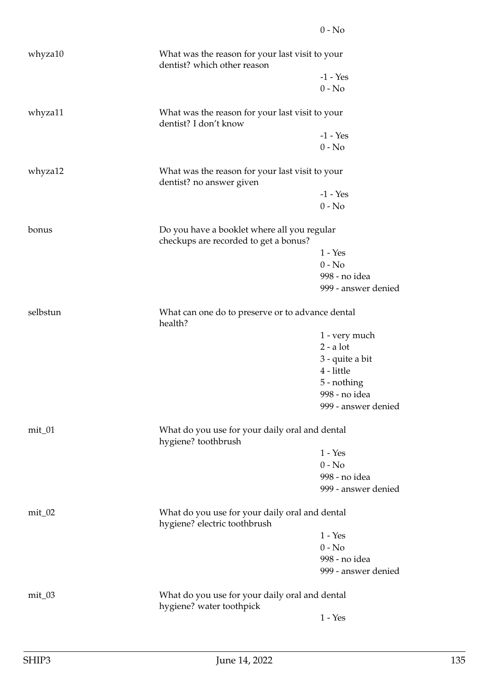| whyza10   | What was the reason for your last visit to your<br>dentist? which other reason       |                     |
|-----------|--------------------------------------------------------------------------------------|---------------------|
|           |                                                                                      | $-1 - Yes$          |
|           |                                                                                      | $0 - No$            |
| whyza11   | What was the reason for your last visit to your<br>dentist? I don't know             |                     |
|           |                                                                                      | $-1 - Yes$          |
|           |                                                                                      | $0 - No$            |
| whyza12   | What was the reason for your last visit to your<br>dentist? no answer given          |                     |
|           |                                                                                      | $-1 - Yes$          |
|           |                                                                                      | $0 - No$            |
| bonus     | Do you have a booklet where all you regular<br>checkups are recorded to get a bonus? |                     |
|           |                                                                                      | $1 - Yes$           |
|           |                                                                                      | $0 - No$            |
|           |                                                                                      | 998 - no idea       |
|           |                                                                                      | 999 - answer denied |
| selbstun  | What can one do to preserve or to advance dental<br>health?                          |                     |
|           |                                                                                      | 1 - very much       |
|           |                                                                                      | $2 - a$ lot         |
|           |                                                                                      | 3 - quite a bit     |
|           |                                                                                      | 4 - little          |
|           |                                                                                      | 5 - nothing         |
|           |                                                                                      | 998 - no idea       |
|           |                                                                                      | 999 - answer denied |
| $mit_0$ 1 | What do you use for your daily oral and dental<br>hygiene? toothbrush                |                     |
|           |                                                                                      | $1 - Yes$           |
|           |                                                                                      | $0 - No$            |
|           |                                                                                      | 998 - no idea       |
|           |                                                                                      | 999 - answer denied |
| $mit_0$ 2 | What do you use for your daily oral and dental<br>hygiene? electric toothbrush       |                     |
|           |                                                                                      | $1 - Yes$           |
|           |                                                                                      | $0 - No$            |
|           |                                                                                      | 998 - no idea       |
|           |                                                                                      | 999 - answer denied |
| $mit_0$ 3 | What do you use for your daily oral and dental<br>hygiene? water toothpick           |                     |
|           |                                                                                      | $1 - Yes$           |
|           |                                                                                      |                     |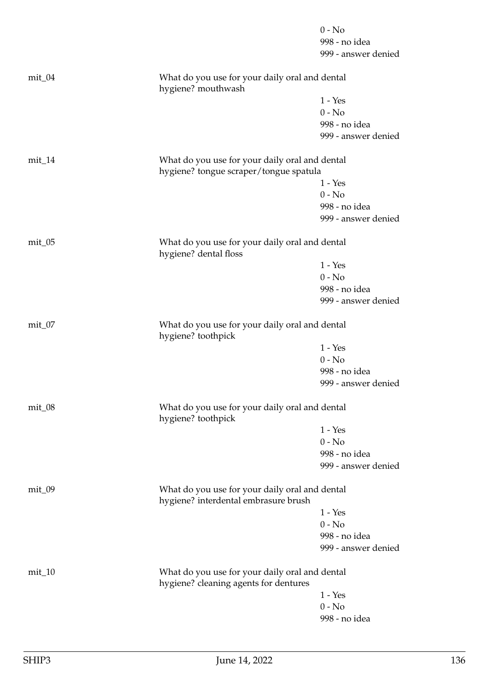|            |                                                                                          | $0 - No$            |
|------------|------------------------------------------------------------------------------------------|---------------------|
|            |                                                                                          | 998 - no idea       |
|            |                                                                                          | 999 - answer denied |
| $mit_0$ 4  | What do you use for your daily oral and dental<br>hygiene? mouthwash                     |                     |
|            |                                                                                          | $1 - Yes$           |
|            |                                                                                          | $0 - No$            |
|            |                                                                                          | 998 - no idea       |
|            |                                                                                          | 999 - answer denied |
| $mit_14$   | What do you use for your daily oral and dental<br>hygiene? tongue scraper/tongue spatula |                     |
|            |                                                                                          | $1 - Yes$           |
|            |                                                                                          | $0 - No$            |
|            |                                                                                          | 998 - no idea       |
|            |                                                                                          | 999 - answer denied |
| $mit_0$    | What do you use for your daily oral and dental<br>hygiene? dental floss                  |                     |
|            |                                                                                          | $1 - Yes$           |
|            |                                                                                          | $0 - No$            |
|            |                                                                                          | 998 - no idea       |
|            |                                                                                          | 999 - answer denied |
| $mit_0$    | What do you use for your daily oral and dental<br>hygiene? toothpick                     |                     |
|            |                                                                                          | $1 - Yes$           |
|            |                                                                                          | $0 - No$            |
|            |                                                                                          | 998 - no idea       |
|            |                                                                                          | 999 - answer denied |
| $mit_0$ 08 | What do you use for your daily oral and dental<br>hygiene? toothpick                     |                     |
|            |                                                                                          | $1 - Yes$           |
|            |                                                                                          | $0 - No$            |
|            |                                                                                          | 998 - no idea       |
|            |                                                                                          | 999 - answer denied |
| $mit_0$    | What do you use for your daily oral and dental<br>hygiene? interdental embrasure brush   |                     |
|            |                                                                                          | $1 - Yes$           |
|            |                                                                                          | $0 - No$            |
|            |                                                                                          | 998 - no idea       |
|            |                                                                                          | 999 - answer denied |
| $mit_1$ 0  | What do you use for your daily oral and dental<br>hygiene? cleaning agents for dentures  |                     |
|            |                                                                                          | $1 - Yes$           |
|            |                                                                                          | $0 - No$            |
|            |                                                                                          | 998 - no idea       |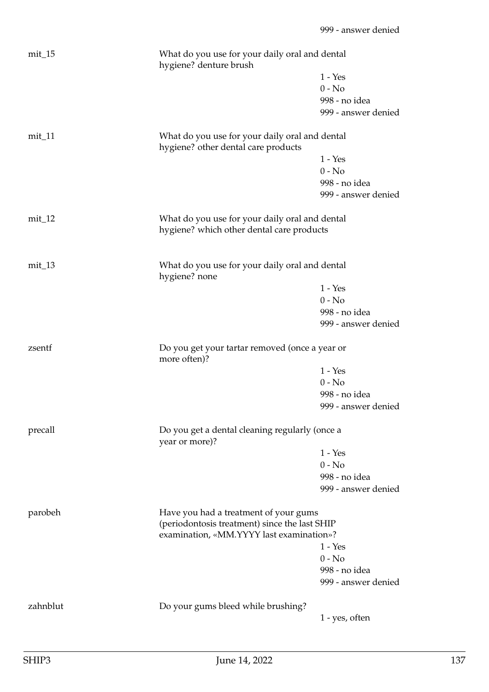| $mit_15$ | What do you use for your daily oral and dental<br>hygiene? denture brush                    |                     |
|----------|---------------------------------------------------------------------------------------------|---------------------|
|          |                                                                                             | $1 - Yes$           |
|          |                                                                                             | $0 - No$            |
|          |                                                                                             | 998 - no idea       |
|          |                                                                                             | 999 - answer denied |
| $mit_11$ | What do you use for your daily oral and dental<br>hygiene? other dental care products       |                     |
|          |                                                                                             | $1 - Yes$           |
|          |                                                                                             | $0 - No$            |
|          |                                                                                             | 998 - no idea       |
|          |                                                                                             | 999 - answer denied |
| $mit_12$ | What do you use for your daily oral and dental<br>hygiene? which other dental care products |                     |
| $mit_13$ | What do you use for your daily oral and dental<br>hygiene? none                             |                     |
|          |                                                                                             | $1 - Yes$           |
|          |                                                                                             | $0 - No$            |
|          |                                                                                             | 998 - no idea       |
|          |                                                                                             | 999 - answer denied |
|          |                                                                                             |                     |
| zsentf   | Do you get your tartar removed (once a year or<br>more often)?                              |                     |
|          |                                                                                             | $1 - Yes$           |
|          |                                                                                             | $0 - No$            |
|          |                                                                                             | 998 - no idea       |
|          |                                                                                             | 999 - answer denied |
| precall  | Do you get a dental cleaning regularly (once a<br>year or more)?                            |                     |
|          |                                                                                             | $1 - Yes$           |
|          |                                                                                             | $0 - No$            |
|          |                                                                                             | 998 - no idea       |
|          |                                                                                             | 999 - answer denied |
| parobeh  | Have you had a treatment of your gums                                                       |                     |
|          | (periodontosis treatment) since the last SHIP                                               |                     |
|          | examination, «MM.YYYY last examination»?                                                    | $1 - Yes$           |
|          |                                                                                             | $0 - No$            |
|          |                                                                                             | 998 - no idea       |
|          |                                                                                             | 999 - answer denied |
| zahnblut | Do your gums bleed while brushing?                                                          | 1 - yes, often      |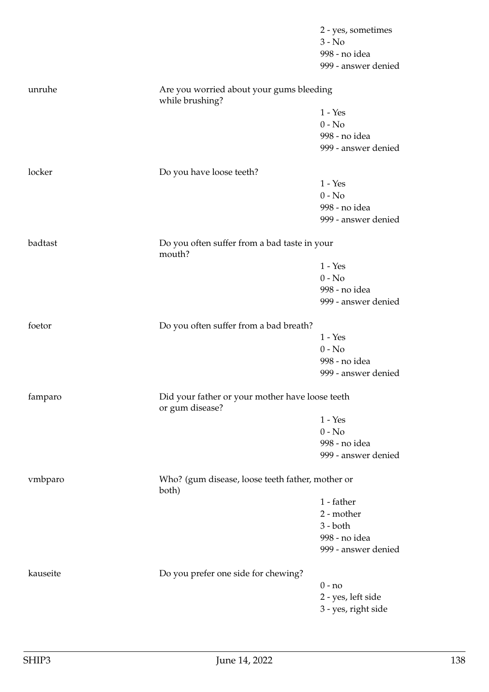|          |                                                                    | 2 - yes, sometimes  |
|----------|--------------------------------------------------------------------|---------------------|
|          |                                                                    | $3 - No$            |
|          |                                                                    | 998 - no idea       |
|          |                                                                    | 999 - answer denied |
| unruhe   | Are you worried about your gums bleeding<br>while brushing?        |                     |
|          |                                                                    | $1 - Yes$           |
|          |                                                                    | $0 - No$            |
|          |                                                                    | 998 - no idea       |
|          |                                                                    | 999 - answer denied |
| locker   | Do you have loose teeth?                                           |                     |
|          |                                                                    | $1 - Yes$           |
|          |                                                                    | $0 - No$            |
|          |                                                                    | 998 - no idea       |
|          |                                                                    | 999 - answer denied |
| badtast  | Do you often suffer from a bad taste in your<br>mouth?             |                     |
|          |                                                                    | $1 - Yes$           |
|          |                                                                    | $0 - No$            |
|          |                                                                    | 998 - no idea       |
|          |                                                                    | 999 - answer denied |
| foetor   | Do you often suffer from a bad breath?                             |                     |
|          |                                                                    | $1 - Yes$           |
|          |                                                                    | $0 - No$            |
|          |                                                                    | 998 - no idea       |
|          |                                                                    | 999 - answer denied |
| famparo  | Did your father or your mother have loose teeth<br>or gum disease? |                     |
|          |                                                                    | $1 - Yes$           |
|          |                                                                    | $0 - No$            |
|          |                                                                    | 998 - no idea       |
|          |                                                                    | 999 - answer denied |
| vmbparo  | Who? (gum disease, loose teeth father, mother or<br>both)          |                     |
|          |                                                                    | 1 - father          |
|          |                                                                    | 2 - mother          |
|          |                                                                    | $3 - both$          |
|          |                                                                    | 998 - no idea       |
|          |                                                                    | 999 - answer denied |
| kauseite | Do you prefer one side for chewing?                                |                     |
|          |                                                                    | $0 - no$            |
|          |                                                                    | 2 - yes, left side  |
|          |                                                                    | 3 - yes, right side |
|          |                                                                    |                     |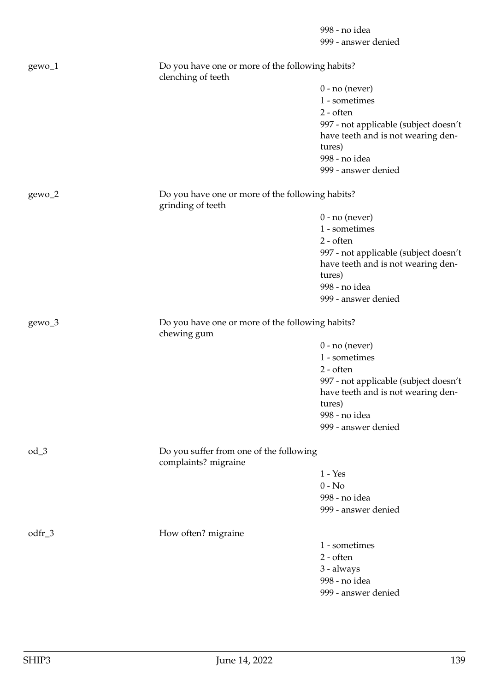998 - no idea 999 - answer denied gewo\_1 Do you have one or more of the following habits? clenching of teeth 0 - no (never) 1 - sometimes 2 - often 997 - not applicable (subject doesn't have teeth and is not wearing dentures) 998 - no idea 999 - answer denied gewo\_2 Do you have one or more of the following habits? grinding of teeth 0 - no (never) 1 - sometimes 2 - often 997 - not applicable (subject doesn't have teeth and is not wearing dentures) 998 - no idea 999 - answer denied gewo\_3 Do you have one or more of the following habits? chewing gum 0 - no (never) 1 - sometimes 2 - often 997 - not applicable (subject doesn't have teeth and is not wearing dentures) 998 - no idea 999 - answer denied od\_3 Do you suffer from one of the following complaints? migraine 1 - Yes  $0 - No$ 998 - no idea 999 - answer denied odfr<sub>-3</sub> How often? migraine 1 - sometimes 2 - often 3 - always 998 - no idea 999 - answer denied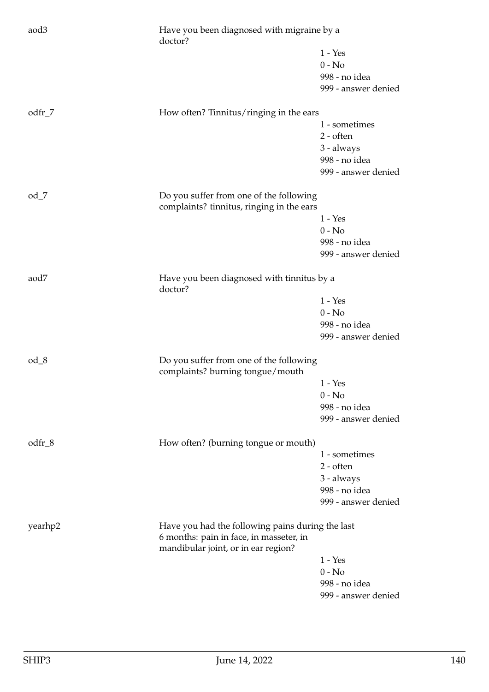| aod3     | Have you been diagnosed with migraine by a<br>doctor?                                                                              |                     |
|----------|------------------------------------------------------------------------------------------------------------------------------------|---------------------|
|          |                                                                                                                                    | $1 - Yes$           |
|          |                                                                                                                                    | $0 - No$            |
|          |                                                                                                                                    | 998 - no idea       |
|          |                                                                                                                                    | 999 - answer denied |
|          |                                                                                                                                    |                     |
| $odfr_7$ | How often? Tinnitus/ringing in the ears                                                                                            |                     |
|          |                                                                                                                                    | 1 - sometimes       |
|          |                                                                                                                                    | $2 - often$         |
|          |                                                                                                                                    | 3 - always          |
|          |                                                                                                                                    | 998 - no idea       |
|          |                                                                                                                                    | 999 - answer denied |
| $od_7$   | Do you suffer from one of the following                                                                                            |                     |
|          | complaints? tinnitus, ringing in the ears                                                                                          |                     |
|          |                                                                                                                                    | $1 - Yes$           |
|          |                                                                                                                                    | $0 - No$            |
|          |                                                                                                                                    | 998 - no idea       |
|          |                                                                                                                                    | 999 - answer denied |
| aod7     | Have you been diagnosed with tinnitus by a<br>doctor?                                                                              |                     |
|          |                                                                                                                                    | $1 - Yes$           |
|          |                                                                                                                                    | $0 - No$            |
|          |                                                                                                                                    | 998 - no idea       |
|          |                                                                                                                                    | 999 - answer denied |
| $od_8$   | Do you suffer from one of the following<br>complaints? burning tongue/mouth                                                        |                     |
|          |                                                                                                                                    | $1 - Yes$           |
|          |                                                                                                                                    | $0 - No$            |
|          |                                                                                                                                    | 998 - no idea       |
|          |                                                                                                                                    | 999 - answer denied |
| odfr_8   | How often? (burning tongue or mouth)                                                                                               |                     |
|          |                                                                                                                                    | 1 - sometimes       |
|          |                                                                                                                                    | $2 - \text{often}$  |
|          |                                                                                                                                    | 3 - always          |
|          |                                                                                                                                    | 998 - no idea       |
|          |                                                                                                                                    | 999 - answer denied |
| yearhp2  | Have you had the following pains during the last<br>6 months: pain in face, in masseter, in<br>mandibular joint, or in ear region? |                     |
|          |                                                                                                                                    | $1 - Yes$           |
|          |                                                                                                                                    | $0 - No$            |
|          |                                                                                                                                    | 998 - no idea       |
|          |                                                                                                                                    | 999 - answer denied |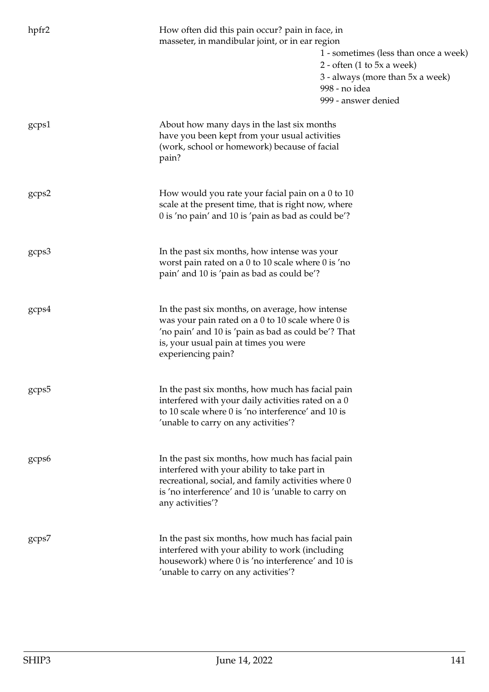| hpfr2 | How often did this pain occur? pain in face, in<br>masseter, in mandibular joint, or in ear region<br>2 - often $(1 \text{ to } 5x \text{ a week})$<br>3 - always (more than 5x a week)<br>998 - no idea<br>999 - answer denied   | 1 - sometimes (less than once a week) |
|-------|-----------------------------------------------------------------------------------------------------------------------------------------------------------------------------------------------------------------------------------|---------------------------------------|
| gcps1 | About how many days in the last six months<br>have you been kept from your usual activities<br>(work, school or homework) because of facial<br>pain?                                                                              |                                       |
| gcps2 | How would you rate your facial pain on a 0 to 10<br>scale at the present time, that is right now, where<br>0 is 'no pain' and 10 is 'pain as bad as could be'?                                                                    |                                       |
| gcps3 | In the past six months, how intense was your<br>worst pain rated on a 0 to 10 scale where 0 is 'no<br>pain' and 10 is 'pain as bad as could be'?                                                                                  |                                       |
| gcps4 | In the past six months, on average, how intense<br>was your pain rated on a 0 to 10 scale where 0 is<br>'no pain' and 10 is 'pain as bad as could be'? That<br>is, your usual pain at times you were<br>experiencing pain?        |                                       |
| gcps5 | In the past six months, how much has facial pain<br>interfered with your daily activities rated on a 0<br>to 10 scale where 0 is 'no interference' and 10 is<br>'unable to carry on any activities'?                              |                                       |
| gcps6 | In the past six months, how much has facial pain<br>interfered with your ability to take part in<br>recreational, social, and family activities where 0<br>is 'no interference' and 10 is 'unable to carry on<br>any activities'? |                                       |
| gcps7 | In the past six months, how much has facial pain<br>interfered with your ability to work (including<br>housework) where 0 is 'no interference' and 10 is<br>'unable to carry on any activities'?                                  |                                       |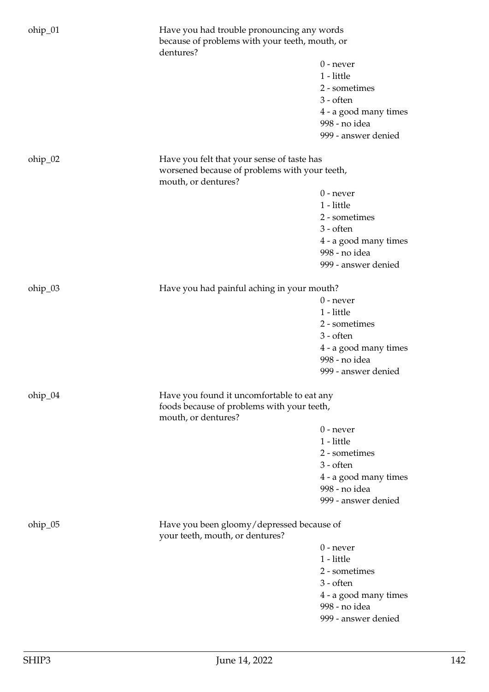| ohip_01 | dentures?                                                                                | Have you had trouble pronouncing any words<br>because of problems with your teeth, mouth, or |  |
|---------|------------------------------------------------------------------------------------------|----------------------------------------------------------------------------------------------|--|
|         |                                                                                          | $0$ - never                                                                                  |  |
|         |                                                                                          | 1 - little                                                                                   |  |
|         |                                                                                          | 2 - sometimes                                                                                |  |
|         |                                                                                          | $3 - often$                                                                                  |  |
|         |                                                                                          |                                                                                              |  |
|         |                                                                                          | 4 - a good many times                                                                        |  |
|         |                                                                                          | 998 - no idea<br>999 - answer denied                                                         |  |
| ohip_02 | Have you felt that your sense of taste has                                               |                                                                                              |  |
|         | worsened because of problems with your teeth,<br>mouth, or dentures?                     |                                                                                              |  |
|         |                                                                                          | $0$ - never                                                                                  |  |
|         |                                                                                          | 1 - little                                                                                   |  |
|         |                                                                                          | 2 - sometimes                                                                                |  |
|         |                                                                                          | $3 - \text{often}$                                                                           |  |
|         |                                                                                          | 4 - a good many times                                                                        |  |
|         |                                                                                          | 998 - no idea                                                                                |  |
|         |                                                                                          | 999 - answer denied                                                                          |  |
|         |                                                                                          |                                                                                              |  |
| ohip_03 | Have you had painful aching in your mouth?                                               | $0$ - never                                                                                  |  |
|         |                                                                                          | 1 - little                                                                                   |  |
|         |                                                                                          | 2 - sometimes                                                                                |  |
|         |                                                                                          | $3 - often$                                                                                  |  |
|         |                                                                                          |                                                                                              |  |
|         |                                                                                          | 4 - a good many times<br>998 - no idea                                                       |  |
|         |                                                                                          | 999 - answer denied                                                                          |  |
|         |                                                                                          |                                                                                              |  |
| ohip_04 | Have you found it uncomfortable to eat any<br>foods because of problems with your teeth, |                                                                                              |  |
|         | mouth, or dentures?                                                                      |                                                                                              |  |
|         |                                                                                          | $0$ - never                                                                                  |  |
|         |                                                                                          | 1 - little                                                                                   |  |
|         |                                                                                          | 2 - sometimes                                                                                |  |
|         |                                                                                          | $3 - \text{often}$                                                                           |  |
|         |                                                                                          | 4 - a good many times<br>998 - no idea                                                       |  |
|         |                                                                                          | 999 - answer denied                                                                          |  |
|         |                                                                                          |                                                                                              |  |
| ohip_05 | Have you been gloomy/depressed because of<br>your teeth, mouth, or dentures?             |                                                                                              |  |
|         |                                                                                          | $0$ - never                                                                                  |  |
|         |                                                                                          | 1 - little                                                                                   |  |
|         |                                                                                          | 2 - sometimes                                                                                |  |
|         |                                                                                          | $3 - often$                                                                                  |  |
|         |                                                                                          | 4 - a good many times                                                                        |  |
|         |                                                                                          | 998 - no idea                                                                                |  |
|         |                                                                                          | 999 - answer denied                                                                          |  |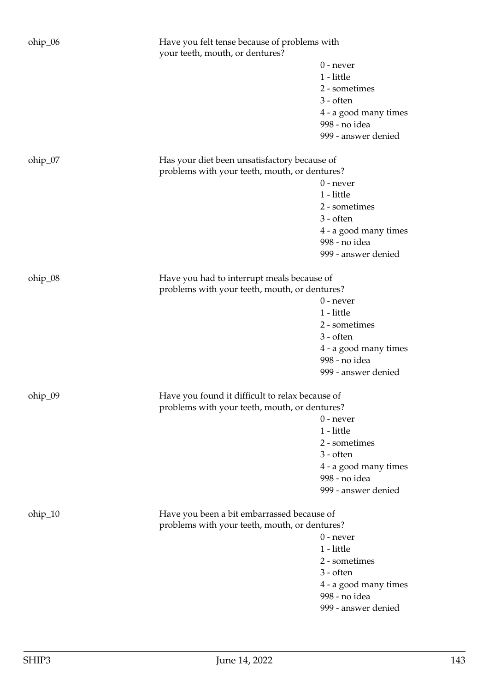| ohip_06 | Have you felt tense because of problems with<br>your teeth, mouth, or dentures?                  |                                            |
|---------|--------------------------------------------------------------------------------------------------|--------------------------------------------|
|         |                                                                                                  | $0$ - never<br>1 - little<br>2 - sometimes |
|         |                                                                                                  | $3 - \text{often}$                         |
|         |                                                                                                  | 4 - a good many times                      |
|         |                                                                                                  | 998 - no idea                              |
|         |                                                                                                  | 999 - answer denied                        |
| ohip_07 | Has your diet been unsatisfactory because of<br>problems with your teeth, mouth, or dentures?    |                                            |
|         |                                                                                                  | $0$ - never                                |
|         |                                                                                                  | 1 - little                                 |
|         |                                                                                                  | 2 - sometimes                              |
|         |                                                                                                  | $3 - often$                                |
|         |                                                                                                  | 4 - a good many times                      |
|         |                                                                                                  | 998 - no idea                              |
|         |                                                                                                  | 999 - answer denied                        |
| ohip_08 | Have you had to interrupt meals because of                                                       |                                            |
|         | problems with your teeth, mouth, or dentures?                                                    |                                            |
|         |                                                                                                  | $0$ - never                                |
|         |                                                                                                  | 1 - little                                 |
|         |                                                                                                  | 2 - sometimes                              |
|         |                                                                                                  | $3 - often$                                |
|         |                                                                                                  | 4 - a good many times                      |
|         |                                                                                                  | 998 - no idea                              |
|         |                                                                                                  | 999 - answer denied                        |
| ohip_09 | Have you found it difficult to relax because of<br>problems with your teeth, mouth, or dentures? |                                            |
|         |                                                                                                  | $0$ - never                                |
|         |                                                                                                  | 1 - little                                 |
|         |                                                                                                  | 2 - sometimes                              |
|         |                                                                                                  | $3 - often$                                |
|         |                                                                                                  | 4 - a good many times                      |
|         |                                                                                                  | 998 - no idea                              |
|         |                                                                                                  | 999 - answer denied                        |
| ohip_10 | Have you been a bit embarrassed because of                                                       |                                            |
|         | problems with your teeth, mouth, or dentures?                                                    |                                            |
|         |                                                                                                  | $0$ - never                                |
|         |                                                                                                  | 1 - little                                 |
|         |                                                                                                  | 2 - sometimes                              |
|         |                                                                                                  | $3 - often$                                |
|         |                                                                                                  | 4 - a good many times                      |
|         |                                                                                                  | 998 - no idea                              |
|         |                                                                                                  | 999 - answer denied                        |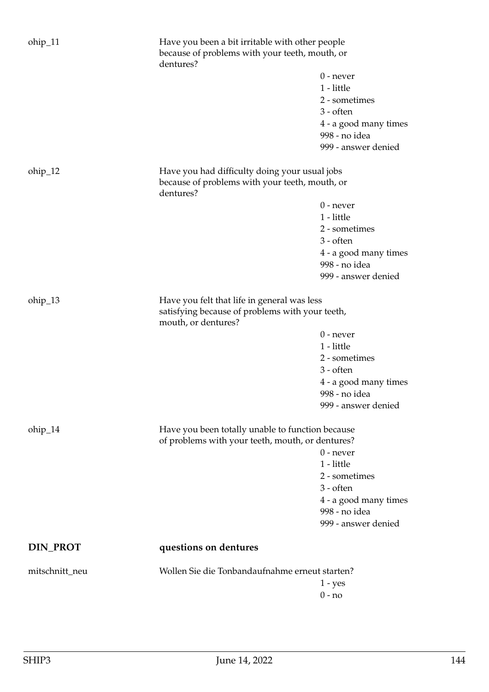| ohip_11         | Have you been a bit irritable with other people<br>because of problems with your teeth, mouth, or<br>dentures?        |                                                                                                                            |
|-----------------|-----------------------------------------------------------------------------------------------------------------------|----------------------------------------------------------------------------------------------------------------------------|
|                 |                                                                                                                       | $0$ - never<br>1 - little<br>2 - sometimes<br>$3 - \text{often}$<br>4 - a good many times<br>998 - no idea                 |
|                 |                                                                                                                       | 999 - answer denied                                                                                                        |
| ohip_12         | Have you had difficulty doing your usual jobs<br>because of problems with your teeth, mouth, or<br>dentures?          |                                                                                                                            |
|                 |                                                                                                                       | $0$ - never<br>1 - little<br>2 - sometimes<br>$3 - often$<br>4 - a good many times<br>998 - no idea<br>999 - answer denied |
| ohip_13         | Have you felt that life in general was less<br>satisfying because of problems with your teeth,<br>mouth, or dentures? |                                                                                                                            |
|                 |                                                                                                                       | $0$ - never                                                                                                                |
|                 |                                                                                                                       | 1 - little                                                                                                                 |
|                 |                                                                                                                       | 2 - sometimes                                                                                                              |
|                 |                                                                                                                       | $3 - often$                                                                                                                |
|                 |                                                                                                                       | 4 - a good many times                                                                                                      |
|                 |                                                                                                                       | 998 - no idea<br>999 - answer denied                                                                                       |
|                 |                                                                                                                       |                                                                                                                            |
| ohip_14         | Have you been totally unable to function because                                                                      |                                                                                                                            |
|                 | of problems with your teeth, mouth, or dentures?                                                                      | $0$ - never                                                                                                                |
|                 |                                                                                                                       | 1 - little                                                                                                                 |
|                 |                                                                                                                       | 2 - sometimes                                                                                                              |
|                 |                                                                                                                       | $3 - often$                                                                                                                |
|                 |                                                                                                                       | 4 - a good many times                                                                                                      |
|                 |                                                                                                                       | 998 - no idea                                                                                                              |
|                 |                                                                                                                       | 999 - answer denied                                                                                                        |
| <b>DIN_PROT</b> | questions on dentures                                                                                                 |                                                                                                                            |
| mitschnitt_neu  | Wollen Sie die Tonbandaufnahme erneut starten?                                                                        |                                                                                                                            |
|                 |                                                                                                                       | $1 - yes$                                                                                                                  |
|                 |                                                                                                                       | $0 - no$                                                                                                                   |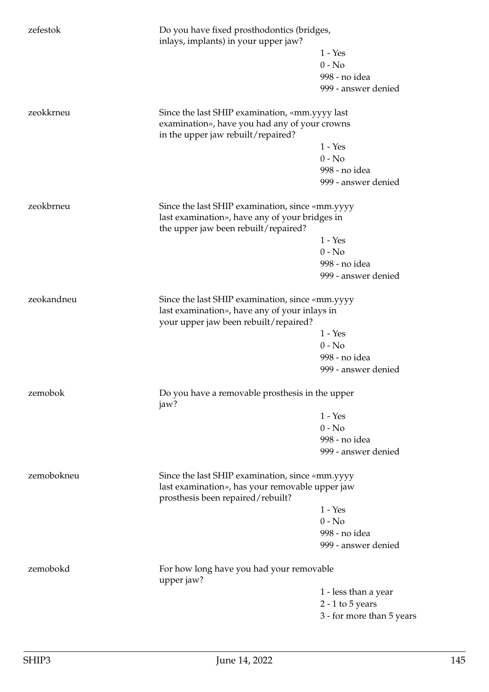| zefestok   | Do you have fixed prosthodontics (bridges,<br>inlays, implants) in your upper jaw?                                                      |                           |
|------------|-----------------------------------------------------------------------------------------------------------------------------------------|---------------------------|
|            |                                                                                                                                         | $1 - Yes$                 |
|            |                                                                                                                                         | $0 - No$                  |
|            |                                                                                                                                         | 998 - no idea             |
|            |                                                                                                                                         | 999 - answer denied       |
| zeokkrneu  | Since the last SHIP examination, «mm.yyyy last                                                                                          |                           |
|            | examination», have you had any of your crowns<br>in the upper jaw rebuilt/repaired?                                                     |                           |
|            |                                                                                                                                         | $1 - Yes$                 |
|            |                                                                                                                                         | $0 - No$                  |
|            |                                                                                                                                         | 998 - no idea             |
|            |                                                                                                                                         | 999 - answer denied       |
| zeokbrneu  | Since the last SHIP examination, since «mm.yyyy                                                                                         |                           |
|            | last examination», have any of your bridges in<br>the upper jaw been rebuilt/repaired?                                                  |                           |
|            |                                                                                                                                         | $1 - Yes$                 |
|            |                                                                                                                                         | $0 - No$                  |
|            |                                                                                                                                         | 998 - no idea             |
|            |                                                                                                                                         | 999 - answer denied       |
| zeokandneu | Since the last SHIP examination, since «mm.yyyy<br>last examination», have any of your inlays in                                        |                           |
|            | your upper jaw been rebuilt/repaired?                                                                                                   |                           |
|            |                                                                                                                                         | $1 - Yes$                 |
|            |                                                                                                                                         | $0 - No$                  |
|            |                                                                                                                                         | 998 - no idea             |
|            |                                                                                                                                         | 999 - answer denied       |
| zemobok    | Do you have a removable prosthesis in the upper<br>jaw?                                                                                 |                           |
|            |                                                                                                                                         | $1 - Yes$                 |
|            |                                                                                                                                         | $0 - No$                  |
|            |                                                                                                                                         | 998 - no idea             |
|            |                                                                                                                                         | 999 - answer denied       |
| zemobokneu | Since the last SHIP examination, since «mm.yyyy<br>last examination», has your removable upper jaw<br>prosthesis been repaired/rebuilt? |                           |
|            |                                                                                                                                         | $1 - Yes$                 |
|            |                                                                                                                                         | $0 - No$                  |
|            |                                                                                                                                         | 998 - no idea             |
|            |                                                                                                                                         | 999 - answer denied       |
| zemobokd   | For how long have you had your removable<br>upper jaw?                                                                                  |                           |
|            |                                                                                                                                         | 1 - less than a year      |
|            |                                                                                                                                         | $2 - 1$ to $5$ years      |
|            |                                                                                                                                         | 3 - for more than 5 years |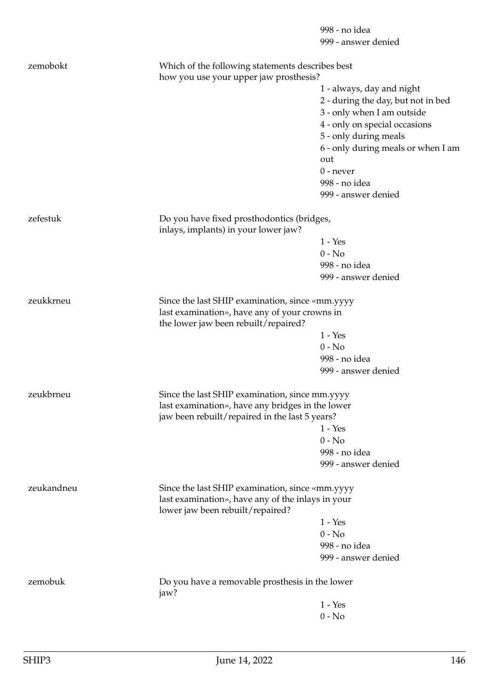998 - no idea 999 - answer denied

| zemobokt   |                                                                                       | Which of the following statements describes best<br>how you use your upper jaw prosthesis? |  |
|------------|---------------------------------------------------------------------------------------|--------------------------------------------------------------------------------------------|--|
|            |                                                                                       | 1 - always, day and night                                                                  |  |
|            |                                                                                       | 2 - during the day, but not in bed                                                         |  |
|            |                                                                                       | 3 - only when I am outside                                                                 |  |
|            |                                                                                       | 4 - only on special occasions                                                              |  |
|            |                                                                                       | 5 - only during meals                                                                      |  |
|            |                                                                                       | 6 - only during meals or when I am                                                         |  |
|            |                                                                                       | out                                                                                        |  |
|            |                                                                                       | $0$ - never                                                                                |  |
|            |                                                                                       | 998 - no idea                                                                              |  |
|            |                                                                                       | 999 - answer denied                                                                        |  |
| zefestuk   | Do you have fixed prosthodontics (bridges,<br>inlays, implants) in your lower jaw?    |                                                                                            |  |
|            |                                                                                       | $1 - Yes$                                                                                  |  |
|            |                                                                                       | $0 - No$                                                                                   |  |
|            |                                                                                       | 998 - no idea                                                                              |  |
|            |                                                                                       |                                                                                            |  |
|            |                                                                                       | 999 - answer denied                                                                        |  |
| zeukkrneu  |                                                                                       | Since the last SHIP examination, since «mm.yyyy                                            |  |
|            | last examination», have any of your crowns in<br>the lower jaw been rebuilt/repaired? |                                                                                            |  |
|            |                                                                                       | $1 - Yes$                                                                                  |  |
|            |                                                                                       | $0 - No$                                                                                   |  |
|            |                                                                                       | 998 - no idea                                                                              |  |
|            |                                                                                       | 999 - answer denied                                                                        |  |
| zeukbrneu  | Since the last SHIP examination, since mm.yyyy                                        |                                                                                            |  |
|            |                                                                                       | last examination», have any bridges in the lower                                           |  |
|            | jaw been rebuilt/repaired in the last 5 years?                                        |                                                                                            |  |
|            |                                                                                       | $1 - Yes$                                                                                  |  |
|            |                                                                                       | $0 - No$                                                                                   |  |
|            |                                                                                       | 998 - no idea                                                                              |  |
|            |                                                                                       | 999 - answer denied                                                                        |  |
| zeukandneu | Since the last SHIP examination, since «mm.yyyy                                       |                                                                                            |  |
|            | last examination», have any of the inlays in your<br>lower jaw been rebuilt/repaired? |                                                                                            |  |
|            |                                                                                       | $1 - Yes$                                                                                  |  |
|            |                                                                                       | $0 - No$                                                                                   |  |
|            |                                                                                       | 998 - no idea                                                                              |  |
|            |                                                                                       | 999 - answer denied                                                                        |  |
| zemobuk    | Do you have a removable prosthesis in the lower<br>jaw?                               |                                                                                            |  |
|            |                                                                                       | $1 - Yes$                                                                                  |  |
|            |                                                                                       | $0 - No$                                                                                   |  |
|            |                                                                                       |                                                                                            |  |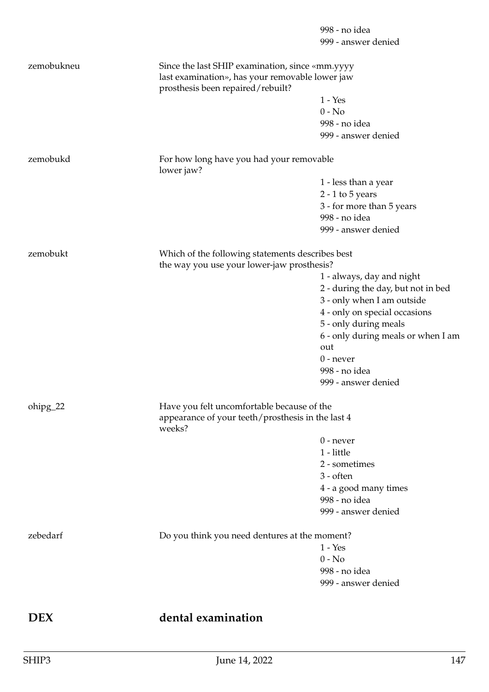|            |                                                                                                    | 998 - no idea<br>999 - answer denied |
|------------|----------------------------------------------------------------------------------------------------|--------------------------------------|
| zemobukneu | Since the last SHIP examination, since «mm.yyyy<br>last examination», has your removable lower jaw |                                      |
|            | prosthesis been repaired/rebuilt?                                                                  |                                      |
|            |                                                                                                    | $1 - Yes$                            |
|            |                                                                                                    | $0 - No$                             |
|            |                                                                                                    | 998 - no idea                        |
|            |                                                                                                    | 999 - answer denied                  |
| zemobukd   | For how long have you had your removable<br>lower jaw?                                             |                                      |
|            |                                                                                                    | 1 - less than a year                 |
|            |                                                                                                    | $2 - 1$ to $5$ years                 |
|            |                                                                                                    | 3 - for more than 5 years            |
|            |                                                                                                    | 998 - no idea                        |
|            |                                                                                                    | 999 - answer denied                  |
| zemobukt   | Which of the following statements describes best<br>the way you use your lower-jaw prosthesis?     |                                      |
|            |                                                                                                    | 1 - always, day and night            |
|            |                                                                                                    | 2 - during the day, but not in bed   |
|            |                                                                                                    | 3 - only when I am outside           |
|            |                                                                                                    | 4 - only on special occasions        |
|            |                                                                                                    | 5 - only during meals                |
|            |                                                                                                    | 6 - only during meals or when I am   |
|            |                                                                                                    | out                                  |
|            |                                                                                                    | $0$ - never                          |
|            |                                                                                                    | 998 - no idea                        |
|            |                                                                                                    | 999 - answer denied                  |
| ohipg_22   | Have you felt uncomfortable because of the                                                         |                                      |
|            | appearance of your teeth/prosthesis in the last 4<br>weeks?                                        |                                      |
|            |                                                                                                    | $0$ - never                          |
|            |                                                                                                    | 1 - little                           |
|            |                                                                                                    | 2 - sometimes                        |
|            |                                                                                                    | $3 - \text{often}$                   |
|            |                                                                                                    | 4 - a good many times                |
|            |                                                                                                    | 998 - no idea                        |
|            |                                                                                                    | 999 - answer denied                  |
|            |                                                                                                    |                                      |
| zebedarf   | Do you think you need dentures at the moment?                                                      |                                      |
|            |                                                                                                    | $1 - Yes$                            |
|            |                                                                                                    | $0 - No$                             |
|            |                                                                                                    | 998 - no idea                        |
|            |                                                                                                    | 999 - answer denied                  |
|            |                                                                                                    |                                      |
| <b>DEX</b> | dental examination                                                                                 |                                      |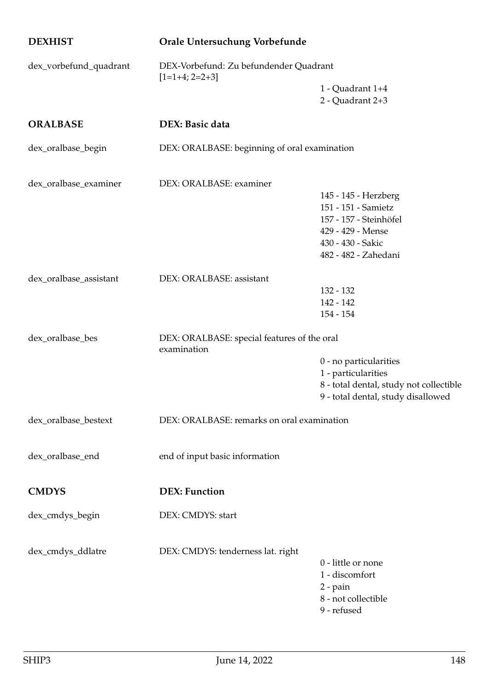| <b>DEXHIST</b>         | Orale Untersuchung Vorbefunde                              |                                                                                                                                         |
|------------------------|------------------------------------------------------------|-----------------------------------------------------------------------------------------------------------------------------------------|
| dex_vorbefund_quadrant | DEX-Vorbefund: Zu befundender Quadrant<br>$[1=1+4; 2=2+3]$ |                                                                                                                                         |
|                        |                                                            | 1 - Quadrant 1+4<br>2 - Quadrant 2+3                                                                                                    |
| <b>ORALBASE</b>        | DEX: Basic data                                            |                                                                                                                                         |
| dex_oralbase_begin     | DEX: ORALBASE: beginning of oral examination               |                                                                                                                                         |
| dex_oralbase_examiner  | DEX: ORALBASE: examiner                                    |                                                                                                                                         |
|                        |                                                            | 145 - 145 - Herzberg<br>151 - 151 - Samietz<br>157 - 157 - Steinhöfel<br>429 - 429 - Mense<br>430 - 430 - Sakic<br>482 - 482 - Zahedani |
| dex_oralbase_assistant | DEX: ORALBASE: assistant                                   | 132 - 132<br>142 - 142<br>$154 - 154$                                                                                                   |
| dex_oralbase_bes       | DEX: ORALBASE: special features of the oral<br>examination | 0 - no particularities<br>1 - particularities<br>8 - total dental, study not collectible<br>9 - total dental, study disallowed          |
| dex_oralbase_bestext   | DEX: ORALBASE: remarks on oral examination                 |                                                                                                                                         |
| dex_oralbase_end       | end of input basic information                             |                                                                                                                                         |
| <b>CMDYS</b>           | <b>DEX: Function</b>                                       |                                                                                                                                         |
| dex_cmdys_begin        | DEX: CMDYS: start                                          |                                                                                                                                         |
| dex_cmdys_ddlatre      | DEX: CMDYS: tenderness lat. right                          | 0 - little or none<br>1 - discomfort<br>$2$ - pain<br>8 - not collectible<br>9 - refused                                                |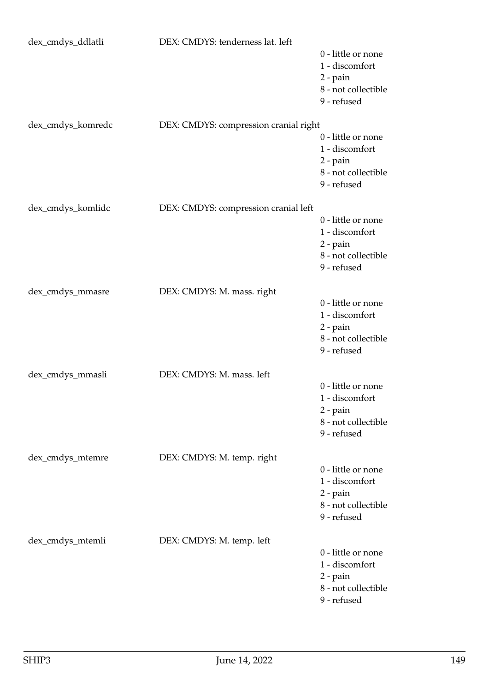| dex_cmdys_ddlatli | DEX: CMDYS: tenderness lat. left      |                                                                                            |
|-------------------|---------------------------------------|--------------------------------------------------------------------------------------------|
|                   |                                       | 0 - little or none<br>1 - discomfort<br>2 - pain<br>8 - not collectible<br>9 - refused     |
| dex_cmdys_komredc | DEX: CMDYS: compression cranial right |                                                                                            |
|                   |                                       | 0 - little or none<br>1 - discomfort<br>$2$ - pain<br>8 - not collectible<br>9 - refused   |
| dex_cmdys_komlidc | DEX: CMDYS: compression cranial left  |                                                                                            |
|                   |                                       | 0 - little or none<br>1 - discomfort<br>$2$ - pain<br>8 - not collectible<br>9 - refused   |
| dex_cmdys_mmasre  | DEX: CMDYS: M. mass. right            |                                                                                            |
|                   |                                       | 0 - little or none<br>1 - discomfort<br>$2$ - pain<br>8 - not collectible<br>9 - refused   |
| dex_cmdys_mmasli  | DEX: CMDYS: M. mass. left             |                                                                                            |
|                   |                                       | 0 - little or none<br>1 - discomfort<br>$2$ - $pain$<br>8 - not collectible<br>9 - refused |
| dex_cmdys_mtemre  | DEX: CMDYS: M. temp. right            |                                                                                            |
|                   |                                       | 0 - little or none<br>1 - discomfort<br>$2$ - pain<br>8 - not collectible<br>9 - refused   |
| dex_cmdys_mtemli  | DEX: CMDYS: M. temp. left             |                                                                                            |
|                   |                                       | 0 - little or none<br>1 - discomfort<br>2 - pain<br>8 - not collectible<br>9 - refused     |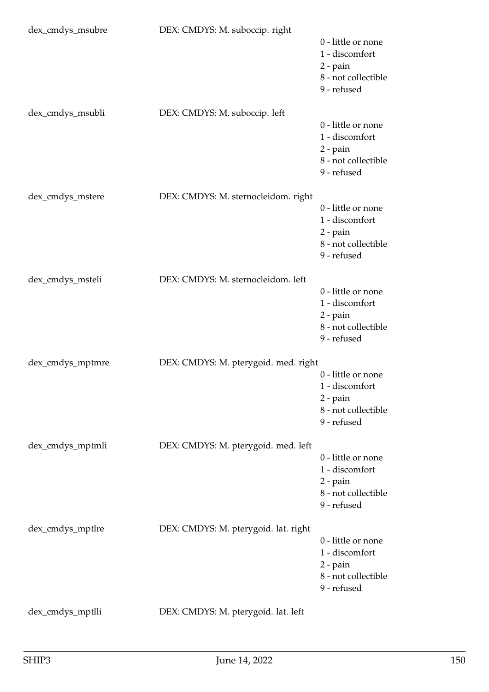| dex_cmdys_msubre | DEX: CMDYS: M. suboccip. right       | 0 - little or none<br>1 - discomfort<br>$2$ - pain<br>8 - not collectible<br>9 - refused |
|------------------|--------------------------------------|------------------------------------------------------------------------------------------|
| dex_cmdys_msubli | DEX: CMDYS: M. suboccip. left        | 0 - little or none<br>1 - discomfort<br>$2$ - pain<br>8 - not collectible<br>9 - refused |
| dex_cmdys_mstere | DEX: CMDYS: M. sternocleidom. right  | 0 - little or none<br>1 - discomfort<br>$2$ - pain<br>8 - not collectible<br>9 - refused |
| dex_cmdys_msteli | DEX: CMDYS: M. sternocleidom. left   | 0 - little or none<br>1 - discomfort<br>$2$ - pain<br>8 - not collectible<br>9 - refused |
| dex_cmdys_mptmre | DEX: CMDYS: M. pterygoid. med. right | 0 - little or none<br>1 - discomfort<br>$2$ - pain<br>8 - not collectible<br>9 - refused |
| dex_cmdys_mptmli | DEX: CMDYS: M. pterygoid. med. left  | 0 - little or none<br>1 - discomfort<br>$2$ - pain<br>8 - not collectible<br>9 - refused |
| dex_cmdys_mptlre | DEX: CMDYS: M. pterygoid. lat. right | 0 - little or none<br>1 - discomfort<br>$2$ - pain<br>8 - not collectible<br>9 - refused |
| dex_cmdys_mptlli | DEX: CMDYS: M. pterygoid. lat. left  |                                                                                          |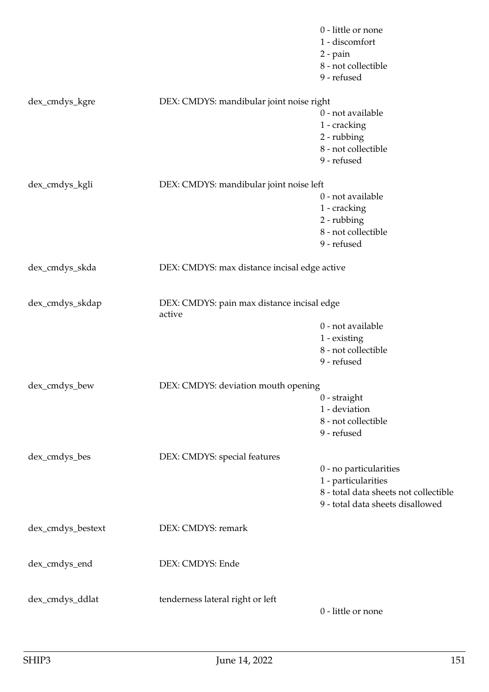|                   |                                                      | 0 - little or none<br>1 - discomfort<br>2 - pain<br>8 - not collectible<br>9 - refused |
|-------------------|------------------------------------------------------|----------------------------------------------------------------------------------------|
| dex_cmdys_kgre    | DEX: CMDYS: mandibular joint noise right             |                                                                                        |
|                   |                                                      | 0 - not available                                                                      |
|                   |                                                      | 1 - cracking                                                                           |
|                   |                                                      | 2 - rubbing                                                                            |
|                   |                                                      | 8 - not collectible                                                                    |
|                   |                                                      | 9 - refused                                                                            |
| dex_cmdys_kgli    | DEX: CMDYS: mandibular joint noise left              |                                                                                        |
|                   |                                                      | 0 - not available                                                                      |
|                   |                                                      | 1 - cracking                                                                           |
|                   |                                                      | 2 - rubbing                                                                            |
|                   |                                                      | 8 - not collectible                                                                    |
|                   |                                                      | 9 - refused                                                                            |
| dex_cmdys_skda    | DEX: CMDYS: max distance incisal edge active         |                                                                                        |
| dex_cmdys_skdap   | DEX: CMDYS: pain max distance incisal edge<br>active |                                                                                        |
|                   |                                                      | 0 - not available                                                                      |
|                   |                                                      | 1 - existing                                                                           |
|                   |                                                      | 8 - not collectible                                                                    |
|                   |                                                      | 9 - refused                                                                            |
|                   |                                                      |                                                                                        |
| dex_cmdys_bew     | DEX: CMDYS: deviation mouth opening                  |                                                                                        |
|                   |                                                      | $0$ - straight<br>1 - deviation                                                        |
|                   |                                                      | 8 - not collectible                                                                    |
|                   |                                                      | 9 - refused                                                                            |
|                   |                                                      |                                                                                        |
| dex_cmdys_bes     | DEX: CMDYS: special features                         |                                                                                        |
|                   |                                                      | 0 - no particularities                                                                 |
|                   |                                                      | 1 - particularities                                                                    |
|                   |                                                      | 8 - total data sheets not collectible                                                  |
|                   |                                                      | 9 - total data sheets disallowed                                                       |
| dex_cmdys_bestext | DEX: CMDYS: remark                                   |                                                                                        |
| dex_cmdys_end     | DEX: CMDYS: Ende                                     |                                                                                        |
|                   |                                                      |                                                                                        |
| dex_cmdys_ddlat   | tenderness lateral right or left                     |                                                                                        |
|                   |                                                      | 0 - little or none                                                                     |
|                   |                                                      |                                                                                        |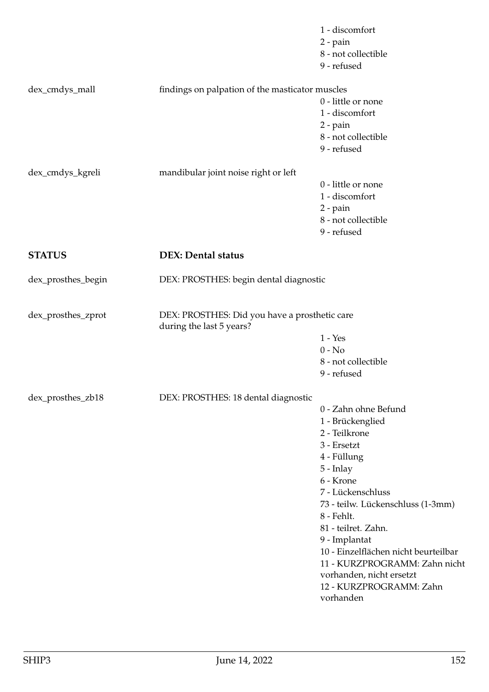|                    |                                                                           | 1 - discomfort<br>2 - pain<br>8 - not collectible<br>9 - refused                                                                                                                                                                                                                                                                                                                 |
|--------------------|---------------------------------------------------------------------------|----------------------------------------------------------------------------------------------------------------------------------------------------------------------------------------------------------------------------------------------------------------------------------------------------------------------------------------------------------------------------------|
| dex_cmdys_mall     | findings on palpation of the masticator muscles                           | 0 - little or none<br>1 - discomfort<br>$2$ - pain<br>8 - not collectible<br>9 - refused                                                                                                                                                                                                                                                                                         |
| dex_cmdys_kgreli   | mandibular joint noise right or left                                      | 0 - little or none<br>1 - discomfort<br>2 - pain<br>8 - not collectible<br>9 - refused                                                                                                                                                                                                                                                                                           |
| <b>STATUS</b>      | <b>DEX: Dental status</b>                                                 |                                                                                                                                                                                                                                                                                                                                                                                  |
| dex_prosthes_begin | DEX: PROSTHES: begin dental diagnostic                                    |                                                                                                                                                                                                                                                                                                                                                                                  |
| dex_prosthes_zprot | DEX: PROSTHES: Did you have a prosthetic care<br>during the last 5 years? | $1 - Yes$<br>$0 - No$<br>8 - not collectible<br>9 - refused                                                                                                                                                                                                                                                                                                                      |
| dex_prosthes_zb18  | DEX: PROSTHES: 18 dental diagnostic                                       | 0 - Zahn ohne Befund<br>1 - Brückenglied<br>2 - Teilkrone<br>3 - Ersetzt<br>4 - Füllung<br>$5$ - Inlay<br>6 - Krone<br>7 - Lückenschluss<br>73 - teilw. Lückenschluss (1-3mm)<br>8 - Fehlt.<br>81 - teilret. Zahn.<br>9 - Implantat<br>10 - Einzelflächen nicht beurteilbar<br>11 - KURZPROGRAMM: Zahn nicht<br>vorhanden, nicht ersetzt<br>12 - KURZPROGRAMM: Zahn<br>vorhanden |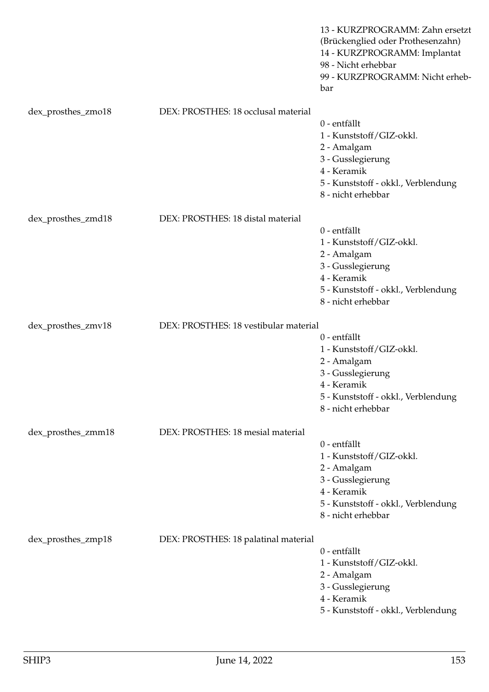|                    |                                       | 13 - KURZPROGRAMM: Zahn ersetzt<br>(Brückenglied oder Prothesenzahn)<br>14 - KURZPROGRAMM: Implantat<br>98 - Nicht erhebbar<br>99 - KURZPROGRAMM: Nicht erheb-<br>bar |
|--------------------|---------------------------------------|-----------------------------------------------------------------------------------------------------------------------------------------------------------------------|
| dex_prosthes_zmo18 | DEX: PROSTHES: 18 occlusal material   | 0 - entfällt<br>1 - Kunststoff/GIZ-okkl.<br>2 - Amalgam<br>3 - Gusslegierung<br>4 - Keramik<br>5 - Kunststoff - okkl., Verblendung<br>8 - nicht erhebbar              |
| dex_prosthes_zmd18 | DEX: PROSTHES: 18 distal material     | 0 - entfällt<br>1 - Kunststoff/GIZ-okkl.<br>2 - Amalgam<br>3 - Gusslegierung<br>4 - Keramik<br>5 - Kunststoff - okkl., Verblendung<br>8 - nicht erhebbar              |
| dex_prosthes_zmv18 | DEX: PROSTHES: 18 vestibular material | 0 - entfällt<br>1 - Kunststoff/GIZ-okkl.<br>2 - Amalgam<br>3 - Gusslegierung<br>4 - Keramik<br>5 - Kunststoff - okkl., Verblendung<br>8 - nicht erhebbar              |
| dex_prosthes_zmm18 | DEX: PROSTHES: 18 mesial material     | 0 - entfällt<br>1 - Kunststoff/GIZ-okkl.<br>2 - Amalgam<br>3 - Gusslegierung<br>4 - Keramik<br>5 - Kunststoff - okkl., Verblendung<br>8 - nicht erhebbar              |
| dex_prosthes_zmp18 | DEX: PROSTHES: 18 palatinal material  | 0 - entfällt<br>1 - Kunststoff/GIZ-okkl.<br>2 - Amalgam<br>3 - Gusslegierung<br>4 - Keramik<br>5 - Kunststoff - okkl., Verblendung                                    |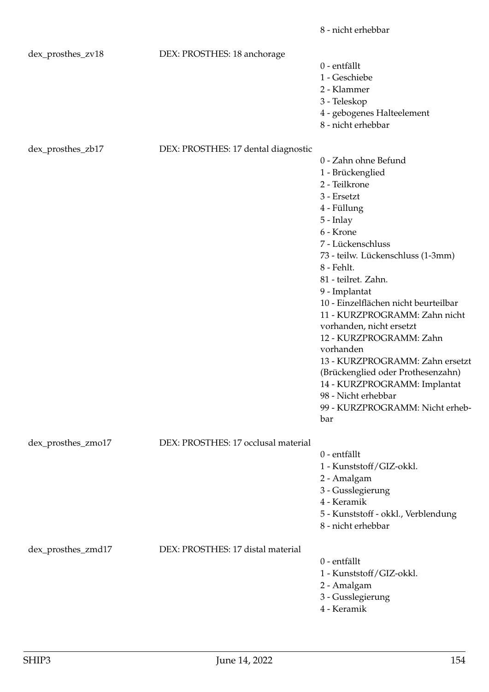|                    |                                     | 8 - nicht erhebbar                                                    |
|--------------------|-------------------------------------|-----------------------------------------------------------------------|
| dex_prosthes_zv18  | DEX: PROSTHES: 18 anchorage         | 0 - entfällt                                                          |
|                    |                                     | 1 - Geschiebe                                                         |
|                    |                                     | 2 - Klammer                                                           |
|                    |                                     | 3 - Teleskop                                                          |
|                    |                                     | 4 - gebogenes Halteelement                                            |
|                    |                                     | 8 - nicht erhebbar                                                    |
| dex_prosthes_zb17  | DEX: PROSTHES: 17 dental diagnostic |                                                                       |
|                    |                                     | 0 - Zahn ohne Befund                                                  |
|                    |                                     | 1 - Brückenglied                                                      |
|                    |                                     | 2 - Teilkrone                                                         |
|                    |                                     | 3 - Ersetzt                                                           |
|                    |                                     | 4 - Füllung                                                           |
|                    |                                     | $5$ - Inlay                                                           |
|                    |                                     | 6 - Krone                                                             |
|                    |                                     | 7 - Lückenschluss                                                     |
|                    |                                     | 73 - teilw. Lückenschluss (1-3mm)                                     |
|                    |                                     | 8 - Fehlt.                                                            |
|                    |                                     | 81 - teilret. Zahn.                                                   |
|                    |                                     | 9 - Implantat                                                         |
|                    |                                     | 10 - Einzelflächen nicht beurteilbar<br>11 - KURZPROGRAMM: Zahn nicht |
|                    |                                     | vorhanden, nicht ersetzt<br>12 - KURZPROGRAMM: Zahn                   |
|                    |                                     | vorhanden                                                             |
|                    |                                     | 13 - KURZPROGRAMM: Zahn ersetzt                                       |
|                    |                                     | (Brückenglied oder Prothesenzahn)<br>14 - KURZPROGRAMM: Implantat     |
|                    |                                     | 98 - Nicht erhebbar                                                   |
|                    |                                     | 99 - KURZPROGRAMM: Nicht erheb-                                       |
|                    |                                     | bar                                                                   |
|                    |                                     |                                                                       |
| dex_prosthes_zmo17 | DEX: PROSTHES: 17 occlusal material |                                                                       |
|                    |                                     | 0 - entfällt                                                          |
|                    |                                     | 1 - Kunststoff/GIZ-okkl.                                              |
|                    |                                     | 2 - Amalgam                                                           |
|                    |                                     | 3 - Gusslegierung                                                     |
|                    |                                     | 4 - Keramik                                                           |
|                    |                                     | 5 - Kunststoff - okkl., Verblendung                                   |
|                    |                                     | 8 - nicht erhebbar                                                    |
| dex_prosthes_zmd17 | DEX: PROSTHES: 17 distal material   |                                                                       |
|                    |                                     | 0 - entfällt                                                          |
|                    |                                     | 1 - Kunststoff/GIZ-okkl.                                              |
|                    |                                     | 2 - Amalgam                                                           |
|                    |                                     | 3 - Gusslegierung                                                     |
|                    |                                     | 4 - Keramik                                                           |
|                    |                                     |                                                                       |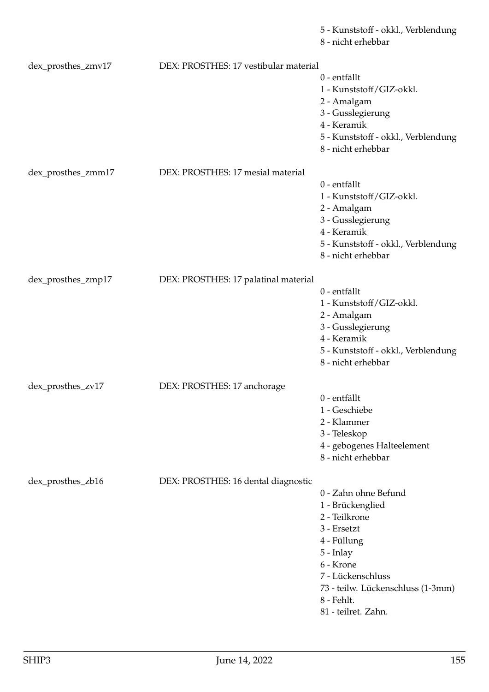5 - Kunststoff - okkl., Verblendung

8 - nicht erhebbar

| dex_prosthes_zmv17 | DEX: PROSTHES: 17 vestibular material |                                     |
|--------------------|---------------------------------------|-------------------------------------|
|                    |                                       | 0 - entfällt                        |
|                    |                                       | 1 - Kunststoff/GIZ-okkl.            |
|                    |                                       | 2 - Amalgam                         |
|                    |                                       | 3 - Gusslegierung                   |
|                    |                                       |                                     |
|                    |                                       | 4 - Keramik                         |
|                    |                                       | 5 - Kunststoff - okkl., Verblendung |
|                    |                                       | 8 - nicht erhebbar                  |
|                    |                                       |                                     |
| dex_prosthes_zmm17 | DEX: PROSTHES: 17 mesial material     |                                     |
|                    |                                       | 0 - entfällt                        |
|                    |                                       | 1 - Kunststoff/GIZ-okkl.            |
|                    |                                       | 2 - Amalgam                         |
|                    |                                       | 3 - Gusslegierung                   |
|                    |                                       | 4 - Keramik                         |
|                    |                                       | 5 - Kunststoff - okkl., Verblendung |
|                    |                                       | 8 - nicht erhebbar                  |
|                    |                                       |                                     |
| dex_prosthes_zmp17 | DEX: PROSTHES: 17 palatinal material  |                                     |
|                    |                                       | 0 - entfällt                        |
|                    |                                       | 1 - Kunststoff/GIZ-okkl.            |
|                    |                                       |                                     |
|                    |                                       | 2 - Amalgam                         |
|                    |                                       | 3 - Gusslegierung                   |
|                    |                                       | 4 - Keramik                         |
|                    |                                       | 5 - Kunststoff - okkl., Verblendung |
|                    |                                       | 8 - nicht erhebbar                  |
|                    |                                       |                                     |
| dex_prosthes_zv17  | DEX: PROSTHES: 17 anchorage           |                                     |
|                    |                                       | 0 - entfällt                        |
|                    |                                       | 1 - Geschiebe                       |
|                    |                                       | 2 - Klammer                         |
|                    |                                       | 3 - Teleskop                        |
|                    |                                       | 4 - gebogenes Halteelement          |
|                    |                                       | 8 - nicht erhebbar                  |
|                    |                                       |                                     |
| dex_prosthes_zb16  | DEX: PROSTHES: 16 dental diagnostic   |                                     |
|                    |                                       | 0 - Zahn ohne Befund                |
|                    |                                       | 1 - Brückenglied                    |
|                    |                                       | 2 - Teilkrone                       |
|                    |                                       |                                     |
|                    |                                       | 3 - Ersetzt                         |
|                    |                                       | 4 - Füllung                         |
|                    |                                       | 5 - Inlay                           |
|                    |                                       | 6 - Krone                           |
|                    |                                       | 7 - Lückenschluss                   |
|                    |                                       | 73 - teilw. Lückenschluss (1-3mm)   |
|                    |                                       | 8 - Fehlt.                          |
|                    |                                       | 81 - teilret. Zahn.                 |
|                    |                                       |                                     |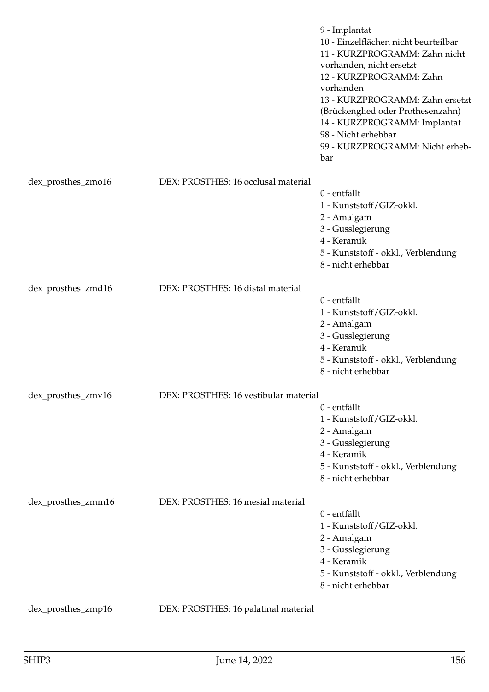|                    |                                       | 9 - Implantat<br>10 - Einzelflächen nicht beurteilbar<br>11 - KURZPROGRAMM: Zahn nicht<br>vorhanden, nicht ersetzt<br>12 - KURZPROGRAMM: Zahn<br>vorhanden<br>13 - KURZPROGRAMM: Zahn ersetzt<br>(Brückenglied oder Prothesenzahn)<br>14 - KURZPROGRAMM: Implantat<br>98 - Nicht erhebbar<br>99 - KURZPROGRAMM: Nicht erheb-<br>bar |
|--------------------|---------------------------------------|-------------------------------------------------------------------------------------------------------------------------------------------------------------------------------------------------------------------------------------------------------------------------------------------------------------------------------------|
| dex_prosthes_zmo16 | DEX: PROSTHES: 16 occlusal material   |                                                                                                                                                                                                                                                                                                                                     |
|                    |                                       | 0 - entfällt<br>1 - Kunststoff/GIZ-okkl.<br>2 - Amalgam<br>3 - Gusslegierung<br>4 - Keramik<br>5 - Kunststoff - okkl., Verblendung<br>8 - nicht erhebbar                                                                                                                                                                            |
| dex_prosthes_zmd16 | DEX: PROSTHES: 16 distal material     | 0 - entfällt<br>1 - Kunststoff/GIZ-okkl.<br>2 - Amalgam<br>3 - Gusslegierung<br>4 - Keramik<br>5 - Kunststoff - okkl., Verblendung<br>8 - nicht erhebbar                                                                                                                                                                            |
| dex_prosthes_zmv16 | DEX: PROSTHES: 16 vestibular material |                                                                                                                                                                                                                                                                                                                                     |
|                    |                                       | 0 - entfällt<br>1 - Kunststoff/GIZ-okkl.<br>2 - Amalgam<br>3 - Gusslegierung<br>4 - Keramik<br>5 - Kunststoff - okkl., Verblendung<br>8 - nicht erhebbar                                                                                                                                                                            |
| dex_prosthes_zmm16 | DEX: PROSTHES: 16 mesial material     | 0 - entfällt<br>1 - Kunststoff/GIZ-okkl.<br>2 - Amalgam<br>3 - Gusslegierung<br>4 - Keramik<br>5 - Kunststoff - okkl., Verblendung<br>8 - nicht erhebbar                                                                                                                                                                            |
| dex_prosthes_zmp16 | DEX: PROSTHES: 16 palatinal material  |                                                                                                                                                                                                                                                                                                                                     |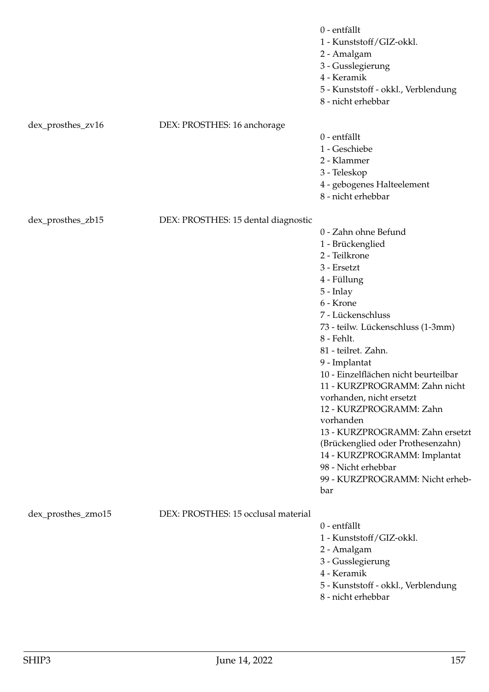|                    |                                     | 0 - entfällt<br>1 - Kunststoff/GIZ-okkl.<br>2 - Amalgam<br>3 - Gusslegierung<br>4 - Keramik<br>5 - Kunststoff - okkl., Verblendung<br>8 - nicht erhebbar                                                                                                                                                                                                                                                                                                                                                                                                  |
|--------------------|-------------------------------------|-----------------------------------------------------------------------------------------------------------------------------------------------------------------------------------------------------------------------------------------------------------------------------------------------------------------------------------------------------------------------------------------------------------------------------------------------------------------------------------------------------------------------------------------------------------|
| dex_prosthes_zv16  | DEX: PROSTHES: 16 anchorage         | 0 - entfällt<br>1 - Geschiebe<br>2 - Klammer<br>3 - Teleskop<br>4 - gebogenes Halteelement<br>8 - nicht erhebbar                                                                                                                                                                                                                                                                                                                                                                                                                                          |
| dex_prosthes_zb15  | DEX: PROSTHES: 15 dental diagnostic | 0 - Zahn ohne Befund<br>1 - Brückenglied<br>2 - Teilkrone<br>3 - Ersetzt<br>4 - Füllung<br>$5$ - Inlay<br>6 - Krone<br>7 - Lückenschluss<br>73 - teilw. Lückenschluss (1-3mm)<br>8 - Fehlt.<br>81 - teilret. Zahn.<br>9 - Implantat<br>10 - Einzelflächen nicht beurteilbar<br>11 - KURZPROGRAMM: Zahn nicht<br>vorhanden, nicht ersetzt<br>12 - KURZPROGRAMM: Zahn<br>vorhanden<br>13 - KURZPROGRAMM: Zahn ersetzt<br>(Brückenglied oder Prothesenzahn)<br>14 - KURZPROGRAMM: Implantat<br>98 - Nicht erhebbar<br>99 - KURZPROGRAMM: Nicht erheb-<br>bar |
| dex_prosthes_zmo15 | DEX: PROSTHES: 15 occlusal material | 0 - entfällt<br>1 - Kunststoff/GIZ-okkl.<br>2 - Amalgam<br>3 - Gusslegierung<br>4 - Keramik<br>5 - Kunststoff - okkl., Verblendung<br>8 - nicht erhebbar                                                                                                                                                                                                                                                                                                                                                                                                  |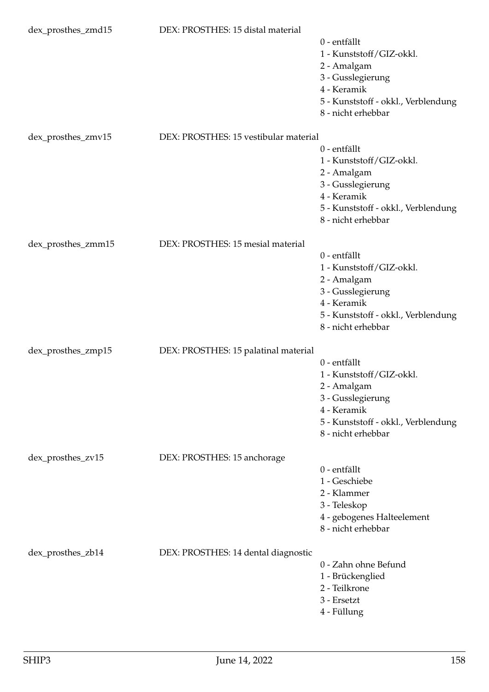| dex_prosthes_zmd15 | DEX: PROSTHES: 15 distal material     | 0 - entfällt                                              |
|--------------------|---------------------------------------|-----------------------------------------------------------|
|                    |                                       | 1 - Kunststoff/GIZ-okkl.                                  |
|                    |                                       | 2 - Amalgam                                               |
|                    |                                       | 3 - Gusslegierung<br>4 - Keramik                          |
|                    |                                       | 5 - Kunststoff - okkl., Verblendung                       |
|                    |                                       | 8 - nicht erhebbar                                        |
| dex_prosthes_zmv15 | DEX: PROSTHES: 15 vestibular material |                                                           |
|                    |                                       | 0 - entfällt<br>1 - Kunststoff/GIZ-okkl.                  |
|                    |                                       | 2 - Amalgam                                               |
|                    |                                       | 3 - Gusslegierung                                         |
|                    |                                       | 4 - Keramik                                               |
|                    |                                       | 5 - Kunststoff - okkl., Verblendung<br>8 - nicht erhebbar |
|                    |                                       |                                                           |
| dex_prosthes_zmm15 | DEX: PROSTHES: 15 mesial material     | 0 - entfällt                                              |
|                    |                                       | 1 - Kunststoff/GIZ-okkl.                                  |
|                    |                                       | 2 - Amalgam                                               |
|                    |                                       | 3 - Gusslegierung<br>4 - Keramik                          |
|                    |                                       | 5 - Kunststoff - okkl., Verblendung                       |
|                    |                                       | 8 - nicht erhebbar                                        |
| dex_prosthes_zmp15 | DEX: PROSTHES: 15 palatinal material  |                                                           |
|                    |                                       | 0 - entfällt                                              |
|                    |                                       | 1 - Kunststoff/GIZ-okkl.                                  |
|                    |                                       | 2 - Amalgam<br>3 - Gusslegierung                          |
|                    |                                       | 4 - Keramik                                               |
|                    |                                       | 5 - Kunststoff - okkl., Verblendung                       |
|                    |                                       | 8 - nicht erhebbar                                        |
| dex_prosthes_zv15  | DEX: PROSTHES: 15 anchorage           |                                                           |
|                    |                                       | 0 - entfällt<br>1 - Geschiebe                             |
|                    |                                       | 2 - Klammer                                               |
|                    |                                       | 3 - Teleskop                                              |
|                    |                                       | 4 - gebogenes Halteelement<br>8 - nicht erhebbar          |
| dex_prosthes_zb14  | DEX: PROSTHES: 14 dental diagnostic   |                                                           |
|                    |                                       | 0 - Zahn ohne Befund                                      |
|                    |                                       | 1 - Brückenglied                                          |
|                    |                                       | 2 - Teilkrone                                             |
|                    |                                       | 3 - Ersetzt<br>4 - Füllung                                |
|                    |                                       |                                                           |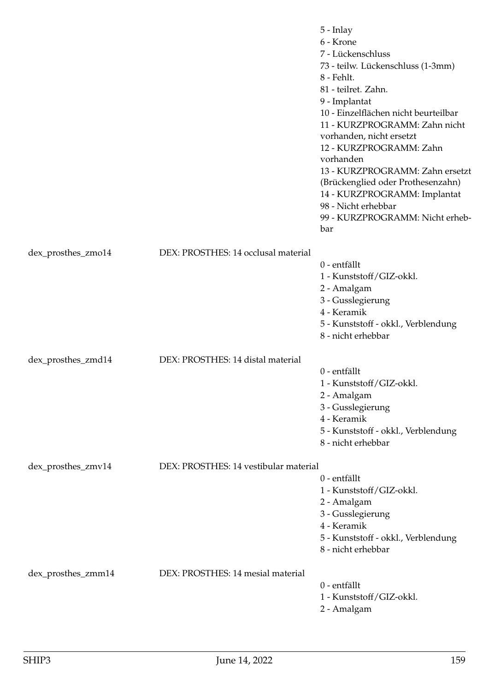|                    |                                       | 5 - Inlay<br>6 - Krone<br>7 - Lückenschluss<br>73 - teilw. Lückenschluss (1-3mm)<br>8 - Fehlt.<br>81 - teilret. Zahn.<br>9 - Implantat<br>10 - Einzelflächen nicht beurteilbar<br>11 - KURZPROGRAMM: Zahn nicht<br>vorhanden, nicht ersetzt<br>12 - KURZPROGRAMM: Zahn<br>vorhanden<br>13 - KURZPROGRAMM: Zahn ersetzt<br>(Brückenglied oder Prothesenzahn)<br>14 - KURZPROGRAMM: Implantat<br>98 - Nicht erhebbar<br>99 - KURZPROGRAMM: Nicht erheb-<br>bar |
|--------------------|---------------------------------------|--------------------------------------------------------------------------------------------------------------------------------------------------------------------------------------------------------------------------------------------------------------------------------------------------------------------------------------------------------------------------------------------------------------------------------------------------------------|
| dex_prosthes_zmo14 | DEX: PROSTHES: 14 occlusal material   | 0 - entfällt<br>1 - Kunststoff/GIZ-okkl.<br>2 - Amalgam<br>3 - Gusslegierung<br>4 - Keramik                                                                                                                                                                                                                                                                                                                                                                  |
|                    |                                       | 5 - Kunststoff - okkl., Verblendung<br>8 - nicht erhebbar                                                                                                                                                                                                                                                                                                                                                                                                    |
| dex_prosthes_zmd14 | DEX: PROSTHES: 14 distal material     | 0 - entfällt<br>1 - Kunststoff/GIZ-okkl.<br>2 - Amalgam<br>3 - Gusslegierung<br>4 - Keramik<br>5 - Kunststoff - okkl., Verblendung<br>8 - nicht erhebbar                                                                                                                                                                                                                                                                                                     |
| dex_prosthes_zmv14 | DEX: PROSTHES: 14 vestibular material |                                                                                                                                                                                                                                                                                                                                                                                                                                                              |
|                    |                                       | 0 - entfällt<br>1 - Kunststoff/GIZ-okkl.<br>2 - Amalgam<br>3 - Gusslegierung<br>4 - Keramik<br>5 - Kunststoff - okkl., Verblendung<br>8 - nicht erhebbar                                                                                                                                                                                                                                                                                                     |
| dex_prosthes_zmm14 | DEX: PROSTHES: 14 mesial material     | 0 - entfällt<br>1 - Kunststoff/GIZ-okkl.<br>2 - Amalgam                                                                                                                                                                                                                                                                                                                                                                                                      |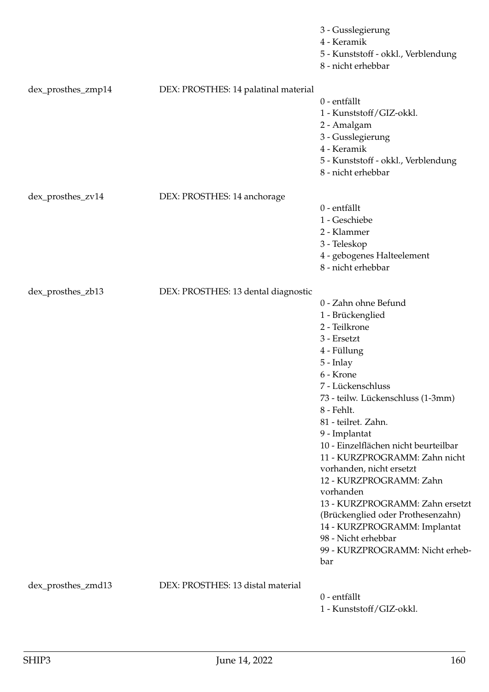|                    |                                      | 3 - Gusslegierung<br>4 - Keramik<br>5 - Kunststoff - okkl., Verblendung<br>8 - nicht erhebbar                                                                                                                                                                                                                                                                                                                                                                                                                                                           |
|--------------------|--------------------------------------|---------------------------------------------------------------------------------------------------------------------------------------------------------------------------------------------------------------------------------------------------------------------------------------------------------------------------------------------------------------------------------------------------------------------------------------------------------------------------------------------------------------------------------------------------------|
| dex_prosthes_zmp14 | DEX: PROSTHES: 14 palatinal material | 0 - entfällt<br>1 - Kunststoff/GIZ-okkl.<br>2 - Amalgam<br>3 - Gusslegierung<br>4 - Keramik<br>5 - Kunststoff - okkl., Verblendung<br>8 - nicht erhebbar                                                                                                                                                                                                                                                                                                                                                                                                |
| dex_prosthes_zv14  | DEX: PROSTHES: 14 anchorage          | 0 - entfällt<br>1 - Geschiebe<br>2 - Klammer<br>3 - Teleskop<br>4 - gebogenes Halteelement<br>8 - nicht erhebbar                                                                                                                                                                                                                                                                                                                                                                                                                                        |
| dex_prosthes_zb13  | DEX: PROSTHES: 13 dental diagnostic  | 0 - Zahn ohne Befund<br>1 - Brückenglied<br>2 - Teilkrone<br>3 - Ersetzt<br>4 - Füllung<br>5 - Inlay<br>6 - Krone<br>7 - Lückenschluss<br>73 - teilw. Lückenschluss (1-3mm)<br>8 - Fehlt.<br>81 - teilret. Zahn.<br>9 - Implantat<br>10 - Einzelflächen nicht beurteilbar<br>11 - KURZPROGRAMM: Zahn nicht<br>vorhanden, nicht ersetzt<br>12 - KURZPROGRAMM: Zahn<br>vorhanden<br>13 - KURZPROGRAMM: Zahn ersetzt<br>(Brückenglied oder Prothesenzahn)<br>14 - KURZPROGRAMM: Implantat<br>98 - Nicht erhebbar<br>99 - KURZPROGRAMM: Nicht erheb-<br>bar |
| dex_prosthes_zmd13 | DEX: PROSTHES: 13 distal material    | 0 - entfällt<br>1 - Kunststoff/GIZ-okkl.                                                                                                                                                                                                                                                                                                                                                                                                                                                                                                                |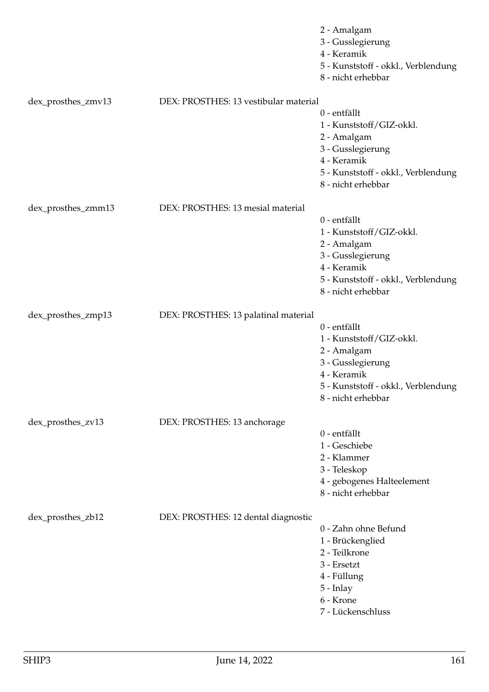|                    |                                       | 2 - Amalgam<br>3 - Gusslegierung<br>4 - Keramik<br>5 - Kunststoff - okkl., Verblendung<br>8 - nicht erhebbar                                             |
|--------------------|---------------------------------------|----------------------------------------------------------------------------------------------------------------------------------------------------------|
| dex_prosthes_zmv13 | DEX: PROSTHES: 13 vestibular material |                                                                                                                                                          |
|                    |                                       | 0 - entfällt<br>1 - Kunststoff/GIZ-okkl.<br>2 - Amalgam<br>3 - Gusslegierung<br>4 - Keramik<br>5 - Kunststoff - okkl., Verblendung<br>8 - nicht erhebbar |
| dex_prosthes_zmm13 | DEX: PROSTHES: 13 mesial material     |                                                                                                                                                          |
|                    |                                       | 0 - entfällt<br>1 - Kunststoff/GIZ-okkl.<br>2 - Amalgam<br>3 - Gusslegierung<br>4 - Keramik<br>5 - Kunststoff - okkl., Verblendung<br>8 - nicht erhebbar |
| dex_prosthes_zmp13 | DEX: PROSTHES: 13 palatinal material  | 0 - entfällt<br>1 - Kunststoff/GIZ-okkl.<br>2 - Amalgam<br>3 - Gusslegierung<br>4 - Keramik<br>5 - Kunststoff - okkl., Verblendung<br>8 - nicht erhebbar |
| dex_prosthes_zv13  | DEX: PROSTHES: 13 anchorage           |                                                                                                                                                          |
|                    |                                       | 0 - entfällt<br>1 - Geschiebe<br>2 - Klammer<br>3 - Teleskop<br>4 - gebogenes Halteelement<br>8 - nicht erhebbar                                         |
| dex_prosthes_zb12  | DEX: PROSTHES: 12 dental diagnostic   | 0 - Zahn ohne Befund<br>1 - Brückenglied<br>2 - Teilkrone<br>3 - Ersetzt<br>4 - Füllung<br>5 - Inlay<br>6 - Krone<br>7 - Lückenschluss                   |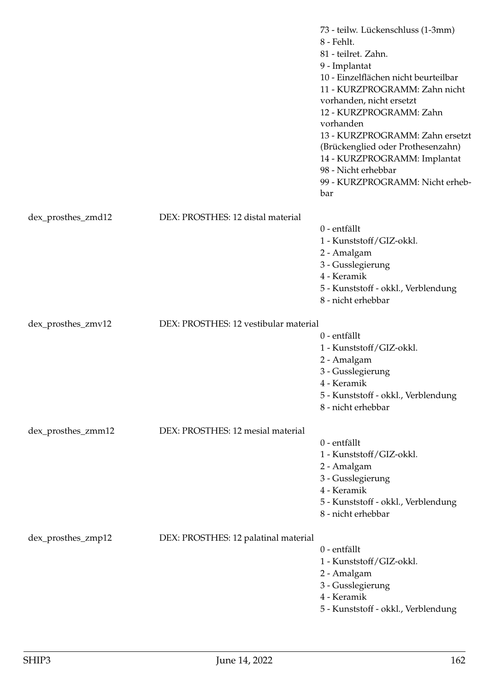|                    |                                       | 73 - teilw. Lückenschluss (1-3mm)<br>8 - Fehlt.<br>81 - teilret. Zahn.<br>9 - Implantat<br>10 - Einzelflächen nicht beurteilbar<br>11 - KURZPROGRAMM: Zahn nicht<br>vorhanden, nicht ersetzt<br>12 - KURZPROGRAMM: Zahn<br>vorhanden<br>13 - KURZPROGRAMM: Zahn ersetzt<br>(Brückenglied oder Prothesenzahn)<br>14 - KURZPROGRAMM: Implantat<br>98 - Nicht erhebbar<br>99 - KURZPROGRAMM: Nicht erheb-<br>bar |
|--------------------|---------------------------------------|---------------------------------------------------------------------------------------------------------------------------------------------------------------------------------------------------------------------------------------------------------------------------------------------------------------------------------------------------------------------------------------------------------------|
| dex_prosthes_zmd12 | DEX: PROSTHES: 12 distal material     |                                                                                                                                                                                                                                                                                                                                                                                                               |
|                    |                                       | 0 - entfällt<br>1 - Kunststoff/GIZ-okkl.<br>2 - Amalgam<br>3 - Gusslegierung<br>4 - Keramik<br>5 - Kunststoff - okkl., Verblendung<br>8 - nicht erhebbar                                                                                                                                                                                                                                                      |
| dex_prosthes_zmv12 | DEX: PROSTHES: 12 vestibular material |                                                                                                                                                                                                                                                                                                                                                                                                               |
|                    |                                       | 0 - entfällt<br>1 - Kunststoff/GIZ-okkl.<br>2 - Amalgam<br>3 - Gusslegierung<br>4 - Keramik<br>5 - Kunststoff - okkl., Verblendung<br>8 - nicht erhebbar                                                                                                                                                                                                                                                      |
| dex_prosthes_zmm12 | DEX: PROSTHES: 12 mesial material     |                                                                                                                                                                                                                                                                                                                                                                                                               |
|                    |                                       | 0 - entfällt<br>1 - Kunststoff/GIZ-okkl.<br>2 - Amalgam<br>3 - Gusslegierung<br>4 - Keramik<br>5 - Kunststoff - okkl., Verblendung<br>8 - nicht erhebbar                                                                                                                                                                                                                                                      |
| dex_prosthes_zmp12 | DEX: PROSTHES: 12 palatinal material  | 0 - entfällt<br>1 - Kunststoff/GIZ-okkl.<br>2 - Amalgam<br>3 - Gusslegierung<br>4 - Keramik<br>5 - Kunststoff - okkl., Verblendung                                                                                                                                                                                                                                                                            |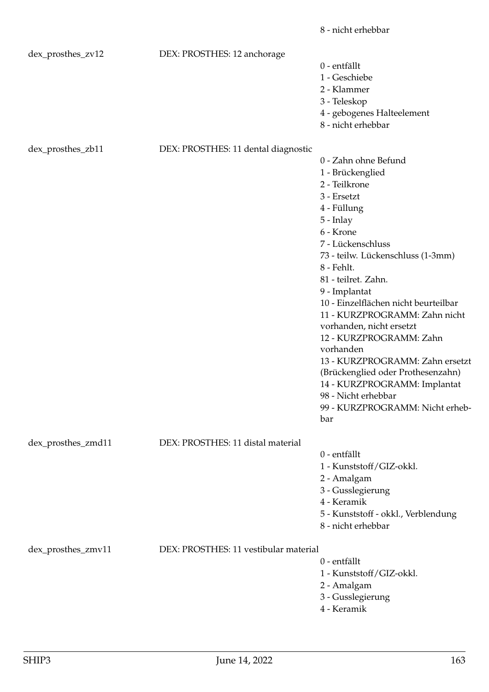|                    |                                       | 8 - nicht erhebbar                                                                                                                                                                                                                                                                                                                                                                                                                                                                                                                                        |
|--------------------|---------------------------------------|-----------------------------------------------------------------------------------------------------------------------------------------------------------------------------------------------------------------------------------------------------------------------------------------------------------------------------------------------------------------------------------------------------------------------------------------------------------------------------------------------------------------------------------------------------------|
| dex_prosthes_zv12  | DEX: PROSTHES: 12 anchorage           | 0 - entfällt<br>1 - Geschiebe<br>2 - Klammer<br>3 - Teleskop<br>4 - gebogenes Halteelement<br>8 - nicht erhebbar                                                                                                                                                                                                                                                                                                                                                                                                                                          |
| dex_prosthes_zb11  | DEX: PROSTHES: 11 dental diagnostic   | 0 - Zahn ohne Befund<br>1 - Brückenglied<br>2 - Teilkrone<br>3 - Ersetzt<br>4 - Füllung<br>$5$ - Inlay<br>6 - Krone<br>7 - Lückenschluss<br>73 - teilw. Lückenschluss (1-3mm)<br>8 - Fehlt.<br>81 - teilret. Zahn.<br>9 - Implantat<br>10 - Einzelflächen nicht beurteilbar<br>11 - KURZPROGRAMM: Zahn nicht<br>vorhanden, nicht ersetzt<br>12 - KURZPROGRAMM: Zahn<br>vorhanden<br>13 - KURZPROGRAMM: Zahn ersetzt<br>(Brückenglied oder Prothesenzahn)<br>14 - KURZPROGRAMM: Implantat<br>98 - Nicht erhebbar<br>99 - KURZPROGRAMM: Nicht erheb-<br>bar |
| dex_prosthes_zmd11 | DEX: PROSTHES: 11 distal material     | 0 - entfällt<br>1 - Kunststoff/GIZ-okkl.<br>2 - Amalgam<br>3 - Gusslegierung<br>4 - Keramik<br>5 - Kunststoff - okkl., Verblendung<br>8 - nicht erhebbar                                                                                                                                                                                                                                                                                                                                                                                                  |
| dex_prosthes_zmv11 | DEX: PROSTHES: 11 vestibular material | 0 - entfällt<br>1 - Kunststoff/GIZ-okkl.<br>2 - Amalgam<br>3 - Gusslegierung<br>4 - Keramik                                                                                                                                                                                                                                                                                                                                                                                                                                                               |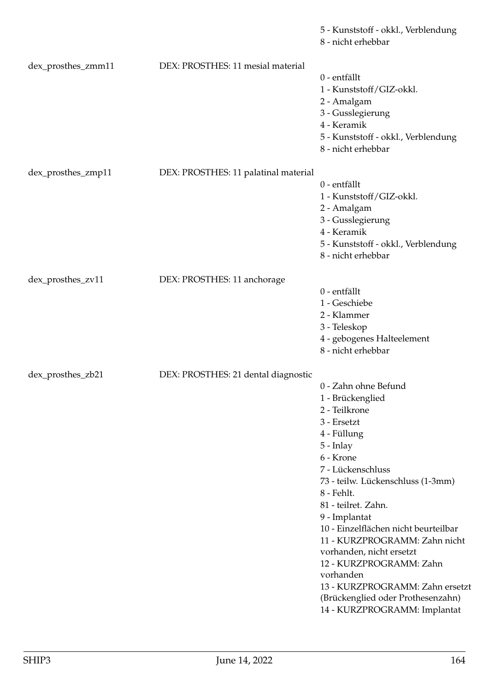|                    |                                      | 5 - Kunststoff - okkl., Verblendung<br>8 - nicht erhebbar                                                                                                                                                                                                                                                                                                                                                                                                                                |
|--------------------|--------------------------------------|------------------------------------------------------------------------------------------------------------------------------------------------------------------------------------------------------------------------------------------------------------------------------------------------------------------------------------------------------------------------------------------------------------------------------------------------------------------------------------------|
| dex_prosthes_zmm11 | DEX: PROSTHES: 11 mesial material    | 0 - entfällt<br>1 - Kunststoff/GIZ-okkl.<br>2 - Amalgam<br>3 - Gusslegierung<br>4 - Keramik<br>5 - Kunststoff - okkl., Verblendung<br>8 - nicht erhebbar                                                                                                                                                                                                                                                                                                                                 |
| dex_prosthes_zmp11 | DEX: PROSTHES: 11 palatinal material | 0 - entfällt<br>1 - Kunststoff/GIZ-okkl.<br>2 - Amalgam<br>3 - Gusslegierung<br>4 - Keramik<br>5 - Kunststoff - okkl., Verblendung<br>8 - nicht erhebbar                                                                                                                                                                                                                                                                                                                                 |
| dex_prosthes_zv11  | DEX: PROSTHES: 11 anchorage          | 0 - entfällt<br>1 - Geschiebe<br>2 - Klammer<br>3 - Teleskop<br>4 - gebogenes Halteelement<br>8 - nicht erhebbar                                                                                                                                                                                                                                                                                                                                                                         |
| dex_prosthes_zb21  | DEX: PROSTHES: 21 dental diagnostic  | 0 - Zahn ohne Befund<br>1 - Brückenglied<br>2 - Teilkrone<br>3 - Ersetzt<br>4 - Füllung<br>$5$ - Inlay<br>6 - Krone<br>7 - Lückenschluss<br>73 - teilw. Lückenschluss (1-3mm)<br>8 - Fehlt.<br>81 - teilret. Zahn.<br>9 - Implantat<br>10 - Einzelflächen nicht beurteilbar<br>11 - KURZPROGRAMM: Zahn nicht<br>vorhanden, nicht ersetzt<br>12 - KURZPROGRAMM: Zahn<br>vorhanden<br>13 - KURZPROGRAMM: Zahn ersetzt<br>(Brückenglied oder Prothesenzahn)<br>14 - KURZPROGRAMM: Implantat |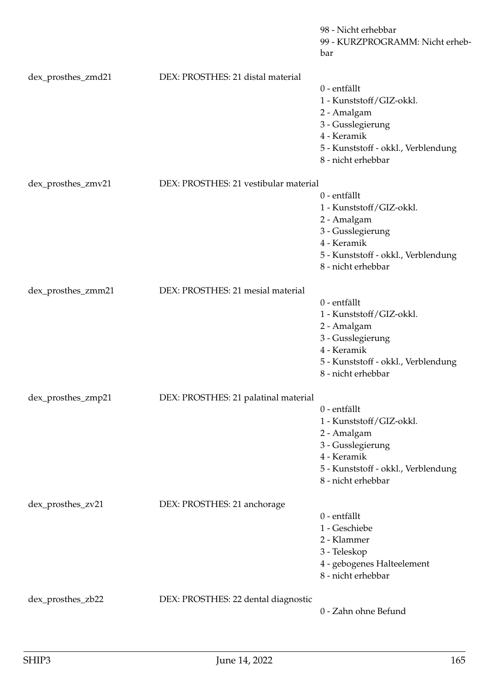|                    |                                       | 98 - Nicht erhebbar<br>99 - KURZPROGRAMM: Nicht erheb-<br>bar                                                                                            |
|--------------------|---------------------------------------|----------------------------------------------------------------------------------------------------------------------------------------------------------|
| dex_prosthes_zmd21 | DEX: PROSTHES: 21 distal material     |                                                                                                                                                          |
|                    |                                       | 0 - entfällt<br>1 - Kunststoff/GIZ-okkl.<br>2 - Amalgam<br>3 - Gusslegierung<br>4 - Keramik<br>5 - Kunststoff - okkl., Verblendung                       |
|                    |                                       | 8 - nicht erhebbar                                                                                                                                       |
| dex_prosthes_zmv21 | DEX: PROSTHES: 21 vestibular material | 0 - entfällt<br>1 - Kunststoff/GIZ-okkl.<br>2 - Amalgam<br>3 - Gusslegierung                                                                             |
|                    |                                       | 4 - Keramik<br>5 - Kunststoff - okkl., Verblendung<br>8 - nicht erhebbar                                                                                 |
| dex_prosthes_zmm21 | DEX: PROSTHES: 21 mesial material     | 0 - entfällt<br>1 - Kunststoff/GIZ-okkl.<br>2 - Amalgam<br>3 - Gusslegierung<br>4 - Keramik<br>5 - Kunststoff - okkl., Verblendung<br>8 - nicht erhebbar |
| dex_prosthes_zmp21 | DEX: PROSTHES: 21 palatinal material  |                                                                                                                                                          |
|                    |                                       | 0 - entfällt<br>1 - Kunststoff/GIZ-okkl.<br>2 - Amalgam<br>3 - Gusslegierung<br>4 - Keramik<br>5 - Kunststoff - okkl., Verblendung<br>8 - nicht erhebbar |
| dex_prosthes_zv21  | DEX: PROSTHES: 21 anchorage           | 0 - entfällt<br>1 - Geschiebe<br>2 - Klammer<br>3 - Teleskop<br>4 - gebogenes Halteelement<br>8 - nicht erhebbar                                         |
| dex_prosthes_zb22  | DEX: PROSTHES: 22 dental diagnostic   | 0 - Zahn ohne Befund                                                                                                                                     |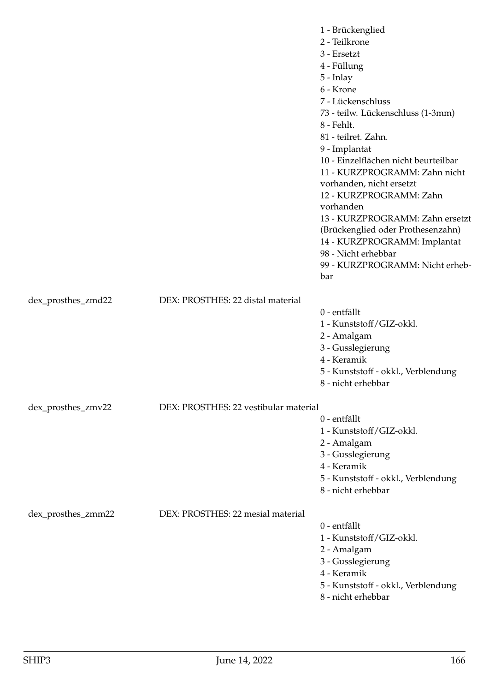|                    |                                       | 1 - Brückenglied<br>2 - Teilkrone<br>3 - Ersetzt<br>4 - Füllung<br>5 - Inlay<br>6 - Krone<br>7 - Lückenschluss<br>73 - teilw. Lückenschluss (1-3mm)<br>8 - Fehlt.<br>81 - teilret. Zahn.<br>9 - Implantat<br>10 - Einzelflächen nicht beurteilbar<br>11 - KURZPROGRAMM: Zahn nicht<br>vorhanden, nicht ersetzt<br>12 - KURZPROGRAMM: Zahn<br>vorhanden<br>13 - KURZPROGRAMM: Zahn ersetzt<br>(Brückenglied oder Prothesenzahn)<br>14 - KURZPROGRAMM: Implantat<br>98 - Nicht erhebbar<br>99 - KURZPROGRAMM: Nicht erheb- |
|--------------------|---------------------------------------|--------------------------------------------------------------------------------------------------------------------------------------------------------------------------------------------------------------------------------------------------------------------------------------------------------------------------------------------------------------------------------------------------------------------------------------------------------------------------------------------------------------------------|
|                    |                                       | bar                                                                                                                                                                                                                                                                                                                                                                                                                                                                                                                      |
| dex_prosthes_zmd22 | DEX: PROSTHES: 22 distal material     | 0 - entfällt<br>1 - Kunststoff/GIZ-okkl.<br>2 - Amalgam<br>3 - Gusslegierung<br>4 - Keramik<br>5 - Kunststoff - okkl., Verblendung<br>8 - nicht erhebbar                                                                                                                                                                                                                                                                                                                                                                 |
| dex_prosthes_zmv22 | DEX: PROSTHES: 22 vestibular material | 0 - entfällt<br>1 - Kunststoff/GIZ-okkl.<br>2 - Amalgam<br>3 - Gusslegierung<br>4 - Keramik<br>5 - Kunststoff - okkl., Verblendung<br>8 - nicht erhebbar                                                                                                                                                                                                                                                                                                                                                                 |
| dex_prosthes_zmm22 | DEX: PROSTHES: 22 mesial material     | 0 - entfällt<br>1 - Kunststoff/GIZ-okkl.<br>2 - Amalgam<br>3 - Gusslegierung<br>4 - Keramik<br>5 - Kunststoff - okkl., Verblendung<br>8 - nicht erhebbar                                                                                                                                                                                                                                                                                                                                                                 |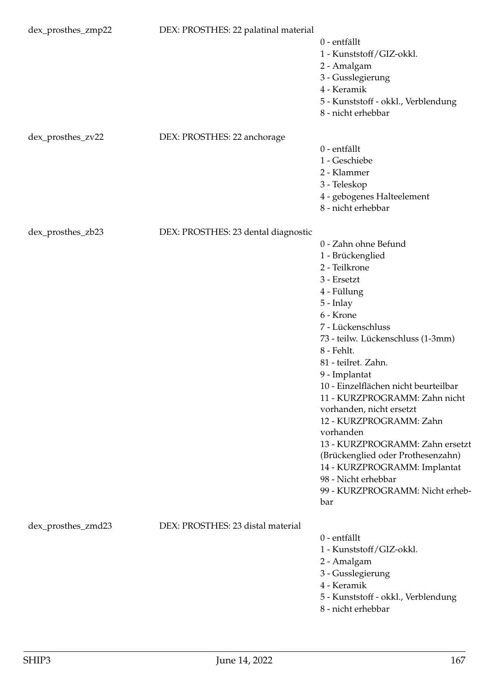| dex_prosthes_zmp22 | DEX: PROSTHES: 22 palatinal material | 0 - entfällt<br>1 - Kunststoff/GIZ-okkl.<br>2 - Amalgam<br>3 - Gusslegierung<br>4 - Keramik<br>5 - Kunststoff - okkl., Verblendung<br>8 - nicht erhebbar                                                                                                                                                                                                                                                                                                                                                                                                |
|--------------------|--------------------------------------|---------------------------------------------------------------------------------------------------------------------------------------------------------------------------------------------------------------------------------------------------------------------------------------------------------------------------------------------------------------------------------------------------------------------------------------------------------------------------------------------------------------------------------------------------------|
| dex_prosthes_zv22  | DEX: PROSTHES: 22 anchorage          | 0 - entfällt<br>1 - Geschiebe<br>2 - Klammer<br>3 - Teleskop<br>4 - gebogenes Halteelement<br>8 - nicht erhebbar                                                                                                                                                                                                                                                                                                                                                                                                                                        |
| dex_prosthes_zb23  | DEX: PROSTHES: 23 dental diagnostic  | 0 - Zahn ohne Befund<br>1 - Brückenglied<br>2 - Teilkrone<br>3 - Ersetzt<br>4 - Füllung<br>5 - Inlay<br>6 - Krone<br>7 - Lückenschluss<br>73 - teilw. Lückenschluss (1-3mm)<br>8 - Fehlt.<br>81 - teilret. Zahn.<br>9 - Implantat<br>10 - Einzelflächen nicht beurteilbar<br>11 - KURZPROGRAMM: Zahn nicht<br>vorhanden, nicht ersetzt<br>12 - KURZPROGRAMM: Zahn<br>vorhanden<br>13 - KURZPROGRAMM: Zahn ersetzt<br>(Brückenglied oder Prothesenzahn)<br>14 - KURZPROGRAMM: Implantat<br>98 - Nicht erhebbar<br>99 - KURZPROGRAMM: Nicht erheb-<br>bar |
| dex_prosthes_zmd23 | DEX: PROSTHES: 23 distal material    | 0 - entfällt<br>1 - Kunststoff/GIZ-okkl.<br>2 - Amalgam<br>3 - Gusslegierung<br>4 - Keramik<br>5 - Kunststoff - okkl., Verblendung<br>8 - nicht erhebbar                                                                                                                                                                                                                                                                                                                                                                                                |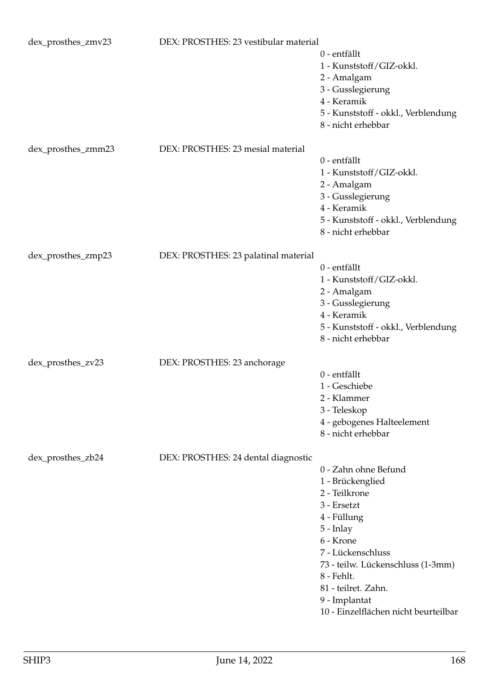| dex_prosthes_zmv23 | DEX: PROSTHES: 23 vestibular material | 0 - entfällt<br>1 - Kunststoff/GIZ-okkl.<br>2 - Amalgam<br>3 - Gusslegierung<br>4 - Keramik<br>5 - Kunststoff - okkl., Verblendung<br>8 - nicht erhebbar                                                                                                                    |
|--------------------|---------------------------------------|-----------------------------------------------------------------------------------------------------------------------------------------------------------------------------------------------------------------------------------------------------------------------------|
| dex_prosthes_zmm23 | DEX: PROSTHES: 23 mesial material     | 0 - entfällt<br>1 - Kunststoff/GIZ-okkl.<br>2 - Amalgam<br>3 - Gusslegierung<br>4 - Keramik<br>5 - Kunststoff - okkl., Verblendung<br>8 - nicht erhebbar                                                                                                                    |
| dex_prosthes_zmp23 | DEX: PROSTHES: 23 palatinal material  | 0 - entfällt<br>1 - Kunststoff/GIZ-okkl.<br>2 - Amalgam<br>3 - Gusslegierung<br>4 - Keramik<br>5 - Kunststoff - okkl., Verblendung<br>8 - nicht erhebbar                                                                                                                    |
| dex_prosthes_zv23  | DEX: PROSTHES: 23 anchorage           | 0 - entfällt<br>1 - Geschiebe<br>2 - Klammer<br>3 - Teleskop<br>4 - gebogenes Halteelement<br>8 - nicht erhebbar                                                                                                                                                            |
| dex_prosthes_zb24  | DEX: PROSTHES: 24 dental diagnostic   | 0 - Zahn ohne Befund<br>1 - Brückenglied<br>2 - Teilkrone<br>3 - Ersetzt<br>4 - Füllung<br>$5$ - Inlay<br>6 - Krone<br>7 - Lückenschluss<br>73 - teilw. Lückenschluss (1-3mm)<br>8 - Fehlt.<br>81 - teilret. Zahn.<br>9 - Implantat<br>10 - Einzelflächen nicht beurteilbar |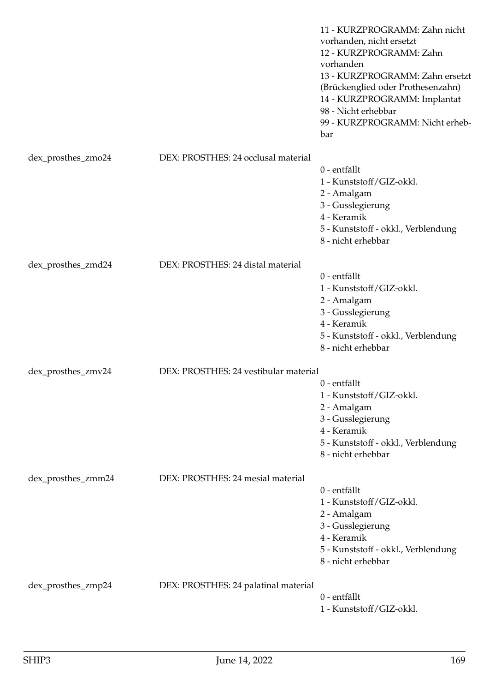|                    |                                       | 11 - KURZPROGRAMM: Zahn nicht<br>vorhanden, nicht ersetzt<br>12 - KURZPROGRAMM: Zahn<br>vorhanden<br>13 - KURZPROGRAMM: Zahn ersetzt<br>(Brückenglied oder Prothesenzahn)<br>14 - KURZPROGRAMM: Implantat<br>98 - Nicht erhebbar<br>99 - KURZPROGRAMM: Nicht erheb-<br>bar |
|--------------------|---------------------------------------|----------------------------------------------------------------------------------------------------------------------------------------------------------------------------------------------------------------------------------------------------------------------------|
| dex_prosthes_zmo24 | DEX: PROSTHES: 24 occlusal material   |                                                                                                                                                                                                                                                                            |
|                    |                                       | 0 - entfällt                                                                                                                                                                                                                                                               |
|                    |                                       | 1 - Kunststoff/GIZ-okkl.                                                                                                                                                                                                                                                   |
|                    |                                       | 2 - Amalgam                                                                                                                                                                                                                                                                |
|                    |                                       | 3 - Gusslegierung                                                                                                                                                                                                                                                          |
|                    |                                       | 4 - Keramik                                                                                                                                                                                                                                                                |
|                    |                                       | 5 - Kunststoff - okkl., Verblendung<br>8 - nicht erhebbar                                                                                                                                                                                                                  |
| dex_prosthes_zmd24 | DEX: PROSTHES: 24 distal material     |                                                                                                                                                                                                                                                                            |
|                    |                                       | 0 - entfällt                                                                                                                                                                                                                                                               |
|                    |                                       | 1 - Kunststoff/GIZ-okkl.                                                                                                                                                                                                                                                   |
|                    |                                       | 2 - Amalgam                                                                                                                                                                                                                                                                |
|                    |                                       | 3 - Gusslegierung<br>4 - Keramik                                                                                                                                                                                                                                           |
|                    |                                       | 5 - Kunststoff - okkl., Verblendung                                                                                                                                                                                                                                        |
|                    |                                       | 8 - nicht erhebbar                                                                                                                                                                                                                                                         |
| dex_prosthes_zmv24 | DEX: PROSTHES: 24 vestibular material |                                                                                                                                                                                                                                                                            |
|                    |                                       | 0 - entfällt                                                                                                                                                                                                                                                               |
|                    |                                       | 1 - Kunststoff/GIZ-okkl.                                                                                                                                                                                                                                                   |
|                    |                                       | 2 - Amalgam                                                                                                                                                                                                                                                                |
|                    |                                       | 3 - Gusslegierung                                                                                                                                                                                                                                                          |
|                    |                                       | 4 - Keramik                                                                                                                                                                                                                                                                |
|                    |                                       | 5 - Kunststoff - okkl., Verblendung<br>8 - nicht erhebbar                                                                                                                                                                                                                  |
| dex_prosthes_zmm24 | DEX: PROSTHES: 24 mesial material     |                                                                                                                                                                                                                                                                            |
|                    |                                       | 0 - entfällt                                                                                                                                                                                                                                                               |
|                    |                                       | 1 - Kunststoff/GIZ-okkl.                                                                                                                                                                                                                                                   |
|                    |                                       | 2 - Amalgam                                                                                                                                                                                                                                                                |
|                    |                                       | 3 - Gusslegierung                                                                                                                                                                                                                                                          |
|                    |                                       | 4 - Keramik                                                                                                                                                                                                                                                                |
|                    |                                       | 5 - Kunststoff - okkl., Verblendung<br>8 - nicht erhebbar                                                                                                                                                                                                                  |
| dex_prosthes_zmp24 | DEX: PROSTHES: 24 palatinal material  |                                                                                                                                                                                                                                                                            |
|                    |                                       | 0 - entfällt                                                                                                                                                                                                                                                               |
|                    |                                       | 1 - Kunststoff/GIZ-okkl.                                                                                                                                                                                                                                                   |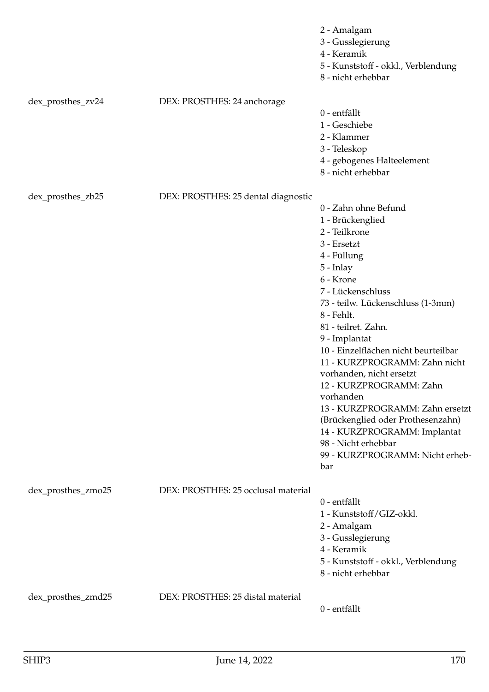|                    |                                     | 2 - Amalgam<br>3 - Gusslegierung<br>4 - Keramik<br>5 - Kunststoff - okkl., Verblendung<br>8 - nicht erhebbar                                                                                                                                                                                                                                                                                                                                                                                                                                              |
|--------------------|-------------------------------------|-----------------------------------------------------------------------------------------------------------------------------------------------------------------------------------------------------------------------------------------------------------------------------------------------------------------------------------------------------------------------------------------------------------------------------------------------------------------------------------------------------------------------------------------------------------|
| dex_prosthes_zv24  | DEX: PROSTHES: 24 anchorage         | 0 - entfällt<br>1 - Geschiebe<br>2 - Klammer<br>3 - Teleskop<br>4 - gebogenes Halteelement<br>8 - nicht erhebbar                                                                                                                                                                                                                                                                                                                                                                                                                                          |
| dex_prosthes_zb25  | DEX: PROSTHES: 25 dental diagnostic | 0 - Zahn ohne Befund<br>1 - Brückenglied<br>2 - Teilkrone<br>3 - Ersetzt<br>4 - Füllung<br>$5$ - Inlay<br>6 - Krone<br>7 - Lückenschluss<br>73 - teilw. Lückenschluss (1-3mm)<br>8 - Fehlt.<br>81 - teilret. Zahn.<br>9 - Implantat<br>10 - Einzelflächen nicht beurteilbar<br>11 - KURZPROGRAMM: Zahn nicht<br>vorhanden, nicht ersetzt<br>12 - KURZPROGRAMM: Zahn<br>vorhanden<br>13 - KURZPROGRAMM: Zahn ersetzt<br>(Brückenglied oder Prothesenzahn)<br>14 - KURZPROGRAMM: Implantat<br>98 - Nicht erhebbar<br>99 - KURZPROGRAMM: Nicht erheb-<br>bar |
| dex_prosthes_zmo25 | DEX: PROSTHES: 25 occlusal material | 0 - entfällt<br>1 - Kunststoff/GIZ-okkl.<br>2 - Amalgam<br>3 - Gusslegierung<br>4 - Keramik<br>5 - Kunststoff - okkl., Verblendung<br>8 - nicht erhebbar                                                                                                                                                                                                                                                                                                                                                                                                  |
| dex_prosthes_zmd25 | DEX: PROSTHES: 25 distal material   | 0 - entfällt                                                                                                                                                                                                                                                                                                                                                                                                                                                                                                                                              |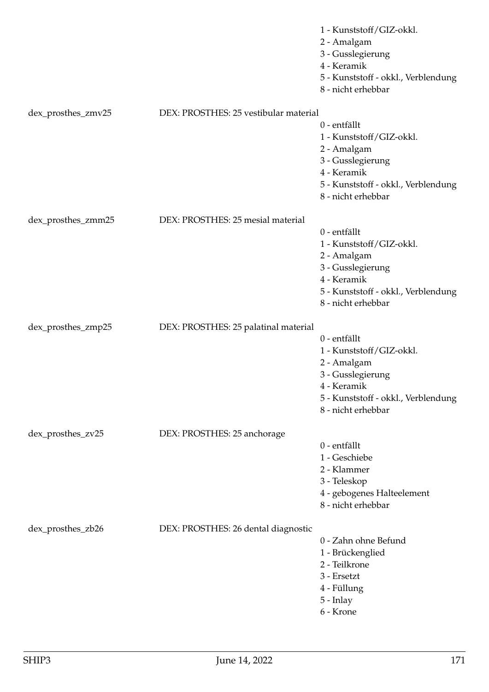|                    |                                       | 1 - Kunststoff/GIZ-okkl.<br>2 - Amalgam<br>3 - Gusslegierung<br>4 - Keramik<br>5 - Kunststoff - okkl., Verblendung<br>8 - nicht erhebbar                 |
|--------------------|---------------------------------------|----------------------------------------------------------------------------------------------------------------------------------------------------------|
| dex_prosthes_zmv25 | DEX: PROSTHES: 25 vestibular material | 0 - entfällt<br>1 - Kunststoff/GIZ-okkl.<br>2 - Amalgam<br>3 - Gusslegierung<br>4 - Keramik<br>5 - Kunststoff - okkl., Verblendung<br>8 - nicht erhebbar |
| dex_prosthes_zmm25 | DEX: PROSTHES: 25 mesial material     | 0 - entfällt<br>1 - Kunststoff/GIZ-okkl.<br>2 - Amalgam<br>3 - Gusslegierung<br>4 - Keramik<br>5 - Kunststoff - okkl., Verblendung<br>8 - nicht erhebbar |
| dex_prosthes_zmp25 | DEX: PROSTHES: 25 palatinal material  | 0 - entfällt<br>1 - Kunststoff/GIZ-okkl.<br>2 - Amalgam<br>3 - Gusslegierung<br>4 - Keramik<br>5 - Kunststoff - okkl., Verblendung<br>8 - nicht erhebbar |
| dex_prosthes_zv25  | DEX: PROSTHES: 25 anchorage           | 0 - entfällt<br>1 - Geschiebe<br>2 - Klammer<br>3 - Teleskop<br>4 - gebogenes Halteelement<br>8 - nicht erhebbar                                         |
| dex_prosthes_zb26  | DEX: PROSTHES: 26 dental diagnostic   | 0 - Zahn ohne Befund<br>1 - Brückenglied<br>2 - Teilkrone<br>3 - Ersetzt<br>4 - Füllung<br>5 - Inlay<br>6 - Krone                                        |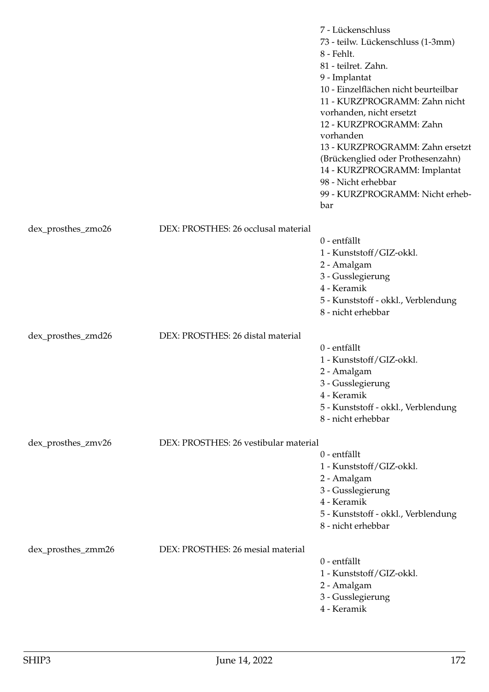|                    |                                       | 7 - Lückenschluss<br>73 - teilw. Lückenschluss (1-3mm)<br>8 - Fehlt.<br>81 - teilret. Zahn.<br>9 - Implantat<br>10 - Einzelflächen nicht beurteilbar<br>11 - KURZPROGRAMM: Zahn nicht<br>vorhanden, nicht ersetzt<br>12 - KURZPROGRAMM: Zahn<br>vorhanden<br>13 - KURZPROGRAMM: Zahn ersetzt<br>(Brückenglied oder Prothesenzahn)<br>14 - KURZPROGRAMM: Implantat<br>98 - Nicht erhebbar<br>99 - KURZPROGRAMM: Nicht erheb-<br>bar |
|--------------------|---------------------------------------|------------------------------------------------------------------------------------------------------------------------------------------------------------------------------------------------------------------------------------------------------------------------------------------------------------------------------------------------------------------------------------------------------------------------------------|
| dex_prosthes_zmo26 | DEX: PROSTHES: 26 occlusal material   |                                                                                                                                                                                                                                                                                                                                                                                                                                    |
|                    |                                       | 0 - entfällt<br>1 - Kunststoff/GIZ-okkl.<br>2 - Amalgam<br>3 - Gusslegierung<br>4 - Keramik<br>5 - Kunststoff - okkl., Verblendung<br>8 - nicht erhebbar                                                                                                                                                                                                                                                                           |
| dex_prosthes_zmd26 | DEX: PROSTHES: 26 distal material     | 0 - entfällt<br>1 - Kunststoff/GIZ-okkl.<br>2 - Amalgam<br>3 - Gusslegierung<br>4 - Keramik<br>5 - Kunststoff - okkl., Verblendung<br>8 - nicht erhebbar                                                                                                                                                                                                                                                                           |
| dex_prosthes_zmv26 | DEX: PROSTHES: 26 vestibular material |                                                                                                                                                                                                                                                                                                                                                                                                                                    |
|                    |                                       | 0 - entfällt<br>1 - Kunststoff/GIZ-okkl.<br>2 - Amalgam<br>3 - Gusslegierung<br>4 - Keramik<br>5 - Kunststoff - okkl., Verblendung<br>8 - nicht erhebbar                                                                                                                                                                                                                                                                           |
| dex_prosthes_zmm26 | DEX: PROSTHES: 26 mesial material     | 0 - entfällt<br>1 - Kunststoff/GIZ-okkl.<br>2 - Amalgam<br>3 - Gusslegierung<br>4 - Keramik                                                                                                                                                                                                                                                                                                                                        |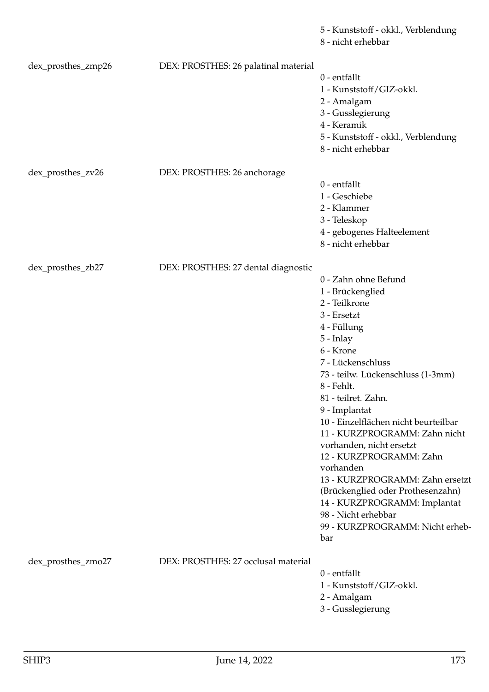5 - Kunststoff - okkl., Verblendung

8 - nicht erhebbar

| dex_prosthes_zmp26 | DEX: PROSTHES: 26 palatinal material | 0 - entfällt<br>1 - Kunststoff/GIZ-okkl.<br>2 - Amalgam<br>3 - Gusslegierung<br>4 - Keramik<br>5 - Kunststoff - okkl., Verblendung<br>8 - nicht erhebbar                                                                                                                                                                                                                                                                                                                                                                                                  |
|--------------------|--------------------------------------|-----------------------------------------------------------------------------------------------------------------------------------------------------------------------------------------------------------------------------------------------------------------------------------------------------------------------------------------------------------------------------------------------------------------------------------------------------------------------------------------------------------------------------------------------------------|
| dex_prosthes_zv26  | DEX: PROSTHES: 26 anchorage          | 0 - entfällt<br>1 - Geschiebe<br>2 - Klammer<br>3 - Teleskop<br>4 - gebogenes Halteelement<br>8 - nicht erhebbar                                                                                                                                                                                                                                                                                                                                                                                                                                          |
| dex_prosthes_zb27  | DEX: PROSTHES: 27 dental diagnostic  | 0 - Zahn ohne Befund<br>1 - Brückenglied<br>2 - Teilkrone<br>3 - Ersetzt<br>4 - Füllung<br>$5$ - Inlay<br>6 - Krone<br>7 - Lückenschluss<br>73 - teilw. Lückenschluss (1-3mm)<br>8 - Fehlt.<br>81 - teilret. Zahn.<br>9 - Implantat<br>10 - Einzelflächen nicht beurteilbar<br>11 - KURZPROGRAMM: Zahn nicht<br>vorhanden, nicht ersetzt<br>12 - KURZPROGRAMM: Zahn<br>vorhanden<br>13 - KURZPROGRAMM: Zahn ersetzt<br>(Brückenglied oder Prothesenzahn)<br>14 - KURZPROGRAMM: Implantat<br>98 - Nicht erhebbar<br>99 - KURZPROGRAMM: Nicht erheb-<br>bar |
| dex_prosthes_zmo27 | DEX: PROSTHES: 27 occlusal material  | 0 - entfällt<br>1 - Kunststoff/GIZ-okkl.<br>2 - Amalgam<br>3 - Gusslegierung                                                                                                                                                                                                                                                                                                                                                                                                                                                                              |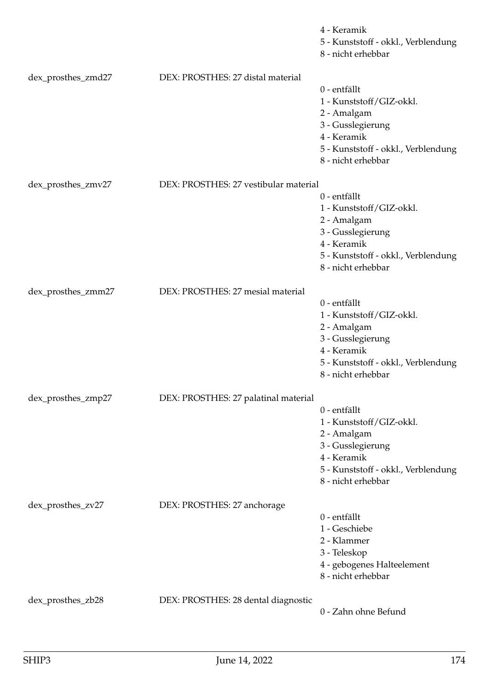|                    |                                       | 4 - Keramik<br>5 - Kunststoff - okkl., Verblendung<br>8 - nicht erhebbar |
|--------------------|---------------------------------------|--------------------------------------------------------------------------|
| dex_prosthes_zmd27 | DEX: PROSTHES: 27 distal material     | 0 - entfällt                                                             |
|                    |                                       | 1 - Kunststoff/GIZ-okkl.                                                 |
|                    |                                       | 2 - Amalgam                                                              |
|                    |                                       | 3 - Gusslegierung                                                        |
|                    |                                       | 4 - Keramik                                                              |
|                    |                                       | 5 - Kunststoff - okkl., Verblendung<br>8 - nicht erhebbar                |
| dex_prosthes_zmv27 | DEX: PROSTHES: 27 vestibular material |                                                                          |
|                    |                                       | 0 - entfällt                                                             |
|                    |                                       | 1 - Kunststoff/GIZ-okkl.                                                 |
|                    |                                       | 2 - Amalgam<br>3 - Gusslegierung                                         |
|                    |                                       | 4 - Keramik                                                              |
|                    |                                       | 5 - Kunststoff - okkl., Verblendung                                      |
|                    |                                       | 8 - nicht erhebbar                                                       |
| dex_prosthes_zmm27 | DEX: PROSTHES: 27 mesial material     |                                                                          |
|                    |                                       | 0 - entfällt                                                             |
|                    |                                       | 1 - Kunststoff/GIZ-okkl.                                                 |
|                    |                                       | 2 - Amalgam<br>3 - Gusslegierung                                         |
|                    |                                       | 4 - Keramik                                                              |
|                    |                                       | 5 - Kunststoff - okkl., Verblendung                                      |
|                    |                                       | 8 - nicht erhebbar                                                       |
| dex_prosthes_zmp27 | DEX: PROSTHES: 27 palatinal material  |                                                                          |
|                    |                                       | 0 - entfällt                                                             |
|                    |                                       | 1 - Kunststoff/GIZ-okkl.<br>2 - Amalgam                                  |
|                    |                                       | 3 - Gusslegierung                                                        |
|                    |                                       | 4 - Keramik                                                              |
|                    |                                       | 5 - Kunststoff - okkl., Verblendung                                      |
|                    |                                       | 8 - nicht erhebbar                                                       |
| dex_prosthes_zv27  | DEX: PROSTHES: 27 anchorage           |                                                                          |
|                    |                                       | 0 - entfällt                                                             |
|                    |                                       | 1 - Geschiebe<br>2 - Klammer                                             |
|                    |                                       | 3 - Teleskop                                                             |
|                    |                                       | 4 - gebogenes Halteelement                                               |
|                    |                                       | 8 - nicht erhebbar                                                       |
| dex_prosthes_zb28  | DEX: PROSTHES: 28 dental diagnostic   |                                                                          |
|                    |                                       | 0 - Zahn ohne Befund                                                     |
|                    |                                       |                                                                          |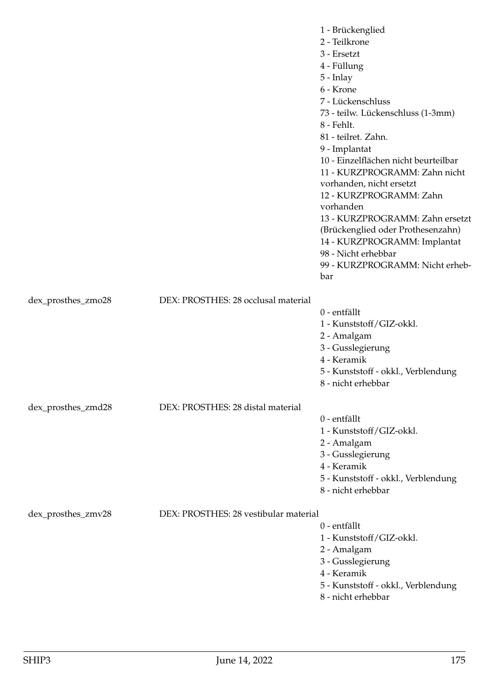|                    |                                       | 1 - Brückenglied<br>2 - Teilkrone<br>3 - Ersetzt<br>4 - Füllung<br>$5$ - Inlay<br>6 - Krone<br>7 - Lückenschluss<br>73 - teilw. Lückenschluss (1-3mm)<br>8 - Fehlt.<br>81 - teilret. Zahn.<br>9 - Implantat<br>10 - Einzelflächen nicht beurteilbar<br>11 - KURZPROGRAMM: Zahn nicht<br>vorhanden, nicht ersetzt<br>12 - KURZPROGRAMM: Zahn<br>vorhanden<br>13 - KURZPROGRAMM: Zahn ersetzt<br>(Brückenglied oder Prothesenzahn)<br>14 - KURZPROGRAMM: Implantat<br>98 - Nicht erhebbar<br>99 - KURZPROGRAMM: Nicht erheb-<br>bar |
|--------------------|---------------------------------------|-----------------------------------------------------------------------------------------------------------------------------------------------------------------------------------------------------------------------------------------------------------------------------------------------------------------------------------------------------------------------------------------------------------------------------------------------------------------------------------------------------------------------------------|
| dex_prosthes_zmo28 | DEX: PROSTHES: 28 occlusal material   |                                                                                                                                                                                                                                                                                                                                                                                                                                                                                                                                   |
|                    |                                       | 0 - entfällt<br>1 - Kunststoff/GIZ-okkl.<br>2 - Amalgam<br>3 - Gusslegierung<br>4 - Keramik<br>5 - Kunststoff - okkl., Verblendung<br>8 - nicht erhebbar                                                                                                                                                                                                                                                                                                                                                                          |
| dex_prosthes_zmd28 | DEX: PROSTHES: 28 distal material     |                                                                                                                                                                                                                                                                                                                                                                                                                                                                                                                                   |
|                    |                                       | 0 - entfällt<br>1 - Kunststoff/GIZ-okkl.<br>2 - Amalgam<br>3 - Gusslegierung<br>4 - Keramik<br>5 - Kunststoff - okkl., Verblendung<br>8 - nicht erhebbar                                                                                                                                                                                                                                                                                                                                                                          |
| dex_prosthes_zmv28 | DEX: PROSTHES: 28 vestibular material | 0 - entfällt<br>1 - Kunststoff/GIZ-okkl.<br>2 - Amalgam<br>3 - Gusslegierung<br>4 - Keramik<br>5 - Kunststoff - okkl., Verblendung<br>8 - nicht erhebbar                                                                                                                                                                                                                                                                                                                                                                          |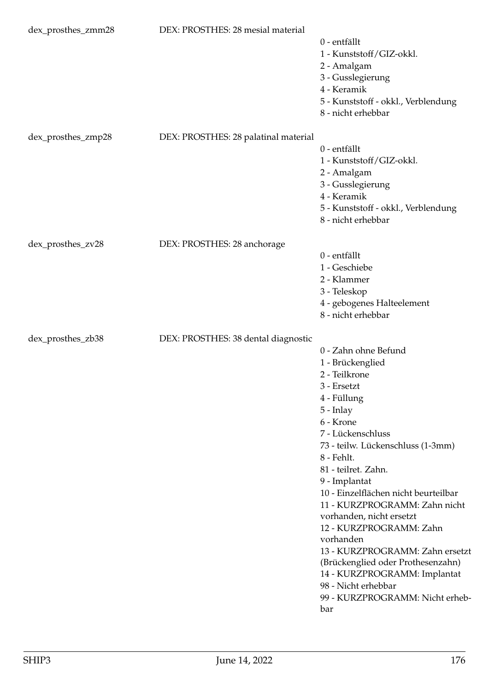| dex_prosthes_zmm28 | DEX: PROSTHES: 28 mesial material    | 0 - entfällt<br>1 - Kunststoff/GIZ-okkl.<br>2 - Amalgam<br>3 - Gusslegierung<br>4 - Keramik<br>5 - Kunststoff - okkl., Verblendung<br>8 - nicht erhebbar                                                                                                                                                                                                                                                                                                                                                                                                  |
|--------------------|--------------------------------------|-----------------------------------------------------------------------------------------------------------------------------------------------------------------------------------------------------------------------------------------------------------------------------------------------------------------------------------------------------------------------------------------------------------------------------------------------------------------------------------------------------------------------------------------------------------|
| dex_prosthes_zmp28 | DEX: PROSTHES: 28 palatinal material | 0 - entfällt<br>1 - Kunststoff/GIZ-okkl.<br>2 - Amalgam<br>3 - Gusslegierung<br>4 - Keramik<br>5 - Kunststoff - okkl., Verblendung<br>8 - nicht erhebbar                                                                                                                                                                                                                                                                                                                                                                                                  |
| dex_prosthes_zv28  | DEX: PROSTHES: 28 anchorage          | 0 - entfällt<br>1 - Geschiebe<br>2 - Klammer<br>3 - Teleskop<br>4 - gebogenes Halteelement<br>8 - nicht erhebbar                                                                                                                                                                                                                                                                                                                                                                                                                                          |
| dex_prosthes_zb38  | DEX: PROSTHES: 38 dental diagnostic  | 0 - Zahn ohne Befund<br>1 - Brückenglied<br>2 - Teilkrone<br>3 - Ersetzt<br>4 - Füllung<br>$5$ - Inlay<br>6 - Krone<br>7 - Lückenschluss<br>73 - teilw. Lückenschluss (1-3mm)<br>8 - Fehlt.<br>81 - teilret. Zahn.<br>9 - Implantat<br>10 - Einzelflächen nicht beurteilbar<br>11 - KURZPROGRAMM: Zahn nicht<br>vorhanden, nicht ersetzt<br>12 - KURZPROGRAMM: Zahn<br>vorhanden<br>13 - KURZPROGRAMM: Zahn ersetzt<br>(Brückenglied oder Prothesenzahn)<br>14 - KURZPROGRAMM: Implantat<br>98 - Nicht erhebbar<br>99 - KURZPROGRAMM: Nicht erheb-<br>bar |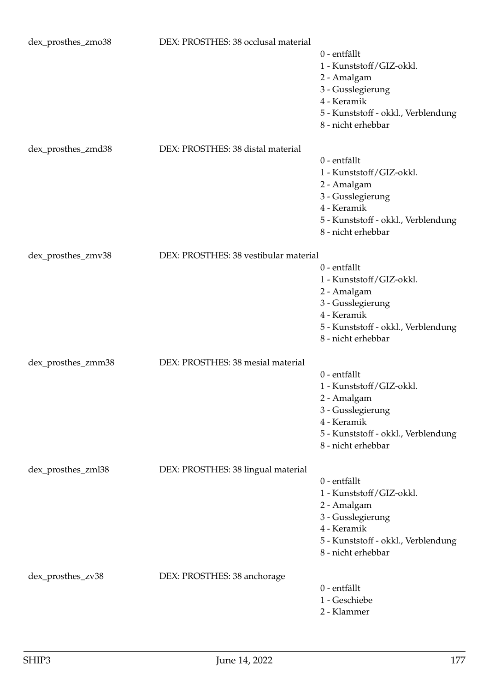| dex_prosthes_zmo38 | DEX: PROSTHES: 38 occlusal material   | 0 - entfällt<br>1 - Kunststoff/GIZ-okkl.<br>2 - Amalgam<br>3 - Gusslegierung<br>4 - Keramik<br>5 - Kunststoff - okkl., Verblendung<br>8 - nicht erhebbar |
|--------------------|---------------------------------------|----------------------------------------------------------------------------------------------------------------------------------------------------------|
| dex_prosthes_zmd38 | DEX: PROSTHES: 38 distal material     | 0 - entfällt<br>1 - Kunststoff/GIZ-okkl.<br>2 - Amalgam<br>3 - Gusslegierung<br>4 - Keramik<br>5 - Kunststoff - okkl., Verblendung<br>8 - nicht erhebbar |
| dex_prosthes_zmv38 | DEX: PROSTHES: 38 vestibular material |                                                                                                                                                          |
|                    |                                       | 0 - entfällt<br>1 - Kunststoff/GIZ-okkl.<br>2 - Amalgam<br>3 - Gusslegierung<br>4 - Keramik<br>5 - Kunststoff - okkl., Verblendung<br>8 - nicht erhebbar |
| dex_prosthes_zmm38 | DEX: PROSTHES: 38 mesial material     | 0 - entfällt<br>1 - Kunststoff/GIZ-okkl.<br>2 - Amalgam<br>3 - Gusslegierung<br>4 - Keramik<br>5 - Kunststoff - okkl., Verblendung<br>8 - nicht erhebbar |
| dex_prosthes_zml38 | DEX: PROSTHES: 38 lingual material    | 0 - entfällt<br>1 - Kunststoff/GIZ-okkl.<br>2 - Amalgam<br>3 - Gusslegierung<br>4 - Keramik<br>5 - Kunststoff - okkl., Verblendung<br>8 - nicht erhebbar |
| dex_prosthes_zv38  | DEX: PROSTHES: 38 anchorage           | 0 - entfällt<br>1 - Geschiebe<br>2 - Klammer                                                                                                             |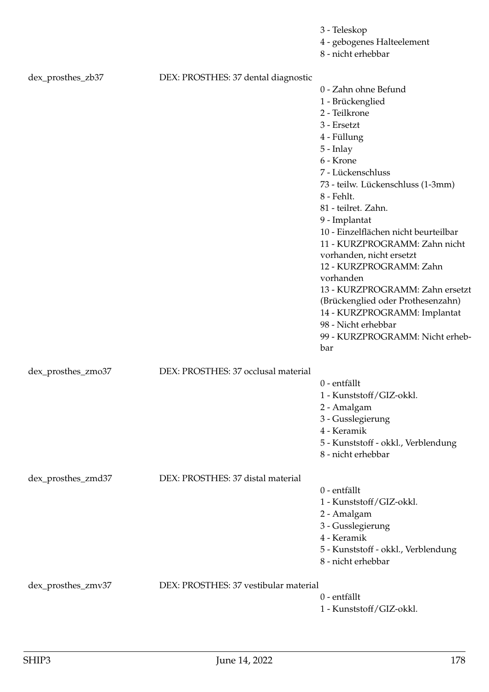|                    |                                       | 3 - Teleskop<br>4 - gebogenes Halteelement<br>8 - nicht erhebbar                                                                                                                                                                                                                                                                                                                                                                                                                                                                                        |
|--------------------|---------------------------------------|---------------------------------------------------------------------------------------------------------------------------------------------------------------------------------------------------------------------------------------------------------------------------------------------------------------------------------------------------------------------------------------------------------------------------------------------------------------------------------------------------------------------------------------------------------|
| dex_prosthes_zb37  | DEX: PROSTHES: 37 dental diagnostic   | 0 - Zahn ohne Befund<br>1 - Brückenglied<br>2 - Teilkrone<br>3 - Ersetzt<br>4 - Füllung<br>5 - Inlay<br>6 - Krone<br>7 - Lückenschluss<br>73 - teilw. Lückenschluss (1-3mm)<br>8 - Fehlt.<br>81 - teilret. Zahn.<br>9 - Implantat<br>10 - Einzelflächen nicht beurteilbar<br>11 - KURZPROGRAMM: Zahn nicht<br>vorhanden, nicht ersetzt<br>12 - KURZPROGRAMM: Zahn<br>vorhanden<br>13 - KURZPROGRAMM: Zahn ersetzt<br>(Brückenglied oder Prothesenzahn)<br>14 - KURZPROGRAMM: Implantat<br>98 - Nicht erhebbar<br>99 - KURZPROGRAMM: Nicht erheb-<br>bar |
| dex_prosthes_zmo37 | DEX: PROSTHES: 37 occlusal material   | 0 - entfällt<br>1 - Kunststoff/GIZ-okkl.<br>2 - Amalgam<br>3 - Gusslegierung<br>4 - Keramik<br>5 - Kunststoff - okkl., Verblendung<br>8 - nicht erhebbar                                                                                                                                                                                                                                                                                                                                                                                                |
| dex_prosthes_zmd37 | DEX: PROSTHES: 37 distal material     | 0 - entfällt<br>1 - Kunststoff/GIZ-okkl.<br>2 - Amalgam<br>3 - Gusslegierung<br>4 - Keramik<br>5 - Kunststoff - okkl., Verblendung<br>8 - nicht erhebbar                                                                                                                                                                                                                                                                                                                                                                                                |
| dex_prosthes_zmv37 | DEX: PROSTHES: 37 vestibular material | 0 - entfällt<br>1 - Kunststoff/GIZ-okkl.                                                                                                                                                                                                                                                                                                                                                                                                                                                                                                                |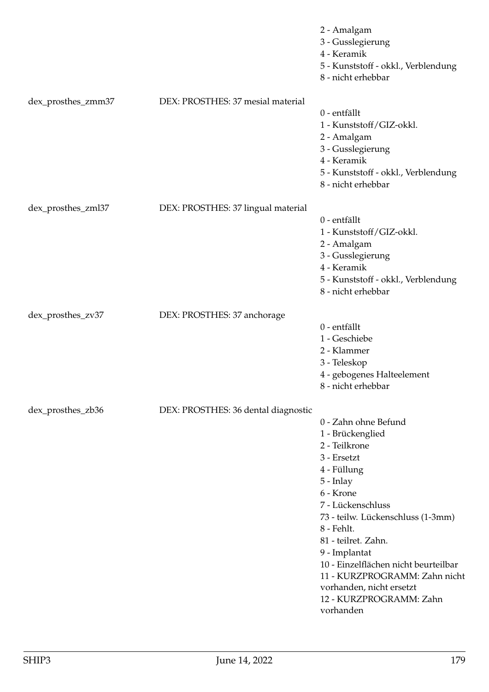|                    |                                     | 2 - Amalgam<br>3 - Gusslegierung<br>4 - Keramik<br>5 - Kunststoff - okkl., Verblendung<br>8 - nicht erhebbar                                                                                                                                                                                                                                                                   |
|--------------------|-------------------------------------|--------------------------------------------------------------------------------------------------------------------------------------------------------------------------------------------------------------------------------------------------------------------------------------------------------------------------------------------------------------------------------|
| dex_prosthes_zmm37 | DEX: PROSTHES: 37 mesial material   | 0 - entfällt<br>1 - Kunststoff/GIZ-okkl.<br>2 - Amalgam<br>3 - Gusslegierung<br>4 - Keramik<br>5 - Kunststoff - okkl., Verblendung<br>8 - nicht erhebbar                                                                                                                                                                                                                       |
| dex_prosthes_zml37 | DEX: PROSTHES: 37 lingual material  | 0 - entfällt<br>1 - Kunststoff/GIZ-okkl.<br>2 - Amalgam<br>3 - Gusslegierung<br>4 - Keramik<br>5 - Kunststoff - okkl., Verblendung<br>8 - nicht erhebbar                                                                                                                                                                                                                       |
| dex_prosthes_zv37  | DEX: PROSTHES: 37 anchorage         | 0 - entfällt<br>1 - Geschiebe<br>2 - Klammer<br>3 - Teleskop<br>4 - gebogenes Halteelement<br>8 - nicht erhebbar                                                                                                                                                                                                                                                               |
| dex_prosthes_zb36  | DEX: PROSTHES: 36 dental diagnostic | 0 - Zahn ohne Befund<br>1 - Brückenglied<br>2 - Teilkrone<br>3 - Ersetzt<br>4 - Füllung<br>5 - Inlay<br>6 - Krone<br>7 - Lückenschluss<br>73 - teilw. Lückenschluss (1-3mm)<br>8 - Fehlt.<br>81 - teilret. Zahn.<br>9 - Implantat<br>10 - Einzelflächen nicht beurteilbar<br>11 - KURZPROGRAMM: Zahn nicht<br>vorhanden, nicht ersetzt<br>12 - KURZPROGRAMM: Zahn<br>vorhanden |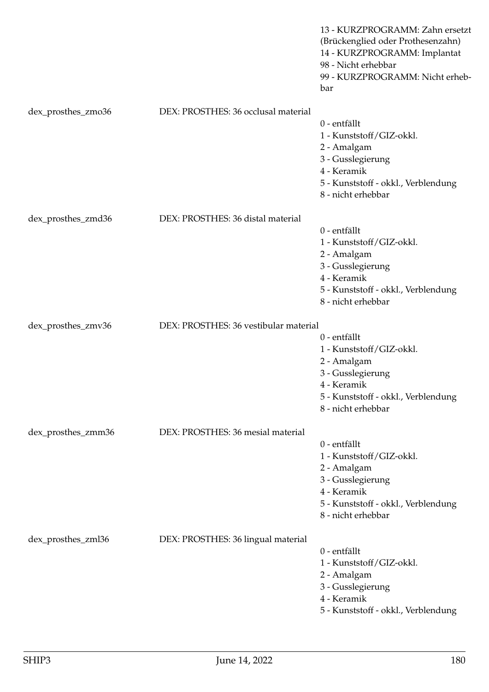|                    |                                       | 13 - KURZPROGRAMM: Zahn ersetzt<br>(Brückenglied oder Prothesenzahn)<br>14 - KURZPROGRAMM: Implantat<br>98 - Nicht erhebbar<br>99 - KURZPROGRAMM: Nicht erheb-<br>bar |
|--------------------|---------------------------------------|-----------------------------------------------------------------------------------------------------------------------------------------------------------------------|
| dex_prosthes_zmo36 | DEX: PROSTHES: 36 occlusal material   | 0 - entfällt<br>1 - Kunststoff/GIZ-okkl.<br>2 - Amalgam<br>3 - Gusslegierung<br>4 - Keramik<br>5 - Kunststoff - okkl., Verblendung<br>8 - nicht erhebbar              |
| dex_prosthes_zmd36 | DEX: PROSTHES: 36 distal material     | 0 - entfällt<br>1 - Kunststoff/GIZ-okkl.<br>2 - Amalgam<br>3 - Gusslegierung<br>4 - Keramik<br>5 - Kunststoff - okkl., Verblendung<br>8 - nicht erhebbar              |
| dex_prosthes_zmv36 | DEX: PROSTHES: 36 vestibular material | 0 - entfällt<br>1 - Kunststoff/GIZ-okkl.<br>2 - Amalgam<br>3 - Gusslegierung<br>4 - Keramik<br>5 - Kunststoff - okkl., Verblendung<br>8 - nicht erhebbar              |
| dex_prosthes_zmm36 | DEX: PROSTHES: 36 mesial material     | 0 - entfällt<br>1 - Kunststoff/GIZ-okkl.<br>2 - Amalgam<br>3 - Gusslegierung<br>4 - Keramik<br>5 - Kunststoff - okkl., Verblendung<br>8 - nicht erhebbar              |
| dex_prosthes_zml36 | DEX: PROSTHES: 36 lingual material    | 0 - entfällt<br>1 - Kunststoff/GIZ-okkl.<br>2 - Amalgam<br>3 - Gusslegierung<br>4 - Keramik<br>5 - Kunststoff - okkl., Verblendung                                    |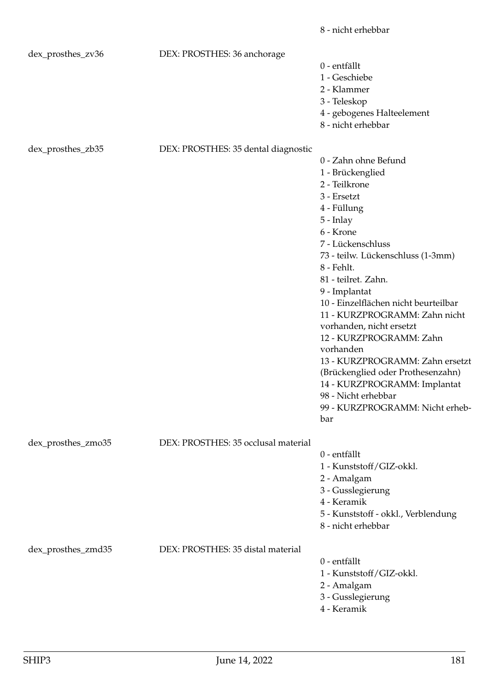|                    |                                     | 8 - nicht erhebbar                                                                                                                                                                                                                                                                                                                                                                                                                                                                                                                                        |
|--------------------|-------------------------------------|-----------------------------------------------------------------------------------------------------------------------------------------------------------------------------------------------------------------------------------------------------------------------------------------------------------------------------------------------------------------------------------------------------------------------------------------------------------------------------------------------------------------------------------------------------------|
| dex_prosthes_zv36  | DEX: PROSTHES: 36 anchorage         | 0 - entfällt<br>1 - Geschiebe<br>2 - Klammer<br>3 - Teleskop<br>4 - gebogenes Halteelement                                                                                                                                                                                                                                                                                                                                                                                                                                                                |
| dex_prosthes_zb35  | DEX: PROSTHES: 35 dental diagnostic | 8 - nicht erhebbar                                                                                                                                                                                                                                                                                                                                                                                                                                                                                                                                        |
|                    |                                     | 0 - Zahn ohne Befund<br>1 - Brückenglied<br>2 - Teilkrone<br>3 - Ersetzt<br>4 - Füllung<br>$5$ - Inlay<br>6 - Krone<br>7 - Lückenschluss<br>73 - teilw. Lückenschluss (1-3mm)<br>8 - Fehlt.<br>81 - teilret. Zahn.<br>9 - Implantat<br>10 - Einzelflächen nicht beurteilbar<br>11 - KURZPROGRAMM: Zahn nicht<br>vorhanden, nicht ersetzt<br>12 - KURZPROGRAMM: Zahn<br>vorhanden<br>13 - KURZPROGRAMM: Zahn ersetzt<br>(Brückenglied oder Prothesenzahn)<br>14 - KURZPROGRAMM: Implantat<br>98 - Nicht erhebbar<br>99 - KURZPROGRAMM: Nicht erheb-<br>bar |
| dex_prosthes_zmo35 | DEX: PROSTHES: 35 occlusal material | 0 - entfällt<br>1 - Kunststoff/GIZ-okkl.<br>2 - Amalgam<br>3 - Gusslegierung<br>4 - Keramik<br>5 - Kunststoff - okkl., Verblendung<br>8 - nicht erhebbar                                                                                                                                                                                                                                                                                                                                                                                                  |
| dex_prosthes_zmd35 | DEX: PROSTHES: 35 distal material   | 0 - entfällt<br>1 - Kunststoff/GIZ-okkl.<br>2 - Amalgam<br>3 - Gusslegierung<br>4 - Keramik                                                                                                                                                                                                                                                                                                                                                                                                                                                               |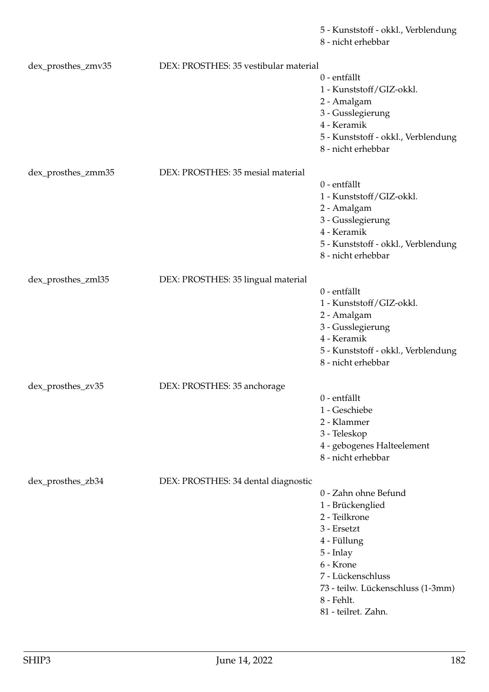5 - Kunststoff - okkl., Verblendung

8 - nicht erhebbar

| dex_prosthes_zmv35 | DEX: PROSTHES: 35 vestibular material |                                     |
|--------------------|---------------------------------------|-------------------------------------|
|                    |                                       | 0 - entfällt                        |
|                    |                                       | 1 - Kunststoff/GIZ-okkl.            |
|                    |                                       | 2 - Amalgam                         |
|                    |                                       | 3 - Gusslegierung                   |
|                    |                                       | 4 - Keramik                         |
|                    |                                       |                                     |
|                    |                                       | 5 - Kunststoff - okkl., Verblendung |
|                    |                                       | 8 - nicht erhebbar                  |
|                    |                                       |                                     |
| dex_prosthes_zmm35 | DEX: PROSTHES: 35 mesial material     |                                     |
|                    |                                       | 0 - entfällt                        |
|                    |                                       | 1 - Kunststoff/GIZ-okkl.            |
|                    |                                       | 2 - Amalgam                         |
|                    |                                       | 3 - Gusslegierung                   |
|                    |                                       | 4 - Keramik                         |
|                    |                                       | 5 - Kunststoff - okkl., Verblendung |
|                    |                                       | 8 - nicht erhebbar                  |
|                    |                                       |                                     |
| dex_prosthes_zml35 | DEX: PROSTHES: 35 lingual material    |                                     |
|                    |                                       | 0 - entfällt                        |
|                    |                                       | 1 - Kunststoff/GIZ-okkl.            |
|                    |                                       | 2 - Amalgam                         |
|                    |                                       | 3 - Gusslegierung                   |
|                    |                                       | 4 - Keramik                         |
|                    |                                       |                                     |
|                    |                                       | 5 - Kunststoff - okkl., Verblendung |
|                    |                                       | 8 - nicht erhebbar                  |
|                    |                                       |                                     |
| dex_prosthes_zv35  | DEX: PROSTHES: 35 anchorage           |                                     |
|                    |                                       | 0 - entfällt                        |
|                    |                                       | 1 - Geschiebe                       |
|                    |                                       | 2 - Klammer                         |
|                    |                                       | 3 - Teleskop                        |
|                    |                                       | 4 - gebogenes Halteelement          |
|                    |                                       | 8 - nicht erhebbar                  |
|                    |                                       |                                     |
| dex_prosthes_zb34  | DEX: PROSTHES: 34 dental diagnostic   |                                     |
|                    |                                       | 0 - Zahn ohne Befund                |
|                    |                                       | 1 - Brückenglied                    |
|                    |                                       | 2 - Teilkrone                       |
|                    |                                       | 3 - Ersetzt                         |
|                    |                                       |                                     |
|                    |                                       | 4 - Füllung                         |
|                    |                                       | 5 - Inlay                           |
|                    |                                       | 6 - Krone                           |
|                    |                                       | 7 - Lückenschluss                   |
|                    |                                       | 73 - teilw. Lückenschluss (1-3mm)   |
|                    |                                       | 8 - Fehlt.                          |
|                    |                                       | 81 - teilret. Zahn.                 |
|                    |                                       |                                     |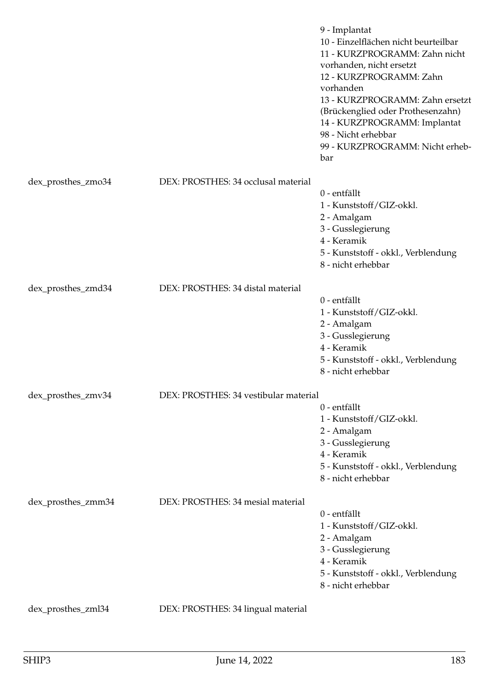|                    |                                       | 9 - Implantat<br>10 - Einzelflächen nicht beurteilbar<br>11 - KURZPROGRAMM: Zahn nicht<br>vorhanden, nicht ersetzt<br>12 - KURZPROGRAMM: Zahn<br>vorhanden<br>13 - KURZPROGRAMM: Zahn ersetzt<br>(Brückenglied oder Prothesenzahn)<br>14 - KURZPROGRAMM: Implantat<br>98 - Nicht erhebbar<br>99 - KURZPROGRAMM: Nicht erheb-<br>bar |
|--------------------|---------------------------------------|-------------------------------------------------------------------------------------------------------------------------------------------------------------------------------------------------------------------------------------------------------------------------------------------------------------------------------------|
| dex_prosthes_zmo34 | DEX: PROSTHES: 34 occlusal material   |                                                                                                                                                                                                                                                                                                                                     |
|                    |                                       | 0 - entfällt<br>1 - Kunststoff/GIZ-okkl.<br>2 - Amalgam<br>3 - Gusslegierung<br>4 - Keramik<br>5 - Kunststoff - okkl., Verblendung<br>8 - nicht erhebbar                                                                                                                                                                            |
| dex_prosthes_zmd34 | DEX: PROSTHES: 34 distal material     | 0 - entfällt<br>1 - Kunststoff/GIZ-okkl.                                                                                                                                                                                                                                                                                            |
|                    |                                       | 2 - Amalgam<br>3 - Gusslegierung<br>4 - Keramik                                                                                                                                                                                                                                                                                     |
|                    |                                       | 5 - Kunststoff - okkl., Verblendung<br>8 - nicht erhebbar                                                                                                                                                                                                                                                                           |
| dex_prosthes_zmv34 | DEX: PROSTHES: 34 vestibular material |                                                                                                                                                                                                                                                                                                                                     |
|                    |                                       | 0 - entfällt<br>1 - Kunststoff/GIZ-okkl.<br>2 - Amalgam<br>3 - Gusslegierung<br>4 - Keramik<br>5 - Kunststoff - okkl., Verblendung<br>8 - nicht erhebbar                                                                                                                                                                            |
| dex_prosthes_zmm34 | DEX: PROSTHES: 34 mesial material     |                                                                                                                                                                                                                                                                                                                                     |
|                    |                                       | 0 - entfällt<br>1 - Kunststoff/GIZ-okkl.<br>2 - Amalgam<br>3 - Gusslegierung<br>4 - Keramik<br>5 - Kunststoff - okkl., Verblendung<br>8 - nicht erhebbar                                                                                                                                                                            |
| dex_prosthes_zml34 | DEX: PROSTHES: 34 lingual material    |                                                                                                                                                                                                                                                                                                                                     |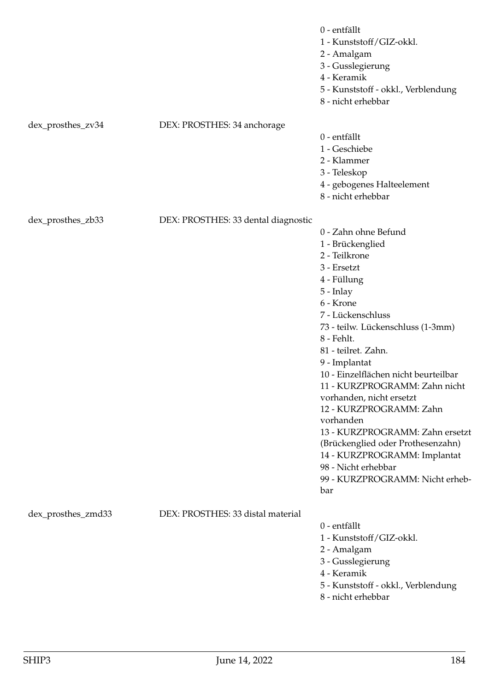|                    |                                     | 0 - entfällt<br>1 - Kunststoff/GIZ-okkl.<br>2 - Amalgam<br>3 - Gusslegierung<br>4 - Keramik<br>5 - Kunststoff - okkl., Verblendung<br>8 - nicht erhebbar                                                                                                                                                                                                                                                                                                                                                                                                |
|--------------------|-------------------------------------|---------------------------------------------------------------------------------------------------------------------------------------------------------------------------------------------------------------------------------------------------------------------------------------------------------------------------------------------------------------------------------------------------------------------------------------------------------------------------------------------------------------------------------------------------------|
| dex_prosthes_zv34  | DEX: PROSTHES: 34 anchorage         | 0 - entfällt<br>1 - Geschiebe<br>2 - Klammer<br>3 - Teleskop<br>4 - gebogenes Halteelement<br>8 - nicht erhebbar                                                                                                                                                                                                                                                                                                                                                                                                                                        |
| dex_prosthes_zb33  | DEX: PROSTHES: 33 dental diagnostic | 0 - Zahn ohne Befund<br>1 - Brückenglied<br>2 - Teilkrone<br>3 - Ersetzt<br>4 - Füllung<br>5 - Inlay<br>6 - Krone<br>7 - Lückenschluss<br>73 - teilw. Lückenschluss (1-3mm)<br>8 - Fehlt.<br>81 - teilret. Zahn.<br>9 - Implantat<br>10 - Einzelflächen nicht beurteilbar<br>11 - KURZPROGRAMM: Zahn nicht<br>vorhanden, nicht ersetzt<br>12 - KURZPROGRAMM: Zahn<br>vorhanden<br>13 - KURZPROGRAMM: Zahn ersetzt<br>(Brückenglied oder Prothesenzahn)<br>14 - KURZPROGRAMM: Implantat<br>98 - Nicht erhebbar<br>99 - KURZPROGRAMM: Nicht erheb-<br>bar |
| dex_prosthes_zmd33 | DEX: PROSTHES: 33 distal material   | 0 - entfällt<br>1 - Kunststoff/GIZ-okkl.<br>2 - Amalgam<br>3 - Gusslegierung<br>4 - Keramik<br>5 - Kunststoff - okkl., Verblendung<br>8 - nicht erhebbar                                                                                                                                                                                                                                                                                                                                                                                                |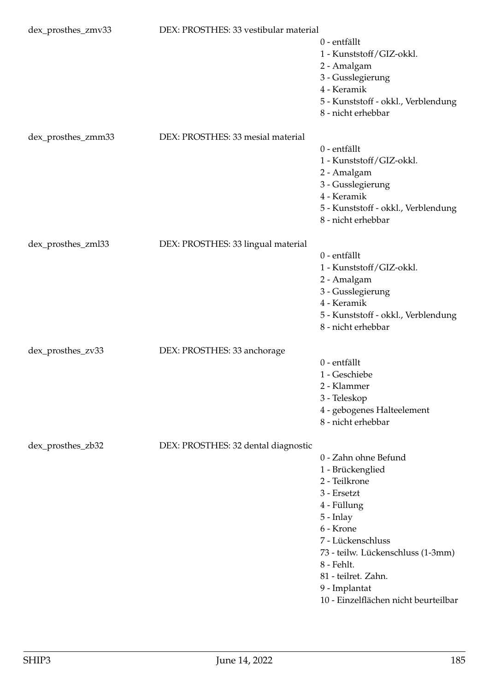| dex_prosthes_zmv33 | DEX: PROSTHES: 33 vestibular material |                                                                                                                                                                                                                                                                           |
|--------------------|---------------------------------------|---------------------------------------------------------------------------------------------------------------------------------------------------------------------------------------------------------------------------------------------------------------------------|
|                    |                                       | 0 - entfällt<br>1 - Kunststoff/GIZ-okkl.<br>2 - Amalgam<br>3 - Gusslegierung                                                                                                                                                                                              |
|                    |                                       | 4 - Keramik<br>5 - Kunststoff - okkl., Verblendung<br>8 - nicht erhebbar                                                                                                                                                                                                  |
| dex_prosthes_zmm33 | DEX: PROSTHES: 33 mesial material     | 0 - entfällt<br>1 - Kunststoff/GIZ-okkl.<br>2 - Amalgam<br>3 - Gusslegierung<br>4 - Keramik<br>5 - Kunststoff - okkl., Verblendung                                                                                                                                        |
|                    |                                       | 8 - nicht erhebbar                                                                                                                                                                                                                                                        |
| dex_prosthes_zml33 | DEX: PROSTHES: 33 lingual material    | 0 - entfällt<br>1 - Kunststoff/GIZ-okkl.<br>2 - Amalgam<br>3 - Gusslegierung<br>4 - Keramik<br>5 - Kunststoff - okkl., Verblendung<br>8 - nicht erhebbar                                                                                                                  |
| dex_prosthes_zv33  | DEX: PROSTHES: 33 anchorage           | 0 - entfällt<br>1 - Geschiebe<br>2 - Klammer<br>3 - Teleskop<br>4 - gebogenes Halteelement<br>8 - nicht erhebbar                                                                                                                                                          |
| dex_prosthes_zb32  | DEX: PROSTHES: 32 dental diagnostic   | 0 - Zahn ohne Befund<br>1 - Brückenglied<br>2 - Teilkrone<br>3 - Ersetzt<br>4 - Füllung<br>5 - Inlay<br>6 - Krone<br>7 - Lückenschluss<br>73 - teilw. Lückenschluss (1-3mm)<br>8 - Fehlt.<br>81 - teilret. Zahn.<br>9 - Implantat<br>10 - Einzelflächen nicht beurteilbar |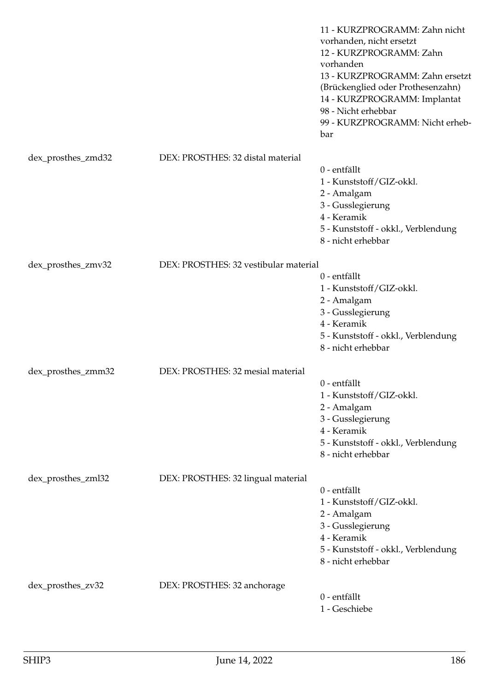|                    |                                       | 11 - KURZPROGRAMM: Zahn nicht<br>vorhanden, nicht ersetzt<br>12 - KURZPROGRAMM: Zahn<br>vorhanden<br>13 - KURZPROGRAMM: Zahn ersetzt<br>(Brückenglied oder Prothesenzahn)<br>14 - KURZPROGRAMM: Implantat<br>98 - Nicht erhebbar<br>99 - KURZPROGRAMM: Nicht erheb-<br>bar |
|--------------------|---------------------------------------|----------------------------------------------------------------------------------------------------------------------------------------------------------------------------------------------------------------------------------------------------------------------------|
| dex_prosthes_zmd32 | DEX: PROSTHES: 32 distal material     |                                                                                                                                                                                                                                                                            |
|                    |                                       | 0 - entfällt<br>1 - Kunststoff/GIZ-okkl.<br>2 - Amalgam<br>3 - Gusslegierung<br>4 - Keramik<br>5 - Kunststoff - okkl., Verblendung<br>8 - nicht erhebbar                                                                                                                   |
| dex_prosthes_zmv32 | DEX: PROSTHES: 32 vestibular material |                                                                                                                                                                                                                                                                            |
|                    |                                       | 0 - entfällt<br>1 - Kunststoff/GIZ-okkl.<br>2 - Amalgam<br>3 - Gusslegierung<br>4 - Keramik<br>5 - Kunststoff - okkl., Verblendung<br>8 - nicht erhebbar                                                                                                                   |
| dex_prosthes_zmm32 | DEX: PROSTHES: 32 mesial material     |                                                                                                                                                                                                                                                                            |
|                    |                                       | 0 - entfällt<br>1 - Kunststoff/GIZ-okkl.<br>2 - Amalgam<br>3 - Gusslegierung<br>4 - Keramik<br>5 - Kunststoff - okkl., Verblendung<br>8 - nicht erhebbar                                                                                                                   |
| dex_prosthes_zml32 | DEX: PROSTHES: 32 lingual material    | 0 - entfällt<br>1 - Kunststoff/GIZ-okkl.<br>2 - Amalgam<br>3 - Gusslegierung<br>4 - Keramik                                                                                                                                                                                |
|                    |                                       | 5 - Kunststoff - okkl., Verblendung<br>8 - nicht erhebbar                                                                                                                                                                                                                  |
| dex_prosthes_zv32  | DEX: PROSTHES: 32 anchorage           | 0 - entfällt<br>1 - Geschiebe                                                                                                                                                                                                                                              |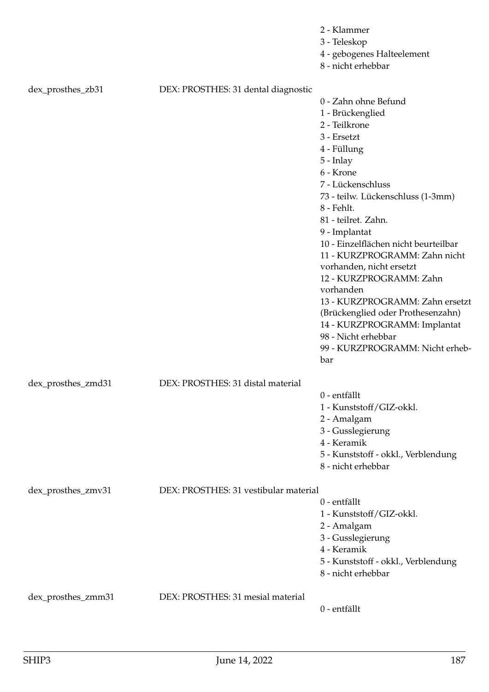|                    |                                       | 2 - Klammer<br>3 - Teleskop<br>4 - gebogenes Halteelement<br>8 - nicht erhebbar                                                                                                                                                                                                                                                                                                                                                                                                                                                                    |
|--------------------|---------------------------------------|----------------------------------------------------------------------------------------------------------------------------------------------------------------------------------------------------------------------------------------------------------------------------------------------------------------------------------------------------------------------------------------------------------------------------------------------------------------------------------------------------------------------------------------------------|
| dex_prosthes_zb31  | DEX: PROSTHES: 31 dental diagnostic   | 0 - Zahn ohne Befund<br>1 - Brückenglied<br>2 - Teilkrone<br>3 - Ersetzt<br>4 - Füllung<br>$5$ - Inlay<br>6 - Krone<br>7 - Lückenschluss<br>73 - teilw. Lückenschluss (1-3mm)<br>8 - Fehlt.<br>81 - teilret. Zahn.<br>9 - Implantat<br>10 - Einzelflächen nicht beurteilbar<br>11 - KURZPROGRAMM: Zahn nicht<br>vorhanden, nicht ersetzt<br>12 - KURZPROGRAMM: Zahn<br>vorhanden<br>13 - KURZPROGRAMM: Zahn ersetzt<br>(Brückenglied oder Prothesenzahn)<br>14 - KURZPROGRAMM: Implantat<br>98 - Nicht erhebbar<br>99 - KURZPROGRAMM: Nicht erheb- |
| dex_prosthes_zmd31 | DEX: PROSTHES: 31 distal material     | bar                                                                                                                                                                                                                                                                                                                                                                                                                                                                                                                                                |
|                    |                                       | 0 - entfällt<br>1 - Kunststoff/GIZ-okkl.<br>2 - Amalgam<br>3 - Gusslegierung<br>4 - Keramik<br>5 - Kunststoff - okkl., Verblendung<br>8 - nicht erhebbar                                                                                                                                                                                                                                                                                                                                                                                           |
| dex_prosthes_zmv31 | DEX: PROSTHES: 31 vestibular material | 0 - entfällt<br>1 - Kunststoff/GIZ-okkl.<br>2 - Amalgam<br>3 - Gusslegierung<br>4 - Keramik<br>5 - Kunststoff - okkl., Verblendung<br>8 - nicht erhebbar                                                                                                                                                                                                                                                                                                                                                                                           |
| dex_prosthes_zmm31 | DEX: PROSTHES: 31 mesial material     | 0 - entfällt                                                                                                                                                                                                                                                                                                                                                                                                                                                                                                                                       |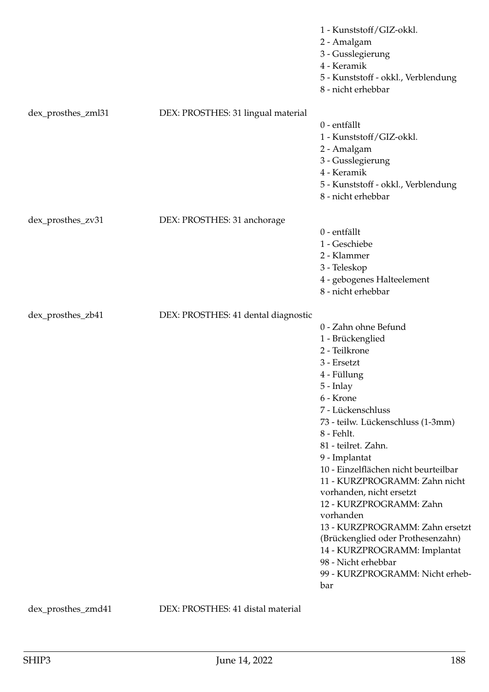|                    |                                     | 1 - Kunststoff/GIZ-okkl.<br>2 - Amalgam<br>3 - Gusslegierung<br>4 - Keramik<br>5 - Kunststoff - okkl., Verblendung<br>8 - nicht erhebbar                                                                                                                                                                                                                                                                                                                                                                                                                  |
|--------------------|-------------------------------------|-----------------------------------------------------------------------------------------------------------------------------------------------------------------------------------------------------------------------------------------------------------------------------------------------------------------------------------------------------------------------------------------------------------------------------------------------------------------------------------------------------------------------------------------------------------|
| dex_prosthes_zml31 | DEX: PROSTHES: 31 lingual material  | 0 - entfällt<br>1 - Kunststoff/GIZ-okkl.<br>2 - Amalgam<br>3 - Gusslegierung<br>4 - Keramik<br>5 - Kunststoff - okkl., Verblendung<br>8 - nicht erhebbar                                                                                                                                                                                                                                                                                                                                                                                                  |
| dex_prosthes_zv31  | DEX: PROSTHES: 31 anchorage         | 0 - entfällt<br>1 - Geschiebe<br>2 - Klammer<br>3 - Teleskop<br>4 - gebogenes Halteelement<br>8 - nicht erhebbar                                                                                                                                                                                                                                                                                                                                                                                                                                          |
| dex_prosthes_zb41  | DEX: PROSTHES: 41 dental diagnostic | 0 - Zahn ohne Befund<br>1 - Brückenglied<br>2 - Teilkrone<br>3 - Ersetzt<br>4 - Füllung<br>$5$ - Inlay<br>6 - Krone<br>7 - Lückenschluss<br>73 - teilw. Lückenschluss (1-3mm)<br>8 - Fehlt.<br>81 - teilret. Zahn.<br>9 - Implantat<br>10 - Einzelflächen nicht beurteilbar<br>11 - KURZPROGRAMM: Zahn nicht<br>vorhanden, nicht ersetzt<br>12 - KURZPROGRAMM: Zahn<br>vorhanden<br>13 - KURZPROGRAMM: Zahn ersetzt<br>(Brückenglied oder Prothesenzahn)<br>14 - KURZPROGRAMM: Implantat<br>98 - Nicht erhebbar<br>99 - KURZPROGRAMM: Nicht erheb-<br>bar |

dex\_prosthes\_zmd41 DEX: PROSTHES: 41 distal material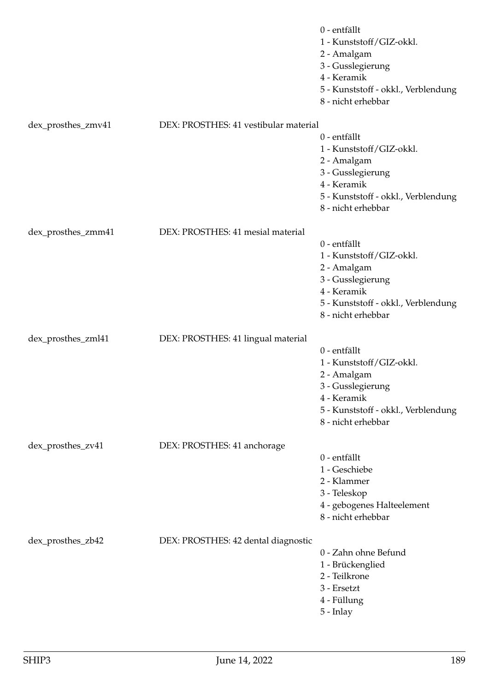|                    |                                       | 0 - entfällt<br>1 - Kunststoff/GIZ-okkl.<br>2 - Amalgam<br>3 - Gusslegierung<br>4 - Keramik<br>5 - Kunststoff - okkl., Verblendung<br>8 - nicht erhebbar |
|--------------------|---------------------------------------|----------------------------------------------------------------------------------------------------------------------------------------------------------|
| dex_prosthes_zmv41 | DEX: PROSTHES: 41 vestibular material |                                                                                                                                                          |
|                    |                                       | 0 - entfällt<br>1 - Kunststoff/GIZ-okkl.<br>2 - Amalgam<br>3 - Gusslegierung<br>4 - Keramik<br>5 - Kunststoff - okkl., Verblendung<br>8 - nicht erhebbar |
| dex_prosthes_zmm41 | DEX: PROSTHES: 41 mesial material     |                                                                                                                                                          |
|                    |                                       | 0 - entfällt<br>1 - Kunststoff/GIZ-okkl.<br>2 - Amalgam<br>3 - Gusslegierung<br>4 - Keramik<br>5 - Kunststoff - okkl., Verblendung<br>8 - nicht erhebbar |
| dex_prosthes_zml41 | DEX: PROSTHES: 41 lingual material    |                                                                                                                                                          |
|                    |                                       | 0 - entfällt<br>1 - Kunststoff/GIZ-okkl.<br>2 - Amalgam<br>3 - Gusslegierung<br>4 - Keramik<br>5 - Kunststoff - okkl., Verblendung<br>8 - nicht erhebbar |
| dex_prosthes_zv41  | DEX: PROSTHES: 41 anchorage           |                                                                                                                                                          |
|                    |                                       | 0 - entfällt<br>1 - Geschiebe<br>2 - Klammer<br>3 - Teleskop<br>4 - gebogenes Halteelement<br>8 - nicht erhebbar                                         |
| dex_prosthes_zb42  | DEX: PROSTHES: 42 dental diagnostic   | 0 - Zahn ohne Befund<br>1 - Brückenglied<br>2 - Teilkrone<br>3 - Ersetzt<br>4 - Füllung<br>5 - Inlay                                                     |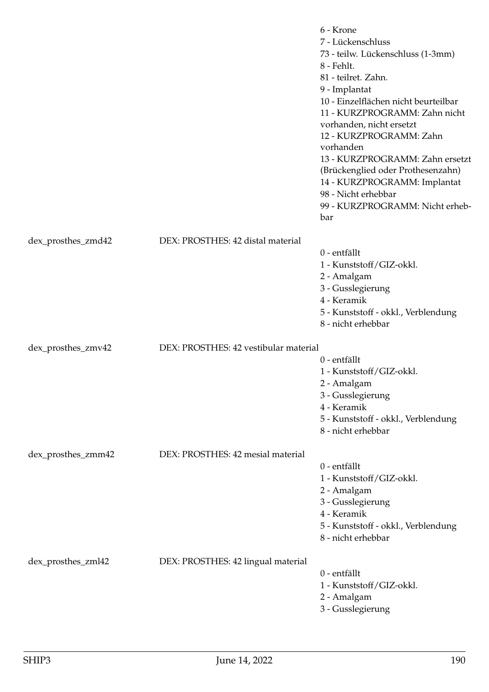|                    |                                       | 6 - Krone<br>7 - Lückenschluss<br>73 - teilw. Lückenschluss (1-3mm)<br>8 - Fehlt.<br>81 - teilret. Zahn.<br>9 - Implantat<br>10 - Einzelflächen nicht beurteilbar<br>11 - KURZPROGRAMM: Zahn nicht<br>vorhanden, nicht ersetzt<br>12 - KURZPROGRAMM: Zahn<br>vorhanden<br>13 - KURZPROGRAMM: Zahn ersetzt<br>(Brückenglied oder Prothesenzahn)<br>14 - KURZPROGRAMM: Implantat<br>98 - Nicht erhebbar<br>99 - KURZPROGRAMM: Nicht erheb-<br>bar |
|--------------------|---------------------------------------|-------------------------------------------------------------------------------------------------------------------------------------------------------------------------------------------------------------------------------------------------------------------------------------------------------------------------------------------------------------------------------------------------------------------------------------------------|
| dex_prosthes_zmd42 | DEX: PROSTHES: 42 distal material     |                                                                                                                                                                                                                                                                                                                                                                                                                                                 |
|                    |                                       | 0 - entfällt<br>1 - Kunststoff/GIZ-okkl.<br>2 - Amalgam<br>3 - Gusslegierung<br>4 - Keramik<br>5 - Kunststoff - okkl., Verblendung<br>8 - nicht erhebbar                                                                                                                                                                                                                                                                                        |
| dex_prosthes_zmv42 | DEX: PROSTHES: 42 vestibular material |                                                                                                                                                                                                                                                                                                                                                                                                                                                 |
|                    |                                       | 0 - entfällt<br>1 - Kunststoff/GIZ-okkl.<br>2 - Amalgam<br>3 - Gusslegierung<br>4 - Keramik<br>5 - Kunststoff - okkl., Verblendung<br>8 - nicht erhebbar                                                                                                                                                                                                                                                                                        |
| dex_prosthes_zmm42 | DEX: PROSTHES: 42 mesial material     |                                                                                                                                                                                                                                                                                                                                                                                                                                                 |
|                    |                                       | 0 - entfällt<br>1 - Kunststoff/GIZ-okkl.<br>2 - Amalgam<br>3 - Gusslegierung<br>4 - Keramik<br>5 - Kunststoff - okkl., Verblendung<br>8 - nicht erhebbar                                                                                                                                                                                                                                                                                        |
| dex_prosthes_zml42 | DEX: PROSTHES: 42 lingual material    | 0 - entfällt<br>1 - Kunststoff/GIZ-okkl.<br>2 - Amalgam<br>3 - Gusslegierung                                                                                                                                                                                                                                                                                                                                                                    |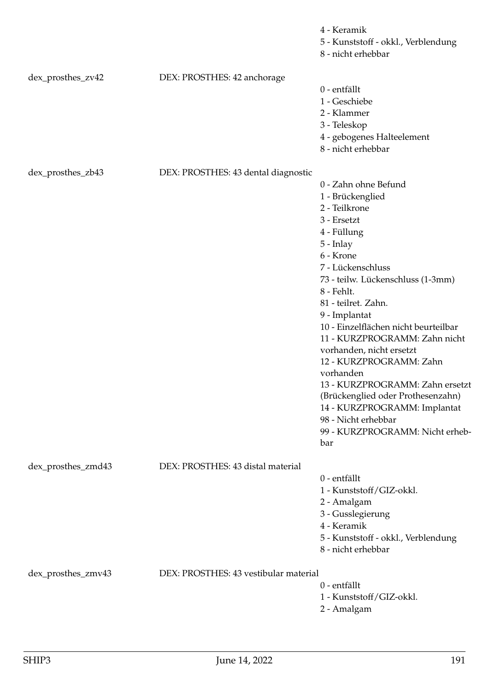|                    |                                       | 4 - Keramik<br>5 - Kunststoff - okkl., Verblendung<br>8 - nicht erhebbar                                                                                                                                                                                                                                                                                                                                                                                                                                                                                  |
|--------------------|---------------------------------------|-----------------------------------------------------------------------------------------------------------------------------------------------------------------------------------------------------------------------------------------------------------------------------------------------------------------------------------------------------------------------------------------------------------------------------------------------------------------------------------------------------------------------------------------------------------|
| dex_prosthes_zv42  | DEX: PROSTHES: 42 anchorage           | 0 - entfällt<br>1 - Geschiebe<br>2 - Klammer<br>3 - Teleskop<br>4 - gebogenes Halteelement<br>8 - nicht erhebbar                                                                                                                                                                                                                                                                                                                                                                                                                                          |
| dex_prosthes_zb43  | DEX: PROSTHES: 43 dental diagnostic   | 0 - Zahn ohne Befund<br>1 - Brückenglied<br>2 - Teilkrone<br>3 - Ersetzt<br>4 - Füllung<br>$5$ - Inlay<br>6 - Krone<br>7 - Lückenschluss<br>73 - teilw. Lückenschluss (1-3mm)<br>8 - Fehlt.<br>81 - teilret. Zahn.<br>9 - Implantat<br>10 - Einzelflächen nicht beurteilbar<br>11 - KURZPROGRAMM: Zahn nicht<br>vorhanden, nicht ersetzt<br>12 - KURZPROGRAMM: Zahn<br>vorhanden<br>13 - KURZPROGRAMM: Zahn ersetzt<br>(Brückenglied oder Prothesenzahn)<br>14 - KURZPROGRAMM: Implantat<br>98 - Nicht erhebbar<br>99 - KURZPROGRAMM: Nicht erheb-<br>bar |
| dex_prosthes_zmd43 | DEX: PROSTHES: 43 distal material     | 0 - entfällt<br>1 - Kunststoff/GIZ-okkl.<br>2 - Amalgam<br>3 - Gusslegierung<br>4 - Keramik<br>5 - Kunststoff - okkl., Verblendung<br>8 - nicht erhebbar                                                                                                                                                                                                                                                                                                                                                                                                  |
| dex_prosthes_zmv43 | DEX: PROSTHES: 43 vestibular material | 0 - entfällt<br>1 - Kunststoff/GIZ-okkl.<br>2 - Amalgam                                                                                                                                                                                                                                                                                                                                                                                                                                                                                                   |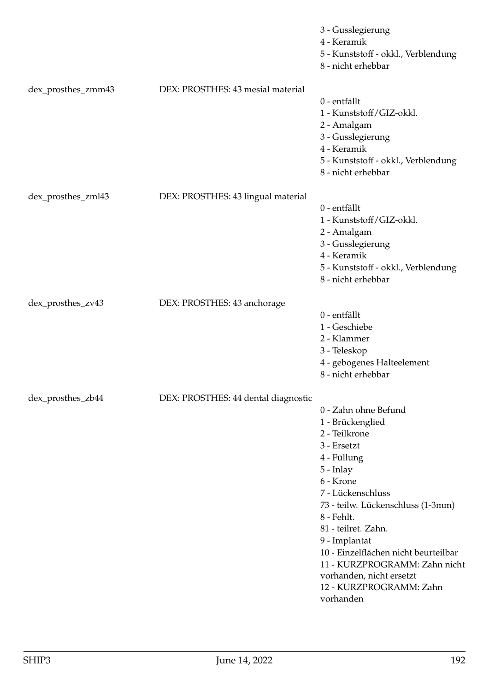|                    |                                     | 3 - Gusslegierung<br>4 - Keramik<br>5 - Kunststoff - okkl., Verblendung<br>8 - nicht erhebbar                                                                                                                                                                                                                                                                                  |
|--------------------|-------------------------------------|--------------------------------------------------------------------------------------------------------------------------------------------------------------------------------------------------------------------------------------------------------------------------------------------------------------------------------------------------------------------------------|
| dex_prosthes_zmm43 | DEX: PROSTHES: 43 mesial material   | 0 - entfällt<br>1 - Kunststoff/GIZ-okkl.<br>2 - Amalgam<br>3 - Gusslegierung<br>4 - Keramik<br>5 - Kunststoff - okkl., Verblendung<br>8 - nicht erhebbar                                                                                                                                                                                                                       |
| dex_prosthes_zml43 | DEX: PROSTHES: 43 lingual material  | 0 - entfällt<br>1 - Kunststoff/GIZ-okkl.<br>2 - Amalgam<br>3 - Gusslegierung<br>4 - Keramik<br>5 - Kunststoff - okkl., Verblendung<br>8 - nicht erhebbar                                                                                                                                                                                                                       |
| dex_prosthes_zv43  | DEX: PROSTHES: 43 anchorage         | 0 - entfällt<br>1 - Geschiebe<br>2 - Klammer<br>3 - Teleskop<br>4 - gebogenes Halteelement<br>8 - nicht erhebbar                                                                                                                                                                                                                                                               |
| dex_prosthes_zb44  | DEX: PROSTHES: 44 dental diagnostic | 0 - Zahn ohne Befund<br>1 - Brückenglied<br>2 - Teilkrone<br>3 - Ersetzt<br>4 - Füllung<br>5 - Inlay<br>6 - Krone<br>7 - Lückenschluss<br>73 - teilw. Lückenschluss (1-3mm)<br>8 - Fehlt.<br>81 - teilret. Zahn.<br>9 - Implantat<br>10 - Einzelflächen nicht beurteilbar<br>11 - KURZPROGRAMM: Zahn nicht<br>vorhanden, nicht ersetzt<br>12 - KURZPROGRAMM: Zahn<br>vorhanden |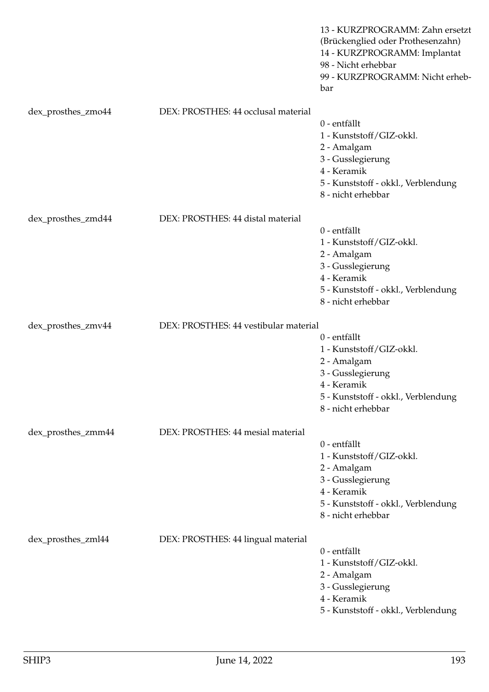|                    |                                       | 13 - KURZPROGRAMM: Zahn ersetzt<br>(Brückenglied oder Prothesenzahn)<br>14 - KURZPROGRAMM: Implantat<br>98 - Nicht erhebbar<br>99 - KURZPROGRAMM: Nicht erheb-<br>bar |
|--------------------|---------------------------------------|-----------------------------------------------------------------------------------------------------------------------------------------------------------------------|
| dex_prosthes_zmo44 | DEX: PROSTHES: 44 occlusal material   | 0 - entfällt<br>1 - Kunststoff/GIZ-okkl.<br>2 - Amalgam<br>3 - Gusslegierung<br>4 - Keramik<br>5 - Kunststoff - okkl., Verblendung<br>8 - nicht erhebbar              |
| dex_prosthes_zmd44 | DEX: PROSTHES: 44 distal material     | 0 - entfällt<br>1 - Kunststoff/GIZ-okkl.<br>2 - Amalgam<br>3 - Gusslegierung<br>4 - Keramik<br>5 - Kunststoff - okkl., Verblendung<br>8 - nicht erhebbar              |
| dex_prosthes_zmv44 | DEX: PROSTHES: 44 vestibular material | 0 - entfällt<br>1 - Kunststoff/GIZ-okkl.<br>2 - Amalgam<br>3 - Gusslegierung<br>4 - Keramik<br>5 - Kunststoff - okkl., Verblendung<br>8 - nicht erhebbar              |
| dex_prosthes_zmm44 | DEX: PROSTHES: 44 mesial material     | 0 - entfällt<br>1 - Kunststoff/GIZ-okkl.<br>2 - Amalgam<br>3 - Gusslegierung<br>4 - Keramik<br>5 - Kunststoff - okkl., Verblendung<br>8 - nicht erhebbar              |
| dex_prosthes_zml44 | DEX: PROSTHES: 44 lingual material    | 0 - entfällt<br>1 - Kunststoff/GIZ-okkl.<br>2 - Amalgam<br>3 - Gusslegierung<br>4 - Keramik<br>5 - Kunststoff - okkl., Verblendung                                    |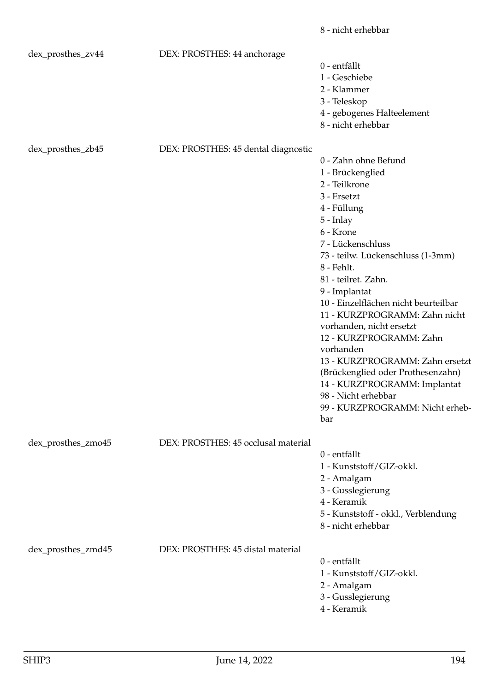|                    |                                     | 8 - nicht erhebbar                                                                                                                                                                                                                                                                                                                                                                                                                                                                                                                                        |
|--------------------|-------------------------------------|-----------------------------------------------------------------------------------------------------------------------------------------------------------------------------------------------------------------------------------------------------------------------------------------------------------------------------------------------------------------------------------------------------------------------------------------------------------------------------------------------------------------------------------------------------------|
| dex_prosthes_zv44  | DEX: PROSTHES: 44 anchorage         | 0 - entfällt<br>1 - Geschiebe<br>2 - Klammer                                                                                                                                                                                                                                                                                                                                                                                                                                                                                                              |
|                    |                                     | 3 - Teleskop<br>4 - gebogenes Halteelement<br>8 - nicht erhebbar                                                                                                                                                                                                                                                                                                                                                                                                                                                                                          |
| dex_prosthes_zb45  | DEX: PROSTHES: 45 dental diagnostic |                                                                                                                                                                                                                                                                                                                                                                                                                                                                                                                                                           |
|                    |                                     | 0 - Zahn ohne Befund<br>1 - Brückenglied<br>2 - Teilkrone<br>3 - Ersetzt<br>4 - Füllung<br>$5$ - Inlay<br>6 - Krone<br>7 - Lückenschluss<br>73 - teilw. Lückenschluss (1-3mm)<br>8 - Fehlt.<br>81 - teilret. Zahn.<br>9 - Implantat<br>10 - Einzelflächen nicht beurteilbar<br>11 - KURZPROGRAMM: Zahn nicht<br>vorhanden, nicht ersetzt<br>12 - KURZPROGRAMM: Zahn<br>vorhanden<br>13 - KURZPROGRAMM: Zahn ersetzt<br>(Brückenglied oder Prothesenzahn)<br>14 - KURZPROGRAMM: Implantat<br>98 - Nicht erhebbar<br>99 - KURZPROGRAMM: Nicht erheb-<br>bar |
| dex_prosthes_zmo45 | DEX: PROSTHES: 45 occlusal material | 0 - entfällt<br>1 - Kunststoff/GIZ-okkl.<br>2 - Amalgam<br>3 - Gusslegierung<br>4 - Keramik<br>5 - Kunststoff - okkl., Verblendung<br>8 - nicht erhebbar                                                                                                                                                                                                                                                                                                                                                                                                  |
| dex_prosthes_zmd45 | DEX: PROSTHES: 45 distal material   | 0 - entfällt<br>1 - Kunststoff/GIZ-okkl.<br>2 - Amalgam<br>3 - Gusslegierung<br>4 - Keramik                                                                                                                                                                                                                                                                                                                                                                                                                                                               |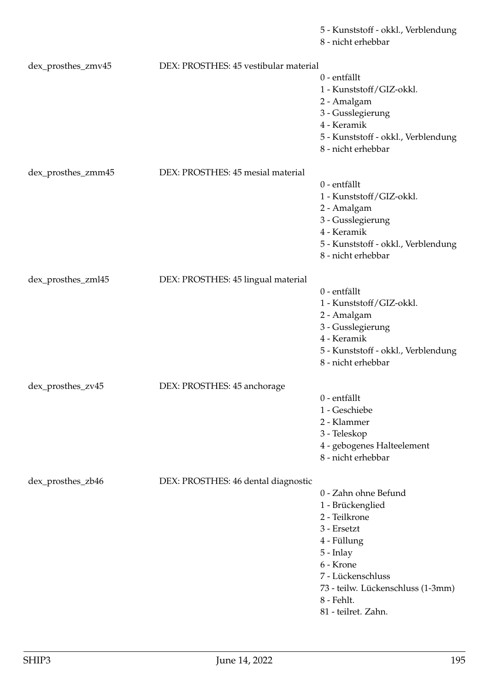5 - Kunststoff - okkl., Verblendung

8 - nicht erhebbar

| dex_prosthes_zmv45 | DEX: PROSTHES: 45 vestibular material |                                     |
|--------------------|---------------------------------------|-------------------------------------|
|                    |                                       | 0 - entfällt                        |
|                    |                                       | 1 - Kunststoff/GIZ-okkl.            |
|                    |                                       | 2 - Amalgam                         |
|                    |                                       | 3 - Gusslegierung                   |
|                    |                                       | 4 - Keramik                         |
|                    |                                       |                                     |
|                    |                                       | 5 - Kunststoff - okkl., Verblendung |
|                    |                                       | 8 - nicht erhebbar                  |
|                    |                                       |                                     |
| dex_prosthes_zmm45 | DEX: PROSTHES: 45 mesial material     |                                     |
|                    |                                       | 0 - entfällt                        |
|                    |                                       | 1 - Kunststoff/GIZ-okkl.            |
|                    |                                       | 2 - Amalgam                         |
|                    |                                       | 3 - Gusslegierung                   |
|                    |                                       | 4 - Keramik                         |
|                    |                                       | 5 - Kunststoff - okkl., Verblendung |
|                    |                                       | 8 - nicht erhebbar                  |
|                    |                                       |                                     |
| dex_prosthes_zml45 | DEX: PROSTHES: 45 lingual material    |                                     |
|                    |                                       | 0 - entfällt                        |
|                    |                                       | 1 - Kunststoff/GIZ-okkl.            |
|                    |                                       |                                     |
|                    |                                       | 2 - Amalgam                         |
|                    |                                       | 3 - Gusslegierung                   |
|                    |                                       | 4 - Keramik                         |
|                    |                                       | 5 - Kunststoff - okkl., Verblendung |
|                    |                                       | 8 - nicht erhebbar                  |
|                    |                                       |                                     |
| dex_prosthes_zv45  | DEX: PROSTHES: 45 anchorage           |                                     |
|                    |                                       | 0 - entfällt                        |
|                    |                                       | 1 - Geschiebe                       |
|                    |                                       | 2 - Klammer                         |
|                    |                                       | 3 - Teleskop                        |
|                    |                                       | 4 - gebogenes Halteelement          |
|                    |                                       | 8 - nicht erhebbar                  |
|                    |                                       |                                     |
| dex_prosthes_zb46  | DEX: PROSTHES: 46 dental diagnostic   |                                     |
|                    |                                       | 0 - Zahn ohne Befund                |
|                    |                                       |                                     |
|                    |                                       | 1 - Brückenglied                    |
|                    |                                       | 2 - Teilkrone                       |
|                    |                                       | 3 - Ersetzt                         |
|                    |                                       | 4 - Füllung                         |
|                    |                                       | 5 - Inlay                           |
|                    |                                       | 6 - Krone                           |
|                    |                                       | 7 - Lückenschluss                   |
|                    |                                       | 73 - teilw. Lückenschluss (1-3mm)   |
|                    |                                       | 8 - Fehlt.                          |
|                    |                                       | 81 - teilret. Zahn.                 |
|                    |                                       |                                     |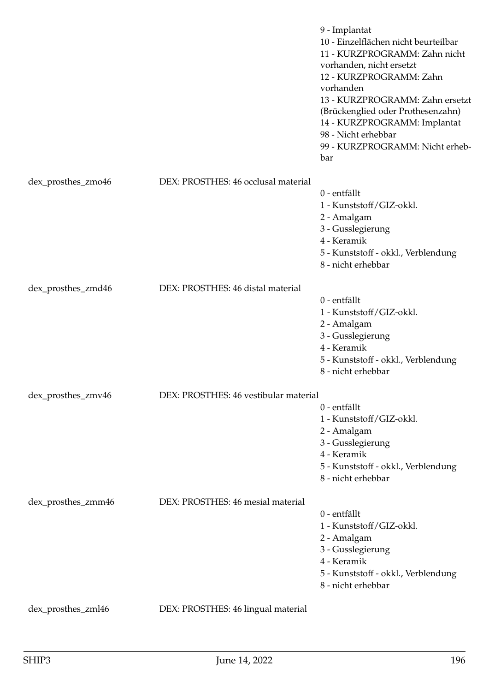|                    |                                       | 9 - Implantat<br>10 - Einzelflächen nicht beurteilbar<br>11 - KURZPROGRAMM: Zahn nicht<br>vorhanden, nicht ersetzt<br>12 - KURZPROGRAMM: Zahn<br>vorhanden<br>13 - KURZPROGRAMM: Zahn ersetzt<br>(Brückenglied oder Prothesenzahn)<br>14 - KURZPROGRAMM: Implantat<br>98 - Nicht erhebbar<br>99 - KURZPROGRAMM: Nicht erheb-<br>bar |
|--------------------|---------------------------------------|-------------------------------------------------------------------------------------------------------------------------------------------------------------------------------------------------------------------------------------------------------------------------------------------------------------------------------------|
| dex_prosthes_zmo46 | DEX: PROSTHES: 46 occlusal material   |                                                                                                                                                                                                                                                                                                                                     |
|                    |                                       | 0 - entfällt<br>1 - Kunststoff/GIZ-okkl.<br>2 - Amalgam<br>3 - Gusslegierung<br>4 - Keramik<br>5 - Kunststoff - okkl., Verblendung<br>8 - nicht erhebbar                                                                                                                                                                            |
| dex_prosthes_zmd46 | DEX: PROSTHES: 46 distal material     | 0 - entfällt<br>1 - Kunststoff/GIZ-okkl.<br>2 - Amalgam<br>3 - Gusslegierung<br>4 - Keramik<br>5 - Kunststoff - okkl., Verblendung<br>8 - nicht erhebbar                                                                                                                                                                            |
| dex_prosthes_zmv46 | DEX: PROSTHES: 46 vestibular material |                                                                                                                                                                                                                                                                                                                                     |
|                    |                                       | 0 - entfällt<br>1 - Kunststoff/GIZ-okkl.<br>2 - Amalgam<br>3 - Gusslegierung<br>4 - Keramik<br>5 - Kunststoff - okkl., Verblendung<br>8 - nicht erhebbar                                                                                                                                                                            |
| dex_prosthes_zmm46 | DEX: PROSTHES: 46 mesial material     | 0 - entfällt<br>1 - Kunststoff/GIZ-okkl.<br>2 - Amalgam<br>3 - Gusslegierung<br>4 - Keramik<br>5 - Kunststoff - okkl., Verblendung<br>8 - nicht erhebbar                                                                                                                                                                            |
| dex_prosthes_zml46 | DEX: PROSTHES: 46 lingual material    |                                                                                                                                                                                                                                                                                                                                     |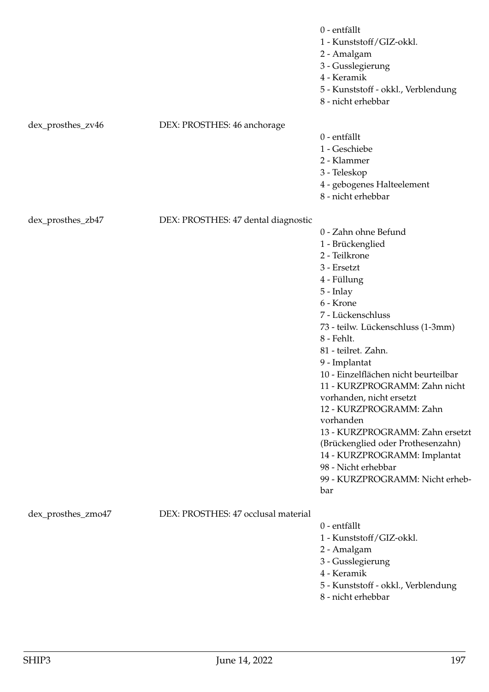|                    |                                     | 0 - entfällt<br>1 - Kunststoff/GIZ-okkl.<br>2 - Amalgam<br>3 - Gusslegierung<br>4 - Keramik<br>5 - Kunststoff - okkl., Verblendung<br>8 - nicht erhebbar                                                                                                                                                                                                                                                                                                                                                                                                  |
|--------------------|-------------------------------------|-----------------------------------------------------------------------------------------------------------------------------------------------------------------------------------------------------------------------------------------------------------------------------------------------------------------------------------------------------------------------------------------------------------------------------------------------------------------------------------------------------------------------------------------------------------|
| dex_prosthes_zv46  | DEX: PROSTHES: 46 anchorage         | 0 - entfällt<br>1 - Geschiebe<br>2 - Klammer<br>3 - Teleskop<br>4 - gebogenes Halteelement<br>8 - nicht erhebbar                                                                                                                                                                                                                                                                                                                                                                                                                                          |
| dex_prosthes_zb47  | DEX: PROSTHES: 47 dental diagnostic | 0 - Zahn ohne Befund<br>1 - Brückenglied<br>2 - Teilkrone<br>3 - Ersetzt<br>4 - Füllung<br>$5$ - Inlay<br>6 - Krone<br>7 - Lückenschluss<br>73 - teilw. Lückenschluss (1-3mm)<br>8 - Fehlt.<br>81 - teilret. Zahn.<br>9 - Implantat<br>10 - Einzelflächen nicht beurteilbar<br>11 - KURZPROGRAMM: Zahn nicht<br>vorhanden, nicht ersetzt<br>12 - KURZPROGRAMM: Zahn<br>vorhanden<br>13 - KURZPROGRAMM: Zahn ersetzt<br>(Brückenglied oder Prothesenzahn)<br>14 - KURZPROGRAMM: Implantat<br>98 - Nicht erhebbar<br>99 - KURZPROGRAMM: Nicht erheb-<br>bar |
| dex_prosthes_zmo47 | DEX: PROSTHES: 47 occlusal material | 0 - entfällt<br>1 - Kunststoff/GIZ-okkl.<br>2 - Amalgam<br>3 - Gusslegierung<br>4 - Keramik<br>5 - Kunststoff - okkl., Verblendung                                                                                                                                                                                                                                                                                                                                                                                                                        |

8 - nicht erhebbar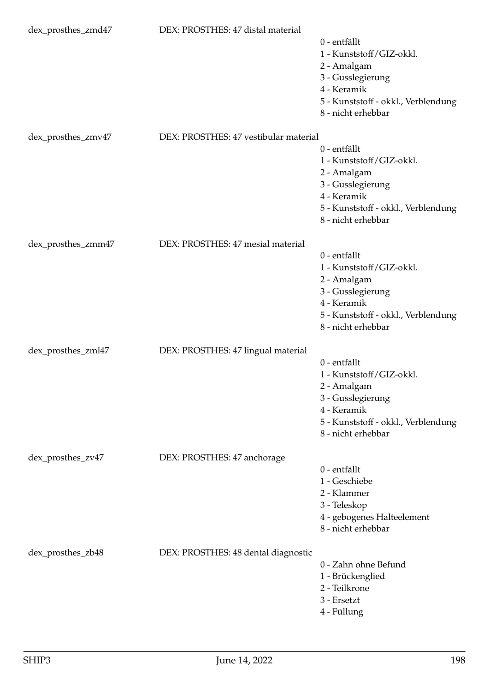| dex_prosthes_zmd47 | DEX: PROSTHES: 47 distal material     | 0 - entfällt<br>1 - Kunststoff/GIZ-okkl.<br>2 - Amalgam<br>3 - Gusslegierung<br>4 - Keramik<br>5 - Kunststoff - okkl., Verblendung<br>8 - nicht erhebbar |
|--------------------|---------------------------------------|----------------------------------------------------------------------------------------------------------------------------------------------------------|
| dex_prosthes_zmv47 | DEX: PROSTHES: 47 vestibular material | 0 - entfällt<br>1 - Kunststoff/GIZ-okkl.<br>2 - Amalgam<br>3 - Gusslegierung<br>4 - Keramik<br>5 - Kunststoff - okkl., Verblendung<br>8 - nicht erhebbar |
| dex_prosthes_zmm47 | DEX: PROSTHES: 47 mesial material     | 0 - entfällt<br>1 - Kunststoff/GIZ-okkl.<br>2 - Amalgam<br>3 - Gusslegierung<br>4 - Keramik<br>5 - Kunststoff - okkl., Verblendung<br>8 - nicht erhebbar |
| dex_prosthes_zml47 | DEX: PROSTHES: 47 lingual material    | 0 - entfällt<br>1 - Kunststoff/GIZ-okkl.<br>2 - Amalgam<br>3 - Gusslegierung<br>4 - Keramik<br>5 - Kunststoff - okkl., Verblendung<br>8 - nicht erhebbar |
| dex_prosthes_zv47  | DEX: PROSTHES: 47 anchorage           | 0 - entfällt<br>1 - Geschiebe<br>2 - Klammer<br>3 - Teleskop<br>4 - gebogenes Halteelement<br>8 - nicht erhebbar                                         |
| dex_prosthes_zb48  | DEX: PROSTHES: 48 dental diagnostic   | 0 - Zahn ohne Befund<br>1 - Brückenglied<br>2 - Teilkrone<br>3 - Ersetzt<br>4 - Füllung                                                                  |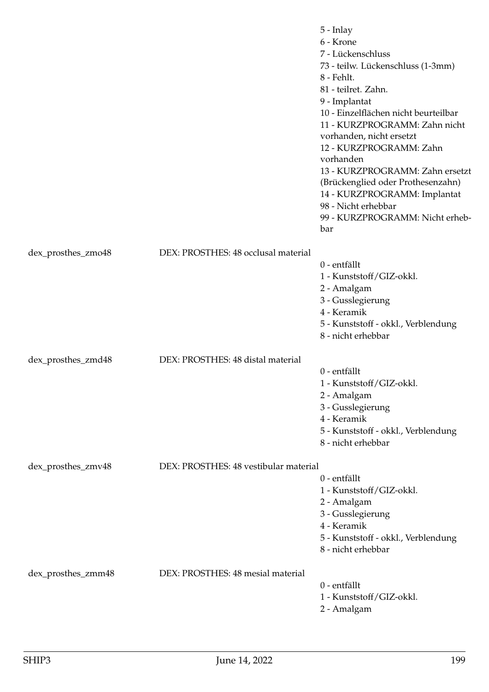|                    |                                       | 5 - Inlay<br>6 - Krone<br>7 - Lückenschluss<br>73 - teilw. Lückenschluss (1-3mm)<br>8 - Fehlt.<br>81 - teilret. Zahn.<br>9 - Implantat<br>10 - Einzelflächen nicht beurteilbar<br>11 - KURZPROGRAMM: Zahn nicht<br>vorhanden, nicht ersetzt<br>12 - KURZPROGRAMM: Zahn<br>vorhanden<br>13 - KURZPROGRAMM: Zahn ersetzt<br>(Brückenglied oder Prothesenzahn)<br>14 - KURZPROGRAMM: Implantat<br>98 - Nicht erhebbar<br>99 - KURZPROGRAMM: Nicht erheb-<br>bar |
|--------------------|---------------------------------------|--------------------------------------------------------------------------------------------------------------------------------------------------------------------------------------------------------------------------------------------------------------------------------------------------------------------------------------------------------------------------------------------------------------------------------------------------------------|
| dex_prosthes_zmo48 | DEX: PROSTHES: 48 occlusal material   |                                                                                                                                                                                                                                                                                                                                                                                                                                                              |
|                    |                                       | 0 - entfällt<br>1 - Kunststoff/GIZ-okkl.                                                                                                                                                                                                                                                                                                                                                                                                                     |
|                    |                                       | 2 - Amalgam                                                                                                                                                                                                                                                                                                                                                                                                                                                  |
|                    |                                       | 3 - Gusslegierung<br>4 - Keramik                                                                                                                                                                                                                                                                                                                                                                                                                             |
|                    |                                       | 5 - Kunststoff - okkl., Verblendung                                                                                                                                                                                                                                                                                                                                                                                                                          |
|                    |                                       | 8 - nicht erhebbar                                                                                                                                                                                                                                                                                                                                                                                                                                           |
| dex_prosthes_zmd48 | DEX: PROSTHES: 48 distal material     |                                                                                                                                                                                                                                                                                                                                                                                                                                                              |
|                    |                                       | 0 - entfällt                                                                                                                                                                                                                                                                                                                                                                                                                                                 |
|                    |                                       | 1 - Kunststoff/GIZ-okkl.<br>2 - Amalgam                                                                                                                                                                                                                                                                                                                                                                                                                      |
|                    |                                       | 3 - Gusslegierung                                                                                                                                                                                                                                                                                                                                                                                                                                            |
|                    |                                       | 4 - Keramik                                                                                                                                                                                                                                                                                                                                                                                                                                                  |
|                    |                                       | 5 - Kunststoff - okkl., Verblendung<br>8 - nicht erhebbar                                                                                                                                                                                                                                                                                                                                                                                                    |
|                    |                                       |                                                                                                                                                                                                                                                                                                                                                                                                                                                              |
| dex_prosthes_zmv48 | DEX: PROSTHES: 48 vestibular material | 0 - entfällt                                                                                                                                                                                                                                                                                                                                                                                                                                                 |
|                    |                                       | 1 - Kunststoff/GIZ-okkl.                                                                                                                                                                                                                                                                                                                                                                                                                                     |
|                    |                                       | 2 - Amalgam                                                                                                                                                                                                                                                                                                                                                                                                                                                  |
|                    |                                       | 3 - Gusslegierung                                                                                                                                                                                                                                                                                                                                                                                                                                            |
|                    |                                       | 4 - Keramik<br>5 - Kunststoff - okkl., Verblendung                                                                                                                                                                                                                                                                                                                                                                                                           |
|                    |                                       | 8 - nicht erhebbar                                                                                                                                                                                                                                                                                                                                                                                                                                           |
| dex_prosthes_zmm48 | DEX: PROSTHES: 48 mesial material     |                                                                                                                                                                                                                                                                                                                                                                                                                                                              |
|                    |                                       | 0 - entfällt                                                                                                                                                                                                                                                                                                                                                                                                                                                 |
|                    |                                       | 1 - Kunststoff/GIZ-okkl.                                                                                                                                                                                                                                                                                                                                                                                                                                     |
|                    |                                       | 2 - Amalgam                                                                                                                                                                                                                                                                                                                                                                                                                                                  |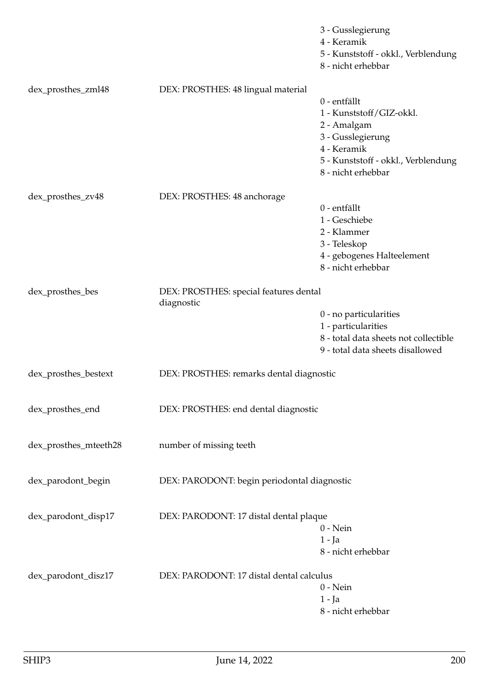|                       |                                                      | 3 - Gusslegierung<br>4 - Keramik<br>5 - Kunststoff - okkl., Verblendung<br>8 - nicht erhebbar                                      |
|-----------------------|------------------------------------------------------|------------------------------------------------------------------------------------------------------------------------------------|
| dex_prosthes_zml48    | DEX: PROSTHES: 48 lingual material                   | 0 - entfällt<br>1 - Kunststoff/GIZ-okkl.<br>2 - Amalgam<br>3 - Gusslegierung<br>4 - Keramik<br>5 - Kunststoff - okkl., Verblendung |
|                       |                                                      | 8 - nicht erhebbar                                                                                                                 |
| dex_prosthes_zv48     | DEX: PROSTHES: 48 anchorage                          |                                                                                                                                    |
|                       |                                                      | 0 - entfällt<br>1 - Geschiebe<br>2 - Klammer<br>3 - Teleskop<br>4 - gebogenes Halteelement<br>8 - nicht erhebbar                   |
| dex_prosthes_bes      | DEX: PROSTHES: special features dental<br>diagnostic |                                                                                                                                    |
|                       |                                                      | 0 - no particularities<br>1 - particularities<br>8 - total data sheets not collectible<br>9 - total data sheets disallowed         |
| dex_prosthes_bestext  | DEX: PROSTHES: remarks dental diagnostic             |                                                                                                                                    |
| dex_prosthes_end      | DEX: PROSTHES: end dental diagnostic                 |                                                                                                                                    |
| dex_prosthes_mteeth28 | number of missing teeth                              |                                                                                                                                    |
| dex_parodont_begin    | DEX: PARODONT: begin periodontal diagnostic          |                                                                                                                                    |
| dex_parodont_disp17   | DEX: PARODONT: 17 distal dental plaque               | $0$ - Nein<br>$1 - Ja$<br>8 - nicht erhebbar                                                                                       |
| dex_parodont_disz17   | DEX: PARODONT: 17 distal dental calculus             | $0$ - Nein<br>$1 - Ja$<br>8 - nicht erhebbar                                                                                       |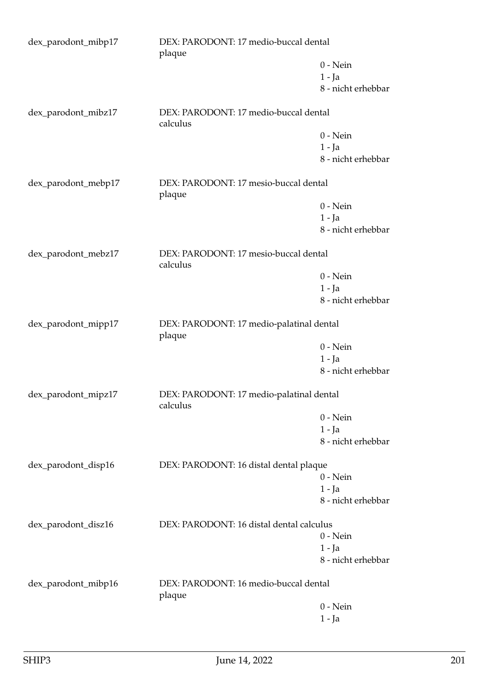| DEX: PARODONT: 17 medio-buccal dental<br>dex_parodont_mibp17<br>plaque |                                                      |                    |
|------------------------------------------------------------------------|------------------------------------------------------|--------------------|
|                                                                        |                                                      | $0$ - Nein         |
|                                                                        |                                                      | $1 - Ja$           |
|                                                                        |                                                      | 8 - nicht erhebbar |
| dex_parodont_mibz17                                                    | DEX: PARODONT: 17 medio-buccal dental<br>calculus    |                    |
|                                                                        |                                                      | $0$ - Nein         |
|                                                                        |                                                      | $1 - Ja$           |
|                                                                        |                                                      | 8 - nicht erhebbar |
| dex_parodont_mebp17                                                    | DEX: PARODONT: 17 mesio-buccal dental<br>plaque      |                    |
|                                                                        |                                                      | $0$ - Nein         |
|                                                                        |                                                      | $1 - Ja$           |
|                                                                        |                                                      | 8 - nicht erhebbar |
| dex_parodont_mebz17                                                    | DEX: PARODONT: 17 mesio-buccal dental<br>calculus    |                    |
|                                                                        |                                                      | $0$ - Nein         |
|                                                                        |                                                      | $1 - Ja$           |
|                                                                        |                                                      | 8 - nicht erhebbar |
| dex_parodont_mipp17                                                    | DEX: PARODONT: 17 medio-palatinal dental<br>plaque   |                    |
|                                                                        |                                                      | $0$ - Nein         |
|                                                                        |                                                      | $1 - Ja$           |
|                                                                        |                                                      | 8 - nicht erhebbar |
| dex_parodont_mipz17                                                    | DEX: PARODONT: 17 medio-palatinal dental<br>calculus |                    |
|                                                                        |                                                      | $0$ - Nein         |
|                                                                        |                                                      | $1 - Ja$           |
|                                                                        |                                                      | 8 - nicht erhebbar |
| dex_parodont_disp16                                                    | DEX: PARODONT: 16 distal dental plaque               |                    |
|                                                                        |                                                      | $0$ - Nein         |
|                                                                        |                                                      | $1 - Ja$           |
|                                                                        |                                                      | 8 - nicht erhebbar |
| dex_parodont_disz16                                                    | DEX: PARODONT: 16 distal dental calculus             |                    |
|                                                                        |                                                      | $0 - Nein$         |
|                                                                        |                                                      | $1 - Ja$           |
|                                                                        |                                                      | 8 - nicht erhebbar |
| dex_parodont_mibp16                                                    | DEX: PARODONT: 16 medio-buccal dental<br>plaque      |                    |
|                                                                        |                                                      | $0$ - Nein         |
|                                                                        |                                                      | $1 - Ja$           |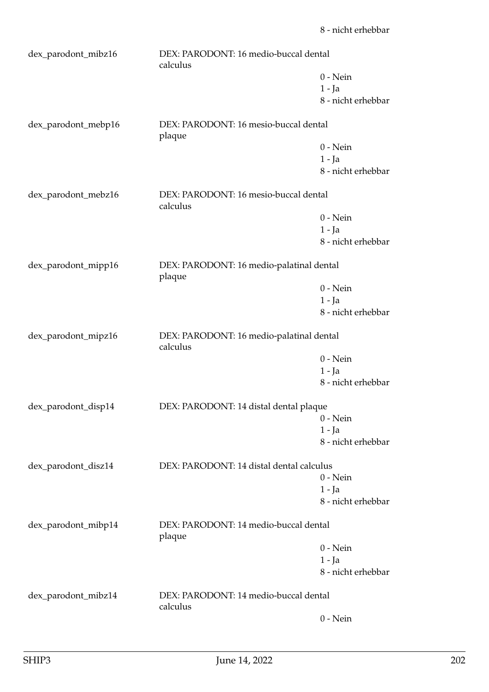| dex_parodont_mibz16 | DEX: PARODONT: 16 medio-buccal dental<br>calculus    |                    |
|---------------------|------------------------------------------------------|--------------------|
|                     |                                                      | $0$ - Nein         |
|                     |                                                      | $1 - Ja$           |
|                     |                                                      | 8 - nicht erhebbar |
| dex_parodont_mebp16 | DEX: PARODONT: 16 mesio-buccal dental<br>plaque      |                    |
|                     |                                                      | $0 - Nein$         |
|                     |                                                      | $1 - Ja$           |
|                     |                                                      | 8 - nicht erhebbar |
| dex_parodont_mebz16 | DEX: PARODONT: 16 mesio-buccal dental<br>calculus    |                    |
|                     |                                                      | $0$ - Nein         |
|                     |                                                      | $1 - Ja$           |
|                     |                                                      | 8 - nicht erhebbar |
| dex_parodont_mipp16 | DEX: PARODONT: 16 medio-palatinal dental<br>plaque   |                    |
|                     |                                                      | $0$ - Nein         |
|                     |                                                      | $1 - Ja$           |
|                     |                                                      | 8 - nicht erhebbar |
|                     |                                                      |                    |
| dex_parodont_mipz16 | DEX: PARODONT: 16 medio-palatinal dental<br>calculus |                    |
|                     |                                                      | $0$ - Nein         |
|                     |                                                      | $1 - Ja$           |
|                     |                                                      | 8 - nicht erhebbar |
| dex_parodont_disp14 | DEX: PARODONT: 14 distal dental plaque               |                    |
|                     |                                                      | $0$ - Nein         |
|                     |                                                      | 1 - Ja             |
|                     |                                                      | 8 - nicht erhebbar |
| dex_parodont_disz14 | DEX: PARODONT: 14 distal dental calculus             |                    |
|                     |                                                      | $0 - Nein$         |
|                     |                                                      | $1 - Ja$           |
|                     |                                                      | 8 - nicht erhebbar |
| dex_parodont_mibp14 | DEX: PARODONT: 14 medio-buccal dental<br>plaque      |                    |
|                     |                                                      | $0$ - Nein         |
|                     |                                                      | $1 - Ja$           |
|                     |                                                      | 8 - nicht erhebbar |
| dex_parodont_mibz14 | DEX: PARODONT: 14 medio-buccal dental<br>calculus    |                    |
|                     |                                                      | $0$ - Nein         |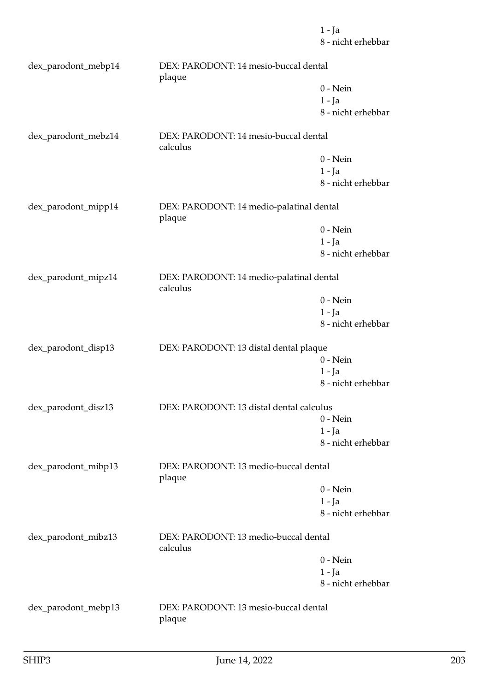1 - Ja 8 - nicht erhebbar dex\_parodont\_mebp14 DEX: PARODONT: 14 mesio-buccal dental plaque 0 - Nein 1 - Ja 8 - nicht erhebbar dex\_parodont\_mebz14 DEX: PARODONT: 14 mesio-buccal dental calculus 0 - Nein 1 - Ja 8 - nicht erhebbar dex\_parodont\_mipp14 DEX: PARODONT: 14 medio-palatinal dental plaque 0 - Nein 1 - Ja 8 - nicht erhebbar dex\_parodont\_mipz14 DEX: PARODONT: 14 medio-palatinal dental calculus 0 - Nein 1 - Ja 8 - nicht erhebbar dex\_parodont\_disp13 DEX: PARODONT: 13 distal dental plaque 0 - Nein 1 - Ja 8 - nicht erhebbar dex\_parodont\_disz13 DEX: PARODONT: 13 distal dental calculus 0 - Nein 1 - Ja 8 - nicht erhebbar dex\_parodont\_mibp13 DEX: PARODONT: 13 medio-buccal dental plaque 0 - Nein 1 - Ja 8 - nicht erhebbar dex\_parodont\_mibz13 DEX: PARODONT: 13 medio-buccal dental calculus 0 - Nein 1 - Ja 8 - nicht erhebbar

dex\_parodont\_mebp13 DEX: PARODONT: 13 mesio-buccal dental plaque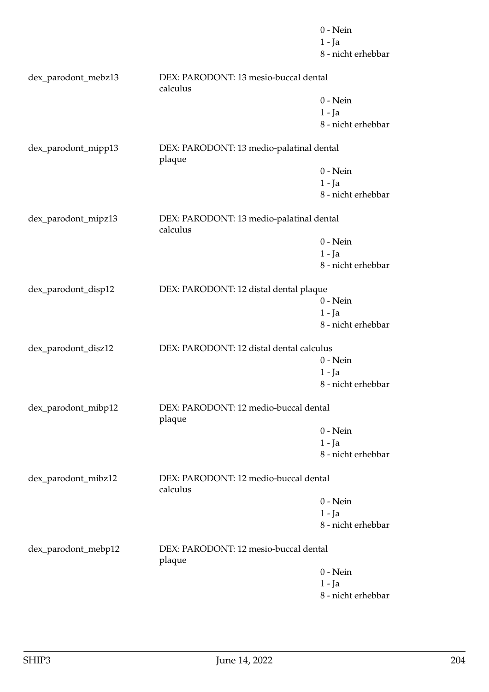|                     |                                                      | $0$ - Nein         |
|---------------------|------------------------------------------------------|--------------------|
|                     |                                                      | $1 - Ja$           |
|                     |                                                      | 8 - nicht erhebbar |
| dex_parodont_mebz13 | DEX: PARODONT: 13 mesio-buccal dental<br>calculus    |                    |
|                     |                                                      | $0$ - Nein         |
|                     |                                                      | $1 - Ja$           |
|                     |                                                      | 8 - nicht erhebbar |
| dex_parodont_mipp13 | DEX: PARODONT: 13 medio-palatinal dental<br>plaque   |                    |
|                     |                                                      | $0$ - Nein         |
|                     |                                                      | $1 - Ja$           |
|                     |                                                      | 8 - nicht erhebbar |
| dex_parodont_mipz13 | DEX: PARODONT: 13 medio-palatinal dental<br>calculus |                    |
|                     |                                                      | $0$ - Nein         |
|                     |                                                      | $1 - Ja$           |
|                     |                                                      | 8 - nicht erhebbar |
|                     |                                                      |                    |
| dex_parodont_disp12 | DEX: PARODONT: 12 distal dental plaque               |                    |
|                     |                                                      | $0$ - Nein         |
|                     |                                                      | $1 - Ja$           |
|                     |                                                      | 8 - nicht erhebbar |
| dex_parodont_disz12 | DEX: PARODONT: 12 distal dental calculus             |                    |
|                     |                                                      | $0$ - Nein         |
|                     |                                                      | $1 - Ja$           |
|                     |                                                      | 8 - nicht erhebbar |
| dex_parodont_mibp12 | DEX: PARODONT: 12 medio-buccal dental<br>plaque      |                    |
|                     |                                                      | $0$ - Nein         |
|                     |                                                      | $1 - Ja$           |
|                     |                                                      | 8 - nicht erhebbar |
| dex_parodont_mibz12 | DEX: PARODONT: 12 medio-buccal dental<br>calculus    |                    |
|                     |                                                      | $0$ - Nein         |
|                     |                                                      | $1 - Ja$           |
|                     |                                                      | 8 - nicht erhebbar |
| dex_parodont_mebp12 | DEX: PARODONT: 12 mesio-buccal dental<br>plaque      |                    |
|                     |                                                      | $0$ - Nein         |
|                     |                                                      | $1 - Ja$           |
|                     |                                                      | 8 - nicht erhebbar |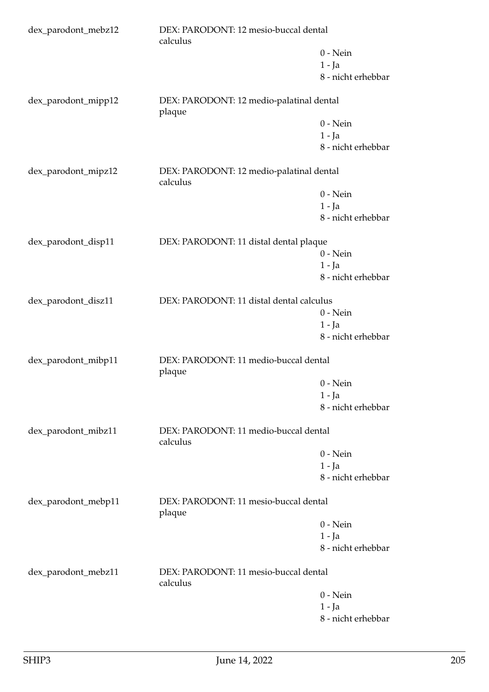| dex_parodont_mebz12 | DEX: PARODONT: 12 mesio-buccal dental<br>calculus    |                    |
|---------------------|------------------------------------------------------|--------------------|
|                     |                                                      | $0$ - Nein         |
|                     |                                                      | $1 - Ja$           |
|                     |                                                      | 8 - nicht erhebbar |
| dex_parodont_mipp12 | DEX: PARODONT: 12 medio-palatinal dental<br>plaque   |                    |
|                     |                                                      | $0 - Nein$         |
|                     |                                                      | $1 - Ja$           |
|                     |                                                      | 8 - nicht erhebbar |
| dex_parodont_mipz12 | DEX: PARODONT: 12 medio-palatinal dental<br>calculus |                    |
|                     |                                                      | $0$ - Nein         |
|                     |                                                      | $1 - Ja$           |
|                     |                                                      | 8 - nicht erhebbar |
| dex_parodont_disp11 | DEX: PARODONT: 11 distal dental plaque               |                    |
|                     |                                                      | $0$ - Nein         |
|                     |                                                      | $1 - Ja$           |
|                     |                                                      | 8 - nicht erhebbar |
| dex_parodont_disz11 | DEX: PARODONT: 11 distal dental calculus             |                    |
|                     |                                                      | $0 - Nein$         |
|                     |                                                      | $1 - Ja$           |
|                     |                                                      | 8 - nicht erhebbar |
| dex_parodont_mibp11 | DEX: PARODONT: 11 medio-buccal dental<br>plaque      |                    |
|                     |                                                      | $0$ - Nein         |
|                     |                                                      | $1 - Ja$           |
|                     |                                                      | 8 - nicht erhebbar |
| dex_parodont_mibz11 | DEX: PARODONT: 11 medio-buccal dental<br>calculus    |                    |
|                     |                                                      | $0$ - Nein         |
|                     |                                                      | $1 - Ja$           |
|                     |                                                      | 8 - nicht erhebbar |
| dex_parodont_mebp11 | DEX: PARODONT: 11 mesio-buccal dental<br>plaque      |                    |
|                     |                                                      | $0$ - Nein         |
|                     |                                                      | $1 - Ja$           |
|                     |                                                      | 8 - nicht erhebbar |
| dex_parodont_mebz11 | DEX: PARODONT: 11 mesio-buccal dental<br>calculus    |                    |
|                     |                                                      | $0$ - Nein         |
|                     |                                                      | $1 - Ja$           |
|                     |                                                      | 8 - nicht erhebbar |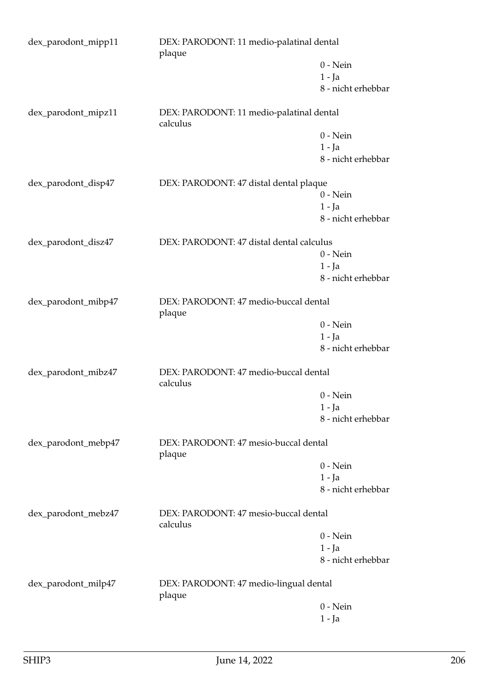| dex_parodont_mipp11<br>DEX: PARODONT: 11 medio-palatinal dental<br>plaque |                                                      |                    |
|---------------------------------------------------------------------------|------------------------------------------------------|--------------------|
|                                                                           |                                                      | $0$ - Nein         |
|                                                                           |                                                      | $1 - Ja$           |
|                                                                           |                                                      | 8 - nicht erhebbar |
| dex_parodont_mipz11                                                       | DEX: PARODONT: 11 medio-palatinal dental<br>calculus |                    |
|                                                                           |                                                      | $0$ - Nein         |
|                                                                           |                                                      | $1 - Ja$           |
|                                                                           |                                                      | 8 - nicht erhebbar |
| dex_parodont_disp47                                                       | DEX: PARODONT: 47 distal dental plaque               |                    |
|                                                                           |                                                      | $0$ - Nein         |
|                                                                           |                                                      | $1 - Ja$           |
|                                                                           |                                                      | 8 - nicht erhebbar |
| dex_parodont_disz47                                                       | DEX: PARODONT: 47 distal dental calculus             |                    |
|                                                                           |                                                      | $0 - Nein$         |
|                                                                           |                                                      | $1 - Ja$           |
|                                                                           |                                                      | 8 - nicht erhebbar |
| dex_parodont_mibp47                                                       | DEX: PARODONT: 47 medio-buccal dental<br>plaque      |                    |
|                                                                           |                                                      | $0$ - Nein         |
|                                                                           |                                                      | $1 - Ja$           |
|                                                                           |                                                      | 8 - nicht erhebbar |
| dex_parodont_mibz47                                                       | DEX: PARODONT: 47 medio-buccal dental<br>calculus    |                    |
|                                                                           |                                                      | $0$ - Nein         |
|                                                                           |                                                      | $1 - Ja$           |
|                                                                           |                                                      | 8 - nicht erhebbar |
| dex_parodont_mebp47                                                       | DEX: PARODONT: 47 mesio-buccal dental<br>plaque      |                    |
|                                                                           |                                                      | $0 - Nein$         |
|                                                                           |                                                      | $1 - Ja$           |
|                                                                           |                                                      | 8 - nicht erhebbar |
| dex_parodont_mebz47                                                       | DEX: PARODONT: 47 mesio-buccal dental<br>calculus    |                    |
|                                                                           |                                                      | $0$ - Nein         |
|                                                                           |                                                      | $1 - Ja$           |
|                                                                           |                                                      | 8 - nicht erhebbar |
| dex_parodont_milp47                                                       | DEX: PARODONT: 47 medio-lingual dental<br>plaque     |                    |
|                                                                           |                                                      | $0$ - Nein         |
|                                                                           |                                                      | $1 - Ja$           |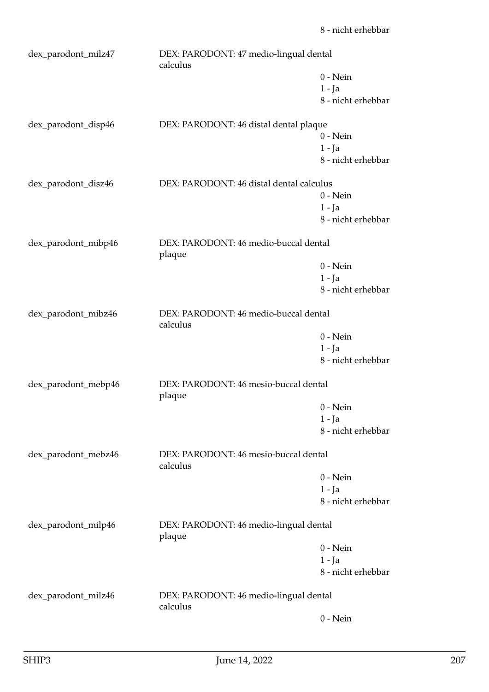| dex_parodont_milz47 | DEX: PARODONT: 47 medio-lingual dental<br>calculus |                                |
|---------------------|----------------------------------------------------|--------------------------------|
|                     |                                                    | $0$ - Nein                     |
|                     |                                                    | $1 - Ja$                       |
|                     |                                                    | 8 - nicht erhebbar             |
| dex_parodont_disp46 | DEX: PARODONT: 46 distal dental plaque             |                                |
|                     |                                                    | $0$ - Nein                     |
|                     |                                                    | $1 - Ja$                       |
|                     |                                                    | 8 - nicht erhebbar             |
| dex_parodont_disz46 | DEX: PARODONT: 46 distal dental calculus           |                                |
|                     |                                                    | $0$ - Nein                     |
|                     |                                                    | $1 - Ja$                       |
|                     |                                                    | 8 - nicht erhebbar             |
| dex_parodont_mibp46 | DEX: PARODONT: 46 medio-buccal dental<br>plaque    |                                |
|                     |                                                    | $0 - Nein$                     |
|                     |                                                    | $1 - Ja$                       |
|                     |                                                    | 8 - nicht erhebbar             |
| dex_parodont_mibz46 | DEX: PARODONT: 46 medio-buccal dental              |                                |
|                     | calculus                                           |                                |
|                     |                                                    | $0$ - Nein                     |
|                     |                                                    | $1 - Ja$<br>8 - nicht erhebbar |
|                     |                                                    |                                |
| dex_parodont_mebp46 | DEX: PARODONT: 46 mesio-buccal dental<br>plaque    |                                |
|                     |                                                    | $0$ - Nein                     |
|                     |                                                    | $1 - Ja$                       |
|                     |                                                    | 8 - nicht erhebbar             |
| dex_parodont_mebz46 | DEX: PARODONT: 46 mesio-buccal dental<br>calculus  |                                |
|                     |                                                    | $0$ - Nein                     |
|                     |                                                    | $1 - Ja$                       |
|                     |                                                    | 8 - nicht erhebbar             |
|                     |                                                    |                                |
| dex_parodont_milp46 | DEX: PARODONT: 46 medio-lingual dental<br>plaque   |                                |
|                     |                                                    | $0$ - Nein                     |
|                     |                                                    | $1 - Ja$                       |
|                     |                                                    | 8 - nicht erhebbar             |
| dex_parodont_milz46 | DEX: PARODONT: 46 medio-lingual dental<br>calculus |                                |
|                     |                                                    | $0$ - Nein                     |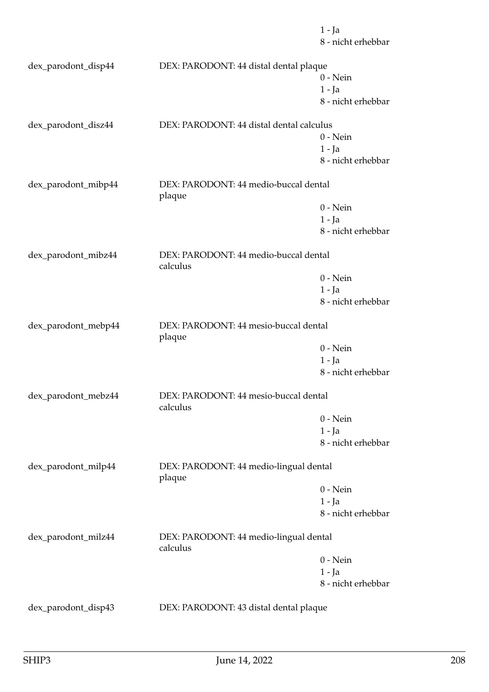|                     |                                                    | $1 - Ja$<br>8 - nicht erhebbar |
|---------------------|----------------------------------------------------|--------------------------------|
| dex_parodont_disp44 | DEX: PARODONT: 44 distal dental plaque             |                                |
|                     |                                                    | $0$ - Nein                     |
|                     |                                                    | $1 - Ja$                       |
|                     |                                                    | 8 - nicht erhebbar             |
| dex_parodont_disz44 | DEX: PARODONT: 44 distal dental calculus           |                                |
|                     |                                                    | $0 - Nein$                     |
|                     |                                                    | $1 - Ja$                       |
|                     |                                                    | 8 - nicht erhebbar             |
| dex_parodont_mibp44 | DEX: PARODONT: 44 medio-buccal dental<br>plaque    |                                |
|                     |                                                    | $0$ - Nein                     |
|                     |                                                    | $1 - Ja$                       |
|                     |                                                    | 8 - nicht erhebbar             |
| dex_parodont_mibz44 | DEX: PARODONT: 44 medio-buccal dental<br>calculus  |                                |
|                     |                                                    | $0$ - Nein                     |
|                     |                                                    | $1 - Ja$                       |
|                     |                                                    | 8 - nicht erhebbar             |
| dex_parodont_mebp44 | DEX: PARODONT: 44 mesio-buccal dental<br>plaque    |                                |
|                     |                                                    | $0 - Nein$                     |
|                     |                                                    | $1 - Ja$                       |
|                     |                                                    | 8 - nicht erhebbar             |
| dex_parodont_mebz44 | DEX: PARODONT: 44 mesio-buccal dental<br>calculus  |                                |
|                     |                                                    | $0$ - Nein                     |
|                     |                                                    | $1 - Ja$                       |
|                     |                                                    | 8 - nicht erhebbar             |
| dex_parodont_milp44 | DEX: PARODONT: 44 medio-lingual dental<br>plaque   |                                |
|                     |                                                    | $0$ - Nein                     |
|                     |                                                    | $1 - Ja$                       |
|                     |                                                    | 8 - nicht erhebbar             |
| dex_parodont_milz44 | DEX: PARODONT: 44 medio-lingual dental<br>calculus |                                |
|                     |                                                    | $0$ - Nein                     |
|                     |                                                    | $1 - Ja$                       |
|                     |                                                    | 8 - nicht erhebbar             |
| dex_parodont_disp43 | DEX: PARODONT: 43 distal dental plaque             |                                |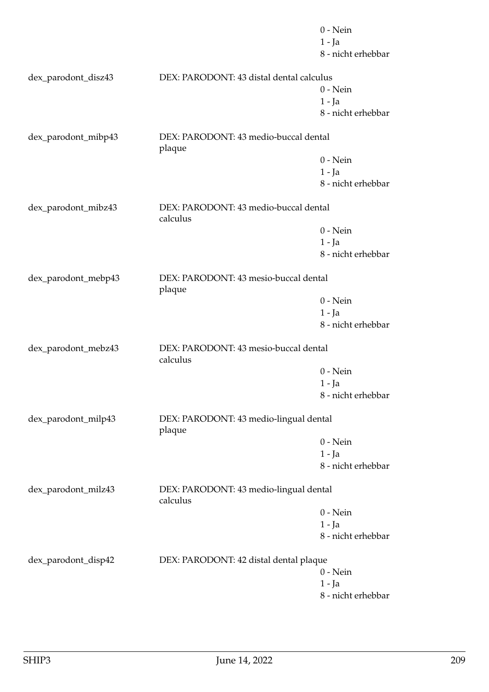|                     |                                                    | $0$ - Nein         |
|---------------------|----------------------------------------------------|--------------------|
|                     |                                                    | $1 - Ja$           |
|                     |                                                    | 8 - nicht erhebbar |
| dex_parodont_disz43 | DEX: PARODONT: 43 distal dental calculus           |                    |
|                     |                                                    | $0$ - Nein         |
|                     |                                                    | $1 - Ja$           |
|                     |                                                    | 8 - nicht erhebbar |
| dex_parodont_mibp43 | DEX: PARODONT: 43 medio-buccal dental<br>plaque    |                    |
|                     |                                                    | $0$ - Nein         |
|                     |                                                    | $1 - Ja$           |
|                     |                                                    | 8 - nicht erhebbar |
| dex_parodont_mibz43 | DEX: PARODONT: 43 medio-buccal dental<br>calculus  |                    |
|                     |                                                    | $0$ - Nein         |
|                     |                                                    | $1 - Ja$           |
|                     |                                                    | 8 - nicht erhebbar |
| dex_parodont_mebp43 | DEX: PARODONT: 43 mesio-buccal dental<br>plaque    |                    |
|                     |                                                    | $0$ - Nein         |
|                     |                                                    | $1 - Ja$           |
|                     |                                                    | 8 - nicht erhebbar |
| dex_parodont_mebz43 | DEX: PARODONT: 43 mesio-buccal dental<br>calculus  |                    |
|                     |                                                    | $0$ - Nein         |
|                     |                                                    | $1 - Ja$           |
|                     |                                                    | 8 - nicht erhebbar |
| dex_parodont_milp43 | DEX: PARODONT: 43 medio-lingual dental<br>plaque   |                    |
|                     |                                                    | $0$ - Nein         |
|                     |                                                    | $1 - Ja$           |
|                     |                                                    | 8 - nicht erhebbar |
| dex_parodont_milz43 | DEX: PARODONT: 43 medio-lingual dental<br>calculus |                    |
|                     |                                                    | $0$ - Nein         |
|                     |                                                    | 1 - Ja             |
|                     |                                                    | 8 - nicht erhebbar |
| dex_parodont_disp42 | DEX: PARODONT: 42 distal dental plaque             |                    |
|                     |                                                    | $0$ - Nein         |
|                     |                                                    | $1 - Ja$           |
|                     |                                                    | 8 - nicht erhebbar |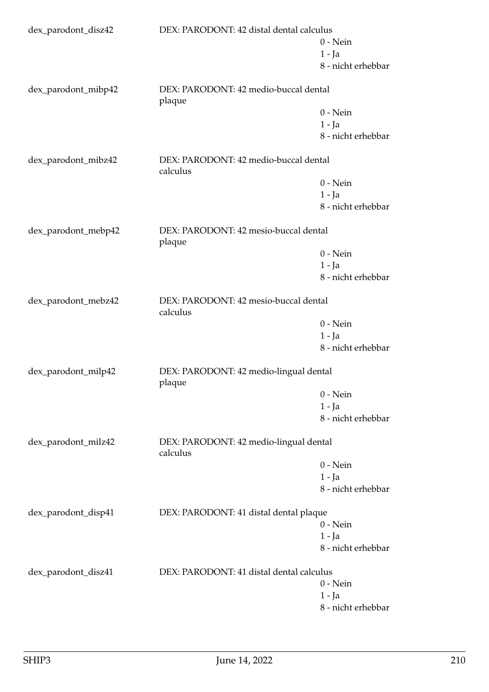| dex_parodont_disz42 |                                                    | DEX: PARODONT: 42 distal dental calculus |  |
|---------------------|----------------------------------------------------|------------------------------------------|--|
|                     |                                                    | $0$ - Nein                               |  |
|                     |                                                    | $1 - Ja$                                 |  |
|                     |                                                    | 8 - nicht erhebbar                       |  |
| dex_parodont_mibp42 | DEX: PARODONT: 42 medio-buccal dental<br>plaque    |                                          |  |
|                     |                                                    | $0 - Nein$                               |  |
|                     |                                                    | $1 - Ja$                                 |  |
|                     |                                                    | 8 - nicht erhebbar                       |  |
| dex_parodont_mibz42 | DEX: PARODONT: 42 medio-buccal dental<br>calculus  |                                          |  |
|                     |                                                    | $0$ - Nein                               |  |
|                     |                                                    | $1 - Ja$                                 |  |
|                     |                                                    | 8 - nicht erhebbar                       |  |
| dex_parodont_mebp42 | DEX: PARODONT: 42 mesio-buccal dental<br>plaque    |                                          |  |
|                     |                                                    | $0$ - Nein                               |  |
|                     |                                                    | $1 - Ja$                                 |  |
|                     |                                                    | 8 - nicht erhebbar                       |  |
| dex_parodont_mebz42 | calculus                                           | DEX: PARODONT: 42 mesio-buccal dental    |  |
|                     |                                                    | $0$ - Nein                               |  |
|                     |                                                    | $1 - Ja$                                 |  |
|                     |                                                    | 8 - nicht erhebbar                       |  |
| dex_parodont_milp42 | DEX: PARODONT: 42 medio-lingual dental<br>plaque   |                                          |  |
|                     |                                                    | $0$ - Nein                               |  |
|                     |                                                    | $1 - Ja$                                 |  |
|                     |                                                    | 8 - nicht erhebbar                       |  |
| dex_parodont_milz42 | DEX: PARODONT: 42 medio-lingual dental<br>calculus |                                          |  |
|                     |                                                    | $0$ - Nein                               |  |
|                     |                                                    | $1 - Ja$                                 |  |
|                     |                                                    | 8 - nicht erhebbar                       |  |
| dex_parodont_disp41 | DEX: PARODONT: 41 distal dental plaque             |                                          |  |
|                     |                                                    | $0$ - Nein                               |  |
|                     |                                                    | 1 - Ja                                   |  |
|                     |                                                    | 8 - nicht erhebbar                       |  |
| dex_parodont_disz41 | DEX: PARODONT: 41 distal dental calculus           |                                          |  |
|                     |                                                    | $0$ - Nein                               |  |
|                     |                                                    | 1 - Ja                                   |  |
|                     |                                                    | 8 - nicht erhebbar                       |  |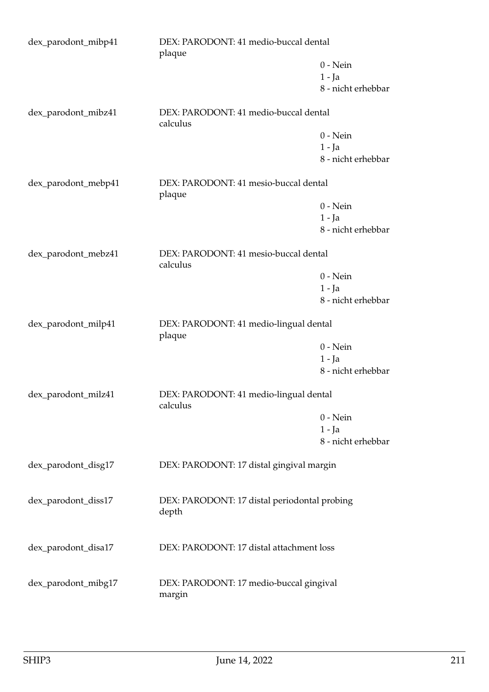| dex_parodont_mibp41 | DEX: PARODONT: 41 medio-buccal dental<br>plaque    |                    |
|---------------------|----------------------------------------------------|--------------------|
|                     |                                                    | $0$ - Nein         |
|                     |                                                    | $1 - Ja$           |
|                     |                                                    | 8 - nicht erhebbar |
| dex_parodont_mibz41 | DEX: PARODONT: 41 medio-buccal dental<br>calculus  |                    |
|                     |                                                    | $0$ - Nein         |
|                     |                                                    | $1 - Ja$           |
|                     |                                                    | 8 - nicht erhebbar |
| dex_parodont_mebp41 | DEX: PARODONT: 41 mesio-buccal dental<br>plaque    |                    |
|                     |                                                    | $0 - Nein$         |
|                     |                                                    | $1 - Ja$           |
|                     |                                                    | 8 - nicht erhebbar |
| dex_parodont_mebz41 | DEX: PARODONT: 41 mesio-buccal dental<br>calculus  |                    |
|                     |                                                    | $0$ - Nein         |
|                     |                                                    | $1 - Ja$           |
|                     |                                                    | 8 - nicht erhebbar |
| dex_parodont_milp41 | DEX: PARODONT: 41 medio-lingual dental<br>plaque   |                    |
|                     |                                                    | $0$ - Nein         |
|                     |                                                    | $1 - Ja$           |
|                     |                                                    | 8 - nicht erhebbar |
| dex_parodont_milz41 | DEX: PARODONT: 41 medio-lingual dental<br>calculus |                    |
|                     |                                                    | $0$ - Nein         |
|                     |                                                    | $1 - Ja$           |
|                     |                                                    | 8 - nicht erhebbar |
| dex_parodont_disg17 | DEX: PARODONT: 17 distal gingival margin           |                    |
| dex_parodont_diss17 | DEX: PARODONT: 17 distal periodontal probing       |                    |
|                     | depth                                              |                    |
| dex_parodont_disa17 | DEX: PARODONT: 17 distal attachment loss           |                    |
|                     |                                                    |                    |
| dex_parodont_mibg17 | DEX: PARODONT: 17 medio-buccal gingival<br>margin  |                    |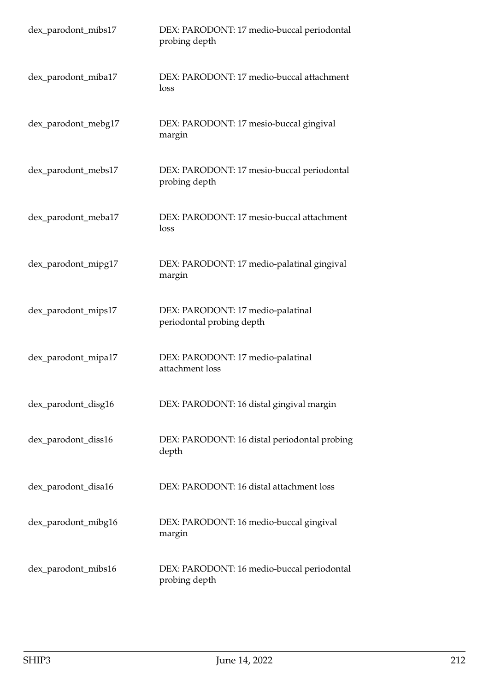| dex_parodont_mibs17 | DEX: PARODONT: 17 medio-buccal periodontal<br>probing depth    |
|---------------------|----------------------------------------------------------------|
| dex_parodont_miba17 | DEX: PARODONT: 17 medio-buccal attachment<br>loss              |
| dex_parodont_mebg17 | DEX: PARODONT: 17 mesio-buccal gingival<br>margin              |
| dex_parodont_mebs17 | DEX: PARODONT: 17 mesio-buccal periodontal<br>probing depth    |
| dex_parodont_meba17 | DEX: PARODONT: 17 mesio-buccal attachment<br>loss              |
| dex_parodont_mipg17 | DEX: PARODONT: 17 medio-palatinal gingival<br>margin           |
| dex_parodont_mips17 | DEX: PARODONT: 17 medio-palatinal<br>periodontal probing depth |
| dex_parodont_mipa17 | DEX: PARODONT: 17 medio-palatinal<br>attachment loss           |
| dex_parodont_disg16 | DEX: PARODONT: 16 distal gingival margin                       |
| dex_parodont_diss16 | DEX: PARODONT: 16 distal periodontal probing<br>depth          |
| dex_parodont_disa16 | DEX: PARODONT: 16 distal attachment loss                       |
| dex_parodont_mibg16 | DEX: PARODONT: 16 medio-buccal gingival<br>margin              |
| dex_parodont_mibs16 | DEX: PARODONT: 16 medio-buccal periodontal<br>probing depth    |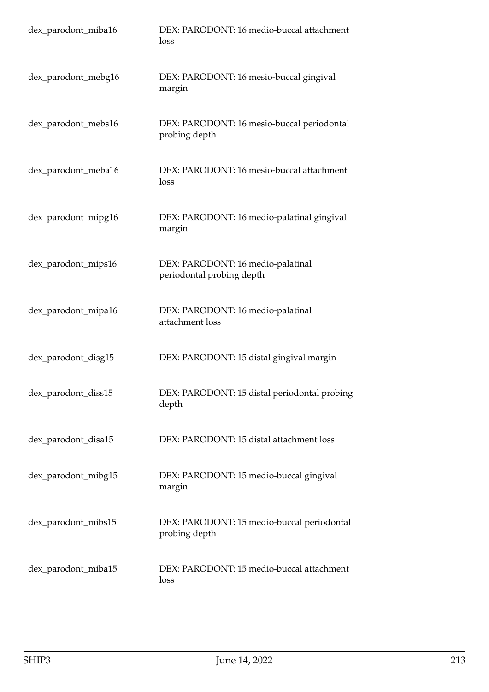| dex_parodont_miba16 | DEX: PARODONT: 16 medio-buccal attachment<br>loss              |
|---------------------|----------------------------------------------------------------|
| dex_parodont_mebg16 | DEX: PARODONT: 16 mesio-buccal gingival<br>margin              |
| dex_parodont_mebs16 | DEX: PARODONT: 16 mesio-buccal periodontal<br>probing depth    |
| dex_parodont_meba16 | DEX: PARODONT: 16 mesio-buccal attachment<br>loss              |
| dex_parodont_mipg16 | DEX: PARODONT: 16 medio-palatinal gingival<br>margin           |
| dex_parodont_mips16 | DEX: PARODONT: 16 medio-palatinal<br>periodontal probing depth |
| dex_parodont_mipa16 | DEX: PARODONT: 16 medio-palatinal<br>attachment loss           |
| dex_parodont_disg15 | DEX: PARODONT: 15 distal gingival margin                       |
| dex_parodont_diss15 | DEX: PARODONT: 15 distal periodontal probing<br>depth          |
| dex_parodont_disa15 | DEX: PARODONT: 15 distal attachment loss                       |
| dex_parodont_mibg15 | DEX: PARODONT: 15 medio-buccal gingival<br>margin              |
| dex_parodont_mibs15 | DEX: PARODONT: 15 medio-buccal periodontal<br>probing depth    |
| dex_parodont_miba15 | DEX: PARODONT: 15 medio-buccal attachment<br>loss              |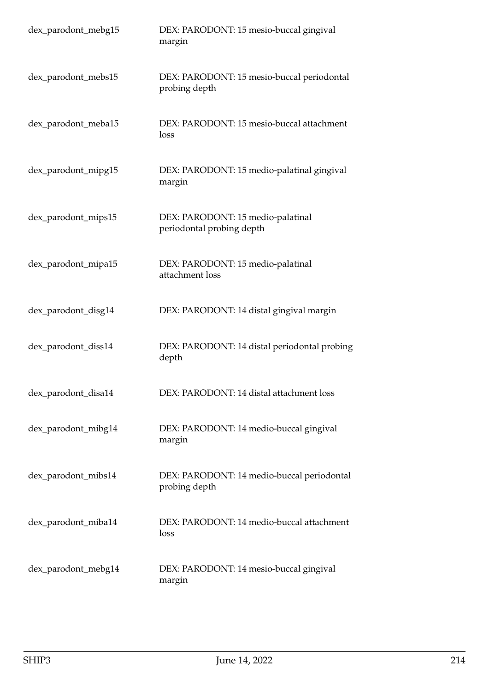| dex_parodont_mebg15 | DEX: PARODONT: 15 mesio-buccal gingival<br>margin              |
|---------------------|----------------------------------------------------------------|
| dex_parodont_mebs15 | DEX: PARODONT: 15 mesio-buccal periodontal<br>probing depth    |
| dex_parodont_meba15 | DEX: PARODONT: 15 mesio-buccal attachment<br>loss              |
| dex_parodont_mipg15 | DEX: PARODONT: 15 medio-palatinal gingival<br>margin           |
| dex_parodont_mips15 | DEX: PARODONT: 15 medio-palatinal<br>periodontal probing depth |
| dex_parodont_mipa15 | DEX: PARODONT: 15 medio-palatinal<br>attachment loss           |
| dex_parodont_disg14 | DEX: PARODONT: 14 distal gingival margin                       |
| dex_parodont_diss14 | DEX: PARODONT: 14 distal periodontal probing<br>depth          |
| dex_parodont_disa14 | DEX: PARODONT: 14 distal attachment loss                       |
| dex_parodont_mibg14 | DEX: PARODONT: 14 medio-buccal gingival<br>margin              |
| dex_parodont_mibs14 | DEX: PARODONT: 14 medio-buccal periodontal<br>probing depth    |
| dex_parodont_miba14 | DEX: PARODONT: 14 medio-buccal attachment<br>loss              |
| dex_parodont_mebg14 | DEX: PARODONT: 14 mesio-buccal gingival<br>margin              |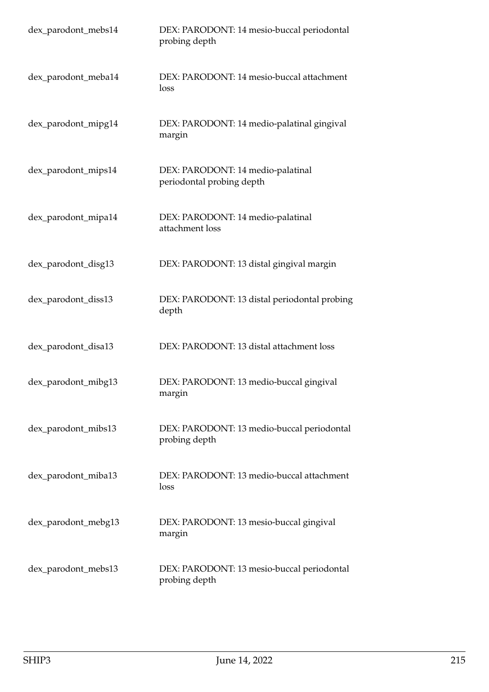| dex_parodont_mebs14 | DEX: PARODONT: 14 mesio-buccal periodontal<br>probing depth    |
|---------------------|----------------------------------------------------------------|
| dex_parodont_meba14 | DEX: PARODONT: 14 mesio-buccal attachment<br>loss              |
| dex_parodont_mipg14 | DEX: PARODONT: 14 medio-palatinal gingival<br>margin           |
| dex_parodont_mips14 | DEX: PARODONT: 14 medio-palatinal<br>periodontal probing depth |
| dex_parodont_mipa14 | DEX: PARODONT: 14 medio-palatinal<br>attachment loss           |
| dex_parodont_disg13 | DEX: PARODONT: 13 distal gingival margin                       |
| dex_parodont_diss13 | DEX: PARODONT: 13 distal periodontal probing<br>depth          |
| dex_parodont_disa13 | DEX: PARODONT: 13 distal attachment loss                       |
| dex_parodont_mibg13 | DEX: PARODONT: 13 medio-buccal gingival<br>margin              |
| dex_parodont_mibs13 | DEX: PARODONT: 13 medio-buccal periodontal<br>probing depth    |
| dex_parodont_miba13 | DEX: PARODONT: 13 medio-buccal attachment<br>loss              |
| dex_parodont_mebg13 | DEX: PARODONT: 13 mesio-buccal gingival<br>margin              |
| dex_parodont_mebs13 | DEX: PARODONT: 13 mesio-buccal periodontal<br>probing depth    |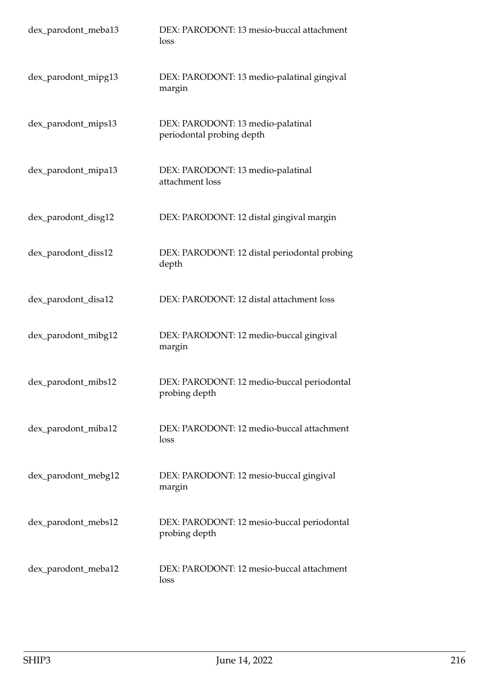| dex_parodont_meba13 | DEX: PARODONT: 13 mesio-buccal attachment<br>loss              |
|---------------------|----------------------------------------------------------------|
| dex_parodont_mipg13 | DEX: PARODONT: 13 medio-palatinal gingival<br>margin           |
| dex_parodont_mips13 | DEX: PARODONT: 13 medio-palatinal<br>periodontal probing depth |
| dex_parodont_mipa13 | DEX: PARODONT: 13 medio-palatinal<br>attachment loss           |
| dex_parodont_disg12 | DEX: PARODONT: 12 distal gingival margin                       |
| dex_parodont_diss12 | DEX: PARODONT: 12 distal periodontal probing<br>depth          |
| dex_parodont_disa12 | DEX: PARODONT: 12 distal attachment loss                       |
| dex_parodont_mibg12 | DEX: PARODONT: 12 medio-buccal gingival<br>margin              |
| dex_parodont_mibs12 | DEX: PARODONT: 12 medio-buccal periodontal<br>probing depth    |
| dex_parodont_miba12 | DEX: PARODONT: 12 medio-buccal attachment<br>loss              |
| dex_parodont_mebg12 | DEX: PARODONT: 12 mesio-buccal gingival<br>margin              |
| dex_parodont_mebs12 | DEX: PARODONT: 12 mesio-buccal periodontal<br>probing depth    |
| dex_parodont_meba12 | DEX: PARODONT: 12 mesio-buccal attachment<br>loss              |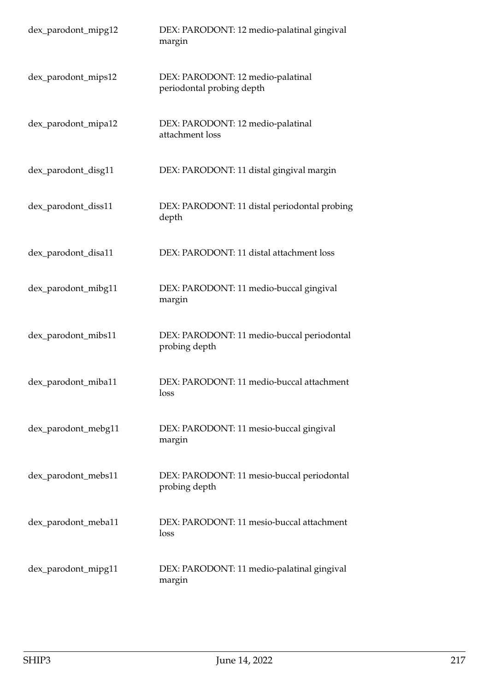| dex_parodont_mipg12 | DEX: PARODONT: 12 medio-palatinal gingival<br>margin           |
|---------------------|----------------------------------------------------------------|
| dex_parodont_mips12 | DEX: PARODONT: 12 medio-palatinal<br>periodontal probing depth |
| dex_parodont_mipa12 | DEX: PARODONT: 12 medio-palatinal<br>attachment loss           |
| dex_parodont_disg11 | DEX: PARODONT: 11 distal gingival margin                       |
| dex_parodont_diss11 | DEX: PARODONT: 11 distal periodontal probing<br>depth          |
| dex_parodont_disa11 | DEX: PARODONT: 11 distal attachment loss                       |
| dex_parodont_mibg11 | DEX: PARODONT: 11 medio-buccal gingival<br>margin              |
| dex_parodont_mibs11 | DEX: PARODONT: 11 medio-buccal periodontal<br>probing depth    |
| dex_parodont_miba11 | DEX: PARODONT: 11 medio-buccal attachment<br>loss              |
| dex_parodont_mebg11 | DEX: PARODONT: 11 mesio-buccal gingival<br>margin              |
| dex_parodont_mebs11 | DEX: PARODONT: 11 mesio-buccal periodontal<br>probing depth    |
| dex_parodont_meba11 | DEX: PARODONT: 11 mesio-buccal attachment<br>loss              |
| dex_parodont_mipg11 | DEX: PARODONT: 11 medio-palatinal gingival<br>margin           |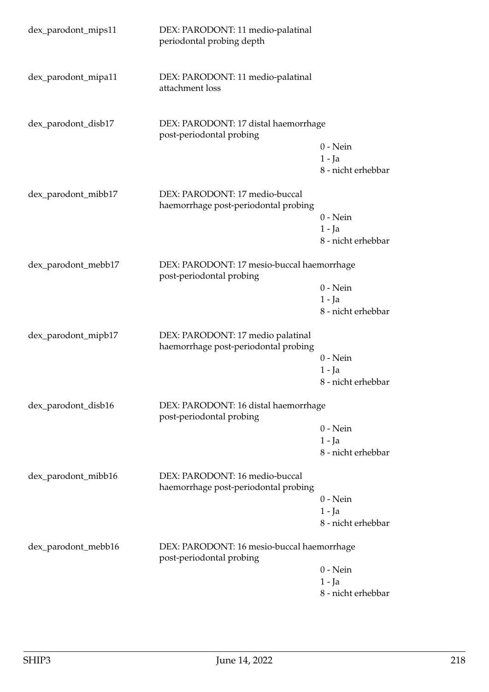| dex_parodont_mips11 | DEX: PARODONT: 11 medio-palatinal<br>periodontal probing depth            |                    |
|---------------------|---------------------------------------------------------------------------|--------------------|
| dex_parodont_mipa11 | DEX: PARODONT: 11 medio-palatinal<br>attachment loss                      |                    |
| dex_parodont_disb17 | DEX: PARODONT: 17 distal haemorrhage<br>post-periodontal probing          |                    |
|                     |                                                                           | $0$ - Nein         |
|                     |                                                                           | $1 - Ja$           |
|                     |                                                                           | 8 - nicht erhebbar |
| dex_parodont_mibb17 | DEX: PARODONT: 17 medio-buccal<br>haemorrhage post-periodontal probing    |                    |
|                     |                                                                           | $0$ - Nein         |
|                     |                                                                           | $1 - Ja$           |
|                     |                                                                           | 8 - nicht erhebbar |
| dex_parodont_mebb17 | DEX: PARODONT: 17 mesio-buccal haemorrhage<br>post-periodontal probing    |                    |
|                     |                                                                           | $0$ - Nein         |
|                     |                                                                           | $1 - Ja$           |
|                     |                                                                           | 8 - nicht erhebbar |
| dex_parodont_mipb17 | DEX: PARODONT: 17 medio palatinal<br>haemorrhage post-periodontal probing |                    |
|                     |                                                                           | $0$ - Nein         |
|                     |                                                                           | $1 - Ja$           |
|                     |                                                                           | 8 - nicht erhebbar |
| dex_parodont_disb16 | DEX: PARODONT: 16 distal haemorrhage<br>post-periodontal probing          |                    |
|                     |                                                                           | $0$ - Nein         |
|                     |                                                                           | $1 - Ja$           |
|                     |                                                                           | 8 - nicht erhebbar |
| dex_parodont_mibb16 | DEX: PARODONT: 16 medio-buccal<br>haemorrhage post-periodontal probing    |                    |
|                     |                                                                           | $0 - Nein$         |
|                     |                                                                           | $1 - Ja$           |
|                     |                                                                           | 8 - nicht erhebbar |
| dex_parodont_mebb16 | DEX: PARODONT: 16 mesio-buccal haemorrhage<br>post-periodontal probing    |                    |
|                     |                                                                           | $0 - Nein$         |
|                     |                                                                           | $1 - Ja$           |
|                     |                                                                           | 8 - nicht erhebbar |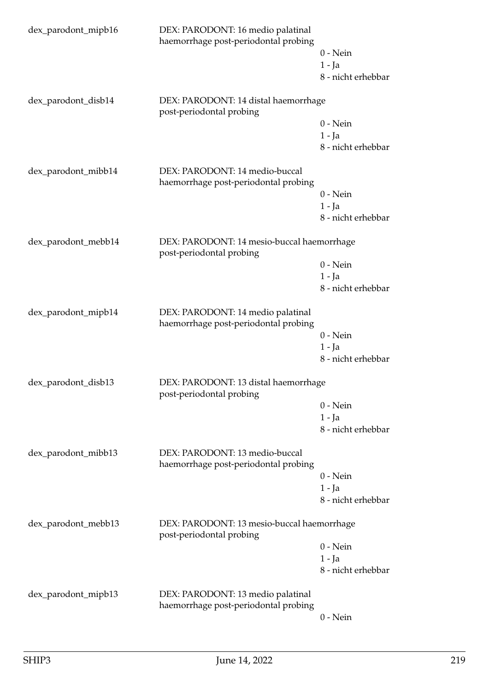| dex_parodont_mipb16 | DEX: PARODONT: 16 medio palatinal<br>haemorrhage post-periodontal probing | $0$ - Nein<br>$1 - Ja$<br>8 - nicht erhebbar |
|---------------------|---------------------------------------------------------------------------|----------------------------------------------|
| dex_parodont_disb14 | DEX: PARODONT: 14 distal haemorrhage<br>post-periodontal probing          | $0$ - Nein<br>$1 - Ja$<br>8 - nicht erhebbar |
| dex_parodont_mibb14 | DEX: PARODONT: 14 medio-buccal<br>haemorrhage post-periodontal probing    | $0$ - Nein<br>$1 - Ja$<br>8 - nicht erhebbar |
| dex_parodont_mebb14 | DEX: PARODONT: 14 mesio-buccal haemorrhage<br>post-periodontal probing    | $0$ - Nein<br>$1 - Ja$<br>8 - nicht erhebbar |
| dex_parodont_mipb14 | DEX: PARODONT: 14 medio palatinal<br>haemorrhage post-periodontal probing | $0 - Nein$<br>$1 - Ja$<br>8 - nicht erhebbar |
| dex_parodont_disb13 | DEX: PARODONT: 13 distal haemorrhage<br>post-periodontal probing          | $0$ - Nein<br>$1 - Ja$<br>8 - nicht erhebbar |
| dex_parodont_mibb13 | DEX: PARODONT: 13 medio-buccal<br>haemorrhage post-periodontal probing    | $0$ - Nein<br>$1 - Ja$<br>8 - nicht erhebbar |
| dex_parodont_mebb13 | DEX: PARODONT: 13 mesio-buccal haemorrhage<br>post-periodontal probing    | $0$ - Nein<br>$1 - Ja$<br>8 - nicht erhebbar |
| dex_parodont_mipb13 | DEX: PARODONT: 13 medio palatinal<br>haemorrhage post-periodontal probing | $0$ - Nein                                   |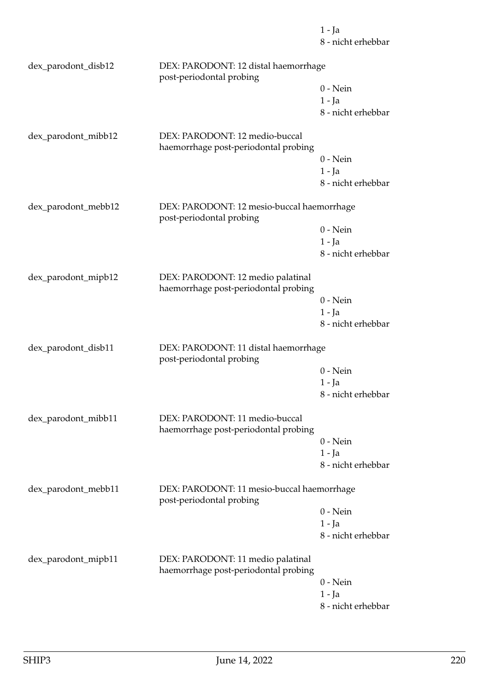8 - nicht erhebbar dex\_parodont\_disb12 DEX: PARODONT: 12 distal haemorrhage post-periodontal probing 0 - Nein 1 - Ja 8 - nicht erhebbar dex\_parodont\_mibb12 DEX: PARODONT: 12 medio-buccal haemorrhage post-periodontal probing 0 - Nein 1 - Ja 8 - nicht erhebbar dex\_parodont\_mebb12 DEX: PARODONT: 12 mesio-buccal haemorrhage post-periodontal probing 0 - Nein 1 - Ja 8 - nicht erhebbar dex\_parodont\_mipb12 DEX: PARODONT: 12 medio palatinal haemorrhage post-periodontal probing 0 - Nein 1 - Ja 8 - nicht erhebbar dex\_parodont\_disb11 DEX: PARODONT: 11 distal haemorrhage post-periodontal probing 0 - Nein 1 - Ja 8 - nicht erhebbar dex\_parodont\_mibb11 DEX: PARODONT: 11 medio-buccal haemorrhage post-periodontal probing 0 - Nein 1 - Ja 8 - nicht erhebbar dex\_parodont\_mebb11 DEX: PARODONT: 11 mesio-buccal haemorrhage post-periodontal probing 0 - Nein 1 - Ja 8 - nicht erhebbar dex\_parodont\_mipb11 DEX: PARODONT: 11 medio palatinal haemorrhage post-periodontal probing 0 - Nein 1 - Ja 8 - nicht erhebbar

1 - Ja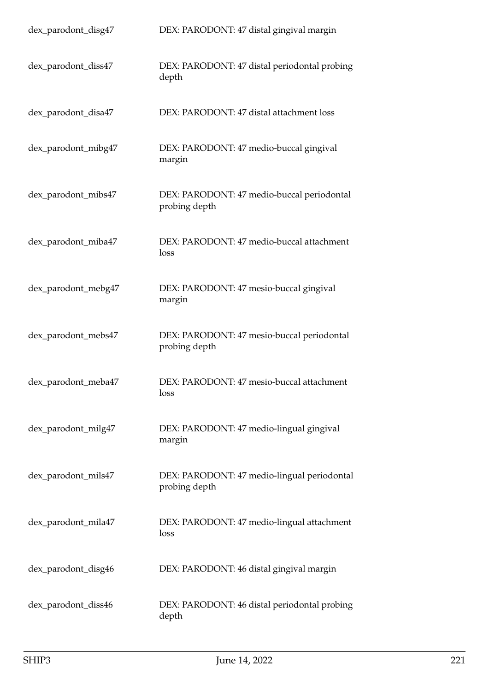| dex_parodont_disg47 | DEX: PARODONT: 47 distal gingival margin                     |
|---------------------|--------------------------------------------------------------|
| dex_parodont_diss47 | DEX: PARODONT: 47 distal periodontal probing<br>depth        |
| dex_parodont_disa47 | DEX: PARODONT: 47 distal attachment loss                     |
| dex_parodont_mibg47 | DEX: PARODONT: 47 medio-buccal gingival<br>margin            |
| dex_parodont_mibs47 | DEX: PARODONT: 47 medio-buccal periodontal<br>probing depth  |
| dex_parodont_miba47 | DEX: PARODONT: 47 medio-buccal attachment<br>loss            |
| dex_parodont_mebg47 | DEX: PARODONT: 47 mesio-buccal gingival<br>margin            |
| dex_parodont_mebs47 | DEX: PARODONT: 47 mesio-buccal periodontal<br>probing depth  |
| dex_parodont_meba47 | DEX: PARODONT: 47 mesio-buccal attachment<br>loss            |
| dex_parodont_milg47 | DEX: PARODONT: 47 medio-lingual gingival<br>margin           |
| dex_parodont_mils47 | DEX: PARODONT: 47 medio-lingual periodontal<br>probing depth |
| dex_parodont_mila47 | DEX: PARODONT: 47 medio-lingual attachment<br>loss           |
| dex_parodont_disg46 | DEX: PARODONT: 46 distal gingival margin                     |
| dex_parodont_diss46 | DEX: PARODONT: 46 distal periodontal probing<br>depth        |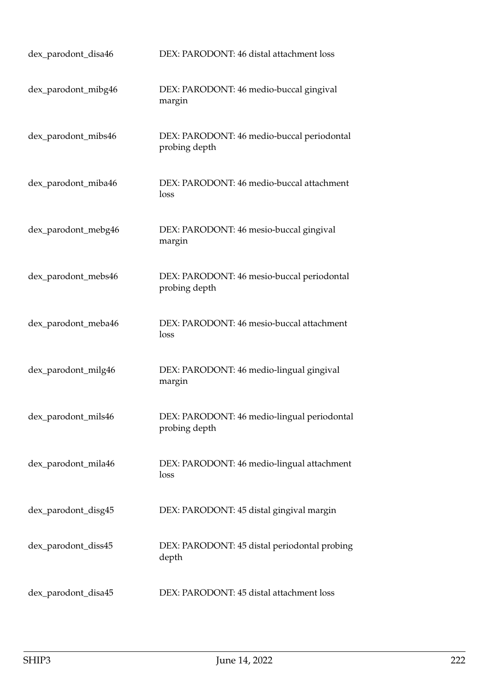| dex_parodont_disa46 | DEX: PARODONT: 46 distal attachment loss                     |
|---------------------|--------------------------------------------------------------|
| dex_parodont_mibg46 | DEX: PARODONT: 46 medio-buccal gingival<br>margin            |
| dex_parodont_mibs46 | DEX: PARODONT: 46 medio-buccal periodontal<br>probing depth  |
| dex_parodont_miba46 | DEX: PARODONT: 46 medio-buccal attachment<br>loss            |
| dex_parodont_mebg46 | DEX: PARODONT: 46 mesio-buccal gingival<br>margin            |
| dex_parodont_mebs46 | DEX: PARODONT: 46 mesio-buccal periodontal<br>probing depth  |
| dex_parodont_meba46 | DEX: PARODONT: 46 mesio-buccal attachment<br>loss            |
| dex_parodont_milg46 | DEX: PARODONT: 46 medio-lingual gingival<br>margin           |
| dex_parodont_mils46 | DEX: PARODONT: 46 medio-lingual periodontal<br>probing depth |
| dex_parodont_mila46 | DEX: PARODONT: 46 medio-lingual attachment<br>loss           |
| dex_parodont_disg45 | DEX: PARODONT: 45 distal gingival margin                     |
| dex_parodont_diss45 | DEX: PARODONT: 45 distal periodontal probing<br>depth        |
| dex_parodont_disa45 | DEX: PARODONT: 45 distal attachment loss                     |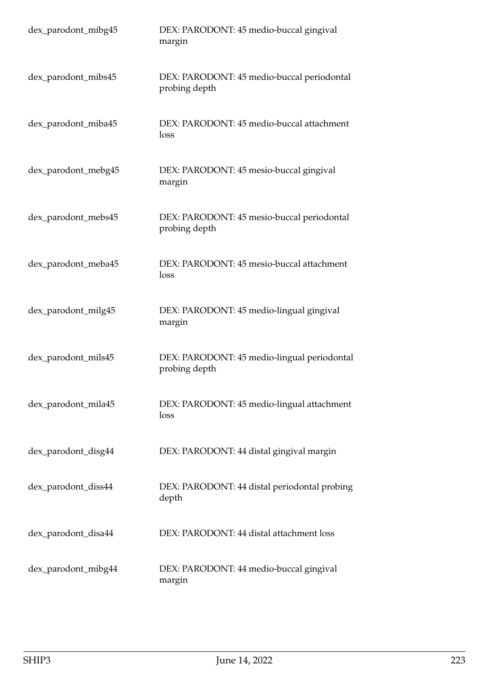| dex_parodont_mibg45 | DEX: PARODONT: 45 medio-buccal gingival<br>margin            |
|---------------------|--------------------------------------------------------------|
| dex_parodont_mibs45 | DEX: PARODONT: 45 medio-buccal periodontal<br>probing depth  |
| dex_parodont_miba45 | DEX: PARODONT: 45 medio-buccal attachment<br>loss            |
| dex_parodont_mebg45 | DEX: PARODONT: 45 mesio-buccal gingival<br>margin            |
| dex_parodont_mebs45 | DEX: PARODONT: 45 mesio-buccal periodontal<br>probing depth  |
| dex_parodont_meba45 | DEX: PARODONT: 45 mesio-buccal attachment<br>loss            |
| dex_parodont_milg45 | DEX: PARODONT: 45 medio-lingual gingival<br>margin           |
| dex_parodont_mils45 | DEX: PARODONT: 45 medio-lingual periodontal<br>probing depth |
| dex_parodont_mila45 | DEX: PARODONT: 45 medio-lingual attachment<br>loss           |
| dex_parodont_disg44 | DEX: PARODONT: 44 distal gingival margin                     |
| dex_parodont_diss44 | DEX: PARODONT: 44 distal periodontal probing<br>depth        |
| dex_parodont_disa44 | DEX: PARODONT: 44 distal attachment loss                     |
| dex_parodont_mibg44 | DEX: PARODONT: 44 medio-buccal gingival<br>margin            |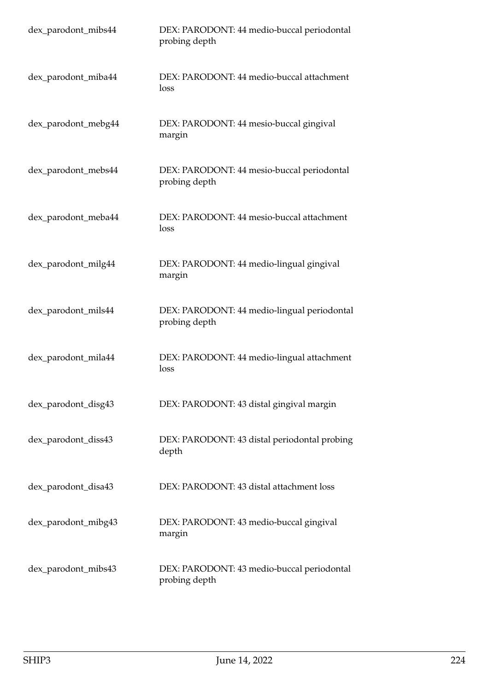| dex_parodont_mibs44 | DEX: PARODONT: 44 medio-buccal periodontal<br>probing depth  |
|---------------------|--------------------------------------------------------------|
| dex_parodont_miba44 | DEX: PARODONT: 44 medio-buccal attachment<br>loss            |
| dex_parodont_mebg44 | DEX: PARODONT: 44 mesio-buccal gingival<br>margin            |
| dex_parodont_mebs44 | DEX: PARODONT: 44 mesio-buccal periodontal<br>probing depth  |
| dex_parodont_meba44 | DEX: PARODONT: 44 mesio-buccal attachment<br>loss            |
| dex_parodont_milg44 | DEX: PARODONT: 44 medio-lingual gingival<br>margin           |
| dex_parodont_mils44 | DEX: PARODONT: 44 medio-lingual periodontal<br>probing depth |
| dex_parodont_mila44 | DEX: PARODONT: 44 medio-lingual attachment<br>loss           |
| dex_parodont_disg43 | DEX: PARODONT: 43 distal gingival margin                     |
| dex_parodont_diss43 | DEX: PARODONT: 43 distal periodontal probing<br>depth        |
| dex_parodont_disa43 | DEX: PARODONT: 43 distal attachment loss                     |
| dex_parodont_mibg43 | DEX: PARODONT: 43 medio-buccal gingival<br>margin            |
| dex_parodont_mibs43 | DEX: PARODONT: 43 medio-buccal periodontal<br>probing depth  |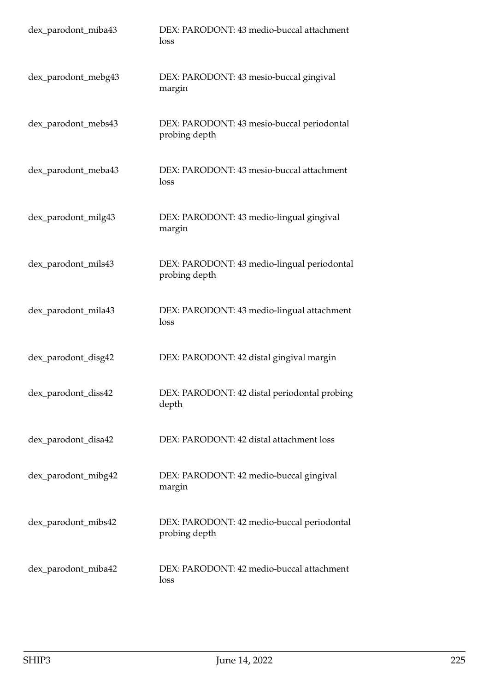| dex_parodont_miba43 | DEX: PARODONT: 43 medio-buccal attachment<br>loss            |
|---------------------|--------------------------------------------------------------|
| dex_parodont_mebg43 | DEX: PARODONT: 43 mesio-buccal gingival<br>margin            |
| dex_parodont_mebs43 | DEX: PARODONT: 43 mesio-buccal periodontal<br>probing depth  |
| dex_parodont_meba43 | DEX: PARODONT: 43 mesio-buccal attachment<br>loss            |
| dex_parodont_milg43 | DEX: PARODONT: 43 medio-lingual gingival<br>margin           |
| dex_parodont_mils43 | DEX: PARODONT: 43 medio-lingual periodontal<br>probing depth |
| dex_parodont_mila43 | DEX: PARODONT: 43 medio-lingual attachment<br>loss           |
| dex_parodont_disg42 | DEX: PARODONT: 42 distal gingival margin                     |
| dex_parodont_diss42 | DEX: PARODONT: 42 distal periodontal probing<br>depth        |
| dex_parodont_disa42 | DEX: PARODONT: 42 distal attachment loss                     |
| dex_parodont_mibg42 | DEX: PARODONT: 42 medio-buccal gingival<br>margin            |
| dex_parodont_mibs42 | DEX: PARODONT: 42 medio-buccal periodontal<br>probing depth  |
| dex_parodont_miba42 | DEX: PARODONT: 42 medio-buccal attachment<br>loss            |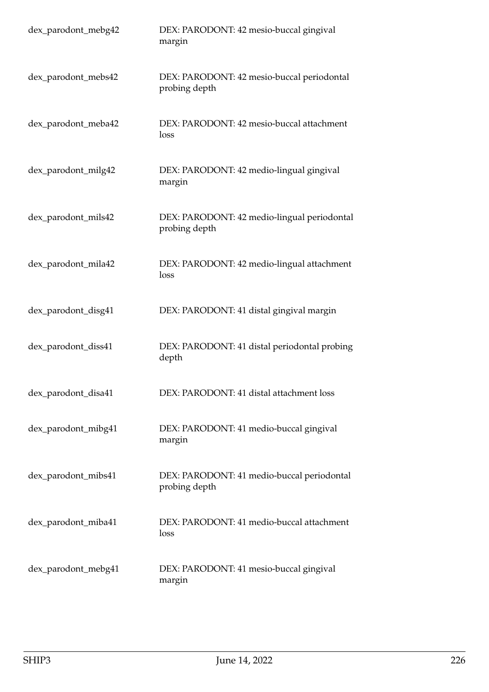| dex_parodont_mebg42 | DEX: PARODONT: 42 mesio-buccal gingival<br>margin            |
|---------------------|--------------------------------------------------------------|
| dex_parodont_mebs42 | DEX: PARODONT: 42 mesio-buccal periodontal<br>probing depth  |
| dex_parodont_meba42 | DEX: PARODONT: 42 mesio-buccal attachment<br>loss            |
| dex_parodont_milg42 | DEX: PARODONT: 42 medio-lingual gingival<br>margin           |
| dex_parodont_mils42 | DEX: PARODONT: 42 medio-lingual periodontal<br>probing depth |
| dex_parodont_mila42 | DEX: PARODONT: 42 medio-lingual attachment<br>loss           |
| dex_parodont_disg41 | DEX: PARODONT: 41 distal gingival margin                     |
| dex_parodont_diss41 | DEX: PARODONT: 41 distal periodontal probing<br>depth        |
| dex_parodont_disa41 | DEX: PARODONT: 41 distal attachment loss                     |
| dex_parodont_mibg41 | DEX: PARODONT: 41 medio-buccal gingival<br>margin            |
| dex_parodont_mibs41 | DEX: PARODONT: 41 medio-buccal periodontal<br>probing depth  |
| dex_parodont_miba41 | DEX: PARODONT: 41 medio-buccal attachment<br>loss            |
| dex_parodont_mebg41 | DEX: PARODONT: 41 mesio-buccal gingival<br>margin            |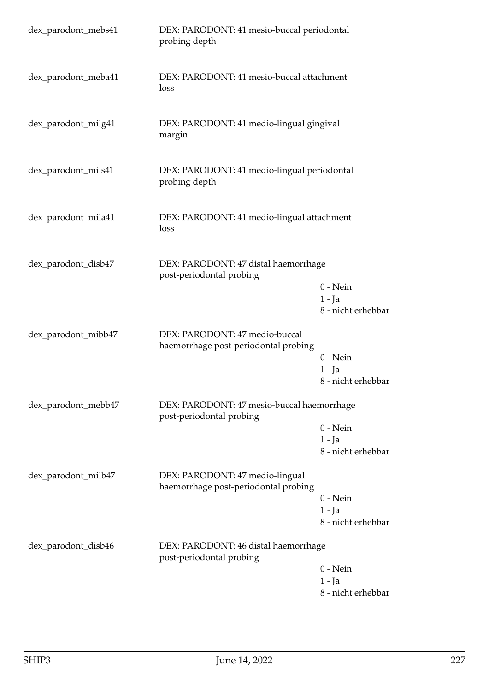| dex_parodont_mebs41 | DEX: PARODONT: 41 mesio-buccal periodontal<br>probing depth             |                                              |
|---------------------|-------------------------------------------------------------------------|----------------------------------------------|
| dex_parodont_meba41 | DEX: PARODONT: 41 mesio-buccal attachment<br>loss                       |                                              |
| dex_parodont_milg41 | DEX: PARODONT: 41 medio-lingual gingival<br>margin                      |                                              |
| dex_parodont_mils41 | DEX: PARODONT: 41 medio-lingual periodontal<br>probing depth            |                                              |
| dex_parodont_mila41 | DEX: PARODONT: 41 medio-lingual attachment<br>loss                      |                                              |
| dex_parodont_disb47 | DEX: PARODONT: 47 distal haemorrhage<br>post-periodontal probing        | $0$ - Nein<br>$1 - Ja$<br>8 - nicht erhebbar |
| dex_parodont_mibb47 | DEX: PARODONT: 47 medio-buccal<br>haemorrhage post-periodontal probing  | $0$ - Nein<br>$1 - Ja$<br>8 - nicht erhebbar |
| dex_parodont_mebb47 | DEX: PARODONT: 47 mesio-buccal haemorrhage<br>post-periodontal probing  | $0 - Nein$<br>$1 - Ja$<br>8 - nicht erhebbar |
| dex_parodont_milb47 | DEX: PARODONT: 47 medio-lingual<br>haemorrhage post-periodontal probing | $0 - Nein$<br>$1 - Ja$<br>8 - nicht erhebbar |
| dex_parodont_disb46 | DEX: PARODONT: 46 distal haemorrhage<br>post-periodontal probing        | $0$ - Nein<br>1 - Ja<br>8 - nicht erhebbar   |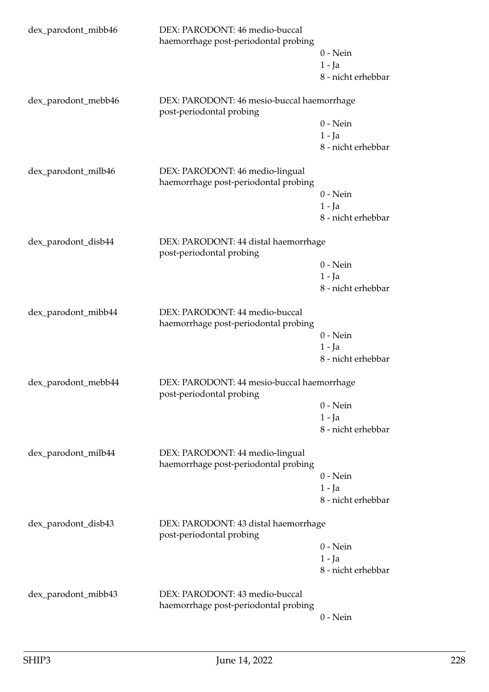| dex_parodont_mibb46 | DEX: PARODONT: 46 medio-buccal<br>haemorrhage post-periodontal probing  | $0$ - Nein<br>$1 - Ja$<br>8 - nicht erhebbar |  |
|---------------------|-------------------------------------------------------------------------|----------------------------------------------|--|
| dex_parodont_mebb46 | DEX: PARODONT: 46 mesio-buccal haemorrhage<br>post-periodontal probing  |                                              |  |
|                     |                                                                         | $0$ - Nein                                   |  |
|                     |                                                                         | $1 - Ja$<br>8 - nicht erhebbar               |  |
|                     |                                                                         |                                              |  |
| dex_parodont_milb46 | DEX: PARODONT: 46 medio-lingual<br>haemorrhage post-periodontal probing |                                              |  |
|                     |                                                                         | $0$ - Nein                                   |  |
|                     |                                                                         | $1 - Ja$                                     |  |
|                     |                                                                         | 8 - nicht erhebbar                           |  |
| dex_parodont_disb44 | DEX: PARODONT: 44 distal haemorrhage<br>post-periodontal probing        |                                              |  |
|                     |                                                                         | $0$ - Nein                                   |  |
|                     |                                                                         | $1 - Ja$                                     |  |
|                     |                                                                         | 8 - nicht erhebbar                           |  |
| dex_parodont_mibb44 | DEX: PARODONT: 44 medio-buccal<br>haemorrhage post-periodontal probing  |                                              |  |
|                     |                                                                         | $0 - Nein$                                   |  |
|                     |                                                                         | $1 - Ja$                                     |  |
|                     |                                                                         | 8 - nicht erhebbar                           |  |
| dex_parodont_mebb44 | DEX: PARODONT: 44 mesio-buccal haemorrhage<br>post-periodontal probing  |                                              |  |
|                     |                                                                         | $0$ - Nein                                   |  |
|                     |                                                                         | $1 - Ja$                                     |  |
|                     |                                                                         | 8 - nicht erhebbar                           |  |
| dex_parodont_milb44 | DEX: PARODONT: 44 medio-lingual<br>haemorrhage post-periodontal probing |                                              |  |
|                     |                                                                         | $0$ - Nein                                   |  |
|                     |                                                                         | $1 - Ja$                                     |  |
|                     |                                                                         | 8 - nicht erhebbar                           |  |
| dex_parodont_disb43 | DEX: PARODONT: 43 distal haemorrhage<br>post-periodontal probing        |                                              |  |
|                     |                                                                         | $0 - Nein$                                   |  |
|                     |                                                                         | $1 - Ja$                                     |  |
|                     |                                                                         | 8 - nicht erhebbar                           |  |
| dex_parodont_mibb43 | DEX: PARODONT: 43 medio-buccal<br>haemorrhage post-periodontal probing  |                                              |  |
|                     |                                                                         | $0$ - Nein                                   |  |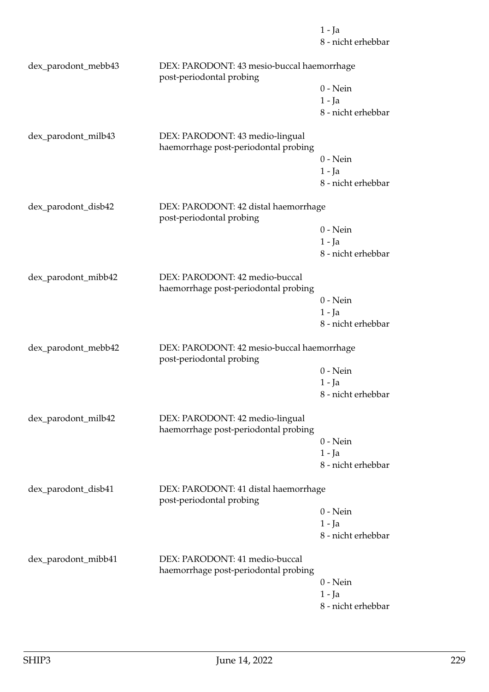8 - nicht erhebbar dex\_parodont\_mebb43 DEX: PARODONT: 43 mesio-buccal haemorrhage post-periodontal probing 0 - Nein 1 - Ja 8 - nicht erhebbar dex\_parodont\_milb43 DEX: PARODONT: 43 medio-lingual haemorrhage post-periodontal probing 0 - Nein 1 - Ja 8 - nicht erhebbar dex\_parodont\_disb42 DEX: PARODONT: 42 distal haemorrhage post-periodontal probing 0 - Nein 1 - Ja 8 - nicht erhebbar dex\_parodont\_mibb42 DEX: PARODONT: 42 medio-buccal haemorrhage post-periodontal probing 0 - Nein 1 - Ja 8 - nicht erhebbar dex\_parodont\_mebb42 DEX: PARODONT: 42 mesio-buccal haemorrhage post-periodontal probing 0 - Nein 1 - Ja 8 - nicht erhebbar dex\_parodont\_milb42 DEX: PARODONT: 42 medio-lingual haemorrhage post-periodontal probing 0 - Nein 1 - Ja 8 - nicht erhebbar dex\_parodont\_disb41 DEX: PARODONT: 41 distal haemorrhage post-periodontal probing 0 - Nein 1 - Ja 8 - nicht erhebbar dex\_parodont\_mibb41 DEX: PARODONT: 41 medio-buccal haemorrhage post-periodontal probing 0 - Nein 1 - Ja 8 - nicht erhebbar

1 - Ja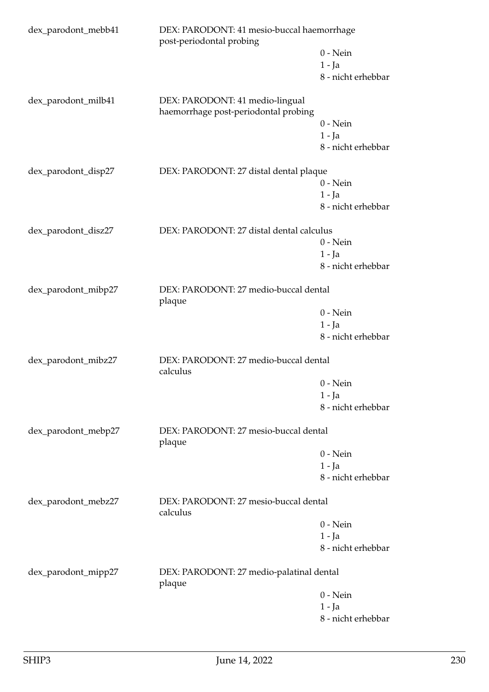| dex_parodont_mebb41                                                    | DEX: PARODONT: 41 mesio-buccal haemorrhage<br>post-periodontal probing  |                                       |  |
|------------------------------------------------------------------------|-------------------------------------------------------------------------|---------------------------------------|--|
|                                                                        |                                                                         | $0$ - Nein                            |  |
|                                                                        |                                                                         | $1 - Ja$                              |  |
|                                                                        |                                                                         | 8 - nicht erhebbar                    |  |
| dex_parodont_milb41                                                    | DEX: PARODONT: 41 medio-lingual<br>haemorrhage post-periodontal probing |                                       |  |
|                                                                        |                                                                         | $0$ - Nein                            |  |
|                                                                        |                                                                         | $1 - Ja$                              |  |
|                                                                        |                                                                         | 8 - nicht erhebbar                    |  |
| dex_parodont_disp27                                                    | DEX: PARODONT: 27 distal dental plaque                                  |                                       |  |
|                                                                        |                                                                         | $0$ - Nein                            |  |
|                                                                        |                                                                         | $1 - Ja$                              |  |
|                                                                        |                                                                         | 8 - nicht erhebbar                    |  |
| dex_parodont_disz27                                                    | DEX: PARODONT: 27 distal dental calculus                                |                                       |  |
|                                                                        |                                                                         | $0 - Nein$                            |  |
|                                                                        |                                                                         | $1 - Ja$                              |  |
|                                                                        |                                                                         | 8 - nicht erhebbar                    |  |
| DEX: PARODONT: 27 medio-buccal dental<br>dex_parodont_mibp27<br>plaque |                                                                         |                                       |  |
|                                                                        |                                                                         | $0$ - Nein                            |  |
|                                                                        |                                                                         | $1 - Ja$                              |  |
|                                                                        |                                                                         | 8 - nicht erhebbar                    |  |
| dex_parodont_mibz27                                                    | DEX: PARODONT: 27 medio-buccal dental<br>calculus                       |                                       |  |
|                                                                        |                                                                         | $0$ - Nein                            |  |
|                                                                        |                                                                         | $1 - Ja$                              |  |
|                                                                        |                                                                         | 8 - nicht erhebbar                    |  |
| dex_parodont_mebp27                                                    | DEX: PARODONT: 27 mesio-buccal dental<br>plaque                         |                                       |  |
|                                                                        |                                                                         | $0 - Nein$                            |  |
|                                                                        |                                                                         | $1 - Ja$                              |  |
|                                                                        |                                                                         | 8 - nicht erhebbar                    |  |
| dex_parodont_mebz27                                                    | calculus                                                                | DEX: PARODONT: 27 mesio-buccal dental |  |
|                                                                        |                                                                         | $0$ - Nein                            |  |
|                                                                        |                                                                         | $1 - Ja$                              |  |
|                                                                        |                                                                         | 8 - nicht erhebbar                    |  |
| dex_parodont_mipp27                                                    | DEX: PARODONT: 27 medio-palatinal dental<br>plaque                      |                                       |  |
|                                                                        |                                                                         | $0 - Nein$                            |  |
|                                                                        |                                                                         | 1 - Ja                                |  |
|                                                                        |                                                                         | 8 - nicht erhebbar                    |  |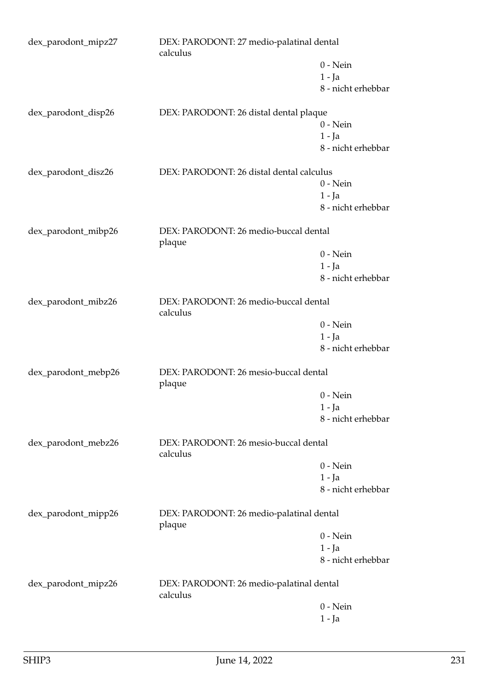| dex_parodont_mipz27 | DEX: PARODONT: 27 medio-palatinal dental<br>calculus |                    |
|---------------------|------------------------------------------------------|--------------------|
|                     |                                                      | $0$ - Nein         |
|                     |                                                      | $1 - Ja$           |
|                     |                                                      | 8 - nicht erhebbar |
| dex_parodont_disp26 | DEX: PARODONT: 26 distal dental plaque               |                    |
|                     |                                                      | $0$ - Nein         |
|                     |                                                      | $1 - Ja$           |
|                     |                                                      | 8 - nicht erhebbar |
| dex_parodont_disz26 | DEX: PARODONT: 26 distal dental calculus             |                    |
|                     |                                                      | $0$ - Nein         |
|                     |                                                      | $1 - Ja$           |
|                     |                                                      | 8 - nicht erhebbar |
| dex_parodont_mibp26 | DEX: PARODONT: 26 medio-buccal dental<br>plaque      |                    |
|                     |                                                      | $0$ - Nein         |
|                     |                                                      | $1 - Ja$           |
|                     |                                                      | 8 - nicht erhebbar |
| dex_parodont_mibz26 | DEX: PARODONT: 26 medio-buccal dental<br>calculus    |                    |
|                     |                                                      | $0$ - Nein         |
|                     |                                                      | $1 - Ja$           |
|                     |                                                      | 8 - nicht erhebbar |
| dex_parodont_mebp26 | DEX: PARODONT: 26 mesio-buccal dental<br>plaque      |                    |
|                     |                                                      | $0$ - Nein         |
|                     |                                                      | $1 - Ja$           |
|                     |                                                      | 8 - nicht erhebbar |
| dex_parodont_mebz26 | DEX: PARODONT: 26 mesio-buccal dental<br>calculus    |                    |
|                     |                                                      | $0$ - Nein         |
|                     |                                                      | $1 - Ja$           |
|                     |                                                      | 8 - nicht erhebbar |
| dex_parodont_mipp26 | DEX: PARODONT: 26 medio-palatinal dental<br>plaque   |                    |
|                     |                                                      | $0$ - Nein         |
|                     |                                                      | $1 - Ja$           |
|                     |                                                      | 8 - nicht erhebbar |
| dex_parodont_mipz26 | DEX: PARODONT: 26 medio-palatinal dental<br>calculus |                    |
|                     |                                                      | $0$ - Nein         |
|                     |                                                      | $1 - Ja$           |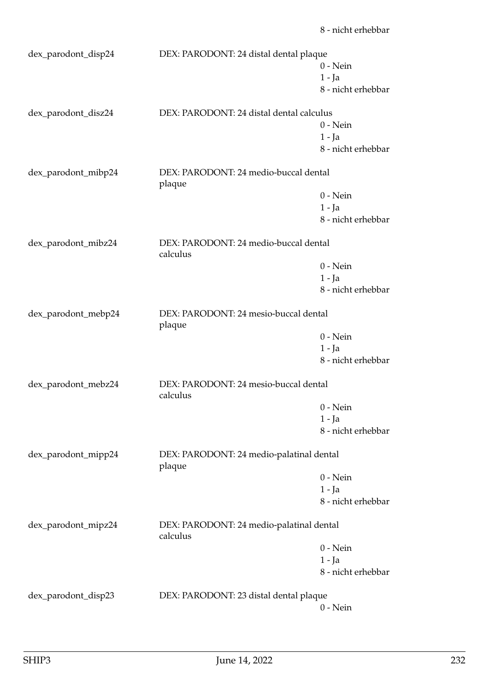| dex_parodont_disp24 | DEX: PARODONT: 24 distal dental plaque               |                    |
|---------------------|------------------------------------------------------|--------------------|
|                     |                                                      | $0$ - Nein         |
|                     |                                                      | $1 - Ja$           |
|                     |                                                      | 8 - nicht erhebbar |
| dex_parodont_disz24 | DEX: PARODONT: 24 distal dental calculus             |                    |
|                     |                                                      | $0$ - Nein         |
|                     |                                                      | $1 - Ja$           |
|                     |                                                      | 8 - nicht erhebbar |
| dex_parodont_mibp24 | DEX: PARODONT: 24 medio-buccal dental<br>plaque      |                    |
|                     |                                                      | $0$ - Nein         |
|                     |                                                      | $1 - Ja$           |
|                     |                                                      | 8 - nicht erhebbar |
| dex_parodont_mibz24 | DEX: PARODONT: 24 medio-buccal dental<br>calculus    |                    |
|                     |                                                      | $0$ - Nein         |
|                     |                                                      | $1 - Ja$           |
|                     |                                                      | 8 - nicht erhebbar |
| dex_parodont_mebp24 | DEX: PARODONT: 24 mesio-buccal dental<br>plaque      |                    |
|                     |                                                      | $0$ - Nein         |
|                     |                                                      | $1 - Ja$           |
|                     |                                                      | 8 - nicht erhebbar |
| dex_parodont_mebz24 | DEX: PARODONT: 24 mesio-buccal dental<br>calculus    |                    |
|                     |                                                      | $0$ - Nein         |
|                     |                                                      | $1 - Ja$           |
|                     |                                                      | 8 - nicht erhebbar |
| dex_parodont_mipp24 | DEX: PARODONT: 24 medio-palatinal dental<br>plaque   |                    |
|                     |                                                      | $0$ - Nein         |
|                     |                                                      | $1 - Ja$           |
|                     |                                                      | 8 - nicht erhebbar |
| dex_parodont_mipz24 | DEX: PARODONT: 24 medio-palatinal dental<br>calculus |                    |
|                     |                                                      | $0$ - Nein         |
|                     |                                                      | 1 - Ja             |
|                     |                                                      | 8 - nicht erhebbar |
| dex_parodont_disp23 | DEX: PARODONT: 23 distal dental plaque               |                    |
|                     |                                                      | $0$ - Nein         |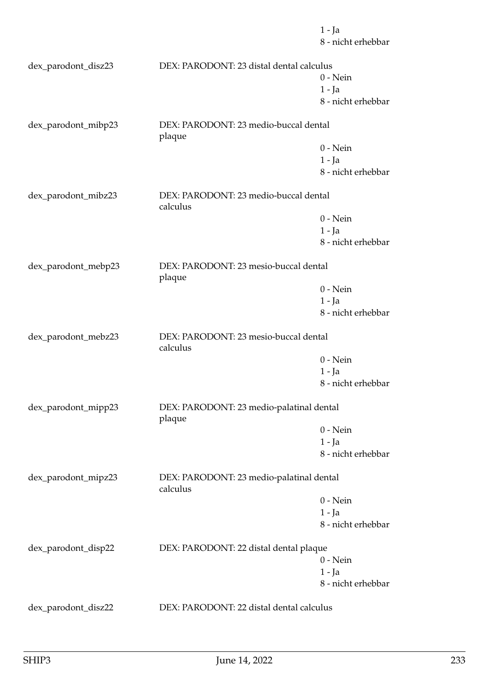1 - Ja 8 - nicht erhebbar dex\_parodont\_disz23 DEX: PARODONT: 23 distal dental calculus 0 - Nein 1 - Ja 8 - nicht erhebbar dex\_parodont\_mibp23 DEX: PARODONT: 23 medio-buccal dental plaque 0 - Nein 1 - Ja 8 - nicht erhebbar dex\_parodont\_mibz23 DEX: PARODONT: 23 medio-buccal dental calculus 0 - Nein 1 - Ja 8 - nicht erhebbar dex\_parodont\_mebp23 DEX: PARODONT: 23 mesio-buccal dental plaque 0 - Nein 1 - Ja 8 - nicht erhebbar dex\_parodont\_mebz23 DEX: PARODONT: 23 mesio-buccal dental calculus 0 - Nein 1 - Ja 8 - nicht erhebbar dex\_parodont\_mipp23 DEX: PARODONT: 23 medio-palatinal dental plaque 0 - Nein 1 - Ja 8 - nicht erhebbar dex\_parodont\_mipz23 DEX: PARODONT: 23 medio-palatinal dental calculus 0 - Nein 1 - Ja 8 - nicht erhebbar dex\_parodont\_disp22 DEX: PARODONT: 22 distal dental plaque 0 - Nein 1 - Ja 8 - nicht erhebbar dex\_parodont\_disz22 DEX: PARODONT: 22 distal dental calculus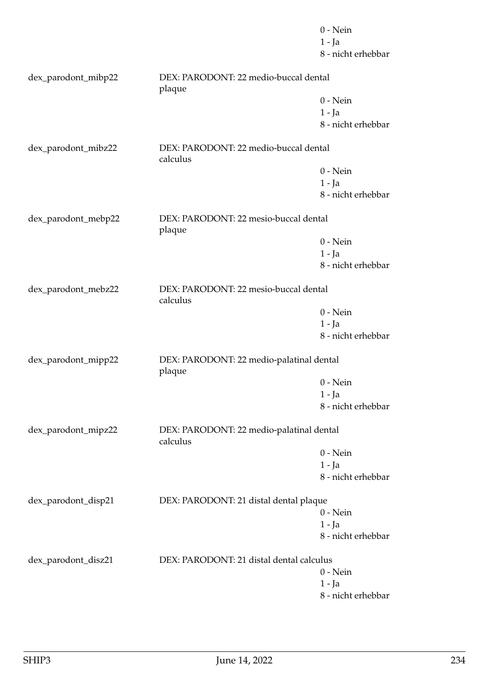|                     |                                                      | $0$ - Nein         |
|---------------------|------------------------------------------------------|--------------------|
|                     |                                                      | $1 - Ja$           |
|                     |                                                      | 8 - nicht erhebbar |
| dex_parodont_mibp22 | DEX: PARODONT: 22 medio-buccal dental<br>plaque      |                    |
|                     |                                                      | $0$ - Nein         |
|                     |                                                      | $1 - Ja$           |
|                     |                                                      | 8 - nicht erhebbar |
| dex_parodont_mibz22 | DEX: PARODONT: 22 medio-buccal dental<br>calculus    |                    |
|                     |                                                      | $0$ - Nein         |
|                     |                                                      | $1 - Ja$           |
|                     |                                                      | 8 - nicht erhebbar |
|                     |                                                      |                    |
| dex_parodont_mebp22 | DEX: PARODONT: 22 mesio-buccal dental<br>plaque      |                    |
|                     |                                                      | $0$ - Nein         |
|                     |                                                      | $1 - Ja$           |
|                     |                                                      | 8 - nicht erhebbar |
|                     |                                                      |                    |
| dex_parodont_mebz22 | DEX: PARODONT: 22 mesio-buccal dental<br>calculus    |                    |
|                     |                                                      | $0$ - Nein         |
|                     |                                                      | $1 - Ja$           |
|                     |                                                      | 8 - nicht erhebbar |
| dex_parodont_mipp22 | DEX: PARODONT: 22 medio-palatinal dental<br>plaque   |                    |
|                     |                                                      | $0$ - Nein         |
|                     |                                                      | 1 - Ja             |
|                     |                                                      | 8 - nicht erhebbar |
| dex_parodont_mipz22 | DEX: PARODONT: 22 medio-palatinal dental<br>calculus |                    |
|                     |                                                      | $0$ - Nein         |
|                     |                                                      | $1 - Ja$           |
|                     |                                                      | 8 - nicht erhebbar |
| dex_parodont_disp21 | DEX: PARODONT: 21 distal dental plaque               |                    |
|                     |                                                      | $0$ - Nein         |
|                     |                                                      | $1 - Ja$           |
|                     |                                                      | 8 - nicht erhebbar |
| dex_parodont_disz21 | DEX: PARODONT: 21 distal dental calculus             |                    |
|                     |                                                      | $0$ - Nein         |
|                     |                                                      | $1 - Ja$           |
|                     |                                                      | 8 - nicht erhebbar |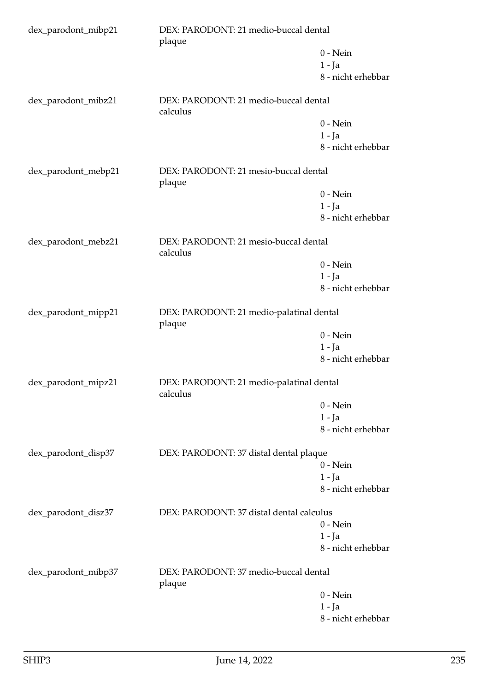| dex_parodont_mibp21 | DEX: PARODONT: 21 medio-buccal dental<br>plaque      |                    |
|---------------------|------------------------------------------------------|--------------------|
|                     |                                                      | $0 - Nein$         |
|                     |                                                      | $1 - Ja$           |
|                     |                                                      | 8 - nicht erhebbar |
| dex_parodont_mibz21 | DEX: PARODONT: 21 medio-buccal dental<br>calculus    |                    |
|                     |                                                      | $0 - Nein$         |
|                     |                                                      | $1 - Ja$           |
|                     |                                                      | 8 - nicht erhebbar |
| dex_parodont_mebp21 | DEX: PARODONT: 21 mesio-buccal dental<br>plaque      |                    |
|                     |                                                      | $0$ - Nein         |
|                     |                                                      | $1 - Ja$           |
|                     |                                                      | 8 - nicht erhebbar |
| dex_parodont_mebz21 | DEX: PARODONT: 21 mesio-buccal dental<br>calculus    |                    |
|                     |                                                      | $0$ - Nein         |
|                     |                                                      | $1 - Ja$           |
|                     |                                                      | 8 - nicht erhebbar |
| dex_parodont_mipp21 | DEX: PARODONT: 21 medio-palatinal dental<br>plaque   |                    |
|                     |                                                      | $0$ - Nein         |
|                     |                                                      | $1 - Ja$           |
|                     |                                                      | 8 - nicht erhebbar |
| dex_parodont_mipz21 | DEX: PARODONT: 21 medio-palatinal dental<br>calculus |                    |
|                     |                                                      | $0$ - Nein         |
|                     |                                                      | $1 - Ja$           |
|                     |                                                      | 8 - nicht erhebbar |
| dex_parodont_disp37 | DEX: PARODONT: 37 distal dental plaque               |                    |
|                     |                                                      | $0$ - Nein         |
|                     |                                                      | $1 - Ja$           |
|                     |                                                      | 8 - nicht erhebbar |
| dex_parodont_disz37 | DEX: PARODONT: 37 distal dental calculus             |                    |
|                     |                                                      | $0$ - Nein         |
|                     |                                                      | $1 - Ja$           |
|                     |                                                      | 8 - nicht erhebbar |
| dex_parodont_mibp37 | DEX: PARODONT: 37 medio-buccal dental<br>plaque      |                    |
|                     |                                                      | $0$ - Nein         |
|                     |                                                      | $1 - Ja$           |
|                     |                                                      | 8 - nicht erhebbar |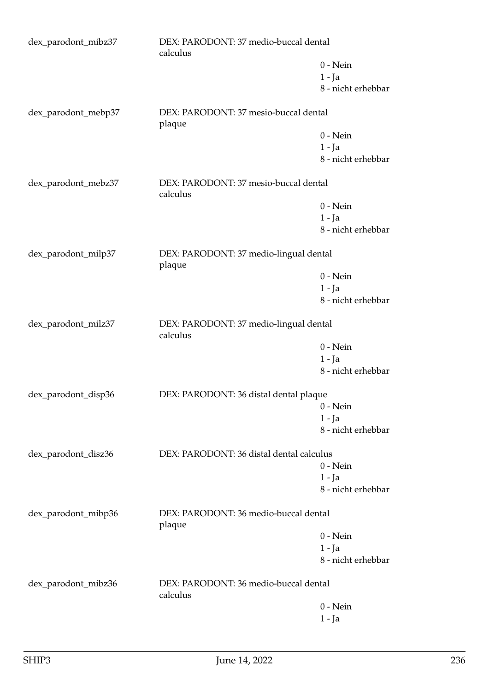| dex_parodont_mibz37 | DEX: PARODONT: 37 medio-buccal dental<br>calculus  |                    |
|---------------------|----------------------------------------------------|--------------------|
|                     |                                                    | $0$ - Nein         |
|                     |                                                    | $1 - Ja$           |
|                     |                                                    | 8 - nicht erhebbar |
| dex_parodont_mebp37 | DEX: PARODONT: 37 mesio-buccal dental<br>plaque    |                    |
|                     |                                                    | $0$ - Nein         |
|                     |                                                    | $1 - Ja$           |
|                     |                                                    | 8 - nicht erhebbar |
| dex_parodont_mebz37 | DEX: PARODONT: 37 mesio-buccal dental<br>calculus  |                    |
|                     |                                                    | $0$ - Nein         |
|                     |                                                    | $1 - Ja$           |
|                     |                                                    | 8 - nicht erhebbar |
| dex_parodont_milp37 | DEX: PARODONT: 37 medio-lingual dental<br>plaque   |                    |
|                     |                                                    | $0$ - Nein         |
|                     |                                                    | $1 - Ja$           |
|                     |                                                    | 8 - nicht erhebbar |
| dex_parodont_milz37 | DEX: PARODONT: 37 medio-lingual dental<br>calculus |                    |
|                     |                                                    | $0$ - Nein         |
|                     |                                                    | $1 - Ja$           |
|                     |                                                    | 8 - nicht erhebbar |
| dex_parodont_disp36 | DEX: PARODONT: 36 distal dental plaque             |                    |
|                     |                                                    | $0$ - Nein         |
|                     |                                                    | 1 - Ja             |
|                     |                                                    | 8 - nicht erhebbar |
| dex_parodont_disz36 | DEX: PARODONT: 36 distal dental calculus           |                    |
|                     |                                                    | $0$ - Nein         |
|                     |                                                    | $1 - Ja$           |
|                     |                                                    | 8 - nicht erhebbar |
| dex_parodont_mibp36 | DEX: PARODONT: 36 medio-buccal dental<br>plaque    |                    |
|                     |                                                    | $0$ - Nein         |
|                     |                                                    | $1 - Ja$           |
|                     |                                                    | 8 - nicht erhebbar |
| dex_parodont_mibz36 | DEX: PARODONT: 36 medio-buccal dental<br>calculus  |                    |
|                     |                                                    | $0$ - Nein         |
|                     |                                                    | 1 - Ja             |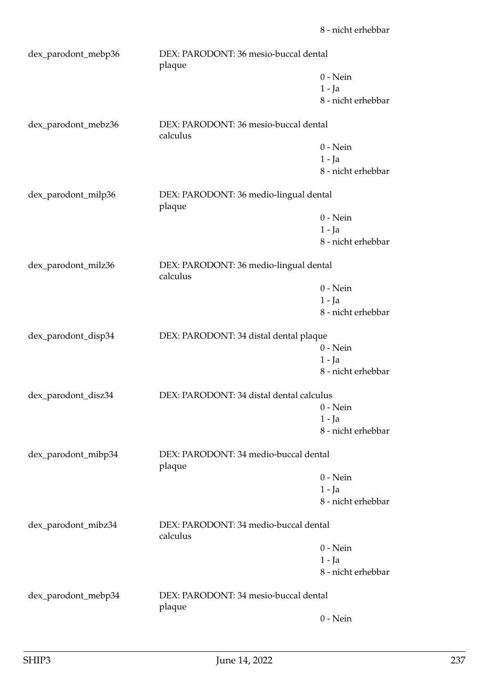| dex_parodont_mebp36 | DEX: PARODONT: 36 mesio-buccal dental<br>plaque    |                    |
|---------------------|----------------------------------------------------|--------------------|
|                     |                                                    | $0$ - Nein         |
|                     |                                                    | $1 - Ia$           |
|                     |                                                    | 8 - nicht erhebbar |
| dex_parodont_mebz36 | DEX: PARODONT: 36 mesio-buccal dental<br>calculus  |                    |
|                     |                                                    | $0$ - Nein         |
|                     |                                                    | $1 - Ja$           |
|                     |                                                    | 8 - nicht erhebbar |
| dex_parodont_milp36 | DEX: PARODONT: 36 medio-lingual dental<br>plaque   |                    |
|                     |                                                    | $0$ - Nein         |
|                     |                                                    | $1 - Ja$           |
|                     |                                                    | 8 - nicht erhebbar |
| dex_parodont_milz36 | DEX: PARODONT: 36 medio-lingual dental<br>calculus |                    |
|                     |                                                    | $0$ - Nein         |
|                     |                                                    | $1 - Ja$           |
|                     |                                                    | 8 - nicht erhebbar |
| dex_parodont_disp34 | DEX: PARODONT: 34 distal dental plaque             |                    |
|                     |                                                    | $0$ - Nein         |
|                     |                                                    | $1 - Ja$           |
|                     |                                                    | 8 - nicht erhebbar |
| dex_parodont_disz34 | DEX: PARODONT: 34 distal dental calculus           |                    |
|                     |                                                    | $0$ - Nein         |
|                     |                                                    | $1 - Ja$           |
|                     |                                                    | 8 - nicht erhebbar |
| dex_parodont_mibp34 | DEX: PARODONT: 34 medio-buccal dental<br>plaque    |                    |
|                     |                                                    | $0$ - Nein         |
|                     |                                                    | $1 - Ja$           |
|                     |                                                    | 8 - nicht erhebbar |
| dex_parodont_mibz34 | DEX: PARODONT: 34 medio-buccal dental<br>calculus  |                    |
|                     |                                                    | $0$ - Nein         |
|                     |                                                    | $1 - Ja$           |
|                     |                                                    | 8 - nicht erhebbar |
| dex_parodont_mebp34 | DEX: PARODONT: 34 mesio-buccal dental<br>plaque    |                    |
|                     |                                                    | $0$ - Nein         |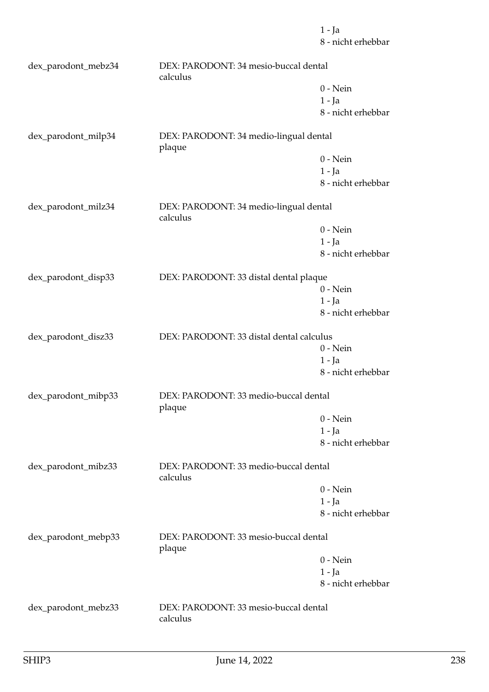8 - nicht erhebbar dex\_parodont\_mebz34 DEX: PARODONT: 34 mesio-buccal dental calculus 0 - Nein 1 - Ja 8 - nicht erhebbar dex\_parodont\_milp34 DEX: PARODONT: 34 medio-lingual dental plaque 0 - Nein 1 - Ja 8 - nicht erhebbar dex\_parodont\_milz34 DEX: PARODONT: 34 medio-lingual dental calculus 0 - Nein 1 - Ja 8 - nicht erhebbar dex\_parodont\_disp33 DEX: PARODONT: 33 distal dental plaque 0 - Nein 1 - Ja 8 - nicht erhebbar dex\_parodont\_disz33 DEX: PARODONT: 33 distal dental calculus 0 - Nein 1 - Ja 8 - nicht erhebbar dex\_parodont\_mibp33 DEX: PARODONT: 33 medio-buccal dental plaque 0 - Nein 1 - Ja 8 - nicht erhebbar dex\_parodont\_mibz33 DEX: PARODONT: 33 medio-buccal dental calculus 0 - Nein 1 - Ja 8 - nicht erhebbar dex\_parodont\_mebp33 DEX: PARODONT: 33 mesio-buccal dental plaque 0 - Nein 1 - Ja 8 - nicht erhebbar dex\_parodont\_mebz33 DEX: PARODONT: 33 mesio-buccal dental calculus

1 - Ja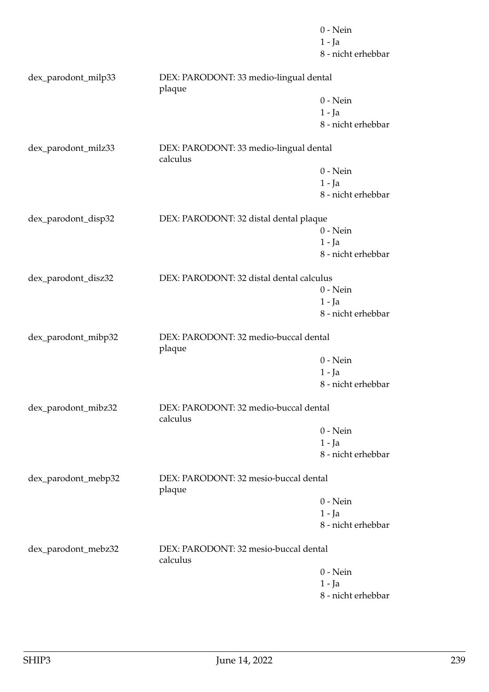|                     |                                                    | $0$ - Nein         |
|---------------------|----------------------------------------------------|--------------------|
|                     |                                                    | $1 - Ja$           |
|                     |                                                    | 8 - nicht erhebbar |
| dex_parodont_milp33 | DEX: PARODONT: 33 medio-lingual dental<br>plaque   |                    |
|                     |                                                    | $0$ - Nein         |
|                     |                                                    | $1 - Ja$           |
|                     |                                                    | 8 - nicht erhebbar |
| dex_parodont_milz33 | DEX: PARODONT: 33 medio-lingual dental<br>calculus |                    |
|                     |                                                    | $0$ - Nein         |
|                     |                                                    | $1 - Ja$           |
|                     |                                                    | 8 - nicht erhebbar |
| dex_parodont_disp32 | DEX: PARODONT: 32 distal dental plaque             |                    |
|                     |                                                    | $0$ - Nein         |
|                     |                                                    | $1 - Ja$           |
|                     |                                                    | 8 - nicht erhebbar |
|                     |                                                    |                    |
| dex_parodont_disz32 | DEX: PARODONT: 32 distal dental calculus           |                    |
|                     |                                                    | $0$ - Nein         |
|                     |                                                    | $1 - Ja$           |
|                     |                                                    | 8 - nicht erhebbar |
| dex_parodont_mibp32 | DEX: PARODONT: 32 medio-buccal dental<br>plaque    |                    |
|                     |                                                    | $0 - Nein$         |
|                     |                                                    | $1 - Ja$           |
|                     |                                                    | 8 - nicht erhebbar |
| dex_parodont_mibz32 | DEX: PARODONT: 32 medio-buccal dental<br>calculus  |                    |
|                     |                                                    | $0 - Nein$         |
|                     |                                                    | $1 - Ja$           |
|                     |                                                    | 8 - nicht erhebbar |
| dex_parodont_mebp32 | DEX: PARODONT: 32 mesio-buccal dental<br>plaque    |                    |
|                     |                                                    | $0 - Nein$         |
|                     |                                                    | $1 - Ja$           |
|                     |                                                    | 8 - nicht erhebbar |
| dex_parodont_mebz32 | DEX: PARODONT: 32 mesio-buccal dental<br>calculus  |                    |
|                     |                                                    | $0 - Nein$         |
|                     |                                                    | $1 - Ja$           |
|                     |                                                    | 8 - nicht erhebbar |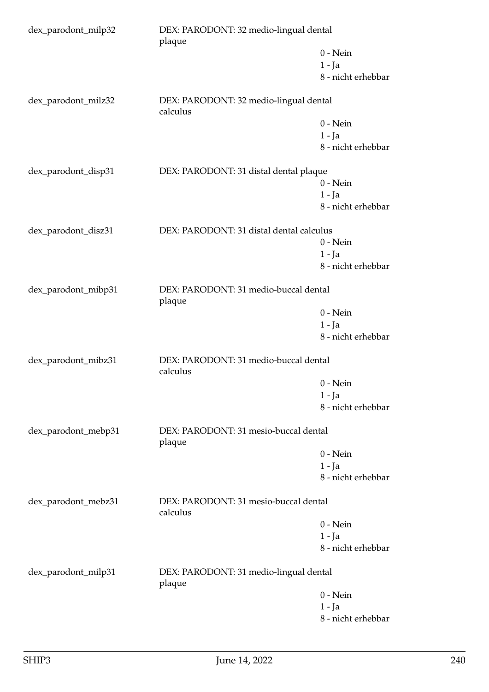| dex_parodont_milp32 |                                                    | DEX: PARODONT: 32 medio-lingual dental<br>plaque |  |
|---------------------|----------------------------------------------------|--------------------------------------------------|--|
|                     |                                                    | $0$ - Nein                                       |  |
|                     |                                                    | $1 - Ja$                                         |  |
|                     |                                                    | 8 - nicht erhebbar                               |  |
| dex_parodont_milz32 | DEX: PARODONT: 32 medio-lingual dental<br>calculus |                                                  |  |
|                     |                                                    | $0$ - Nein                                       |  |
|                     |                                                    | $1 - Ja$                                         |  |
|                     |                                                    | 8 - nicht erhebbar                               |  |
| dex_parodont_disp31 | DEX: PARODONT: 31 distal dental plaque             |                                                  |  |
|                     |                                                    | $0 - Nein$                                       |  |
|                     |                                                    | $1 - Ja$                                         |  |
|                     |                                                    | 8 - nicht erhebbar                               |  |
| dex_parodont_disz31 | DEX: PARODONT: 31 distal dental calculus           |                                                  |  |
|                     |                                                    | $0$ - Nein                                       |  |
|                     |                                                    | $1 - Ja$                                         |  |
|                     |                                                    | 8 - nicht erhebbar                               |  |
| dex_parodont_mibp31 | DEX: PARODONT: 31 medio-buccal dental<br>plaque    |                                                  |  |
|                     |                                                    | $0$ - Nein                                       |  |
|                     |                                                    | $1 - Ja$                                         |  |
|                     |                                                    | 8 - nicht erhebbar                               |  |
| dex_parodont_mibz31 | DEX: PARODONT: 31 medio-buccal dental<br>calculus  |                                                  |  |
|                     |                                                    | $0$ - Nein                                       |  |
|                     |                                                    | $1 - Ja$                                         |  |
|                     |                                                    | 8 - nicht erhebbar                               |  |
| dex_parodont_mebp31 | DEX: PARODONT: 31 mesio-buccal dental<br>plaque    |                                                  |  |
|                     |                                                    | $0$ - Nein                                       |  |
|                     |                                                    | 1 - Ja                                           |  |
|                     |                                                    | 8 - nicht erhebbar                               |  |
| dex_parodont_mebz31 | DEX: PARODONT: 31 mesio-buccal dental<br>calculus  |                                                  |  |
|                     |                                                    | $0$ - Nein                                       |  |
|                     |                                                    | $1 - Ja$                                         |  |
|                     |                                                    | 8 - nicht erhebbar                               |  |
| dex_parodont_milp31 | DEX: PARODONT: 31 medio-lingual dental<br>plaque   |                                                  |  |
|                     |                                                    | $0$ - Nein                                       |  |
|                     |                                                    | $1 - Ja$                                         |  |
|                     |                                                    | 8 - nicht erhebbar                               |  |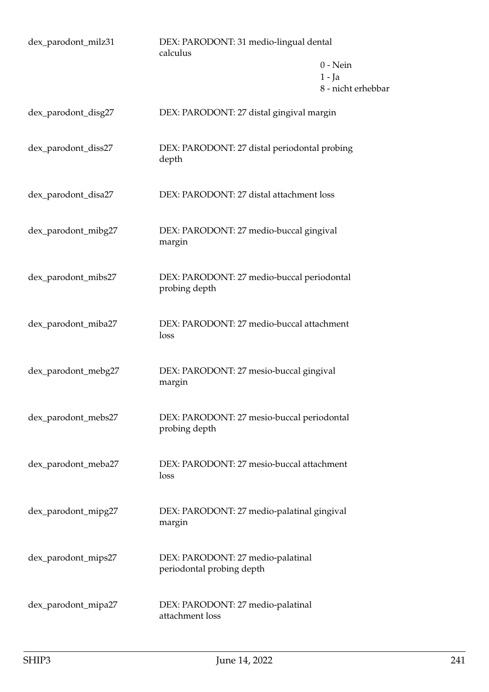| dex_parodont_milz31 | DEX: PARODONT: 31 medio-lingual dental<br>calculus             |                                              |
|---------------------|----------------------------------------------------------------|----------------------------------------------|
|                     |                                                                | $0$ - Nein<br>$1 - Ja$<br>8 - nicht erhebbar |
| dex_parodont_disg27 | DEX: PARODONT: 27 distal gingival margin                       |                                              |
| dex_parodont_diss27 | DEX: PARODONT: 27 distal periodontal probing<br>depth          |                                              |
| dex_parodont_disa27 | DEX: PARODONT: 27 distal attachment loss                       |                                              |
| dex_parodont_mibg27 | DEX: PARODONT: 27 medio-buccal gingival<br>margin              |                                              |
| dex_parodont_mibs27 | DEX: PARODONT: 27 medio-buccal periodontal<br>probing depth    |                                              |
| dex_parodont_miba27 | DEX: PARODONT: 27 medio-buccal attachment<br>loss              |                                              |
| dex_parodont_mebg27 | DEX: PARODONT: 27 mesio-buccal gingival<br>margin              |                                              |
| dex_parodont_mebs27 | DEX: PARODONT: 27 mesio-buccal periodontal<br>probing depth    |                                              |
| dex_parodont_meba27 | DEX: PARODONT: 27 mesio-buccal attachment<br>loss              |                                              |
| dex_parodont_mipg27 | DEX: PARODONT: 27 medio-palatinal gingival<br>margin           |                                              |
| dex_parodont_mips27 | DEX: PARODONT: 27 medio-palatinal<br>periodontal probing depth |                                              |
| dex_parodont_mipa27 | DEX: PARODONT: 27 medio-palatinal<br>attachment loss           |                                              |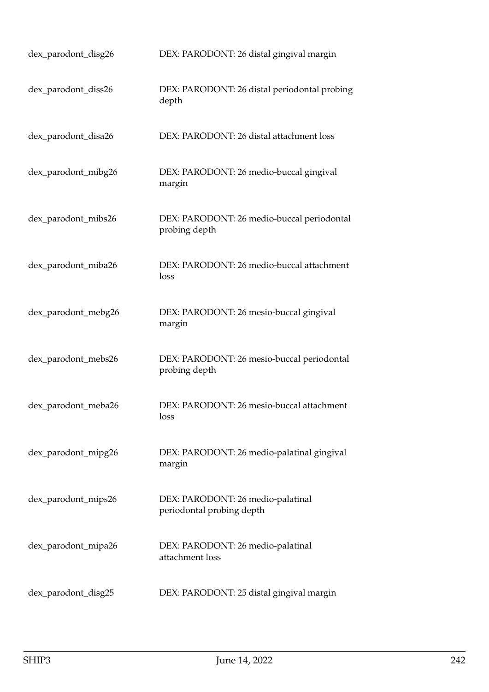| dex_parodont_disg26 | DEX: PARODONT: 26 distal gingival margin                       |
|---------------------|----------------------------------------------------------------|
| dex_parodont_diss26 | DEX: PARODONT: 26 distal periodontal probing<br>depth          |
| dex_parodont_disa26 | DEX: PARODONT: 26 distal attachment loss                       |
| dex_parodont_mibg26 | DEX: PARODONT: 26 medio-buccal gingival<br>margin              |
| dex_parodont_mibs26 | DEX: PARODONT: 26 medio-buccal periodontal<br>probing depth    |
| dex_parodont_miba26 | DEX: PARODONT: 26 medio-buccal attachment<br>loss              |
| dex_parodont_mebg26 | DEX: PARODONT: 26 mesio-buccal gingival<br>margin              |
| dex_parodont_mebs26 | DEX: PARODONT: 26 mesio-buccal periodontal<br>probing depth    |
| dex_parodont_meba26 | DEX: PARODONT: 26 mesio-buccal attachment<br>loss              |
| dex_parodont_mipg26 | DEX: PARODONT: 26 medio-palatinal gingival<br>margin           |
| dex_parodont_mips26 | DEX: PARODONT: 26 medio-palatinal<br>periodontal probing depth |
| dex_parodont_mipa26 | DEX: PARODONT: 26 medio-palatinal<br>attachment loss           |
| dex_parodont_disg25 | DEX: PARODONT: 25 distal gingival margin                       |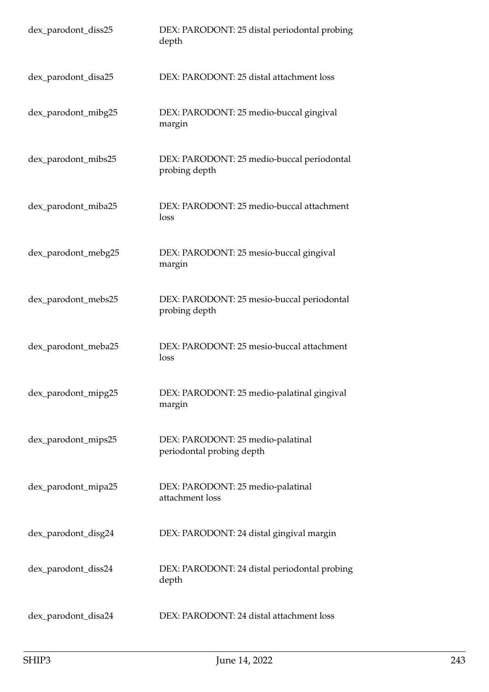| dex_parodont_diss25 | DEX: PARODONT: 25 distal periodontal probing<br>depth          |
|---------------------|----------------------------------------------------------------|
| dex_parodont_disa25 | DEX: PARODONT: 25 distal attachment loss                       |
| dex_parodont_mibg25 | DEX: PARODONT: 25 medio-buccal gingival<br>margin              |
| dex_parodont_mibs25 | DEX: PARODONT: 25 medio-buccal periodontal<br>probing depth    |
| dex_parodont_miba25 | DEX: PARODONT: 25 medio-buccal attachment<br>loss              |
| dex_parodont_mebg25 | DEX: PARODONT: 25 mesio-buccal gingival<br>margin              |
| dex_parodont_mebs25 | DEX: PARODONT: 25 mesio-buccal periodontal<br>probing depth    |
| dex_parodont_meba25 | DEX: PARODONT: 25 mesio-buccal attachment<br>loss              |
| dex_parodont_mipg25 | DEX: PARODONT: 25 medio-palatinal gingival<br>margin           |
| dex_parodont_mips25 | DEX: PARODONT: 25 medio-palatinal<br>periodontal probing depth |
| dex_parodont_mipa25 | DEX: PARODONT: 25 medio-palatinal<br>attachment loss           |
| dex_parodont_disg24 | DEX: PARODONT: 24 distal gingival margin                       |
| dex_parodont_diss24 | DEX: PARODONT: 24 distal periodontal probing<br>depth          |
| dex_parodont_disa24 | DEX: PARODONT: 24 distal attachment loss                       |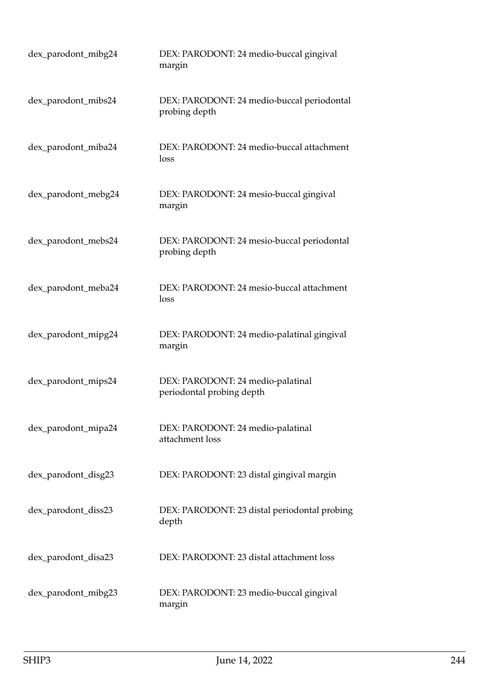| dex_parodont_mibg24 | DEX: PARODONT: 24 medio-buccal gingival<br>margin              |
|---------------------|----------------------------------------------------------------|
| dex_parodont_mibs24 | DEX: PARODONT: 24 medio-buccal periodontal<br>probing depth    |
| dex_parodont_miba24 | DEX: PARODONT: 24 medio-buccal attachment<br>loss              |
| dex_parodont_mebg24 | DEX: PARODONT: 24 mesio-buccal gingival<br>margin              |
| dex_parodont_mebs24 | DEX: PARODONT: 24 mesio-buccal periodontal<br>probing depth    |
| dex_parodont_meba24 | DEX: PARODONT: 24 mesio-buccal attachment<br>loss              |
| dex_parodont_mipg24 | DEX: PARODONT: 24 medio-palatinal gingival<br>margin           |
| dex_parodont_mips24 | DEX: PARODONT: 24 medio-palatinal<br>periodontal probing depth |
| dex_parodont_mipa24 | DEX: PARODONT: 24 medio-palatinal<br>attachment loss           |
| dex_parodont_disg23 | DEX: PARODONT: 23 distal gingival margin                       |
| dex_parodont_diss23 | DEX: PARODONT: 23 distal periodontal probing<br>depth          |
| dex_parodont_disa23 | DEX: PARODONT: 23 distal attachment loss                       |
| dex_parodont_mibg23 | DEX: PARODONT: 23 medio-buccal gingival<br>margin              |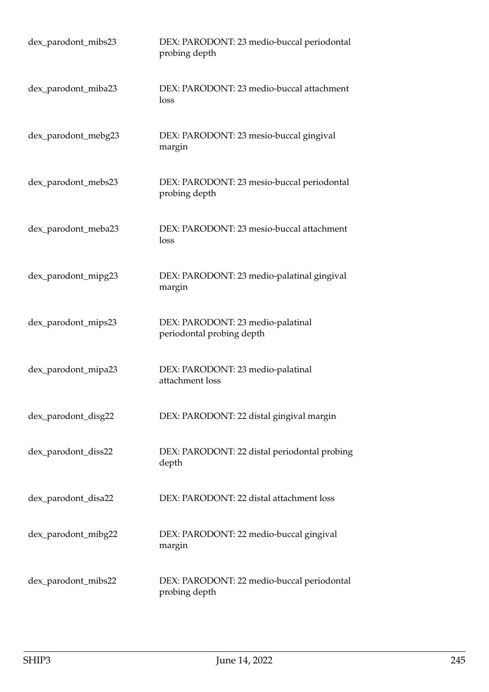| dex_parodont_mibs23 | DEX: PARODONT: 23 medio-buccal periodontal<br>probing depth    |
|---------------------|----------------------------------------------------------------|
| dex_parodont_miba23 | DEX: PARODONT: 23 medio-buccal attachment<br>loss              |
| dex_parodont_mebg23 | DEX: PARODONT: 23 mesio-buccal gingival<br>margin              |
| dex_parodont_mebs23 | DEX: PARODONT: 23 mesio-buccal periodontal<br>probing depth    |
| dex_parodont_meba23 | DEX: PARODONT: 23 mesio-buccal attachment<br>loss              |
| dex_parodont_mipg23 | DEX: PARODONT: 23 medio-palatinal gingival<br>margin           |
| dex_parodont_mips23 | DEX: PARODONT: 23 medio-palatinal<br>periodontal probing depth |
| dex_parodont_mipa23 | DEX: PARODONT: 23 medio-palatinal<br>attachment loss           |
| dex_parodont_disg22 | DEX: PARODONT: 22 distal gingival margin                       |
| dex_parodont_diss22 | DEX: PARODONT: 22 distal periodontal probing<br>depth          |
| dex_parodont_disa22 | DEX: PARODONT: 22 distal attachment loss                       |
| dex_parodont_mibg22 | DEX: PARODONT: 22 medio-buccal gingival<br>margin              |
| dex_parodont_mibs22 | DEX: PARODONT: 22 medio-buccal periodontal<br>probing depth    |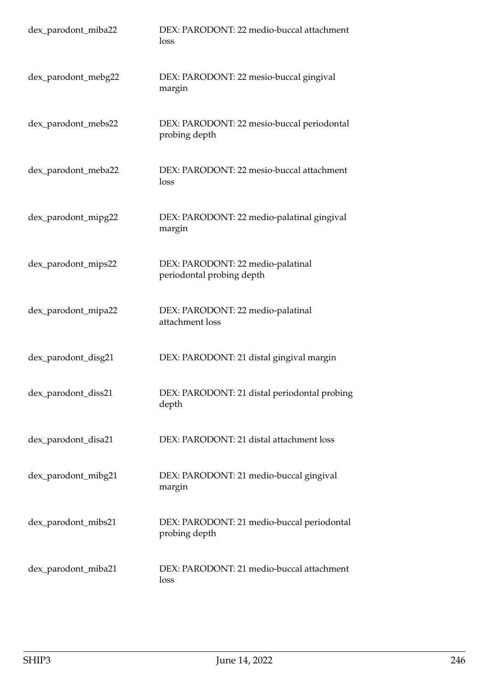| dex_parodont_miba22 | DEX: PARODONT: 22 medio-buccal attachment<br>loss              |
|---------------------|----------------------------------------------------------------|
| dex_parodont_mebg22 | DEX: PARODONT: 22 mesio-buccal gingival<br>margin              |
| dex_parodont_mebs22 | DEX: PARODONT: 22 mesio-buccal periodontal<br>probing depth    |
| dex_parodont_meba22 | DEX: PARODONT: 22 mesio-buccal attachment<br>loss              |
| dex_parodont_mipg22 | DEX: PARODONT: 22 medio-palatinal gingival<br>margin           |
| dex_parodont_mips22 | DEX: PARODONT: 22 medio-palatinal<br>periodontal probing depth |
| dex_parodont_mipa22 | DEX: PARODONT: 22 medio-palatinal<br>attachment loss           |
| dex_parodont_disg21 | DEX: PARODONT: 21 distal gingival margin                       |
| dex_parodont_diss21 | DEX: PARODONT: 21 distal periodontal probing<br>depth          |
| dex_parodont_disa21 | DEX: PARODONT: 21 distal attachment loss                       |
| dex_parodont_mibg21 | DEX: PARODONT: 21 medio-buccal gingival<br>margin              |
| dex_parodont_mibs21 | DEX: PARODONT: 21 medio-buccal periodontal<br>probing depth    |
| dex_parodont_miba21 | DEX: PARODONT: 21 medio-buccal attachment<br>loss              |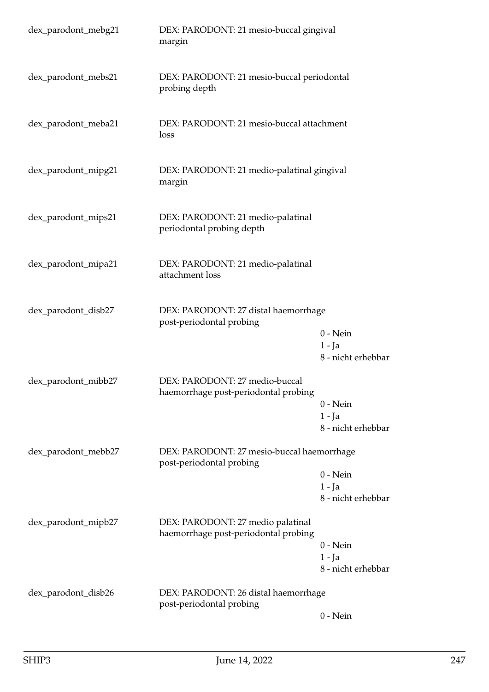| dex_parodont_mebg21 | DEX: PARODONT: 21 mesio-buccal gingival<br>margin                         |                                                                  |
|---------------------|---------------------------------------------------------------------------|------------------------------------------------------------------|
| dex_parodont_mebs21 | DEX: PARODONT: 21 mesio-buccal periodontal<br>probing depth               |                                                                  |
| dex_parodont_meba21 | DEX: PARODONT: 21 mesio-buccal attachment<br>loss                         |                                                                  |
| dex_parodont_mipg21 | DEX: PARODONT: 21 medio-palatinal gingival<br>margin                      |                                                                  |
| dex_parodont_mips21 | DEX: PARODONT: 21 medio-palatinal<br>periodontal probing depth            |                                                                  |
| dex_parodont_mipa21 | DEX: PARODONT: 21 medio-palatinal<br>attachment loss                      |                                                                  |
| dex_parodont_disb27 | DEX: PARODONT: 27 distal haemorrhage<br>post-periodontal probing          | $0$ - Nein<br>$1 - Ja$                                           |
| dex_parodont_mibb27 | DEX: PARODONT: 27 medio-buccal<br>haemorrhage post-periodontal probing    | 8 - nicht erhebbar<br>$0$ - Nein<br>1 - Ja<br>8 - nicht erhebbar |
| dex_parodont_mebb27 | DEX: PARODONT: 27 mesio-buccal haemorrhage<br>post-periodontal probing    | $0$ - Nein<br>$1 - Ja$<br>8 - nicht erhebbar                     |
| dex_parodont_mipb27 | DEX: PARODONT: 27 medio palatinal<br>haemorrhage post-periodontal probing | $0$ - Nein<br>$1 - Ja$<br>8 - nicht erhebbar                     |
| dex_parodont_disb26 | DEX: PARODONT: 26 distal haemorrhage<br>post-periodontal probing          | $0$ - Nein                                                       |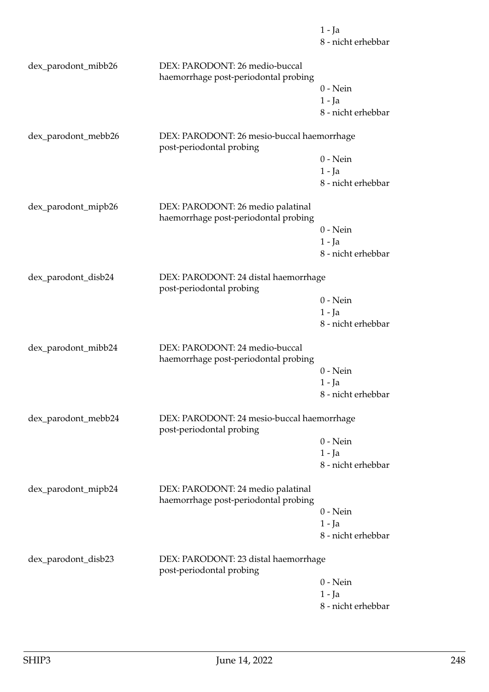|                     |                                                                           | $1 - Ja$<br>8 - nicht erhebbar |
|---------------------|---------------------------------------------------------------------------|--------------------------------|
| dex_parodont_mibb26 | DEX: PARODONT: 26 medio-buccal                                            |                                |
|                     | haemorrhage post-periodontal probing                                      |                                |
|                     |                                                                           | $0$ - Nein                     |
|                     |                                                                           | $1 - Ja$                       |
|                     |                                                                           | 8 - nicht erhebbar             |
| dex_parodont_mebb26 | DEX: PARODONT: 26 mesio-buccal haemorrhage<br>post-periodontal probing    |                                |
|                     |                                                                           | $0$ - Nein                     |
|                     |                                                                           | $1 - Ja$                       |
|                     |                                                                           | 8 - nicht erhebbar             |
| dex_parodont_mipb26 | DEX: PARODONT: 26 medio palatinal<br>haemorrhage post-periodontal probing |                                |
|                     |                                                                           | $0 - Nein$                     |
|                     |                                                                           | $1 - Ja$                       |
|                     |                                                                           | 8 - nicht erhebbar             |
| dex_parodont_disb24 | DEX: PARODONT: 24 distal haemorrhage<br>post-periodontal probing          |                                |
|                     |                                                                           | $0 - Nein$                     |
|                     |                                                                           | $1 - Ja$                       |
|                     |                                                                           | 8 - nicht erhebbar             |
| dex_parodont_mibb24 | DEX: PARODONT: 24 medio-buccal<br>haemorrhage post-periodontal probing    |                                |
|                     |                                                                           | $0$ - Nein                     |
|                     |                                                                           | 1 - Ja                         |
|                     |                                                                           | 8 - nicht erhebbar             |
| dex_parodont_mebb24 | DEX: PARODONT: 24 mesio-buccal haemorrhage<br>post-periodontal probing    |                                |
|                     |                                                                           | $0$ - Nein                     |
|                     |                                                                           | $1 - Ja$                       |
|                     |                                                                           | 8 - nicht erhebbar             |
| dex_parodont_mipb24 | DEX: PARODONT: 24 medio palatinal<br>haemorrhage post-periodontal probing |                                |
|                     |                                                                           | $0 - Nein$                     |
|                     |                                                                           | $1 - Ja$                       |
|                     |                                                                           | 8 - nicht erhebbar             |
| dex_parodont_disb23 | DEX: PARODONT: 23 distal haemorrhage<br>post-periodontal probing          |                                |
|                     |                                                                           | $0 - Nein$                     |
|                     |                                                                           | 1 - Ja                         |
|                     |                                                                           |                                |

8 - nicht erhebbar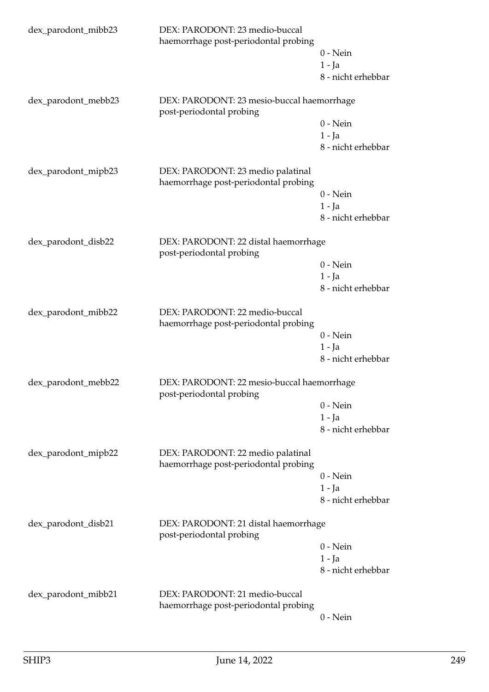| dex_parodont_mibb23 | DEX: PARODONT: 23 medio-buccal<br>haemorrhage post-periodontal probing    | $0$ - Nein<br>$1 - Ja$<br>8 - nicht erhebbar |
|---------------------|---------------------------------------------------------------------------|----------------------------------------------|
| dex_parodont_mebb23 | DEX: PARODONT: 23 mesio-buccal haemorrhage<br>post-periodontal probing    | $0$ - Nein<br>$1 - Ja$                       |
|                     |                                                                           | 8 - nicht erhebbar                           |
| dex_parodont_mipb23 | DEX: PARODONT: 23 medio palatinal<br>haemorrhage post-periodontal probing |                                              |
|                     |                                                                           | $0$ - Nein<br>$1 - Ja$<br>8 - nicht erhebbar |
| dex_parodont_disb22 | DEX: PARODONT: 22 distal haemorrhage<br>post-periodontal probing          |                                              |
|                     |                                                                           | $0$ - Nein                                   |
|                     |                                                                           | $1 - Ja$                                     |
|                     |                                                                           | 8 - nicht erhebbar                           |
| dex_parodont_mibb22 | DEX: PARODONT: 22 medio-buccal<br>haemorrhage post-periodontal probing    |                                              |
|                     |                                                                           | $0 - Nein$                                   |
|                     |                                                                           | $1 - Ja$                                     |
|                     |                                                                           | 8 - nicht erhebbar                           |
| dex_parodont_mebb22 | DEX: PARODONT: 22 mesio-buccal haemorrhage<br>post-periodontal probing    |                                              |
|                     |                                                                           | $0$ - Nein                                   |
|                     |                                                                           | $1 - Ja$                                     |
|                     |                                                                           | 8 - nicht erhebbar                           |
| dex_parodont_mipb22 | DEX: PARODONT: 22 medio palatinal<br>haemorrhage post-periodontal probing |                                              |
|                     |                                                                           | $0$ - Nein                                   |
|                     |                                                                           | $1 - Ja$                                     |
|                     |                                                                           | 8 - nicht erhebbar                           |
| dex_parodont_disb21 | DEX: PARODONT: 21 distal haemorrhage<br>post-periodontal probing          |                                              |
|                     |                                                                           | $0$ - Nein                                   |
|                     |                                                                           | $1 - Ja$                                     |
|                     |                                                                           | 8 - nicht erhebbar                           |
| dex_parodont_mibb21 | DEX: PARODONT: 21 medio-buccal<br>haemorrhage post-periodontal probing    |                                              |
|                     |                                                                           | $0$ - Nein                                   |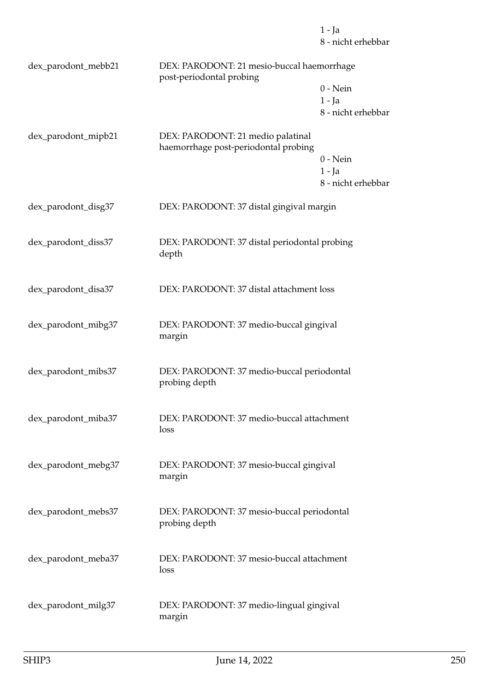1 - Ja 8 - nicht erhebbar

| dex_parodont_mebb21 | DEX: PARODONT: 21 mesio-buccal haemorrhage<br>post-periodontal probing    |                                              |
|---------------------|---------------------------------------------------------------------------|----------------------------------------------|
|                     |                                                                           | $0$ - Nein<br>$1 - Ja$<br>8 - nicht erhebbar |
| dex_parodont_mipb21 | DEX: PARODONT: 21 medio palatinal<br>haemorrhage post-periodontal probing | $0$ - Nein<br>$1 - Ja$<br>8 - nicht erhebbar |
| dex_parodont_disg37 | DEX: PARODONT: 37 distal gingival margin                                  |                                              |
| dex_parodont_diss37 | DEX: PARODONT: 37 distal periodontal probing<br>depth                     |                                              |
| dex_parodont_disa37 | DEX: PARODONT: 37 distal attachment loss                                  |                                              |
| dex_parodont_mibg37 | DEX: PARODONT: 37 medio-buccal gingival<br>margin                         |                                              |
| dex_parodont_mibs37 | DEX: PARODONT: 37 medio-buccal periodontal<br>probing depth               |                                              |
| dex_parodont_miba37 | DEX: PARODONT: 37 medio-buccal attachment<br>loss                         |                                              |
| dex_parodont_mebg37 | DEX: PARODONT: 37 mesio-buccal gingival<br>margin                         |                                              |
| dex_parodont_mebs37 | DEX: PARODONT: 37 mesio-buccal periodontal<br>probing depth               |                                              |
| dex_parodont_meba37 | DEX: PARODONT: 37 mesio-buccal attachment<br>loss                         |                                              |
| dex_parodont_milg37 | DEX: PARODONT: 37 medio-lingual gingival<br>margin                        |                                              |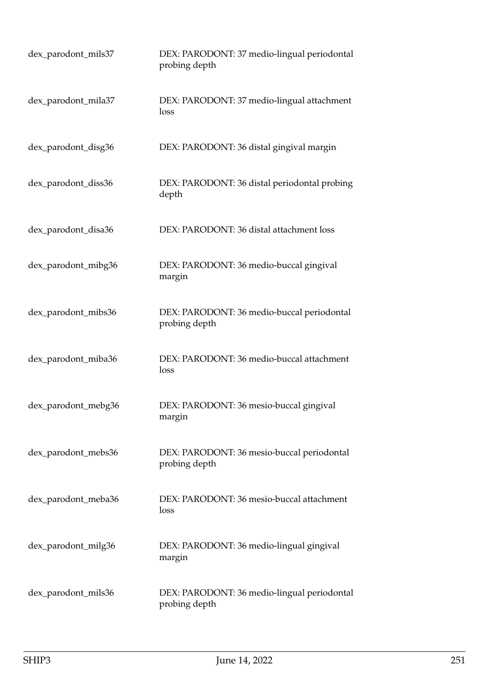| dex_parodont_mils37 | DEX: PARODONT: 37 medio-lingual periodontal<br>probing depth |
|---------------------|--------------------------------------------------------------|
| dex_parodont_mila37 | DEX: PARODONT: 37 medio-lingual attachment<br>loss           |
| dex_parodont_disg36 | DEX: PARODONT: 36 distal gingival margin                     |
| dex_parodont_diss36 | DEX: PARODONT: 36 distal periodontal probing<br>depth        |
| dex_parodont_disa36 | DEX: PARODONT: 36 distal attachment loss                     |
| dex_parodont_mibg36 | DEX: PARODONT: 36 medio-buccal gingival<br>margin            |
| dex_parodont_mibs36 | DEX: PARODONT: 36 medio-buccal periodontal<br>probing depth  |
| dex_parodont_miba36 | DEX: PARODONT: 36 medio-buccal attachment<br>loss            |
| dex_parodont_mebg36 | DEX: PARODONT: 36 mesio-buccal gingival<br>margin            |
| dex_parodont_mebs36 | DEX: PARODONT: 36 mesio-buccal periodontal<br>probing depth  |
| dex_parodont_meba36 | DEX: PARODONT: 36 mesio-buccal attachment<br>loss            |
| dex_parodont_milg36 | DEX: PARODONT: 36 medio-lingual gingival<br>margin           |
| dex_parodont_mils36 | DEX: PARODONT: 36 medio-lingual periodontal<br>probing depth |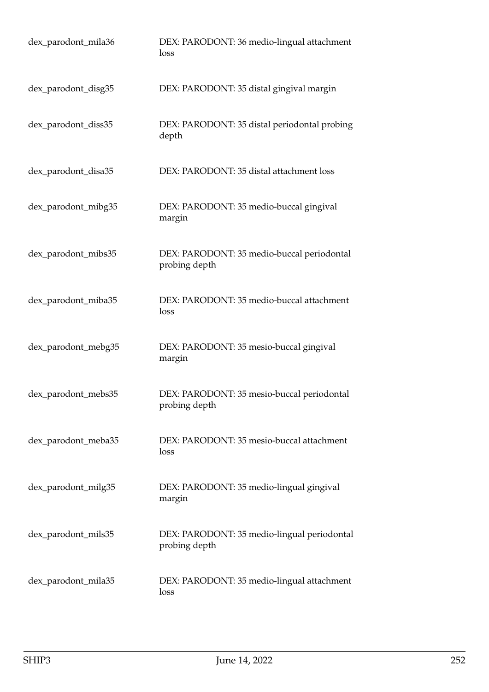| dex_parodont_mila36 | DEX: PARODONT: 36 medio-lingual attachment<br>loss           |
|---------------------|--------------------------------------------------------------|
| dex_parodont_disg35 | DEX: PARODONT: 35 distal gingival margin                     |
| dex_parodont_diss35 | DEX: PARODONT: 35 distal periodontal probing<br>depth        |
| dex_parodont_disa35 | DEX: PARODONT: 35 distal attachment loss                     |
| dex_parodont_mibg35 | DEX: PARODONT: 35 medio-buccal gingival<br>margin            |
| dex_parodont_mibs35 | DEX: PARODONT: 35 medio-buccal periodontal<br>probing depth  |
| dex_parodont_miba35 | DEX: PARODONT: 35 medio-buccal attachment<br>loss            |
| dex_parodont_mebg35 | DEX: PARODONT: 35 mesio-buccal gingival<br>margin            |
| dex_parodont_mebs35 | DEX: PARODONT: 35 mesio-buccal periodontal<br>probing depth  |
| dex_parodont_meba35 | DEX: PARODONT: 35 mesio-buccal attachment<br>loss            |
| dex_parodont_milg35 | DEX: PARODONT: 35 medio-lingual gingival<br>margin           |
| dex_parodont_mils35 | DEX: PARODONT: 35 medio-lingual periodontal<br>probing depth |
| dex_parodont_mila35 | DEX: PARODONT: 35 medio-lingual attachment<br>loss           |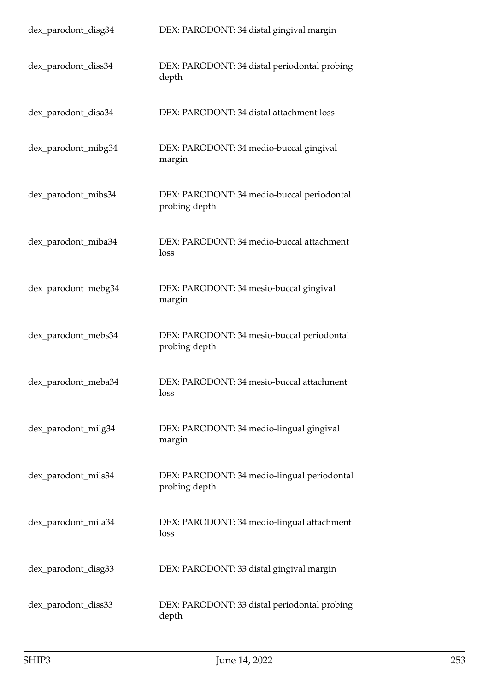| dex_parodont_disg34 | DEX: PARODONT: 34 distal gingival margin                     |
|---------------------|--------------------------------------------------------------|
| dex_parodont_diss34 | DEX: PARODONT: 34 distal periodontal probing<br>depth        |
| dex_parodont_disa34 | DEX: PARODONT: 34 distal attachment loss                     |
| dex_parodont_mibg34 | DEX: PARODONT: 34 medio-buccal gingival<br>margin            |
| dex_parodont_mibs34 | DEX: PARODONT: 34 medio-buccal periodontal<br>probing depth  |
| dex_parodont_miba34 | DEX: PARODONT: 34 medio-buccal attachment<br>loss            |
| dex_parodont_mebg34 | DEX: PARODONT: 34 mesio-buccal gingival<br>margin            |
| dex_parodont_mebs34 | DEX: PARODONT: 34 mesio-buccal periodontal<br>probing depth  |
| dex_parodont_meba34 | DEX: PARODONT: 34 mesio-buccal attachment<br>loss            |
| dex_parodont_milg34 | DEX: PARODONT: 34 medio-lingual gingival<br>margin           |
| dex_parodont_mils34 | DEX: PARODONT: 34 medio-lingual periodontal<br>probing depth |
| dex_parodont_mila34 | DEX: PARODONT: 34 medio-lingual attachment<br>loss           |
| dex_parodont_disg33 | DEX: PARODONT: 33 distal gingival margin                     |
| dex_parodont_diss33 | DEX: PARODONT: 33 distal periodontal probing<br>depth        |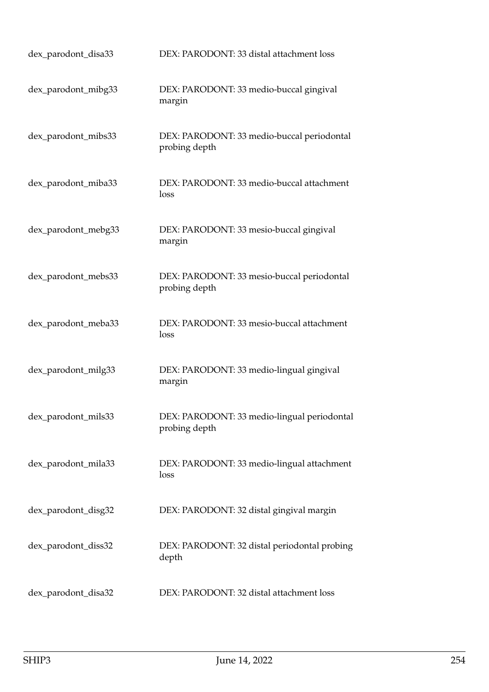| dex_parodont_disa33 | DEX: PARODONT: 33 distal attachment loss                     |
|---------------------|--------------------------------------------------------------|
| dex_parodont_mibg33 | DEX: PARODONT: 33 medio-buccal gingival<br>margin            |
| dex_parodont_mibs33 | DEX: PARODONT: 33 medio-buccal periodontal<br>probing depth  |
| dex_parodont_miba33 | DEX: PARODONT: 33 medio-buccal attachment<br>loss            |
| dex_parodont_mebg33 | DEX: PARODONT: 33 mesio-buccal gingival<br>margin            |
| dex_parodont_mebs33 | DEX: PARODONT: 33 mesio-buccal periodontal<br>probing depth  |
| dex_parodont_meba33 | DEX: PARODONT: 33 mesio-buccal attachment<br>loss            |
| dex_parodont_milg33 | DEX: PARODONT: 33 medio-lingual gingival<br>margin           |
| dex_parodont_mils33 | DEX: PARODONT: 33 medio-lingual periodontal<br>probing depth |
| dex_parodont_mila33 | DEX: PARODONT: 33 medio-lingual attachment<br>loss           |
| dex_parodont_disg32 | DEX: PARODONT: 32 distal gingival margin                     |
| dex_parodont_diss32 | DEX: PARODONT: 32 distal periodontal probing<br>depth        |
| dex_parodont_disa32 | DEX: PARODONT: 32 distal attachment loss                     |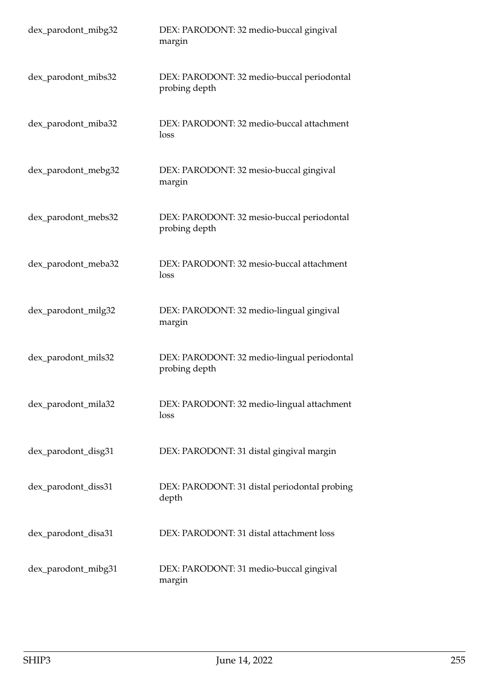| dex_parodont_mibg32 | DEX: PARODONT: 32 medio-buccal gingival<br>margin            |
|---------------------|--------------------------------------------------------------|
| dex_parodont_mibs32 | DEX: PARODONT: 32 medio-buccal periodontal<br>probing depth  |
| dex_parodont_miba32 | DEX: PARODONT: 32 medio-buccal attachment<br>loss            |
| dex_parodont_mebg32 | DEX: PARODONT: 32 mesio-buccal gingival<br>margin            |
| dex_parodont_mebs32 | DEX: PARODONT: 32 mesio-buccal periodontal<br>probing depth  |
| dex_parodont_meba32 | DEX: PARODONT: 32 mesio-buccal attachment<br>loss            |
| dex_parodont_milg32 | DEX: PARODONT: 32 medio-lingual gingival<br>margin           |
| dex_parodont_mils32 | DEX: PARODONT: 32 medio-lingual periodontal<br>probing depth |
| dex_parodont_mila32 | DEX: PARODONT: 32 medio-lingual attachment<br>loss           |
| dex_parodont_disg31 | DEX: PARODONT: 31 distal gingival margin                     |
| dex_parodont_diss31 | DEX: PARODONT: 31 distal periodontal probing<br>depth        |
| dex_parodont_disa31 | DEX: PARODONT: 31 distal attachment loss                     |
| dex_parodont_mibg31 | DEX: PARODONT: 31 medio-buccal gingival<br>margin            |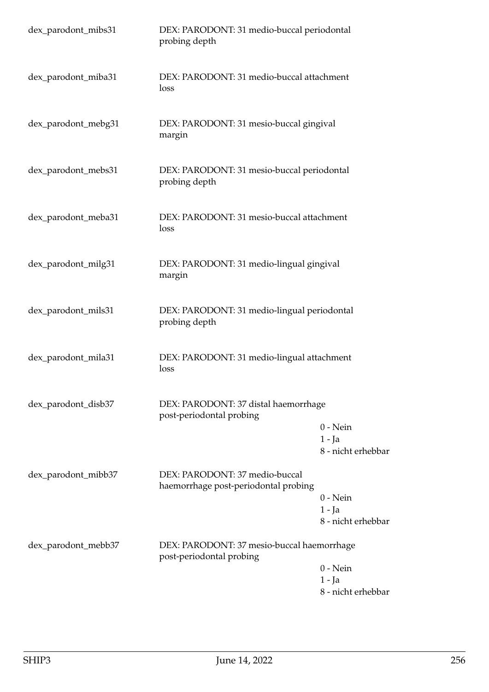| dex_parodont_mibs31 | DEX: PARODONT: 31 medio-buccal periodontal<br>probing depth            |                                              |
|---------------------|------------------------------------------------------------------------|----------------------------------------------|
| dex_parodont_miba31 | DEX: PARODONT: 31 medio-buccal attachment<br>loss                      |                                              |
| dex_parodont_mebg31 | DEX: PARODONT: 31 mesio-buccal gingival<br>margin                      |                                              |
| dex_parodont_mebs31 | DEX: PARODONT: 31 mesio-buccal periodontal<br>probing depth            |                                              |
| dex_parodont_meba31 | DEX: PARODONT: 31 mesio-buccal attachment<br>loss                      |                                              |
| dex_parodont_milg31 | DEX: PARODONT: 31 medio-lingual gingival<br>margin                     |                                              |
| dex_parodont_mils31 | DEX: PARODONT: 31 medio-lingual periodontal<br>probing depth           |                                              |
| dex_parodont_mila31 | DEX: PARODONT: 31 medio-lingual attachment<br>loss                     |                                              |
| dex_parodont_disb37 | DEX: PARODONT: 37 distal haemorrhage<br>post-periodontal probing       | $0$ - Nein<br>$1 - Ja$<br>8 - nicht erhebbar |
| dex_parodont_mibb37 | DEX: PARODONT: 37 medio-buccal<br>haemorrhage post-periodontal probing | $0 - Nein$<br>1 - Ja<br>8 - nicht erhebbar   |
| dex_parodont_mebb37 | DEX: PARODONT: 37 mesio-buccal haemorrhage<br>post-periodontal probing | $0 - Nein$<br>1 - Ja<br>8 - nicht erhebbar   |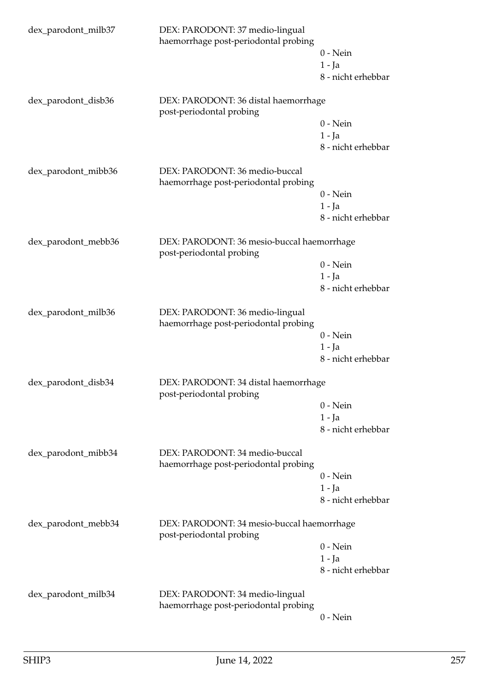| dex_parodont_milb37 | DEX: PARODONT: 37 medio-lingual<br>haemorrhage post-periodontal probing | $0$ - Nein<br>$1 - Ja$<br>8 - nicht erhebbar |
|---------------------|-------------------------------------------------------------------------|----------------------------------------------|
| dex_parodont_disb36 | DEX: PARODONT: 36 distal haemorrhage<br>post-periodontal probing        | $0$ - Nein<br>$1 - Ja$<br>8 - nicht erhebbar |
| dex_parodont_mibb36 | DEX: PARODONT: 36 medio-buccal<br>haemorrhage post-periodontal probing  | $0$ - Nein<br>$1 - Ja$<br>8 - nicht erhebbar |
| dex_parodont_mebb36 | DEX: PARODONT: 36 mesio-buccal haemorrhage<br>post-periodontal probing  | $0$ - Nein<br>$1 - Ja$<br>8 - nicht erhebbar |
| dex_parodont_milb36 | DEX: PARODONT: 36 medio-lingual<br>haemorrhage post-periodontal probing | $0$ - Nein<br>$1 - Ja$<br>8 - nicht erhebbar |
| dex_parodont_disb34 | DEX: PARODONT: 34 distal haemorrhage<br>post-periodontal probing        | $0$ - Nein<br>$1 - Ja$<br>8 - nicht erhebbar |
| dex_parodont_mibb34 | DEX: PARODONT: 34 medio-buccal<br>haemorrhage post-periodontal probing  | $0$ - Nein<br>$1 - Ja$<br>8 - nicht erhebbar |
| dex_parodont_mebb34 | DEX: PARODONT: 34 mesio-buccal haemorrhage<br>post-periodontal probing  | $0$ - Nein<br>$1 - Ja$<br>8 - nicht erhebbar |
| dex_parodont_milb34 | DEX: PARODONT: 34 medio-lingual<br>haemorrhage post-periodontal probing | $0$ - Nein                                   |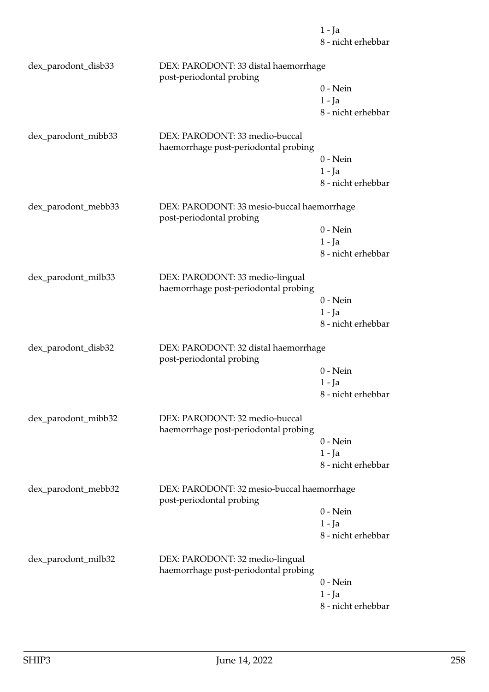8 - nicht erhebbar dex\_parodont\_disb33 DEX: PARODONT: 33 distal haemorrhage post-periodontal probing 0 - Nein 1 - Ja 8 - nicht erhebbar dex\_parodont\_mibb33 DEX: PARODONT: 33 medio-buccal haemorrhage post-periodontal probing 0 - Nein 1 - Ja 8 - nicht erhebbar dex\_parodont\_mebb33 DEX: PARODONT: 33 mesio-buccal haemorrhage post-periodontal probing 0 - Nein 1 - Ja 8 - nicht erhebbar dex\_parodont\_milb33 DEX: PARODONT: 33 medio-lingual haemorrhage post-periodontal probing 0 - Nein 1 - Ja 8 - nicht erhebbar dex\_parodont\_disb32 DEX: PARODONT: 32 distal haemorrhage post-periodontal probing 0 - Nein 1 - Ja 8 - nicht erhebbar dex\_parodont\_mibb32 DEX: PARODONT: 32 medio-buccal haemorrhage post-periodontal probing 0 - Nein 1 - Ja 8 - nicht erhebbar dex\_parodont\_mebb32 DEX: PARODONT: 32 mesio-buccal haemorrhage post-periodontal probing 0 - Nein 1 - Ja 8 - nicht erhebbar dex\_parodont\_milb32 DEX: PARODONT: 32 medio-lingual haemorrhage post-periodontal probing 0 - Nein 1 - Ja 8 - nicht erhebbar

1 - Ja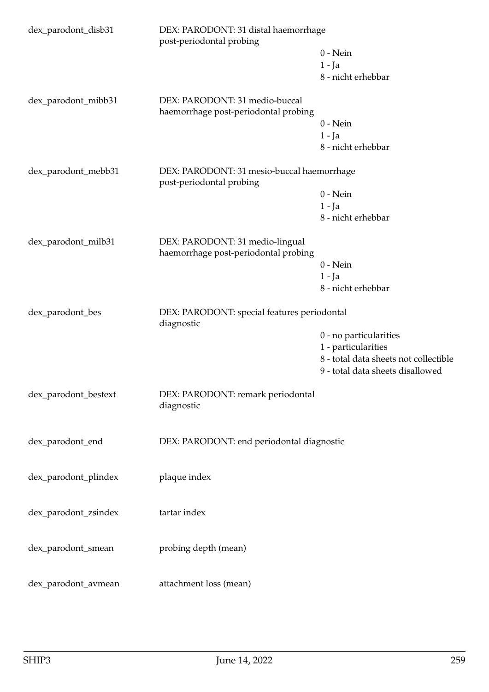| dex_parodont_disb31  | DEX: PARODONT: 31 distal haemorrhage<br>post-periodontal probing        |                                       |  |
|----------------------|-------------------------------------------------------------------------|---------------------------------------|--|
|                      |                                                                         | $0$ - Nein                            |  |
|                      |                                                                         | $1 - Ja$                              |  |
|                      |                                                                         | 8 - nicht erhebbar                    |  |
| dex_parodont_mibb31  | DEX: PARODONT: 31 medio-buccal<br>haemorrhage post-periodontal probing  |                                       |  |
|                      |                                                                         | $0 - Nein$                            |  |
|                      |                                                                         | $1 - Ja$                              |  |
|                      |                                                                         | 8 - nicht erhebbar                    |  |
| dex_parodont_mebb31  | DEX: PARODONT: 31 mesio-buccal haemorrhage<br>post-periodontal probing  |                                       |  |
|                      |                                                                         | $0$ - Nein                            |  |
|                      |                                                                         | $1 - Ja$                              |  |
|                      |                                                                         | 8 - nicht erhebbar                    |  |
| dex_parodont_milb31  | DEX: PARODONT: 31 medio-lingual<br>haemorrhage post-periodontal probing |                                       |  |
|                      |                                                                         | $0$ - Nein                            |  |
|                      |                                                                         | $1 - Ja$                              |  |
|                      |                                                                         | 8 - nicht erhebbar                    |  |
| dex_parodont_bes     | DEX: PARODONT: special features periodontal<br>diagnostic               |                                       |  |
|                      |                                                                         | 0 - no particularities                |  |
|                      |                                                                         | 1 - particularities                   |  |
|                      |                                                                         | 8 - total data sheets not collectible |  |
|                      |                                                                         | 9 - total data sheets disallowed      |  |
| dex_parodont_bestext | DEX: PARODONT: remark periodontal<br>diagnostic                         |                                       |  |
| dex_parodont_end     | DEX: PARODONT: end periodontal diagnostic                               |                                       |  |
| dex_parodont_plindex | plaque index                                                            |                                       |  |
| dex_parodont_zsindex | tartar index                                                            |                                       |  |
| dex_parodont_smean   | probing depth (mean)                                                    |                                       |  |
| dex_parodont_avmean  | attachment loss (mean)                                                  |                                       |  |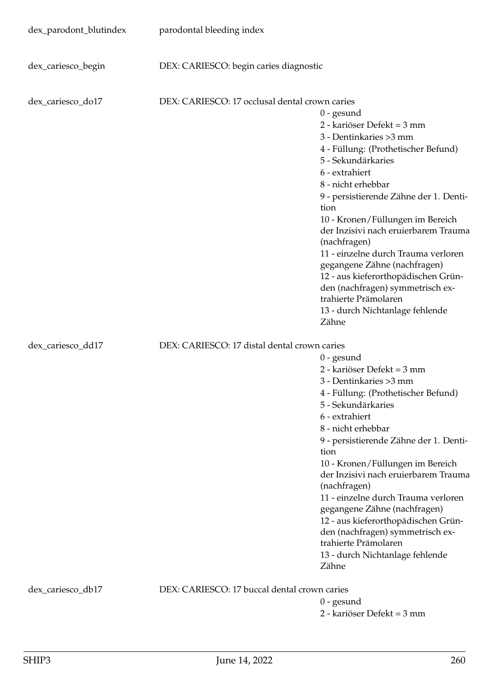| dex_parodont_blutindex | parodontal bleeding index                      |                                                                                                                                                                                                                                                                                                                                                                                                                                                                                                                                                |
|------------------------|------------------------------------------------|------------------------------------------------------------------------------------------------------------------------------------------------------------------------------------------------------------------------------------------------------------------------------------------------------------------------------------------------------------------------------------------------------------------------------------------------------------------------------------------------------------------------------------------------|
| dex_cariesco_begin     | DEX: CARIESCO: begin caries diagnostic         |                                                                                                                                                                                                                                                                                                                                                                                                                                                                                                                                                |
| dex_cariesco_do17      | DEX: CARIESCO: 17 occlusal dental crown caries | $0$ - gesund<br>2 - kariöser Defekt = 3 mm<br>3 - Dentinkaries > 3 mm<br>4 - Füllung: (Prothetischer Befund)<br>5 - Sekundärkaries<br>6 - extrahiert<br>8 - nicht erhebbar<br>9 - persistierende Zähne der 1. Denti-<br>tion<br>10 - Kronen/Füllungen im Bereich<br>der Inzisivi nach eruierbarem Trauma<br>(nachfragen)<br>11 - einzelne durch Trauma verloren<br>gegangene Zähne (nachfragen)<br>12 - aus kieferorthopädischen Grün-<br>den (nachfragen) symmetrisch ex-<br>trahierte Prämolaren<br>13 - durch Nichtanlage fehlende<br>Zähne |
| dex_cariesco_dd17      | DEX: CARIESCO: 17 distal dental crown caries   | $0$ - gesund<br>2 - kariöser Defekt = 3 mm<br>3 - Dentinkaries > 3 mm<br>4 - Füllung: (Prothetischer Befund)<br>5 - Sekundärkaries<br>6 - extrahiert<br>8 - nicht erhebbar<br>9 - persistierende Zähne der 1. Denti-<br>tion<br>10 - Kronen/Füllungen im Bereich<br>der Inzisivi nach eruierbarem Trauma<br>(nachfragen)<br>11 - einzelne durch Trauma verloren<br>gegangene Zähne (nachfragen)<br>12 - aus kieferorthopädischen Grün-<br>den (nachfragen) symmetrisch ex-<br>trahierte Prämolaren<br>13 - durch Nichtanlage fehlende<br>Zähne |
| dex_cariesco_db17      | DEX: CARIESCO: 17 buccal dental crown caries   | $0$ - gesund<br>2 - kariöser Defekt = 3 mm                                                                                                                                                                                                                                                                                                                                                                                                                                                                                                     |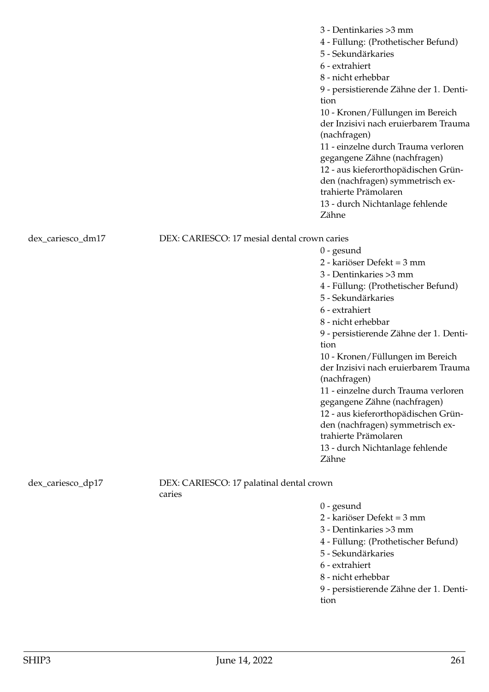|                   |                                                    | 3 - Dentinkaries > 3 mm<br>4 - Füllung: (Prothetischer Befund)<br>5 - Sekundärkaries<br>6 - extrahiert<br>8 - nicht erhebbar<br>9 - persistierende Zähne der 1. Denti-<br>tion<br>10 - Kronen/Füllungen im Bereich<br>der Inzisivi nach eruierbarem Trauma<br>(nachfragen)<br>11 - einzelne durch Trauma verloren<br>gegangene Zähne (nachfragen)<br>12 - aus kieferorthopädischen Grün-<br>den (nachfragen) symmetrisch ex-<br>trahierte Prämolaren<br>13 - durch Nichtanlage fehlende<br>Zähne |
|-------------------|----------------------------------------------------|--------------------------------------------------------------------------------------------------------------------------------------------------------------------------------------------------------------------------------------------------------------------------------------------------------------------------------------------------------------------------------------------------------------------------------------------------------------------------------------------------|
| dex_cariesco_dm17 | DEX: CARIESCO: 17 mesial dental crown caries       |                                                                                                                                                                                                                                                                                                                                                                                                                                                                                                  |
|                   |                                                    | $0$ - gesund                                                                                                                                                                                                                                                                                                                                                                                                                                                                                     |
|                   |                                                    | 2 - kariöser Defekt = 3 mm                                                                                                                                                                                                                                                                                                                                                                                                                                                                       |
|                   |                                                    | 3 - Dentinkaries > 3 mm                                                                                                                                                                                                                                                                                                                                                                                                                                                                          |
|                   |                                                    | 4 - Füllung: (Prothetischer Befund)                                                                                                                                                                                                                                                                                                                                                                                                                                                              |
|                   |                                                    | 5 - Sekundärkaries                                                                                                                                                                                                                                                                                                                                                                                                                                                                               |
|                   |                                                    | 6 - extrahiert                                                                                                                                                                                                                                                                                                                                                                                                                                                                                   |
|                   |                                                    | 8 - nicht erhebbar                                                                                                                                                                                                                                                                                                                                                                                                                                                                               |
|                   |                                                    | 9 - persistierende Zähne der 1. Denti-                                                                                                                                                                                                                                                                                                                                                                                                                                                           |
|                   |                                                    | tion                                                                                                                                                                                                                                                                                                                                                                                                                                                                                             |
|                   |                                                    | 10 - Kronen/Füllungen im Bereich                                                                                                                                                                                                                                                                                                                                                                                                                                                                 |
|                   |                                                    | der Inzisivi nach eruierbarem Trauma                                                                                                                                                                                                                                                                                                                                                                                                                                                             |
|                   |                                                    | (nachfragen)<br>11 - einzelne durch Trauma verloren                                                                                                                                                                                                                                                                                                                                                                                                                                              |
|                   |                                                    | gegangene Zähne (nachfragen)                                                                                                                                                                                                                                                                                                                                                                                                                                                                     |
|                   |                                                    | 12 - aus kieferorthopädischen Grün-                                                                                                                                                                                                                                                                                                                                                                                                                                                              |
|                   |                                                    | den (nachfragen) symmetrisch ex-                                                                                                                                                                                                                                                                                                                                                                                                                                                                 |
|                   |                                                    | trahierte Prämolaren                                                                                                                                                                                                                                                                                                                                                                                                                                                                             |
|                   |                                                    | 13 - durch Nichtanlage fehlende                                                                                                                                                                                                                                                                                                                                                                                                                                                                  |
|                   |                                                    | Zähne                                                                                                                                                                                                                                                                                                                                                                                                                                                                                            |
| dex_cariesco_dp17 | DEX: CARIESCO: 17 palatinal dental crown<br>caries |                                                                                                                                                                                                                                                                                                                                                                                                                                                                                                  |
|                   |                                                    | $0$ - gesund                                                                                                                                                                                                                                                                                                                                                                                                                                                                                     |
|                   |                                                    | 2 - kariöser Defekt = 3 mm                                                                                                                                                                                                                                                                                                                                                                                                                                                                       |
|                   |                                                    | 3 - Dentinkaries > 3 mm                                                                                                                                                                                                                                                                                                                                                                                                                                                                          |
|                   |                                                    | 4 - Füllung: (Prothetischer Befund)                                                                                                                                                                                                                                                                                                                                                                                                                                                              |
|                   |                                                    | 5 - Sekundärkaries                                                                                                                                                                                                                                                                                                                                                                                                                                                                               |
|                   |                                                    | 6 - extrahiert                                                                                                                                                                                                                                                                                                                                                                                                                                                                                   |
|                   |                                                    | 8 - nicht erhebbar                                                                                                                                                                                                                                                                                                                                                                                                                                                                               |
|                   |                                                    | 9 - persistierende Zähne der 1. Denti-                                                                                                                                                                                                                                                                                                                                                                                                                                                           |

tion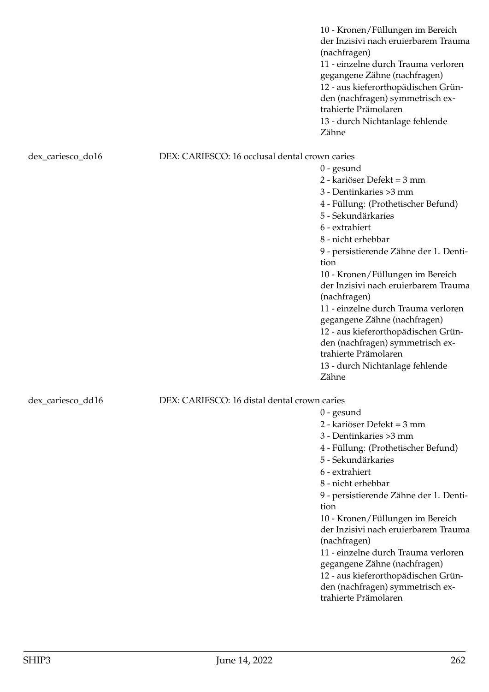|                   |                                                | 10 - Kronen/Füllungen im Bereich<br>der Inzisivi nach eruierbarem Trauma<br>(nachfragen)<br>11 - einzelne durch Trauma verloren<br>gegangene Zähne (nachfragen)<br>12 - aus kieferorthopädischen Grün-<br>den (nachfragen) symmetrisch ex-<br>trahierte Prämolaren<br>13 - durch Nichtanlage fehlende<br>Zähne |
|-------------------|------------------------------------------------|----------------------------------------------------------------------------------------------------------------------------------------------------------------------------------------------------------------------------------------------------------------------------------------------------------------|
| dex_cariesco_do16 | DEX: CARIESCO: 16 occlusal dental crown caries |                                                                                                                                                                                                                                                                                                                |
|                   |                                                | $0$ - gesund                                                                                                                                                                                                                                                                                                   |
|                   |                                                | 2 - kariöser Defekt = 3 mm                                                                                                                                                                                                                                                                                     |
|                   |                                                | 3 - Dentinkaries > 3 mm                                                                                                                                                                                                                                                                                        |
|                   |                                                | 4 - Füllung: (Prothetischer Befund)                                                                                                                                                                                                                                                                            |
|                   |                                                | 5 - Sekundärkaries                                                                                                                                                                                                                                                                                             |
|                   |                                                | 6 - extrahiert                                                                                                                                                                                                                                                                                                 |
|                   |                                                | 8 - nicht erhebbar                                                                                                                                                                                                                                                                                             |
|                   |                                                | 9 - persistierende Zähne der 1. Denti-<br>tion                                                                                                                                                                                                                                                                 |
|                   |                                                | 10 - Kronen/Füllungen im Bereich                                                                                                                                                                                                                                                                               |
|                   |                                                | der Inzisivi nach eruierbarem Trauma<br>(nachfragen)                                                                                                                                                                                                                                                           |
|                   |                                                | 11 - einzelne durch Trauma verloren                                                                                                                                                                                                                                                                            |
|                   |                                                | gegangene Zähne (nachfragen)                                                                                                                                                                                                                                                                                   |
|                   |                                                | 12 - aus kieferorthopädischen Grün-                                                                                                                                                                                                                                                                            |
|                   |                                                | den (nachfragen) symmetrisch ex-<br>trahierte Prämolaren                                                                                                                                                                                                                                                       |
|                   |                                                | 13 - durch Nichtanlage fehlende                                                                                                                                                                                                                                                                                |
|                   |                                                | Zähne                                                                                                                                                                                                                                                                                                          |
| dex_cariesco_dd16 | DEX: CARIESCO: 16 distal dental crown caries   |                                                                                                                                                                                                                                                                                                                |
|                   |                                                | $0$ - gesund                                                                                                                                                                                                                                                                                                   |
|                   |                                                | 2 - kariöser Defekt = 3 mm                                                                                                                                                                                                                                                                                     |
|                   |                                                | 3 - Dentinkaries > 3 mm                                                                                                                                                                                                                                                                                        |
|                   |                                                | 4 - Füllung: (Prothetischer Befund)<br>5 - Sekundärkaries                                                                                                                                                                                                                                                      |
|                   |                                                | 6 - extrahiert                                                                                                                                                                                                                                                                                                 |
|                   |                                                | 8 - nicht erhebbar                                                                                                                                                                                                                                                                                             |
|                   |                                                | 9 - persistierende Zähne der 1. Denti-<br>tion                                                                                                                                                                                                                                                                 |
|                   |                                                | 10 - Kronen/Füllungen im Bereich                                                                                                                                                                                                                                                                               |
|                   |                                                | der Inzisivi nach eruierbarem Trauma                                                                                                                                                                                                                                                                           |
|                   |                                                | (nachfragen)                                                                                                                                                                                                                                                                                                   |
|                   |                                                | 11 - einzelne durch Trauma verloren                                                                                                                                                                                                                                                                            |
|                   |                                                | gegangene Zähne (nachfragen)                                                                                                                                                                                                                                                                                   |
|                   |                                                | 12 - aus kieferorthopädischen Grün-                                                                                                                                                                                                                                                                            |
|                   |                                                | den (nachfragen) symmetrisch ex-                                                                                                                                                                                                                                                                               |
|                   |                                                | trahierte Prämolaren                                                                                                                                                                                                                                                                                           |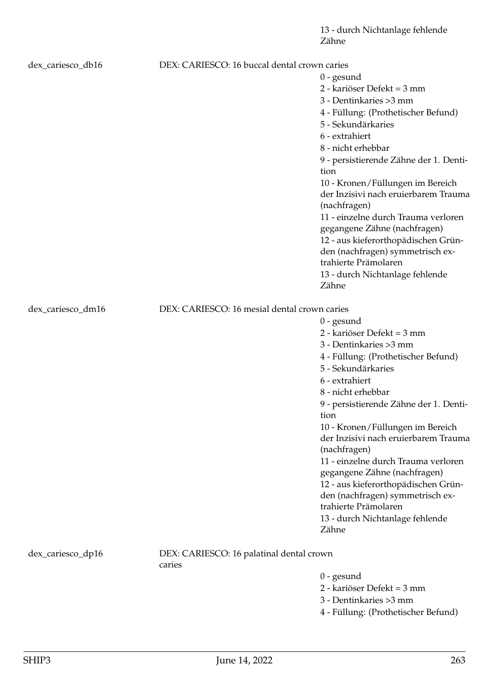13 - durch Nichtanlage fehlende Zähne

| dex_cariesco_db16 | DEX: CARIESCO: 16 buccal dental crown caries |                                                                                          |
|-------------------|----------------------------------------------|------------------------------------------------------------------------------------------|
|                   |                                              | $0$ - gesund                                                                             |
|                   |                                              | 2 - kariöser Defekt = 3 mm                                                               |
|                   |                                              | 3 - Dentinkaries > 3 mm                                                                  |
|                   |                                              | 4 - Füllung: (Prothetischer Befund)                                                      |
|                   |                                              | 5 - Sekundärkaries                                                                       |
|                   |                                              | 6 - extrahiert                                                                           |
|                   |                                              | 8 - nicht erhebbar                                                                       |
|                   |                                              | 9 - persistierende Zähne der 1. Denti-<br>tion                                           |
|                   |                                              | 10 - Kronen/Füllungen im Bereich<br>der Inzisivi nach eruierbarem Trauma<br>(nachfragen) |
|                   |                                              | 11 - einzelne durch Trauma verloren<br>gegangene Zähne (nachfragen)                      |
|                   |                                              | 12 - aus kieferorthopädischen Grün-                                                      |
|                   |                                              | den (nachfragen) symmetrisch ex-<br>trahierte Prämolaren                                 |
|                   |                                              | 13 - durch Nichtanlage fehlende                                                          |
|                   |                                              | Zähne                                                                                    |
| dex_cariesco_dm16 | DEX: CARIESCO: 16 mesial dental crown caries |                                                                                          |
|                   |                                              | $0$ - gesund                                                                             |
|                   |                                              | 2 - kariöser Defekt = 3 mm                                                               |
|                   |                                              | 3 - Dentinkaries > 3 mm                                                                  |
|                   |                                              | 4 - Füllung: (Prothetischer Befund)                                                      |
|                   |                                              | 5 - Sekundärkaries                                                                       |
|                   |                                              | 6 - extrahiert                                                                           |
|                   |                                              | 8 - nicht erhebbar                                                                       |
|                   |                                              | 9 - persistierende Zähne der 1. Denti-                                                   |
|                   |                                              | tion                                                                                     |
|                   |                                              | 10 - Kronen/Füllungen im Bereich                                                         |
|                   |                                              | der Inzisivi nach eruierbarem Trauma<br>(nachfragen)                                     |
|                   |                                              | 11 - einzelne durch Trauma verloren                                                      |
|                   |                                              | gegangene Zähne (nachfragen)                                                             |
|                   |                                              | 12 - aus kieferorthopädischen Grün-                                                      |
|                   |                                              | den (nachfragen) symmetrisch ex-                                                         |
|                   |                                              | trahierte Prämolaren                                                                     |
|                   |                                              | 13 - durch Nichtanlage fehlende<br>Zähne                                                 |
| dex_cariesco_dp16 | DEX: CARIESCO: 16 palatinal dental crown     |                                                                                          |
|                   | caries                                       |                                                                                          |
|                   |                                              | $0$ - gesund                                                                             |
|                   |                                              | 2 - kariöser Defekt = 3 mm                                                               |
|                   |                                              | 3 - Dentinkaries > 3 mm                                                                  |
|                   |                                              | 4 - Füllung: (Prothetischer Befund)                                                      |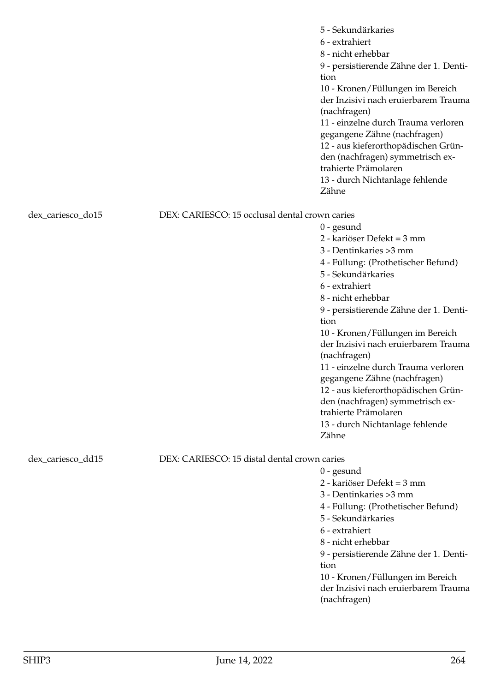|                   |                                                | 5 - Sekundärkaries<br>6 - extrahiert<br>8 - nicht erhebbar<br>9 - persistierende Zähne der 1. Denti-<br>tion<br>10 - Kronen/Füllungen im Bereich<br>der Inzisivi nach eruierbarem Trauma<br>(nachfragen)<br>11 - einzelne durch Trauma verloren<br>gegangene Zähne (nachfragen)<br>12 - aus kieferorthopädischen Grün-<br>den (nachfragen) symmetrisch ex-<br>trahierte Prämolaren<br>13 - durch Nichtanlage fehlende<br>Zähne                                                                                                                 |
|-------------------|------------------------------------------------|------------------------------------------------------------------------------------------------------------------------------------------------------------------------------------------------------------------------------------------------------------------------------------------------------------------------------------------------------------------------------------------------------------------------------------------------------------------------------------------------------------------------------------------------|
| dex_cariesco_do15 | DEX: CARIESCO: 15 occlusal dental crown caries |                                                                                                                                                                                                                                                                                                                                                                                                                                                                                                                                                |
|                   |                                                | $0$ - gesund<br>2 - kariöser Defekt = 3 mm<br>3 - Dentinkaries > 3 mm<br>4 - Füllung: (Prothetischer Befund)<br>5 - Sekundärkaries<br>6 - extrahiert<br>8 - nicht erhebbar<br>9 - persistierende Zähne der 1. Denti-<br>tion<br>10 - Kronen/Füllungen im Bereich<br>der Inzisivi nach eruierbarem Trauma<br>(nachfragen)<br>11 - einzelne durch Trauma verloren<br>gegangene Zähne (nachfragen)<br>12 - aus kieferorthopädischen Grün-<br>den (nachfragen) symmetrisch ex-<br>trahierte Prämolaren<br>13 - durch Nichtanlage fehlende<br>Zähne |
| dex_cariesco_dd15 | DEX: CARIESCO: 15 distal dental crown caries   | $0$ - gesund<br>2 - kariöser Defekt = 3 mm<br>3 - Dentinkaries > 3 mm<br>4 - Füllung: (Prothetischer Befund)<br>5 - Sekundärkaries<br>6 - extrahiert<br>8 - nicht erhebbar<br>9 - persistierende Zähne der 1. Denti-<br>tion<br>10 - Kronen/Füllungen im Bereich<br>der Inzisivi nach eruierbarem Trauma<br>(nachfragen)                                                                                                                                                                                                                       |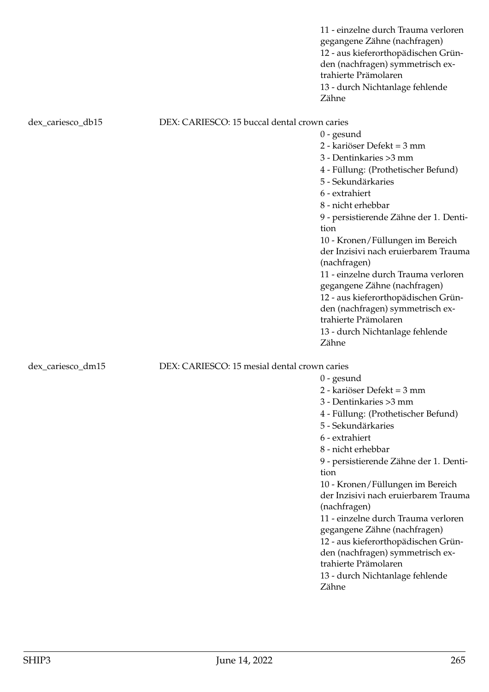|                   |                                              | 11 - einzelne durch Trauma verloren<br>gegangene Zähne (nachfragen)<br>12 - aus kieferorthopädischen Grün-<br>den (nachfragen) symmetrisch ex-<br>trahierte Prämolaren<br>13 - durch Nichtanlage fehlende<br>Zähne |
|-------------------|----------------------------------------------|--------------------------------------------------------------------------------------------------------------------------------------------------------------------------------------------------------------------|
| dex_cariesco_db15 | DEX: CARIESCO: 15 buccal dental crown caries |                                                                                                                                                                                                                    |
|                   |                                              | $0$ - gesund                                                                                                                                                                                                       |
|                   |                                              | 2 - kariöser Defekt = 3 mm                                                                                                                                                                                         |
|                   |                                              | 3 - Dentinkaries > 3 mm                                                                                                                                                                                            |
|                   |                                              | 4 - Füllung: (Prothetischer Befund)                                                                                                                                                                                |
|                   |                                              | 5 - Sekundärkaries                                                                                                                                                                                                 |
|                   |                                              | 6 - extrahiert                                                                                                                                                                                                     |
|                   |                                              | 8 - nicht erhebbar                                                                                                                                                                                                 |
|                   |                                              | 9 - persistierende Zähne der 1. Denti-                                                                                                                                                                             |
|                   |                                              | tion                                                                                                                                                                                                               |
|                   |                                              | 10 - Kronen/Füllungen im Bereich                                                                                                                                                                                   |
|                   |                                              | der Inzisivi nach eruierbarem Trauma                                                                                                                                                                               |
|                   |                                              | (nachfragen)                                                                                                                                                                                                       |
|                   |                                              | 11 - einzelne durch Trauma verloren                                                                                                                                                                                |
|                   |                                              | gegangene Zähne (nachfragen)                                                                                                                                                                                       |
|                   |                                              | 12 - aus kieferorthopädischen Grün-                                                                                                                                                                                |
|                   |                                              | den (nachfragen) symmetrisch ex-                                                                                                                                                                                   |
|                   |                                              | trahierte Prämolaren                                                                                                                                                                                               |
|                   |                                              | 13 - durch Nichtanlage fehlende                                                                                                                                                                                    |
|                   |                                              | Zähne                                                                                                                                                                                                              |
| dex_cariesco_dm15 | DEX: CARIESCO: 15 mesial dental crown caries |                                                                                                                                                                                                                    |
|                   |                                              | $0$ - gesund                                                                                                                                                                                                       |
|                   |                                              | 2 - kariöser Defekt = 3 mm                                                                                                                                                                                         |
|                   |                                              | 3 - Dentinkaries > 3 mm                                                                                                                                                                                            |
|                   |                                              | 4 - Füllung: (Prothetischer Befund)                                                                                                                                                                                |
|                   |                                              | 5 - Sekundärkaries                                                                                                                                                                                                 |
|                   |                                              | 6 - extrahiert                                                                                                                                                                                                     |
|                   |                                              | 8 - nicht erhebbar                                                                                                                                                                                                 |
|                   |                                              | 9 - persistierende Zähne der 1. Denti-                                                                                                                                                                             |
|                   |                                              | tion                                                                                                                                                                                                               |
|                   |                                              | 10 - Kronen/Füllungen im Bereich                                                                                                                                                                                   |
|                   |                                              | der Inzisivi nach eruierbarem Trauma                                                                                                                                                                               |
|                   |                                              | (nachfragen)                                                                                                                                                                                                       |
|                   |                                              | 11 - einzelne durch Trauma verloren                                                                                                                                                                                |
|                   |                                              | gegangene Zähne (nachfragen)                                                                                                                                                                                       |

12 - aus kieferorthopädischen Gründen (nachfragen) symmetrisch ex-

13 - durch Nichtanlage fehlende

trahierte Prämolaren

Zähne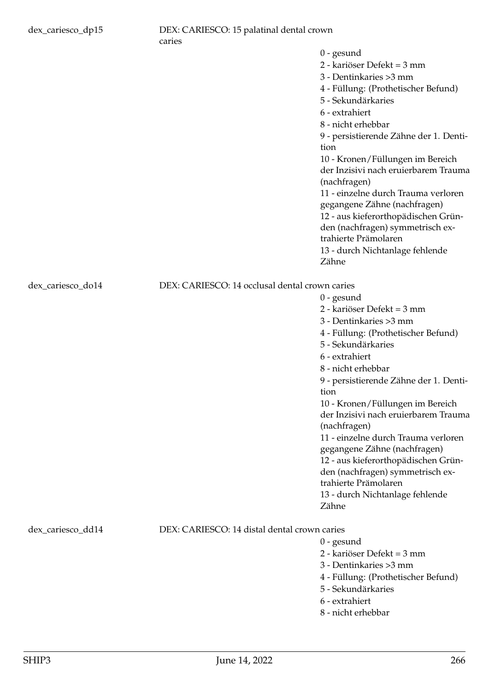dex\_cariesco\_do14

dex\_cariesco\_dd14

|                                                | $0$ - gesund                                                                             |
|------------------------------------------------|------------------------------------------------------------------------------------------|
|                                                | 2 - kariöser Defekt = 3 mm                                                               |
|                                                | 3 - Dentinkaries > 3 mm                                                                  |
|                                                | 4 - Füllung: (Prothetischer Befund)                                                      |
|                                                | 5 - Sekundärkaries                                                                       |
|                                                | 6 - extrahiert                                                                           |
|                                                | 8 - nicht erhebbar                                                                       |
|                                                | 9 - persistierende Zähne der 1. Denti-<br>tion                                           |
|                                                | 10 - Kronen/Füllungen im Bereich                                                         |
|                                                | der Inzisivi nach eruierbarem Trauma<br>(nachfragen)                                     |
|                                                | 11 - einzelne durch Trauma verloren                                                      |
|                                                | gegangene Zähne (nachfragen)                                                             |
|                                                | 12 - aus kieferorthopädischen Grün-                                                      |
|                                                | den (nachfragen) symmetrisch ex-                                                         |
|                                                | trahierte Prämolaren                                                                     |
|                                                | 13 - durch Nichtanlage fehlende                                                          |
|                                                | Zähne                                                                                    |
| DEX: CARIESCO: 14 occlusal dental crown caries | $0$ - gesund                                                                             |
|                                                | 2 - kariöser Defekt = 3 mm                                                               |
|                                                | 3 - Dentinkaries >3 mm                                                                   |
|                                                | 4 - Füllung: (Prothetischer Befund)                                                      |
|                                                | 5 - Sekundärkaries                                                                       |
|                                                | 6 - extrahiert                                                                           |
|                                                | 8 - nicht erhebbar                                                                       |
|                                                | 9 - persistierende Zähne der 1. Denti-                                                   |
|                                                | tion                                                                                     |
|                                                | 10 - Kronen/Füllungen im Bereich<br>der Inzisivi nach eruierbarem Trauma<br>(nachfragen) |
|                                                | 11 - einzelne durch Trauma verloren                                                      |
|                                                | gegangene Zähne (nachfragen)                                                             |
|                                                | 12 - aus kieferorthopädischen Grün-                                                      |
|                                                | den (nachfragen) symmetrisch ex-                                                         |
|                                                | trahierte Prämolaren                                                                     |
|                                                | 13 - durch Nichtanlage fehlende                                                          |
|                                                | Zähne                                                                                    |
|                                                |                                                                                          |
| DEX: CARIESCO: 14 distal dental crown caries   |                                                                                          |
|                                                | $0$ - gesund                                                                             |

- 2 kariöser Defekt = 3 mm
- 3 Dentinkaries >3 mm
- 4 Füllung: (Prothetischer Befund)
- 5 Sekundärkaries
- 6 extrahiert
- 8 nicht erhebbar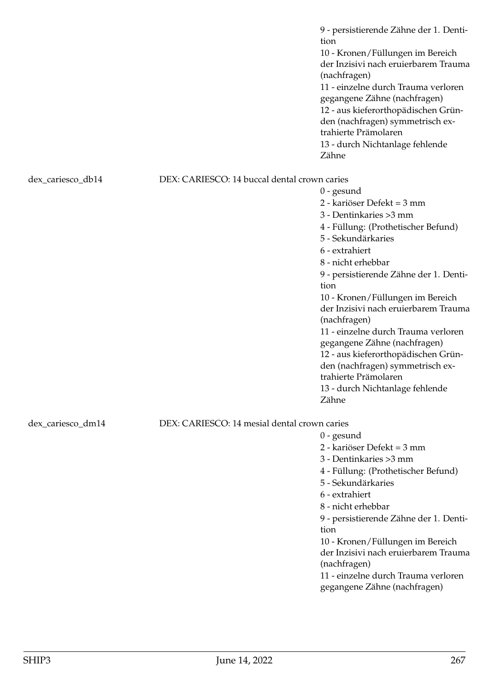9 - persistierende Zähne der 1. Dentition 10 - Kronen/Füllungen im Bereich der Inzisivi nach eruierbarem Trauma (nachfragen) 11 - einzelne durch Trauma verloren gegangene Zähne (nachfragen) 12 - aus kieferorthopädischen Gründen (nachfragen) symmetrisch extrahierte Prämolaren 13 - durch Nichtanlage fehlende Zähne

dex\_cariesco\_db14 DEX: CARIESCO: 14 buccal dental crown caries

2 - kariöser Defekt = 3 mm 3 - Dentinkaries >3 mm 4 - Füllung: (Prothetischer Befund) 5 - Sekundärkaries 6 - extrahiert 8 - nicht erhebbar 9 - persistierende Zähne der 1. Dentition 10 - Kronen/Füllungen im Bereich der Inzisivi nach eruierbarem Trauma (nachfragen) 11 - einzelne durch Trauma verloren gegangene Zähne (nachfragen) 12 - aus kieferorthopädischen Gründen (nachfragen) symmetrisch extrahierte Prämolaren 13 - durch Nichtanlage fehlende Zähne

dex\_cariesco\_dm14 DEX: CARIESCO: 14 mesial dental crown caries

0 - gesund

0 - gesund

- 2 kariöser Defekt = 3 mm
- 3 Dentinkaries >3 mm
- 4 Füllung: (Prothetischer Befund)
- 5 Sekundärkaries
- 6 extrahiert
- 8 nicht erhebbar
- 9 persistierende Zähne der 1. Dentition
- 10 Kronen/Füllungen im Bereich der Inzisivi nach eruierbarem Trauma (nachfragen)
- 11 einzelne durch Trauma verloren gegangene Zähne (nachfragen)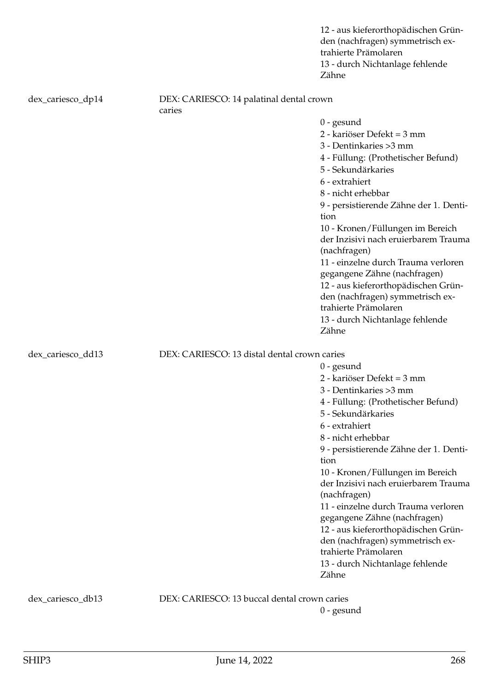|                   |                                                    | 12 - aus kieferorthopädischen Grün-<br>den (nachfragen) symmetrisch ex-<br>trahierte Prämolaren<br>13 - durch Nichtanlage fehlende<br>Zähne                                                                                                                                                                                                                                                                                                                                                                                                    |
|-------------------|----------------------------------------------------|------------------------------------------------------------------------------------------------------------------------------------------------------------------------------------------------------------------------------------------------------------------------------------------------------------------------------------------------------------------------------------------------------------------------------------------------------------------------------------------------------------------------------------------------|
| dex_cariesco_dp14 | DEX: CARIESCO: 14 palatinal dental crown<br>caries |                                                                                                                                                                                                                                                                                                                                                                                                                                                                                                                                                |
|                   |                                                    | $0$ - gesund<br>2 - kariöser Defekt = 3 mm<br>3 - Dentinkaries > 3 mm<br>4 - Füllung: (Prothetischer Befund)<br>5 - Sekundärkaries<br>6 - extrahiert<br>8 - nicht erhebbar<br>9 - persistierende Zähne der 1. Denti-<br>tion<br>10 - Kronen/Füllungen im Bereich<br>der Inzisivi nach eruierbarem Trauma<br>(nachfragen)<br>11 - einzelne durch Trauma verloren<br>gegangene Zähne (nachfragen)<br>12 - aus kieferorthopädischen Grün-<br>den (nachfragen) symmetrisch ex-<br>trahierte Prämolaren<br>13 - durch Nichtanlage fehlende<br>Zähne |
| dex_cariesco_dd13 | DEX: CARIESCO: 13 distal dental crown caries       | $0$ - gesund<br>2 - kariöser Defekt = 3 mm<br>3 - Dentinkaries > 3 mm<br>4 - Füllung: (Prothetischer Befund)<br>5 - Sekundärkaries<br>6 - extrahiert<br>8 - nicht erhebbar<br>9 - persistierende Zähne der 1. Denti-<br>tion<br>10 - Kronen/Füllungen im Bereich<br>der Inzisivi nach eruierbarem Trauma<br>(nachfragen)<br>11 - einzelne durch Trauma verloren<br>gegangene Zähne (nachfragen)<br>12 - aus kieferorthopädischen Grün-<br>den (nachfragen) symmetrisch ex-<br>trahierte Prämolaren<br>13 - durch Nichtanlage fehlende<br>Zähne |
| dex_cariesco_db13 | DEX: CARIESCO: 13 buccal dental crown caries       |                                                                                                                                                                                                                                                                                                                                                                                                                                                                                                                                                |

0 - gesund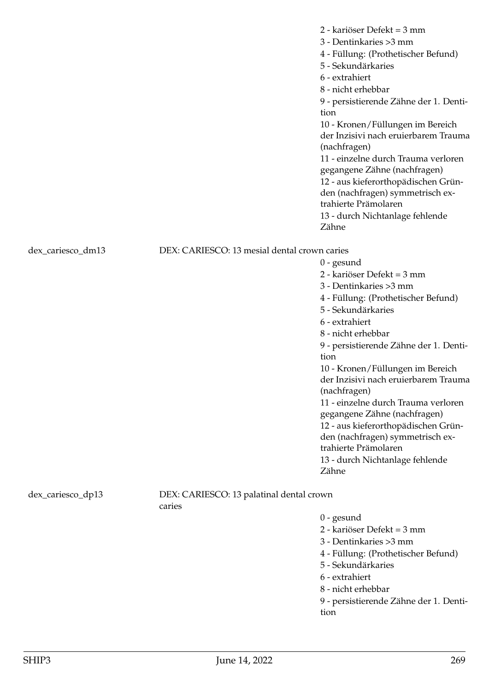2 - kariöser Defekt = 3 mm 3 - Dentinkaries >3 mm 4 - Füllung: (Prothetischer Befund) 5 - Sekundärkaries 6 - extrahiert 8 - nicht erhebbar 9 - persistierende Zähne der 1. Dentition 10 - Kronen/Füllungen im Bereich der Inzisivi nach eruierbarem Trauma (nachfragen) 11 - einzelne durch Trauma verloren gegangene Zähne (nachfragen) 12 - aus kieferorthopädischen Gründen (nachfragen) symmetrisch extrahierte Prämolaren 13 - durch Nichtanlage fehlende Zähne

dex\_cariesco\_dm13 DEX: CARIESCO: 13 mesial dental crown caries

0 - gesund 2 - kariöser Defekt = 3 mm 3 - Dentinkaries >3 mm 4 - Füllung: (Prothetischer Befund) 5 - Sekundärkaries 6 - extrahiert 8 - nicht erhebbar 9 - persistierende Zähne der 1. Dentition 10 - Kronen/Füllungen im Bereich der Inzisivi nach eruierbarem Trauma (nachfragen) 11 - einzelne durch Trauma verloren gegangene Zähne (nachfragen) 12 - aus kieferorthopädischen Gründen (nachfragen) symmetrisch extrahierte Prämolaren 13 - durch Nichtanlage fehlende Zähne

dex\_cariesco\_dp13 DEX: CARIESCO: 13 palatinal dental crown caries

0 - gesund

2 - kariöser Defekt = 3 mm

3 - Dentinkaries >3 mm

4 - Füllung: (Prothetischer Befund)

- 5 Sekundärkaries
- 6 extrahiert
- 8 nicht erhebbar

9 - persistierende Zähne der 1. Dentition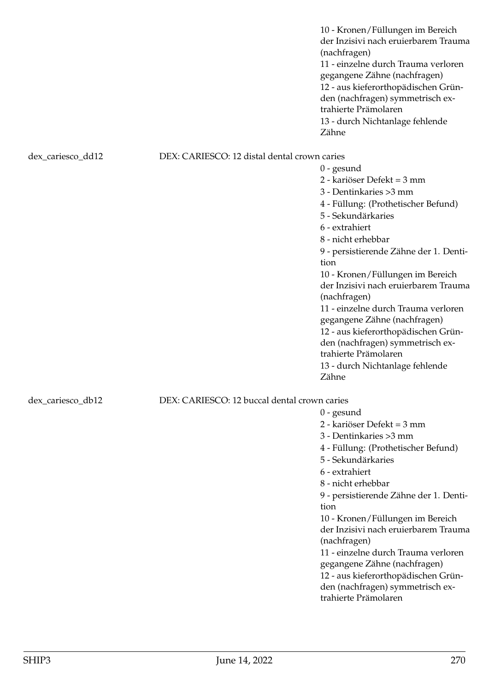10 - Kronen/Füllungen im Bereich der Inzisivi nach eruierbarem Trauma (nachfragen) 11 - einzelne durch Trauma verloren gegangene Zähne (nachfragen) 12 - aus kieferorthopädischen Gründen (nachfragen) symmetrisch extrahierte Prämolaren 13 - durch Nichtanlage fehlende Zähne

0 - gesund

0 - gesund

2 - kariöser Defekt = 3 mm 3 - Dentinkaries >3 mm

5 - Sekundärkaries

6 - extrahiert 8 - nicht erhebbar

(nachfragen)

trahierte Prämolaren

tion

4 - Füllung: (Prothetischer Befund)

9 - persistierende Zähne der 1. Denti-

10 - Kronen/Füllungen im Bereich der Inzisivi nach eruierbarem Trauma

11 - einzelne durch Trauma verloren gegangene Zähne (nachfragen) 12 - aus kieferorthopädischen Gründen (nachfragen) symmetrisch ex-

### dex\_cariesco\_dd12 DEX: CARIESCO: 12 distal dental crown caries

2 - kariöser Defekt = 3 mm 3 - Dentinkaries >3 mm 4 - Füllung: (Prothetischer Befund) 5 - Sekundärkaries 6 - extrahiert 8 - nicht erhebbar 9 - persistierende Zähne der 1. Dentition 10 - Kronen/Füllungen im Bereich der Inzisivi nach eruierbarem Trauma (nachfragen) 11 - einzelne durch Trauma verloren gegangene Zähne (nachfragen) 12 - aus kieferorthopädischen Gründen (nachfragen) symmetrisch extrahierte Prämolaren 13 - durch Nichtanlage fehlende Zähne

## dex cariesco db12 DEX: CARIESCO: 12 buccal dental crown caries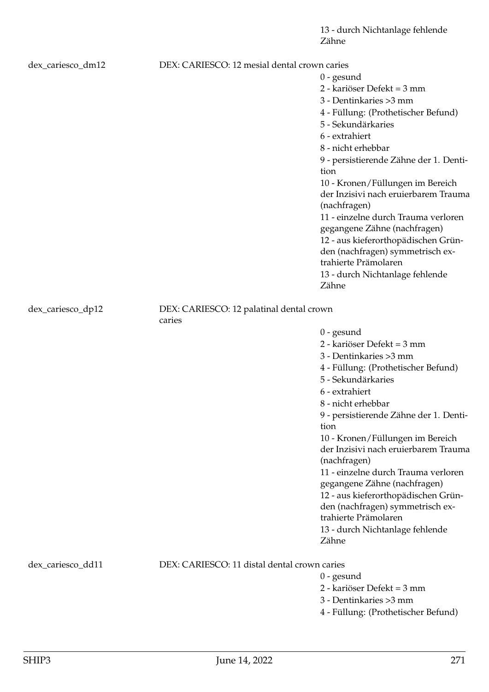13 - durch Nichtanlage fehlende Zähne

| dex_cariesco_dm12 | DEX: CARIESCO: 12 mesial dental crown caries       |                                                                                                                                                                                                                                                                                                                                                                                                                                                                                                                                                |
|-------------------|----------------------------------------------------|------------------------------------------------------------------------------------------------------------------------------------------------------------------------------------------------------------------------------------------------------------------------------------------------------------------------------------------------------------------------------------------------------------------------------------------------------------------------------------------------------------------------------------------------|
|                   |                                                    | $0$ - gesund<br>2 - kariöser Defekt = 3 mm<br>3 - Dentinkaries > 3 mm<br>4 - Füllung: (Prothetischer Befund)<br>5 - Sekundärkaries<br>6 - extrahiert<br>8 - nicht erhebbar<br>9 - persistierende Zähne der 1. Denti-<br>tion<br>10 - Kronen/Füllungen im Bereich<br>der Inzisivi nach eruierbarem Trauma<br>(nachfragen)<br>11 - einzelne durch Trauma verloren<br>gegangene Zähne (nachfragen)<br>12 - aus kieferorthopädischen Grün-<br>den (nachfragen) symmetrisch ex-<br>trahierte Prämolaren<br>13 - durch Nichtanlage fehlende<br>Zähne |
| dex_cariesco_dp12 | DEX: CARIESCO: 12 palatinal dental crown<br>caries |                                                                                                                                                                                                                                                                                                                                                                                                                                                                                                                                                |
|                   |                                                    | $0$ - gesund<br>2 - kariöser Defekt = 3 mm<br>3 - Dentinkaries > 3 mm<br>4 - Füllung: (Prothetischer Befund)<br>5 - Sekundärkaries<br>6 - extrahiert<br>8 - nicht erhebbar<br>9 - persistierende Zähne der 1. Denti-<br>tion<br>10 - Kronen/Füllungen im Bereich<br>der Inzisivi nach eruierbarem Trauma<br>(nachfragen)<br>11 - einzelne durch Trauma verloren<br>gegangene Zähne (nachfragen)<br>12 - aus kieferorthopädischen Grün-<br>den (nachfragen) symmetrisch ex-<br>trahierte Prämolaren<br>13 - durch Nichtanlage fehlende<br>Zähne |
| dex_cariesco_dd11 | DEX: CARIESCO: 11 distal dental crown caries       | $0$ - gesund<br>2 - kariöser Defekt = 3 mm                                                                                                                                                                                                                                                                                                                                                                                                                                                                                                     |
|                   |                                                    | 3 - Dentinkaries > 3 mm<br>4 - Füllung: (Prothetischer Befund)                                                                                                                                                                                                                                                                                                                                                                                                                                                                                 |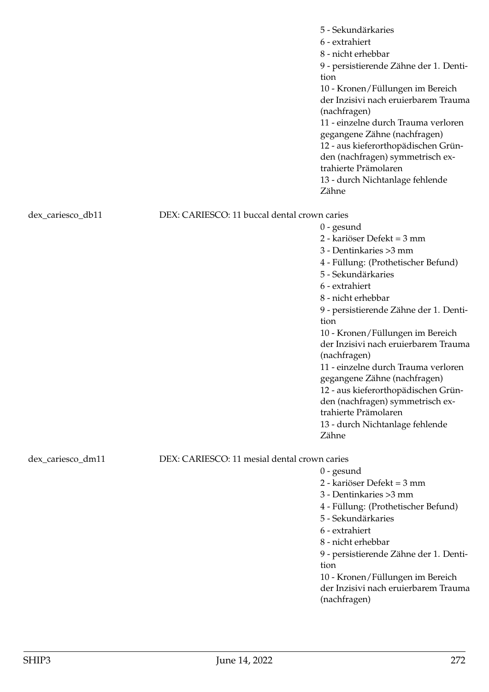|                   |                                              | 5 - Sekundärkaries<br>6 - extrahiert<br>8 - nicht erhebbar<br>9 - persistierende Zähne der 1. Denti-<br>tion<br>10 - Kronen/Füllungen im Bereich<br>der Inzisivi nach eruierbarem Trauma<br>(nachfragen)<br>11 - einzelne durch Trauma verloren<br>gegangene Zähne (nachfragen)<br>12 - aus kieferorthopädischen Grün-<br>den (nachfragen) symmetrisch ex-<br>trahierte Prämolaren<br>13 - durch Nichtanlage fehlende<br>Zähne                                                                                                                 |
|-------------------|----------------------------------------------|------------------------------------------------------------------------------------------------------------------------------------------------------------------------------------------------------------------------------------------------------------------------------------------------------------------------------------------------------------------------------------------------------------------------------------------------------------------------------------------------------------------------------------------------|
| dex_cariesco_db11 | DEX: CARIESCO: 11 buccal dental crown caries |                                                                                                                                                                                                                                                                                                                                                                                                                                                                                                                                                |
|                   |                                              | $0$ - gesund<br>2 - kariöser Defekt = 3 mm<br>3 - Dentinkaries > 3 mm<br>4 - Füllung: (Prothetischer Befund)<br>5 - Sekundärkaries<br>6 - extrahiert<br>8 - nicht erhebbar<br>9 - persistierende Zähne der 1. Denti-<br>tion<br>10 - Kronen/Füllungen im Bereich<br>der Inzisivi nach eruierbarem Trauma<br>(nachfragen)<br>11 - einzelne durch Trauma verloren<br>gegangene Zähne (nachfragen)<br>12 - aus kieferorthopädischen Grün-<br>den (nachfragen) symmetrisch ex-<br>trahierte Prämolaren<br>13 - durch Nichtanlage fehlende<br>Zähne |
| dex_cariesco_dm11 | DEX: CARIESCO: 11 mesial dental crown caries |                                                                                                                                                                                                                                                                                                                                                                                                                                                                                                                                                |
|                   |                                              | $0$ - gesund<br>2 - kariöser Defekt = 3 mm<br>3 - Dentinkaries > 3 mm<br>4 - Füllung: (Prothetischer Befund)<br>5 - Sekundärkaries<br>6 - extrahiert<br>8 - nicht erhebbar<br>9 - persistierende Zähne der 1. Denti-<br>tion<br>10 - Kronen/Füllungen im Bereich<br>der Inzisivi nach eruierbarem Trauma<br>(nachfragen)                                                                                                                                                                                                                       |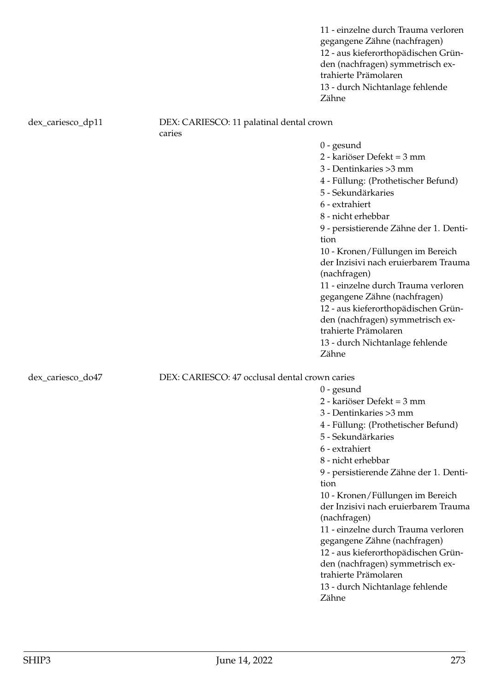11 - einzelne durch Trauma verloren gegangene Zähne (nachfragen) 12 - aus kieferorthopädischen Gründen (nachfragen) symmetrisch extrahierte Prämolaren 13 - durch Nichtanlage fehlende Zähne

### dex\_cariesco\_dp11 DEX: CARIESCO: 11 palatinal dental crown caries

0 - gesund

- 2 kariöser Defekt = 3 mm
- 3 Dentinkaries >3 mm
- 4 Füllung: (Prothetischer Befund)
- 5 Sekundärkaries
- 6 extrahiert
- 8 nicht erhebbar
- 9 persistierende Zähne der 1. Dentition

10 - Kronen/Füllungen im Bereich der Inzisivi nach eruierbarem Trauma (nachfragen)

11 - einzelne durch Trauma verloren gegangene Zähne (nachfragen)

12 - aus kieferorthopädischen Grün-

den (nachfragen) symmetrisch ex-

trahierte Prämolaren

0 - gesund

13 - durch Nichtanlage fehlende Zähne

dex cariesco\_do47 DEX: CARIESCO: 47 occlusal dental crown caries

2 - kariöser Defekt = 3 mm 3 - Dentinkaries >3 mm 4 - Füllung: (Prothetischer Befund) 5 - Sekundärkaries 6 - extrahiert 8 - nicht erhebbar 9 - persistierende Zähne der 1. Dentition 10 - Kronen/Füllungen im Bereich der Inzisivi nach eruierbarem Trauma (nachfragen) 11 - einzelne durch Trauma verloren gegangene Zähne (nachfragen) 12 - aus kieferorthopädischen Gründen (nachfragen) symmetrisch extrahierte Prämolaren

> 13 - durch Nichtanlage fehlende Zähne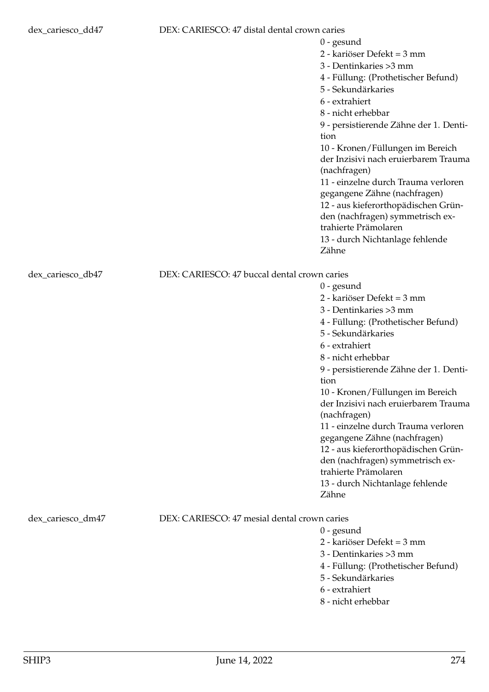### dex\_cariesco\_dd47 DEX: CARIESCO: 47 distal dental crown caries

|                   |                                              | 2 - kariöser Defekt = 3 mm             |
|-------------------|----------------------------------------------|----------------------------------------|
|                   |                                              | 3 - Dentinkaries > 3 mm                |
|                   |                                              | 4 - Füllung: (Prothetischer Befund)    |
|                   |                                              | 5 - Sekundärkaries                     |
|                   |                                              | 6 - extrahiert                         |
|                   |                                              | 8 - nicht erhebbar                     |
|                   |                                              | 9 - persistierende Zähne der 1. Denti- |
|                   |                                              | tion                                   |
|                   |                                              | 10 - Kronen/Füllungen im Bereich       |
|                   |                                              | der Inzisivi nach eruierbarem Trauma   |
|                   |                                              | (nachfragen)                           |
|                   |                                              | 11 - einzelne durch Trauma verloren    |
|                   |                                              | gegangene Zähne (nachfragen)           |
|                   |                                              | 12 - aus kieferorthopädischen Grün-    |
|                   |                                              | den (nachfragen) symmetrisch ex-       |
|                   |                                              | trahierte Prämolaren                   |
|                   |                                              | 13 - durch Nichtanlage fehlende        |
|                   |                                              | Zähne                                  |
| dex_cariesco_db47 | DEX: CARIESCO: 47 buccal dental crown caries |                                        |
|                   |                                              | $0$ - gesund                           |
|                   |                                              | 2 - kariöser Defekt = 3 mm             |

3 - Dentinkaries >3 mm

5 - Sekundärkaries

6 - extrahiert 8 - nicht erhebbar

(nachfragen)

trahierte Prämolaren

tion

Zähne

0 - gesund

4 - Füllung: (Prothetischer Befund)

9 - persistierende Zähne der 1. Denti-

10 - Kronen/Füllungen im Bereich der Inzisivi nach eruierbarem Trauma

11 - einzelne durch Trauma verloren gegangene Zähne (nachfragen) 12 - aus kieferorthopädischen Gründen (nachfragen) symmetrisch ex-

13 - durch Nichtanlage fehlende

2 - kariöser Defekt = 3 mm 3 - Dentinkaries >3 mm

5 - Sekundärkaries 6 - extrahiert 8 - nicht erhebbar

4 - Füllung: (Prothetischer Befund)

0 - gesund

dex cariesco\_dm47 DEX: CARIESCO: 47 mesial dental crown caries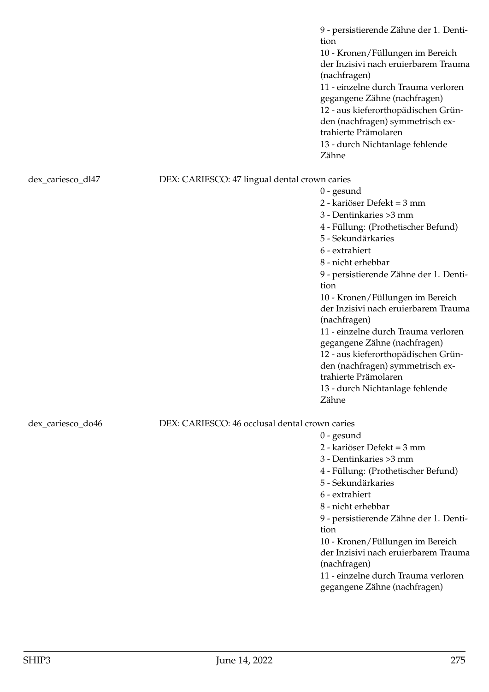9 - persistierende Zähne der 1. Dentition 10 - Kronen/Füllungen im Bereich der Inzisivi nach eruierbarem Trauma (nachfragen) 11 - einzelne durch Trauma verloren gegangene Zähne (nachfragen) 12 - aus kieferorthopädischen Gründen (nachfragen) symmetrisch extrahierte Prämolaren 13 - durch Nichtanlage fehlende Zähne

dex\_cariesco\_dl47 DEX: CARIESCO: 47 lingual dental crown caries

dex\_cariesco\_do46 DEX: CARIESCO: 46 occlusal dental crown caries

0 - gesund

Zähne

0 - gesund

2 - kariöser Defekt = 3 mm 3 - Dentinkaries >3 mm

5 - Sekundärkaries

6 - extrahiert 8 - nicht erhebbar

(nachfragen)

tion

4 - Füllung: (Prothetischer Befund)

9 - persistierende Zähne der 1. Denti-

10 - Kronen/Füllungen im Bereich der Inzisivi nach eruierbarem Trauma

11 - einzelne durch Trauma verloren gegangene Zähne (nachfragen) 12 - aus kieferorthopädischen Gründen (nachfragen) symmetrisch ex-

13 - durch Nichtanlage fehlende

- 2 kariöser Defekt = 3 mm
- 3 Dentinkaries >3 mm

trahierte Prämolaren

4 - Füllung: (Prothetischer Befund)

- 5 Sekundärkaries
- 6 extrahiert
- 8 nicht erhebbar

9 - persistierende Zähne der 1. Dentition

10 - Kronen/Füllungen im Bereich der Inzisivi nach eruierbarem Trauma (nachfragen)

11 - einzelne durch Trauma verloren gegangene Zähne (nachfragen)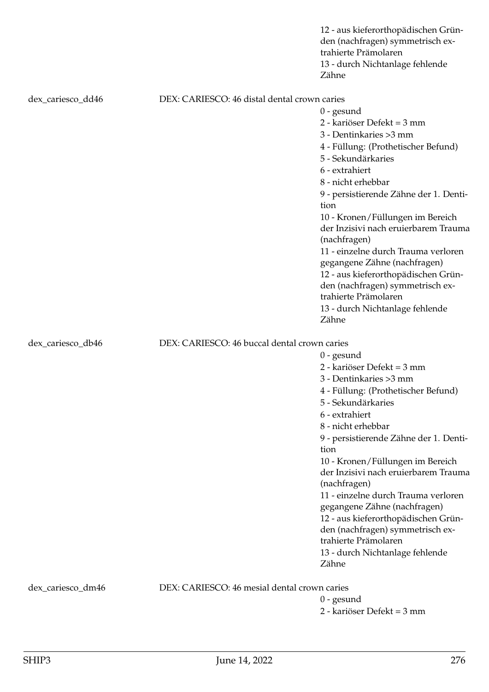|                   |                                              | 12 - aus kieferorthopädischen Grün-<br>den (nachfragen) symmetrisch ex-<br>trahierte Prämolaren<br>13 - durch Nichtanlage fehlende<br>Zähne |
|-------------------|----------------------------------------------|---------------------------------------------------------------------------------------------------------------------------------------------|
| dex_cariesco_dd46 | DEX: CARIESCO: 46 distal dental crown caries |                                                                                                                                             |
|                   |                                              | $0$ - gesund                                                                                                                                |
|                   |                                              | 2 - kariöser Defekt = 3 mm                                                                                                                  |
|                   |                                              | 3 - Dentinkaries > 3 mm                                                                                                                     |
|                   |                                              | 4 - Füllung: (Prothetischer Befund)                                                                                                         |
|                   |                                              | 5 - Sekundärkaries                                                                                                                          |
|                   |                                              | 6 - extrahiert                                                                                                                              |
|                   |                                              | 8 - nicht erhebbar                                                                                                                          |
|                   |                                              | 9 - persistierende Zähne der 1. Denti-<br>tion                                                                                              |
|                   |                                              | 10 - Kronen/Füllungen im Bereich                                                                                                            |
|                   |                                              | der Inzisivi nach eruierbarem Trauma<br>(nachfragen)                                                                                        |
|                   |                                              | 11 - einzelne durch Trauma verloren                                                                                                         |
|                   |                                              | gegangene Zähne (nachfragen)                                                                                                                |
|                   |                                              | 12 - aus kieferorthopädischen Grün-                                                                                                         |
|                   |                                              | den (nachfragen) symmetrisch ex-                                                                                                            |
|                   |                                              | trahierte Prämolaren                                                                                                                        |
|                   |                                              | 13 - durch Nichtanlage fehlende<br>Zähne                                                                                                    |
| dex_cariesco_db46 | DEX: CARIESCO: 46 buccal dental crown caries |                                                                                                                                             |
|                   |                                              | $0$ - gesund                                                                                                                                |
|                   |                                              | 2 - kariöser Defekt = 3 mm                                                                                                                  |
|                   |                                              | 3 - Dentinkaries > 3 mm                                                                                                                     |
|                   |                                              | 4 - Füllung: (Prothetischer Befund)                                                                                                         |
|                   |                                              | 5 - Sekundärkaries                                                                                                                          |
|                   |                                              | 6 - extrahiert                                                                                                                              |
|                   |                                              | 8 - nicht erhebbar                                                                                                                          |
|                   |                                              | 9 - persistierende Zähne der 1. Denti-                                                                                                      |
|                   |                                              | tion                                                                                                                                        |
|                   |                                              | 10 - Kronen/Füllungen im Bereich<br>der Inzisivi nach eruierbarem Trauma                                                                    |
|                   |                                              | (nachfragen)                                                                                                                                |
|                   |                                              | 11 - einzelne durch Trauma verloren                                                                                                         |
|                   |                                              | gegangene Zähne (nachfragen)                                                                                                                |
|                   |                                              | 12 - aus kieferorthopädischen Grün-                                                                                                         |
|                   |                                              | den (nachfragen) symmetrisch ex-                                                                                                            |
|                   |                                              | trahierte Prämolaren                                                                                                                        |
|                   |                                              | 13 - durch Nichtanlage fehlende                                                                                                             |
|                   |                                              | Zähne                                                                                                                                       |
| dex_cariesco_dm46 | DEX: CARIESCO: 46 mesial dental crown caries |                                                                                                                                             |
|                   |                                              | $0$ - gesund                                                                                                                                |
|                   |                                              | 2 - kariöser Defekt = 3 mm                                                                                                                  |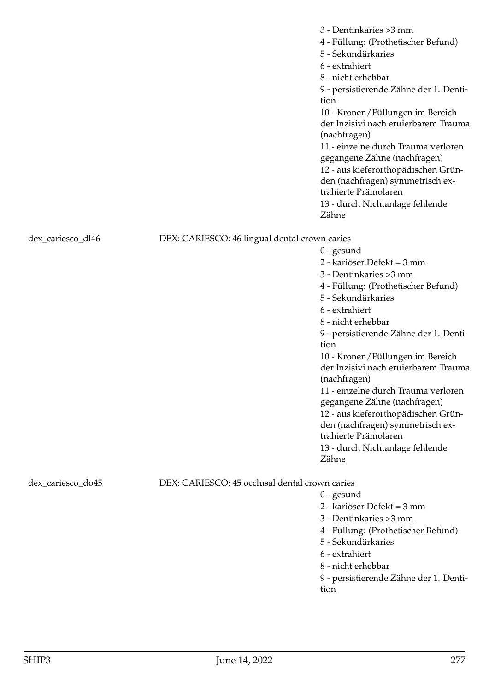|                   |                                                | 3 - Dentinkaries > 3 mm<br>4 - Füllung: (Prothetischer Befund)<br>5 - Sekundärkaries<br>6 - extrahiert<br>8 - nicht erhebbar<br>9 - persistierende Zähne der 1. Denti-<br>tion<br>10 - Kronen/Füllungen im Bereich<br>der Inzisivi nach eruierbarem Trauma<br>(nachfragen)<br>11 - einzelne durch Trauma verloren<br>gegangene Zähne (nachfragen)<br>12 - aus kieferorthopädischen Grün-<br>den (nachfragen) symmetrisch ex-<br>trahierte Prämolaren<br>13 - durch Nichtanlage fehlende<br>Zähne                                               |
|-------------------|------------------------------------------------|------------------------------------------------------------------------------------------------------------------------------------------------------------------------------------------------------------------------------------------------------------------------------------------------------------------------------------------------------------------------------------------------------------------------------------------------------------------------------------------------------------------------------------------------|
| dex_cariesco_dl46 | DEX: CARIESCO: 46 lingual dental crown caries  | $0$ - gesund<br>2 - kariöser Defekt = 3 mm<br>3 - Dentinkaries > 3 mm<br>4 - Füllung: (Prothetischer Befund)<br>5 - Sekundärkaries<br>6 - extrahiert<br>8 - nicht erhebbar<br>9 - persistierende Zähne der 1. Denti-<br>tion<br>10 - Kronen/Füllungen im Bereich<br>der Inzisivi nach eruierbarem Trauma<br>(nachfragen)<br>11 - einzelne durch Trauma verloren<br>gegangene Zähne (nachfragen)<br>12 - aus kieferorthopädischen Grün-<br>den (nachfragen) symmetrisch ex-<br>trahierte Prämolaren<br>13 - durch Nichtanlage fehlende<br>Zähne |
| dex_cariesco_do45 | DEX: CARIESCO: 45 occlusal dental crown caries | $0$ - gesund<br>2 - kariöser Defekt = 3 mm<br>3 - Dentinkaries > 3 mm<br>4 - Füllung: (Prothetischer Befund)<br>5 - Sekundärkaries<br>6 - extrahiert                                                                                                                                                                                                                                                                                                                                                                                           |

8 - nicht erhebbar

9 - persistierende Zähne der 1. Dentition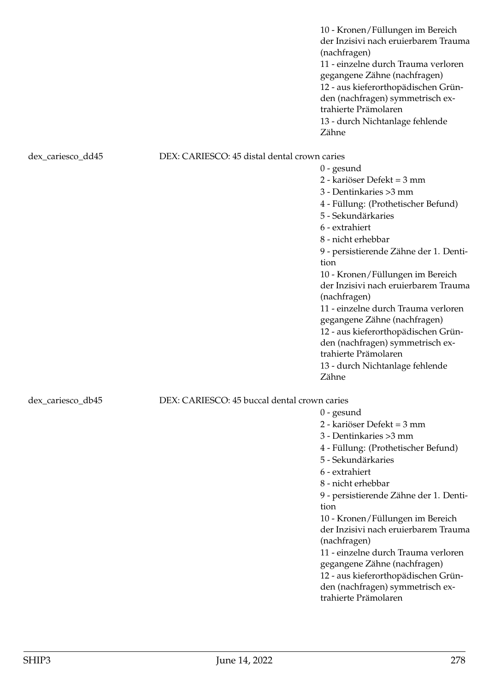10 - Kronen/Füllungen im Bereich der Inzisivi nach eruierbarem Trauma (nachfragen) 11 - einzelne durch Trauma verloren gegangene Zähne (nachfragen) 12 - aus kieferorthopädischen Gründen (nachfragen) symmetrisch extrahierte Prämolaren 13 - durch Nichtanlage fehlende Zähne

### dex\_cariesco\_dd45 DEX: CARIESCO: 45 distal dental crown caries

0 - gesund 2 - kariöser Defekt = 3 mm 3 - Dentinkaries >3 mm 4 - Füllung: (Prothetischer Befund) 5 - Sekundärkaries 6 - extrahiert 8 - nicht erhebbar 9 - persistierende Zähne der 1. Dentition 10 - Kronen/Füllungen im Bereich der Inzisivi nach eruierbarem Trauma (nachfragen) 11 - einzelne durch Trauma verloren gegangene Zähne (nachfragen) 12 - aus kieferorthopädischen Gründen (nachfragen) symmetrisch extrahierte Prämolaren 13 - durch Nichtanlage fehlende Zähne

0 - gesund

2 - kariöser Defekt = 3 mm 3 - Dentinkaries >3 mm

5 - Sekundärkaries

6 - extrahiert 8 - nicht erhebbar

(nachfragen)

trahierte Prämolaren

tion

4 - Füllung: (Prothetischer Befund)

9 - persistierende Zähne der 1. Denti-

10 - Kronen/Füllungen im Bereich der Inzisivi nach eruierbarem Trauma

11 - einzelne durch Trauma verloren gegangene Zähne (nachfragen) 12 - aus kieferorthopädischen Gründen (nachfragen) symmetrisch ex-

## dex cariesco db45 DEX: CARIESCO: 45 buccal dental crown caries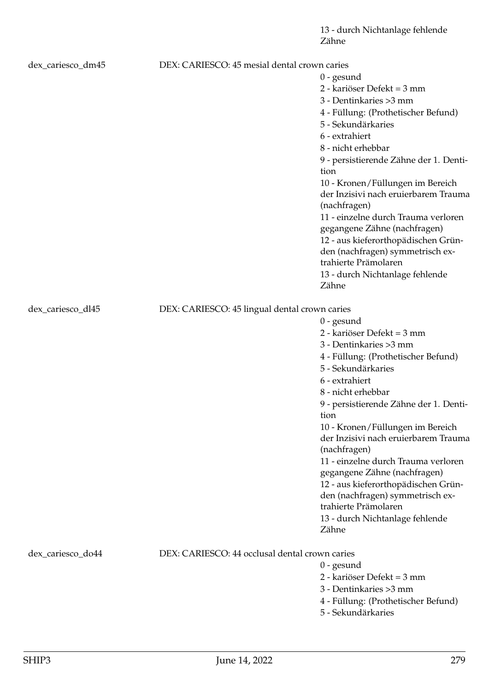13 - durch Nichtanlage fehlende Zähne

| dex_cariesco_dm45 | DEX: CARIESCO: 45 mesial dental crown caries   |                                                                          |
|-------------------|------------------------------------------------|--------------------------------------------------------------------------|
|                   |                                                | $0$ - gesund                                                             |
|                   |                                                | 2 - kariöser Defekt = 3 mm                                               |
|                   |                                                | 3 - Dentinkaries > 3 mm                                                  |
|                   |                                                | 4 - Füllung: (Prothetischer Befund)                                      |
|                   |                                                | 5 - Sekundärkaries                                                       |
|                   |                                                | 6 - extrahiert                                                           |
|                   |                                                | 8 - nicht erhebbar                                                       |
|                   |                                                | 9 - persistierende Zähne der 1. Denti-                                   |
|                   |                                                | tion                                                                     |
|                   |                                                | 10 - Kronen/Füllungen im Bereich<br>der Inzisivi nach eruierbarem Trauma |
|                   |                                                | (nachfragen)                                                             |
|                   |                                                | 11 - einzelne durch Trauma verloren                                      |
|                   |                                                | gegangene Zähne (nachfragen)                                             |
|                   |                                                | 12 - aus kieferorthopädischen Grün-                                      |
|                   |                                                | den (nachfragen) symmetrisch ex-                                         |
|                   |                                                | trahierte Prämolaren                                                     |
|                   |                                                | 13 - durch Nichtanlage fehlende                                          |
|                   |                                                | Zähne                                                                    |
| dex_cariesco_dl45 | DEX: CARIESCO: 45 lingual dental crown caries  |                                                                          |
|                   |                                                | $0$ - gesund                                                             |
|                   |                                                | 2 - kariöser Defekt = 3 mm                                               |
|                   |                                                | 3 - Dentinkaries > 3 mm                                                  |
|                   |                                                | 4 - Füllung: (Prothetischer Befund)                                      |
|                   |                                                | 5 - Sekundärkaries                                                       |
|                   |                                                | 6 - extrahiert                                                           |
|                   |                                                | 8 - nicht erhebbar                                                       |
|                   |                                                | 9 - persistierende Zähne der 1. Denti-                                   |
|                   |                                                | tion                                                                     |
|                   |                                                | 10 - Kronen/Füllungen im Bereich                                         |
|                   |                                                | der Inzisivi nach eruierbarem Trauma<br>(nachfragen)                     |
|                   |                                                | 11 - einzelne durch Trauma verloren                                      |
|                   |                                                | gegangene Zähne (nachfragen)                                             |
|                   |                                                | 12 - aus kieferorthopädischen Grün-                                      |
|                   |                                                | den (nachfragen) symmetrisch ex-                                         |
|                   |                                                | trahierte Prämolaren                                                     |
|                   |                                                | 13 - durch Nichtanlage fehlende                                          |
|                   |                                                | Zähne                                                                    |
| dex_cariesco_do44 | DEX: CARIESCO: 44 occlusal dental crown caries |                                                                          |
|                   |                                                | $0$ - gesund                                                             |
|                   |                                                | 2 - kariöser Defekt = 3 mm                                               |
|                   |                                                | 3 - Dentinkaries > 3 mm                                                  |
|                   |                                                | 4 - Füllung: (Prothetischer Befund)                                      |
|                   |                                                |                                                                          |

5 - Sekundärkaries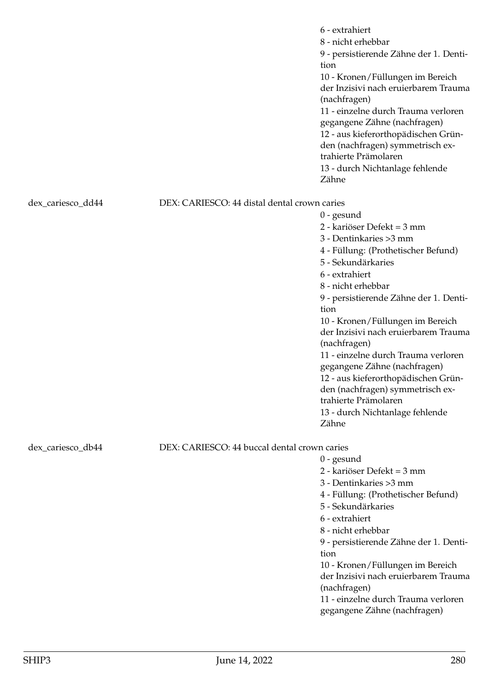|                   |                                              | 6 - extrahiert<br>8 - nicht erhebbar<br>9 - persistierende Zähne der 1. Denti-<br>tion<br>10 - Kronen/Füllungen im Bereich<br>der Inzisivi nach eruierbarem Trauma<br>(nachfragen)<br>11 - einzelne durch Trauma verloren<br>gegangene Zähne (nachfragen)<br>12 - aus kieferorthopädischen Grün-<br>den (nachfragen) symmetrisch ex-<br>trahierte Prämolaren<br>13 - durch Nichtanlage fehlende<br>Zähne |
|-------------------|----------------------------------------------|----------------------------------------------------------------------------------------------------------------------------------------------------------------------------------------------------------------------------------------------------------------------------------------------------------------------------------------------------------------------------------------------------------|
| dex_cariesco_dd44 | DEX: CARIESCO: 44 distal dental crown caries |                                                                                                                                                                                                                                                                                                                                                                                                          |
|                   |                                              | $0$ - gesund                                                                                                                                                                                                                                                                                                                                                                                             |
|                   |                                              | 2 - kariöser Defekt = 3 mm                                                                                                                                                                                                                                                                                                                                                                               |
|                   |                                              | 3 - Dentinkaries > 3 mm                                                                                                                                                                                                                                                                                                                                                                                  |
|                   |                                              | 4 - Füllung: (Prothetischer Befund)                                                                                                                                                                                                                                                                                                                                                                      |
|                   |                                              | 5 - Sekundärkaries                                                                                                                                                                                                                                                                                                                                                                                       |
|                   |                                              | 6 - extrahiert                                                                                                                                                                                                                                                                                                                                                                                           |
|                   |                                              | 8 - nicht erhebbar                                                                                                                                                                                                                                                                                                                                                                                       |
|                   |                                              | 9 - persistierende Zähne der 1. Denti-                                                                                                                                                                                                                                                                                                                                                                   |
|                   |                                              | tion                                                                                                                                                                                                                                                                                                                                                                                                     |
|                   |                                              | 10 - Kronen/Füllungen im Bereich<br>der Inzisivi nach eruierbarem Trauma                                                                                                                                                                                                                                                                                                                                 |
|                   |                                              | (nachfragen)                                                                                                                                                                                                                                                                                                                                                                                             |
|                   |                                              | 11 - einzelne durch Trauma verloren                                                                                                                                                                                                                                                                                                                                                                      |
|                   |                                              | gegangene Zähne (nachfragen)                                                                                                                                                                                                                                                                                                                                                                             |
|                   |                                              | 12 - aus kieferorthopädischen Grün-                                                                                                                                                                                                                                                                                                                                                                      |
|                   |                                              | den (nachfragen) symmetrisch ex-                                                                                                                                                                                                                                                                                                                                                                         |
|                   |                                              | trahierte Prämolaren                                                                                                                                                                                                                                                                                                                                                                                     |
|                   |                                              | 13 - durch Nichtanlage fehlende                                                                                                                                                                                                                                                                                                                                                                          |
|                   |                                              | Zähne                                                                                                                                                                                                                                                                                                                                                                                                    |
| dex_cariesco_db44 | DEX: CARIESCO: 44 buccal dental crown caries |                                                                                                                                                                                                                                                                                                                                                                                                          |
|                   |                                              | $0$ - gesund                                                                                                                                                                                                                                                                                                                                                                                             |
|                   |                                              | 2 - kariöser Defekt = 3 mm                                                                                                                                                                                                                                                                                                                                                                               |
|                   |                                              | 3 - Dentinkaries > 3 mm                                                                                                                                                                                                                                                                                                                                                                                  |
|                   |                                              | 4 - Füllung: (Prothetischer Befund)                                                                                                                                                                                                                                                                                                                                                                      |
|                   |                                              | 5 - Sekundärkaries                                                                                                                                                                                                                                                                                                                                                                                       |
|                   |                                              | 6 - extrahiert                                                                                                                                                                                                                                                                                                                                                                                           |
|                   |                                              | 8 - nicht erhebbar                                                                                                                                                                                                                                                                                                                                                                                       |
|                   |                                              | 9 - persistierende Zähne der 1. Denti-                                                                                                                                                                                                                                                                                                                                                                   |
|                   |                                              | tion                                                                                                                                                                                                                                                                                                                                                                                                     |
|                   |                                              | 10 - Kronen/Füllungen im Bereich<br>der Inzisivi nach eruierbarem Trauma                                                                                                                                                                                                                                                                                                                                 |
|                   |                                              | (nachfragen)                                                                                                                                                                                                                                                                                                                                                                                             |
|                   |                                              | 11 - einzelne durch Trauma verloren                                                                                                                                                                                                                                                                                                                                                                      |
|                   |                                              | gegangene Zähne (nachfragen)                                                                                                                                                                                                                                                                                                                                                                             |
|                   |                                              |                                                                                                                                                                                                                                                                                                                                                                                                          |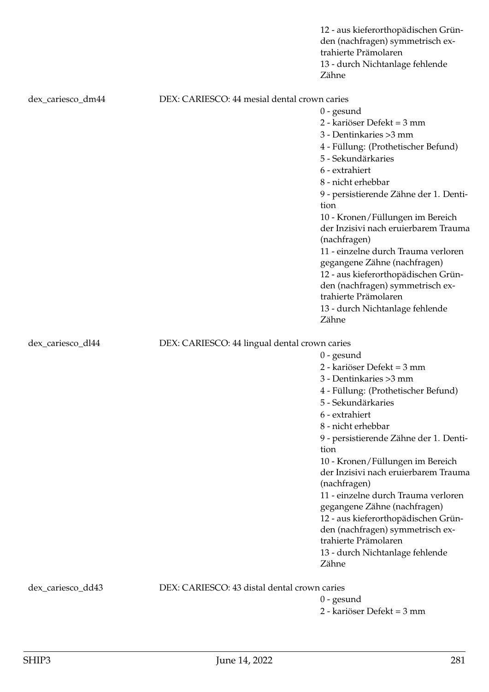|                   |                                               | 12 - aus kieferorthopädischen Grün-<br>den (nachfragen) symmetrisch ex-<br>trahierte Prämolaren<br>13 - durch Nichtanlage fehlende<br>Zähne |
|-------------------|-----------------------------------------------|---------------------------------------------------------------------------------------------------------------------------------------------|
| dex_cariesco_dm44 | DEX: CARIESCO: 44 mesial dental crown caries  |                                                                                                                                             |
|                   |                                               | $0$ - gesund                                                                                                                                |
|                   |                                               | 2 - kariöser Defekt = 3 mm                                                                                                                  |
|                   |                                               | 3 - Dentinkaries > 3 mm                                                                                                                     |
|                   |                                               | 4 - Füllung: (Prothetischer Befund)                                                                                                         |
|                   |                                               | 5 - Sekundärkaries                                                                                                                          |
|                   |                                               | 6 - extrahiert                                                                                                                              |
|                   |                                               | 8 - nicht erhebbar                                                                                                                          |
|                   |                                               | 9 - persistierende Zähne der 1. Denti-<br>tion                                                                                              |
|                   |                                               | 10 - Kronen/Füllungen im Bereich                                                                                                            |
|                   |                                               | der Inzisivi nach eruierbarem Trauma<br>(nachfragen)                                                                                        |
|                   |                                               | 11 - einzelne durch Trauma verloren                                                                                                         |
|                   |                                               | gegangene Zähne (nachfragen)                                                                                                                |
|                   |                                               | 12 - aus kieferorthopädischen Grün-                                                                                                         |
|                   |                                               | den (nachfragen) symmetrisch ex-                                                                                                            |
|                   |                                               | trahierte Prämolaren                                                                                                                        |
|                   |                                               | 13 - durch Nichtanlage fehlende<br>Zähne                                                                                                    |
|                   |                                               |                                                                                                                                             |
| dex_cariesco_dl44 | DEX: CARIESCO: 44 lingual dental crown caries |                                                                                                                                             |
|                   |                                               | $0$ - gesund                                                                                                                                |
|                   |                                               | 2 - kariöser Defekt = 3 mm                                                                                                                  |
|                   |                                               | 3 - Dentinkaries > 3 mm                                                                                                                     |
|                   |                                               | 4 - Füllung: (Prothetischer Befund)                                                                                                         |
|                   |                                               | 5 - Sekundärkaries<br>6 - extrahiert                                                                                                        |
|                   |                                               | 8 - nicht erhebbar                                                                                                                          |
|                   |                                               | 9 - persistierende Zähne der 1. Denti-                                                                                                      |
|                   |                                               | tion                                                                                                                                        |
|                   |                                               | 10 - Kronen/Füllungen im Bereich                                                                                                            |
|                   |                                               | der Inzisivi nach eruierbarem Trauma                                                                                                        |
|                   |                                               | (nachfragen)                                                                                                                                |
|                   |                                               | 11 - einzelne durch Trauma verloren                                                                                                         |
|                   |                                               | gegangene Zähne (nachfragen)                                                                                                                |
|                   |                                               | 12 - aus kieferorthopädischen Grün-                                                                                                         |
|                   |                                               | den (nachfragen) symmetrisch ex-                                                                                                            |
|                   |                                               | trahierte Prämolaren                                                                                                                        |
|                   |                                               | 13 - durch Nichtanlage fehlende                                                                                                             |
|                   |                                               | Zähne                                                                                                                                       |
| dex_cariesco_dd43 | DEX: CARIESCO: 43 distal dental crown caries  |                                                                                                                                             |
|                   |                                               | $0$ - gesund                                                                                                                                |
|                   |                                               | 2 - kariöser Defekt = 3 mm                                                                                                                  |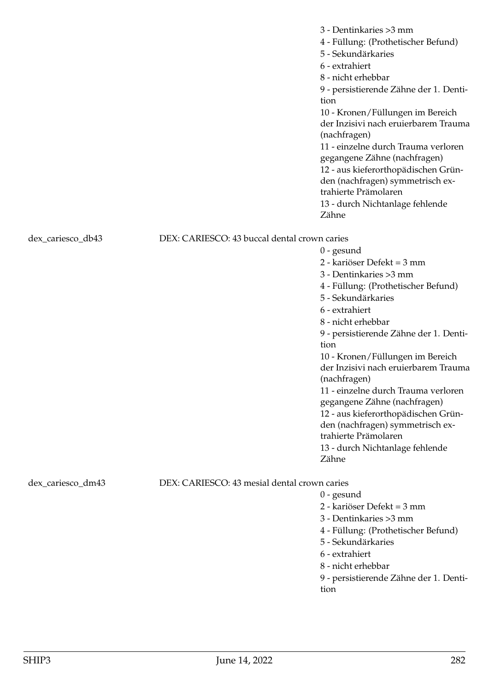|                   |                                              | 3 - Dentinkaries > 3 mm<br>4 - Füllung: (Prothetischer Befund)<br>5 - Sekundärkaries<br>6 - extrahiert<br>8 - nicht erhebbar<br>9 - persistierende Zähne der 1. Denti-<br>tion<br>10 - Kronen/Füllungen im Bereich<br>der Inzisivi nach eruierbarem Trauma<br>(nachfragen)<br>11 - einzelne durch Trauma verloren<br>gegangene Zähne (nachfragen)<br>12 - aus kieferorthopädischen Grün-<br>den (nachfragen) symmetrisch ex-<br>trahierte Prämolaren<br>13 - durch Nichtanlage fehlende<br>Zähne |
|-------------------|----------------------------------------------|--------------------------------------------------------------------------------------------------------------------------------------------------------------------------------------------------------------------------------------------------------------------------------------------------------------------------------------------------------------------------------------------------------------------------------------------------------------------------------------------------|
| dex_cariesco_db43 | DEX: CARIESCO: 43 buccal dental crown caries |                                                                                                                                                                                                                                                                                                                                                                                                                                                                                                  |
|                   |                                              | $0$ - gesund                                                                                                                                                                                                                                                                                                                                                                                                                                                                                     |
|                   |                                              | 2 - kariöser Defekt = 3 mm                                                                                                                                                                                                                                                                                                                                                                                                                                                                       |
|                   |                                              | 3 - Dentinkaries > 3 mm                                                                                                                                                                                                                                                                                                                                                                                                                                                                          |
|                   |                                              | 4 - Füllung: (Prothetischer Befund)                                                                                                                                                                                                                                                                                                                                                                                                                                                              |
|                   |                                              | 5 - Sekundärkaries                                                                                                                                                                                                                                                                                                                                                                                                                                                                               |
|                   |                                              | 6 - extrahiert                                                                                                                                                                                                                                                                                                                                                                                                                                                                                   |
|                   |                                              | 8 - nicht erhebbar                                                                                                                                                                                                                                                                                                                                                                                                                                                                               |
|                   |                                              | 9 - persistierende Zähne der 1. Denti-                                                                                                                                                                                                                                                                                                                                                                                                                                                           |
|                   |                                              | tion                                                                                                                                                                                                                                                                                                                                                                                                                                                                                             |
|                   |                                              | 10 - Kronen/Füllungen im Bereich<br>der Inzisivi nach eruierbarem Trauma<br>(nachfragen)                                                                                                                                                                                                                                                                                                                                                                                                         |
|                   |                                              | 11 - einzelne durch Trauma verloren                                                                                                                                                                                                                                                                                                                                                                                                                                                              |
|                   |                                              | gegangene Zähne (nachfragen)                                                                                                                                                                                                                                                                                                                                                                                                                                                                     |
|                   |                                              | 12 - aus kieferorthopädischen Grün-                                                                                                                                                                                                                                                                                                                                                                                                                                                              |
|                   |                                              | den (nachfragen) symmetrisch ex-                                                                                                                                                                                                                                                                                                                                                                                                                                                                 |
|                   |                                              | trahierte Prämolaren                                                                                                                                                                                                                                                                                                                                                                                                                                                                             |
|                   |                                              | 13 - durch Nichtanlage fehlende                                                                                                                                                                                                                                                                                                                                                                                                                                                                  |
|                   |                                              | Zähne                                                                                                                                                                                                                                                                                                                                                                                                                                                                                            |
| dex_cariesco_dm43 | DEX: CARIESCO: 43 mesial dental crown caries |                                                                                                                                                                                                                                                                                                                                                                                                                                                                                                  |
|                   |                                              | $0$ - gesund                                                                                                                                                                                                                                                                                                                                                                                                                                                                                     |
|                   |                                              | 2 - kariöser Defekt = 3 mm                                                                                                                                                                                                                                                                                                                                                                                                                                                                       |
|                   |                                              | 3 - Dentinkaries > 3 mm                                                                                                                                                                                                                                                                                                                                                                                                                                                                          |
|                   |                                              | 4 - Füllung: (Prothetischer Befund)                                                                                                                                                                                                                                                                                                                                                                                                                                                              |
|                   |                                              | 5 - Sekundärkaries                                                                                                                                                                                                                                                                                                                                                                                                                                                                               |
|                   |                                              | 6 - extrahiert                                                                                                                                                                                                                                                                                                                                                                                                                                                                                   |

8 - nicht erhebbar

9 - persistierende Zähne der 1. Dentition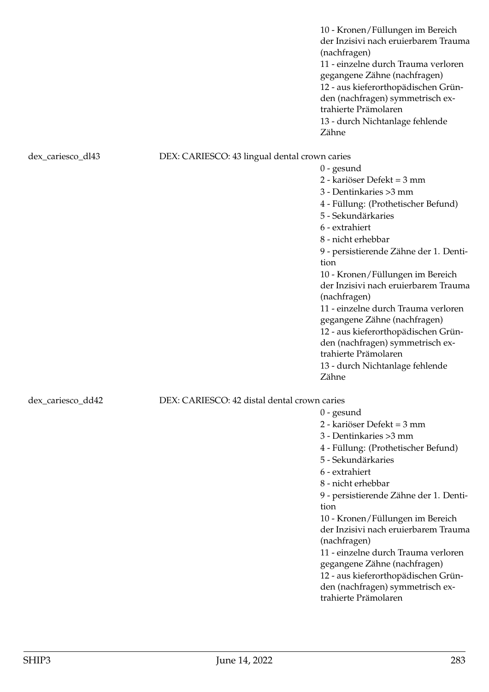10 - Kronen/Füllungen im Bereich der Inzisivi nach eruierbarem Trauma (nachfragen) 11 - einzelne durch Trauma verloren gegangene Zähne (nachfragen) 12 - aus kieferorthopädischen Gründen (nachfragen) symmetrisch extrahierte Prämolaren 13 - durch Nichtanlage fehlende Zähne

### dex\_cariesco\_dl43 DEX: CARIESCO: 43 lingual dental crown caries

0 - gesund 2 - kariöser Defekt = 3 mm 3 - Dentinkaries >3 mm 4 - Füllung: (Prothetischer Befund) 5 - Sekundärkaries 6 - extrahiert 8 - nicht erhebbar 9 - persistierende Zähne der 1. Dentition 10 - Kronen/Füllungen im Bereich der Inzisivi nach eruierbarem Trauma (nachfragen) 11 - einzelne durch Trauma verloren gegangene Zähne (nachfragen) 12 - aus kieferorthopädischen Gründen (nachfragen) symmetrisch extrahierte Prämolaren 13 - durch Nichtanlage fehlende Zähne

0 - gesund

2 - kariöser Defekt = 3 mm 3 - Dentinkaries >3 mm

5 - Sekundärkaries

6 - extrahiert 8 - nicht erhebbar

(nachfragen)

trahierte Prämolaren

tion

4 - Füllung: (Prothetischer Befund)

9 - persistierende Zähne der 1. Denti-

10 - Kronen/Füllungen im Bereich der Inzisivi nach eruierbarem Trauma

11 - einzelne durch Trauma verloren gegangene Zähne (nachfragen) 12 - aus kieferorthopädischen Gründen (nachfragen) symmetrisch ex-

## dex\_cariesco\_dd42 DEX: CARIESCO: 42 distal dental crown caries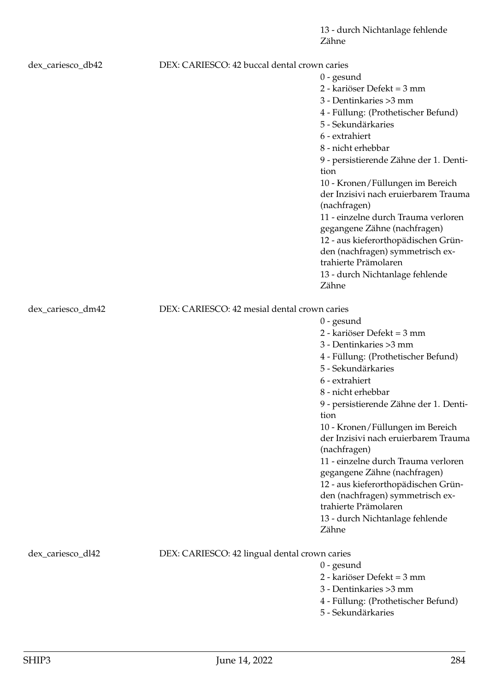13 - durch Nichtanlage fehlende Zähne

| dex_cariesco_db42 |                                               | DEX: CARIESCO: 42 buccal dental crown caries                             |  |
|-------------------|-----------------------------------------------|--------------------------------------------------------------------------|--|
|                   |                                               | $0$ - gesund                                                             |  |
|                   |                                               | 2 - kariöser Defekt = 3 mm                                               |  |
|                   |                                               | 3 - Dentinkaries > 3 mm                                                  |  |
|                   |                                               | 4 - Füllung: (Prothetischer Befund)                                      |  |
|                   |                                               | 5 - Sekundärkaries                                                       |  |
|                   |                                               | 6 - extrahiert                                                           |  |
|                   |                                               | 8 - nicht erhebbar                                                       |  |
|                   |                                               | 9 - persistierende Zähne der 1. Denti-                                   |  |
|                   |                                               | tion                                                                     |  |
|                   |                                               | 10 - Kronen/Füllungen im Bereich                                         |  |
|                   |                                               | der Inzisivi nach eruierbarem Trauma                                     |  |
|                   |                                               | (nachfragen)                                                             |  |
|                   |                                               | 11 - einzelne durch Trauma verloren                                      |  |
|                   |                                               | gegangene Zähne (nachfragen)                                             |  |
|                   |                                               | 12 - aus kieferorthopädischen Grün-                                      |  |
|                   |                                               | den (nachfragen) symmetrisch ex-                                         |  |
|                   |                                               | trahierte Prämolaren                                                     |  |
|                   |                                               | 13 - durch Nichtanlage fehlende                                          |  |
|                   |                                               | Zähne                                                                    |  |
| dex_cariesco_dm42 | DEX: CARIESCO: 42 mesial dental crown caries  |                                                                          |  |
|                   |                                               | $0$ - gesund                                                             |  |
|                   |                                               | 2 - kariöser Defekt = 3 mm                                               |  |
|                   |                                               | 3 - Dentinkaries > 3 mm                                                  |  |
|                   |                                               |                                                                          |  |
|                   |                                               | 4 - Füllung: (Prothetischer Befund)<br>5 - Sekundärkaries                |  |
|                   |                                               |                                                                          |  |
|                   |                                               | 6 - extrahiert                                                           |  |
|                   |                                               | 8 - nicht erhebbar                                                       |  |
|                   |                                               | 9 - persistierende Zähne der 1. Denti-                                   |  |
|                   |                                               | tion                                                                     |  |
|                   |                                               | 10 - Kronen/Füllungen im Bereich<br>der Inzisivi nach eruierbarem Trauma |  |
|                   |                                               |                                                                          |  |
|                   |                                               | (nachfragen)<br>11 - einzelne durch Trauma verloren                      |  |
|                   |                                               | gegangene Zähne (nachfragen)                                             |  |
|                   |                                               |                                                                          |  |
|                   |                                               | 12 - aus kieferorthopädischen Grün-<br>den (nachfragen) symmetrisch ex-  |  |
|                   |                                               | trahierte Prämolaren                                                     |  |
|                   |                                               | 13 - durch Nichtanlage fehlende                                          |  |
|                   |                                               | Zähne                                                                    |  |
|                   |                                               |                                                                          |  |
| dex_cariesco_dl42 | DEX: CARIESCO: 42 lingual dental crown caries |                                                                          |  |
|                   |                                               | $0$ - gesund                                                             |  |
|                   |                                               | 2 - kariöser Defekt = 3 mm                                               |  |
|                   |                                               | 3 - Dentinkaries > 3 mm                                                  |  |
|                   |                                               | 4 - Füllung: (Prothetischer Befund)                                      |  |
|                   |                                               |                                                                          |  |

5 - Sekundärkaries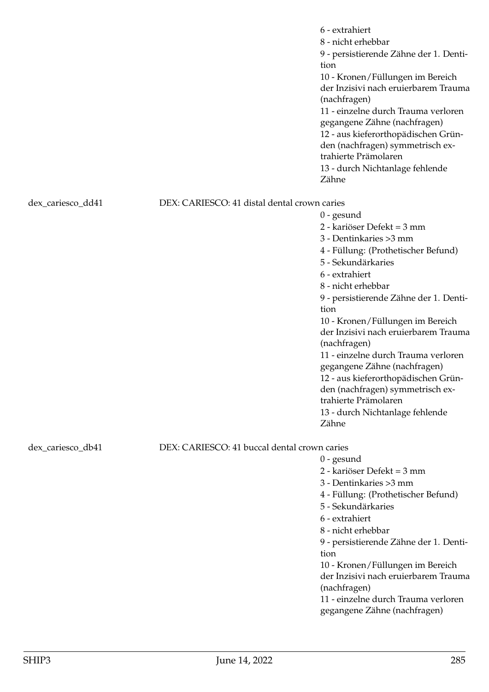|                                                                   |                                              | 6 - extrahiert<br>8 - nicht erhebbar<br>9 - persistierende Zähne der 1. Denti-<br>tion<br>10 - Kronen/Füllungen im Bereich<br>der Inzisivi nach eruierbarem Trauma<br>(nachfragen)<br>11 - einzelne durch Trauma verloren<br>gegangene Zähne (nachfragen)<br>12 - aus kieferorthopädischen Grün-<br>den (nachfragen) symmetrisch ex-<br>trahierte Prämolaren<br>13 - durch Nichtanlage fehlende<br>Zähne |
|-------------------------------------------------------------------|----------------------------------------------|----------------------------------------------------------------------------------------------------------------------------------------------------------------------------------------------------------------------------------------------------------------------------------------------------------------------------------------------------------------------------------------------------------|
| dex_cariesco_dd41                                                 | DEX: CARIESCO: 41 distal dental crown caries |                                                                                                                                                                                                                                                                                                                                                                                                          |
|                                                                   |                                              | $0$ - gesund                                                                                                                                                                                                                                                                                                                                                                                             |
|                                                                   |                                              | 2 - kariöser Defekt = 3 mm                                                                                                                                                                                                                                                                                                                                                                               |
|                                                                   |                                              | 3 - Dentinkaries > 3 mm                                                                                                                                                                                                                                                                                                                                                                                  |
|                                                                   |                                              | 4 - Füllung: (Prothetischer Befund)                                                                                                                                                                                                                                                                                                                                                                      |
|                                                                   |                                              | 5 - Sekundärkaries                                                                                                                                                                                                                                                                                                                                                                                       |
|                                                                   |                                              | 6 - extrahiert                                                                                                                                                                                                                                                                                                                                                                                           |
|                                                                   |                                              | 8 - nicht erhebbar                                                                                                                                                                                                                                                                                                                                                                                       |
|                                                                   |                                              | 9 - persistierende Zähne der 1. Denti-                                                                                                                                                                                                                                                                                                                                                                   |
|                                                                   |                                              | tion                                                                                                                                                                                                                                                                                                                                                                                                     |
|                                                                   |                                              | 10 - Kronen/Füllungen im Bereich<br>der Inzisivi nach eruierbarem Trauma                                                                                                                                                                                                                                                                                                                                 |
|                                                                   |                                              | (nachfragen)                                                                                                                                                                                                                                                                                                                                                                                             |
|                                                                   |                                              | 11 - einzelne durch Trauma verloren                                                                                                                                                                                                                                                                                                                                                                      |
|                                                                   |                                              | gegangene Zähne (nachfragen)                                                                                                                                                                                                                                                                                                                                                                             |
|                                                                   |                                              | 12 - aus kieferorthopädischen Grün-                                                                                                                                                                                                                                                                                                                                                                      |
|                                                                   |                                              | den (nachfragen) symmetrisch ex-<br>trahierte Prämolaren                                                                                                                                                                                                                                                                                                                                                 |
|                                                                   |                                              | 13 - durch Nichtanlage fehlende                                                                                                                                                                                                                                                                                                                                                                          |
|                                                                   |                                              | Zähne                                                                                                                                                                                                                                                                                                                                                                                                    |
| DEX: CARIESCO: 41 buccal dental crown caries<br>dex_cariesco_db41 |                                              |                                                                                                                                                                                                                                                                                                                                                                                                          |
|                                                                   |                                              | $0$ - gesund                                                                                                                                                                                                                                                                                                                                                                                             |
|                                                                   |                                              | 2 - kariöser Defekt = 3 mm                                                                                                                                                                                                                                                                                                                                                                               |
|                                                                   |                                              | 3 - Dentinkaries > 3 mm                                                                                                                                                                                                                                                                                                                                                                                  |
|                                                                   |                                              | 4 - Füllung: (Prothetischer Befund)                                                                                                                                                                                                                                                                                                                                                                      |
|                                                                   |                                              | 5 - Sekundärkaries                                                                                                                                                                                                                                                                                                                                                                                       |
|                                                                   |                                              | 6 - extrahiert                                                                                                                                                                                                                                                                                                                                                                                           |
|                                                                   |                                              | 8 - nicht erhebbar                                                                                                                                                                                                                                                                                                                                                                                       |
|                                                                   |                                              | 9 - persistierende Zähne der 1. Denti-                                                                                                                                                                                                                                                                                                                                                                   |
|                                                                   |                                              | tion                                                                                                                                                                                                                                                                                                                                                                                                     |
|                                                                   |                                              | 10 - Kronen/Füllungen im Bereich                                                                                                                                                                                                                                                                                                                                                                         |
|                                                                   |                                              | der Inzisivi nach eruierbarem Trauma                                                                                                                                                                                                                                                                                                                                                                     |
|                                                                   |                                              | (nachfragen)<br>11 - einzelne durch Trauma verloren                                                                                                                                                                                                                                                                                                                                                      |
|                                                                   |                                              | gegangene Zähne (nachfragen)                                                                                                                                                                                                                                                                                                                                                                             |
|                                                                   |                                              |                                                                                                                                                                                                                                                                                                                                                                                                          |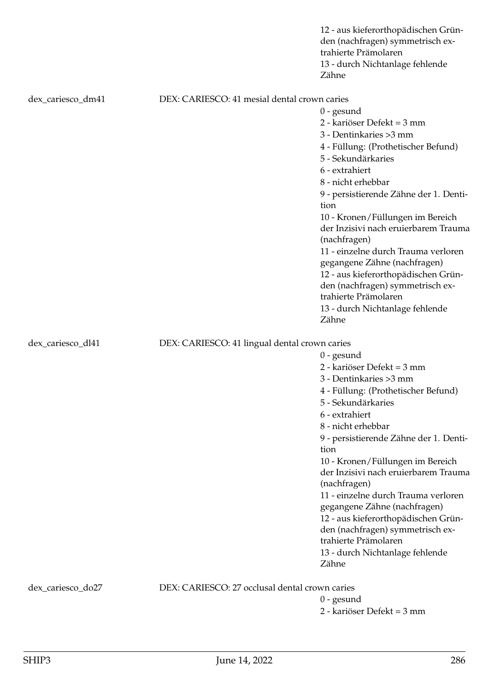|                   | 12 - aus kieferorthopädischen Grün-<br>den (nachfragen) symmetrisch ex-<br>trahierte Prämolaren<br>13 - durch Nichtanlage fehlende<br>Zähne |  |  |
|-------------------|---------------------------------------------------------------------------------------------------------------------------------------------|--|--|
| dex_cariesco_dm41 | DEX: CARIESCO: 41 mesial dental crown caries                                                                                                |  |  |
|                   | $0$ - gesund                                                                                                                                |  |  |
|                   | 2 - kariöser Defekt = 3 mm                                                                                                                  |  |  |
|                   | 3 - Dentinkaries > 3 mm                                                                                                                     |  |  |
|                   | 4 - Füllung: (Prothetischer Befund)                                                                                                         |  |  |
|                   | 5 - Sekundärkaries                                                                                                                          |  |  |
|                   | 6 - extrahiert                                                                                                                              |  |  |
|                   | 8 - nicht erhebbar                                                                                                                          |  |  |
|                   | 9 - persistierende Zähne der 1. Denti-<br>tion                                                                                              |  |  |
|                   | 10 - Kronen/Füllungen im Bereich                                                                                                            |  |  |
|                   | der Inzisivi nach eruierbarem Trauma<br>(nachfragen)                                                                                        |  |  |
|                   | 11 - einzelne durch Trauma verloren                                                                                                         |  |  |
|                   | gegangene Zähne (nachfragen)                                                                                                                |  |  |
|                   | 12 - aus kieferorthopädischen Grün-                                                                                                         |  |  |
|                   | den (nachfragen) symmetrisch ex-                                                                                                            |  |  |
|                   | trahierte Prämolaren                                                                                                                        |  |  |
|                   | 13 - durch Nichtanlage fehlende<br>Zähne                                                                                                    |  |  |
|                   |                                                                                                                                             |  |  |
| dex_cariesco_dl41 | DEX: CARIESCO: 41 lingual dental crown caries                                                                                               |  |  |
|                   | $0$ - gesund                                                                                                                                |  |  |
|                   | 2 - kariöser Defekt = 3 mm                                                                                                                  |  |  |
|                   | 3 - Dentinkaries > 3 mm                                                                                                                     |  |  |
|                   | 4 - Füllung: (Prothetischer Befund)                                                                                                         |  |  |
|                   | 5 - Sekundärkaries                                                                                                                          |  |  |
|                   | 6 - extrahiert                                                                                                                              |  |  |
|                   | 8 - nicht erhebbar                                                                                                                          |  |  |
|                   | 9 - persistierende Zähne der 1. Denti-                                                                                                      |  |  |
|                   | tion                                                                                                                                        |  |  |
|                   | 10 - Kronen/Füllungen im Bereich<br>der Inzisivi nach eruierbarem Trauma                                                                    |  |  |
|                   | (nachfragen)                                                                                                                                |  |  |
|                   | 11 - einzelne durch Trauma verloren                                                                                                         |  |  |
|                   | gegangene Zähne (nachfragen)                                                                                                                |  |  |
|                   | 12 - aus kieferorthopädischen Grün-                                                                                                         |  |  |
|                   | den (nachfragen) symmetrisch ex-                                                                                                            |  |  |
|                   | trahierte Prämolaren                                                                                                                        |  |  |
|                   | 13 - durch Nichtanlage fehlende                                                                                                             |  |  |
|                   | Zähne                                                                                                                                       |  |  |
| dex_cariesco_do27 | DEX: CARIESCO: 27 occlusal dental crown caries                                                                                              |  |  |
|                   | $0$ - gesund                                                                                                                                |  |  |
|                   | 2 - kariöser Defekt = 3 mm                                                                                                                  |  |  |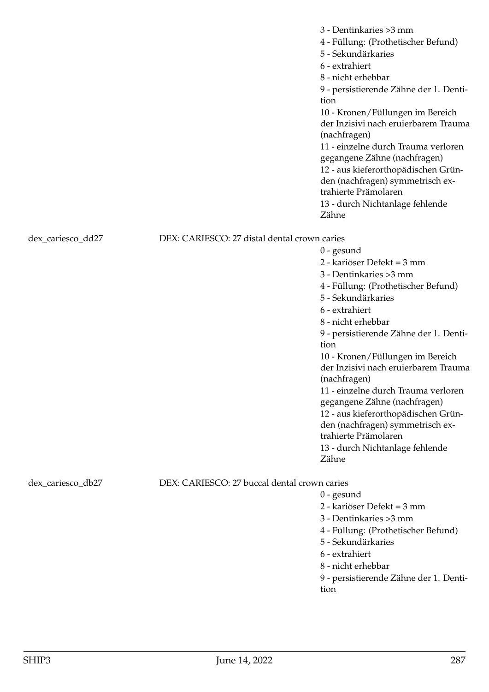|                                              | 6 - extrahiert<br>8 - nicht erhebbar<br>9 - persistierende Zähne der 1. Denti-<br>tion<br>10 - Kronen/Füllungen im Bereich<br>der Inzisivi nach eruierbarem Trauma<br>(nachfragen)<br>11 - einzelne durch Trauma verloren<br>gegangene Zähne (nachfragen)<br>12 - aus kieferorthopädischen Grün-<br>den (nachfragen) symmetrisch ex-<br>trahierte Prämolaren<br>13 - durch Nichtanlage fehlende<br>Zähne                                                                                                                                       |  |
|----------------------------------------------|------------------------------------------------------------------------------------------------------------------------------------------------------------------------------------------------------------------------------------------------------------------------------------------------------------------------------------------------------------------------------------------------------------------------------------------------------------------------------------------------------------------------------------------------|--|
|                                              |                                                                                                                                                                                                                                                                                                                                                                                                                                                                                                                                                |  |
|                                              | $0$ - gesund<br>2 - kariöser Defekt = 3 mm<br>3 - Dentinkaries > 3 mm<br>4 - Füllung: (Prothetischer Befund)<br>5 - Sekundärkaries<br>6 - extrahiert<br>8 - nicht erhebbar<br>9 - persistierende Zähne der 1. Denti-<br>tion<br>10 - Kronen/Füllungen im Bereich<br>der Inzisivi nach eruierbarem Trauma<br>(nachfragen)<br>11 - einzelne durch Trauma verloren<br>gegangene Zähne (nachfragen)<br>12 - aus kieferorthopädischen Grün-<br>den (nachfragen) symmetrisch ex-<br>trahierte Prämolaren<br>13 - durch Nichtanlage fehlende<br>Zähne |  |
| DEX: CARIESCO: 27 buccal dental crown caries |                                                                                                                                                                                                                                                                                                                                                                                                                                                                                                                                                |  |
|                                              | $0$ - gesund<br>2 - kariöser Defekt = 3 mm<br>3 - Dentinkaries > 3 mm<br>4 - Füllung: (Prothetischer Befund)<br>5 - Sekundärkaries<br>6 - extrahiert<br>8 - nicht erhebbar                                                                                                                                                                                                                                                                                                                                                                     |  |
|                                              | DEX: CARIESCO: 27 distal dental crown caries                                                                                                                                                                                                                                                                                                                                                                                                                                                                                                   |  |

9 - persistierende Zähne der 1. Dentition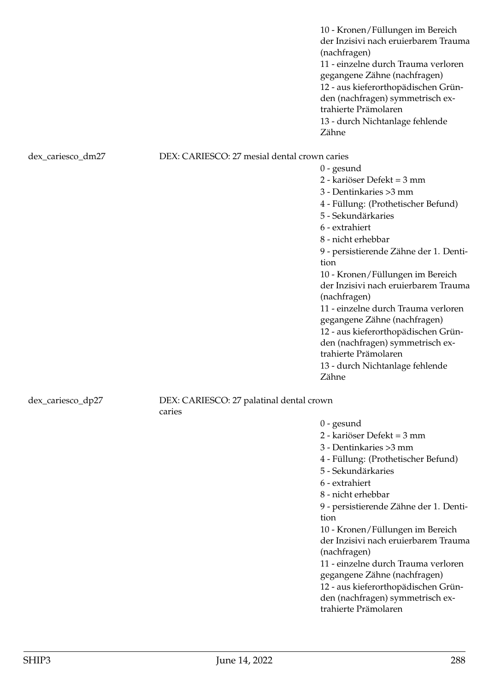10 - Kronen/Füllungen im Bereich der Inzisivi nach eruierbarem Trauma (nachfragen) 11 - einzelne durch Trauma verloren gegangene Zähne (nachfragen) 12 - aus kieferorthopädischen Gründen (nachfragen) symmetrisch extrahierte Prämolaren 13 - durch Nichtanlage fehlende Zähne

### dex\_cariesco\_dm27 DEX: CARIESCO: 27 mesial dental crown caries

0 - gesund 2 - kariöser Defekt = 3 mm 3 - Dentinkaries >3 mm 4 - Füllung: (Prothetischer Befund) 5 - Sekundärkaries 6 - extrahiert 8 - nicht erhebbar 9 - persistierende Zähne der 1. Dentition 10 - Kronen/Füllungen im Bereich der Inzisivi nach eruierbarem Trauma (nachfragen) 11 - einzelne durch Trauma verloren gegangene Zähne (nachfragen) 12 - aus kieferorthopädischen Gründen (nachfragen) symmetrisch extrahierte Prämolaren 13 - durch Nichtanlage fehlende Zähne

# dex\_cariesco\_dp27 DEX: CARIESCO: 27 palatinal dental crown

caries

0 - gesund

- 2 kariöser Defekt = 3 mm
- 3 Dentinkaries >3 mm
- 4 Füllung: (Prothetischer Befund)
- 5 Sekundärkaries
- 6 extrahiert
- 8 nicht erhebbar

9 - persistierende Zähne der 1. Dentition

10 - Kronen/Füllungen im Bereich der Inzisivi nach eruierbarem Trauma (nachfragen)

11 - einzelne durch Trauma verloren gegangene Zähne (nachfragen) 12 - aus kieferorthopädischen Grün-

den (nachfragen) symmetrisch extrahierte Prämolaren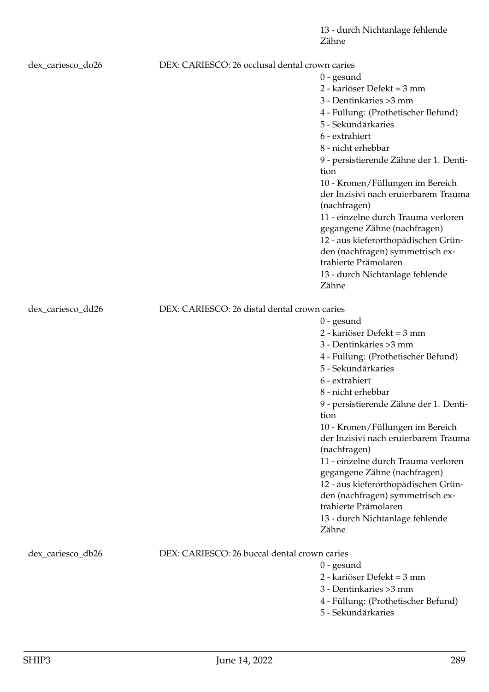| dex_cariesco_do26 | DEX: CARIESCO: 26 occlusal dental crown caries |                                                          |
|-------------------|------------------------------------------------|----------------------------------------------------------|
|                   |                                                | $0$ - gesund                                             |
|                   |                                                | 2 - kariöser Defekt = 3 mm                               |
|                   |                                                | 3 - Dentinkaries > 3 mm                                  |
|                   |                                                | 4 - Füllung: (Prothetischer Befund)                      |
|                   |                                                | 5 - Sekundärkaries                                       |
|                   |                                                | 6 - extrahiert                                           |
|                   |                                                | 8 - nicht erhebbar                                       |
|                   |                                                | 9 - persistierende Zähne der 1. Denti-                   |
|                   |                                                | tion                                                     |
|                   |                                                | 10 - Kronen/Füllungen im Bereich                         |
|                   |                                                | der Inzisivi nach eruierbarem Trauma                     |
|                   |                                                | (nachfragen)                                             |
|                   |                                                | 11 - einzelne durch Trauma verloren                      |
|                   |                                                | gegangene Zähne (nachfragen)                             |
|                   |                                                | 12 - aus kieferorthopädischen Grün-                      |
|                   |                                                | den (nachfragen) symmetrisch ex-                         |
|                   |                                                | trahierte Prämolaren                                     |
|                   |                                                | 13 - durch Nichtanlage fehlende                          |
|                   |                                                | Zähne                                                    |
|                   |                                                |                                                          |
| dex_cariesco_dd26 | DEX: CARIESCO: 26 distal dental crown caries   |                                                          |
|                   |                                                | $0$ - gesund<br>2 - kariöser Defekt = 3 mm               |
|                   |                                                |                                                          |
|                   |                                                | 3 - Dentinkaries > 3 mm                                  |
|                   |                                                | 4 - Füllung: (Prothetischer Befund)                      |
|                   |                                                | 5 - Sekundärkaries                                       |
|                   |                                                | 6 - extrahiert                                           |
|                   |                                                | 8 - nicht erhebbar                                       |
|                   |                                                | 9 - persistierende Zähne der 1. Denti-                   |
|                   |                                                | tion                                                     |
|                   |                                                | 10 - Kronen/Füllungen im Bereich                         |
|                   |                                                | der Inzisivi nach eruierbarem Trauma                     |
|                   |                                                | (nachfragen)                                             |
|                   |                                                | 11 - einzelne durch Trauma verloren                      |
|                   |                                                | gegangene Zähne (nachfragen)                             |
|                   |                                                | 12 - aus kieferorthopädischen Grün-                      |
|                   |                                                | den (nachfragen) symmetrisch ex-<br>trahierte Prämolaren |
|                   |                                                |                                                          |
|                   |                                                | 13 - durch Nichtanlage fehlende<br>Zähne                 |
|                   |                                                |                                                          |
| dex_cariesco_db26 | DEX: CARIESCO: 26 buccal dental crown caries   |                                                          |
|                   |                                                | $0$ - gesund                                             |
|                   |                                                | 2 - kariöser Defekt = 3 mm                               |
|                   |                                                | 3 - Dentinkaries > 3 mm                                  |
|                   |                                                | 4 - Füllung: (Prothetischer Befund)                      |
|                   |                                                | 5 - Sekundärkaries                                       |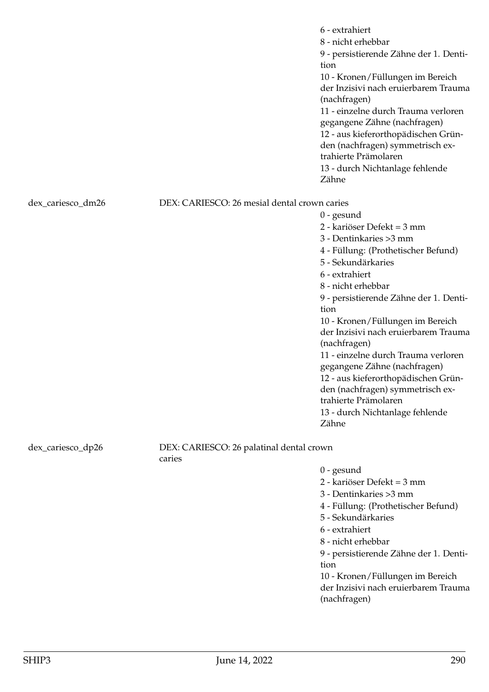| 6 - extrahiert<br>8 - nicht erhebbar<br>9 - persistierende Zähne der 1. Denti-<br>tion<br>10 - Kronen/Füllungen im Bereich<br>der Inzisivi nach eruierbarem Trauma<br>(nachfragen)<br>11 - einzelne durch Trauma verloren<br>gegangene Zähne (nachfragen)<br>12 - aus kieferorthopädischen Grün-<br>den (nachfragen) symmetrisch ex-<br>trahierte Prämolaren<br>13 - durch Nichtanlage fehlende<br>Zähne |  |
|----------------------------------------------------------------------------------------------------------------------------------------------------------------------------------------------------------------------------------------------------------------------------------------------------------------------------------------------------------------------------------------------------------|--|
| DEX: CARIESCO: 26 mesial dental crown caries<br>dex_cariesco_dm26                                                                                                                                                                                                                                                                                                                                        |  |
| $0$ - gesund                                                                                                                                                                                                                                                                                                                                                                                             |  |
| 2 - kariöser Defekt = 3 mm                                                                                                                                                                                                                                                                                                                                                                               |  |
| 3 - Dentinkaries > 3 mm                                                                                                                                                                                                                                                                                                                                                                                  |  |
| 4 - Füllung: (Prothetischer Befund)                                                                                                                                                                                                                                                                                                                                                                      |  |
| 5 - Sekundärkaries                                                                                                                                                                                                                                                                                                                                                                                       |  |
| 6 - extrahiert                                                                                                                                                                                                                                                                                                                                                                                           |  |
| 8 - nicht erhebbar                                                                                                                                                                                                                                                                                                                                                                                       |  |
| 9 - persistierende Zähne der 1. Denti-<br>tion                                                                                                                                                                                                                                                                                                                                                           |  |
| 10 - Kronen/Füllungen im Bereich<br>der Inzisivi nach eruierbarem Trauma<br>(nachfragen)                                                                                                                                                                                                                                                                                                                 |  |
| 11 - einzelne durch Trauma verloren<br>gegangene Zähne (nachfragen)                                                                                                                                                                                                                                                                                                                                      |  |
| 12 - aus kieferorthopädischen Grün-<br>den (nachfragen) symmetrisch ex-                                                                                                                                                                                                                                                                                                                                  |  |
| trahierte Prämolaren                                                                                                                                                                                                                                                                                                                                                                                     |  |
| 13 - durch Nichtanlage fehlende<br>Zähne                                                                                                                                                                                                                                                                                                                                                                 |  |
| DEX: CARIESCO: 26 palatinal dental crown<br>dex_cariesco_dp26<br>caries                                                                                                                                                                                                                                                                                                                                  |  |
| $0$ - gesund                                                                                                                                                                                                                                                                                                                                                                                             |  |
| 2 - kariöser Defekt = 3 mm                                                                                                                                                                                                                                                                                                                                                                               |  |
| 3 - Dentinkaries > 3 mm                                                                                                                                                                                                                                                                                                                                                                                  |  |
| 4 - Füllung: (Prothetischer Befund)                                                                                                                                                                                                                                                                                                                                                                      |  |
| 5 - Sekundärkaries                                                                                                                                                                                                                                                                                                                                                                                       |  |
| 6 - extrahiert                                                                                                                                                                                                                                                                                                                                                                                           |  |
| 8 - nicht erhebbar                                                                                                                                                                                                                                                                                                                                                                                       |  |
| 9 - persistierende Zähne der 1. Denti-<br>tion                                                                                                                                                                                                                                                                                                                                                           |  |
| 10 - Kronen/Füllungen im Bereich                                                                                                                                                                                                                                                                                                                                                                         |  |
| der Inzisivi nach eruierbarem Trauma<br>(nachfragen)                                                                                                                                                                                                                                                                                                                                                     |  |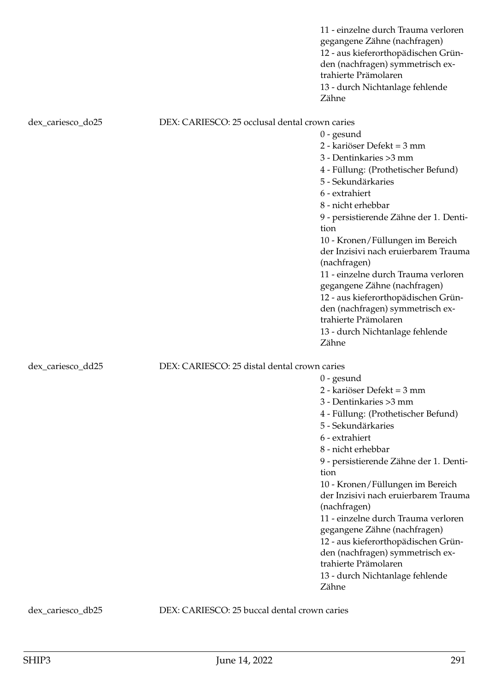|                   |                                                | 11 - einzelne durch Trauma verloren<br>gegangene Zähne (nachfragen)<br>12 - aus kieferorthopädischen Grün-<br>den (nachfragen) symmetrisch ex-<br>trahierte Prämolaren<br>13 - durch Nichtanlage fehlende<br>Zähne                                                                                                                                                                                                                                                                                                                             |
|-------------------|------------------------------------------------|------------------------------------------------------------------------------------------------------------------------------------------------------------------------------------------------------------------------------------------------------------------------------------------------------------------------------------------------------------------------------------------------------------------------------------------------------------------------------------------------------------------------------------------------|
| dex_cariesco_do25 | DEX: CARIESCO: 25 occlusal dental crown caries |                                                                                                                                                                                                                                                                                                                                                                                                                                                                                                                                                |
|                   |                                                | $0$ - gesund<br>2 - kariöser Defekt = 3 mm<br>3 - Dentinkaries > 3 mm<br>4 - Füllung: (Prothetischer Befund)<br>5 - Sekundärkaries<br>6 - extrahiert<br>8 - nicht erhebbar<br>9 - persistierende Zähne der 1. Denti-<br>tion<br>10 - Kronen/Füllungen im Bereich<br>der Inzisivi nach eruierbarem Trauma<br>(nachfragen)<br>11 - einzelne durch Trauma verloren<br>gegangene Zähne (nachfragen)<br>12 - aus kieferorthopädischen Grün-<br>den (nachfragen) symmetrisch ex-<br>trahierte Prämolaren<br>13 - durch Nichtanlage fehlende<br>Zähne |
| dex_cariesco_dd25 | DEX: CARIESCO: 25 distal dental crown caries   | $0$ - gesund<br>2 - kariöser Defekt = 3 mm<br>3 - Dentinkaries > 3 mm<br>4 - Füllung: (Prothetischer Befund)<br>5 - Sekundärkaries<br>6 - extrahiert<br>8 - nicht erhebbar<br>9 - persistierende Zähne der 1. Denti-<br>tion<br>10 - Kronen/Füllungen im Bereich<br>der Inzisivi nach eruierbarem Trauma<br>(nachfragen)<br>11 - einzelne durch Trauma verloren<br>gegangene Zähne (nachfragen)<br>12 - aus kieferorthopädischen Grün-<br>den (nachfragen) symmetrisch ex-<br>trahierte Prämolaren<br>13 - durch Nichtanlage fehlende<br>Zähne |

dex\_cariesco\_db25 DEX: CARIESCO: 25 buccal dental crown caries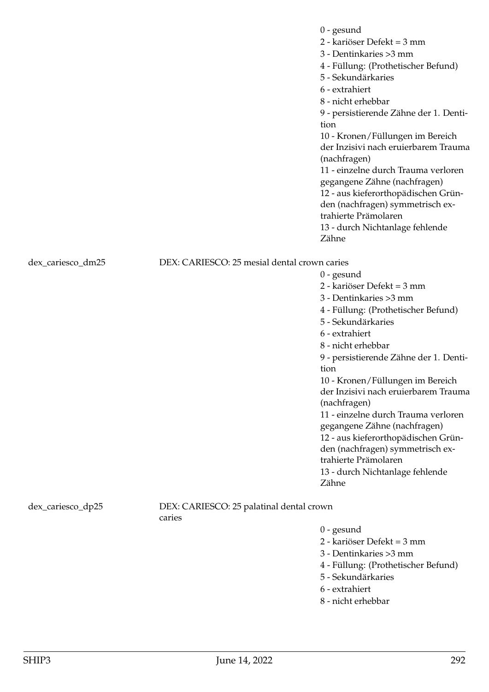0 - gesund

2 - kariöser Defekt = 3 mm

3 - Dentinkaries >3 mm

4 - Füllung: (Prothetischer Befund)

- 5 Sekundärkaries
- 6 extrahiert
- 8 nicht erhebbar

9 - persistierende Zähne der 1. Dentition

10 - Kronen/Füllungen im Bereich der Inzisivi nach eruierbarem Trauma (nachfragen)

11 - einzelne durch Trauma verloren gegangene Zähne (nachfragen) 12 - aus kieferorthopädischen Grün-

den (nachfragen) symmetrisch ex-

- trahierte Prämolaren
- 13 durch Nichtanlage fehlende Zähne

dex\_cariesco\_dm25 DEX: CARIESCO: 25 mesial dental crown caries

0 - gesund 2 - kariöser Defekt = 3 mm 3 - Dentinkaries >3 mm 4 - Füllung: (Prothetischer Befund) 5 - Sekundärkaries 6 - extrahiert 8 - nicht erhebbar 9 - persistierende Zähne der 1. Dentition 10 - Kronen/Füllungen im Bereich der Inzisivi nach eruierbarem Trauma (nachfragen) 11 - einzelne durch Trauma verloren gegangene Zähne (nachfragen) 12 - aus kieferorthopädischen Gründen (nachfragen) symmetrisch extrahierte Prämolaren 13 - durch Nichtanlage fehlende Zähne

dex\_cariesco\_dp25 DEX: CARIESCO: 25 palatinal dental crown

caries

- 0 gesund
- 2 kariöser Defekt = 3 mm
- 3 Dentinkaries >3 mm
- 4 Füllung: (Prothetischer Befund)
- 5 Sekundärkaries
- 6 extrahiert
- 8 nicht erhebbar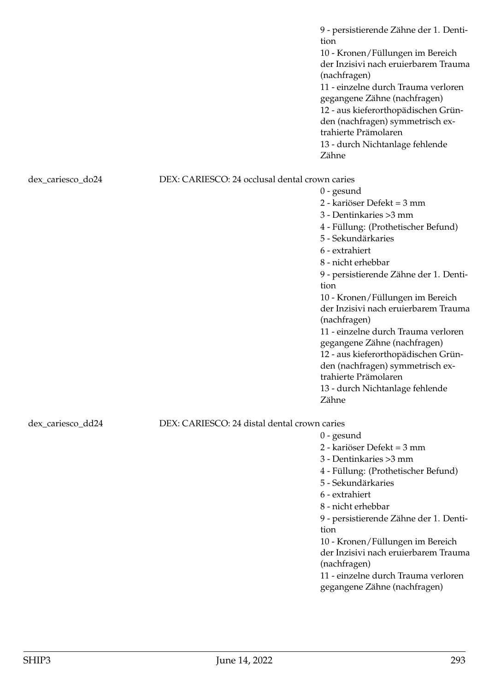|                   |                                                | 9 - persistierende Zähne der 1. Denti-<br>tion<br>10 - Kronen/Füllungen im Bereich<br>der Inzisivi nach eruierbarem Trauma<br>(nachfragen)<br>11 - einzelne durch Trauma verloren<br>gegangene Zähne (nachfragen)<br>12 - aus kieferorthopädischen Grün-<br>den (nachfragen) symmetrisch ex-<br>trahierte Prämolaren<br>13 - durch Nichtanlage fehlende<br>Zähne                                |
|-------------------|------------------------------------------------|-------------------------------------------------------------------------------------------------------------------------------------------------------------------------------------------------------------------------------------------------------------------------------------------------------------------------------------------------------------------------------------------------|
| dex_cariesco_do24 | DEX: CARIESCO: 24 occlusal dental crown caries | $0$ - gesund<br>2 - kariöser Defekt = 3 mm<br>3 - Dentinkaries > 3 mm                                                                                                                                                                                                                                                                                                                           |
|                   |                                                | 4 - Füllung: (Prothetischer Befund)<br>5 - Sekundärkaries<br>6 - extrahiert<br>8 - nicht erhebbar<br>9 - persistierende Zähne der 1. Denti-<br>tion                                                                                                                                                                                                                                             |
|                   |                                                | 10 - Kronen/Füllungen im Bereich<br>der Inzisivi nach eruierbarem Trauma<br>(nachfragen)<br>11 - einzelne durch Trauma verloren                                                                                                                                                                                                                                                                 |
|                   |                                                | gegangene Zähne (nachfragen)<br>12 - aus kieferorthopädischen Grün-<br>den (nachfragen) symmetrisch ex-<br>trahierte Prämolaren<br>13 - durch Nichtanlage fehlende<br>Zähne                                                                                                                                                                                                                     |
| dex_cariesco_dd24 | DEX: CARIESCO: 24 distal dental crown caries   |                                                                                                                                                                                                                                                                                                                                                                                                 |
|                   |                                                | $0$ - gesund<br>2 - kariöser Defekt = 3 mm<br>3 - Dentinkaries > 3 mm<br>4 - Füllung: (Prothetischer Befund)<br>5 - Sekundärkaries<br>6 - extrahiert<br>8 - nicht erhebbar<br>9 - persistierende Zähne der 1. Denti-<br>tion<br>10 - Kronen/Füllungen im Bereich<br>der Inzisivi nach eruierbarem Trauma<br>(nachfragen)<br>11 - einzelne durch Trauma verloren<br>gegangene Zähne (nachfragen) |
|                   |                                                |                                                                                                                                                                                                                                                                                                                                                                                                 |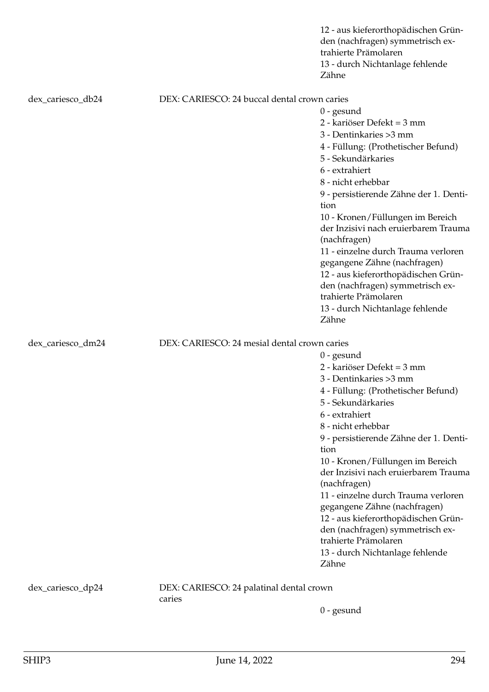|                   |                                                    | 12 - aus kieferorthopädischen Grün-<br>den (nachfragen) symmetrisch ex-<br>trahierte Prämolaren<br>13 - durch Nichtanlage fehlende<br>Zähne                                                                                                                                                                                                                                                                                                                                                                                                    |
|-------------------|----------------------------------------------------|------------------------------------------------------------------------------------------------------------------------------------------------------------------------------------------------------------------------------------------------------------------------------------------------------------------------------------------------------------------------------------------------------------------------------------------------------------------------------------------------------------------------------------------------|
| dex_cariesco_db24 | DEX: CARIESCO: 24 buccal dental crown caries       |                                                                                                                                                                                                                                                                                                                                                                                                                                                                                                                                                |
|                   |                                                    | $0$ - gesund<br>2 - kariöser Defekt = 3 mm<br>3 - Dentinkaries > 3 mm<br>4 - Füllung: (Prothetischer Befund)<br>5 - Sekundärkaries<br>6 - extrahiert<br>8 - nicht erhebbar<br>9 - persistierende Zähne der 1. Denti-<br>tion<br>10 - Kronen/Füllungen im Bereich<br>der Inzisivi nach eruierbarem Trauma<br>(nachfragen)<br>11 - einzelne durch Trauma verloren<br>gegangene Zähne (nachfragen)<br>12 - aus kieferorthopädischen Grün-<br>den (nachfragen) symmetrisch ex-<br>trahierte Prämolaren<br>13 - durch Nichtanlage fehlende<br>Zähne |
| dex_cariesco_dm24 | DEX: CARIESCO: 24 mesial dental crown caries       |                                                                                                                                                                                                                                                                                                                                                                                                                                                                                                                                                |
|                   |                                                    | $0$ - gesund<br>2 - kariöser Defekt = 3 mm<br>3 - Dentinkaries > 3 mm<br>4 - Füllung: (Prothetischer Befund)<br>5 - Sekundärkaries<br>6 - extrahiert<br>8 - nicht erhebbar<br>9 - persistierende Zähne der 1. Denti-<br>tion<br>10 - Kronen/Füllungen im Bereich<br>der Inzisivi nach eruierbarem Trauma<br>(nachfragen)<br>11 - einzelne durch Trauma verloren<br>gegangene Zähne (nachfragen)<br>12 - aus kieferorthopädischen Grün-<br>den (nachfragen) symmetrisch ex-<br>trahierte Prämolaren<br>13 - durch Nichtanlage fehlende<br>Zähne |
| dex_cariesco_dp24 | DEX: CARIESCO: 24 palatinal dental crown<br>caries | $0$ - gesund                                                                                                                                                                                                                                                                                                                                                                                                                                                                                                                                   |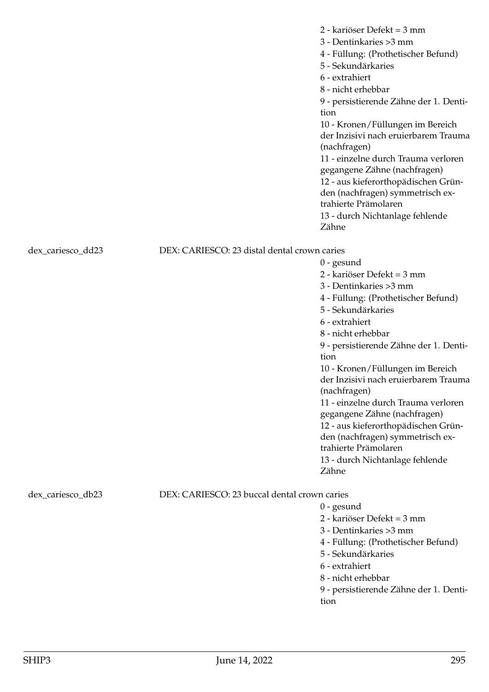2 - kariöser Defekt = 3 mm 3 - Dentinkaries >3 mm 4 - Füllung: (Prothetischer Befund) 5 - Sekundärkaries 6 - extrahiert 8 - nicht erhebbar 9 - persistierende Zähne der 1. Dentition 10 - Kronen/Füllungen im Bereich der Inzisivi nach eruierbarem Trauma (nachfragen) 11 - einzelne durch Trauma verloren gegangene Zähne (nachfragen) 12 - aus kieferorthopädischen Gründen (nachfragen) symmetrisch extrahierte Prämolaren 13 - durch Nichtanlage fehlende Zähne

dex\_cariesco\_dd23 DEX: CARIESCO: 23 distal dental crown caries

0 - gesund 2 - kariöser Defekt = 3 mm 3 - Dentinkaries >3 mm 4 - Füllung: (Prothetischer Befund) 5 - Sekundärkaries 6 - extrahiert 8 - nicht erhebbar 9 - persistierende Zähne der 1. Dentition 10 - Kronen/Füllungen im Bereich der Inzisivi nach eruierbarem Trauma (nachfragen) 11 - einzelne durch Trauma verloren gegangene Zähne (nachfragen) 12 - aus kieferorthopädischen Gründen (nachfragen) symmetrisch extrahierte Prämolaren 13 - durch Nichtanlage fehlende Zähne

dex\_cariesco\_db23 DEX: CARIESCO: 23 buccal dental crown caries

- 0 gesund 2 - kariöser Defekt = 3 mm 3 - Dentinkaries >3 mm 4 - Füllung: (Prothetischer Befund) 5 - Sekundärkaries 6 - extrahiert 8 - nicht erhebbar
- 9 persistierende Zähne der 1. Dentition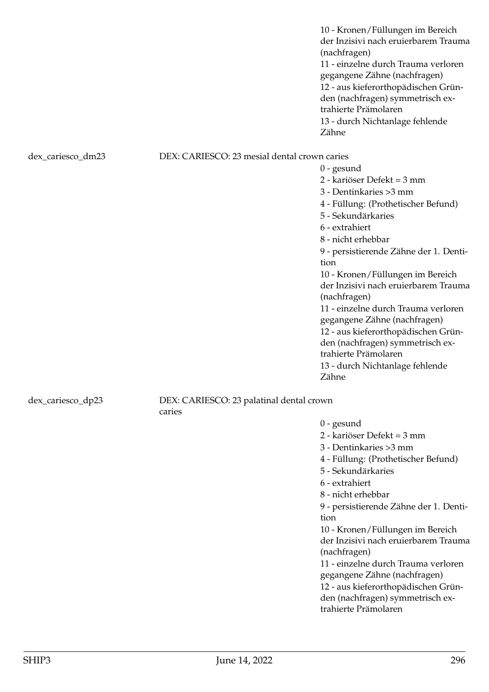10 - Kronen/Füllungen im Bereich der Inzisivi nach eruierbarem Trauma (nachfragen) 11 - einzelne durch Trauma verloren gegangene Zähne (nachfragen) 12 - aus kieferorthopädischen Gründen (nachfragen) symmetrisch extrahierte Prämolaren 13 - durch Nichtanlage fehlende Zähne

### dex\_cariesco\_dm23 DEX: CARIESCO: 23 mesial dental crown caries

0 - gesund 2 - kariöser Defekt = 3 mm 3 - Dentinkaries >3 mm 4 - Füllung: (Prothetischer Befund) 5 - Sekundärkaries 6 - extrahiert 8 - nicht erhebbar 9 - persistierende Zähne der 1. Dentition 10 - Kronen/Füllungen im Bereich der Inzisivi nach eruierbarem Trauma (nachfragen) 11 - einzelne durch Trauma verloren gegangene Zähne (nachfragen) 12 - aus kieferorthopädischen Gründen (nachfragen) symmetrisch extrahierte Prämolaren 13 - durch Nichtanlage fehlende Zähne

# dex\_cariesco\_dp23 DEX: CARIESCO: 23 palatinal dental crown

caries

0 - gesund

2 - kariöser Defekt = 3 mm

3 - Dentinkaries >3 mm

4 - Füllung: (Prothetischer Befund)

5 - Sekundärkaries

6 - extrahiert

8 - nicht erhebbar

9 - persistierende Zähne der 1. Dentition

10 - Kronen/Füllungen im Bereich der Inzisivi nach eruierbarem Trauma (nachfragen)

11 - einzelne durch Trauma verloren gegangene Zähne (nachfragen) 12 - aus kieferorthopädischen Grün-

den (nachfragen) symmetrisch extrahierte Prämolaren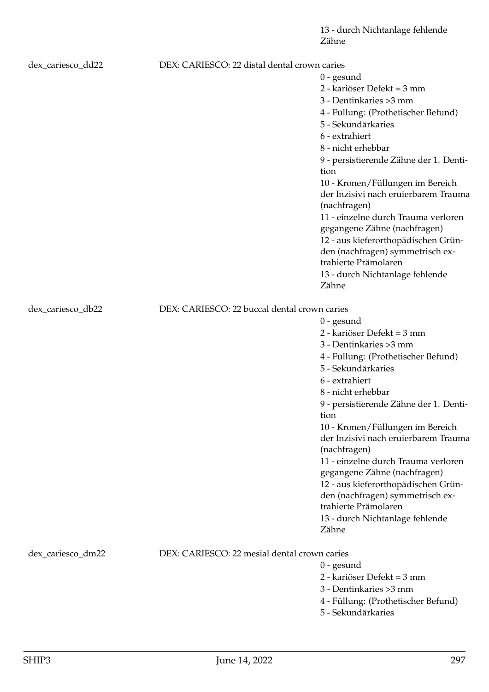| dex_cariesco_dd22 | DEX: CARIESCO: 22 distal dental crown caries |                                                           |
|-------------------|----------------------------------------------|-----------------------------------------------------------|
|                   |                                              | $0$ - gesund                                              |
|                   |                                              | 2 - kariöser Defekt = 3 mm                                |
|                   |                                              | 3 - Dentinkaries > 3 mm                                   |
|                   |                                              | 4 - Füllung: (Prothetischer Befund)                       |
|                   |                                              | 5 - Sekundärkaries                                        |
|                   |                                              | 6 - extrahiert                                            |
|                   |                                              | 8 - nicht erhebbar                                        |
|                   |                                              | 9 - persistierende Zähne der 1. Denti-                    |
|                   |                                              | tion                                                      |
|                   |                                              | 10 - Kronen/Füllungen im Bereich                          |
|                   |                                              | der Inzisivi nach eruierbarem Trauma                      |
|                   |                                              | (nachfragen)                                              |
|                   |                                              | 11 - einzelne durch Trauma verloren                       |
|                   |                                              | gegangene Zähne (nachfragen)                              |
|                   |                                              | 12 - aus kieferorthopädischen Grün-                       |
|                   |                                              | den (nachfragen) symmetrisch ex-                          |
|                   |                                              | trahierte Prämolaren                                      |
|                   |                                              | 13 - durch Nichtanlage fehlende                           |
|                   |                                              | Zähne                                                     |
| dex_cariesco_db22 | DEX: CARIESCO: 22 buccal dental crown caries |                                                           |
|                   |                                              | $0$ - gesund                                              |
|                   |                                              | 2 - kariöser Defekt = 3 mm                                |
|                   |                                              | 3 - Dentinkaries > 3 mm                                   |
|                   |                                              | 4 - Füllung: (Prothetischer Befund)                       |
|                   |                                              | 5 - Sekundärkaries                                        |
|                   |                                              | 6 - extrahiert                                            |
|                   |                                              | 8 - nicht erhebbar                                        |
|                   |                                              | 9 - persistierende Zähne der 1. Denti-                    |
|                   |                                              | tion                                                      |
|                   |                                              | 10 - Kronen/Füllungen im Bereich                          |
|                   |                                              | der Inzisivi nach eruierbarem Trauma                      |
|                   |                                              | (nachfragen)                                              |
|                   |                                              | 11 - einzelne durch Trauma verloren                       |
|                   |                                              | gegangene Zähne (nachfragen)                              |
|                   |                                              | 12 - aus kieferorthopädischen Grün-                       |
|                   |                                              | den (nachfragen) symmetrisch ex-                          |
|                   |                                              | trahierte Prämolaren                                      |
|                   |                                              | 13 - durch Nichtanlage fehlende                           |
|                   |                                              | Zähne                                                     |
| dex_cariesco_dm22 | DEX: CARIESCO: 22 mesial dental crown caries |                                                           |
|                   |                                              | $0$ - gesund                                              |
|                   |                                              | 2 - kariöser Defekt = 3 mm                                |
|                   |                                              | 3 - Dentinkaries > 3 mm                                   |
|                   |                                              |                                                           |
|                   |                                              | 4 - Füllung: (Prothetischer Befund)<br>5 - Sekundärkaries |
|                   |                                              |                                                           |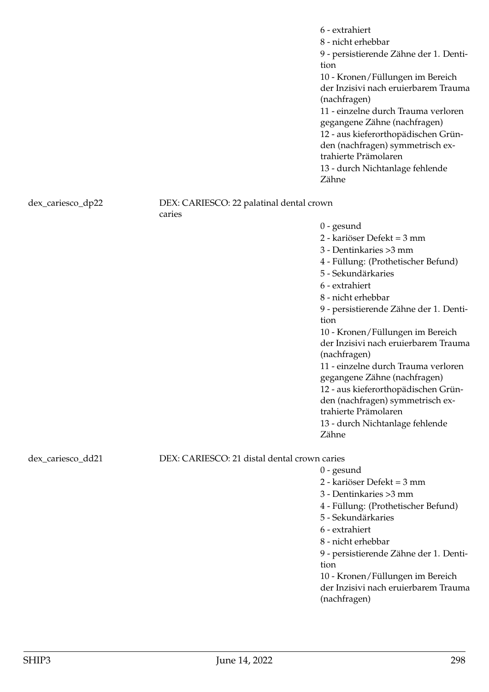|                   |                                                    | 6 - extrahiert<br>8 - nicht erhebbar<br>9 - persistierende Zähne der 1. Denti-<br>tion<br>10 - Kronen/Füllungen im Bereich<br>der Inzisivi nach eruierbarem Trauma<br>(nachfragen)<br>11 - einzelne durch Trauma verloren<br>gegangene Zähne (nachfragen)                                                                                                                                                                                                                                                                                      |
|-------------------|----------------------------------------------------|------------------------------------------------------------------------------------------------------------------------------------------------------------------------------------------------------------------------------------------------------------------------------------------------------------------------------------------------------------------------------------------------------------------------------------------------------------------------------------------------------------------------------------------------|
|                   |                                                    | 12 - aus kieferorthopädischen Grün-<br>den (nachfragen) symmetrisch ex-<br>trahierte Prämolaren<br>13 - durch Nichtanlage fehlende<br>Zähne                                                                                                                                                                                                                                                                                                                                                                                                    |
| dex_cariesco_dp22 | DEX: CARIESCO: 22 palatinal dental crown<br>caries |                                                                                                                                                                                                                                                                                                                                                                                                                                                                                                                                                |
|                   |                                                    | $0$ - gesund<br>2 - kariöser Defekt = 3 mm<br>3 - Dentinkaries > 3 mm<br>4 - Füllung: (Prothetischer Befund)<br>5 - Sekundärkaries<br>6 - extrahiert<br>8 - nicht erhebbar<br>9 - persistierende Zähne der 1. Denti-<br>tion<br>10 - Kronen/Füllungen im Bereich<br>der Inzisivi nach eruierbarem Trauma<br>(nachfragen)<br>11 - einzelne durch Trauma verloren<br>gegangene Zähne (nachfragen)<br>12 - aus kieferorthopädischen Grün-<br>den (nachfragen) symmetrisch ex-<br>trahierte Prämolaren<br>13 - durch Nichtanlage fehlende<br>Zähne |
| dex_cariesco_dd21 | DEX: CARIESCO: 21 distal dental crown caries       | $0$ - gesund                                                                                                                                                                                                                                                                                                                                                                                                                                                                                                                                   |
|                   |                                                    | 2 - kariöser Defekt = 3 mm<br>3 - Dentinkaries > 3 mm<br>4 - Füllung: (Prothetischer Befund)<br>5 - Sekundärkaries<br>6 - extrahiert<br>8 - nicht erhebbar<br>9 - persistierende Zähne der 1. Denti-<br>tion<br>10 - Kronen/Füllungen im Bereich<br>der Inzisivi nach eruierbarem Trauma<br>(nachfragen)                                                                                                                                                                                                                                       |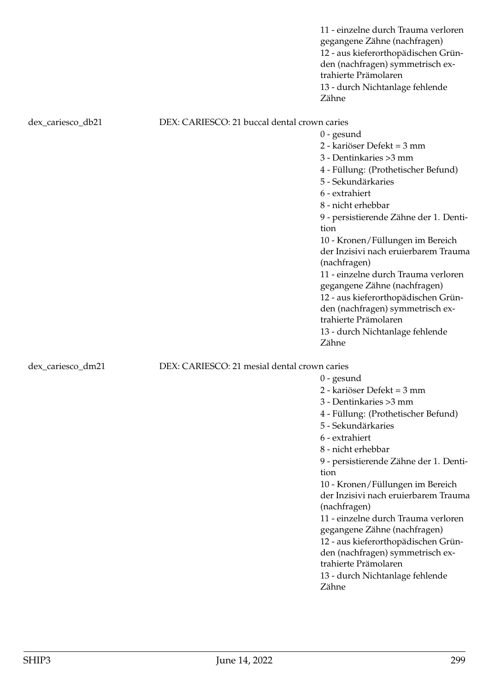|                   |                                              | 11 - einzelne durch Trauma verloren<br>gegangene Zähne (nachfragen)<br>12 - aus kieferorthopädischen Grün-<br>den (nachfragen) symmetrisch ex-<br>trahierte Prämolaren<br>13 - durch Nichtanlage fehlende<br>Zähne |
|-------------------|----------------------------------------------|--------------------------------------------------------------------------------------------------------------------------------------------------------------------------------------------------------------------|
| dex_cariesco_db21 | DEX: CARIESCO: 21 buccal dental crown caries |                                                                                                                                                                                                                    |
|                   |                                              | $0$ - gesund                                                                                                                                                                                                       |
|                   |                                              | 2 - kariöser Defekt = 3 mm                                                                                                                                                                                         |
|                   |                                              | 3 - Dentinkaries > 3 mm                                                                                                                                                                                            |
|                   |                                              | 4 - Füllung: (Prothetischer Befund)                                                                                                                                                                                |
|                   |                                              | 5 - Sekundärkaries                                                                                                                                                                                                 |
|                   |                                              | 6 - extrahiert                                                                                                                                                                                                     |
|                   |                                              | 8 - nicht erhebbar                                                                                                                                                                                                 |
|                   |                                              | 9 - persistierende Zähne der 1. Denti-                                                                                                                                                                             |
|                   |                                              | tion                                                                                                                                                                                                               |
|                   |                                              | 10 - Kronen/Füllungen im Bereich                                                                                                                                                                                   |
|                   |                                              | der Inzisivi nach eruierbarem Trauma                                                                                                                                                                               |
|                   |                                              | (nachfragen)                                                                                                                                                                                                       |
|                   |                                              | 11 - einzelne durch Trauma verloren                                                                                                                                                                                |
|                   |                                              | gegangene Zähne (nachfragen)                                                                                                                                                                                       |
|                   |                                              | 12 - aus kieferorthopädischen Grün-                                                                                                                                                                                |
|                   |                                              | den (nachfragen) symmetrisch ex-                                                                                                                                                                                   |
|                   |                                              | trahierte Prämolaren                                                                                                                                                                                               |
|                   |                                              | 13 - durch Nichtanlage fehlende                                                                                                                                                                                    |
|                   |                                              | Zähne                                                                                                                                                                                                              |
| dex_cariesco_dm21 | DEX: CARIESCO: 21 mesial dental crown caries |                                                                                                                                                                                                                    |
|                   |                                              | $0$ - gesund                                                                                                                                                                                                       |
|                   |                                              | 2 - kariöser Defekt = 3 mm                                                                                                                                                                                         |
|                   |                                              | 3 - Dentinkaries > 3 mm                                                                                                                                                                                            |
|                   |                                              | 4 - Füllung: (Prothetischer Befund)                                                                                                                                                                                |
|                   |                                              | 5 - Sekundärkaries                                                                                                                                                                                                 |
|                   |                                              | 6 - extrahiert                                                                                                                                                                                                     |
|                   |                                              | 8 - nicht erhebbar                                                                                                                                                                                                 |
|                   |                                              | 9 - persistierende Zähne der 1. Denti-                                                                                                                                                                             |
|                   |                                              | tion                                                                                                                                                                                                               |
|                   |                                              | 10 - Kronen/Füllungen im Bereich                                                                                                                                                                                   |
|                   |                                              | der Inzisivi nach eruierbarem Trauma                                                                                                                                                                               |
|                   |                                              | (nachfragen)                                                                                                                                                                                                       |
|                   |                                              | 11 - einzelne durch Trauma verloren                                                                                                                                                                                |
|                   |                                              | gegangene Zähne (nachfragen)                                                                                                                                                                                       |

12 - aus kieferorthopädischen Gründen (nachfragen) symmetrisch ex-

13 - durch Nichtanlage fehlende

trahierte Prämolaren

Zähne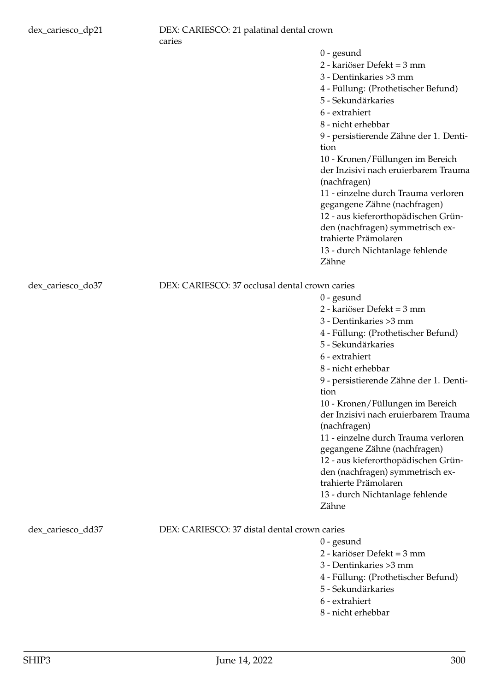|                                                | 0 - gesund                                               |
|------------------------------------------------|----------------------------------------------------------|
|                                                | 2 - kariöser Defekt = 3 mm                               |
|                                                | 3 - Dentinkaries > 3 mm                                  |
|                                                | 4 - Füllung: (Prothetischer Befund)                      |
|                                                | 5 - Sekundärkaries                                       |
|                                                | 6 - extrahiert                                           |
|                                                | 8 - nicht erhebbar                                       |
|                                                | 9 - persistierende Zähne der 1. Denti-                   |
|                                                | tion                                                     |
|                                                | 10 - Kronen/Füllungen im Bereich                         |
|                                                | der Inzisivi nach eruierbarem Trauma                     |
|                                                | (nachfragen)                                             |
|                                                | 11 - einzelne durch Trauma verloren                      |
|                                                | gegangene Zähne (nachfragen)                             |
|                                                | 12 - aus kieferorthopädischen Grün-                      |
|                                                | den (nachfragen) symmetrisch ex-                         |
|                                                | trahierte Prämolaren                                     |
|                                                | 13 - durch Nichtanlage fehlende                          |
|                                                | Zähne                                                    |
|                                                |                                                          |
| DEX: CARIESCO: 37 occlusal dental crown caries |                                                          |
|                                                | $0$ - gesund                                             |
|                                                | 2 - kariöser Defekt = 3 mm                               |
|                                                | 3 - Dentinkaries > 3 mm                                  |
|                                                | 4 - Füllung: (Prothetischer Befund)                      |
|                                                | 5 - Sekundärkaries                                       |
|                                                | 6 - extrahiert                                           |
|                                                | 8 - nicht erhebbar                                       |
|                                                | 9 - persistierende Zähne der 1. Denti-                   |
|                                                | tion                                                     |
|                                                | 10 - Kronen/Füllungen im Bereich                         |
|                                                | der Inzisivi nach eruierbarem Trauma                     |
|                                                | (nachfragen)                                             |
|                                                | 11 - einzelne durch Trauma verloren                      |
|                                                | gegangene Zähne (nachfragen)                             |
|                                                | 12 - aus kieferorthopädischen Grün-                      |
|                                                | den (nachfragen) symmetrisch ex-<br>trahierte Prämolaren |
|                                                | 13 - durch Nichtanlage fehlende                          |
|                                                |                                                          |
|                                                |                                                          |
|                                                | Zähne                                                    |

dex\_cariesco\_do37

# dex\_cariesco\_dd37 DEX: CARIESCO: 37 distal dental crown caries

- 0 gesund
- 2 kariöser Defekt = 3 mm
- 3 Dentinkaries >3 mm
- 4 Füllung: (Prothetischer Befund)
- 5 Sekundärkaries
- 6 extrahiert
- 8 nicht erhebbar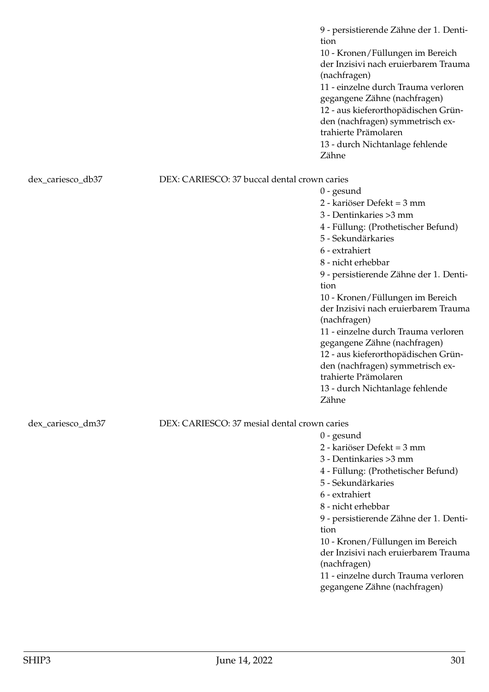9 - persistierende Zähne der 1. Dentition 10 - Kronen/Füllungen im Bereich der Inzisivi nach eruierbarem Trauma (nachfragen) 11 - einzelne durch Trauma verloren gegangene Zähne (nachfragen) 12 - aus kieferorthopädischen Gründen (nachfragen) symmetrisch extrahierte Prämolaren 13 - durch Nichtanlage fehlende Zähne

dex\_cariesco\_db37 DEX: CARIESCO: 37 buccal dental crown caries

2 - kariöser Defekt = 3 mm 3 - Dentinkaries >3 mm 4 - Füllung: (Prothetischer Befund) 5 - Sekundärkaries 6 - extrahiert 8 - nicht erhebbar 9 - persistierende Zähne der 1. Dentition 10 - Kronen/Füllungen im Bereich der Inzisivi nach eruierbarem Trauma (nachfragen) 11 - einzelne durch Trauma verloren gegangene Zähne (nachfragen) 12 - aus kieferorthopädischen Gründen (nachfragen) symmetrisch extrahierte Prämolaren 13 - durch Nichtanlage fehlende

dex\_cariesco\_dm37 DEX: CARIESCO: 37 mesial dental crown caries

0 - gesund

Zähne

0 - gesund

- 2 kariöser Defekt = 3 mm
- 3 Dentinkaries >3 mm

4 - Füllung: (Prothetischer Befund)

- 5 Sekundärkaries
- 6 extrahiert
- 8 nicht erhebbar

9 - persistierende Zähne der 1. Dentition

10 - Kronen/Füllungen im Bereich der Inzisivi nach eruierbarem Trauma (nachfragen)

11 - einzelne durch Trauma verloren gegangene Zähne (nachfragen)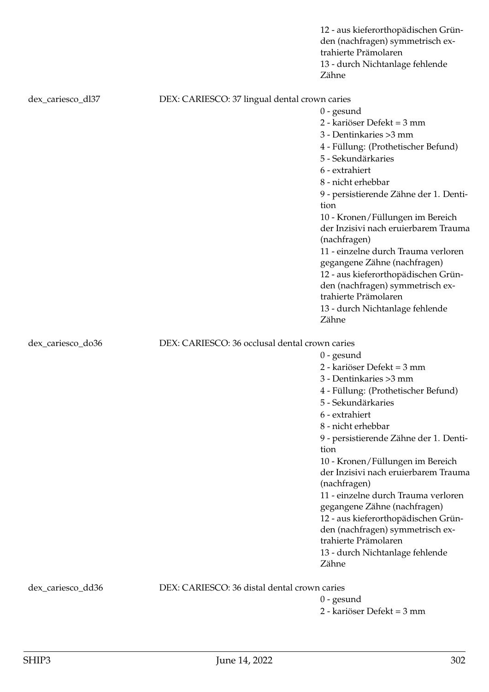| Zähne                                                                             | 12 - aus kieferorthopädischen Grün-<br>den (nachfragen) symmetrisch ex-<br>trahierte Prämolaren<br>13 - durch Nichtanlage fehlende |  |
|-----------------------------------------------------------------------------------|------------------------------------------------------------------------------------------------------------------------------------|--|
| dex_cariesco_dl37<br>DEX: CARIESCO: 37 lingual dental crown caries                |                                                                                                                                    |  |
| $0$ - gesund                                                                      |                                                                                                                                    |  |
|                                                                                   | 2 - kariöser Defekt = 3 mm                                                                                                         |  |
|                                                                                   | 3 - Dentinkaries > 3 mm                                                                                                            |  |
|                                                                                   | 4 - Füllung: (Prothetischer Befund)                                                                                                |  |
|                                                                                   | 5 - Sekundärkaries                                                                                                                 |  |
|                                                                                   | 6 - extrahiert                                                                                                                     |  |
|                                                                                   | 8 - nicht erhebbar                                                                                                                 |  |
| tion                                                                              | 9 - persistierende Zähne der 1. Denti-                                                                                             |  |
|                                                                                   | 10 - Kronen/Füllungen im Bereich                                                                                                   |  |
|                                                                                   | der Inzisivi nach eruierbarem Trauma<br>(nachfragen)                                                                               |  |
|                                                                                   | 11 - einzelne durch Trauma verloren                                                                                                |  |
|                                                                                   | gegangene Zähne (nachfragen)                                                                                                       |  |
|                                                                                   | 12 - aus kieferorthopädischen Grün-                                                                                                |  |
|                                                                                   | den (nachfragen) symmetrisch ex-                                                                                                   |  |
|                                                                                   | trahierte Prämolaren                                                                                                               |  |
| Zähne                                                                             | 13 - durch Nichtanlage fehlende                                                                                                    |  |
|                                                                                   |                                                                                                                                    |  |
| DEX: CARIESCO: 36 occlusal dental crown caries<br>dex_cariesco_do36               |                                                                                                                                    |  |
| $0$ - gesund                                                                      |                                                                                                                                    |  |
|                                                                                   | 2 - kariöser Defekt = 3 mm                                                                                                         |  |
|                                                                                   | 3 - Dentinkaries > 3 mm                                                                                                            |  |
|                                                                                   | 4 - Füllung: (Prothetischer Befund)                                                                                                |  |
|                                                                                   | 5 - Sekundärkaries                                                                                                                 |  |
|                                                                                   | 6 - extrahiert                                                                                                                     |  |
|                                                                                   | 8 - nicht erhebbar                                                                                                                 |  |
|                                                                                   | 9 - persistierende Zähne der 1. Denti-                                                                                             |  |
| tion                                                                              |                                                                                                                                    |  |
|                                                                                   | 10 - Kronen/Füllungen im Bereich                                                                                                   |  |
|                                                                                   | der Inzisivi nach eruierbarem Trauma                                                                                               |  |
|                                                                                   | (nachfragen)<br>11 - einzelne durch Trauma verloren                                                                                |  |
|                                                                                   |                                                                                                                                    |  |
|                                                                                   | gegangene Zähne (nachfragen)<br>12 - aus kieferorthopädischen Grün-                                                                |  |
|                                                                                   | den (nachfragen) symmetrisch ex-                                                                                                   |  |
|                                                                                   | trahierte Prämolaren                                                                                                               |  |
|                                                                                   | 13 - durch Nichtanlage fehlende                                                                                                    |  |
| Zähne                                                                             |                                                                                                                                    |  |
|                                                                                   |                                                                                                                                    |  |
| DEX: CARIESCO: 36 distal dental crown caries<br>dex_cariesco_dd36<br>$0$ - gesund |                                                                                                                                    |  |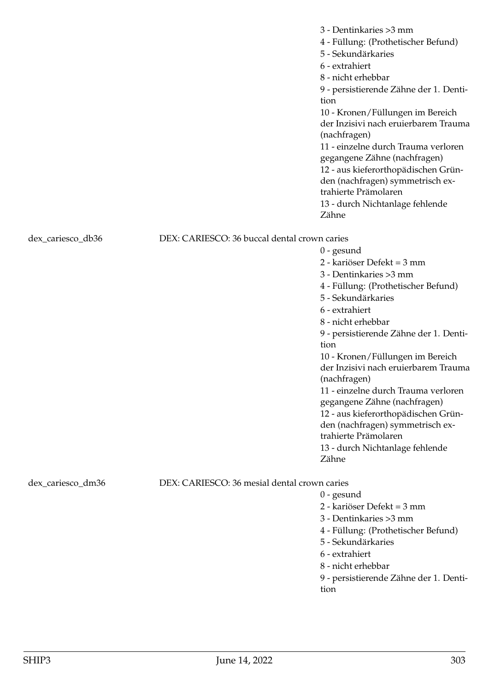|                   |                                              | 3 - Dentinkaries > 3 mm<br>4 - Füllung: (Prothetischer Befund)<br>5 - Sekundärkaries<br>6 - extrahiert<br>8 - nicht erhebbar<br>9 - persistierende Zähne der 1. Denti-<br>tion<br>10 - Kronen/Füllungen im Bereich<br>der Inzisivi nach eruierbarem Trauma<br>(nachfragen)<br>11 - einzelne durch Trauma verloren<br>gegangene Zähne (nachfragen)<br>12 - aus kieferorthopädischen Grün-<br>den (nachfragen) symmetrisch ex-<br>trahierte Prämolaren<br>13 - durch Nichtanlage fehlende<br>Zähne                                               |
|-------------------|----------------------------------------------|------------------------------------------------------------------------------------------------------------------------------------------------------------------------------------------------------------------------------------------------------------------------------------------------------------------------------------------------------------------------------------------------------------------------------------------------------------------------------------------------------------------------------------------------|
| dex_cariesco_db36 | DEX: CARIESCO: 36 buccal dental crown caries | $0$ - gesund<br>2 - kariöser Defekt = 3 mm<br>3 - Dentinkaries > 3 mm<br>4 - Füllung: (Prothetischer Befund)<br>5 - Sekundärkaries<br>6 - extrahiert<br>8 - nicht erhebbar<br>9 - persistierende Zähne der 1. Denti-<br>tion<br>10 - Kronen/Füllungen im Bereich<br>der Inzisivi nach eruierbarem Trauma<br>(nachfragen)<br>11 - einzelne durch Trauma verloren<br>gegangene Zähne (nachfragen)<br>12 - aus kieferorthopädischen Grün-<br>den (nachfragen) symmetrisch ex-<br>trahierte Prämolaren<br>13 - durch Nichtanlage fehlende<br>Zähne |
| dex_cariesco_dm36 | DEX: CARIESCO: 36 mesial dental crown caries | $0$ - gesund<br>2 - kariöser Defekt = 3 mm<br>3 - Dentinkaries > 3 mm<br>4 - Füllung: (Prothetischer Befund)<br>5 - Sekundärkaries<br>6 - extrahiert                                                                                                                                                                                                                                                                                                                                                                                           |

8 - nicht erhebbar

9 - persistierende Zähne der 1. Dentition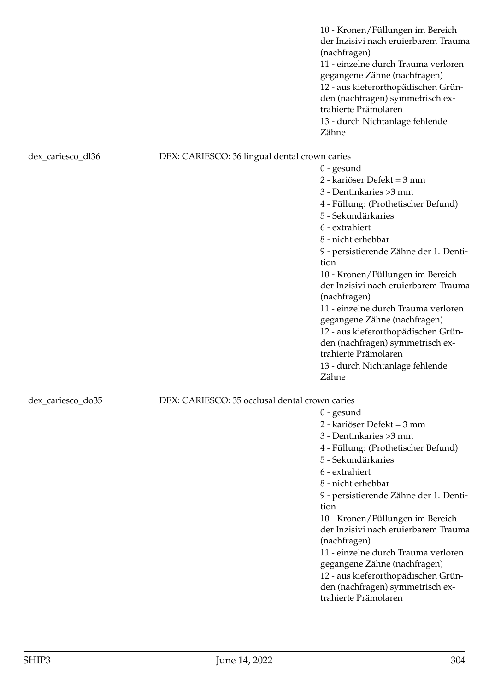10 - Kronen/Füllungen im Bereich der Inzisivi nach eruierbarem Trauma (nachfragen) 11 - einzelne durch Trauma verloren gegangene Zähne (nachfragen) 12 - aus kieferorthopädischen Gründen (nachfragen) symmetrisch extrahierte Prämolaren 13 - durch Nichtanlage fehlende Zähne

0 - gesund

0 - gesund

tion

(nachfragen)

trahierte Prämolaren

2 - kariöser Defekt = 3 mm 3 - Dentinkaries >3 mm

5 - Sekundärkaries 6 - extrahiert 8 - nicht erhebbar

4 - Füllung: (Prothetischer Befund)

9 - persistierende Zähne der 1. Denti-

10 - Kronen/Füllungen im Bereich der Inzisivi nach eruierbarem Trauma

11 - einzelne durch Trauma verloren gegangene Zähne (nachfragen) 12 - aus kieferorthopädischen Gründen (nachfragen) symmetrisch ex-

### dex\_cariesco\_dl36 DEX: CARIESCO: 36 lingual dental crown caries

2 - kariöser Defekt = 3 mm 3 - Dentinkaries >3 mm 4 - Füllung: (Prothetischer Befund) 5 - Sekundärkaries 6 - extrahiert 8 - nicht erhebbar 9 - persistierende Zähne der 1. Dentition 10 - Kronen/Füllungen im Bereich der Inzisivi nach eruierbarem Trauma (nachfragen) 11 - einzelne durch Trauma verloren gegangene Zähne (nachfragen) 12 - aus kieferorthopädischen Gründen (nachfragen) symmetrisch extrahierte Prämolaren 13 - durch Nichtanlage fehlende Zähne

# dex cariesco do35 DEX: CARIESCO: 35 occlusal dental crown caries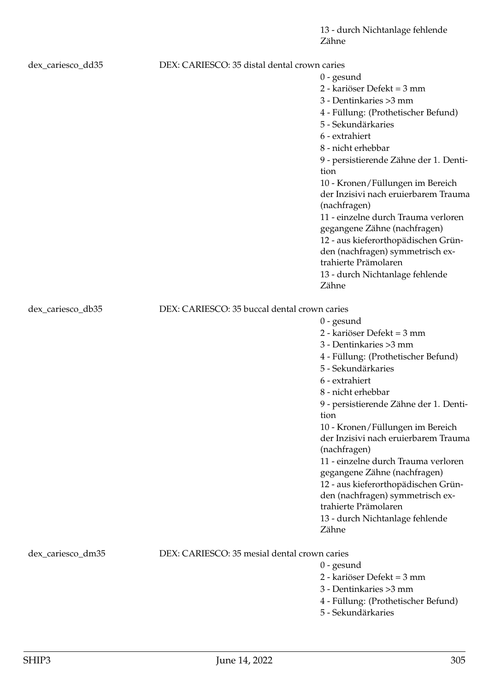| dex_cariesco_dd35 | DEX: CARIESCO: 35 distal dental crown caries |                                                                          |
|-------------------|----------------------------------------------|--------------------------------------------------------------------------|
|                   |                                              | $0$ - gesund                                                             |
|                   |                                              | 2 - kariöser Defekt = 3 mm                                               |
|                   |                                              | 3 - Dentinkaries > 3 mm                                                  |
|                   |                                              | 4 - Füllung: (Prothetischer Befund)                                      |
|                   |                                              | 5 - Sekundärkaries                                                       |
|                   |                                              | 6 - extrahiert                                                           |
|                   |                                              | 8 - nicht erhebbar                                                       |
|                   |                                              | 9 - persistierende Zähne der 1. Denti-                                   |
|                   |                                              | tion                                                                     |
|                   |                                              | 10 - Kronen/Füllungen im Bereich                                         |
|                   |                                              | der Inzisivi nach eruierbarem Trauma                                     |
|                   |                                              | (nachfragen)                                                             |
|                   |                                              | 11 - einzelne durch Trauma verloren                                      |
|                   |                                              | gegangene Zähne (nachfragen)                                             |
|                   |                                              | 12 - aus kieferorthopädischen Grün-                                      |
|                   |                                              | den (nachfragen) symmetrisch ex-                                         |
|                   |                                              | trahierte Prämolaren                                                     |
|                   |                                              | 13 - durch Nichtanlage fehlende                                          |
|                   |                                              | Zähne                                                                    |
|                   | DEX: CARIESCO: 35 buccal dental crown caries |                                                                          |
| dex_cariesco_db35 |                                              |                                                                          |
|                   |                                              | $0$ - gesund<br>2 - kariöser Defekt = 3 mm                               |
|                   |                                              |                                                                          |
|                   |                                              | 3 - Dentinkaries > 3 mm                                                  |
|                   |                                              | 4 - Füllung: (Prothetischer Befund)                                      |
|                   |                                              | 5 - Sekundärkaries                                                       |
|                   |                                              | 6 - extrahiert                                                           |
|                   |                                              | 8 - nicht erhebbar                                                       |
|                   |                                              | 9 - persistierende Zähne der 1. Denti-                                   |
|                   |                                              | tion                                                                     |
|                   |                                              | 10 - Kronen/Füllungen im Bereich<br>der Inzisivi nach eruierbarem Trauma |
|                   |                                              |                                                                          |
|                   |                                              | (nachfragen)<br>11 - einzelne durch Trauma verloren                      |
|                   |                                              | gegangene Zähne (nachfragen)                                             |
|                   |                                              | 12 - aus kieferorthopädischen Grün-                                      |
|                   |                                              | den (nachfragen) symmetrisch ex-                                         |
|                   |                                              | trahierte Prämolaren                                                     |
|                   |                                              | 13 - durch Nichtanlage fehlende                                          |
|                   |                                              | Zähne                                                                    |
|                   |                                              |                                                                          |
| dex_cariesco_dm35 | DEX: CARIESCO: 35 mesial dental crown caries |                                                                          |
|                   |                                              | $0$ - gesund                                                             |
|                   |                                              | 2 - kariöser Defekt = 3 mm                                               |
|                   |                                              | 3 - Dentinkaries > 3 mm                                                  |
|                   |                                              | 4 - Füllung: (Prothetischer Befund)                                      |
|                   |                                              | 5 - Sekundärkaries                                                       |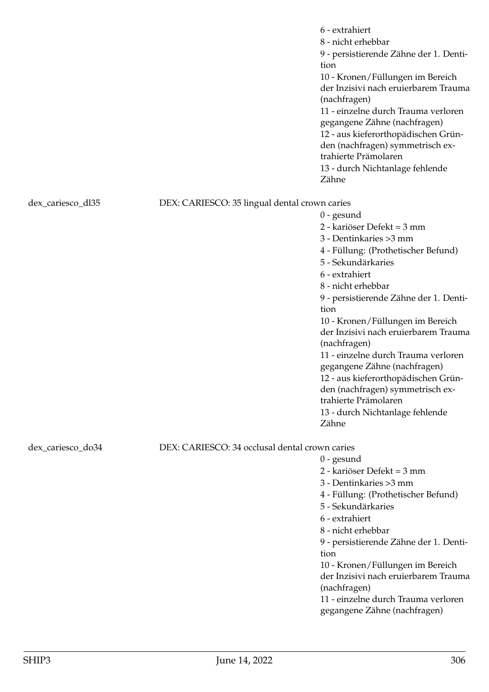|                   |                                                | 6 - extrahiert<br>8 - nicht erhebbar<br>9 - persistierende Zähne der 1. Denti-<br>tion<br>10 - Kronen/Füllungen im Bereich<br>der Inzisivi nach eruierbarem Trauma<br>(nachfragen)<br>11 - einzelne durch Trauma verloren<br>gegangene Zähne (nachfragen)<br>12 - aus kieferorthopädischen Grün-<br>den (nachfragen) symmetrisch ex-<br>trahierte Prämolaren<br>13 - durch Nichtanlage fehlende<br>Zähne |
|-------------------|------------------------------------------------|----------------------------------------------------------------------------------------------------------------------------------------------------------------------------------------------------------------------------------------------------------------------------------------------------------------------------------------------------------------------------------------------------------|
| dex_cariesco_dl35 | DEX: CARIESCO: 35 lingual dental crown caries  |                                                                                                                                                                                                                                                                                                                                                                                                          |
|                   |                                                | $0$ - gesund                                                                                                                                                                                                                                                                                                                                                                                             |
|                   |                                                | 2 - kariöser Defekt = 3 mm                                                                                                                                                                                                                                                                                                                                                                               |
|                   |                                                | 3 - Dentinkaries > 3 mm                                                                                                                                                                                                                                                                                                                                                                                  |
|                   |                                                | 4 - Füllung: (Prothetischer Befund)                                                                                                                                                                                                                                                                                                                                                                      |
|                   |                                                | 5 - Sekundärkaries                                                                                                                                                                                                                                                                                                                                                                                       |
|                   |                                                | 6 - extrahiert                                                                                                                                                                                                                                                                                                                                                                                           |
|                   |                                                | 8 - nicht erhebbar                                                                                                                                                                                                                                                                                                                                                                                       |
|                   |                                                | 9 - persistierende Zähne der 1. Denti-                                                                                                                                                                                                                                                                                                                                                                   |
|                   |                                                | tion                                                                                                                                                                                                                                                                                                                                                                                                     |
|                   |                                                | 10 - Kronen/Füllungen im Bereich                                                                                                                                                                                                                                                                                                                                                                         |
|                   |                                                | der Inzisivi nach eruierbarem Trauma                                                                                                                                                                                                                                                                                                                                                                     |
|                   |                                                | (nachfragen)<br>11 - einzelne durch Trauma verloren                                                                                                                                                                                                                                                                                                                                                      |
|                   |                                                | gegangene Zähne (nachfragen)                                                                                                                                                                                                                                                                                                                                                                             |
|                   |                                                | 12 - aus kieferorthopädischen Grün-                                                                                                                                                                                                                                                                                                                                                                      |
|                   |                                                | den (nachfragen) symmetrisch ex-                                                                                                                                                                                                                                                                                                                                                                         |
|                   |                                                | trahierte Prämolaren                                                                                                                                                                                                                                                                                                                                                                                     |
|                   |                                                | 13 - durch Nichtanlage fehlende                                                                                                                                                                                                                                                                                                                                                                          |
|                   |                                                | Zähne                                                                                                                                                                                                                                                                                                                                                                                                    |
|                   |                                                |                                                                                                                                                                                                                                                                                                                                                                                                          |
| dex_cariesco_do34 | DEX: CARIESCO: 34 occlusal dental crown caries |                                                                                                                                                                                                                                                                                                                                                                                                          |
|                   |                                                | $0$ - gesund<br>2 - kariöser Defekt = 3 mm                                                                                                                                                                                                                                                                                                                                                               |
|                   |                                                | 3 - Dentinkaries > 3 mm                                                                                                                                                                                                                                                                                                                                                                                  |
|                   |                                                | 4 - Füllung: (Prothetischer Befund)                                                                                                                                                                                                                                                                                                                                                                      |
|                   |                                                | 5 - Sekundärkaries                                                                                                                                                                                                                                                                                                                                                                                       |
|                   |                                                | 6 - extrahiert                                                                                                                                                                                                                                                                                                                                                                                           |
|                   |                                                | 8 - nicht erhebbar                                                                                                                                                                                                                                                                                                                                                                                       |
|                   |                                                | 9 - persistierende Zähne der 1. Denti-                                                                                                                                                                                                                                                                                                                                                                   |
|                   |                                                | tion                                                                                                                                                                                                                                                                                                                                                                                                     |
|                   |                                                | 10 - Kronen/Füllungen im Bereich                                                                                                                                                                                                                                                                                                                                                                         |
|                   |                                                | der Inzisivi nach eruierbarem Trauma                                                                                                                                                                                                                                                                                                                                                                     |
|                   |                                                | (nachfragen)                                                                                                                                                                                                                                                                                                                                                                                             |
|                   |                                                | 11 - einzelne durch Trauma verloren                                                                                                                                                                                                                                                                                                                                                                      |
|                   |                                                | gegangene Zähne (nachfragen)                                                                                                                                                                                                                                                                                                                                                                             |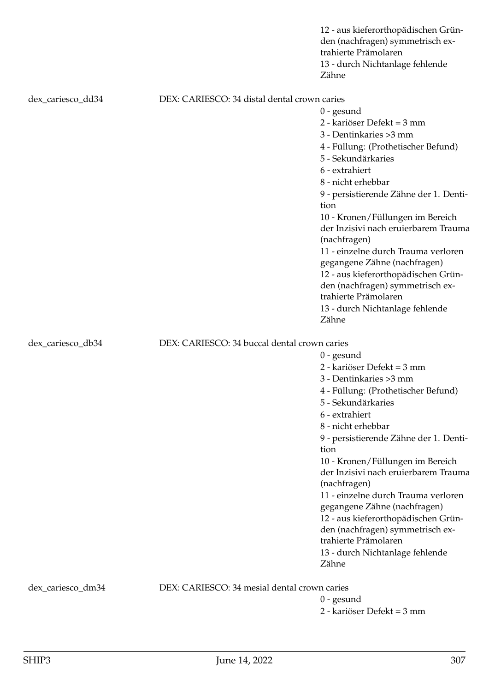|                   |                                              | 12 - aus kieferorthopädischen Grün-<br>den (nachfragen) symmetrisch ex-<br>trahierte Prämolaren<br>13 - durch Nichtanlage fehlende<br>Zähne |  |
|-------------------|----------------------------------------------|---------------------------------------------------------------------------------------------------------------------------------------------|--|
| dex_cariesco_dd34 | DEX: CARIESCO: 34 distal dental crown caries |                                                                                                                                             |  |
|                   |                                              | $0$ - gesund                                                                                                                                |  |
|                   |                                              | 2 - kariöser Defekt = 3 mm                                                                                                                  |  |
|                   |                                              | 3 - Dentinkaries > 3 mm                                                                                                                     |  |
|                   |                                              | 4 - Füllung: (Prothetischer Befund)                                                                                                         |  |
|                   |                                              | 5 - Sekundärkaries                                                                                                                          |  |
|                   |                                              | 6 - extrahiert                                                                                                                              |  |
|                   |                                              | 8 - nicht erhebbar                                                                                                                          |  |
|                   |                                              | 9 - persistierende Zähne der 1. Denti-<br>tion                                                                                              |  |
|                   |                                              | 10 - Kronen/Füllungen im Bereich                                                                                                            |  |
|                   |                                              | der Inzisivi nach eruierbarem Trauma<br>(nachfragen)                                                                                        |  |
|                   |                                              | 11 - einzelne durch Trauma verloren                                                                                                         |  |
|                   |                                              | gegangene Zähne (nachfragen)                                                                                                                |  |
|                   |                                              | 12 - aus kieferorthopädischen Grün-                                                                                                         |  |
|                   |                                              | den (nachfragen) symmetrisch ex-                                                                                                            |  |
|                   |                                              | trahierte Prämolaren                                                                                                                        |  |
|                   |                                              | 13 - durch Nichtanlage fehlende<br>Zähne                                                                                                    |  |
| dex_cariesco_db34 |                                              | DEX: CARIESCO: 34 buccal dental crown caries                                                                                                |  |
|                   |                                              | $0$ - gesund                                                                                                                                |  |
|                   |                                              | 2 - kariöser Defekt = 3 mm                                                                                                                  |  |
|                   |                                              | 3 - Dentinkaries > 3 mm                                                                                                                     |  |
|                   |                                              | 4 - Füllung: (Prothetischer Befund)                                                                                                         |  |
|                   |                                              | 5 - Sekundärkaries                                                                                                                          |  |
|                   |                                              | 6 - extrahiert                                                                                                                              |  |
|                   |                                              | 8 - nicht erhebbar                                                                                                                          |  |
|                   |                                              | 9 - persistierende Zähne der 1. Denti-                                                                                                      |  |
|                   |                                              | tion                                                                                                                                        |  |
|                   |                                              | 10 - Kronen/Füllungen im Bereich                                                                                                            |  |
|                   |                                              | der Inzisivi nach eruierbarem Trauma<br>(nachfragen)                                                                                        |  |
|                   |                                              | 11 - einzelne durch Trauma verloren                                                                                                         |  |
|                   |                                              | gegangene Zähne (nachfragen)                                                                                                                |  |
|                   |                                              | 12 - aus kieferorthopädischen Grün-                                                                                                         |  |
|                   |                                              | den (nachfragen) symmetrisch ex-<br>trahierte Prämolaren                                                                                    |  |
|                   |                                              | 13 - durch Nichtanlage fehlende                                                                                                             |  |
|                   |                                              | Zähne                                                                                                                                       |  |
| dex_cariesco_dm34 | DEX: CARIESCO: 34 mesial dental crown caries |                                                                                                                                             |  |
|                   |                                              | $0$ - gesund                                                                                                                                |  |
|                   |                                              | 2 - kariöser Defekt = 3 mm                                                                                                                  |  |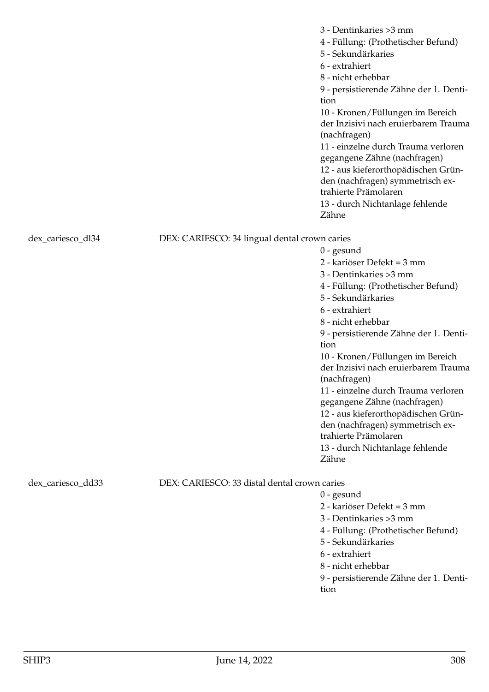|                   |                                               | 3 - Dentinkaries > 3 mm<br>4 - Füllung: (Prothetischer Befund)<br>5 - Sekundärkaries<br>6 - extrahiert<br>8 - nicht erhebbar<br>9 - persistierende Zähne der 1. Denti-<br>tion<br>10 - Kronen/Füllungen im Bereich<br>der Inzisivi nach eruierbarem Trauma<br>(nachfragen)<br>11 - einzelne durch Trauma verloren<br>gegangene Zähne (nachfragen)<br>12 - aus kieferorthopädischen Grün-<br>den (nachfragen) symmetrisch ex-<br>trahierte Prämolaren<br>13 - durch Nichtanlage fehlende<br>Zähne                                               |
|-------------------|-----------------------------------------------|------------------------------------------------------------------------------------------------------------------------------------------------------------------------------------------------------------------------------------------------------------------------------------------------------------------------------------------------------------------------------------------------------------------------------------------------------------------------------------------------------------------------------------------------|
| dex_cariesco_dl34 | DEX: CARIESCO: 34 lingual dental crown caries |                                                                                                                                                                                                                                                                                                                                                                                                                                                                                                                                                |
|                   |                                               | $0$ - gesund<br>2 - kariöser Defekt = 3 mm<br>3 - Dentinkaries > 3 mm<br>4 - Füllung: (Prothetischer Befund)<br>5 - Sekundärkaries<br>6 - extrahiert<br>8 - nicht erhebbar<br>9 - persistierende Zähne der 1. Denti-<br>tion<br>10 - Kronen/Füllungen im Bereich<br>der Inzisivi nach eruierbarem Trauma<br>(nachfragen)<br>11 - einzelne durch Trauma verloren<br>gegangene Zähne (nachfragen)<br>12 - aus kieferorthopädischen Grün-<br>den (nachfragen) symmetrisch ex-<br>trahierte Prämolaren<br>13 - durch Nichtanlage fehlende<br>Zähne |
| dex_cariesco_dd33 | DEX: CARIESCO: 33 distal dental crown caries  |                                                                                                                                                                                                                                                                                                                                                                                                                                                                                                                                                |
|                   |                                               | $0$ - gesund<br>2 - kariöser Defekt = 3 mm<br>3 - Dentinkaries > 3 mm<br>4 - Füllung: (Prothetischer Befund)                                                                                                                                                                                                                                                                                                                                                                                                                                   |

- 5 Sekundärkaries
- 6 extrahiert
- 8 nicht erhebbar

9 - persistierende Zähne der 1. Dentition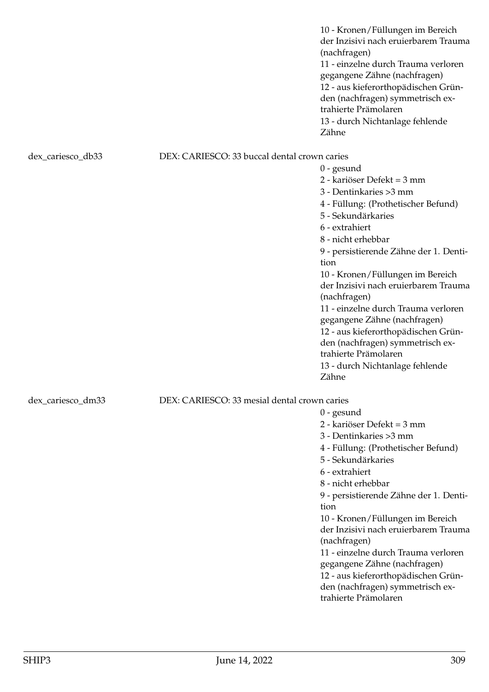10 - Kronen/Füllungen im Bereich der Inzisivi nach eruierbarem Trauma (nachfragen) 11 - einzelne durch Trauma verloren gegangene Zähne (nachfragen) 12 - aus kieferorthopädischen Gründen (nachfragen) symmetrisch extrahierte Prämolaren 13 - durch Nichtanlage fehlende Zähne

### dex\_cariesco\_db33 DEX: CARIESCO: 33 buccal dental crown caries

0 - gesund 2 - kariöser Defekt = 3 mm 3 - Dentinkaries >3 mm 4 - Füllung: (Prothetischer Befund) 5 - Sekundärkaries 6 - extrahiert 8 - nicht erhebbar 9 - persistierende Zähne der 1. Dentition 10 - Kronen/Füllungen im Bereich der Inzisivi nach eruierbarem Trauma (nachfragen) 11 - einzelne durch Trauma verloren gegangene Zähne (nachfragen) 12 - aus kieferorthopädischen Gründen (nachfragen) symmetrisch extrahierte Prämolaren 13 - durch Nichtanlage fehlende Zähne

0 - gesund

2 - kariöser Defekt = 3 mm 3 - Dentinkaries >3 mm

5 - Sekundärkaries

6 - extrahiert 8 - nicht erhebbar

(nachfragen)

trahierte Prämolaren

tion

4 - Füllung: (Prothetischer Befund)

9 - persistierende Zähne der 1. Denti-

10 - Kronen/Füllungen im Bereich der Inzisivi nach eruierbarem Trauma

11 - einzelne durch Trauma verloren gegangene Zähne (nachfragen) 12 - aus kieferorthopädischen Gründen (nachfragen) symmetrisch ex-

# dex cariesco dm33 DEX: CARIESCO: 33 mesial dental crown caries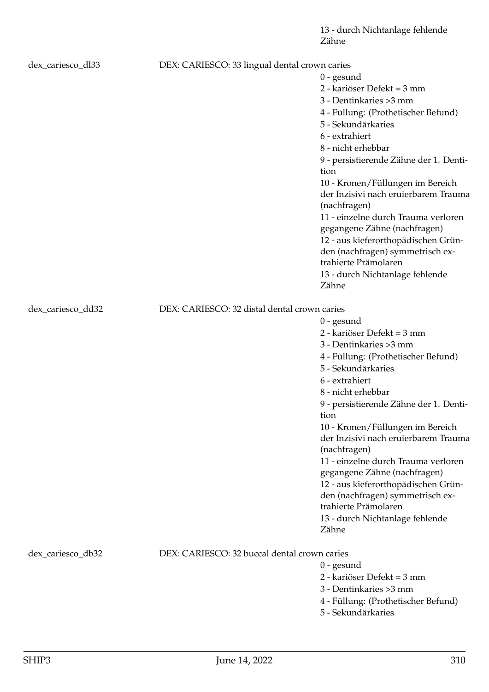| dex_cariesco_dl33 | DEX: CARIESCO: 33 lingual dental crown caries |                                                                          |
|-------------------|-----------------------------------------------|--------------------------------------------------------------------------|
|                   |                                               | $0$ - gesund                                                             |
|                   |                                               | 2 - kariöser Defekt = 3 mm                                               |
|                   |                                               | 3 - Dentinkaries > 3 mm                                                  |
|                   |                                               | 4 - Füllung: (Prothetischer Befund)                                      |
|                   |                                               | 5 - Sekundärkaries                                                       |
|                   |                                               | 6 - extrahiert                                                           |
|                   |                                               | 8 - nicht erhebbar                                                       |
|                   |                                               | 9 - persistierende Zähne der 1. Denti-                                   |
|                   |                                               | tion                                                                     |
|                   |                                               | 10 - Kronen/Füllungen im Bereich                                         |
|                   |                                               | der Inzisivi nach eruierbarem Trauma                                     |
|                   |                                               | (nachfragen)                                                             |
|                   |                                               | 11 - einzelne durch Trauma verloren                                      |
|                   |                                               | gegangene Zähne (nachfragen)                                             |
|                   |                                               | 12 - aus kieferorthopädischen Grün-                                      |
|                   |                                               | den (nachfragen) symmetrisch ex-                                         |
|                   |                                               | trahierte Prämolaren                                                     |
|                   |                                               | 13 - durch Nichtanlage fehlende                                          |
|                   |                                               | Zähne                                                                    |
|                   |                                               |                                                                          |
| dex_cariesco_dd32 | DEX: CARIESCO: 32 distal dental crown caries  |                                                                          |
|                   |                                               | $0$ - gesund<br>2 - kariöser Defekt = 3 mm                               |
|                   |                                               |                                                                          |
|                   |                                               | 3 - Dentinkaries > 3 mm                                                  |
|                   |                                               | 4 - Füllung: (Prothetischer Befund)                                      |
|                   |                                               | 5 - Sekundärkaries                                                       |
|                   |                                               | 6 - extrahiert                                                           |
|                   |                                               | 8 - nicht erhebbar                                                       |
|                   |                                               | 9 - persistierende Zähne der 1. Denti-                                   |
|                   |                                               | tion                                                                     |
|                   |                                               | 10 - Kronen/Füllungen im Bereich<br>der Inzisivi nach eruierbarem Trauma |
|                   |                                               | (nachfragen)                                                             |
|                   |                                               | 11 - einzelne durch Trauma verloren                                      |
|                   |                                               | gegangene Zähne (nachfragen)                                             |
|                   |                                               | 12 - aus kieferorthopädischen Grün-                                      |
|                   |                                               | den (nachfragen) symmetrisch ex-                                         |
|                   |                                               | trahierte Prämolaren                                                     |
|                   |                                               | 13 - durch Nichtanlage fehlende                                          |
|                   |                                               | Zähne                                                                    |
|                   |                                               |                                                                          |
| dex_cariesco_db32 | DEX: CARIESCO: 32 buccal dental crown caries  |                                                                          |
|                   |                                               | $0$ - gesund                                                             |
|                   |                                               | 2 - kariöser Defekt = 3 mm                                               |
|                   |                                               | 3 - Dentinkaries > 3 mm                                                  |
|                   |                                               | 4 - Füllung: (Prothetischer Befund)                                      |
|                   |                                               | 5 - Sekundärkaries                                                       |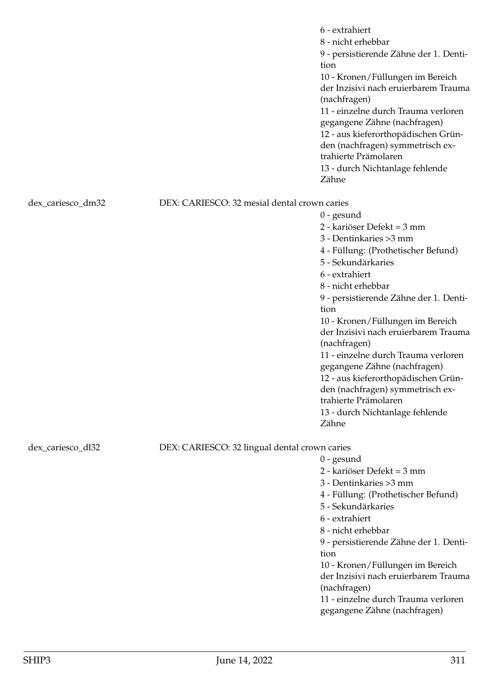|                   |                                               | 6 - extrahiert<br>8 - nicht erhebbar<br>9 - persistierende Zähne der 1. Denti-<br>tion<br>10 - Kronen/Füllungen im Bereich<br>der Inzisivi nach eruierbarem Trauma<br>(nachfragen)<br>11 - einzelne durch Trauma verloren<br>gegangene Zähne (nachfragen)<br>12 - aus kieferorthopädischen Grün-<br>den (nachfragen) symmetrisch ex-<br>trahierte Prämolaren<br>13 - durch Nichtanlage fehlende<br>Zähne |
|-------------------|-----------------------------------------------|----------------------------------------------------------------------------------------------------------------------------------------------------------------------------------------------------------------------------------------------------------------------------------------------------------------------------------------------------------------------------------------------------------|
| dex_cariesco_dm32 | DEX: CARIESCO: 32 mesial dental crown caries  |                                                                                                                                                                                                                                                                                                                                                                                                          |
|                   |                                               | $0$ - gesund                                                                                                                                                                                                                                                                                                                                                                                             |
|                   |                                               | 2 - kariöser Defekt = 3 mm                                                                                                                                                                                                                                                                                                                                                                               |
|                   |                                               | 3 - Dentinkaries > 3 mm                                                                                                                                                                                                                                                                                                                                                                                  |
|                   |                                               | 4 - Füllung: (Prothetischer Befund)                                                                                                                                                                                                                                                                                                                                                                      |
|                   |                                               | 5 - Sekundärkaries                                                                                                                                                                                                                                                                                                                                                                                       |
|                   |                                               | 6 - extrahiert                                                                                                                                                                                                                                                                                                                                                                                           |
|                   |                                               | 8 - nicht erhebbar                                                                                                                                                                                                                                                                                                                                                                                       |
|                   |                                               | 9 - persistierende Zähne der 1. Denti-                                                                                                                                                                                                                                                                                                                                                                   |
|                   |                                               | tion                                                                                                                                                                                                                                                                                                                                                                                                     |
|                   |                                               | 10 - Kronen/Füllungen im Bereich<br>der Inzisivi nach eruierbarem Trauma                                                                                                                                                                                                                                                                                                                                 |
|                   |                                               | (nachfragen)                                                                                                                                                                                                                                                                                                                                                                                             |
|                   |                                               | 11 - einzelne durch Trauma verloren                                                                                                                                                                                                                                                                                                                                                                      |
|                   |                                               | gegangene Zähne (nachfragen)                                                                                                                                                                                                                                                                                                                                                                             |
|                   |                                               | 12 - aus kieferorthopädischen Grün-                                                                                                                                                                                                                                                                                                                                                                      |
|                   |                                               | den (nachfragen) symmetrisch ex-                                                                                                                                                                                                                                                                                                                                                                         |
|                   |                                               | trahierte Prämolaren                                                                                                                                                                                                                                                                                                                                                                                     |
|                   |                                               | 13 - durch Nichtanlage fehlende                                                                                                                                                                                                                                                                                                                                                                          |
|                   |                                               | Zähne                                                                                                                                                                                                                                                                                                                                                                                                    |
| dex_cariesco_dl32 | DEX: CARIESCO: 32 lingual dental crown caries |                                                                                                                                                                                                                                                                                                                                                                                                          |
|                   |                                               | $0$ - gesund                                                                                                                                                                                                                                                                                                                                                                                             |
|                   |                                               | 2 - kariöser Defekt = 3 mm                                                                                                                                                                                                                                                                                                                                                                               |
|                   |                                               | 3 - Dentinkaries > 3 mm                                                                                                                                                                                                                                                                                                                                                                                  |
|                   |                                               | 4 - Füllung: (Prothetischer Befund)                                                                                                                                                                                                                                                                                                                                                                      |
|                   |                                               | 5 - Sekundärkaries                                                                                                                                                                                                                                                                                                                                                                                       |
|                   |                                               | 6 - extrahiert                                                                                                                                                                                                                                                                                                                                                                                           |
|                   |                                               | 8 - nicht erhebbar                                                                                                                                                                                                                                                                                                                                                                                       |
|                   |                                               | 9 - persistierende Zähne der 1. Denti-                                                                                                                                                                                                                                                                                                                                                                   |
|                   |                                               | tion                                                                                                                                                                                                                                                                                                                                                                                                     |
|                   |                                               | 10 - Kronen/Füllungen im Bereich                                                                                                                                                                                                                                                                                                                                                                         |
|                   |                                               | der Inzisivi nach eruierbarem Trauma                                                                                                                                                                                                                                                                                                                                                                     |
|                   |                                               | (nachfragen)                                                                                                                                                                                                                                                                                                                                                                                             |
|                   |                                               | 11 - einzelne durch Trauma verloren                                                                                                                                                                                                                                                                                                                                                                      |
|                   |                                               | gegangene Zähne (nachfragen)                                                                                                                                                                                                                                                                                                                                                                             |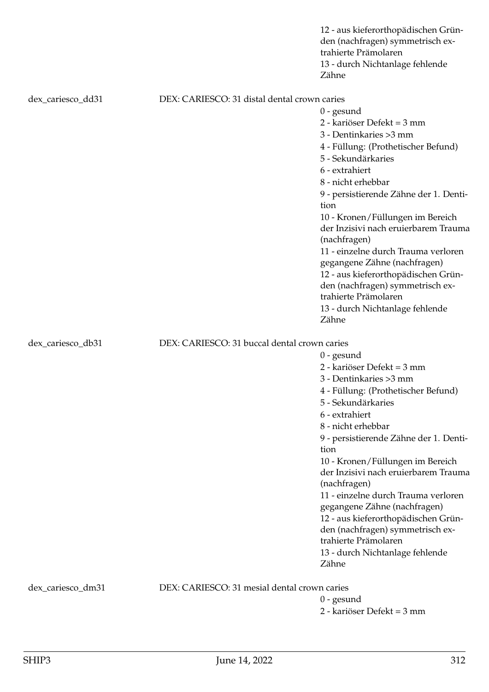|                   |                                              | 12 - aus kieferorthopädischen Grün-<br>den (nachfragen) symmetrisch ex-<br>trahierte Prämolaren<br>13 - durch Nichtanlage fehlende<br>Zähne |
|-------------------|----------------------------------------------|---------------------------------------------------------------------------------------------------------------------------------------------|
| dex_cariesco_dd31 | DEX: CARIESCO: 31 distal dental crown caries |                                                                                                                                             |
|                   |                                              | $0$ - gesund                                                                                                                                |
|                   |                                              | 2 - kariöser Defekt = 3 mm                                                                                                                  |
|                   |                                              | 3 - Dentinkaries > 3 mm                                                                                                                     |
|                   |                                              | 4 - Füllung: (Prothetischer Befund)                                                                                                         |
|                   |                                              | 5 - Sekundärkaries                                                                                                                          |
|                   |                                              | 6 - extrahiert                                                                                                                              |
|                   |                                              | 8 - nicht erhebbar                                                                                                                          |
|                   |                                              | 9 - persistierende Zähne der 1. Denti-<br>tion                                                                                              |
|                   |                                              | 10 - Kronen/Füllungen im Bereich                                                                                                            |
|                   |                                              | der Inzisivi nach eruierbarem Trauma<br>(nachfragen)                                                                                        |
|                   |                                              | 11 - einzelne durch Trauma verloren                                                                                                         |
|                   |                                              | gegangene Zähne (nachfragen)                                                                                                                |
|                   |                                              | 12 - aus kieferorthopädischen Grün-                                                                                                         |
|                   |                                              | den (nachfragen) symmetrisch ex-                                                                                                            |
|                   |                                              | trahierte Prämolaren                                                                                                                        |
|                   |                                              | 13 - durch Nichtanlage fehlende                                                                                                             |
|                   |                                              | Zähne                                                                                                                                       |
| dex_cariesco_db31 | DEX: CARIESCO: 31 buccal dental crown caries |                                                                                                                                             |
|                   |                                              | $0$ - gesund                                                                                                                                |
|                   |                                              | 2 - kariöser Defekt = 3 mm                                                                                                                  |
|                   |                                              | 3 - Dentinkaries > 3 mm                                                                                                                     |
|                   |                                              | 4 - Füllung: (Prothetischer Befund)                                                                                                         |
|                   |                                              | 5 - Sekundärkaries                                                                                                                          |
|                   |                                              | 6 - extrahiert                                                                                                                              |
|                   |                                              | 8 - nicht erhebbar                                                                                                                          |
|                   |                                              | 9 - persistierende Zähne der 1. Denti-                                                                                                      |
|                   |                                              | tion                                                                                                                                        |
|                   |                                              | 10 - Kronen/Füllungen im Bereich<br>der Inzisivi nach eruierbarem Trauma                                                                    |
|                   |                                              | (nachfragen)                                                                                                                                |
|                   |                                              | 11 - einzelne durch Trauma verloren                                                                                                         |
|                   |                                              | gegangene Zähne (nachfragen)                                                                                                                |
|                   |                                              | 12 - aus kieferorthopädischen Grün-                                                                                                         |
|                   |                                              | den (nachfragen) symmetrisch ex-                                                                                                            |
|                   |                                              | trahierte Prämolaren                                                                                                                        |
|                   |                                              | 13 - durch Nichtanlage fehlende                                                                                                             |
|                   |                                              | Zähne                                                                                                                                       |
|                   | DEX: CARIESCO: 31 mesial dental crown caries |                                                                                                                                             |
| dex_cariesco_dm31 |                                              | $0$ - gesund                                                                                                                                |
|                   |                                              | 2 - kariöser Defekt = 3 mm                                                                                                                  |
|                   |                                              |                                                                                                                                             |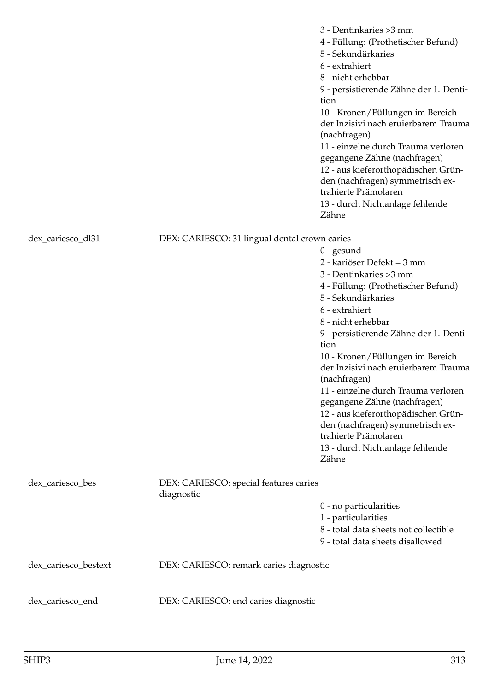|                      |                                                      | 3 - Dentinkaries > 3 mm<br>4 - Füllung: (Prothetischer Befund)<br>5 - Sekundärkaries<br>6 - extrahiert<br>8 - nicht erhebbar<br>9 - persistierende Zähne der 1. Denti-<br>tion<br>10 - Kronen/Füllungen im Bereich<br>der Inzisivi nach eruierbarem Trauma<br>(nachfragen)<br>11 - einzelne durch Trauma verloren<br>gegangene Zähne (nachfragen)<br>12 - aus kieferorthopädischen Grün-<br>den (nachfragen) symmetrisch ex-<br>trahierte Prämolaren<br>13 - durch Nichtanlage fehlende<br>Zähne                                               |
|----------------------|------------------------------------------------------|------------------------------------------------------------------------------------------------------------------------------------------------------------------------------------------------------------------------------------------------------------------------------------------------------------------------------------------------------------------------------------------------------------------------------------------------------------------------------------------------------------------------------------------------|
| dex_cariesco_dl31    | DEX: CARIESCO: 31 lingual dental crown caries        | $0$ - gesund<br>2 - kariöser Defekt = 3 mm<br>3 - Dentinkaries > 3 mm<br>4 - Füllung: (Prothetischer Befund)<br>5 - Sekundärkaries<br>6 - extrahiert<br>8 - nicht erhebbar<br>9 - persistierende Zähne der 1. Denti-<br>tion<br>10 - Kronen/Füllungen im Bereich<br>der Inzisivi nach eruierbarem Trauma<br>(nachfragen)<br>11 - einzelne durch Trauma verloren<br>gegangene Zähne (nachfragen)<br>12 - aus kieferorthopädischen Grün-<br>den (nachfragen) symmetrisch ex-<br>trahierte Prämolaren<br>13 - durch Nichtanlage fehlende<br>Zähne |
| dex_cariesco_bes     | DEX: CARIESCO: special features caries<br>diagnostic | 0 - no particularities<br>1 - particularities<br>8 - total data sheets not collectible<br>9 - total data sheets disallowed                                                                                                                                                                                                                                                                                                                                                                                                                     |
| dex_cariesco_bestext | DEX: CARIESCO: remark caries diagnostic              |                                                                                                                                                                                                                                                                                                                                                                                                                                                                                                                                                |
| dex_cariesco_end     | DEX: CARIESCO: end caries diagnostic                 |                                                                                                                                                                                                                                                                                                                                                                                                                                                                                                                                                |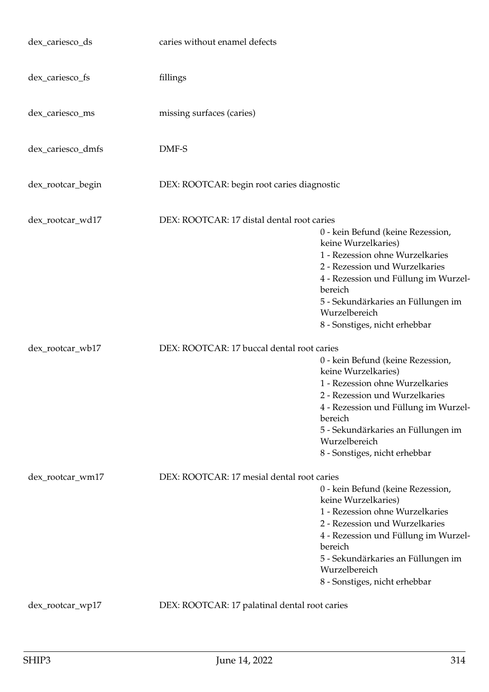| dex_cariesco_ds   | caries without enamel defects                 |                                                                                                                                                                                                                                                                          |
|-------------------|-----------------------------------------------|--------------------------------------------------------------------------------------------------------------------------------------------------------------------------------------------------------------------------------------------------------------------------|
| dex_cariesco_fs   | fillings                                      |                                                                                                                                                                                                                                                                          |
| dex_cariesco_ms   | missing surfaces (caries)                     |                                                                                                                                                                                                                                                                          |
| dex_cariesco_dmfs | DMF-S                                         |                                                                                                                                                                                                                                                                          |
| dex_rootcar_begin | DEX: ROOTCAR: begin root caries diagnostic    |                                                                                                                                                                                                                                                                          |
| dex_rootcar_wd17  | DEX: ROOTCAR: 17 distal dental root caries    | 0 - kein Befund (keine Rezession,<br>keine Wurzelkaries)<br>1 - Rezession ohne Wurzelkaries<br>2 - Rezession und Wurzelkaries<br>4 - Rezession und Füllung im Wurzel-<br>bereich<br>5 - Sekundärkaries an Füllungen im<br>Wurzelbereich<br>8 - Sonstiges, nicht erhebbar |
| dex_rootcar_wb17  | DEX: ROOTCAR: 17 buccal dental root caries    |                                                                                                                                                                                                                                                                          |
|                   |                                               | 0 - kein Befund (keine Rezession,<br>keine Wurzelkaries)<br>1 - Rezession ohne Wurzelkaries<br>2 - Rezession und Wurzelkaries<br>4 - Rezession und Füllung im Wurzel-<br>bereich<br>5 - Sekundärkaries an Füllungen im<br>Wurzelbereich<br>8 - Sonstiges, nicht erhebbar |
| dex_rootcar_wm17  | DEX: ROOTCAR: 17 mesial dental root caries    |                                                                                                                                                                                                                                                                          |
|                   |                                               | 0 - kein Befund (keine Rezession,<br>keine Wurzelkaries)<br>1 - Rezession ohne Wurzelkaries<br>2 - Rezession und Wurzelkaries<br>4 - Rezession und Füllung im Wurzel-<br>bereich<br>5 - Sekundärkaries an Füllungen im<br>Wurzelbereich<br>8 - Sonstiges, nicht erhebbar |
| dex_rootcar_wp17  | DEX: ROOTCAR: 17 palatinal dental root caries |                                                                                                                                                                                                                                                                          |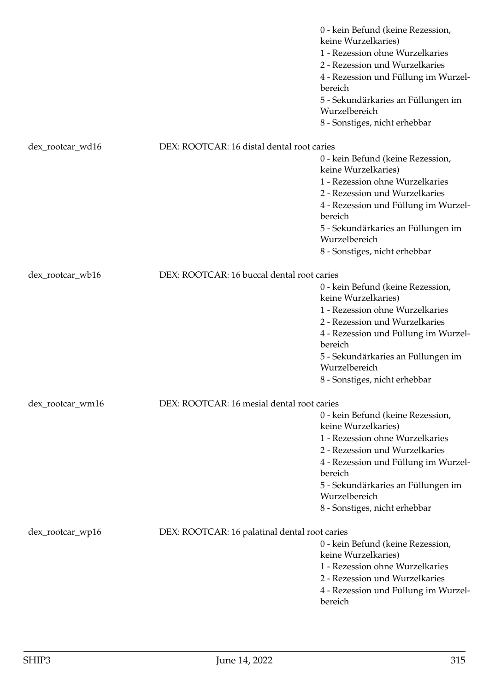|                  |                                               | 0 - kein Befund (keine Rezession,<br>keine Wurzelkaries)<br>1 - Rezession ohne Wurzelkaries<br>2 - Rezession und Wurzelkaries<br>4 - Rezession und Füllung im Wurzel-<br>bereich<br>5 - Sekundärkaries an Füllungen im<br>Wurzelbereich<br>8 - Sonstiges, nicht erhebbar |
|------------------|-----------------------------------------------|--------------------------------------------------------------------------------------------------------------------------------------------------------------------------------------------------------------------------------------------------------------------------|
| dex_rootcar_wd16 | DEX: ROOTCAR: 16 distal dental root caries    |                                                                                                                                                                                                                                                                          |
|                  |                                               | 0 - kein Befund (keine Rezession,<br>keine Wurzelkaries)<br>1 - Rezession ohne Wurzelkaries<br>2 - Rezession und Wurzelkaries<br>4 - Rezession und Füllung im Wurzel-<br>bereich<br>5 - Sekundärkaries an Füllungen im<br>Wurzelbereich<br>8 - Sonstiges, nicht erhebbar |
| dex_rootcar_wb16 | DEX: ROOTCAR: 16 buccal dental root caries    | 0 - kein Befund (keine Rezession,<br>keine Wurzelkaries)<br>1 - Rezession ohne Wurzelkaries<br>2 - Rezession und Wurzelkaries<br>4 - Rezession und Füllung im Wurzel-<br>bereich<br>5 - Sekundärkaries an Füllungen im<br>Wurzelbereich<br>8 - Sonstiges, nicht erhebbar |
| dex_rootcar_wm16 | DEX: ROOTCAR: 16 mesial dental root caries    | 0 - kein Befund (keine Rezession,<br>keine Wurzelkaries)<br>1 - Rezession ohne Wurzelkaries<br>2 - Rezession und Wurzelkaries<br>4 - Rezession und Füllung im Wurzel-<br>bereich<br>5 - Sekundärkaries an Füllungen im<br>Wurzelbereich<br>8 - Sonstiges, nicht erhebbar |
| dex_rootcar_wp16 | DEX: ROOTCAR: 16 palatinal dental root caries | 0 - kein Befund (keine Rezession,<br>keine Wurzelkaries)<br>1 - Rezession ohne Wurzelkaries<br>2 - Rezession und Wurzelkaries<br>4 - Rezession und Füllung im Wurzel-<br>bereich                                                                                         |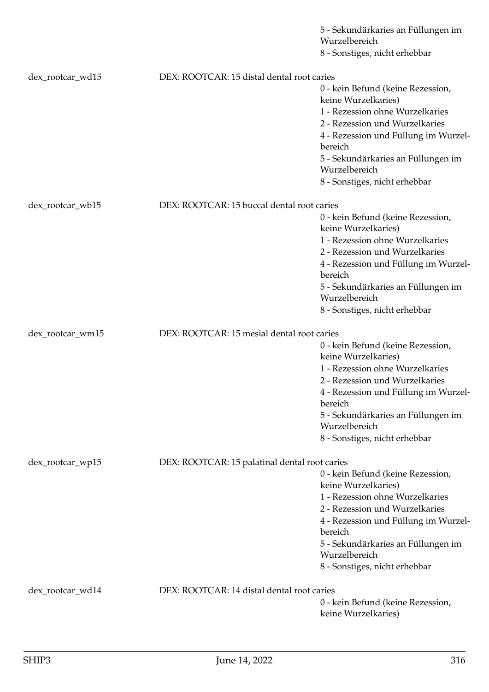|                  |                                               | 5 - Sekundärkaries an Füllungen im<br>Wurzelbereich      |
|------------------|-----------------------------------------------|----------------------------------------------------------|
|                  |                                               | 8 - Sonstiges, nicht erhebbar                            |
|                  |                                               |                                                          |
| dex_rootcar_wd15 | DEX: ROOTCAR: 15 distal dental root caries    |                                                          |
|                  |                                               | 0 - kein Befund (keine Rezession,<br>keine Wurzelkaries) |
|                  |                                               | 1 - Rezession ohne Wurzelkaries                          |
|                  |                                               | 2 - Rezession und Wurzelkaries                           |
|                  |                                               | 4 - Rezession und Füllung im Wurzel-<br>bereich          |
|                  |                                               | 5 - Sekundärkaries an Füllungen im<br>Wurzelbereich      |
|                  |                                               | 8 - Sonstiges, nicht erhebbar                            |
| dex_rootcar_wb15 | DEX: ROOTCAR: 15 buccal dental root caries    |                                                          |
|                  |                                               | 0 - kein Befund (keine Rezession,                        |
|                  |                                               | keine Wurzelkaries)                                      |
|                  |                                               | 1 - Rezession ohne Wurzelkaries                          |
|                  |                                               | 2 - Rezession und Wurzelkaries                           |
|                  |                                               | 4 - Rezession und Füllung im Wurzel-<br>bereich          |
|                  |                                               | 5 - Sekundärkaries an Füllungen im<br>Wurzelbereich      |
|                  |                                               | 8 - Sonstiges, nicht erhebbar                            |
| dex_rootcar_wm15 | DEX: ROOTCAR: 15 mesial dental root caries    |                                                          |
|                  |                                               | 0 - kein Befund (keine Rezession,                        |
|                  |                                               | keine Wurzelkaries)                                      |
|                  |                                               | 1 - Rezession ohne Wurzelkaries                          |
|                  |                                               | 2 - Rezession und Wurzelkaries                           |
|                  |                                               | 4 - Rezession und Füllung im Wurzel-<br>bereich          |
|                  |                                               | 5 - Sekundärkaries an Füllungen im<br>Wurzelbereich      |
|                  |                                               | 8 - Sonstiges, nicht erhebbar                            |
|                  |                                               |                                                          |
| dex_rootcar_wp15 | DEX: ROOTCAR: 15 palatinal dental root caries | 0 - kein Befund (keine Rezession,                        |
|                  |                                               | keine Wurzelkaries)                                      |
|                  |                                               | 1 - Rezession ohne Wurzelkaries                          |
|                  |                                               | 2 - Rezession und Wurzelkaries                           |
|                  |                                               | 4 - Rezession und Füllung im Wurzel-                     |
|                  |                                               | bereich                                                  |
|                  |                                               | 5 - Sekundärkaries an Füllungen im                       |
|                  |                                               | Wurzelbereich                                            |
|                  |                                               | 8 - Sonstiges, nicht erhebbar                            |
| dex_rootcar_wd14 | DEX: ROOTCAR: 14 distal dental root caries    |                                                          |
|                  |                                               | 0 - kein Befund (keine Rezession,                        |
|                  |                                               | keine Wurzelkaries)                                      |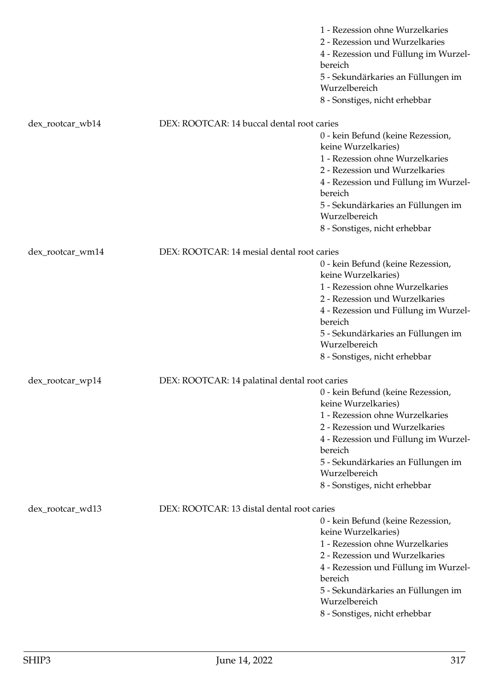|                  |                                               | 1 - Rezession ohne Wurzelkaries<br>2 - Rezession und Wurzelkaries<br>4 - Rezession und Füllung im Wurzel-<br>bereich<br>5 - Sekundärkaries an Füllungen im<br>Wurzelbereich<br>8 - Sonstiges, nicht erhebbar                                                             |
|------------------|-----------------------------------------------|--------------------------------------------------------------------------------------------------------------------------------------------------------------------------------------------------------------------------------------------------------------------------|
| dex_rootcar_wb14 | DEX: ROOTCAR: 14 buccal dental root caries    |                                                                                                                                                                                                                                                                          |
|                  |                                               | 0 - kein Befund (keine Rezession,<br>keine Wurzelkaries)<br>1 - Rezession ohne Wurzelkaries<br>2 - Rezession und Wurzelkaries<br>4 - Rezession und Füllung im Wurzel-<br>bereich<br>5 - Sekundärkaries an Füllungen im<br>Wurzelbereich                                  |
|                  |                                               | 8 - Sonstiges, nicht erhebbar                                                                                                                                                                                                                                            |
| dex_rootcar_wm14 | DEX: ROOTCAR: 14 mesial dental root caries    |                                                                                                                                                                                                                                                                          |
|                  |                                               | 0 - kein Befund (keine Rezession,<br>keine Wurzelkaries)<br>1 - Rezession ohne Wurzelkaries<br>2 - Rezession und Wurzelkaries<br>4 - Rezession und Füllung im Wurzel-<br>bereich<br>5 - Sekundärkaries an Füllungen im<br>Wurzelbereich<br>8 - Sonstiges, nicht erhebbar |
| dex_rootcar_wp14 | DEX: ROOTCAR: 14 palatinal dental root caries |                                                                                                                                                                                                                                                                          |
|                  |                                               | 0 - kein Befund (keine Rezession,<br>keine Wurzelkaries)<br>1 - Rezession ohne Wurzelkaries<br>2 - Rezession und Wurzelkaries<br>4 - Rezession und Füllung im Wurzel-<br>bereich<br>5 - Sekundärkaries an Füllungen im<br>Wurzelbereich<br>8 - Sonstiges, nicht erhebbar |
| dex_rootcar_wd13 | DEX: ROOTCAR: 13 distal dental root caries    | 0 - kein Befund (keine Rezession,<br>keine Wurzelkaries)<br>1 - Rezession ohne Wurzelkaries<br>2 - Rezession und Wurzelkaries<br>4 - Rezession und Füllung im Wurzel-<br>bereich<br>5 - Sekundärkaries an Füllungen im<br>Wurzelbereich<br>8 - Sonstiges, nicht erhebbar |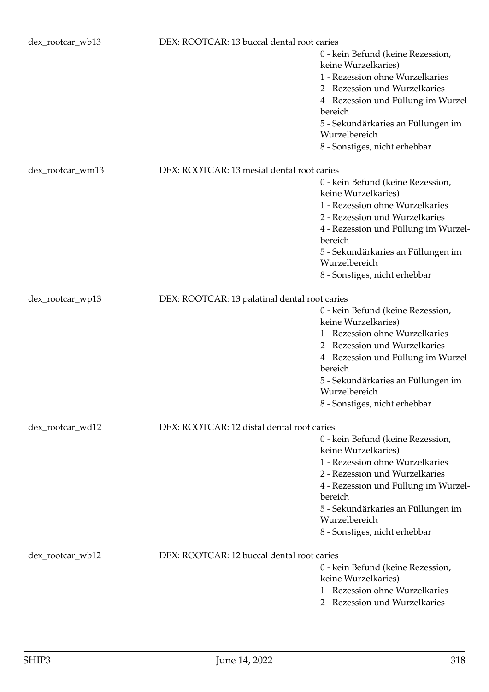| dex_rootcar_wb13 | DEX: ROOTCAR: 13 buccal dental root caries    |                                                                                                                               |
|------------------|-----------------------------------------------|-------------------------------------------------------------------------------------------------------------------------------|
|                  |                                               | 0 - kein Befund (keine Rezession,<br>keine Wurzelkaries)<br>1 - Rezession ohne Wurzelkaries<br>2 - Rezession und Wurzelkaries |
|                  |                                               | 4 - Rezession und Füllung im Wurzel-<br>bereich                                                                               |
|                  |                                               | 5 - Sekundärkaries an Füllungen im<br>Wurzelbereich                                                                           |
|                  |                                               | 8 - Sonstiges, nicht erhebbar                                                                                                 |
| dex_rootcar_wm13 | DEX: ROOTCAR: 13 mesial dental root caries    |                                                                                                                               |
|                  |                                               | 0 - kein Befund (keine Rezession,<br>keine Wurzelkaries)                                                                      |
|                  |                                               | 1 - Rezession ohne Wurzelkaries                                                                                               |
|                  |                                               | 2 - Rezession und Wurzelkaries                                                                                                |
|                  |                                               | 4 - Rezession und Füllung im Wurzel-<br>bereich                                                                               |
|                  |                                               | 5 - Sekundärkaries an Füllungen im<br>Wurzelbereich                                                                           |
|                  |                                               | 8 - Sonstiges, nicht erhebbar                                                                                                 |
| dex_rootcar_wp13 | DEX: ROOTCAR: 13 palatinal dental root caries |                                                                                                                               |
|                  |                                               | 0 - kein Befund (keine Rezession,<br>keine Wurzelkaries)                                                                      |
|                  |                                               | 1 - Rezession ohne Wurzelkaries                                                                                               |
|                  |                                               | 2 - Rezession und Wurzelkaries                                                                                                |
|                  |                                               | 4 - Rezession und Füllung im Wurzel-<br>bereich                                                                               |
|                  |                                               | 5 - Sekundärkaries an Füllungen im<br>Wurzelbereich                                                                           |
|                  |                                               | 8 - Sonstiges, nicht erhebbar                                                                                                 |
| dex_rootcar_wd12 | DEX: ROOTCAR: 12 distal dental root caries    |                                                                                                                               |
|                  |                                               | 0 - kein Befund (keine Rezession,<br>keine Wurzelkaries)                                                                      |
|                  |                                               | 1 - Rezession ohne Wurzelkaries                                                                                               |
|                  |                                               | 2 - Rezession und Wurzelkaries                                                                                                |
|                  |                                               | 4 - Rezession und Füllung im Wurzel-                                                                                          |
|                  |                                               | bereich                                                                                                                       |
|                  |                                               | 5 - Sekundärkaries an Füllungen im                                                                                            |
|                  |                                               | Wurzelbereich<br>8 - Sonstiges, nicht erhebbar                                                                                |
|                  |                                               |                                                                                                                               |
| dex_rootcar_wb12 | DEX: ROOTCAR: 12 buccal dental root caries    | 0 - kein Befund (keine Rezession,                                                                                             |
|                  |                                               | keine Wurzelkaries)                                                                                                           |
|                  |                                               | 1 - Rezession ohne Wurzelkaries                                                                                               |
|                  |                                               | 2 - Rezession und Wurzelkaries                                                                                                |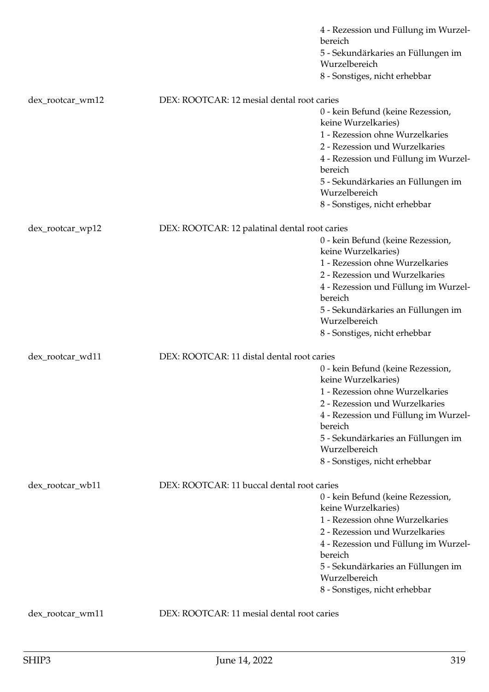|                  |                                               | 4 - Rezession und Füllung im Wurzel-<br>bereich<br>5 - Sekundärkaries an Füllungen im<br>Wurzelbereich |
|------------------|-----------------------------------------------|--------------------------------------------------------------------------------------------------------|
|                  |                                               | 8 - Sonstiges, nicht erhebbar                                                                          |
| dex_rootcar_wm12 | DEX: ROOTCAR: 12 mesial dental root caries    |                                                                                                        |
|                  |                                               | 0 - kein Befund (keine Rezession,<br>keine Wurzelkaries)<br>1 - Rezession ohne Wurzelkaries            |
|                  |                                               | 2 - Rezession und Wurzelkaries<br>4 - Rezession und Füllung im Wurzel-<br>bereich                      |
|                  |                                               | 5 - Sekundärkaries an Füllungen im<br>Wurzelbereich                                                    |
|                  |                                               | 8 - Sonstiges, nicht erhebbar                                                                          |
| dex_rootcar_wp12 | DEX: ROOTCAR: 12 palatinal dental root caries |                                                                                                        |
|                  |                                               | 0 - kein Befund (keine Rezession,<br>keine Wurzelkaries)                                               |
|                  |                                               | 1 - Rezession ohne Wurzelkaries<br>2 - Rezession und Wurzelkaries                                      |
|                  |                                               | 4 - Rezession und Füllung im Wurzel-<br>bereich                                                        |
|                  |                                               | 5 - Sekundärkaries an Füllungen im<br>Wurzelbereich                                                    |
|                  |                                               | 8 - Sonstiges, nicht erhebbar                                                                          |
| dex_rootcar_wd11 | DEX: ROOTCAR: 11 distal dental root caries    |                                                                                                        |
|                  |                                               | 0 - kein Befund (keine Rezession,<br>keine Wurzelkaries)                                               |
|                  |                                               | 1 - Rezession ohne Wurzelkaries                                                                        |
|                  |                                               | 2 - Rezession und Wurzelkaries<br>4 - Rezession und Füllung im Wurzel-                                 |
|                  |                                               | bereich                                                                                                |
|                  |                                               | 5 - Sekundärkaries an Füllungen im<br>Wurzelbereich                                                    |
|                  |                                               | 8 - Sonstiges, nicht erhebbar                                                                          |
| dex_rootcar_wb11 | DEX: ROOTCAR: 11 buccal dental root caries    |                                                                                                        |
|                  |                                               | 0 - kein Befund (keine Rezession,                                                                      |
|                  |                                               | keine Wurzelkaries)<br>1 - Rezession ohne Wurzelkaries                                                 |
|                  |                                               | 2 - Rezession und Wurzelkaries                                                                         |
|                  |                                               | 4 - Rezession und Füllung im Wurzel-                                                                   |
|                  |                                               | bereich                                                                                                |
|                  |                                               | 5 - Sekundärkaries an Füllungen im<br>Wurzelbereich                                                    |
|                  |                                               | 8 - Sonstiges, nicht erhebbar                                                                          |
| dex_rootcar_wm11 | DEX: ROOTCAR: 11 mesial dental root caries    |                                                                                                        |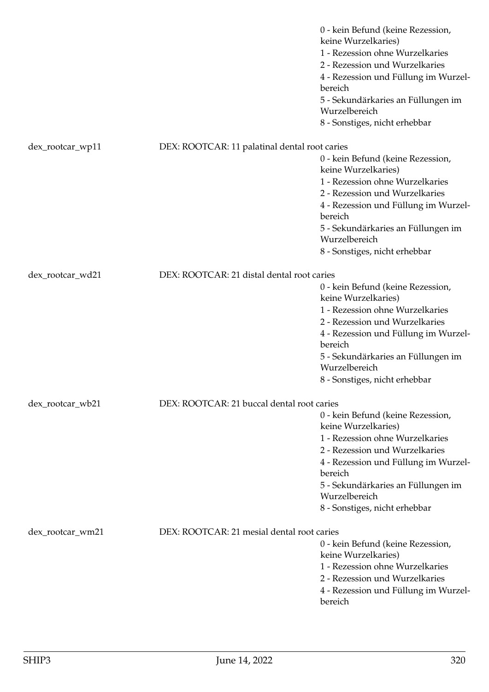|                                                                |                                               | 0 - kein Befund (keine Rezession,<br>keine Wurzelkaries)<br>1 - Rezession ohne Wurzelkaries<br>2 - Rezession und Wurzelkaries<br>4 - Rezession und Füllung im Wurzel- |
|----------------------------------------------------------------|-----------------------------------------------|-----------------------------------------------------------------------------------------------------------------------------------------------------------------------|
|                                                                |                                               | bereich<br>5 - Sekundärkaries an Füllungen im<br>Wurzelbereich                                                                                                        |
|                                                                |                                               | 8 - Sonstiges, nicht erhebbar                                                                                                                                         |
|                                                                |                                               |                                                                                                                                                                       |
| dex_rootcar_wp11                                               | DEX: ROOTCAR: 11 palatinal dental root caries | 0 - kein Befund (keine Rezession,                                                                                                                                     |
|                                                                |                                               | keine Wurzelkaries)                                                                                                                                                   |
|                                                                |                                               | 1 - Rezession ohne Wurzelkaries                                                                                                                                       |
|                                                                |                                               | 2 - Rezession und Wurzelkaries                                                                                                                                        |
|                                                                |                                               | 4 - Rezession und Füllung im Wurzel-<br>bereich                                                                                                                       |
|                                                                |                                               | 5 - Sekundärkaries an Füllungen im<br>Wurzelbereich                                                                                                                   |
|                                                                |                                               | 8 - Sonstiges, nicht erhebbar                                                                                                                                         |
| dex_rootcar_wd21                                               | DEX: ROOTCAR: 21 distal dental root caries    |                                                                                                                                                                       |
|                                                                |                                               | 0 - kein Befund (keine Rezession,                                                                                                                                     |
|                                                                |                                               | keine Wurzelkaries)                                                                                                                                                   |
|                                                                |                                               | 1 - Rezession ohne Wurzelkaries                                                                                                                                       |
|                                                                |                                               | 2 - Rezession und Wurzelkaries                                                                                                                                        |
|                                                                |                                               | 4 - Rezession und Füllung im Wurzel-<br>bereich                                                                                                                       |
|                                                                |                                               | 5 - Sekundärkaries an Füllungen im<br>Wurzelbereich                                                                                                                   |
|                                                                |                                               | 8 - Sonstiges, nicht erhebbar                                                                                                                                         |
|                                                                |                                               |                                                                                                                                                                       |
| DEX: ROOTCAR: 21 buccal dental root caries<br>dex_rootcar_wb21 |                                               | 0 - kein Befund (keine Rezession,                                                                                                                                     |
|                                                                |                                               | keine Wurzelkaries)                                                                                                                                                   |
|                                                                |                                               | 1 - Rezession ohne Wurzelkaries                                                                                                                                       |
|                                                                |                                               | 2 - Rezession und Wurzelkaries                                                                                                                                        |
|                                                                |                                               | 4 - Rezession und Füllung im Wurzel-<br>bereich                                                                                                                       |
|                                                                |                                               | 5 - Sekundärkaries an Füllungen im                                                                                                                                    |
|                                                                |                                               | Wurzelbereich                                                                                                                                                         |
|                                                                |                                               | 8 - Sonstiges, nicht erhebbar                                                                                                                                         |
| dex_rootcar_wm21                                               | DEX: ROOTCAR: 21 mesial dental root caries    |                                                                                                                                                                       |
|                                                                |                                               | 0 - kein Befund (keine Rezession,                                                                                                                                     |
|                                                                |                                               | keine Wurzelkaries)                                                                                                                                                   |
|                                                                |                                               | 1 - Rezession ohne Wurzelkaries                                                                                                                                       |
|                                                                |                                               | 2 - Rezession und Wurzelkaries                                                                                                                                        |
|                                                                |                                               | 4 - Rezession und Füllung im Wurzel-<br>bereich                                                                                                                       |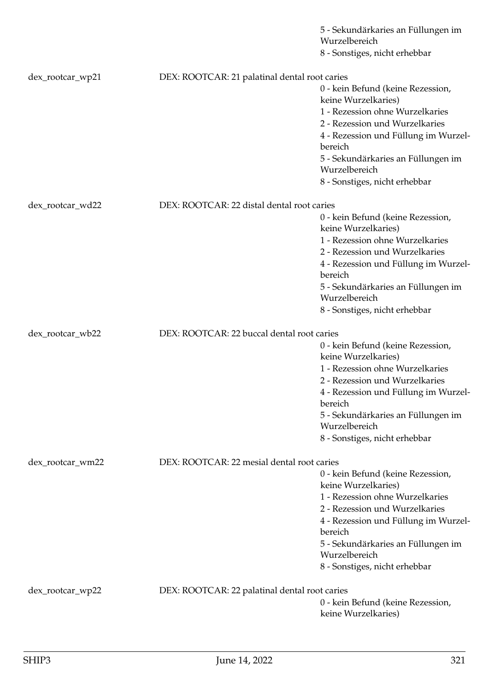|                  |                                               | 5 - Sekundärkaries an Füllungen im<br>Wurzelbereich      |
|------------------|-----------------------------------------------|----------------------------------------------------------|
|                  |                                               | 8 - Sonstiges, nicht erhebbar                            |
|                  |                                               |                                                          |
| dex_rootcar_wp21 | DEX: ROOTCAR: 21 palatinal dental root caries |                                                          |
|                  |                                               | 0 - kein Befund (keine Rezession,<br>keine Wurzelkaries) |
|                  |                                               | 1 - Rezession ohne Wurzelkaries                          |
|                  |                                               | 2 - Rezession und Wurzelkaries                           |
|                  |                                               | 4 - Rezession und Füllung im Wurzel-<br>bereich          |
|                  |                                               | 5 - Sekundärkaries an Füllungen im<br>Wurzelbereich      |
|                  |                                               | 8 - Sonstiges, nicht erhebbar                            |
|                  | DEX: ROOTCAR: 22 distal dental root caries    |                                                          |
| dex_rootcar_wd22 |                                               | 0 - kein Befund (keine Rezession,                        |
|                  |                                               | keine Wurzelkaries)                                      |
|                  |                                               | 1 - Rezession ohne Wurzelkaries                          |
|                  |                                               | 2 - Rezession und Wurzelkaries                           |
|                  |                                               | 4 - Rezession und Füllung im Wurzel-<br>bereich          |
|                  |                                               | 5 - Sekundärkaries an Füllungen im<br>Wurzelbereich      |
|                  |                                               | 8 - Sonstiges, nicht erhebbar                            |
|                  |                                               |                                                          |
| dex_rootcar_wb22 | DEX: ROOTCAR: 22 buccal dental root caries    | 0 - kein Befund (keine Rezession,                        |
|                  |                                               | keine Wurzelkaries)                                      |
|                  |                                               | 1 - Rezession ohne Wurzelkaries                          |
|                  |                                               | 2 - Rezession und Wurzelkaries                           |
|                  |                                               | 4 - Rezession und Füllung im Wurzel-<br>bereich          |
|                  |                                               | 5 - Sekundärkaries an Füllungen im<br>Wurzelbereich      |
|                  |                                               | 8 - Sonstiges, nicht erhebbar                            |
|                  | DEX: ROOTCAR: 22 mesial dental root caries    |                                                          |
| dex_rootcar_wm22 |                                               | 0 - kein Befund (keine Rezession,                        |
|                  |                                               | keine Wurzelkaries)                                      |
|                  |                                               | 1 - Rezession ohne Wurzelkaries                          |
|                  |                                               | 2 - Rezession und Wurzelkaries                           |
|                  |                                               | 4 - Rezession und Füllung im Wurzel-                     |
|                  |                                               | bereich                                                  |
|                  |                                               | 5 - Sekundärkaries an Füllungen im                       |
|                  |                                               | Wurzelbereich                                            |
|                  |                                               | 8 - Sonstiges, nicht erhebbar                            |
| dex_rootcar_wp22 | DEX: ROOTCAR: 22 palatinal dental root caries |                                                          |
|                  |                                               | 0 - kein Befund (keine Rezession,<br>keine Wurzelkaries) |
|                  |                                               |                                                          |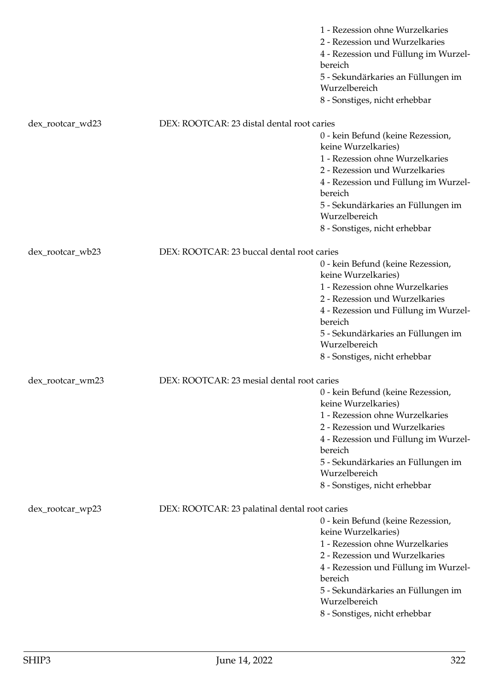|                  |                                               | 1 - Rezession ohne Wurzelkaries<br>2 - Rezession und Wurzelkaries<br>4 - Rezession und Füllung im Wurzel-<br>bereich<br>5 - Sekundärkaries an Füllungen im<br>Wurzelbereich<br>8 - Sonstiges, nicht erhebbar                                                             |
|------------------|-----------------------------------------------|--------------------------------------------------------------------------------------------------------------------------------------------------------------------------------------------------------------------------------------------------------------------------|
| dex_rootcar_wd23 | DEX: ROOTCAR: 23 distal dental root caries    |                                                                                                                                                                                                                                                                          |
|                  |                                               | 0 - kein Befund (keine Rezession,<br>keine Wurzelkaries)<br>1 - Rezession ohne Wurzelkaries<br>2 - Rezession und Wurzelkaries<br>4 - Rezession und Füllung im Wurzel-<br>bereich<br>5 - Sekundärkaries an Füllungen im<br>Wurzelbereich<br>8 - Sonstiges, nicht erhebbar |
| dex_rootcar_wb23 | DEX: ROOTCAR: 23 buccal dental root caries    |                                                                                                                                                                                                                                                                          |
|                  |                                               | 0 - kein Befund (keine Rezession,<br>keine Wurzelkaries)                                                                                                                                                                                                                 |
|                  |                                               | 1 - Rezession ohne Wurzelkaries<br>2 - Rezession und Wurzelkaries<br>4 - Rezession und Füllung im Wurzel-<br>bereich                                                                                                                                                     |
|                  |                                               | 5 - Sekundärkaries an Füllungen im<br>Wurzelbereich<br>8 - Sonstiges, nicht erhebbar                                                                                                                                                                                     |
|                  |                                               |                                                                                                                                                                                                                                                                          |
| dex_rootcar_wm23 | DEX: ROOTCAR: 23 mesial dental root caries    | 0 - kein Befund (keine Rezession,<br>keine Wurzelkaries)<br>1 - Rezession ohne Wurzelkaries<br>2 - Rezession und Wurzelkaries<br>4 - Rezession und Füllung im Wurzel-<br>bereich<br>5 - Sekundärkaries an Füllungen im<br>Wurzelbereich<br>8 - Sonstiges, nicht erhebbar |
| dex_rootcar_wp23 | DEX: ROOTCAR: 23 palatinal dental root caries | 0 - kein Befund (keine Rezession,<br>keine Wurzelkaries)<br>1 - Rezession ohne Wurzelkaries<br>2 - Rezession und Wurzelkaries<br>4 - Rezession und Füllung im Wurzel-<br>bereich<br>5 - Sekundärkaries an Füllungen im<br>Wurzelbereich<br>8 - Sonstiges, nicht erhebbar |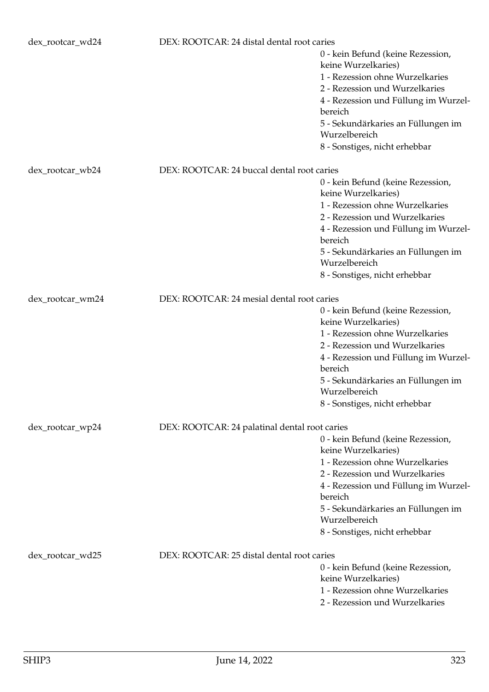| dex_rootcar_wd24                                               | DEX: ROOTCAR: 24 distal dental root caries    |                                                                                                                                                                                                                                                                          |
|----------------------------------------------------------------|-----------------------------------------------|--------------------------------------------------------------------------------------------------------------------------------------------------------------------------------------------------------------------------------------------------------------------------|
|                                                                |                                               | 0 - kein Befund (keine Rezession,<br>keine Wurzelkaries)<br>1 - Rezession ohne Wurzelkaries<br>2 - Rezession und Wurzelkaries<br>4 - Rezession und Füllung im Wurzel-<br>bereich<br>5 - Sekundärkaries an Füllungen im<br>Wurzelbereich<br>8 - Sonstiges, nicht erhebbar |
| DEX: ROOTCAR: 24 buccal dental root caries<br>dex_rootcar_wb24 |                                               |                                                                                                                                                                                                                                                                          |
|                                                                |                                               | 0 - kein Befund (keine Rezession,<br>keine Wurzelkaries)<br>1 - Rezession ohne Wurzelkaries<br>2 - Rezession und Wurzelkaries<br>4 - Rezession und Füllung im Wurzel-<br>bereich<br>5 - Sekundärkaries an Füllungen im<br>Wurzelbereich                                  |
|                                                                |                                               | 8 - Sonstiges, nicht erhebbar                                                                                                                                                                                                                                            |
| dex_rootcar_wm24                                               | DEX: ROOTCAR: 24 mesial dental root caries    |                                                                                                                                                                                                                                                                          |
|                                                                |                                               | 0 - kein Befund (keine Rezession,<br>keine Wurzelkaries)<br>1 - Rezession ohne Wurzelkaries<br>2 - Rezession und Wurzelkaries<br>4 - Rezession und Füllung im Wurzel-<br>bereich<br>5 - Sekundärkaries an Füllungen im<br>Wurzelbereich<br>8 - Sonstiges, nicht erhebbar |
| dex_rootcar_wp24                                               | DEX: ROOTCAR: 24 palatinal dental root caries |                                                                                                                                                                                                                                                                          |
|                                                                |                                               | 0 - kein Befund (keine Rezession,<br>keine Wurzelkaries)<br>1 - Rezession ohne Wurzelkaries<br>2 - Rezession und Wurzelkaries<br>4 - Rezession und Füllung im Wurzel-<br>bereich<br>5 - Sekundärkaries an Füllungen im<br>Wurzelbereich<br>8 - Sonstiges, nicht erhebbar |
| dex_rootcar_wd25                                               | DEX: ROOTCAR: 25 distal dental root caries    | 0 - kein Befund (keine Rezession,<br>keine Wurzelkaries)<br>1 - Rezession ohne Wurzelkaries<br>2 - Rezession und Wurzelkaries                                                                                                                                            |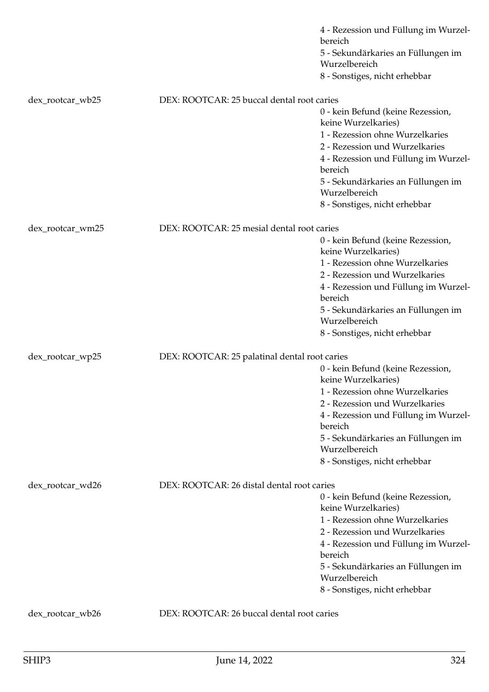|                  |                                               | 4 - Rezession und Füllung im Wurzel-<br>bereich<br>5 - Sekundärkaries an Füllungen im<br>Wurzelbereich |
|------------------|-----------------------------------------------|--------------------------------------------------------------------------------------------------------|
|                  |                                               | 8 - Sonstiges, nicht erhebbar                                                                          |
| dex_rootcar_wb25 | DEX: ROOTCAR: 25 buccal dental root caries    |                                                                                                        |
|                  |                                               | 0 - kein Befund (keine Rezession,<br>keine Wurzelkaries)                                               |
|                  |                                               | 1 - Rezession ohne Wurzelkaries<br>2 - Rezession und Wurzelkaries                                      |
|                  |                                               | 4 - Rezession und Füllung im Wurzel-<br>bereich                                                        |
|                  |                                               | 5 - Sekundärkaries an Füllungen im<br>Wurzelbereich                                                    |
|                  |                                               | 8 - Sonstiges, nicht erhebbar                                                                          |
| dex_rootcar_wm25 | DEX: ROOTCAR: 25 mesial dental root caries    |                                                                                                        |
|                  |                                               | 0 - kein Befund (keine Rezession,<br>keine Wurzelkaries)                                               |
|                  |                                               | 1 - Rezession ohne Wurzelkaries                                                                        |
|                  |                                               | 2 - Rezession und Wurzelkaries<br>4 - Rezession und Füllung im Wurzel-                                 |
|                  |                                               | bereich                                                                                                |
|                  |                                               | 5 - Sekundärkaries an Füllungen im<br>Wurzelbereich                                                    |
|                  |                                               | 8 - Sonstiges, nicht erhebbar                                                                          |
| dex_rootcar_wp25 | DEX: ROOTCAR: 25 palatinal dental root caries |                                                                                                        |
|                  |                                               | 0 - kein Befund (keine Rezession,<br>keine Wurzelkaries)                                               |
|                  |                                               | 1 - Rezession ohne Wurzelkaries                                                                        |
|                  |                                               | 2 - Rezession und Wurzelkaries<br>4 - Rezession und Füllung im Wurzel-                                 |
|                  |                                               | bereich                                                                                                |
|                  |                                               | 5 - Sekundärkaries an Füllungen im<br>Wurzelbereich                                                    |
|                  |                                               | 8 - Sonstiges, nicht erhebbar                                                                          |
| dex_rootcar_wd26 | DEX: ROOTCAR: 26 distal dental root caries    |                                                                                                        |
|                  |                                               | 0 - kein Befund (keine Rezession,                                                                      |
|                  |                                               | keine Wurzelkaries)                                                                                    |
|                  |                                               | 1 - Rezession ohne Wurzelkaries<br>2 - Rezession und Wurzelkaries                                      |
|                  |                                               | 4 - Rezession und Füllung im Wurzel-<br>bereich                                                        |
|                  |                                               | 5 - Sekundärkaries an Füllungen im<br>Wurzelbereich                                                    |
|                  |                                               | 8 - Sonstiges, nicht erhebbar                                                                          |
| dex_rootcar_wb26 | DEX: ROOTCAR: 26 buccal dental root caries    |                                                                                                        |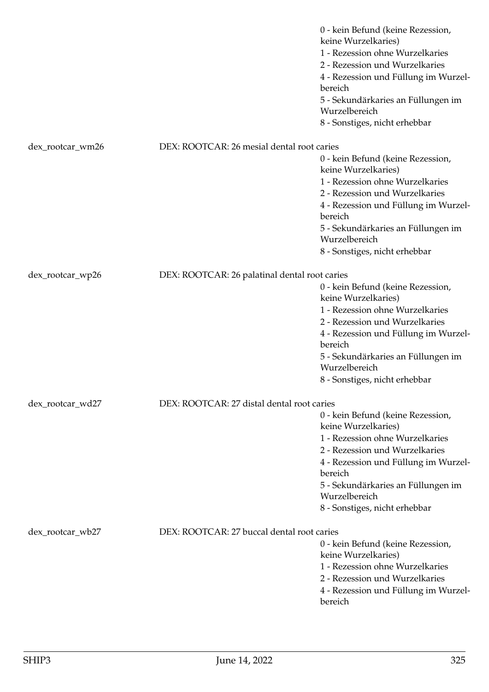|                  |                                               | 0 - kein Befund (keine Rezession,<br>keine Wurzelkaries)<br>1 - Rezession ohne Wurzelkaries<br>2 - Rezession und Wurzelkaries<br>4 - Rezession und Füllung im Wurzel-<br>bereich<br>5 - Sekundärkaries an Füllungen im<br>Wurzelbereich<br>8 - Sonstiges, nicht erhebbar |
|------------------|-----------------------------------------------|--------------------------------------------------------------------------------------------------------------------------------------------------------------------------------------------------------------------------------------------------------------------------|
| dex_rootcar_wm26 | DEX: ROOTCAR: 26 mesial dental root caries    |                                                                                                                                                                                                                                                                          |
|                  |                                               | 0 - kein Befund (keine Rezession,<br>keine Wurzelkaries)                                                                                                                                                                                                                 |
|                  |                                               | 1 - Rezession ohne Wurzelkaries<br>2 - Rezession und Wurzelkaries                                                                                                                                                                                                        |
|                  |                                               | 4 - Rezession und Füllung im Wurzel-<br>bereich                                                                                                                                                                                                                          |
|                  |                                               | 5 - Sekundärkaries an Füllungen im<br>Wurzelbereich                                                                                                                                                                                                                      |
|                  |                                               | 8 - Sonstiges, nicht erhebbar                                                                                                                                                                                                                                            |
| dex_rootcar_wp26 | DEX: ROOTCAR: 26 palatinal dental root caries |                                                                                                                                                                                                                                                                          |
|                  |                                               | 0 - kein Befund (keine Rezession,                                                                                                                                                                                                                                        |
|                  |                                               | keine Wurzelkaries)                                                                                                                                                                                                                                                      |
|                  |                                               | 1 - Rezession ohne Wurzelkaries<br>2 - Rezession und Wurzelkaries                                                                                                                                                                                                        |
|                  |                                               | 4 - Rezession und Füllung im Wurzel-<br>bereich                                                                                                                                                                                                                          |
|                  |                                               | 5 - Sekundärkaries an Füllungen im<br>Wurzelbereich                                                                                                                                                                                                                      |
|                  |                                               | 8 - Sonstiges, nicht erhebbar                                                                                                                                                                                                                                            |
| dex_rootcar_wd27 | DEX: ROOTCAR: 27 distal dental root caries    |                                                                                                                                                                                                                                                                          |
|                  |                                               | 0 - kein Befund (keine Rezession,                                                                                                                                                                                                                                        |
|                  |                                               | keine Wurzelkaries)                                                                                                                                                                                                                                                      |
|                  |                                               | 1 - Rezession ohne Wurzelkaries<br>2 - Rezession und Wurzelkaries                                                                                                                                                                                                        |
|                  |                                               | 4 - Rezession und Füllung im Wurzel-                                                                                                                                                                                                                                     |
|                  |                                               | bereich                                                                                                                                                                                                                                                                  |
|                  |                                               | 5 - Sekundärkaries an Füllungen im<br>Wurzelbereich                                                                                                                                                                                                                      |
|                  |                                               | 8 - Sonstiges, nicht erhebbar                                                                                                                                                                                                                                            |
| dex_rootcar_wb27 | DEX: ROOTCAR: 27 buccal dental root caries    |                                                                                                                                                                                                                                                                          |
|                  |                                               | 0 - kein Befund (keine Rezession,                                                                                                                                                                                                                                        |
|                  |                                               | keine Wurzelkaries)                                                                                                                                                                                                                                                      |
|                  |                                               | 1 - Rezession ohne Wurzelkaries<br>2 - Rezession und Wurzelkaries                                                                                                                                                                                                        |
|                  |                                               | 4 - Rezession und Füllung im Wurzel-                                                                                                                                                                                                                                     |
|                  |                                               | bereich                                                                                                                                                                                                                                                                  |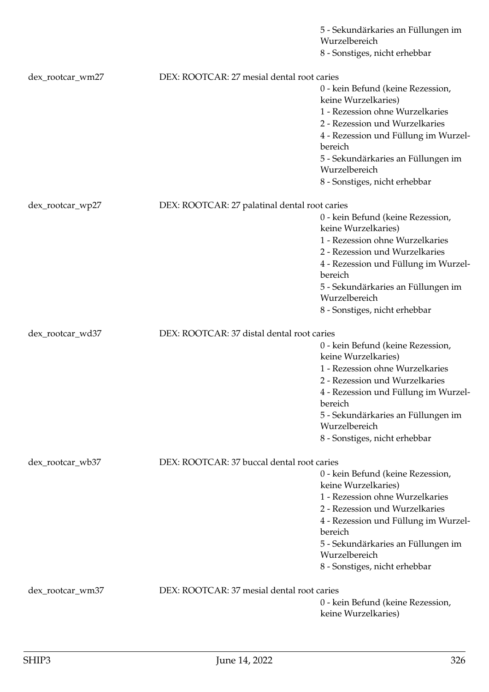|                  |                                               | 5 - Sekundärkaries an Füllungen im                     |
|------------------|-----------------------------------------------|--------------------------------------------------------|
|                  |                                               | Wurzelbereich<br>8 - Sonstiges, nicht erhebbar         |
|                  |                                               |                                                        |
| dex_rootcar_wm27 | DEX: ROOTCAR: 27 mesial dental root caries    |                                                        |
|                  |                                               | 0 - kein Befund (keine Rezession,                      |
|                  |                                               | keine Wurzelkaries)<br>1 - Rezession ohne Wurzelkaries |
|                  |                                               | 2 - Rezession und Wurzelkaries                         |
|                  |                                               | 4 - Rezession und Füllung im Wurzel-                   |
|                  |                                               | bereich                                                |
|                  |                                               | 5 - Sekundärkaries an Füllungen im                     |
|                  |                                               | Wurzelbereich                                          |
|                  |                                               | 8 - Sonstiges, nicht erhebbar                          |
| dex_rootcar_wp27 | DEX: ROOTCAR: 27 palatinal dental root caries |                                                        |
|                  |                                               | 0 - kein Befund (keine Rezession,                      |
|                  |                                               | keine Wurzelkaries)                                    |
|                  |                                               | 1 - Rezession ohne Wurzelkaries                        |
|                  |                                               | 2 - Rezession und Wurzelkaries                         |
|                  |                                               | 4 - Rezession und Füllung im Wurzel-                   |
|                  |                                               | bereich                                                |
|                  |                                               | 5 - Sekundärkaries an Füllungen im<br>Wurzelbereich    |
|                  |                                               | 8 - Sonstiges, nicht erhebbar                          |
|                  |                                               |                                                        |
| dex_rootcar_wd37 | DEX: ROOTCAR: 37 distal dental root caries    |                                                        |
|                  |                                               | 0 - kein Befund (keine Rezession,                      |
|                  |                                               | keine Wurzelkaries)                                    |
|                  |                                               | 1 - Rezession ohne Wurzelkaries                        |
|                  |                                               | 2 - Rezession und Wurzelkaries                         |
|                  |                                               | 4 - Rezession und Füllung im Wurzel-<br>bereich        |
|                  |                                               | 5 - Sekundärkaries an Füllungen im                     |
|                  |                                               | Wurzelbereich                                          |
|                  |                                               | 8 - Sonstiges, nicht erhebbar                          |
| dex_rootcar_wb37 | DEX: ROOTCAR: 37 buccal dental root caries    |                                                        |
|                  |                                               | 0 - kein Befund (keine Rezession,                      |
|                  |                                               | keine Wurzelkaries)                                    |
|                  |                                               | 1 - Rezession ohne Wurzelkaries                        |
|                  |                                               | 2 - Rezession und Wurzelkaries                         |
|                  |                                               | 4 - Rezession und Füllung im Wurzel-                   |
|                  |                                               | bereich                                                |
|                  |                                               | 5 - Sekundärkaries an Füllungen im<br>Wurzelbereich    |
|                  |                                               | 8 - Sonstiges, nicht erhebbar                          |
|                  |                                               |                                                        |
| dex_rootcar_wm37 | DEX: ROOTCAR: 37 mesial dental root caries    |                                                        |
|                  |                                               | 0 - kein Befund (keine Rezession,                      |
|                  |                                               | keine Wurzelkaries)                                    |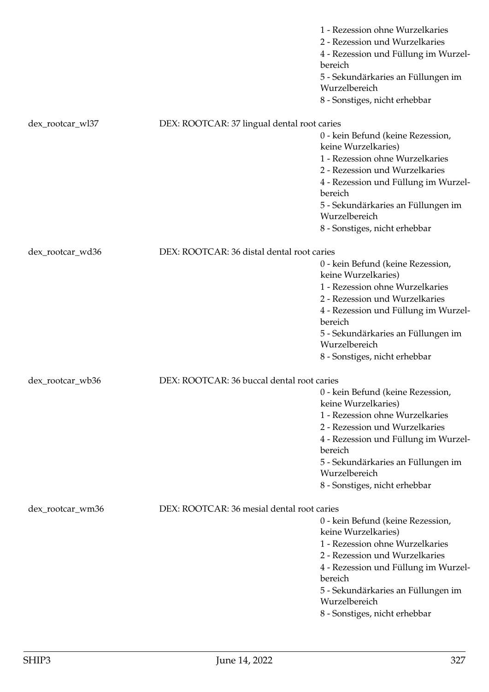|                  |                                             | 1 - Rezession ohne Wurzelkaries<br>2 - Rezession und Wurzelkaries<br>4 - Rezession und Füllung im Wurzel-<br>bereich<br>5 - Sekundärkaries an Füllungen im<br>Wurzelbereich<br>8 - Sonstiges, nicht erhebbar                                                             |
|------------------|---------------------------------------------|--------------------------------------------------------------------------------------------------------------------------------------------------------------------------------------------------------------------------------------------------------------------------|
| dex_rootcar_wl37 | DEX: ROOTCAR: 37 lingual dental root caries |                                                                                                                                                                                                                                                                          |
|                  |                                             | 0 - kein Befund (keine Rezession,<br>keine Wurzelkaries)<br>1 - Rezession ohne Wurzelkaries<br>2 - Rezession und Wurzelkaries<br>4 - Rezession und Füllung im Wurzel-<br>bereich<br>5 - Sekundärkaries an Füllungen im<br>Wurzelbereich<br>8 - Sonstiges, nicht erhebbar |
| dex_rootcar_wd36 | DEX: ROOTCAR: 36 distal dental root caries  |                                                                                                                                                                                                                                                                          |
|                  |                                             | 0 - kein Befund (keine Rezession,<br>keine Wurzelkaries)<br>1 - Rezession ohne Wurzelkaries<br>2 - Rezession und Wurzelkaries<br>4 - Rezession und Füllung im Wurzel-<br>bereich<br>5 - Sekundärkaries an Füllungen im<br>Wurzelbereich<br>8 - Sonstiges, nicht erhebbar |
| dex_rootcar_wb36 | DEX: ROOTCAR: 36 buccal dental root caries  |                                                                                                                                                                                                                                                                          |
|                  |                                             | 0 - kein Befund (keine Rezession,<br>keine Wurzelkaries)<br>1 - Rezession ohne Wurzelkaries<br>2 - Rezession und Wurzelkaries<br>4 - Rezession und Füllung im Wurzel-<br>bereich<br>5 - Sekundärkaries an Füllungen im<br>Wurzelbereich<br>8 - Sonstiges, nicht erhebbar |
| dex_rootcar_wm36 | DEX: ROOTCAR: 36 mesial dental root caries  |                                                                                                                                                                                                                                                                          |
|                  |                                             | 0 - kein Befund (keine Rezession,<br>keine Wurzelkaries)<br>1 - Rezession ohne Wurzelkaries<br>2 - Rezession und Wurzelkaries<br>4 - Rezession und Füllung im Wurzel-<br>bereich<br>5 - Sekundärkaries an Füllungen im<br>Wurzelbereich<br>8 - Sonstiges, nicht erhebbar |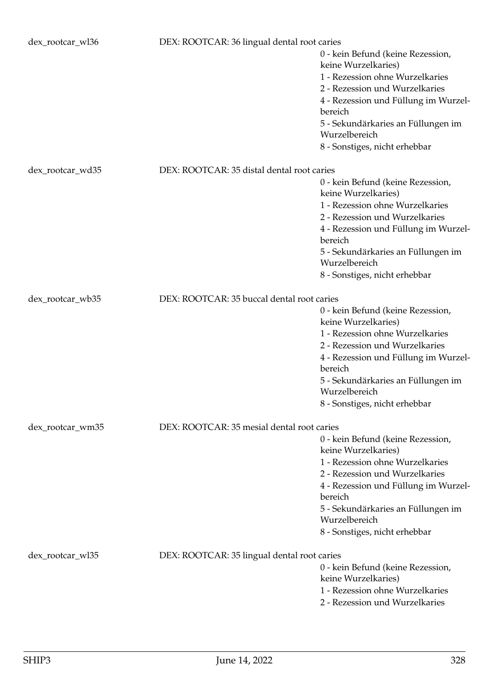| dex_rootcar_wl36 | DEX: ROOTCAR: 36 lingual dental root caries |                                                          |
|------------------|---------------------------------------------|----------------------------------------------------------|
|                  |                                             | 0 - kein Befund (keine Rezession,<br>keine Wurzelkaries) |
|                  |                                             | 1 - Rezession ohne Wurzelkaries                          |
|                  |                                             | 2 - Rezession und Wurzelkaries                           |
|                  |                                             | 4 - Rezession und Füllung im Wurzel-                     |
|                  |                                             | bereich                                                  |
|                  |                                             | 5 - Sekundärkaries an Füllungen im                       |
|                  |                                             | Wurzelbereich                                            |
|                  |                                             | 8 - Sonstiges, nicht erhebbar                            |
| dex_rootcar_wd35 | DEX: ROOTCAR: 35 distal dental root caries  |                                                          |
|                  |                                             | 0 - kein Befund (keine Rezession,                        |
|                  |                                             | keine Wurzelkaries)                                      |
|                  |                                             | 1 - Rezession ohne Wurzelkaries                          |
|                  |                                             | 2 - Rezession und Wurzelkaries                           |
|                  |                                             | 4 - Rezession und Füllung im Wurzel-<br>bereich          |
|                  |                                             | 5 - Sekundärkaries an Füllungen im<br>Wurzelbereich      |
|                  |                                             | 8 - Sonstiges, nicht erhebbar                            |
| dex_rootcar_wb35 | DEX: ROOTCAR: 35 buccal dental root caries  |                                                          |
|                  |                                             | 0 - kein Befund (keine Rezession,                        |
|                  |                                             | keine Wurzelkaries)                                      |
|                  |                                             | 1 - Rezession ohne Wurzelkaries                          |
|                  |                                             | 2 - Rezession und Wurzelkaries                           |
|                  |                                             | 4 - Rezession und Füllung im Wurzel-<br>bereich          |
|                  |                                             | 5 - Sekundärkaries an Füllungen im                       |
|                  |                                             | Wurzelbereich                                            |
|                  |                                             | 8 - Sonstiges, nicht erhebbar                            |
| dex_rootcar_wm35 | DEX: ROOTCAR: 35 mesial dental root caries  |                                                          |
|                  |                                             | 0 - kein Befund (keine Rezession,                        |
|                  |                                             | keine Wurzelkaries)                                      |
|                  |                                             | 1 - Rezession ohne Wurzelkaries                          |
|                  |                                             | 2 - Rezession und Wurzelkaries                           |
|                  |                                             | 4 - Rezession und Füllung im Wurzel-                     |
|                  |                                             | bereich                                                  |
|                  |                                             | 5 - Sekundärkaries an Füllungen im<br>Wurzelbereich      |
|                  |                                             | 8 - Sonstiges, nicht erhebbar                            |
| dex_rootcar_wl35 | DEX: ROOTCAR: 35 lingual dental root caries |                                                          |
|                  |                                             | 0 - kein Befund (keine Rezession,                        |
|                  |                                             | keine Wurzelkaries)                                      |
|                  |                                             | 1 - Rezession ohne Wurzelkaries                          |
|                  |                                             | 2 - Rezession und Wurzelkaries                           |
|                  |                                             |                                                          |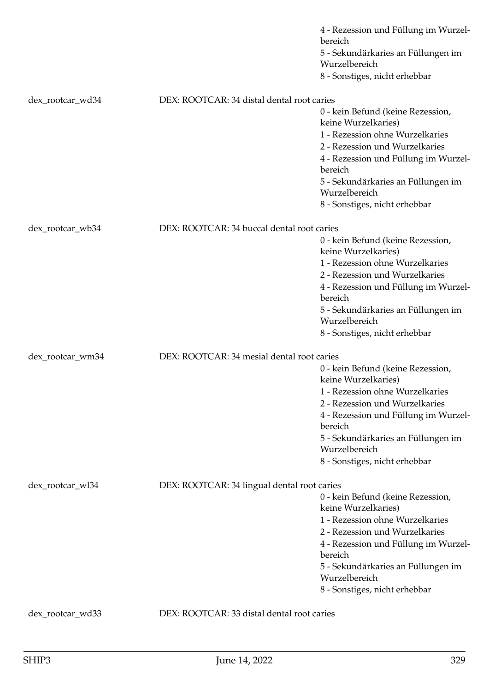|                  |                                             | 4 - Rezession und Füllung im Wurzel-<br>bereich<br>5 - Sekundärkaries an Füllungen im<br>Wurzelbereich    |
|------------------|---------------------------------------------|-----------------------------------------------------------------------------------------------------------|
|                  |                                             | 8 - Sonstiges, nicht erhebbar                                                                             |
| dex_rootcar_wd34 | DEX: ROOTCAR: 34 distal dental root caries  |                                                                                                           |
|                  |                                             | 0 - kein Befund (keine Rezession,<br>keine Wurzelkaries)<br>1 - Rezession ohne Wurzelkaries               |
|                  |                                             | 2 - Rezession und Wurzelkaries                                                                            |
|                  |                                             | 4 - Rezession und Füllung im Wurzel-<br>bereich                                                           |
|                  |                                             | 5 - Sekundärkaries an Füllungen im<br>Wurzelbereich                                                       |
|                  |                                             | 8 - Sonstiges, nicht erhebbar                                                                             |
| dex_rootcar_wb34 | DEX: ROOTCAR: 34 buccal dental root caries  |                                                                                                           |
|                  |                                             | 0 - kein Befund (keine Rezession,<br>keine Wurzelkaries)                                                  |
|                  |                                             | 1 - Rezession ohne Wurzelkaries<br>2 - Rezession und Wurzelkaries<br>4 - Rezession und Füllung im Wurzel- |
|                  |                                             | bereich                                                                                                   |
|                  |                                             | 5 - Sekundärkaries an Füllungen im<br>Wurzelbereich                                                       |
|                  |                                             | 8 - Sonstiges, nicht erhebbar                                                                             |
| dex_rootcar_wm34 | DEX: ROOTCAR: 34 mesial dental root caries  |                                                                                                           |
|                  |                                             | 0 - kein Befund (keine Rezession,<br>keine Wurzelkaries)                                                  |
|                  |                                             | 1 - Rezession ohne Wurzelkaries                                                                           |
|                  |                                             | 2 - Rezession und Wurzelkaries                                                                            |
|                  |                                             | 4 - Rezession und Füllung im Wurzel-<br>bereich                                                           |
|                  |                                             | 5 - Sekundärkaries an Füllungen im                                                                        |
|                  |                                             | Wurzelbereich                                                                                             |
|                  |                                             | 8 - Sonstiges, nicht erhebbar                                                                             |
| dex_rootcar_wl34 | DEX: ROOTCAR: 34 lingual dental root caries |                                                                                                           |
|                  |                                             | 0 - kein Befund (keine Rezession,                                                                         |
|                  |                                             | keine Wurzelkaries)<br>1 - Rezession ohne Wurzelkaries                                                    |
|                  |                                             | 2 - Rezession und Wurzelkaries                                                                            |
|                  |                                             | 4 - Rezession und Füllung im Wurzel-                                                                      |
|                  |                                             | bereich                                                                                                   |
|                  |                                             | 5 - Sekundärkaries an Füllungen im                                                                        |
|                  |                                             | Wurzelbereich<br>8 - Sonstiges, nicht erhebbar                                                            |
|                  |                                             |                                                                                                           |
| dex_rootcar_wd33 | DEX: ROOTCAR: 33 distal dental root caries  |                                                                                                           |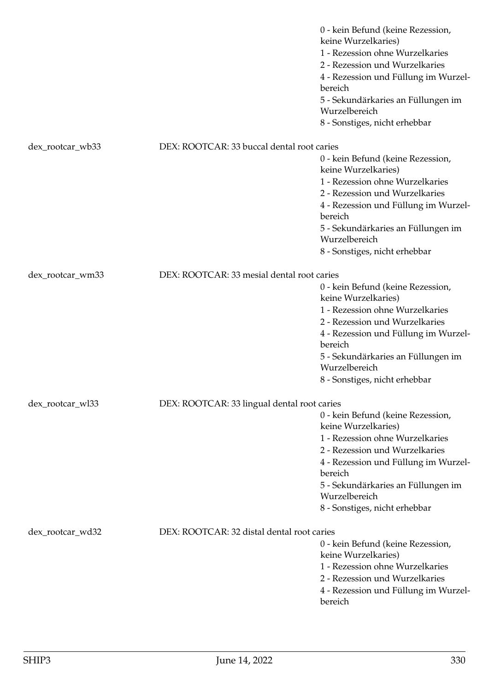|                  |                                             | 0 - kein Befund (keine Rezession,<br>keine Wurzelkaries)<br>1 - Rezession ohne Wurzelkaries<br>2 - Rezession und Wurzelkaries<br>4 - Rezession und Füllung im Wurzel-<br>bereich<br>5 - Sekundärkaries an Füllungen im<br>Wurzelbereich<br>8 - Sonstiges, nicht erhebbar |
|------------------|---------------------------------------------|--------------------------------------------------------------------------------------------------------------------------------------------------------------------------------------------------------------------------------------------------------------------------|
| dex_rootcar_wb33 | DEX: ROOTCAR: 33 buccal dental root caries  |                                                                                                                                                                                                                                                                          |
|                  |                                             | 0 - kein Befund (keine Rezession,<br>keine Wurzelkaries)<br>1 - Rezession ohne Wurzelkaries<br>2 - Rezession und Wurzelkaries<br>4 - Rezession und Füllung im Wurzel-<br>bereich<br>5 - Sekundärkaries an Füllungen im<br>Wurzelbereich<br>8 - Sonstiges, nicht erhebbar |
| dex_rootcar_wm33 | DEX: ROOTCAR: 33 mesial dental root caries  | 0 - kein Befund (keine Rezession,<br>keine Wurzelkaries)<br>1 - Rezession ohne Wurzelkaries<br>2 - Rezession und Wurzelkaries<br>4 - Rezession und Füllung im Wurzel-<br>bereich<br>5 - Sekundärkaries an Füllungen im<br>Wurzelbereich<br>8 - Sonstiges, nicht erhebbar |
| dex_rootcar_wl33 | DEX: ROOTCAR: 33 lingual dental root caries | 0 - kein Befund (keine Rezession,<br>keine Wurzelkaries)<br>1 - Rezession ohne Wurzelkaries<br>2 - Rezession und Wurzelkaries<br>4 - Rezession und Füllung im Wurzel-<br>bereich<br>5 - Sekundärkaries an Füllungen im<br>Wurzelbereich<br>8 - Sonstiges, nicht erhebbar |
| dex_rootcar_wd32 | DEX: ROOTCAR: 32 distal dental root caries  | 0 - kein Befund (keine Rezession,<br>keine Wurzelkaries)<br>1 - Rezession ohne Wurzelkaries<br>2 - Rezession und Wurzelkaries<br>4 - Rezession und Füllung im Wurzel-<br>bereich                                                                                         |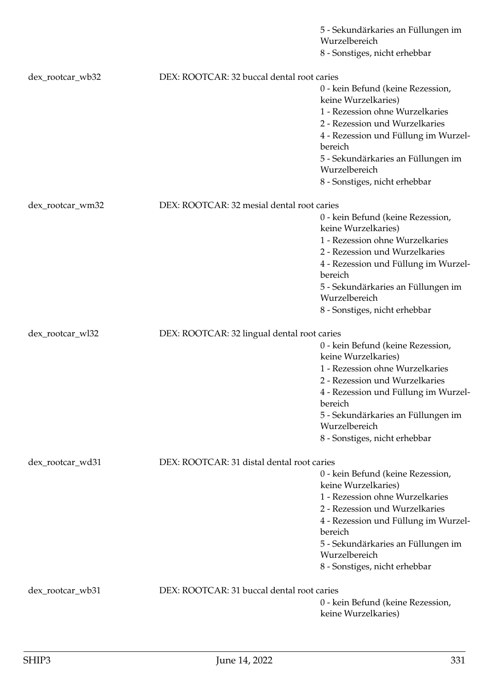|                  |                                             | 5 - Sekundärkaries an Füllungen im                       |
|------------------|---------------------------------------------|----------------------------------------------------------|
|                  |                                             | Wurzelbereich<br>8 - Sonstiges, nicht erhebbar           |
|                  |                                             |                                                          |
| dex_rootcar_wb32 | DEX: ROOTCAR: 32 buccal dental root caries  |                                                          |
|                  |                                             | 0 - kein Befund (keine Rezession,<br>keine Wurzelkaries) |
|                  |                                             | 1 - Rezession ohne Wurzelkaries                          |
|                  |                                             | 2 - Rezession und Wurzelkaries                           |
|                  |                                             | 4 - Rezession und Füllung im Wurzel-<br>bereich          |
|                  |                                             | 5 - Sekundärkaries an Füllungen im<br>Wurzelbereich      |
|                  |                                             | 8 - Sonstiges, nicht erhebbar                            |
| dex_rootcar_wm32 | DEX: ROOTCAR: 32 mesial dental root caries  |                                                          |
|                  |                                             | 0 - kein Befund (keine Rezession,                        |
|                  |                                             | keine Wurzelkaries)                                      |
|                  |                                             | 1 - Rezession ohne Wurzelkaries                          |
|                  |                                             | 2 - Rezession und Wurzelkaries                           |
|                  |                                             | 4 - Rezession und Füllung im Wurzel-<br>bereich          |
|                  |                                             | 5 - Sekundärkaries an Füllungen im<br>Wurzelbereich      |
|                  |                                             | 8 - Sonstiges, nicht erhebbar                            |
|                  |                                             |                                                          |
| dex_rootcar_wl32 | DEX: ROOTCAR: 32 lingual dental root caries | 0 - kein Befund (keine Rezession,                        |
|                  |                                             | keine Wurzelkaries)                                      |
|                  |                                             | 1 - Rezession ohne Wurzelkaries                          |
|                  |                                             | 2 - Rezession und Wurzelkaries                           |
|                  |                                             | 4 - Rezession und Füllung im Wurzel-<br>bereich          |
|                  |                                             | 5 - Sekundärkaries an Füllungen im<br>Wurzelbereich      |
|                  |                                             | 8 - Sonstiges, nicht erhebbar                            |
|                  |                                             |                                                          |
| dex_rootcar_wd31 | DEX: ROOTCAR: 31 distal dental root caries  |                                                          |
|                  |                                             | 0 - kein Befund (keine Rezession,                        |
|                  |                                             | keine Wurzelkaries)<br>1 - Rezession ohne Wurzelkaries   |
|                  |                                             | 2 - Rezession und Wurzelkaries                           |
|                  |                                             | 4 - Rezession und Füllung im Wurzel-                     |
|                  |                                             | bereich                                                  |
|                  |                                             | 5 - Sekundärkaries an Füllungen im                       |
|                  |                                             | Wurzelbereich                                            |
|                  |                                             | 8 - Sonstiges, nicht erhebbar                            |
| dex_rootcar_wb31 | DEX: ROOTCAR: 31 buccal dental root caries  |                                                          |
|                  |                                             | 0 - kein Befund (keine Rezession,                        |
|                  |                                             | keine Wurzelkaries)                                      |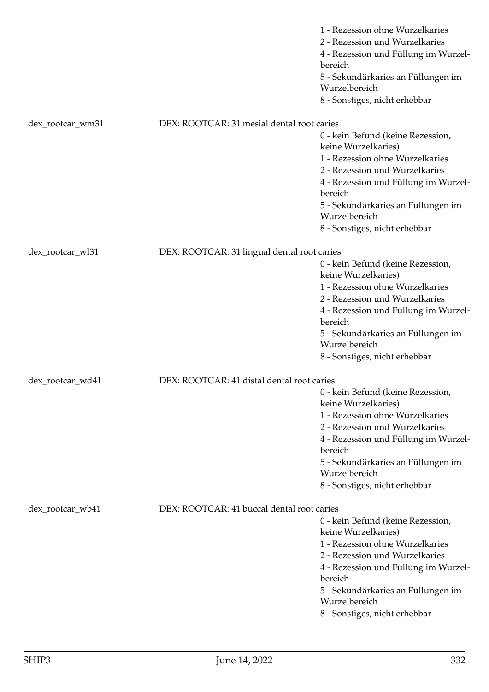|                  |                                             | 1 - Rezession ohne Wurzelkaries<br>2 - Rezession und Wurzelkaries<br>4 - Rezession und Füllung im Wurzel-<br>bereich<br>5 - Sekundärkaries an Füllungen im<br>Wurzelbereich<br>8 - Sonstiges, nicht erhebbar                                                             |
|------------------|---------------------------------------------|--------------------------------------------------------------------------------------------------------------------------------------------------------------------------------------------------------------------------------------------------------------------------|
| dex_rootcar_wm31 | DEX: ROOTCAR: 31 mesial dental root caries  |                                                                                                                                                                                                                                                                          |
|                  |                                             | 0 - kein Befund (keine Rezession,<br>keine Wurzelkaries)<br>1 - Rezession ohne Wurzelkaries<br>2 - Rezession und Wurzelkaries<br>4 - Rezession und Füllung im Wurzel-<br>bereich<br>5 - Sekundärkaries an Füllungen im<br>Wurzelbereich<br>8 - Sonstiges, nicht erhebbar |
| dex_rootcar_wl31 | DEX: ROOTCAR: 31 lingual dental root caries |                                                                                                                                                                                                                                                                          |
|                  |                                             | 0 - kein Befund (keine Rezession,<br>keine Wurzelkaries)<br>1 - Rezession ohne Wurzelkaries<br>2 - Rezession und Wurzelkaries<br>4 - Rezession und Füllung im Wurzel-<br>bereich<br>5 - Sekundärkaries an Füllungen im<br>Wurzelbereich<br>8 - Sonstiges, nicht erhebbar |
| dex_rootcar_wd41 | DEX: ROOTCAR: 41 distal dental root caries  |                                                                                                                                                                                                                                                                          |
|                  |                                             | 0 - kein Befund (keine Rezession,<br>keine Wurzelkaries)<br>1 - Rezession ohne Wurzelkaries<br>2 - Rezession und Wurzelkaries<br>4 - Rezession und Füllung im Wurzel-<br>bereich<br>5 - Sekundärkaries an Füllungen im<br>Wurzelbereich<br>8 - Sonstiges, nicht erhebbar |
| dex_rootcar_wb41 | DEX: ROOTCAR: 41 buccal dental root caries  |                                                                                                                                                                                                                                                                          |
|                  |                                             | 0 - kein Befund (keine Rezession,<br>keine Wurzelkaries)<br>1 - Rezession ohne Wurzelkaries<br>2 - Rezession und Wurzelkaries<br>4 - Rezession und Füllung im Wurzel-<br>bereich<br>5 - Sekundärkaries an Füllungen im<br>Wurzelbereich<br>8 - Sonstiges, nicht erhebbar |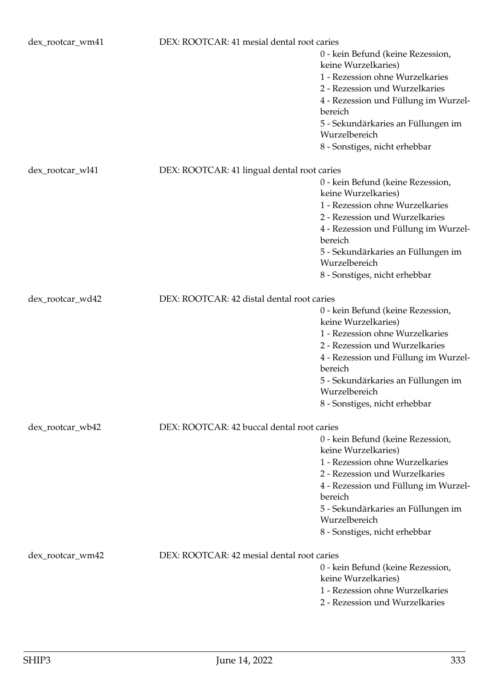| dex_rootcar_wm41 | DEX: ROOTCAR: 41 mesial dental root caries  | 0 - kein Befund (keine Rezession,<br>keine Wurzelkaries)<br>1 - Rezession ohne Wurzelkaries<br>2 - Rezession und Wurzelkaries<br>4 - Rezession und Füllung im Wurzel-<br>bereich<br>5 - Sekundärkaries an Füllungen im<br>Wurzelbereich<br>8 - Sonstiges, nicht erhebbar |
|------------------|---------------------------------------------|--------------------------------------------------------------------------------------------------------------------------------------------------------------------------------------------------------------------------------------------------------------------------|
| dex_rootcar_wl41 | DEX: ROOTCAR: 41 lingual dental root caries | 0 - kein Befund (keine Rezession,<br>keine Wurzelkaries)<br>1 - Rezession ohne Wurzelkaries<br>2 - Rezession und Wurzelkaries<br>4 - Rezession und Füllung im Wurzel-<br>bereich<br>5 - Sekundärkaries an Füllungen im<br>Wurzelbereich<br>8 - Sonstiges, nicht erhebbar |
| dex_rootcar_wd42 | DEX: ROOTCAR: 42 distal dental root caries  | 0 - kein Befund (keine Rezession,<br>keine Wurzelkaries)<br>1 - Rezession ohne Wurzelkaries<br>2 - Rezession und Wurzelkaries<br>4 - Rezession und Füllung im Wurzel-<br>bereich<br>5 - Sekundärkaries an Füllungen im<br>Wurzelbereich<br>8 - Sonstiges, nicht erhebbar |
| dex_rootcar_wb42 | DEX: ROOTCAR: 42 buccal dental root caries  | 0 - kein Befund (keine Rezession,<br>keine Wurzelkaries)<br>1 - Rezession ohne Wurzelkaries<br>2 - Rezession und Wurzelkaries<br>4 - Rezession und Füllung im Wurzel-<br>bereich<br>5 - Sekundärkaries an Füllungen im<br>Wurzelbereich<br>8 - Sonstiges, nicht erhebbar |
| dex_rootcar_wm42 | DEX: ROOTCAR: 42 mesial dental root caries  | 0 - kein Befund (keine Rezession,<br>keine Wurzelkaries)<br>1 - Rezession ohne Wurzelkaries<br>2 - Rezession und Wurzelkaries                                                                                                                                            |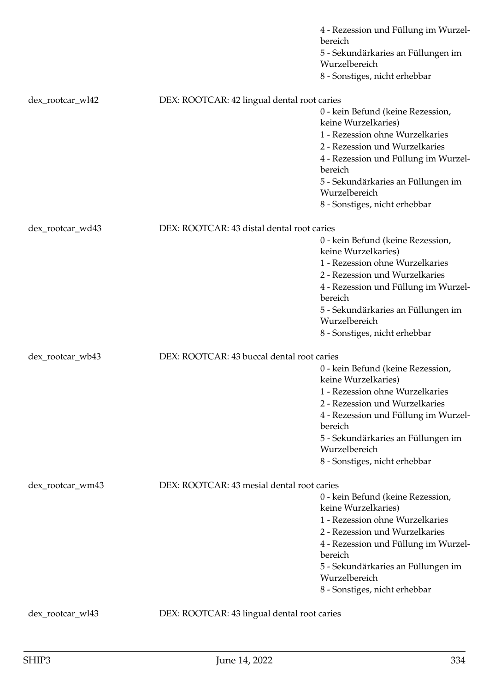|                  |                                             | 4 - Rezession und Füllung im Wurzel-<br>bereich<br>5 - Sekundärkaries an Füllungen im<br>Wurzelbereich |
|------------------|---------------------------------------------|--------------------------------------------------------------------------------------------------------|
|                  |                                             | 8 - Sonstiges, nicht erhebbar                                                                          |
| dex_rootcar_wl42 | DEX: ROOTCAR: 42 lingual dental root caries |                                                                                                        |
|                  |                                             | 0 - kein Befund (keine Rezession,<br>keine Wurzelkaries)                                               |
|                  |                                             | 1 - Rezession ohne Wurzelkaries<br>2 - Rezession und Wurzelkaries                                      |
|                  |                                             | 4 - Rezession und Füllung im Wurzel-<br>bereich                                                        |
|                  |                                             | 5 - Sekundärkaries an Füllungen im<br>Wurzelbereich                                                    |
|                  |                                             | 8 - Sonstiges, nicht erhebbar                                                                          |
| dex_rootcar_wd43 | DEX: ROOTCAR: 43 distal dental root caries  |                                                                                                        |
|                  |                                             | 0 - kein Befund (keine Rezession,<br>keine Wurzelkaries)                                               |
|                  |                                             | 1 - Rezession ohne Wurzelkaries<br>2 - Rezession und Wurzelkaries                                      |
|                  |                                             | 4 - Rezession und Füllung im Wurzel-                                                                   |
|                  |                                             | bereich                                                                                                |
|                  |                                             | 5 - Sekundärkaries an Füllungen im<br>Wurzelbereich                                                    |
|                  |                                             | 8 - Sonstiges, nicht erhebbar                                                                          |
| dex_rootcar_wb43 | DEX: ROOTCAR: 43 buccal dental root caries  |                                                                                                        |
|                  |                                             | 0 - kein Befund (keine Rezession,<br>keine Wurzelkaries)                                               |
|                  |                                             | 1 - Rezession ohne Wurzelkaries                                                                        |
|                  |                                             | 2 - Rezession und Wurzelkaries<br>4 - Rezession und Füllung im Wurzel-                                 |
|                  |                                             | bereich                                                                                                |
|                  |                                             | 5 - Sekundärkaries an Füllungen im<br>Wurzelbereich                                                    |
|                  |                                             | 8 - Sonstiges, nicht erhebbar                                                                          |
| dex_rootcar_wm43 | DEX: ROOTCAR: 43 mesial dental root caries  |                                                                                                        |
|                  |                                             | 0 - kein Befund (keine Rezession,                                                                      |
|                  |                                             | keine Wurzelkaries)<br>1 - Rezession ohne Wurzelkaries                                                 |
|                  |                                             | 2 - Rezession und Wurzelkaries                                                                         |
|                  |                                             | 4 - Rezession und Füllung im Wurzel-<br>bereich                                                        |
|                  |                                             | 5 - Sekundärkaries an Füllungen im<br>Wurzelbereich                                                    |
|                  |                                             | 8 - Sonstiges, nicht erhebbar                                                                          |
| dex_rootcar_wl43 | DEX: ROOTCAR: 43 lingual dental root caries |                                                                                                        |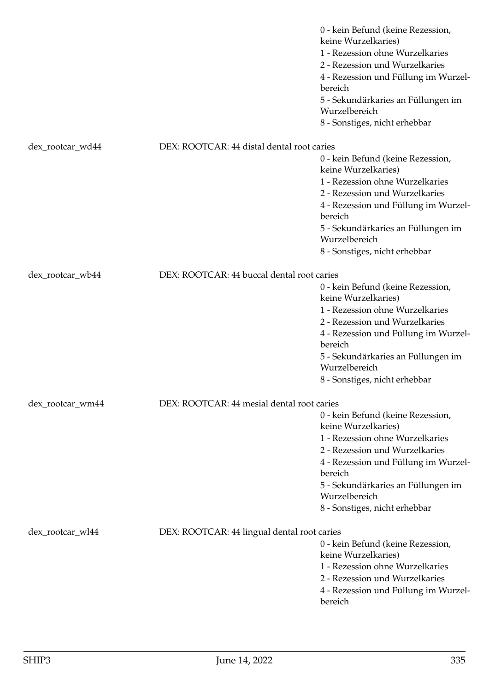|                  |                                             | 0 - kein Befund (keine Rezession,<br>keine Wurzelkaries)<br>1 - Rezession ohne Wurzelkaries<br>2 - Rezession und Wurzelkaries<br>4 - Rezession und Füllung im Wurzel-<br>bereich<br>5 - Sekundärkaries an Füllungen im<br>Wurzelbereich<br>8 - Sonstiges, nicht erhebbar |
|------------------|---------------------------------------------|--------------------------------------------------------------------------------------------------------------------------------------------------------------------------------------------------------------------------------------------------------------------------|
| dex_rootcar_wd44 | DEX: ROOTCAR: 44 distal dental root caries  |                                                                                                                                                                                                                                                                          |
|                  |                                             | 0 - kein Befund (keine Rezession,<br>keine Wurzelkaries)<br>1 - Rezession ohne Wurzelkaries<br>2 - Rezession und Wurzelkaries<br>4 - Rezession und Füllung im Wurzel-<br>bereich<br>5 - Sekundärkaries an Füllungen im<br>Wurzelbereich<br>8 - Sonstiges, nicht erhebbar |
| dex_rootcar_wb44 | DEX: ROOTCAR: 44 buccal dental root caries  | 0 - kein Befund (keine Rezession,<br>keine Wurzelkaries)<br>1 - Rezession ohne Wurzelkaries<br>2 - Rezession und Wurzelkaries<br>4 - Rezession und Füllung im Wurzel-<br>bereich<br>5 - Sekundärkaries an Füllungen im<br>Wurzelbereich<br>8 - Sonstiges, nicht erhebbar |
| dex_rootcar_wm44 | DEX: ROOTCAR: 44 mesial dental root caries  | 0 - kein Befund (keine Rezession,<br>keine Wurzelkaries)<br>1 - Rezession ohne Wurzelkaries<br>2 - Rezession und Wurzelkaries<br>4 - Rezession und Füllung im Wurzel-<br>bereich<br>5 - Sekundärkaries an Füllungen im<br>Wurzelbereich<br>8 - Sonstiges, nicht erhebbar |
| dex_rootcar_wl44 | DEX: ROOTCAR: 44 lingual dental root caries | 0 - kein Befund (keine Rezession,<br>keine Wurzelkaries)<br>1 - Rezession ohne Wurzelkaries<br>2 - Rezession und Wurzelkaries<br>4 - Rezession und Füllung im Wurzel-<br>bereich                                                                                         |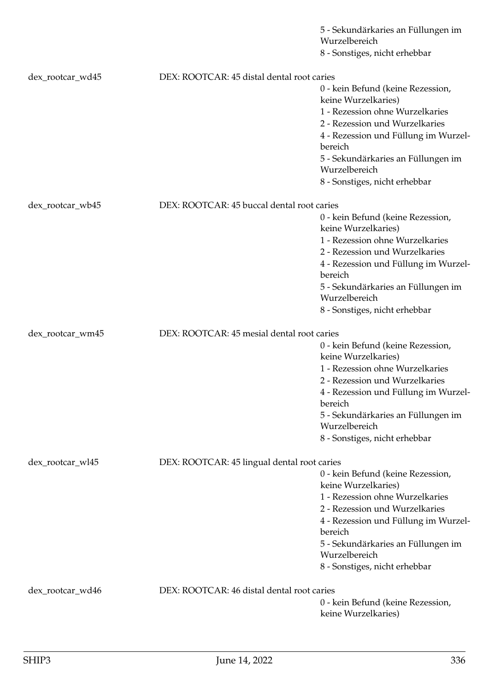|                  |                                             | 5 - Sekundärkaries an Füllungen im<br>Wurzelbereich      |
|------------------|---------------------------------------------|----------------------------------------------------------|
|                  |                                             | 8 - Sonstiges, nicht erhebbar                            |
|                  |                                             |                                                          |
| dex_rootcar_wd45 | DEX: ROOTCAR: 45 distal dental root caries  |                                                          |
|                  |                                             | 0 - kein Befund (keine Rezession,<br>keine Wurzelkaries) |
|                  |                                             | 1 - Rezession ohne Wurzelkaries                          |
|                  |                                             | 2 - Rezession und Wurzelkaries                           |
|                  |                                             | 4 - Rezession und Füllung im Wurzel-<br>bereich          |
|                  |                                             | 5 - Sekundärkaries an Füllungen im<br>Wurzelbereich      |
|                  |                                             | 8 - Sonstiges, nicht erhebbar                            |
|                  | DEX: ROOTCAR: 45 buccal dental root caries  |                                                          |
| dex_rootcar_wb45 |                                             | 0 - kein Befund (keine Rezession,                        |
|                  |                                             | keine Wurzelkaries)                                      |
|                  |                                             | 1 - Rezession ohne Wurzelkaries                          |
|                  |                                             | 2 - Rezession und Wurzelkaries                           |
|                  |                                             | 4 - Rezession und Füllung im Wurzel-<br>bereich          |
|                  |                                             | 5 - Sekundärkaries an Füllungen im<br>Wurzelbereich      |
|                  |                                             | 8 - Sonstiges, nicht erhebbar                            |
|                  |                                             |                                                          |
| dex_rootcar_wm45 | DEX: ROOTCAR: 45 mesial dental root caries  |                                                          |
|                  |                                             | 0 - kein Befund (keine Rezession,<br>keine Wurzelkaries) |
|                  |                                             | 1 - Rezession ohne Wurzelkaries                          |
|                  |                                             | 2 - Rezession und Wurzelkaries                           |
|                  |                                             | 4 - Rezession und Füllung im Wurzel-<br>bereich          |
|                  |                                             | 5 - Sekundärkaries an Füllungen im<br>Wurzelbereich      |
|                  |                                             | 8 - Sonstiges, nicht erhebbar                            |
|                  |                                             |                                                          |
| dex_rootcar_wl45 | DEX: ROOTCAR: 45 lingual dental root caries |                                                          |
|                  |                                             | 0 - kein Befund (keine Rezession,<br>keine Wurzelkaries) |
|                  |                                             | 1 - Rezession ohne Wurzelkaries                          |
|                  |                                             | 2 - Rezession und Wurzelkaries                           |
|                  |                                             | 4 - Rezession und Füllung im Wurzel-                     |
|                  |                                             | bereich                                                  |
|                  |                                             | 5 - Sekundärkaries an Füllungen im                       |
|                  |                                             | Wurzelbereich                                            |
|                  |                                             | 8 - Sonstiges, nicht erhebbar                            |
| dex_rootcar_wd46 | DEX: ROOTCAR: 46 distal dental root caries  |                                                          |
|                  |                                             | 0 - kein Befund (keine Rezession,                        |
|                  |                                             | keine Wurzelkaries)                                      |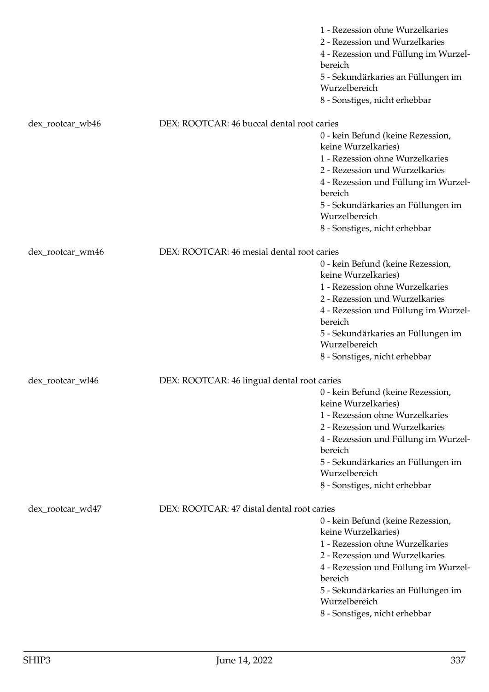| 1 - Rezession ohne Wurzelkaries<br>2 - Rezession und Wurzelkaries<br>4 - Rezession und Füllung im Wurzel-<br>bereich<br>5 - Sekundärkaries an Füllungen im<br>Wurzelbereich<br>8 - Sonstiges, nicht erhebbar                                                             |
|--------------------------------------------------------------------------------------------------------------------------------------------------------------------------------------------------------------------------------------------------------------------------|
|                                                                                                                                                                                                                                                                          |
| 0 - kein Befund (keine Rezession,<br>keine Wurzelkaries)<br>1 - Rezession ohne Wurzelkaries<br>2 - Rezession und Wurzelkaries<br>4 - Rezession und Füllung im Wurzel-<br>bereich<br>5 - Sekundärkaries an Füllungen im<br>Wurzelbereich<br>8 - Sonstiges, nicht erhebbar |
|                                                                                                                                                                                                                                                                          |
| 0 - kein Befund (keine Rezession,<br>keine Wurzelkaries)                                                                                                                                                                                                                 |
| 1 - Rezession ohne Wurzelkaries<br>2 - Rezession und Wurzelkaries<br>4 - Rezession und Füllung im Wurzel-<br>bereich                                                                                                                                                     |
| 5 - Sekundärkaries an Füllungen im<br>Wurzelbereich<br>8 - Sonstiges, nicht erhebbar                                                                                                                                                                                     |
|                                                                                                                                                                                                                                                                          |
|                                                                                                                                                                                                                                                                          |
| 0 - kein Befund (keine Rezession,<br>keine Wurzelkaries)                                                                                                                                                                                                                 |
| 1 - Rezession ohne Wurzelkaries                                                                                                                                                                                                                                          |
| 2 - Rezession und Wurzelkaries<br>4 - Rezession und Füllung im Wurzel-<br>bereich                                                                                                                                                                                        |
| 5 - Sekundärkaries an Füllungen im<br>Wurzelbereich                                                                                                                                                                                                                      |
| 8 - Sonstiges, nicht erhebbar                                                                                                                                                                                                                                            |
| 0 - kein Befund (keine Rezession,<br>keine Wurzelkaries)<br>1 - Rezession ohne Wurzelkaries<br>2 - Rezession und Wurzelkaries<br>4 - Rezession und Füllung im Wurzel-<br>bereich<br>5 - Sekundärkaries an Füllungen im<br>Wurzelbereich<br>8 - Sonstiges, nicht erhebbar |
| DEX: ROOTCAR: 46 buccal dental root caries<br>DEX: ROOTCAR: 46 mesial dental root caries<br>DEX: ROOTCAR: 46 lingual dental root caries<br>DEX: ROOTCAR: 47 distal dental root caries                                                                                    |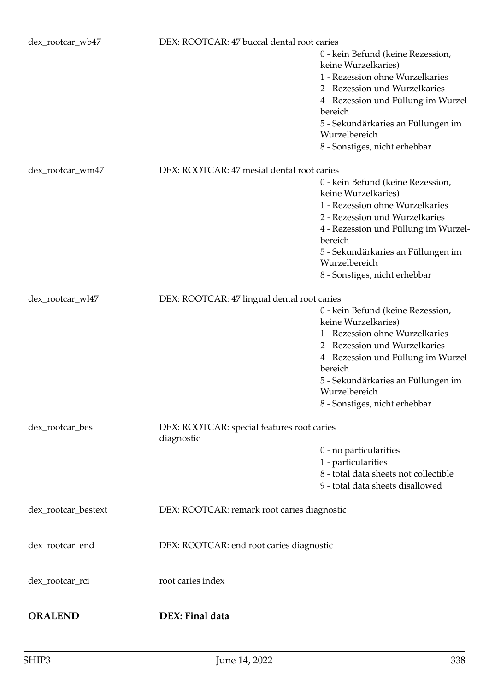| dex_rootcar_wb47    | DEX: ROOTCAR: 47 buccal dental root caries               |                                                                                                                                                                                  |  |
|---------------------|----------------------------------------------------------|----------------------------------------------------------------------------------------------------------------------------------------------------------------------------------|--|
|                     |                                                          | 0 - kein Befund (keine Rezession,<br>keine Wurzelkaries)<br>1 - Rezession ohne Wurzelkaries<br>2 - Rezession und Wurzelkaries<br>4 - Rezession und Füllung im Wurzel-<br>bereich |  |
|                     |                                                          | 5 - Sekundärkaries an Füllungen im<br>Wurzelbereich                                                                                                                              |  |
|                     |                                                          | 8 - Sonstiges, nicht erhebbar                                                                                                                                                    |  |
| dex_rootcar_wm47    | DEX: ROOTCAR: 47 mesial dental root caries               |                                                                                                                                                                                  |  |
|                     |                                                          | 0 - kein Befund (keine Rezession,<br>keine Wurzelkaries)                                                                                                                         |  |
|                     |                                                          | 1 - Rezession ohne Wurzelkaries                                                                                                                                                  |  |
|                     |                                                          | 2 - Rezession und Wurzelkaries                                                                                                                                                   |  |
|                     |                                                          | 4 - Rezession und Füllung im Wurzel-<br>bereich                                                                                                                                  |  |
|                     |                                                          | 5 - Sekundärkaries an Füllungen im<br>Wurzelbereich                                                                                                                              |  |
|                     |                                                          | 8 - Sonstiges, nicht erhebbar                                                                                                                                                    |  |
| dex_rootcar_wl47    | DEX: ROOTCAR: 47 lingual dental root caries              |                                                                                                                                                                                  |  |
|                     |                                                          | 0 - kein Befund (keine Rezession,<br>keine Wurzelkaries)                                                                                                                         |  |
|                     |                                                          | 1 - Rezession ohne Wurzelkaries                                                                                                                                                  |  |
|                     |                                                          | 2 - Rezession und Wurzelkaries                                                                                                                                                   |  |
|                     |                                                          | 4 - Rezession und Füllung im Wurzel-                                                                                                                                             |  |
|                     |                                                          | bereich                                                                                                                                                                          |  |
|                     |                                                          | 5 - Sekundärkaries an Füllungen im                                                                                                                                               |  |
|                     |                                                          | Wurzelbereich                                                                                                                                                                    |  |
|                     |                                                          | 8 - Sonstiges, nicht erhebbar                                                                                                                                                    |  |
| dex_rootcar_bes     | DEX: ROOTCAR: special features root caries<br>diagnostic |                                                                                                                                                                                  |  |
|                     |                                                          | 0 - no particularities                                                                                                                                                           |  |
|                     |                                                          | 1 - particularities                                                                                                                                                              |  |
|                     |                                                          | 8 - total data sheets not collectible                                                                                                                                            |  |
|                     |                                                          | 9 - total data sheets disallowed                                                                                                                                                 |  |
| dex_rootcar_bestext | DEX: ROOTCAR: remark root caries diagnostic              |                                                                                                                                                                                  |  |
| dex_rootcar_end     | DEX: ROOTCAR: end root caries diagnostic                 |                                                                                                                                                                                  |  |
| dex_rootcar_rci     | root caries index                                        |                                                                                                                                                                                  |  |
|                     |                                                          |                                                                                                                                                                                  |  |
| <b>ORALEND</b>      | DEX: Final data                                          |                                                                                                                                                                                  |  |
|                     |                                                          |                                                                                                                                                                                  |  |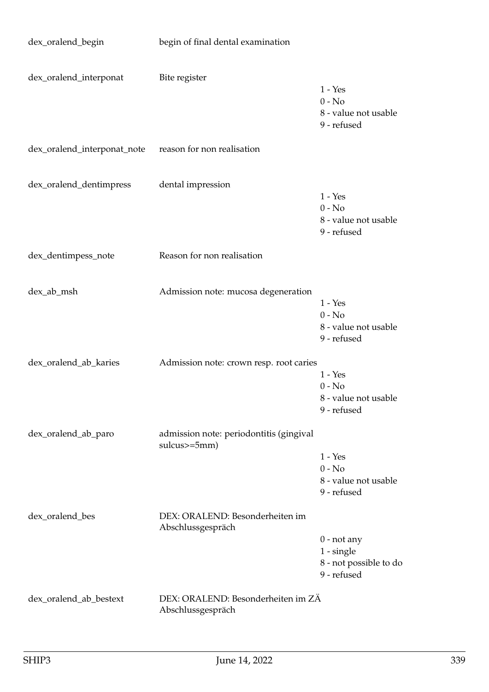| dex_oralend_begin           | begin of final dental examination                         |                                                                        |
|-----------------------------|-----------------------------------------------------------|------------------------------------------------------------------------|
| dex_oralend_interponat      | Bite register                                             | $1 - Yes$<br>$0 - No$<br>8 - value not usable<br>9 - refused           |
| dex_oralend_interponat_note | reason for non realisation                                |                                                                        |
| dex_oralend_dentimpress     | dental impression                                         | $1 - Yes$<br>$0 - No$<br>8 - value not usable<br>9 - refused           |
| dex_dentimpess_note         | Reason for non realisation                                |                                                                        |
| dex_ab_msh                  | Admission note: mucosa degeneration                       | $1 - Yes$<br>$0 - No$<br>8 - value not usable<br>9 - refused           |
| dex_oralend_ab_karies       | Admission note: crown resp. root caries                   | $1 - Yes$<br>$0 - No$<br>8 - value not usable<br>9 - refused           |
| dex_oralend_ab_paro         | admission note: periodontitis (gingival<br>$sulcus>=5mm)$ | $1 - Yes$<br>$0 - No$<br>8 - value not usable<br>9 - refused           |
| dex_oralend_bes             | DEX: ORALEND: Besonderheiten im<br>Abschlussgespräch      | $0$ - not any<br>$1 - single$<br>8 - not possible to do<br>9 - refused |
| dex_oralend_ab_bestext      | DEX: ORALEND: Besonderheiten im ZÄ<br>Abschlussgespräch   |                                                                        |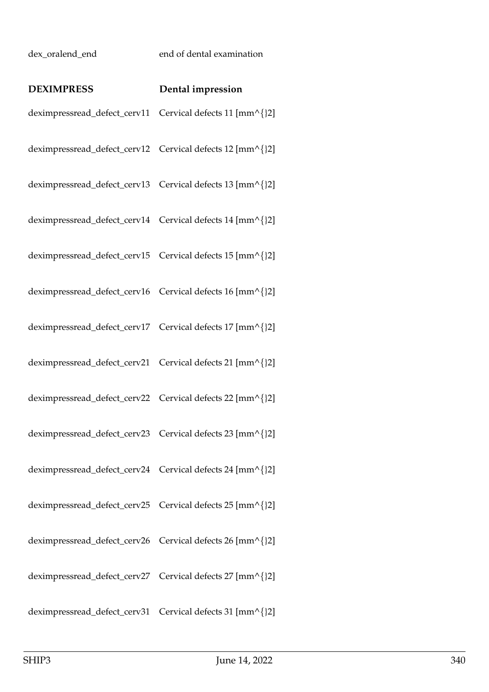## dex\_oralend\_end end of dental examination

| <b>DEXIMPRESS</b>                                         | Dental impression |
|-----------------------------------------------------------|-------------------|
| deximpressread_defect_cerv11 Cervical defects 11 [mm^{}2] |                   |
| deximpressread_defect_cerv12 Cervical defects 12 [mm^{}2] |                   |
| deximpressread_defect_cerv13 Cervical defects 13 [mm^{}2] |                   |
| deximpressread_defect_cerv14 Cervical defects 14 [mm^{}2] |                   |
| deximpressread_defect_cerv15 Cervical defects 15 [mm^{}2] |                   |
| deximpressread_defect_cerv16 Cervical defects 16 [mm^{}2] |                   |
| deximpressread_defect_cerv17 Cervical defects 17 [mm^{}2] |                   |
| deximpressread_defect_cerv21 Cervical defects 21 [mm^{}2] |                   |
| deximpressread_defect_cerv22 Cervical defects 22 [mm^{}2] |                   |
| deximpressread_defect_cerv23 Cervical defects 23 [mm^{}2] |                   |
| deximpressread_defect_cerv24 Cervical defects 24 [mm^{}2] |                   |
| deximpressread_defect_cerv25 Cervical defects 25 [mm^{}2] |                   |
| deximpressread_defect_cerv26 Cervical defects 26 [mm^{}2] |                   |
| deximpressread_defect_cerv27 Cervical defects 27 [mm^{}2] |                   |
| deximpressread_defect_cerv31 Cervical defects 31 [mm^{}2] |                   |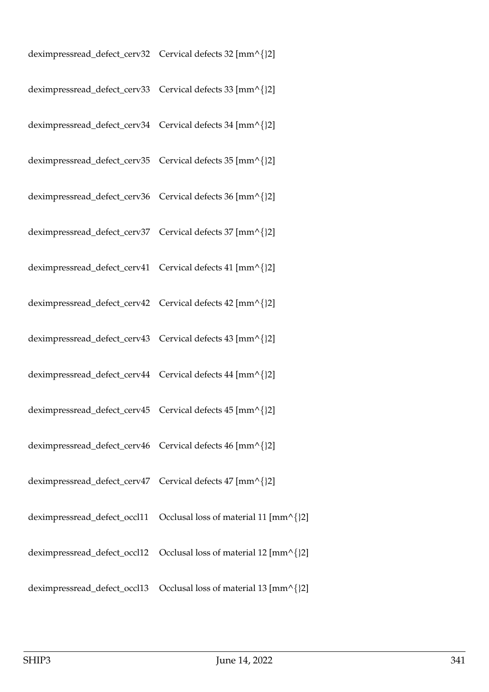| deximpressread_defect_cerv32 Cervical defects 32 [mm^{}2] |  |
|-----------------------------------------------------------|--|
| deximpressread_defect_cerv33 Cervical defects 33 [mm^{}2] |  |
| deximpressread_defect_cerv34 Cervical defects 34 [mm^{}2] |  |
| deximpressread_defect_cerv35 Cervical defects 35 [mm^{}2] |  |
| deximpressread_defect_cerv36 Cervical defects 36 [mm^{}2] |  |
| deximpressread_defect_cerv37 Cervical defects 37 [mm^{}2] |  |
| deximpressread_defect_cerv41 Cervical defects 41 [mm^{}2] |  |
| deximpressread_defect_cerv42 Cervical defects 42 [mm^{}2] |  |
| deximpressread_defect_cerv43 Cervical defects 43 [mm^{}2] |  |
| deximpressread_defect_cerv44 Cervical defects 44 [mm^{}2] |  |
| deximpressread_defect_cerv45 Cervical defects 45 [mm^{}2] |  |
| deximpressread_defect_cerv46 Cervical defects 46 [mm^{}2] |  |
| deximpressread_defect_cerv47 Cervical defects 47 [mm^{}2] |  |
|                                                           |  |
|                                                           |  |
|                                                           |  |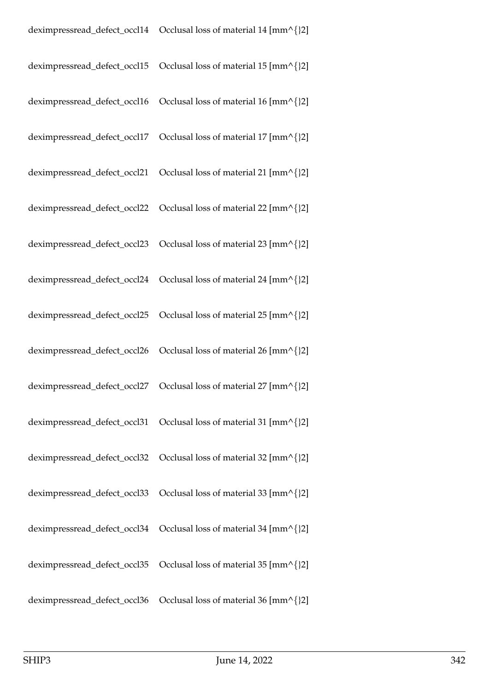| deximpressread_defect_occl15 | Occlusal loss of material 15 $\text{[mm\textdegree]}\{2\}$ |
|------------------------------|------------------------------------------------------------|
| deximpressread_defect_occl16 | Occlusal loss of material 16 [mm^{}2]                      |
| deximpressread_defect_occl17 | Occlusal loss of material 17 [mm^{}2]                      |
| deximpressread_defect_occl21 | Occlusal loss of material 21 [mm^{}2]                      |
| deximpressread_defect_occl22 | Occlusal loss of material 22 [mm^{}2]                      |
| deximpressread_defect_occl23 | Occlusal loss of material 23 [mm^{}2]                      |
|                              |                                                            |
|                              |                                                            |
|                              |                                                            |
| deximpressread_defect_occl27 | Occlusal loss of material 27 [mm^{}2]                      |
|                              |                                                            |
|                              |                                                            |
|                              |                                                            |
|                              |                                                            |
| deximpressread_defect_occl35 | Occlusal loss of material 35 [mm^{}2]                      |
| deximpressread_defect_occl36 | Occlusal loss of material 36 [mm^{}2]                      |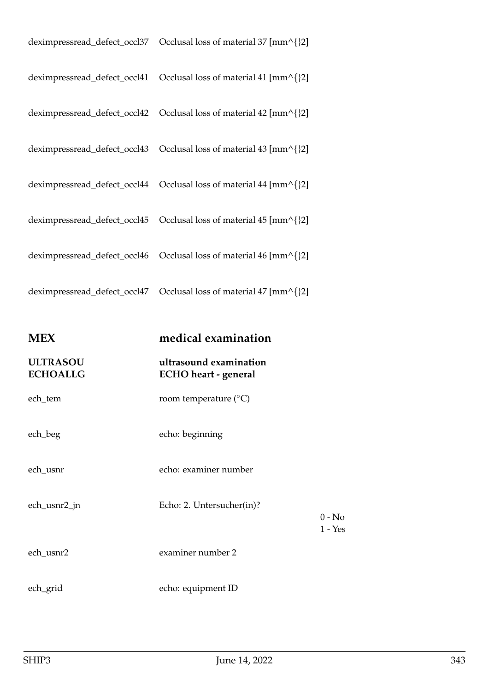| <b>MEX</b>                         | medical examination                                   |
|------------------------------------|-------------------------------------------------------|
| <b>ULTRASOU</b><br><b>ECHOALLG</b> | ultrasound examination<br><b>ECHO</b> heart - general |
| ech_tem                            | room temperature $(^{\circ}C)$                        |
| ech_beg                            | echo: beginning                                       |
| ech_usnr                           | echo: examiner number                                 |
| ech_usnr2_jn                       | Echo: 2. Untersucher(in)?                             |
| ech_usnr2                          | examiner number 2                                     |
| ech_grid                           | echo: equipment ID                                    |
|                                    |                                                       |

0 - No 1 - Yes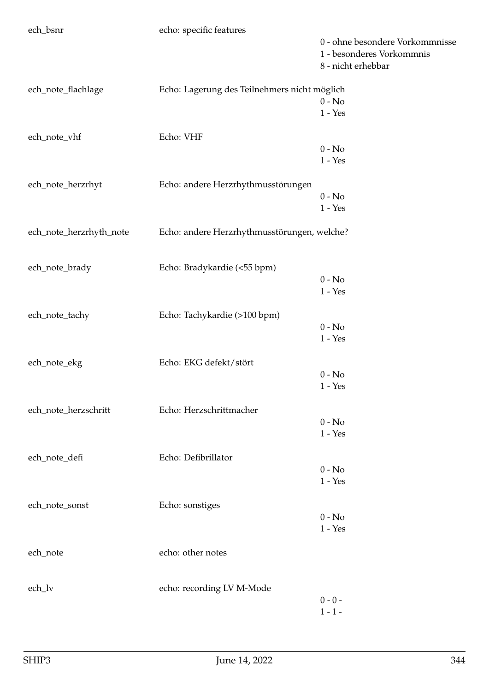| ech_bsnr                | echo: specific features                      |                                 |
|-------------------------|----------------------------------------------|---------------------------------|
|                         |                                              | 0 - ohne besondere Vorkommnisse |
|                         |                                              | 1 - besonderes Vorkommnis       |
|                         |                                              | 8 - nicht erhebbar              |
| ech_note_flachlage      | Echo: Lagerung des Teilnehmers nicht möglich |                                 |
|                         |                                              | $0 - No$                        |
|                         |                                              | $1 - Yes$                       |
|                         |                                              |                                 |
| ech_note_vhf            | Echo: VHF                                    |                                 |
|                         |                                              | $0 - No$                        |
|                         |                                              | $1 - Yes$                       |
|                         |                                              |                                 |
| ech_note_herzrhyt       | Echo: andere Herzrhythmusstörungen           | $0 - No$                        |
|                         |                                              |                                 |
|                         |                                              | $1$ - $\operatorname{Yes}$      |
| ech_note_herzrhyth_note | Echo: andere Herzrhythmusstörungen, welche?  |                                 |
|                         |                                              |                                 |
| ech_note_brady          | Echo: Bradykardie (<55 bpm)                  |                                 |
|                         |                                              | $0 - No$                        |
|                         |                                              | $1 - Yes$                       |
|                         |                                              |                                 |
| ech_note_tachy          | Echo: Tachykardie (>100 bpm)                 |                                 |
|                         |                                              | $0 - No$                        |
|                         |                                              | $1 - Yes$                       |
|                         |                                              |                                 |
| ech_note_ekg            | Echo: EKG defekt/stört                       |                                 |
|                         |                                              | $0 - No$                        |
|                         |                                              | $1 - Yes$                       |
| ech_note_herzschritt    | Echo: Herzschrittmacher                      |                                 |
|                         |                                              | $0 - No$                        |
|                         |                                              | $1 - Yes$                       |
|                         |                                              |                                 |
| ech_note_defi           | Echo: Defibrillator                          |                                 |
|                         |                                              | $0 - No$                        |
|                         |                                              | $1 - Yes$                       |
| ech_note_sonst          | Echo: sonstiges                              |                                 |
|                         |                                              | $0 - No$                        |
|                         |                                              | $1 - Yes$                       |
|                         |                                              |                                 |
| ech_note                | echo: other notes                            |                                 |
|                         |                                              |                                 |
| ech_lv                  | echo: recording LV M-Mode                    |                                 |
|                         |                                              | $0 - 0 -$                       |
|                         |                                              | $1 - 1 -$                       |
|                         |                                              |                                 |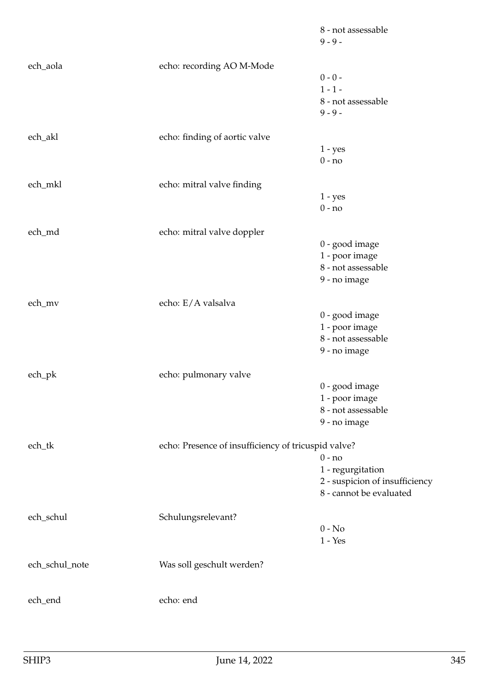|                |                                                     | 8 - not assessable<br>$9 - 9 -$ |
|----------------|-----------------------------------------------------|---------------------------------|
| ech_aola       | echo: recording AO M-Mode                           |                                 |
|                |                                                     | $0 - 0 -$                       |
|                |                                                     | $1 - 1 -$                       |
|                |                                                     | 8 - not assessable              |
|                |                                                     | $9 - 9 -$                       |
| ech_akl        | echo: finding of aortic valve                       |                                 |
|                |                                                     | $1 - yes$                       |
|                |                                                     | $0 - no$                        |
| ech_mkl        | echo: mitral valve finding                          |                                 |
|                |                                                     | $1 - yes$                       |
|                |                                                     | $0 - no$                        |
| ech_md         | echo: mitral valve doppler                          |                                 |
|                |                                                     | 0 - good image                  |
|                |                                                     | 1 - poor image                  |
|                |                                                     | 8 - not assessable              |
|                |                                                     | 9 - no image                    |
| ech_mv         | echo: E/A valsalva                                  |                                 |
|                |                                                     | 0 - good image                  |
|                |                                                     | 1 - poor image                  |
|                |                                                     | 8 - not assessable              |
|                |                                                     | 9 - no image                    |
| ech_pk         | echo: pulmonary valve                               |                                 |
|                |                                                     | 0 - good image                  |
|                |                                                     | 1 - poor image                  |
|                |                                                     | 8 - not assessable              |
|                |                                                     | 9 - no image                    |
| ech_tk         | echo: Presence of insufficiency of tricuspid valve? |                                 |
|                |                                                     | $0 - no$                        |
|                |                                                     | 1 - regurgitation               |
|                |                                                     | 2 - suspicion of insufficiency  |
|                |                                                     | 8 - cannot be evaluated         |
| ech_schul      | Schulungsrelevant?                                  | $0 - No$                        |
|                |                                                     |                                 |
|                |                                                     | $1 - Yes$                       |
| ech_schul_note | Was soll geschult werden?                           |                                 |
| ech_end        | echo: end                                           |                                 |
|                |                                                     |                                 |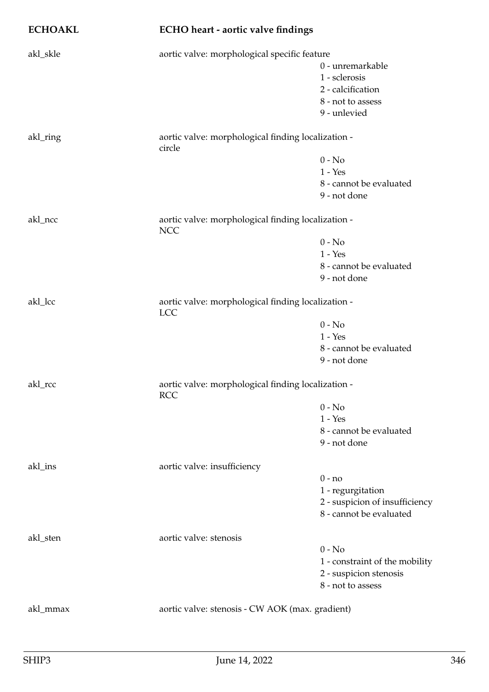## **ECHOAKL ECHO heart - aortic valve findings**

| akl_skle | aortic valve: morphological specific feature                 |                                                                  |  |
|----------|--------------------------------------------------------------|------------------------------------------------------------------|--|
|          |                                                              | 0 - unremarkable                                                 |  |
|          |                                                              | 1 - sclerosis                                                    |  |
|          |                                                              | 2 - calcification                                                |  |
|          |                                                              | 8 - not to assess                                                |  |
|          |                                                              | 9 - unlevied                                                     |  |
|          |                                                              |                                                                  |  |
| akl_ring | aortic valve: morphological finding localization -<br>circle |                                                                  |  |
|          |                                                              | $0 - No$                                                         |  |
|          |                                                              | $1 - Yes$                                                        |  |
|          |                                                              | 8 - cannot be evaluated                                          |  |
|          |                                                              | 9 - not done                                                     |  |
| akl_ncc  | <b>NCC</b>                                                   | aortic valve: morphological finding localization -               |  |
|          |                                                              | $0 - No$                                                         |  |
|          |                                                              | $1 - Yes$                                                        |  |
|          |                                                              | 8 - cannot be evaluated                                          |  |
|          |                                                              | 9 - not done                                                     |  |
|          |                                                              |                                                                  |  |
| akl_lcc  | <b>LCC</b>                                                   | aortic valve: morphological finding localization -               |  |
|          |                                                              | $0 - No$                                                         |  |
|          |                                                              | $1 - Yes$                                                        |  |
|          |                                                              | 8 - cannot be evaluated                                          |  |
|          |                                                              | 9 - not done                                                     |  |
| akl_rcc  |                                                              | aortic valve: morphological finding localization -<br><b>RCC</b> |  |
|          |                                                              | $0 - No$                                                         |  |
|          |                                                              | $1 - Yes$                                                        |  |
|          |                                                              | 8 - cannot be evaluated                                          |  |
|          |                                                              | 9 - not done                                                     |  |
| akl_ins  | aortic valve: insufficiency                                  |                                                                  |  |
|          |                                                              | $0 - no$                                                         |  |
|          |                                                              | 1 - regurgitation                                                |  |
|          |                                                              | 2 - suspicion of insufficiency                                   |  |
|          |                                                              | 8 - cannot be evaluated                                          |  |
|          |                                                              |                                                                  |  |
| akl_sten | aortic valve: stenosis                                       |                                                                  |  |
|          |                                                              | $0 - No$                                                         |  |
|          |                                                              | 1 - constraint of the mobility                                   |  |
|          |                                                              | 2 - suspicion stenosis                                           |  |
|          |                                                              | 8 - not to assess                                                |  |
|          |                                                              |                                                                  |  |
| akl_mmax | aortic valve: stenosis - CW AOK (max. gradient)              |                                                                  |  |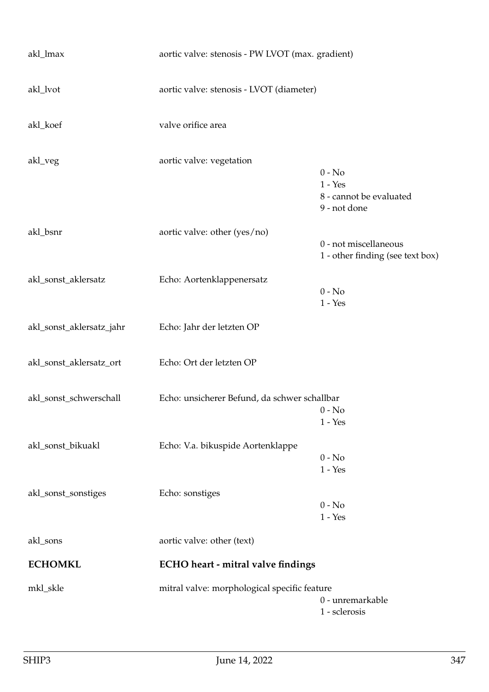| akl_lmax                 | aortic valve: stenosis - PW LVOT (max. gradient) |                                                                  |
|--------------------------|--------------------------------------------------|------------------------------------------------------------------|
| akl_lvot                 | aortic valve: stenosis - LVOT (diameter)         |                                                                  |
| akl_koef                 | valve orifice area                               |                                                                  |
| akl_veg                  | aortic valve: vegetation                         | $0 - No$<br>$1 - Yes$<br>8 - cannot be evaluated<br>9 - not done |
| akl_bsnr                 | aortic valve: other (yes/no)                     | 0 - not miscellaneous<br>1 - other finding (see text box)        |
| akl_sonst_aklersatz      | Echo: Aortenklappenersatz                        | $0 - No$<br>$1 - Yes$                                            |
| akl_sonst_aklersatz_jahr | Echo: Jahr der letzten OP                        |                                                                  |
| akl_sonst_aklersatz_ort  | Echo: Ort der letzten OP                         |                                                                  |
| akl_sonst_schwerschall   | Echo: unsicherer Befund, da schwer schallbar     | $0 - No$<br>$1 - Yes$                                            |
| akl_sonst_bikuakl        | Echo: V.a. bikuspide Aortenklappe                | $0 - No$<br>$1 - Yes$                                            |
| akl_sonst_sonstiges      | Echo: sonstiges                                  | $0 - No$<br>$1 - Yes$                                            |
| akl_sons                 | aortic valve: other (text)                       |                                                                  |
| <b>ECHOMKL</b>           | <b>ECHO</b> heart - mitral valve findings        |                                                                  |
| mkl_skle                 | mitral valve: morphological specific feature     | 0 - unremarkable<br>1 - sclerosis                                |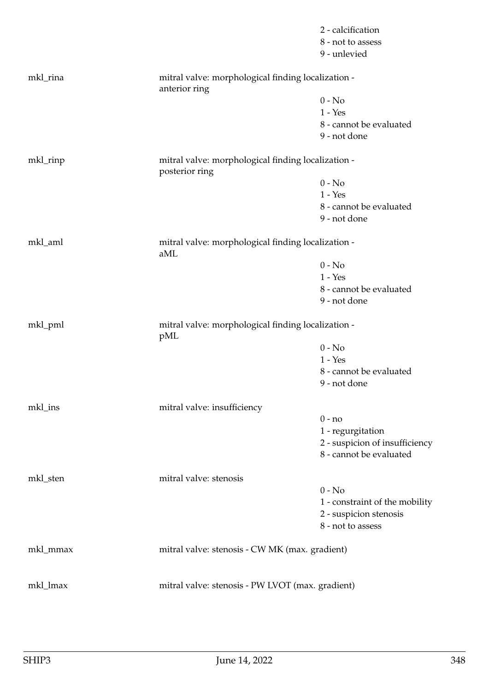|          |                                                                      | 2 - calcification              |
|----------|----------------------------------------------------------------------|--------------------------------|
|          |                                                                      | 8 - not to assess              |
|          |                                                                      | 9 - unlevied                   |
| mkl_rina | mitral valve: morphological finding localization -<br>anterior ring  |                                |
|          |                                                                      | $0 - No$                       |
|          |                                                                      | $1 - Yes$                      |
|          |                                                                      | 8 - cannot be evaluated        |
|          |                                                                      | 9 - not done                   |
| mkl_rinp | mitral valve: morphological finding localization -<br>posterior ring |                                |
|          |                                                                      | $0 - No$                       |
|          |                                                                      | $1 - Yes$                      |
|          |                                                                      | 8 - cannot be evaluated        |
|          |                                                                      | 9 - not done                   |
| mkl_aml  | mitral valve: morphological finding localization -<br>aML            |                                |
|          |                                                                      | $0 - No$                       |
|          |                                                                      | $1 - Yes$                      |
|          |                                                                      | 8 - cannot be evaluated        |
|          |                                                                      | 9 - not done                   |
| mkl_pml  | mitral valve: morphological finding localization -<br>pML            |                                |
|          |                                                                      | $0 - No$                       |
|          |                                                                      | $1 - Yes$                      |
|          |                                                                      | 8 - cannot be evaluated        |
|          |                                                                      | 9 - not done                   |
| mkl_ins  | mitral valve: insufficiency                                          |                                |
|          |                                                                      | $0 - no$                       |
|          |                                                                      | 1 - regurgitation              |
|          |                                                                      | 2 - suspicion of insufficiency |
|          |                                                                      | 8 - cannot be evaluated        |
| mkl_sten | mitral valve: stenosis                                               |                                |
|          |                                                                      | $0 - No$                       |
|          |                                                                      | 1 - constraint of the mobility |
|          |                                                                      | 2 - suspicion stenosis         |
|          |                                                                      | 8 - not to assess              |
| mkl_mmax | mitral valve: stenosis - CW MK (max. gradient)                       |                                |
| mkl_lmax | mitral valve: stenosis - PW LVOT (max. gradient)                     |                                |
|          |                                                                      |                                |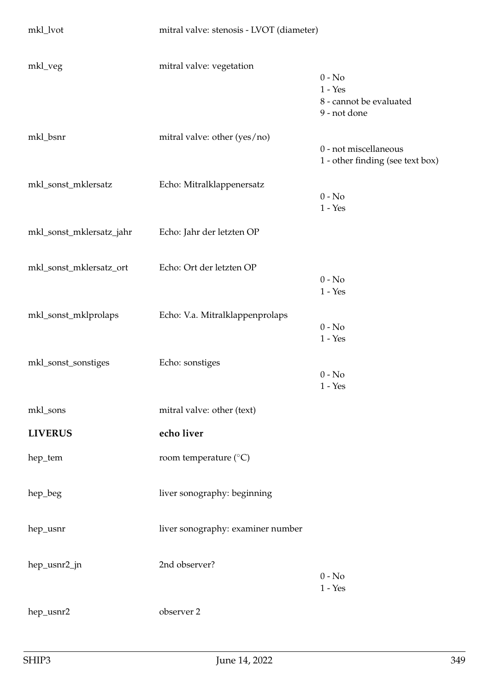| mkl_lvot                 | mitral valve: stenosis - LVOT (diameter) |                                                                  |
|--------------------------|------------------------------------------|------------------------------------------------------------------|
| mkl_veg                  | mitral valve: vegetation                 | $0 - No$<br>$1 - Yes$<br>8 - cannot be evaluated<br>9 - not done |
| mkl_bsnr                 | mitral valve: other (yes/no)             | 0 - not miscellaneous<br>1 - other finding (see text box)        |
| mkl_sonst_mklersatz      | Echo: Mitralklappenersatz                | $0 - No$<br>$1 - Yes$                                            |
| mkl_sonst_mklersatz_jahr | Echo: Jahr der letzten OP                |                                                                  |
| mkl_sonst_mklersatz_ort  | Echo: Ort der letzten OP                 | $0 - No$<br>$1 - Yes$                                            |
| mkl_sonst_mklprolaps     | Echo: V.a. Mitralklappenprolaps          | $0 - No$<br>$1 - Yes$                                            |
| mkl_sonst_sonstiges      | Echo: sonstiges                          | $0 - No$<br>$1 - Yes$                                            |
| mkl_sons                 | mitral valve: other (text)               |                                                                  |
| <b>LIVERUS</b>           | echo liver                               |                                                                  |
| hep_tem                  | room temperature ( $\rm ^{\circ}C)$      |                                                                  |
| hep_beg                  | liver sonography: beginning              |                                                                  |
| hep_usnr                 | liver sonography: examiner number        |                                                                  |
| hep_usnr2_jn             | 2nd observer?                            | $0 - No$<br>$1 - Yes$                                            |
| hep_usnr2                | observer 2                               |                                                                  |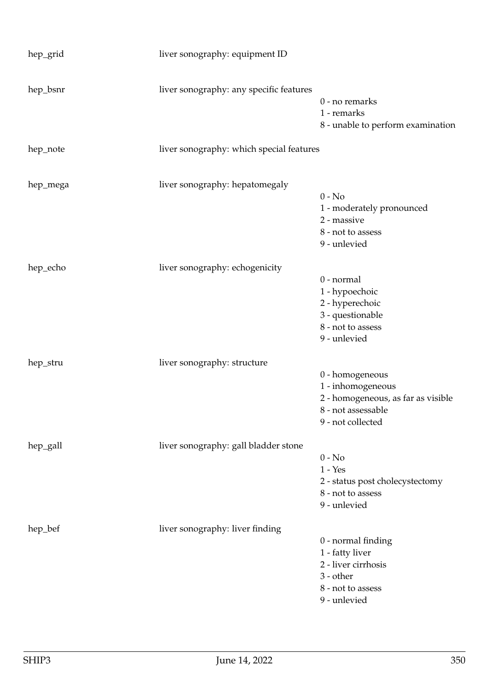| hep_grid | liver sonography: equipment ID           |                                                                                                                       |
|----------|------------------------------------------|-----------------------------------------------------------------------------------------------------------------------|
| hep_bsnr | liver sonography: any specific features  | $0$ - no remarks<br>1 - remarks<br>8 - unable to perform examination                                                  |
| hep_note | liver sonography: which special features |                                                                                                                       |
| hep_mega | liver sonography: hepatomegaly           | $0 - No$<br>1 - moderately pronounced<br>2 - massive<br>8 - not to assess<br>9 - unlevied                             |
| hep_echo | liver sonography: echogenicity           | 0 - normal<br>1 - hypoechoic<br>2 - hyperechoic<br>3 - questionable<br>8 - not to assess<br>9 - unlevied              |
| hep_stru | liver sonography: structure              | 0 - homogeneous<br>1 - inhomogeneous<br>2 - homogeneous, as far as visible<br>8 - not assessable<br>9 - not collected |
| hep_gall | liver sonography: gall bladder stone     | $0 - No$<br>$1 - Yes$<br>2 - status post cholecystectomy<br>8 - not to assess<br>9 - unlevied                         |
| hep_bef  | liver sonography: liver finding          | 0 - normal finding<br>1 - fatty liver<br>2 - liver cirrhosis<br>3 - other<br>8 - not to assess<br>9 - unlevied        |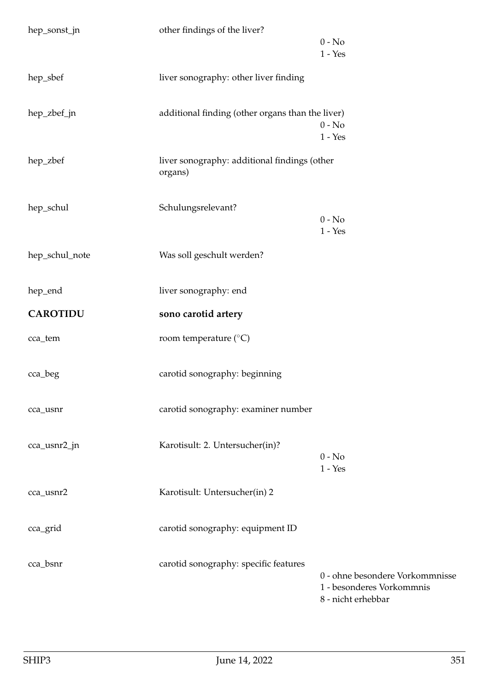| hep_sonst_jn    | other findings of the liver?                            |                                                                                    |
|-----------------|---------------------------------------------------------|------------------------------------------------------------------------------------|
|                 |                                                         | $0 - No$<br>$1 - Yes$                                                              |
| hep_sbef        | liver sonography: other liver finding                   |                                                                                    |
| hep_zbef_jn     | additional finding (other organs than the liver)        | $0 - No$<br>$1 - Yes$                                                              |
| hep_zbef        | liver sonography: additional findings (other<br>organs) |                                                                                    |
| hep_schul       | Schulungsrelevant?                                      | $0 - No$<br>$1 - Yes$                                                              |
| hep_schul_note  | Was soll geschult werden?                               |                                                                                    |
| hep_end         | liver sonography: end                                   |                                                                                    |
| <b>CAROTIDU</b> | sono carotid artery                                     |                                                                                    |
| cca_tem         | room temperature (°C)                                   |                                                                                    |
| cca_beg         | carotid sonography: beginning                           |                                                                                    |
| cca_usnr        | carotid sonography: examiner number                     |                                                                                    |
| cca_usnr2_jn    | Karotisult: 2. Untersucher(in)?                         | $0 - No$<br>$1 - Yes$                                                              |
| cca_usnr2       | Karotisult: Untersucher(in) 2                           |                                                                                    |
| cca_grid        | carotid sonography: equipment ID                        |                                                                                    |
| cca_bsnr        | carotid sonography: specific features                   | 0 - ohne besondere Vorkommnisse<br>1 - besonderes Vorkommnis<br>8 - nicht erhebbar |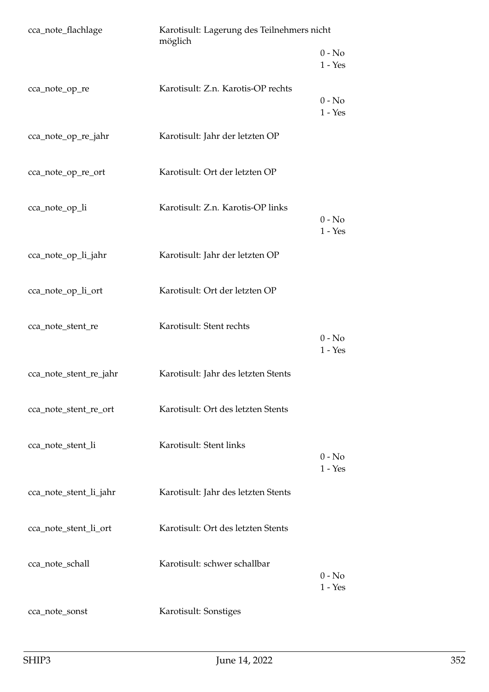| cca_note_flachlage     | Karotisult: Lagerung des Teilnehmers nicht<br>möglich |                       |  |
|------------------------|-------------------------------------------------------|-----------------------|--|
|                        |                                                       | $0 - No$<br>$1 - Yes$ |  |
| cca_note_op_re         | Karotisult: Z.n. Karotis-OP rechts                    | $0 - No$<br>$1 - Yes$ |  |
| cca_note_op_re_jahr    | Karotisult: Jahr der letzten OP                       |                       |  |
| cca_note_op_re_ort     | Karotisult: Ort der letzten OP                        |                       |  |
| cca_note_op_li         | Karotisult: Z.n. Karotis-OP links                     | $0 - No$<br>$1 - Yes$ |  |
| cca_note_op_li_jahr    | Karotisult: Jahr der letzten OP                       |                       |  |
| cca_note_op_li_ort     | Karotisult: Ort der letzten OP                        |                       |  |
| cca_note_stent_re      | Karotisult: Stent rechts                              | $0 - No$<br>$1 - Yes$ |  |
| cca_note_stent_re_jahr | Karotisult: Jahr des letzten Stents                   |                       |  |
| cca_note_stent_re_ort  | Karotisult: Ort des letzten Stents                    |                       |  |
| cca_note_stent_li      | Karotisult: Stent links                               | $0 - No$<br>$1 - Yes$ |  |
| cca_note_stent_li_jahr | Karotisult: Jahr des letzten Stents                   |                       |  |
| cca_note_stent_li_ort  | Karotisult: Ort des letzten Stents                    |                       |  |
| cca_note_schall        | Karotisult: schwer schallbar                          | $0 - No$<br>$1 - Yes$ |  |
| cca_note_sonst         | Karotisult: Sonstiges                                 |                       |  |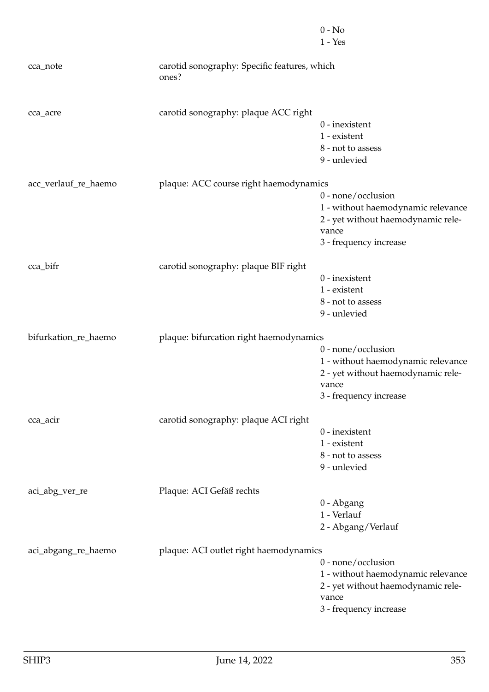|                      |                                                       | $0 - No$                           |
|----------------------|-------------------------------------------------------|------------------------------------|
|                      |                                                       | $1 - Yes$                          |
| cca_note             | carotid sonography: Specific features, which<br>ones? |                                    |
|                      |                                                       |                                    |
| cca_acre             | carotid sonography: plaque ACC right                  |                                    |
|                      |                                                       | $0$ - inexistent                   |
|                      |                                                       | 1 - existent                       |
|                      |                                                       | 8 - not to assess                  |
|                      |                                                       | 9 - unlevied                       |
| acc_verlauf_re_haemo | plaque: ACC course right haemodynamics                |                                    |
|                      |                                                       | 0 - none/occlusion                 |
|                      |                                                       | 1 - without haemodynamic relevance |
|                      |                                                       | 2 - yet without haemodynamic rele- |
|                      |                                                       | vance                              |
|                      |                                                       | 3 - frequency increase             |
| cca_bifr             | carotid sonography: plaque BIF right                  |                                    |
|                      |                                                       | $0$ - inexistent                   |
|                      |                                                       | 1 - existent                       |
|                      |                                                       | 8 - not to assess                  |
|                      |                                                       | 9 - unlevied                       |
| bifurkation_re_haemo | plaque: bifurcation right haemodynamics               |                                    |
|                      |                                                       | 0 - none/occlusion                 |
|                      |                                                       | 1 - without haemodynamic relevance |
|                      |                                                       | 2 - yet without haemodynamic rele- |
|                      |                                                       | vance                              |
|                      |                                                       | 3 - frequency increase             |
| cca_acir             | carotid sonography: plaque ACI right                  |                                    |
|                      |                                                       | $0$ - inexistent                   |
|                      |                                                       | 1 - existent                       |
|                      |                                                       | 8 - not to assess                  |
|                      |                                                       | 9 - unlevied                       |
| aci_abg_ver_re       | Plaque: ACI Gefäß rechts                              |                                    |
|                      |                                                       | 0 - Abgang                         |
|                      |                                                       | 1 - Verlauf                        |
|                      |                                                       | 2 - Abgang/Verlauf                 |
| aci_abgang_re_haemo  | plaque: ACI outlet right haemodynamics                |                                    |
|                      |                                                       | $0$ - none/occlusion               |
|                      |                                                       | 1 - without haemodynamic relevance |
|                      |                                                       | 2 - yet without haemodynamic rele- |
|                      |                                                       | vance                              |
|                      |                                                       | 3 - frequency increase             |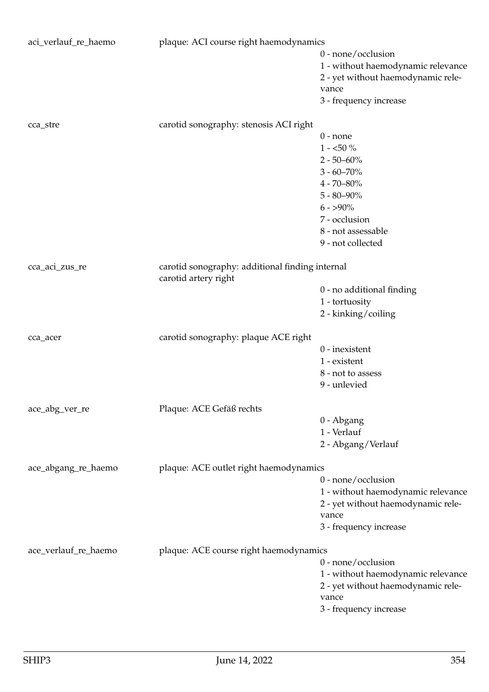| aci_verlauf_re_haemo | plaque: ACI course right haemodynamics          |                                    |
|----------------------|-------------------------------------------------|------------------------------------|
|                      |                                                 | $0$ - none/occlusion               |
|                      |                                                 | 1 - without haemodynamic relevance |
|                      |                                                 | 2 - yet without haemodynamic rele- |
|                      |                                                 | vance                              |
|                      |                                                 | 3 - frequency increase             |
|                      |                                                 |                                    |
| cca_stre             | carotid sonography: stenosis ACI right          |                                    |
|                      |                                                 | $0$ - none                         |
|                      |                                                 | $1 - 50\%$                         |
|                      |                                                 | $2 - 50 - 60\%$                    |
|                      |                                                 | $3 - 60 - 70\%$                    |
|                      |                                                 | $4 - 70 - 80\%$                    |
|                      |                                                 | $5 - 80 - 90\%$                    |
|                      |                                                 | $6 - 590\%$                        |
|                      |                                                 | 7 - occlusion                      |
|                      |                                                 | 8 - not assessable                 |
|                      |                                                 | 9 - not collected                  |
|                      |                                                 |                                    |
| cca_aci_zus_re       | carotid sonography: additional finding internal |                                    |
|                      | carotid artery right                            |                                    |
|                      |                                                 | 0 - no additional finding          |
|                      |                                                 | 1 - tortuosity                     |
|                      |                                                 | 2 - kinking/coiling                |
|                      | carotid sonography: plaque ACE right            |                                    |
| cca_acer             |                                                 | $0$ - inexistent                   |
|                      |                                                 | 1 - existent                       |
|                      |                                                 | 8 - not to assess                  |
|                      |                                                 | 9 - unlevied                       |
|                      |                                                 |                                    |
| ace_abg_ver_re       | Plaque: ACE Gefäß rechts                        |                                    |
|                      |                                                 | 0 - Abgang                         |
|                      |                                                 | 1 - Verlauf                        |
|                      |                                                 | 2 - Abgang/Verlauf                 |
|                      | plaque: ACE outlet right haemodynamics          |                                    |
| ace_abgang_re_haemo  |                                                 | 0 - none/occlusion                 |
|                      |                                                 |                                    |
|                      |                                                 | 1 - without haemodynamic relevance |
|                      |                                                 | 2 - yet without haemodynamic rele- |
|                      |                                                 | vance                              |
|                      |                                                 | 3 - frequency increase             |
| ace_verlauf_re_haemo | plaque: ACE course right haemodynamics          |                                    |
|                      |                                                 | 0 - none/occlusion                 |
|                      |                                                 | 1 - without haemodynamic relevance |
|                      |                                                 | 2 - yet without haemodynamic rele- |
|                      |                                                 | vance                              |
|                      |                                                 | 3 - frequency increase             |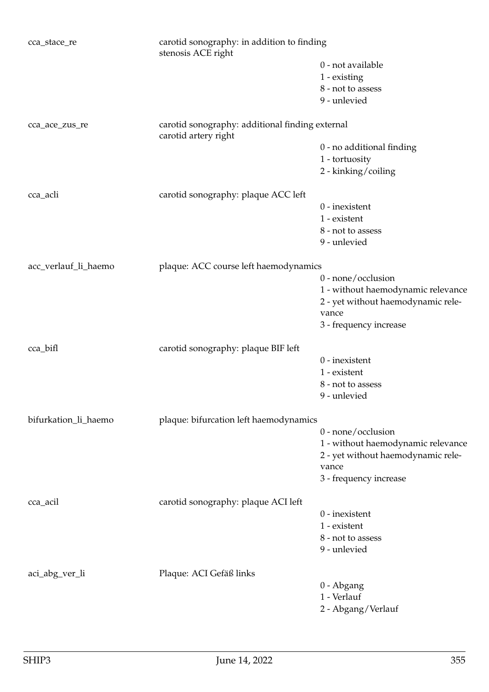| cca_stace_re         | carotid sonography: in addition to finding<br>stenosis ACE right        |                                    |
|----------------------|-------------------------------------------------------------------------|------------------------------------|
|                      |                                                                         | 0 - not available                  |
|                      |                                                                         | 1 - existing                       |
|                      |                                                                         | 8 - not to assess                  |
|                      |                                                                         | 9 - unlevied                       |
| cca_ace_zus_re       | carotid sonography: additional finding external<br>carotid artery right |                                    |
|                      |                                                                         | 0 - no additional finding          |
|                      |                                                                         | 1 - tortuosity                     |
|                      |                                                                         | 2 - kinking/coiling                |
|                      |                                                                         |                                    |
| cca_acli             | carotid sonography: plaque ACC left                                     |                                    |
|                      |                                                                         | $0$ - inexistent                   |
|                      |                                                                         | 1 - existent                       |
|                      |                                                                         | 8 - not to assess                  |
|                      |                                                                         | 9 - unlevied                       |
| acc_verlauf_li_haemo | plaque: ACC course left haemodynamics                                   |                                    |
|                      |                                                                         | $0$ - none/occlusion               |
|                      |                                                                         | 1 - without haemodynamic relevance |
|                      |                                                                         | 2 - yet without haemodynamic rele- |
|                      |                                                                         | vance                              |
|                      |                                                                         | 3 - frequency increase             |
|                      |                                                                         |                                    |
| cca_bifl             | carotid sonography: plaque BIF left                                     | $0$ - inexistent                   |
|                      |                                                                         | 1 - existent                       |
|                      |                                                                         |                                    |
|                      |                                                                         | 8 - not to assess                  |
|                      |                                                                         | 9 - unlevied                       |
| bifurkation_li_haemo | plaque: bifurcation left haemodynamics                                  |                                    |
|                      |                                                                         | 0 - none/occlusion                 |
|                      |                                                                         | 1 - without haemodynamic relevance |
|                      |                                                                         | 2 - yet without haemodynamic rele- |
|                      |                                                                         | vance                              |
|                      |                                                                         | 3 - frequency increase             |
| cca_acil             | carotid sonography: plaque ACI left                                     |                                    |
|                      |                                                                         | $0$ - inexistent                   |
|                      |                                                                         | 1 - existent                       |
|                      |                                                                         | 8 - not to assess                  |
|                      |                                                                         | 9 - unlevied                       |
|                      |                                                                         |                                    |
| aci_abg_ver_li       | Plaque: ACI Gefäß links                                                 | 0 - Abgang                         |
|                      |                                                                         | 1 - Verlauf                        |
|                      |                                                                         |                                    |
|                      |                                                                         | 2 - Abgang/Verlauf                 |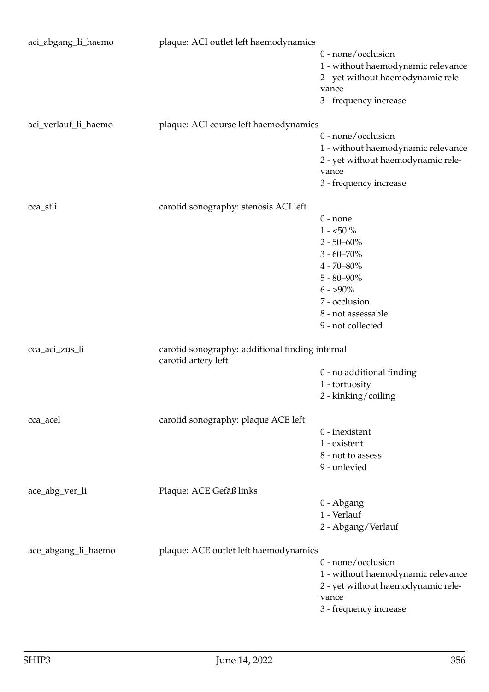| aci_abgang_li_haemo  | plaque: ACI outlet left haemodynamics                                  |                                             |
|----------------------|------------------------------------------------------------------------|---------------------------------------------|
|                      |                                                                        | 0 - none/occlusion                          |
|                      |                                                                        | 1 - without haemodynamic relevance          |
|                      |                                                                        | 2 - yet without haemodynamic rele-          |
|                      |                                                                        | vance                                       |
|                      |                                                                        | 3 - frequency increase                      |
| aci_verlauf_li_haemo | plaque: ACI course left haemodynamics                                  |                                             |
|                      |                                                                        | $0$ - none/occlusion                        |
|                      |                                                                        | 1 - without haemodynamic relevance          |
|                      |                                                                        | 2 - yet without haemodynamic rele-          |
|                      |                                                                        | vance                                       |
|                      |                                                                        | 3 - frequency increase                      |
| cca_stli             | carotid sonography: stenosis ACI left                                  |                                             |
|                      |                                                                        | $0$ - none                                  |
|                      |                                                                        | $1$ - $<\!\!50$ $\!\%$                      |
|                      |                                                                        | $2 - 50 - 60\%$                             |
|                      |                                                                        | $3 - 60 - 70\%$                             |
|                      |                                                                        | $4 - 70 - 80\%$                             |
|                      |                                                                        | $5 - 80 - 90\%$                             |
|                      |                                                                        | $6 - 590\%$                                 |
|                      |                                                                        | 7 - occlusion                               |
|                      |                                                                        | 8 - not assessable                          |
|                      |                                                                        | 9 - not collected                           |
| cca_aci_zus_li       | carotid sonography: additional finding internal<br>carotid artery left |                                             |
|                      |                                                                        | 0 - no additional finding                   |
|                      |                                                                        | 1 - tortuosity                              |
|                      |                                                                        | 2 - kinking/coiling                         |
| cca_acel             | carotid sonography: plaque ACE left                                    |                                             |
|                      |                                                                        | $0$ - inexistent                            |
|                      |                                                                        | 1 - existent                                |
|                      |                                                                        | 8 - not to assess                           |
|                      |                                                                        | 9 - unlevied                                |
| ace_abg_ver_li       | Plaque: ACE Gefäß links                                                |                                             |
|                      |                                                                        | 0 - Abgang                                  |
|                      |                                                                        | 1 - Verlauf                                 |
|                      |                                                                        | 2 - Abgang/Verlauf                          |
| ace_abgang_li_haemo  | plaque: ACE outlet left haemodynamics                                  |                                             |
|                      |                                                                        | 0 - none/occlusion                          |
|                      |                                                                        | 1 - without haemodynamic relevance          |
|                      |                                                                        | 2 - yet without haemodynamic rele-<br>vance |
|                      |                                                                        | 3 - frequency increase                      |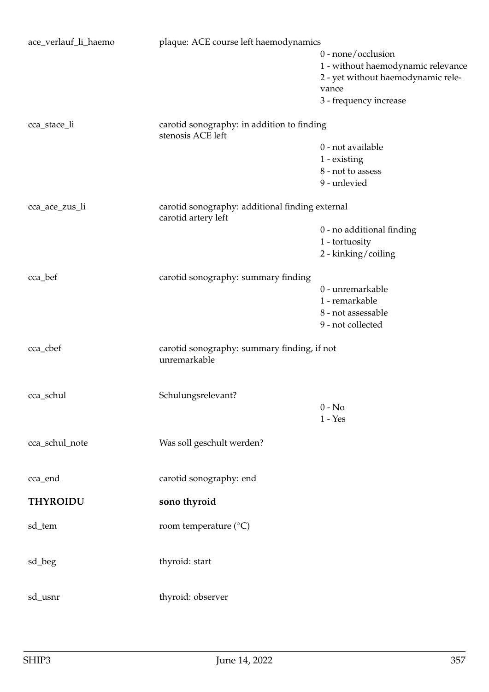| ace_verlauf_li_haemo | plaque: ACE course left haemodynamics                                  |                                    |
|----------------------|------------------------------------------------------------------------|------------------------------------|
|                      |                                                                        | $0$ - none/occlusion               |
|                      |                                                                        | 1 - without haemodynamic relevance |
|                      |                                                                        | 2 - yet without haemodynamic rele- |
|                      |                                                                        | vance                              |
|                      |                                                                        | 3 - frequency increase             |
| cca_stace_li         | carotid sonography: in addition to finding                             |                                    |
|                      | stenosis ACE left                                                      |                                    |
|                      |                                                                        | 0 - not available                  |
|                      |                                                                        | 1 - existing                       |
|                      |                                                                        | 8 - not to assess                  |
|                      |                                                                        | 9 - unlevied                       |
| cca_ace_zus_li       | carotid sonography: additional finding external<br>carotid artery left |                                    |
|                      |                                                                        | 0 - no additional finding          |
|                      |                                                                        | 1 - tortuosity                     |
|                      |                                                                        | 2 - kinking/coiling                |
|                      |                                                                        |                                    |
| cca_bef              | carotid sonography: summary finding                                    |                                    |
|                      |                                                                        | 0 - unremarkable                   |
|                      |                                                                        | 1 - remarkable                     |
|                      |                                                                        | 8 - not assessable                 |
|                      |                                                                        | 9 - not collected                  |
|                      |                                                                        |                                    |
| cca_cbef             | carotid sonography: summary finding, if not<br>unremarkable            |                                    |
|                      |                                                                        |                                    |
| cca_schul            | Schulungsrelevant?                                                     |                                    |
|                      |                                                                        | $0 - No$                           |
|                      |                                                                        | $1 - Yes$                          |
|                      |                                                                        |                                    |
| cca_schul_note       | Was soll geschult werden?                                              |                                    |
|                      |                                                                        |                                    |
| cca_end              | carotid sonography: end                                                |                                    |
| <b>THYROIDU</b>      | sono thyroid                                                           |                                    |
|                      |                                                                        |                                    |
| sd_tem               | room temperature (°C)                                                  |                                    |
|                      |                                                                        |                                    |
| sd_beg               | thyroid: start                                                         |                                    |
|                      |                                                                        |                                    |
| sd_usnr              | thyroid: observer                                                      |                                    |
|                      |                                                                        |                                    |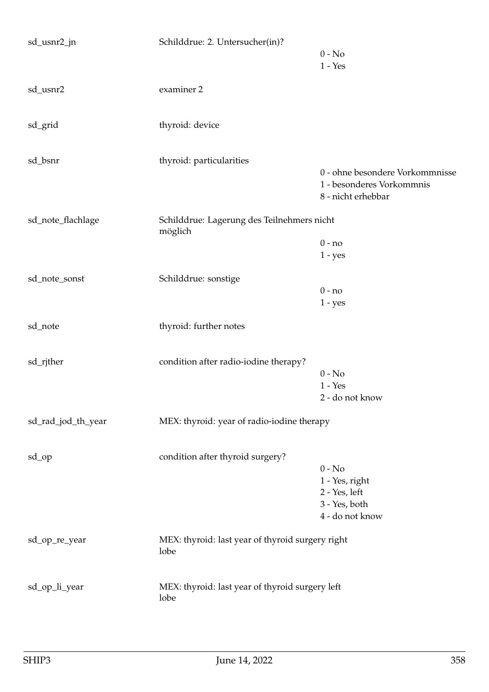| sd_usnr2_jn        | Schilddrue: 2. Untersucher(in)?                          | $0 - No$<br>$1 - Yes$                                                              |
|--------------------|----------------------------------------------------------|------------------------------------------------------------------------------------|
| sd_usnr2           | examiner 2                                               |                                                                                    |
| sd_grid            | thyroid: device                                          |                                                                                    |
| sd_bsnr            | thyroid: particularities                                 | 0 - ohne besondere Vorkommnisse<br>1 - besonderes Vorkommnis<br>8 - nicht erhebbar |
| sd_note_flachlage  | Schilddrue: Lagerung des Teilnehmers nicht<br>möglich    |                                                                                    |
|                    |                                                          | $0 - no$<br>$1 - yes$                                                              |
| sd_note_sonst      | Schilddrue: sonstige                                     | $0 - no$<br>$1 - yes$                                                              |
| sd_note            | thyroid: further notes                                   |                                                                                    |
| sd_rjther          | condition after radio-iodine therapy?                    | $0 - No$<br>$1 - Yes$<br>2 - do not know                                           |
| sd_rad_jod_th_year | MEX: thyroid: year of radio-iodine therapy               |                                                                                    |
| sd_op              | condition after thyroid surgery?                         | $0 - No$<br>1 - Yes, right<br>2 - Yes, left<br>3 - Yes, both<br>4 - do not know    |
| sd_op_re_year      | MEX: thyroid: last year of thyroid surgery right<br>lobe |                                                                                    |
| sd_op_li_year      | MEX: thyroid: last year of thyroid surgery left<br>lobe  |                                                                                    |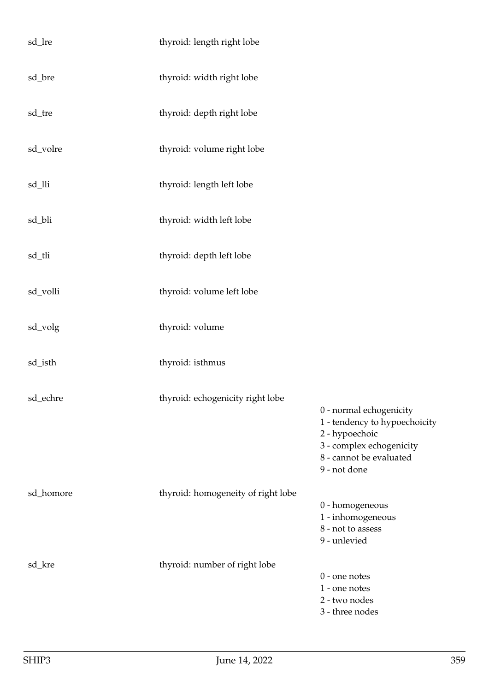| sd_lre    | thyroid: length right lobe         |                                                                                                                                                   |
|-----------|------------------------------------|---------------------------------------------------------------------------------------------------------------------------------------------------|
| sd_bre    | thyroid: width right lobe          |                                                                                                                                                   |
| sd_tre    | thyroid: depth right lobe          |                                                                                                                                                   |
| sd_volre  | thyroid: volume right lobe         |                                                                                                                                                   |
| sd_lli    | thyroid: length left lobe          |                                                                                                                                                   |
| sd_bli    | thyroid: width left lobe           |                                                                                                                                                   |
| sd_tli    | thyroid: depth left lobe           |                                                                                                                                                   |
| sd_volli  | thyroid: volume left lobe          |                                                                                                                                                   |
| sd_volg   | thyroid: volume                    |                                                                                                                                                   |
| sd_isth   | thyroid: isthmus                   |                                                                                                                                                   |
| sd_echre  | thyroid: echogenicity right lobe   | 0 - normal echogenicity<br>1 - tendency to hypoechoicity<br>2 - hypoechoic<br>3 - complex echogenicity<br>8 - cannot be evaluated<br>9 - not done |
| sd_homore | thyroid: homogeneity of right lobe | 0 - homogeneous<br>1 - inhomogeneous<br>8 - not to assess<br>9 - unlevied                                                                         |
| sd_kre    | thyroid: number of right lobe      | $0$ - one notes<br>1 - one notes<br>2 - two nodes<br>3 - three nodes                                                                              |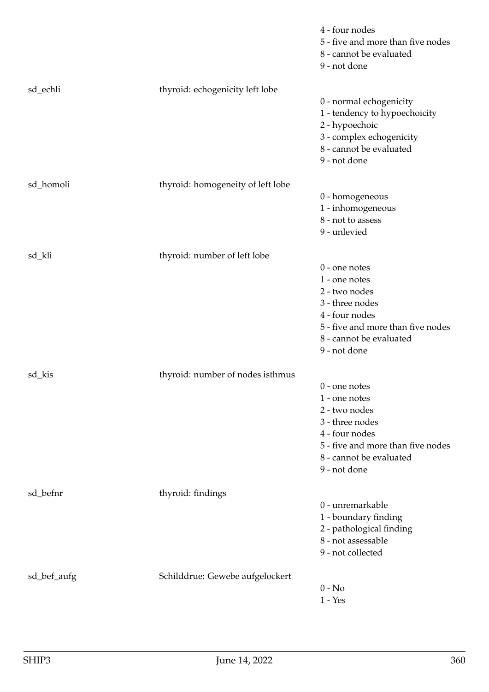|             |                                   | 4 - four nodes<br>5 - five and more than five nodes<br>8 - cannot be evaluated<br>9 - not done                                                                         |
|-------------|-----------------------------------|------------------------------------------------------------------------------------------------------------------------------------------------------------------------|
| sd_echli    | thyroid: echogenicity left lobe   | 0 - normal echogenicity<br>1 - tendency to hypoechoicity<br>2 - hypoechoic<br>3 - complex echogenicity<br>8 - cannot be evaluated<br>9 - not done                      |
| sd_homoli   | thyroid: homogeneity of left lobe | 0 - homogeneous<br>1 - inhomogeneous<br>8 - not to assess<br>9 - unlevied                                                                                              |
| sd_kli      | thyroid: number of left lobe      | $0$ - one notes<br>1 - one notes<br>2 - two nodes<br>3 - three nodes<br>4 - four nodes<br>5 - five and more than five nodes<br>8 - cannot be evaluated<br>9 - not done |
| sd_kis      | thyroid: number of nodes isthmus  | $0$ - one notes<br>1 - one notes<br>2 - two nodes<br>3 - three nodes<br>4 - four nodes<br>5 - five and more than five nodes<br>8 - cannot be evaluated<br>9 - not done |
| sd_befnr    | thyroid: findings                 | 0 - unremarkable<br>1 - boundary finding<br>2 - pathological finding<br>8 - not assessable<br>9 - not collected                                                        |
| sd_bef_aufg | Schilddrue: Gewebe aufgelockert   | $0 - No$<br>$1 - Yes$                                                                                                                                                  |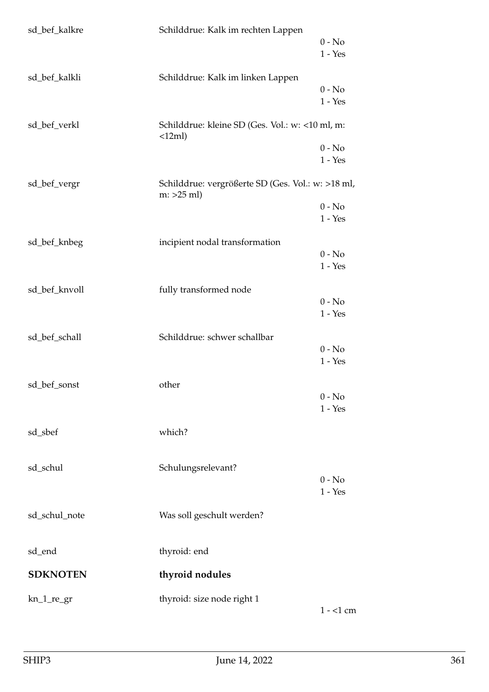| sd_bef_kalkre   | Schilddrue: Kalk im rechten Lappen                                 | $0 - No$<br>$1 - Yes$ |
|-----------------|--------------------------------------------------------------------|-----------------------|
| sd_bef_kalkli   | Schilddrue: Kalk im linken Lappen                                  | $0 - No$<br>$1 - Yes$ |
| sd_bef_verkl    | Schilddrue: kleine SD (Ges. Vol.: w: <10 ml, m:<br>$\langle$ 12ml) | $0 - No$<br>$1 - Yes$ |
| sd_bef_vergr    | Schilddrue: vergrößerte SD (Ges. Vol.: w: >18 ml,<br>$m: >25$ ml)  | $0 - No$<br>$1 - Yes$ |
| sd_bef_knbeg    | incipient nodal transformation                                     | $0 - No$<br>$1 - Yes$ |
| sd_bef_knvoll   | fully transformed node                                             | $0 - No$<br>$1 - Yes$ |
| sd_bef_schall   | Schilddrue: schwer schallbar                                       | $0 - No$<br>$1 - Yes$ |
| sd_bef_sonst    | other                                                              | $0 - No$<br>$1 - Yes$ |
| sd_sbef         | which?                                                             |                       |
| sd_schul        | Schulungsrelevant?                                                 | $0 - No$<br>$1 - Yes$ |
| sd_schul_note   | Was soll geschult werden?                                          |                       |
| sd_end          | thyroid: end                                                       |                       |
| <b>SDKNOTEN</b> | thyroid nodules                                                    |                       |
| $kn_1_re\_gr$   | thyroid: size node right 1                                         | $1 - 1$ cm            |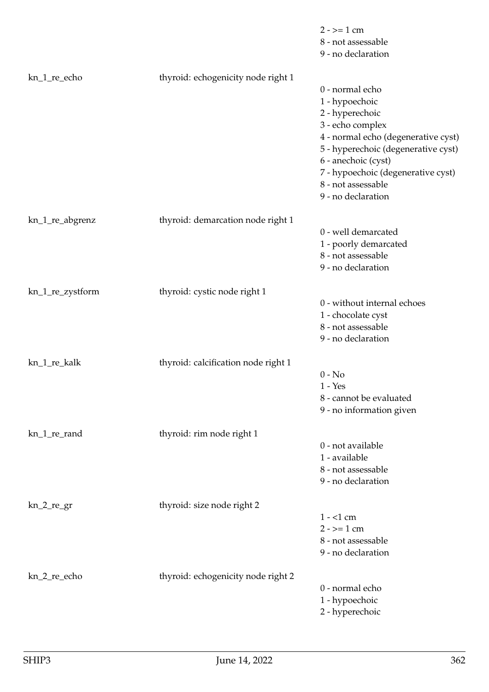|                  |                                     | $2 - \ge 1$ cm<br>8 - not assessable<br>9 - no declaration                                                                                                                                                                                                      |
|------------------|-------------------------------------|-----------------------------------------------------------------------------------------------------------------------------------------------------------------------------------------------------------------------------------------------------------------|
| kn_1_re_echo     | thyroid: echogenicity node right 1  | 0 - normal echo<br>1 - hypoechoic<br>2 - hyperechoic<br>3 - echo complex<br>4 - normal echo (degenerative cyst)<br>5 - hyperechoic (degenerative cyst)<br>6 - anechoic (cyst)<br>7 - hypoechoic (degenerative cyst)<br>8 - not assessable<br>9 - no declaration |
| kn_1_re_abgrenz  | thyroid: demarcation node right 1   | 0 - well demarcated<br>1 - poorly demarcated<br>8 - not assessable<br>9 - no declaration                                                                                                                                                                        |
| kn_1_re_zystform | thyroid: cystic node right 1        | 0 - without internal echoes<br>1 - chocolate cyst<br>8 - not assessable<br>9 - no declaration                                                                                                                                                                   |
| kn_1_re_kalk     | thyroid: calcification node right 1 | $0 - No$<br>$1 - Yes$<br>8 - cannot be evaluated<br>9 - no information given                                                                                                                                                                                    |
| kn_1_re_rand     | thyroid: rim node right 1           | 0 - not available<br>1 - available<br>8 - not assessable<br>9 - no declaration                                                                                                                                                                                  |
| $kn_2_re\_gr$    | thyroid: size node right 2          | $1 - 1$ cm<br>$2 - \ge 1$ cm<br>8 - not assessable<br>9 - no declaration                                                                                                                                                                                        |
| kn_2_re_echo     | thyroid: echogenicity node right 2  | 0 - normal echo<br>1 - hypoechoic<br>2 - hyperechoic                                                                                                                                                                                                            |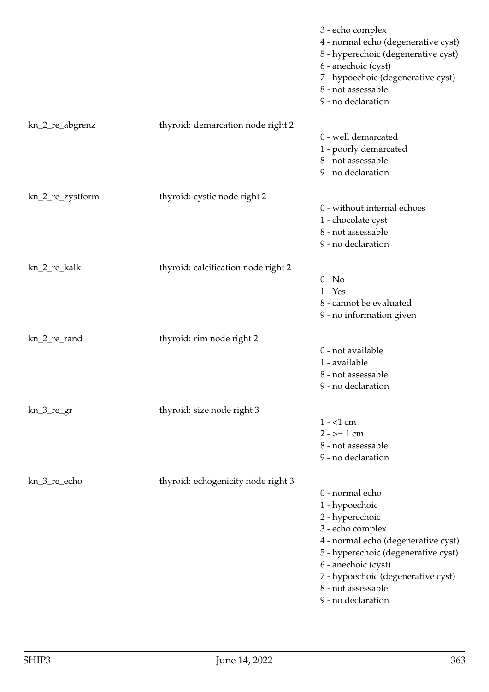|                  |                                     | 3 - echo complex<br>4 - normal echo (degenerative cyst)<br>5 - hyperechoic (degenerative cyst)<br>6 - anechoic (cyst)<br>7 - hypoechoic (degenerative cyst)<br>8 - not assessable<br>9 - no declaration                                                         |
|------------------|-------------------------------------|-----------------------------------------------------------------------------------------------------------------------------------------------------------------------------------------------------------------------------------------------------------------|
| kn_2_re_abgrenz  | thyroid: demarcation node right 2   | 0 - well demarcated<br>1 - poorly demarcated<br>8 - not assessable<br>9 - no declaration                                                                                                                                                                        |
| kn_2_re_zystform | thyroid: cystic node right 2        | 0 - without internal echoes<br>1 - chocolate cyst<br>8 - not assessable<br>9 - no declaration                                                                                                                                                                   |
| kn_2_re_kalk     | thyroid: calcification node right 2 | $0 - No$<br>$1 - Yes$<br>8 - cannot be evaluated<br>9 - no information given                                                                                                                                                                                    |
| kn_2_re_rand     | thyroid: rim node right 2           | 0 - not available<br>1 - available<br>8 - not assessable<br>9 - no declaration                                                                                                                                                                                  |
| $kn_3_re_gr$     | thyroid: size node right 3          | $1 - 1$ cm<br>$2 - \ge 1$ cm<br>8 - not assessable<br>9 - no declaration                                                                                                                                                                                        |
| kn_3_re_echo     | thyroid: echogenicity node right 3  | 0 - normal echo<br>1 - hypoechoic<br>2 - hyperechoic<br>3 - echo complex<br>4 - normal echo (degenerative cyst)<br>5 - hyperechoic (degenerative cyst)<br>6 - anechoic (cyst)<br>7 - hypoechoic (degenerative cyst)<br>8 - not assessable<br>9 - no declaration |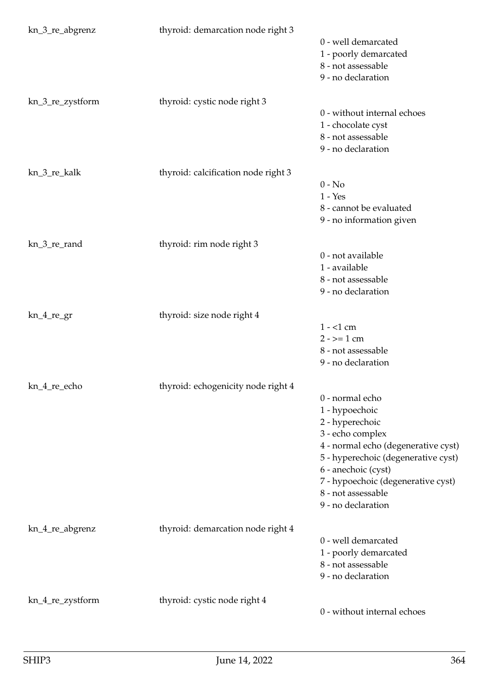| kn_3_re_abgrenz  | thyroid: demarcation node right 3   | 0 - well demarcated<br>1 - poorly demarcated<br>8 - not assessable<br>9 - no declaration                                                                                                                                                                        |
|------------------|-------------------------------------|-----------------------------------------------------------------------------------------------------------------------------------------------------------------------------------------------------------------------------------------------------------------|
| kn_3_re_zystform | thyroid: cystic node right 3        | 0 - without internal echoes<br>1 - chocolate cyst<br>8 - not assessable<br>9 - no declaration                                                                                                                                                                   |
| kn_3_re_kalk     | thyroid: calcification node right 3 | $0 - No$<br>$1 - Yes$<br>8 - cannot be evaluated<br>9 - no information given                                                                                                                                                                                    |
| kn_3_re_rand     | thyroid: rim node right 3           | 0 - not available<br>1 - available<br>8 - not assessable<br>9 - no declaration                                                                                                                                                                                  |
| $kn_4_re\_gr$    | thyroid: size node right 4          | $1 - 1$ cm<br>$2 - \ge 1$ cm<br>8 - not assessable<br>9 - no declaration                                                                                                                                                                                        |
| kn_4_re_echo     | thyroid: echogenicity node right 4  | 0 - normal echo<br>1 - hypoechoic<br>2 - hyperechoic<br>3 - echo complex<br>4 - normal echo (degenerative cyst)<br>5 - hyperechoic (degenerative cyst)<br>6 - anechoic (cyst)<br>7 - hypoechoic (degenerative cyst)<br>8 - not assessable<br>9 - no declaration |
| kn_4_re_abgrenz  | thyroid: demarcation node right 4   | 0 - well demarcated<br>1 - poorly demarcated<br>8 - not assessable<br>9 - no declaration                                                                                                                                                                        |
| kn_4_re_zystform | thyroid: cystic node right 4        | 0 - without internal echoes                                                                                                                                                                                                                                     |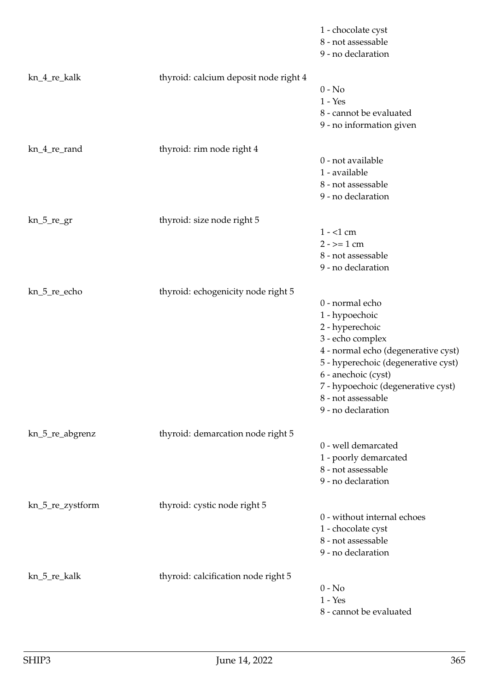|                  |                                       | 1 - chocolate cyst<br>8 - not assessable<br>9 - no declaration                                                                                                                                                                                                  |
|------------------|---------------------------------------|-----------------------------------------------------------------------------------------------------------------------------------------------------------------------------------------------------------------------------------------------------------------|
| kn_4_re_kalk     | thyroid: calcium deposit node right 4 | $0 - No$<br>$1 - Yes$<br>8 - cannot be evaluated<br>9 - no information given                                                                                                                                                                                    |
| kn_4_re_rand     | thyroid: rim node right 4             | 0 - not available<br>1 - available<br>8 - not assessable<br>9 - no declaration                                                                                                                                                                                  |
| kn_5_re_gr       | thyroid: size node right 5            | $1 - 1$ cm<br>$2 - \ge 1$ cm<br>8 - not assessable<br>9 - no declaration                                                                                                                                                                                        |
| kn_5_re_echo     | thyroid: echogenicity node right 5    | 0 - normal echo<br>1 - hypoechoic<br>2 - hyperechoic<br>3 - echo complex<br>4 - normal echo (degenerative cyst)<br>5 - hyperechoic (degenerative cyst)<br>6 - anechoic (cyst)<br>7 - hypoechoic (degenerative cyst)<br>8 - not assessable<br>9 - no declaration |
| kn_5_re_abgrenz  | thyroid: demarcation node right 5     | 0 - well demarcated<br>1 - poorly demarcated<br>8 - not assessable<br>9 - no declaration                                                                                                                                                                        |
| kn_5_re_zystform | thyroid: cystic node right 5          | 0 - without internal echoes<br>1 - chocolate cyst<br>8 - not assessable<br>9 - no declaration                                                                                                                                                                   |
| kn_5_re_kalk     | thyroid: calcification node right 5   | $0 - No$<br>$1 - Yes$<br>8 - cannot be evaluated                                                                                                                                                                                                                |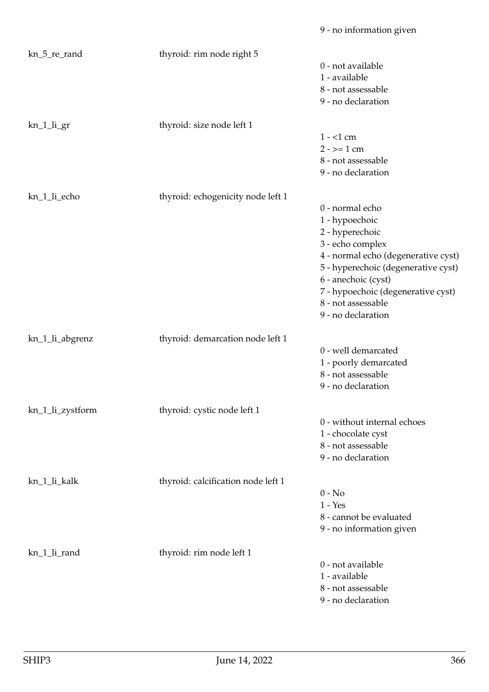| kn_5_re_rand     | thyroid: rim node right 5          |                                     |
|------------------|------------------------------------|-------------------------------------|
|                  |                                    | 0 - not available                   |
|                  |                                    | 1 - available                       |
|                  |                                    | 8 - not assessable                  |
|                  |                                    | 9 - no declaration                  |
| kn_1_li_gr       | thyroid: size node left 1          |                                     |
|                  |                                    | $1 - 1$ cm                          |
|                  |                                    | $2 - 2 = 1$ cm                      |
|                  |                                    | 8 - not assessable                  |
|                  |                                    | 9 - no declaration                  |
| kn_1_li_echo     | thyroid: echogenicity node left 1  |                                     |
|                  |                                    | 0 - normal echo                     |
|                  |                                    | 1 - hypoechoic                      |
|                  |                                    | 2 - hyperechoic                     |
|                  |                                    | 3 - echo complex                    |
|                  |                                    | 4 - normal echo (degenerative cyst) |
|                  |                                    | 5 - hyperechoic (degenerative cyst) |
|                  |                                    | 6 - anechoic (cyst)                 |
|                  |                                    | 7 - hypoechoic (degenerative cyst)  |
|                  |                                    | 8 - not assessable                  |
|                  |                                    | 9 - no declaration                  |
| kn_1_li_abgrenz  | thyroid: demarcation node left 1   |                                     |
|                  |                                    | 0 - well demarcated                 |
|                  |                                    | 1 - poorly demarcated               |
|                  |                                    | 8 - not assessable                  |
|                  |                                    | 9 - no declaration                  |
| kn_1_li_zystform | thyroid: cystic node left 1        |                                     |
|                  |                                    | 0 - without internal echoes         |
|                  |                                    | 1 - chocolate cyst                  |
|                  |                                    | 8 - not assessable                  |
|                  |                                    | 9 - no declaration                  |
| kn_1_li_kalk     | thyroid: calcification node left 1 |                                     |
|                  |                                    | $0 - No$                            |
|                  |                                    | $1 - Yes$                           |
|                  |                                    | 8 - cannot be evaluated             |
|                  |                                    | 9 - no information given            |
| kn_1_li_rand     | thyroid: rim node left 1           |                                     |
|                  |                                    | 0 - not available                   |
|                  |                                    | 1 - available                       |
|                  |                                    | 8 - not assessable                  |
|                  |                                    | 9 - no declaration                  |

9 - no information given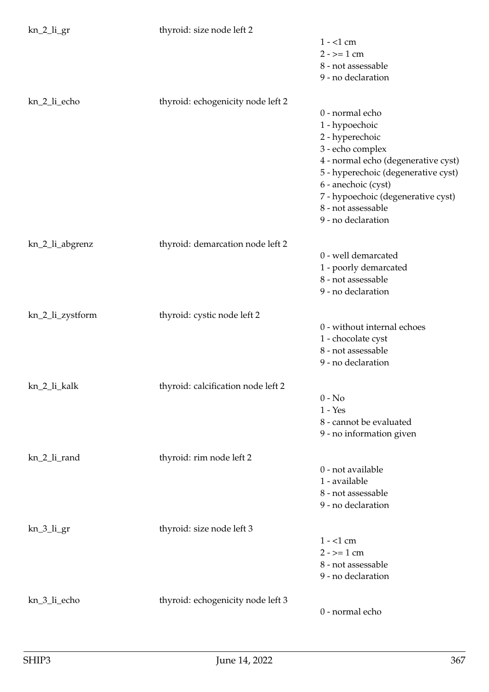kn\_2\_li\_gr thyroid: size node left 2

|                  | alytona. Size houe refe 2          |                                                         |
|------------------|------------------------------------|---------------------------------------------------------|
|                  |                                    | $1 - 1$ cm                                              |
|                  |                                    | $2 - \ge 1$ cm                                          |
|                  |                                    | 8 - not assessable                                      |
|                  |                                    | 9 - no declaration                                      |
| kn_2_li_echo     | thyroid: echogenicity node left 2  |                                                         |
|                  |                                    | 0 - normal echo                                         |
|                  |                                    | 1 - hypoechoic                                          |
|                  |                                    | 2 - hyperechoic                                         |
|                  |                                    | 3 - echo complex<br>4 - normal echo (degenerative cyst) |
|                  |                                    | 5 - hyperechoic (degenerative cyst)                     |
|                  |                                    | 6 - anechoic (cyst)                                     |
|                  |                                    | 7 - hypoechoic (degenerative cyst)                      |
|                  |                                    | 8 - not assessable                                      |
|                  |                                    | 9 - no declaration                                      |
| kn_2_li_abgrenz  | thyroid: demarcation node left 2   |                                                         |
|                  |                                    | 0 - well demarcated                                     |
|                  |                                    | 1 - poorly demarcated                                   |
|                  |                                    | 8 - not assessable                                      |
|                  |                                    | 9 - no declaration                                      |
| kn_2_li_zystform | thyroid: cystic node left 2        |                                                         |
|                  |                                    | 0 - without internal echoes                             |
|                  |                                    | 1 - chocolate cyst<br>8 - not assessable                |
|                  |                                    | 9 - no declaration                                      |
|                  |                                    |                                                         |
| kn_2_li_kalk     | thyroid: calcification node left 2 | $0 - No$                                                |
|                  |                                    | $1 - Yes$                                               |
|                  |                                    | 8 - cannot be evaluated                                 |
|                  |                                    | 9 - no information given                                |
| kn_2_li_rand     | thyroid: rim node left 2           |                                                         |
|                  |                                    | 0 - not available                                       |
|                  |                                    | 1 - available                                           |
|                  |                                    | 8 - not assessable                                      |
|                  |                                    | 9 - no declaration                                      |
| $kn_3_$ li_gr    | thyroid: size node left 3          |                                                         |
|                  |                                    | $1 - 1$ cm                                              |
|                  |                                    | $2 - \ge 1$ cm                                          |
|                  |                                    | 8 - not assessable                                      |
|                  |                                    | 9 - no declaration                                      |
| kn_3_li_echo     | thyroid: echogenicity node left 3  |                                                         |
|                  |                                    | 0 - normal echo                                         |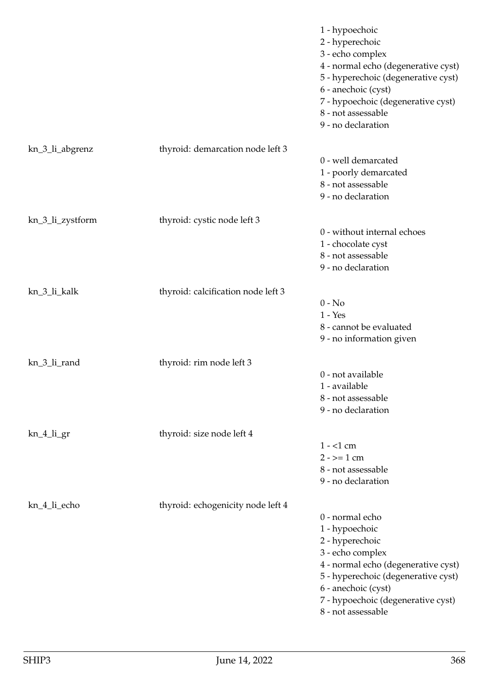|                  |                                    | 1 - hypoechoic<br>2 - hyperechoic<br>3 - echo complex<br>4 - normal echo (degenerative cyst)<br>5 - hyperechoic (degenerative cyst)<br>6 - anechoic (cyst)<br>7 - hypoechoic (degenerative cyst)<br>8 - not assessable<br>9 - no declaration |
|------------------|------------------------------------|----------------------------------------------------------------------------------------------------------------------------------------------------------------------------------------------------------------------------------------------|
| kn_3_li_abgrenz  | thyroid: demarcation node left 3   |                                                                                                                                                                                                                                              |
|                  |                                    | 0 - well demarcated<br>1 - poorly demarcated<br>8 - not assessable<br>9 - no declaration                                                                                                                                                     |
| kn_3_li_zystform | thyroid: cystic node left 3        |                                                                                                                                                                                                                                              |
|                  |                                    | 0 - without internal echoes<br>1 - chocolate cyst<br>8 - not assessable<br>9 - no declaration                                                                                                                                                |
| kn_3_li_kalk     | thyroid: calcification node left 3 |                                                                                                                                                                                                                                              |
|                  |                                    | $0 - No$<br>$1 - Yes$<br>8 - cannot be evaluated<br>9 - no information given                                                                                                                                                                 |
| kn_3_li_rand     | thyroid: rim node left 3           |                                                                                                                                                                                                                                              |
|                  |                                    | 0 - not available<br>1 - available<br>8 - not assessable<br>9 - no declaration                                                                                                                                                               |
| kn_4_li_gr       | thyroid: size node left 4          |                                                                                                                                                                                                                                              |
|                  |                                    | $1 - 1$ cm<br>$2 - \ge 1$ cm<br>8 - not assessable<br>9 - no declaration                                                                                                                                                                     |
| kn_4_li_echo     | thyroid: echogenicity node left 4  |                                                                                                                                                                                                                                              |
|                  |                                    | 0 - normal echo<br>1 - hypoechoic<br>2 - hyperechoic<br>3 - echo complex<br>4 - normal echo (degenerative cyst)<br>5 - hyperechoic (degenerative cyst)<br>6 - anechoic (cyst)<br>7 - hypoechoic (degenerative cyst)<br>8 - not assessable    |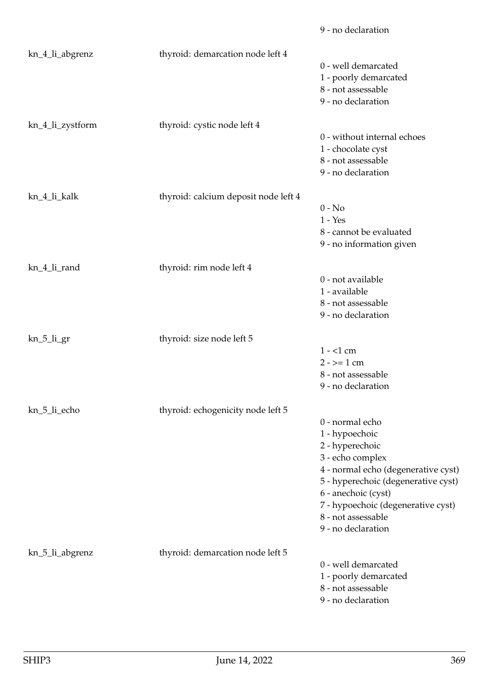|                  |                                      | 9 - no declaration                  |
|------------------|--------------------------------------|-------------------------------------|
| kn_4_li_abgrenz  | thyroid: demarcation node left 4     |                                     |
|                  |                                      | 0 - well demarcated                 |
|                  |                                      | 1 - poorly demarcated               |
|                  |                                      | 8 - not assessable                  |
|                  |                                      | 9 - no declaration                  |
| kn_4_li_zystform | thyroid: cystic node left 4          |                                     |
|                  |                                      | 0 - without internal echoes         |
|                  |                                      | 1 - chocolate cyst                  |
|                  |                                      | 8 - not assessable                  |
|                  |                                      | 9 - no declaration                  |
| kn_4_li_kalk     | thyroid: calcium deposit node left 4 |                                     |
|                  |                                      | $0 - No$                            |
|                  |                                      | $1 - Yes$                           |
|                  |                                      | 8 - cannot be evaluated             |
|                  |                                      | 9 - no information given            |
| kn_4_li_rand     | thyroid: rim node left 4             |                                     |
|                  |                                      | 0 - not available                   |
|                  |                                      | 1 - available                       |
|                  |                                      | 8 - not assessable                  |
|                  |                                      | 9 - no declaration                  |
| kn_5_li_gr       | thyroid: size node left 5            |                                     |
|                  |                                      | $1 - 1$ cm                          |
|                  |                                      | $2 - \ge 1$ cm                      |
|                  |                                      | 8 - not assessable                  |
|                  |                                      | 9 - no declaration                  |
| kn_5_li_echo     | thyroid: echogenicity node left 5    |                                     |
|                  |                                      | 0 - normal echo                     |
|                  |                                      | 1 - hypoechoic                      |
|                  |                                      | 2 - hyperechoic                     |
|                  |                                      | 3 - echo complex                    |
|                  |                                      | 4 - normal echo (degenerative cyst) |
|                  |                                      | 5 - hyperechoic (degenerative cyst) |
|                  |                                      | 6 - anechoic (cyst)                 |
|                  |                                      | 7 - hypoechoic (degenerative cyst)  |
|                  |                                      | 8 - not assessable                  |
|                  |                                      | 9 - no declaration                  |
| kn_5_li_abgrenz  | thyroid: demarcation node left 5     |                                     |
|                  |                                      | 0 - well demarcated                 |
|                  |                                      | 1 - poorly demarcated               |
|                  |                                      | 8 - not assessable                  |
|                  |                                      | 9 - no declaration                  |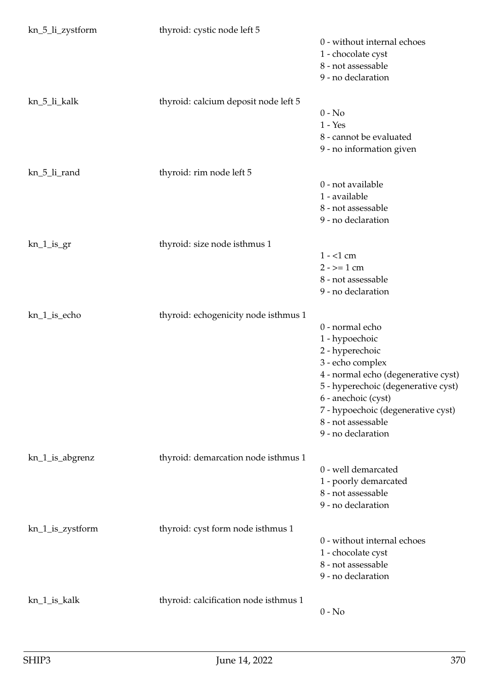| kn_5_li_zystform | thyroid: cystic node left 5           |                                     |
|------------------|---------------------------------------|-------------------------------------|
|                  |                                       | 0 - without internal echoes         |
|                  |                                       | 1 - chocolate cyst                  |
|                  |                                       | 8 - not assessable                  |
|                  |                                       | 9 - no declaration                  |
| kn_5_li_kalk     | thyroid: calcium deposit node left 5  |                                     |
|                  |                                       | $0 - No$                            |
|                  |                                       | $1 - Yes$                           |
|                  |                                       | 8 - cannot be evaluated             |
|                  |                                       | 9 - no information given            |
| kn_5_li_rand     | thyroid: rim node left 5              |                                     |
|                  |                                       | 0 - not available                   |
|                  |                                       | 1 - available                       |
|                  |                                       | 8 - not assessable                  |
|                  |                                       | 9 - no declaration                  |
| $kn_1_is_2r$     | thyroid: size node isthmus 1          |                                     |
|                  |                                       | $1 - 1$ cm                          |
|                  |                                       | $2 - \ge 1$ cm                      |
|                  |                                       | 8 - not assessable                  |
|                  |                                       | 9 - no declaration                  |
| kn_1_is_echo     | thyroid: echogenicity node isthmus 1  |                                     |
|                  |                                       | 0 - normal echo                     |
|                  |                                       | 1 - hypoechoic                      |
|                  |                                       | 2 - hyperechoic                     |
|                  |                                       | 3 - echo complex                    |
|                  |                                       | 4 - normal echo (degenerative cyst) |
|                  |                                       | 5 - hyperechoic (degenerative cyst) |
|                  |                                       | 6 - anechoic (cyst)                 |
|                  |                                       | 7 - hypoechoic (degenerative cyst)  |
|                  |                                       | 8 - not assessable                  |
|                  |                                       | 9 - no declaration                  |
| kn_1_is_abgrenz  | thyroid: demarcation node isthmus 1   |                                     |
|                  |                                       | 0 - well demarcated                 |
|                  |                                       | 1 - poorly demarcated               |
|                  |                                       | 8 - not assessable                  |
|                  |                                       | 9 - no declaration                  |
| kn_1_is_zystform | thyroid: cyst form node isthmus 1     |                                     |
|                  |                                       | 0 - without internal echoes         |
|                  |                                       | 1 - chocolate cyst                  |
|                  |                                       | 8 - not assessable                  |
|                  |                                       | 9 - no declaration                  |
| kn_1_is_kalk     | thyroid: calcification node isthmus 1 |                                     |
|                  |                                       | $0 - No$                            |
|                  |                                       |                                     |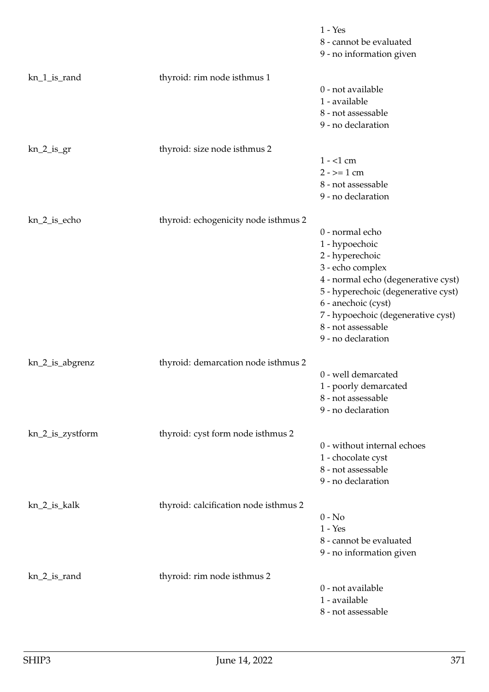|                  |                                       | $1 - Yes$<br>8 - cannot be evaluated<br>9 - no information given                                                                                                                                                                                                |
|------------------|---------------------------------------|-----------------------------------------------------------------------------------------------------------------------------------------------------------------------------------------------------------------------------------------------------------------|
| kn_1_is_rand     | thyroid: rim node isthmus 1           | 0 - not available<br>1 - available<br>8 - not assessable<br>9 - no declaration                                                                                                                                                                                  |
| $kn_2_is_gr$     | thyroid: size node isthmus 2          | $1 - 1$ cm<br>$2 - \ge 1$ cm<br>8 - not assessable<br>9 - no declaration                                                                                                                                                                                        |
| kn_2_is_echo     | thyroid: echogenicity node isthmus 2  | 0 - normal echo<br>1 - hypoechoic<br>2 - hyperechoic<br>3 - echo complex<br>4 - normal echo (degenerative cyst)<br>5 - hyperechoic (degenerative cyst)<br>6 - anechoic (cyst)<br>7 - hypoechoic (degenerative cyst)<br>8 - not assessable<br>9 - no declaration |
| kn_2_is_abgrenz  | thyroid: demarcation node isthmus 2   | 0 - well demarcated<br>1 - poorly demarcated<br>8 - not assessable<br>9 - no declaration                                                                                                                                                                        |
| kn_2_is_zystform | thyroid: cyst form node isthmus 2     | 0 - without internal echoes<br>1 - chocolate cyst<br>8 - not assessable<br>9 - no declaration                                                                                                                                                                   |
| kn_2_is_kalk     | thyroid: calcification node isthmus 2 | $0 - No$<br>$1 - Yes$<br>8 - cannot be evaluated<br>9 - no information given                                                                                                                                                                                    |
| kn_2_is_rand     | thyroid: rim node isthmus 2           | 0 - not available<br>1 - available<br>8 - not assessable                                                                                                                                                                                                        |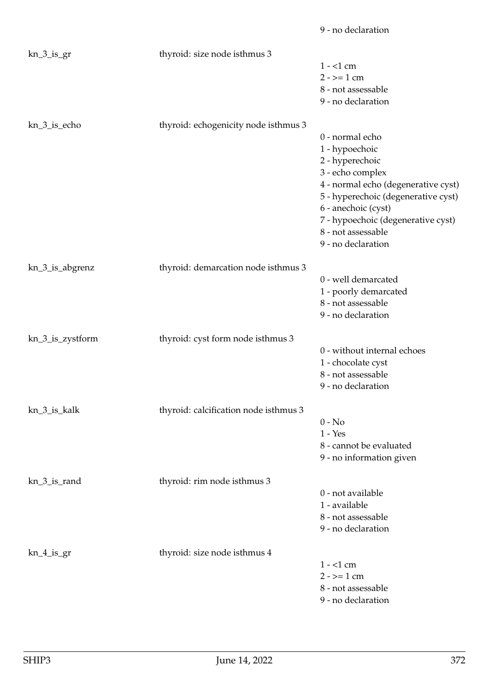|                  |                                       | 9 - no declaration                       |
|------------------|---------------------------------------|------------------------------------------|
| $kn_3_is_gr$     | thyroid: size node isthmus 3          |                                          |
|                  |                                       | $1 - 1$ cm                               |
|                  |                                       | $2 - \ge 1$ cm                           |
|                  |                                       | 8 - not assessable                       |
|                  |                                       | 9 - no declaration                       |
| kn_3_is_echo     | thyroid: echogenicity node isthmus 3  |                                          |
|                  |                                       | 0 - normal echo                          |
|                  |                                       | 1 - hypoechoic                           |
|                  |                                       | 2 - hyperechoic                          |
|                  |                                       | 3 - echo complex                         |
|                  |                                       | 4 - normal echo (degenerative cyst)      |
|                  |                                       | 5 - hyperechoic (degenerative cyst)      |
|                  |                                       | 6 - anechoic (cyst)                      |
|                  |                                       | 7 - hypoechoic (degenerative cyst)       |
|                  |                                       | 8 - not assessable                       |
|                  |                                       | 9 - no declaration                       |
| kn_3_is_abgrenz  | thyroid: demarcation node isthmus 3   |                                          |
|                  |                                       | 0 - well demarcated                      |
|                  |                                       | 1 - poorly demarcated                    |
|                  |                                       | 8 - not assessable                       |
|                  |                                       | 9 - no declaration                       |
|                  |                                       |                                          |
| kn_3_is_zystform | thyroid: cyst form node isthmus 3     | 0 - without internal echoes              |
|                  |                                       |                                          |
|                  |                                       | 1 - chocolate cyst<br>8 - not assessable |
|                  |                                       |                                          |
|                  |                                       | 9 - no declaration                       |
| kn_3_is_kalk     | thyroid: calcification node isthmus 3 |                                          |
|                  |                                       | $0 - No$                                 |
|                  |                                       | $1 - Yes$                                |
|                  |                                       | 8 - cannot be evaluated                  |
|                  |                                       | 9 - no information given                 |
| kn_3_is_rand     | thyroid: rim node isthmus 3           |                                          |
|                  |                                       | 0 - not available                        |
|                  |                                       | 1 - available                            |
|                  |                                       | 8 - not assessable                       |
|                  |                                       | 9 - no declaration                       |
| $kn_4$ is gr     | thyroid: size node isthmus 4          |                                          |
|                  |                                       | $1 - 1$ cm                               |
|                  |                                       | $2 - \ge 1$ cm                           |
|                  |                                       | 8 - not assessable                       |
|                  |                                       | 9 - no declaration                       |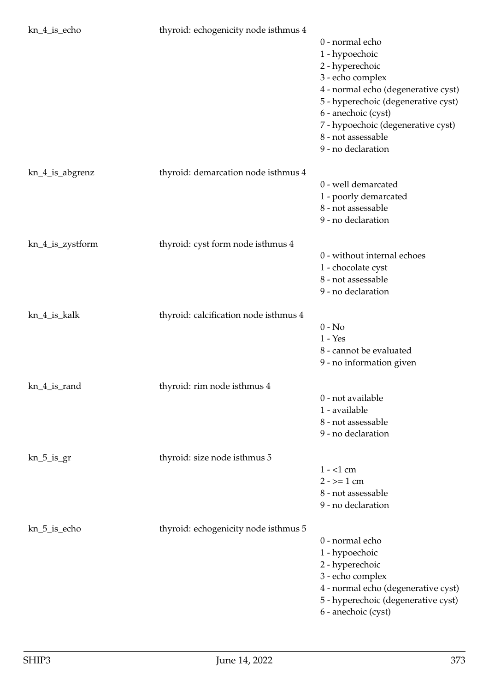| kn_4_is_echo     | thyroid: echogenicity node isthmus 4  |                                     |
|------------------|---------------------------------------|-------------------------------------|
|                  |                                       | 0 - normal echo                     |
|                  |                                       | 1 - hypoechoic                      |
|                  |                                       | 2 - hyperechoic                     |
|                  |                                       | 3 - echo complex                    |
|                  |                                       | 4 - normal echo (degenerative cyst) |
|                  |                                       | 5 - hyperechoic (degenerative cyst) |
|                  |                                       | 6 - anechoic (cyst)                 |
|                  |                                       | 7 - hypoechoic (degenerative cyst)  |
|                  |                                       | 8 - not assessable                  |
|                  |                                       | 9 - no declaration                  |
| kn_4_is_abgrenz  | thyroid: demarcation node isthmus 4   |                                     |
|                  |                                       | 0 - well demarcated                 |
|                  |                                       | 1 - poorly demarcated               |
|                  |                                       | 8 - not assessable                  |
|                  |                                       | 9 - no declaration                  |
|                  |                                       |                                     |
| kn_4_is_zystform | thyroid: cyst form node isthmus 4     |                                     |
|                  |                                       | 0 - without internal echoes         |
|                  |                                       | 1 - chocolate cyst                  |
|                  |                                       | 8 - not assessable                  |
|                  |                                       | 9 - no declaration                  |
| kn_4_is_kalk     | thyroid: calcification node isthmus 4 |                                     |
|                  |                                       | $0 - No$                            |
|                  |                                       | $1 - Yes$                           |
|                  |                                       | 8 - cannot be evaluated             |
|                  |                                       | 9 - no information given            |
| kn_4_is_rand     | thyroid: rim node isthmus 4           |                                     |
|                  |                                       | 0 - not available                   |
|                  |                                       | 1 - available                       |
|                  |                                       | 8 - not assessable                  |
|                  |                                       | 9 - no declaration                  |
|                  |                                       |                                     |
| $kn_5_is_gr$     | thyroid: size node isthmus 5          |                                     |
|                  |                                       | $1 - 1$ cm                          |
|                  |                                       | $2 - 2 = 1$ cm                      |
|                  |                                       | 8 - not assessable                  |
|                  |                                       | 9 - no declaration                  |
| kn_5_is_echo     | thyroid: echogenicity node isthmus 5  |                                     |
|                  |                                       | 0 - normal echo                     |
|                  |                                       | 1 - hypoechoic                      |
|                  |                                       | 2 - hyperechoic                     |
|                  |                                       | 3 - echo complex                    |
|                  |                                       | 4 - normal echo (degenerative cyst) |
|                  |                                       | 5 - hyperechoic (degenerative cyst) |
|                  |                                       | 6 - anechoic (cyst)                 |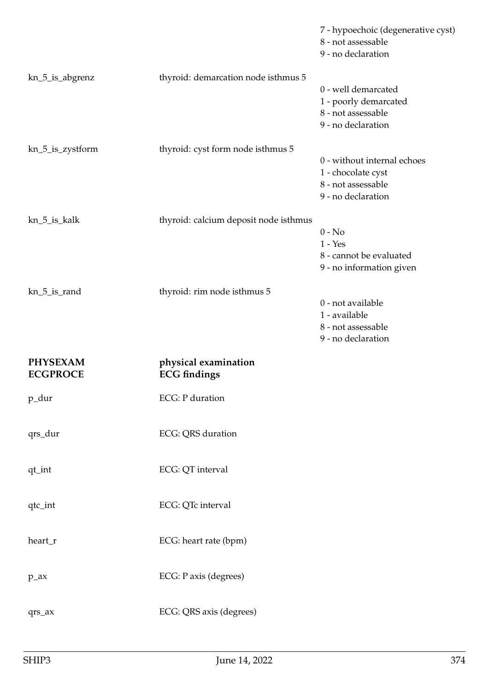|                                    |                                             | 7 - hypoechoic (degenerative cyst)<br>8 - not assessable<br>9 - no declaration                |
|------------------------------------|---------------------------------------------|-----------------------------------------------------------------------------------------------|
| kn_5_is_abgrenz                    | thyroid: demarcation node isthmus 5         | 0 - well demarcated<br>1 - poorly demarcated<br>8 - not assessable<br>9 - no declaration      |
| kn_5_is_zystform                   | thyroid: cyst form node isthmus 5           | 0 - without internal echoes<br>1 - chocolate cyst<br>8 - not assessable<br>9 - no declaration |
| kn_5_is_kalk                       | thyroid: calcium deposit node isthmus       | $0 - No$<br>$1 - Yes$<br>8 - cannot be evaluated<br>9 - no information given                  |
| kn_5_is_rand                       | thyroid: rim node isthmus 5                 | 0 - not available<br>1 - available<br>8 - not assessable<br>9 - no declaration                |
| <b>PHYSEXAM</b><br><b>ECGPROCE</b> | physical examination<br><b>ECG</b> findings |                                                                                               |
|                                    |                                             |                                                                                               |
| p_dur                              | <b>ECG</b> : P duration                     |                                                                                               |
| qrs_dur                            | ECG: QRS duration                           |                                                                                               |
| $\mathtt{qt\_int}$                 | ECG: QT interval                            |                                                                                               |
| qtc_int                            | ECG: QTc interval                           |                                                                                               |
| heart_r                            | ECG: heart rate (bpm)                       |                                                                                               |
| $p_ax$                             | ECG: P axis (degrees)                       |                                                                                               |
| qrs_ax                             | ECG: QRS axis (degrees)                     |                                                                                               |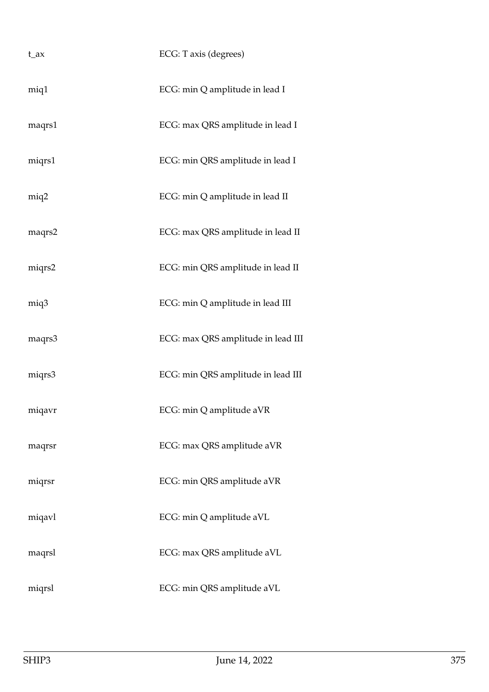| $t_{ax}$ | ECG: T axis (degrees)              |
|----------|------------------------------------|
| miq1     | ECG: min Q amplitude in lead I     |
| maqrs1   | ECG: max QRS amplitude in lead I   |
| miqrs1   | ECG: min QRS amplitude in lead I   |
| miq2     | ECG: min Q amplitude in lead II    |
| maqrs2   | ECG: max QRS amplitude in lead II  |
| miqrs2   | ECG: min QRS amplitude in lead II  |
| miq3     | ECG: min Q amplitude in lead III   |
| maqrs3   | ECG: max QRS amplitude in lead III |
| miqrs3   | ECG: min QRS amplitude in lead III |
| miqavr   | ECG: min Q amplitude aVR           |
| maqrsr   | ECG: max QRS amplitude aVR         |
| miqrsr   | ECG: min QRS amplitude aVR         |
| miqavl   | ECG: min Q amplitude aVL           |
| maqrsl   | ECG: max QRS amplitude aVL         |
| miqrsl   | ECG: min QRS amplitude aVL         |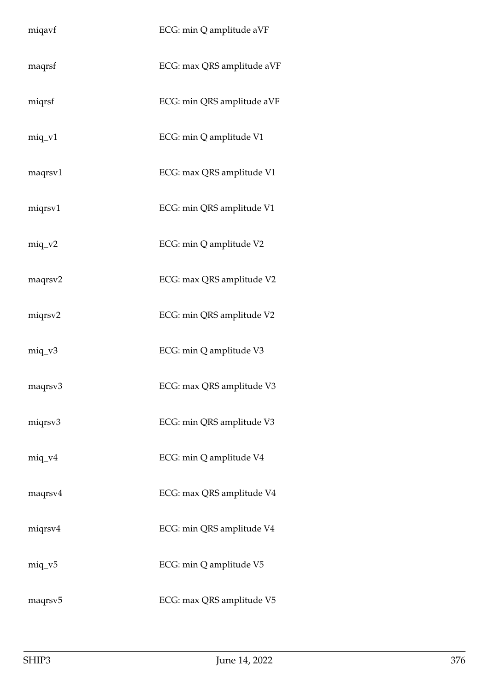| miqavf              | ECG: min Q amplitude aVF   |
|---------------------|----------------------------|
| maqrsf              | ECG: max QRS amplitude aVF |
| miqrsf              | ECG: min QRS amplitude aVF |
| $miq_v1$            | ECG: min Q amplitude V1    |
| maqrsv1             | ECG: max QRS amplitude V1  |
| miqrsv1             | ECG: min QRS amplitude V1  |
| $miq_v^2$           | ECG: min Q amplitude V2    |
| maqrsv2             | ECG: max QRS amplitude V2  |
| miqrsv2             | ECG: min QRS amplitude V2  |
| $miq_v3$            | ECG: min Q amplitude V3    |
| maqrsv3             | ECG: max QRS amplitude V3  |
| miqrsv3             | ECG: min QRS amplitude V3  |
| $miq_v4$            | ECG: min Q amplitude V4    |
| maqrsv4             | ECG: max QRS amplitude V4  |
| miqrsv4             | ECG: min QRS amplitude V4  |
| $miq_v5$            | ECG: min Q amplitude V5    |
| maqrsv <sub>5</sub> | ECG: max QRS amplitude V5  |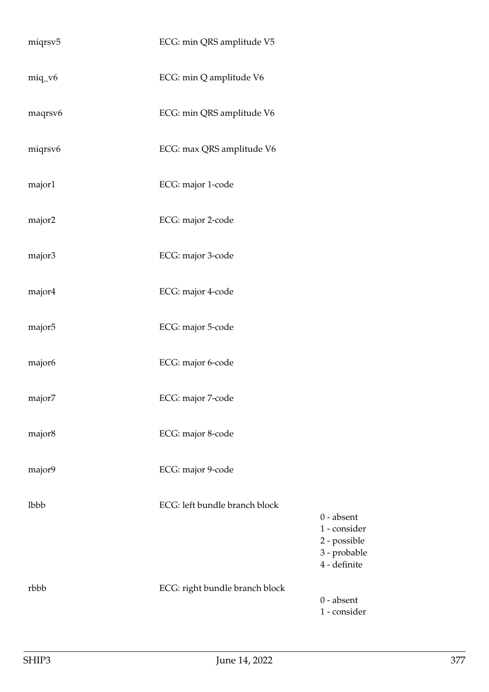| miqrsv5 | ECG: min QRS amplitude V5      |                                                                              |
|---------|--------------------------------|------------------------------------------------------------------------------|
| miq_v6  | ECG: min Q amplitude V6        |                                                                              |
| maqrsv6 | ECG: min QRS amplitude V6      |                                                                              |
| miqrsv6 | ECG: max QRS amplitude V6      |                                                                              |
| major1  | ECG: major 1-code              |                                                                              |
| major2  | ECG: major 2-code              |                                                                              |
| major3  | ECG: major 3-code              |                                                                              |
| major4  | ECG: major 4-code              |                                                                              |
| major5  | ECG: major 5-code              |                                                                              |
| major6  | ECG: major 6-code              |                                                                              |
| major7  | ECG: major 7-code              |                                                                              |
| major8  | ECG: major 8-code              |                                                                              |
| major9  | ECG: major 9-code              |                                                                              |
| lbbb    | ECG: left bundle branch block  | $0$ - absent<br>1 - consider<br>2 - possible<br>3 - probable<br>4 - definite |
| rbbb    | ECG: right bundle branch block | $0$ - absent<br>1 - consider                                                 |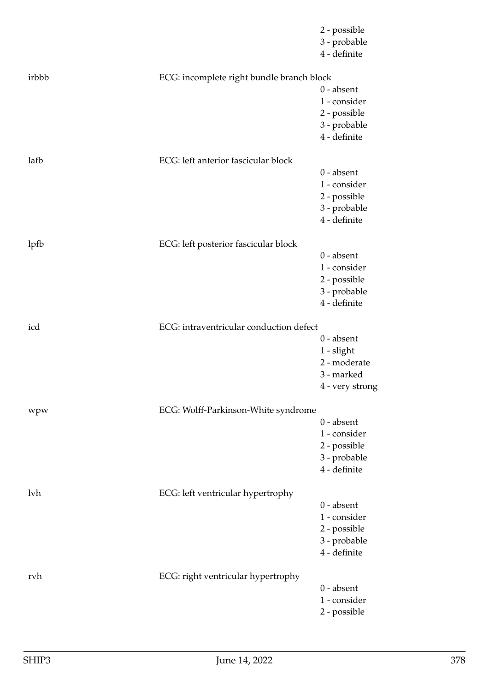|       |                                           | 2 - possible<br>3 - probable<br>4 - definite |
|-------|-------------------------------------------|----------------------------------------------|
| irbbb | ECG: incomplete right bundle branch block |                                              |
|       |                                           | $0$ - absent                                 |
|       |                                           | 1 - consider                                 |
|       |                                           | 2 - possible                                 |
|       |                                           | 3 - probable<br>4 - definite                 |
|       |                                           |                                              |
| lafb  | ECG: left anterior fascicular block       |                                              |
|       |                                           | $0$ - absent                                 |
|       |                                           | 1 - consider                                 |
|       |                                           | 2 - possible                                 |
|       |                                           | 3 - probable<br>4 - definite                 |
|       |                                           |                                              |
| lpfb  | ECG: left posterior fascicular block      |                                              |
|       |                                           | $0$ - absent                                 |
|       |                                           | 1 - consider                                 |
|       |                                           | 2 - possible                                 |
|       |                                           | 3 - probable                                 |
|       |                                           | 4 - definite                                 |
| icd   | ECG: intraventricular conduction defect   |                                              |
|       |                                           | $0$ - absent                                 |
|       |                                           | 1 - slight                                   |
|       |                                           | 2 - moderate                                 |
|       |                                           | 3 - marked                                   |
|       |                                           | 4 - very strong                              |
| wpw   | ECG: Wolff-Parkinson-White syndrome       |                                              |
|       |                                           | $0$ - absent                                 |
|       |                                           | 1 - consider                                 |
|       |                                           | 2 - possible                                 |
|       |                                           | 3 - probable                                 |
|       |                                           | 4 - definite                                 |
| lvh   | ECG: left ventricular hypertrophy         |                                              |
|       |                                           | $0$ - absent                                 |
|       |                                           | 1 - consider                                 |
|       |                                           | 2 - possible                                 |
|       |                                           | 3 - probable                                 |
|       |                                           | 4 - definite                                 |
| rvh   | ECG: right ventricular hypertrophy        |                                              |
|       |                                           | $0$ - absent                                 |
|       |                                           | 1 - consider                                 |
|       |                                           | 2 - possible                                 |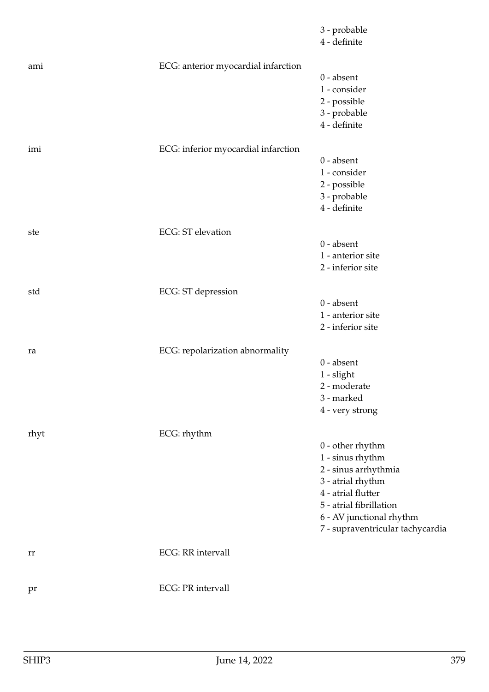|      |                                     | 3 - probable<br>4 - definite                                                                                                                                                                           |
|------|-------------------------------------|--------------------------------------------------------------------------------------------------------------------------------------------------------------------------------------------------------|
| ami  | ECG: anterior myocardial infarction | $0$ - absent<br>1 - consider<br>2 - possible<br>3 - probable<br>4 - definite                                                                                                                           |
| imi  | ECG: inferior myocardial infarction | $0$ - absent<br>1 - consider<br>2 - possible<br>3 - probable<br>4 - definite                                                                                                                           |
| ste  | <b>ECG: ST elevation</b>            | $0$ - absent<br>1 - anterior site<br>2 - inferior site                                                                                                                                                 |
| std  | ECG: ST depression                  | $0$ - absent<br>1 - anterior site<br>2 - inferior site                                                                                                                                                 |
| ra   | ECG: repolarization abnormality     | $0$ - absent<br>1 - slight<br>2 - moderate<br>3 - marked<br>4 - very strong                                                                                                                            |
| rhyt | ECG: rhythm                         | $0$ - other rhythm<br>$1$ - sinus rhythm<br>2 - sinus arrhythmia<br>3 - atrial rhythm<br>4 - atrial flutter<br>5 - atrial fibrillation<br>6 - AV junctional rhythm<br>7 - supraventricular tachycardia |
| rr   | <b>ECG: RR</b> intervall            |                                                                                                                                                                                                        |
| pr   | <b>ECG</b> : PR intervall           |                                                                                                                                                                                                        |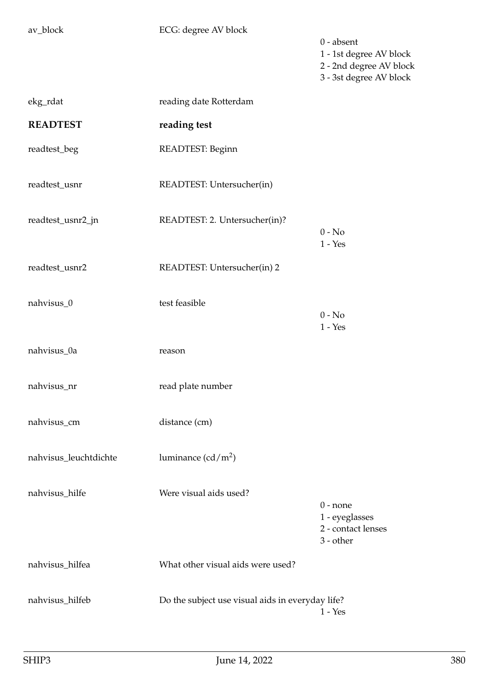av\_block ECG: degree AV block

0 - absent 1 - 1st degree AV block 2 - 2nd degree AV block 3 - 3st degree AV block

| ekg_rdat              | reading date Rotterdam                           |                                                                   |
|-----------------------|--------------------------------------------------|-------------------------------------------------------------------|
| <b>READTEST</b>       | reading test                                     |                                                                   |
| readtest_beg          | READTEST: Beginn                                 |                                                                   |
| readtest_usnr         | READTEST: Untersucher(in)                        |                                                                   |
| readtest_usnr2_jn     | READTEST: 2. Untersucher(in)?                    | $0 - No$<br>$1 - Yes$                                             |
| readtest_usnr2        | READTEST: Untersucher(in) 2                      |                                                                   |
| nahvisus_0            | test feasible                                    | $0 - No$<br>$1 - Yes$                                             |
| nahvisus_0a           | reason                                           |                                                                   |
| nahvisus_nr           | read plate number                                |                                                                   |
| nahvisus_cm           | distance (cm)                                    |                                                                   |
| nahvisus_leuchtdichte | luminance $(cd/m^2)$                             |                                                                   |
| nahvisus_hilfe        | Were visual aids used?                           | $0$ - none<br>1 - eyeglasses<br>2 - contact lenses<br>$3$ - other |
| nahvisus_hilfea       | What other visual aids were used?                |                                                                   |
| nahvisus_hilfeb       | Do the subject use visual aids in everyday life? | $1 - Yes$                                                         |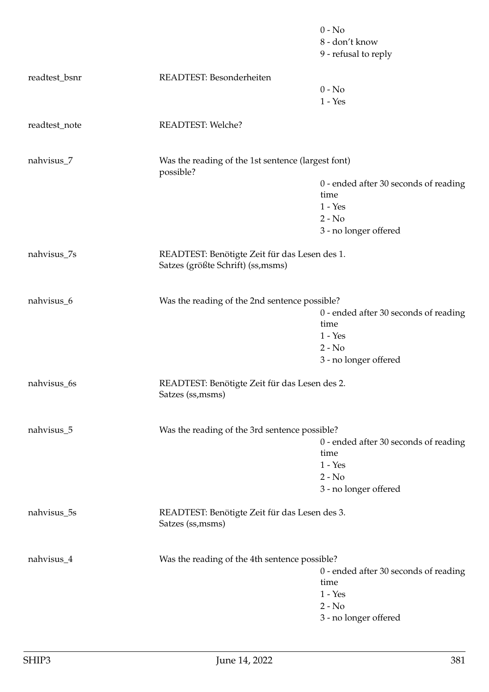|               |                                                                                    | $0 - No$                              |
|---------------|------------------------------------------------------------------------------------|---------------------------------------|
|               |                                                                                    | 8 - don't know                        |
|               |                                                                                    | 9 - refusal to reply                  |
| readtest_bsnr | READTEST: Besonderheiten                                                           |                                       |
|               |                                                                                    | $0 - No$                              |
|               |                                                                                    | $1 - Yes$                             |
|               |                                                                                    |                                       |
| readtest_note | <b>READTEST: Welche?</b>                                                           |                                       |
| nahvisus_7    | Was the reading of the 1st sentence (largest font)<br>possible?                    |                                       |
|               |                                                                                    | 0 - ended after 30 seconds of reading |
|               |                                                                                    | time                                  |
|               |                                                                                    | $1 - Yes$                             |
|               |                                                                                    | $2 - No$                              |
|               |                                                                                    | 3 - no longer offered                 |
| nahvisus_7s   | READTEST: Benötigte Zeit für das Lesen des 1.<br>Satzes (größte Schrift) (ss,msms) |                                       |
|               |                                                                                    |                                       |
| nahvisus_6    | Was the reading of the 2nd sentence possible?                                      |                                       |
|               |                                                                                    | 0 - ended after 30 seconds of reading |
|               |                                                                                    | time                                  |
|               |                                                                                    | $1 - Yes$                             |
|               |                                                                                    | $2 - No$                              |
|               |                                                                                    | 3 - no longer offered                 |
| nahvisus_6s   | READTEST: Benötigte Zeit für das Lesen des 2.<br>Satzes (ss, msms)                 |                                       |
|               |                                                                                    |                                       |
| nahvisus_5    | Was the reading of the 3rd sentence possible?                                      | 0 - ended after 30 seconds of reading |
|               |                                                                                    | time                                  |
|               |                                                                                    | $1 - Yes$                             |
|               |                                                                                    | $2 - No$                              |
|               |                                                                                    | 3 - no longer offered                 |
| nahvisus_5s   | READTEST: Benötigte Zeit für das Lesen des 3.                                      |                                       |
|               | Satzes (ss, msms)                                                                  |                                       |
| nahvisus_4    | Was the reading of the 4th sentence possible?                                      |                                       |
|               |                                                                                    | 0 - ended after 30 seconds of reading |
|               |                                                                                    | time                                  |
|               |                                                                                    | $1 - Yes$                             |
|               |                                                                                    | $2 - No$                              |
|               |                                                                                    | 3 - no longer offered                 |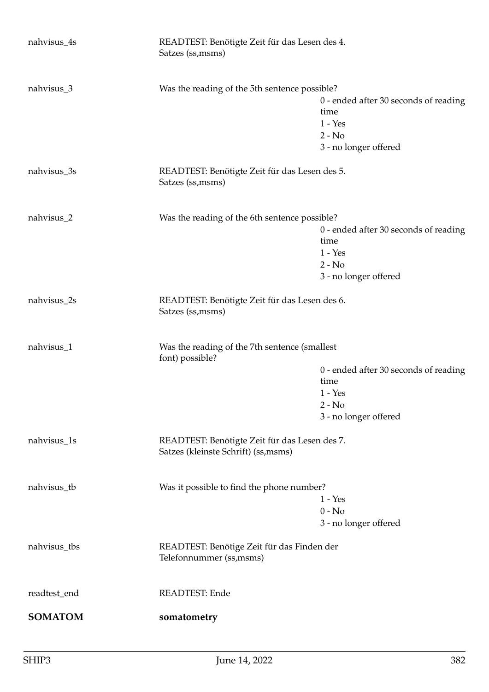| nahvisus_4s                    | READTEST: Benötigte Zeit für das Lesen des 4.<br>Satzes (ss, msms)                    |                                                                                                 |
|--------------------------------|---------------------------------------------------------------------------------------|-------------------------------------------------------------------------------------------------|
| nahvisus_3                     | Was the reading of the 5th sentence possible?                                         | 0 - ended after 30 seconds of reading<br>time<br>$1 - Yes$<br>$2 - No$<br>3 - no longer offered |
| nahvisus_3s                    | READTEST: Benötigte Zeit für das Lesen des 5.<br>Satzes (ss, msms)                    |                                                                                                 |
| nahvisus_2                     | Was the reading of the 6th sentence possible?                                         | 0 - ended after 30 seconds of reading<br>time<br>$1 - Yes$<br>$2 - No$<br>3 - no longer offered |
| nahvisus_2s                    | READTEST: Benötigte Zeit für das Lesen des 6.<br>Satzes (ss, msms)                    |                                                                                                 |
| nahvisus_1                     | Was the reading of the 7th sentence (smallest<br>font) possible?                      | 0 - ended after 30 seconds of reading<br>time<br>$1 - Yes$<br>$2 - No$<br>3 - no longer offered |
| nahvisus_1s                    | READTEST: Benötigte Zeit für das Lesen des 7.<br>Satzes (kleinste Schrift) (ss, msms) |                                                                                                 |
| nahvisus_tb                    | Was it possible to find the phone number?                                             | $1 - Yes$<br>$0 - No$<br>3 - no longer offered                                                  |
| nahvisus_tbs                   | READTEST: Benötige Zeit für das Finden der<br>Telefonnummer (ss, msms)                |                                                                                                 |
| readtest_end<br><b>SOMATOM</b> | READTEST: Ende<br>somatometry                                                         |                                                                                                 |
|                                |                                                                                       |                                                                                                 |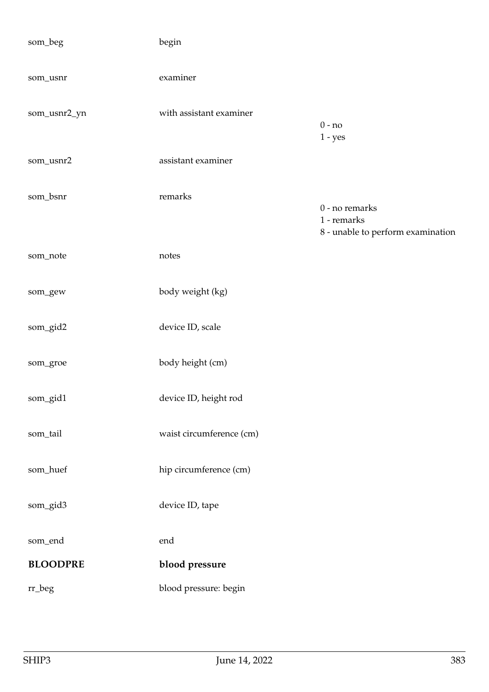| som_beg         | begin                    |                                                                    |
|-----------------|--------------------------|--------------------------------------------------------------------|
| som_usnr        | examiner                 |                                                                    |
| som_usnr2_yn    | with assistant examiner  | $0 - no$<br>$1 - yes$                                              |
| som_usnr2       | assistant examiner       |                                                                    |
| som_bsnr        | remarks                  | 0 - no remarks<br>1 - remarks<br>8 - unable to perform examination |
| som_note        | notes                    |                                                                    |
| som_gew         | body weight (kg)         |                                                                    |
| som_gid2        | device ID, scale         |                                                                    |
| som_groe        | body height (cm)         |                                                                    |
| som_gid1        | device ID, height rod    |                                                                    |
| som_tail        | waist circumference (cm) |                                                                    |
| som_huef        | hip circumference (cm)   |                                                                    |
| som_gid3        | device ID, tape          |                                                                    |
| som_end         | end                      |                                                                    |
| <b>BLOODPRE</b> | blood pressure           |                                                                    |
| rr_beg          | blood pressure: begin    |                                                                    |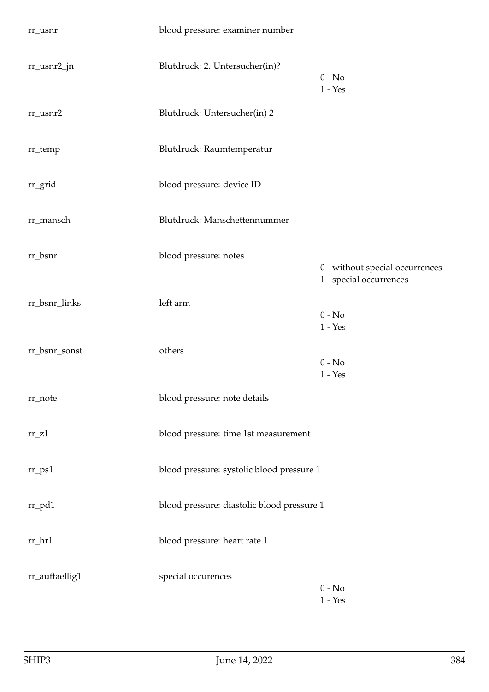| rr_usnr              | blood pressure: examiner number            |                                                            |
|----------------------|--------------------------------------------|------------------------------------------------------------|
| rr_usnr2_jn          | Blutdruck: 2. Untersucher(in)?             | $0 - No$<br>$1 - Yes$                                      |
| $rr\_usnr2$          | Blutdruck: Untersucher(in) 2               |                                                            |
| rr_temp              | Blutdruck: Raumtemperatur                  |                                                            |
| rr_grid              | blood pressure: device ID                  |                                                            |
| rr_mansch            | Blutdruck: Manschettennummer               |                                                            |
| rr_bsnr              | blood pressure: notes                      | 0 - without special occurrences<br>1 - special occurrences |
| rr_bsnr_links        | left arm                                   | $0 - No$<br>$1 - Yes$                                      |
| rr_bsnr_sonst        | others                                     | $0 - No$<br>$1 - Yes$                                      |
| rr_note              | blood pressure: note details               |                                                            |
| $rr_Z1$              | blood pressure: time 1st measurement       |                                                            |
| $rr$ <sub>-ps1</sub> | blood pressure: systolic blood pressure 1  |                                                            |
| $rr\_pd1$            | blood pressure: diastolic blood pressure 1 |                                                            |
| $rr_hr1$             | blood pressure: heart rate 1               |                                                            |
| rr_auffaellig1       | special occurences                         | $0 - No$<br>$1 - Yes$                                      |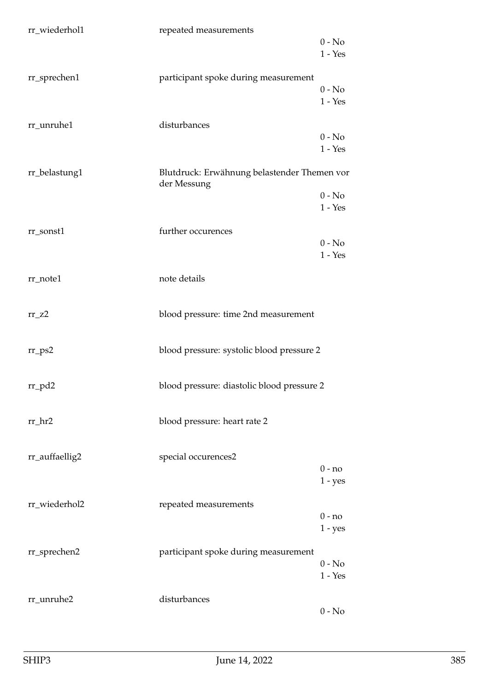| rr_wiederhol1  | repeated measurements                                      | $0 - No$<br>$1 - Yes$ |
|----------------|------------------------------------------------------------|-----------------------|
| rr_sprechen1   | participant spoke during measurement                       | $0 - No$<br>$1 - Yes$ |
| rr_unruhe1     | disturbances                                               | $0 - No$<br>$1 - Yes$ |
| rr_belastung1  | Blutdruck: Erwähnung belastender Themen vor<br>der Messung | $0 - No$<br>$1 - Yes$ |
| rr_sonst1      | further occurences                                         | $0 - No$<br>$1 - Yes$ |
| rr_note1       | note details                                               |                       |
| $rr_zz$        | blood pressure: time 2nd measurement                       |                       |
| $rr_{PS2}$     | blood pressure: systolic blood pressure 2                  |                       |
| $rr_p d2$      | blood pressure: diastolic blood pressure 2                 |                       |
| $rr_hr2$       | blood pressure: heart rate 2                               |                       |
| rr_auffaellig2 | special occurences2                                        | $0 - no$<br>$1 - yes$ |
| rr_wiederhol2  | repeated measurements                                      | $0 - no$<br>$1 - yes$ |
| rr_sprechen2   | participant spoke during measurement                       | $0 - No$<br>$1 - Yes$ |
| rr_unruhe2     | disturbances                                               | $0 - No$              |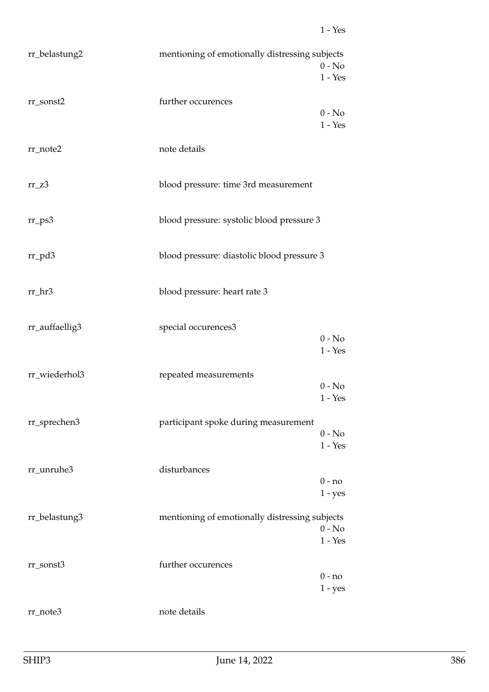| rr_belastung2  | mentioning of emotionally distressing subjects | $0 - No$<br>$1 - Yes$ |
|----------------|------------------------------------------------|-----------------------|
| rr_sonst2      | further occurences                             | $0 - No$<br>$1 - Yes$ |
| rr_note2       | note details                                   |                       |
| $rr_Z3$        | blood pressure: time 3rd measurement           |                       |
| $rr_{PS}3$     | blood pressure: systolic blood pressure 3      |                       |
| $rr_p d3$      | blood pressure: diastolic blood pressure 3     |                       |
| rr_hr3         | blood pressure: heart rate 3                   |                       |
| rr_auffaellig3 | special occurences3                            | $0 - No$<br>$1 - Yes$ |
| rr_wiederhol3  | repeated measurements                          | $0 - No$<br>$1 - Yes$ |
| rr_sprechen3   | participant spoke during measurement           | $0 - No$<br>$1 - Yes$ |
| rr_unruhe3     | disturbances                                   | $0 - no$<br>$1 - yes$ |
| rr_belastung3  | mentioning of emotionally distressing subjects | $0 - No$<br>$1 - Yes$ |
| rr_sonst3      | further occurences                             | $0 - no$<br>$1 - yes$ |
| rr_note3       | note details                                   |                       |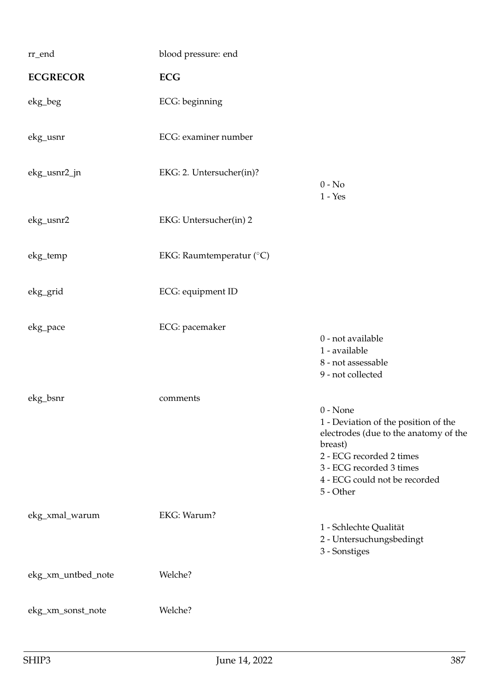| rr_end             | blood pressure: end      |                                                                                                                                                                                                              |
|--------------------|--------------------------|--------------------------------------------------------------------------------------------------------------------------------------------------------------------------------------------------------------|
| <b>ECGRECOR</b>    | <b>ECG</b>               |                                                                                                                                                                                                              |
| ekg_beg            | ECG: beginning           |                                                                                                                                                                                                              |
| ekg_usnr           | ECG: examiner number     |                                                                                                                                                                                                              |
| ekg_usnr2_jn       | EKG: 2. Untersucher(in)? | $0 - No$<br>$1 - Yes$                                                                                                                                                                                        |
| ekg_usnr2          | EKG: Untersucher(in) 2   |                                                                                                                                                                                                              |
| ekg_temp           | EKG: Raumtemperatur (°C) |                                                                                                                                                                                                              |
| ekg_grid           | ECG: equipment ID        |                                                                                                                                                                                                              |
| ekg_pace           | ECG: pacemaker           | 0 - not available<br>1 - available<br>8 - not assessable<br>9 - not collected                                                                                                                                |
| ekg_bsnr           | comments                 | $0 - None$<br>1 - Deviation of the position of the<br>electrodes (due to the anatomy of the<br>breast)<br>2 - ECG recorded 2 times<br>3 - ECG recorded 3 times<br>4 - ECG could not be recorded<br>5 - Other |
| ekg_xmal_warum     | EKG: Warum?              | 1 - Schlechte Qualität<br>2 - Untersuchungsbedingt<br>3 - Sonstiges                                                                                                                                          |
| ekg_xm_untbed_note | Welche?                  |                                                                                                                                                                                                              |
| ekg_xm_sonst_note  | Welche?                  |                                                                                                                                                                                                              |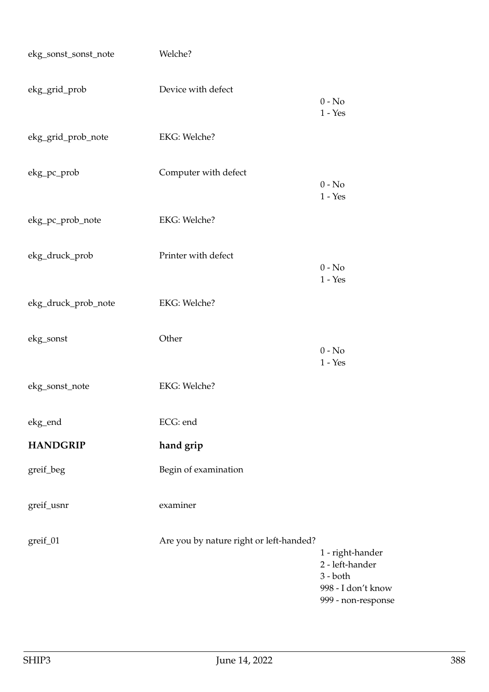| ekg_sonst_sonst_note | Welche?                                 |                                                                                               |
|----------------------|-----------------------------------------|-----------------------------------------------------------------------------------------------|
| ekg_grid_prob        | Device with defect                      | $0 - No$<br>$1 - Yes$                                                                         |
| ekg_grid_prob_note   | EKG: Welche?                            |                                                                                               |
| ekg_pc_prob          | Computer with defect                    | $0 - No$<br>$1 - Yes$                                                                         |
| ekg_pc_prob_note     | EKG: Welche?                            |                                                                                               |
| ekg_druck_prob       | Printer with defect                     | $0 - No$<br>$1 - Yes$                                                                         |
| ekg_druck_prob_note  | EKG: Welche?                            |                                                                                               |
| ekg_sonst            | Other                                   | $0 - No$<br>$1 - Yes$                                                                         |
| ekg_sonst_note       | EKG: Welche?                            |                                                                                               |
| ekg_end              | ECG: end                                |                                                                                               |
| <b>HANDGRIP</b>      | hand grip                               |                                                                                               |
| greif_beg            | Begin of examination                    |                                                                                               |
| greif_usnr           | examiner                                |                                                                                               |
| greif_01             | Are you by nature right or left-handed? | 1 - right-hander<br>2 - left-hander<br>$3 - both$<br>998 - I don't know<br>999 - non-response |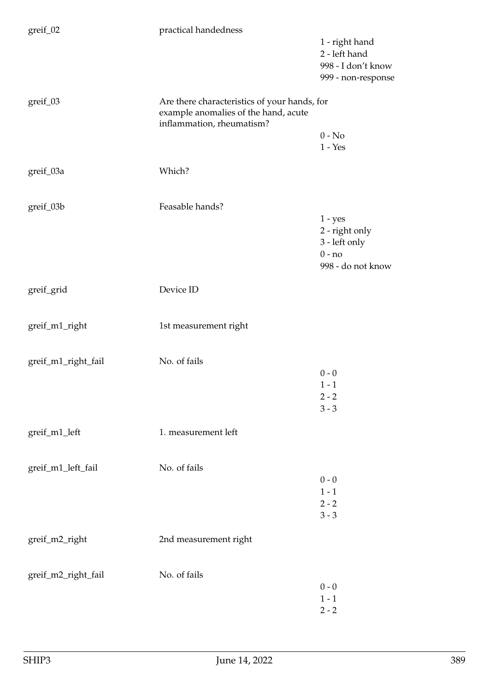| greif_02            | practical handedness                                                                                              |                                                                               |
|---------------------|-------------------------------------------------------------------------------------------------------------------|-------------------------------------------------------------------------------|
|                     |                                                                                                                   | 1 - right hand<br>2 - left hand<br>998 - I don't know<br>999 - non-response   |
| greif_03            | Are there characteristics of your hands, for<br>example anomalies of the hand, acute<br>inflammation, rheumatism? |                                                                               |
|                     |                                                                                                                   | $0 - No$                                                                      |
|                     |                                                                                                                   | $1 - Yes$                                                                     |
| greif_03a           | Which?                                                                                                            |                                                                               |
| greif_03b           | Feasable hands?                                                                                                   |                                                                               |
|                     |                                                                                                                   | $1 - yes$<br>2 - right only<br>3 - left only<br>$0 - no$<br>998 - do not know |
| greif_grid          | Device ID                                                                                                         |                                                                               |
| greif_m1_right      | 1st measurement right                                                                                             |                                                                               |
| greif_m1_right_fail | No. of fails                                                                                                      | $0 - 0$<br>$1 - 1$<br>$2 - 2$<br>$3 - 3$                                      |
| greif_m1_left       | 1. measurement left                                                                                               |                                                                               |
| greif_m1_left_fail  | No. of fails                                                                                                      | $0 - 0$<br>$1 - 1$<br>$2 - 2$<br>$3 - 3$                                      |
| greif_m2_right      | 2nd measurement right                                                                                             |                                                                               |
| greif_m2_right_fail | No. of fails                                                                                                      | $0 - 0$<br>$1 - 1$<br>$2 - 2$                                                 |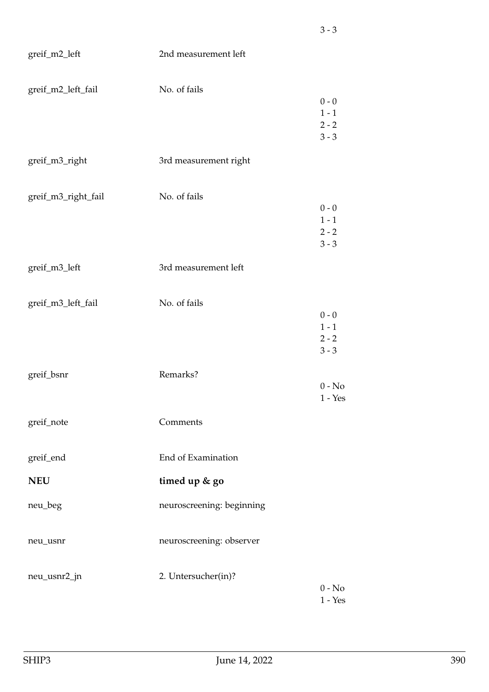| greif_m2_left       | 2nd measurement left      |                                                    |
|---------------------|---------------------------|----------------------------------------------------|
| greif_m2_left_fail  | No. of fails              | $0 - 0$<br>$1 - 1$<br>$2 - 2$<br>$3 - 3$           |
| greif_m3_right      | 3rd measurement right     |                                                    |
| greif_m3_right_fail | No. of fails              | $0 - 0$<br>$1 - 1$<br>$2 - 2$<br>$3 - 3$           |
| greif_m3_left       | 3rd measurement left      |                                                    |
| greif_m3_left_fail  | No. of fails              | $0 - 0$<br>$1 - 1$<br>$2 - 2$<br>$3 - 3$           |
| greif_bsnr          | Remarks?                  | $0 - No$<br>$1 - Yes$                              |
| greif_note          | Comments                  |                                                    |
| greif_end           | End of Examination        |                                                    |
| <b>NEU</b>          | timed up & go             |                                                    |
| neu_beg             | neuroscreening: beginning |                                                    |
| neu_usnr            | neuroscreening: observer  |                                                    |
| neu_usnr2_jn        | 2. Untersucher(in)?       | $0 - No$<br>$1 - \ensuremath{\mathrm{Yes}}\xspace$ |

3 - 3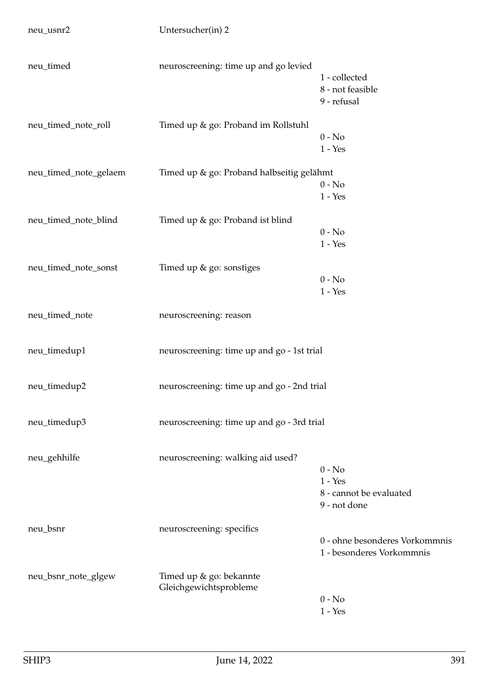| neu_timed             | neuroscreening: time up and go levied             | 1 - collected<br>8 - not feasible<br>9 - refusal                 |
|-----------------------|---------------------------------------------------|------------------------------------------------------------------|
| neu_timed_note_roll   | Timed up & go: Proband im Rollstuhl               | $0 - No$<br>$1 - Yes$                                            |
| neu_timed_note_gelaem | Timed up & go: Proband halbseitig gelähmt         | $0 - No$<br>$1 - Yes$                                            |
| neu_timed_note_blind  | Timed up & go: Proband ist blind                  | $0 - No$<br>$1 - Yes$                                            |
| neu_timed_note_sonst  | Timed up & go: sonstiges                          | $0 - No$<br>$1 - Yes$                                            |
| neu_timed_note        | neuroscreening: reason                            |                                                                  |
| neu_timedup1          | neuroscreening: time up and go - 1st trial        |                                                                  |
| neu_timedup2          | neuroscreening: time up and go - 2nd trial        |                                                                  |
| neu_timedup3          | neuroscreening: time up and go - 3rd trial        |                                                                  |
| neu_gehhilfe          | neuroscreening: walking aid used?                 | $0 - No$<br>$1 - Yes$<br>8 - cannot be evaluated<br>9 - not done |
| neu_bsnr              | neuroscreening: specifics                         | 0 - ohne besonderes Vorkommnis<br>1 - besonderes Vorkommnis      |
| neu_bsnr_note_glgew   | Timed up & go: bekannte<br>Gleichgewichtsprobleme | $0 - No$<br>$1 - Yes$                                            |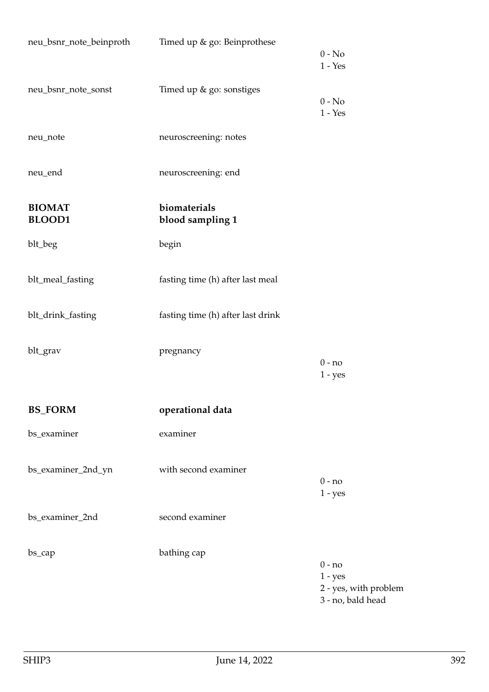| neu_bsnr_note_beinproth        | Timed up & go: Beinprothese       | $0 - No$<br>$1 - Yes$                                               |
|--------------------------------|-----------------------------------|---------------------------------------------------------------------|
| neu_bsnr_note_sonst            | Timed up & go: sonstiges          | $0 - No$<br>$1 - Yes$                                               |
| neu_note                       | neuroscreening: notes             |                                                                     |
| neu_end                        | neuroscreening: end               |                                                                     |
| <b>BIOMAT</b><br><b>BLOOD1</b> | biomaterials<br>blood sampling 1  |                                                                     |
| blt_beg                        | begin                             |                                                                     |
| blt_meal_fasting               | fasting time (h) after last meal  |                                                                     |
| blt_drink_fasting              | fasting time (h) after last drink |                                                                     |
| blt_grav                       | pregnancy                         | $0 - no$<br>$1 - yes$                                               |
| <b>BS_FORM</b>                 | operational data                  |                                                                     |
| bs_examiner                    | examiner                          |                                                                     |
| bs_examiner_2nd_yn             | with second examiner              | $0 - no$<br>$1 - yes$                                               |
| bs_examiner_2nd                | second examiner                   |                                                                     |
| bs_cap                         | bathing cap                       | $0 - no$<br>$1 - yes$<br>2 - yes, with problem<br>3 - no, bald head |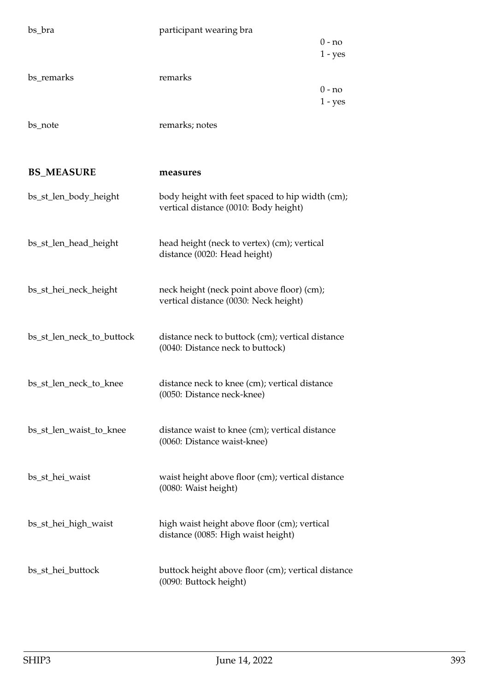| bs_bra                    | participant wearing bra                            |           |
|---------------------------|----------------------------------------------------|-----------|
|                           |                                                    | $0 - no$  |
|                           |                                                    | $1 - yes$ |
|                           |                                                    |           |
| bs remarks                | remarks                                            |           |
|                           |                                                    | 0 - no    |
|                           |                                                    | $1 - yes$ |
|                           |                                                    |           |
| bs_note                   | remarks; notes                                     |           |
|                           |                                                    |           |
|                           |                                                    |           |
|                           |                                                    |           |
| <b>BS_MEASURE</b>         | measures                                           |           |
|                           |                                                    |           |
| bs_st_len_body_height     | body height with feet spaced to hip width (cm);    |           |
|                           | vertical distance (0010: Body height)              |           |
|                           |                                                    |           |
|                           |                                                    |           |
| bs_st_len_head_height     | head height (neck to vertex) (cm); vertical        |           |
|                           | distance (0020: Head height)                       |           |
|                           |                                                    |           |
| bs_st_hei_neck_height     | neck height (neck point above floor) (cm);         |           |
|                           | vertical distance (0030: Neck height)              |           |
|                           |                                                    |           |
|                           |                                                    |           |
| bs_st_len_neck_to_buttock | distance neck to buttock (cm); vertical distance   |           |
|                           | (0040: Distance neck to buttock)                   |           |
|                           |                                                    |           |
|                           |                                                    |           |
| bs_st_len_neck_to_knee    | distance neck to knee (cm); vertical distance      |           |
|                           | (0050: Distance neck-knee)                         |           |
|                           |                                                    |           |
|                           |                                                    |           |
| bs_st_len_waist_to_knee   | distance waist to knee (cm); vertical distance     |           |
|                           | (0060: Distance waist-knee)                        |           |
|                           |                                                    |           |
| bs_st_hei_waist           | waist height above floor (cm); vertical distance   |           |
|                           | (0080: Waist height)                               |           |
|                           |                                                    |           |
|                           |                                                    |           |
| bs_st_hei_high_waist      | high waist height above floor (cm); vertical       |           |
|                           | distance (0085: High waist height)                 |           |
|                           |                                                    |           |
|                           |                                                    |           |
| bs_st_hei_buttock         | buttock height above floor (cm); vertical distance |           |
|                           | (0090: Buttock height)                             |           |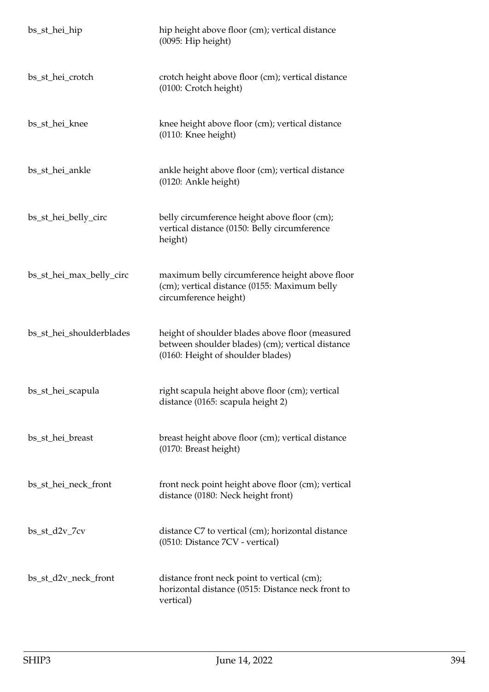| bs_st_hei_hip            | hip height above floor (cm); vertical distance<br>(0095: Hip height)                                                                     |
|--------------------------|------------------------------------------------------------------------------------------------------------------------------------------|
| bs_st_hei_crotch         | crotch height above floor (cm); vertical distance<br>(0100: Crotch height)                                                               |
| bs_st_hei_knee           | knee height above floor (cm); vertical distance<br>(0110: Knee height)                                                                   |
| bs_st_hei_ankle          | ankle height above floor (cm); vertical distance<br>(0120: Ankle height)                                                                 |
| bs_st_hei_belly_circ     | belly circumference height above floor (cm);<br>vertical distance (0150: Belly circumference<br>height)                                  |
| bs_st_hei_max_belly_circ | maximum belly circumference height above floor<br>(cm); vertical distance (0155: Maximum belly<br>circumference height)                  |
| bs_st_hei_shoulderblades | height of shoulder blades above floor (measured<br>between shoulder blades) (cm); vertical distance<br>(0160: Height of shoulder blades) |
| bs_st_hei_scapula        | right scapula height above floor (cm); vertical<br>distance (0165: scapula height 2)                                                     |
| bs_st_hei_breast         | breast height above floor (cm); vertical distance<br>(0170: Breast height)                                                               |
| bs_st_hei_neck_front     | front neck point height above floor (cm); vertical<br>distance (0180: Neck height front)                                                 |
| $bs_st_d2v_7cv$          | distance C7 to vertical (cm); horizontal distance<br>(0510: Distance 7CV - vertical)                                                     |
| bs_st_d2v_neck_front     | distance front neck point to vertical (cm);<br>horizontal distance (0515: Distance neck front to<br>vertical)                            |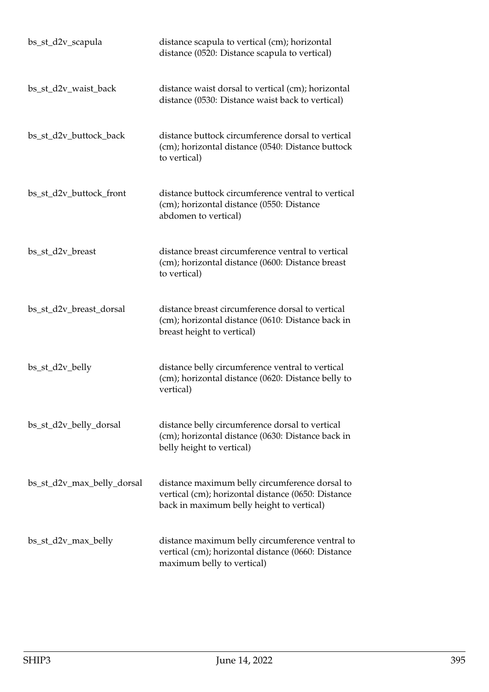| bs_st_d2v_scapula          | distance scapula to vertical (cm); horizontal<br>distance (0520: Distance scapula to vertical)                                                    |
|----------------------------|---------------------------------------------------------------------------------------------------------------------------------------------------|
| bs_st_d2v_waist_back       | distance waist dorsal to vertical (cm); horizontal<br>distance (0530: Distance waist back to vertical)                                            |
| bs_st_d2v_buttock_back     | distance buttock circumference dorsal to vertical<br>(cm); horizontal distance (0540: Distance buttock<br>to vertical)                            |
| bs_st_d2v_buttock_front    | distance buttock circumference ventral to vertical<br>(cm); horizontal distance (0550: Distance<br>abdomen to vertical)                           |
| bs_st_d2v_breast           | distance breast circumference ventral to vertical<br>(cm); horizontal distance (0600: Distance breast<br>to vertical)                             |
| bs_st_d2v_breast_dorsal    | distance breast circumference dorsal to vertical<br>(cm); horizontal distance (0610: Distance back in<br>breast height to vertical)               |
| bs_st_d2v_belly            | distance belly circumference ventral to vertical<br>(cm); horizontal distance (0620: Distance belly to<br>vertical)                               |
| bs_st_d2v_belly_dorsal     | distance belly circumference dorsal to vertical<br>(cm); horizontal distance (0630: Distance back in<br>belly height to vertical)                 |
| bs_st_d2v_max_belly_dorsal | distance maximum belly circumference dorsal to<br>vertical (cm); horizontal distance (0650: Distance<br>back in maximum belly height to vertical) |
| bs_st_d2v_max_belly        | distance maximum belly circumference ventral to<br>vertical (cm); horizontal distance (0660: Distance<br>maximum belly to vertical)               |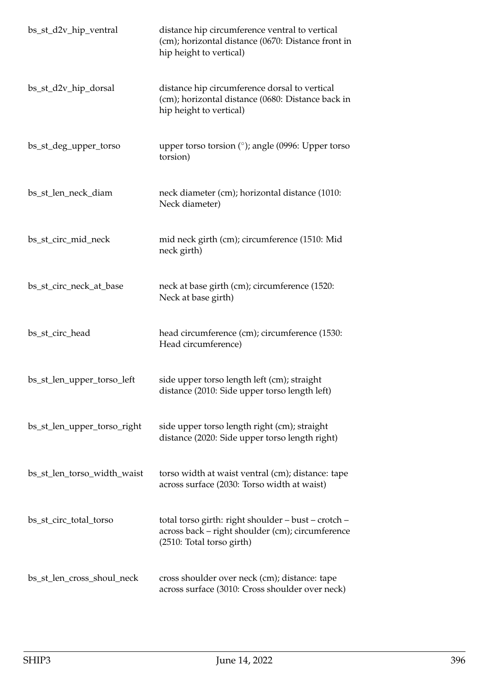| bs_st_d2v_hip_ventral       | distance hip circumference ventral to vertical<br>(cm); horizontal distance (0670: Distance front in<br>hip height to vertical)      |
|-----------------------------|--------------------------------------------------------------------------------------------------------------------------------------|
| bs_st_d2v_hip_dorsal        | distance hip circumference dorsal to vertical<br>(cm); horizontal distance (0680: Distance back in<br>hip height to vertical)        |
| bs_st_deg_upper_torso       | upper torso torsion $(°)$ ; angle (0996: Upper torso<br>torsion)                                                                     |
| bs_st_len_neck_diam         | neck diameter (cm); horizontal distance (1010:<br>Neck diameter)                                                                     |
| bs_st_circ_mid_neck         | mid neck girth (cm); circumference (1510: Mid<br>neck girth)                                                                         |
| bs_st_circ_neck_at_base     | neck at base girth (cm); circumference (1520:<br>Neck at base girth)                                                                 |
| bs_st_circ_head             | head circumference (cm); circumference (1530:<br>Head circumference)                                                                 |
| bs_st_len_upper_torso_left  | side upper torso length left (cm); straight<br>distance (2010: Side upper torso length left)                                         |
| bs_st_len_upper_torso_right | side upper torso length right (cm); straight<br>distance (2020: Side upper torso length right)                                       |
| bs_st_len_torso_width_waist | torso width at waist ventral (cm); distance: tape<br>across surface (2030: Torso width at waist)                                     |
| bs_st_circ_total_torso      | total torso girth: right shoulder - bust - crotch -<br>across back - right shoulder (cm); circumference<br>(2510: Total torso girth) |
| bs_st_len_cross_shoul_neck  | cross shoulder over neck (cm); distance: tape<br>across surface (3010: Cross shoulder over neck)                                     |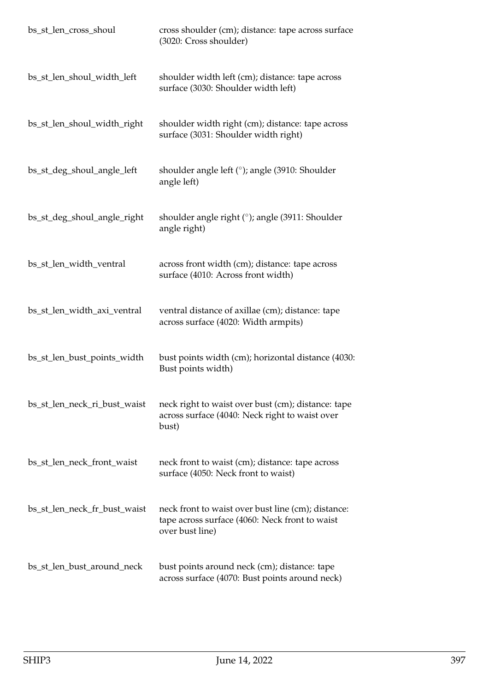| bs_st_len_cross_shoul        | cross shoulder (cm); distance: tape across surface<br>(3020: Cross shoulder)                                            |
|------------------------------|-------------------------------------------------------------------------------------------------------------------------|
| bs_st_len_shoul_width_left   | shoulder width left (cm); distance: tape across<br>surface (3030: Shoulder width left)                                  |
| bs_st_len_shoul_width_right  | shoulder width right (cm); distance: tape across<br>surface (3031: Shoulder width right)                                |
| bs_st_deg_shoul_angle_left   | shoulder angle left (°); angle (3910: Shoulder<br>angle left)                                                           |
| bs_st_deg_shoul_angle_right  | shoulder angle right (°); angle (3911: Shoulder<br>angle right)                                                         |
| bs_st_len_width_ventral      | across front width (cm); distance: tape across<br>surface (4010: Across front width)                                    |
| bs_st_len_width_axi_ventral  | ventral distance of axillae (cm); distance: tape<br>across surface (4020: Width armpits)                                |
| bs_st_len_bust_points_width  | bust points width (cm); horizontal distance (4030:<br>Bust points width)                                                |
| bs_st_len_neck_ri_bust_waist | neck right to waist over bust (cm); distance: tape<br>across surface (4040: Neck right to waist over<br>bust)           |
| bs_st_len_neck_front_waist   | neck front to waist (cm); distance: tape across<br>surface (4050: Neck front to waist)                                  |
| bs_st_len_neck_fr_bust_waist | neck front to waist over bust line (cm); distance:<br>tape across surface (4060: Neck front to waist<br>over bust line) |
| bs_st_len_bust_around_neck   | bust points around neck (cm); distance: tape<br>across surface (4070: Bust points around neck)                          |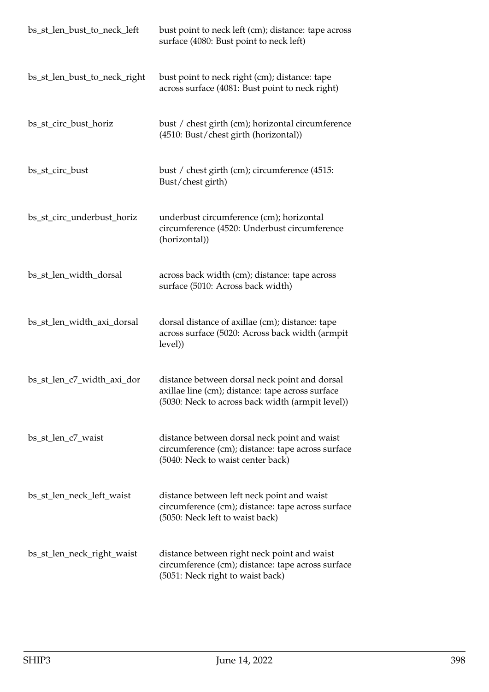| bs_st_len_bust_to_neck_left  | bust point to neck left (cm); distance: tape across<br>surface (4080: Bust point to neck left)                                                        |
|------------------------------|-------------------------------------------------------------------------------------------------------------------------------------------------------|
| bs_st_len_bust_to_neck_right | bust point to neck right (cm); distance: tape<br>across surface (4081: Bust point to neck right)                                                      |
| bs_st_circ_bust_horiz        | bust / chest girth (cm); horizontal circumference<br>(4510: Bust/chest girth (horizontal))                                                            |
| bs_st_circ_bust              | bust / chest girth (cm); circumference (4515:<br>Bust/chest girth)                                                                                    |
| bs_st_circ_underbust_horiz   | underbust circumference (cm); horizontal<br>circumference (4520: Underbust circumference<br>(horizontal))                                             |
| bs_st_len_width_dorsal       | across back width (cm); distance: tape across<br>surface (5010: Across back width)                                                                    |
| bs_st_len_width_axi_dorsal   | dorsal distance of axillae (cm); distance: tape<br>across surface (5020: Across back width (armpit<br>level))                                         |
| bs_st_len_c7_width_axi_dor   | distance between dorsal neck point and dorsal<br>axillae line (cm); distance: tape across surface<br>(5030: Neck to across back width (armpit level)) |
| bs_st_len_c7_waist           | distance between dorsal neck point and waist<br>circumference (cm); distance: tape across surface<br>(5040: Neck to waist center back)                |
| bs_st_len_neck_left_waist    | distance between left neck point and waist<br>circumference (cm); distance: tape across surface<br>(5050: Neck left to waist back)                    |
| bs_st_len_neck_right_waist   | distance between right neck point and waist<br>circumference (cm); distance: tape across surface<br>(5051: Neck right to waist back)                  |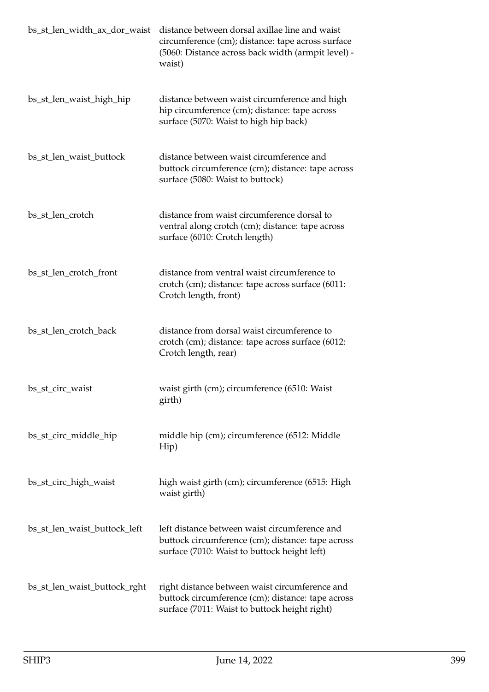| bs_st_len_width_ax_dor_waist | distance between dorsal axillae line and waist<br>circumference (cm); distance: tape across surface<br>(5060: Distance across back width (armpit level) -<br>waist) |
|------------------------------|---------------------------------------------------------------------------------------------------------------------------------------------------------------------|
| bs_st_len_waist_high_hip     | distance between waist circumference and high<br>hip circumference (cm); distance: tape across<br>surface (5070: Waist to high hip back)                            |
| bs_st_len_waist_buttock      | distance between waist circumference and<br>buttock circumference (cm); distance: tape across<br>surface (5080: Waist to buttock)                                   |
| bs_st_len_crotch             | distance from waist circumference dorsal to<br>ventral along crotch (cm); distance: tape across<br>surface (6010: Crotch length)                                    |
| bs_st_len_crotch_front       | distance from ventral waist circumference to<br>crotch (cm); distance: tape across surface (6011:<br>Crotch length, front)                                          |
| bs_st_len_crotch_back        | distance from dorsal waist circumference to<br>crotch (cm); distance: tape across surface (6012:<br>Crotch length, rear)                                            |
| bs_st_circ_waist             | waist girth (cm); circumference (6510: Waist<br>girth)                                                                                                              |
| bs_st_circ_middle_hip        | middle hip (cm); circumference (6512: Middle<br>Hip)                                                                                                                |
| bs_st_circ_high_waist        | high waist girth (cm); circumference (6515: High<br>waist girth)                                                                                                    |
| bs_st_len_waist_buttock_left | left distance between waist circumference and<br>buttock circumference (cm); distance: tape across<br>surface (7010: Waist to buttock height left)                  |
| bs_st_len_waist_buttock_rght | right distance between waist circumference and<br>buttock circumference (cm); distance: tape across<br>surface (7011: Waist to buttock height right)                |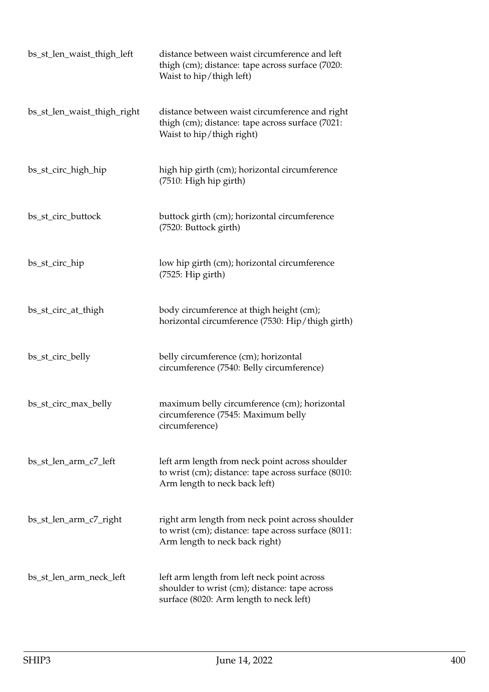| bs_st_len_waist_thigh_left  | distance between waist circumference and left<br>thigh (cm); distance: tape across surface (7020:<br>Waist to hip/thigh left)             |
|-----------------------------|-------------------------------------------------------------------------------------------------------------------------------------------|
| bs_st_len_waist_thigh_right | distance between waist circumference and right<br>thigh (cm); distance: tape across surface (7021:<br>Waist to hip/thigh right)           |
| bs_st_circ_high_hip         | high hip girth (cm); horizontal circumference<br>(7510: High hip girth)                                                                   |
| bs_st_circ_buttock          | buttock girth (cm); horizontal circumference<br>(7520: Buttock girth)                                                                     |
| bs_st_circ_hip              | low hip girth (cm); horizontal circumference<br>$(7525:$ Hip girth)                                                                       |
| bs_st_circ_at_thigh         | body circumference at thigh height (cm);<br>horizontal circumference (7530: Hip/thigh girth)                                              |
| bs_st_circ_belly            | belly circumference (cm); horizontal<br>circumference (7540: Belly circumference)                                                         |
| bs_st_circ_max_belly        | maximum belly circumference (cm); horizontal<br>circumference (7545: Maximum belly<br>circumference)                                      |
| bs_st_len_arm_c7_left       | left arm length from neck point across shoulder<br>to wrist (cm); distance: tape across surface (8010:<br>Arm length to neck back left)   |
| bs_st_len_arm_c7_right      | right arm length from neck point across shoulder<br>to wrist (cm); distance: tape across surface (8011:<br>Arm length to neck back right) |
| bs_st_len_arm_neck_left     | left arm length from left neck point across<br>shoulder to wrist (cm); distance: tape across<br>surface (8020: Arm length to neck left)   |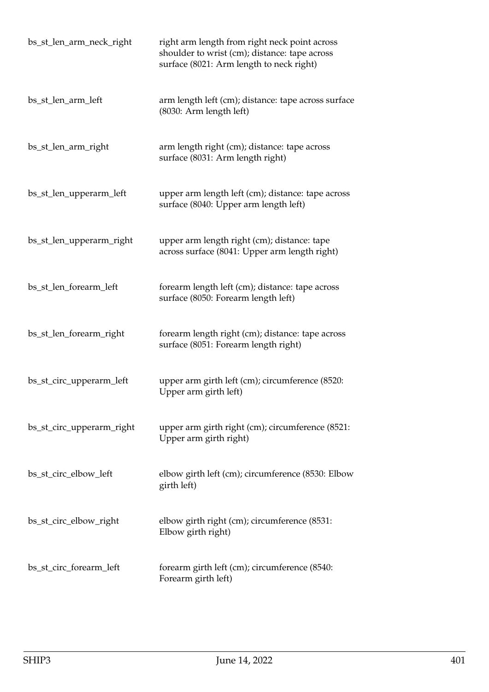| bs_st_len_arm_neck_right  | right arm length from right neck point across<br>shoulder to wrist (cm); distance: tape across<br>surface (8021: Arm length to neck right) |
|---------------------------|--------------------------------------------------------------------------------------------------------------------------------------------|
| bs_st_len_arm_left        | arm length left (cm); distance: tape across surface<br>(8030: Arm length left)                                                             |
| bs_st_len_arm_right       | arm length right (cm); distance: tape across<br>surface (8031: Arm length right)                                                           |
| bs_st_len_upperarm_left   | upper arm length left (cm); distance: tape across<br>surface (8040: Upper arm length left)                                                 |
| bs_st_len_upperarm_right  | upper arm length right (cm); distance: tape<br>across surface (8041: Upper arm length right)                                               |
| bs_st_len_forearm_left    | forearm length left (cm); distance: tape across<br>surface (8050: Forearm length left)                                                     |
| bs_st_len_forearm_right   | forearm length right (cm); distance: tape across<br>surface (8051: Forearm length right)                                                   |
| bs_st_circ_upperarm_left  | upper arm girth left (cm); circumference (8520:<br>Upper arm girth left)                                                                   |
| bs_st_circ_upperarm_right | upper arm girth right (cm); circumference (8521:<br>Upper arm girth right)                                                                 |
| bs_st_circ_elbow_left     | elbow girth left (cm); circumference (8530: Elbow<br>girth left)                                                                           |
| bs_st_circ_elbow_right    | elbow girth right (cm); circumference (8531:<br>Elbow girth right)                                                                         |
| bs_st_circ_forearm_left   | forearm girth left (cm); circumference (8540:<br>Forearm girth left)                                                                       |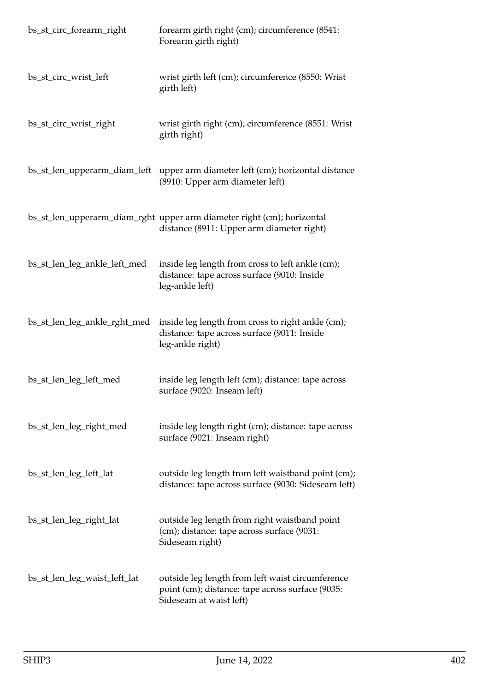| bs_st_circ_forearm_right     | forearm girth right (cm); circumference (8541:<br>Forearm girth right)                                                          |
|------------------------------|---------------------------------------------------------------------------------------------------------------------------------|
| bs_st_circ_wrist_left        | wrist girth left (cm); circumference (8550: Wrist<br>girth left)                                                                |
| bs_st_circ_wrist_right       | wrist girth right (cm); circumference (8551: Wrist<br>girth right)                                                              |
|                              | bs_st_len_upperarm_diam_left upper arm diameter left (cm); horizontal distance<br>(8910: Upper arm diameter left)               |
|                              | bs_st_len_upperarm_diam_rght_upper arm diameter right (cm); horizontal<br>distance (8911: Upper arm diameter right)             |
| bs_st_len_leg_ankle_left_med | inside leg length from cross to left ankle (cm);<br>distance: tape across surface (9010: Inside<br>leg-ankle left)              |
| bs_st_len_leg_ankle_rght_med | inside leg length from cross to right ankle (cm);<br>distance: tape across surface (9011: Inside<br>leg-ankle right)            |
| bs_st_len_leg_left_med       | inside leg length left (cm); distance: tape across<br>surface (9020: Inseam left)                                               |
| bs_st_len_leg_right_med      | inside leg length right (cm); distance: tape across<br>surface (9021: Inseam right)                                             |
| bs_st_len_leg_left_lat       | outside leg length from left waistband point (cm);<br>distance: tape across surface (9030: Sideseam left)                       |
| bs_st_len_leg_right_lat      | outside leg length from right waistband point<br>(cm); distance: tape across surface (9031:<br>Sideseam right)                  |
| bs_st_len_leg_waist_left_lat | outside leg length from left waist circumference<br>point (cm); distance: tape across surface (9035:<br>Sideseam at waist left) |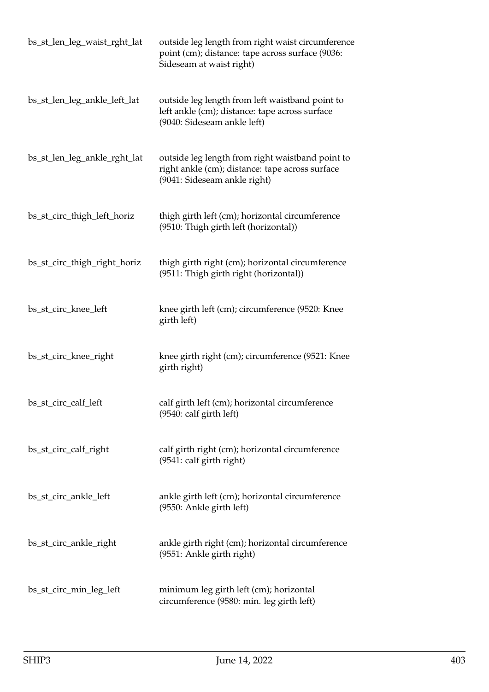| bs_st_len_leg_waist_rght_lat | outside leg length from right waist circumference<br>point (cm); distance: tape across surface (9036:<br>Sideseam at waist right)   |
|------------------------------|-------------------------------------------------------------------------------------------------------------------------------------|
| bs_st_len_leg_ankle_left_lat | outside leg length from left waistband point to<br>left ankle (cm); distance: tape across surface<br>(9040: Sideseam ankle left)    |
| bs_st_len_leg_ankle_rght_lat | outside leg length from right waistband point to<br>right ankle (cm); distance: tape across surface<br>(9041: Sideseam ankle right) |
| bs_st_circ_thigh_left_horiz  | thigh girth left (cm); horizontal circumference<br>(9510: Thigh girth left (horizontal))                                            |
| bs_st_circ_thigh_right_horiz | thigh girth right (cm); horizontal circumference<br>(9511: Thigh girth right (horizontal))                                          |
| bs_st_circ_knee_left         | knee girth left (cm); circumference (9520: Knee<br>girth left)                                                                      |
| bs_st_circ_knee_right        | knee girth right (cm); circumference (9521: Knee<br>girth right)                                                                    |
| bs_st_circ_calf_left         | calf girth left (cm); horizontal circumference<br>$(9540:$ calf girth left)                                                         |
| bs_st_circ_calf_right        | calf girth right (cm); horizontal circumference<br>(9541: calf girth right)                                                         |
| bs_st_circ_ankle_left        | ankle girth left (cm); horizontal circumference<br>(9550: Ankle girth left)                                                         |
| bs_st_circ_ankle_right       | ankle girth right (cm); horizontal circumference<br>(9551: Ankle girth right)                                                       |
| bs_st_circ_min_leg_left      | minimum leg girth left (cm); horizontal<br>circumference (9580: min. leg girth left)                                                |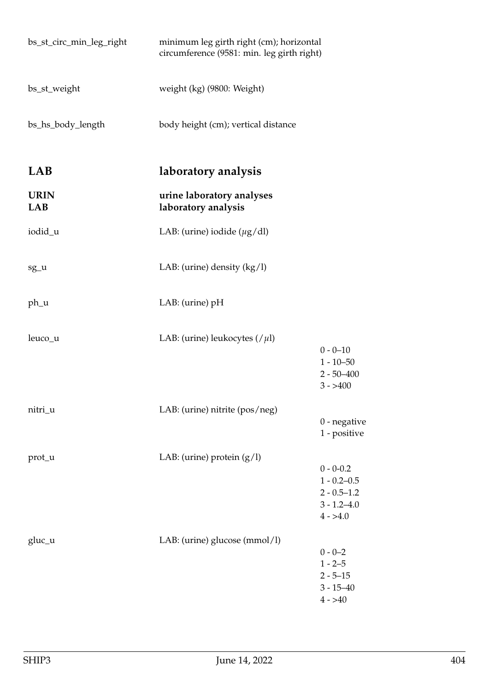| bs_st_circ_min_leg_right | minimum leg girth right (cm); horizontal<br>circumference (9581: min. leg girth right) |                                                                                       |
|--------------------------|----------------------------------------------------------------------------------------|---------------------------------------------------------------------------------------|
| bs_st_weight             | weight (kg) (9800: Weight)                                                             |                                                                                       |
| bs_hs_body_length        | body height (cm); vertical distance                                                    |                                                                                       |
| <b>LAB</b>               | laboratory analysis                                                                    |                                                                                       |
| <b>URIN</b><br>LAB       | urine laboratory analyses<br>laboratory analysis                                       |                                                                                       |
| iodid_u                  | LAB: (urine) iodide $(\mu g/dl)$                                                       |                                                                                       |
| sg_u                     | LAB: (urine) density $(kg/l)$                                                          |                                                                                       |
| ph_u                     | LAB: (urine) pH                                                                        |                                                                                       |
| leuco_u                  | LAB: (urine) leukocytes $\left(\frac{\mu}{\mu}\right)$                                 | $0 - 0 - 10$<br>$1 - 10 - 50$<br>$2 - 50 - 400$<br>$3 - > 400$                        |
| nitri_u                  | LAB: (urine) nitrite (pos/neg)                                                         | $0$ - negative<br>1 - positive                                                        |
| prot_u                   | LAB: (urine) protein $(g/l)$                                                           | $0 - 0 - 0.2$<br>$1 - 0.2 - 0.5$<br>$2 - 0.5 - 1.2$<br>$3 - 1.2 - 4.0$<br>$4 - > 4.0$ |
| gluc_u                   | LAB: (urine) glucose (mmol/l)                                                          | $0 - 0 - 2$<br>$1 - 2 - 5$<br>$2 - 5 - 15$<br>$3 - 15 - 40$<br>$4 - > 40$             |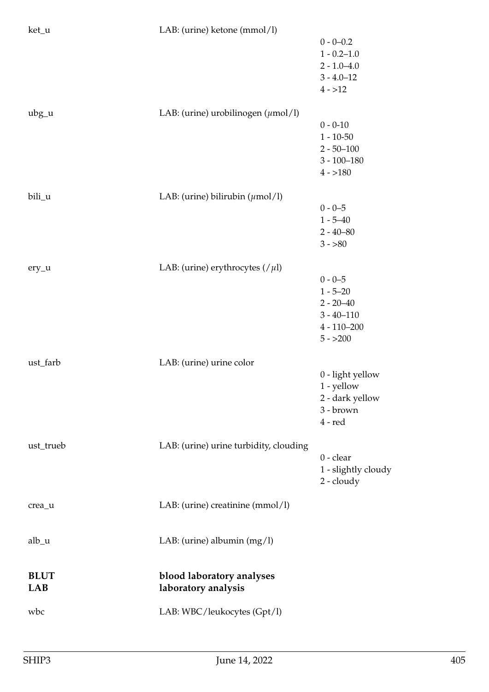| ket_u                     | LAB: (urine) ketone (mmol/l)                   |                                   |
|---------------------------|------------------------------------------------|-----------------------------------|
|                           |                                                | $0 - 0 - 0.2$                     |
|                           |                                                | $1 - 0.2 - 1.0$                   |
|                           |                                                | $2 - 1.0 - 4.0$<br>$3 - 4.0 - 12$ |
|                           |                                                | $4 - > 12$                        |
|                           |                                                |                                   |
| $ubg_u$                   | LAB: (urine) urobilinogen $(\mu \text{mol/l})$ |                                   |
|                           |                                                | $0 - 0 - 10$                      |
|                           |                                                | $1 - 10 - 50$                     |
|                           |                                                | $2 - 50 - 100$<br>$3 - 100 - 180$ |
|                           |                                                | $4 - 180$                         |
|                           |                                                |                                   |
| bili_u                    | LAB: (urine) bilirubin $(\mu \text{mol/l})$    |                                   |
|                           |                                                | $0 - 0 - 5$                       |
|                           |                                                | $1 - 5 - 40$                      |
|                           |                                                | $2 - 40 - 80$<br>$3 - 80$         |
|                           |                                                |                                   |
| $ery_u$                   | LAB: (urine) erythrocytes $//\mu$ l)           |                                   |
|                           |                                                | $0 - 0 - 5$                       |
|                           |                                                | $1 - 5 - 20$                      |
|                           |                                                | $2 - 20 - 40$<br>$3 - 40 - 110$   |
|                           |                                                | $4 - 110 - 200$                   |
|                           |                                                | $5 - 200$                         |
|                           |                                                |                                   |
| ust_farb                  | LAB: (urine) urine color                       |                                   |
|                           |                                                | 0 - light yellow                  |
|                           |                                                | 1 - yellow<br>2 - dark yellow     |
|                           |                                                | 3 - brown                         |
|                           |                                                | $4 - red$                         |
|                           |                                                |                                   |
| ust_trueb                 | LAB: (urine) urine turbidity, clouding         | $0$ - clear                       |
|                           |                                                | 1 - slightly cloudy               |
|                           |                                                | $2 -$ cloudy                      |
|                           |                                                |                                   |
| crea_u                    | LAB: (urine) creatinine (mmol/l)               |                                   |
|                           |                                                |                                   |
| $alb_$ u                  | LAB: (urine) albumin $(mg/l)$                  |                                   |
|                           |                                                |                                   |
|                           |                                                |                                   |
| <b>BLUT</b><br><b>LAB</b> | blood laboratory analyses                      |                                   |
|                           | laboratory analysis                            |                                   |
| wbc                       | LAB: WBC/leukocytes (Gpt/l)                    |                                   |
|                           |                                                |                                   |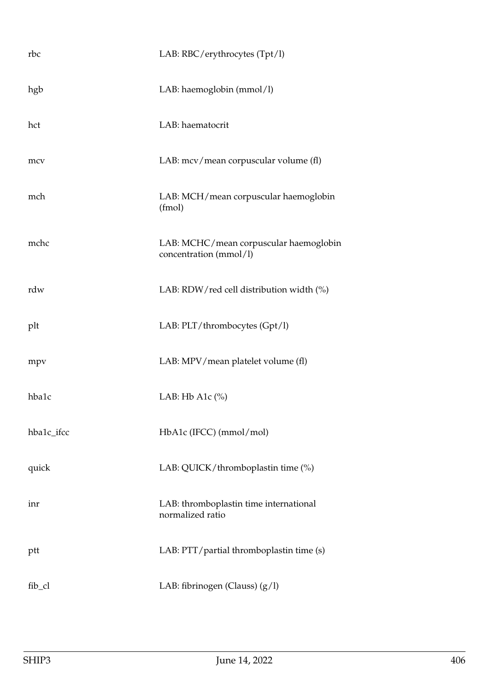| rbc        | LAB: RBC/erythrocytes (Tpt/l)                                    |
|------------|------------------------------------------------------------------|
| hgb        | LAB: haemoglobin (mmol/l)                                        |
| hct        | LAB: haematocrit                                                 |
| mcv        | LAB: mcv/mean corpuscular volume (fl)                            |
| mch        | LAB: MCH/mean corpuscular haemoglobin<br>(fmol)                  |
| mchc       | LAB: MCHC/mean corpuscular haemoglobin<br>concentration (mmol/l) |
| rdw        | LAB: RDW/red cell distribution width (%)                         |
| plt        | LAB: PLT/thrombocytes (Gpt/l)                                    |
| mpv        | LAB: MPV/mean platelet volume (fl)                               |
| hba1c      | LAB: Hb A1 $c$ (%)                                               |
| hba1c_ifcc | HbA1c (IFCC) (mmol/mol)                                          |
| quick      | LAB: QUICK/thromboplastin time (%)                               |
| inr        | LAB: thromboplastin time international<br>normalized ratio       |
| ptt        | LAB: PTT/partial thromboplastin time (s)                         |
| fib_cl     | LAB: fibrinogen (Clauss) $(g/l)$                                 |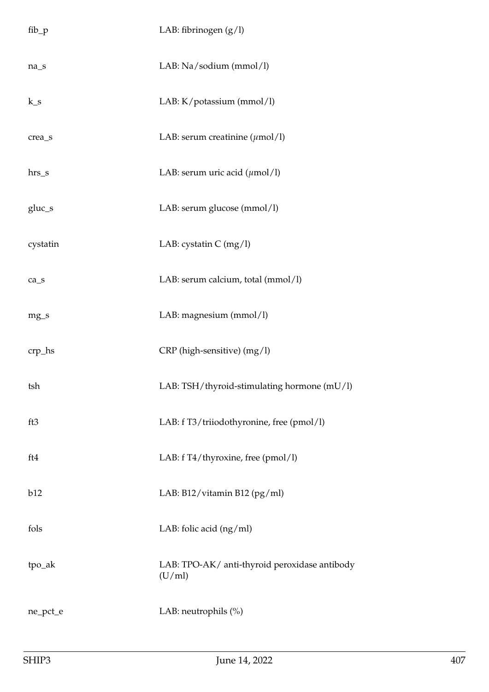| $fib_p$                        | LAB: fibrinogen $(g/l)$                                 |
|--------------------------------|---------------------------------------------------------|
| $na_s$                         | LAB: Na/sodium (mmol/l)                                 |
| $k_s$                          | LAB: K/potassium (mmol/l)                               |
| crea_s                         | LAB: serum creatinine $(\mu \text{mol/l})$              |
| hrs_s                          | LAB: serum uric acid $(\mu \text{mol/l})$               |
| gluc_s                         | LAB: serum glucose (mmol/l)                             |
| cystatin                       | LAB: cystatin $C$ (mg/l)                                |
| $ca$ <sub><math>s</math></sub> | LAB: serum calcium, total (mmol/l)                      |
| $mg_{-}s$                      | LAB: magnesium (mmol/l)                                 |
| $crp_$                         | CRP (high-sensitive) (mg/l)                             |
| tsh                            | LAB: TSH/thyroid-stimulating hormone (mU/l)             |
| ft3                            | LAB: f T3/triiodothyronine, free (pmol/l)               |
| ft4                            | LAB: f T4/thyroxine, free (pmol/l)                      |
| b12                            | LAB: B12/vitamin B12 (pg/ml)                            |
| fols                           | LAB: folic acid $(ng/ml)$                               |
| tpo_ak                         | LAB: TPO-AK/ anti-thyroid peroxidase antibody<br>(U/ml) |
| ne_pct_e                       | LAB: neutrophils (%)                                    |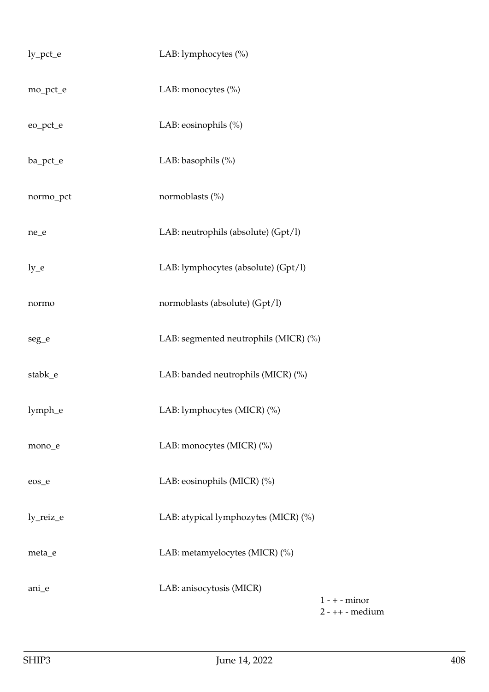| $ly_{pct_e}$ | LAB: lymphocytes (%)                  |                                      |
|--------------|---------------------------------------|--------------------------------------|
| mo_pct_e     | LAB: monocytes (%)                    |                                      |
| eo_pct_e     | LAB: eosinophils (%)                  |                                      |
| ba_pct_e     | LAB: basophils (%)                    |                                      |
| normo_pct    | normoblasts (%)                       |                                      |
| ne_e         | LAB: neutrophils (absolute) (Gpt/l)   |                                      |
| $ly_e$       | LAB: lymphocytes (absolute) (Gpt/l)   |                                      |
| normo        | normoblasts (absolute) (Gpt/l)        |                                      |
| seg_e        | LAB: segmented neutrophils (MICR) (%) |                                      |
| stabk_e      | LAB: banded neutrophils (MICR) (%)    |                                      |
| lymph_e      | LAB: lymphocytes (MICR) (%)           |                                      |
| mono_e       | LAB: monocytes (MICR) (%)             |                                      |
| eos_e        | LAB: eosinophils (MICR) (%)           |                                      |
| ly_reiz_e    | LAB: atypical lymphozytes (MICR) (%)  |                                      |
| meta_e       | LAB: metamyelocytes (MICR) (%)        |                                      |
| ani_e        | LAB: anisocytosis (MICR)              | $1 - + -$ minor<br>$2 - ++$ - medium |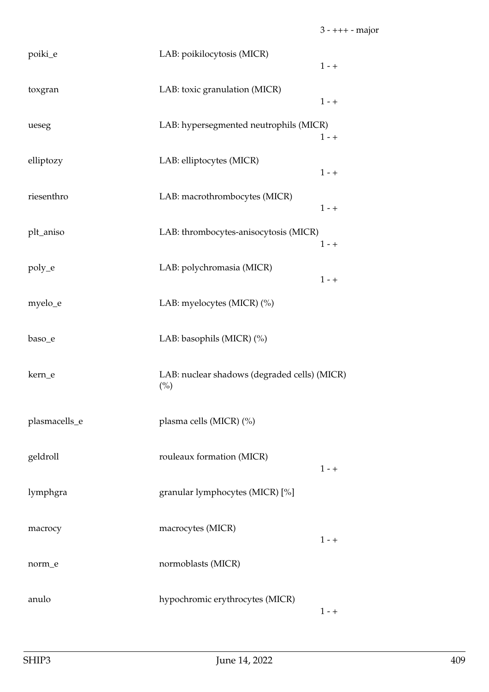| poiki_e       | LAB: poikilocytosis (MICR)                          | $1 - +$ |
|---------------|-----------------------------------------------------|---------|
| toxgran       | LAB: toxic granulation (MICR)                       | $1 - +$ |
| ueseg         | LAB: hypersegmented neutrophils (MICR)              | $1 - +$ |
| elliptozy     | LAB: elliptocytes (MICR)                            | $1 - +$ |
| riesenthro    | LAB: macrothrombocytes (MICR)                       | $1 - +$ |
| plt_aniso     | LAB: thrombocytes-anisocytosis (MICR)               | $1 - +$ |
| poly_e        | LAB: polychromasia (MICR)                           | $1 - +$ |
| myelo_e       | LAB: myelocytes (MICR) (%)                          |         |
| baso_e        | LAB: basophils (MICR) (%)                           |         |
| kern_e        | LAB: nuclear shadows (degraded cells) (MICR)<br>(%) |         |
| plasmacells_e | plasma cells (MICR) (%)                             |         |
| geldroll      | rouleaux formation (MICR)                           | $1 - +$ |
| lymphgra      | granular lymphocytes (MICR) [%]                     |         |
| macrocy       | macrocytes (MICR)                                   | $1 - +$ |
| norm_e        | normoblasts (MICR)                                  |         |
| anulo         | hypochromic erythrocytes (MICR)                     | $1 - +$ |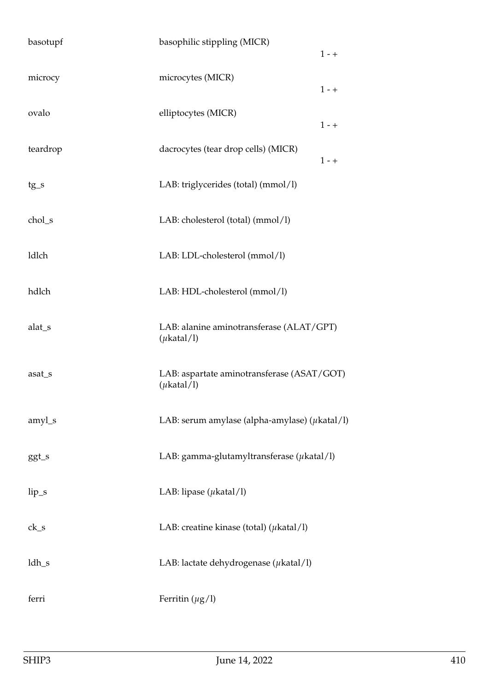| basotupf | basophilic stippling (MICR)                                   | $1 - +$ |
|----------|---------------------------------------------------------------|---------|
| microcy  | microcytes (MICR)                                             | $1 - +$ |
| ovalo    | elliptocytes (MICR)                                           | $1 - +$ |
| teardrop | dacrocytes (tear drop cells) (MICR)                           | $1 - +$ |
| $tg_s$   | LAB: triglycerides (total) (mmol/l)                           |         |
| chol_s   | LAB: cholesterol (total) (mmol/l)                             |         |
| ldlch    | LAB: LDL-cholesterol (mmol/l)                                 |         |
| hdlch    | LAB: HDL-cholesterol (mmol/l)                                 |         |
| alat_s   | LAB: alanine aminotransferase (ALAT/GPT)<br>$(\mu$ katal/l)   |         |
| asat_s   | LAB: aspartate aminotransferase (ASAT/GOT)<br>$(\mu$ katal/l) |         |
| amyl_s   | LAB: serum amylase (alpha-amylase) ( $\mu$ katal/l)           |         |
| ggt_s    | LAB: gamma-glutamyltransferase $(\mu$ katal/l)                |         |
| $lip_s$  | LAB: lipase $(\mu$ katal/l)                                   |         |
| $ck_s$   | LAB: creatine kinase (total) ( $\mu$ katal/l)                 |         |
| $ldh_s$  | LAB: lactate dehydrogenase ( $\mu$ katal/l)                   |         |
| ferri    | Ferritin $(\mu g/l)$                                          |         |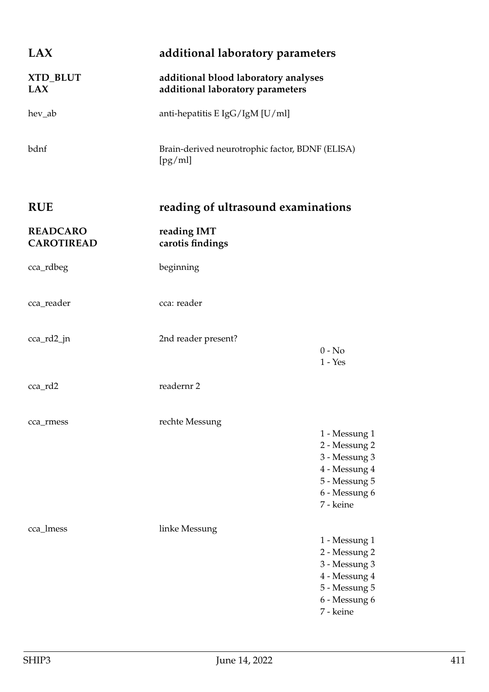| LAX                                  | additional laboratory parameters                                         |                                                                                                                 |
|--------------------------------------|--------------------------------------------------------------------------|-----------------------------------------------------------------------------------------------------------------|
| XTD_BLUT<br><b>LAX</b>               | additional blood laboratory analyses<br>additional laboratory parameters |                                                                                                                 |
| hev_ab                               | anti-hepatitis E IgG/IgM [U/ml]                                          |                                                                                                                 |
| bdnf                                 | Brain-derived neurotrophic factor, BDNF (ELISA)<br>[pg/ml]               |                                                                                                                 |
| <b>RUE</b>                           | reading of ultrasound examinations                                       |                                                                                                                 |
| <b>READCARO</b><br><b>CAROTIREAD</b> | reading IMT<br>carotis findings                                          |                                                                                                                 |
| cca_rdbeg                            | beginning                                                                |                                                                                                                 |
| cca_reader                           | cca: reader                                                              |                                                                                                                 |
| cca_rd2_jn                           | 2nd reader present?                                                      | $0 - No$<br>$1 - Yes$                                                                                           |
| cca_rd2                              | readernr 2                                                               |                                                                                                                 |
| cca_rmess                            | rechte Messung                                                           | 1 - Messung 1<br>2 - Messung 2<br>3 - Messung 3<br>4 - Messung 4<br>5 - Messung 5<br>6 - Messung 6<br>7 - keine |
| cca_lmess                            | linke Messung                                                            | 1 - Messung 1<br>2 - Messung 2<br>3 - Messung 3<br>4 - Messung 4<br>5 - Messung 5<br>6 - Messung 6<br>7 - keine |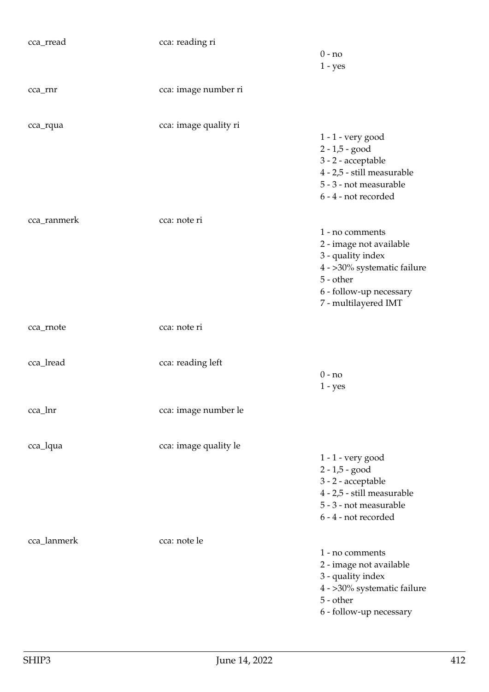| cca_rread   | cca: reading ri       |                             |
|-------------|-----------------------|-----------------------------|
|             |                       | $0 - no$                    |
|             |                       | $1 - yes$                   |
|             |                       |                             |
| cca_rnr     | cca: image number ri  |                             |
|             |                       |                             |
|             |                       |                             |
| cca_rqua    | cca: image quality ri |                             |
|             |                       | 1 - 1 - very good           |
|             |                       | $2 - 1,5 - good$            |
|             |                       | 3 - 2 - acceptable          |
|             |                       | 4 - 2,5 - still measurable  |
|             |                       | 5 - 3 - not measurable      |
|             |                       | 6 - 4 - not recorded        |
|             |                       |                             |
|             |                       |                             |
| cca_ranmerk | cca: note ri          |                             |
|             |                       | 1 - no comments             |
|             |                       | 2 - image not available     |
|             |                       | 3 - quality index           |
|             |                       | 4 - >30% systematic failure |
|             |                       | $5 - other$                 |
|             |                       | 6 - follow-up necessary     |
|             |                       | 7 - multilayered IMT        |
|             |                       |                             |
| cca_rnote   | cca: note ri          |                             |
|             |                       |                             |
|             |                       |                             |
| cca_lread   | cca: reading left     |                             |
|             |                       | $0 - no$                    |
|             |                       | $1 - yes$                   |
|             |                       |                             |
| cca_lnr     | cca: image number le  |                             |
|             |                       |                             |
|             |                       |                             |
| cca_lqua    | cca: image quality le |                             |
|             |                       | $1 - 1$ - very good         |
|             |                       | $2 - 1,5 - good$            |
|             |                       | 3 - 2 - acceptable          |
|             |                       | 4 - 2,5 - still measurable  |
|             |                       | 5 - 3 - not measurable      |
|             |                       |                             |
|             |                       | 6 - 4 - not recorded        |
|             |                       |                             |
| cca_lanmerk | cca: note le          |                             |
|             |                       | 1 - no comments             |
|             |                       | 2 - image not available     |
|             |                       | 3 - quality index           |
|             |                       | 4 - >30% systematic failure |
|             |                       | 5 - other                   |
|             |                       | 6 - follow-up necessary     |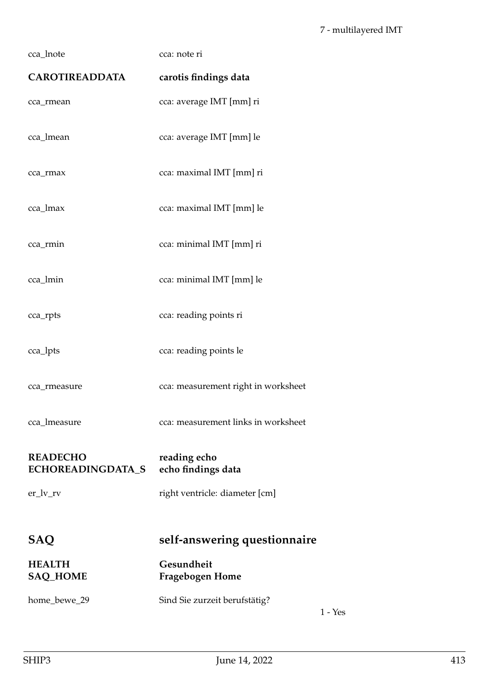| cca_lnote                                   | cca: note ri                               |
|---------------------------------------------|--------------------------------------------|
| <b>CAROTIREADDATA</b>                       | carotis findings data                      |
| cca_rmean                                   | cca: average IMT [mm] ri                   |
| cca_lmean                                   | cca: average IMT [mm] le                   |
| cca_rmax                                    | cca: maximal IMT [mm] ri                   |
| cca_lmax                                    | cca: maximal IMT [mm] le                   |
| cca_rmin                                    | cca: minimal IMT [mm] ri                   |
| cca_lmin                                    | cca: minimal IMT [mm] le                   |
| cca_rpts                                    | cca: reading points ri                     |
| cca_lpts                                    | cca: reading points le                     |
| cca_rmeasure                                | cca: measurement right in worksheet        |
| cca_lmeasure                                | cca: measurement links in worksheet        |
| <b>READECHO</b><br><b>ECHOREADINGDATA_S</b> | reading echo<br>echo findings data         |
| $er_l v_r v$                                | right ventricle: diameter [cm]             |
| SAQ                                         | self-answering questionnaire               |
| <b>HEALTH</b><br><b>SAQ_HOME</b>            | Gesundheit<br>Fragebogen Home              |
| home_bewe_29                                | Sind Sie zurzeit berufstätig?<br>$1 - Yes$ |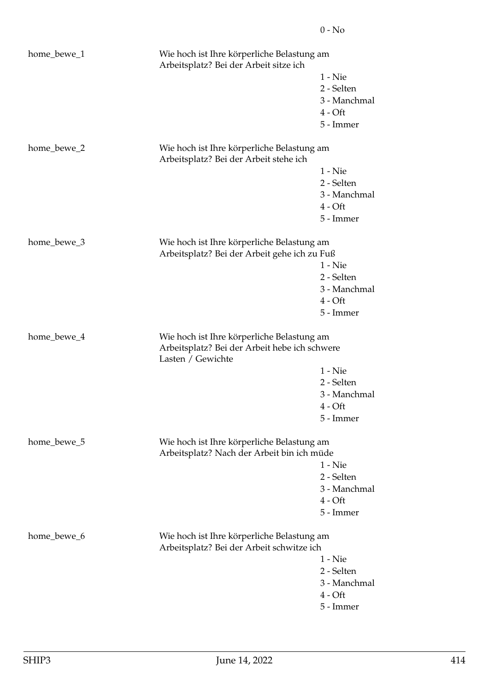| home_bewe_1<br>Wie hoch ist Ihre körperliche Belastung am<br>Arbeitsplatz? Bei der Arbeit sitze ich |                                                                                                                  |                                                                   |
|-----------------------------------------------------------------------------------------------------|------------------------------------------------------------------------------------------------------------------|-------------------------------------------------------------------|
|                                                                                                     |                                                                                                                  | $1 -$ Nie<br>2 - Selten<br>3 - Manchmal<br>$4 - Oft$<br>5 - Immer |
| home_bewe_2                                                                                         | Wie hoch ist Ihre körperliche Belastung am<br>Arbeitsplatz? Bei der Arbeit stehe ich                             |                                                                   |
|                                                                                                     |                                                                                                                  | $1 -$ Nie<br>2 - Selten<br>3 - Manchmal<br>$4 - Oft$<br>5 - Immer |
| home_bewe_3                                                                                         | Wie hoch ist Ihre körperliche Belastung am<br>Arbeitsplatz? Bei der Arbeit gehe ich zu Fuß                       | $1 -$ Nie<br>2 - Selten<br>3 - Manchmal<br>$4 - Oft$<br>5 - Immer |
| home_bewe_4                                                                                         | Wie hoch ist Ihre körperliche Belastung am<br>Arbeitsplatz? Bei der Arbeit hebe ich schwere<br>Lasten / Gewichte | $1 -$ Nie<br>2 - Selten<br>3 - Manchmal<br>$4 - Oft$<br>5 - Immer |
| home_bewe_5                                                                                         | Wie hoch ist Ihre körperliche Belastung am<br>Arbeitsplatz? Nach der Arbeit bin ich müde                         | $1 -$ Nie<br>2 - Selten<br>3 - Manchmal<br>$4 - Oft$<br>5 - Immer |
| home_bewe_6                                                                                         | Wie hoch ist Ihre körperliche Belastung am<br>Arbeitsplatz? Bei der Arbeit schwitze ich                          | $1 -$ Nie<br>2 - Selten<br>3 - Manchmal<br>$4 - Oft$<br>5 - Immer |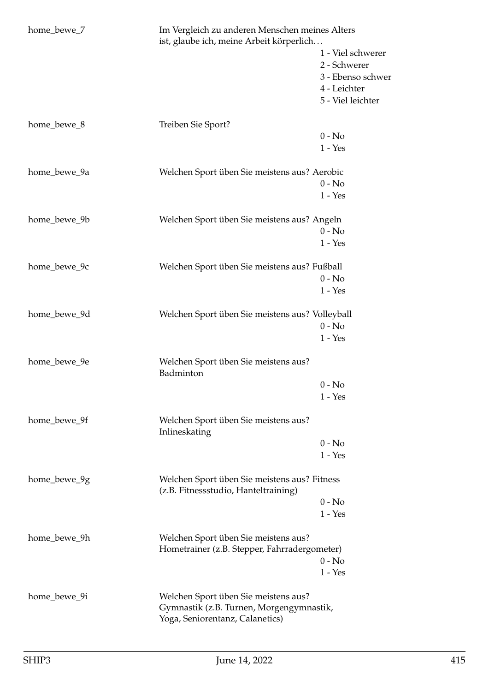| home_bewe_7  | Im Vergleich zu anderen Menschen meines Alters<br>ist, glaube ich, meine Arbeit körperlich |                   |
|--------------|--------------------------------------------------------------------------------------------|-------------------|
|              |                                                                                            | 1 - Viel schwerer |
|              |                                                                                            | 2 - Schwerer      |
|              |                                                                                            | 3 - Ebenso schwer |
|              |                                                                                            | 4 - Leichter      |
|              |                                                                                            | 5 - Viel leichter |
| home_bewe_8  | Treiben Sie Sport?                                                                         |                   |
|              |                                                                                            | $0 - No$          |
|              |                                                                                            | $1 - Yes$         |
| home_bewe_9a | Welchen Sport üben Sie meistens aus? Aerobic                                               |                   |
|              |                                                                                            | $0 - No$          |
|              |                                                                                            | $1 - Yes$         |
| home_bewe_9b | Welchen Sport üben Sie meistens aus? Angeln                                                |                   |
|              |                                                                                            | $0 - No$          |
|              |                                                                                            | $1 - Yes$         |
| home_bewe_9c | Welchen Sport üben Sie meistens aus? Fußball                                               |                   |
|              |                                                                                            | $0 - No$          |
|              |                                                                                            | $1 - Yes$         |
| home_bewe_9d | Welchen Sport üben Sie meistens aus? Volleyball                                            |                   |
|              |                                                                                            | $0 - No$          |
|              |                                                                                            | $1 - Yes$         |
| home_bewe_9e | Welchen Sport üben Sie meistens aus?<br>Badminton                                          |                   |
|              |                                                                                            | $0 - No$          |
|              |                                                                                            | $1 - Yes$         |
| home_bewe_9f | Welchen Sport üben Sie meistens aus?<br>Inlineskating                                      |                   |
|              |                                                                                            | $0 - No$          |
|              |                                                                                            | $1 - Yes$         |
| home_bewe_9g | Welchen Sport üben Sie meistens aus? Fitness<br>(z.B. Fitnessstudio, Hanteltraining)       |                   |
|              |                                                                                            | $0 - No$          |
|              |                                                                                            | $1 - Yes$         |
| home_bewe_9h | Welchen Sport üben Sie meistens aus?                                                       |                   |
|              | Hometrainer (z.B. Stepper, Fahrradergometer)                                               |                   |
|              |                                                                                            | $0 - No$          |
|              |                                                                                            | $1 - Yes$         |
| home_bewe_9i | Welchen Sport üben Sie meistens aus?                                                       |                   |
|              | Gymnastik (z.B. Turnen, Morgengymnastik,<br>Yoga, Seniorentanz, Calanetics)                |                   |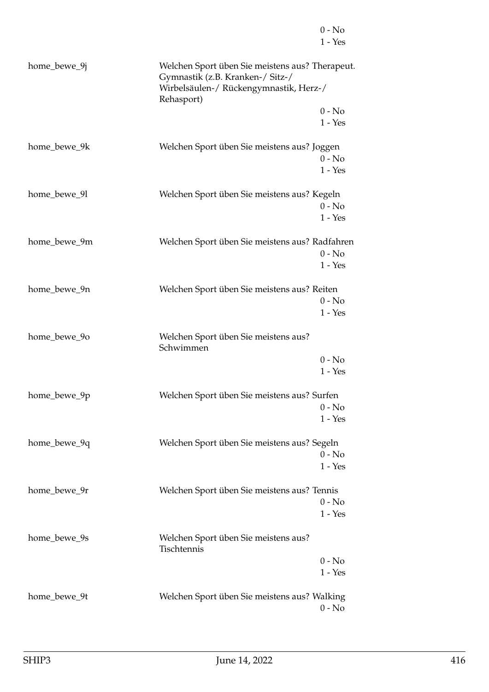|              | $1 - Yes$                                                                                                                                   |
|--------------|---------------------------------------------------------------------------------------------------------------------------------------------|
| home_bewe_9j | Welchen Sport üben Sie meistens aus? Therapeut.<br>Gymnastik (z.B. Kranken-/ Sitz-/<br>Wirbelsäulen-/ Rückengymnastik, Herz-/<br>Rehasport) |
|              | $0 - No$                                                                                                                                    |
|              | $1 - Yes$                                                                                                                                   |
| home_bewe_9k | Welchen Sport üben Sie meistens aus? Joggen<br>$0 - No$<br>$1 - Yes$                                                                        |
| home_bewe_9l | Welchen Sport üben Sie meistens aus? Kegeln<br>$0 - No$<br>$1 - Yes$                                                                        |
| home_bewe_9m | Welchen Sport üben Sie meistens aus? Radfahren<br>$0 - No$<br>$1 - Yes$                                                                     |
| home_bewe_9n | Welchen Sport üben Sie meistens aus? Reiten<br>$0 - No$<br>$1 - Yes$                                                                        |
| home_bewe_90 | Welchen Sport üben Sie meistens aus?<br>Schwimmen                                                                                           |
|              | $0 - No$<br>$1 - Yes$                                                                                                                       |
| home_bewe_9p | Welchen Sport üben Sie meistens aus? Surfen<br>0 - No<br>$1 - Yes$                                                                          |
| home_bewe_9q | Welchen Sport üben Sie meistens aus? Segeln<br>$0 - No$<br>$1 - Yes$                                                                        |
| home_bewe_9r | Welchen Sport üben Sie meistens aus? Tennis<br>$0 - No$<br>$1 - Yes$                                                                        |
| home_bewe_9s | Welchen Sport üben Sie meistens aus?<br>Tischtennis                                                                                         |
|              | $0 - No$                                                                                                                                    |
|              | $1 - Yes$                                                                                                                                   |
| home_bewe_9t | Welchen Sport üben Sie meistens aus? Walking                                                                                                |
|              | $0 - No$                                                                                                                                    |

0 - No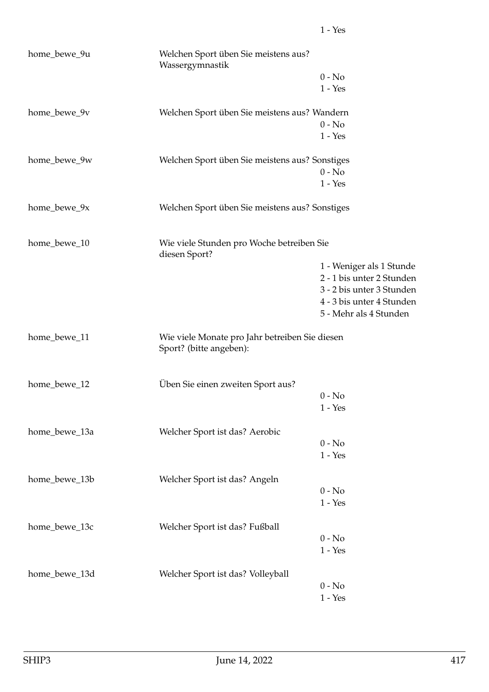| home_bewe_9u  | Welchen Sport üben Sie meistens aus?<br>Wassergymnastik                   |                           |
|---------------|---------------------------------------------------------------------------|---------------------------|
|               |                                                                           | $0 - No$                  |
|               |                                                                           | $1 - Yes$                 |
| home_bewe_9v  | Welchen Sport üben Sie meistens aus? Wandern                              |                           |
|               |                                                                           | $0 - No$                  |
|               |                                                                           | $1 - Yes$                 |
| home_bewe_9w  | Welchen Sport üben Sie meistens aus? Sonstiges                            |                           |
|               |                                                                           | $0 - No$                  |
|               |                                                                           | $1 - Yes$                 |
| home_bewe_9x  | Welchen Sport üben Sie meistens aus? Sonstiges                            |                           |
| home_bewe_10  | Wie viele Stunden pro Woche betreiben Sie<br>diesen Sport?                |                           |
|               |                                                                           | 1 - Weniger als 1 Stunde  |
|               |                                                                           | 2 - 1 bis unter 2 Stunden |
|               |                                                                           | 3 - 2 bis unter 3 Stunden |
|               |                                                                           | 4 - 3 bis unter 4 Stunden |
|               |                                                                           | 5 - Mehr als 4 Stunden    |
| home_bewe_11  | Wie viele Monate pro Jahr betreiben Sie diesen<br>Sport? (bitte angeben): |                           |
| home_bewe_12  | Üben Sie einen zweiten Sport aus?                                         |                           |
|               |                                                                           | $0 - No$                  |
|               |                                                                           | $1 - Yes$                 |
| home_bewe_13a | Welcher Sport ist das? Aerobic                                            |                           |
|               |                                                                           | $0 - No$                  |
|               |                                                                           | $1 - Yes$                 |
| home_bewe_13b | Welcher Sport ist das? Angeln                                             |                           |
|               |                                                                           | $0 - No$                  |
|               |                                                                           | $1 - Yes$                 |
| home_bewe_13c | Welcher Sport ist das? Fußball                                            |                           |
|               |                                                                           | $0 - No$                  |
|               |                                                                           | $1 - Yes$                 |
| home_bewe_13d | Welcher Sport ist das? Volleyball                                         |                           |
|               |                                                                           | $0 - No$                  |
|               |                                                                           | $1 - Yes$                 |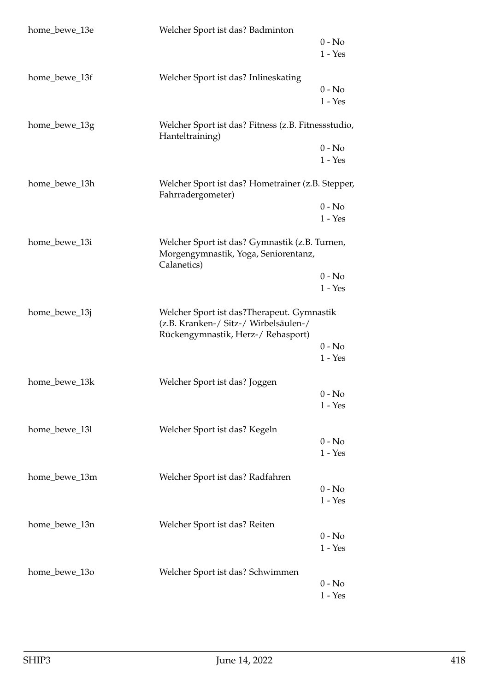| home_bewe_13e | Welcher Sport ist das? Badminton                                                                                          | $0 - No$              |
|---------------|---------------------------------------------------------------------------------------------------------------------------|-----------------------|
|               |                                                                                                                           | $1 - Yes$             |
| home_bewe_13f | Welcher Sport ist das? Inlineskating                                                                                      |                       |
|               |                                                                                                                           | $0 - No$<br>$1 - Yes$ |
| home_bewe_13g | Welcher Sport ist das? Fitness (z.B. Fitnessstudio,<br>Hanteltraining)                                                    |                       |
|               |                                                                                                                           | $0 - No$<br>$1 - Yes$ |
| home_bewe_13h | Welcher Sport ist das? Hometrainer (z.B. Stepper,<br>Fahrradergometer)                                                    |                       |
|               |                                                                                                                           | $0 - No$              |
|               |                                                                                                                           | $1 - Yes$             |
| home_bewe_13i | Welcher Sport ist das? Gymnastik (z.B. Turnen,<br>Morgengymnastik, Yoga, Seniorentanz,<br>Calanetics)                     |                       |
|               |                                                                                                                           | $0 - No$              |
|               |                                                                                                                           | $1 - Yes$             |
| home_bewe_13j | Welcher Sport ist das?Therapeut. Gymnastik<br>(z.B. Kranken-/ Sitz-/ Wirbelsäulen-/<br>Rückengymnastik, Herz-/ Rehasport) |                       |
|               |                                                                                                                           | $0 - No$              |
|               |                                                                                                                           | $1 - Yes$             |
| home_bewe_13k | Welcher Sport ist das? Joggen                                                                                             |                       |
|               |                                                                                                                           | $0 - No$<br>$1 - Yes$ |
|               |                                                                                                                           |                       |
| home_bewe_13l | Welcher Sport ist das? Kegeln                                                                                             |                       |
|               |                                                                                                                           | $0 - No$              |
|               |                                                                                                                           | $1 - Yes$             |
| home_bewe_13m | Welcher Sport ist das? Radfahren                                                                                          |                       |
|               |                                                                                                                           | $0 - No$              |
|               |                                                                                                                           | $1 - Yes$             |
| home_bewe_13n | Welcher Sport ist das? Reiten                                                                                             |                       |
|               |                                                                                                                           | $0 - No$              |
|               |                                                                                                                           | $1 - Yes$             |
|               |                                                                                                                           |                       |
| home_bewe_13o | Welcher Sport ist das? Schwimmen                                                                                          | $0 - No$              |
|               |                                                                                                                           | $1 - Yes$             |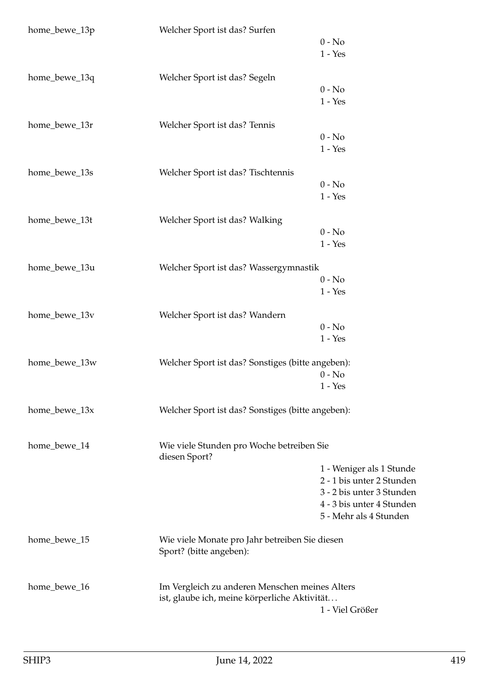| home_bewe_13p | Welcher Sport ist das? Surfen                              | $0 - No$                  |
|---------------|------------------------------------------------------------|---------------------------|
|               |                                                            | $1 - Yes$                 |
| home_bewe_13q | Welcher Sport ist das? Segeln                              |                           |
|               |                                                            | $0 - No$                  |
|               |                                                            | $1 - Yes$                 |
| home_bewe_13r | Welcher Sport ist das? Tennis                              |                           |
|               |                                                            | $0 - No$                  |
|               |                                                            | $1 - Yes$                 |
| home_bewe_13s | Welcher Sport ist das? Tischtennis                         |                           |
|               |                                                            | $0 - No$                  |
|               |                                                            | $1 - Yes$                 |
|               |                                                            |                           |
| home_bewe_13t | Welcher Sport ist das? Walking                             |                           |
|               |                                                            | $0 - No$<br>$1 - Yes$     |
|               |                                                            |                           |
| home_bewe_13u | Welcher Sport ist das? Wassergymnastik                     |                           |
|               |                                                            | $0 - No$                  |
|               |                                                            | $1 - Yes$                 |
| home_bewe_13v | Welcher Sport ist das? Wandern                             |                           |
|               |                                                            | $0 - No$                  |
|               |                                                            | $1 - Yes$                 |
| home_bewe_13w | Welcher Sport ist das? Sonstiges (bitte angeben):          |                           |
|               |                                                            | $0 - No$                  |
|               |                                                            | $1 - Yes$                 |
|               |                                                            |                           |
| home_bewe_13x | Welcher Sport ist das? Sonstiges (bitte angeben):          |                           |
|               |                                                            |                           |
| home_bewe_14  | Wie viele Stunden pro Woche betreiben Sie<br>diesen Sport? |                           |
|               |                                                            | 1 - Weniger als 1 Stunde  |
|               |                                                            | 2 - 1 bis unter 2 Stunden |
|               |                                                            | 3 - 2 bis unter 3 Stunden |
|               |                                                            | 4 - 3 bis unter 4 Stunden |
|               |                                                            | 5 - Mehr als 4 Stunden    |
| home_bewe_15  | Wie viele Monate pro Jahr betreiben Sie diesen             |                           |
|               | Sport? (bitte angeben):                                    |                           |
|               |                                                            |                           |
| home_bewe_16  | Im Vergleich zu anderen Menschen meines Alters             |                           |
|               | ist, glaube ich, meine körperliche Aktivität               |                           |
|               |                                                            | 1 - Viel Größer           |
|               |                                                            |                           |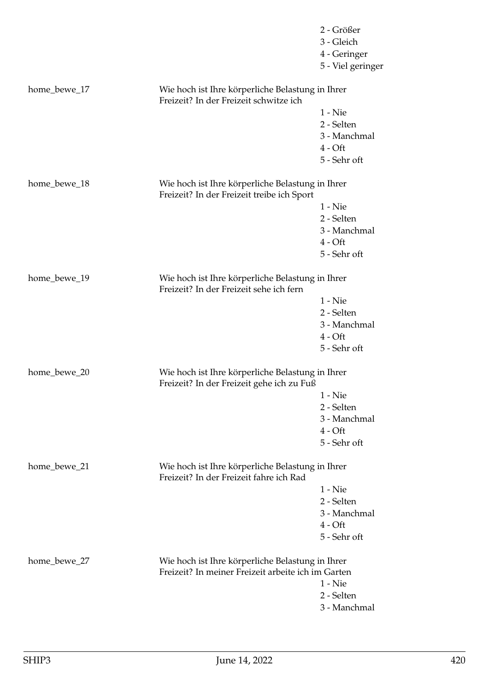|              |                                                                                                | 2 - Größer        |
|--------------|------------------------------------------------------------------------------------------------|-------------------|
|              |                                                                                                | 3 - Gleich        |
|              |                                                                                                | 4 - Geringer      |
|              |                                                                                                | 5 - Viel geringer |
| home_bewe_17 | Wie hoch ist Ihre körperliche Belastung in Ihrer<br>Freizeit? In der Freizeit schwitze ich     |                   |
|              |                                                                                                | $1 -$ Nie         |
|              |                                                                                                | 2 - Selten        |
|              |                                                                                                | 3 - Manchmal      |
|              |                                                                                                | $4 - Oft$         |
|              |                                                                                                | 5 - Sehr oft      |
| home_bewe_18 | Wie hoch ist Ihre körperliche Belastung in Ihrer<br>Freizeit? In der Freizeit treibe ich Sport |                   |
|              |                                                                                                | $1 -$ Nie         |
|              |                                                                                                | 2 - Selten        |
|              |                                                                                                | 3 - Manchmal      |
|              |                                                                                                | $4 - Oft$         |
|              |                                                                                                | 5 - Sehr oft      |
| home_bewe_19 | Wie hoch ist Ihre körperliche Belastung in Ihrer<br>Freizeit? In der Freizeit sehe ich fern    |                   |
|              |                                                                                                | $1 -$ Nie         |
|              |                                                                                                | 2 - Selten        |
|              |                                                                                                | 3 - Manchmal      |
|              |                                                                                                | $4 - Oft$         |
|              |                                                                                                | 5 - Sehr oft      |
| home_bewe_20 | Wie hoch ist Ihre körperliche Belastung in Ihrer<br>Freizeit? In der Freizeit gehe ich zu Fuß  |                   |
|              |                                                                                                | 1 - Nie           |
|              |                                                                                                | 2 - Selten        |
|              |                                                                                                | 3 - Manchmal      |
|              |                                                                                                | $4 - Oft$         |
|              |                                                                                                | 5 - Sehr oft      |
| home_bewe_21 | Wie hoch ist Ihre körperliche Belastung in Ihrer<br>Freizeit? In der Freizeit fahre ich Rad    |                   |
|              |                                                                                                | $1 -$ Nie         |
|              |                                                                                                | 2 - Selten        |
|              |                                                                                                | 3 - Manchmal      |
|              |                                                                                                | $4 - Oft$         |
|              |                                                                                                | 5 - Sehr oft      |
| home_bewe_27 | Wie hoch ist Ihre körperliche Belastung in Ihrer                                               |                   |
|              | Freizeit? In meiner Freizeit arbeite ich im Garten                                             |                   |
|              |                                                                                                | $1 -$ Nie         |
|              |                                                                                                | 2 - Selten        |
|              |                                                                                                | 3 - Manchmal      |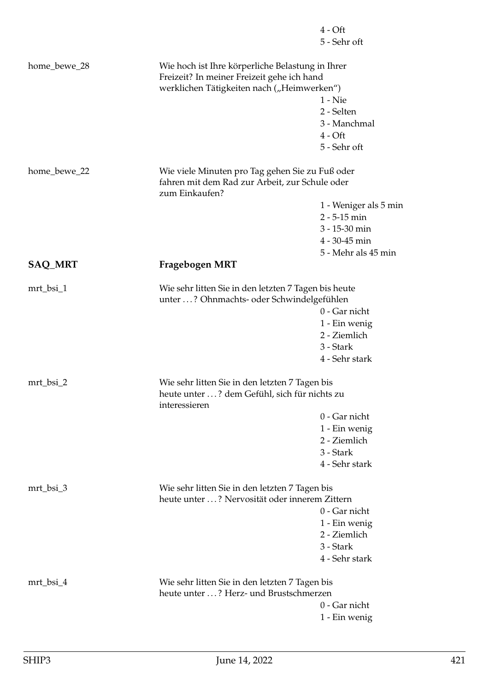|                |                                                                                                   | $4 - Oft$             |
|----------------|---------------------------------------------------------------------------------------------------|-----------------------|
|                |                                                                                                   | 5 - Sehr oft          |
| home_bewe_28   | Wie hoch ist Ihre körperliche Belastung in Ihrer<br>Freizeit? In meiner Freizeit gehe ich hand    |                       |
|                | werklichen Tätigkeiten nach ("Heimwerken")                                                        |                       |
|                |                                                                                                   | $1 -$ Nie             |
|                |                                                                                                   | 2 - Selten            |
|                |                                                                                                   | 3 - Manchmal          |
|                |                                                                                                   | $4 - Oft$             |
|                |                                                                                                   | 5 - Sehr oft          |
| home_bewe_22   | Wie viele Minuten pro Tag gehen Sie zu Fuß oder<br>fahren mit dem Rad zur Arbeit, zur Schule oder |                       |
|                | zum Einkaufen?                                                                                    |                       |
|                |                                                                                                   | 1 - Weniger als 5 min |
|                |                                                                                                   | $2 - 5 - 15$ min      |
|                |                                                                                                   | 3 - 15-30 min         |
|                |                                                                                                   | 4 - 30-45 min         |
|                |                                                                                                   | 5 - Mehr als 45 min   |
| <b>SAQ_MRT</b> | Fragebogen MRT                                                                                    |                       |
| mrt_bsi_1      | Wie sehr litten Sie in den letzten 7 Tagen bis heute                                              |                       |
|                | unter ? Ohnmachts- oder Schwindelgefühlen                                                         |                       |
|                |                                                                                                   | 0 - Gar nicht         |
|                |                                                                                                   | 1 - Ein wenig         |
|                |                                                                                                   | 2 - Ziemlich          |
|                |                                                                                                   | 3 - Stark             |
|                |                                                                                                   | 4 - Sehr stark        |
| mrt_bsi_2      | Wie sehr litten Sie in den letzten 7 Tagen bis                                                    |                       |
|                | heute unter ? dem Gefühl, sich für nichts zu<br>interessieren                                     |                       |
|                |                                                                                                   | 0 - Gar nicht         |
|                |                                                                                                   | 1 - Ein wenig         |
|                |                                                                                                   | 2 - Ziemlich          |
|                |                                                                                                   | 3 - Stark             |
|                |                                                                                                   | 4 - Sehr stark        |
|                |                                                                                                   |                       |
| mrt_bsi_3      | Wie sehr litten Sie in den letzten 7 Tagen bis<br>heute unter ? Nervosität oder innerem Zittern   |                       |
|                |                                                                                                   | 0 - Gar nicht         |
|                |                                                                                                   | 1 - Ein wenig         |
|                |                                                                                                   | 2 - Ziemlich          |
|                |                                                                                                   | 3 - Stark             |
|                |                                                                                                   | 4 - Sehr stark        |
|                |                                                                                                   |                       |
| mrt_bsi_4      | Wie sehr litten Sie in den letzten 7 Tagen bis                                                    |                       |
|                | heute unter ? Herz- und Brustschmerzen                                                            |                       |
|                |                                                                                                   | 0 - Gar nicht         |
|                |                                                                                                   | 1 - Ein wenig         |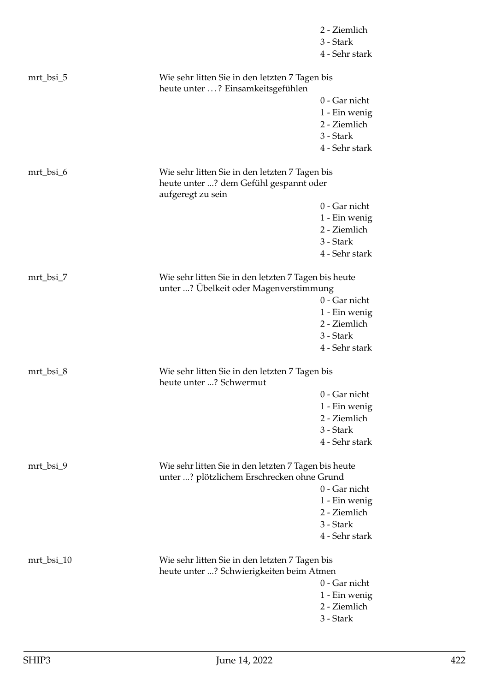|            |                                                                                                               | 2 - Ziemlich<br>3 - Stark<br>4 - Sehr stark |
|------------|---------------------------------------------------------------------------------------------------------------|---------------------------------------------|
| mrt_bsi_5  | Wie sehr litten Sie in den letzten 7 Tagen bis<br>heute unter ? Einsamkeitsgefühlen                           |                                             |
|            |                                                                                                               | 0 - Gar nicht                               |
|            |                                                                                                               | 1 - Ein wenig                               |
|            |                                                                                                               | 2 - Ziemlich                                |
|            |                                                                                                               | 3 - Stark                                   |
|            |                                                                                                               | 4 - Sehr stark                              |
| mrt_bsi_6  | Wie sehr litten Sie in den letzten 7 Tagen bis<br>heute unter ? dem Gefühl gespannt oder<br>aufgeregt zu sein |                                             |
|            |                                                                                                               | 0 - Gar nicht                               |
|            |                                                                                                               | 1 - Ein wenig                               |
|            |                                                                                                               | 2 - Ziemlich                                |
|            |                                                                                                               | 3 - Stark                                   |
|            |                                                                                                               | 4 - Sehr stark                              |
| mrt_bsi_7  | Wie sehr litten Sie in den letzten 7 Tagen bis heute<br>unter ? Übelkeit oder Magenverstimmung                |                                             |
|            |                                                                                                               | 0 - Gar nicht                               |
|            |                                                                                                               | 1 - Ein wenig                               |
|            |                                                                                                               | 2 - Ziemlich                                |
|            |                                                                                                               | 3 - Stark                                   |
|            |                                                                                                               | 4 - Sehr stark                              |
| mrt_bsi_8  | Wie sehr litten Sie in den letzten 7 Tagen bis<br>heute unter ? Schwermut                                     |                                             |
|            |                                                                                                               | 0 - Gar nicht                               |
|            |                                                                                                               | 1 - Ein wenig                               |
|            |                                                                                                               | 2 - Ziemlich                                |
|            |                                                                                                               | 3 - Stark                                   |
|            |                                                                                                               | 4 - Sehr stark                              |
| mrt_bsi_9  | Wie sehr litten Sie in den letzten 7 Tagen bis heute<br>unter ? plötzlichem Erschrecken ohne Grund            |                                             |
|            |                                                                                                               | 0 - Gar nicht                               |
|            |                                                                                                               | 1 - Ein wenig                               |
|            |                                                                                                               | 2 - Ziemlich                                |
|            |                                                                                                               | 3 - Stark                                   |
|            |                                                                                                               | 4 - Sehr stark                              |
| mrt_bsi_10 | Wie sehr litten Sie in den letzten 7 Tagen bis                                                                |                                             |
|            | heute unter ? Schwierigkeiten beim Atmen                                                                      |                                             |
|            |                                                                                                               | 0 - Gar nicht                               |
|            |                                                                                                               | 1 - Ein wenig                               |
|            |                                                                                                               | 2 - Ziemlich                                |
|            |                                                                                                               | 3 - Stark                                   |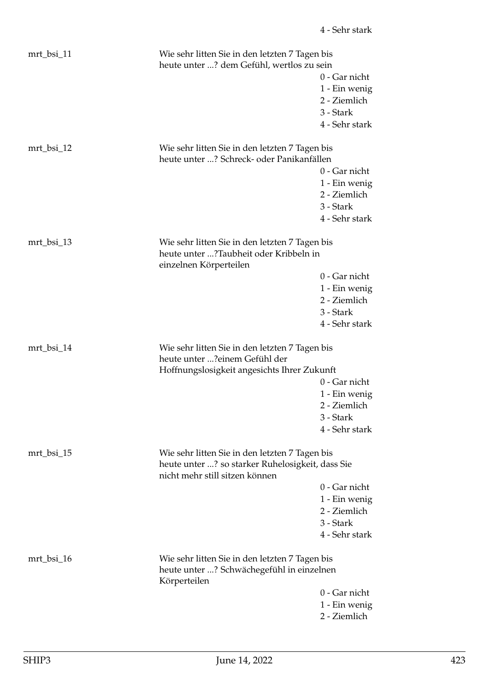| mrt_bsi_11 | Wie sehr litten Sie in den letzten 7 Tagen bis<br>heute unter ? dem Gefühl, wertlos zu sein                                          | 0 - Gar nicht<br>1 - Ein wenig<br>2 - Ziemlich<br>3 - Stark<br>4 - Sehr stark |
|------------|--------------------------------------------------------------------------------------------------------------------------------------|-------------------------------------------------------------------------------|
| mrt_bsi_12 | Wie sehr litten Sie in den letzten 7 Tagen bis<br>heute unter ? Schreck- oder Panikanfällen                                          | 0 - Gar nicht<br>1 - Ein wenig<br>2 - Ziemlich<br>3 - Stark<br>4 - Sehr stark |
| mrt_bsi_13 | Wie sehr litten Sie in den letzten 7 Tagen bis<br>heute unter ?Taubheit oder Kribbeln in<br>einzelnen Körperteilen                   | 0 - Gar nicht<br>1 - Ein wenig<br>2 - Ziemlich                                |
| mrt_bsi_14 | Wie sehr litten Sie in den letzten 7 Tagen bis<br>heute unter ?einem Gefühl der<br>Hoffnungslosigkeit angesichts Ihrer Zukunft       | 3 - Stark<br>4 - Sehr stark<br>0 - Gar nicht<br>1 - Ein wenig<br>2 - Ziemlich |
| mrt_bsi_15 | Wie sehr litten Sie in den letzten 7 Tagen bis<br>heute unter ? so starker Ruhelosigkeit, dass Sie<br>nicht mehr still sitzen können | 3 - Stark<br>4 - Sehr stark<br>0 - Gar nicht<br>1 - Ein wenig<br>2 - Ziemlich |
| mrt_bsi_16 | Wie sehr litten Sie in den letzten 7 Tagen bis<br>heute unter ? Schwächegefühl in einzelnen<br>Körperteilen                          | 3 - Stark<br>4 - Sehr stark<br>0 - Gar nicht<br>1 - Ein wenig<br>2 - Ziemlich |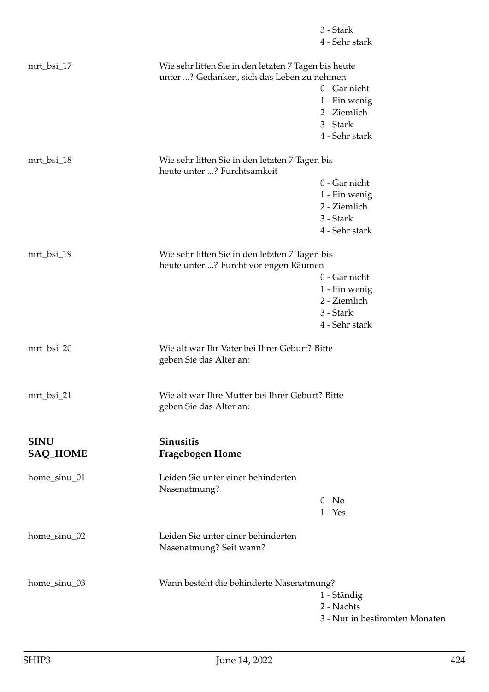|                                |                                                                                                    | 3 - Stark<br>4 - Sehr stark                                                   |
|--------------------------------|----------------------------------------------------------------------------------------------------|-------------------------------------------------------------------------------|
| mrt_bsi_17                     | Wie sehr litten Sie in den letzten 7 Tagen bis heute<br>unter ? Gedanken, sich das Leben zu nehmen | 0 - Gar nicht<br>1 - Ein wenig<br>2 - Ziemlich<br>3 - Stark                   |
| mrt_bsi_18                     | Wie sehr litten Sie in den letzten 7 Tagen bis                                                     | 4 - Sehr stark                                                                |
|                                | heute unter ? Furchtsamkeit                                                                        | 0 - Gar nicht<br>1 - Ein wenig<br>2 - Ziemlich<br>3 - Stark<br>4 - Sehr stark |
| mrt_bsi_19                     | Wie sehr litten Sie in den letzten 7 Tagen bis<br>heute unter ? Furcht vor engen Räumen            | 0 - Gar nicht<br>1 - Ein wenig<br>2 - Ziemlich<br>3 - Stark<br>4 - Sehr stark |
| mrt_bsi_20                     | Wie alt war Ihr Vater bei Ihrer Geburt? Bitte<br>geben Sie das Alter an:                           |                                                                               |
| mrt_bsi_21                     | Wie alt war Ihre Mutter bei Ihrer Geburt? Bitte<br>geben Sie das Alter an:                         |                                                                               |
| <b>SINU</b><br><b>SAQ_HOME</b> | <b>Sinusitis</b><br>Fragebogen Home                                                                |                                                                               |
| home_sinu_01                   | Leiden Sie unter einer behinderten<br>Nasenatmung?                                                 | $0 - No$<br>$1 - Yes$                                                         |
| home_sinu_02                   | Leiden Sie unter einer behinderten<br>Nasenatmung? Seit wann?                                      |                                                                               |
| home_sinu_03                   | Wann besteht die behinderte Nasenatmung?                                                           | 1 - Ständig<br>2 - Nachts<br>3 - Nur in bestimmten Monaten                    |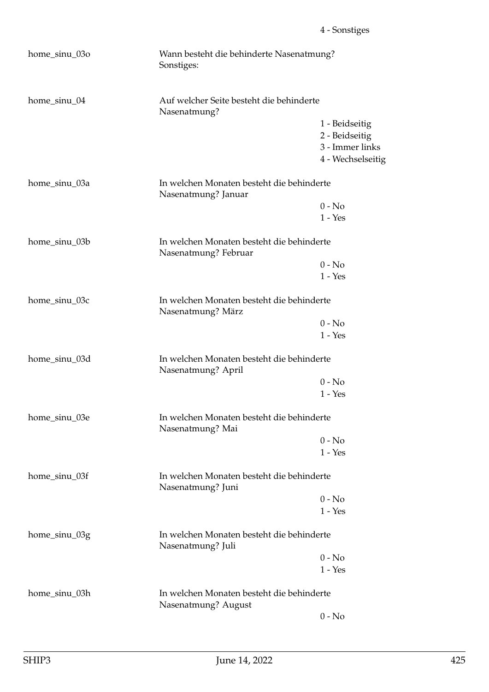| home_sinu_03o | Wann besteht die behinderte Nasenatmung?<br>Sonstiges:            |                   |  |
|---------------|-------------------------------------------------------------------|-------------------|--|
| home_sinu_04  | Auf welcher Seite besteht die behinderte<br>Nasenatmung?          |                   |  |
|               |                                                                   | 1 - Beidseitig    |  |
|               |                                                                   | 2 - Beidseitig    |  |
|               |                                                                   | 3 - Immer links   |  |
|               |                                                                   | 4 - Wechselseitig |  |
| home_sinu_03a | In welchen Monaten besteht die behinderte<br>Nasenatmung? Januar  |                   |  |
|               |                                                                   | $0 - No$          |  |
|               |                                                                   | $1 - Yes$         |  |
| home_sinu_03b | In welchen Monaten besteht die behinderte<br>Nasenatmung? Februar |                   |  |
|               |                                                                   | $0 - No$          |  |
|               |                                                                   | $1 - Yes$         |  |
| home_sinu_03c | In welchen Monaten besteht die behinderte<br>Nasenatmung? März    |                   |  |
|               |                                                                   | $0 - No$          |  |
|               |                                                                   | $1 - Yes$         |  |
| home_sinu_03d | In welchen Monaten besteht die behinderte<br>Nasenatmung? April   |                   |  |
|               |                                                                   | $0 - No$          |  |
|               |                                                                   | $1 - Yes$         |  |
| home_sinu_03e | In welchen Monaten besteht die behinderte<br>Nasenatmung? Mai     |                   |  |
|               |                                                                   | $0 - No$          |  |
|               |                                                                   | $1 - Yes$         |  |
| home_sinu_03f | In welchen Monaten besteht die behinderte<br>Nasenatmung? Juni    |                   |  |
|               |                                                                   | $0 - No$          |  |
|               |                                                                   | $1 - Yes$         |  |
| home_sinu_03g | In welchen Monaten besteht die behinderte<br>Nasenatmung? Juli    |                   |  |
|               |                                                                   | $0 - No$          |  |
|               |                                                                   | $1 - Yes$         |  |
| home_sinu_03h | In welchen Monaten besteht die behinderte<br>Nasenatmung? August  |                   |  |
|               |                                                                   | $0 - No$          |  |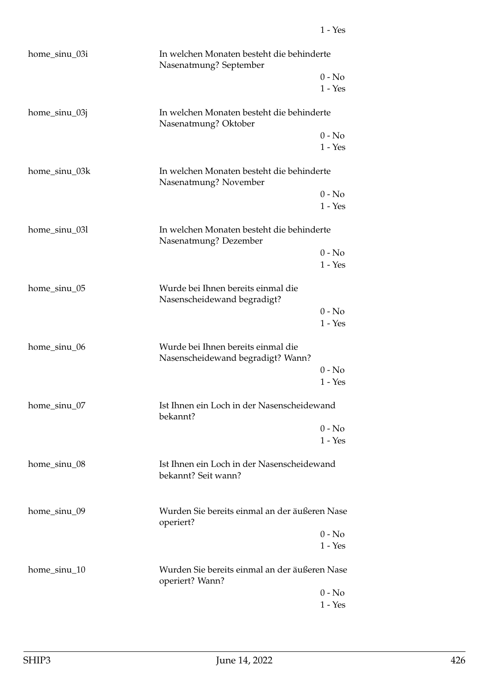| home_sinu_03i | In welchen Monaten besteht die behinderte<br>Nasenatmung? September     |                       |
|---------------|-------------------------------------------------------------------------|-----------------------|
|               |                                                                         | $0 - No$<br>$1 - Yes$ |
| home_sinu_03j | In welchen Monaten besteht die behinderte<br>Nasenatmung? Oktober       |                       |
|               |                                                                         | $0 - No$<br>$1 - Yes$ |
| home_sinu_03k | In welchen Monaten besteht die behinderte<br>Nasenatmung? November      |                       |
|               |                                                                         | $0 - No$<br>$1 - Yes$ |
| home_sinu_03l | In welchen Monaten besteht die behinderte<br>Nasenatmung? Dezember      |                       |
|               |                                                                         | $0 - No$<br>$1 - Yes$ |
| home_sinu_05  | Wurde bei Ihnen bereits einmal die<br>Nasenscheidewand begradigt?       |                       |
|               |                                                                         | $0 - No$<br>$1 - Yes$ |
| home_sinu_06  | Wurde bei Ihnen bereits einmal die<br>Nasenscheidewand begradigt? Wann? |                       |
|               |                                                                         | $0 - No$<br>$1 - Yes$ |
| home_sinu_07  | Ist Ihnen ein Loch in der Nasenscheidewand<br>bekannt?                  |                       |
|               |                                                                         | $0 - No$<br>$1 - Yes$ |
| home_sinu_08  | Ist Ihnen ein Loch in der Nasenscheidewand<br>bekannt? Seit wann?       |                       |
| home_sinu_09  | Wurden Sie bereits einmal an der äußeren Nase<br>operiert?              |                       |
|               |                                                                         | $0 - No$              |
|               |                                                                         | $1 - Yes$             |
| home_sinu_10  | Wurden Sie bereits einmal an der äußeren Nase<br>operiert? Wann?        |                       |
|               |                                                                         | $0 - No$              |
|               |                                                                         | $1 - Yes$             |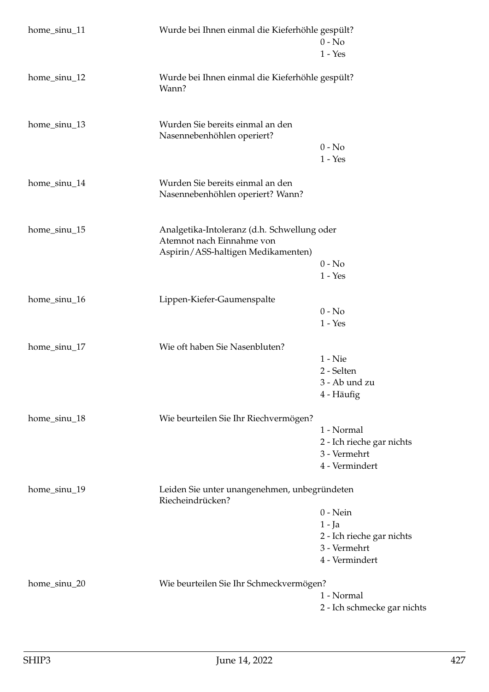| home_sinu_11 | Wurde bei Ihnen einmal die Kieferhöhle gespült?                                                                | $0 - No$<br>$1 - Yes$                                                               |
|--------------|----------------------------------------------------------------------------------------------------------------|-------------------------------------------------------------------------------------|
| home_sinu_12 | Wurde bei Ihnen einmal die Kieferhöhle gespült?<br>Wann?                                                       |                                                                                     |
| home_sinu_13 | Wurden Sie bereits einmal an den<br>Nasennebenhöhlen operiert?                                                 | $0 - No$<br>$1 - Yes$                                                               |
| home_sinu_14 | Wurden Sie bereits einmal an den<br>Nasennebenhöhlen operiert? Wann?                                           |                                                                                     |
| home_sinu_15 | Analgetika-Intoleranz (d.h. Schwellung oder<br>Atemnot nach Einnahme von<br>Aspirin/ASS-haltigen Medikamenten) | $0 - No$<br>$1 - Yes$                                                               |
| home_sinu_16 | Lippen-Kiefer-Gaumenspalte                                                                                     | $0 - No$<br>$1 - Yes$                                                               |
| home_sinu_17 | Wie oft haben Sie Nasenbluten?                                                                                 | $1 -$ Nie<br>2 - Selten<br>3 - Ab und zu<br>4 - Häufig                              |
| home_sinu_18 | Wie beurteilen Sie Ihr Riechvermögen?                                                                          | 1 - Normal<br>2 - Ich rieche gar nichts<br>3 - Vermehrt<br>4 - Vermindert           |
| home_sinu_19 | Leiden Sie unter unangenehmen, unbegründeten<br>Riecheindrücken?                                               | $0$ - Nein<br>1 - Ja<br>2 - Ich rieche gar nichts<br>3 - Vermehrt<br>4 - Vermindert |
| home_sinu_20 | Wie beurteilen Sie Ihr Schmeckvermögen?                                                                        | 1 - Normal<br>2 - Ich schmecke gar nichts                                           |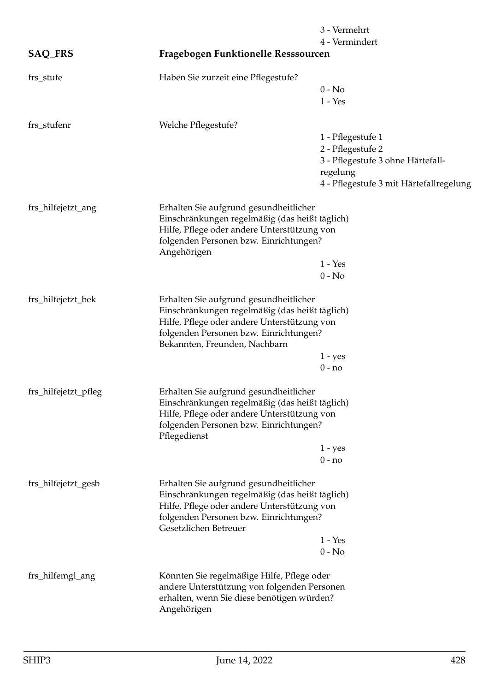|                      |                                                                                                                                                                                                                    | 3 - Vermehrt<br>4 - Vermindert                                                                                                     |
|----------------------|--------------------------------------------------------------------------------------------------------------------------------------------------------------------------------------------------------------------|------------------------------------------------------------------------------------------------------------------------------------|
| <b>SAQ_FRS</b>       | Fragebogen Funktionelle Resssourcen                                                                                                                                                                                |                                                                                                                                    |
| frs_stufe            | Haben Sie zurzeit eine Pflegestufe?                                                                                                                                                                                | $0 - No$<br>$1 - Yes$                                                                                                              |
| frs_stufenr          | Welche Pflegestufe?                                                                                                                                                                                                | 1 - Pflegestufe 1<br>2 - Pflegestufe 2<br>3 - Pflegestufe 3 ohne Härtefall-<br>regelung<br>4 - Pflegestufe 3 mit Härtefallregelung |
| frs_hilfejetzt_ang   | Erhalten Sie aufgrund gesundheitlicher<br>Einschränkungen regelmäßig (das heißt täglich)<br>Hilfe, Pflege oder andere Unterstützung von<br>folgenden Personen bzw. Einrichtungen?<br>Angehörigen                   | $1 - Yes$<br>$0 - No$                                                                                                              |
| frs_hilfejetzt_bek   | Erhalten Sie aufgrund gesundheitlicher<br>Einschränkungen regelmäßig (das heißt täglich)<br>Hilfe, Pflege oder andere Unterstützung von<br>folgenden Personen bzw. Einrichtungen?<br>Bekannten, Freunden, Nachbarn | $1 - yes$<br>$0 - no$                                                                                                              |
| frs_hilfejetzt_pfleg | Erhalten Sie aufgrund gesundheitlicher<br>Einschränkungen regelmäßig (das heißt täglich)<br>Hilfe, Pflege oder andere Unterstützung von<br>folgenden Personen bzw. Einrichtungen?<br>Pflegedienst                  | $1 - yes$<br>$0 - no$                                                                                                              |
| frs_hilfejetzt_gesb  | Erhalten Sie aufgrund gesundheitlicher<br>Einschränkungen regelmäßig (das heißt täglich)<br>Hilfe, Pflege oder andere Unterstützung von<br>folgenden Personen bzw. Einrichtungen?<br>Gesetzlichen Betreuer         | $1 - Yes$<br>$0 - No$                                                                                                              |
| frs_hilfemgl_ang     | Könnten Sie regelmäßige Hilfe, Pflege oder<br>andere Unterstützung von folgenden Personen<br>erhalten, wenn Sie diese benötigen würden?<br>Angehörigen                                                             |                                                                                                                                    |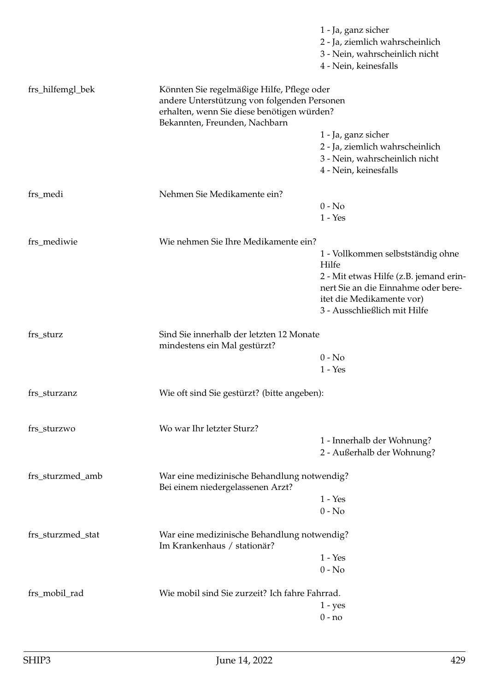|                   |                                                                                                                                                                          | 1 - Ja, ganz sicher<br>2 - Ja, ziemlich wahrscheinlich<br>3 - Nein, wahrscheinlich nicht<br>4 - Nein, keinesfalls                                                                        |
|-------------------|--------------------------------------------------------------------------------------------------------------------------------------------------------------------------|------------------------------------------------------------------------------------------------------------------------------------------------------------------------------------------|
| frs_hilfemgl_bek  | Könnten Sie regelmäßige Hilfe, Pflege oder<br>andere Unterstützung von folgenden Personen<br>erhalten, wenn Sie diese benötigen würden?<br>Bekannten, Freunden, Nachbarn |                                                                                                                                                                                          |
|                   |                                                                                                                                                                          | 1 - Ja, ganz sicher<br>2 - Ja, ziemlich wahrscheinlich<br>3 - Nein, wahrscheinlich nicht<br>4 - Nein, keinesfalls                                                                        |
| frs_medi          | Nehmen Sie Medikamente ein?                                                                                                                                              | $0 - No$<br>$1 - Yes$                                                                                                                                                                    |
| frs mediwie       | Wie nehmen Sie Ihre Medikamente ein?                                                                                                                                     | 1 - Vollkommen selbstständig ohne<br>Hilfe<br>2 - Mit etwas Hilfe (z.B. jemand erin-<br>nert Sie an die Einnahme oder bere-<br>itet die Medikamente vor)<br>3 - Ausschließlich mit Hilfe |
| frs_sturz         | Sind Sie innerhalb der letzten 12 Monate<br>mindestens ein Mal gestürzt?                                                                                                 | $0 - No$<br>$1 - Yes$                                                                                                                                                                    |
| frs_sturzanz      | Wie oft sind Sie gestürzt? (bitte angeben):                                                                                                                              |                                                                                                                                                                                          |
| frs_sturzwo       | Wo war Ihr letzter Sturz?                                                                                                                                                | 1 - Innerhalb der Wohnung?<br>2 - Außerhalb der Wohnung?                                                                                                                                 |
| frs_sturzmed_amb  | War eine medizinische Behandlung notwendig?<br>Bei einem niedergelassenen Arzt?                                                                                          | $1 - Yes$<br>$0 - No$                                                                                                                                                                    |
| frs_sturzmed_stat | War eine medizinische Behandlung notwendig?<br>Im Krankenhaus / stationär?                                                                                               | $1 - Yes$<br>$0 - No$                                                                                                                                                                    |
| frs_mobil_rad     | Wie mobil sind Sie zurzeit? Ich fahre Fahrrad.                                                                                                                           | $1 - yes$<br>$0 - no$                                                                                                                                                                    |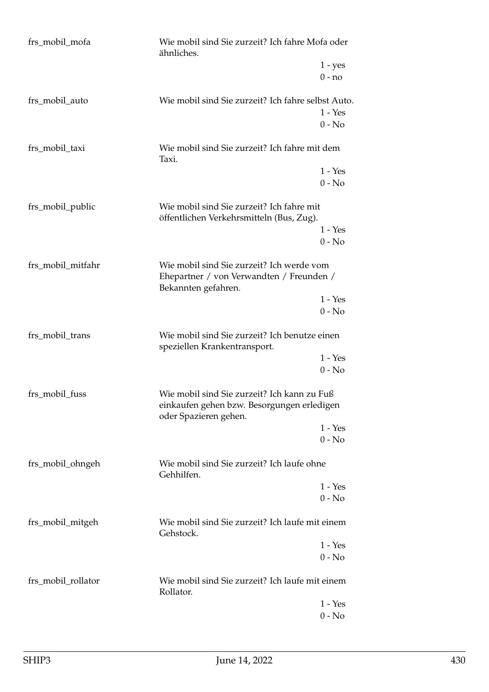| frs_mobil_mofa     | Wie mobil sind Sie zurzeit? Ich fahre Mofa oder<br>ähnliches.                                                      |                       |
|--------------------|--------------------------------------------------------------------------------------------------------------------|-----------------------|
|                    |                                                                                                                    | $1 - yes$<br>$0 - no$ |
| frs_mobil_auto     | Wie mobil sind Sie zurzeit? Ich fahre selbst Auto.                                                                 | $1 - Yes$<br>$0 - No$ |
| frs_mobil_taxi     | Wie mobil sind Sie zurzeit? Ich fahre mit dem<br>Taxi.                                                             |                       |
|                    |                                                                                                                    | $1 - Yes$<br>$0 - No$ |
| frs_mobil_public   | Wie mobil sind Sie zurzeit? Ich fahre mit<br>öffentlichen Verkehrsmitteln (Bus, Zug).                              |                       |
|                    |                                                                                                                    | $1 - Yes$<br>$0 - No$ |
| frs_mobil_mitfahr  | Wie mobil sind Sie zurzeit? Ich werde vom<br>Ehepartner / von Verwandten / Freunden /<br>Bekannten gefahren.       |                       |
|                    |                                                                                                                    | $1 - Yes$<br>$0 - No$ |
| frs_mobil_trans    | Wie mobil sind Sie zurzeit? Ich benutze einen<br>speziellen Krankentransport.                                      |                       |
|                    |                                                                                                                    | $1 - Yes$<br>$0 - No$ |
| frs_mobil_fuss     | Wie mobil sind Sie zurzeit? Ich kann zu Fuß<br>einkaufen gehen bzw. Besorgungen erledigen<br>oder Spazieren gehen. |                       |
|                    |                                                                                                                    | $1 - Yes$<br>$0 - No$ |
| frs_mobil_ohngeh   | Wie mobil sind Sie zurzeit? Ich laufe ohne<br>Gehhilfen.                                                           |                       |
|                    |                                                                                                                    | $1 - Yes$<br>$0 - No$ |
| frs_mobil_mitgeh   | Wie mobil sind Sie zurzeit? Ich laufe mit einem<br>Gehstock.                                                       |                       |
|                    |                                                                                                                    | $1 - Yes$<br>$0 - No$ |
| frs_mobil_rollator | Wie mobil sind Sie zurzeit? Ich laufe mit einem<br>Rollator.                                                       |                       |
|                    |                                                                                                                    | $1 - Yes$<br>$0 - No$ |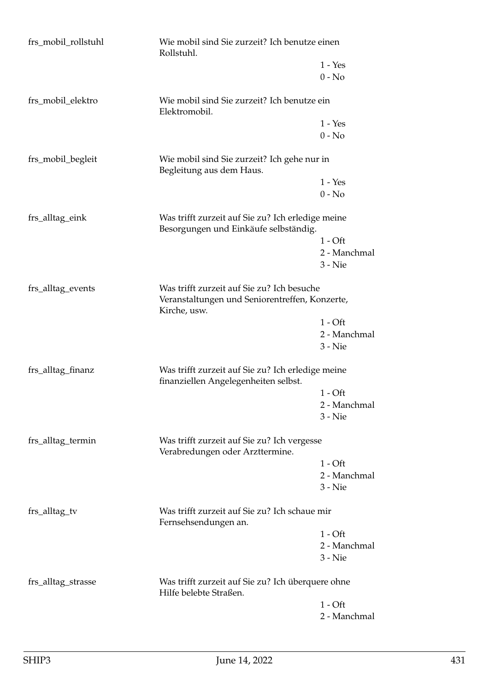| frs_mobil_rollstuhl | Wie mobil sind Sie zurzeit? Ich benutze einen<br>Rollstuhl.                                                  |                       |
|---------------------|--------------------------------------------------------------------------------------------------------------|-----------------------|
|                     |                                                                                                              | $1 - Yes$<br>$0 - No$ |
| frs_mobil_elektro   | Wie mobil sind Sie zurzeit? Ich benutze ein<br>Elektromobil.                                                 |                       |
|                     |                                                                                                              | $1 - Yes$<br>$0 - No$ |
| frs_mobil_begleit   | Wie mobil sind Sie zurzeit? Ich gehe nur in<br>Begleitung aus dem Haus.                                      |                       |
|                     |                                                                                                              | $1 - Yes$             |
|                     |                                                                                                              | $0 - No$              |
| frs_alltag_eink     | Was trifft zurzeit auf Sie zu? Ich erledige meine<br>Besorgungen und Einkäufe selbständig.                   |                       |
|                     |                                                                                                              | $1 - Off$             |
|                     |                                                                                                              | 2 - Manchmal          |
|                     |                                                                                                              | $3 -$ Nie             |
| frs_alltag_events   | Was trifft zurzeit auf Sie zu? Ich besuche<br>Veranstaltungen und Seniorentreffen, Konzerte,<br>Kirche, usw. |                       |
|                     |                                                                                                              | $1 - Off$             |
|                     |                                                                                                              | 2 - Manchmal          |
|                     |                                                                                                              | $3 -$ Nie             |
| frs_alltag_finanz   | Was trifft zurzeit auf Sie zu? Ich erledige meine<br>finanziellen Angelegenheiten selbst.                    |                       |
|                     |                                                                                                              | $1 - Off$             |
|                     |                                                                                                              | 2 - Manchmal          |
|                     |                                                                                                              | $3 -$ Nie             |
| frs_alltag_termin   | Was trifft zurzeit auf Sie zu? Ich vergesse<br>Verabredungen oder Arzttermine.                               |                       |
|                     |                                                                                                              | $1 - Off$             |
|                     |                                                                                                              | 2 - Manchmal          |
|                     |                                                                                                              | $3 -$ Nie             |
| frs_alltag_tv       | Was trifft zurzeit auf Sie zu? Ich schaue mir<br>Fernsehsendungen an.                                        |                       |
|                     |                                                                                                              | $1 - Off$             |
|                     |                                                                                                              | 2 - Manchmal          |
|                     |                                                                                                              | $3 -$ Nie             |
| frs_alltag_strasse  | Was trifft zurzeit auf Sie zu? Ich überquere ohne<br>Hilfe belebte Straßen.                                  |                       |
|                     |                                                                                                              | $1 - Off$             |
|                     |                                                                                                              | 2 - Manchmal          |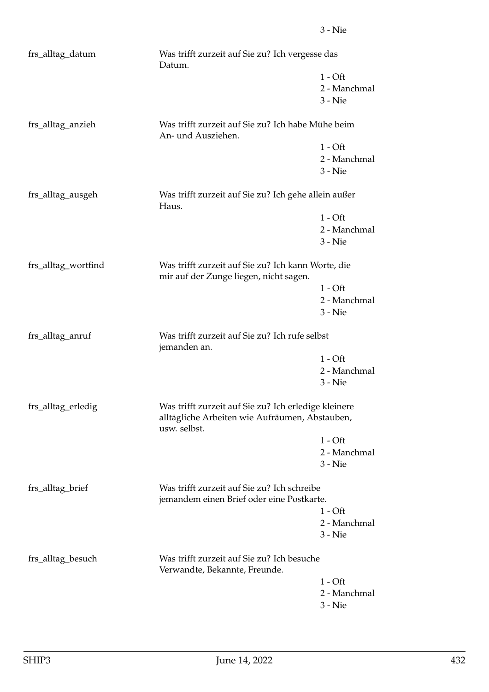| frs_alltag_datum<br>Was trifft zurzeit auf Sie zu? Ich vergesse das<br>Datum. |                                                                                                                        |                                                                                          |  |
|-------------------------------------------------------------------------------|------------------------------------------------------------------------------------------------------------------------|------------------------------------------------------------------------------------------|--|
|                                                                               |                                                                                                                        | $1 - Off$                                                                                |  |
|                                                                               |                                                                                                                        | 2 - Manchmal                                                                             |  |
|                                                                               |                                                                                                                        | $3 -$ Nie                                                                                |  |
| frs_alltag_anzieh                                                             | Was trifft zurzeit auf Sie zu? Ich habe Mühe beim<br>An- und Ausziehen.                                                |                                                                                          |  |
|                                                                               |                                                                                                                        | $1 - Off$                                                                                |  |
|                                                                               |                                                                                                                        | 2 - Manchmal                                                                             |  |
|                                                                               |                                                                                                                        | $3 - Nie$                                                                                |  |
| frs_alltag_ausgeh                                                             | Was trifft zurzeit auf Sie zu? Ich gehe allein außer<br>Haus.                                                          |                                                                                          |  |
|                                                                               |                                                                                                                        | $1 - Off$                                                                                |  |
|                                                                               |                                                                                                                        | 2 - Manchmal                                                                             |  |
|                                                                               |                                                                                                                        | $3 -$ Nie                                                                                |  |
| frs_alltag_wortfind                                                           | Was trifft zurzeit auf Sie zu? Ich kann Worte, die<br>mir auf der Zunge liegen, nicht sagen.                           |                                                                                          |  |
|                                                                               |                                                                                                                        | $1 - Off$                                                                                |  |
|                                                                               |                                                                                                                        | 2 - Manchmal                                                                             |  |
|                                                                               |                                                                                                                        | $3 -$ Nie                                                                                |  |
| frs_alltag_anruf                                                              | Was trifft zurzeit auf Sie zu? Ich rufe selbst<br>jemanden an.                                                         |                                                                                          |  |
|                                                                               |                                                                                                                        | $1 - Off$                                                                                |  |
|                                                                               |                                                                                                                        | 2 - Manchmal                                                                             |  |
|                                                                               |                                                                                                                        | $3 -$ Nie                                                                                |  |
| frs_alltag_erledig                                                            | Was trifft zurzeit auf Sie zu? Ich erledige kleinere<br>alltägliche Arbeiten wie Aufräumen, Abstauben,<br>usw. selbst. |                                                                                          |  |
|                                                                               |                                                                                                                        | $1 - Off$                                                                                |  |
|                                                                               |                                                                                                                        | 2 - Manchmal                                                                             |  |
|                                                                               |                                                                                                                        | $3 -$ Nie                                                                                |  |
| frs_alltag_brief                                                              |                                                                                                                        | Was trifft zurzeit auf Sie zu? Ich schreibe<br>jemandem einen Brief oder eine Postkarte. |  |
|                                                                               |                                                                                                                        | $1 - Off$                                                                                |  |
|                                                                               |                                                                                                                        | 2 - Manchmal                                                                             |  |
|                                                                               |                                                                                                                        | $3 -$ Nie                                                                                |  |
| frs_alltag_besuch                                                             | Verwandte, Bekannte, Freunde.                                                                                          | Was trifft zurzeit auf Sie zu? Ich besuche                                               |  |
|                                                                               |                                                                                                                        | $1 - Off$                                                                                |  |
|                                                                               |                                                                                                                        | 2 - Manchmal                                                                             |  |
|                                                                               |                                                                                                                        | $3 - Nie$                                                                                |  |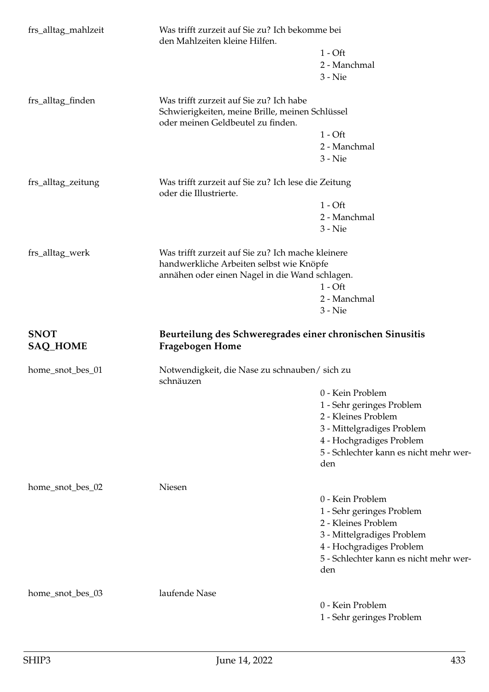| frs_alltag_mahlzeit            | den Mahlzeiten kleine Hilfen.                                                              | Was trifft zurzeit auf Sie zu? Ich bekomme bei                     |  |
|--------------------------------|--------------------------------------------------------------------------------------------|--------------------------------------------------------------------|--|
|                                |                                                                                            | $1 - Off$                                                          |  |
|                                |                                                                                            | 2 - Manchmal                                                       |  |
|                                |                                                                                            | $3 -$ Nie                                                          |  |
|                                |                                                                                            |                                                                    |  |
| frs_alltag_finden              | Was trifft zurzeit auf Sie zu? Ich habe<br>Schwierigkeiten, meine Brille, meinen Schlüssel |                                                                    |  |
|                                | oder meinen Geldbeutel zu finden.                                                          |                                                                    |  |
|                                |                                                                                            | $1 - Off$                                                          |  |
|                                |                                                                                            | 2 - Manchmal                                                       |  |
|                                |                                                                                            | $3 -$ Nie                                                          |  |
| frs_alltag_zeitung             | Was trifft zurzeit auf Sie zu? Ich lese die Zeitung<br>oder die Illustrierte.              |                                                                    |  |
|                                |                                                                                            | $1 - Off$                                                          |  |
|                                |                                                                                            | 2 - Manchmal                                                       |  |
|                                |                                                                                            | $3 -$ Nie                                                          |  |
| frs_alltag_werk                | Was trifft zurzeit auf Sie zu? Ich mache kleinere                                          |                                                                    |  |
|                                | handwerkliche Arbeiten selbst wie Knöpfe                                                   |                                                                    |  |
|                                | annähen oder einen Nagel in die Wand schlagen.                                             |                                                                    |  |
|                                |                                                                                            | $1 - Off$                                                          |  |
|                                |                                                                                            | 2 - Manchmal                                                       |  |
|                                |                                                                                            | $3 -$ Nie                                                          |  |
| <b>SNOT</b><br><b>SAQ_HOME</b> | Beurteilung des Schweregrades einer chronischen Sinusitis<br><b>Fragebogen Home</b>        |                                                                    |  |
|                                |                                                                                            | Notwendigkeit, die Nase zu schnauben/ sich zu                      |  |
| home_snot_bes_01               |                                                                                            |                                                                    |  |
|                                | schnäuzen                                                                                  | 0 - Kein Problem                                                   |  |
|                                |                                                                                            |                                                                    |  |
|                                |                                                                                            | 1 - Sehr geringes Problem                                          |  |
|                                |                                                                                            | 2 - Kleines Problem                                                |  |
|                                |                                                                                            | 3 - Mittelgradiges Problem                                         |  |
|                                |                                                                                            | 4 - Hochgradiges Problem<br>5 - Schlechter kann es nicht mehr wer- |  |
|                                |                                                                                            | den                                                                |  |
|                                |                                                                                            |                                                                    |  |
| home_snot_bes_02               | Niesen                                                                                     |                                                                    |  |
|                                |                                                                                            | 0 - Kein Problem                                                   |  |
|                                |                                                                                            | 1 - Sehr geringes Problem                                          |  |
|                                |                                                                                            | 2 - Kleines Problem                                                |  |
|                                |                                                                                            | 3 - Mittelgradiges Problem                                         |  |
|                                |                                                                                            | 4 - Hochgradiges Problem                                           |  |
|                                |                                                                                            | 5 - Schlechter kann es nicht mehr wer-                             |  |
|                                |                                                                                            | den                                                                |  |
|                                |                                                                                            |                                                                    |  |
| home_snot_bes_03               | laufende Nase                                                                              | 0 - Kein Problem                                                   |  |
|                                |                                                                                            | 1 - Sehr geringes Problem                                          |  |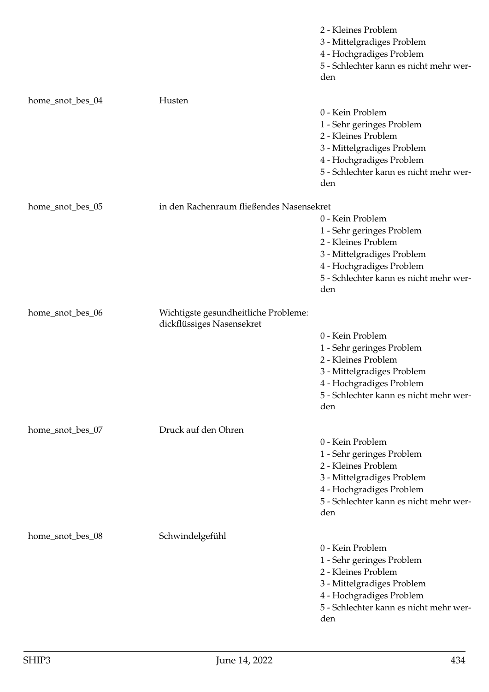|                  |                                                                   | 2 - Kleines Problem<br>3 - Mittelgradiges Problem<br>4 - Hochgradiges Problem<br>5 - Schlechter kann es nicht mehr wer-<br>den                                                  |
|------------------|-------------------------------------------------------------------|---------------------------------------------------------------------------------------------------------------------------------------------------------------------------------|
| home_snot_bes_04 | Husten                                                            | 0 - Kein Problem<br>1 - Sehr geringes Problem<br>2 - Kleines Problem<br>3 - Mittelgradiges Problem<br>4 - Hochgradiges Problem<br>5 - Schlechter kann es nicht mehr wer-<br>den |
| home_snot_bes_05 | in den Rachenraum fließendes Nasensekret                          | 0 - Kein Problem<br>1 - Sehr geringes Problem<br>2 - Kleines Problem<br>3 - Mittelgradiges Problem<br>4 - Hochgradiges Problem<br>5 - Schlechter kann es nicht mehr wer-<br>den |
| home_snot_bes_06 | Wichtigste gesundheitliche Probleme:<br>dickflüssiges Nasensekret | 0 - Kein Problem<br>1 - Sehr geringes Problem<br>2 - Kleines Problem<br>3 - Mittelgradiges Problem<br>4 - Hochgradiges Problem<br>5 - Schlechter kann es nicht mehr wer-<br>den |
| home_snot_bes_07 | Druck auf den Ohren                                               | 0 - Kein Problem<br>1 - Sehr geringes Problem<br>2 - Kleines Problem<br>3 - Mittelgradiges Problem<br>4 - Hochgradiges Problem<br>5 - Schlechter kann es nicht mehr wer-<br>den |
| home_snot_bes_08 | Schwindelgefühl                                                   | 0 - Kein Problem<br>1 - Sehr geringes Problem<br>2 - Kleines Problem<br>3 - Mittelgradiges Problem<br>4 - Hochgradiges Problem<br>5 - Schlechter kann es nicht mehr wer-<br>den |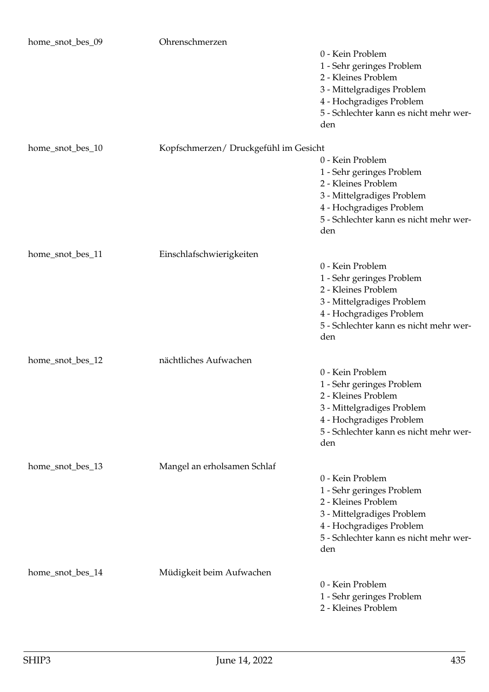| home_snot_bes_09 | Ohrenschmerzen                        |                                                                                                                                                                                 |
|------------------|---------------------------------------|---------------------------------------------------------------------------------------------------------------------------------------------------------------------------------|
|                  |                                       | 0 - Kein Problem<br>1 - Sehr geringes Problem<br>2 - Kleines Problem<br>3 - Mittelgradiges Problem<br>4 - Hochgradiges Problem<br>5 - Schlechter kann es nicht mehr wer-<br>den |
| home_snot_bes_10 | Kopfschmerzen/ Druckgefühl im Gesicht | 0 - Kein Problem<br>1 - Sehr geringes Problem<br>2 - Kleines Problem<br>3 - Mittelgradiges Problem<br>4 - Hochgradiges Problem<br>5 - Schlechter kann es nicht mehr wer-<br>den |
| home_snot_bes_11 | Einschlafschwierigkeiten              | 0 - Kein Problem<br>1 - Sehr geringes Problem<br>2 - Kleines Problem<br>3 - Mittelgradiges Problem<br>4 - Hochgradiges Problem<br>5 - Schlechter kann es nicht mehr wer-<br>den |
| home_snot_bes_12 | nächtliches Aufwachen                 | 0 - Kein Problem<br>1 - Sehr geringes Problem<br>2 - Kleines Problem<br>3 - Mittelgradiges Problem<br>4 - Hochgradiges Problem<br>5 - Schlechter kann es nicht mehr wer-<br>den |
| home_snot_bes_13 | Mangel an erholsamen Schlaf           | 0 - Kein Problem<br>1 - Sehr geringes Problem<br>2 - Kleines Problem<br>3 - Mittelgradiges Problem<br>4 - Hochgradiges Problem<br>5 - Schlechter kann es nicht mehr wer-<br>den |
| home_snot_bes_14 | Müdigkeit beim Aufwachen              | 0 - Kein Problem<br>1 - Sehr geringes Problem<br>2 - Kleines Problem                                                                                                            |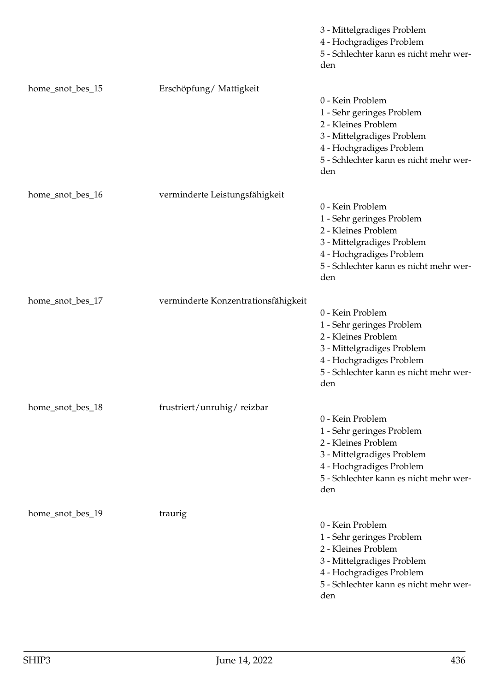|                  |                                     | 3 - Mittelgradiges Problem<br>4 - Hochgradiges Problem<br>5 - Schlechter kann es nicht mehr wer-<br>den                                                                         |
|------------------|-------------------------------------|---------------------------------------------------------------------------------------------------------------------------------------------------------------------------------|
| home_snot_bes_15 | Erschöpfung/Mattigkeit              | 0 - Kein Problem<br>1 - Sehr geringes Problem<br>2 - Kleines Problem<br>3 - Mittelgradiges Problem<br>4 - Hochgradiges Problem<br>5 - Schlechter kann es nicht mehr wer-<br>den |
| home_snot_bes_16 | verminderte Leistungsfähigkeit      | 0 - Kein Problem<br>1 - Sehr geringes Problem<br>2 - Kleines Problem<br>3 - Mittelgradiges Problem<br>4 - Hochgradiges Problem<br>5 - Schlechter kann es nicht mehr wer-<br>den |
| home_snot_bes_17 | verminderte Konzentrationsfähigkeit | 0 - Kein Problem<br>1 - Sehr geringes Problem<br>2 - Kleines Problem<br>3 - Mittelgradiges Problem<br>4 - Hochgradiges Problem<br>5 - Schlechter kann es nicht mehr wer-<br>den |
| home_snot_bes_18 | frustriert/unruhig/reizbar          | 0 - Kein Problem<br>1 - Sehr geringes Problem<br>2 - Kleines Problem<br>3 - Mittelgradiges Problem<br>4 - Hochgradiges Problem<br>5 - Schlechter kann es nicht mehr wer-<br>den |
| home_snot_bes_19 | traurig                             | 0 - Kein Problem<br>1 - Sehr geringes Problem<br>2 - Kleines Problem<br>3 - Mittelgradiges Problem<br>4 - Hochgradiges Problem<br>5 - Schlechter kann es nicht mehr wer-<br>den |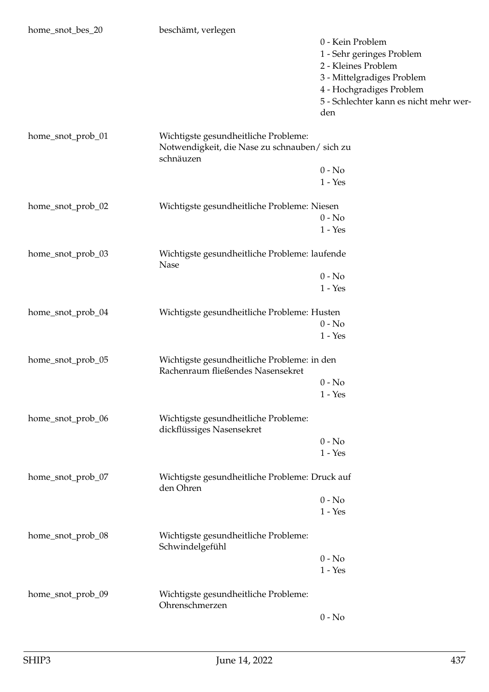| home_snot_bes_20  | beschämt, verlegen                                          |                                        |
|-------------------|-------------------------------------------------------------|----------------------------------------|
|                   |                                                             | 0 - Kein Problem                       |
|                   |                                                             | 1 - Sehr geringes Problem              |
|                   |                                                             | 2 - Kleines Problem                    |
|                   |                                                             | 3 - Mittelgradiges Problem             |
|                   |                                                             | 4 - Hochgradiges Problem               |
|                   |                                                             | 5 - Schlechter kann es nicht mehr wer- |
|                   |                                                             | den                                    |
| home_snot_prob_01 | Wichtigste gesundheitliche Probleme:                        |                                        |
|                   | Notwendigkeit, die Nase zu schnauben/ sich zu<br>schnäuzen  |                                        |
|                   |                                                             | $0 - No$                               |
|                   |                                                             | $1 - Yes$                              |
| home_snot_prob_02 | Wichtigste gesundheitliche Probleme: Niesen                 |                                        |
|                   |                                                             | $0 - No$                               |
|                   |                                                             | $1 - Yes$                              |
|                   |                                                             |                                        |
| home_snot_prob_03 | Wichtigste gesundheitliche Probleme: laufende<br>Nase       |                                        |
|                   |                                                             | $0 - No$                               |
|                   |                                                             | $1 - Yes$                              |
| home_snot_prob_04 | Wichtigste gesundheitliche Probleme: Husten                 |                                        |
|                   |                                                             | $0 - No$                               |
|                   |                                                             | $1 - Yes$                              |
| home_snot_prob_05 | Wichtigste gesundheitliche Probleme: in den                 |                                        |
|                   | Rachenraum fließendes Nasensekret                           |                                        |
|                   |                                                             | $0 - No$                               |
|                   |                                                             | $1 - Yes$                              |
| home_snot_prob_06 | Wichtigste gesundheitliche Probleme:                        |                                        |
|                   | dickflüssiges Nasensekret                                   |                                        |
|                   |                                                             | $0 - No$                               |
|                   |                                                             | $1 - Yes$                              |
| home_snot_prob_07 | Wichtigste gesundheitliche Probleme: Druck auf<br>den Ohren |                                        |
|                   |                                                             | $0 - No$                               |
|                   |                                                             | $1 - Yes$                              |
| home_snot_prob_08 | Wichtigste gesundheitliche Probleme:<br>Schwindelgefühl     |                                        |
|                   |                                                             | $0 - No$                               |
|                   |                                                             | $1 - Yes$                              |
| home_snot_prob_09 | Wichtigste gesundheitliche Probleme:                        |                                        |
|                   | Ohrenschmerzen                                              |                                        |
|                   |                                                             | $0 - No$                               |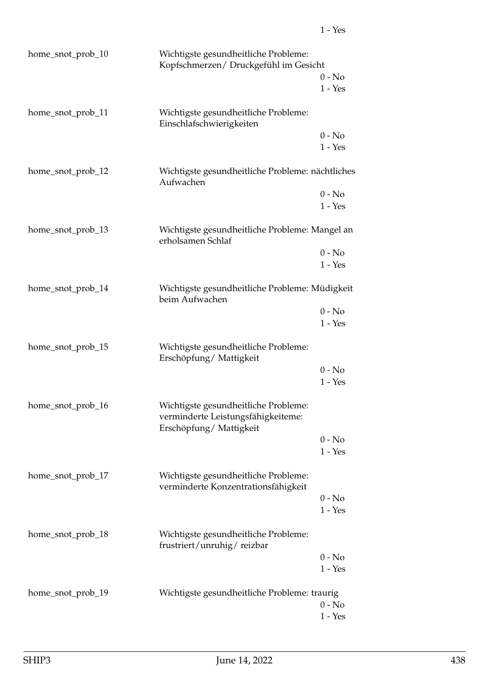| home_snot_prob_10 | Wichtigste gesundheitliche Probleme:<br>Kopfschmerzen/ Druckgefühl im Gesicht                        |           |
|-------------------|------------------------------------------------------------------------------------------------------|-----------|
|                   |                                                                                                      | $0 - No$  |
|                   |                                                                                                      | $1 - Yes$ |
| home_snot_prob_11 | Wichtigste gesundheitliche Probleme:<br>Einschlafschwierigkeiten                                     |           |
|                   |                                                                                                      | $0 - No$  |
|                   |                                                                                                      | $1 - Yes$ |
| home_snot_prob_12 | Wichtigste gesundheitliche Probleme: nächtliches<br>Aufwachen                                        |           |
|                   |                                                                                                      | $0 - No$  |
|                   |                                                                                                      | $1 - Yes$ |
| home_snot_prob_13 | Wichtigste gesundheitliche Probleme: Mangel an<br>erholsamen Schlaf                                  |           |
|                   |                                                                                                      | $0 - No$  |
|                   |                                                                                                      | $1 - Yes$ |
| home_snot_prob_14 | Wichtigste gesundheitliche Probleme: Müdigkeit<br>beim Aufwachen                                     |           |
|                   |                                                                                                      | $0 - No$  |
|                   |                                                                                                      | $1 - Yes$ |
| home_snot_prob_15 | Wichtigste gesundheitliche Probleme:<br>Erschöpfung/Mattigkeit                                       |           |
|                   |                                                                                                      | $0 - No$  |
|                   |                                                                                                      | $1 - Yes$ |
| home_snot_prob_16 | Wichtigste gesundheitliche Probleme:<br>verminderte Leistungsfähigkeiteme:<br>Erschöpfung/Mattigkeit |           |
|                   |                                                                                                      | $0 - No$  |
|                   |                                                                                                      | $1 - Yes$ |
| home_snot_prob_17 | Wichtigste gesundheitliche Probleme:<br>verminderte Konzentrationsfähigkeit                          |           |
|                   |                                                                                                      | $0 - No$  |
|                   |                                                                                                      | $1 - Yes$ |
| home_snot_prob_18 | Wichtigste gesundheitliche Probleme:<br>frustriert/unruhig/reizbar                                   |           |
|                   |                                                                                                      | $0 - No$  |
|                   |                                                                                                      | $1 - Yes$ |
| home_snot_prob_19 | Wichtigste gesundheitliche Probleme: traurig                                                         |           |
|                   |                                                                                                      | $0 - No$  |
|                   |                                                                                                      | $1 - Yes$ |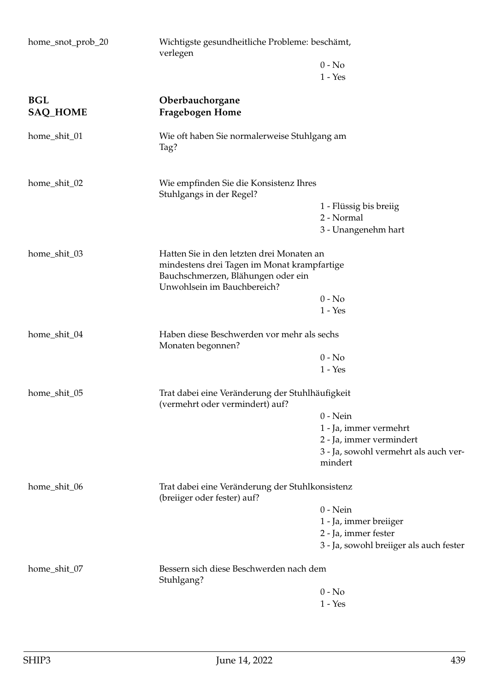| home_snot_prob_20             | Wichtigste gesundheitliche Probleme: beschämt,<br>verlegen                                                                                                    |                                                  |  |
|-------------------------------|---------------------------------------------------------------------------------------------------------------------------------------------------------------|--------------------------------------------------|--|
|                               |                                                                                                                                                               | $0 - No$                                         |  |
|                               |                                                                                                                                                               | $1 - Yes$                                        |  |
| <b>BGL</b><br><b>SAQ_HOME</b> | Oberbauchorgane<br><b>Fragebogen Home</b>                                                                                                                     |                                                  |  |
| home_shit_01                  | Wie oft haben Sie normalerweise Stuhlgang am<br>Tag?                                                                                                          |                                                  |  |
| home_shit_02                  | Wie empfinden Sie die Konsistenz Ihres<br>Stuhlgangs in der Regel?                                                                                            |                                                  |  |
|                               |                                                                                                                                                               | 1 - Flüssig bis breiig                           |  |
|                               |                                                                                                                                                               | 2 - Normal                                       |  |
|                               |                                                                                                                                                               | 3 - Unangenehm hart                              |  |
| home_shit_03                  | Hatten Sie in den letzten drei Monaten an<br>mindestens drei Tagen im Monat krampfartige<br>Bauchschmerzen, Blähungen oder ein<br>Unwohlsein im Bauchbereich? |                                                  |  |
|                               |                                                                                                                                                               | $0 - No$                                         |  |
|                               |                                                                                                                                                               | $1 - Yes$                                        |  |
| home_shit_04                  | Haben diese Beschwerden vor mehr als sechs<br>Monaten begonnen?                                                                                               |                                                  |  |
|                               |                                                                                                                                                               | $0 - No$                                         |  |
|                               |                                                                                                                                                               | $1 - Yes$                                        |  |
| home_shit_05                  | Trat dabei eine Veränderung der Stuhlhäufigkeit<br>(vermehrt oder vermindert) auf?                                                                            |                                                  |  |
|                               |                                                                                                                                                               | $0$ - Nein                                       |  |
|                               |                                                                                                                                                               | 1 - Ja, immer vermehrt                           |  |
|                               |                                                                                                                                                               | 2 - Ja, immer vermindert                         |  |
|                               |                                                                                                                                                               | 3 - Ja, sowohl vermehrt als auch ver-<br>mindert |  |
| home_shit_06                  | Trat dabei eine Veränderung der Stuhlkonsistenz<br>(breiiger oder fester) auf?                                                                                |                                                  |  |
|                               |                                                                                                                                                               | $0 - Nein$                                       |  |
|                               |                                                                                                                                                               | 1 - Ja, immer breiiger                           |  |
|                               |                                                                                                                                                               | 2 - Ja, immer fester                             |  |
|                               |                                                                                                                                                               | 3 - Ja, sowohl breiiger als auch fester          |  |
| home_shit_07                  | Bessern sich diese Beschwerden nach dem<br>Stuhlgang?                                                                                                         |                                                  |  |
|                               |                                                                                                                                                               | $0 - No$                                         |  |
|                               |                                                                                                                                                               | $1 - Yes$                                        |  |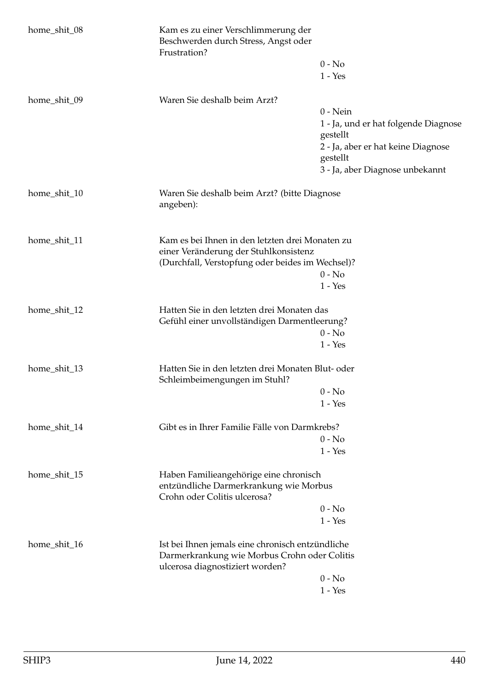| home_shit_08 | Kam es zu einer Verschlimmerung der<br>Beschwerden durch Stress, Angst oder<br>Frustration? |                                                  |  |
|--------------|---------------------------------------------------------------------------------------------|--------------------------------------------------|--|
|              |                                                                                             | $0 - No$                                         |  |
|              |                                                                                             | $1 - Yes$                                        |  |
| home_shit_09 | Waren Sie deshalb beim Arzt?                                                                |                                                  |  |
|              |                                                                                             | $0 - Nein$                                       |  |
|              |                                                                                             | 1 - Ja, und er hat folgende Diagnose<br>gestellt |  |
|              |                                                                                             | 2 - Ja, aber er hat keine Diagnose               |  |
|              |                                                                                             | gestellt                                         |  |
|              |                                                                                             | 3 - Ja, aber Diagnose unbekannt                  |  |
| home_shit_10 | Waren Sie deshalb beim Arzt? (bitte Diagnose<br>angeben):                                   |                                                  |  |
|              |                                                                                             |                                                  |  |
| home_shit_11 | Kam es bei Ihnen in den letzten drei Monaten zu                                             |                                                  |  |
|              | einer Veränderung der Stuhlkonsistenz                                                       |                                                  |  |
|              | (Durchfall, Verstopfung oder beides im Wechsel)?                                            | $0 - No$                                         |  |
|              |                                                                                             | $1 - Yes$                                        |  |
|              |                                                                                             |                                                  |  |
| home_shit_12 | Hatten Sie in den letzten drei Monaten das                                                  |                                                  |  |
|              | Gefühl einer unvollständigen Darmentleerung?                                                |                                                  |  |
|              |                                                                                             | $0 - No$                                         |  |
|              |                                                                                             | $1 - Yes$                                        |  |
| home_shit_13 | Hatten Sie in den letzten drei Monaten Blut- oder<br>Schleimbeimengungen im Stuhl?          |                                                  |  |
|              |                                                                                             | $0 - No$                                         |  |
|              |                                                                                             | $1 - Yes$                                        |  |
| home_shit_14 | Gibt es in Ihrer Familie Fälle von Darmkrebs?                                               |                                                  |  |
|              |                                                                                             | $0 - No$                                         |  |
|              |                                                                                             | $1 - Yes$                                        |  |
| home_shit_15 | Haben Familieangehörige eine chronisch                                                      |                                                  |  |
|              | entzündliche Darmerkrankung wie Morbus<br>Crohn oder Colitis ulcerosa?                      |                                                  |  |
|              |                                                                                             | $0 - No$                                         |  |
|              |                                                                                             | $1 - Yes$                                        |  |
| home_shit_16 | Ist bei Ihnen jemals eine chronisch entzündliche                                            |                                                  |  |
|              | Darmerkrankung wie Morbus Crohn oder Colitis<br>ulcerosa diagnostiziert worden?             |                                                  |  |
|              |                                                                                             | $0 - No$                                         |  |
|              |                                                                                             | $1 - Yes$                                        |  |
|              |                                                                                             |                                                  |  |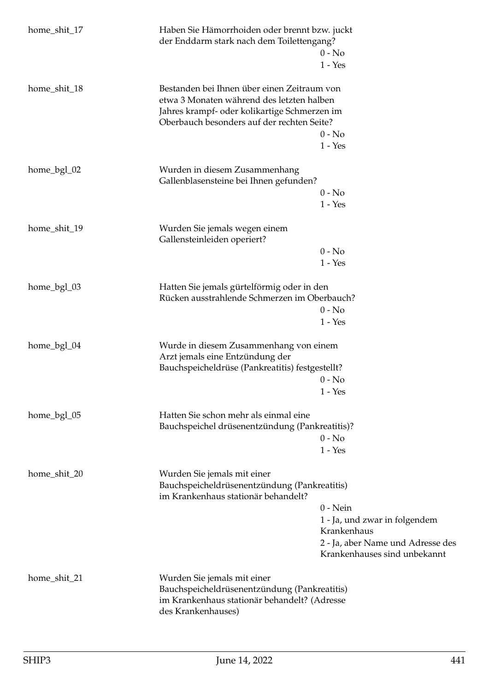| home_shit_17 | Haben Sie Hämorrhoiden oder brennt bzw. juckt<br>der Enddarm stark nach dem Toilettengang?                                                                                             | $0 - No$<br>$1 - Yes$                                                                                                           |
|--------------|----------------------------------------------------------------------------------------------------------------------------------------------------------------------------------------|---------------------------------------------------------------------------------------------------------------------------------|
| home_shit_18 | Bestanden bei Ihnen über einen Zeitraum von<br>etwa 3 Monaten während des letzten halben<br>Jahres krampf- oder kolikartige Schmerzen im<br>Oberbauch besonders auf der rechten Seite? |                                                                                                                                 |
|              |                                                                                                                                                                                        | $0 - No$<br>$1 - Yes$                                                                                                           |
| home_bgl_02  | Wurden in diesem Zusammenhang<br>Gallenblasensteine bei Ihnen gefunden?                                                                                                                |                                                                                                                                 |
|              |                                                                                                                                                                                        | $0 - No$<br>$1 - Yes$                                                                                                           |
| home_shit_19 | Wurden Sie jemals wegen einem<br>Gallensteinleiden operiert?                                                                                                                           |                                                                                                                                 |
|              |                                                                                                                                                                                        | $0 - No$<br>$1 - Yes$                                                                                                           |
| home_bgl_03  | Hatten Sie jemals gürtelförmig oder in den<br>Rücken ausstrahlende Schmerzen im Oberbauch?                                                                                             | $0 - No$                                                                                                                        |
|              |                                                                                                                                                                                        | $1 - Yes$                                                                                                                       |
| home_bgl_04  | Wurde in diesem Zusammenhang von einem<br>Arzt jemals eine Entzündung der<br>Bauchspeicheldrüse (Pankreatitis) festgestellt?                                                           |                                                                                                                                 |
|              |                                                                                                                                                                                        | $0 - No$<br>$1 - Yes$                                                                                                           |
| home_bgl_05  | Hatten Sie schon mehr als einmal eine<br>Bauchspeichel drüsenentzündung (Pankreatitis)?                                                                                                |                                                                                                                                 |
|              |                                                                                                                                                                                        | $0 - No$<br>$1 - Yes$                                                                                                           |
| home_shit_20 | Wurden Sie jemals mit einer<br>Bauchspeicheldrüsenentzündung (Pankreatitis)<br>im Krankenhaus stationär behandelt?                                                                     |                                                                                                                                 |
|              |                                                                                                                                                                                        | $0$ - Nein<br>1 - Ja, und zwar in folgendem<br>Krankenhaus<br>2 - Ja, aber Name und Adresse des<br>Krankenhauses sind unbekannt |
| home_shit_21 | Wurden Sie jemals mit einer<br>Bauchspeicheldrüsenentzündung (Pankreatitis)<br>im Krankenhaus stationär behandelt? (Adresse<br>des Krankenhauses)                                      |                                                                                                                                 |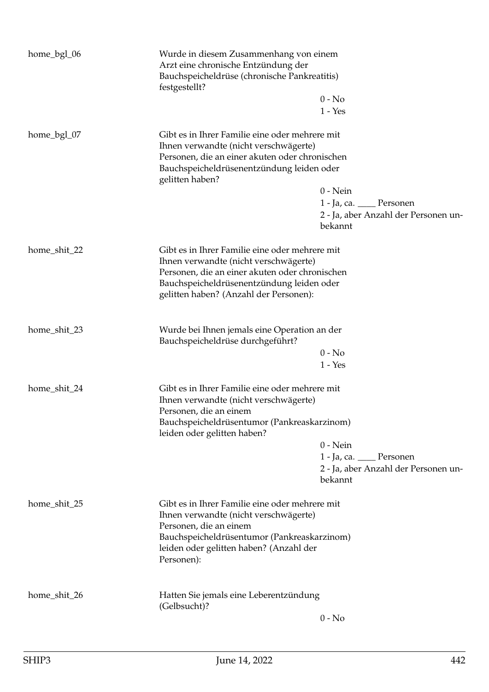| home_bgl_06  | Wurde in diesem Zusammenhang von einem<br>Arzt eine chronische Entzündung der<br>Bauchspeicheldrüse (chronische Pankreatitis)<br>festgestellt?                                                                                   | $0 - No$<br>$1 - Yes$                                                                      |
|--------------|----------------------------------------------------------------------------------------------------------------------------------------------------------------------------------------------------------------------------------|--------------------------------------------------------------------------------------------|
| home_bgl_07  | Gibt es in Ihrer Familie eine oder mehrere mit<br>Ihnen verwandte (nicht verschwägerte)<br>Personen, die an einer akuten oder chronischen<br>Bauchspeicheldrüsenentzündung leiden oder<br>gelitten haben?                        | $0$ - Nein<br>1 - Ja, ca. ____ Personen<br>2 - Ja, aber Anzahl der Personen un-<br>bekannt |
| home_shit_22 | Gibt es in Ihrer Familie eine oder mehrere mit<br>Ihnen verwandte (nicht verschwägerte)<br>Personen, die an einer akuten oder chronischen<br>Bauchspeicheldrüsenentzündung leiden oder<br>gelitten haben? (Anzahl der Personen): |                                                                                            |
| home_shit_23 | Wurde bei Ihnen jemals eine Operation an der<br>Bauchspeicheldrüse durchgeführt?                                                                                                                                                 | $0 - No$<br>$1 - Yes$                                                                      |
| home_shit_24 | Gibt es in Ihrer Familie eine oder mehrere mit<br>Ihnen verwandte (nicht verschwägerte)<br>Personen, die an einem<br>Bauchspeicheldrüsentumor (Pankreaskarzinom)<br>leiden oder gelitten haben?                                  | $0$ - Nein<br>1 - Ja, ca. ____ Personen<br>2 - Ja, aber Anzahl der Personen un-<br>bekannt |
| home_shit_25 | Gibt es in Ihrer Familie eine oder mehrere mit<br>Ihnen verwandte (nicht verschwägerte)<br>Personen, die an einem<br>Bauchspeicheldrüsentumor (Pankreaskarzinom)<br>leiden oder gelitten haben? (Anzahl der<br>Personen):        |                                                                                            |
| home_shit_26 | Hatten Sie jemals eine Leberentzündung<br>(Gelbsucht)?                                                                                                                                                                           | $0 - No$                                                                                   |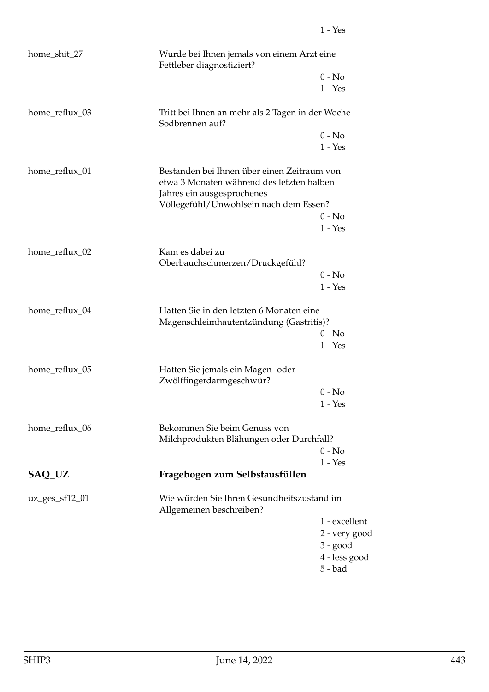| home_shit_27       | Wurde bei Ihnen jemals von einem Arzt eine<br>Fettleber diagnostiziert?                                                |               |
|--------------------|------------------------------------------------------------------------------------------------------------------------|---------------|
|                    |                                                                                                                        | $0 - No$      |
|                    |                                                                                                                        | $1 - Yes$     |
| home_reflux_03     | Tritt bei Ihnen an mehr als 2 Tagen in der Woche<br>Sodbrennen auf?                                                    |               |
|                    |                                                                                                                        | $0 - No$      |
|                    |                                                                                                                        | $1 - Yes$     |
| home_reflux_01     | Bestanden bei Ihnen über einen Zeitraum von<br>etwa 3 Monaten während des letzten halben<br>Jahres ein ausgesprochenes |               |
|                    | Völlegefühl/Unwohlsein nach dem Essen?                                                                                 |               |
|                    |                                                                                                                        | $0 - No$      |
|                    |                                                                                                                        | $1 - Yes$     |
| home_reflux_02     | Kam es dabei zu<br>Oberbauchschmerzen/Druckgefühl?                                                                     |               |
|                    |                                                                                                                        | $0 - No$      |
|                    |                                                                                                                        | $1 - Yes$     |
| home_reflux_04     | Hatten Sie in den letzten 6 Monaten eine<br>Magenschleimhautentzündung (Gastritis)?                                    |               |
|                    |                                                                                                                        | $0 - No$      |
|                    |                                                                                                                        | $1 - Yes$     |
| home_reflux_05     | Hatten Sie jemals ein Magen- oder<br>Zwölffingerdarmgeschwür?                                                          |               |
|                    |                                                                                                                        | $0 - No$      |
|                    |                                                                                                                        | $1 - Yes$     |
| home_reflux_06     | Bekommen Sie beim Genuss von                                                                                           |               |
|                    | Milchprodukten Blähungen oder Durchfall?                                                                               |               |
|                    |                                                                                                                        | $0 - No$      |
|                    |                                                                                                                        | $1 - Yes$     |
| SAQ_UZ             | Fragebogen zum Selbstausfüllen                                                                                         |               |
| $uz\_ges\_sf12_01$ | Wie würden Sie Ihren Gesundheitszustand im<br>Allgemeinen beschreiben?                                                 |               |
|                    |                                                                                                                        | 1 - excellent |
|                    |                                                                                                                        | 2 - very good |
|                    |                                                                                                                        | $3 - good$    |
|                    |                                                                                                                        | 4 - less good |
|                    |                                                                                                                        | $5 - bad$     |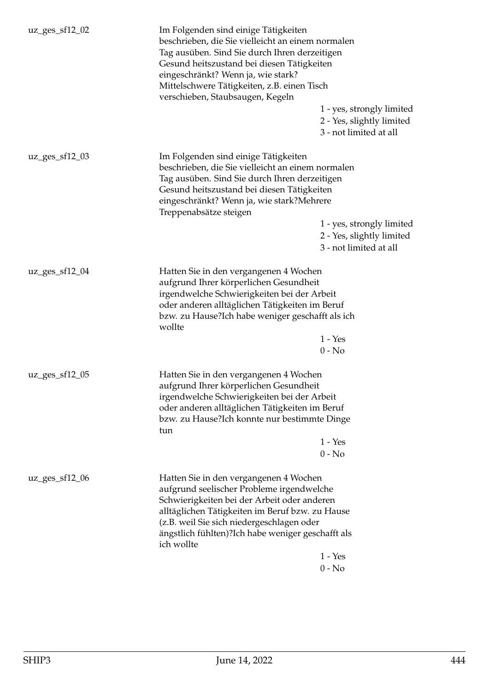| $uz\_ges\_sf12_02$ | Im Folgenden sind einige Tätigkeiten<br>beschrieben, die Sie vielleicht an einem normalen<br>Tag ausüben. Sind Sie durch Ihren derzeitigen<br>Gesund heitszustand bei diesen Tätigkeiten<br>eingeschränkt? Wenn ja, wie stark?<br>Mittelschwere Tätigkeiten, z.B. einen Tisch<br>verschieben, Staubsaugen, Kegeln |                                                                                  |
|--------------------|-------------------------------------------------------------------------------------------------------------------------------------------------------------------------------------------------------------------------------------------------------------------------------------------------------------------|----------------------------------------------------------------------------------|
|                    |                                                                                                                                                                                                                                                                                                                   | 1 - yes, strongly limited<br>2 - Yes, slightly limited<br>3 - not limited at all |
| $uz\_ges\_sf12_03$ | Im Folgenden sind einige Tätigkeiten<br>beschrieben, die Sie vielleicht an einem normalen<br>Tag ausüben. Sind Sie durch Ihren derzeitigen<br>Gesund heitszustand bei diesen Tätigkeiten<br>eingeschränkt? Wenn ja, wie stark?Mehrere<br>Treppenabsätze steigen                                                   | 1 - yes, strongly limited<br>2 - Yes, slightly limited<br>3 - not limited at all |
| $uz\_ges\_sf12_04$ | Hatten Sie in den vergangenen 4 Wochen<br>aufgrund Ihrer körperlichen Gesundheit<br>irgendwelche Schwierigkeiten bei der Arbeit<br>oder anderen alltäglichen Tätigkeiten im Beruf<br>bzw. zu Hause?Ich habe weniger geschafft als ich<br>wollte                                                                   | $1 - Yes$<br>$0 - No$                                                            |
| uz_ges_sf12_05     | Hatten Sie in den vergangenen 4 Wochen<br>aufgrund Ihrer körperlichen Gesundheit<br>irgendwelche Schwierigkeiten bei der Arbeit<br>oder anderen alltäglichen Tätigkeiten im Beruf<br>bzw. zu Hause?Ich konnte nur bestimmte Dinge<br>tun                                                                          | $1 - Yes$<br>$0 - No$                                                            |
| $uz\_ges\_sf12_06$ | Hatten Sie in den vergangenen 4 Wochen<br>aufgrund seelischer Probleme irgendwelche<br>Schwierigkeiten bei der Arbeit oder anderen<br>alltäglichen Tätigkeiten im Beruf bzw. zu Hause<br>(z.B. weil Sie sich niedergeschlagen oder<br>ängstlich fühlten)?Ich habe weniger geschafft als<br>ich wollte             | $1 - Yes$<br>$0 - No$                                                            |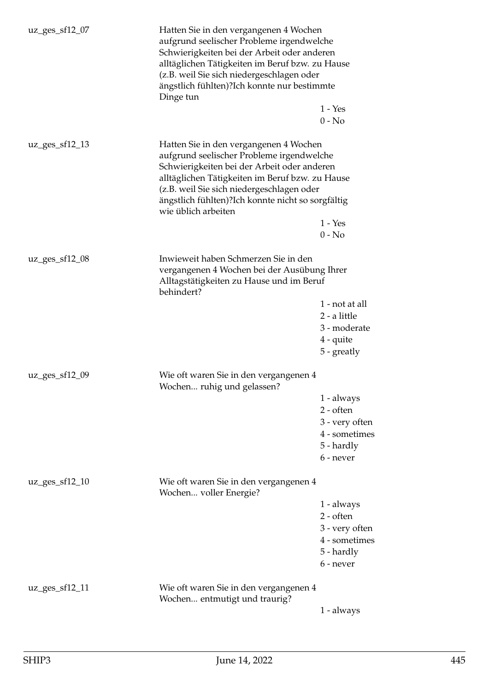| $uz\_ges\_sf12\_07$ | Hatten Sie in den vergangenen 4 Wochen<br>aufgrund seelischer Probleme irgendwelche<br>Schwierigkeiten bei der Arbeit oder anderen<br>alltäglichen Tätigkeiten im Beruf bzw. zu Hause<br>(z.B. weil Sie sich niedergeschlagen oder<br>ängstlich fühlten)?Ich konnte nur bestimmte<br>Dinge tun                 |                                                                                         |
|---------------------|----------------------------------------------------------------------------------------------------------------------------------------------------------------------------------------------------------------------------------------------------------------------------------------------------------------|-----------------------------------------------------------------------------------------|
|                     |                                                                                                                                                                                                                                                                                                                | $1 - Yes$                                                                               |
|                     |                                                                                                                                                                                                                                                                                                                | $0 - No$                                                                                |
| $uz\_ges\_sf12\_13$ | Hatten Sie in den vergangenen 4 Wochen<br>aufgrund seelischer Probleme irgendwelche<br>Schwierigkeiten bei der Arbeit oder anderen<br>alltäglichen Tätigkeiten im Beruf bzw. zu Hause<br>(z.B. weil Sie sich niedergeschlagen oder<br>ängstlich fühlten)?Ich konnte nicht so sorgfältig<br>wie üblich arbeiten | $1 - Yes$                                                                               |
|                     |                                                                                                                                                                                                                                                                                                                | $0 - No$                                                                                |
| $uz\_ges\_sf12_08$  | Inwieweit haben Schmerzen Sie in den<br>vergangenen 4 Wochen bei der Ausübung Ihrer<br>Alltagstätigkeiten zu Hause und im Beruf<br>behindert?                                                                                                                                                                  |                                                                                         |
|                     |                                                                                                                                                                                                                                                                                                                | 1 - not at all<br>2 - a little<br>3 - moderate<br>$4$ - quite<br>5 - greatly            |
| $uz\_ges\_sf12\_09$ | Wie oft waren Sie in den vergangenen 4<br>Wochen ruhig und gelassen?                                                                                                                                                                                                                                           |                                                                                         |
|                     |                                                                                                                                                                                                                                                                                                                | 1 - always<br>$2$ - often<br>3 - very often<br>4 - sometimes<br>5 - hardly<br>6 - never |
| $uz\_ges\_sf12\_10$ | Wie oft waren Sie in den vergangenen 4<br>Wochen voller Energie?                                                                                                                                                                                                                                               |                                                                                         |
|                     |                                                                                                                                                                                                                                                                                                                | 1 - always<br>$2$ - often<br>3 - very often<br>4 - sometimes<br>5 - hardly<br>6 - never |
| $uz\_ges\_sf12\_11$ | Wie oft waren Sie in den vergangenen 4<br>Wochen entmutigt und traurig?                                                                                                                                                                                                                                        | 1 - always                                                                              |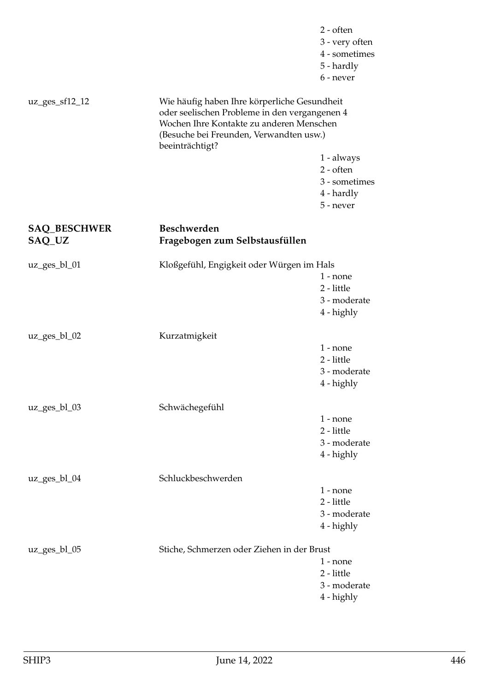|                               |                                                                                                                                                                                                         | $2 - often$<br>3 - very often<br>4 - sometimes<br>5 - hardly<br>6 - never    |
|-------------------------------|---------------------------------------------------------------------------------------------------------------------------------------------------------------------------------------------------------|------------------------------------------------------------------------------|
| $uz\_ges\_sf12\_12$           | Wie häufig haben Ihre körperliche Gesundheit<br>oder seelischen Probleme in den vergangenen 4<br>Wochen Ihre Kontakte zu anderen Menschen<br>(Besuche bei Freunden, Verwandten usw.)<br>beeinträchtigt? |                                                                              |
|                               |                                                                                                                                                                                                         | 1 - always<br>$2 - \text{often}$<br>3 - sometimes<br>4 - hardly<br>5 - never |
| <b>SAQ_BESCHWER</b><br>SAQ_UZ | <b>Beschwerden</b><br>Fragebogen zum Selbstausfüllen                                                                                                                                                    |                                                                              |
| $uz\_ges_bl_01$               | Kloßgefühl, Engigkeit oder Würgen im Hals                                                                                                                                                               | $1$ - none<br>2 - little<br>3 - moderate<br>4 - highly                       |
| $uz\_ges_bl_02$               | Kurzatmigkeit                                                                                                                                                                                           | $1$ - none<br>2 - little<br>3 - moderate<br>4 - highly                       |
| $uz\_ges_bl_03$               | Schwächegefühl                                                                                                                                                                                          | $1$ - none<br>2 - little<br>3 - moderate<br>4 - highly                       |
| uz_ges_bl_04                  | Schluckbeschwerden                                                                                                                                                                                      | $1$ - none<br>2 - little<br>3 - moderate<br>4 - highly                       |
| $uz\_ges_bl_05$               | Stiche, Schmerzen oder Ziehen in der Brust                                                                                                                                                              | $1 - none$<br>2 - little<br>3 - moderate<br>4 - highly                       |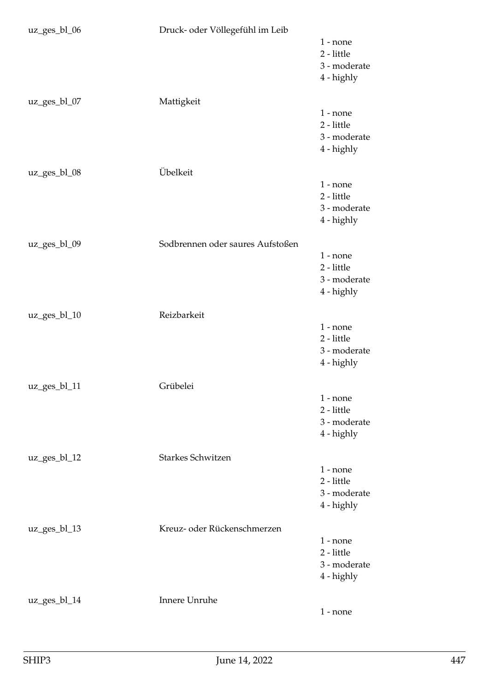| uz_ges_bl_06 | Druck- oder Völlegefühl im Leib  | $1$ - none<br>2 - little<br>3 - moderate<br>4 - highly |
|--------------|----------------------------------|--------------------------------------------------------|
| uz_ges_bl_07 | Mattigkeit                       | $1$ - none<br>2 - little<br>3 - moderate<br>4 - highly |
| uz_ges_bl_08 | Übelkeit                         | $1 - none$<br>2 - little<br>3 - moderate<br>4 - highly |
| uz_ges_bl_09 | Sodbrennen oder saures Aufstoßen | $1$ - none<br>2 - little<br>3 - moderate<br>4 - highly |
| uz_ges_bl_10 | Reizbarkeit                      | $1 - none$<br>2 - little<br>3 - moderate<br>4 - highly |
| uz_ges_bl_11 | Grübelei                         | $1 - none$<br>2 - little<br>3 - moderate<br>4 - highly |
| uz_ges_bl_12 | Starkes Schwitzen                | $1 - none$<br>2 - little<br>3 - moderate<br>4 - highly |
| uz_ges_bl_13 | Kreuz- oder Rückenschmerzen      | $1$ - none<br>2 - little<br>3 - moderate<br>4 - highly |
| uz_ges_bl_14 | Innere Unruhe                    | $1 - none$                                             |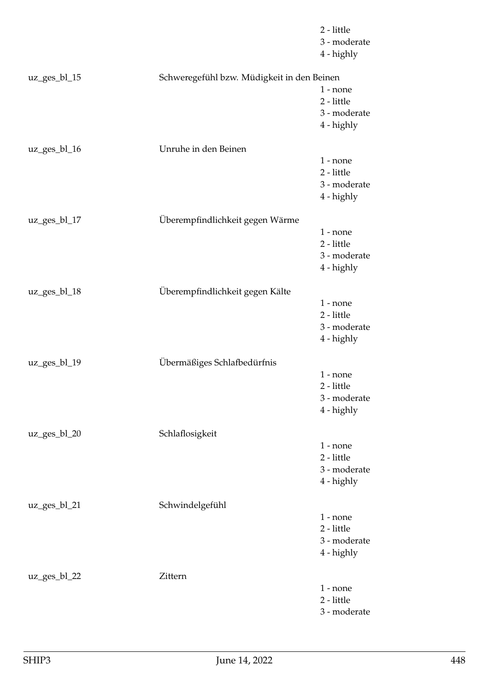|                 |                                            | 2 - little<br>3 - moderate<br>4 - highly               |
|-----------------|--------------------------------------------|--------------------------------------------------------|
| $uz\_ges_bl_15$ | Schweregefühl bzw. Müdigkeit in den Beinen | $1$ - none<br>2 - little<br>3 - moderate<br>4 - highly |
| uz_ges_bl_16    | Unruhe in den Beinen                       | $1$ - none<br>2 - little<br>3 - moderate<br>4 - highly |
| uz_ges_bl_17    | Überempfindlichkeit gegen Wärme            | $1$ - none<br>2 - little<br>3 - moderate<br>4 - highly |
| uz_ges_bl_18    | Überempfindlichkeit gegen Kälte            | $1$ - none<br>2 - little<br>3 - moderate<br>4 - highly |
| uz_ges_bl_19    | Übermäßiges Schlafbedürfnis                | $1 - none$<br>2 - little<br>3 - moderate<br>4 - highly |
| uz_ges_bl_20    | Schlaflosigkeit                            | $1$ - none<br>2 - little<br>3 - moderate<br>4 - highly |
| uz_ges_bl_21    | Schwindelgefühl                            | $1$ - none<br>2 - little<br>3 - moderate<br>4 - highly |
| $uz\_ges_b1_22$ | Zittern                                    | $1$ - none<br>2 - little<br>3 - moderate               |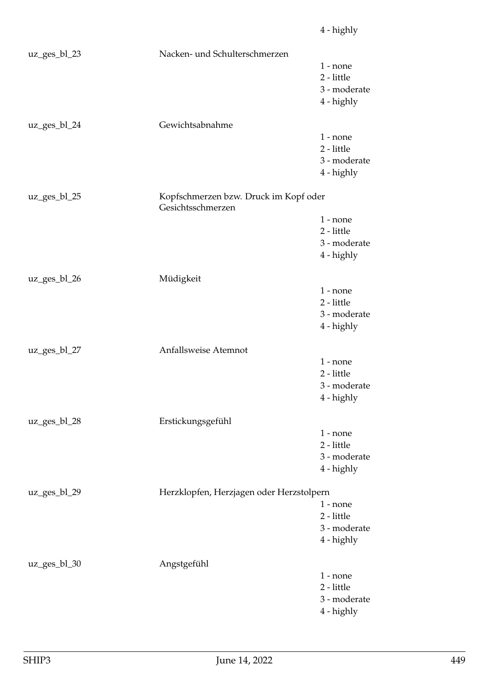|              |                                                            | 4 - highly   |
|--------------|------------------------------------------------------------|--------------|
| uz_ges_bl_23 | Nacken- und Schulterschmerzen                              |              |
|              |                                                            | $1$ - none   |
|              |                                                            | 2 - little   |
|              |                                                            | 3 - moderate |
|              |                                                            | 4 - highly   |
| uz_ges_bl_24 | Gewichtsabnahme                                            |              |
|              |                                                            | $1$ - none   |
|              |                                                            | 2 - little   |
|              |                                                            | 3 - moderate |
|              |                                                            | 4 - highly   |
| uz_ges_bl_25 | Kopfschmerzen bzw. Druck im Kopf oder<br>Gesichtsschmerzen |              |
|              |                                                            | $1$ - none   |
|              |                                                            | 2 - little   |
|              |                                                            | 3 - moderate |
|              |                                                            | 4 - highly   |
| uz_ges_bl_26 | Müdigkeit                                                  |              |
|              |                                                            | $1$ - none   |
|              |                                                            | 2 - little   |
|              |                                                            | 3 - moderate |
|              |                                                            | 4 - highly   |
| uz_ges_bl_27 | Anfallsweise Atemnot                                       |              |
|              |                                                            | $1$ - none   |
|              |                                                            | 2 - little   |
|              |                                                            | 3 - moderate |
|              |                                                            | 4 - highly   |
| uz_ges_bl_28 | Erstickungsgefühl                                          |              |
|              |                                                            | $1 - none$   |
|              |                                                            | 2 - little   |
|              |                                                            | 3 - moderate |
|              |                                                            | 4 - highly   |
| uz_ges_bl_29 | Herzklopfen, Herzjagen oder Herzstolpern                   |              |
|              |                                                            | $1$ - none   |
|              |                                                            | 2 - little   |
|              |                                                            | 3 - moderate |
|              |                                                            | 4 - highly   |
| uz_ges_bl_30 | Angstgefühl                                                |              |
|              |                                                            | $1$ - none   |
|              |                                                            | 2 - little   |
|              |                                                            | 3 - moderate |
|              |                                                            | 4 - highly   |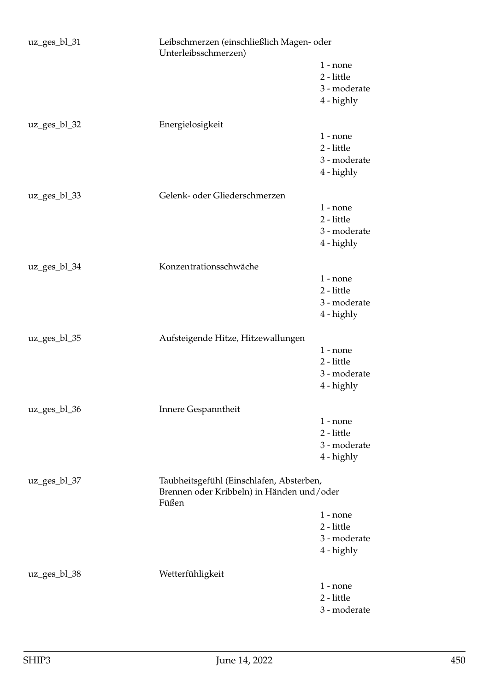| uz_ges_bl_31    | Leibschmerzen (einschließlich Magen- oder<br>Unterleibsschmerzen)                     |                            |
|-----------------|---------------------------------------------------------------------------------------|----------------------------|
|                 |                                                                                       | $1$ - none                 |
|                 |                                                                                       | 2 - little                 |
|                 |                                                                                       | 3 - moderate               |
|                 |                                                                                       | 4 - highly                 |
| $uz\_ges_b1_32$ | Energielosigkeit                                                                      |                            |
|                 |                                                                                       | $1$ - none                 |
|                 |                                                                                       | 2 - little<br>3 - moderate |
|                 |                                                                                       | 4 - highly                 |
|                 |                                                                                       |                            |
| uz_ges_bl_33    | Gelenk- oder Gliederschmerzen                                                         |                            |
|                 |                                                                                       | $1$ - none<br>2 - little   |
|                 |                                                                                       | 3 - moderate               |
|                 |                                                                                       | 4 - highly                 |
|                 |                                                                                       |                            |
| $uz\_ges_bl_34$ | Konzentrationsschwäche                                                                |                            |
|                 |                                                                                       | $1$ - none<br>2 - little   |
|                 |                                                                                       | 3 - moderate               |
|                 |                                                                                       | 4 - highly                 |
|                 |                                                                                       |                            |
| uz_ges_bl_35    | Aufsteigende Hitze, Hitzewallungen                                                    | $1$ - none                 |
|                 |                                                                                       | 2 - little                 |
|                 |                                                                                       | 3 - moderate               |
|                 |                                                                                       | 4 - highly                 |
|                 |                                                                                       |                            |
| uz_ges_bl_36    | Innere Gespanntheit                                                                   | $1$ - none                 |
|                 |                                                                                       | 2 - little                 |
|                 |                                                                                       | 3 - moderate               |
|                 |                                                                                       | 4 - highly                 |
| uz_ges_bl_37    | Taubheitsgefühl (Einschlafen, Absterben,<br>Brennen oder Kribbeln) in Händen und/oder |                            |
|                 | Füßen                                                                                 |                            |
|                 |                                                                                       | $1$ - none                 |
|                 |                                                                                       | 2 - little                 |
|                 |                                                                                       | 3 - moderate               |
|                 |                                                                                       | 4 - highly                 |
| uz_ges_bl_38    | Wetterfühligkeit                                                                      |                            |
|                 |                                                                                       | $1$ - none                 |
|                 |                                                                                       | 2 - little                 |
|                 |                                                                                       | 3 - moderate               |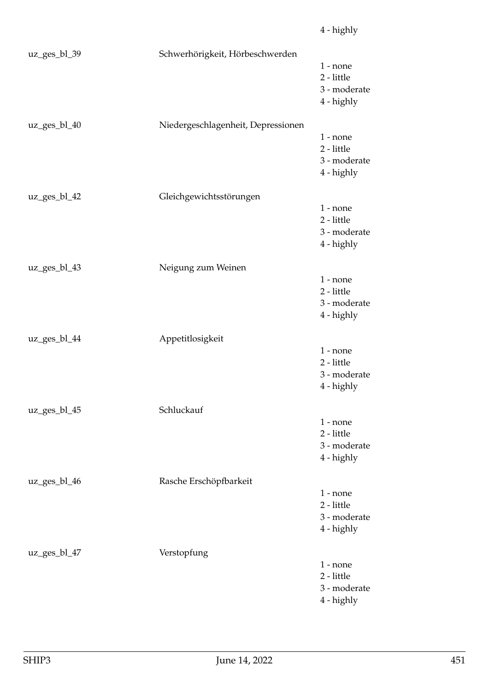uz\_ges\_bl\_39 Schwerhörigkeit, Hörbeschwerden 1 - none 2 - little 3 - moderate 4 - highly uz\_ges\_bl\_40 Niedergeschlagenheit, Depressionen 1 - none 2 - little 3 - moderate 4 - highly uz\_ges\_bl\_42 Gleichgewichtsstörungen 1 - none 2 - little 3 - moderate 4 - highly uz\_ges\_bl\_43 Neigung zum Weinen 1 - none 2 - little 3 - moderate 4 - highly uz\_ges\_bl\_44 Appetitlosigkeit 1 - none 2 - little 3 - moderate 4 - highly uz\_ges\_bl\_45 Schluckauf 1 - none 2 - little 3 - moderate 4 - highly uz\_ges\_bl\_46 Rasche Erschöpfbarkeit 1 - none 2 - little 3 - moderate 4 - highly uz\_ges\_bl\_47 Verstopfung 1 - none 2 - little

3 - moderate

4 - highly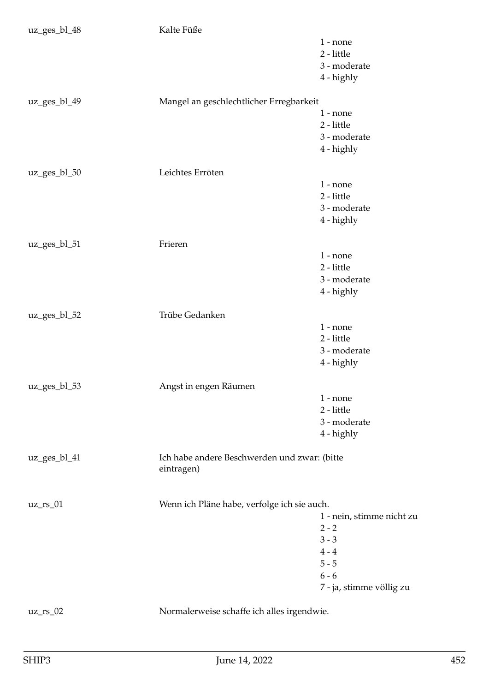| $1 - none$<br>2 - little<br>3 - moderate<br>4 - highly<br>Mangel an geschlechtlicher Erregbarkeit<br>uz_ges_bl_49<br>$1$ - none<br>2 - little<br>3 - moderate<br>4 - highly<br>Leichtes Erröten<br>uz_ges_bl_50<br>$1 - none$<br>$2$ - little $\,$<br>3 - moderate<br>4 - highly<br>Frieren<br>uz_ges_bl_51<br>$1 - none$<br>2 - little<br>3 - moderate<br>4 - highly<br>Trübe Gedanken<br>uz_ges_bl_52<br>$1 - none$<br>2 - little<br>3 - moderate<br>4 - highly<br>uz_ges_bl_53<br>Angst in engen Räumen<br>$1 - none$<br>2 - little<br>3 - moderate<br>4 - highly<br>Ich habe andere Beschwerden und zwar: (bitte<br>uz_ges_bl_41<br>eintragen)<br>Wenn ich Pläne habe, verfolge ich sie auch.<br>$uz_r s_01$<br>1 - nein, stimme nicht zu<br>$2 - 2$<br>$3 - 3$<br>$4 - 4$<br>$5 - 5$<br>$6 - 6$<br>Normalerweise schaffe ich alles irgendwie.<br>$uz_r s_02$ | uz_ges_bl_48 | Kalte Füße |                          |
|-------------------------------------------------------------------------------------------------------------------------------------------------------------------------------------------------------------------------------------------------------------------------------------------------------------------------------------------------------------------------------------------------------------------------------------------------------------------------------------------------------------------------------------------------------------------------------------------------------------------------------------------------------------------------------------------------------------------------------------------------------------------------------------------------------------------------------------------------------------------|--------------|------------|--------------------------|
|                                                                                                                                                                                                                                                                                                                                                                                                                                                                                                                                                                                                                                                                                                                                                                                                                                                                   |              |            |                          |
|                                                                                                                                                                                                                                                                                                                                                                                                                                                                                                                                                                                                                                                                                                                                                                                                                                                                   |              |            |                          |
|                                                                                                                                                                                                                                                                                                                                                                                                                                                                                                                                                                                                                                                                                                                                                                                                                                                                   |              |            |                          |
|                                                                                                                                                                                                                                                                                                                                                                                                                                                                                                                                                                                                                                                                                                                                                                                                                                                                   |              |            |                          |
|                                                                                                                                                                                                                                                                                                                                                                                                                                                                                                                                                                                                                                                                                                                                                                                                                                                                   |              |            |                          |
|                                                                                                                                                                                                                                                                                                                                                                                                                                                                                                                                                                                                                                                                                                                                                                                                                                                                   |              |            |                          |
|                                                                                                                                                                                                                                                                                                                                                                                                                                                                                                                                                                                                                                                                                                                                                                                                                                                                   |              |            |                          |
|                                                                                                                                                                                                                                                                                                                                                                                                                                                                                                                                                                                                                                                                                                                                                                                                                                                                   |              |            |                          |
|                                                                                                                                                                                                                                                                                                                                                                                                                                                                                                                                                                                                                                                                                                                                                                                                                                                                   |              |            |                          |
|                                                                                                                                                                                                                                                                                                                                                                                                                                                                                                                                                                                                                                                                                                                                                                                                                                                                   |              |            |                          |
|                                                                                                                                                                                                                                                                                                                                                                                                                                                                                                                                                                                                                                                                                                                                                                                                                                                                   |              |            |                          |
|                                                                                                                                                                                                                                                                                                                                                                                                                                                                                                                                                                                                                                                                                                                                                                                                                                                                   |              |            |                          |
|                                                                                                                                                                                                                                                                                                                                                                                                                                                                                                                                                                                                                                                                                                                                                                                                                                                                   |              |            |                          |
|                                                                                                                                                                                                                                                                                                                                                                                                                                                                                                                                                                                                                                                                                                                                                                                                                                                                   |              |            |                          |
|                                                                                                                                                                                                                                                                                                                                                                                                                                                                                                                                                                                                                                                                                                                                                                                                                                                                   |              |            |                          |
|                                                                                                                                                                                                                                                                                                                                                                                                                                                                                                                                                                                                                                                                                                                                                                                                                                                                   |              |            |                          |
|                                                                                                                                                                                                                                                                                                                                                                                                                                                                                                                                                                                                                                                                                                                                                                                                                                                                   |              |            |                          |
|                                                                                                                                                                                                                                                                                                                                                                                                                                                                                                                                                                                                                                                                                                                                                                                                                                                                   |              |            |                          |
|                                                                                                                                                                                                                                                                                                                                                                                                                                                                                                                                                                                                                                                                                                                                                                                                                                                                   |              |            |                          |
|                                                                                                                                                                                                                                                                                                                                                                                                                                                                                                                                                                                                                                                                                                                                                                                                                                                                   |              |            |                          |
|                                                                                                                                                                                                                                                                                                                                                                                                                                                                                                                                                                                                                                                                                                                                                                                                                                                                   |              |            |                          |
|                                                                                                                                                                                                                                                                                                                                                                                                                                                                                                                                                                                                                                                                                                                                                                                                                                                                   |              |            |                          |
|                                                                                                                                                                                                                                                                                                                                                                                                                                                                                                                                                                                                                                                                                                                                                                                                                                                                   |              |            |                          |
|                                                                                                                                                                                                                                                                                                                                                                                                                                                                                                                                                                                                                                                                                                                                                                                                                                                                   |              |            |                          |
|                                                                                                                                                                                                                                                                                                                                                                                                                                                                                                                                                                                                                                                                                                                                                                                                                                                                   |              |            |                          |
|                                                                                                                                                                                                                                                                                                                                                                                                                                                                                                                                                                                                                                                                                                                                                                                                                                                                   |              |            |                          |
|                                                                                                                                                                                                                                                                                                                                                                                                                                                                                                                                                                                                                                                                                                                                                                                                                                                                   |              |            |                          |
|                                                                                                                                                                                                                                                                                                                                                                                                                                                                                                                                                                                                                                                                                                                                                                                                                                                                   |              |            |                          |
|                                                                                                                                                                                                                                                                                                                                                                                                                                                                                                                                                                                                                                                                                                                                                                                                                                                                   |              |            |                          |
|                                                                                                                                                                                                                                                                                                                                                                                                                                                                                                                                                                                                                                                                                                                                                                                                                                                                   |              |            |                          |
|                                                                                                                                                                                                                                                                                                                                                                                                                                                                                                                                                                                                                                                                                                                                                                                                                                                                   |              |            |                          |
|                                                                                                                                                                                                                                                                                                                                                                                                                                                                                                                                                                                                                                                                                                                                                                                                                                                                   |              |            |                          |
|                                                                                                                                                                                                                                                                                                                                                                                                                                                                                                                                                                                                                                                                                                                                                                                                                                                                   |              |            |                          |
|                                                                                                                                                                                                                                                                                                                                                                                                                                                                                                                                                                                                                                                                                                                                                                                                                                                                   |              |            |                          |
|                                                                                                                                                                                                                                                                                                                                                                                                                                                                                                                                                                                                                                                                                                                                                                                                                                                                   |              |            |                          |
|                                                                                                                                                                                                                                                                                                                                                                                                                                                                                                                                                                                                                                                                                                                                                                                                                                                                   |              |            |                          |
|                                                                                                                                                                                                                                                                                                                                                                                                                                                                                                                                                                                                                                                                                                                                                                                                                                                                   |              |            |                          |
|                                                                                                                                                                                                                                                                                                                                                                                                                                                                                                                                                                                                                                                                                                                                                                                                                                                                   |              |            |                          |
|                                                                                                                                                                                                                                                                                                                                                                                                                                                                                                                                                                                                                                                                                                                                                                                                                                                                   |              |            |                          |
|                                                                                                                                                                                                                                                                                                                                                                                                                                                                                                                                                                                                                                                                                                                                                                                                                                                                   |              |            |                          |
|                                                                                                                                                                                                                                                                                                                                                                                                                                                                                                                                                                                                                                                                                                                                                                                                                                                                   |              |            |                          |
|                                                                                                                                                                                                                                                                                                                                                                                                                                                                                                                                                                                                                                                                                                                                                                                                                                                                   |              |            |                          |
|                                                                                                                                                                                                                                                                                                                                                                                                                                                                                                                                                                                                                                                                                                                                                                                                                                                                   |              |            | 7 - ja, stimme völlig zu |
|                                                                                                                                                                                                                                                                                                                                                                                                                                                                                                                                                                                                                                                                                                                                                                                                                                                                   |              |            |                          |
|                                                                                                                                                                                                                                                                                                                                                                                                                                                                                                                                                                                                                                                                                                                                                                                                                                                                   |              |            |                          |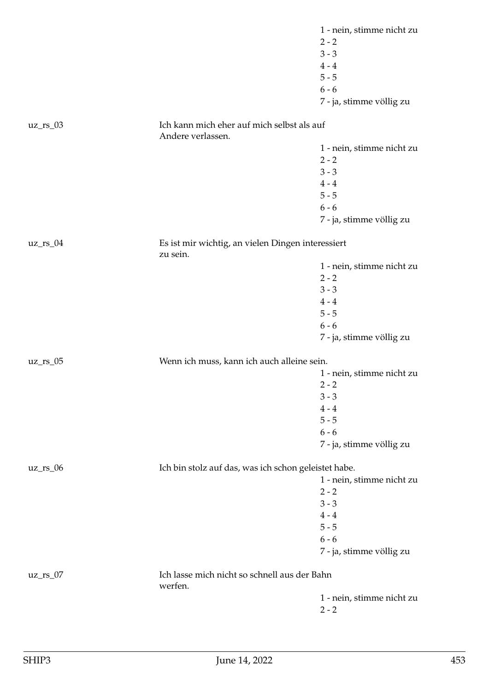|             |                                                                 | 1 - nein, stimme nicht zu            |
|-------------|-----------------------------------------------------------------|--------------------------------------|
|             |                                                                 | $2 - 2$                              |
|             |                                                                 | $3 - 3$                              |
|             |                                                                 | $4 - 4$                              |
|             |                                                                 | $5 - 5$                              |
|             |                                                                 | $6 - 6$                              |
|             |                                                                 | 7 - ja, stimme völlig zu             |
| $uz_r s_03$ | Ich kann mich eher auf mich selbst als auf<br>Andere verlassen. |                                      |
|             |                                                                 | 1 - nein, stimme nicht zu            |
|             |                                                                 | $2 - 2$                              |
|             |                                                                 | $3 - 3$                              |
|             |                                                                 | $4 - 4$                              |
|             |                                                                 | $5 - 5$                              |
|             |                                                                 | $6 - 6$                              |
|             |                                                                 | 7 - ja, stimme völlig zu             |
|             |                                                                 |                                      |
| $uz_r s_04$ | Es ist mir wichtig, an vielen Dingen interessiert<br>zu sein.   |                                      |
|             |                                                                 | 1 - nein, stimme nicht zu            |
|             |                                                                 | $2 - 2$                              |
|             |                                                                 | $3 - 3$                              |
|             |                                                                 | $4 - 4$                              |
|             |                                                                 | $5 - 5$                              |
|             |                                                                 | $6 - 6$                              |
|             |                                                                 | 7 - ja, stimme völlig zu             |
| $uz_r s_05$ | Wenn ich muss, kann ich auch alleine sein.                      |                                      |
|             |                                                                 | 1 - nein, stimme nicht zu            |
|             |                                                                 | $2 - 2$                              |
|             |                                                                 | $3 - 3$                              |
|             |                                                                 | $4 - 4$                              |
|             |                                                                 | $5 - 5$                              |
|             |                                                                 | $6 - 6$                              |
|             |                                                                 | 7 - ja, stimme völlig zu             |
| $uz_r s_06$ |                                                                 |                                      |
|             | Ich bin stolz auf das, was ich schon geleistet habe.            |                                      |
|             |                                                                 | 1 - nein, stimme nicht zu<br>$2 - 2$ |
|             |                                                                 | $3 - 3$                              |
|             |                                                                 |                                      |
|             |                                                                 | $4 - 4$                              |
|             |                                                                 | $5 - 5$                              |
|             |                                                                 | $6 - 6$                              |
|             |                                                                 | 7 - ja, stimme völlig zu             |
| $uz_r s_07$ | Ich lasse mich nicht so schnell aus der Bahn                    |                                      |
|             | werfen.                                                         |                                      |
|             |                                                                 | 1 - nein, stimme nicht zu            |
|             |                                                                 | $2 - 2$                              |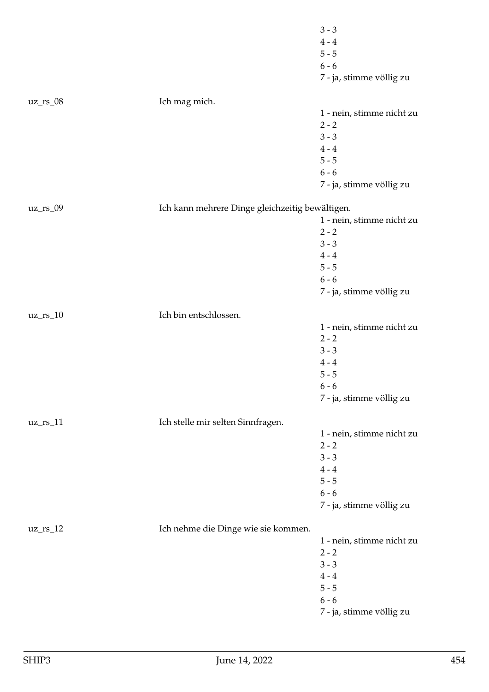|                     |                                                 | $3 - 3$                   |
|---------------------|-------------------------------------------------|---------------------------|
|                     |                                                 | $4 - 4$                   |
|                     |                                                 | $5 - 5$                   |
|                     |                                                 | $6 - 6$                   |
|                     |                                                 | 7 - ja, stimme völlig zu  |
| $uz_r s_08$         | Ich mag mich.                                   |                           |
|                     |                                                 | 1 - nein, stimme nicht zu |
|                     |                                                 | $2 - 2$                   |
|                     |                                                 | $3 - 3$                   |
|                     |                                                 | $4 - 4$                   |
|                     |                                                 | $5 - 5$                   |
|                     |                                                 | $6 - 6$                   |
|                     |                                                 | 7 - ja, stimme völlig zu  |
|                     |                                                 |                           |
| $\text{uz\_rs\_09}$ | Ich kann mehrere Dinge gleichzeitig bewältigen. |                           |
|                     |                                                 | 1 - nein, stimme nicht zu |
|                     |                                                 | $2 - 2$                   |
|                     |                                                 | $3 - 3$                   |
|                     |                                                 | $4 - 4$                   |
|                     |                                                 | $5 - 5$                   |
|                     |                                                 | $6 - 6$                   |
|                     |                                                 | 7 - ja, stimme völlig zu  |
| $uz_r s_10$         | Ich bin entschlossen.                           |                           |
|                     |                                                 | 1 - nein, stimme nicht zu |
|                     |                                                 | $2 - 2$                   |
|                     |                                                 | $3 - 3$                   |
|                     |                                                 | $4 - 4$                   |
|                     |                                                 | $5 - 5$                   |
|                     |                                                 | $6 - 6$                   |
|                     |                                                 | 7 - ja, stimme völlig zu  |
| $uz_r s_11$         | Ich stelle mir selten Sinnfragen.               |                           |
|                     |                                                 | 1 - nein, stimme nicht zu |
|                     |                                                 | $2 - 2$                   |
|                     |                                                 | $3 - 3$                   |
|                     |                                                 | $4 - 4$                   |
|                     |                                                 | $5 - 5$                   |
|                     |                                                 | $6 - 6$                   |
|                     |                                                 | 7 - ja, stimme völlig zu  |
|                     |                                                 |                           |
| $uz_r s_12$         | Ich nehme die Dinge wie sie kommen.             |                           |
|                     |                                                 | 1 - nein, stimme nicht zu |
|                     |                                                 | $2 - 2$                   |
|                     |                                                 | $3 - 3$                   |
|                     |                                                 | $4 - 4$                   |
|                     |                                                 | $5 - 5$                   |
|                     |                                                 | $6 - 6$                   |
|                     |                                                 | 7 - ja, stimme völlig zu  |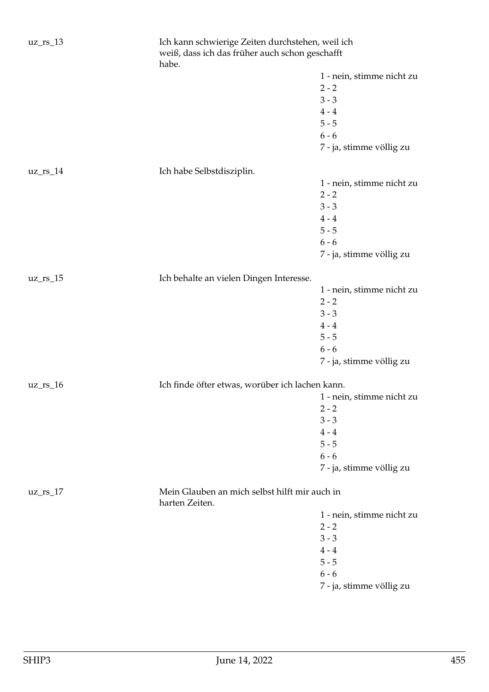| $uz_r s_13$  | Ich kann schwierige Zeiten durchstehen, weil ich<br>weiß, dass ich das früher auch schon geschafft<br>habe. |                           |
|--------------|-------------------------------------------------------------------------------------------------------------|---------------------------|
|              |                                                                                                             | 1 - nein, stimme nicht zu |
|              |                                                                                                             | $2 - 2$                   |
|              |                                                                                                             | $3 - 3$                   |
|              |                                                                                                             |                           |
|              |                                                                                                             | $4 - 4$                   |
|              |                                                                                                             | $5 - 5$                   |
|              |                                                                                                             | $6 - 6$                   |
|              |                                                                                                             | 7 - ja, stimme völlig zu  |
| $uz_{rs_14}$ | Ich habe Selbstdisziplin.                                                                                   |                           |
|              |                                                                                                             | 1 - nein, stimme nicht zu |
|              |                                                                                                             | $2 - 2$                   |
|              |                                                                                                             | $3 - 3$                   |
|              |                                                                                                             | $4 - 4$                   |
|              |                                                                                                             | $5 - 5$                   |
|              |                                                                                                             | $6 - 6$                   |
|              |                                                                                                             | 7 - ja, stimme völlig zu  |
| $uz_r s_15$  | Ich behalte an vielen Dingen Interesse.                                                                     |                           |
|              |                                                                                                             | 1 - nein, stimme nicht zu |
|              |                                                                                                             | $2 - 2$                   |
|              |                                                                                                             | $3 - 3$                   |
|              |                                                                                                             | $4 - 4$                   |
|              |                                                                                                             | $5 - 5$                   |
|              |                                                                                                             | $6 - 6$                   |
|              |                                                                                                             |                           |
|              |                                                                                                             | 7 - ja, stimme völlig zu  |
| $uz_r s_16$  | Ich finde öfter etwas, worüber ich lachen kann.                                                             |                           |
|              |                                                                                                             | 1 - nein, stimme nicht zu |
|              |                                                                                                             | $2 - 2$                   |
|              |                                                                                                             | $3 - 3$                   |
|              |                                                                                                             | $4 - 4$                   |
|              |                                                                                                             | $5 - 5$                   |
|              |                                                                                                             | $6 - 6$                   |
|              |                                                                                                             | 7 - ja, stimme völlig zu  |
| $uz_{rs_1}$  | Mein Glauben an mich selbst hilft mir auch in<br>harten Zeiten.                                             |                           |
|              |                                                                                                             | 1 - nein, stimme nicht zu |
|              |                                                                                                             | $2 - 2$                   |
|              |                                                                                                             | $3 - 3$                   |
|              |                                                                                                             | $4 - 4$                   |
|              |                                                                                                             | $5 - 5$                   |
|              |                                                                                                             | $6 - 6$                   |
|              |                                                                                                             |                           |
|              |                                                                                                             | 7 - ja, stimme völlig zu  |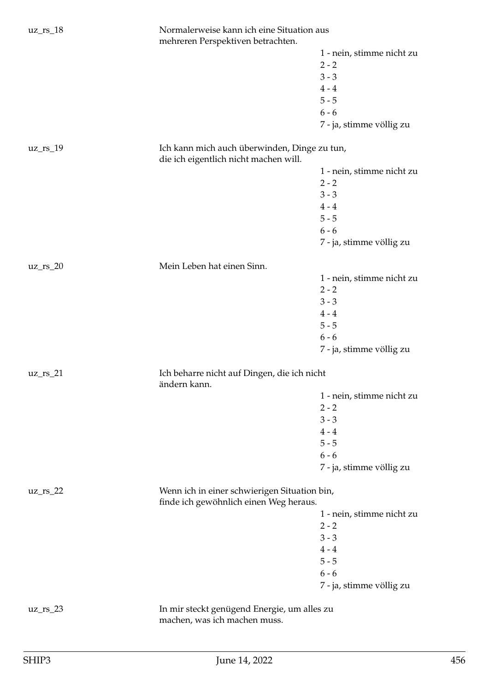| $uz_r s_18$  | Normalerweise kann ich eine Situation aus<br>mehreren Perspektiven betrachten.         |                           |
|--------------|----------------------------------------------------------------------------------------|---------------------------|
|              |                                                                                        | 1 - nein, stimme nicht zu |
|              |                                                                                        | $2 - 2$                   |
|              |                                                                                        | $3 - 3$                   |
|              |                                                                                        | $4 - 4$                   |
|              |                                                                                        | $5 - 5$                   |
|              |                                                                                        | $6 - 6$                   |
|              |                                                                                        | 7 - ja, stimme völlig zu  |
| $uz_{rs_19}$ | Ich kann mich auch überwinden, Dinge zu tun,<br>die ich eigentlich nicht machen will.  |                           |
|              |                                                                                        | 1 - nein, stimme nicht zu |
|              |                                                                                        | $2 - 2$                   |
|              |                                                                                        | $3 - 3$                   |
|              |                                                                                        | $4 - 4$                   |
|              |                                                                                        | $5 - 5$                   |
|              |                                                                                        | $6 - 6$                   |
|              |                                                                                        | 7 - ja, stimme völlig zu  |
|              |                                                                                        |                           |
| $uz_r s_20$  | Mein Leben hat einen Sinn.                                                             |                           |
|              |                                                                                        | 1 - nein, stimme nicht zu |
|              |                                                                                        | $2 - 2$                   |
|              |                                                                                        | $3 - 3$                   |
|              |                                                                                        | $4 - 4$                   |
|              |                                                                                        | $5 - 5$                   |
|              |                                                                                        | $6 - 6$                   |
|              |                                                                                        | 7 - ja, stimme völlig zu  |
| $uz_{rs_21}$ | Ich beharre nicht auf Dingen, die ich nicht<br>ändern kann.                            |                           |
|              |                                                                                        | 1 - nein, stimme nicht zu |
|              |                                                                                        | $2 - 2$                   |
|              |                                                                                        | $3 - 3$                   |
|              |                                                                                        | $4 - 4$                   |
|              |                                                                                        | $5 - 5$                   |
|              |                                                                                        | $6 - 6$                   |
|              |                                                                                        | 7 - ja, stimme völlig zu  |
| $uz_{rs_22}$ | Wenn ich in einer schwierigen Situation bin,<br>finde ich gewöhnlich einen Weg heraus. |                           |
|              |                                                                                        | 1 - nein, stimme nicht zu |
|              |                                                                                        | $2 - 2$                   |
|              |                                                                                        | $3 - 3$                   |
|              |                                                                                        | $4\,\text{-}\,4$          |
|              |                                                                                        | $5 - 5$                   |
|              |                                                                                        | $6 - 6$                   |
|              |                                                                                        | 7 - ja, stimme völlig zu  |
|              |                                                                                        |                           |
| $uz_{rs_2}$  | In mir steckt genügend Energie, um alles zu<br>machen, was ich machen muss.            |                           |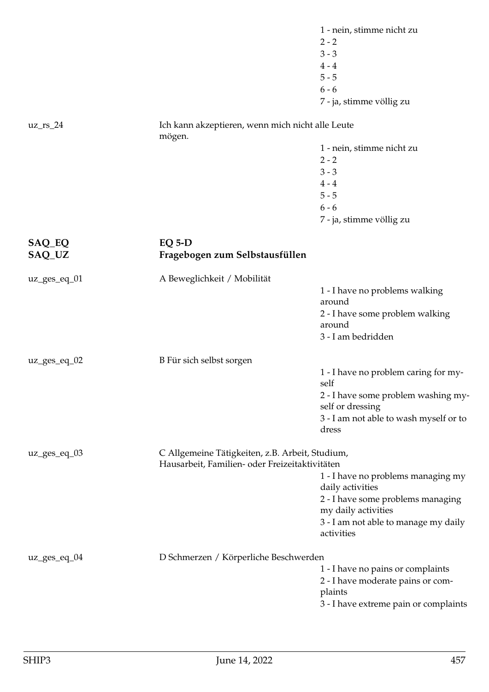|                  |                                                            | 1 - nein, stimme nicht zu                               |
|------------------|------------------------------------------------------------|---------------------------------------------------------|
|                  |                                                            | $2 - 2$                                                 |
|                  |                                                            | $3 - 3$                                                 |
|                  |                                                            | $4 - 4$                                                 |
|                  |                                                            | $5 - 5$                                                 |
|                  |                                                            | $6 - 6$                                                 |
|                  |                                                            | 7 - ja, stimme völlig zu                                |
| $uz_r s_24$      | Ich kann akzeptieren, wenn mich nicht alle Leute<br>mögen. |                                                         |
|                  |                                                            | 1 - nein, stimme nicht zu                               |
|                  |                                                            | $2 - 2$                                                 |
|                  |                                                            | $3 - 3$                                                 |
|                  |                                                            | $4 - 4$                                                 |
|                  |                                                            | $5 - 5$                                                 |
|                  |                                                            | $6 - 6$                                                 |
|                  |                                                            | 7 - ja, stimme völlig zu                                |
|                  |                                                            |                                                         |
| SAQ_EQ<br>SAQ_UZ | $EQ 5-D$<br>Fragebogen zum Selbstausfüllen                 |                                                         |
| $uz\_ges\_eq_01$ | A Beweglichkeit / Mobilität                                |                                                         |
|                  |                                                            | 1 - I have no problems walking                          |
|                  |                                                            | around                                                  |
|                  |                                                            | 2 - I have some problem walking                         |
|                  |                                                            | around                                                  |
|                  |                                                            | 3 - I am bedridden                                      |
| $uz\_ges\_eq_02$ | B Für sich selbst sorgen                                   |                                                         |
|                  |                                                            | 1 - I have no problem caring for my-                    |
|                  |                                                            | self                                                    |
|                  |                                                            | 2 - I have some problem washing my-<br>self or dressing |
|                  |                                                            | 3 - I am not able to wash myself or to<br>dress         |
| uz_ges_eq_03     | C Allgemeine Tätigkeiten, z.B. Arbeit, Studium,            |                                                         |
|                  | Hausarbeit, Familien- oder Freizeitaktivitäten             |                                                         |
|                  |                                                            | 1 - I have no problems managing my<br>daily activities  |
|                  |                                                            | 2 - I have some problems managing                       |
|                  |                                                            | my daily activities                                     |
|                  |                                                            | 3 - I am not able to manage my daily<br>activities      |
|                  |                                                            |                                                         |
| uz_ges_eq_04     | D Schmerzen / Körperliche Beschwerden                      |                                                         |
|                  |                                                            | 1 - I have no pains or complaints                       |
|                  |                                                            | 2 - I have moderate pains or com-<br>plaints            |
|                  |                                                            | 3 - I have extreme pain or complaints                   |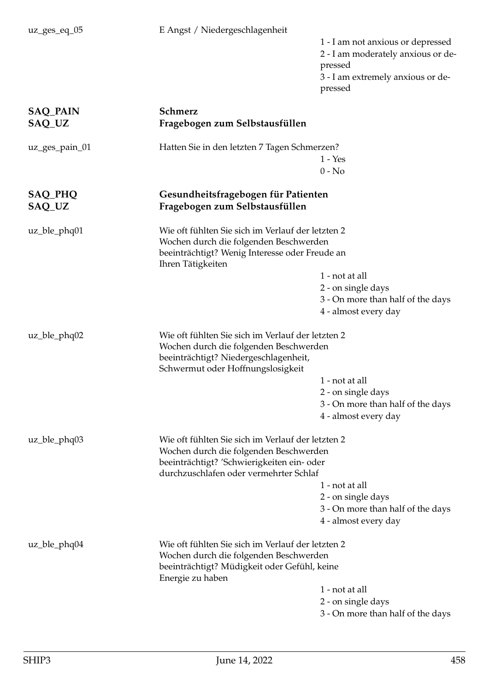| $uz\_ges\_eq_05$ | E Angst / Niedergeschlagenheit                                             | 1 - I am not anxious or depressed                         |
|------------------|----------------------------------------------------------------------------|-----------------------------------------------------------|
|                  |                                                                            | 2 - I am moderately anxious or de-                        |
|                  |                                                                            | pressed                                                   |
|                  |                                                                            | 3 - I am extremely anxious or de-                         |
|                  |                                                                            | pressed                                                   |
| <b>SAQ_PAIN</b>  | Schmerz                                                                    |                                                           |
| SAQ_UZ           | Fragebogen zum Selbstausfüllen                                             |                                                           |
| uz_ges_pain_01   | Hatten Sie in den letzten 7 Tagen Schmerzen?                               |                                                           |
|                  |                                                                            | $1 - Yes$                                                 |
|                  |                                                                            | $0 - No$                                                  |
| <b>SAQ_PHQ</b>   | Gesundheitsfragebogen für Patienten                                        |                                                           |
| SAQ_UZ           | Fragebogen zum Selbstausfüllen                                             |                                                           |
| $uz_ble_p hq01$  | Wie oft fühlten Sie sich im Verlauf der letzten 2                          |                                                           |
|                  | Wochen durch die folgenden Beschwerden                                     |                                                           |
|                  | beeinträchtigt? Wenig Interesse oder Freude an                             |                                                           |
|                  | Ihren Tätigkeiten                                                          |                                                           |
|                  |                                                                            | 1 - not at all                                            |
|                  |                                                                            | 2 - on single days<br>3 - On more than half of the days   |
|                  |                                                                            | 4 - almost every day                                      |
|                  |                                                                            |                                                           |
| uz_ble_phq02     | Wie oft fühlten Sie sich im Verlauf der letzten 2                          |                                                           |
|                  | Wochen durch die folgenden Beschwerden                                     |                                                           |
|                  | beeinträchtigt? Niedergeschlagenheit,<br>Schwermut oder Hoffnungslosigkeit |                                                           |
|                  |                                                                            | 1 - not at all                                            |
|                  |                                                                            | 2 - on single days                                        |
|                  |                                                                            | 3 - On more than half of the days                         |
|                  |                                                                            | 4 - almost every day                                      |
|                  |                                                                            |                                                           |
| $uz_ble_p hq03$  | Wie oft fühlten Sie sich im Verlauf der letzten 2                          |                                                           |
|                  | Wochen durch die folgenden Beschwerden                                     |                                                           |
|                  | beeinträchtigt? 'Schwierigkeiten ein- oder                                 |                                                           |
|                  | durchzuschlafen oder vermehrter Schlaf                                     |                                                           |
|                  |                                                                            | 1 - not at all                                            |
|                  |                                                                            | 2 - on single days                                        |
|                  |                                                                            | 3 - On more than half of the days<br>4 - almost every day |
|                  | Wie oft fühlten Sie sich im Verlauf der letzten 2                          |                                                           |
| uz_ble_phq04     | Wochen durch die folgenden Beschwerden                                     |                                                           |
|                  | beeinträchtigt? Müdigkeit oder Gefühl, keine                               |                                                           |
|                  | Energie zu haben                                                           | 1 - not at all                                            |
|                  |                                                                            | 2 - on single days                                        |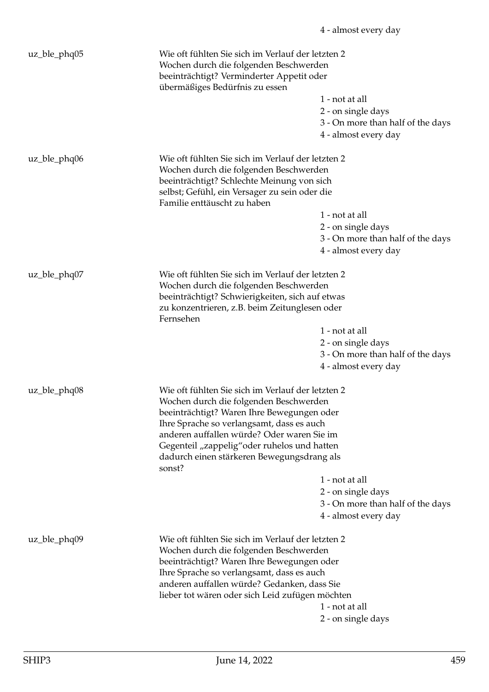| uz_ble_phq05    | Wie oft fühlten Sie sich im Verlauf der letzten 2<br>Wochen durch die folgenden Beschwerden<br>beeinträchtigt? Verminderter Appetit oder<br>übermäßiges Bedürfnis zu essen                                                            | 1 - not at all                                                                  |
|-----------------|---------------------------------------------------------------------------------------------------------------------------------------------------------------------------------------------------------------------------------------|---------------------------------------------------------------------------------|
|                 |                                                                                                                                                                                                                                       | 2 - on single days<br>3 - On more than half of the days<br>4 - almost every day |
| uz_ble_phq06    | Wie oft fühlten Sie sich im Verlauf der letzten 2<br>Wochen durch die folgenden Beschwerden<br>beeinträchtigt? Schlechte Meinung von sich<br>selbst; Gefühl, ein Versager zu sein oder die<br>Familie enttäuscht zu haben             |                                                                                 |
|                 |                                                                                                                                                                                                                                       | 1 - not at all                                                                  |
|                 |                                                                                                                                                                                                                                       | 2 - on single days                                                              |
|                 |                                                                                                                                                                                                                                       | 3 - On more than half of the days                                               |
|                 |                                                                                                                                                                                                                                       | 4 - almost every day                                                            |
| uz_ble_phq07    | Wie oft fühlten Sie sich im Verlauf der letzten 2<br>Wochen durch die folgenden Beschwerden<br>beeinträchtigt? Schwierigkeiten, sich auf etwas                                                                                        |                                                                                 |
|                 | zu konzentrieren, z.B. beim Zeitunglesen oder<br>Fernsehen                                                                                                                                                                            |                                                                                 |
|                 |                                                                                                                                                                                                                                       | 1 - not at all                                                                  |
|                 |                                                                                                                                                                                                                                       | 2 - on single days                                                              |
|                 |                                                                                                                                                                                                                                       | 3 - On more than half of the days                                               |
|                 |                                                                                                                                                                                                                                       | 4 - almost every day                                                            |
| $uz_ble_p hq08$ | Wie oft fühlten Sie sich im Verlauf der letzten 2                                                                                                                                                                                     |                                                                                 |
|                 | Wochen durch die folgenden Beschwerden                                                                                                                                                                                                |                                                                                 |
|                 | beeinträchtigt? Waren Ihre Bewegungen oder                                                                                                                                                                                            |                                                                                 |
|                 | Ihre Sprache so verlangsamt, dass es auch<br>anderen auffallen würde? Oder waren Sie im                                                                                                                                               |                                                                                 |
|                 | Gegenteil "zappelig" oder ruhelos und hatten                                                                                                                                                                                          |                                                                                 |
|                 | dadurch einen stärkeren Bewegungsdrang als<br>sonst?                                                                                                                                                                                  |                                                                                 |
|                 |                                                                                                                                                                                                                                       | 1 - not at all                                                                  |
|                 |                                                                                                                                                                                                                                       | 2 - on single days                                                              |
|                 |                                                                                                                                                                                                                                       | 3 - On more than half of the days                                               |
|                 |                                                                                                                                                                                                                                       | 4 - almost every day                                                            |
| uz_ble_phq09    | Wie oft fühlten Sie sich im Verlauf der letzten 2<br>Wochen durch die folgenden Beschwerden<br>beeinträchtigt? Waren Ihre Bewegungen oder<br>Ihre Sprache so verlangsamt, dass es auch<br>anderen auffallen würde? Gedanken, dass Sie |                                                                                 |
|                 | lieber tot wären oder sich Leid zufügen möchten                                                                                                                                                                                       |                                                                                 |
|                 |                                                                                                                                                                                                                                       | 1 - not at all                                                                  |
|                 |                                                                                                                                                                                                                                       | 2 - on single days                                                              |
|                 |                                                                                                                                                                                                                                       |                                                                                 |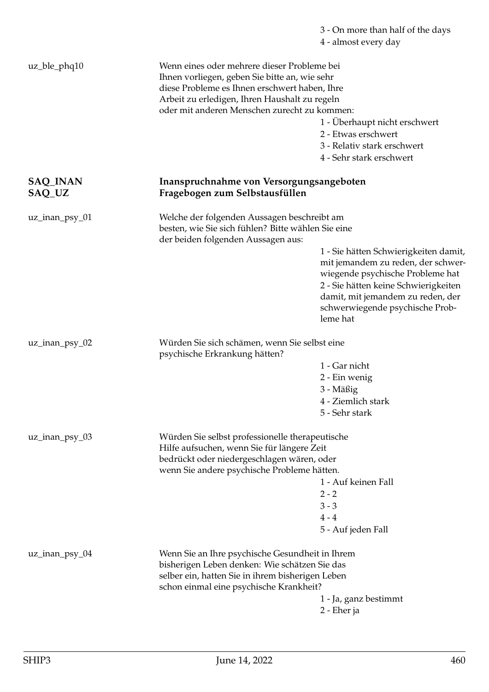## 3 - On more than half of the days 4 - almost every day

| uz_ble_phq10              | Wenn eines oder mehrere dieser Probleme bei<br>Ihnen vorliegen, geben Sie bitte an, wie sehr<br>diese Probleme es Ihnen erschwert haben, Ihre<br>Arbeit zu erledigen, Ihren Haushalt zu regeln<br>oder mit anderen Menschen zurecht zu kommen: | 1 - Überhaupt nicht erschwert<br>2 - Etwas erschwert<br>3 - Relativ stark erschwert<br>4 - Sehr stark erschwert                                                                                                                             |
|---------------------------|------------------------------------------------------------------------------------------------------------------------------------------------------------------------------------------------------------------------------------------------|---------------------------------------------------------------------------------------------------------------------------------------------------------------------------------------------------------------------------------------------|
| <b>SAQ_INAN</b><br>SAQ_UZ | Inanspruchnahme von Versorgungsangeboten<br>Fragebogen zum Selbstausfüllen                                                                                                                                                                     |                                                                                                                                                                                                                                             |
| uz_inan_psy_01            | Welche der folgenden Aussagen beschreibt am<br>besten, wie Sie sich fühlen? Bitte wählen Sie eine<br>der beiden folgenden Aussagen aus:                                                                                                        | 1 - Sie hätten Schwierigkeiten damit,<br>mit jemandem zu reden, der schwer-<br>wiegende psychische Probleme hat<br>2 - Sie hätten keine Schwierigkeiten<br>damit, mit jemandem zu reden, der<br>schwerwiegende psychische Prob-<br>leme hat |
| uz_inan_psy_02            | Würden Sie sich schämen, wenn Sie selbst eine<br>psychische Erkrankung hätten?                                                                                                                                                                 | 1 - Gar nicht<br>2 - Ein wenig<br>3 - Mäßig<br>4 - Ziemlich stark<br>5 - Sehr stark                                                                                                                                                         |
| uz_inan_psy_03            | Würden Sie selbst professionelle therapeutische<br>Hilfe aufsuchen, wenn Sie für längere Zeit<br>bedrückt oder niedergeschlagen wären, oder<br>wenn Sie andere psychische Probleme hätten.                                                     | 1 - Auf keinen Fall<br>$2 - 2$<br>$3 - 3$<br>$4 - 4$<br>5 - Auf jeden Fall                                                                                                                                                                  |
| $uz_$ inan_psy_04         | Wenn Sie an Ihre psychische Gesundheit in Ihrem<br>bisherigen Leben denken: Wie schätzen Sie das<br>selber ein, hatten Sie in ihrem bisherigen Leben<br>schon einmal eine psychische Krankheit?                                                | 1 - Ja, ganz bestimmt<br>2 - Eher ja                                                                                                                                                                                                        |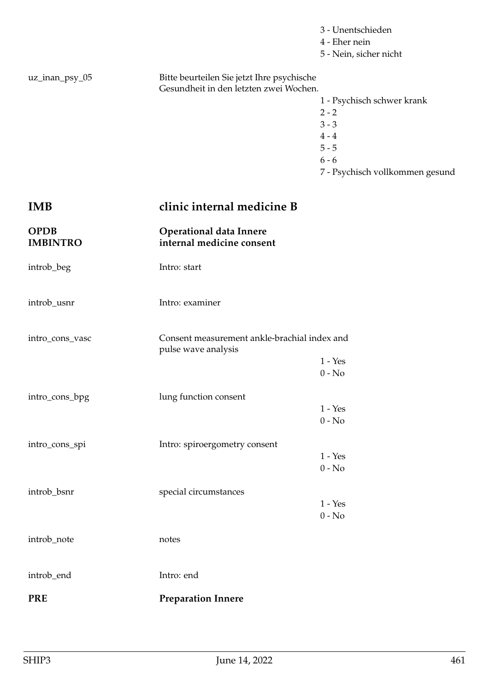|                                |                                                                                      | 3 - Unentschieden<br>4 - Eher nein<br>5 - Nein, sicher nicht |
|--------------------------------|--------------------------------------------------------------------------------------|--------------------------------------------------------------|
| uz_inan_psy_05                 | Bitte beurteilen Sie jetzt Ihre psychische<br>Gesundheit in den letzten zwei Wochen. |                                                              |
|                                |                                                                                      | 1 - Psychisch schwer krank                                   |
|                                |                                                                                      | $2 - 2$                                                      |
|                                |                                                                                      | $3 - 3$                                                      |
|                                |                                                                                      | $4 - 4$                                                      |
|                                |                                                                                      | $5 - 5$                                                      |
|                                |                                                                                      | $6 - 6$                                                      |
|                                |                                                                                      | 7 - Psychisch vollkommen gesund                              |
| IMB                            | clinic internal medicine B                                                           |                                                              |
| <b>OPDB</b><br><b>IMBINTRO</b> | <b>Operational data Innere</b><br>internal medicine consent                          |                                                              |
| introb_beg                     | Intro: start                                                                         |                                                              |
| introb_usnr                    | Intro: examiner                                                                      |                                                              |
| intro_cons_vasc                | Consent measurement ankle-brachial index and<br>pulse wave analysis                  |                                                              |
|                                |                                                                                      | $1 - Yes$                                                    |
|                                |                                                                                      | $0 - No$                                                     |
| intro_cons_bpg                 | lung function consent                                                                |                                                              |
|                                |                                                                                      | $1 - Yes$                                                    |
|                                |                                                                                      | $0 - No$                                                     |
| intro_cons_spi                 | Intro: spiroergometry consent                                                        |                                                              |
|                                |                                                                                      | $1 - Yes$                                                    |
|                                |                                                                                      | $0 - No$                                                     |
| introb_bsnr                    | special circumstances                                                                |                                                              |
|                                |                                                                                      | $1 - Yes$                                                    |
|                                |                                                                                      | $0 - No$                                                     |
| introb_note                    | notes                                                                                |                                                              |
| introb_end                     | Intro: end                                                                           |                                                              |
| <b>PRE</b>                     | <b>Preparation Innere</b>                                                            |                                                              |
|                                |                                                                                      |                                                              |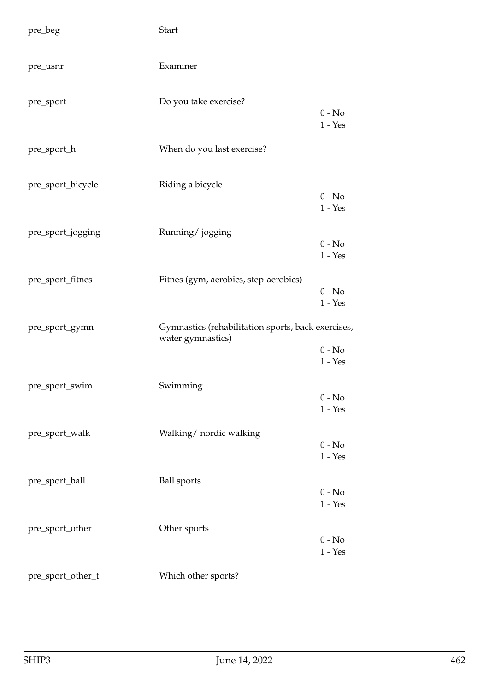| pre_beg           | <b>Start</b>                                                            |                                                    |
|-------------------|-------------------------------------------------------------------------|----------------------------------------------------|
| pre_usnr          | Examiner                                                                |                                                    |
| pre_sport         | Do you take exercise?                                                   | $0 - No$<br>$1 - Yes$                              |
| pre_sport_h       | When do you last exercise?                                              |                                                    |
| pre_sport_bicycle | Riding a bicycle                                                        | $0 - No$<br>$1 - Yes$                              |
| pre_sport_jogging | Running/jogging                                                         | $0 - No$<br>$1 - Yes$                              |
| pre_sport_fitnes  | Fitnes (gym, aerobics, step-aerobics)                                   | $0 - No$<br>$1 - Yes$                              |
| pre_sport_gymn    | Gymnastics (rehabilitation sports, back exercises,<br>water gymnastics) | $0 - No$<br>$1 - Yes$                              |
| pre_sport_swim    | Swimming                                                                | $0 - No$<br>$1 - Yes$                              |
| pre_sport_walk    | Walking/ nordic walking                                                 | $0 - No$<br>$1 - Yes$                              |
| pre_sport_ball    | <b>Ball</b> sports                                                      | $0 - No$<br>$1 - Yes$                              |
| pre_sport_other   | Other sports                                                            | $0 - No$<br>$1 - \ensuremath{\mathrm{Yes}}\xspace$ |
| pre_sport_other_t | Which other sports?                                                     |                                                    |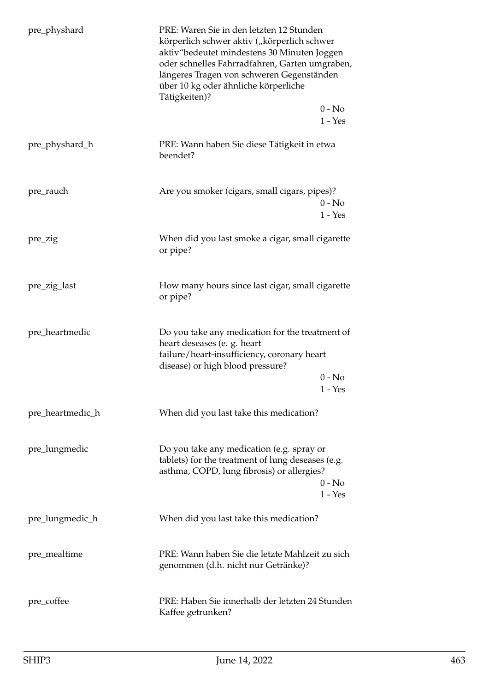| pre_physhard     | PRE: Waren Sie in den letzten 12 Stunden<br>körperlich schwer aktiv ("körperlich schwer<br>aktiv"bedeutet mindestens 30 Minuten Joggen<br>oder schnelles Fahrradfahren, Garten umgraben,<br>längeres Tragen von schweren Gegenständen<br>über 10 kg oder ähnliche körperliche<br>Tätigkeiten)? |
|------------------|------------------------------------------------------------------------------------------------------------------------------------------------------------------------------------------------------------------------------------------------------------------------------------------------|
|                  | $0 - No$<br>$1 - Yes$                                                                                                                                                                                                                                                                          |
| pre_physhard_h   | PRE: Wann haben Sie diese Tätigkeit in etwa<br>beendet?                                                                                                                                                                                                                                        |
| pre_rauch        | Are you smoker (cigars, small cigars, pipes)?<br>$0 - No$<br>$1 - Yes$                                                                                                                                                                                                                         |
| pre_zig          | When did you last smoke a cigar, small cigarette<br>or pipe?                                                                                                                                                                                                                                   |
| pre_zig_last     | How many hours since last cigar, small cigarette<br>or pipe?                                                                                                                                                                                                                                   |
| pre_heartmedic   | Do you take any medication for the treatment of<br>heart deseases (e. g. heart<br>failure/heart-insufficiency, coronary heart<br>disease) or high blood pressure?                                                                                                                              |
|                  | $0 - No$<br>$1 - Yes$                                                                                                                                                                                                                                                                          |
| pre_heartmedic_h | When did you last take this medication?                                                                                                                                                                                                                                                        |
| pre_lungmedic    | Do you take any medication (e.g. spray or<br>tablets) for the treatment of lung deseases (e.g.<br>asthma, COPD, lung fibrosis) or allergies?<br>$0 - No$<br>$1 - Yes$                                                                                                                          |
| pre_lungmedic_h  | When did you last take this medication?                                                                                                                                                                                                                                                        |
| pre_mealtime     | PRE: Wann haben Sie die letzte Mahlzeit zu sich<br>genommen (d.h. nicht nur Getränke)?                                                                                                                                                                                                         |
| pre_coffee       | PRE: Haben Sie innerhalb der letzten 24 Stunden<br>Kaffee getrunken?                                                                                                                                                                                                                           |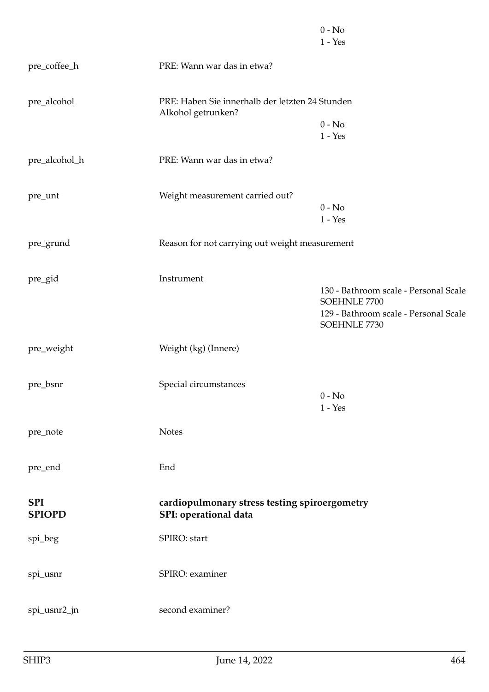|                             |                                                                        | $0 - No$<br>$1 - Yes$                                                                                          |
|-----------------------------|------------------------------------------------------------------------|----------------------------------------------------------------------------------------------------------------|
| pre_coffee_h                | PRE: Wann war das in etwa?                                             |                                                                                                                |
| pre_alcohol                 | PRE: Haben Sie innerhalb der letzten 24 Stunden<br>Alkohol getrunken?  |                                                                                                                |
|                             |                                                                        | $0 - No$<br>$1 - Yes$                                                                                          |
| pre_alcohol_h               | PRE: Wann war das in etwa?                                             |                                                                                                                |
| pre_unt                     | Weight measurement carried out?                                        | $0 - No$                                                                                                       |
|                             |                                                                        | $1 - Yes$                                                                                                      |
| pre_grund                   | Reason for not carrying out weight measurement                         |                                                                                                                |
| pre_gid                     | Instrument                                                             | 130 - Bathroom scale - Personal Scale<br>SOEHNLE 7700<br>129 - Bathroom scale - Personal Scale<br>SOEHNLE 7730 |
| pre_weight                  | Weight (kg) (Innere)                                                   |                                                                                                                |
| pre_bsnr                    | Special circumstances                                                  | $0 - No$<br>$1 - Yes$                                                                                          |
| pre_note                    | <b>Notes</b>                                                           |                                                                                                                |
| pre_end                     | End                                                                    |                                                                                                                |
| <b>SPI</b><br><b>SPIOPD</b> | cardiopulmonary stress testing spiroergometry<br>SPI: operational data |                                                                                                                |
| spi_beg                     | SPIRO: start                                                           |                                                                                                                |
| spi_usnr                    | SPIRO: examiner                                                        |                                                                                                                |
| spi_usnr2_jn                | second examiner?                                                       |                                                                                                                |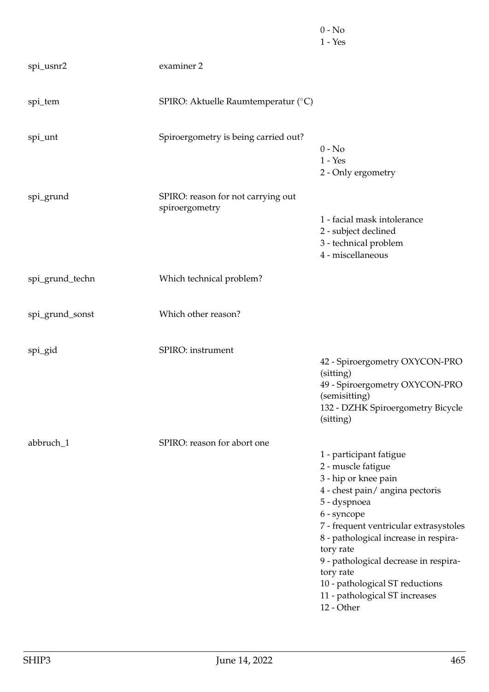|                 |                                                      | $0 - No$<br>$1 - Yes$                                                                                                                                                                                                                                                                                                                                                           |
|-----------------|------------------------------------------------------|---------------------------------------------------------------------------------------------------------------------------------------------------------------------------------------------------------------------------------------------------------------------------------------------------------------------------------------------------------------------------------|
| spi_usnr2       | examiner 2                                           |                                                                                                                                                                                                                                                                                                                                                                                 |
| spi_tem         | SPIRO: Aktuelle Raumtemperatur (°C)                  |                                                                                                                                                                                                                                                                                                                                                                                 |
| spi_unt         | Spiroergometry is being carried out?                 | $0 - No$<br>$1 - Yes$<br>2 - Only ergometry                                                                                                                                                                                                                                                                                                                                     |
| spi_grund       | SPIRO: reason for not carrying out<br>spiroergometry | 1 - facial mask intolerance<br>2 - subject declined<br>3 - technical problem<br>4 - miscellaneous                                                                                                                                                                                                                                                                               |
| spi_grund_techn | Which technical problem?                             |                                                                                                                                                                                                                                                                                                                                                                                 |
| spi_grund_sonst | Which other reason?                                  |                                                                                                                                                                                                                                                                                                                                                                                 |
| spi_gid         | SPIRO: instrument                                    | 42 - Spiroergometry OXYCON-PRO<br>(sitting)<br>49 - Spiroergometry OXYCON-PRO<br>(semisitting)<br>132 - DZHK Spiroergometry Bicycle<br>(sitting)                                                                                                                                                                                                                                |
| abbruch_1       | SPIRO: reason for abort one                          | 1 - participant fatigue<br>2 - muscle fatigue<br>3 - hip or knee pain<br>4 - chest pain/angina pectoris<br>5 - dyspnoea<br>6 - syncope<br>7 - frequent ventricular extrasystoles<br>8 - pathological increase in respira-<br>tory rate<br>9 - pathological decrease in respira-<br>tory rate<br>10 - pathological ST reductions<br>11 - pathological ST increases<br>12 - Other |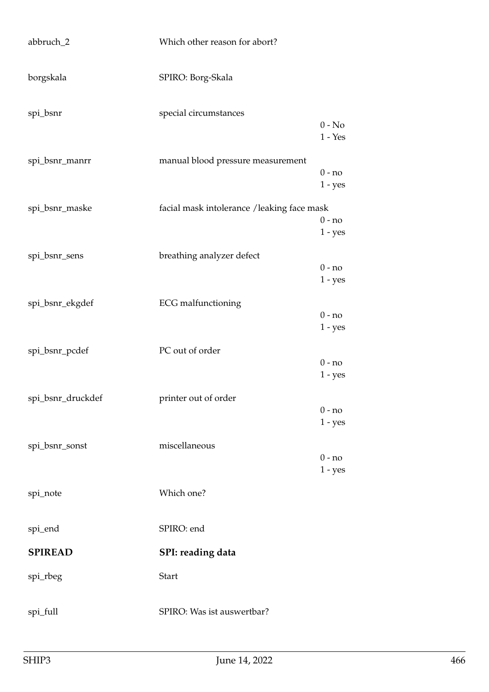| abbruch_2         | Which other reason for abort?              |                       |
|-------------------|--------------------------------------------|-----------------------|
| borgskala         | SPIRO: Borg-Skala                          |                       |
| spi_bsnr          | special circumstances                      | $0 - No$<br>$1 - Yes$ |
| spi_bsnr_manrr    | manual blood pressure measurement          | $0 - no$<br>$1 - yes$ |
| spi_bsnr_maske    | facial mask intolerance /leaking face mask | $0 - no$<br>$1 - yes$ |
| spi_bsnr_sens     | breathing analyzer defect                  | $0 - no$<br>$1 - yes$ |
| spi_bsnr_ekgdef   | <b>ECG</b> malfunctioning                  | $0 - no$<br>$1 - yes$ |
| spi_bsnr_pcdef    | PC out of order                            | $0 - no$<br>$1 - yes$ |
| spi_bsnr_druckdef | printer out of order                       | $0 - no$<br>$1 - yes$ |
| spi_bsnr_sonst    | miscellaneous                              | $0 - no$<br>$1 - yes$ |
| spi_note          | Which one?                                 |                       |
| spi_end           | SPIRO: end                                 |                       |
| <b>SPIREAD</b>    | SPI: reading data                          |                       |
| spi_rbeg          | <b>Start</b>                               |                       |
| spi_full          | SPIRO: Was ist auswertbar?                 |                       |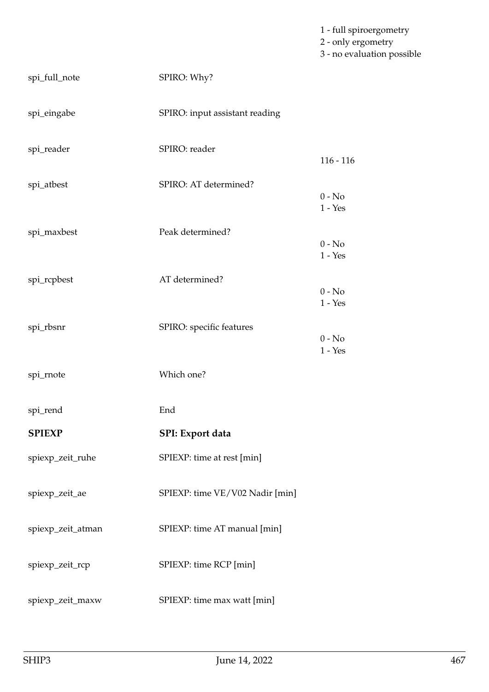1 - full spiroergometry 2 - only ergometry 3 - no evaluation possible

| spi_full_note     | SPIRO: Why?                     |                       |
|-------------------|---------------------------------|-----------------------|
| spi_eingabe       | SPIRO: input assistant reading  |                       |
| spi_reader        | SPIRO: reader                   | $116 - 116$           |
| spi_atbest        | SPIRO: AT determined?           | $0 - No$              |
| spi_maxbest       | Peak determined?                | $1 - Yes$<br>$0 - No$ |
| spi_rcpbest       | AT determined?                  | $1 - Yes$<br>$0 - No$ |
| spi_rbsnr         | SPIRO: specific features        | $1 - Yes$<br>$0 - No$ |
| spi_rnote         | Which one?                      | $1 - Yes$             |
| spi_rend          | End                             |                       |
| <b>SPIEXP</b>     | SPI: Export data                |                       |
| spiexp_zeit_ruhe  | SPIEXP: time at rest [min]      |                       |
| spiexp_zeit_ae    | SPIEXP: time VE/V02 Nadir [min] |                       |
| spiexp_zeit_atman | SPIEXP: time AT manual [min]    |                       |
| spiexp_zeit_rcp   | SPIEXP: time RCP [min]          |                       |
| spiexp_zeit_maxw  | SPIEXP: time max watt [min]     |                       |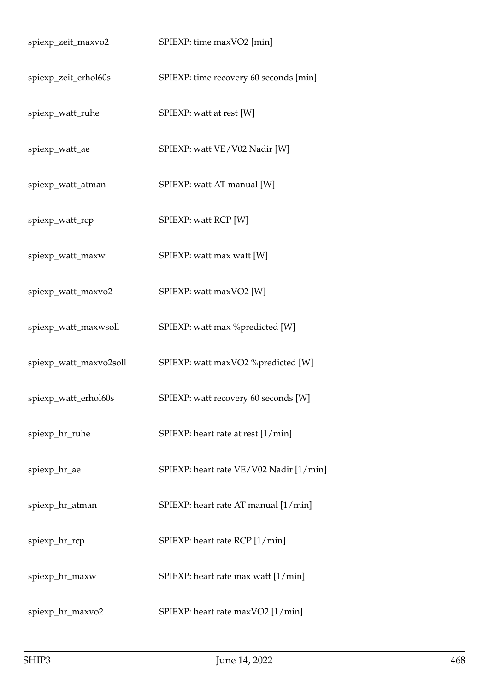| spiexp_zeit_maxvo2     | SPIEXP: time maxVO2 [min]               |
|------------------------|-----------------------------------------|
| spiexp_zeit_erhol60s   | SPIEXP: time recovery 60 seconds [min]  |
| spiexp_watt_ruhe       | SPIEXP: watt at rest [W]                |
| spiexp_watt_ae         | SPIEXP: watt VE/V02 Nadir [W]           |
| spiexp_watt_atman      | SPIEXP: watt AT manual [W]              |
| spiexp_watt_rcp        | SPIEXP: watt RCP [W]                    |
| spiexp_watt_maxw       | SPIEXP: watt max watt [W]               |
| spiexp_watt_maxvo2     | SPIEXP: watt maxVO2 [W]                 |
| spiexp_watt_maxwsoll   | SPIEXP: watt max %predicted [W]         |
| spiexp_watt_maxvo2soll | SPIEXP: watt maxVO2 %predicted [W]      |
| spiexp_watt_erhol60s   | SPIEXP: watt recovery 60 seconds [W]    |
| spiexp_hr_ruhe         | SPIEXP: heart rate at rest [1/min]      |
| spiexp_hr_ae           | SPIEXP: heart rate VE/V02 Nadir [1/min] |
| spiexp_hr_atman        | SPIEXP: heart rate AT manual [1/min]    |
| spiexp_hr_rcp          | SPIEXP: heart rate RCP [1/min]          |
| spiexp_hr_maxw         | SPIEXP: heart rate max watt [1/min]     |
| spiexp_hr_maxvo2       | SPIEXP: heart rate maxVO2 [1/min]       |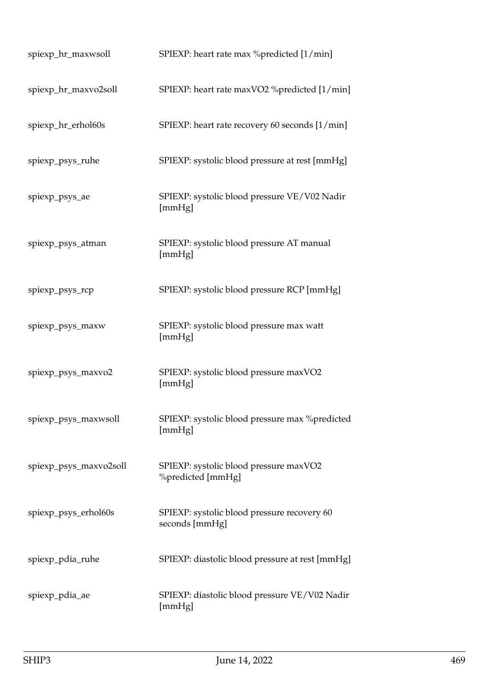| spiexp_hr_maxwsoll     | SPIEXP: heart rate max %predicted [1/min]                     |
|------------------------|---------------------------------------------------------------|
| spiexp_hr_maxvo2soll   | SPIEXP: heart rate maxVO2 %predicted [1/min]                  |
| spiexp_hr_erhol60s     | SPIEXP: heart rate recovery 60 seconds [1/min]                |
| spiexp_psys_ruhe       | SPIEXP: systolic blood pressure at rest [mmHg]                |
| spiexp_psys_ae         | SPIEXP: systolic blood pressure VE/V02 Nadir<br>[mmHg]        |
| spiexp_psys_atman      | SPIEXP: systolic blood pressure AT manual<br>[mmHg]           |
| spiexp_psys_rcp        | SPIEXP: systolic blood pressure RCP [mmHg]                    |
| spiexp_psys_maxw       | SPIEXP: systolic blood pressure max watt<br>[mmHg]            |
| spiexp_psys_maxvo2     | SPIEXP: systolic blood pressure maxVO2<br>[mmHg]              |
| spiexp_psys_maxwsoll   | SPIEXP: systolic blood pressure max %predicted<br>[mmHg]      |
| spiexp_psys_maxvo2soll | SPIEXP: systolic blood pressure maxVO2<br>%predicted [mmHg]   |
| spiexp_psys_erhol60s   | SPIEXP: systolic blood pressure recovery 60<br>seconds [mmHg] |
| spiexp_pdia_ruhe       | SPIEXP: diastolic blood pressure at rest [mmHg]               |
| spiexp_pdia_ae         | SPIEXP: diastolic blood pressure VE/V02 Nadir<br>[mmHg]       |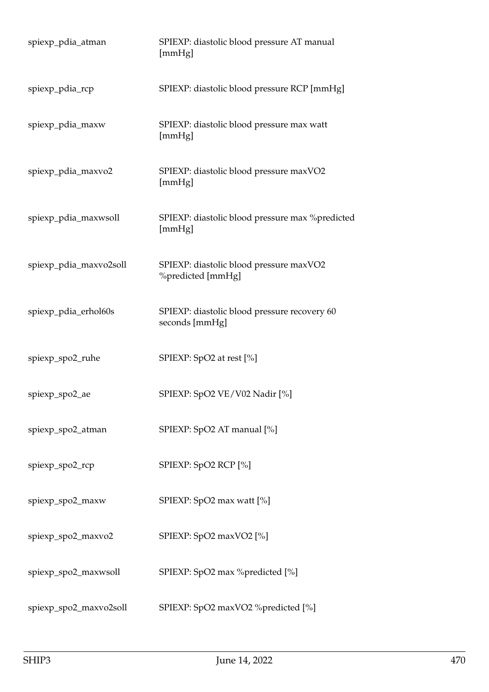| spiexp_pdia_atman      | SPIEXP: diastolic blood pressure AT manual<br>[mmHg]           |
|------------------------|----------------------------------------------------------------|
| spiexp_pdia_rcp        | SPIEXP: diastolic blood pressure RCP [mmHg]                    |
| spiexp_pdia_maxw       | SPIEXP: diastolic blood pressure max watt<br>[mmHg]            |
| spiexp_pdia_maxvo2     | SPIEXP: diastolic blood pressure maxVO2<br>[mmHg]              |
| spiexp_pdia_maxwsoll   | SPIEXP: diastolic blood pressure max % predicted<br>[mmHg]     |
| spiexp_pdia_maxvo2soll | SPIEXP: diastolic blood pressure maxVO2<br>%predicted [mmHg]   |
| spiexp_pdia_erhol60s   | SPIEXP: diastolic blood pressure recovery 60<br>seconds [mmHg] |
| spiexp_spo2_ruhe       | SPIEXP: SpO2 at rest [%]                                       |
| spiexp_spo2_ae         | SPIEXP: SpO2 VE/V02 Nadir [%]                                  |
| spiexp_spo2_atman      | SPIEXP: SpO2 AT manual [%]                                     |
| spiexp_spo2_rcp        | SPIEXP: SpO2 RCP [%]                                           |
| spiexp_spo2_maxw       | SPIEXP: SpO2 max watt [%]                                      |
| spiexp_spo2_maxvo2     | SPIEXP: SpO2 maxVO2 [%]                                        |
| spiexp_spo2_maxwsoll   | SPIEXP: SpO2 max %predicted [%]                                |
| spiexp_spo2_maxvo2soll | SPIEXP: SpO2 maxVO2 %predicted [%]                             |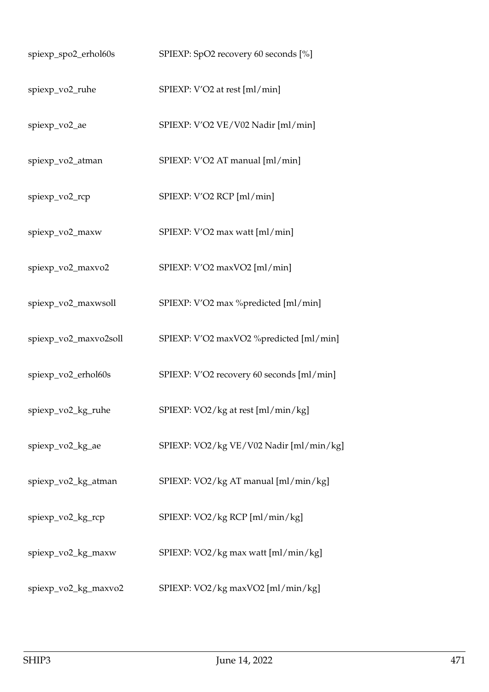| spiexp_spo2_erhol60s  | SPIEXP: SpO2 recovery 60 seconds [%]      |
|-----------------------|-------------------------------------------|
| spiexp_vo2_ruhe       | SPIEXP: V'O2 at rest [ml/min]             |
| spiexp_vo2_ae         | SPIEXP: V'O2 VE/V02 Nadir [ml/min]        |
| spiexp_vo2_atman      | SPIEXP: V'O2 AT manual [ml/min]           |
| spiexp_vo2_rcp        | SPIEXP: V'O2 RCP [ml/min]                 |
| spiexp_vo2_maxw       | SPIEXP: V'O2 max watt [ml/min]            |
| spiexp_vo2_maxvo2     | SPIEXP: V'O2 maxVO2 [ml/min]              |
| spiexp_vo2_maxwsoll   | SPIEXP: V'O2 max %predicted [ml/min]      |
| spiexp_vo2_maxvo2soll | SPIEXP: V'O2 maxVO2 %predicted [ml/min]   |
| spiexp_vo2_erhol60s   | SPIEXP: V'O2 recovery 60 seconds [ml/min] |
| spiexp_vo2_kg_ruhe    | SPIEXP: VO2/kg at rest [ml/min/kg]        |
| spiexp_vo2_kg_ae      | SPIEXP: VO2/kg VE/V02 Nadir [ml/min/kg]   |
| spiexp_vo2_kg_atman   | SPIEXP: VO2/kg AT manual [ml/min/kg]      |
| spiexp_vo2_kg_rcp     | SPIEXP: VO2/kg RCP [ml/min/kg]            |
| spiexp_vo2_kg_maxw    | SPIEXP: VO2/kg max watt [ml/min/kg]       |
| spiexp_vo2_kg_maxvo2  | SPIEXP: VO2/kg maxVO2 [ml/min/kg]         |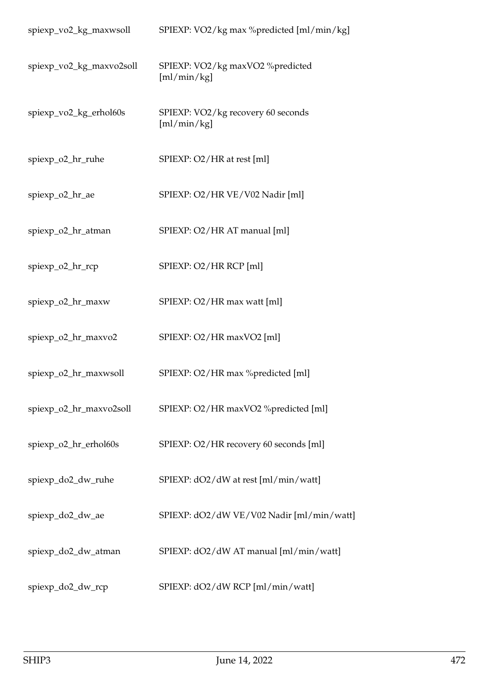| spiexp_vo2_kg_maxwsoll   | SPIEXP: VO2/kg max %predicted [ml/min/kg]         |
|--------------------------|---------------------------------------------------|
| spiexp_vo2_kg_maxvo2soll | SPIEXP: VO2/kg maxVO2 %predicted<br>[m]/min/kg]   |
| spiexp_vo2_kg_erhol60s   | SPIEXP: VO2/kg recovery 60 seconds<br>[m]/min/kg] |
| spiexp_o2_hr_ruhe        | SPIEXP: O2/HR at rest [ml]                        |
| spiexp_o2_hr_ae          | SPIEXP: O2/HR VE/V02 Nadir [ml]                   |
| spiexp_o2_hr_atman       | SPIEXP: O2/HR AT manual [ml]                      |
| spiexp_o2_hr_rcp         | SPIEXP: O2/HR RCP [ml]                            |
| spiexp_o2_hr_maxw        | SPIEXP: O2/HR max watt [ml]                       |
| spiexp_o2_hr_maxvo2      | SPIEXP: O2/HR maxVO2 [ml]                         |
| spiexp_o2_hr_maxwsoll    | SPIEXP: O2/HR max %predicted [ml]                 |
| spiexp_o2_hr_maxvo2soll  | SPIEXP: O2/HR maxVO2 %predicted [ml]              |
| spiexp_o2_hr_erhol60s    | SPIEXP: O2/HR recovery 60 seconds [ml]            |
| spiexp_do2_dw_ruhe       | SPIEXP: dO2/dW at rest [ml/min/watt]              |
| spiexp_do2_dw_ae         | SPIEXP: dO2/dW VE/V02 Nadir [ml/min/watt]         |
| spiexp_do2_dw_atman      | SPIEXP: dO2/dW AT manual [ml/min/watt]            |
| spiexp_do2_dw_rcp        | SPIEXP: dO2/dW RCP [ml/min/watt]                  |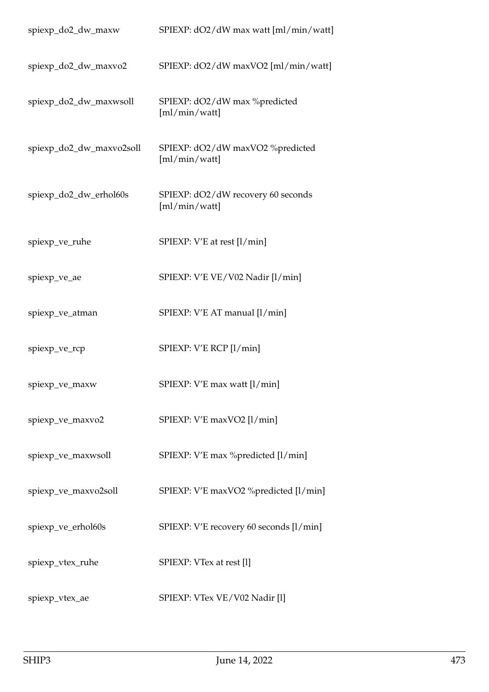| spiexp_do2_dw_maxw       | SPIEXP: dO2/dW max watt [ml/min/watt]               |
|--------------------------|-----------------------------------------------------|
| spiexp_do2_dw_maxvo2     | SPIEXP: dO2/dW maxVO2 [ml/min/watt]                 |
| spiexp_do2_dw_maxwsoll   | SPIEXP: dO2/dW max %predicted<br>[m]/min/watt]      |
| spiexp_do2_dw_maxvo2soll | SPIEXP: dO2/dW maxVO2 %predicted<br>[m]/min/watt]   |
| spiexp_do2_dw_erhol60s   | SPIEXP: dO2/dW recovery 60 seconds<br>[m]/min/watt] |
| spiexp_ve_ruhe           | SPIEXP: V'E at rest [l/min]                         |
| spiexp_ve_ae             | SPIEXP: V'E VE/V02 Nadir [l/min]                    |
| spiexp_ve_atman          | SPIEXP: V'E AT manual [1/min]                       |
| spiexp_ve_rcp            | SPIEXP: V'E RCP [l/min]                             |
| spiexp_ve_maxw           | SPIEXP: V'E max watt [1/min]                        |
| spiexp_ve_maxvo2         | SPIEXP: V'E maxVO2 [1/min]                          |
| spiexp_ve_maxwsoll       | SPIEXP: V'E max % predicted [l/min]                 |
| spiexp_ve_maxvo2soll     | SPIEXP: V'E maxVO2 %predicted [l/min]               |
| spiexp_ve_erhol60s       | SPIEXP: V'E recovery 60 seconds [l/min]             |
| spiexp_vtex_ruhe         | SPIEXP: VTex at rest [1]                            |
| spiexp_vtex_ae           | SPIEXP: VTex VE/V02 Nadir [1]                       |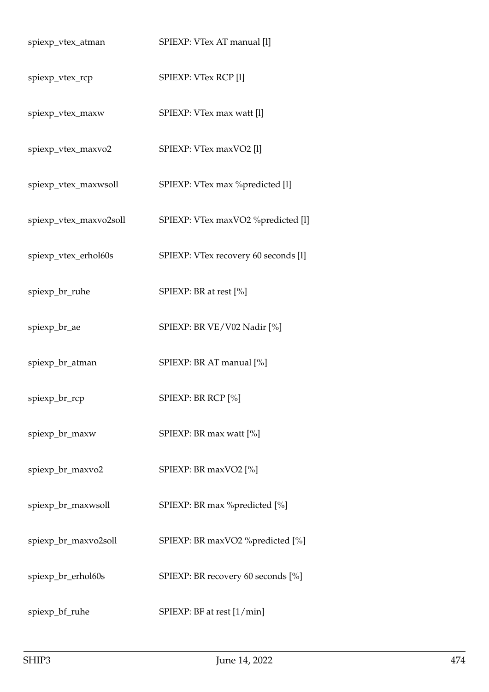| spiexp_vtex_atman      | SPIEXP: VTex AT manual [1]           |
|------------------------|--------------------------------------|
| spiexp_vtex_rcp        | SPIEXP: VTex RCP [1]                 |
| spiexp_vtex_maxw       | SPIEXP: VTex max watt [1]            |
| spiexp_vtex_maxvo2     | SPIEXP: VTex maxVO2 [1]              |
| spiexp_vtex_maxwsoll   | SPIEXP: VTex max %predicted [1]      |
| spiexp_vtex_maxvo2soll | SPIEXP: VTex maxVO2 %predicted [l]   |
| spiexp_vtex_erhol60s   | SPIEXP: VTex recovery 60 seconds [1] |
| spiexp_br_ruhe         | SPIEXP: BR at rest [%]               |
| spiexp_br_ae           | SPIEXP: BR VE/V02 Nadir [%]          |
| spiexp_br_atman        | SPIEXP: BR AT manual [%]             |
| spiexp_br_rcp          | SPIEXP: BR RCP [%]                   |
| spiexp_br_maxw         | SPIEXP: BR max watt [%]              |
| spiexp_br_maxvo2       | SPIEXP: BR maxVO2 [%]                |
| spiexp_br_maxwsoll     | SPIEXP: BR max %predicted [%]        |
| spiexp_br_maxvo2soll   | SPIEXP: BR maxVO2 %predicted [%]     |
| spiexp_br_erhol60s     | SPIEXP: BR recovery 60 seconds [%]   |
| spiexp_bf_ruhe         | SPIEXP: BF at rest [1/min]           |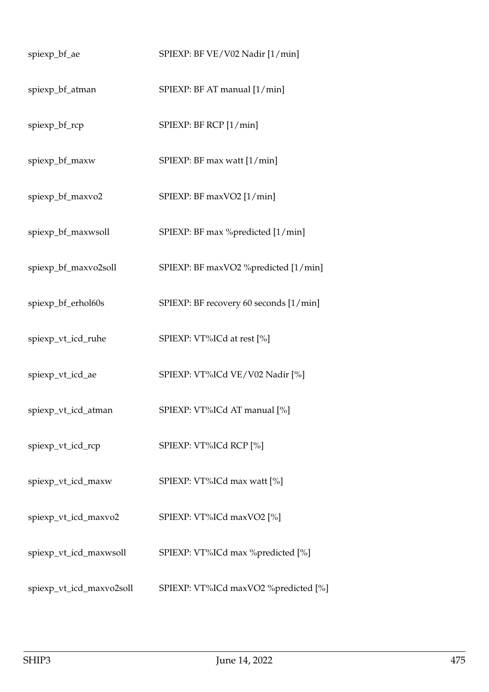| spiexp_bf_ae             | SPIEXP: BF VE/V02 Nadir [1/min]        |
|--------------------------|----------------------------------------|
| spiexp_bf_atman          | SPIEXP: BF AT manual [1/min]           |
| spiexp_bf_rcp            | SPIEXP: BF RCP [1/min]                 |
| spiexp_bf_maxw           | SPIEXP: BF max watt [1/min]            |
| spiexp_bf_maxvo2         | SPIEXP: BF maxVO2 [1/min]              |
| spiexp_bf_maxwsoll       | SPIEXP: BF max %predicted [1/min]      |
| spiexp_bf_maxvo2soll     | SPIEXP: BF maxVO2 %predicted [1/min]   |
| spiexp_bf_erhol60s       | SPIEXP: BF recovery 60 seconds [1/min] |
| spiexp_vt_icd_ruhe       | SPIEXP: VT%ICd at rest [%]             |
| spiexp_vt_icd_ae         | SPIEXP: VT%ICd VE/V02 Nadir [%]        |
| spiexp_vt_icd_atman      | SPIEXP: VT%ICd AT manual [%]           |
| spiexp_vt_icd_rcp        | SPIEXP: VT%ICd RCP [%]                 |
| spiexp_vt_icd_maxw       | SPIEXP: VT%ICd max watt [%]            |
| spiexp_vt_icd_maxvo2     | SPIEXP: VT%ICd maxVO2 [%]              |
| spiexp_vt_icd_maxwsoll   | SPIEXP: VT%ICd max %predicted [%]      |
| spiexp_vt_icd_maxvo2soll | SPIEXP: VT%ICd maxVO2 %predicted [%]   |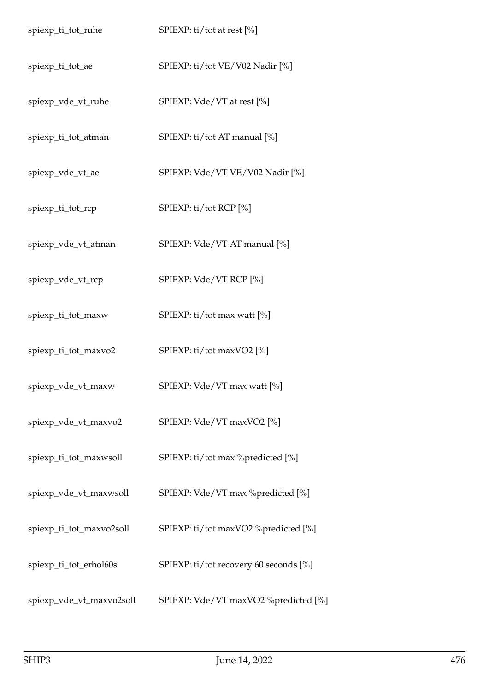| spiexp_ti_tot_ruhe       | SPIEXP: ti/tot at rest [%]             |
|--------------------------|----------------------------------------|
| spiexp_ti_tot_ae         | SPIEXP: ti/tot VE/V02 Nadir [%]        |
| spiexp_vde_vt_ruhe       | SPIEXP: Vde/VT at rest [%]             |
| spiexp_ti_tot_atman      | SPIEXP: ti/tot AT manual [%]           |
| spiexp_vde_vt_ae         | SPIEXP: Vde/VT VE/V02 Nadir [%]        |
| spiexp_ti_tot_rcp        | SPIEXP: ti/tot RCP [%]                 |
| spiexp_vde_vt_atman      | SPIEXP: Vde/VT AT manual [%]           |
| spiexp_vde_vt_rcp        | SPIEXP: Vde/VT RCP [%]                 |
| spiexp_ti_tot_maxw       | SPIEXP: ti/tot max watt [%]            |
| spiexp_ti_tot_maxvo2     | SPIEXP: ti/tot maxVO2 [%]              |
| spiexp_vde_vt_maxw       | SPIEXP: Vde/VT max watt [%]            |
| spiexp_vde_vt_maxvo2     | SPIEXP: Vde/VT maxVO2 [%]              |
| spiexp_ti_tot_maxwsoll   | SPIEXP: ti/tot max %predicted [%]      |
| spiexp_vde_vt_maxwsoll   | SPIEXP: Vde/VT max %predicted [%]      |
| spiexp_ti_tot_maxvo2soll | SPIEXP: ti/tot maxVO2 %predicted [%]   |
| spiexp_ti_tot_erhol60s   | SPIEXP: ti/tot recovery 60 seconds [%] |
| spiexp_vde_vt_maxvo2soll | SPIEXP: Vde/VT maxVO2 %predicted [%]   |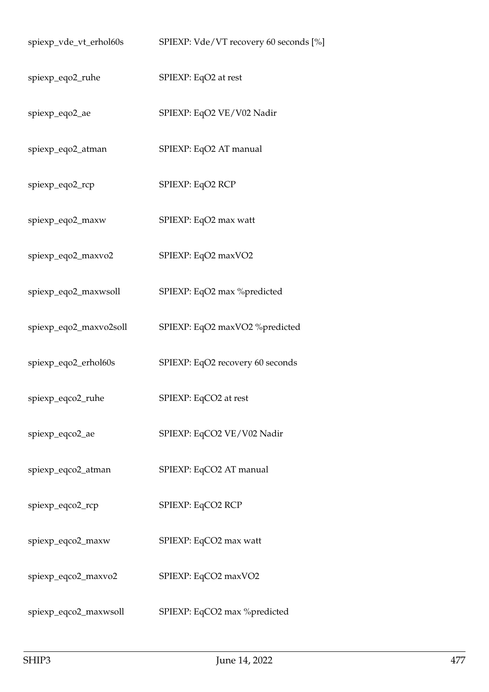| spiexp_vde_vt_erhol60s | SPIEXP: Vde/VT recovery 60 seconds [%] |
|------------------------|----------------------------------------|
| spiexp_eqo2_ruhe       | SPIEXP: EqO2 at rest                   |
| spiexp_eqo2_ae         | SPIEXP: EqO2 VE/V02 Nadir              |
| spiexp_eqo2_atman      | SPIEXP: EqO2 AT manual                 |
| spiexp_eqo2_rcp        | SPIEXP: EqO2 RCP                       |
| spiexp_eqo2_maxw       | SPIEXP: EqO2 max watt                  |
| spiexp_eqo2_maxvo2     | SPIEXP: EqO2 maxVO2                    |
| spiexp_eqo2_maxwsoll   | SPIEXP: EqO2 max %predicted            |
| spiexp_eqo2_maxvo2soll | SPIEXP: EqO2 maxVO2 %predicted         |
| spiexp_eqo2_erhol60s   | SPIEXP: EqO2 recovery 60 seconds       |
| spiexp_eqco2_ruhe      | SPIEXP: EqCO2 at rest                  |
| spiexp_eqco2_ae        | SPIEXP: EqCO2 VE/V02 Nadir             |
| spiexp_eqco2_atman     | SPIEXP: EqCO2 AT manual                |
| spiexp_eqco2_rcp       | SPIEXP: EqCO2 RCP                      |
| spiexp_eqco2_maxw      | SPIEXP: EqCO2 max watt                 |
| spiexp_eqco2_maxvo2    | SPIEXP: EqCO2 maxVO2                   |
| spiexp_eqco2_maxwsoll  | SPIEXP: EqCO2 max %predicted           |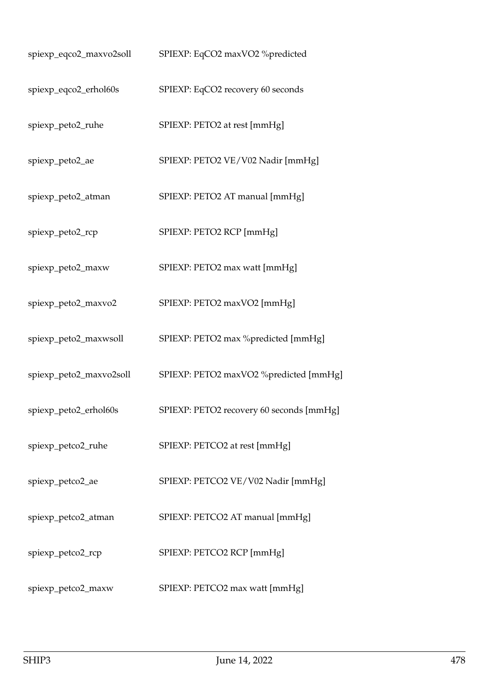| spiexp_eqco2_maxvo2soll | SPIEXP: EqCO2 maxVO2 %predicted          |
|-------------------------|------------------------------------------|
| spiexp_eqco2_erhol60s   | SPIEXP: EqCO2 recovery 60 seconds        |
| spiexp_peto2_ruhe       | SPIEXP: PETO2 at rest [mmHg]             |
| spiexp_peto2_ae         | SPIEXP: PETO2 VE/V02 Nadir [mmHg]        |
| spiexp_peto2_atman      | SPIEXP: PETO2 AT manual [mmHg]           |
| spiexp_peto2_rcp        | SPIEXP: PETO2 RCP [mmHg]                 |
| spiexp_peto2_maxw       | SPIEXP: PETO2 max watt [mmHg]            |
| spiexp_peto2_maxvo2     | SPIEXP: PETO2 maxVO2 [mmHg]              |
| spiexp_peto2_maxwsoll   | SPIEXP: PETO2 max %predicted [mmHg]      |
| spiexp_peto2_maxvo2soll | SPIEXP: PETO2 maxVO2 %predicted [mmHg]   |
| spiexp_peto2_erhol60s   | SPIEXP: PETO2 recovery 60 seconds [mmHg] |
| spiexp_petco2_ruhe      | SPIEXP: PETCO2 at rest [mmHg]            |
| spiexp_petco2_ae        | SPIEXP: PETCO2 VE/V02 Nadir [mmHg]       |
| spiexp_petco2_atman     | SPIEXP: PETCO2 AT manual [mmHg]          |
| spiexp_petco2_rcp       | SPIEXP: PETCO2 RCP [mmHg]                |
| spiexp_petco2_maxw      | SPIEXP: PETCO2 max watt [mmHg]           |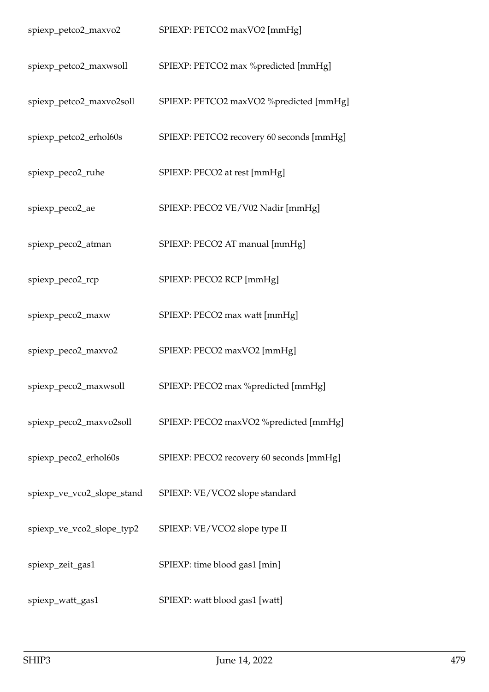| spiexp_petco2_maxvo2       | SPIEXP: PETCO2 maxVO2 [mmHg]              |
|----------------------------|-------------------------------------------|
| spiexp_petco2_maxwsoll     | SPIEXP: PETCO2 max %predicted [mmHg]      |
| spiexp_petco2_maxvo2soll   | SPIEXP: PETCO2 maxVO2 %predicted [mmHg]   |
| spiexp_petco2_erhol60s     | SPIEXP: PETCO2 recovery 60 seconds [mmHg] |
| spiexp_peco2_ruhe          | SPIEXP: PECO2 at rest [mmHg]              |
| spiexp_peco2_ae            | SPIEXP: PECO2 VE/V02 Nadir [mmHg]         |
| spiexp_peco2_atman         | SPIEXP: PECO2 AT manual [mmHg]            |
| spiexp_peco2_rcp           | SPIEXP: PECO2 RCP [mmHg]                  |
| spiexp_peco2_maxw          | SPIEXP: PECO2 max watt [mmHg]             |
| spiexp_peco2_maxvo2        | SPIEXP: PECO2 maxVO2 [mmHg]               |
| spiexp_peco2_maxwsoll      | SPIEXP: PECO2 max %predicted [mmHg]       |
| spiexp_peco2_maxvo2soll    | SPIEXP: PECO2 maxVO2 %predicted [mmHg]    |
| spiexp_peco2_erhol60s      | SPIEXP: PECO2 recovery 60 seconds [mmHg]  |
| spiexp_ve_vco2_slope_stand | SPIEXP: VE/VCO2 slope standard            |
| spiexp_ve_vco2_slope_typ2  | SPIEXP: VE/VCO2 slope type II             |
| spiexp_zeit_gas1           | SPIEXP: time blood gas1 [min]             |
| spiexp_watt_gas1           | SPIEXP: watt blood gas1 [watt]            |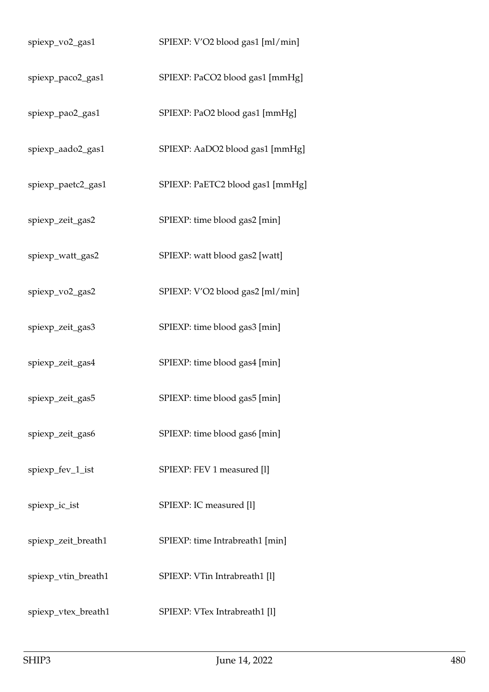| spiexp_vo2_gas1     | SPIEXP: V'O2 blood gas1 [ml/min] |
|---------------------|----------------------------------|
| spiexp_paco2_gas1   | SPIEXP: PaCO2 blood gas1 [mmHg]  |
| spiexp_pao2_gas1    | SPIEXP: PaO2 blood gas1 [mmHg]   |
| spiexp_aado2_gas1   | SPIEXP: AaDO2 blood gas1 [mmHg]  |
| spiexp_paetc2_gas1  | SPIEXP: PaETC2 blood gas1 [mmHg] |
| spiexp_zeit_gas2    | SPIEXP: time blood gas2 [min]    |
| spiexp_watt_gas2    | SPIEXP: watt blood gas2 [watt]   |
| spiexp_vo2_gas2     | SPIEXP: V'O2 blood gas2 [ml/min] |
| spiexp_zeit_gas3    | SPIEXP: time blood gas3 [min]    |
| spiexp_zeit_gas4    | SPIEXP: time blood gas4 [min]    |
| spiexp_zeit_gas5    | SPIEXP: time blood gas5 [min]    |
| spiexp_zeit_gas6    | SPIEXP: time blood gas6 [min]    |
| spiexp_fev_1_ist    | SPIEXP: FEV 1 measured [1]       |
| spiexp_ic_ist       | SPIEXP: IC measured [1]          |
| spiexp_zeit_breath1 | SPIEXP: time Intrabreath1 [min]  |
| spiexp_vtin_breath1 | SPIEXP: VTin Intrabreath1 [1]    |
| spiexp_vtex_breath1 | SPIEXP: VTex Intrabreath1 [1]    |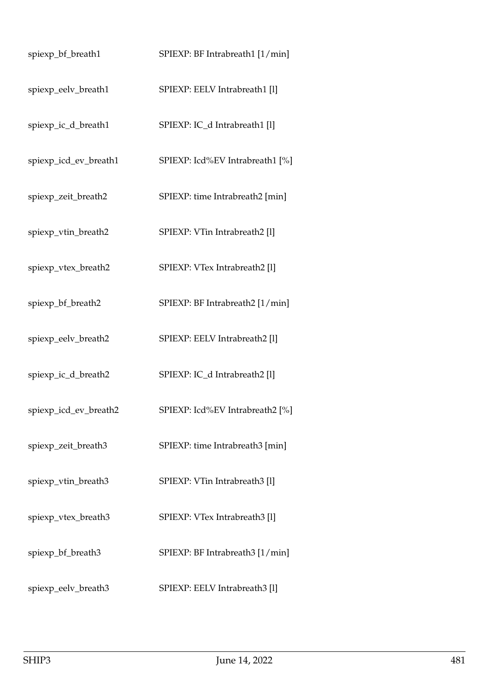| spiexp_bf_breath1     | SPIEXP: BF Intrabreath1 [1/min] |
|-----------------------|---------------------------------|
| spiexp_eelv_breath1   | SPIEXP: EELV Intrabreath1 [1]   |
| spiexp_ic_d_breath1   | SPIEXP: IC_d Intrabreath1 [1]   |
| spiexp_icd_ev_breath1 | SPIEXP: Icd%EV Intrabreath1 [%] |
| spiexp_zeit_breath2   | SPIEXP: time Intrabreath2 [min] |
| spiexp_vtin_breath2   | SPIEXP: VTin Intrabreath2 [1]   |
| spiexp_vtex_breath2   | SPIEXP: VTex Intrabreath2 [1]   |
| spiexp_bf_breath2     | SPIEXP: BF Intrabreath2 [1/min] |
| spiexp_eelv_breath2   | SPIEXP: EELV Intrabreath2 [1]   |
| spiexp_ic_d_breath2   | SPIEXP: IC_d Intrabreath2 [1]   |
| spiexp_icd_ev_breath2 | SPIEXP: Icd%EV Intrabreath2 [%] |
| spiexp_zeit_breath3   | SPIEXP: time Intrabreath3 [min] |
| spiexp_vtin_breath3   | SPIEXP: VTin Intrabreath3 [1]   |
| spiexp_vtex_breath3   | SPIEXP: VTex Intrabreath3 [1]   |
| spiexp_bf_breath3     | SPIEXP: BF Intrabreath3 [1/min] |
| spiexp_eelv_breath3   | SPIEXP: EELV Intrabreath3 [1]   |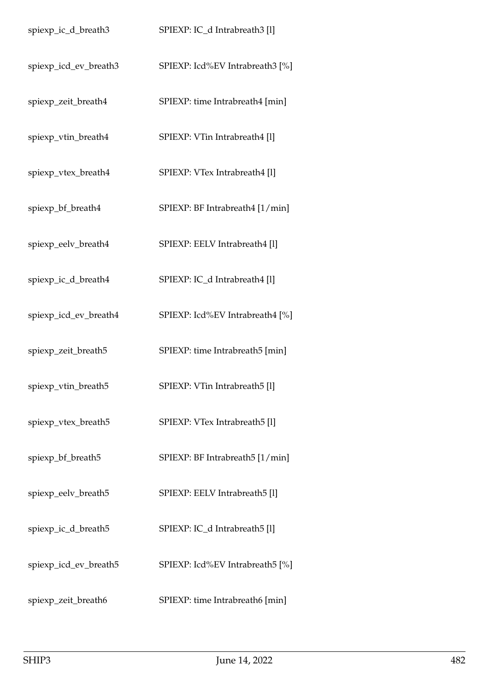| spiexp_ic_d_breath3   | SPIEXP: IC_d Intrabreath3 [1]   |
|-----------------------|---------------------------------|
| spiexp_icd_ev_breath3 | SPIEXP: Icd%EV Intrabreath3 [%] |
| spiexp_zeit_breath4   | SPIEXP: time Intrabreath4 [min] |
| spiexp_vtin_breath4   | SPIEXP: VTin Intrabreath4 [1]   |
| spiexp_vtex_breath4   | SPIEXP: VTex Intrabreath4 [1]   |
| spiexp_bf_breath4     | SPIEXP: BF Intrabreath4 [1/min] |
| spiexp_eelv_breath4   | SPIEXP: EELV Intrabreath4 [1]   |
| spiexp_ic_d_breath4   | SPIEXP: IC_d Intrabreath4 [1]   |
| spiexp_icd_ev_breath4 | SPIEXP: Icd%EV Intrabreath4 [%] |
| spiexp_zeit_breath5   | SPIEXP: time Intrabreath5 [min] |
| spiexp_vtin_breath5   | SPIEXP: VTin Intrabreath5 [1]   |
| spiexp_vtex_breath5   | SPIEXP: VTex Intrabreath5 [1]   |
| spiexp_bf_breath5     | SPIEXP: BF Intrabreath5 [1/min] |
| spiexp_eelv_breath5   | SPIEXP: EELV Intrabreath5 [1]   |
| spiexp_ic_d_breath5   | SPIEXP: IC_d Intrabreath5 [1]   |
| spiexp_icd_ev_breath5 | SPIEXP: Icd%EV Intrabreath5 [%] |
| spiexp_zeit_breath6   | SPIEXP: time Intrabreath6 [min] |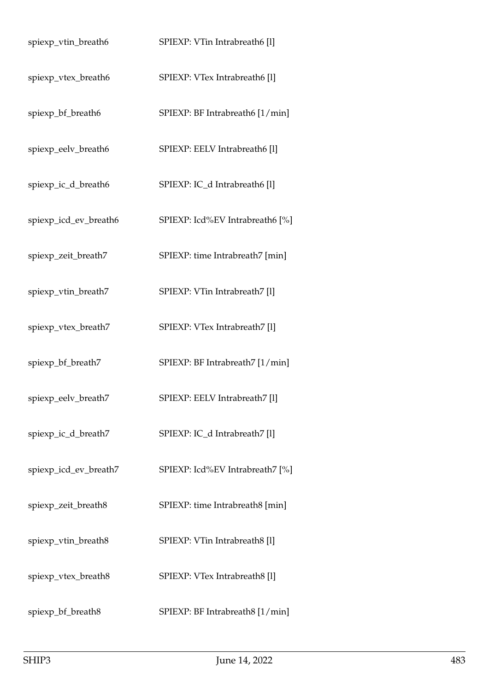| spiexp_vtin_breath6   | SPIEXP: VTin Intrabreath6 [1]   |
|-----------------------|---------------------------------|
| spiexp_vtex_breath6   | SPIEXP: VTex Intrabreath6 [1]   |
| spiexp_bf_breath6     | SPIEXP: BF Intrabreath6 [1/min] |
| spiexp_eelv_breath6   | SPIEXP: EELV Intrabreath6 [1]   |
| spiexp_ic_d_breath6   | SPIEXP: IC_d Intrabreath6 [1]   |
| spiexp_icd_ev_breath6 | SPIEXP: Icd%EV Intrabreath6 [%] |
| spiexp_zeit_breath7   | SPIEXP: time Intrabreath7 [min] |
| spiexp_vtin_breath7   | SPIEXP: VTin Intrabreath7 [1]   |
| spiexp_vtex_breath7   | SPIEXP: VTex Intrabreath7 [1]   |
| spiexp_bf_breath7     | SPIEXP: BF Intrabreath7 [1/min] |
| spiexp_eelv_breath7   | SPIEXP: EELV Intrabreath7 [1]   |
| spiexp_ic_d_breath7   | SPIEXP: IC_d Intrabreath7 [1]   |
| spiexp_icd_ev_breath7 | SPIEXP: Icd%EV Intrabreath7 [%] |
| spiexp_zeit_breath8   | SPIEXP: time Intrabreath8 [min] |
| spiexp_vtin_breath8   | SPIEXP: VTin Intrabreath8 [1]   |
| spiexp_vtex_breath8   | SPIEXP: VTex Intrabreath8 [1]   |
| spiexp_bf_breath8     | SPIEXP: BF Intrabreath8 [1/min] |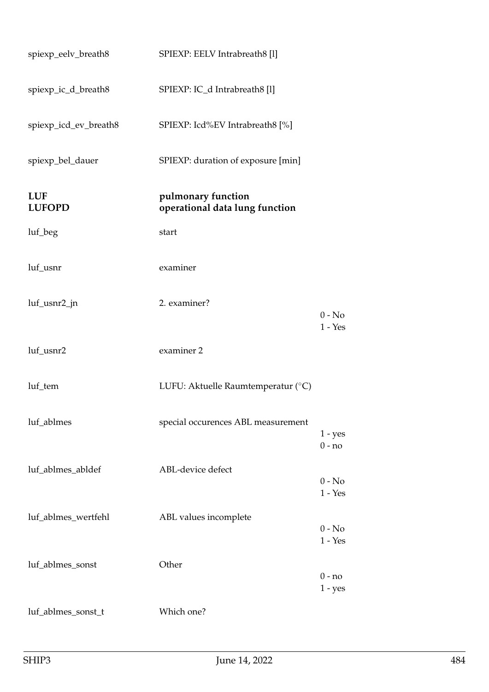| spiexp_eelv_breath8         | SPIEXP: EELV Intrabreath8 [1]                        |                       |
|-----------------------------|------------------------------------------------------|-----------------------|
| spiexp_ic_d_breath8         | SPIEXP: IC_d Intrabreath8 [1]                        |                       |
| spiexp_icd_ev_breath8       | SPIEXP: Icd%EV Intrabreath8 [%]                      |                       |
| spiexp_bel_dauer            | SPIEXP: duration of exposure [min]                   |                       |
| <b>LUF</b><br><b>LUFOPD</b> | pulmonary function<br>operational data lung function |                       |
| luf_beg                     | start                                                |                       |
| luf_usnr                    | examiner                                             |                       |
| luf_usnr2_jn                | 2. examiner?                                         | $0 - No$<br>$1 - Yes$ |
| luf_usnr2                   | examiner 2                                           |                       |
| luf_tem                     | LUFU: Aktuelle Raumtemperatur (°C)                   |                       |
| luf_ablmes                  | special occurences ABL measurement                   | $1 - yes$<br>$0 - no$ |
| luf_ablmes_abldef           | ABL-device defect                                    | $0 - No$<br>$1 - Yes$ |
| luf_ablmes_wertfehl         | ABL values incomplete                                | $0 - No$<br>$1 - Yes$ |
| luf_ablmes_sonst            | Other                                                | $0 - no$<br>$1 - yes$ |
| luf_ablmes_sonst_t          | Which one?                                           |                       |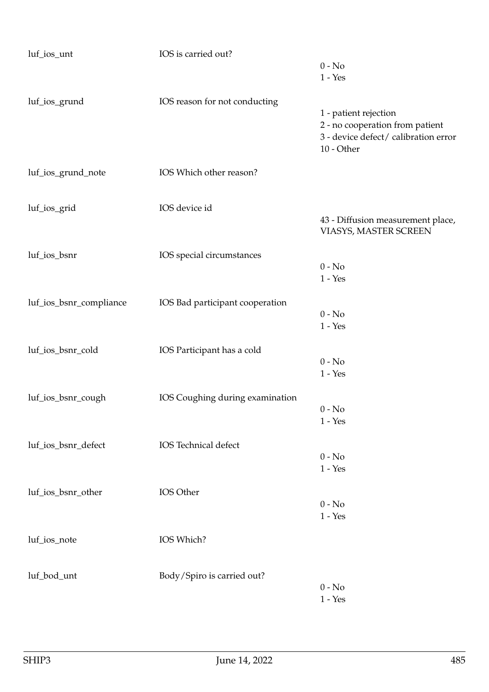| luf_ios_unt             | IOS is carried out?             |                                      |
|-------------------------|---------------------------------|--------------------------------------|
|                         |                                 | $0 - No$                             |
|                         |                                 | $1 - Yes$                            |
| luf_ios_grund           | IOS reason for not conducting   |                                      |
|                         |                                 | 1 - patient rejection                |
|                         |                                 | 2 - no cooperation from patient      |
|                         |                                 | 3 - device defect/ calibration error |
|                         |                                 | 10 - Other                           |
| luf_ios_grund_note      | IOS Which other reason?         |                                      |
|                         |                                 |                                      |
| luf_ios_grid            | IOS device id                   |                                      |
|                         |                                 | 43 - Diffusion measurement place,    |
|                         |                                 | VIASYS, MASTER SCREEN                |
| luf_ios_bsnr            | IOS special circumstances       |                                      |
|                         |                                 | $0 - No$                             |
|                         |                                 | $1 - Yes$                            |
|                         |                                 |                                      |
| luf_ios_bsnr_compliance | IOS Bad participant cooperation |                                      |
|                         |                                 | $0 - No$<br>$1 - Yes$                |
|                         |                                 |                                      |
| luf_ios_bsnr_cold       | IOS Participant has a cold      |                                      |
|                         |                                 | $0 - No$                             |
|                         |                                 | $1 - Yes$                            |
| luf_ios_bsnr_cough      | IOS Coughing during examination |                                      |
|                         |                                 | $0 - No$                             |
|                         |                                 | $1 - Yes$                            |
|                         |                                 |                                      |
| luf_ios_bsnr_defect     | IOS Technical defect            | $0 - No$                             |
|                         |                                 | $1 - Yes$                            |
|                         |                                 |                                      |
| luf_ios_bsnr_other      | IOS Other                       |                                      |
|                         |                                 | $0 - No$                             |
|                         |                                 | $1 - Yes$                            |
|                         |                                 |                                      |
| luf_ios_note            | IOS Which?                      |                                      |
|                         |                                 |                                      |
| luf_bod_unt             | Body/Spiro is carried out?      |                                      |
|                         |                                 | $0 - No$                             |
|                         |                                 | $1 - Yes$                            |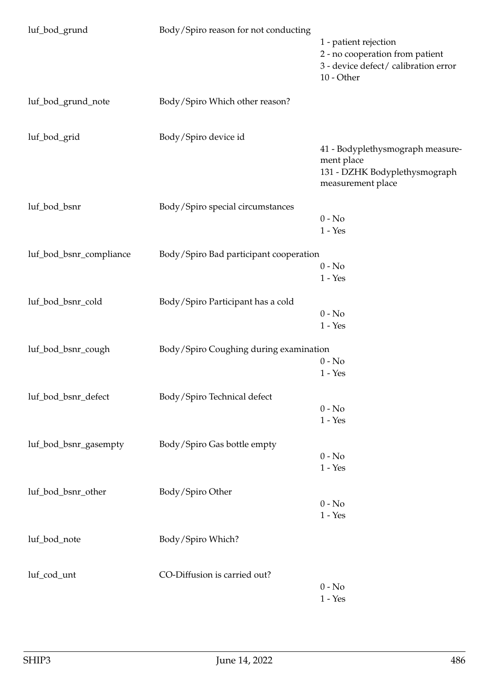| luf_bod_grund           | Body/Spiro reason for not conducting   | 1 - patient rejection<br>2 - no cooperation from patient<br>3 - device defect/ calibration error<br>$10$ - Other |
|-------------------------|----------------------------------------|------------------------------------------------------------------------------------------------------------------|
| luf_bod_grund_note      | Body/Spiro Which other reason?         |                                                                                                                  |
| luf_bod_grid            | Body/Spiro device id                   | 41 - Bodyplethysmograph measure-<br>ment place<br>131 - DZHK Bodyplethysmograph<br>measurement place             |
| luf_bod_bsnr            | Body/Spiro special circumstances       | $0 - No$<br>$1 - Yes$                                                                                            |
| luf_bod_bsnr_compliance | Body/Spiro Bad participant cooperation | $0 - No$<br>$1 - Yes$                                                                                            |
| luf_bod_bsnr_cold       | Body/Spiro Participant has a cold      | $0 - No$<br>$1 - Yes$                                                                                            |
| luf_bod_bsnr_cough      | Body/Spiro Coughing during examination | $0 - No$<br>$1 - Yes$                                                                                            |
| luf_bod_bsnr_defect     | Body/Spiro Technical defect            | $0 - No$<br>$1 - Yes$                                                                                            |
| luf_bod_bsnr_gasempty   | Body/Spiro Gas bottle empty            | $0 - No$<br>$1 - Yes$                                                                                            |
| luf_bod_bsnr_other      | Body/Spiro Other                       | $0 - No$<br>$1 - Yes$                                                                                            |
| luf_bod_note            | Body/Spiro Which?                      |                                                                                                                  |
| luf_cod_unt             | CO-Diffusion is carried out?           | $0 - No$<br>$1 - Yes$                                                                                            |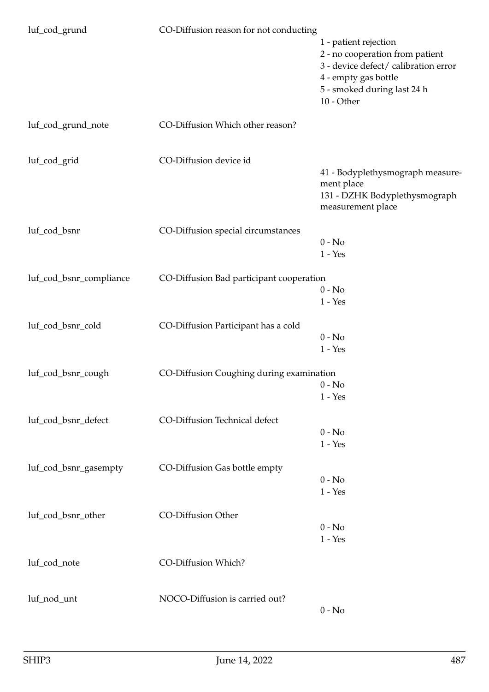| luf_cod_grund           | CO-Diffusion reason for not conducting   | 1 - patient rejection<br>2 - no cooperation from patient<br>3 - device defect/ calibration error<br>4 - empty gas bottle<br>5 - smoked during last 24 h<br>10 - Other |
|-------------------------|------------------------------------------|-----------------------------------------------------------------------------------------------------------------------------------------------------------------------|
| luf_cod_grund_note      | CO-Diffusion Which other reason?         |                                                                                                                                                                       |
| luf_cod_grid            | CO-Diffusion device id                   | 41 - Bodyplethysmograph measure-<br>ment place<br>131 - DZHK Bodyplethysmograph<br>measurement place                                                                  |
| luf_cod_bsnr            | CO-Diffusion special circumstances       | $0 - No$<br>$1 - Yes$                                                                                                                                                 |
| luf_cod_bsnr_compliance | CO-Diffusion Bad participant cooperation | $0 - No$<br>$1 - Yes$                                                                                                                                                 |
| luf_cod_bsnr_cold       | CO-Diffusion Participant has a cold      | $0 - No$<br>$1 - Yes$                                                                                                                                                 |
| luf_cod_bsnr_cough      | CO-Diffusion Coughing during examination | $0 - No$<br>$1 - Yes$                                                                                                                                                 |
| luf_cod_bsnr_defect     | CO-Diffusion Technical defect            | $0 - No$<br>$1 - Yes$                                                                                                                                                 |
| luf_cod_bsnr_gasempty   | CO-Diffusion Gas bottle empty            | $0 - No$<br>$1 - Yes$                                                                                                                                                 |
| luf_cod_bsnr_other      | CO-Diffusion Other                       | $0 - No$<br>$1 - Yes$                                                                                                                                                 |
| luf_cod_note            | CO-Diffusion Which?                      |                                                                                                                                                                       |
| luf_nod_unt             | NOCO-Diffusion is carried out?           | $0 - No$                                                                                                                                                              |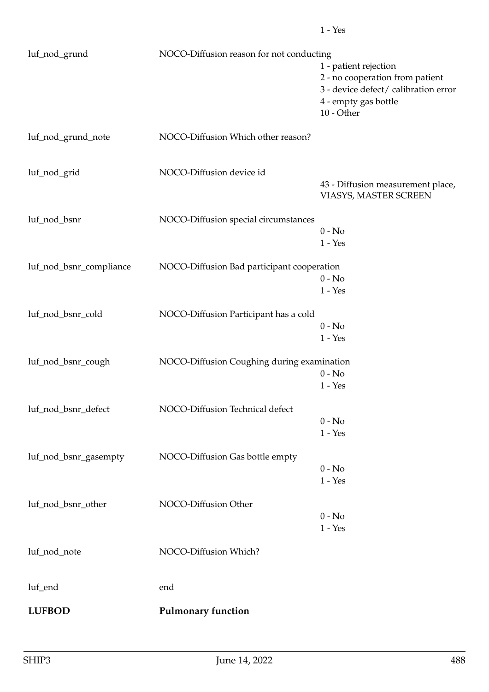| luf_nod_grund           | NOCO-Diffusion reason for not conducting   |                                                              |
|-------------------------|--------------------------------------------|--------------------------------------------------------------|
|                         |                                            | 1 - patient rejection<br>2 - no cooperation from patient     |
|                         |                                            | 3 - device defect/ calibration error<br>4 - empty gas bottle |
|                         |                                            | 10 - Other                                                   |
| luf_nod_grund_note      | NOCO-Diffusion Which other reason?         |                                                              |
| luf_nod_grid            | NOCO-Diffusion device id                   |                                                              |
|                         |                                            | 43 - Diffusion measurement place,<br>VIASYS, MASTER SCREEN   |
| luf_nod_bsnr            | NOCO-Diffusion special circumstances       |                                                              |
|                         |                                            | $0 - No$<br>$1 - Yes$                                        |
| luf_nod_bsnr_compliance | NOCO-Diffusion Bad participant cooperation |                                                              |
|                         |                                            | $0 - No$<br>$1 - Yes$                                        |
| luf_nod_bsnr_cold       | NOCO-Diffusion Participant has a cold      |                                                              |
|                         |                                            | $0 - No$<br>$1 - Yes$                                        |
| luf_nod_bsnr_cough      |                                            |                                                              |
|                         | NOCO-Diffusion Coughing during examination | $0 - No$                                                     |
|                         |                                            | $1 - Yes$                                                    |
| luf_nod_bsnr_defect     | NOCO-Diffusion Technical defect            |                                                              |
|                         |                                            | $0 - No$<br>$1 - Yes$                                        |
| luf_nod_bsnr_gasempty   | NOCO-Diffusion Gas bottle empty            |                                                              |
|                         |                                            | $0 - No$                                                     |
|                         |                                            | $1 - Yes$                                                    |
| luf_nod_bsnr_other      | NOCO-Diffusion Other                       |                                                              |
|                         |                                            | $0 - No$<br>$1 - Yes$                                        |
| luf_nod_note            | NOCO-Diffusion Which?                      |                                                              |
| luf_end                 | end                                        |                                                              |
| <b>LUFBOD</b>           | <b>Pulmonary function</b>                  |                                                              |
|                         |                                            |                                                              |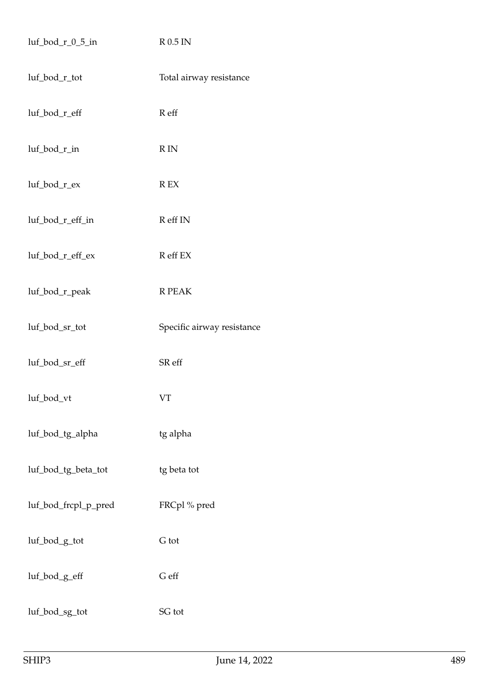| $luf\_bod_r_0_5_in$  | $R$ 0.5 IN                 |
|----------------------|----------------------------|
| luf_bod_r_tot        | Total airway resistance    |
| luf_bod_r_eff        | R eff                      |
| luf_bod_r_in         | $\mathbb R$ IN             |
| luf_bod_r_ex         | $\mathbb{R}$ EX            |
| luf_bod_r_eff_in     | R eff IN                   |
| luf_bod_r_eff_ex     | R eff EX                   |
| luf_bod_r_peak       | R PEAK                     |
| luf_bod_sr_tot       | Specific airway resistance |
| luf_bod_sr_eff       | SR eff                     |
| luf_bod_vt           | <b>VT</b>                  |
| luf_bod_tg_alpha     | tg alpha                   |
| luf_bod_tg_beta_tot  | tg beta tot                |
| luf_bod_frcpl_p_pred | FRCpl% pred                |
| luf_bod_g_tot        | G tot                      |
| luf_bod_g_eff        | ${\mathsf G}$ eff          |
| luf_bod_sg_tot       | SG tot                     |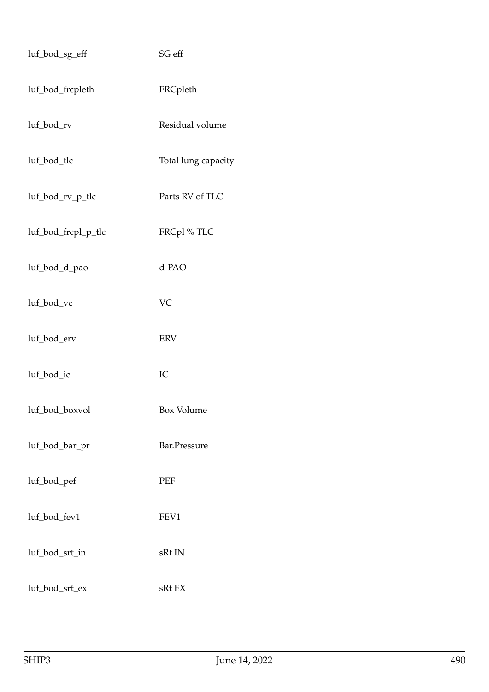| luf_bod_sg_eff      | SG eff              |
|---------------------|---------------------|
| luf_bod_frcpleth    | FRCpleth            |
| luf_bod_rv          | Residual volume     |
| luf_bod_tlc         | Total lung capacity |
| luf_bod_rv_p_tlc    | Parts RV of TLC     |
| luf_bod_frcpl_p_tlc | FRCpl%TLC           |
| luf_bod_d_pao       | d-PAO               |
| luf_bod_vc          | <b>VC</b>           |
| luf_bod_erv         | <b>ERV</b>          |
| luf_bod_ic          | IC                  |
| luf_bod_boxvol      | Box Volume          |
| luf_bod_bar_pr      | Bar.Pressure        |
| luf_bod_pef         | PEF                 |
| luf_bod_fev1        | FEV1                |
| luf_bod_srt_in      | sRt IN              |
| luf_bod_srt_ex      | sRt EX              |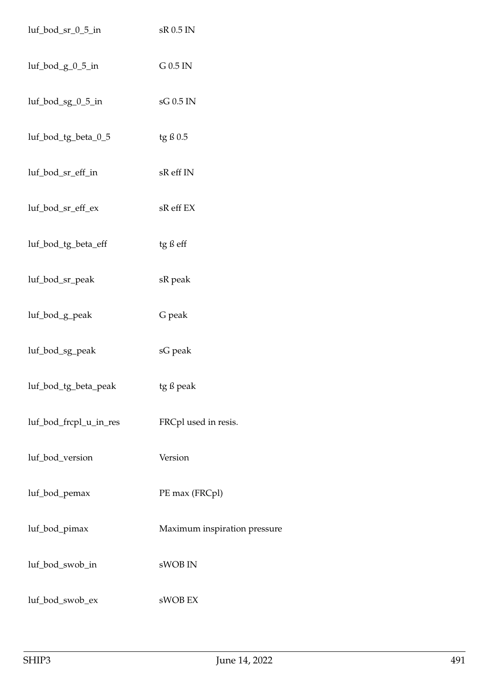| luf_bod_sr_0_5_in      | sR 0.5 IN                    |
|------------------------|------------------------------|
| $luf\_bod_g_0_5_in$    | $G$ 0.5 IN                   |
| luf_bod_sg_0_5_in      | sG 0.5 IN                    |
| luf_bod_tg_beta_0_5    | tg ß 0.5                     |
| luf_bod_sr_eff_in      | sR eff IN                    |
| luf_bod_sr_eff_ex      | sR eff EX                    |
| luf_bod_tg_beta_eff    | tg ß eff                     |
| luf_bod_sr_peak        | sR peak                      |
| luf_bod_g_peak         | G peak                       |
| luf_bod_sg_peak        | sG peak                      |
| luf_bod_tg_beta_peak   | tg ß peak                    |
| luf_bod_frcpl_u_in_res | FRCpl used in resis.         |
| luf_bod_version        | Version                      |
| luf_bod_pemax          | PE max (FRCpl)               |
| luf_bod_pimax          | Maximum inspiration pressure |
| luf_bod_swob_in        | sWOB IN                      |
| luf_bod_swob_ex        | sWOB EX                      |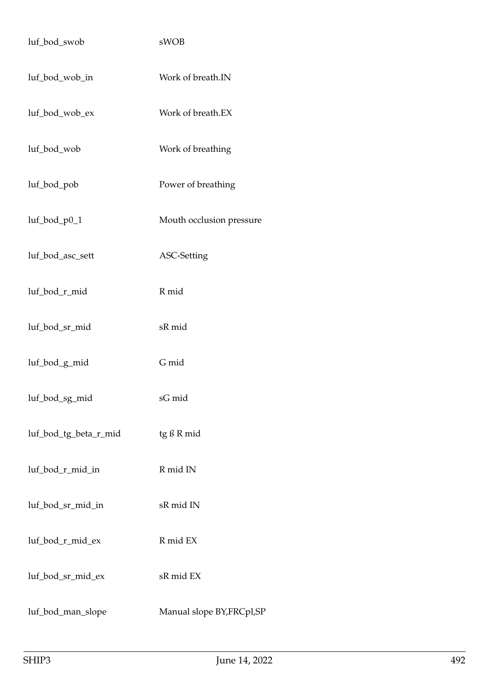| luf_bod_swob          | sWOB                       |
|-----------------------|----------------------------|
| luf_bod_wob_in        | Work of breath.IN          |
| luf_bod_wob_ex        | Work of breath.EX          |
| luf_bod_wob           | Work of breathing          |
| luf_bod_pob           | Power of breathing         |
| luf_bod_p0_1          | Mouth occlusion pressure   |
| luf_bod_asc_sett      | ASC-Setting                |
| luf_bod_r_mid         | R mid                      |
| luf_bod_sr_mid        | sR mid                     |
| luf_bod_g_mid         | G mid                      |
| luf_bod_sg_mid        | sG mid                     |
| luf_bod_tg_beta_r_mid | tg ß R mid                 |
| luf_bod_r_mid_in      | R mid IN                   |
| luf_bod_sr_mid_in     | sR mid IN                  |
| luf_bod_r_mid_ex      | R mid EX                   |
| luf_bod_sr_mid_ex     | sR mid EX                  |
| luf_bod_man_slope     | Manual slope BY, FRCpl, SP |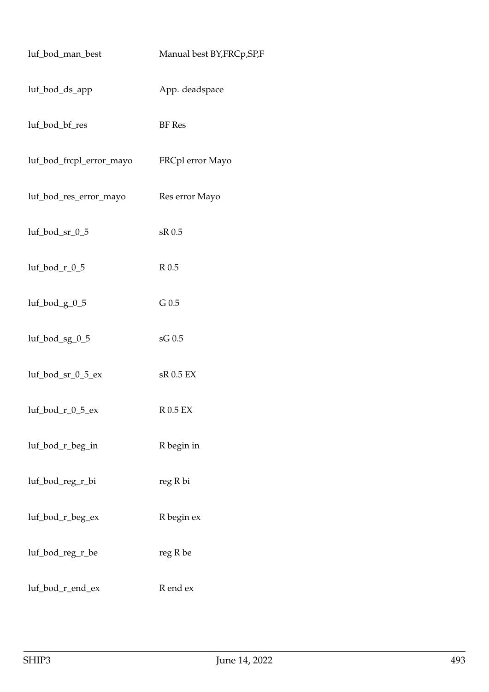| luf_bod_man_best           | Manual best BY, FRCp, SP, F |
|----------------------------|-----------------------------|
| luf_bod_ds_app             | App. deadspace              |
| luf_bod_bf_res             | <b>BF</b> Res               |
| luf_bod_frcpl_error_mayo   | FRCpl error Mayo            |
| luf_bod_res_error_mayo     | Res error Mayo              |
| luf_bod_sr_0_5             | sR 0.5                      |
| luf_bod_r_0_5              | R <sub>0.5</sub>            |
| luf_bod_g_0_5              | $G$ 0.5                     |
| luf_bod_sg_0_5             | sG 0.5                      |
| luf_bod_sr_0_5_ex          | sR 0.5 EX                   |
| $luf\_bod_r_0_5_\text{ex}$ | R 0.5 EX                    |
| luf_bod_r_beg_in           | R begin in                  |
| luf_bod_reg_r_bi           | reg R bi                    |
| luf_bod_r_beg_ex           | R begin ex                  |
| luf_bod_reg_r_be           | reg R be                    |
| luf_bod_r_end_ex           | R end ex                    |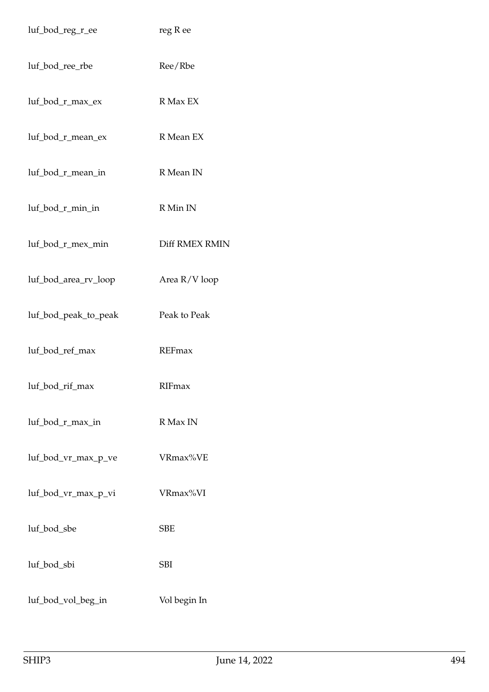| luf_bod_reg_r_ee     | reg R ee       |
|----------------------|----------------|
| luf_bod_ree_rbe      | Ree/Rbe        |
| luf_bod_r_max_ex     | R Max EX       |
| luf_bod_r_mean_ex    | R Mean EX      |
| luf_bod_r_mean_in    | R Mean IN      |
| luf_bod_r_min_in     | R Min IN       |
| luf_bod_r_mex_min    | Diff RMEX RMIN |
| luf_bod_area_rv_loop | Area R/V loop  |
| luf_bod_peak_to_peak | Peak to Peak   |
| luf_bod_ref_max      | <b>REFmax</b>  |
| luf_bod_rif_max      | RIFmax         |
| luf_bod_r_max_in     | R Max IN       |
| luf_bod_vr_max_p_ve  | VRmax%VE       |
| luf_bod_vr_max_p_vi  | VRmax%VI       |
| luf_bod_sbe          | <b>SBE</b>     |
| luf_bod_sbi          | SBI            |
| luf_bod_vol_beg_in   | Vol begin In   |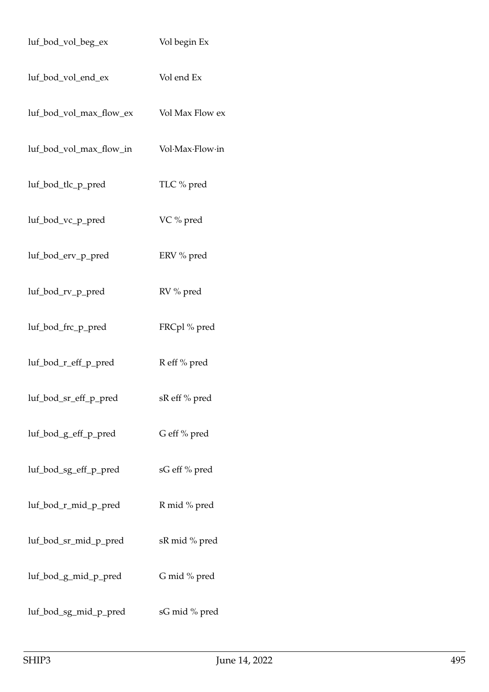| luf_bod_vol_beg_ex      | Vol begin Ex    |
|-------------------------|-----------------|
| luf_bod_vol_end_ex      | Vol end Ex      |
| luf_bod_vol_max_flow_ex | Vol Max Flow ex |
| luf_bod_vol_max_flow_in | Vol·Max·Flow·in |
| luf_bod_tlc_p_pred      | TLC % pred      |
| luf_bod_vc_p_pred       | VC % pred       |
| luf_bod_erv_p_pred      | ERV % pred      |
| luf_bod_rv_p_pred       | RV % pred       |
| luf_bod_frc_p_pred      | FRCpl % pred    |
| luf_bod_r_eff_p_pred    | R eff % pred    |
| luf_bod_sr_eff_p_pred   | sR eff % pred   |
| luf_bod_g_eff_p_pred    | G eff % pred    |
| luf_bod_sg_eff_p_pred   | sG eff % pred   |
| luf_bod_r_mid_p_pred    | R mid % pred    |
| luf_bod_sr_mid_p_pred   | sR mid % pred   |
| luf_bod_g_mid_p_pred    | G mid % pred    |
| luf_bod_sg_mid_p_pred   | sG mid % pred   |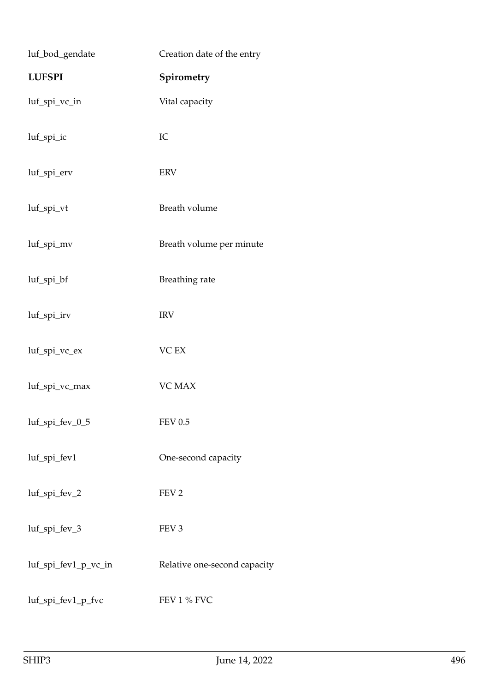| luf_bod_gendate      | Creation date of the entry   |
|----------------------|------------------------------|
| <b>LUFSPI</b>        | Spirometry                   |
| luf_spi_vc_in        | Vital capacity               |
| luf_spi_ic           | IC                           |
| luf_spi_erv          | <b>ERV</b>                   |
| luf_spi_vt           | Breath volume                |
| luf_spi_mv           | Breath volume per minute     |
| luf_spi_bf           | Breathing rate               |
| luf_spi_irv          | <b>IRV</b>                   |
| luf_spi_vc_ex        | VC EX                        |
| luf_spi_vc_max       | <b>VC MAX</b>                |
| luf_spi_fev_0_5      | <b>FEV 0.5</b>               |
| luf_spi_fev1         | One-second capacity          |
| luf_spi_fev_2        | FEV <sub>2</sub>             |
| luf_spi_fev_3        | FEV <sub>3</sub>             |
| luf_spi_fev1_p_vc_in | Relative one-second capacity |
| luf_spi_fev1_p_fvc   | FEV 1 % FVC                  |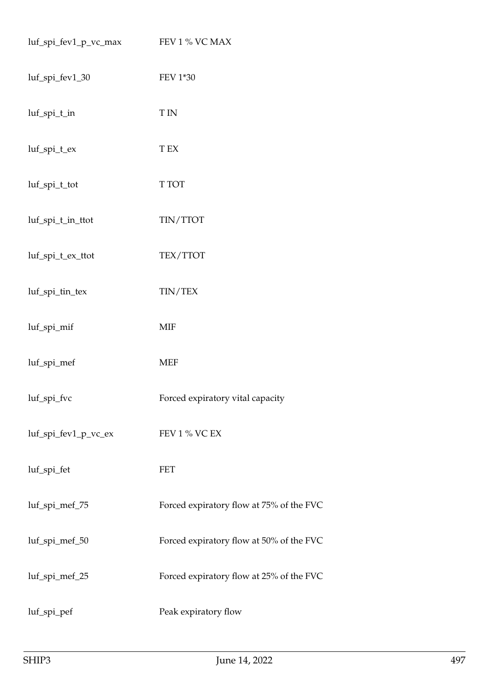| luf_spi_fev1_p_vc_max | FEV 1 % VC MAX                           |
|-----------------------|------------------------------------------|
| luf_spi_fev1_30       | FEV 1*30                                 |
| luf_spi_t_in          | <b>TIN</b>                               |
| luf_spi_t_ex          | ${\rm T~EX}$                             |
| luf_spi_t_tot         | T TOT                                    |
| luf_spi_t_in_ttot     | TIN/TTOT                                 |
| luf_spi_t_ex_ttot     | TEX/TTOT                                 |
| luf_spi_tin_tex       | TIN/TEX                                  |
| luf_spi_mif           | <b>MIF</b>                               |
| luf_spi_mef           | <b>MEF</b>                               |
| luf_spi_fvc           | Forced expiratory vital capacity         |
| luf_spi_fev1_p_vc_ex  | FEV 1 % VC EX                            |
| luf_spi_fet           | FET                                      |
| luf_spi_mef_75        | Forced expiratory flow at 75% of the FVC |
| luf_spi_mef_50        | Forced expiratory flow at 50% of the FVC |
| luf_spi_mef_25        | Forced expiratory flow at 25% of the FVC |
| luf_spi_pef           | Peak expiratory flow                     |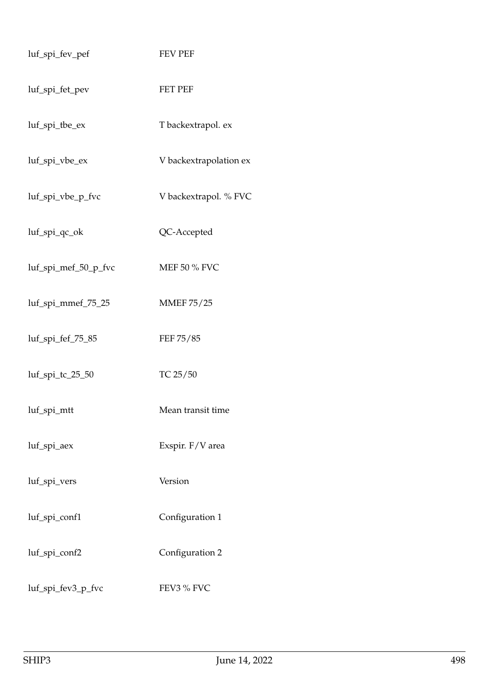| luf_spi_fev_pef      | <b>FEV PEF</b>         |
|----------------------|------------------------|
| luf_spi_fet_pev      | <b>FET PEF</b>         |
| luf_spi_tbe_ex       | T backextrapol. ex     |
| luf_spi_vbe_ex       | V backextrapolation ex |
| luf_spi_vbe_p_fvc    | V backextrapol. % FVC  |
| luf_spi_qc_ok        | QC-Accepted            |
| luf_spi_mef_50_p_fvc | MEF 50 % FVC           |
| luf_spi_mmef_75_25   | <b>MMEF 75/25</b>      |
| luf_spi_fef_75_85    | FEF 75/85              |
| luf_spi_tc_25_50     | TC 25/50               |
| luf_spi_mtt          | Mean transit time      |
| luf_spi_aex          | Exspir. F/V area       |
| luf_spi_vers         | Version                |
| luf_spi_conf1        | Configuration 1        |
| luf_spi_conf2        | Configuration 2        |
| luf_spi_fev3_p_fvc   | FEV3 % FVC             |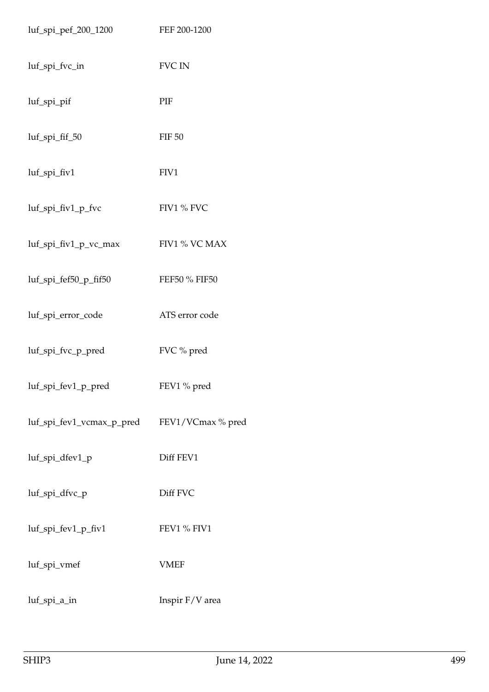| luf_spi_pef_200_1200      | FEF 200-1200      |
|---------------------------|-------------------|
| luf_spi_fvc_in            | <b>FVC IN</b>     |
| luf_spi_pif               | PIF               |
| luf_spi_fif_50            | <b>FIF 50</b>     |
| luf_spi_fiv1              | FIV1              |
| luf_spi_fiv1_p_fvc        | FIV1 % FVC        |
| luf_spi_fiv1_p_vc_max     | FIV1 % VC MAX     |
| luf_spi_fef50_p_fif50     | FEF50 % FIF50     |
| luf_spi_error_code        | ATS error code    |
| luf_spi_fvc_p_pred        | FVC % pred        |
| luf_spi_fev1_p_pred       | FEV1 % pred       |
| luf_spi_fev1_vcmax_p_pred | FEV1/VCmax % pred |
| luf_spi_dfev1_p           | Diff FEV1         |
| luf_spi_dfvc_p            | Diff FVC          |
| luf_spi_fev1_p_fiv1       | FEV1 % FIV1       |
| luf_spi_vmef              | <b>VMEF</b>       |
| luf_spi_a_in              | Inspir F/V area   |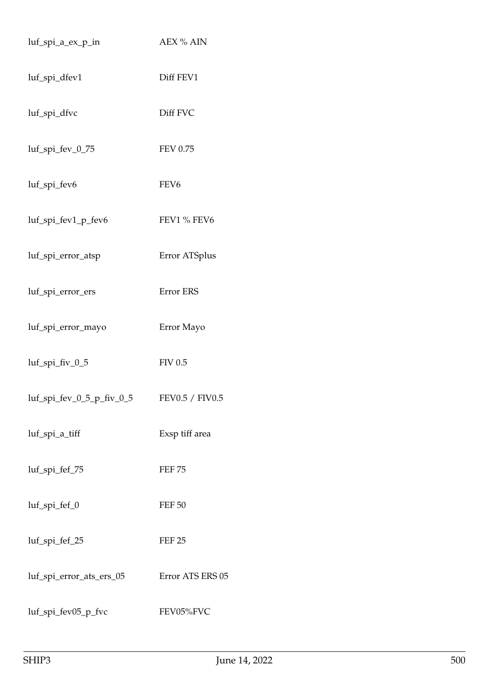| luf_spi_a_ex_p_in            | <b>AEX % AIN</b> |
|------------------------------|------------------|
| luf_spi_dfev1                | Diff FEV1        |
| luf_spi_dfvc                 | Diff FVC         |
| luf_spi_fev_0_75             | <b>FEV 0.75</b>  |
| luf_spi_fev6                 | FEV <sub>6</sub> |
| luf_spi_fev1_p_fev6          | FEV1 % FEV6      |
| luf_spi_error_atsp           | Error ATSplus    |
| luf_spi_error_ers            | Error ERS        |
| luf_spi_error_mayo           | Error Mayo       |
| luf_spi_fiv_0_5              | <b>FIV 0.5</b>   |
| $luf$ _spi_fev_0_5_p_fiv_0_5 | FEV0.5 / FIV0.5  |
| luf_spi_a_tiff               | Exsp tiff area   |
| luf_spi_fef_75               | <b>FEF 75</b>    |
| luf_spi_fef_0                | <b>FEF 50</b>    |
| luf_spi_fef_25               | <b>FEF 25</b>    |
| luf_spi_error_ats_ers_05     | Error ATS ERS 05 |
| luf_spi_fev05_p_fvc          | FEV05%FVC        |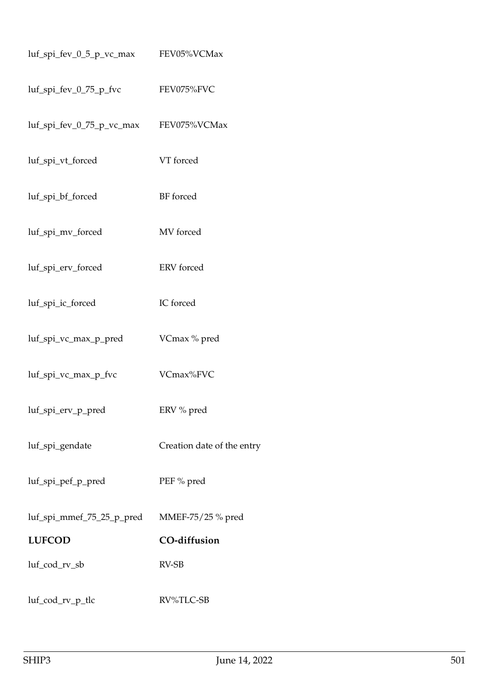| $luf_spi_fev_0_5_pvc_max$    | FEV05%VCMax                |
|------------------------------|----------------------------|
| luf_spi_fev_0_75_p_fvc       | FEV075%FVC                 |
| $luf$ _spi_fev_0_75_p_vc_max | FEV075%VCMax               |
| luf_spi_vt_forced            | VT forced                  |
| luf_spi_bf_forced            | BF forced                  |
| luf_spi_mv_forced            | MV forced                  |
| luf_spi_erv_forced           | ERV forced                 |
| luf_spi_ic_forced            | IC forced                  |
| luf_spi_vc_max_p_pred        | VCmax % pred               |
| luf_spi_vc_max_p_fvc         | VCmax%FVC                  |
| luf_spi_erv_p_pred           | ERV % pred                 |
| luf_spi_gendate              | Creation date of the entry |
| luf_spi_pef_p_pred           | PEF % pred                 |
| luf_spi_mmef_75_25_p_pred    | MMEF-75/25 % pred          |
| <b>LUFCOD</b>                | <b>CO-diffusion</b>        |
| luf_cod_rv_sb                | RV-SB                      |
| luf_cod_rv_p_tlc             | RV%TLC-SB                  |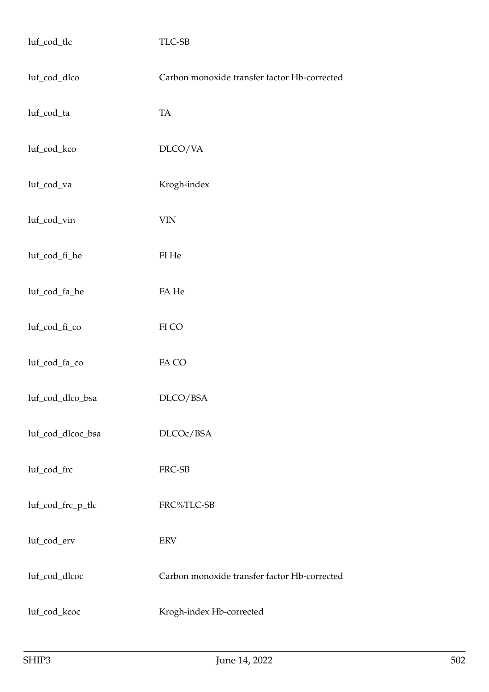| luf_cod_tlc       | TLC-SB                                       |
|-------------------|----------------------------------------------|
| luf_cod_dlco      | Carbon monoxide transfer factor Hb-corrected |
| luf_cod_ta        | TA                                           |
| luf_cod_kco       | DLCO/VA                                      |
| luf_cod_va        | Krogh-index                                  |
| luf_cod_vin       | <b>VIN</b>                                   |
| luf_cod_fi_he     | ${\rm FI}$ He                                |
| luf_cod_fa_he     | ${\rm FA}$ He                                |
| luf_cod_fi_co     | ${\rm FI}$ CO                                |
| luf_cod_fa_co     | FA CO                                        |
| luf_cod_dlco_bsa  | DLCO/BSA                                     |
| luf_cod_dlcoc_bsa | DLCOc/BSA                                    |
| luf_cod_frc       | FRC-SB                                       |
| luf_cod_frc_p_tlc | FRC%TLC-SB                                   |
| luf_cod_erv       | <b>ERV</b>                                   |
| luf_cod_dlcoc     | Carbon monoxide transfer factor Hb-corrected |
| luf_cod_kcoc      | Krogh-index Hb-corrected                     |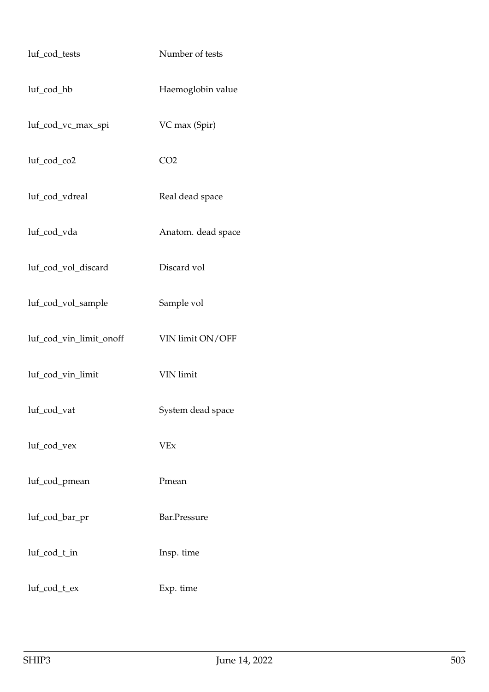| luf_cod_tests           | Number of tests    |
|-------------------------|--------------------|
| luf_cod_hb              | Haemoglobin value  |
| luf_cod_vc_max_spi      | VC max (Spir)      |
| luf_cod_co2             | CO <sub>2</sub>    |
| luf_cod_vdreal          | Real dead space    |
| luf_cod_vda             | Anatom. dead space |
| luf_cod_vol_discard     | Discard vol        |
| luf_cod_vol_sample      | Sample vol         |
| luf_cod_vin_limit_onoff | VIN limit ON/OFF   |
| luf_cod_vin_limit       | <b>VIN</b> limit   |
| luf_cod_vat             | System dead space  |
| luf_cod_vex             | <b>VEx</b>         |
| luf_cod_pmean           | Pmean              |
| luf_cod_bar_pr          | Bar.Pressure       |
| luf_cod_t_in            | Insp. time         |
| luf_cod_t_ex            | Exp. time          |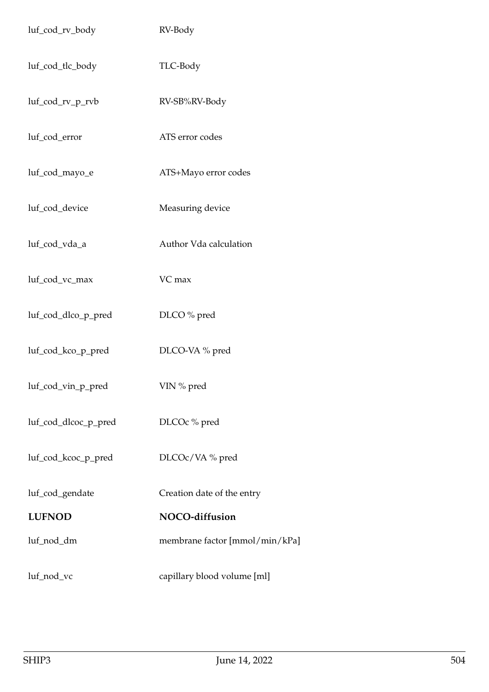| luf_cod_rv_body      | RV-Body                        |
|----------------------|--------------------------------|
| luf_cod_tlc_body     | TLC-Body                       |
| luf_cod_rv_p_rvb     | RV-SB%RV-Body                  |
| luf_cod_error        | ATS error codes                |
| luf_cod_mayo_e       | ATS+Mayo error codes           |
| luf_cod_device       | Measuring device               |
| luf_cod_vda_a        | Author Vda calculation         |
| luf_cod_vc_max       | VC max                         |
| luf_cod_dlco_p_pred  | DLCO % pred                    |
| luf_cod_kco_p_pred   | DLCO-VA % pred                 |
| luf_cod_vin_p_pred   | VIN % pred                     |
| luf_cod_dlcoc_p_pred | DLCOc % pred                   |
| luf_cod_kcoc_p_pred  | DLCOc/VA% pred                 |
| luf_cod_gendate      | Creation date of the entry     |
| <b>LUFNOD</b>        | NOCO-diffusion                 |
| luf_nod_dm           | membrane factor [mmol/min/kPa] |
| luf_nod_vc           | capillary blood volume [ml]    |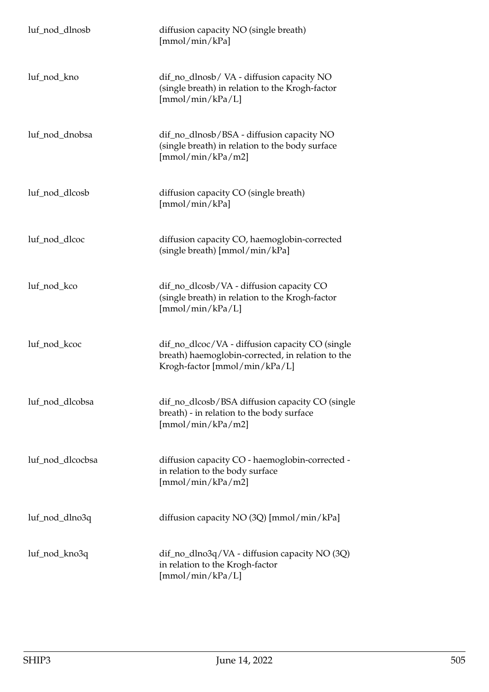| luf_nod_dlnosb   | diffusion capacity NO (single breath)<br>[mmol/min/kPa]                                                                               |
|------------------|---------------------------------------------------------------------------------------------------------------------------------------|
| luf_nod_kno      | dif_no_dlnosb/VA - diffusion capacity NO<br>(single breath) in relation to the Krogh-factor<br>[mmol/min/kPa/L]                       |
| luf_nod_dnobsa   | dif_no_dlnosb/BSA - diffusion capacity NO<br>(single breath) in relation to the body surface<br>[mmol/min/kPa/m2]                     |
| luf_nod_dlcosb   | diffusion capacity CO (single breath)<br>[mmol/min/kPa]                                                                               |
| luf_nod_dlcoc    | diffusion capacity CO, haemoglobin-corrected<br>(single breath) [mmol/min/kPa]                                                        |
| luf_nod_kco      | dif_no_dlcosb/VA - diffusion capacity CO<br>(single breath) in relation to the Krogh-factor<br>[mmol/min/kPa/L]                       |
| luf_nod_kcoc     | dif_no_dlcoc/VA - diffusion capacity CO (single<br>breath) haemoglobin-corrected, in relation to the<br>Krogh-factor [mmol/min/kPa/L] |
| luf_nod_dlcobsa  | dif_no_dlcosb/BSA diffusion capacity CO (single<br>breath) - in relation to the body surface<br>[mmol/min/kPa/m2]                     |
| luf_nod_dlcocbsa | diffusion capacity CO - haemoglobin-corrected -<br>in relation to the body surface<br>[mmol/min/kPa/m2]                               |
| luf_nod_dlno3q   | diffusion capacity NO (3Q) [mmol/min/kPa]                                                                                             |
| luf_nod_kno3q    | dif_no_dlno3q/VA - diffusion capacity NO (3Q)<br>in relation to the Krogh-factor<br>[mmol/min/kPa/L]                                  |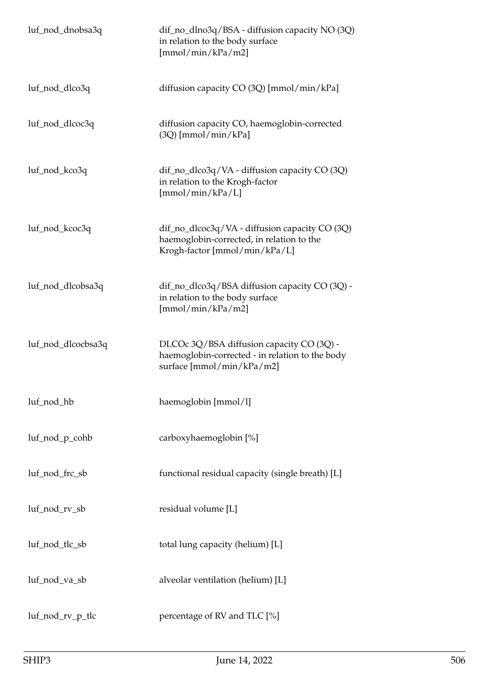| luf_nod_dnobsa3q   | dif_no_dlno3q/BSA - diffusion capacity NO (3Q)<br>in relation to the body surface<br>[mmol/min/kPa/m2]                       |
|--------------------|------------------------------------------------------------------------------------------------------------------------------|
| luf_nod_dlco3q     | diffusion capacity CO (3Q) [mmol/min/kPa]                                                                                    |
| luf_nod_dlcoc3q    | diffusion capacity CO, haemoglobin-corrected<br>$(3Q)$ [mmol/min/kPa]                                                        |
| luf_nod_kco3q      | dif_no_dlco3q/VA - diffusion capacity CO (3Q)<br>in relation to the Krogh-factor<br>[mmol/min/kPa/L]                         |
| luf_nod_kcoc3q     | dif_no_dlcoc3q/VA - diffusion capacity CO (3Q)<br>haemoglobin-corrected, in relation to the<br>Krogh-factor [mmol/min/kPa/L] |
| luf_nod_dlcobsa3q  | dif_no_dlco3q/BSA diffusion capacity CO (3Q) -<br>in relation to the body surface<br>[mmol/min/kPa/m2]                       |
| luf_nod_dlcocbsa3q | DLCOc 3Q/BSA diffusion capacity CO (3Q) -<br>haemoglobin-corrected - in relation to the body<br>surface [mmol/min/kPa/m2]    |
| luf_nod_hb         | haemoglobin [mmol/l]                                                                                                         |
| luf_nod_p_cohb     | carboxyhaemoglobin [%]                                                                                                       |
| luf_nod_frc_sb     | functional residual capacity (single breath) [L]                                                                             |
| luf_nod_rv_sb      | residual volume [L]                                                                                                          |
| luf_nod_tlc_sb     | total lung capacity (helium) [L]                                                                                             |
| luf_nod_va_sb      | alveolar ventilation (helium) [L]                                                                                            |
| luf_nod_rv_p_tlc   | percentage of RV and TLC [%]                                                                                                 |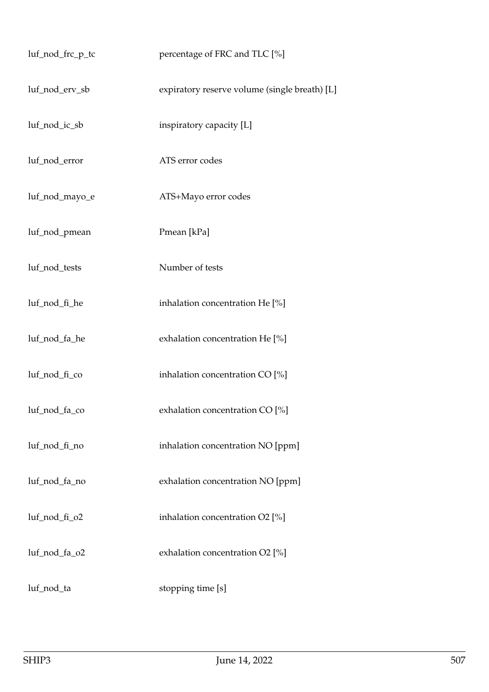| luf_nod_frc_p_tc | percentage of FRC and TLC [%]                 |
|------------------|-----------------------------------------------|
| luf_nod_erv_sb   | expiratory reserve volume (single breath) [L] |
| luf_nod_ic_sb    | inspiratory capacity [L]                      |
| luf_nod_error    | ATS error codes                               |
| luf_nod_mayo_e   | ATS+Mayo error codes                          |
| luf_nod_pmean    | Pmean [kPa]                                   |
| luf_nod_tests    | Number of tests                               |
| luf_nod_fi_he    | inhalation concentration He [%]               |
| luf_nod_fa_he    | exhalation concentration He [%]               |
| luf_nod_fi_co    | inhalation concentration CO [%]               |
| luf_nod_fa_co    | exhalation concentration CO [%]               |
| luf_nod_fi_no    | inhalation concentration NO [ppm]             |
| luf_nod_fa_no    | exhalation concentration NO [ppm]             |
| luf_nod_fi_o2    | inhalation concentration O2 [%]               |
| luf_nod_fa_o2    | exhalation concentration O2 [%]               |
| luf_nod_ta       | stopping time [s]                             |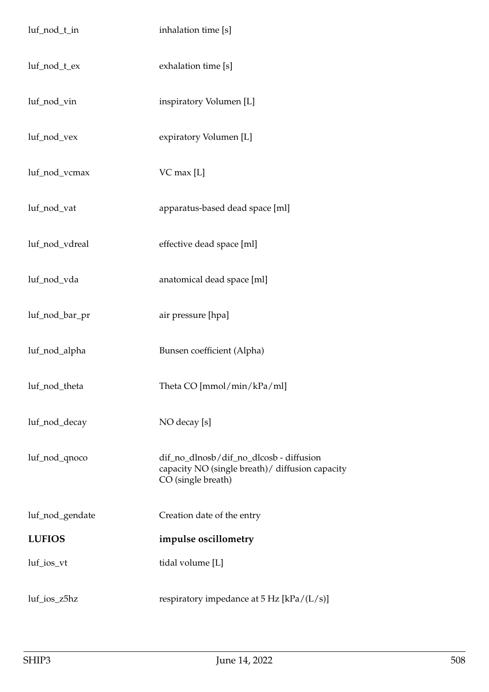| luf_nod_t_in    | inhalation time [s]                                                                                               |
|-----------------|-------------------------------------------------------------------------------------------------------------------|
| luf_nod_t_ex    | exhalation time [s]                                                                                               |
| luf_nod_vin     | inspiratory Volumen [L]                                                                                           |
| luf_nod_vex     | expiratory Volumen [L]                                                                                            |
| luf_nod_vcmax   | VC max [L]                                                                                                        |
| luf_nod_vat     | apparatus-based dead space [ml]                                                                                   |
| luf_nod_vdreal  | effective dead space [ml]                                                                                         |
| luf_nod_vda     | anatomical dead space [ml]                                                                                        |
| luf_nod_bar_pr  | air pressure [hpa]                                                                                                |
| luf_nod_alpha   | Bunsen coefficient (Alpha)                                                                                        |
| luf_nod_theta   | Theta CO [mmol/min/kPa/ml]                                                                                        |
| luf_nod_decay   | NO decay [s]                                                                                                      |
| luf_nod_qnoco   | dif_no_dlnosb/dif_no_dlcosb - diffusion<br>capacity NO (single breath) / diffusion capacity<br>CO (single breath) |
| luf_nod_gendate | Creation date of the entry                                                                                        |
| <b>LUFIOS</b>   | impulse oscillometry                                                                                              |
| luf_ios_vt      | tidal volume [L]                                                                                                  |
| luf_ios_z5hz    | respiratory impedance at $5$ Hz [kPa/(L/s)]                                                                       |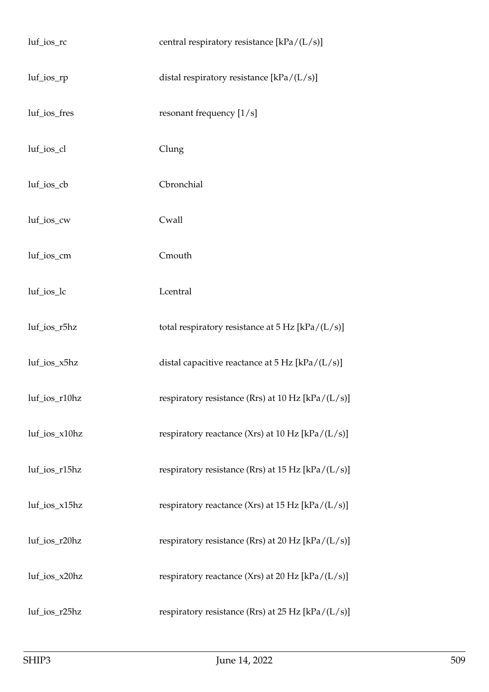| luf_ios_rc     | central respiratory resistance [kPa/(L/s)]                 |
|----------------|------------------------------------------------------------|
| $luf\_ios\_rp$ | distal respiratory resistance [kPa/(L/s)]                  |
| luf_ios_fres   | resonant frequency $[1/s]$                                 |
| luf_ios_cl     | Clung                                                      |
| luf_ios_cb     | Cbronchial                                                 |
| luf_ios_cw     | Cwall                                                      |
| luf_ios_cm     | Cmouth                                                     |
| luf_ios_lc     | Lcentral                                                   |
| luf_ios_r5hz   | total respiratory resistance at $5 \text{ Hz}$ [kPa/(L/s)] |
| luf_ios_x5hz   | distal capacitive reactance at $5$ Hz [kPa/(L/s)]          |
| luf_ios_r10hz  | respiratory resistance (Rrs) at $10$ Hz [kPa/(L/s)]        |
| luf_ios_x10hz  | respiratory reactance (Xrs) at 10 Hz [kPa/(L/s)]           |
| luf_ios_r15hz  | respiratory resistance (Rrs) at 15 Hz $[kPa/(L/s)]$        |
| luf_ios_x15hz  | respiratory reactance (Xrs) at 15 Hz [kPa/ $(L/s)$ ]       |
| luf_ios_r20hz  | respiratory resistance (Rrs) at 20 Hz [kPa/(L/s)]          |
| luf_ios_x20hz  | respiratory reactance (Xrs) at 20 Hz [kPa/(L/s)]           |
| luf_ios_r25hz  | respiratory resistance (Rrs) at 25 Hz $[kPa/(L/s)]$        |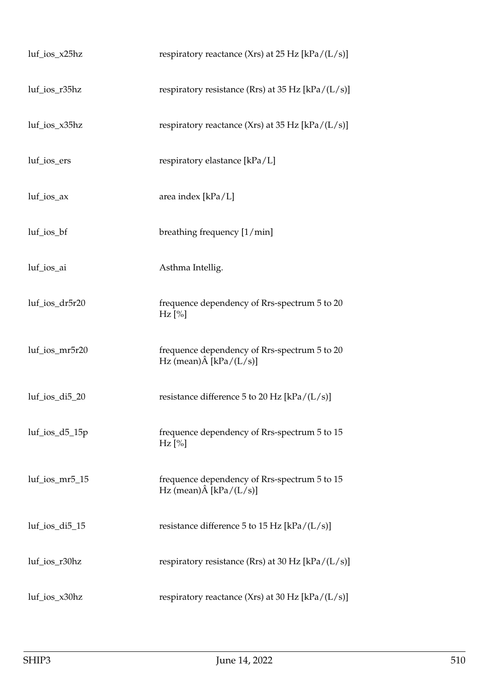| $luf\_ios\_x25hz$  | respiratory reactance (Xrs) at 25 Hz $[kPa/(L/s)]$                              |
|--------------------|---------------------------------------------------------------------------------|
| luf_ios_r35hz      | respiratory resistance (Rrs) at 35 Hz $[kPa/(L/s)]$                             |
| luf_ios_x35hz      | respiratory reactance (Xrs) at 35 Hz $[kPa/(L/s)]$                              |
| luf_ios_ers        | respiratory elastance [kPa/L]                                                   |
| luf_ios_ax         | area index [kPa/L]                                                              |
| luf_ios_bf         | breathing frequency [1/min]                                                     |
| luf_ios_ai         | Asthma Intellig.                                                                |
| luf_ios_dr5r20     | frequence dependency of Rrs-spectrum 5 to 20<br>$Hz$ [%]                        |
| luf_ios_mr5r20     | frequence dependency of Rrs-spectrum 5 to 20<br>Hz (mean) $\hat{A}$ [kPa/(L/s)] |
| luf_ios_di5_20     | resistance difference 5 to 20 Hz [kPa/ $(L/s)$ ]                                |
| $luf\_ios_d5_15p$  | frequence dependency of Rrs-spectrum 5 to 15<br>$Hz$ [%]                        |
| luf_ios_mr5_15     | frequence dependency of Rrs-spectrum 5 to 15<br>Hz (mean) $\hat{A}$ [kPa/(L/s)] |
| $luf\_ios\_di5_15$ | resistance difference 5 to 15 Hz [kPa/ $(L/s)$ ]                                |
| luf_ios_r30hz      | respiratory resistance (Rrs) at 30 Hz $[kPa/(L/s)]$                             |
| luf_ios_x30hz      | respiratory reactance (Xrs) at 30 Hz $[kPa/(L/s)]$                              |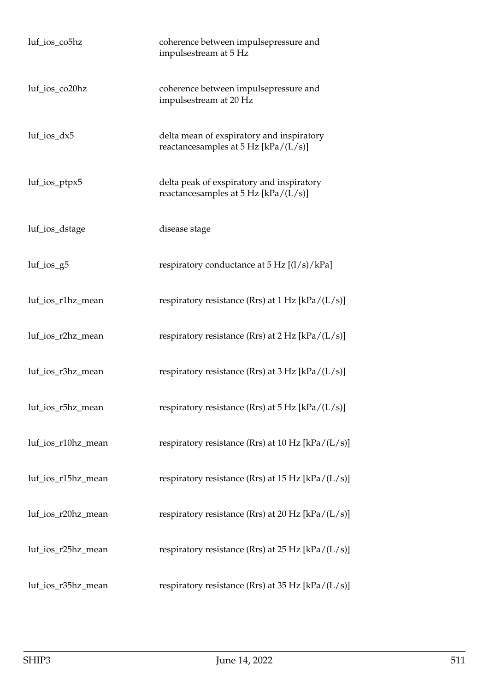| luf_ios_co5hz      | coherence between impulsepressure and<br>impulsestream at 5 Hz                      |
|--------------------|-------------------------------------------------------------------------------------|
| luf_ios_co20hz     | coherence between impulsepressure and<br>impulsestream at 20 Hz                     |
| $luf\_ios\_dx5$    | delta mean of exspiratory and inspiratory<br>reactancesamples at $5$ Hz [kPa/(L/s)] |
| $luf\_ios\_ptpx5$  | delta peak of exspiratory and inspiratory<br>reactancesamples at $5$ Hz [kPa/(L/s)] |
| luf_ios_dstage     | disease stage                                                                       |
| $luf\_ios_g5$      | respiratory conductance at $5 \text{ Hz } [(1/s)/kPa]$                              |
| luf_ios_r1hz_mean  | respiratory resistance (Rrs) at $1 Hz$ [kPa/(L/s)]                                  |
| luf_ios_r2hz_mean  | respiratory resistance (Rrs) at $2 Hz$ [kPa/(L/s)]                                  |
| luf_ios_r3hz_mean  | respiratory resistance (Rrs) at $3 \text{ Hz}$ [kPa/(L/s)]                          |
| luf_ios_r5hz_mean  | respiratory resistance (Rrs) at $5 \text{ Hz}$ [kPa/(L/s)]                          |
| luf_ios_r10hz_mean | respiratory resistance (Rrs) at 10 Hz [kPa/(L/s)]                                   |
| luf_ios_r15hz_mean | respiratory resistance (Rrs) at 15 Hz [kPa/(L/s)]                                   |
| luf_ios_r20hz_mean | respiratory resistance (Rrs) at 20 Hz [kPa/(L/s)]                                   |
| luf_ios_r25hz_mean | respiratory resistance (Rrs) at 25 Hz [kPa/(L/s)]                                   |
| luf_ios_r35hz_mean | respiratory resistance (Rrs) at 35 Hz [kPa/(L/s)]                                   |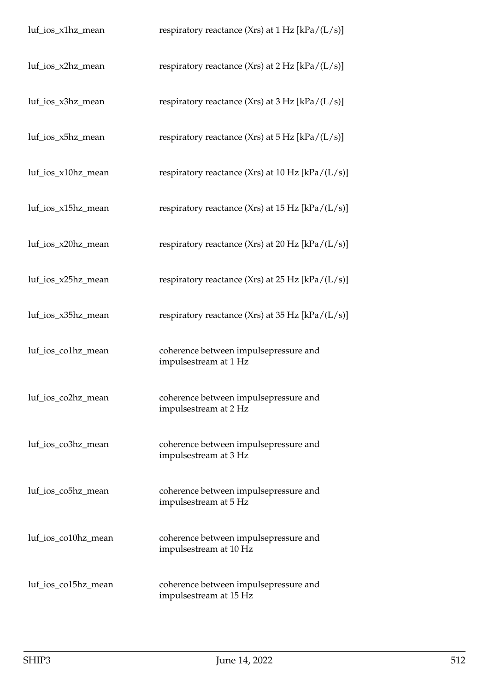| luf_ios_x1hz_mean   | respiratory reactance (Xrs) at $1 Hz$ [kPa/(L/s)]               |
|---------------------|-----------------------------------------------------------------|
| luf_ios_x2hz_mean   | respiratory reactance (Xrs) at $2 \text{ Hz}$ [kPa/(L/s)]       |
| luf_ios_x3hz_mean   | respiratory reactance (Xrs) at $3 \text{ Hz}$ [kPa/(L/s)]       |
| luf_ios_x5hz_mean   | respiratory reactance (Xrs) at $5$ Hz [kPa/(L/s)]               |
| luf_ios_x10hz_mean  | respiratory reactance (Xrs) at 10 Hz $[kPa/(L/s)]$              |
| luf_ios_x15hz_mean  | respiratory reactance (Xrs) at 15 Hz $[kPa/(L/s)]$              |
| luf_ios_x20hz_mean  | respiratory reactance (Xrs) at 20 Hz $[kPa/(L/s)]$              |
| luf_ios_x25hz_mean  | respiratory reactance (Xrs) at 25 Hz $[kPa/(L/s)]$              |
| luf_ios_x35hz_mean  | respiratory reactance (Xrs) at 35 Hz $[kPa/(L/s)]$              |
| luf_ios_co1hz_mean  | coherence between impulsepressure and<br>impulsestream at 1 Hz  |
| luf_ios_co2hz_mean  | coherence between impulsepressure and<br>impulsestream at 2 Hz  |
| luf_ios_co3hz_mean  | coherence between impulsepressure and<br>impulsestream at 3 Hz  |
| luf_ios_co5hz_mean  | coherence between impulsepressure and<br>impulsestream at 5 Hz  |
| luf_ios_co10hz_mean | coherence between impulsepressure and<br>impulsestream at 10 Hz |
| luf_ios_co15hz_mean | coherence between impulsepressure and<br>impulsestream at 15 Hz |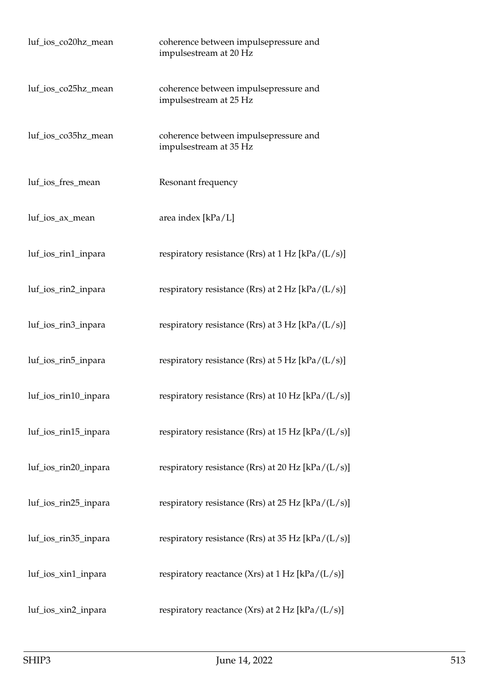| luf_ios_co20hz_mean  | coherence between impulsepressure and<br>impulsestream at 20 Hz |
|----------------------|-----------------------------------------------------------------|
| luf_ios_co25hz_mean  | coherence between impulsepressure and<br>impulsestream at 25 Hz |
| luf_ios_co35hz_mean  | coherence between impulsepressure and<br>impulsestream at 35 Hz |
| luf_ios_fres_mean    | Resonant frequency                                              |
| luf_ios_ax_mean      | area index [kPa/L]                                              |
| luf_ios_rin1_inpara  | respiratory resistance (Rrs) at $1 Hz$ [kPa/(L/s)]              |
| luf_ios_rin2_inpara  | respiratory resistance (Rrs) at $2 \text{ Hz}$ [kPa/(L/s)]      |
| luf_ios_rin3_inpara  | respiratory resistance (Rrs) at $3 Hz$ [kPa/(L/s)]              |
| luf_ios_rin5_inpara  | respiratory resistance (Rrs) at $5$ Hz [kPa/(L/s)]              |
| luf_ios_rin10_inpara | respiratory resistance (Rrs) at 10 Hz [kPa/(L/s)]               |
| luf_ios_rin15_inpara | respiratory resistance (Rrs) at 15 Hz [kPa/(L/s)]               |
| luf_ios_rin20_inpara | respiratory resistance (Rrs) at 20 Hz [kPa/(L/s)]               |
| luf_ios_rin25_inpara | respiratory resistance (Rrs) at 25 Hz [kPa/(L/s)]               |
| luf_ios_rin35_inpara | respiratory resistance (Rrs) at 35 Hz [kPa/(L/s)]               |
| luf_ios_xin1_inpara  | respiratory reactance (Xrs) at $1 Hz$ [kPa/(L/s)]               |
| luf_ios_xin2_inpara  | respiratory reactance (Xrs) at $2 Hz$ [kPa/(L/s)]               |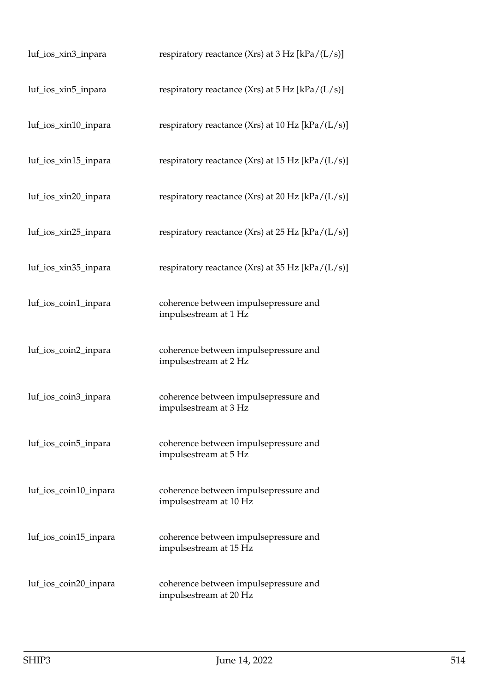| luf_ios_xin3_inpara   | respiratory reactance (Xrs) at $3 \text{ Hz}$ [kPa/(L/s)]       |
|-----------------------|-----------------------------------------------------------------|
| luf_ios_xin5_inpara   | respiratory reactance (Xrs) at $5 \text{ Hz}$ [kPa/(L/s)]       |
| luf_ios_xin10_inpara  | respiratory reactance (Xrs) at 10 Hz [kPa/(L/s)]                |
| luf_ios_xin15_inpara  | respiratory reactance (Xrs) at 15 Hz $[kPa/(L/s)]$              |
| luf_ios_xin20_inpara  | respiratory reactance (Xrs) at 20 Hz [kPa/ $(L/s)$ ]            |
| luf_ios_xin25_inpara  | respiratory reactance (Xrs) at 25 Hz $[kPa/(L/s)]$              |
| luf_ios_xin35_inpara  | respiratory reactance (Xrs) at 35 Hz [kPa/ $(L/s)$ ]            |
| luf_ios_coin1_inpara  | coherence between impulsepressure and<br>impulsestream at 1 Hz  |
| luf_ios_coin2_inpara  | coherence between impulsepressure and<br>impulsestream at 2 Hz  |
| luf_ios_coin3_inpara  | coherence between impulsepressure and<br>impulsestream at 3 Hz  |
| luf_ios_coin5_inpara  | coherence between impulsepressure and<br>impulsestream at 5 Hz  |
| luf_ios_coin10_inpara | coherence between impulsepressure and<br>impulsestream at 10 Hz |
| luf_ios_coin15_inpara | coherence between impulsepressure and<br>impulsestream at 15 Hz |
| luf_ios_coin20_inpara | coherence between impulsepressure and<br>impulsestream at 20 Hz |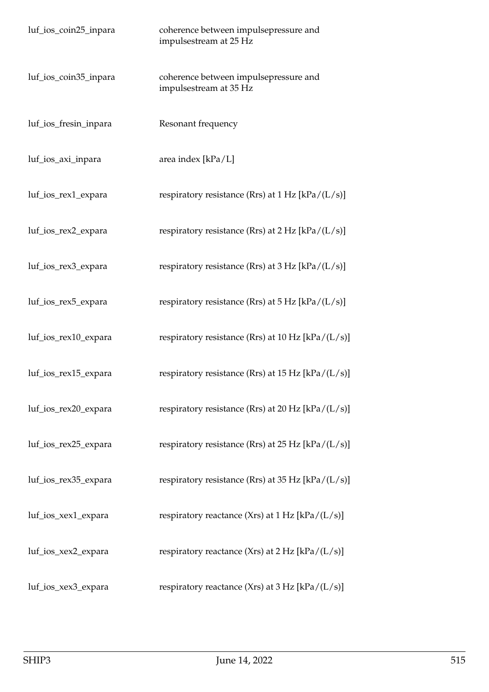| luf_ios_coin25_inpara | coherence between impulsepressure and<br>impulsestream at 25 Hz |
|-----------------------|-----------------------------------------------------------------|
| luf_ios_coin35_inpara | coherence between impulsepressure and<br>impulsestream at 35 Hz |
| luf_ios_fresin_inpara | Resonant frequency                                              |
| luf_ios_axi_inpara    | area index [kPa/L]                                              |
| luf_ios_rex1_expara   | respiratory resistance (Rrs) at $1 Hz$ [kPa/(L/s)]              |
| luf_ios_rex2_expara   | respiratory resistance (Rrs) at $2 \text{ Hz}$ [kPa/(L/s)]      |
| luf_ios_rex3_expara   | respiratory resistance (Rrs) at $3 \text{ Hz}$ [kPa/(L/s)]      |
| luf_ios_rex5_expara   | respiratory resistance (Rrs) at $5 \text{ Hz}$ [kPa/(L/s)]      |
| luf_ios_rex10_expara  | respiratory resistance (Rrs) at 10 Hz $[kPa/(L/s)]$             |
| luf_ios_rex15_expara  | respiratory resistance (Rrs) at $15$ Hz [kPa/(L/s)]             |
| luf_ios_rex20_expara  | respiratory resistance (Rrs) at 20 Hz [kPa/(L/s)]               |
| luf_ios_rex25_expara  | respiratory resistance (Rrs) at 25 Hz [kPa/(L/s)]               |
| luf_ios_rex35_expara  | respiratory resistance (Rrs) at 35 Hz [kPa/(L/s)]               |
| luf_ios_xex1_expara   | respiratory reactance (Xrs) at 1 Hz [kPa/(L/s)]                 |
| luf_ios_xex2_expara   | respiratory reactance (Xrs) at $2 Hz$ [kPa/(L/s)]               |
| luf_ios_xex3_expara   | respiratory reactance (Xrs) at 3 Hz [kPa/(L/s)]                 |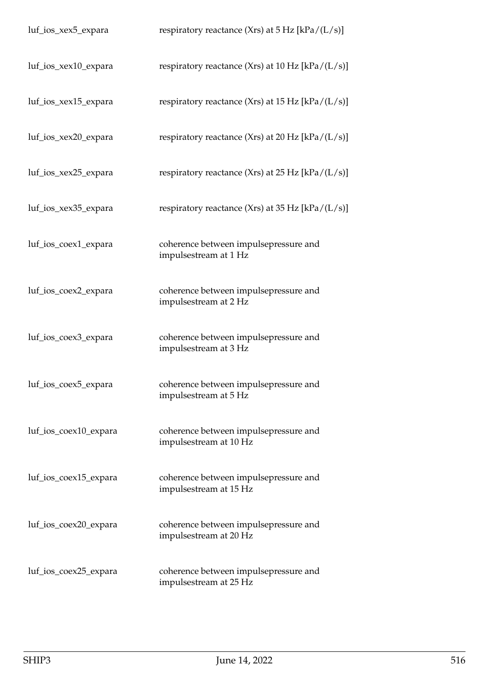| luf_ios_xex5_expara   | respiratory reactance (Xrs) at $5 \text{ Hz}$ [kPa/(L/s)]       |
|-----------------------|-----------------------------------------------------------------|
| luf_ios_xex10_expara  | respiratory reactance (Xrs) at 10 Hz $[kPa/(L/s)]$              |
| luf_ios_xex15_expara  | respiratory reactance (Xrs) at 15 Hz $[kPa/(L/s)]$              |
| luf_ios_xex20_expara  | respiratory reactance (Xrs) at 20 Hz $[kPa/(L/s)]$              |
| luf_ios_xex25_expara  | respiratory reactance (Xrs) at 25 Hz [kPa/(L/s)]                |
| luf_ios_xex35_expara  | respiratory reactance (Xrs) at 35 Hz $[kPa/(L/s)]$              |
| luf_ios_coex1_expara  | coherence between impulsepressure and<br>impulsestream at 1 Hz  |
| luf_ios_coex2_expara  | coherence between impulsepressure and<br>impulsestream at 2 Hz  |
| luf_ios_coex3_expara  | coherence between impulsepressure and<br>impulsestream at 3 Hz  |
| luf_ios_coex5_expara  | coherence between impulsepressure and<br>impulsestream at 5 Hz  |
| luf_ios_coex10_expara | coherence between impulsepressure and<br>impulsestream at 10 Hz |
| luf_ios_coex15_expara | coherence between impulsepressure and<br>impulsestream at 15 Hz |
| luf_ios_coex20_expara | coherence between impulsepressure and<br>impulsestream at 20 Hz |
| luf_ios_coex25_expara | coherence between impulsepressure and<br>impulsestream at 25 Hz |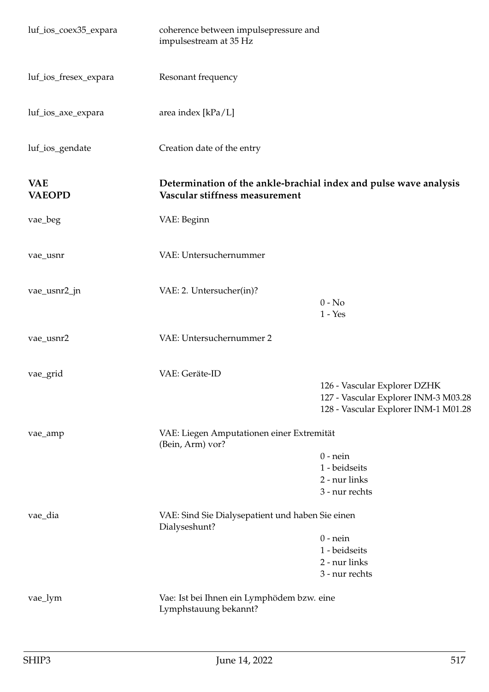| luf_ios_coex35_expara       | coherence between impulsepressure and<br>impulsestream at 35 Hz     |                                                                                                              |
|-----------------------------|---------------------------------------------------------------------|--------------------------------------------------------------------------------------------------------------|
| luf_ios_fresex_expara       | Resonant frequency                                                  |                                                                                                              |
| luf_ios_axe_expara          | area index [kPa/L]                                                  |                                                                                                              |
| luf_ios_gendate             | Creation date of the entry                                          |                                                                                                              |
| <b>VAE</b><br><b>VAEOPD</b> | Vascular stiffness measurement                                      | Determination of the ankle-brachial index and pulse wave analysis                                            |
| vae_beg                     | VAE: Beginn                                                         |                                                                                                              |
| vae_usnr                    | VAE: Untersuchernummer                                              |                                                                                                              |
| vae_usnr2_jn                | VAE: 2. Untersucher(in)?                                            | $0 - No$<br>$1 - Yes$                                                                                        |
| vae_usnr2                   | VAE: Untersuchernummer 2                                            |                                                                                                              |
| vae_grid                    | VAE: Geräte-ID                                                      | 126 - Vascular Explorer DZHK<br>127 - Vascular Explorer INM-3 M03.28<br>128 - Vascular Explorer INM-1 M01.28 |
| vae_amp                     | VAE: Liegen Amputationen einer Extremität<br>(Bein, Arm) vor?       | $0$ - nein<br>1 - beidseits<br>2 - nur links<br>3 - nur rechts                                               |
| vae_dia                     | VAE: Sind Sie Dialysepatient und haben Sie einen<br>Dialyseshunt?   | $0$ - nein<br>1 - beidseits<br>2 - nur links<br>3 - nur rechts                                               |
| vae_lym                     | Vae: Ist bei Ihnen ein Lymphödem bzw. eine<br>Lymphstauung bekannt? |                                                                                                              |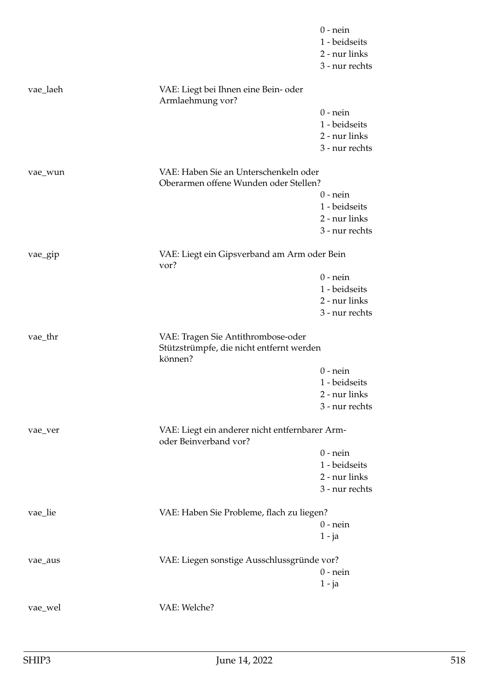|          |                                                                                | $0$ - nein                     |
|----------|--------------------------------------------------------------------------------|--------------------------------|
|          |                                                                                | 1 - beidseits                  |
|          |                                                                                | 2 - nur links                  |
|          |                                                                                | 3 - nur rechts                 |
| vae_laeh | VAE: Liegt bei Ihnen eine Bein- oder<br>Armlaehmung vor?                       |                                |
|          |                                                                                | $0$ - nein                     |
|          |                                                                                | 1 - beidseits                  |
|          |                                                                                | 2 - nur links                  |
|          |                                                                                | 3 - nur rechts                 |
| vae_wun  | VAE: Haben Sie an Unterschenkeln oder<br>Oberarmen offene Wunden oder Stellen? |                                |
|          |                                                                                | $0$ - nein                     |
|          |                                                                                | 1 - beidseits                  |
|          |                                                                                | 2 - nur links                  |
|          |                                                                                | 3 - nur rechts                 |
| vae_gip  | VAE: Liegt ein Gipsverband am Arm oder Bein<br>vor?                            |                                |
|          |                                                                                | $0$ - nein                     |
|          |                                                                                | 1 - beidseits                  |
|          |                                                                                | 2 - nur links                  |
|          |                                                                                | 3 - nur rechts                 |
| vae_thr  | VAE: Tragen Sie Antithrombose-oder<br>Stützstrümpfe, die nicht entfernt werden |                                |
|          | können?                                                                        |                                |
|          |                                                                                | $0$ - nein                     |
|          |                                                                                | 1 - beidseits<br>2 - nur links |
|          |                                                                                | 3 - nur rechts                 |
| vae_ver  | VAE: Liegt ein anderer nicht entfernbarer Arm-<br>oder Beinverband vor?        |                                |
|          |                                                                                | $0$ - nein                     |
|          |                                                                                | 1 - beidseits                  |
|          |                                                                                | 2 - nur links                  |
|          |                                                                                | 3 - nur rechts                 |
|          |                                                                                |                                |
| vae_lie  | VAE: Haben Sie Probleme, flach zu liegen?                                      |                                |
|          |                                                                                | $0$ - nein                     |
|          |                                                                                | $1 - ja$                       |
| vae_aus  | VAE: Liegen sonstige Ausschlussgründe vor?                                     |                                |
|          |                                                                                | $0$ - nein                     |
|          |                                                                                | $1 - ja$                       |
| vae_wel  | VAE: Welche?                                                                   |                                |
|          |                                                                                |                                |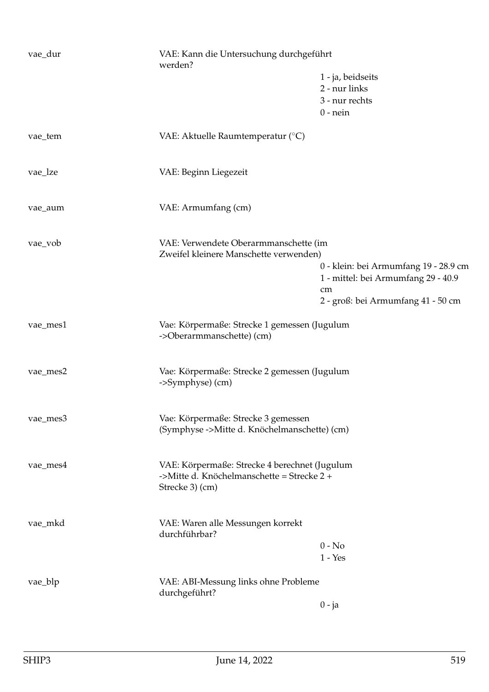| vae_dur  | werden?                                                                   | VAE: Kann die Untersuchung durchgeführt |  |
|----------|---------------------------------------------------------------------------|-----------------------------------------|--|
|          |                                                                           | 1 - ja, beidseits                       |  |
|          |                                                                           | 2 - nur links                           |  |
|          |                                                                           | 3 - nur rechts<br>$0$ - nein            |  |
|          |                                                                           |                                         |  |
| vae_tem  | VAE: Aktuelle Raumtemperatur (°C)                                         |                                         |  |
| vae_lze  | VAE: Beginn Liegezeit                                                     |                                         |  |
| vae_aum  | VAE: Armumfang (cm)                                                       |                                         |  |
| vae_vob  | VAE: Verwendete Oberarmmanschette (im                                     |                                         |  |
|          | Zweifel kleinere Manschette verwenden)                                    | 0 - klein: bei Armumfang 19 - 28.9 cm   |  |
|          |                                                                           | 1 - mittel: bei Armumfang 29 - 40.9     |  |
|          |                                                                           | cm                                      |  |
|          |                                                                           | 2 - groß: bei Armumfang 41 - 50 cm      |  |
| vae_mes1 | Vae: Körpermaße: Strecke 1 gemessen (Jugulum<br>->Oberarmmanschette) (cm) |                                         |  |
|          |                                                                           |                                         |  |
| vae_mes2 | Vae: Körpermaße: Strecke 2 gemessen (Jugulum                              |                                         |  |
|          | ->Symphyse) (cm)                                                          |                                         |  |
| vae_mes3 | Vae: Körpermaße: Strecke 3 gemessen                                       |                                         |  |
|          | (Symphyse ->Mitte d. Knöchelmanschette) (cm)                              |                                         |  |
| vae_mes4 | VAE: Körpermaße: Strecke 4 berechnet (Jugulum                             |                                         |  |
|          | ->Mitte d. Knöchelmanschette = Strecke 2 +<br>Strecke 3) (cm)             |                                         |  |
|          |                                                                           |                                         |  |
| vae_mkd  | VAE: Waren alle Messungen korrekt<br>durchführbar?                        |                                         |  |
|          |                                                                           | $0 - No$                                |  |
|          |                                                                           | $1 - Yes$                               |  |
| vae_blp  | VAE: ABI-Messung links ohne Probleme                                      |                                         |  |
|          | durchgeführt?                                                             | $0 - ja$                                |  |
|          |                                                                           |                                         |  |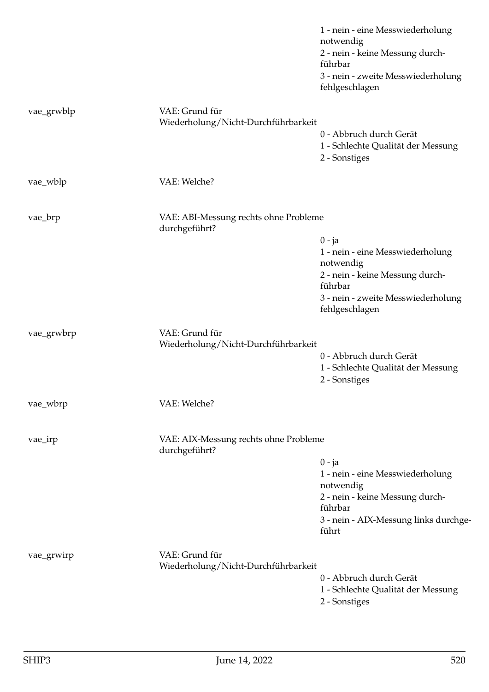|            |                                                        | 1 - nein - eine Messwiederholung<br>notwendig<br>2 - nein - keine Messung durch-<br>führbar<br>3 - nein - zweite Messwiederholung<br>fehlgeschlagen             |
|------------|--------------------------------------------------------|-----------------------------------------------------------------------------------------------------------------------------------------------------------------|
| vae_grwblp | VAE: Grund für<br>Wiederholung/Nicht-Durchführbarkeit  | 0 - Abbruch durch Gerät<br>1 - Schlechte Qualität der Messung<br>2 - Sonstiges                                                                                  |
| vae_wblp   | VAE: Welche?                                           |                                                                                                                                                                 |
| vae_brp    | VAE: ABI-Messung rechts ohne Probleme<br>durchgeführt? | $0 - ja$<br>1 - nein - eine Messwiederholung<br>notwendig<br>2 - nein - keine Messung durch-<br>führbar<br>3 - nein - zweite Messwiederholung<br>fehlgeschlagen |
| vae_grwbrp | VAE: Grund für<br>Wiederholung/Nicht-Durchführbarkeit  | 0 - Abbruch durch Gerät<br>1 - Schlechte Qualität der Messung<br>2 - Sonstiges                                                                                  |
| vae_wbrp   | VAE: Welche?                                           |                                                                                                                                                                 |
| vae_irp    | VAE: AIX-Messung rechts ohne Probleme<br>durchgeführt? | $0 - ja$<br>1 - nein - eine Messwiederholung<br>notwendig<br>2 - nein - keine Messung durch-<br>führbar<br>3 - nein - AIX-Messung links durchge-<br>führt       |
| vae_grwirp | VAE: Grund für<br>Wiederholung/Nicht-Durchführbarkeit  | 0 - Abbruch durch Gerät<br>1 - Schlechte Qualität der Messung<br>2 - Sonstiges                                                                                  |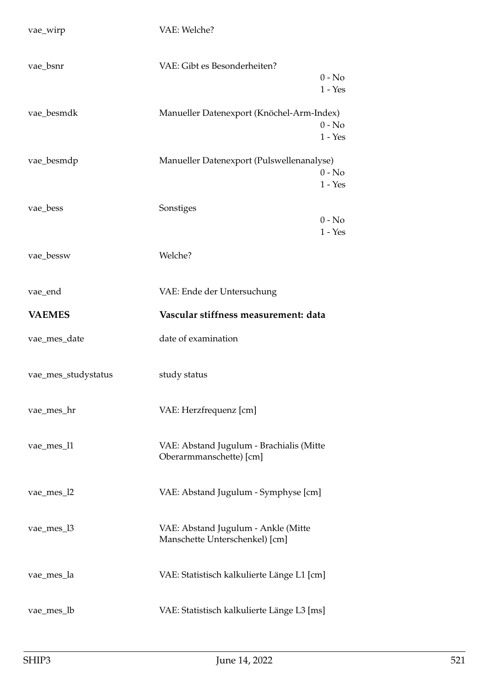| vae_wirp            | VAE: Welche?                                                          |
|---------------------|-----------------------------------------------------------------------|
| vae_bsnr            | VAE: Gibt es Besonderheiten?<br>$0 - No$<br>$1 - Yes$                 |
| vae_besmdk          | Manueller Datenexport (Knöchel-Arm-Index)<br>$0 - No$<br>$1 - Yes$    |
| vae_besmdp          | Manueller Datenexport (Pulswellenanalyse)<br>$0 - No$<br>$1 - Yes$    |
| vae_bess            | Sonstiges<br>$0 - No$<br>$1 - Yes$                                    |
| vae_bessw           | Welche?                                                               |
| vae_end             | VAE: Ende der Untersuchung                                            |
| <b>VAEMES</b>       | Vascular stiffness measurement: data                                  |
| vae_mes_date        | date of examination                                                   |
| vae_mes_studystatus | study status                                                          |
| vae_mes_hr          | VAE: Herzfrequenz [cm]                                                |
| vae_mes_l1          | VAE: Abstand Jugulum - Brachialis (Mitte<br>Oberarmmanschette) [cm]   |
| vae_mes_l2          | VAE: Abstand Jugulum - Symphyse [cm]                                  |
| vae_mes_l3          | VAE: Abstand Jugulum - Ankle (Mitte<br>Manschette Unterschenkel) [cm] |
| vae_mes_la          | VAE: Statistisch kalkulierte Länge L1 [cm]                            |
| vae_mes_lb          | VAE: Statistisch kalkulierte Länge L3 [ms]                            |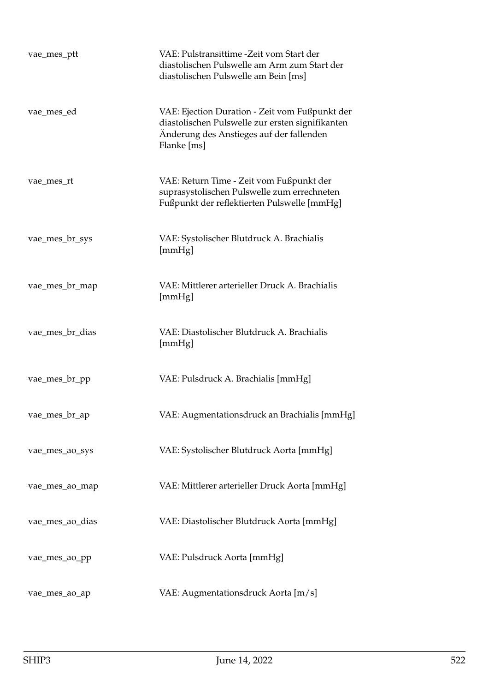| vae_mes_ptt     | VAE: Pulstransittime - Zeit vom Start der<br>diastolischen Pulswelle am Arm zum Start der<br>diastolischen Pulswelle am Bein [ms]                             |
|-----------------|---------------------------------------------------------------------------------------------------------------------------------------------------------------|
| vae_mes_ed      | VAE: Ejection Duration - Zeit vom Fußpunkt der<br>diastolischen Pulswelle zur ersten signifikanten<br>Änderung des Anstieges auf der fallenden<br>Flanke [ms] |
| vae_mes_rt      | VAE: Return Time - Zeit vom Fußpunkt der<br>suprasystolischen Pulswelle zum errechneten<br>Fußpunkt der reflektierten Pulswelle [mmHg]                        |
| vae_mes_br_sys  | VAE: Systolischer Blutdruck A. Brachialis<br>[mmHg]                                                                                                           |
| vae_mes_br_map  | VAE: Mittlerer arterieller Druck A. Brachialis<br>[mmHg]                                                                                                      |
| vae_mes_br_dias | VAE: Diastolischer Blutdruck A. Brachialis<br>[mmHg]                                                                                                          |
| vae_mes_br_pp   | VAE: Pulsdruck A. Brachialis [mmHg]                                                                                                                           |
| vae_mes_br_ap   | VAE: Augmentationsdruck an Brachialis [mmHg]                                                                                                                  |
| vae_mes_ao_sys  | VAE: Systolischer Blutdruck Aorta [mmHg]                                                                                                                      |
| vae_mes_ao_map  | VAE: Mittlerer arterieller Druck Aorta [mmHg]                                                                                                                 |
| vae_mes_ao_dias | VAE: Diastolischer Blutdruck Aorta [mmHg]                                                                                                                     |
| vae_mes_ao_pp   | VAE: Pulsdruck Aorta [mmHg]                                                                                                                                   |
| vae_mes_ao_ap   | VAE: Augmentationsdruck Aorta [m/s]                                                                                                                           |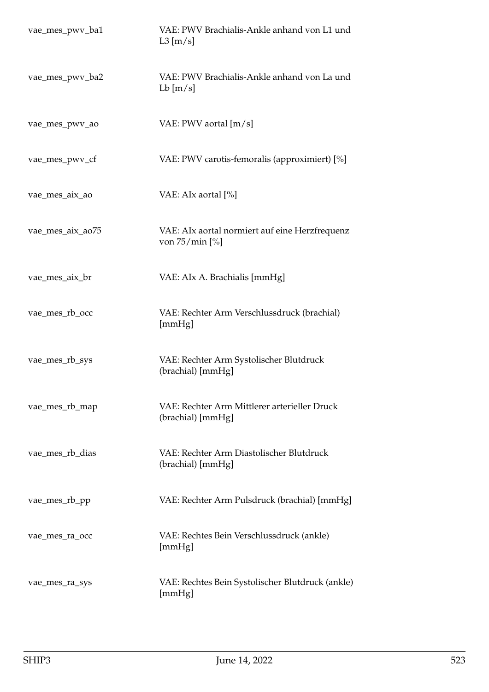| vae_mes_pwv_ba1  | VAE: PWV Brachialis-Ankle anhand von L1 und<br>$L3$ [m/s]           |
|------------------|---------------------------------------------------------------------|
| vae_mes_pwv_ba2  | VAE: PWV Brachialis-Ankle anhand von La und<br>$Lb$ [m/s]           |
| vae_mes_pwv_ao   | VAE: PWV aortal [m/s]                                               |
| vae_mes_pwv_cf   | VAE: PWV carotis-femoralis (approximiert) [%]                       |
| vae_mes_aix_ao   | VAE: AIx aortal [%]                                                 |
| vae_mes_aix_ao75 | VAE: AIx aortal normiert auf eine Herzfrequenz<br>von $75/\min$ [%] |
| vae_mes_aix_br   | VAE: AIx A. Brachialis [mmHg]                                       |
| vae_mes_rb_occ   | VAE: Rechter Arm Verschlussdruck (brachial)<br>[mmHg]               |
| vae_mes_rb_sys   | VAE: Rechter Arm Systolischer Blutdruck<br>(brachial) [mmHg]        |
| vae_mes_rb_map   | VAE: Rechter Arm Mittlerer arterieller Druck<br>(brachial) [mmHg]   |
| vae_mes_rb_dias  | VAE: Rechter Arm Diastolischer Blutdruck<br>(brachial) [mmHg]       |
| vae_mes_rb_pp    | VAE: Rechter Arm Pulsdruck (brachial) [mmHg]                        |
| vae_mes_ra_occ   | VAE: Rechtes Bein Verschlussdruck (ankle)<br>[mmHg]                 |
| vae_mes_ra_sys   | VAE: Rechtes Bein Systolischer Blutdruck (ankle)<br>[mmHg]          |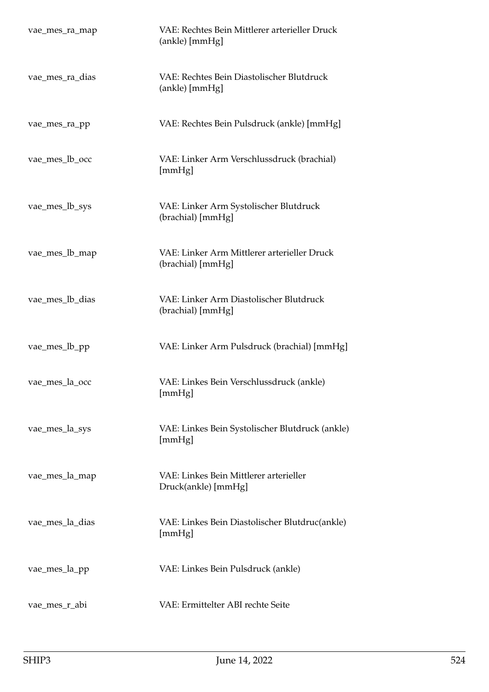| vae_mes_ra_map  | VAE: Rechtes Bein Mittlerer arterieller Druck<br>(ankle) [mmHg]  |
|-----------------|------------------------------------------------------------------|
| vae_mes_ra_dias | VAE: Rechtes Bein Diastolischer Blutdruck<br>(ankle) [mmHg]      |
| vae_mes_ra_pp   | VAE: Rechtes Bein Pulsdruck (ankle) [mmHg]                       |
| vae_mes_lb_occ  | VAE: Linker Arm Verschlussdruck (brachial)<br>[mmHg]             |
| vae_mes_lb_sys  | VAE: Linker Arm Systolischer Blutdruck<br>(brachial) [mmHg]      |
| vae_mes_lb_map  | VAE: Linker Arm Mittlerer arterieller Druck<br>(brachial) [mmHg] |
| vae_mes_lb_dias | VAE: Linker Arm Diastolischer Blutdruck<br>(brachial) [mmHg]     |
| vae_mes_lb_pp   | VAE: Linker Arm Pulsdruck (brachial) [mmHg]                      |
| vae_mes_la_occ  | VAE: Linkes Bein Verschlussdruck (ankle)<br>[mmHg]               |
| vae_mes_la_sys  | VAE: Linkes Bein Systolischer Blutdruck (ankle)<br>[mmHg]        |
| vae_mes_la_map  | VAE: Linkes Bein Mittlerer arterieller<br>Druck(ankle) [mmHg]    |
| vae_mes_la_dias | VAE: Linkes Bein Diastolischer Blutdruc(ankle)<br>[mmHg]         |
| vae_mes_la_pp   | VAE: Linkes Bein Pulsdruck (ankle)                               |
| vae_mes_r_abi   | VAE: Ermittelter ABI rechte Seite                                |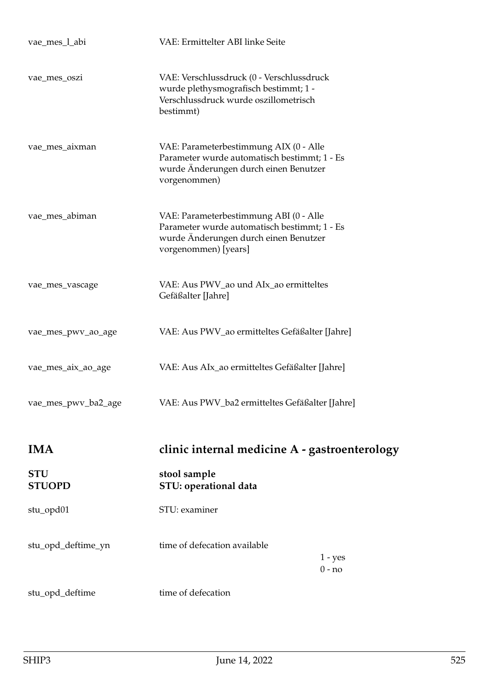| vae_mes_l_abi               | VAE: Ermittelter ABI linke Seite                                                                                                                        |                       |
|-----------------------------|---------------------------------------------------------------------------------------------------------------------------------------------------------|-----------------------|
| vae_mes_oszi                | VAE: Verschlussdruck (0 - Verschlussdruck<br>wurde plethysmografisch bestimmt; 1 -<br>Verschlussdruck wurde oszillometrisch<br>bestimmt)                |                       |
| vae_mes_aixman              | VAE: Parameterbestimmung AIX (0 - Alle<br>Parameter wurde automatisch bestimmt; 1 - Es<br>wurde Änderungen durch einen Benutzer<br>vorgenommen)         |                       |
| vae_mes_abiman              | VAE: Parameterbestimmung ABI (0 - Alle<br>Parameter wurde automatisch bestimmt; 1 - Es<br>wurde Änderungen durch einen Benutzer<br>vorgenommen) [years] |                       |
| vae_mes_vascage             | VAE: Aus PWV_ao und AIx_ao ermitteltes<br>Gefäßalter [Jahre]                                                                                            |                       |
| vae_mes_pwv_ao_age          | VAE: Aus PWV_ao ermitteltes Gefäßalter [Jahre]                                                                                                          |                       |
| vae_mes_aix_ao_age          | VAE: Aus AIx_ao ermitteltes Gefäßalter [Jahre]                                                                                                          |                       |
| vae_mes_pwv_ba2_age         | VAE: Aus PWV_ba2 ermitteltes Gefäßalter [Jahre]                                                                                                         |                       |
| <b>IMA</b>                  | clinic internal medicine A - gastroenterology                                                                                                           |                       |
|                             |                                                                                                                                                         |                       |
| <b>STU</b><br><b>STUOPD</b> | stool sample<br>STU: operational data                                                                                                                   |                       |
| stu_opd01                   | STU: examiner                                                                                                                                           |                       |
| stu_opd_deftime_yn          | time of defecation available                                                                                                                            | $1 - yes$<br>$0 - no$ |
| stu_opd_deftime             | time of defecation                                                                                                                                      |                       |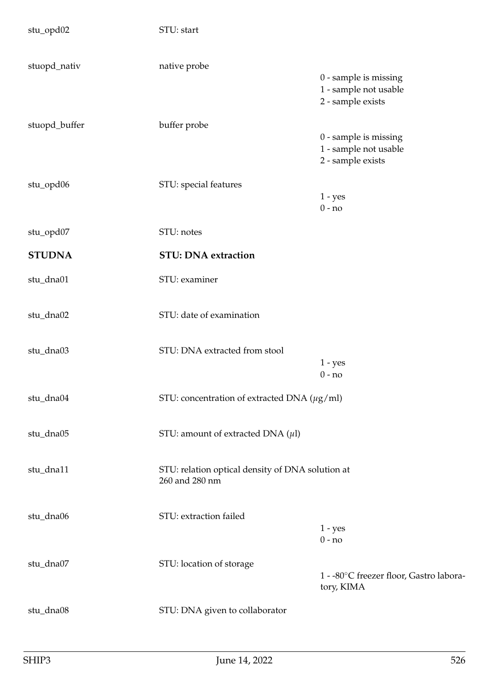| stu_opd02     | STU: start                                                         |                                                                     |
|---------------|--------------------------------------------------------------------|---------------------------------------------------------------------|
| stuopd_nativ  | native probe                                                       | 0 - sample is missing<br>1 - sample not usable<br>2 - sample exists |
| stuopd_buffer | buffer probe                                                       | 0 - sample is missing<br>1 - sample not usable<br>2 - sample exists |
| stu_opd06     | STU: special features                                              | $1 - yes$<br>$0 - no$                                               |
| stu_opd07     | STU: notes                                                         |                                                                     |
| <b>STUDNA</b> | <b>STU: DNA extraction</b>                                         |                                                                     |
| stu_dna01     | STU: examiner                                                      |                                                                     |
| stu_dna02     | STU: date of examination                                           |                                                                     |
| stu_dna03     | STU: DNA extracted from stool                                      | $1 - yes$<br>$0 - no$                                               |
| stu_dna04     | STU: concentration of extracted DNA ( $\mu$ g/ml)                  |                                                                     |
| stu_dna05     | STU: amount of extracted DNA $(\mu l)$                             |                                                                     |
| stu_dna11     | STU: relation optical density of DNA solution at<br>260 and 280 nm |                                                                     |
| stu_dna06     | STU: extraction failed                                             | $1 - yes$<br>$0 - no$                                               |
| stu_dna07     | STU: location of storage                                           | 1 - -80°C freezer floor, Gastro labora-<br>tory, KIMA               |
| stu_dna08     | STU: DNA given to collaborator                                     |                                                                     |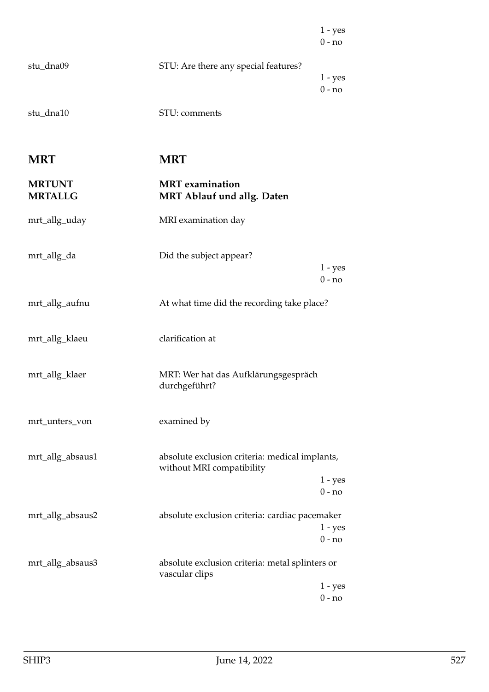|                                 |                                                                             | $1 - yes$<br>$0 - no$ |
|---------------------------------|-----------------------------------------------------------------------------|-----------------------|
| stu_dna09                       | STU: Are there any special features?                                        | $1 - yes$<br>$0 - no$ |
| stu_dna10                       | STU: comments                                                               |                       |
| <b>MRT</b>                      | <b>MRT</b>                                                                  |                       |
| <b>MRTUNT</b><br><b>MRTALLG</b> | <b>MRT</b> examination<br><b>MRT Ablauf und allg. Daten</b>                 |                       |
| mrt_allg_uday                   | MRI examination day                                                         |                       |
| mrt_allg_da                     | Did the subject appear?                                                     | $1 - yes$<br>$0 - no$ |
| mrt_allg_aufnu                  | At what time did the recording take place?                                  |                       |
| mrt_allg_klaeu                  | clarification at                                                            |                       |
| mrt_allg_klaer                  | MRT: Wer hat das Aufklärungsgespräch<br>durchgeführt?                       |                       |
| mrt_unters_von                  | examined by                                                                 |                       |
| mrt_allg_absaus1                | absolute exclusion criteria: medical implants,<br>without MRI compatibility |                       |
|                                 |                                                                             | $1 - yes$<br>$0 - no$ |
| mrt_allg_absaus2                | absolute exclusion criteria: cardiac pacemaker                              | $1 - yes$<br>$0 - no$ |
| mrt_allg_absaus3                | absolute exclusion criteria: metal splinters or<br>vascular clips           |                       |
|                                 |                                                                             | $1 - yes$<br>$0 - no$ |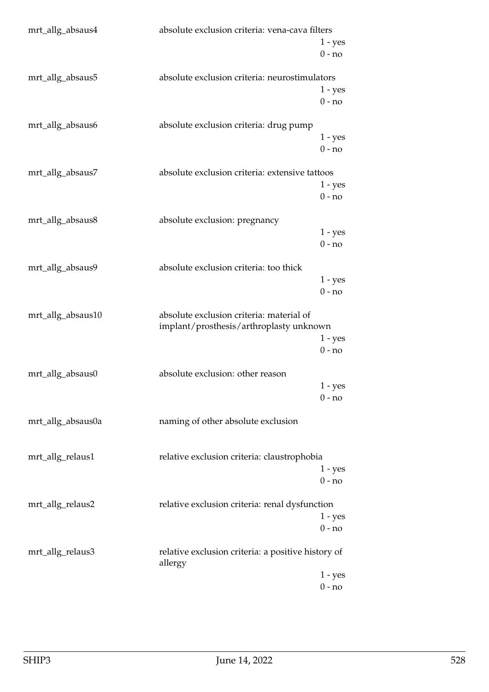| mrt_allg_absaus4  | absolute exclusion criteria: vena-cava filters                                      | $1 - yes$<br>$0 - no$ |
|-------------------|-------------------------------------------------------------------------------------|-----------------------|
| mrt_allg_absaus5  | absolute exclusion criteria: neurostimulators                                       | $1 - yes$<br>$0 - no$ |
| mrt_allg_absaus6  | absolute exclusion criteria: drug pump                                              | $1 - yes$<br>$0 - no$ |
| mrt_allg_absaus7  | absolute exclusion criteria: extensive tattoos                                      | $1 - yes$<br>$0 - no$ |
| mrt_allg_absaus8  | absolute exclusion: pregnancy                                                       | $1 - yes$<br>$0 - no$ |
| mrt_allg_absaus9  | absolute exclusion criteria: too thick                                              | $1 - yes$<br>$0 - no$ |
| mrt_allg_absaus10 | absolute exclusion criteria: material of<br>implant/prosthesis/arthroplasty unknown | $1 - yes$<br>$0 - no$ |
| mrt_allg_absaus0  | absolute exclusion: other reason                                                    | 1 - yes<br>$0 - no$   |
| mrt_allg_absaus0a | naming of other absolute exclusion                                                  |                       |
| mrt_allg_relaus1  | relative exclusion criteria: claustrophobia                                         | $1 - yes$<br>$0 - no$ |
| mrt_allg_relaus2  | relative exclusion criteria: renal dysfunction                                      | $1 - yes$<br>$0 - no$ |
| mrt_allg_relaus3  | relative exclusion criteria: a positive history of<br>allergy                       | $1 - yes$             |
|                   |                                                                                     | $0 - no$              |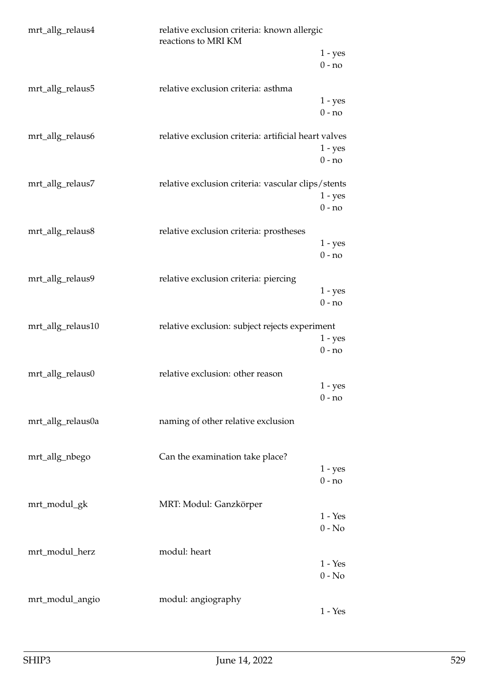| mrt_allg_relaus4<br>relative exclusion criteria: known allergic<br>reactions to MRI KM |                                                      |                       |
|----------------------------------------------------------------------------------------|------------------------------------------------------|-----------------------|
|                                                                                        |                                                      | $1 - yes$<br>$0 - no$ |
| mrt_allg_relaus5                                                                       | relative exclusion criteria: asthma                  | $1 - yes$<br>$0 - no$ |
| mrt_allg_relaus6                                                                       | relative exclusion criteria: artificial heart valves | $1 - yes$<br>$0 - no$ |
| mrt_allg_relaus7                                                                       | relative exclusion criteria: vascular clips/stents   | $1 - yes$<br>$0 - no$ |
| mrt_allg_relaus8                                                                       | relative exclusion criteria: prostheses              | $1 - yes$<br>$0 - no$ |
| mrt_allg_relaus9                                                                       | relative exclusion criteria: piercing                | $1 - yes$<br>$0 - no$ |
| mrt_allg_relaus10                                                                      | relative exclusion: subject rejects experiment       | $1 - yes$<br>$0 - no$ |
| mrt_allg_relaus0                                                                       | relative exclusion: other reason                     | 1 - yes<br>$0 - no$   |
| mrt_allg_relaus0a                                                                      | naming of other relative exclusion                   |                       |
| mrt_allg_nbego                                                                         | Can the examination take place?                      | $1 - yes$<br>$0 - no$ |
| mrt_modul_gk                                                                           | MRT: Modul: Ganzkörper                               | $1 - Yes$<br>$0 - No$ |
| mrt_modul_herz                                                                         | modul: heart                                         | $1 - Yes$<br>$0 - No$ |
| mrt_modul_angio                                                                        | modul: angiography                                   | $1 - Yes$             |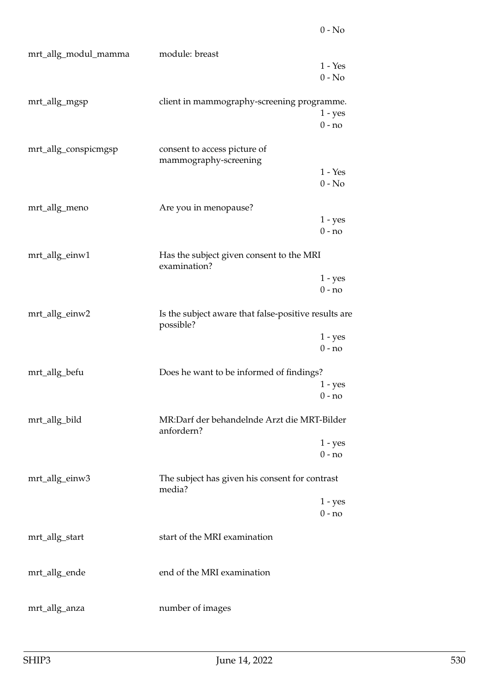| mrt_allg_modul_mamma | module: breast                                                    |                       |
|----------------------|-------------------------------------------------------------------|-----------------------|
|                      |                                                                   | $1 - Yes$             |
|                      |                                                                   | $0 - No$              |
| mrt_allg_mgsp        | client in mammography-screening programme.                        |                       |
|                      |                                                                   | $1 - yes$             |
|                      |                                                                   | $0 - no$              |
| mrt_allg_conspicmgsp | consent to access picture of<br>mammography-screening             |                       |
|                      |                                                                   | $1 - Yes$             |
|                      |                                                                   | $0 - No$              |
|                      |                                                                   |                       |
| mrt_allg_meno        | Are you in menopause?                                             |                       |
|                      |                                                                   | $1 - yes$<br>$0 - no$ |
|                      |                                                                   |                       |
| mrt_allg_einw1       | Has the subject given consent to the MRI<br>examination?          |                       |
|                      |                                                                   | $1 - yes$             |
|                      |                                                                   | $0 - no$              |
| mrt_allg_einw2       | Is the subject aware that false-positive results are<br>possible? |                       |
|                      |                                                                   | $1 - yes$             |
|                      |                                                                   | $0 - no$              |
| mrt_allg_befu        | Does he want to be informed of findings?                          |                       |
|                      |                                                                   | $1 - yes$             |
|                      |                                                                   | $0 - no$              |
| mrt_allg_bild        | MR:Darf der behandelnde Arzt die MRT-Bilder<br>anfordern?         |                       |
|                      |                                                                   | $1 - yes$             |
|                      |                                                                   | $0 - no$              |
| mrt_allg_einw3       | The subject has given his consent for contrast<br>media?          |                       |
|                      |                                                                   | $1 - yes$             |
|                      |                                                                   | $0 - no$              |
|                      |                                                                   |                       |
| mrt_allg_start       | start of the MRI examination                                      |                       |
|                      |                                                                   |                       |
| mrt_allg_ende        | end of the MRI examination                                        |                       |
|                      |                                                                   |                       |
| mrt_allg_anza        | number of images                                                  |                       |
|                      |                                                                   |                       |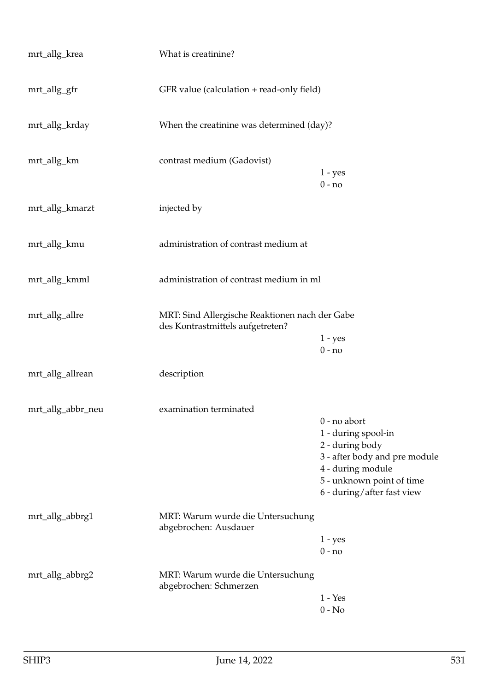| mrt_allg_krea     | What is creatinine?                                                                |                                                                                                                                                                           |
|-------------------|------------------------------------------------------------------------------------|---------------------------------------------------------------------------------------------------------------------------------------------------------------------------|
| mrt_allg_gfr      | GFR value (calculation + read-only field)                                          |                                                                                                                                                                           |
| mrt_allg_krday    | When the creatinine was determined (day)?                                          |                                                                                                                                                                           |
| mrt_allg_km       | contrast medium (Gadovist)                                                         | $1 - yes$<br>$0 - no$                                                                                                                                                     |
| mrt_allg_kmarzt   | injected by                                                                        |                                                                                                                                                                           |
| mrt_allg_kmu      | administration of contrast medium at                                               |                                                                                                                                                                           |
| mrt_allg_kmml     | administration of contrast medium in ml                                            |                                                                                                                                                                           |
| mrt_allg_allre    | MRT: Sind Allergische Reaktionen nach der Gabe<br>des Kontrastmittels aufgetreten? | $1 - yes$<br>$0 - no$                                                                                                                                                     |
| mrt_allg_allrean  | description                                                                        |                                                                                                                                                                           |
| mrt_allg_abbr_neu | examination terminated                                                             | $0$ - no abort<br>1 - during spool-in<br>2 - during body<br>3 - after body and pre module<br>4 - during module<br>5 - unknown point of time<br>6 - during/after fast view |
| mrt_allg_abbrg1   | MRT: Warum wurde die Untersuchung<br>abgebrochen: Ausdauer                         | $1 - yes$<br>$0 - no$                                                                                                                                                     |
| mrt_allg_abbrg2   | MRT: Warum wurde die Untersuchung<br>abgebrochen: Schmerzen                        | $1 - Yes$<br>$0 - No$                                                                                                                                                     |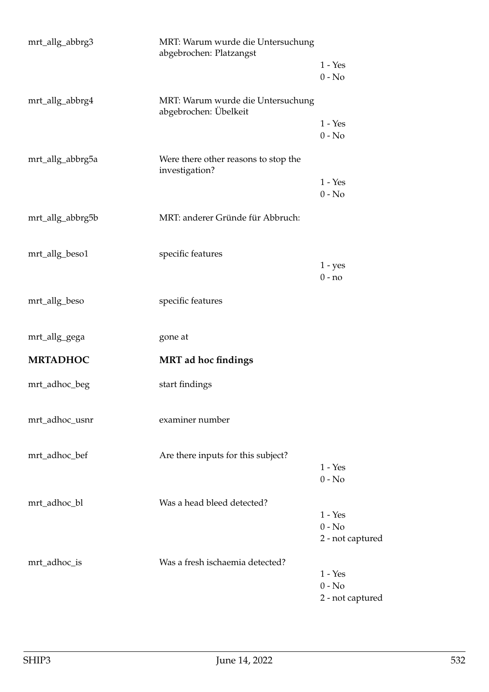| mrt_allg_abbrg3  | MRT: Warum wurde die Untersuchung<br>abgebrochen: Platzangst |                                           |
|------------------|--------------------------------------------------------------|-------------------------------------------|
|                  |                                                              | $1 - Yes$<br>$0 - No$                     |
| mrt_allg_abbrg4  | MRT: Warum wurde die Untersuchung<br>abgebrochen: Übelkeit   |                                           |
|                  |                                                              | $1 - Yes$<br>$0 - No$                     |
| mrt_allg_abbrg5a | Were there other reasons to stop the<br>investigation?       |                                           |
|                  |                                                              | $1 - Yes$<br>$0 - No$                     |
| mrt_allg_abbrg5b | MRT: anderer Gründe für Abbruch:                             |                                           |
| mrt_allg_beso1   | specific features                                            |                                           |
|                  |                                                              | $1 - yes$<br>$0 - no$                     |
| mrt_allg_beso    | specific features                                            |                                           |
| mrt_allg_gega    | gone at                                                      |                                           |
| <b>MRTADHOC</b>  | <b>MRT</b> ad hoc findings                                   |                                           |
| mrt_adhoc_beg    | start findings                                               |                                           |
| mrt_adhoc_usnr   | examiner number                                              |                                           |
| mrt_adhoc_bef    | Are there inputs for this subject?                           | $1 - Yes$                                 |
|                  |                                                              | $0 - No$                                  |
| mrt_adhoc_bl     | Was a head bleed detected?                                   | $1 - Yes$                                 |
|                  |                                                              | $0 - No$<br>2 - not captured              |
| mrt_adhoc_is     | Was a fresh ischaemia detected?                              |                                           |
|                  |                                                              | $1 - Yes$<br>$0 - No$<br>2 - not captured |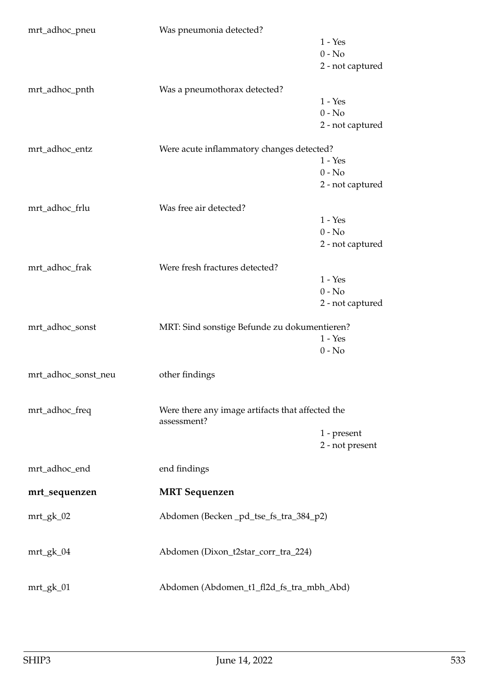| mrt_adhoc_pneu      | Was pneumonia detected?                          |                       |
|---------------------|--------------------------------------------------|-----------------------|
|                     |                                                  | $1 - Yes$             |
|                     |                                                  | $0 - No$              |
|                     |                                                  | 2 - not captured      |
|                     |                                                  |                       |
| mrt_adhoc_pnth      | Was a pneumothorax detected?                     |                       |
|                     |                                                  | $1 - Yes$             |
|                     |                                                  | $0 - No$              |
|                     |                                                  | 2 - not captured      |
|                     |                                                  |                       |
| mrt_adhoc_entz      | Were acute inflammatory changes detected?        |                       |
|                     |                                                  | $1 - Yes$             |
|                     |                                                  | $0 - No$              |
|                     |                                                  | 2 - not captured      |
|                     |                                                  |                       |
| mrt_adhoc_frlu      | Was free air detected?                           |                       |
|                     |                                                  | $1 - Yes$             |
|                     |                                                  | $0 - No$              |
|                     |                                                  | 2 - not captured      |
|                     |                                                  |                       |
| mrt_adhoc_frak      | Were fresh fractures detected?                   |                       |
|                     |                                                  | $1 - Yes$<br>$0 - No$ |
|                     |                                                  |                       |
|                     |                                                  | 2 - not captured      |
| mrt_adhoc_sonst     | MRT: Sind sonstige Befunde zu dokumentieren?     |                       |
|                     |                                                  | $1 - Yes$             |
|                     |                                                  | $0 - No$              |
|                     |                                                  |                       |
|                     |                                                  |                       |
| mrt_adhoc_sonst_neu | other findings                                   |                       |
|                     |                                                  |                       |
|                     |                                                  |                       |
| mrt_adhoc_freq      | Were there any image artifacts that affected the |                       |
|                     | assessment?                                      |                       |
|                     |                                                  | 1 - present           |
|                     |                                                  | 2 - not present       |
|                     |                                                  |                       |
| mrt_adhoc_end       | end findings                                     |                       |
| mrt_sequenzen       | <b>MRT</b> Sequenzen                             |                       |
|                     |                                                  |                       |
| $mrt_gk_02$         | Abdomen (Becken _pd_tse_fs_tra_384_p2)           |                       |
|                     |                                                  |                       |
| $mrt_gk_04$         | Abdomen (Dixon_t2star_corr_tra_224)              |                       |
|                     |                                                  |                       |
|                     |                                                  |                       |
| mrt_gk_01           | Abdomen (Abdomen_t1_fl2d_fs_tra_mbh_Abd)         |                       |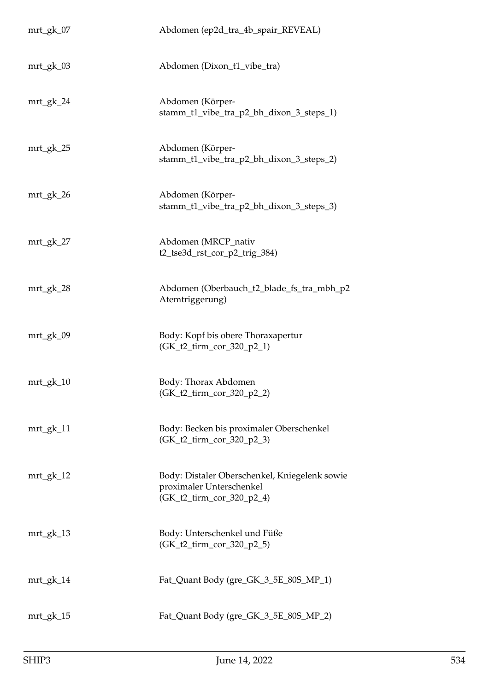| mrt_gk_07   | Abdomen (ep2d_tra_4b_spair_REVEAL)                                                                     |
|-------------|--------------------------------------------------------------------------------------------------------|
| $mrt_gk_03$ | Abdomen (Dixon_t1_vibe_tra)                                                                            |
| $mrt_gk_24$ | Abdomen (Körper-<br>stamm_t1_vibe_tra_p2_bh_dixon_3_steps_1)                                           |
| mrt_gk_25   | Abdomen (Körper-<br>stamm_t1_vibe_tra_p2_bh_dixon_3_steps_2)                                           |
| $mrt_gk_26$ | Abdomen (Körper-<br>stamm_t1_vibe_tra_p2_bh_dixon_3_steps_3)                                           |
| $mrt_gk_2$  | Abdomen (MRCP_nativ<br>t2_tse3d_rst_cor_p2_trig_384)                                                   |
| $mrt_gk_28$ | Abdomen (Oberbauch_t2_blade_fs_tra_mbh_p2<br>Atemtriggerung)                                           |
| $mrt_gk_09$ | Body: Kopf bis obere Thoraxapertur<br>(GK_t2_tirm_cor_320_p2_1)                                        |
| $mrt_gk_10$ | Body: Thorax Abdomen<br>$(GK_t2_time_cor_320_p2_2)$                                                    |
| $mrt_gk_1$  | Body: Becken bis proximaler Oberschenkel<br>(GK_t2_tirm_cor_320_p2_3)                                  |
| $mrt_gk_12$ | Body: Distaler Oberschenkel, Kniegelenk sowie<br>proximaler Unterschenkel<br>(GK_t2_tirm_cor_320_p2_4) |
| $mrt_gk_13$ | Body: Unterschenkel und Füße<br>(GK_t2_tirm_cor_320_p2_5)                                              |
| $mrt_gk_14$ | Fat_Quant Body (gre_GK_3_5E_80S_MP_1)                                                                  |
| $mrt_gk_15$ | Fat_Quant Body (gre_GK_3_5E_80S_MP_2)                                                                  |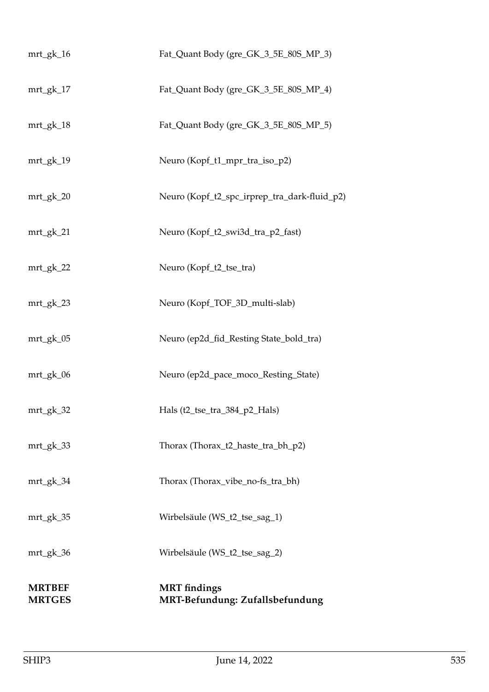| <b>MRTBEF</b><br><b>MRTGES</b> | <b>MRT</b> findings<br>MRT-Befundung: Zufallsbefundung |
|--------------------------------|--------------------------------------------------------|
| mrt_gk_36                      | Wirbelsäule (WS_t2_tse_sag_2)                          |
| mrt_gk_35                      | Wirbelsäule (WS_t2_tse_sag_1)                          |
| mrt_gk_34                      | Thorax (Thorax_vibe_no-fs_tra_bh)                      |
| $mrt_gk_3$                     | Thorax (Thorax_t2_haste_tra_bh_p2)                     |
| $mrt_gk_32$                    | Hals (t2_tse_tra_384_p2_Hals)                          |
| $mrt_gk_06$                    | Neuro (ep2d_pace_moco_Resting_State)                   |
| mrt_gk_05                      | Neuro (ep2d_fid_Resting State_bold_tra)                |
| mrt_gk_23                      | Neuro (Kopf_TOF_3D_multi-slab)                         |
| $mrt_gk_2$                     | Neuro (Kopf_t2_tse_tra)                                |
| mrt_gk_21                      | Neuro (Kopf_t2_swi3d_tra_p2_fast)                      |
| $mrt_gk_20$                    | Neuro (Kopf_t2_spc_irprep_tra_dark-fluid_p2)           |
| mrt_gk_19                      | Neuro (Kopf_t1_mpr_tra_iso_p2)                         |
| mrt_gk_18                      | Fat_Quant Body (gre_GK_3_5E_80S_MP_5)                  |
| mrt_gk_17                      | Fat_Quant Body (gre_GK_3_5E_80S_MP_4)                  |
| $mrt_gk_16$                    | Fat_Quant Body (gre_GK_3_5E_80S_MP_3)                  |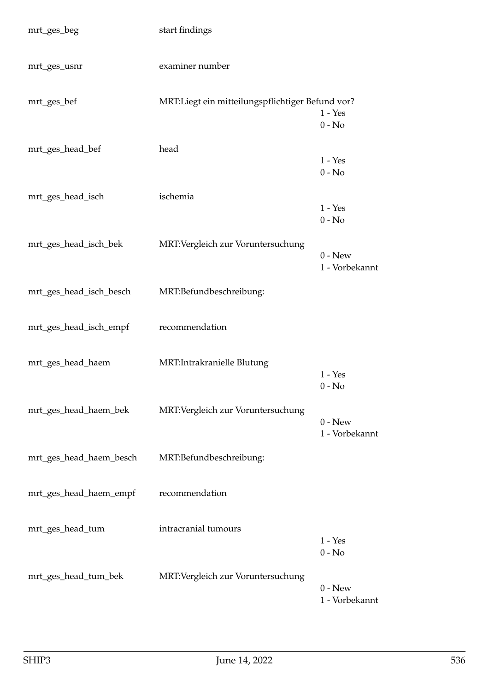| mrt_ges_beg             | start findings                                   |                                        |
|-------------------------|--------------------------------------------------|----------------------------------------|
| mrt_ges_usnr            | examiner number                                  |                                        |
| mrt_ges_bef             | MRT:Liegt ein mitteilungspflichtiger Befund vor? | $1 - Yes$<br>$0 - No$                  |
| mrt_ges_head_bef        | head                                             | $1 - Yes$<br>$0 - No$                  |
| mrt_ges_head_isch       | ischemia                                         | $1 - Yes$<br>$0 - No$                  |
| mrt_ges_head_isch_bek   | MRT: Vergleich zur Voruntersuchung               | $0 - New$<br>1 - Vorbekannt            |
| mrt_ges_head_isch_besch | MRT:Befundbeschreibung:                          |                                        |
| mrt_ges_head_isch_empf  | recommendation                                   |                                        |
| mrt_ges_head_haem       | MRT: Intrakranielle Blutung                      | $1 - Yes$<br>$0 - No$                  |
| mrt_ges_head_haem_bek   | MRT: Vergleich zur Voruntersuchung               | $0 - New$<br>1 - Vorbekannt            |
| mrt_ges_head_haem_besch | MRT:Befundbeschreibung:                          |                                        |
| mrt_ges_head_haem_empf  | recommendation                                   |                                        |
| mrt_ges_head_tum        | intracranial tumours                             | $1$ - $\operatorname{Yes}$<br>$0 - No$ |
| mrt_ges_head_tum_bek    | MRT: Vergleich zur Voruntersuchung               | $0 - New$<br>1 - Vorbekannt            |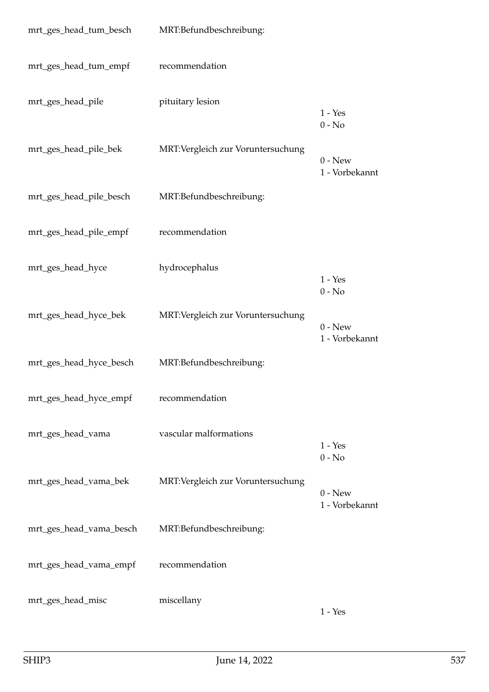| mrt_ges_head_tum_besch  | MRT:Befundbeschreibung:            |                             |
|-------------------------|------------------------------------|-----------------------------|
| mrt_ges_head_tum_empf   | recommendation                     |                             |
| mrt_ges_head_pile       | pituitary lesion                   | $1 - Yes$<br>$0 - No$       |
| mrt_ges_head_pile_bek   | MRT: Vergleich zur Voruntersuchung | $0 - New$<br>1 - Vorbekannt |
| mrt_ges_head_pile_besch | MRT:Befundbeschreibung:            |                             |
| mrt_ges_head_pile_empf  | recommendation                     |                             |
| mrt_ges_head_hyce       | hydrocephalus                      | $1 - Yes$<br>$0 - No$       |
| mrt_ges_head_hyce_bek   | MRT: Vergleich zur Voruntersuchung | $0 - New$<br>1 - Vorbekannt |
| mrt_ges_head_hyce_besch | MRT:Befundbeschreibung:            |                             |
| mrt_ges_head_hyce_empf  | recommendation                     |                             |
| mrt_ges_head_vama       | vascular malformations             | $1 - Yes$<br>$0 - No$       |
| mrt_ges_head_vama_bek   | MRT: Vergleich zur Voruntersuchung | $0 - New$<br>1 - Vorbekannt |
| mrt_ges_head_vama_besch | MRT:Befundbeschreibung:            |                             |
| mrt_ges_head_vama_empf  | recommendation                     |                             |
| mrt_ges_head_misc       | miscellany                         | $1 - Yes$                   |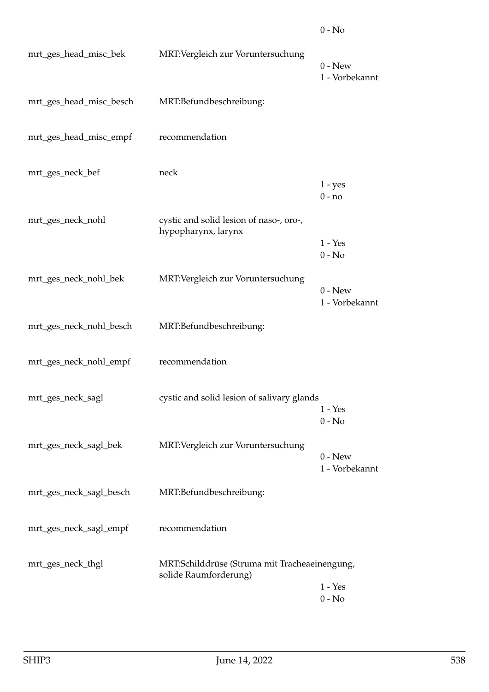| mrt_ges_head_misc_bek   | MRT: Vergleich zur Voruntersuchung                                     | $0$ - New<br>1 - Vorbekannt |
|-------------------------|------------------------------------------------------------------------|-----------------------------|
| mrt_ges_head_misc_besch | MRT:Befundbeschreibung:                                                |                             |
| mrt_ges_head_misc_empf  | recommendation                                                         |                             |
| mrt_ges_neck_bef        | neck                                                                   | $1 - yes$<br>$0 - no$       |
| mrt_ges_neck_nohl       | cystic and solid lesion of naso-, oro-,<br>hypopharynx, larynx         | $1 - Yes$<br>$0 - No$       |
| mrt_ges_neck_nohl_bek   | MRT: Vergleich zur Voruntersuchung                                     | $0 - New$<br>1 - Vorbekannt |
| mrt_ges_neck_nohl_besch | MRT:Befundbeschreibung:                                                |                             |
| mrt_ges_neck_nohl_empf  | recommendation                                                         |                             |
| mrt_ges_neck_sagl       | cystic and solid lesion of salivary glands                             | $1 - Yes$<br>$0 - No$       |
| mrt_ges_neck_sagl_bek   | MRT: Vergleich zur Voruntersuchung                                     | $0 - New$<br>1 - Vorbekannt |
| mrt_ges_neck_sagl_besch | MRT:Befundbeschreibung:                                                |                             |
| mrt_ges_neck_sagl_empf  | recommendation                                                         |                             |
| mrt_ges_neck_thgl       | MRT:Schilddrüse (Struma mit Tracheaeinengung,<br>solide Raumforderung) | $1 - Yes$<br>$0 - No$       |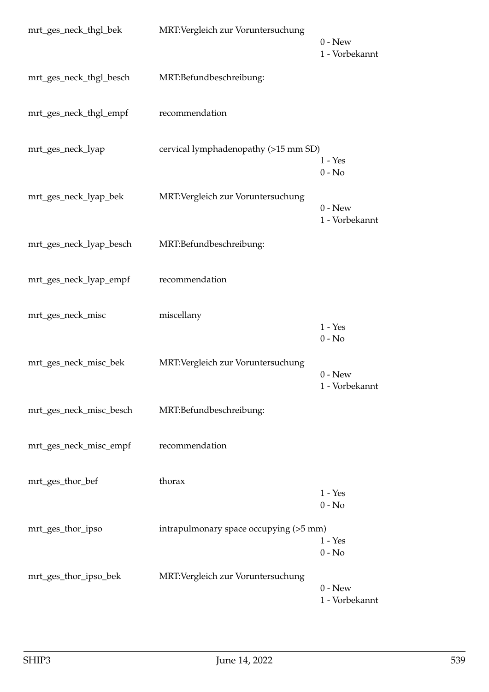| mrt_ges_neck_thgl_bek   | MRT:Vergleich zur Voruntersuchung      | $0 - New$<br>1 - Vorbekannt |
|-------------------------|----------------------------------------|-----------------------------|
| mrt_ges_neck_thgl_besch | MRT:Befundbeschreibung:                |                             |
| mrt_ges_neck_thgl_empf  | recommendation                         |                             |
| mrt_ges_neck_lyap       | cervical lymphadenopathy (>15 mm SD)   | $1 - Yes$<br>$0 - No$       |
| mrt_ges_neck_lyap_bek   | MRT: Vergleich zur Voruntersuchung     | $0 - New$<br>1 - Vorbekannt |
| mrt_ges_neck_lyap_besch | MRT:Befundbeschreibung:                |                             |
| mrt_ges_neck_lyap_empf  | recommendation                         |                             |
| mrt_ges_neck_misc       | miscellany                             | $1 - Yes$<br>$0 - No$       |
| mrt_ges_neck_misc_bek   | MRT: Vergleich zur Voruntersuchung     | $0 - New$<br>1 - Vorbekannt |
| mrt_ges_neck_misc_besch | MRT:Befundbeschreibung:                |                             |
| mrt_ges_neck_misc_empf  | recommendation                         |                             |
| mrt_ges_thor_bef        | thorax                                 | $1 - Yes$<br>$0 - No$       |
| mrt_ges_thor_ipso       | intrapulmonary space occupying (>5 mm) | $1 - Yes$<br>$0 - No$       |
| mrt_ges_thor_ipso_bek   | MRT: Vergleich zur Voruntersuchung     | $0$ - New<br>1 - Vorbekannt |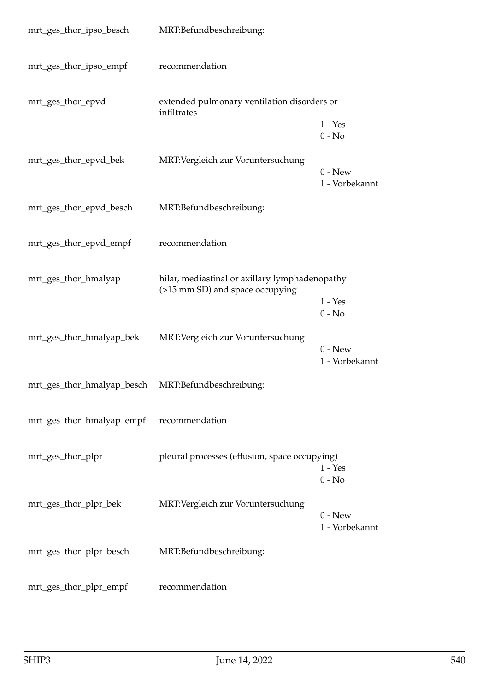| mrt_ges_thor_ipso_besch                            | MRT:Befundbeschreibung:                                                           |                             |
|----------------------------------------------------|-----------------------------------------------------------------------------------|-----------------------------|
| mrt_ges_thor_ipso_empf                             | recommendation                                                                    |                             |
| mrt_ges_thor_epvd                                  | extended pulmonary ventilation disorders or<br>infiltrates                        |                             |
|                                                    |                                                                                   | $1 - Yes$<br>$0 - No$       |
| mrt_ges_thor_epvd_bek                              | MRT: Vergleich zur Voruntersuchung                                                | $0$ - New<br>1 - Vorbekannt |
| mrt_ges_thor_epvd_besch                            | MRT:Befundbeschreibung:                                                           |                             |
| mrt_ges_thor_epvd_empf                             | recommendation                                                                    |                             |
| mrt_ges_thor_hmalyap                               | hilar, mediastinal or axillary lymphadenopathy<br>(>15 mm SD) and space occupying |                             |
|                                                    |                                                                                   | $1 - Yes$<br>$0 - No$       |
| mrt_ges_thor_hmalyap_bek                           | MRT: Vergleich zur Voruntersuchung                                                | $0$ - New<br>1 - Vorbekannt |
| mrt_ges_thor_hmalyap_besch MRT:Befundbeschreibung: |                                                                                   |                             |
| mrt_ges_thor_hmalyap_empf                          | recommendation                                                                    |                             |
| mrt_ges_thor_plpr                                  | pleural processes (effusion, space occupying)                                     | $1 - Yes$<br>$0 - No$       |
| mrt_ges_thor_plpr_bek                              | MRT: Vergleich zur Voruntersuchung                                                | $0$ - New<br>1 - Vorbekannt |
| mrt_ges_thor_plpr_besch                            | MRT:Befundbeschreibung:                                                           |                             |
| mrt_ges_thor_plpr_empf                             | recommendation                                                                    |                             |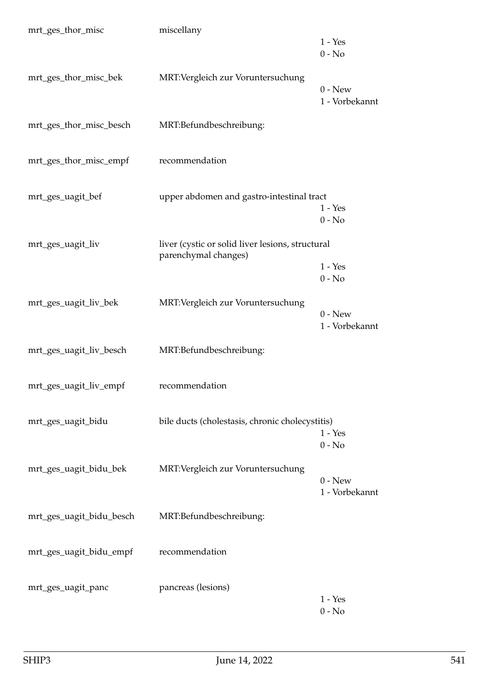| mrt_ges_thor_misc        | miscellany                                                               | $1 - Yes$                   |
|--------------------------|--------------------------------------------------------------------------|-----------------------------|
|                          |                                                                          | $0 - No$                    |
| mrt_ges_thor_misc_bek    | MRT: Vergleich zur Voruntersuchung                                       | $0 - New$<br>1 - Vorbekannt |
| mrt_ges_thor_misc_besch  | MRT:Befundbeschreibung:                                                  |                             |
| mrt_ges_thor_misc_empf   | recommendation                                                           |                             |
| mrt_ges_uagit_bef        | upper abdomen and gastro-intestinal tract                                | $1 - Yes$                   |
|                          |                                                                          | $0 - No$                    |
| mrt_ges_uagit_liv        | liver (cystic or solid liver lesions, structural<br>parenchymal changes) |                             |
|                          |                                                                          | $1 - Yes$<br>$0 - No$       |
|                          |                                                                          |                             |
| mrt_ges_uagit_liv_bek    | MRT: Vergleich zur Voruntersuchung                                       | $0 - New$<br>1 - Vorbekannt |
| mrt_ges_uagit_liv_besch  | MRT:Befundbeschreibung:                                                  |                             |
| mrt_ges_uagit_liv_empf   | recommendation                                                           |                             |
| mrt_ges_uagit_bidu       | bile ducts (cholestasis, chronic cholecystitis)                          | $1 - Yes$<br>$0 - No$       |
| mrt_ges_uagit_bidu_bek   | MRT: Vergleich zur Voruntersuchung                                       | $0 - New$<br>1 - Vorbekannt |
| mrt_ges_uagit_bidu_besch | MRT:Befundbeschreibung:                                                  |                             |
| mrt_ges_uagit_bidu_empf  | recommendation                                                           |                             |
| mrt_ges_uagit_panc       | pancreas (lesions)                                                       | $1 - Yes$<br>$0 - No$       |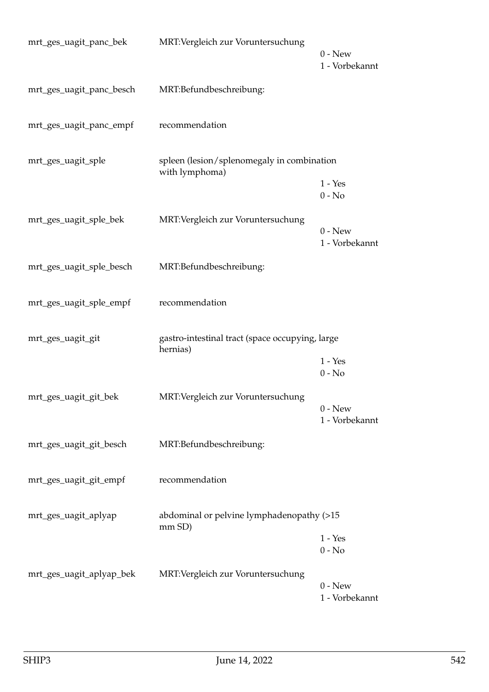| mrt_ges_uagit_panc_bek   | MRT: Vergleich zur Voruntersuchung                           |                             |
|--------------------------|--------------------------------------------------------------|-----------------------------|
|                          |                                                              | $0 - New$<br>1 - Vorbekannt |
| mrt_ges_uagit_panc_besch | MRT:Befundbeschreibung:                                      |                             |
| mrt_ges_uagit_panc_empf  | recommendation                                               |                             |
| mrt_ges_uagit_sple       | spleen (lesion/splenomegaly in combination<br>with lymphoma) |                             |
|                          |                                                              | $1 - Yes$<br>$0 - No$       |
| mrt_ges_uagit_sple_bek   | MRT: Vergleich zur Voruntersuchung                           | $0 - New$<br>1 - Vorbekannt |
| mrt_ges_uagit_sple_besch | MRT:Befundbeschreibung:                                      |                             |
| mrt_ges_uagit_sple_empf  | recommendation                                               |                             |
| mrt_ges_uagit_git        | gastro-intestinal tract (space occupying, large<br>hernias)  |                             |
|                          |                                                              | $1 - Yes$<br>$0 - No$       |
| mrt_ges_uagit_git_bek    | MRT: Vergleich zur Voruntersuchung                           | $0 - New$<br>1 - Vorbekannt |
| mrt_ges_uagit_git_besch  | MRT:Befundbeschreibung:                                      |                             |
| mrt_ges_uagit_git_empf   | recommendation                                               |                             |
| mrt_ges_uagit_aplyap     | abdominal or pelvine lymphadenopathy (>15<br>mm SD)          |                             |
|                          |                                                              | $1 - Yes$<br>$0 - No$       |
| mrt_ges_uagit_aplyap_bek | MRT: Vergleich zur Voruntersuchung                           | $0$ - New<br>1 - Vorbekannt |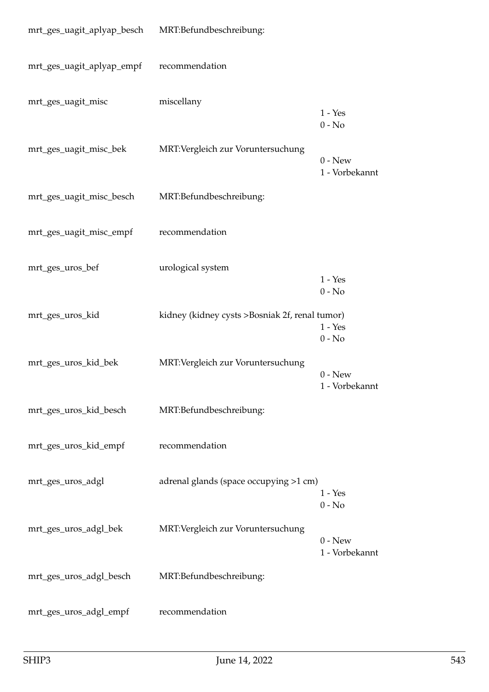| mrt_ges_uagit_aplyap_besch MRT:Befundbeschreibung: |                                                |                             |
|----------------------------------------------------|------------------------------------------------|-----------------------------|
| mrt_ges_uagit_aplyap_empf                          | recommendation                                 |                             |
| mrt_ges_uagit_misc                                 | miscellany                                     | $1 - Yes$<br>$0 - No$       |
| mrt_ges_uagit_misc_bek                             | MRT: Vergleich zur Voruntersuchung             | $0 - New$<br>1 - Vorbekannt |
| mrt_ges_uagit_misc_besch                           | MRT:Befundbeschreibung:                        |                             |
| mrt_ges_uagit_misc_empf                            | recommendation                                 |                             |
| mrt_ges_uros_bef                                   | urological system                              | $1 - Yes$<br>$0 - No$       |
| mrt_ges_uros_kid                                   | kidney (kidney cysts >Bosniak 2f, renal tumor) | $1 - Yes$<br>$0 - No$       |
| mrt_ges_uros_kid_bek                               | MRT: Vergleich zur Voruntersuchung             | $0 - New$<br>1 - Vorbekannt |
| mrt_ges_uros_kid_besch                             | MRT:Befundbeschreibung:                        |                             |
| mrt_ges_uros_kid_empf                              | recommendation                                 |                             |
| mrt_ges_uros_adgl                                  | adrenal glands (space occupying >1 cm)         | $1 - Yes$<br>$0 - No$       |
| mrt_ges_uros_adgl_bek                              | MRT: Vergleich zur Voruntersuchung             | $0 - New$<br>1 - Vorbekannt |
| mrt_ges_uros_adgl_besch                            | MRT:Befundbeschreibung:                        |                             |
| mrt_ges_uros_adgl_empf                             | recommendation                                 |                             |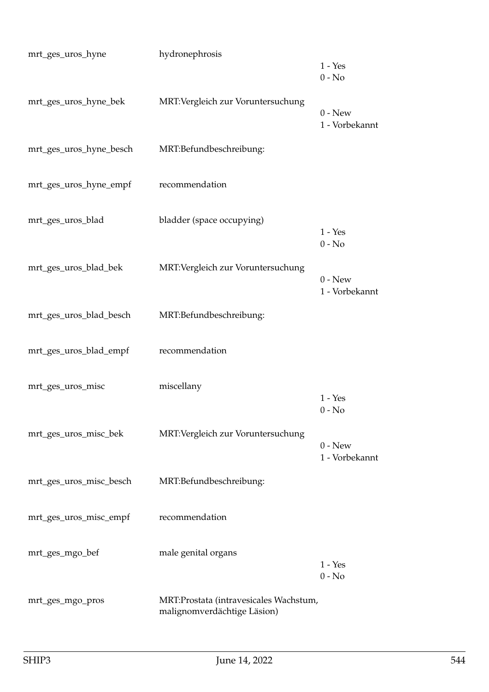| mrt_ges_uros_hyne       | hydronephrosis                                                        | $1 - Yes$<br>$0 - No$       |
|-------------------------|-----------------------------------------------------------------------|-----------------------------|
| mrt_ges_uros_hyne_bek   | MRT:Vergleich zur Voruntersuchung                                     | $0$ - New<br>1 - Vorbekannt |
| mrt_ges_uros_hyne_besch | MRT:Befundbeschreibung:                                               |                             |
| mrt_ges_uros_hyne_empf  | recommendation                                                        |                             |
| mrt_ges_uros_blad       | bladder (space occupying)                                             | $1 - Yes$<br>$0 - No$       |
| mrt_ges_uros_blad_bek   | MRT: Vergleich zur Voruntersuchung                                    | $0 - New$<br>1 - Vorbekannt |
| mrt_ges_uros_blad_besch | MRT:Befundbeschreibung:                                               |                             |
| mrt_ges_uros_blad_empf  | recommendation                                                        |                             |
| mrt_ges_uros_misc       | miscellany                                                            | $1 - Yes$<br>$0 - No$       |
| mrt_ges_uros_misc_bek   | MRT: Vergleich zur Voruntersuchung                                    | $0 - New$<br>1 - Vorbekannt |
| mrt_ges_uros_misc_besch | MRT:Befundbeschreibung:                                               |                             |
| mrt_ges_uros_misc_empf  | recommendation                                                        |                             |
| mrt_ges_mgo_bef         | male genital organs                                                   | $1 - Yes$<br>$0 - No$       |
| mrt_ges_mgo_pros        | MRT:Prostata (intravesicales Wachstum,<br>malignomverdächtige Läsion) |                             |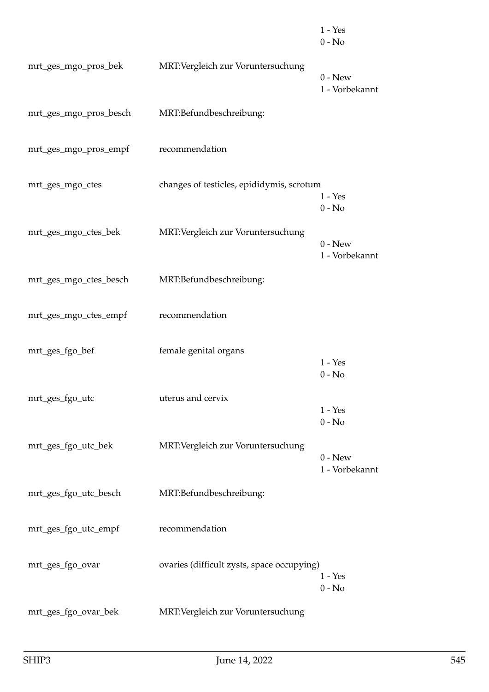|                        |                                            | $1 - Yes$<br>$0 - No$       |
|------------------------|--------------------------------------------|-----------------------------|
| mrt_ges_mgo_pros_bek   | MRT: Vergleich zur Voruntersuchung         | $0 - New$<br>1 - Vorbekannt |
| mrt_ges_mgo_pros_besch | MRT:Befundbeschreibung:                    |                             |
| mrt_ges_mgo_pros_empf  | recommendation                             |                             |
| mrt_ges_mgo_ctes       | changes of testicles, epididymis, scrotum  | $1 - Yes$<br>$0 - No$       |
| mrt_ges_mgo_ctes_bek   | MRT: Vergleich zur Voruntersuchung         | $0 - New$<br>1 - Vorbekannt |
| mrt_ges_mgo_ctes_besch | MRT:Befundbeschreibung:                    |                             |
| mrt_ges_mgo_ctes_empf  | recommendation                             |                             |
| mrt_ges_fgo_bef        | female genital organs                      | $1 - Yes$<br>$0 - No$       |
| mrt_ges_fgo_utc        | uterus and cervix                          | $1 - Yes$<br>$0 - No$       |
| mrt_ges_fgo_utc_bek    | MRT: Vergleich zur Voruntersuchung         | $0 - New$<br>1 - Vorbekannt |
| mrt_ges_fgo_utc_besch  | MRT:Befundbeschreibung:                    |                             |
| mrt_ges_fgo_utc_empf   | recommendation                             |                             |
| mrt_ges_fgo_ovar       | ovaries (difficult zysts, space occupying) | $1 - Yes$<br>$0 - No$       |
| mrt_ges_fgo_ovar_bek   | MRT: Vergleich zur Voruntersuchung         |                             |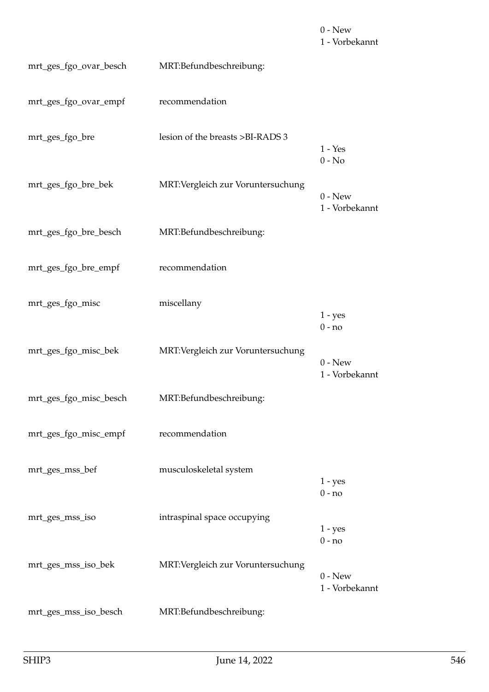$0 - New$ 1 - Vorbekannt mrt\_ges\_fgo\_ovar\_besch MRT:Befundbeschreibung: mrt\_ges\_fgo\_ovar\_empf recommendation mrt\_ges\_fgo\_bre lesion of the breasts >BI-RADS 3 1 - Yes 0 - No mrt ges fgo bre bek MRT:Vergleich zur Voruntersuchung  $0 - New$ 1 - Vorbekannt mrt\_ges\_fgo\_bre\_besch MRT:Befundbeschreibung: mrt\_ges\_fgo\_bre\_empf recommendation mrt\_ges\_fgo\_misc miscellany 1 - yes 0 - no mrt\_ges\_fgo\_misc\_bek MRT:Vergleich zur Voruntersuchung  $0 - New$ 1 - Vorbekannt mrt\_ges\_fgo\_misc\_besch MRT:Befundbeschreibung: mrt\_ges\_fgo\_misc\_empf recommendation mrt\_ges\_mss\_bef musculoskeletal system 1 - yes  $0 - no$ mrt\_ges\_mss\_iso intraspinal space occupying  $1 - yes$ 0 - no mrt\_ges\_mss\_iso\_bek MRT:Vergleich zur Voruntersuchung 0 - New 1 - Vorbekannt mrt\_ges\_mss\_iso\_besch MRT:Befundbeschreibung: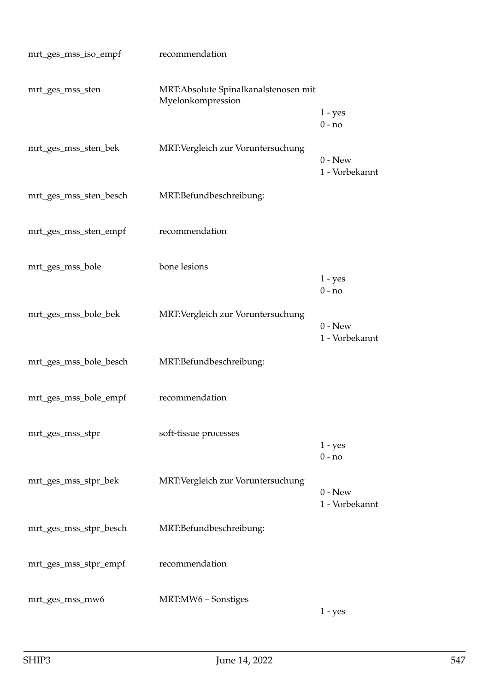| mrt_ges_mss_iso_empf   | recommendation                                             |                             |
|------------------------|------------------------------------------------------------|-----------------------------|
| mrt_ges_mss_sten       | MRT: Absolute Spinalkanalstenosen mit<br>Myelonkompression | $1 - yes$                   |
|                        |                                                            | $0 - no$                    |
| mrt_ges_mss_sten_bek   | MRT: Vergleich zur Voruntersuchung                         | $0 - New$<br>1 - Vorbekannt |
| mrt_ges_mss_sten_besch | MRT:Befundbeschreibung:                                    |                             |
| mrt_ges_mss_sten_empf  | recommendation                                             |                             |
| mrt_ges_mss_bole       | bone lesions                                               | $1 - yes$<br>$0 - no$       |
|                        |                                                            |                             |
| mrt_ges_mss_bole_bek   | MRT: Vergleich zur Voruntersuchung                         | $0 - New$<br>1 - Vorbekannt |
| mrt_ges_mss_bole_besch | MRT:Befundbeschreibung:                                    |                             |
| mrt_ges_mss_bole_empf  | recommendation                                             |                             |
| mrt_ges_mss_stpr       | soft-tissue processes                                      | $1 - yes$                   |
|                        |                                                            | $0 - no$                    |
| mrt_ges_mss_stpr_bek   | MRT: Vergleich zur Voruntersuchung                         | $0 - New$<br>1 - Vorbekannt |
| mrt_ges_mss_stpr_besch | MRT:Befundbeschreibung:                                    |                             |
| mrt_ges_mss_stpr_empf  | recommendation                                             |                             |
| mrt_ges_mss_mw6        | MRT:MW6 - Sonstiges                                        | $1 - yes$                   |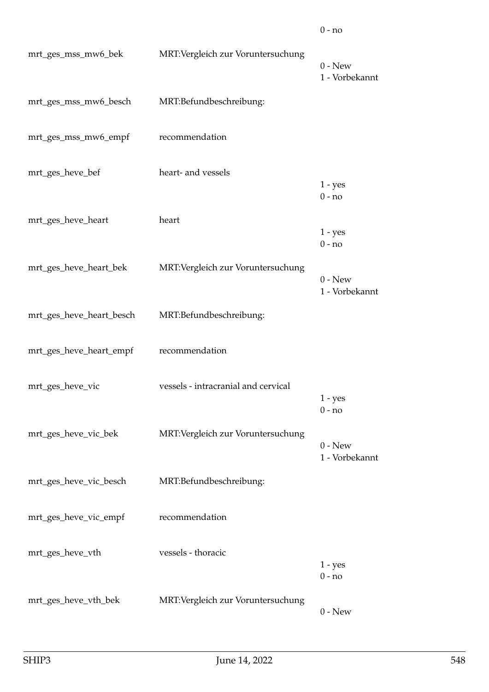| mrt_ges_mss_mw6_bek      | MRT: Vergleich zur Voruntersuchung  | $0$ - New<br>1 - Vorbekannt |
|--------------------------|-------------------------------------|-----------------------------|
| mrt_ges_mss_mw6_besch    | MRT:Befundbeschreibung:             |                             |
| mrt_ges_mss_mw6_empf     | recommendation                      |                             |
| mrt_ges_heve_bef         | heart- and vessels                  | $1 - yes$<br>$0 - no$       |
| mrt_ges_heve_heart       | heart                               | $1 - yes$<br>$0 - no$       |
| mrt_ges_heve_heart_bek   | MRT: Vergleich zur Voruntersuchung  | $0 - New$<br>1 - Vorbekannt |
| mrt_ges_heve_heart_besch | MRT:Befundbeschreibung:             |                             |
| mrt_ges_heve_heart_empf  | recommendation                      |                             |
| mrt_ges_heve_vic         | vessels - intracranial and cervical | $1 - yes$<br>$0 - no$       |
| mrt_ges_heve_vic_bek     | MRT:Vergleich zur Voruntersuchung   | $0 - New$<br>1 - Vorbekannt |
| mrt_ges_heve_vic_besch   | MRT:Befundbeschreibung:             |                             |
| mrt_ges_heve_vic_empf    | recommendation                      |                             |
| mrt_ges_heve_vth         | vessels - thoracic                  | $1 - yes$<br>$0 - no$       |
| mrt_ges_heve_vth_bek     | MRT: Vergleich zur Voruntersuchung  | $0 - New$                   |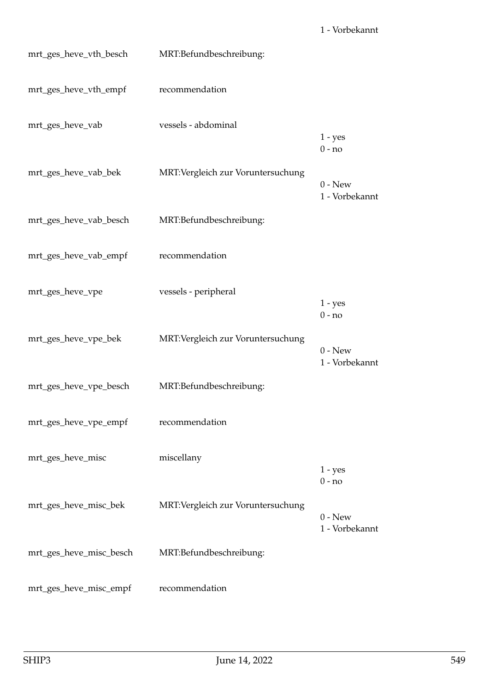mrt\_ges\_heve\_vth\_besch MRT:Befundbeschreibung: mrt\_ges\_heve\_vth\_empf recommendation mrt\_ges\_heve\_vab vessels - abdominal 1 - yes 0 - no mrt\_ges\_heve\_vab\_bek MRT:Vergleich zur Voruntersuchung 0 - New 1 - Vorbekannt mrt\_ges\_heve\_vab\_besch MRT:Befundbeschreibung: mrt\_ges\_heve\_vab\_empf recommendation mrt\_ges\_heve\_vpe vessels - peripheral 1 - yes  $0 - no$ mrt\_ges\_heve\_vpe\_bek MRT:Vergleich zur Voruntersuchung  $0 - New$ 1 - Vorbekannt mrt\_ges\_heve\_vpe\_besch MRT:Befundbeschreibung: mrt\_ges\_heve\_vpe\_empf recommendation mrt ges heve misc $m$ iscellany 1 - yes 0 - no mrt\_ges\_heve\_misc\_bek MRT:Vergleich zur Voruntersuchung  $0 - New$ 1 - Vorbekannt mrt\_ges\_heve\_misc\_besch MRT:Befundbeschreibung: mrt\_ges\_heve\_misc\_empf recommendation

1 - Vorbekannt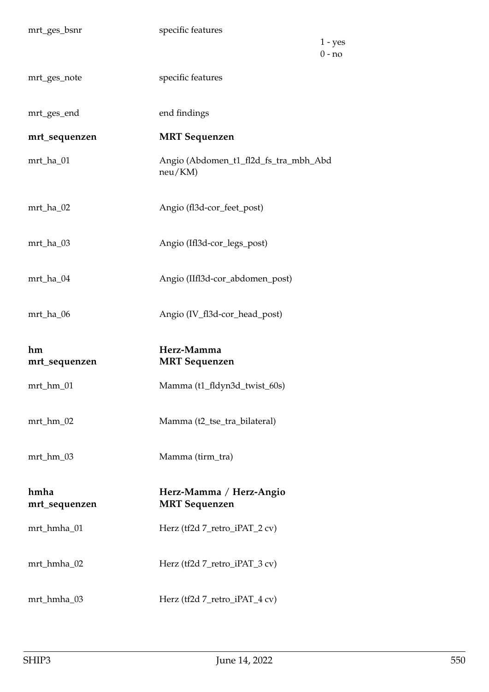|                       | specific features                                   |
|-----------------------|-----------------------------------------------------|
|                       | $1 - yes$<br>$0 - no$                               |
| mrt_ges_note          | specific features                                   |
| mrt_ges_end           | end findings                                        |
| mrt_sequenzen         | <b>MRT</b> Sequenzen                                |
| mrt_ha_01             | Angio (Abdomen_t1_fl2d_fs_tra_mbh_Abd<br>$neu/KM$ ) |
| mrt_ha_02             | Angio (fl3d-cor_feet_post)                          |
| mrt_ha_03             | Angio (Ifl3d-cor_legs_post)                         |
| mrt_ha_04             | Angio (IIfl3d-cor_abdomen_post)                     |
| mrt_ha_06             | Angio (IV_fl3d-cor_head_post)                       |
|                       |                                                     |
| hm<br>mrt_sequenzen   | Herz-Mamma<br><b>MRT</b> Sequenzen                  |
| mrt_hm_01             | Mamma (t1_fldyn3d_twist_60s)                        |
| mrt_hm_02             | Mamma (t2_tse_tra_bilateral)                        |
| mrt_hm_03             | Mamma (tirm_tra)                                    |
| hmha<br>mrt_sequenzen | Herz-Mamma / Herz-Angio<br><b>MRT</b> Sequenzen     |
| mrt_hmha_01           | Herz (tf2d 7_retro_iPAT_2 cv)                       |
| mrt_hmha_02           | Herz (tf2d 7_retro_iPAT_3 cv)                       |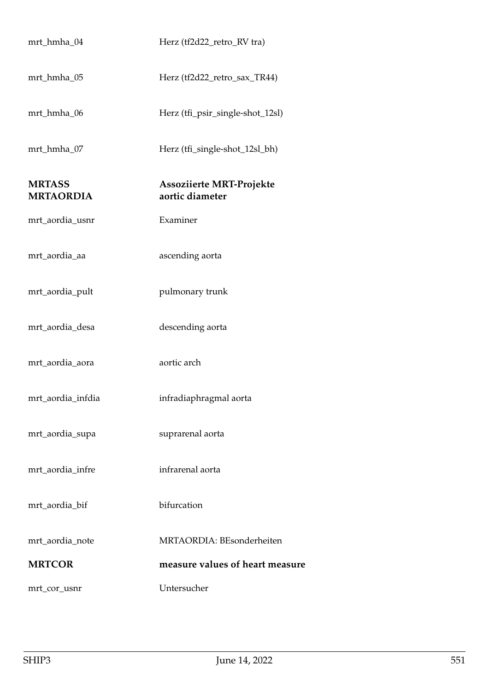| mrt_hmha_04                       | Herz (tf2d22_retro_RV tra)                         |
|-----------------------------------|----------------------------------------------------|
| mrt_hmha_05                       | Herz (tf2d22_retro_sax_TR44)                       |
| mrt_hmha_06                       | Herz (tfi_psir_single-shot_12sl)                   |
| mrt_hmha_07                       | Herz (tfi_single-shot_12sl_bh)                     |
| <b>MRTASS</b><br><b>MRTAORDIA</b> | <b>Assoziierte MRT-Projekte</b><br>aortic diameter |
| mrt_aordia_usnr                   | Examiner                                           |
| mrt_aordia_aa                     | ascending aorta                                    |
| mrt_aordia_pult                   | pulmonary trunk                                    |
| mrt_aordia_desa                   | descending aorta                                   |
| mrt_aordia_aora                   | aortic arch                                        |
| mrt_aordia_infdia                 | infradiaphragmal aorta                             |
| mrt_aordia_supa                   | suprarenal aorta                                   |
| mrt_aordia_infre                  | infrarenal aorta                                   |
| mrt_aordia_bif                    | bifurcation                                        |
| mrt_aordia_note                   | MRTAORDIA: BEsonderheiten                          |
| <b>MRTCOR</b>                     | measure values of heart measure                    |
| mrt_cor_usnr                      | Untersucher                                        |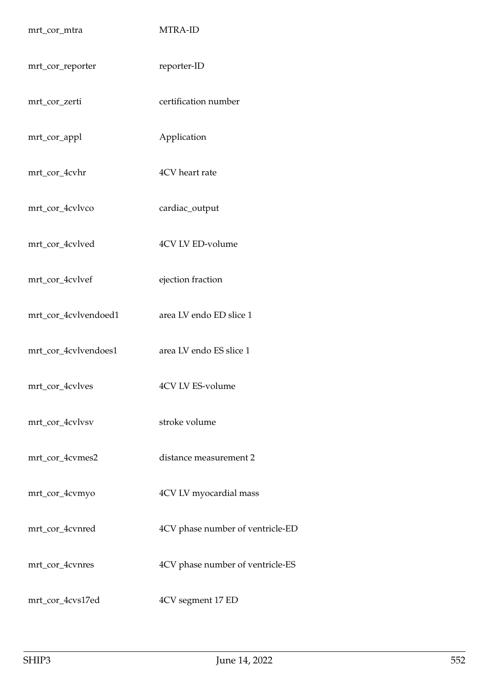| mrt_cor_mtra         | MTRA-ID                          |
|----------------------|----------------------------------|
| mrt_cor_reporter     | reporter-ID                      |
| mrt_cor_zerti        | certification number             |
| mrt_cor_appl         | Application                      |
| mrt_cor_4cvhr        | 4CV heart rate                   |
| mrt_cor_4cvlvco      | cardiac_output                   |
| mrt_cor_4cvlved      | 4CV LV ED-volume                 |
| mrt_cor_4cvlvef      | ejection fraction                |
| mrt_cor_4cvlvendoed1 | area LV endo ED slice 1          |
| mrt_cor_4cvlvendoes1 | area LV endo ES slice 1          |
| mrt_cor_4cvlves      | 4CV LV ES-volume                 |
| mrt_cor_4cvlvsv      | stroke volume                    |
| mrt_cor_4cvmes2      | distance measurement 2           |
| mrt_cor_4cvmyo       | 4CV LV myocardial mass           |
| mrt_cor_4cvnred      | 4CV phase number of ventricle-ED |
| mrt_cor_4cvnres      | 4CV phase number of ventricle-ES |
| mrt_cor_4cvs17ed     | 4CV segment 17 ED                |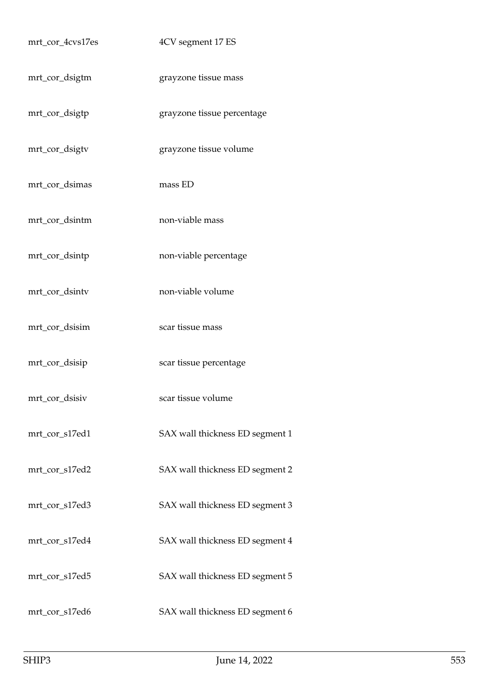| mrt_cor_4cvs17es | 4CV segment 17 ES               |
|------------------|---------------------------------|
| mrt_cor_dsigtm   | grayzone tissue mass            |
| mrt_cor_dsigtp   | grayzone tissue percentage      |
| mrt_cor_dsigtv   | grayzone tissue volume          |
| mrt_cor_dsimas   | mass ED                         |
| mrt_cor_dsintm   | non-viable mass                 |
| mrt_cor_dsintp   | non-viable percentage           |
| mrt_cor_dsintv   | non-viable volume               |
| mrt_cor_dsisim   | scar tissue mass                |
| mrt_cor_dsisip   | scar tissue percentage          |
| mrt_cor_dsisiv   | scar tissue volume              |
| mrt_cor_s17ed1   | SAX wall thickness ED segment 1 |
| mrt_cor_s17ed2   | SAX wall thickness ED segment 2 |
| mrt_cor_s17ed3   | SAX wall thickness ED segment 3 |
| mrt_cor_s17ed4   | SAX wall thickness ED segment 4 |
| mrt_cor_s17ed5   | SAX wall thickness ED segment 5 |
| mrt_cor_s17ed6   | SAX wall thickness ED segment 6 |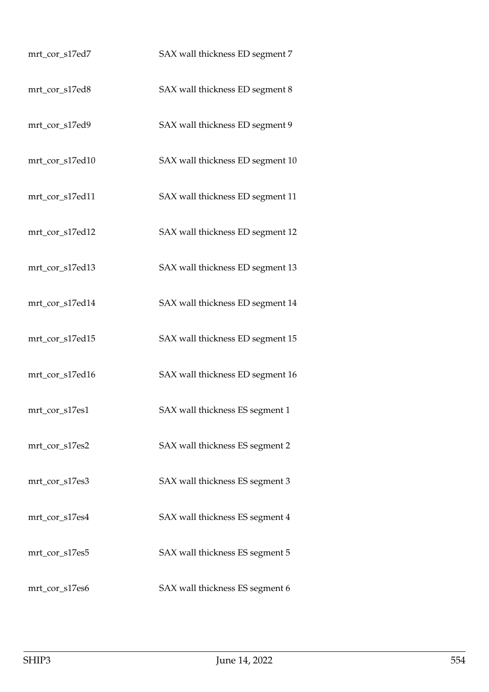| mrt_cor_s17ed7  | SAX wall thickness ED segment 7  |
|-----------------|----------------------------------|
| mrt_cor_s17ed8  | SAX wall thickness ED segment 8  |
| mrt_cor_s17ed9  | SAX wall thickness ED segment 9  |
| mrt_cor_s17ed10 | SAX wall thickness ED segment 10 |
| mrt_cor_s17ed11 | SAX wall thickness ED segment 11 |
| mrt_cor_s17ed12 | SAX wall thickness ED segment 12 |
| mrt_cor_s17ed13 | SAX wall thickness ED segment 13 |
| mrt_cor_s17ed14 | SAX wall thickness ED segment 14 |
| mrt_cor_s17ed15 | SAX wall thickness ED segment 15 |
| mrt_cor_s17ed16 | SAX wall thickness ED segment 16 |
| mrt_cor_s17es1  | SAX wall thickness ES segment 1  |
| mrt_cor_s17es2  | SAX wall thickness ES segment 2  |
| mrt_cor_s17es3  | SAX wall thickness ES segment 3  |
| mrt_cor_s17es4  | SAX wall thickness ES segment 4  |
| mrt_cor_s17es5  | SAX wall thickness ES segment 5  |
| mrt_cor_s17es6  | SAX wall thickness ES segment 6  |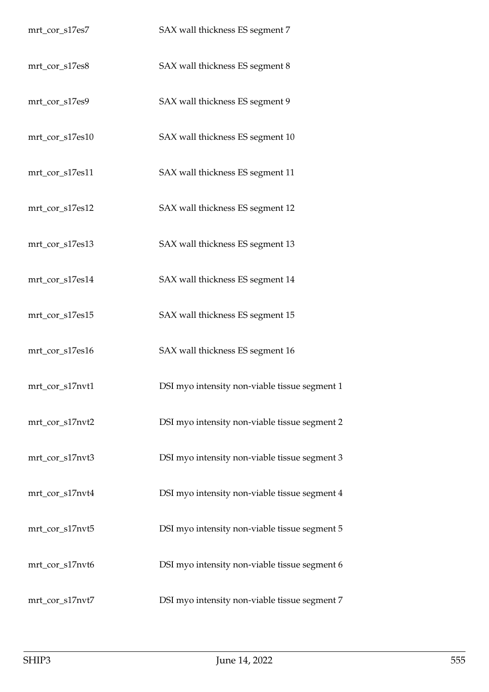| mrt_cor_s17es7  | SAX wall thickness ES segment 7               |
|-----------------|-----------------------------------------------|
| mrt_cor_s17es8  | SAX wall thickness ES segment 8               |
| mrt_cor_s17es9  | SAX wall thickness ES segment 9               |
| mrt_cor_s17es10 | SAX wall thickness ES segment 10              |
| mrt_cor_s17es11 | SAX wall thickness ES segment 11              |
| mrt_cor_s17es12 | SAX wall thickness ES segment 12              |
| mrt_cor_s17es13 | SAX wall thickness ES segment 13              |
| mrt_cor_s17es14 | SAX wall thickness ES segment 14              |
| mrt_cor_s17es15 | SAX wall thickness ES segment 15              |
| mrt_cor_s17es16 | SAX wall thickness ES segment 16              |
| mrt_cor_s17nvt1 | DSI myo intensity non-viable tissue segment 1 |
| mrt_cor_s17nvt2 | DSI myo intensity non-viable tissue segment 2 |
| mrt_cor_s17nvt3 | DSI myo intensity non-viable tissue segment 3 |
| mrt_cor_s17nvt4 | DSI myo intensity non-viable tissue segment 4 |
| mrt_cor_s17nvt5 | DSI myo intensity non-viable tissue segment 5 |
| mrt_cor_s17nvt6 | DSI myo intensity non-viable tissue segment 6 |
| mrt_cor_s17nvt7 | DSI myo intensity non-viable tissue segment 7 |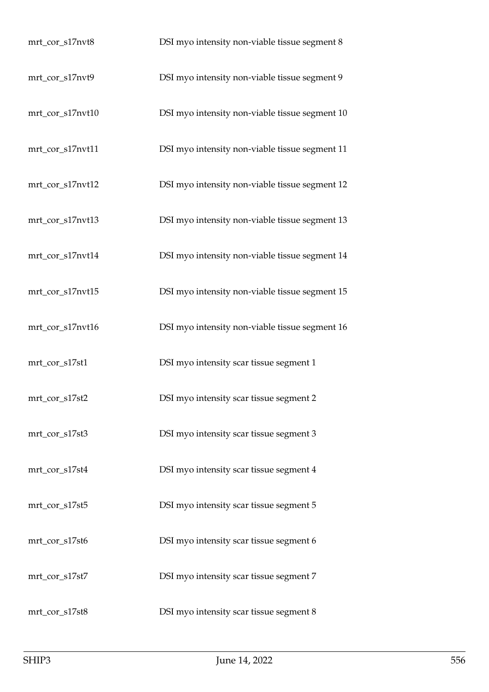| mrt_cor_s17nvt8  | DSI myo intensity non-viable tissue segment 8  |
|------------------|------------------------------------------------|
| mrt_cor_s17nvt9  | DSI myo intensity non-viable tissue segment 9  |
| mrt_cor_s17nvt10 | DSI myo intensity non-viable tissue segment 10 |
| mrt_cor_s17nvt11 | DSI myo intensity non-viable tissue segment 11 |
| mrt_cor_s17nvt12 | DSI myo intensity non-viable tissue segment 12 |
| mrt_cor_s17nvt13 | DSI myo intensity non-viable tissue segment 13 |
| mrt_cor_s17nvt14 | DSI myo intensity non-viable tissue segment 14 |
| mrt_cor_s17nvt15 | DSI myo intensity non-viable tissue segment 15 |
| mrt_cor_s17nvt16 | DSI myo intensity non-viable tissue segment 16 |
| mrt_cor_s17st1   | DSI myo intensity scar tissue segment 1        |
| mrt_cor_s17st2   | DSI myo intensity scar tissue segment 2        |
| mrt_cor_s17st3   | DSI myo intensity scar tissue segment 3        |
| mrt_cor_s17st4   | DSI myo intensity scar tissue segment 4        |
| mrt_cor_s17st5   | DSI myo intensity scar tissue segment 5        |
| mrt_cor_s17st6   | DSI myo intensity scar tissue segment 6        |
| mrt_cor_s17st7   | DSI myo intensity scar tissue segment 7        |
| mrt_cor_s17st8   | DSI myo intensity scar tissue segment 8        |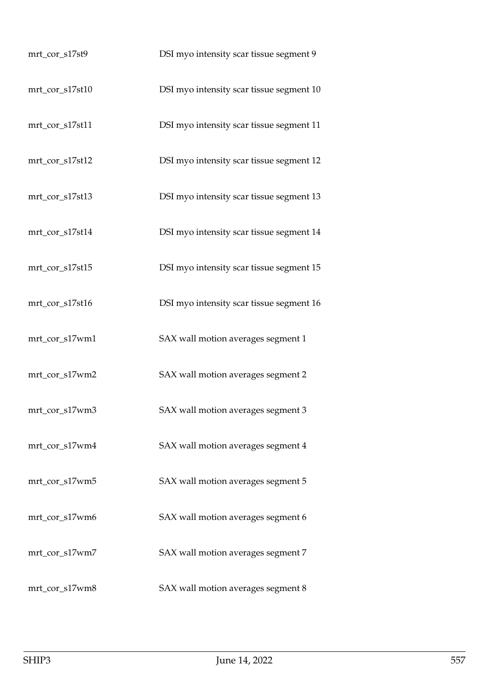| mrt_cor_s17st9  | DSI myo intensity scar tissue segment 9  |
|-----------------|------------------------------------------|
| mrt_cor_s17st10 | DSI myo intensity scar tissue segment 10 |
| mrt_cor_s17st11 | DSI myo intensity scar tissue segment 11 |
| mrt_cor_s17st12 | DSI myo intensity scar tissue segment 12 |
| mrt_cor_s17st13 | DSI myo intensity scar tissue segment 13 |
| mrt_cor_s17st14 | DSI myo intensity scar tissue segment 14 |
| mrt_cor_s17st15 | DSI myo intensity scar tissue segment 15 |
| mrt_cor_s17st16 | DSI myo intensity scar tissue segment 16 |
| mrt_cor_s17wm1  | SAX wall motion averages segment 1       |
| mrt_cor_s17wm2  | SAX wall motion averages segment 2       |
| mrt_cor_s17wm3  | SAX wall motion averages segment 3       |
| mrt_cor_s17wm4  | SAX wall motion averages segment 4       |
| mrt_cor_s17wm5  | SAX wall motion averages segment 5       |
| mrt_cor_s17wm6  | SAX wall motion averages segment 6       |
| mrt_cor_s17wm7  | SAX wall motion averages segment 7       |
| mrt_cor_s17wm8  | SAX wall motion averages segment 8       |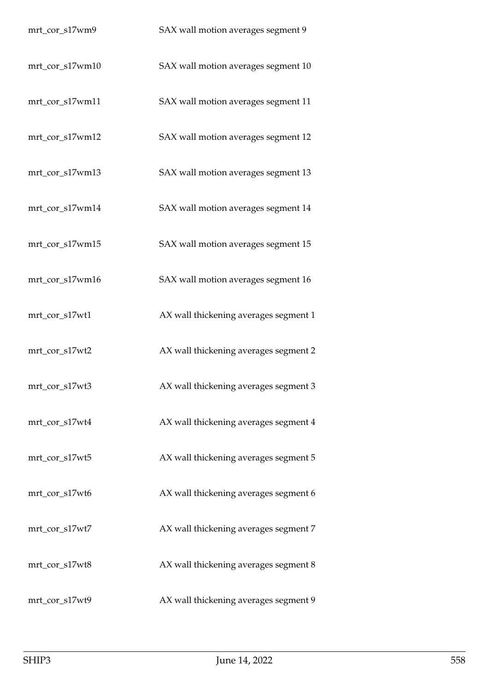| mrt_cor_s17wm9  | SAX wall motion averages segment 9    |
|-----------------|---------------------------------------|
| mrt_cor_s17wm10 | SAX wall motion averages segment 10   |
| mrt_cor_s17wm11 | SAX wall motion averages segment 11   |
| mrt_cor_s17wm12 | SAX wall motion averages segment 12   |
| mrt_cor_s17wm13 | SAX wall motion averages segment 13   |
| mrt_cor_s17wm14 | SAX wall motion averages segment 14   |
| mrt_cor_s17wm15 | SAX wall motion averages segment 15   |
| mrt_cor_s17wm16 | SAX wall motion averages segment 16   |
| mrt_cor_s17wt1  | AX wall thickening averages segment 1 |
| mrt_cor_s17wt2  | AX wall thickening averages segment 2 |
| mrt_cor_s17wt3  | AX wall thickening averages segment 3 |
| mrt_cor_s17wt4  | AX wall thickening averages segment 4 |
| mrt_cor_s17wt5  | AX wall thickening averages segment 5 |
| mrt_cor_s17wt6  | AX wall thickening averages segment 6 |
| mrt_cor_s17wt7  | AX wall thickening averages segment 7 |
| mrt_cor_s17wt8  | AX wall thickening averages segment 8 |
| mrt_cor_s17wt9  | AX wall thickening averages segment 9 |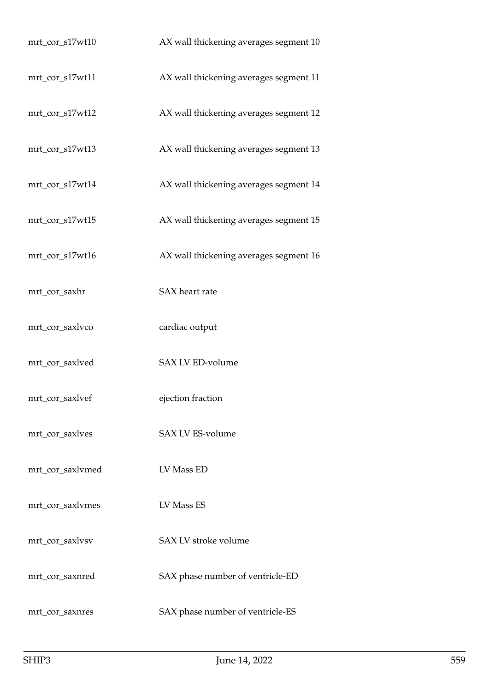| mrt_cor_s17wt10  | AX wall thickening averages segment 10 |
|------------------|----------------------------------------|
| mrt_cor_s17wt11  | AX wall thickening averages segment 11 |
| mrt_cor_s17wt12  | AX wall thickening averages segment 12 |
| mrt_cor_s17wt13  | AX wall thickening averages segment 13 |
| mrt_cor_s17wt14  | AX wall thickening averages segment 14 |
| mrt_cor_s17wt15  | AX wall thickening averages segment 15 |
| mrt_cor_s17wt16  | AX wall thickening averages segment 16 |
| mrt_cor_saxhr    | SAX heart rate                         |
| mrt_cor_saxlvco  | cardiac output                         |
| mrt_cor_saxlved  | SAX LV ED-volume                       |
| mrt_cor_saxlvef  | ejection fraction                      |
| mrt_cor_saxlves  | <b>SAX LV ES-volume</b>                |
| mrt_cor_saxlvmed | LV Mass ED                             |
| mrt_cor_saxlvmes | LV Mass ES                             |
| mrt_cor_saxlvsv  | SAX LV stroke volume                   |
| mrt_cor_saxnred  | SAX phase number of ventricle-ED       |
| mrt_cor_saxnres  | SAX phase number of ventricle-ES       |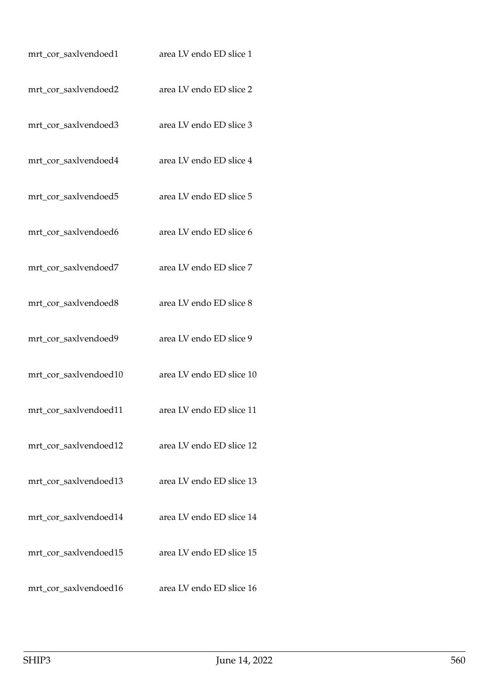| mrt_cor_saxlvendoed1  | area LV endo ED slice 1  |
|-----------------------|--------------------------|
| mrt_cor_saxlvendoed2  | area LV endo ED slice 2  |
| mrt_cor_saxlvendoed3  | area LV endo ED slice 3  |
| mrt_cor_saxlvendoed4  | area LV endo ED slice 4  |
| mrt_cor_saxlvendoed5  | area LV endo ED slice 5  |
| mrt_cor_saxlvendoed6  | area LV endo ED slice 6  |
| mrt_cor_saxlvendoed7  | area LV endo ED slice 7  |
| mrt_cor_saxlvendoed8  | area LV endo ED slice 8  |
| mrt_cor_saxlvendoed9  | area LV endo ED slice 9  |
| mrt_cor_saxlvendoed10 | area LV endo ED slice 10 |
| mrt_cor_saxlvendoed11 | area LV endo ED slice 11 |
| mrt_cor_saxlvendoed12 | area LV endo ED slice 12 |
| mrt_cor_saxlvendoed13 | area LV endo ED slice 13 |
| mrt_cor_saxlvendoed14 | area LV endo ED slice 14 |
| mrt_cor_saxlvendoed15 | area LV endo ED slice 15 |
| mrt_cor_saxlvendoed16 | area LV endo ED slice 16 |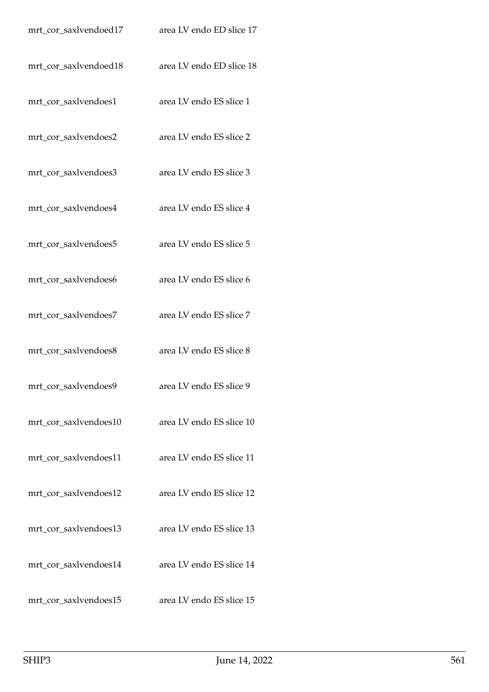| mrt_cor_saxlvendoed17 | area LV endo ED slice 17 |
|-----------------------|--------------------------|
| mrt_cor_saxlvendoed18 | area LV endo ED slice 18 |
| mrt_cor_saxlvendoes1  | area LV endo ES slice 1  |
| mrt_cor_saxlvendoes2  | area LV endo ES slice 2  |
| mrt_cor_saxlvendoes3  | area LV endo ES slice 3  |
| mrt_cor_saxlvendoes4  | area LV endo ES slice 4  |
| mrt_cor_saxlvendoes5  | area LV endo ES slice 5  |
| mrt_cor_saxlvendoes6  | area LV endo ES slice 6  |
| mrt_cor_saxlvendoes7  | area LV endo ES slice 7  |
| mrt_cor_saxlvendoes8  | area LV endo ES slice 8  |
| mrt_cor_saxlvendoes9  | area LV endo ES slice 9  |
| mrt_cor_saxlvendoes10 | area LV endo ES slice 10 |
| mrt_cor_saxlvendoes11 | area LV endo ES slice 11 |
| mrt_cor_saxlvendoes12 | area LV endo ES slice 12 |
| mrt_cor_saxlvendoes13 | area LV endo ES slice 13 |
| mrt_cor_saxlvendoes14 | area LV endo ES slice 14 |
| mrt_cor_saxlvendoes15 | area LV endo ES slice 15 |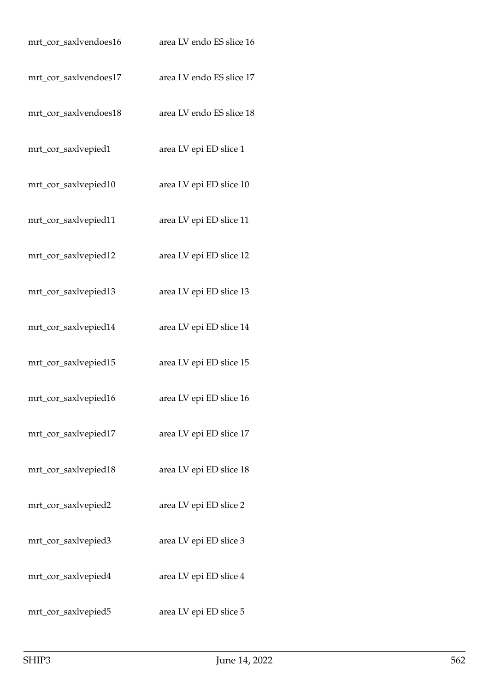| mrt_cor_saxlvendoes16 | area LV endo ES slice 16 |
|-----------------------|--------------------------|
| mrt_cor_saxlvendoes17 | area LV endo ES slice 17 |
| mrt_cor_saxlvendoes18 | area LV endo ES slice 18 |
| mrt_cor_saxlvepied1   | area LV epi ED slice 1   |
| mrt_cor_saxlvepied10  | area LV epi ED slice 10  |
| mrt_cor_saxlvepied11  | area LV epi ED slice 11  |
| mrt_cor_saxlvepied12  | area LV epi ED slice 12  |
| mrt_cor_saxlvepied13  | area LV epi ED slice 13  |
| mrt_cor_saxlvepied14  | area LV epi ED slice 14  |
| mrt_cor_saxlvepied15  | area LV epi ED slice 15  |
| mrt_cor_saxlvepied16  | area LV epi ED slice 16  |
| mrt_cor_saxlvepied17  | area LV epi ED slice 17  |
| mrt_cor_saxlvepied18  | area LV epi ED slice 18  |
| mrt_cor_saxlvepied2   | area LV epi ED slice 2   |
| mrt_cor_saxlvepied3   | area LV epi ED slice 3   |
| mrt_cor_saxlvepied4   | area LV epi ED slice 4   |
| mrt_cor_saxlvepied5   | area LV epi ED slice 5   |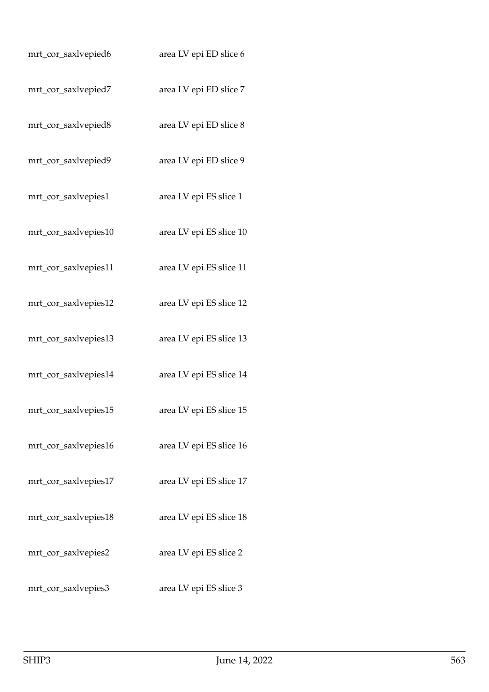| mrt_cor_saxlvepied6  | area LV epi ED slice 6  |
|----------------------|-------------------------|
| mrt_cor_saxlvepied7  | area LV epi ED slice 7  |
| mrt_cor_saxlvepied8  | area LV epi ED slice 8  |
| mrt_cor_saxlvepied9  | area LV epi ED slice 9  |
| mrt_cor_saxlvepies1  | area LV epi ES slice 1  |
| mrt_cor_saxlvepies10 | area LV epi ES slice 10 |
| mrt_cor_saxlvepies11 | area LV epi ES slice 11 |
| mrt_cor_saxlvepies12 | area LV epi ES slice 12 |
| mrt_cor_saxlvepies13 | area LV epi ES slice 13 |
| mrt_cor_saxlvepies14 | area LV epi ES slice 14 |
| mrt_cor_saxlvepies15 | area LV epi ES slice 15 |
| mrt_cor_saxlvepies16 | area LV epi ES slice 16 |
| mrt_cor_saxlvepies17 | area LV epi ES slice 17 |
| mrt_cor_saxlvepies18 | area LV epi ES slice 18 |
| mrt_cor_saxlvepies2  | area LV epi ES slice 2  |
| mrt_cor_saxlvepies3  | area LV epi ES slice 3  |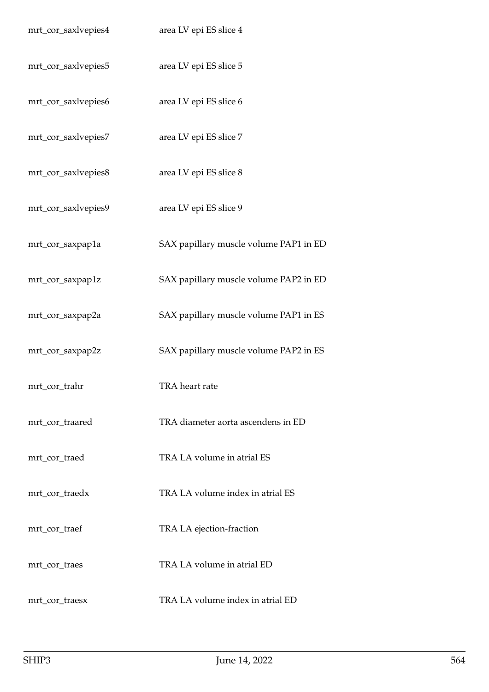| mrt_cor_saxlvepies4 | area LV epi ES slice 4                 |
|---------------------|----------------------------------------|
| mrt_cor_saxlvepies5 | area LV epi ES slice 5                 |
| mrt_cor_saxlvepies6 | area LV epi ES slice 6                 |
| mrt_cor_saxlvepies7 | area LV epi ES slice 7                 |
| mrt_cor_saxlvepies8 | area LV epi ES slice 8                 |
| mrt_cor_saxlvepies9 | area LV epi ES slice 9                 |
| mrt_cor_saxpap1a    | SAX papillary muscle volume PAP1 in ED |
| mrt_cor_saxpap1z    | SAX papillary muscle volume PAP2 in ED |
| mrt_cor_saxpap2a    | SAX papillary muscle volume PAP1 in ES |
| mrt_cor_saxpap2z    | SAX papillary muscle volume PAP2 in ES |
| mrt_cor_trahr       | TRA heart rate                         |
| mrt_cor_traared     | TRA diameter aorta ascendens in ED     |
| mrt_cor_traed       | TRA LA volume in atrial ES             |
| mrt_cor_traedx      | TRA LA volume index in atrial ES       |
| mrt_cor_traef       | TRA LA ejection-fraction               |
| mrt_cor_traes       | TRA LA volume in atrial ED             |
| mrt_cor_traesx      | TRA LA volume index in atrial ED       |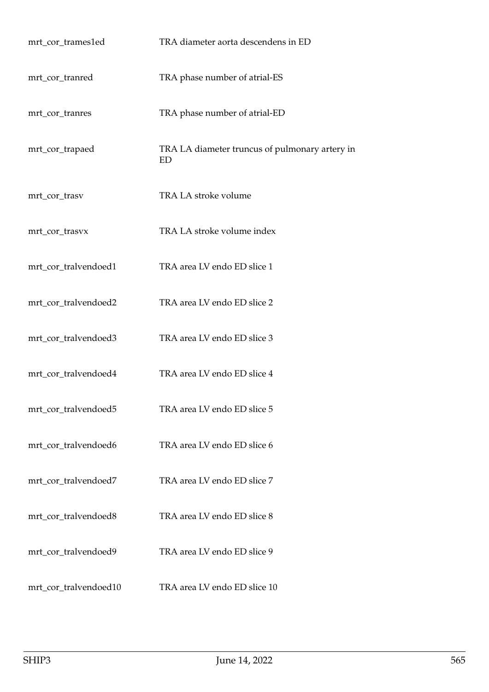| mrt_cor_trames1ed     | TRA diameter aorta descendens in ED                  |
|-----------------------|------------------------------------------------------|
| mrt_cor_tranred       | TRA phase number of atrial-ES                        |
| mrt_cor_tranres       | TRA phase number of atrial-ED                        |
| mrt_cor_trapaed       | TRA LA diameter truncus of pulmonary artery in<br>ED |
| mrt_cor_trasv         | TRA LA stroke volume                                 |
| mrt_cor_trasvx        | TRA LA stroke volume index                           |
| mrt_cor_tralvendoed1  | TRA area LV endo ED slice 1                          |
| mrt_cor_tralvendoed2  | TRA area LV endo ED slice 2                          |
| mrt_cor_tralvendoed3  | TRA area LV endo ED slice 3                          |
| mrt_cor_tralvendoed4  | TRA area LV endo ED slice 4                          |
| mrt_cor_tralvendoed5  | TRA area LV endo ED slice 5                          |
| mrt_cor_tralvendoed6  | TRA area LV endo ED slice 6                          |
| mrt_cor_tralvendoed7  | TRA area LV endo ED slice 7                          |
| mrt_cor_tralvendoed8  | TRA area LV endo ED slice 8                          |
| mrt_cor_tralvendoed9  | TRA area LV endo ED slice 9                          |
| mrt_cor_tralvendoed10 | TRA area LV endo ED slice 10                         |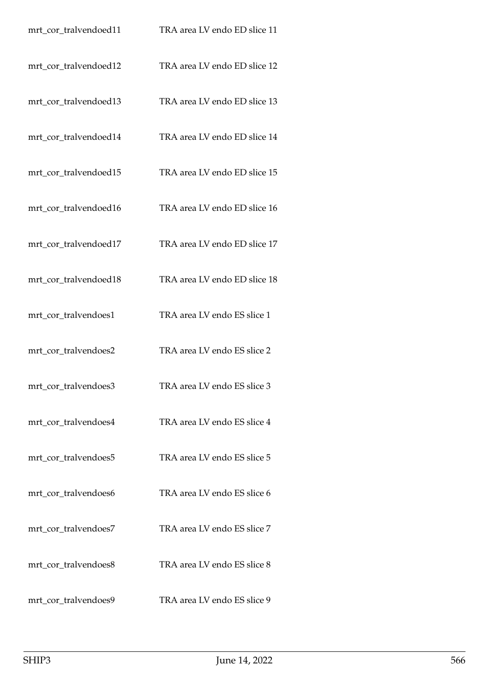| mrt_cor_tralvendoed11 | TRA area LV endo ED slice 11 |
|-----------------------|------------------------------|
| mrt_cor_tralvendoed12 | TRA area LV endo ED slice 12 |
| mrt_cor_tralvendoed13 | TRA area LV endo ED slice 13 |
| mrt_cor_tralvendoed14 | TRA area LV endo ED slice 14 |
| mrt_cor_tralvendoed15 | TRA area LV endo ED slice 15 |
| mrt_cor_tralvendoed16 | TRA area LV endo ED slice 16 |
| mrt_cor_tralvendoed17 | TRA area LV endo ED slice 17 |
| mrt_cor_tralvendoed18 | TRA area LV endo ED slice 18 |
| mrt_cor_tralvendoes1  | TRA area LV endo ES slice 1  |
| mrt_cor_tralvendoes2  | TRA area LV endo ES slice 2  |
| mrt_cor_tralvendoes3  | TRA area LV endo ES slice 3  |
| mrt_cor_tralvendoes4  | TRA area LV endo ES slice 4  |
| mrt cor tralvendoes5  | TRA area LV endo ES slice 5  |
| mrt_cor_tralvendoes6  | TRA area LV endo ES slice 6  |
| mrt_cor_tralvendoes7  | TRA area LV endo ES slice 7  |
| mrt_cor_tralvendoes8  | TRA area LV endo ES slice 8  |
| mrt_cor_tralvendoes9  | TRA area LV endo ES slice 9  |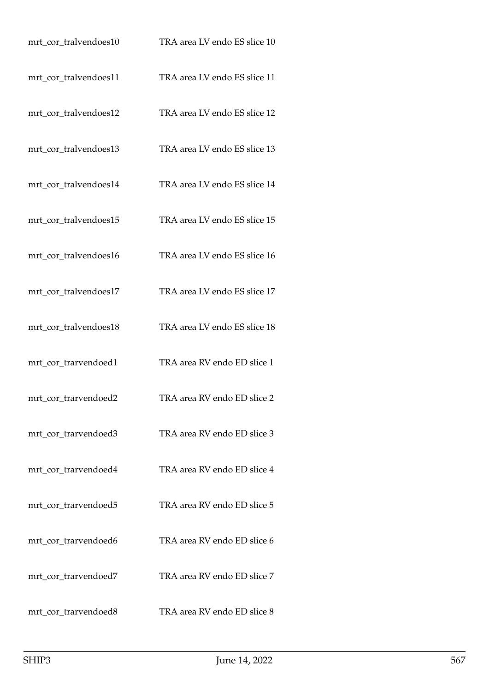| mrt_cor_tralvendoes10 | TRA area LV endo ES slice 10 |
|-----------------------|------------------------------|
| mrt_cor_tralvendoes11 | TRA area LV endo ES slice 11 |
| mrt_cor_tralvendoes12 | TRA area LV endo ES slice 12 |
| mrt_cor_tralvendoes13 | TRA area LV endo ES slice 13 |
| mrt_cor_tralvendoes14 | TRA area LV endo ES slice 14 |
| mrt_cor_tralvendoes15 | TRA area LV endo ES slice 15 |
| mrt_cor_tralvendoes16 | TRA area LV endo ES slice 16 |
| mrt_cor_tralvendoes17 | TRA area LV endo ES slice 17 |
| mrt_cor_tralvendoes18 | TRA area LV endo ES slice 18 |
| mrt_cor_trarvendoed1  | TRA area RV endo ED slice 1  |
| mrt_cor_trarvendoed2  | TRA area RV endo ED slice 2  |
| mrt_cor_trarvendoed3  | TRA area RV endo ED slice 3  |
| mrt_cor_trarvendoed4  | TRA area RV endo ED slice 4  |
| mrt_cor_trarvendoed5  | TRA area RV endo ED slice 5  |
| mrt_cor_trarvendoed6  | TRA area RV endo ED slice 6  |
| mrt_cor_trarvendoed7  | TRA area RV endo ED slice 7  |
| mrt_cor_trarvendoed8  | TRA area RV endo ED slice 8  |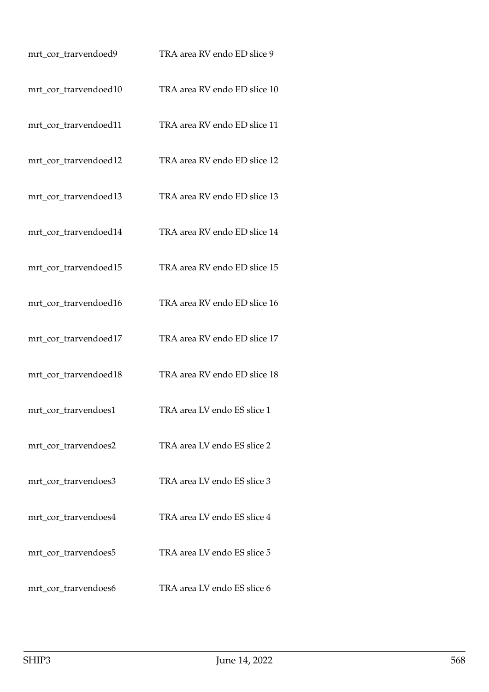| mrt_cor_trarvendoed9  | TRA area RV endo ED slice 9  |
|-----------------------|------------------------------|
| mrt_cor_trarvendoed10 | TRA area RV endo ED slice 10 |
| mrt_cor_trarvendoed11 | TRA area RV endo ED slice 11 |
| mrt_cor_trarvendoed12 | TRA area RV endo ED slice 12 |
| mrt_cor_trarvendoed13 | TRA area RV endo ED slice 13 |
| mrt_cor_trarvendoed14 | TRA area RV endo ED slice 14 |
| mrt_cor_trarvendoed15 | TRA area RV endo ED slice 15 |
| mrt_cor_trarvendoed16 | TRA area RV endo ED slice 16 |
| mrt_cor_trarvendoed17 | TRA area RV endo ED slice 17 |
| mrt_cor_trarvendoed18 | TRA area RV endo ED slice 18 |
| mrt_cor_trarvendoes1  | TRA area LV endo ES slice 1  |
| mrt_cor_trarvendoes2  | TRA area LV endo ES slice 2  |
| mrt_cor_trarvendoes3  | TRA area LV endo ES slice 3  |
| mrt_cor_trarvendoes4  | TRA area LV endo ES slice 4  |
| mrt_cor_trarvendoes5  | TRA area LV endo ES slice 5  |
| mrt_cor_trarvendoes6  | TRA area LV endo ES slice 6  |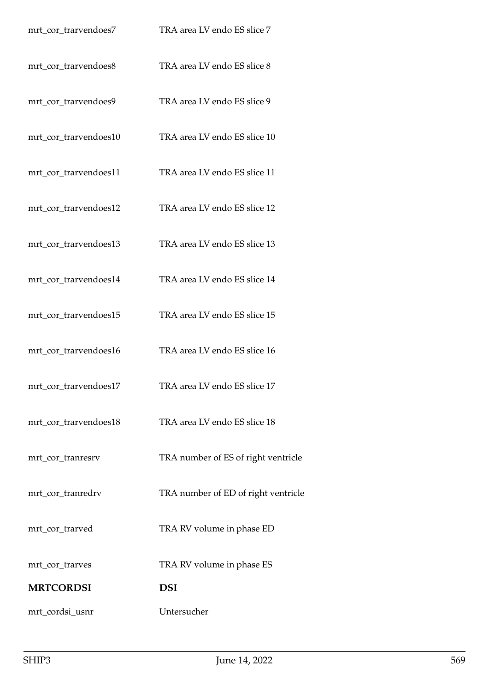| mrt_cor_trarvendoes7  | TRA area LV endo ES slice 7         |
|-----------------------|-------------------------------------|
| mrt_cor_trarvendoes8  | TRA area LV endo ES slice 8         |
| mrt_cor_trarvendoes9  | TRA area LV endo ES slice 9         |
| mrt_cor_trarvendoes10 | TRA area LV endo ES slice 10        |
| mrt_cor_trarvendoes11 | TRA area LV endo ES slice 11        |
| mrt_cor_trarvendoes12 | TRA area LV endo ES slice 12        |
| mrt_cor_trarvendoes13 | TRA area LV endo ES slice 13        |
| mrt_cor_trarvendoes14 | TRA area LV endo ES slice 14        |
| mrt_cor_trarvendoes15 | TRA area LV endo ES slice 15        |
| mrt_cor_trarvendoes16 | TRA area LV endo ES slice 16        |
| mrt_cor_trarvendoes17 | TRA area LV endo ES slice 17        |
| mrt_cor_trarvendoes18 | TRA area LV endo ES slice 18        |
| mrt_cor_tranresrv     | TRA number of ES of right ventricle |
| mrt_cor_tranredrv     | TRA number of ED of right ventricle |
| mrt_cor_trarved       | TRA RV volume in phase ED           |
| mrt_cor_trarves       | TRA RV volume in phase ES           |
| <b>MRTCORDSI</b>      | <b>DSI</b>                          |
| mrt_cordsi_usnr       | Untersucher                         |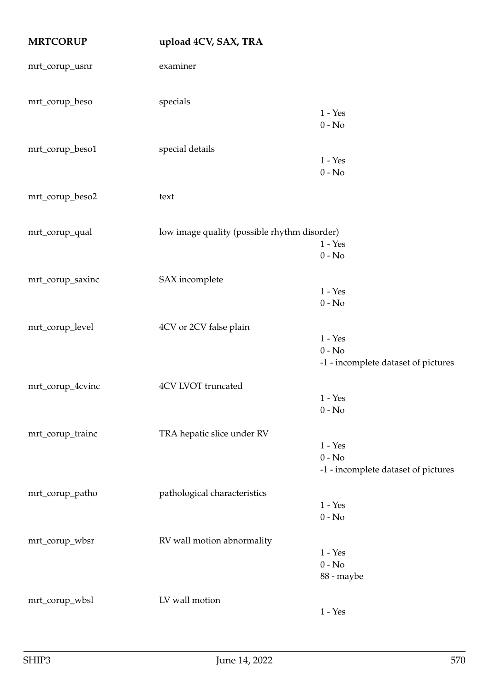| <b>MRTCORUP</b>  | upload 4CV, SAX, TRA                         |                                                              |
|------------------|----------------------------------------------|--------------------------------------------------------------|
| mrt_corup_usnr   | examiner                                     |                                                              |
| mrt_corup_beso   | specials                                     | $1 - Yes$<br>$0 - No$                                        |
| mrt_corup_beso1  | special details                              | $1 - Yes$<br>$0 - No$                                        |
| mrt_corup_beso2  | text                                         |                                                              |
| mrt_corup_qual   | low image quality (possible rhythm disorder) | $1 - Yes$<br>$0 - No$                                        |
| mrt_corup_saxinc | SAX incomplete                               | $1 - Yes$<br>$0 - No$                                        |
| mrt_corup_level  | 4CV or 2CV false plain                       | $1 - Yes$<br>$0 - No$<br>-1 - incomplete dataset of pictures |
| mrt_corup_4cvinc | 4CV LVOT truncated                           | $1 - \ensuremath{\mathrm{Yes}}\xspace$<br>$0 - No$           |
| mrt_corup_trainc | TRA hepatic slice under RV                   | $1 - Yes$<br>$0 - No$<br>-1 - incomplete dataset of pictures |
| mrt_corup_patho  | pathological characteristics                 | $1 - Yes$<br>$0 - No$                                        |
| mrt_corup_wbsr   | RV wall motion abnormality                   | $1 - Yes$<br>$0 - No$<br>88 - maybe                          |
| mrt_corup_wbsl   | LV wall motion                               | $1 - Yes$                                                    |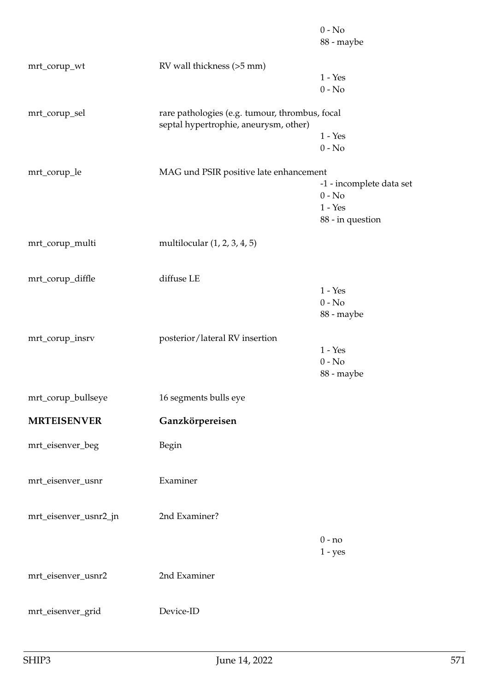|                        |                                                                                         | $0 - No$<br>88 - maybe   |
|------------------------|-----------------------------------------------------------------------------------------|--------------------------|
| mrt_corup_wt           | RV wall thickness (>5 mm)                                                               |                          |
|                        |                                                                                         | $1 - Yes$                |
|                        |                                                                                         | $0 - No$                 |
| mrt_corup_sel          | rare pathologies (e.g. tumour, thrombus, focal<br>septal hypertrophie, aneurysm, other) |                          |
|                        |                                                                                         | $1 - Yes$                |
|                        |                                                                                         | $0 - No$                 |
| mrt_corup_le           | MAG und PSIR positive late enhancement                                                  |                          |
|                        |                                                                                         | -1 - incomplete data set |
|                        |                                                                                         | $0 - No$                 |
|                        |                                                                                         | $1 - Yes$                |
|                        |                                                                                         | 88 - in question         |
| mrt_corup_multi        | multilocular (1, 2, 3, 4, 5)                                                            |                          |
| mrt_corup_diffle       | diffuse LE                                                                              |                          |
|                        |                                                                                         | $1 - Yes$                |
|                        |                                                                                         | $0 - No$                 |
|                        |                                                                                         | 88 - maybe               |
| mrt_corup_insrv        | posterior/lateral RV insertion                                                          |                          |
|                        |                                                                                         | $1 - Yes$                |
|                        |                                                                                         | $0 - No$                 |
|                        |                                                                                         | 88 - maybe               |
| $mrt\_corup\_bullseye$ | 16 segments bulls eye                                                                   |                          |
| <b>MRTEISENVER</b>     | Ganzkörpereisen                                                                         |                          |
| mrt_eisenver_beg       | Begin                                                                                   |                          |
|                        |                                                                                         |                          |
| mrt_eisenver_usnr      | Examiner                                                                                |                          |
|                        |                                                                                         |                          |
| mrt_eisenver_usnr2_jn  | 2nd Examiner?                                                                           |                          |
|                        |                                                                                         | $0 - no$                 |
|                        |                                                                                         | $1 - yes$                |
| mrt_eisenver_usnr2     | 2nd Examiner                                                                            |                          |
|                        |                                                                                         |                          |
| mrt_eisenver_grid      | Device-ID                                                                               |                          |
|                        |                                                                                         |                          |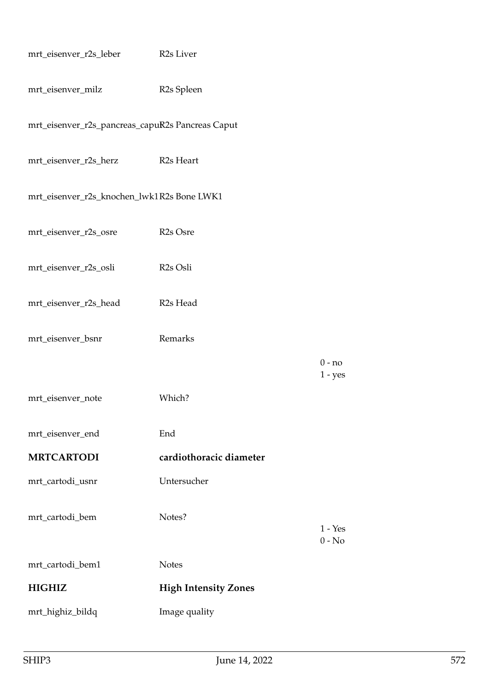| mrt_eisenver_r2s_leber                           | R <sub>2s</sub> Liver       |                       |
|--------------------------------------------------|-----------------------------|-----------------------|
| mrt_eisenver_milz                                | R <sub>2s</sub> Spleen      |                       |
| mrt_eisenver_r2s_pancreas_capuR2s Pancreas Caput |                             |                       |
| mrt_eisenver_r2s_herz                            | R <sub>2s</sub> Heart       |                       |
| mrt_eisenver_r2s_knochen_lwk1R2s Bone LWK1       |                             |                       |
| mrt_eisenver_r2s_osre                            | R <sub>2s</sub> Osre        |                       |
| mrt_eisenver_r2s_osli                            | R <sub>2s</sub> Osli        |                       |
| mrt_eisenver_r2s_head                            | R <sub>2s</sub> Head        |                       |
| mrt_eisenver_bsnr                                | Remarks                     |                       |
|                                                  |                             | $0 - no$<br>$1 - yes$ |
| mrt_eisenver_note                                | Which?                      |                       |
| mrt_eisenver_end                                 | End                         |                       |
| <b>MRTCARTODI</b>                                | cardiothoracic diameter     |                       |
| mrt_cartodi_usnr                                 | Untersucher                 |                       |
| mrt_cartodi_bem                                  | Notes?                      | $1 - Yes$             |
|                                                  |                             | $0 - No$              |
| mrt_cartodi_bem1                                 | <b>Notes</b>                |                       |
| <b>HIGHIZ</b>                                    | <b>High Intensity Zones</b> |                       |
| mrt_highiz_bildq                                 | Image quality               |                       |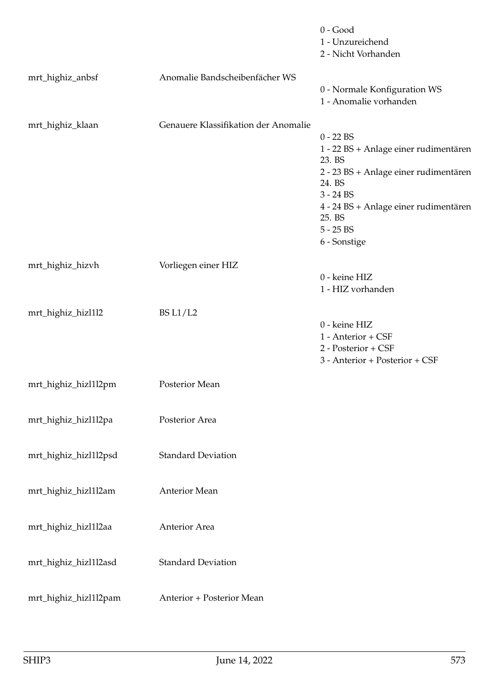|                       |                                      | $0 - Good$<br>1 - Unzureichend<br>2 - Nicht Vorhanden                                                                                                                                                              |
|-----------------------|--------------------------------------|--------------------------------------------------------------------------------------------------------------------------------------------------------------------------------------------------------------------|
| mrt_highiz_anbsf      | Anomalie Bandscheibenfächer WS       | 0 - Normale Konfiguration WS<br>1 - Anomalie vorhanden                                                                                                                                                             |
| mrt_highiz_klaan      | Genauere Klassifikation der Anomalie | $0 - 22$ BS<br>1 - 22 BS + Anlage einer rudimentären<br>23. BS<br>2 - 23 BS + Anlage einer rudimentären<br>24. BS<br>$3 - 24$ BS<br>4 - 24 BS + Anlage einer rudimentären<br>25. BS<br>$5 - 25$ BS<br>6 - Sonstige |
| mrt_highiz_hizvh      | Vorliegen einer HIZ                  | 0 - keine HIZ<br>1 - HIZ vorhanden                                                                                                                                                                                 |
| mrt_highiz_hizl1l2    | <b>BS L1/L2</b>                      | 0 - keine HIZ<br>1 - Anterior + CSF<br>2 - Posterior + CSF<br>3 - Anterior + Posterior + CSF                                                                                                                       |
| mrt_highiz_hizl1l2pm  | Posterior Mean                       |                                                                                                                                                                                                                    |
| mrt_highiz_hizl1l2pa  | Posterior Area                       |                                                                                                                                                                                                                    |
| mrt_highiz_hizl1l2psd | <b>Standard Deviation</b>            |                                                                                                                                                                                                                    |
| mrt_highiz_hizl1l2am  | <b>Anterior Mean</b>                 |                                                                                                                                                                                                                    |
| mrt_highiz_hizl1l2aa  | Anterior Area                        |                                                                                                                                                                                                                    |
| mrt_highiz_hizl1l2asd | <b>Standard Deviation</b>            |                                                                                                                                                                                                                    |
| mrt_highiz_hizl1l2pam | Anterior + Posterior Mean            |                                                                                                                                                                                                                    |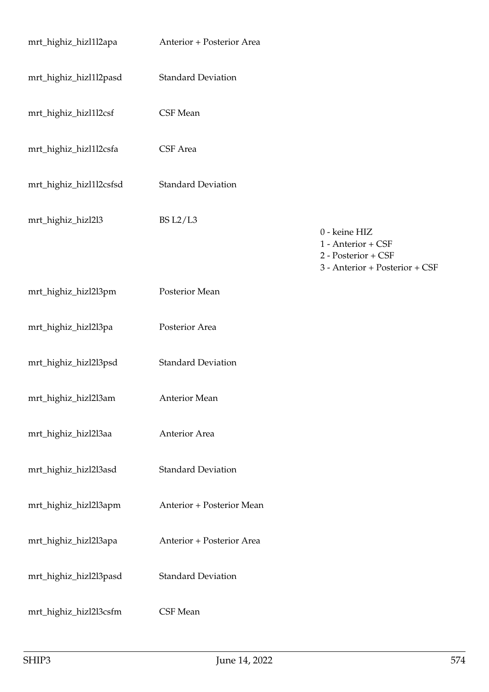| mrt_highiz_hizl1l2apa   | Anterior + Posterior Area |                                                                                              |
|-------------------------|---------------------------|----------------------------------------------------------------------------------------------|
| mrt_highiz_hizl1l2pasd  | <b>Standard Deviation</b> |                                                                                              |
| mrt_highiz_hizl1l2csf   | CSF Mean                  |                                                                                              |
| mrt_highiz_hizl1l2csfa  | CSF Area                  |                                                                                              |
| mrt_highiz_hizl1l2csfsd | <b>Standard Deviation</b> |                                                                                              |
| mrt_highiz_hizl2l3      | <b>BS L2/L3</b>           | 0 - keine HIZ<br>1 - Anterior + CSF<br>2 - Posterior + CSF<br>3 - Anterior + Posterior + CSF |
| mrt_highiz_hizl2l3pm    | Posterior Mean            |                                                                                              |
| mrt_highiz_hizl2l3pa    | Posterior Area            |                                                                                              |
| mrt_highiz_hizl2l3psd   | <b>Standard Deviation</b> |                                                                                              |
| mrt_highiz_hizl2l3am    | <b>Anterior Mean</b>      |                                                                                              |
| mrt_highiz_hizl2l3aa    | Anterior Area             |                                                                                              |
| mrt_highiz_hizl2l3asd   | <b>Standard Deviation</b> |                                                                                              |
| mrt_highiz_hizl2l3apm   | Anterior + Posterior Mean |                                                                                              |
| mrt_highiz_hizl2l3apa   | Anterior + Posterior Area |                                                                                              |
| mrt_highiz_hizl2l3pasd  | <b>Standard Deviation</b> |                                                                                              |
| mrt_highiz_hizl2l3csfm  | CSF Mean                  |                                                                                              |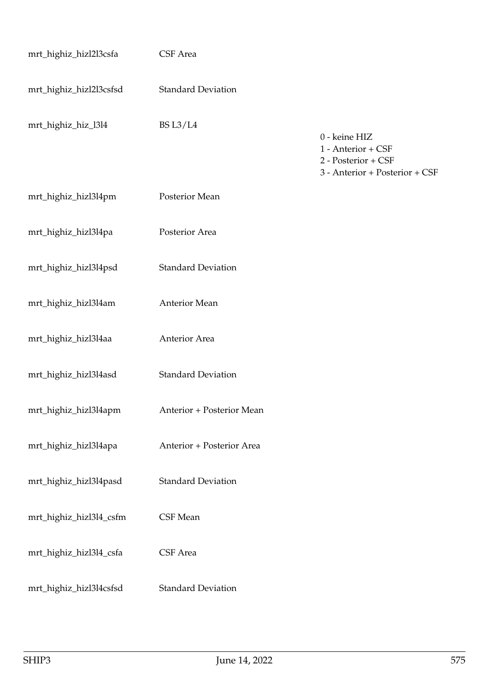| mrt_highiz_hizl2l3csfa  | CSF Area                  |                                                                                              |
|-------------------------|---------------------------|----------------------------------------------------------------------------------------------|
| mrt_highiz_hizl2l3csfsd | <b>Standard Deviation</b> |                                                                                              |
| mrt_highiz_hiz_l3l4     | <b>BS L3/L4</b>           | 0 - keine HIZ<br>1 - Anterior + CSF<br>2 - Posterior + CSF<br>3 - Anterior + Posterior + CSF |
| mrt_highiz_hizl3l4pm    | Posterior Mean            |                                                                                              |
| mrt_highiz_hizl3l4pa    | Posterior Area            |                                                                                              |
| mrt_highiz_hizl3l4psd   | <b>Standard Deviation</b> |                                                                                              |
| mrt_highiz_hizl3l4am    | Anterior Mean             |                                                                                              |
| mrt_highiz_hizl3l4aa    | Anterior Area             |                                                                                              |
| mrt_highiz_hizl3l4asd   | <b>Standard Deviation</b> |                                                                                              |
| mrt_highiz_hizl3l4apm   | Anterior + Posterior Mean |                                                                                              |
| mrt_highiz_hizl3l4apa   | Anterior + Posterior Area |                                                                                              |
| mrt_highiz_hizl3l4pasd  | <b>Standard Deviation</b> |                                                                                              |
| mrt_highiz_hizl3l4_csfm | CSF Mean                  |                                                                                              |
| mrt_highiz_hizl3l4_csfa | CSF Area                  |                                                                                              |
| mrt_highiz_hizl3l4csfsd | <b>Standard Deviation</b> |                                                                                              |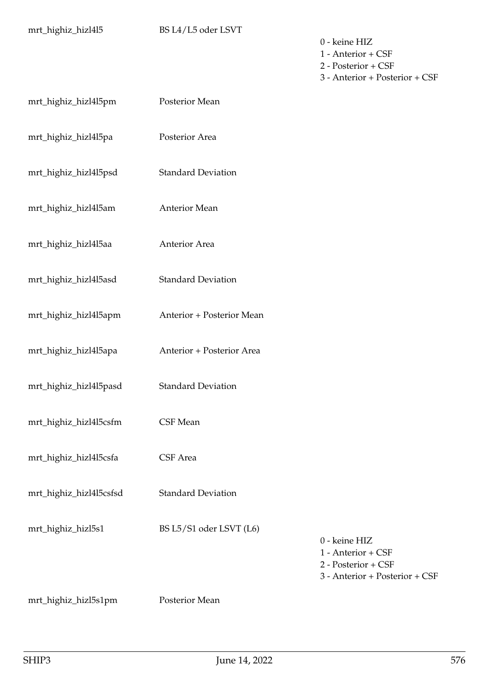0 - keine HIZ 1 - Anterior + CSF 2 - Posterior + CSF 3 - Anterior + Posterior + CSF

| mrt_highiz_hizl4l5pm    | Posterior Mean            |                                                                                              |
|-------------------------|---------------------------|----------------------------------------------------------------------------------------------|
| mrt_highiz_hizl4l5pa    | Posterior Area            |                                                                                              |
| mrt_highiz_hizl4l5psd   | <b>Standard Deviation</b> |                                                                                              |
| mrt_highiz_hizl4l5am    | Anterior Mean             |                                                                                              |
| mrt_highiz_hizl4l5aa    | Anterior Area             |                                                                                              |
| mrt_highiz_hizl4l5asd   | <b>Standard Deviation</b> |                                                                                              |
| mrt_highiz_hizl4l5apm   | Anterior + Posterior Mean |                                                                                              |
| mrt_highiz_hizl4l5apa   | Anterior + Posterior Area |                                                                                              |
| mrt_highiz_hizl4l5pasd  | <b>Standard Deviation</b> |                                                                                              |
| mrt_highiz_hizl4l5csfm  | CSF Mean                  |                                                                                              |
| mrt_highiz_hizl4l5csfa  | CSF Area                  |                                                                                              |
| mrt_highiz_hizl4l5csfsd | <b>Standard Deviation</b> |                                                                                              |
| mrt_highiz_hizl5s1      | BS L5/S1 oder LSVT (L6)   | 0 - keine HIZ<br>1 - Anterior + CSF<br>2 - Posterior + CSF<br>3 - Anterior + Posterior + CSF |
| mrt_highiz_hizl5s1pm    | Posterior Mean            |                                                                                              |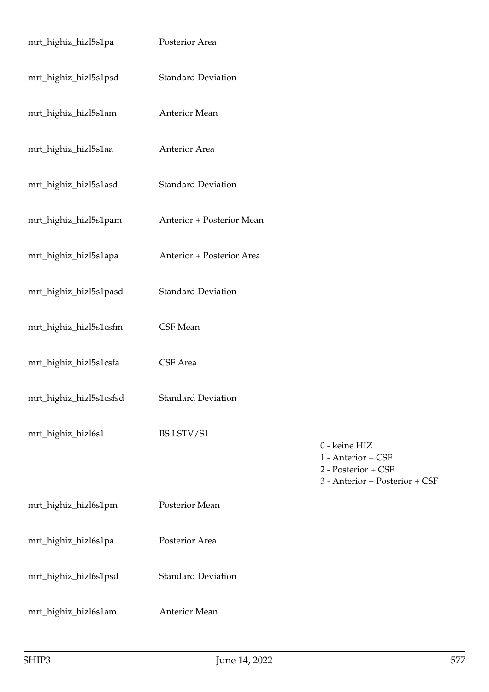| mrt_highiz_hizl5s1pa    | Posterior Area            |                                                                                              |
|-------------------------|---------------------------|----------------------------------------------------------------------------------------------|
| mrt_highiz_hizl5s1psd   | <b>Standard Deviation</b> |                                                                                              |
| mrt_highiz_hizl5s1am    | Anterior Mean             |                                                                                              |
| mrt_highiz_hizl5s1aa    | Anterior Area             |                                                                                              |
| mrt_highiz_hizl5s1asd   | <b>Standard Deviation</b> |                                                                                              |
| mrt_highiz_hizl5s1pam   | Anterior + Posterior Mean |                                                                                              |
| mrt_highiz_hizl5s1apa   | Anterior + Posterior Area |                                                                                              |
| mrt_highiz_hizl5s1pasd  | <b>Standard Deviation</b> |                                                                                              |
| mrt_highiz_hizl5s1csfm  | CSF Mean                  |                                                                                              |
| mrt_highiz_hizl5s1csfa  | CSF Area                  |                                                                                              |
| mrt_highiz_hizl5s1csfsd | <b>Standard Deviation</b> |                                                                                              |
| mrt_highiz_hizl6s1      | BS LSTV/S1                | 0 - keine HIZ<br>1 - Anterior + CSF<br>2 - Posterior + CSF<br>3 - Anterior + Posterior + CSF |
| mrt_highiz_hizl6s1pm    | Posterior Mean            |                                                                                              |
| mrt_highiz_hizl6s1pa    | Posterior Area            |                                                                                              |
| mrt_highiz_hizl6s1psd   | <b>Standard Deviation</b> |                                                                                              |
| mrt_highiz_hizl6s1am    | Anterior Mean             |                                                                                              |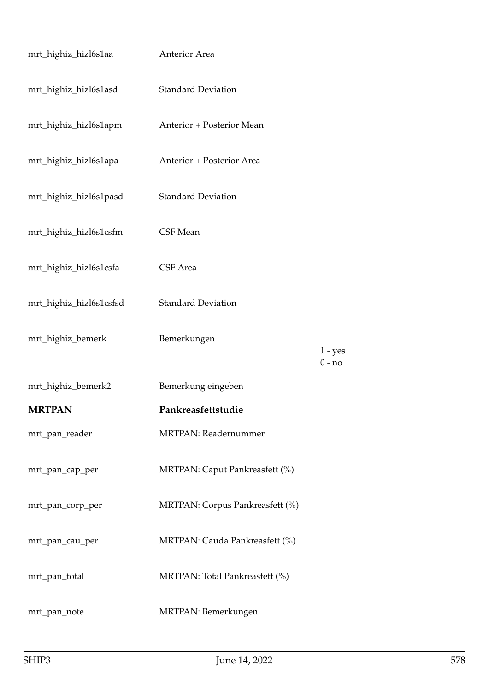| mrt_highiz_hizl6s1aa    | Anterior Area                   |           |
|-------------------------|---------------------------------|-----------|
| mrt_highiz_hizl6s1asd   | <b>Standard Deviation</b>       |           |
| mrt_highiz_hizl6s1apm   | Anterior + Posterior Mean       |           |
| mrt_highiz_hizl6s1apa   | Anterior + Posterior Area       |           |
| mrt_highiz_hizl6s1pasd  | <b>Standard Deviation</b>       |           |
| mrt_highiz_hizl6s1csfm  | CSF Mean                        |           |
| mrt_highiz_hizl6s1csfa  | CSF Area                        |           |
| mrt_highiz_hizl6s1csfsd | <b>Standard Deviation</b>       |           |
| mrt_highiz_bemerk       | Bemerkungen                     | $1 - yes$ |
|                         |                                 | $0 - no$  |
| mrt_highiz_bemerk2      | Bemerkung eingeben              |           |
| <b>MRTPAN</b>           | Pankreasfettstudie              |           |
| mrt_pan_reader          | <b>MRTPAN</b> : Readernummer    |           |
| mrt_pan_cap_per         | MRTPAN: Caput Pankreasfett (%)  |           |
| mrt_pan_corp_per        | MRTPAN: Corpus Pankreasfett (%) |           |
| mrt_pan_cau_per         | MRTPAN: Cauda Pankreasfett (%)  |           |
| mrt_pan_total           | MRTPAN: Total Pankreasfett (%)  |           |
| mrt_pan_note            | MRTPAN: Bemerkungen             |           |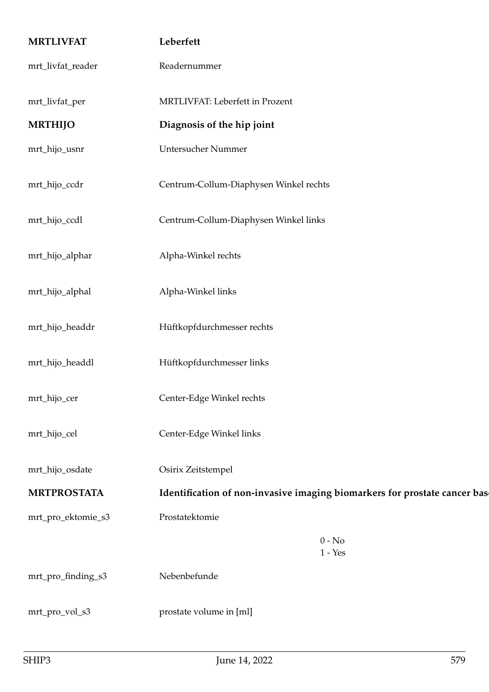| <b>MRTLIVFAT</b>   | Leberfett                                                                 |  |
|--------------------|---------------------------------------------------------------------------|--|
| mrt_livfat_reader  | Readernummer                                                              |  |
| mrt_livfat_per     | MRTLIVFAT: Leberfett in Prozent                                           |  |
| <b>MRTHIJO</b>     | Diagnosis of the hip joint                                                |  |
| mrt_hijo_usnr      | Untersucher Nummer                                                        |  |
| mrt_hijo_ccdr      | Centrum-Collum-Diaphysen Winkel rechts                                    |  |
| mrt_hijo_ccdl      | Centrum-Collum-Diaphysen Winkel links                                     |  |
| mrt_hijo_alphar    | Alpha-Winkel rechts                                                       |  |
| mrt_hijo_alphal    | Alpha-Winkel links                                                        |  |
| mrt_hijo_headdr    | Hüftkopfdurchmesser rechts                                                |  |
| mrt_hijo_headdl    | Hüftkopfdurchmesser links                                                 |  |
| mrt_hijo_cer       | Center-Edge Winkel rechts                                                 |  |
| mrt_hijo_cel       | Center-Edge Winkel links                                                  |  |
| mrt_hijo_osdate    | Osirix Zeitstempel                                                        |  |
| <b>MRTPROSTATA</b> | Identification of non-invasive imaging biomarkers for prostate cancer bas |  |
| mrt_pro_ektomie_s3 | Prostatektomie                                                            |  |
|                    | $0 - No$<br>$1 - Yes$                                                     |  |
| mrt_pro_finding_s3 | Nebenbefunde                                                              |  |
| mrt_pro_vol_s3     | prostate volume in [ml]                                                   |  |